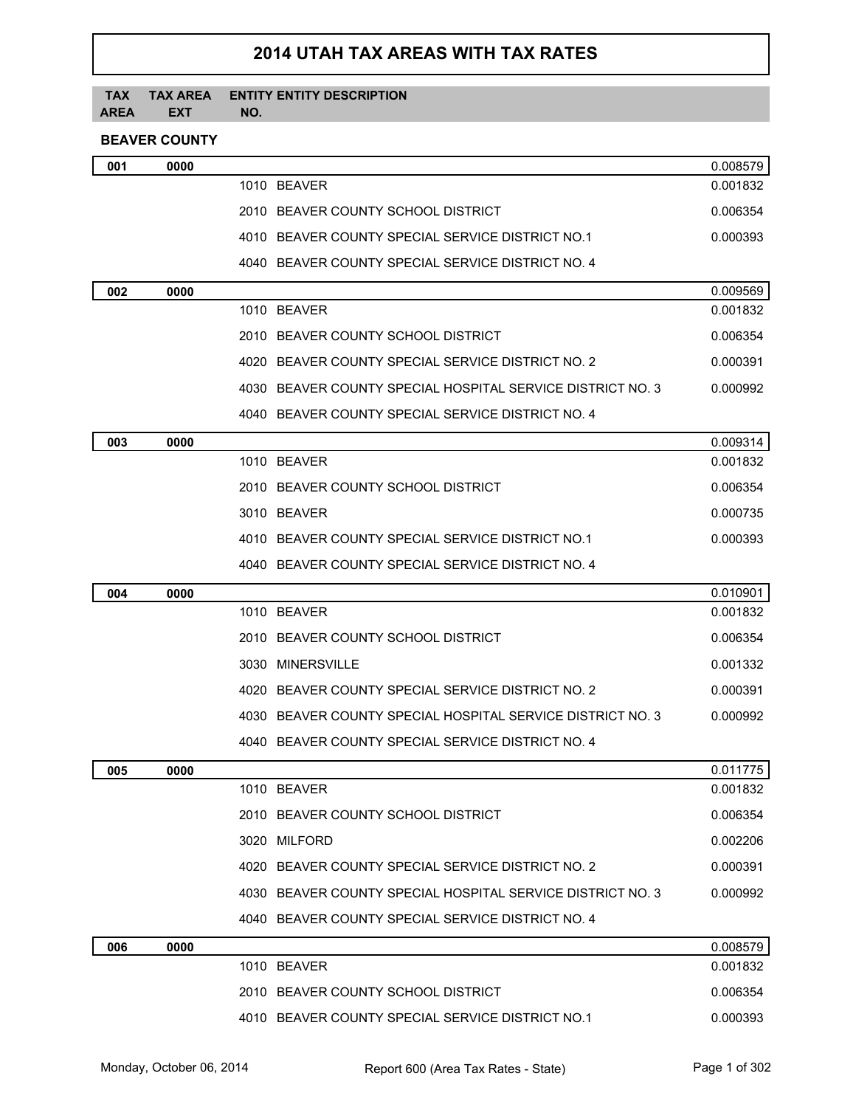# **2014 UTAH TAX AREAS WITH TAX RATES**

#### **TAX AREA TAX AREA EXT ENTITY ENTITY DESCRIPTION NO.**

## **BEAVER COUNTY**

| 001 | 0000 |                                                            | 0.008579 |
|-----|------|------------------------------------------------------------|----------|
|     |      | 1010 BEAVER                                                | 0.001832 |
|     |      | 2010 BEAVER COUNTY SCHOOL DISTRICT                         | 0.006354 |
|     |      | 4010 BEAVER COUNTY SPECIAL SERVICE DISTRICT NO.1           | 0.000393 |
|     |      | 4040 BEAVER COUNTY SPECIAL SERVICE DISTRICT NO. 4          |          |
| 002 | 0000 |                                                            | 0.009569 |
|     |      | 1010 BEAVER                                                | 0.001832 |
|     |      | 2010 BEAVER COUNTY SCHOOL DISTRICT                         | 0.006354 |
|     |      | 4020 BEAVER COUNTY SPECIAL SERVICE DISTRICT NO. 2          | 0.000391 |
|     |      | 4030 BEAVER COUNTY SPECIAL HOSPITAL SERVICE DISTRICT NO. 3 | 0.000992 |
|     |      | 4040 BEAVER COUNTY SPECIAL SERVICE DISTRICT NO. 4          |          |
| 003 | 0000 |                                                            | 0.009314 |
|     |      | 1010 BEAVER                                                | 0.001832 |
|     |      | 2010 BEAVER COUNTY SCHOOL DISTRICT                         | 0.006354 |
|     |      | 3010 BEAVER                                                | 0.000735 |
|     |      | 4010 BEAVER COUNTY SPECIAL SERVICE DISTRICT NO.1           | 0.000393 |
|     |      | 4040 BEAVER COUNTY SPECIAL SERVICE DISTRICT NO. 4          |          |
| 004 | 0000 |                                                            | 0.010901 |
|     |      | 1010 BEAVER                                                | 0.001832 |
|     |      | 2010 BEAVER COUNTY SCHOOL DISTRICT                         | 0.006354 |
|     |      | 3030 MINERSVILLE                                           | 0.001332 |
|     |      | 4020 BEAVER COUNTY SPECIAL SERVICE DISTRICT NO. 2          | 0.000391 |
|     |      | 4030 BEAVER COUNTY SPECIAL HOSPITAL SERVICE DISTRICT NO. 3 | 0.000992 |
|     |      | 4040 BEAVER COUNTY SPECIAL SERVICE DISTRICT NO. 4          |          |
| 005 | 0000 |                                                            | 0.011775 |
|     |      | 1010 BEAVER                                                | 0.001832 |
|     |      | 2010 BEAVER COUNTY SCHOOL DISTRICT                         | 0.006354 |
|     |      | 3020 MILFORD                                               | 0.002206 |
|     |      | 4020 BEAVER COUNTY SPECIAL SERVICE DISTRICT NO. 2          | 0.000391 |
|     |      | 4030 BEAVER COUNTY SPECIAL HOSPITAL SERVICE DISTRICT NO. 3 | 0.000992 |
|     |      | 4040 BEAVER COUNTY SPECIAL SERVICE DISTRICT NO. 4          |          |
| 006 | 0000 |                                                            | 0.008579 |
|     |      | 1010 BEAVER                                                | 0.001832 |
|     |      | 2010 BEAVER COUNTY SCHOOL DISTRICT                         | 0.006354 |
|     |      | 4010 BEAVER COUNTY SPECIAL SERVICE DISTRICT NO.1           | 0.000393 |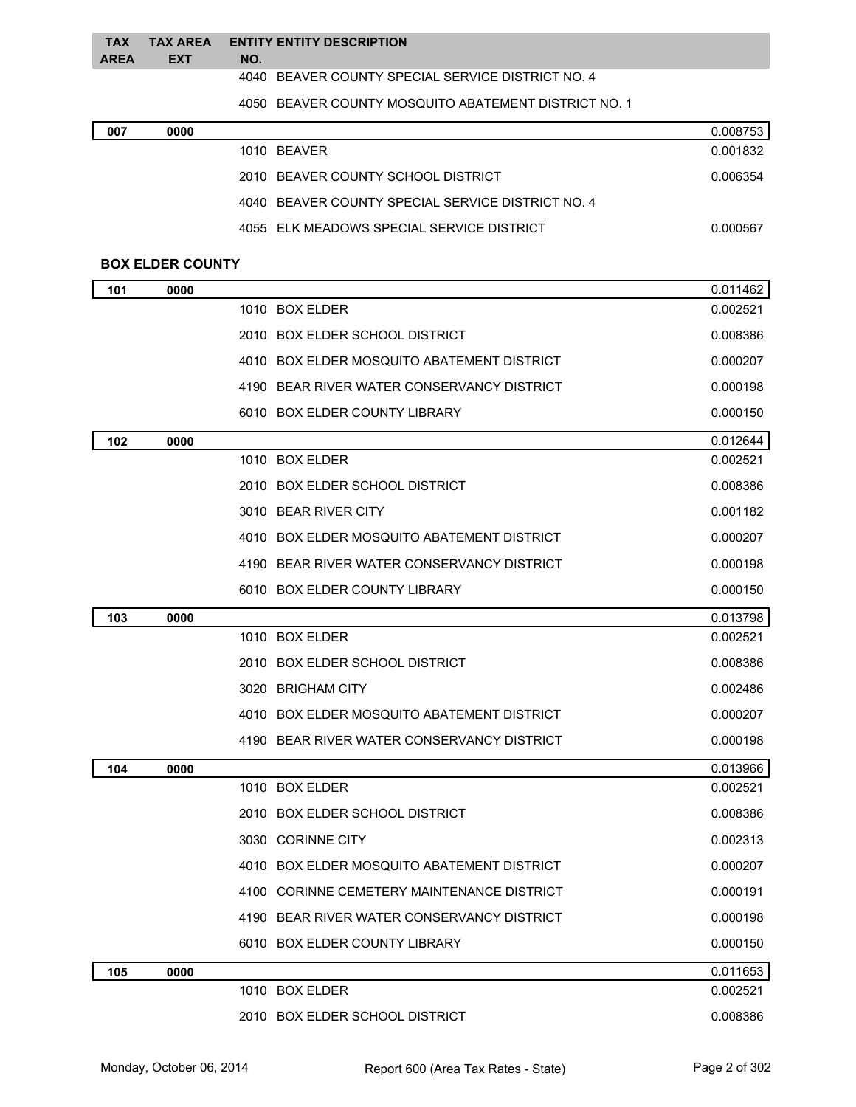### **TAX TAX AREA ENTITY ENTITY DESCRIPTION AREA EXT NO.**

BEAVER COUNTY SPECIAL SERVICE DISTRICT NO. 4

BEAVER COUNTY MOSQUITO ABATEMENT DISTRICT NO. 1

| 007 | 0000 |                                                   | 0.008753 |
|-----|------|---------------------------------------------------|----------|
|     |      | 1010 BEAVER                                       | 0.001832 |
|     |      | 2010 BEAVER COUNTY SCHOOL DISTRICT                | 0.006354 |
|     |      | 4040 BEAVER COUNTY SPECIAL SERVICE DISTRICT NO. 4 |          |
|     |      | 4055 ELK MEADOWS SPECIAL SERVICE DISTRICT         | 0.000567 |

### **BOX ELDER COUNTY**

| 101 | 0000 |                                               | 0.011462 |
|-----|------|-----------------------------------------------|----------|
|     |      | 1010 BOX ELDER                                | 0.002521 |
|     |      | 2010 BOX ELDER SCHOOL DISTRICT                | 0.008386 |
|     |      | 4010 BOX ELDER MOSQUITO ABATEMENT DISTRICT    | 0.000207 |
|     |      | 4190 BEAR RIVER WATER CONSERVANCY DISTRICT    | 0.000198 |
|     |      | 6010 BOX ELDER COUNTY LIBRARY                 | 0.000150 |
| 102 | 0000 |                                               | 0.012644 |
|     |      | 1010 BOX ELDER                                | 0.002521 |
|     |      | 2010 BOX ELDER SCHOOL DISTRICT                | 0.008386 |
|     |      | 3010 BEAR RIVER CITY                          | 0.001182 |
|     |      | 4010 BOX ELDER MOSQUITO ABATEMENT DISTRICT    | 0.000207 |
|     |      | BEAR RIVER WATER CONSERVANCY DISTRICT<br>4190 | 0.000198 |
|     |      | 6010 BOX ELDER COUNTY LIBRARY                 | 0.000150 |
| 103 | 0000 |                                               | 0.013798 |
|     |      | 1010 BOX ELDER                                | 0.002521 |
|     |      | 2010 BOX ELDER SCHOOL DISTRICT                | 0.008386 |
|     |      | 3020 BRIGHAM CITY                             | 0.002486 |
|     |      | 4010 BOX ELDER MOSQUITO ABATEMENT DISTRICT    | 0.000207 |
|     |      | 4190 BEAR RIVER WATER CONSERVANCY DISTRICT    | 0.000198 |
| 104 | 0000 |                                               | 0.013966 |
|     |      | 1010 BOX ELDER                                | 0.002521 |
|     |      | 2010 BOX ELDER SCHOOL DISTRICT                | 0.008386 |
|     |      | 3030 CORINNE CITY                             | 0.002313 |
|     |      | 4010 BOX ELDER MOSQUITO ABATEMENT DISTRICT    | 0.000207 |
|     |      | 4100 CORINNE CEMETERY MAINTENANCE DISTRICT    | 0.000191 |
|     |      | 4190 BEAR RIVER WATER CONSERVANCY DISTRICT    | 0.000198 |
|     |      | 6010 BOX ELDER COUNTY LIBRARY                 | 0.000150 |
| 105 | 0000 |                                               | 0.011653 |
|     |      | 1010 BOX ELDER                                | 0.002521 |
|     |      | 2010 BOX ELDER SCHOOL DISTRICT                | 0.008386 |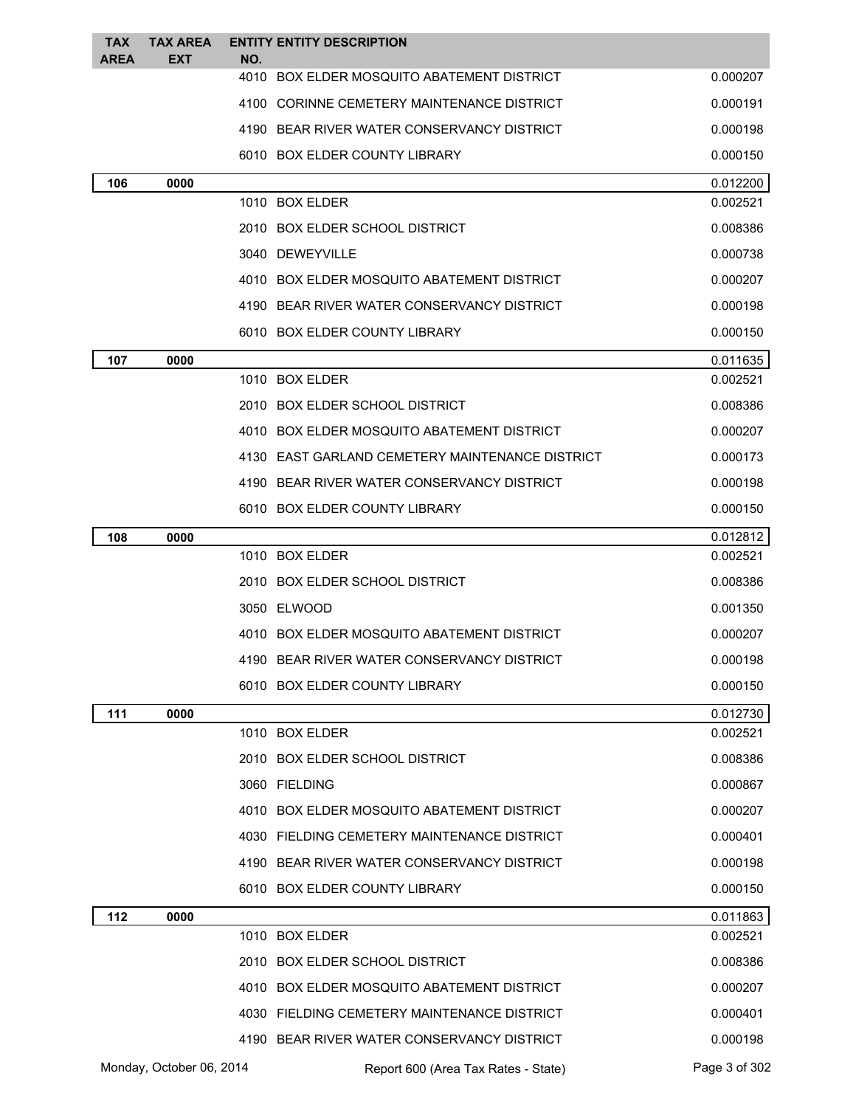| <b>TAX</b>  | <b>TAX AREA</b>          |             | <b>ENTITY ENTITY DESCRIPTION</b>                |                      |
|-------------|--------------------------|-------------|-------------------------------------------------|----------------------|
| <b>AREA</b> | EXT                      | NO.<br>4010 | BOX ELDER MOSQUITO ABATEMENT DISTRICT           | 0.000207             |
|             |                          |             | 4100 CORINNE CEMETERY MAINTENANCE DISTRICT      | 0.000191             |
|             |                          |             | 4190 BEAR RIVER WATER CONSERVANCY DISTRICT      | 0.000198             |
|             |                          |             | 6010 BOX ELDER COUNTY LIBRARY                   | 0.000150             |
| 106         | 0000                     |             |                                                 | 0.012200             |
|             |                          |             | 1010 BOX ELDER                                  | 0.002521             |
|             |                          |             | 2010 BOX ELDER SCHOOL DISTRICT                  | 0.008386             |
|             |                          |             | 3040 DEWEYVILLE                                 | 0.000738             |
|             |                          |             | 4010 BOX ELDER MOSQUITO ABATEMENT DISTRICT      | 0.000207             |
|             |                          |             | 4190 BEAR RIVER WATER CONSERVANCY DISTRICT      | 0.000198             |
|             |                          |             | 6010 BOX ELDER COUNTY LIBRARY                   | 0.000150             |
| 107         | 0000                     |             |                                                 | 0.011635             |
|             |                          |             | 1010 BOX ELDER                                  | 0.002521             |
|             |                          |             | 2010 BOX ELDER SCHOOL DISTRICT                  | 0.008386             |
|             |                          |             | 4010 BOX ELDER MOSQUITO ABATEMENT DISTRICT      | 0.000207             |
|             |                          |             | 4130 EAST GARLAND CEMETERY MAINTENANCE DISTRICT | 0.000173             |
|             |                          |             | 4190 BEAR RIVER WATER CONSERVANCY DISTRICT      | 0.000198             |
|             |                          |             | 6010 BOX ELDER COUNTY LIBRARY                   | 0.000150             |
| 108         | 0000                     |             |                                                 | 0.012812             |
|             |                          |             | 1010 BOX ELDER                                  | 0.002521             |
|             |                          |             | 2010 BOX ELDER SCHOOL DISTRICT                  | 0.008386             |
|             |                          |             | 3050 ELWOOD                                     | 0.001350             |
|             |                          |             | 4010 BOX ELDER MOSQUITO ABATEMENT DISTRICT      | 0.000207             |
|             |                          |             | 4190 BEAR RIVER WATER CONSERVANCY DISTRICT      | 0.000198             |
|             |                          |             | 6010 BOX ELDER COUNTY LIBRARY                   | 0.000150             |
| 111         | 0000                     |             |                                                 | 0.012730             |
|             |                          |             | 1010 BOX ELDER                                  | 0.002521             |
|             |                          |             | 2010 BOX ELDER SCHOOL DISTRICT                  | 0.008386             |
|             |                          |             | 3060 FIELDING                                   | 0.000867             |
|             |                          |             | 4010 BOX ELDER MOSQUITO ABATEMENT DISTRICT      | 0.000207             |
|             |                          |             | 4030 FIELDING CEMETERY MAINTENANCE DISTRICT     | 0.000401             |
|             |                          |             | 4190 BEAR RIVER WATER CONSERVANCY DISTRICT      | 0.000198             |
|             |                          |             | 6010 BOX ELDER COUNTY LIBRARY                   | 0.000150             |
| 112         | 0000                     |             | 1010 BOX ELDER                                  | 0.011863<br>0.002521 |
|             |                          |             | 2010 BOX ELDER SCHOOL DISTRICT                  | 0.008386             |
|             |                          |             | 4010 BOX ELDER MOSQUITO ABATEMENT DISTRICT      | 0.000207             |
|             |                          |             | 4030 FIELDING CEMETERY MAINTENANCE DISTRICT     | 0.000401             |
|             |                          |             | 4190 BEAR RIVER WATER CONSERVANCY DISTRICT      | 0.000198             |
|             | Monday, October 06, 2014 |             | Report 600 (Area Tax Rates - State)             | Page 3 of 302        |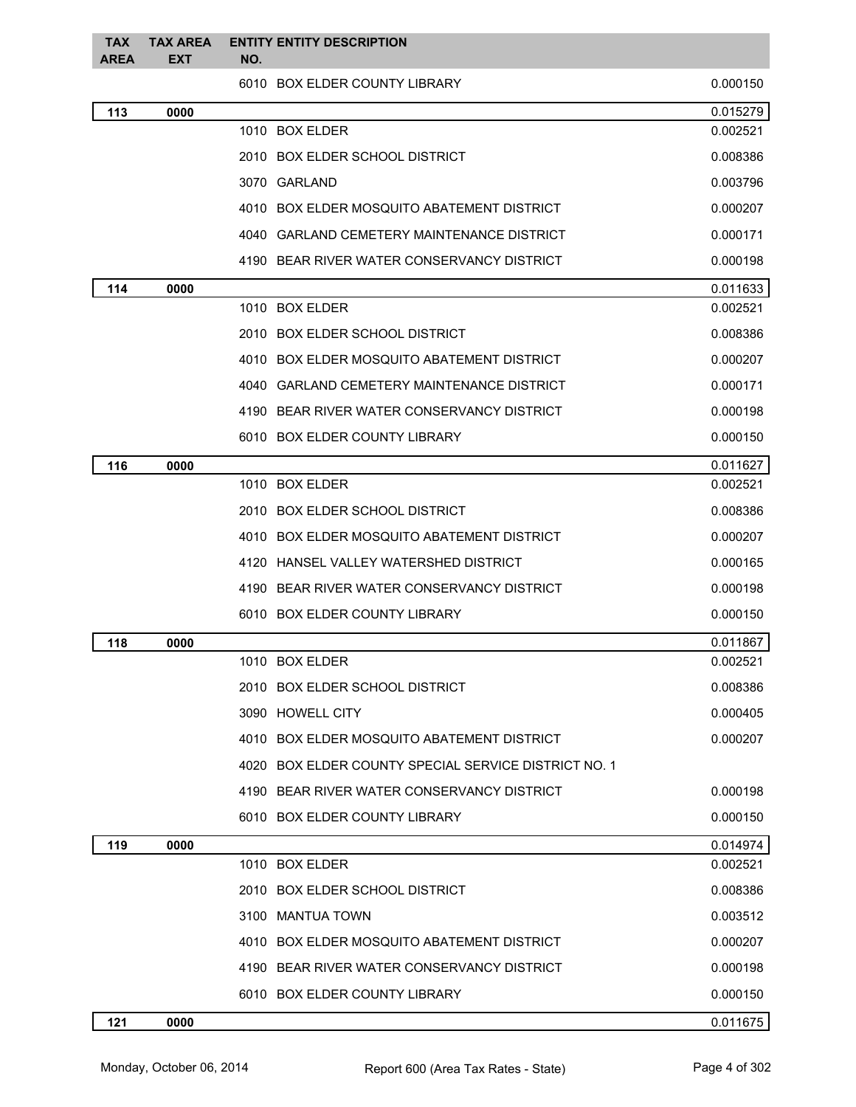| <b>TAX</b><br><b>AREA</b> | <b>TAX AREA</b><br><b>EXT</b> | <b>ENTITY ENTITY DESCRIPTION</b><br>NO.              |          |
|---------------------------|-------------------------------|------------------------------------------------------|----------|
|                           |                               | 6010 BOX ELDER COUNTY LIBRARY                        | 0.000150 |
| 113                       | 0000                          |                                                      | 0.015279 |
|                           |                               | 1010 BOX ELDER                                       | 0.002521 |
|                           |                               | 2010 BOX ELDER SCHOOL DISTRICT                       | 0.008386 |
|                           |                               | 3070 GARLAND                                         | 0.003796 |
|                           |                               | 4010 BOX ELDER MOSQUITO ABATEMENT DISTRICT           | 0.000207 |
|                           |                               | 4040 GARLAND CEMETERY MAINTENANCE DISTRICT           | 0.000171 |
|                           |                               | 4190 BEAR RIVER WATER CONSERVANCY DISTRICT           | 0.000198 |
| 114                       | 0000                          |                                                      | 0.011633 |
|                           |                               | 1010 BOX ELDER                                       | 0.002521 |
|                           |                               | 2010 BOX ELDER SCHOOL DISTRICT                       | 0.008386 |
|                           |                               | 4010 BOX ELDER MOSQUITO ABATEMENT DISTRICT           | 0.000207 |
|                           |                               | <b>GARLAND CEMETERY MAINTENANCE DISTRICT</b><br>4040 | 0.000171 |
|                           |                               | 4190 BEAR RIVER WATER CONSERVANCY DISTRICT           | 0.000198 |
|                           |                               | 6010 BOX ELDER COUNTY LIBRARY                        | 0.000150 |
| 116                       | 0000                          |                                                      | 0.011627 |
|                           |                               | 1010 BOX ELDER                                       | 0.002521 |
|                           |                               | 2010 BOX ELDER SCHOOL DISTRICT                       | 0.008386 |
|                           |                               | 4010 BOX ELDER MOSQUITO ABATEMENT DISTRICT           | 0.000207 |
|                           |                               | 4120 HANSEL VALLEY WATERSHED DISTRICT                | 0.000165 |
|                           |                               | 4190 BEAR RIVER WATER CONSERVANCY DISTRICT           | 0.000198 |
|                           |                               | 6010 BOX ELDER COUNTY LIBRARY                        | 0.000150 |
| 118                       | 0000                          |                                                      | 0.011867 |
|                           |                               | 1010 BOX ELDER                                       | 0.002521 |
|                           |                               | 2010 BOX ELDER SCHOOL DISTRICT                       | 0.008386 |
|                           |                               | 3090 HOWELL CITY                                     | 0.000405 |
|                           |                               | 4010 BOX ELDER MOSQUITO ABATEMENT DISTRICT           | 0.000207 |
|                           |                               | 4020 BOX ELDER COUNTY SPECIAL SERVICE DISTRICT NO. 1 |          |
|                           |                               | 4190 BEAR RIVER WATER CONSERVANCY DISTRICT           | 0.000198 |
|                           |                               | 6010 BOX ELDER COUNTY LIBRARY                        | 0.000150 |
| 119                       | 0000                          |                                                      | 0.014974 |
|                           |                               | 1010 BOX ELDER                                       | 0.002521 |
|                           |                               | 2010 BOX ELDER SCHOOL DISTRICT                       | 0.008386 |
|                           |                               | 3100 MANTUA TOWN                                     | 0.003512 |
|                           |                               | 4010 BOX ELDER MOSQUITO ABATEMENT DISTRICT           | 0.000207 |
|                           |                               | 4190 BEAR RIVER WATER CONSERVANCY DISTRICT           | 0.000198 |
|                           |                               | 6010 BOX ELDER COUNTY LIBRARY                        | 0.000150 |
| 121                       | 0000                          |                                                      | 0.011675 |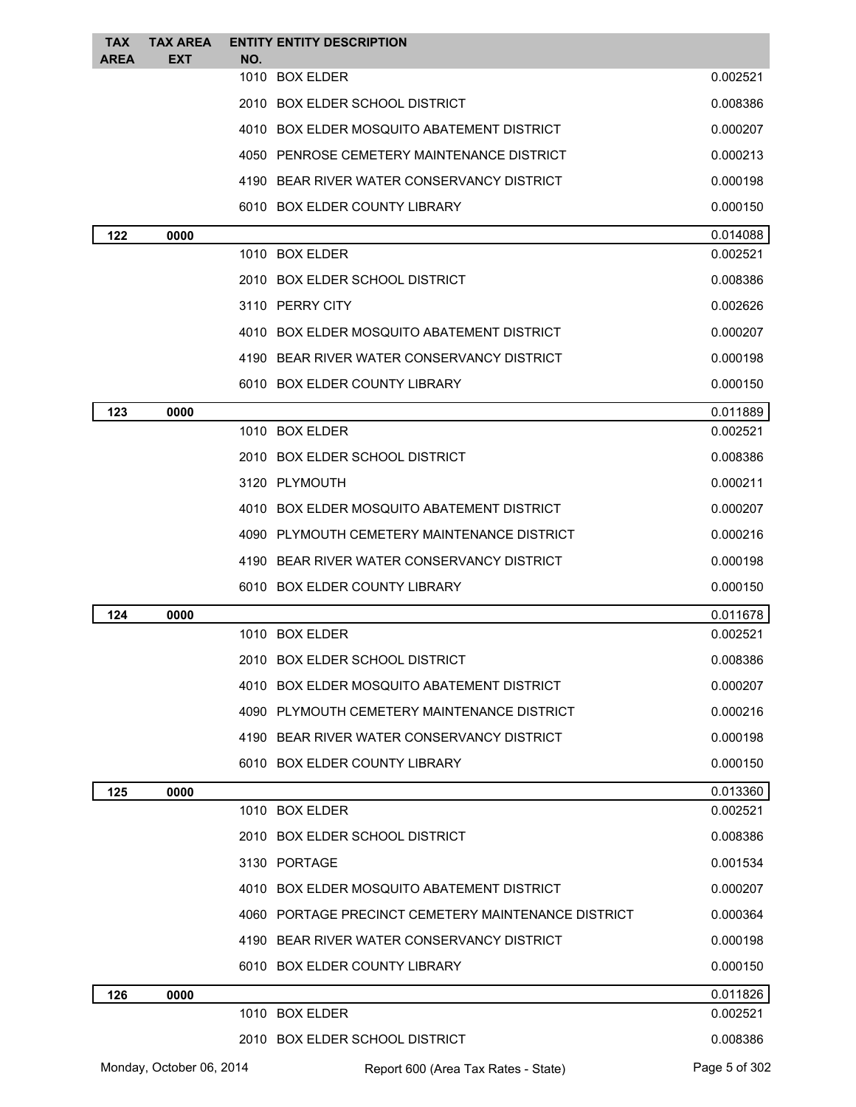| <b>TAX</b><br><b>AREA</b> | <b>TAX AREA</b><br><b>EXT</b> | NO. | <b>ENTITY ENTITY DESCRIPTION</b>                    |                      |
|---------------------------|-------------------------------|-----|-----------------------------------------------------|----------------------|
|                           |                               |     | 1010 BOX ELDER                                      | 0.002521             |
|                           |                               |     | 2010 BOX ELDER SCHOOL DISTRICT                      | 0.008386             |
|                           |                               |     | 4010 BOX ELDER MOSQUITO ABATEMENT DISTRICT          | 0.000207             |
|                           |                               |     | 4050 PENROSE CEMETERY MAINTENANCE DISTRICT          | 0.000213             |
|                           |                               |     | 4190 BEAR RIVER WATER CONSERVANCY DISTRICT          | 0.000198             |
|                           |                               |     | 6010 BOX ELDER COUNTY LIBRARY                       | 0.000150             |
| 122                       | 0000                          |     |                                                     | 0.014088             |
|                           |                               |     | 1010 BOX ELDER                                      | 0.002521             |
|                           |                               |     | 2010 BOX ELDER SCHOOL DISTRICT                      | 0.008386             |
|                           |                               |     | 3110 PERRY CITY                                     | 0.002626             |
|                           |                               |     | 4010 BOX ELDER MOSQUITO ABATEMENT DISTRICT          | 0.000207             |
|                           |                               |     | 4190 BEAR RIVER WATER CONSERVANCY DISTRICT          | 0.000198             |
|                           |                               |     | 6010 BOX ELDER COUNTY LIBRARY                       | 0.000150             |
| 123                       | 0000                          |     |                                                     | 0.011889             |
|                           |                               |     | 1010 BOX ELDER                                      | 0.002521             |
|                           |                               |     | 2010 BOX ELDER SCHOOL DISTRICT                      | 0.008386             |
|                           |                               |     | 3120 PLYMOUTH                                       | 0.000211             |
|                           |                               |     | 4010 BOX ELDER MOSQUITO ABATEMENT DISTRICT          | 0.000207             |
|                           |                               |     | 4090 PLYMOUTH CEMETERY MAINTENANCE DISTRICT         | 0.000216             |
|                           |                               |     | 4190 BEAR RIVER WATER CONSERVANCY DISTRICT          | 0.000198             |
|                           |                               |     | 6010 BOX ELDER COUNTY LIBRARY                       | 0.000150             |
| 124                       | 0000                          |     |                                                     | 0.011678             |
|                           |                               |     | 1010 BOX ELDER                                      | 0.002521             |
|                           |                               |     | 2010 BOX ELDER SCHOOL DISTRICT                      | 0.008386             |
|                           |                               |     | 4010 BOX ELDER MOSQUITO ABATEMENT DISTRICT          | 0.000207             |
|                           |                               |     | 4090 PLYMOUTH CEMETERY MAINTENANCE DISTRICT         | 0.000216             |
|                           |                               |     | 4190 BEAR RIVER WATER CONSERVANCY DISTRICT          | 0.000198             |
|                           |                               |     | 6010 BOX ELDER COUNTY LIBRARY                       | 0.000150             |
| 125                       | 0000                          |     |                                                     | 0.013360             |
|                           |                               |     | 1010 BOX ELDER                                      | 0.002521             |
|                           |                               |     | 2010 BOX ELDER SCHOOL DISTRICT                      | 0.008386             |
|                           |                               |     | 3130 PORTAGE                                        | 0.001534             |
|                           |                               |     | 4010 BOX ELDER MOSQUITO ABATEMENT DISTRICT          | 0.000207             |
|                           |                               |     | 4060 PORTAGE PRECINCT CEMETERY MAINTENANCE DISTRICT | 0.000364             |
|                           |                               |     | 4190 BEAR RIVER WATER CONSERVANCY DISTRICT          | 0.000198             |
|                           |                               |     | 6010 BOX ELDER COUNTY LIBRARY                       | 0.000150             |
| 126                       | 0000                          |     | 1010 BOX ELDER                                      | 0.011826<br>0.002521 |
|                           |                               |     | 2010 BOX ELDER SCHOOL DISTRICT                      | 0.008386             |
|                           |                               |     |                                                     |                      |
|                           | Monday, October 06, 2014      |     | Report 600 (Area Tax Rates - State)                 | Page 5 of 302        |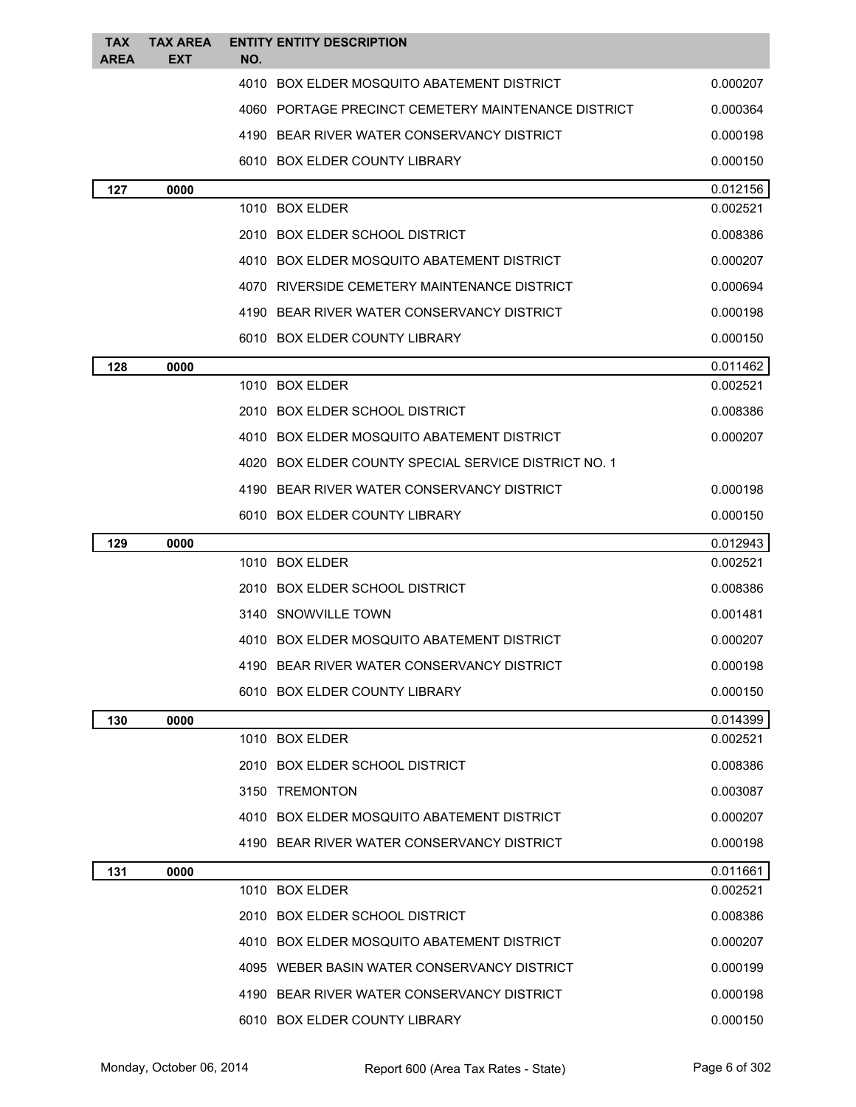| <b>TAX</b>  | <b>TAX AREA</b> | <b>ENTITY ENTITY DESCRIPTION</b>                     |          |
|-------------|-----------------|------------------------------------------------------|----------|
| <b>AREA</b> | <b>EXT</b>      | NO.                                                  |          |
|             |                 | 4010 BOX ELDER MOSQUITO ABATEMENT DISTRICT           | 0.000207 |
|             |                 | 4060 PORTAGE PRECINCT CEMETERY MAINTENANCE DISTRICT  | 0.000364 |
|             |                 | 4190 BEAR RIVER WATER CONSERVANCY DISTRICT           | 0.000198 |
|             |                 | 6010 BOX ELDER COUNTY LIBRARY                        | 0.000150 |
| 127         | 0000            |                                                      | 0.012156 |
|             |                 | 1010 BOX ELDER                                       | 0.002521 |
|             |                 | 2010 BOX ELDER SCHOOL DISTRICT                       | 0.008386 |
|             |                 | 4010 BOX ELDER MOSQUITO ABATEMENT DISTRICT           | 0.000207 |
|             |                 | 4070 RIVERSIDE CEMETERY MAINTENANCE DISTRICT         | 0.000694 |
|             |                 | 4190 BEAR RIVER WATER CONSERVANCY DISTRICT           | 0.000198 |
|             |                 | 6010 BOX ELDER COUNTY LIBRARY                        | 0.000150 |
| 128         | 0000            |                                                      | 0.011462 |
|             |                 | 1010 BOX ELDER                                       | 0.002521 |
|             |                 | 2010 BOX ELDER SCHOOL DISTRICT                       | 0.008386 |
|             |                 | 4010 BOX ELDER MOSQUITO ABATEMENT DISTRICT           | 0.000207 |
|             |                 | 4020 BOX ELDER COUNTY SPECIAL SERVICE DISTRICT NO. 1 |          |
|             |                 | 4190 BEAR RIVER WATER CONSERVANCY DISTRICT           | 0.000198 |
|             |                 | 6010 BOX ELDER COUNTY LIBRARY                        | 0.000150 |
| 129         | 0000            |                                                      | 0.012943 |
|             |                 | 1010 BOX ELDER                                       | 0.002521 |
|             |                 | 2010 BOX ELDER SCHOOL DISTRICT                       | 0.008386 |
|             |                 | 3140 SNOWVILLE TOWN                                  | 0.001481 |
|             |                 | 4010 BOX ELDER MOSQUITO ABATEMENT DISTRICT           | 0.000207 |
|             |                 | 4190 BEAR RIVER WATER CONSERVANCY DISTRICT           | 0.000198 |
|             |                 | 6010 BOX ELDER COUNTY LIBRARY                        | 0.000150 |
| 130         | 0000            |                                                      | 0.014399 |
|             |                 | 1010 BOX ELDER                                       | 0.002521 |
|             |                 | 2010 BOX ELDER SCHOOL DISTRICT                       | 0.008386 |
|             |                 | 3150 TREMONTON                                       | 0.003087 |
|             |                 | 4010 BOX ELDER MOSQUITO ABATEMENT DISTRICT           | 0.000207 |
|             |                 | 4190 BEAR RIVER WATER CONSERVANCY DISTRICT           | 0.000198 |
| 131         | 0000            |                                                      | 0.011661 |
|             |                 | 1010 BOX ELDER                                       | 0.002521 |
|             |                 | 2010 BOX ELDER SCHOOL DISTRICT                       | 0.008386 |
|             |                 | 4010 BOX ELDER MOSQUITO ABATEMENT DISTRICT           | 0.000207 |
|             |                 | 4095 WEBER BASIN WATER CONSERVANCY DISTRICT          | 0.000199 |
|             |                 | 4190 BEAR RIVER WATER CONSERVANCY DISTRICT           | 0.000198 |
|             |                 | 6010 BOX ELDER COUNTY LIBRARY                        | 0.000150 |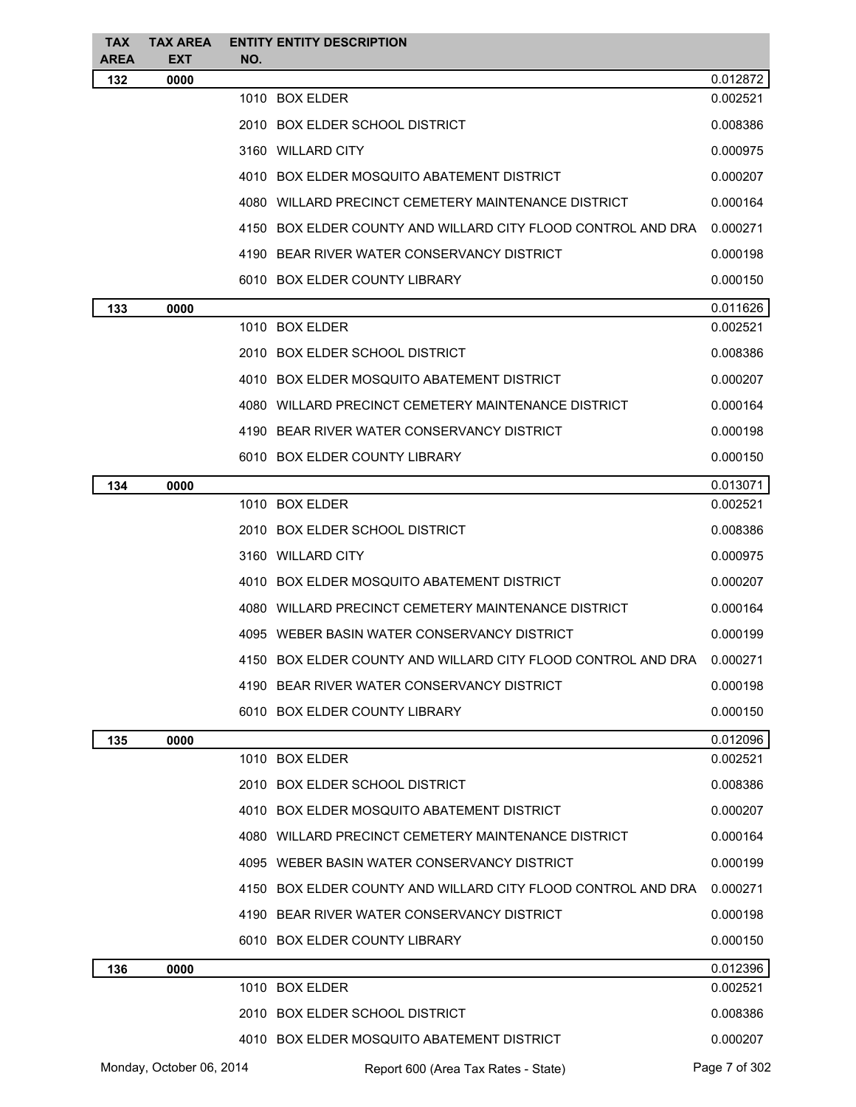| <b>TAX</b><br><b>AREA</b> | <b>TAX AREA</b><br><b>EXT</b> | NO. | <b>ENTITY ENTITY DESCRIPTION</b>                             |               |
|---------------------------|-------------------------------|-----|--------------------------------------------------------------|---------------|
| 132                       | 0000                          |     |                                                              | 0.012872      |
|                           |                               |     | 1010 BOX ELDER                                               | 0.002521      |
|                           |                               |     | 2010 BOX ELDER SCHOOL DISTRICT                               | 0.008386      |
|                           |                               |     | 3160 WILLARD CITY                                            | 0.000975      |
|                           |                               |     | 4010 BOX ELDER MOSQUITO ABATEMENT DISTRICT                   | 0.000207      |
|                           |                               |     | 4080 WILLARD PRECINCT CEMETERY MAINTENANCE DISTRICT          | 0.000164      |
|                           |                               |     | 4150 BOX ELDER COUNTY AND WILLARD CITY FLOOD CONTROL AND DRA | 0.000271      |
|                           |                               |     | 4190 BEAR RIVER WATER CONSERVANCY DISTRICT                   | 0.000198      |
|                           |                               |     | 6010 BOX ELDER COUNTY LIBRARY                                | 0.000150      |
| 133                       | 0000                          |     |                                                              | 0.011626      |
|                           |                               |     | 1010 BOX ELDER                                               | 0.002521      |
|                           |                               |     | 2010 BOX ELDER SCHOOL DISTRICT                               | 0.008386      |
|                           |                               |     | 4010 BOX ELDER MOSQUITO ABATEMENT DISTRICT                   | 0.000207      |
|                           |                               |     | 4080 WILLARD PRECINCT CEMETERY MAINTENANCE DISTRICT          | 0.000164      |
|                           |                               |     | 4190 BEAR RIVER WATER CONSERVANCY DISTRICT                   | 0.000198      |
|                           |                               |     | 6010 BOX ELDER COUNTY LIBRARY                                | 0.000150      |
| 134                       | 0000                          |     |                                                              | 0.013071      |
|                           |                               |     | 1010 BOX ELDER                                               | 0.002521      |
|                           |                               |     | 2010 BOX ELDER SCHOOL DISTRICT                               | 0.008386      |
|                           |                               |     | 3160 WILLARD CITY                                            | 0.000975      |
|                           |                               |     | 4010 BOX ELDER MOSQUITO ABATEMENT DISTRICT                   | 0.000207      |
|                           |                               |     | 4080 WILLARD PRECINCT CEMETERY MAINTENANCE DISTRICT          | 0.000164      |
|                           |                               |     | 4095 WEBER BASIN WATER CONSERVANCY DISTRICT                  | 0.000199      |
|                           |                               |     | 4150 BOX ELDER COUNTY AND WILLARD CITY FLOOD CONTROL AND DRA | 0.000271      |
|                           |                               |     | 4190 BEAR RIVER WATER CONSERVANCY DISTRICT                   | 0.000198      |
|                           |                               |     | 6010 BOX ELDER COUNTY LIBRARY                                | 0.000150      |
| 135                       | 0000                          |     |                                                              | 0.012096      |
|                           |                               |     | 1010 BOX ELDER                                               | 0.002521      |
|                           |                               |     | 2010 BOX ELDER SCHOOL DISTRICT                               | 0.008386      |
|                           |                               |     | 4010 BOX ELDER MOSQUITO ABATEMENT DISTRICT                   | 0.000207      |
|                           |                               |     | 4080 WILLARD PRECINCT CEMETERY MAINTENANCE DISTRICT          | 0.000164      |
|                           |                               |     | 4095 WEBER BASIN WATER CONSERVANCY DISTRICT                  | 0.000199      |
|                           |                               |     | 4150 BOX ELDER COUNTY AND WILLARD CITY FLOOD CONTROL AND DRA | 0.000271      |
|                           |                               |     | 4190 BEAR RIVER WATER CONSERVANCY DISTRICT                   | 0.000198      |
|                           |                               |     | 6010 BOX ELDER COUNTY LIBRARY                                | 0.000150      |
| 136                       | 0000                          |     |                                                              | 0.012396      |
|                           |                               |     | 1010 BOX ELDER                                               | 0.002521      |
|                           |                               |     | 2010 BOX ELDER SCHOOL DISTRICT                               | 0.008386      |
|                           |                               |     | 4010 BOX ELDER MOSQUITO ABATEMENT DISTRICT                   | 0.000207      |
|                           | Monday, October 06, 2014      |     | Report 600 (Area Tax Rates - State)                          | Page 7 of 302 |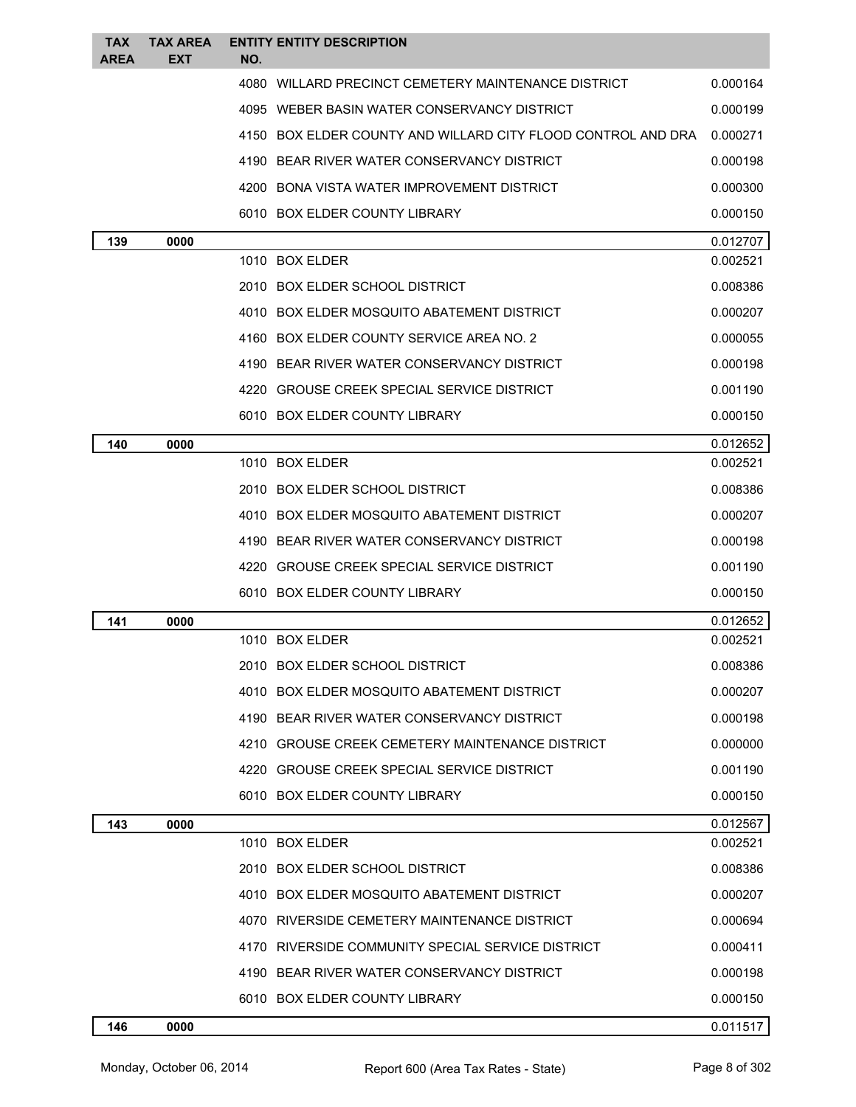| <b>TAX</b><br><b>AREA</b> | <b>TAX AREA</b><br>EXT | NO. | <b>ENTITY ENTITY DESCRIPTION</b>                             |          |
|---------------------------|------------------------|-----|--------------------------------------------------------------|----------|
|                           |                        |     | 4080 WILLARD PRECINCT CEMETERY MAINTENANCE DISTRICT          | 0.000164 |
|                           |                        |     | 4095 WEBER BASIN WATER CONSERVANCY DISTRICT                  | 0.000199 |
|                           |                        |     | 4150 BOX ELDER COUNTY AND WILLARD CITY FLOOD CONTROL AND DRA | 0.000271 |
|                           |                        |     | 4190 BEAR RIVER WATER CONSERVANCY DISTRICT                   | 0.000198 |
|                           |                        |     | 4200 BONA VISTA WATER IMPROVEMENT DISTRICT                   | 0.000300 |
|                           |                        |     | 6010 BOX ELDER COUNTY LIBRARY                                | 0.000150 |
| 139                       | 0000                   |     |                                                              | 0.012707 |
|                           |                        |     | 1010 BOX ELDER                                               | 0.002521 |
|                           |                        |     | 2010 BOX ELDER SCHOOL DISTRICT                               | 0.008386 |
|                           |                        |     | 4010 BOX ELDER MOSQUITO ABATEMENT DISTRICT                   | 0.000207 |
|                           |                        |     | 4160 BOX ELDER COUNTY SERVICE AREA NO. 2                     | 0.000055 |
|                           |                        |     | 4190 BEAR RIVER WATER CONSERVANCY DISTRICT                   | 0.000198 |
|                           |                        |     | 4220 GROUSE CREEK SPECIAL SERVICE DISTRICT                   | 0.001190 |
|                           |                        |     | 6010 BOX ELDER COUNTY LIBRARY                                | 0.000150 |
| 140                       | 0000                   |     |                                                              | 0.012652 |
|                           |                        |     | 1010 BOX ELDER                                               | 0.002521 |
|                           |                        |     | 2010 BOX ELDER SCHOOL DISTRICT                               | 0.008386 |
|                           |                        |     | 4010 BOX ELDER MOSQUITO ABATEMENT DISTRICT                   | 0.000207 |
|                           |                        |     | 4190 BEAR RIVER WATER CONSERVANCY DISTRICT                   | 0.000198 |
|                           |                        |     | 4220 GROUSE CREEK SPECIAL SERVICE DISTRICT                   | 0.001190 |
|                           |                        |     | 6010 BOX ELDER COUNTY LIBRARY                                | 0.000150 |
| 141                       | 0000                   |     |                                                              | 0.012652 |
|                           |                        |     | 1010 BOX ELDER                                               | 0.002521 |
|                           |                        |     | 2010 BOX ELDER SCHOOL DISTRICT                               | 0.008386 |
|                           |                        |     | 4010 BOX ELDER MOSQUITO ABATEMENT DISTRICT                   | 0.000207 |
|                           |                        |     | 4190 BEAR RIVER WATER CONSERVANCY DISTRICT                   | 0.000198 |
|                           |                        |     | 4210 GROUSE CREEK CEMETERY MAINTENANCE DISTRICT              | 0.000000 |
|                           |                        |     | 4220 GROUSE CREEK SPECIAL SERVICE DISTRICT                   | 0.001190 |
|                           |                        |     | 6010 BOX ELDER COUNTY LIBRARY                                | 0.000150 |
| 143                       | 0000                   |     |                                                              | 0.012567 |
|                           |                        |     | 1010 BOX ELDER                                               | 0.002521 |
|                           |                        |     | 2010 BOX ELDER SCHOOL DISTRICT                               | 0.008386 |
|                           |                        |     | 4010 BOX ELDER MOSQUITO ABATEMENT DISTRICT                   | 0.000207 |
|                           |                        |     | 4070 RIVERSIDE CEMETERY MAINTENANCE DISTRICT                 | 0.000694 |
|                           |                        |     | 4170 RIVERSIDE COMMUNITY SPECIAL SERVICE DISTRICT            | 0.000411 |
|                           |                        |     | 4190 BEAR RIVER WATER CONSERVANCY DISTRICT                   | 0.000198 |
|                           |                        |     | 6010 BOX ELDER COUNTY LIBRARY                                | 0.000150 |
| 146                       | 0000                   |     |                                                              | 0.011517 |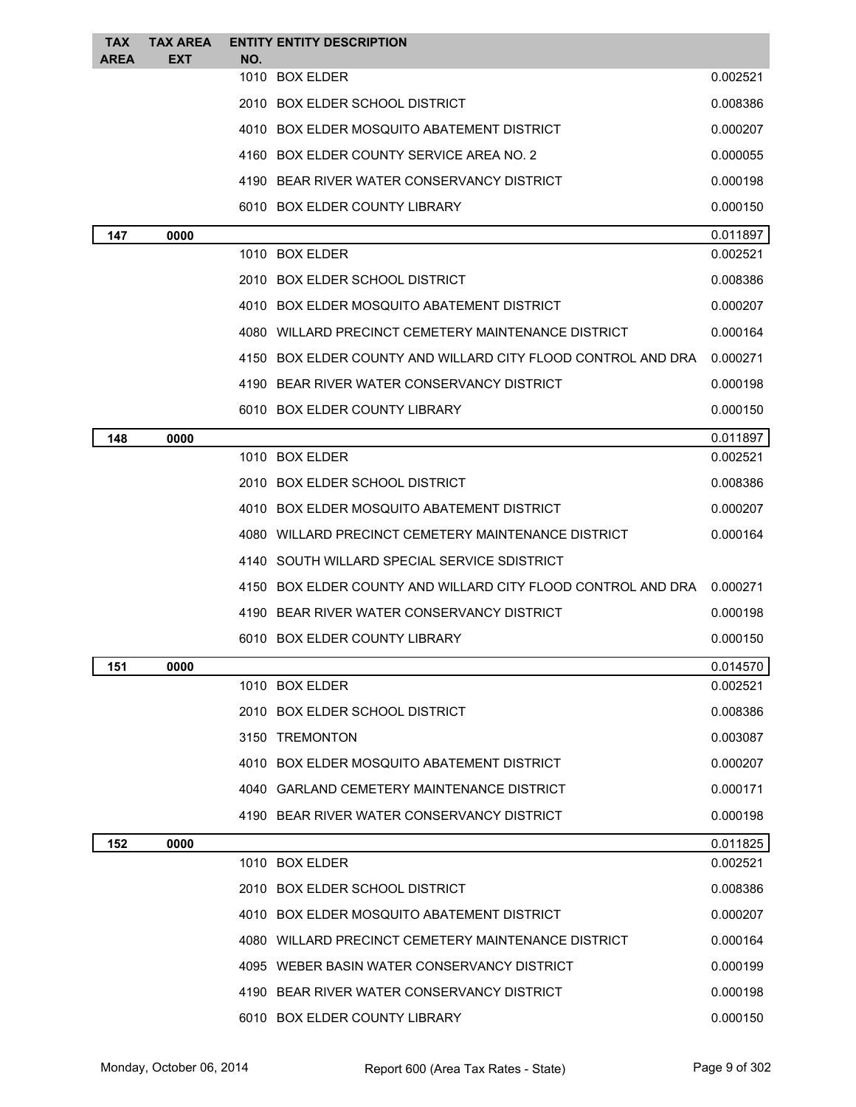| <b>TAX</b><br>AREA | <b>TAX AREA</b><br><b>EXT</b> | NO. | <b>ENTITY ENTITY DESCRIPTION</b>                             |          |
|--------------------|-------------------------------|-----|--------------------------------------------------------------|----------|
|                    |                               |     | 1010 BOX ELDER                                               | 0.002521 |
|                    |                               |     | 2010 BOX ELDER SCHOOL DISTRICT                               | 0.008386 |
|                    |                               |     | 4010 BOX ELDER MOSQUITO ABATEMENT DISTRICT                   | 0.000207 |
|                    |                               |     | 4160 BOX ELDER COUNTY SERVICE AREA NO. 2                     | 0.000055 |
|                    |                               |     | 4190 BEAR RIVER WATER CONSERVANCY DISTRICT                   | 0.000198 |
|                    |                               |     | 6010 BOX ELDER COUNTY LIBRARY                                | 0.000150 |
| 147                | 0000                          |     |                                                              | 0.011897 |
|                    |                               |     | 1010 BOX ELDER                                               | 0.002521 |
|                    |                               |     | 2010 BOX ELDER SCHOOL DISTRICT                               | 0.008386 |
|                    |                               |     | 4010 BOX ELDER MOSQUITO ABATEMENT DISTRICT                   | 0.000207 |
|                    |                               |     | 4080 WILLARD PRECINCT CEMETERY MAINTENANCE DISTRICT          | 0.000164 |
|                    |                               |     | 4150 BOX ELDER COUNTY AND WILLARD CITY FLOOD CONTROL AND DRA | 0.000271 |
|                    |                               |     | 4190 BEAR RIVER WATER CONSERVANCY DISTRICT                   | 0.000198 |
|                    |                               |     | 6010 BOX ELDER COUNTY LIBRARY                                | 0.000150 |
| 148                | 0000                          |     |                                                              | 0.011897 |
|                    |                               |     | 1010 BOX ELDER                                               | 0.002521 |
|                    |                               |     | 2010 BOX ELDER SCHOOL DISTRICT                               | 0.008386 |
|                    |                               |     | 4010 BOX ELDER MOSQUITO ABATEMENT DISTRICT                   | 0.000207 |
|                    |                               |     | 4080 WILLARD PRECINCT CEMETERY MAINTENANCE DISTRICT          | 0.000164 |
|                    |                               |     | 4140 SOUTH WILLARD SPECIAL SERVICE SDISTRICT                 |          |
|                    |                               |     | 4150 BOX ELDER COUNTY AND WILLARD CITY FLOOD CONTROL AND DRA | 0.000271 |
|                    |                               |     | 4190 BEAR RIVER WATER CONSERVANCY DISTRICT                   | 0.000198 |
|                    |                               |     | 6010 BOX ELDER COUNTY LIBRARY                                | 0.000150 |
| 151                | 0000                          |     |                                                              | 0.014570 |
|                    |                               |     | 1010 BOX ELDER                                               | 0.002521 |
|                    |                               |     | 2010 BOX ELDER SCHOOL DISTRICT                               | 0.008386 |
|                    |                               |     | 3150 TREMONTON                                               | 0.003087 |
|                    |                               |     | 4010 BOX ELDER MOSQUITO ABATEMENT DISTRICT                   | 0.000207 |
|                    |                               |     | 4040 GARLAND CEMETERY MAINTENANCE DISTRICT                   | 0.000171 |
|                    |                               |     | 4190 BEAR RIVER WATER CONSERVANCY DISTRICT                   | 0.000198 |
| 152                | 0000                          |     |                                                              | 0.011825 |
|                    |                               |     | 1010 BOX ELDER                                               | 0.002521 |
|                    |                               |     | 2010 BOX ELDER SCHOOL DISTRICT                               | 0.008386 |
|                    |                               |     | 4010 BOX ELDER MOSQUITO ABATEMENT DISTRICT                   | 0.000207 |
|                    |                               |     | 4080 WILLARD PRECINCT CEMETERY MAINTENANCE DISTRICT          | 0.000164 |
|                    |                               |     | 4095 WEBER BASIN WATER CONSERVANCY DISTRICT                  | 0.000199 |
|                    |                               |     | 4190 BEAR RIVER WATER CONSERVANCY DISTRICT                   | 0.000198 |
|                    |                               |     | 6010 BOX ELDER COUNTY LIBRARY                                | 0.000150 |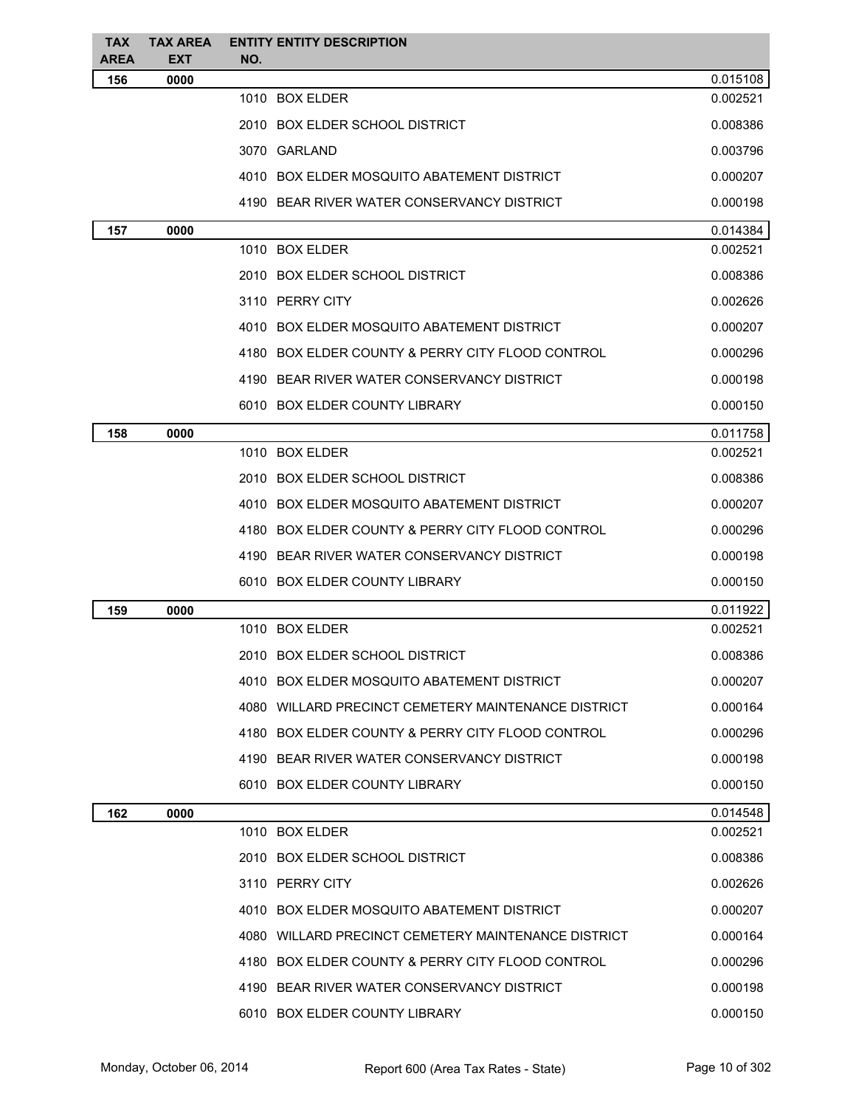| <b>TAX</b><br><b>AREA</b> | <b>TAX AREA</b><br><b>EXT</b> | <b>ENTITY ENTITY DESCRIPTION</b><br>NO.             |          |
|---------------------------|-------------------------------|-----------------------------------------------------|----------|
| 156                       | 0000                          |                                                     | 0.015108 |
|                           |                               | 1010 BOX ELDER                                      | 0.002521 |
|                           |                               | 2010 BOX ELDER SCHOOL DISTRICT                      | 0.008386 |
|                           |                               | 3070 GARLAND                                        | 0.003796 |
|                           |                               | 4010 BOX ELDER MOSQUITO ABATEMENT DISTRICT          | 0.000207 |
|                           |                               | 4190 BEAR RIVER WATER CONSERVANCY DISTRICT          | 0.000198 |
| 157                       | 0000                          |                                                     | 0.014384 |
|                           |                               | 1010 BOX ELDER                                      | 0.002521 |
|                           |                               | 2010 BOX ELDER SCHOOL DISTRICT                      | 0.008386 |
|                           |                               | 3110 PERRY CITY                                     | 0.002626 |
|                           |                               | 4010 BOX ELDER MOSQUITO ABATEMENT DISTRICT          | 0.000207 |
|                           |                               | 4180 BOX ELDER COUNTY & PERRY CITY FLOOD CONTROL    | 0.000296 |
|                           |                               | 4190 BEAR RIVER WATER CONSERVANCY DISTRICT          | 0.000198 |
|                           |                               | 6010 BOX ELDER COUNTY LIBRARY                       | 0.000150 |
| 158                       | 0000                          |                                                     | 0.011758 |
|                           |                               | 1010 BOX ELDER                                      | 0.002521 |
|                           |                               | 2010 BOX ELDER SCHOOL DISTRICT                      | 0.008386 |
|                           |                               | 4010 BOX ELDER MOSQUITO ABATEMENT DISTRICT          | 0.000207 |
|                           |                               | 4180 BOX ELDER COUNTY & PERRY CITY FLOOD CONTROL    | 0.000296 |
|                           |                               | 4190 BEAR RIVER WATER CONSERVANCY DISTRICT          | 0.000198 |
|                           |                               | 6010 BOX ELDER COUNTY LIBRARY                       | 0.000150 |
| 159                       | 0000                          |                                                     | 0.011922 |
|                           |                               | 1010 BOX ELDER                                      | 0.002521 |
|                           |                               | 2010 BOX ELDER SCHOOL DISTRICT                      | 0.008386 |
|                           |                               | 4010 BOX ELDER MOSQUITO ABATEMENT DISTRICT          | 0.000207 |
|                           |                               | 4080 WILLARD PRECINCT CEMETERY MAINTENANCE DISTRICT | 0.000164 |
|                           |                               | 4180 BOX ELDER COUNTY & PERRY CITY FLOOD CONTROL    | 0.000296 |
|                           |                               | 4190 BEAR RIVER WATER CONSERVANCY DISTRICT          | 0.000198 |
|                           |                               | 6010 BOX ELDER COUNTY LIBRARY                       | 0.000150 |
| 162                       | 0000                          |                                                     | 0.014548 |
|                           |                               | 1010 BOX ELDER                                      | 0.002521 |
|                           |                               | 2010 BOX ELDER SCHOOL DISTRICT                      | 0.008386 |
|                           |                               | 3110 PERRY CITY                                     | 0.002626 |
|                           |                               | 4010 BOX ELDER MOSQUITO ABATEMENT DISTRICT          | 0.000207 |
|                           |                               | 4080 WILLARD PRECINCT CEMETERY MAINTENANCE DISTRICT | 0.000164 |
|                           |                               | 4180 BOX ELDER COUNTY & PERRY CITY FLOOD CONTROL    | 0.000296 |
|                           |                               | 4190 BEAR RIVER WATER CONSERVANCY DISTRICT          | 0.000198 |
|                           |                               | 6010 BOX ELDER COUNTY LIBRARY                       | 0.000150 |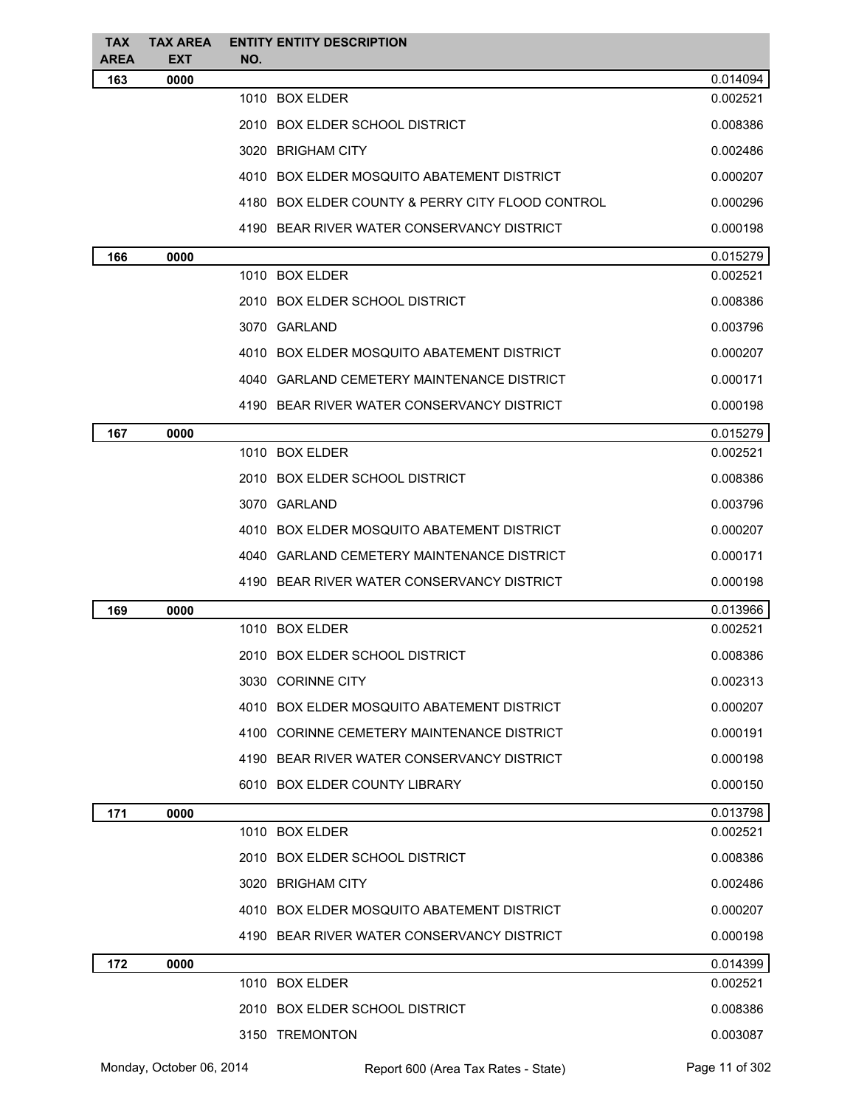| <b>TAX</b><br><b>AREA</b> | <b>TAX AREA</b><br><b>EXT</b> | <b>ENTITY ENTITY DESCRIPTION</b><br>NO.          |          |
|---------------------------|-------------------------------|--------------------------------------------------|----------|
| 163                       | 0000                          |                                                  | 0.014094 |
|                           |                               | 1010 BOX ELDER                                   | 0.002521 |
|                           |                               | 2010 BOX ELDER SCHOOL DISTRICT                   | 0.008386 |
|                           |                               | 3020 BRIGHAM CITY                                | 0.002486 |
|                           |                               | 4010 BOX ELDER MOSQUITO ABATEMENT DISTRICT       | 0.000207 |
|                           |                               | 4180 BOX ELDER COUNTY & PERRY CITY FLOOD CONTROL | 0.000296 |
|                           |                               | 4190 BEAR RIVER WATER CONSERVANCY DISTRICT       | 0.000198 |
| 166                       | 0000                          |                                                  | 0.015279 |
|                           |                               | 1010 BOX ELDER                                   | 0.002521 |
|                           |                               | 2010 BOX ELDER SCHOOL DISTRICT                   | 0.008386 |
|                           |                               | 3070 GARLAND                                     | 0.003796 |
|                           |                               | 4010 BOX ELDER MOSQUITO ABATEMENT DISTRICT       | 0.000207 |
|                           |                               | 4040 GARLAND CEMETERY MAINTENANCE DISTRICT       | 0.000171 |
|                           |                               | 4190 BEAR RIVER WATER CONSERVANCY DISTRICT       | 0.000198 |
| 167                       | 0000                          |                                                  | 0.015279 |
|                           |                               | 1010 BOX ELDER                                   | 0.002521 |
|                           |                               | 2010 BOX ELDER SCHOOL DISTRICT                   | 0.008386 |
|                           |                               | 3070 GARLAND                                     | 0.003796 |
|                           |                               | 4010 BOX ELDER MOSQUITO ABATEMENT DISTRICT       | 0.000207 |
|                           |                               | 4040 GARLAND CEMETERY MAINTENANCE DISTRICT       | 0.000171 |
|                           |                               | 4190 BEAR RIVER WATER CONSERVANCY DISTRICT       | 0.000198 |
| 169                       | 0000                          |                                                  | 0.013966 |
|                           |                               | 1010 BOX ELDER                                   | 0.002521 |
|                           |                               | 2010 BOX ELDER SCHOOL DISTRICT                   | 0.008386 |
|                           |                               | 3030 CORINNE CITY                                | 0.002313 |
|                           |                               | 4010 BOX ELDER MOSQUITO ABATEMENT DISTRICT       | 0.000207 |
|                           |                               | 4100 CORINNE CEMETERY MAINTENANCE DISTRICT       | 0.000191 |
|                           |                               | 4190 BEAR RIVER WATER CONSERVANCY DISTRICT       | 0.000198 |
|                           |                               | 6010 BOX ELDER COUNTY LIBRARY                    | 0.000150 |
| 171                       | 0000                          |                                                  | 0.013798 |
|                           |                               | 1010 BOX ELDER                                   | 0.002521 |
|                           |                               | 2010 BOX ELDER SCHOOL DISTRICT                   | 0.008386 |
|                           |                               | 3020 BRIGHAM CITY                                | 0.002486 |
|                           |                               | 4010 BOX ELDER MOSQUITO ABATEMENT DISTRICT       | 0.000207 |
|                           |                               | 4190 BEAR RIVER WATER CONSERVANCY DISTRICT       | 0.000198 |
| 172                       | 0000                          |                                                  | 0.014399 |
|                           |                               | 1010 BOX ELDER                                   | 0.002521 |
|                           |                               | 2010 BOX ELDER SCHOOL DISTRICT                   | 0.008386 |
|                           |                               | 3150 TREMONTON                                   | 0.003087 |
|                           |                               |                                                  |          |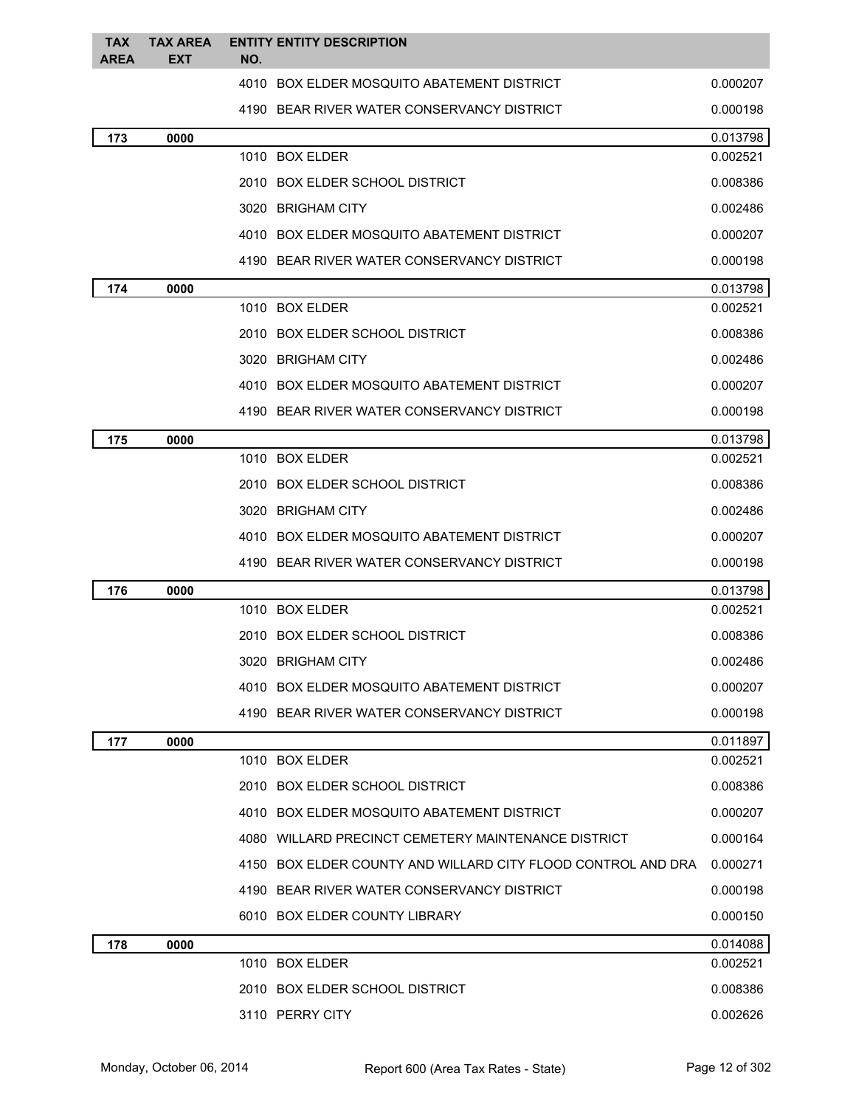| <b>TAX</b><br>AREA | <b>TAX AREA</b><br><b>EXT</b> | NO. | <b>ENTITY ENTITY DESCRIPTION</b>                             |          |
|--------------------|-------------------------------|-----|--------------------------------------------------------------|----------|
|                    |                               |     | 4010 BOX ELDER MOSQUITO ABATEMENT DISTRICT                   | 0.000207 |
|                    |                               |     | 4190 BEAR RIVER WATER CONSERVANCY DISTRICT                   | 0.000198 |
| 173                | 0000                          |     |                                                              | 0.013798 |
|                    |                               |     | 1010 BOX ELDER                                               | 0.002521 |
|                    |                               |     | 2010 BOX ELDER SCHOOL DISTRICT                               | 0.008386 |
|                    |                               |     | 3020 BRIGHAM CITY                                            | 0.002486 |
|                    |                               |     | 4010 BOX ELDER MOSQUITO ABATEMENT DISTRICT                   | 0.000207 |
|                    |                               |     | 4190 BEAR RIVER WATER CONSERVANCY DISTRICT                   | 0.000198 |
| 174                | 0000                          |     |                                                              | 0.013798 |
|                    |                               |     | 1010 BOX ELDER                                               | 0.002521 |
|                    |                               |     | 2010 BOX ELDER SCHOOL DISTRICT                               | 0.008386 |
|                    |                               |     | 3020 BRIGHAM CITY                                            | 0.002486 |
|                    |                               |     | 4010 BOX ELDER MOSQUITO ABATEMENT DISTRICT                   | 0.000207 |
|                    |                               |     | 4190 BEAR RIVER WATER CONSERVANCY DISTRICT                   | 0.000198 |
| 175                | 0000                          |     |                                                              | 0.013798 |
|                    |                               |     | 1010 BOX ELDER                                               | 0.002521 |
|                    |                               |     | 2010 BOX ELDER SCHOOL DISTRICT                               | 0.008386 |
|                    |                               |     | 3020 BRIGHAM CITY                                            | 0.002486 |
|                    |                               |     | 4010 BOX ELDER MOSQUITO ABATEMENT DISTRICT                   | 0.000207 |
|                    |                               |     | 4190 BEAR RIVER WATER CONSERVANCY DISTRICT                   | 0.000198 |
| 176                | 0000                          |     |                                                              | 0.013798 |
|                    |                               |     | 1010 BOX ELDER                                               | 0.002521 |
|                    |                               |     | 2010 BOX ELDER SCHOOL DISTRICT                               | 0.008386 |
|                    |                               |     | 3020 BRIGHAM CITY                                            | 0.002486 |
|                    |                               |     | 4010 BOX ELDER MOSQUITO ABATEMENT DISTRICT                   | 0.000207 |
|                    |                               |     | 4190 BEAR RIVER WATER CONSERVANCY DISTRICT                   | 0.000198 |
| 177                | 0000                          |     |                                                              | 0.011897 |
|                    |                               |     | 1010 BOX ELDER                                               | 0.002521 |
|                    |                               |     | 2010 BOX ELDER SCHOOL DISTRICT                               | 0.008386 |
|                    |                               |     | 4010 BOX ELDER MOSQUITO ABATEMENT DISTRICT                   | 0.000207 |
|                    |                               |     | 4080 WILLARD PRECINCT CEMETERY MAINTENANCE DISTRICT          | 0.000164 |
|                    |                               |     | 4150 BOX ELDER COUNTY AND WILLARD CITY FLOOD CONTROL AND DRA | 0.000271 |
|                    |                               |     | 4190 BEAR RIVER WATER CONSERVANCY DISTRICT                   | 0.000198 |
|                    |                               |     | 6010 BOX ELDER COUNTY LIBRARY                                | 0.000150 |
| 178                | 0000                          |     |                                                              | 0.014088 |
|                    |                               |     | 1010 BOX ELDER                                               | 0.002521 |
|                    |                               |     | 2010 BOX ELDER SCHOOL DISTRICT                               | 0.008386 |
|                    |                               |     | 3110 PERRY CITY                                              | 0.002626 |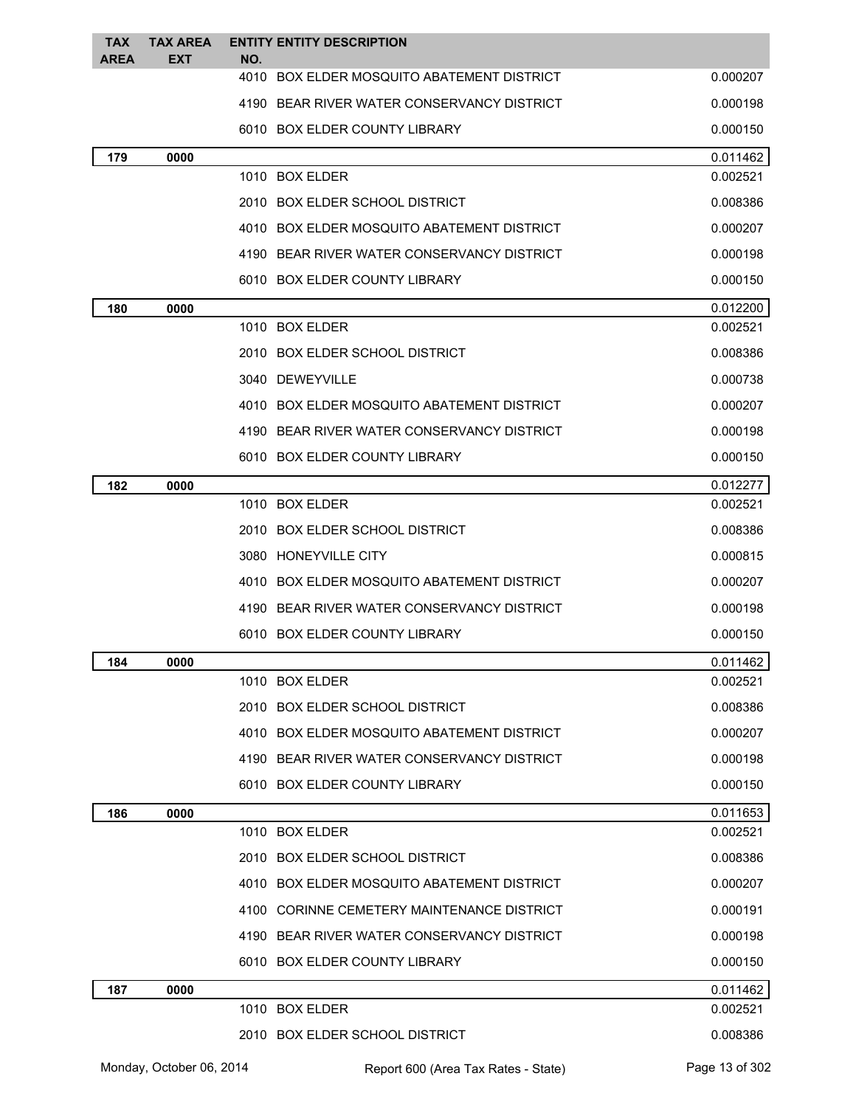| <b>TAX</b><br><b>AREA</b> | <b>TAX AREA</b><br><b>EXT</b> | <b>ENTITY ENTITY DESCRIPTION</b><br>NO.    |          |
|---------------------------|-------------------------------|--------------------------------------------|----------|
|                           |                               | 4010 BOX ELDER MOSQUITO ABATEMENT DISTRICT | 0.000207 |
|                           |                               | 4190 BEAR RIVER WATER CONSERVANCY DISTRICT | 0.000198 |
|                           |                               | 6010 BOX ELDER COUNTY LIBRARY              | 0.000150 |
| 179                       | 0000                          |                                            | 0.011462 |
|                           |                               | 1010 BOX ELDER                             | 0.002521 |
|                           |                               | 2010 BOX ELDER SCHOOL DISTRICT             | 0.008386 |
|                           |                               | 4010 BOX ELDER MOSQUITO ABATEMENT DISTRICT | 0.000207 |
|                           |                               | 4190 BEAR RIVER WATER CONSERVANCY DISTRICT | 0.000198 |
|                           |                               | 6010 BOX ELDER COUNTY LIBRARY              | 0.000150 |
| 180                       | 0000                          |                                            | 0.012200 |
|                           |                               | 1010 BOX ELDER                             | 0.002521 |
|                           |                               | 2010 BOX ELDER SCHOOL DISTRICT             | 0.008386 |
|                           |                               | 3040 DEWEYVILLE                            | 0.000738 |
|                           |                               | 4010 BOX ELDER MOSQUITO ABATEMENT DISTRICT | 0.000207 |
|                           |                               | 4190 BEAR RIVER WATER CONSERVANCY DISTRICT | 0.000198 |
|                           |                               | 6010 BOX ELDER COUNTY LIBRARY              | 0.000150 |
| 182                       | 0000                          |                                            | 0.012277 |
|                           |                               | 1010 BOX ELDER                             | 0.002521 |
|                           |                               | 2010 BOX ELDER SCHOOL DISTRICT             | 0.008386 |
|                           |                               | 3080 HONEYVILLE CITY                       | 0.000815 |
|                           |                               | 4010 BOX ELDER MOSQUITO ABATEMENT DISTRICT | 0.000207 |
|                           |                               | 4190 BEAR RIVER WATER CONSERVANCY DISTRICT | 0.000198 |
|                           |                               | 6010 BOX ELDER COUNTY LIBRARY              | 0.000150 |
| 184                       | 0000                          |                                            | 0.011462 |
|                           |                               | 1010 BOX ELDER                             | 0.002521 |
|                           |                               | 2010 BOX ELDER SCHOOL DISTRICT             | 0.008386 |
|                           |                               | 4010 BOX ELDER MOSQUITO ABATEMENT DISTRICT | 0.000207 |
|                           |                               | 4190 BEAR RIVER WATER CONSERVANCY DISTRICT | 0.000198 |
|                           |                               | 6010 BOX ELDER COUNTY LIBRARY              | 0.000150 |
| 186                       | 0000                          |                                            | 0.011653 |
|                           |                               | 1010 BOX ELDER                             | 0.002521 |
|                           |                               | 2010 BOX ELDER SCHOOL DISTRICT             | 0.008386 |
|                           |                               | 4010 BOX ELDER MOSQUITO ABATEMENT DISTRICT | 0.000207 |
|                           |                               | 4100 CORINNE CEMETERY MAINTENANCE DISTRICT | 0.000191 |
|                           |                               | 4190 BEAR RIVER WATER CONSERVANCY DISTRICT | 0.000198 |
|                           |                               | 6010 BOX ELDER COUNTY LIBRARY              | 0.000150 |
| 187                       | 0000                          |                                            | 0.011462 |
|                           |                               | 1010 BOX ELDER                             | 0.002521 |
|                           |                               | 2010 BOX ELDER SCHOOL DISTRICT             | 0.008386 |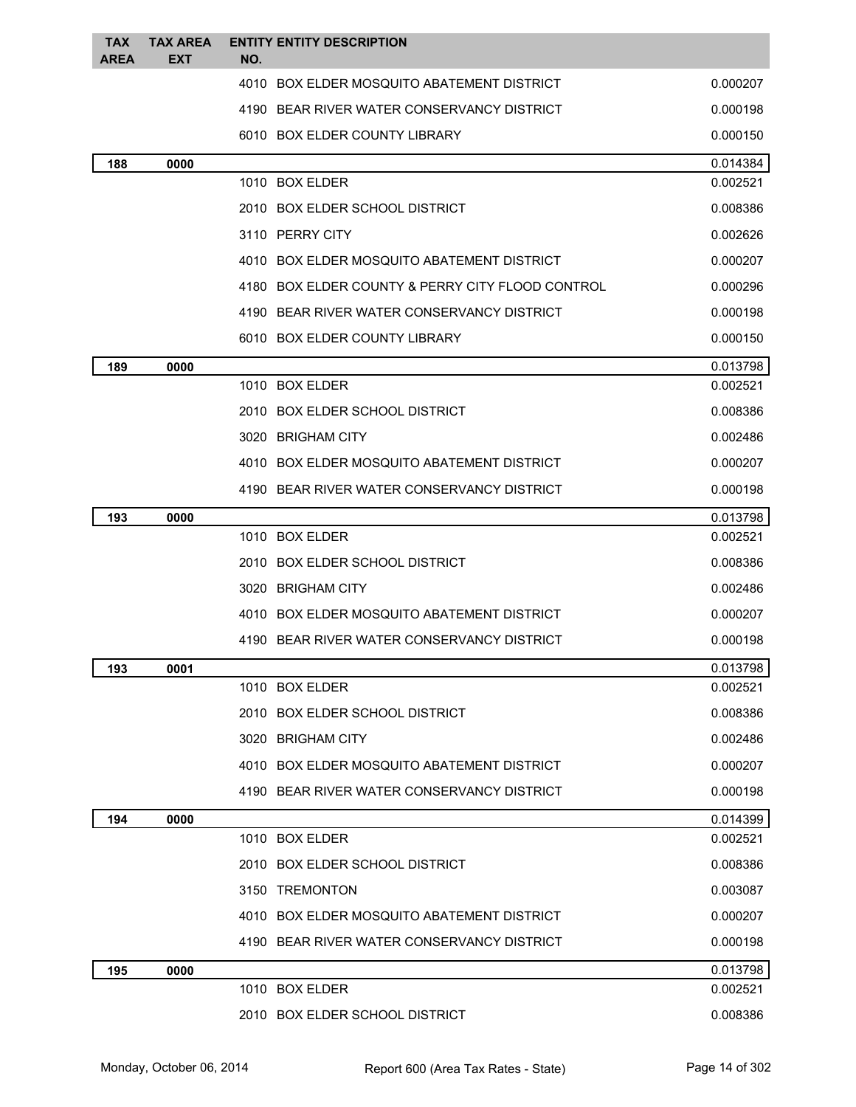| <b>TAX</b>  | <b>TAX AREA</b> | <b>ENTITY ENTITY DESCRIPTION</b>                 |          |
|-------------|-----------------|--------------------------------------------------|----------|
| <b>AREA</b> | <b>EXT</b>      | NO.                                              |          |
|             |                 | 4010 BOX ELDER MOSQUITO ABATEMENT DISTRICT       | 0.000207 |
|             |                 | 4190 BEAR RIVER WATER CONSERVANCY DISTRICT       | 0.000198 |
|             |                 | 6010 BOX ELDER COUNTY LIBRARY                    | 0.000150 |
| 188         | 0000            |                                                  | 0.014384 |
|             |                 | 1010 BOX ELDER                                   | 0.002521 |
|             |                 | 2010 BOX ELDER SCHOOL DISTRICT                   | 0.008386 |
|             |                 | 3110 PERRY CITY                                  | 0.002626 |
|             |                 | 4010 BOX ELDER MOSQUITO ABATEMENT DISTRICT       | 0.000207 |
|             |                 | 4180 BOX ELDER COUNTY & PERRY CITY FLOOD CONTROL | 0.000296 |
|             |                 | 4190 BEAR RIVER WATER CONSERVANCY DISTRICT       | 0.000198 |
|             |                 | 6010 BOX ELDER COUNTY LIBRARY                    | 0.000150 |
| 189         | 0000            |                                                  | 0.013798 |
|             |                 | 1010 BOX ELDER                                   | 0.002521 |
|             |                 | 2010 BOX ELDER SCHOOL DISTRICT                   | 0.008386 |
|             |                 | 3020 BRIGHAM CITY                                | 0.002486 |
|             |                 | 4010 BOX ELDER MOSQUITO ABATEMENT DISTRICT       | 0.000207 |
|             |                 | 4190 BEAR RIVER WATER CONSERVANCY DISTRICT       | 0.000198 |
| 193         | 0000            |                                                  | 0.013798 |
|             |                 | 1010 BOX ELDER                                   | 0.002521 |
|             |                 | 2010 BOX ELDER SCHOOL DISTRICT                   | 0.008386 |
|             |                 | 3020 BRIGHAM CITY                                | 0.002486 |
|             |                 | 4010 BOX ELDER MOSQUITO ABATEMENT DISTRICT       | 0.000207 |
|             |                 | 4190 BEAR RIVER WATER CONSERVANCY DISTRICT       | 0.000198 |
| 193         | 0001            |                                                  | 0.013798 |
|             |                 | 1010 BOX ELDER                                   | 0.002521 |
|             |                 | 2010 BOX ELDER SCHOOL DISTRICT                   | 0.008386 |
|             |                 | 3020 BRIGHAM CITY                                | 0.002486 |
|             |                 | 4010 BOX ELDER MOSQUITO ABATEMENT DISTRICT       | 0.000207 |
|             |                 | 4190 BEAR RIVER WATER CONSERVANCY DISTRICT       | 0.000198 |
| 194         | 0000            |                                                  | 0.014399 |
|             |                 | 1010 BOX ELDER                                   | 0.002521 |
|             |                 | 2010 BOX ELDER SCHOOL DISTRICT                   | 0.008386 |
|             |                 | 3150 TREMONTON                                   | 0.003087 |
|             |                 | 4010 BOX ELDER MOSQUITO ABATEMENT DISTRICT       | 0.000207 |
|             |                 | 4190 BEAR RIVER WATER CONSERVANCY DISTRICT       | 0.000198 |
| 195         | 0000            |                                                  | 0.013798 |
|             |                 | 1010 BOX ELDER                                   | 0.002521 |
|             |                 | 2010 BOX ELDER SCHOOL DISTRICT                   | 0.008386 |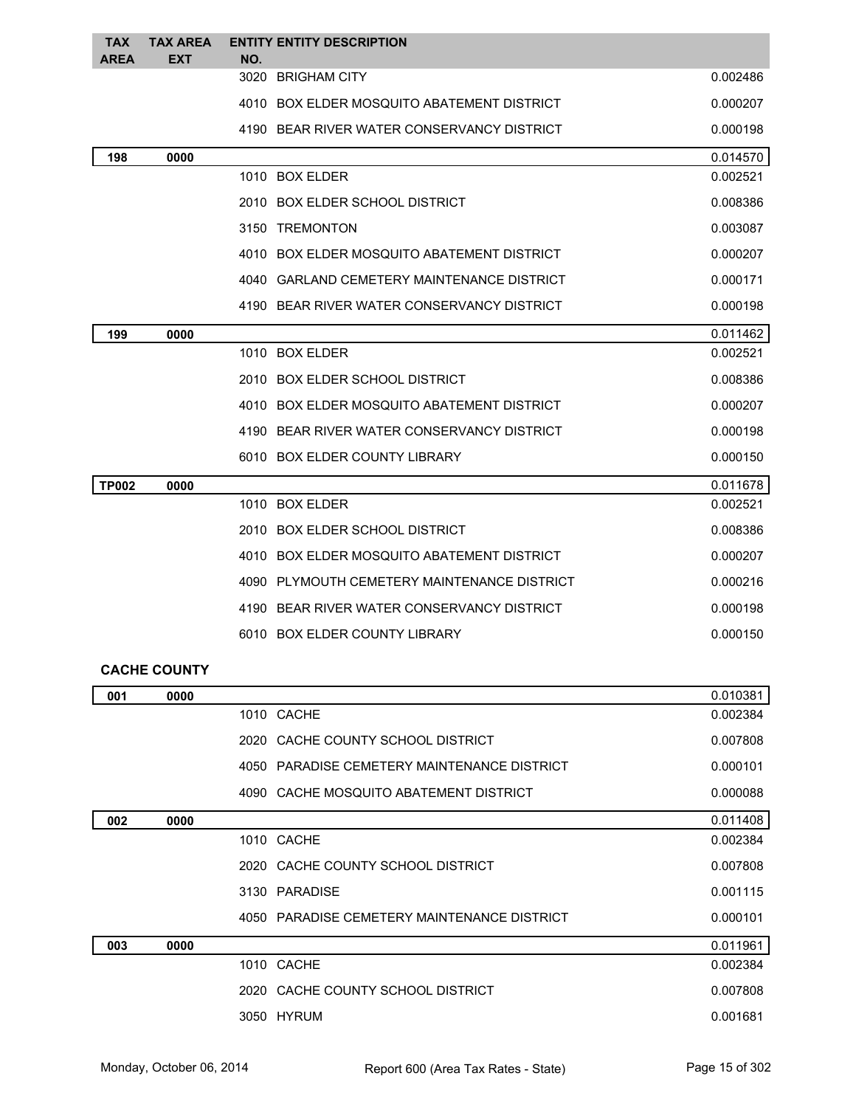| <b>TAX</b><br><b>AREA</b> | <b>TAX AREA</b><br><b>EXT</b> | <b>ENTITY ENTITY DESCRIPTION</b><br>NO.     |          |
|---------------------------|-------------------------------|---------------------------------------------|----------|
|                           |                               | 3020<br><b>BRIGHAM CITY</b>                 | 0.002486 |
|                           |                               | 4010 BOX ELDER MOSQUITO ABATEMENT DISTRICT  | 0.000207 |
|                           |                               | 4190 BEAR RIVER WATER CONSERVANCY DISTRICT  | 0.000198 |
| 198                       | 0000                          |                                             | 0.014570 |
|                           |                               | 1010 BOX ELDER                              | 0.002521 |
|                           |                               | 2010 BOX ELDER SCHOOL DISTRICT              | 0.008386 |
|                           |                               | 3150 TREMONTON                              | 0.003087 |
|                           |                               | 4010 BOX ELDER MOSQUITO ABATEMENT DISTRICT  | 0.000207 |
|                           |                               | 4040 GARLAND CEMETERY MAINTENANCE DISTRICT  | 0.000171 |
|                           |                               | 4190 BEAR RIVER WATER CONSERVANCY DISTRICT  | 0.000198 |
| 199                       | 0000                          |                                             | 0.011462 |
|                           |                               | 1010 BOX ELDER                              | 0.002521 |
|                           |                               | 2010 BOX ELDER SCHOOL DISTRICT              | 0.008386 |
|                           |                               | 4010 BOX ELDER MOSQUITO ABATEMENT DISTRICT  | 0.000207 |
|                           |                               | 4190 BEAR RIVER WATER CONSERVANCY DISTRICT  | 0.000198 |
|                           |                               | 6010 BOX ELDER COUNTY LIBRARY               | 0.000150 |
| <b>TP002</b>              | 0000                          |                                             | 0.011678 |
|                           |                               | 1010 BOX ELDER                              | 0.002521 |
|                           |                               | 2010 BOX ELDER SCHOOL DISTRICT              | 0.008386 |
|                           |                               | 4010 BOX ELDER MOSQUITO ABATEMENT DISTRICT  | 0.000207 |
|                           |                               | 4090 PLYMOUTH CEMETERY MAINTENANCE DISTRICT | 0.000216 |
|                           |                               | 4190 BEAR RIVER WATER CONSERVANCY DISTRICT  | 0.000198 |
|                           |                               | 6010 BOX ELDER COUNTY LIBRARY               | 0.000150 |
|                           |                               |                                             |          |

## **CACHE COUNTY**

| 001 | 0000 |                                             | 0.010381 |
|-----|------|---------------------------------------------|----------|
|     |      | 1010 CACHE                                  | 0.002384 |
|     |      | 2020 CACHE COUNTY SCHOOL DISTRICT           | 0.007808 |
|     |      | 4050 PARADISE CEMETERY MAINTENANCE DISTRICT | 0.000101 |
|     |      | 4090 CACHE MOSQUITO ABATEMENT DISTRICT      | 0.000088 |
| 002 | 0000 |                                             | 0.011408 |
|     |      | 1010 CACHE                                  | 0.002384 |
|     |      | 2020 CACHE COUNTY SCHOOL DISTRICT           | 0.007808 |
|     |      | 3130 PARADISE                               | 0.001115 |
|     |      | 4050 PARADISE CEMETERY MAINTENANCE DISTRICT | 0.000101 |
| 003 | 0000 |                                             | 0.011961 |
|     |      | 1010 CACHE                                  | 0.002384 |
|     |      | 2020 CACHE COUNTY SCHOOL DISTRICT           | 0.007808 |
|     |      | 3050 HYRUM                                  | 0.001681 |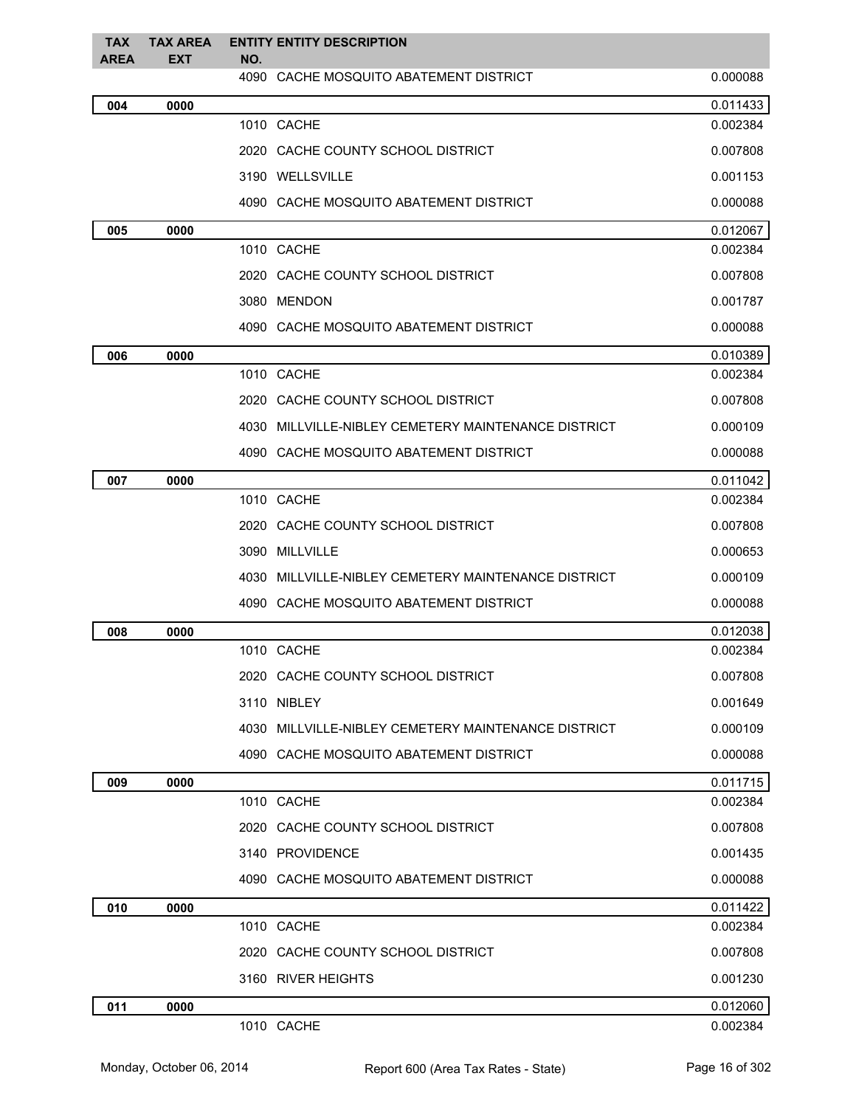| <b>TAX</b><br>AREA | <b>TAX AREA</b><br>EXT | <b>ENTITY ENTITY DESCRIPTION</b><br>NO.             |          |
|--------------------|------------------------|-----------------------------------------------------|----------|
|                    |                        | 4090 CACHE MOSQUITO ABATEMENT DISTRICT              | 0.000088 |
| 004                | 0000                   |                                                     | 0.011433 |
|                    |                        | 1010 CACHE                                          | 0.002384 |
|                    |                        | 2020 CACHE COUNTY SCHOOL DISTRICT                   | 0.007808 |
|                    |                        | 3190 WELLSVILLE                                     | 0.001153 |
|                    |                        | 4090 CACHE MOSQUITO ABATEMENT DISTRICT              | 0.000088 |
| 005                | 0000                   |                                                     | 0.012067 |
|                    |                        | 1010 CACHE                                          | 0.002384 |
|                    |                        | 2020 CACHE COUNTY SCHOOL DISTRICT                   | 0.007808 |
|                    |                        | 3080 MENDON                                         | 0.001787 |
|                    |                        | 4090 CACHE MOSQUITO ABATEMENT DISTRICT              | 0.000088 |
| 006                | 0000                   |                                                     | 0.010389 |
|                    |                        | 1010 CACHE                                          | 0.002384 |
|                    |                        | 2020 CACHE COUNTY SCHOOL DISTRICT                   | 0.007808 |
|                    |                        | 4030 MILLVILLE-NIBLEY CEMETERY MAINTENANCE DISTRICT | 0.000109 |
|                    |                        | 4090 CACHE MOSQUITO ABATEMENT DISTRICT              | 0.000088 |
| 007                | 0000                   |                                                     | 0.011042 |
|                    |                        | 1010 CACHE                                          | 0.002384 |
|                    |                        | 2020 CACHE COUNTY SCHOOL DISTRICT                   | 0.007808 |
|                    |                        | 3090 MILLVILLE                                      | 0.000653 |
|                    |                        | 4030 MILLVILLE-NIBLEY CEMETERY MAINTENANCE DISTRICT | 0.000109 |
|                    |                        | 4090 CACHE MOSQUITO ABATEMENT DISTRICT              | 0.000088 |
| 008                | 0000                   |                                                     | 0.012038 |
|                    |                        | 1010 CACHE                                          | 0.002384 |
|                    |                        | 2020 CACHE COUNTY SCHOOL DISTRICT                   | 0.007808 |
|                    |                        | 3110 NIBLEY                                         | 0.001649 |
|                    |                        | 4030 MILLVILLE-NIBLEY CEMETERY MAINTENANCE DISTRICT | 0.000109 |
|                    |                        | 4090 CACHE MOSQUITO ABATEMENT DISTRICT              | 0.000088 |
| 009                | 0000                   |                                                     | 0.011715 |
|                    |                        | 1010 CACHE                                          | 0.002384 |
|                    |                        | 2020 CACHE COUNTY SCHOOL DISTRICT                   | 0.007808 |
|                    |                        | 3140 PROVIDENCE                                     | 0.001435 |
|                    |                        | 4090 CACHE MOSQUITO ABATEMENT DISTRICT              | 0.000088 |
| 010                | 0000                   |                                                     | 0.011422 |
|                    |                        | 1010 CACHE                                          | 0.002384 |
|                    |                        | 2020 CACHE COUNTY SCHOOL DISTRICT                   | 0.007808 |
|                    |                        | 3160 RIVER HEIGHTS                                  | 0.001230 |
| 011                | 0000                   |                                                     | 0.012060 |
|                    |                        | 1010 CACHE                                          | 0.002384 |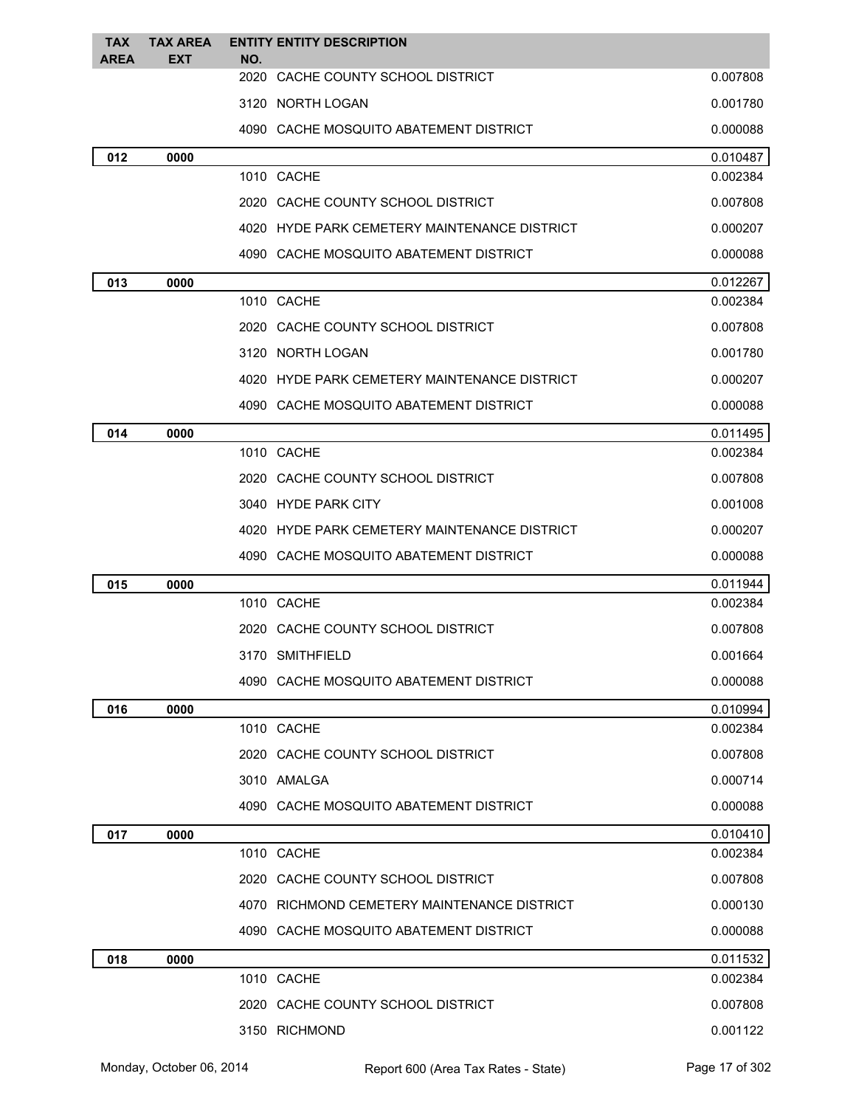| <b>TAX</b><br><b>AREA</b> | <b>TAX AREA</b><br>EXT | <b>ENTITY ENTITY DESCRIPTION</b><br>NO.      |          |
|---------------------------|------------------------|----------------------------------------------|----------|
|                           |                        | 2020 CACHE COUNTY SCHOOL DISTRICT            | 0.007808 |
|                           |                        | 3120 NORTH LOGAN                             | 0.001780 |
|                           |                        | 4090 CACHE MOSQUITO ABATEMENT DISTRICT       | 0.000088 |
| 012                       | 0000                   |                                              | 0.010487 |
|                           |                        | 1010 CACHE                                   | 0.002384 |
|                           |                        | 2020 CACHE COUNTY SCHOOL DISTRICT            | 0.007808 |
|                           |                        | 4020 HYDE PARK CEMETERY MAINTENANCE DISTRICT | 0.000207 |
|                           |                        | 4090 CACHE MOSQUITO ABATEMENT DISTRICT       | 0.000088 |
| 013                       | 0000                   |                                              | 0.012267 |
|                           |                        | 1010 CACHE                                   | 0.002384 |
|                           |                        | 2020 CACHE COUNTY SCHOOL DISTRICT            | 0.007808 |
|                           |                        | 3120 NORTH LOGAN                             | 0.001780 |
|                           |                        | 4020 HYDE PARK CEMETERY MAINTENANCE DISTRICT | 0.000207 |
|                           |                        | 4090 CACHE MOSQUITO ABATEMENT DISTRICT       | 0.000088 |
| 014                       | 0000                   |                                              | 0.011495 |
|                           |                        | 1010 CACHE                                   | 0.002384 |
|                           |                        | 2020 CACHE COUNTY SCHOOL DISTRICT            | 0.007808 |
|                           |                        | 3040 HYDE PARK CITY                          | 0.001008 |
|                           |                        | 4020 HYDE PARK CEMETERY MAINTENANCE DISTRICT | 0.000207 |
|                           |                        | 4090 CACHE MOSQUITO ABATEMENT DISTRICT       | 0.000088 |
| 015                       | 0000                   |                                              | 0.011944 |
|                           |                        | 1010 CACHE                                   | 0.002384 |
|                           |                        | 2020 CACHE COUNTY SCHOOL DISTRICT            | 0.007808 |
|                           |                        | 3170 SMITHFIELD                              | 0.001664 |
|                           |                        | 4090 CACHE MOSQUITO ABATEMENT DISTRICT       | 0.000088 |
| 016                       | 0000                   |                                              | 0.010994 |
|                           |                        | 1010 CACHE                                   | 0.002384 |
|                           |                        | 2020 CACHE COUNTY SCHOOL DISTRICT            | 0.007808 |
|                           |                        | 3010 AMALGA                                  | 0.000714 |
|                           |                        | 4090 CACHE MOSQUITO ABATEMENT DISTRICT       | 0.000088 |
| 017                       | 0000                   |                                              | 0.010410 |
|                           |                        | 1010 CACHE                                   | 0.002384 |
|                           |                        | 2020 CACHE COUNTY SCHOOL DISTRICT            | 0.007808 |
|                           |                        | 4070 RICHMOND CEMETERY MAINTENANCE DISTRICT  | 0.000130 |
|                           |                        | 4090 CACHE MOSQUITO ABATEMENT DISTRICT       | 0.000088 |
| 018                       | 0000                   |                                              | 0.011532 |
|                           |                        | 1010 CACHE                                   | 0.002384 |
|                           |                        | 2020 CACHE COUNTY SCHOOL DISTRICT            | 0.007808 |
|                           |                        | 3150 RICHMOND                                | 0.001122 |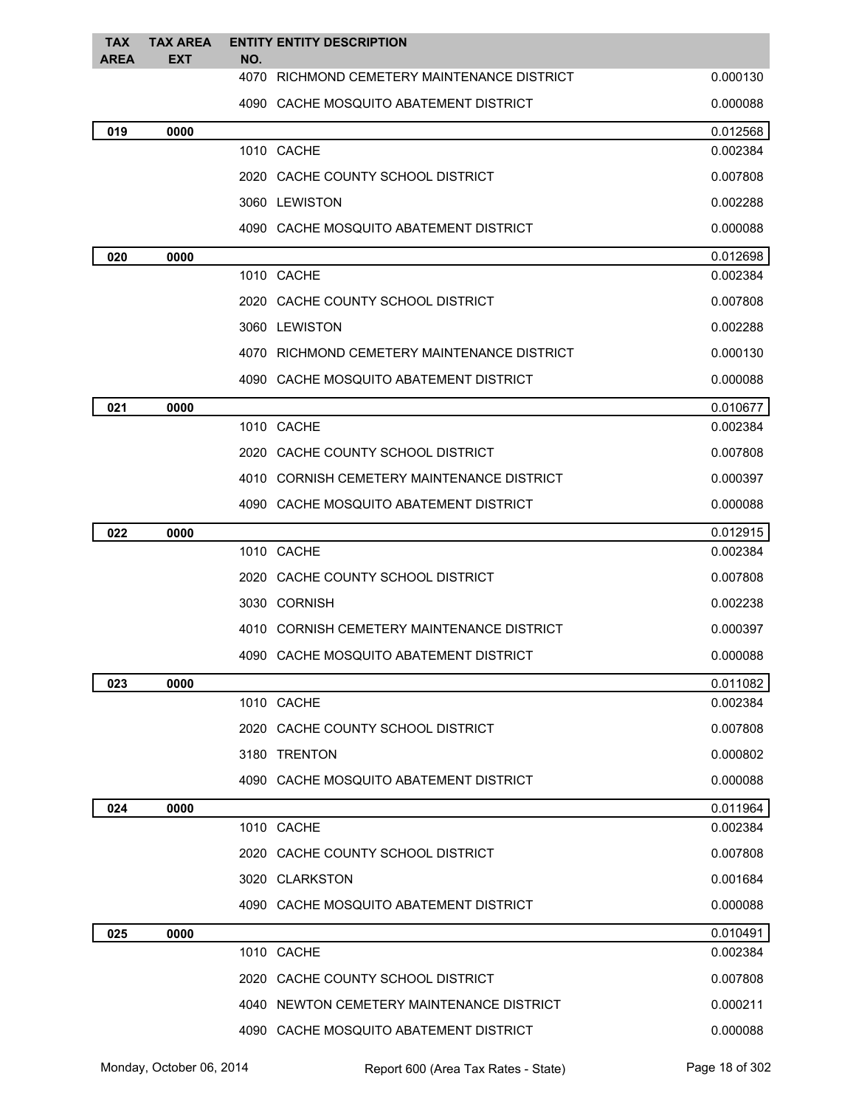| <b>TAX</b><br><b>AREA</b> | <b>TAX AREA</b><br><b>EXT</b> | <b>ENTITY ENTITY DESCRIPTION</b><br>NO.     |          |
|---------------------------|-------------------------------|---------------------------------------------|----------|
|                           |                               | 4070 RICHMOND CEMETERY MAINTENANCE DISTRICT | 0.000130 |
|                           |                               | 4090 CACHE MOSQUITO ABATEMENT DISTRICT      | 0.000088 |
| 019                       | 0000                          |                                             | 0.012568 |
|                           |                               | 1010 CACHE                                  | 0.002384 |
|                           |                               | 2020 CACHE COUNTY SCHOOL DISTRICT           | 0.007808 |
|                           |                               | 3060 LEWISTON                               | 0.002288 |
|                           |                               | 4090 CACHE MOSQUITO ABATEMENT DISTRICT      | 0.000088 |
| 020                       | 0000                          |                                             | 0.012698 |
|                           |                               | 1010 CACHE                                  | 0.002384 |
|                           |                               | 2020 CACHE COUNTY SCHOOL DISTRICT           | 0.007808 |
|                           |                               | 3060 LEWISTON                               | 0.002288 |
|                           |                               | 4070 RICHMOND CEMETERY MAINTENANCE DISTRICT | 0.000130 |
|                           |                               | 4090 CACHE MOSQUITO ABATEMENT DISTRICT      | 0.000088 |
| 021                       | 0000                          |                                             | 0.010677 |
|                           |                               | 1010 CACHE                                  | 0.002384 |
|                           |                               | 2020 CACHE COUNTY SCHOOL DISTRICT           | 0.007808 |
|                           |                               | 4010 CORNISH CEMETERY MAINTENANCE DISTRICT  | 0.000397 |
|                           |                               | 4090 CACHE MOSQUITO ABATEMENT DISTRICT      | 0.000088 |
| 022                       | 0000                          |                                             | 0.012915 |
|                           |                               | 1010 CACHE                                  | 0.002384 |
|                           |                               | 2020 CACHE COUNTY SCHOOL DISTRICT           | 0.007808 |
|                           |                               | 3030 CORNISH                                | 0.002238 |
|                           |                               | 4010 CORNISH CEMETERY MAINTENANCE DISTRICT  | 0.000397 |
|                           |                               | 4090 CACHE MOSQUITO ABATEMENT DISTRICT      | 0.000088 |
| 023                       | 0000                          |                                             | 0.011082 |
|                           |                               | 1010 CACHE                                  | 0.002384 |
|                           |                               | 2020 CACHE COUNTY SCHOOL DISTRICT           | 0.007808 |
|                           |                               | 3180 TRENTON                                | 0.000802 |
|                           |                               | 4090 CACHE MOSQUITO ABATEMENT DISTRICT      | 0.000088 |
| 024                       | 0000                          |                                             | 0.011964 |
|                           |                               | 1010 CACHE                                  | 0.002384 |
|                           |                               | 2020 CACHE COUNTY SCHOOL DISTRICT           | 0.007808 |
|                           |                               | 3020 CLARKSTON                              | 0.001684 |
|                           |                               | 4090 CACHE MOSQUITO ABATEMENT DISTRICT      | 0.000088 |
| 025                       | 0000                          |                                             | 0.010491 |
|                           |                               | 1010 CACHE                                  | 0.002384 |
|                           |                               | 2020 CACHE COUNTY SCHOOL DISTRICT           | 0.007808 |
|                           |                               | 4040 NEWTON CEMETERY MAINTENANCE DISTRICT   | 0.000211 |
|                           |                               | 4090 CACHE MOSQUITO ABATEMENT DISTRICT      | 0.000088 |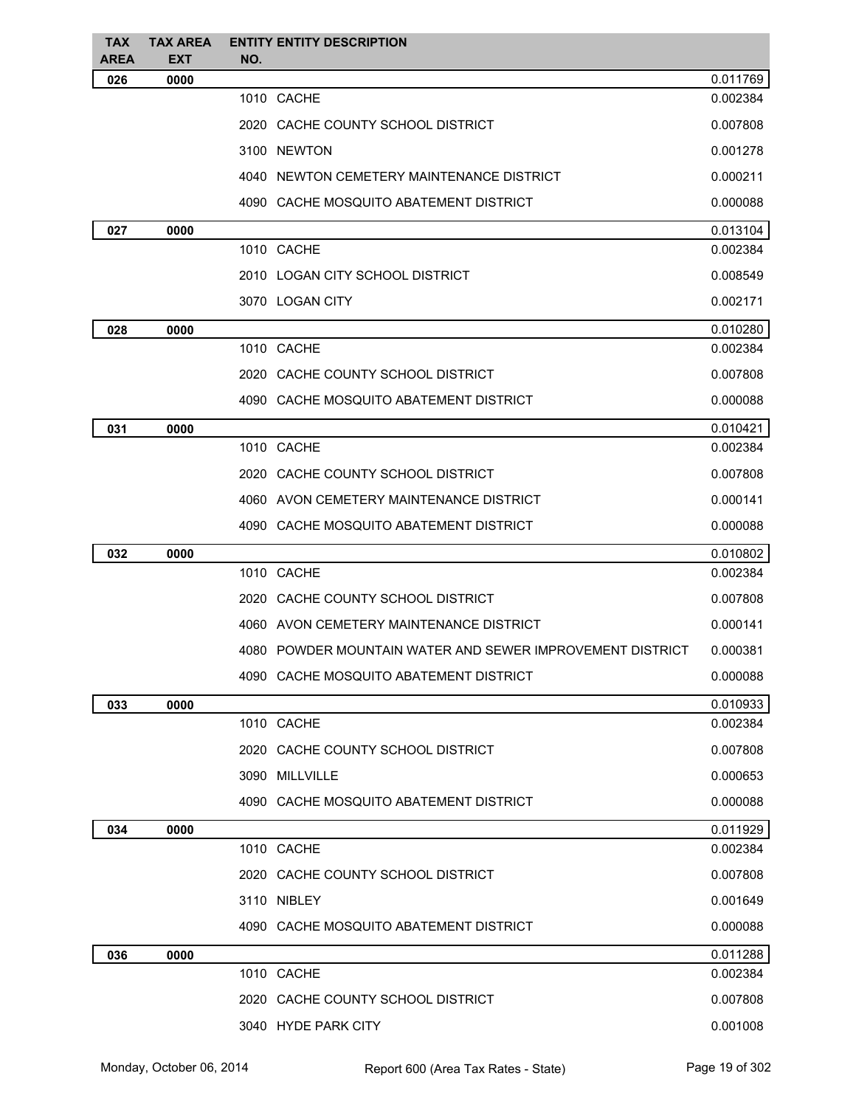| TAX<br>AREA | <b>TAX AREA</b><br><b>EXT</b> | <b>ENTITY ENTITY DESCRIPTION</b><br>NO.                   |          |
|-------------|-------------------------------|-----------------------------------------------------------|----------|
| 026         | 0000                          |                                                           | 0.011769 |
|             |                               | 1010 CACHE                                                | 0.002384 |
|             |                               | 2020 CACHE COUNTY SCHOOL DISTRICT                         | 0.007808 |
|             |                               | 3100 NEWTON                                               | 0.001278 |
|             |                               | 4040 NEWTON CEMETERY MAINTENANCE DISTRICT                 | 0.000211 |
|             |                               | 4090 CACHE MOSQUITO ABATEMENT DISTRICT                    | 0.000088 |
| 027         | 0000                          |                                                           | 0.013104 |
|             |                               | 1010 CACHE                                                | 0.002384 |
|             |                               | 2010 LOGAN CITY SCHOOL DISTRICT                           | 0.008549 |
|             |                               | 3070 LOGAN CITY                                           | 0.002171 |
| 028         | 0000                          |                                                           | 0.010280 |
|             |                               | 1010 CACHE                                                | 0.002384 |
|             |                               | 2020 CACHE COUNTY SCHOOL DISTRICT                         | 0.007808 |
|             |                               | 4090 CACHE MOSQUITO ABATEMENT DISTRICT                    | 0.000088 |
| 031         | 0000                          |                                                           | 0.010421 |
|             |                               | 1010 CACHE                                                | 0.002384 |
|             |                               | 2020 CACHE COUNTY SCHOOL DISTRICT                         | 0.007808 |
|             |                               | 4060 AVON CEMETERY MAINTENANCE DISTRICT                   | 0.000141 |
|             |                               | 4090 CACHE MOSQUITO ABATEMENT DISTRICT                    | 0.000088 |
| 032         | 0000                          |                                                           | 0.010802 |
|             |                               | 1010 CACHE                                                | 0.002384 |
|             |                               | 2020 CACHE COUNTY SCHOOL DISTRICT                         | 0.007808 |
|             |                               | 4060 AVON CEMETERY MAINTENANCE DISTRICT                   | 0.000141 |
|             |                               | 4080 POWDER MOUNTAIN WATER AND SEWER IMPROVEMENT DISTRICT | 0.000381 |
|             |                               | 4090 CACHE MOSQUITO ABATEMENT DISTRICT                    | 0.000088 |
| 033         | 0000                          |                                                           | 0.010933 |
|             |                               | 1010 CACHE                                                | 0.002384 |
|             |                               | 2020 CACHE COUNTY SCHOOL DISTRICT                         | 0.007808 |
|             |                               | 3090 MILLVILLE                                            | 0.000653 |
|             |                               | 4090 CACHE MOSQUITO ABATEMENT DISTRICT                    | 0.000088 |
| 034         | 0000                          |                                                           | 0.011929 |
|             |                               | 1010 CACHE                                                | 0.002384 |
|             |                               | 2020 CACHE COUNTY SCHOOL DISTRICT                         | 0.007808 |
|             |                               | 3110 NIBLEY                                               | 0.001649 |
|             |                               | 4090 CACHE MOSQUITO ABATEMENT DISTRICT                    | 0.000088 |
| 036         | 0000                          |                                                           | 0.011288 |
|             |                               | 1010 CACHE                                                | 0.002384 |
|             |                               | 2020 CACHE COUNTY SCHOOL DISTRICT                         | 0.007808 |
|             |                               | 3040 HYDE PARK CITY                                       | 0.001008 |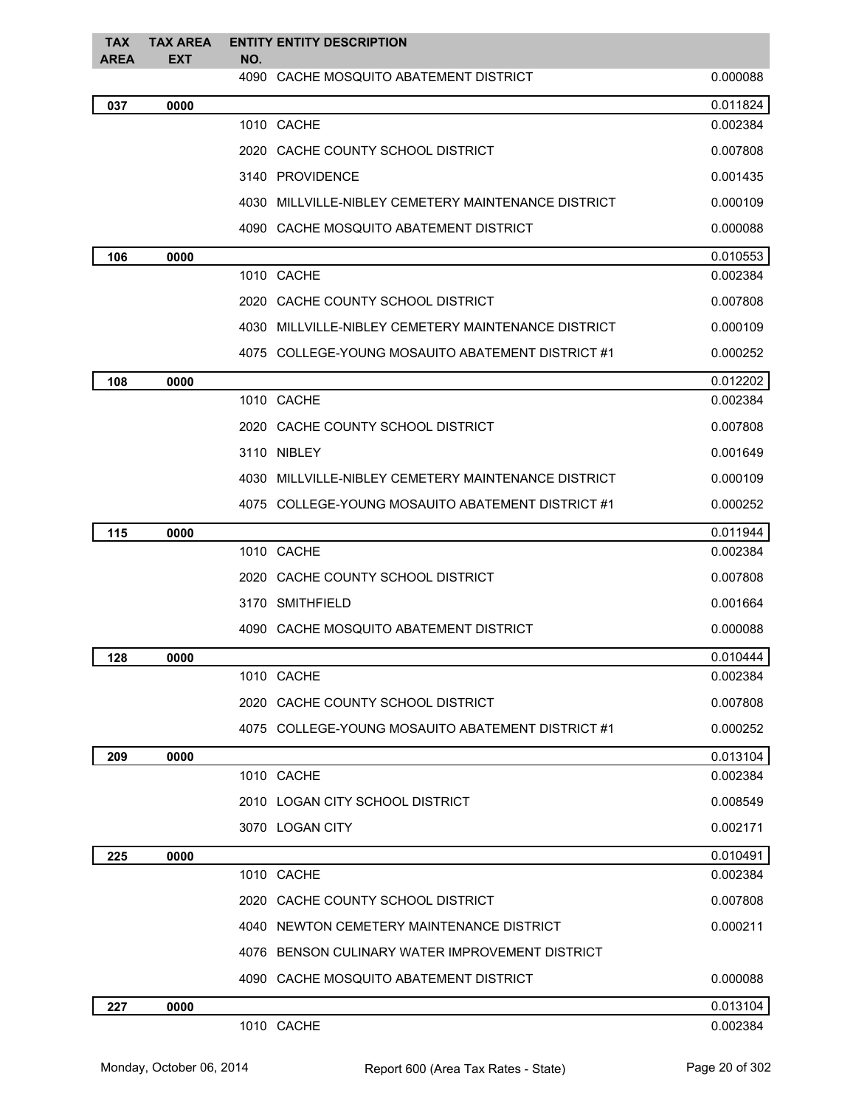| <b>TAX</b>  | <b>TAX AREA</b> | <b>ENTITY ENTITY DESCRIPTION</b>                       |          |
|-------------|-----------------|--------------------------------------------------------|----------|
| <b>AREA</b> | <b>EXT</b>      | NO.<br>4090 CACHE MOSQUITO ABATEMENT DISTRICT          | 0.000088 |
| 037         | 0000            |                                                        | 0.011824 |
|             |                 | 1010 CACHE                                             | 0.002384 |
|             |                 | 2020 CACHE COUNTY SCHOOL DISTRICT                      | 0.007808 |
|             |                 | 3140 PROVIDENCE                                        | 0.001435 |
|             |                 | 4030 MILLVILLE-NIBLEY CEMETERY MAINTENANCE DISTRICT    | 0.000109 |
|             |                 | 4090 CACHE MOSQUITO ABATEMENT DISTRICT                 | 0.000088 |
| 106         | 0000            |                                                        | 0.010553 |
|             |                 | 1010 CACHE                                             | 0.002384 |
|             |                 | 2020 CACHE COUNTY SCHOOL DISTRICT                      | 0.007808 |
|             |                 | MILLVILLE-NIBLEY CEMETERY MAINTENANCE DISTRICT<br>4030 | 0.000109 |
|             |                 | 4075 COLLEGE-YOUNG MOSAUITO ABATEMENT DISTRICT #1      | 0.000252 |
| 108         | 0000            |                                                        | 0.012202 |
|             |                 | 1010 CACHE                                             | 0.002384 |
|             |                 | 2020 CACHE COUNTY SCHOOL DISTRICT                      | 0.007808 |
|             |                 | 3110 NIBLEY                                            | 0.001649 |
|             |                 | MILLVILLE-NIBLEY CEMETERY MAINTENANCE DISTRICT<br>4030 | 0.000109 |
|             |                 | 4075 COLLEGE-YOUNG MOSAUITO ABATEMENT DISTRICT #1      | 0.000252 |
| 115         | 0000            |                                                        | 0.011944 |
|             |                 | 1010 CACHE                                             | 0.002384 |
|             |                 | 2020 CACHE COUNTY SCHOOL DISTRICT                      | 0.007808 |
|             |                 | 3170 SMITHFIELD                                        | 0.001664 |
|             |                 | 4090 CACHE MOSQUITO ABATEMENT DISTRICT                 | 0.000088 |
| 128         | 0000            |                                                        | 0.010444 |
|             |                 | 1010 CACHE                                             | 0.002384 |
|             |                 | 2020 CACHE COUNTY SCHOOL DISTRICT                      | 0.007808 |
|             |                 | 4075 COLLEGE-YOUNG MOSAUITO ABATEMENT DISTRICT #1      | 0.000252 |
| 209         | 0000            |                                                        | 0.013104 |
|             |                 | 1010 CACHE                                             | 0.002384 |
|             |                 | 2010 LOGAN CITY SCHOOL DISTRICT                        | 0.008549 |
|             |                 | 3070 LOGAN CITY                                        | 0.002171 |
| 225         | 0000            |                                                        | 0.010491 |
|             |                 | 1010 CACHE                                             | 0.002384 |
|             |                 | 2020 CACHE COUNTY SCHOOL DISTRICT                      | 0.007808 |
|             |                 | 4040 NEWTON CEMETERY MAINTENANCE DISTRICT              | 0.000211 |
|             |                 | 4076 BENSON CULINARY WATER IMPROVEMENT DISTRICT        |          |
|             |                 | 4090 CACHE MOSQUITO ABATEMENT DISTRICT                 | 0.000088 |
| 227         | 0000            |                                                        | 0.013104 |
|             |                 | 1010 CACHE                                             | 0.002384 |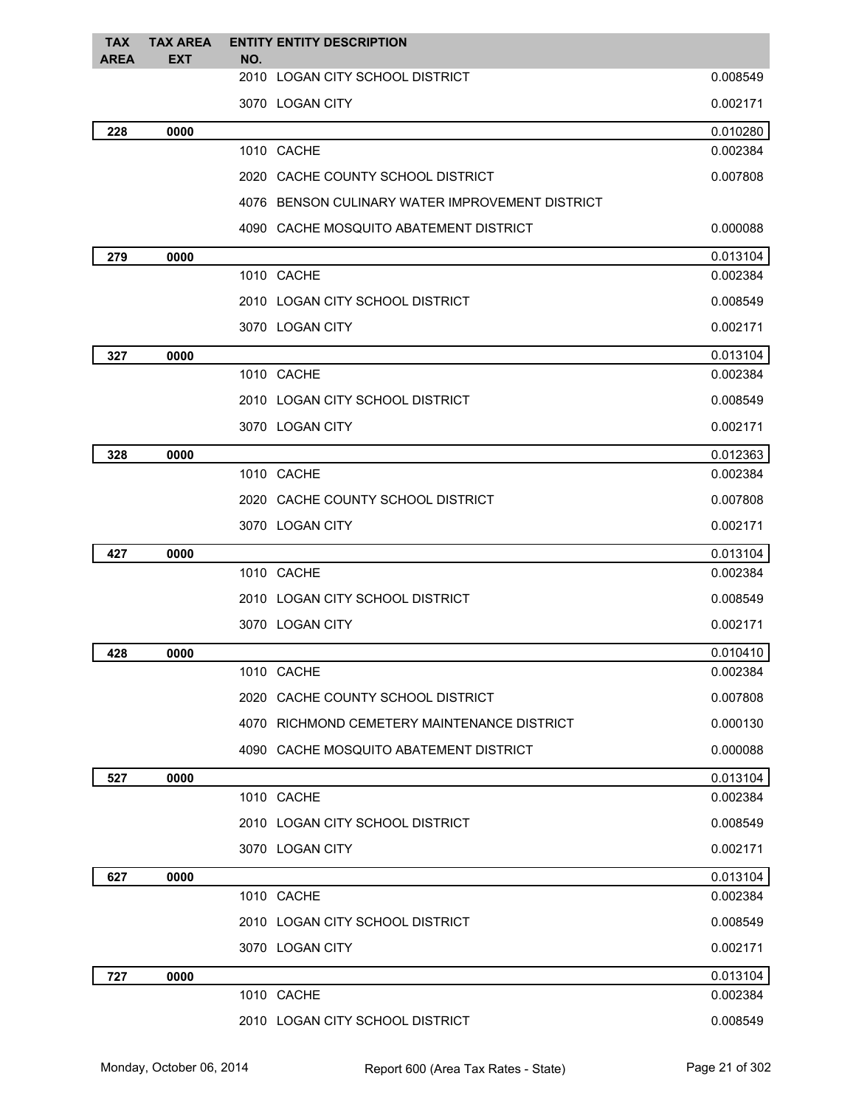| <b>TAX</b><br><b>AREA</b> | <b>TAX AREA</b> | <b>ENTITY ENTITY DESCRIPTION</b>                |          |
|---------------------------|-----------------|-------------------------------------------------|----------|
|                           | EXT             | NO.<br>2010 LOGAN CITY SCHOOL DISTRICT          | 0.008549 |
|                           |                 | 3070 LOGAN CITY                                 | 0.002171 |
| 228                       | 0000            |                                                 | 0.010280 |
|                           |                 | 1010 CACHE                                      | 0.002384 |
|                           |                 | 2020 CACHE COUNTY SCHOOL DISTRICT               | 0.007808 |
|                           |                 | 4076 BENSON CULINARY WATER IMPROVEMENT DISTRICT |          |
|                           |                 | 4090 CACHE MOSQUITO ABATEMENT DISTRICT          | 0.000088 |
| 279                       | 0000            |                                                 | 0.013104 |
|                           |                 | 1010 CACHE                                      | 0.002384 |
|                           |                 | 2010 LOGAN CITY SCHOOL DISTRICT                 | 0.008549 |
|                           |                 | 3070 LOGAN CITY                                 | 0.002171 |
| 327                       | 0000            |                                                 | 0.013104 |
|                           |                 | 1010 CACHE                                      | 0.002384 |
|                           |                 | 2010 LOGAN CITY SCHOOL DISTRICT                 | 0.008549 |
|                           |                 | 3070 LOGAN CITY                                 | 0.002171 |
| 328                       | 0000            |                                                 | 0.012363 |
|                           |                 | 1010 CACHE                                      | 0.002384 |
|                           |                 | 2020 CACHE COUNTY SCHOOL DISTRICT               | 0.007808 |
|                           |                 | 3070 LOGAN CITY                                 | 0.002171 |
| 427                       | 0000            |                                                 | 0.013104 |
|                           |                 | 1010 CACHE                                      | 0.002384 |
|                           |                 | 2010 LOGAN CITY SCHOOL DISTRICT                 | 0.008549 |
|                           |                 | 3070 LOGAN CITY                                 | 0.002171 |
| 428                       | 0000            |                                                 | 0.010410 |
|                           |                 | 1010 CACHE                                      | 0.002384 |
|                           |                 | 2020 CACHE COUNTY SCHOOL DISTRICT               | 0.007808 |
|                           |                 | 4070 RICHMOND CEMETERY MAINTENANCE DISTRICT     | 0.000130 |
|                           |                 | 4090 CACHE MOSQUITO ABATEMENT DISTRICT          | 0.000088 |
| 527                       | 0000            |                                                 | 0.013104 |
|                           |                 | 1010 CACHE                                      | 0.002384 |
|                           |                 | 2010 LOGAN CITY SCHOOL DISTRICT                 | 0.008549 |
|                           |                 | 3070 LOGAN CITY                                 | 0.002171 |
| 627                       | 0000            |                                                 | 0.013104 |
|                           |                 | 1010 CACHE                                      | 0.002384 |
|                           |                 | 2010 LOGAN CITY SCHOOL DISTRICT                 | 0.008549 |
|                           |                 | 3070 LOGAN CITY                                 | 0.002171 |
| 727                       | 0000            |                                                 | 0.013104 |
|                           |                 | 1010 CACHE                                      | 0.002384 |
|                           |                 | 2010 LOGAN CITY SCHOOL DISTRICT                 | 0.008549 |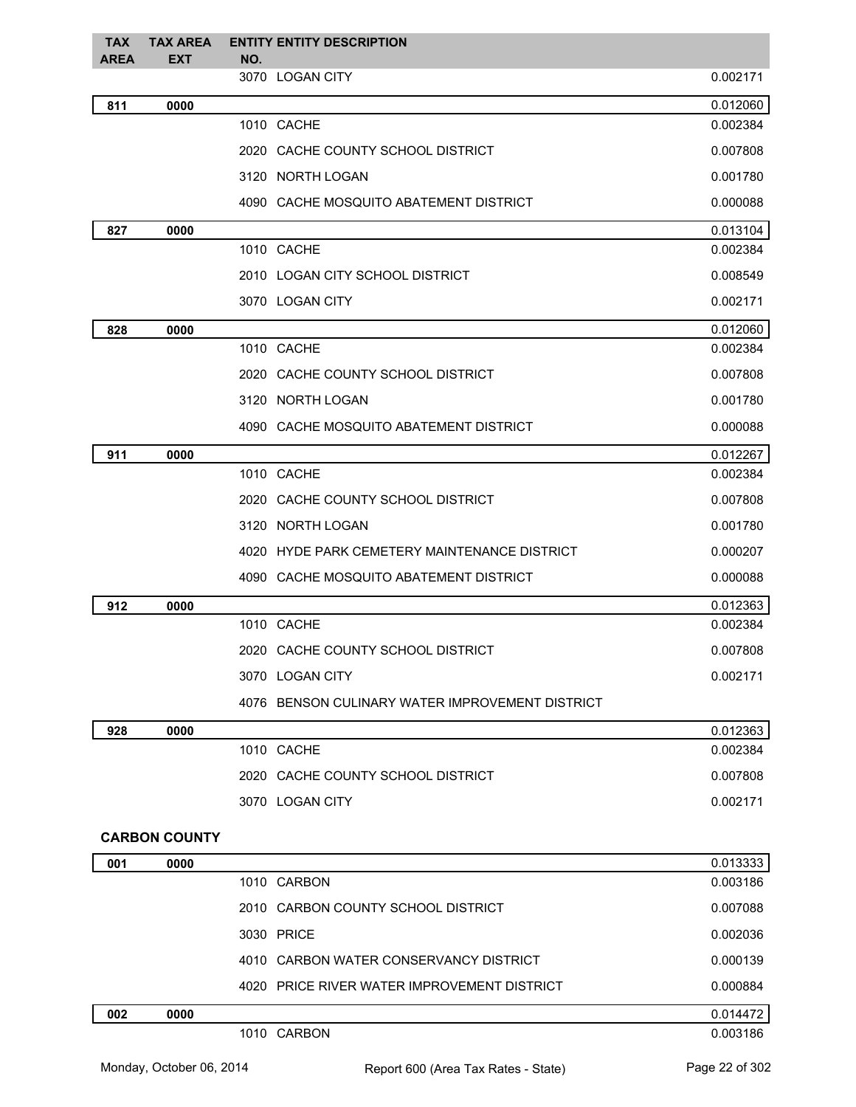| <b>TAX</b><br><b>AREA</b> | <b>TAX AREA</b><br><b>EXT</b> | <b>ENTITY ENTITY DESCRIPTION</b><br>NO.         |          |
|---------------------------|-------------------------------|-------------------------------------------------|----------|
|                           |                               | 3070 LOGAN CITY                                 | 0.002171 |
| 811                       | 0000                          |                                                 | 0.012060 |
|                           |                               | 1010 CACHE                                      | 0.002384 |
|                           |                               | 2020 CACHE COUNTY SCHOOL DISTRICT               | 0.007808 |
|                           |                               | 3120 NORTH LOGAN                                | 0.001780 |
|                           |                               | 4090 CACHE MOSQUITO ABATEMENT DISTRICT          | 0.000088 |
| 827                       | 0000                          |                                                 | 0.013104 |
|                           |                               | 1010 CACHE                                      | 0.002384 |
|                           |                               | 2010 LOGAN CITY SCHOOL DISTRICT                 | 0.008549 |
|                           |                               | 3070 LOGAN CITY                                 | 0.002171 |
| 828                       | 0000                          |                                                 | 0.012060 |
|                           |                               | 1010 CACHE                                      | 0.002384 |
|                           |                               | 2020 CACHE COUNTY SCHOOL DISTRICT               | 0.007808 |
|                           |                               | 3120 NORTH LOGAN                                | 0.001780 |
|                           |                               | 4090 CACHE MOSQUITO ABATEMENT DISTRICT          | 0.000088 |
| 911                       | 0000                          |                                                 | 0.012267 |
|                           |                               | 1010 CACHE                                      | 0.002384 |
|                           |                               | 2020 CACHE COUNTY SCHOOL DISTRICT               | 0.007808 |
|                           |                               | 3120 NORTH LOGAN                                | 0.001780 |
|                           |                               | 4020 HYDE PARK CEMETERY MAINTENANCE DISTRICT    | 0.000207 |
|                           |                               | 4090 CACHE MOSQUITO ABATEMENT DISTRICT          | 0.000088 |
| 912                       | 0000                          |                                                 | 0.012363 |
|                           |                               | 1010 CACHE                                      | 0.002384 |
|                           |                               | 2020 CACHE COUNTY SCHOOL DISTRICT               | 0.007808 |
|                           |                               | 3070 LOGAN CITY                                 | 0.002171 |
|                           |                               | 4076 BENSON CULINARY WATER IMPROVEMENT DISTRICT |          |
| 928                       | 0000                          |                                                 | 0.012363 |
|                           |                               | 1010 CACHE                                      | 0.002384 |
|                           |                               | 2020 CACHE COUNTY SCHOOL DISTRICT               | 0.007808 |
|                           |                               | 3070 LOGAN CITY                                 | 0.002171 |
|                           | <b>CARBON COUNTY</b>          |                                                 |          |
| 001                       | 0000                          |                                                 | 0.013333 |
|                           |                               | 1010 CARBON                                     | 0.003186 |
|                           |                               | 2010 CARBON COUNTY SCHOOL DISTRICT              | 0.007088 |
|                           |                               | 3030 PRICE                                      | 0.002036 |
|                           |                               | 4010 CARBON WATER CONSERVANCY DISTRICT          | 0.000139 |

| 002 | 0000 | $\begin{array}{c} \bullet \end{array}$<br>1144 |
|-----|------|------------------------------------------------|

1010 CARBON 0.003186

4020 PRICE RIVER WATER IMPROVEMENT DISTRICT 0.000884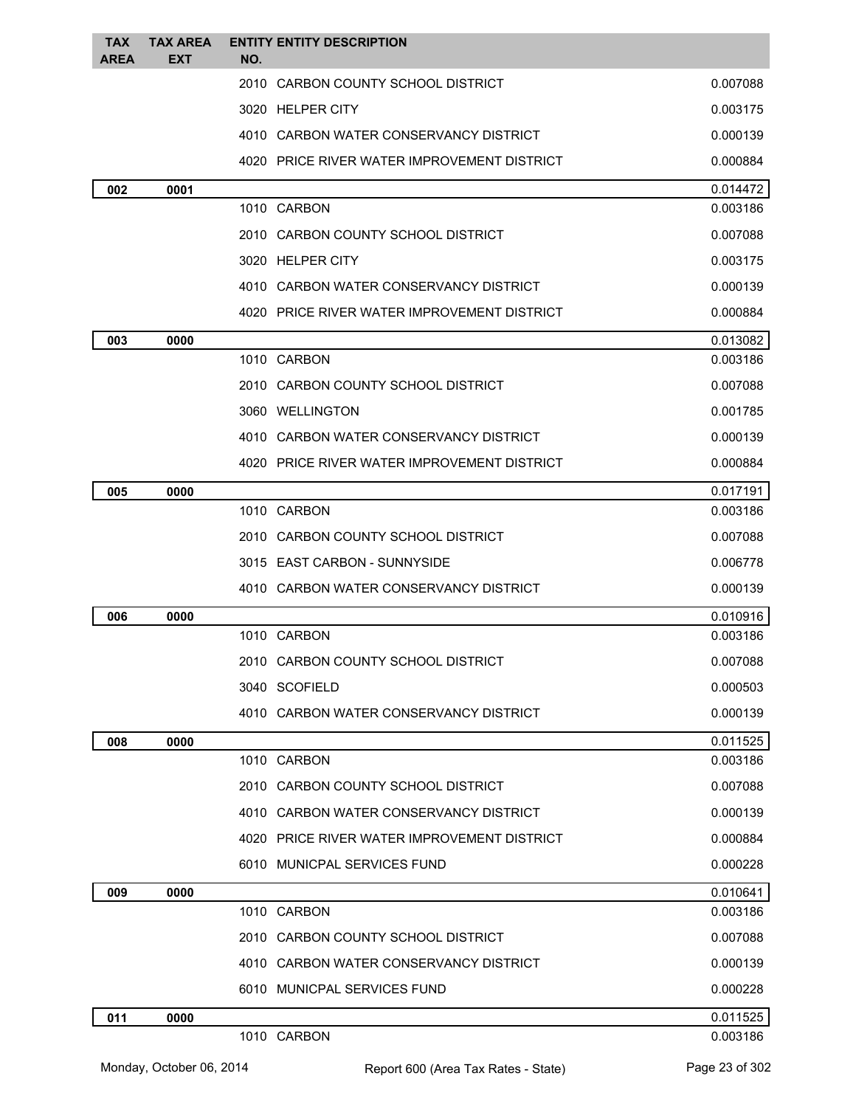| <b>TAX</b><br><b>AREA</b> | <b>TAX AREA</b><br><b>EXT</b> | <b>ENTITY ENTITY DESCRIPTION</b><br>NO.     |                      |
|---------------------------|-------------------------------|---------------------------------------------|----------------------|
|                           |                               | 2010 CARBON COUNTY SCHOOL DISTRICT          | 0.007088             |
|                           |                               | 3020 HELPER CITY                            | 0.003175             |
|                           |                               | 4010 CARBON WATER CONSERVANCY DISTRICT      | 0.000139             |
|                           |                               | 4020 PRICE RIVER WATER IMPROVEMENT DISTRICT | 0.000884             |
| 002                       | 0001                          |                                             | 0.014472             |
|                           |                               | 1010 CARBON                                 | 0.003186             |
|                           |                               | 2010 CARBON COUNTY SCHOOL DISTRICT          | 0.007088             |
|                           |                               | 3020 HELPER CITY                            | 0.003175             |
|                           |                               | 4010 CARBON WATER CONSERVANCY DISTRICT      | 0.000139             |
|                           |                               | 4020 PRICE RIVER WATER IMPROVEMENT DISTRICT | 0.000884             |
| 003                       | 0000                          |                                             | 0.013082             |
|                           |                               | 1010 CARBON                                 | 0.003186             |
|                           |                               | 2010 CARBON COUNTY SCHOOL DISTRICT          | 0.007088             |
|                           |                               | 3060 WELLINGTON                             | 0.001785             |
|                           |                               | 4010 CARBON WATER CONSERVANCY DISTRICT      | 0.000139             |
|                           |                               | 4020 PRICE RIVER WATER IMPROVEMENT DISTRICT | 0.000884             |
| 005                       | 0000                          |                                             | 0.017191             |
|                           |                               | 1010 CARBON                                 | 0.003186             |
|                           |                               | 2010 CARBON COUNTY SCHOOL DISTRICT          | 0.007088             |
|                           |                               | 3015 EAST CARBON - SUNNYSIDE                | 0.006778             |
|                           |                               | 4010 CARBON WATER CONSERVANCY DISTRICT      | 0.000139             |
| 006                       | 0000                          |                                             | 0.010916             |
|                           |                               | 1010 CARBON                                 | 0.003186             |
|                           |                               | 2010 CARBON COUNTY SCHOOL DISTRICT          | 0.007088             |
|                           |                               | 3040 SCOFIELD                               | 0.000503             |
|                           |                               | 4010 CARBON WATER CONSERVANCY DISTRICT      | 0.000139             |
| 008                       | 0000                          |                                             | 0.011525             |
|                           |                               | 1010 CARBON                                 | 0.003186             |
|                           |                               | 2010 CARBON COUNTY SCHOOL DISTRICT          | 0.007088             |
|                           |                               | 4010 CARBON WATER CONSERVANCY DISTRICT      | 0.000139             |
|                           |                               | 4020 PRICE RIVER WATER IMPROVEMENT DISTRICT | 0.000884             |
|                           |                               | 6010 MUNICPAL SERVICES FUND                 | 0.000228             |
| 009                       | 0000                          |                                             | 0.010641             |
|                           |                               | 1010 CARBON                                 | 0.003186             |
|                           |                               | 2010 CARBON COUNTY SCHOOL DISTRICT          | 0.007088             |
|                           |                               | 4010 CARBON WATER CONSERVANCY DISTRICT      | 0.000139             |
|                           |                               | 6010 MUNICPAL SERVICES FUND                 | 0.000228             |
| 011                       | 0000                          | 1010 CARBON                                 | 0.011525<br>0.003186 |
|                           |                               |                                             |                      |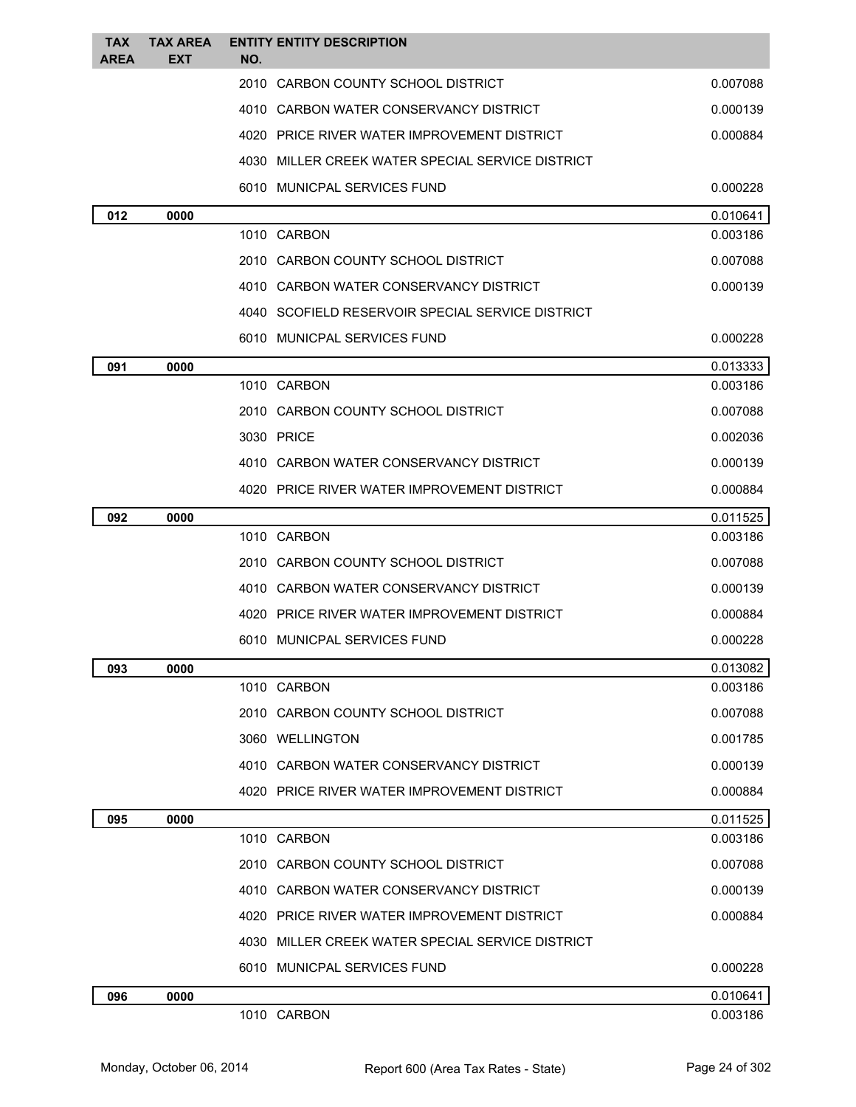| <b>TAX</b><br><b>AREA</b> | <b>TAX AREA</b><br>EXT | <b>ENTITY ENTITY DESCRIPTION</b><br>NO.          |          |
|---------------------------|------------------------|--------------------------------------------------|----------|
|                           |                        | 2010<br>CARBON COUNTY SCHOOL DISTRICT            | 0.007088 |
|                           |                        | 4010 CARBON WATER CONSERVANCY DISTRICT           | 0.000139 |
|                           |                        | 4020 PRICE RIVER WATER IMPROVEMENT DISTRICT      | 0.000884 |
|                           |                        | 4030 MILLER CREEK WATER SPECIAL SERVICE DISTRICT |          |
|                           |                        | 6010 MUNICPAL SERVICES FUND                      | 0.000228 |
| 012                       | 0000                   |                                                  | 0.010641 |
|                           |                        | 1010 CARBON                                      | 0.003186 |
|                           |                        | 2010 CARBON COUNTY SCHOOL DISTRICT               | 0.007088 |
|                           |                        | 4010 CARBON WATER CONSERVANCY DISTRICT           | 0.000139 |
|                           |                        | 4040 SCOFIELD RESERVOIR SPECIAL SERVICE DISTRICT |          |
|                           |                        | 6010 MUNICPAL SERVICES FUND                      | 0.000228 |
| 091                       | 0000                   |                                                  | 0.013333 |
|                           |                        | 1010 CARBON                                      | 0.003186 |
|                           |                        | 2010 CARBON COUNTY SCHOOL DISTRICT               | 0.007088 |
|                           |                        | 3030 PRICE                                       | 0.002036 |
|                           |                        | 4010 CARBON WATER CONSERVANCY DISTRICT           | 0.000139 |
|                           |                        | 4020 PRICE RIVER WATER IMPROVEMENT DISTRICT      | 0.000884 |
| 092                       | 0000                   |                                                  | 0.011525 |
|                           |                        | 1010 CARBON                                      | 0.003186 |
|                           |                        | 2010 CARBON COUNTY SCHOOL DISTRICT               | 0.007088 |
|                           |                        | 4010 CARBON WATER CONSERVANCY DISTRICT           | 0.000139 |
|                           |                        | 4020 PRICE RIVER WATER IMPROVEMENT DISTRICT      | 0.000884 |
|                           |                        | 6010 MUNICPAL SERVICES FUND                      | 0.000228 |
| 093                       | 0000                   |                                                  | 0.013082 |
|                           |                        | 1010 CARBON                                      | 0.003186 |
|                           |                        | 2010 CARBON COUNTY SCHOOL DISTRICT               | 0.007088 |
|                           |                        | 3060 WELLINGTON                                  | 0.001785 |
|                           |                        | 4010 CARBON WATER CONSERVANCY DISTRICT           | 0.000139 |
|                           |                        | 4020 PRICE RIVER WATER IMPROVEMENT DISTRICT      | 0.000884 |
| 095                       | 0000                   |                                                  | 0.011525 |
|                           |                        | 1010 CARBON                                      | 0.003186 |
|                           |                        | 2010 CARBON COUNTY SCHOOL DISTRICT               | 0.007088 |
|                           |                        | 4010 CARBON WATER CONSERVANCY DISTRICT           | 0.000139 |
|                           |                        | 4020 PRICE RIVER WATER IMPROVEMENT DISTRICT      | 0.000884 |
|                           |                        | 4030 MILLER CREEK WATER SPECIAL SERVICE DISTRICT |          |
|                           |                        | 6010 MUNICPAL SERVICES FUND                      | 0.000228 |
| 096                       | 0000                   |                                                  | 0.010641 |
|                           |                        | 1010 CARBON                                      | 0.003186 |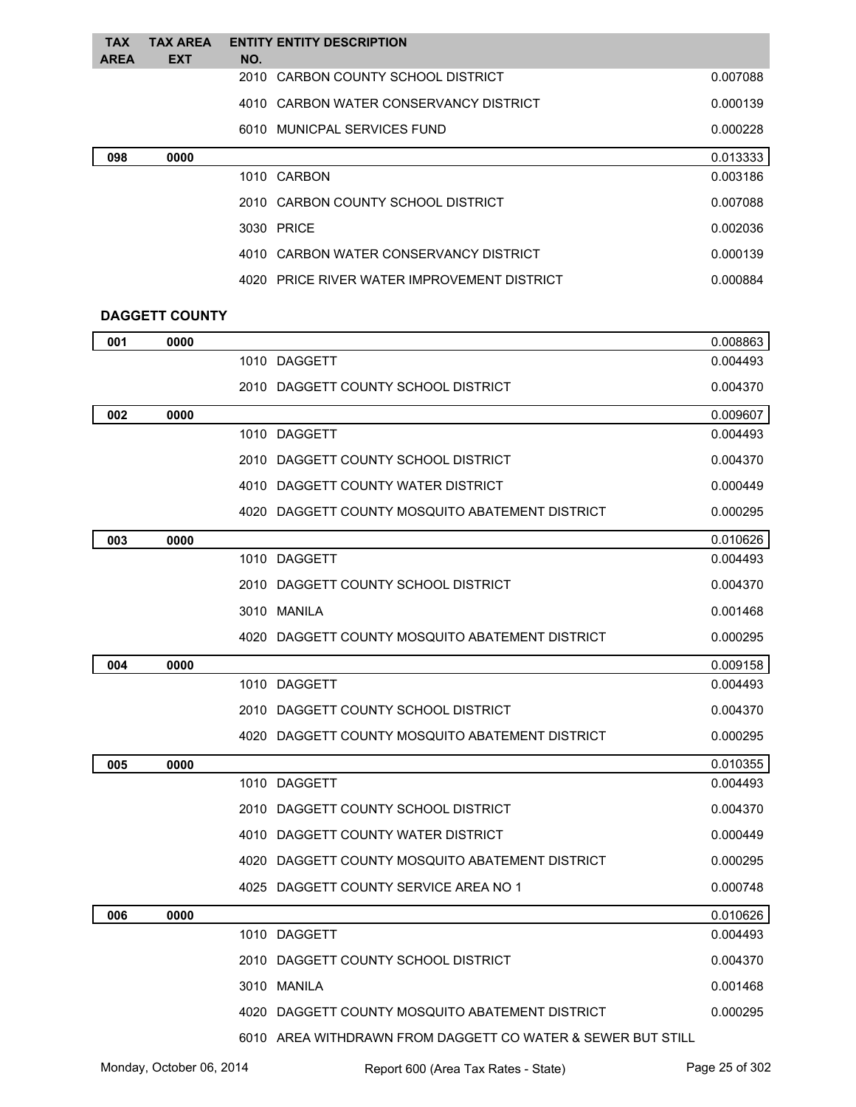| <b>TAX</b><br><b>AREA</b> | <b>TAX AREA</b><br><b>EXT</b> | NO. | <b>ENTITY ENTITY DESCRIPTION</b>            |          |
|---------------------------|-------------------------------|-----|---------------------------------------------|----------|
|                           |                               |     | 2010 CARBON COUNTY SCHOOL DISTRICT          | 0.007088 |
|                           |                               |     | 4010 CARBON WATER CONSERVANCY DISTRICT      | 0.000139 |
|                           |                               |     | 6010 MUNICPAL SERVICES FUND                 | 0.000228 |
| 098                       | 0000                          |     |                                             | 0.013333 |
|                           |                               |     | 1010 CARBON                                 | 0.003186 |
|                           |                               |     | 2010 CARBON COUNTY SCHOOL DISTRICT          | 0.007088 |
|                           |                               |     | 3030 PRICE                                  | 0.002036 |
|                           |                               |     | 4010 CARBON WATER CONSERVANCY DISTRICT      | 0.000139 |
|                           |                               |     | 4020 PRICE RIVER WATER IMPROVEMENT DISTRICT | 0.000884 |
|                           | <b>DAGGETT COUNTY</b>         |     |                                             |          |

| 001 | 0000 |                                                             | 0.008863 |
|-----|------|-------------------------------------------------------------|----------|
|     |      | 1010 DAGGETT                                                | 0.004493 |
|     |      | 2010 DAGGETT COUNTY SCHOOL DISTRICT                         | 0.004370 |
| 002 | 0000 |                                                             | 0.009607 |
|     |      | 1010 DAGGETT                                                | 0.004493 |
|     |      | 2010 DAGGETT COUNTY SCHOOL DISTRICT                         | 0.004370 |
|     |      | 4010 DAGGETT COUNTY WATER DISTRICT                          | 0.000449 |
|     |      | 4020 DAGGETT COUNTY MOSQUITO ABATEMENT DISTRICT             | 0.000295 |
| 003 | 0000 |                                                             | 0.010626 |
|     |      | 1010 DAGGETT                                                | 0.004493 |
|     |      | 2010 DAGGETT COUNTY SCHOOL DISTRICT                         | 0.004370 |
|     |      | 3010 MANILA                                                 | 0.001468 |
|     |      | 4020 DAGGETT COUNTY MOSQUITO ABATEMENT DISTRICT             | 0.000295 |
| 004 | 0000 |                                                             | 0.009158 |
|     |      | 1010 DAGGETT                                                | 0.004493 |
|     |      | 2010 DAGGETT COUNTY SCHOOL DISTRICT                         | 0.004370 |
|     |      | 4020 DAGGETT COUNTY MOSQUITO ABATEMENT DISTRICT             | 0.000295 |
| 005 | 0000 |                                                             | 0.010355 |
|     |      | 1010 DAGGETT                                                | 0.004493 |
|     |      | 2010 DAGGETT COUNTY SCHOOL DISTRICT                         | 0.004370 |
|     |      | 4010 DAGGETT COUNTY WATER DISTRICT                          | 0.000449 |
|     |      | 4020 DAGGETT COUNTY MOSQUITO ABATEMENT DISTRICT             | 0.000295 |
|     |      | 4025 DAGGETT COUNTY SERVICE AREA NO 1                       | 0.000748 |
| 006 | 0000 |                                                             | 0.010626 |
|     |      | 1010 DAGGETT                                                | 0.004493 |
|     |      | 2010 DAGGETT COUNTY SCHOOL DISTRICT                         | 0.004370 |
|     |      | 3010 MANILA                                                 | 0.001468 |
|     |      | 4020 DAGGETT COUNTY MOSQUITO ABATEMENT DISTRICT             | 0.000295 |
|     |      | 6010 AREA WITHDRAWN FROM DAGGETT CO WATER & SEWER BUT STILL |          |

ľ

Monday, October 06, 2014 **Report 600** (Area Tax Rates - State) Rage 25 of 302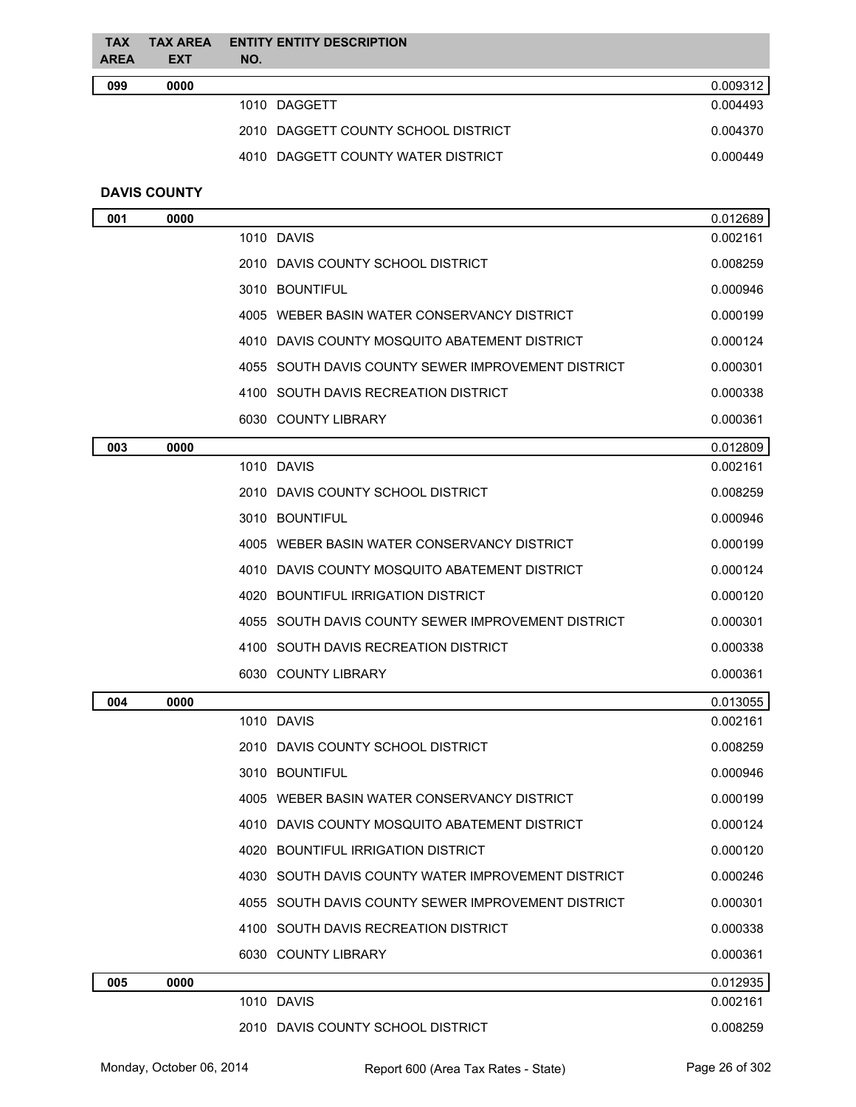| <b>TAX</b><br><b>AREA</b> | <b>TAX AREA</b><br><b>EXT</b> | <b>ENTITY ENTITY DESCRIPTION</b><br>NO. |          |
|---------------------------|-------------------------------|-----------------------------------------|----------|
| 099                       | 0000                          |                                         | 0.009312 |
|                           |                               | 1010 DAGGETT                            | 0.004493 |
|                           |                               | 2010 DAGGETT COUNTY SCHOOL DISTRICT     | 0.004370 |
|                           |                               | 4010 DAGGETT COUNTY WATER DISTRICT      | 0.000449 |
|                           |                               |                                         |          |

## **DAVIS COUNTY**

| 001 | 0000 |                                                    | 0.012689 |
|-----|------|----------------------------------------------------|----------|
|     |      | 1010 DAVIS                                         | 0.002161 |
|     |      | 2010 DAVIS COUNTY SCHOOL DISTRICT                  | 0.008259 |
|     |      | 3010 BOUNTIFUL                                     | 0.000946 |
|     |      | 4005 WEBER BASIN WATER CONSERVANCY DISTRICT        | 0.000199 |
|     |      | 4010 DAVIS COUNTY MOSQUITO ABATEMENT DISTRICT      | 0.000124 |
|     |      | 4055 SOUTH DAVIS COUNTY SEWER IMPROVEMENT DISTRICT | 0.000301 |
|     |      | 4100 SOUTH DAVIS RECREATION DISTRICT               | 0.000338 |
|     |      | 6030 COUNTY LIBRARY                                | 0.000361 |
| 003 | 0000 |                                                    | 0.012809 |
|     |      | 1010 DAVIS                                         | 0.002161 |
|     |      | 2010 DAVIS COUNTY SCHOOL DISTRICT                  | 0.008259 |
|     |      | 3010 BOUNTIFUL                                     | 0.000946 |
|     |      | 4005 WEBER BASIN WATER CONSERVANCY DISTRICT        | 0.000199 |
|     |      | 4010 DAVIS COUNTY MOSQUITO ABATEMENT DISTRICT      | 0.000124 |
|     |      | 4020 BOUNTIFUL IRRIGATION DISTRICT                 | 0.000120 |
|     |      | 4055 SOUTH DAVIS COUNTY SEWER IMPROVEMENT DISTRICT | 0.000301 |
|     |      | 4100 SOUTH DAVIS RECREATION DISTRICT               | 0.000338 |
|     |      | 6030 COUNTY LIBRARY                                | 0.000361 |
| 004 | 0000 |                                                    | 0.013055 |
|     |      | 1010 DAVIS                                         | 0.002161 |
|     |      | 2010 DAVIS COUNTY SCHOOL DISTRICT                  | 0.008259 |
|     |      | 3010 BOUNTIFUL                                     | 0.000946 |
|     |      | 4005 WEBER BASIN WATER CONSERVANCY DISTRICT        | 0.000199 |
|     |      | 4010 DAVIS COUNTY MOSQUITO ABATEMENT DISTRICT      | 0.000124 |
|     |      | 4020 BOUNTIFUL IRRIGATION DISTRICT                 | 0.000120 |
|     |      | 4030 SOUTH DAVIS COUNTY WATER IMPROVEMENT DISTRICT | 0.000246 |
|     |      | 4055 SOUTH DAVIS COUNTY SEWER IMPROVEMENT DISTRICT | 0.000301 |
|     |      | 4100 SOUTH DAVIS RECREATION DISTRICT               | 0.000338 |
|     |      | 6030 COUNTY LIBRARY                                | 0.000361 |
| 005 | 0000 |                                                    | 0.012935 |
|     |      | 1010 DAVIS                                         | 0.002161 |
|     |      | 2010 DAVIS COUNTY SCHOOL DISTRICT                  | 0.008259 |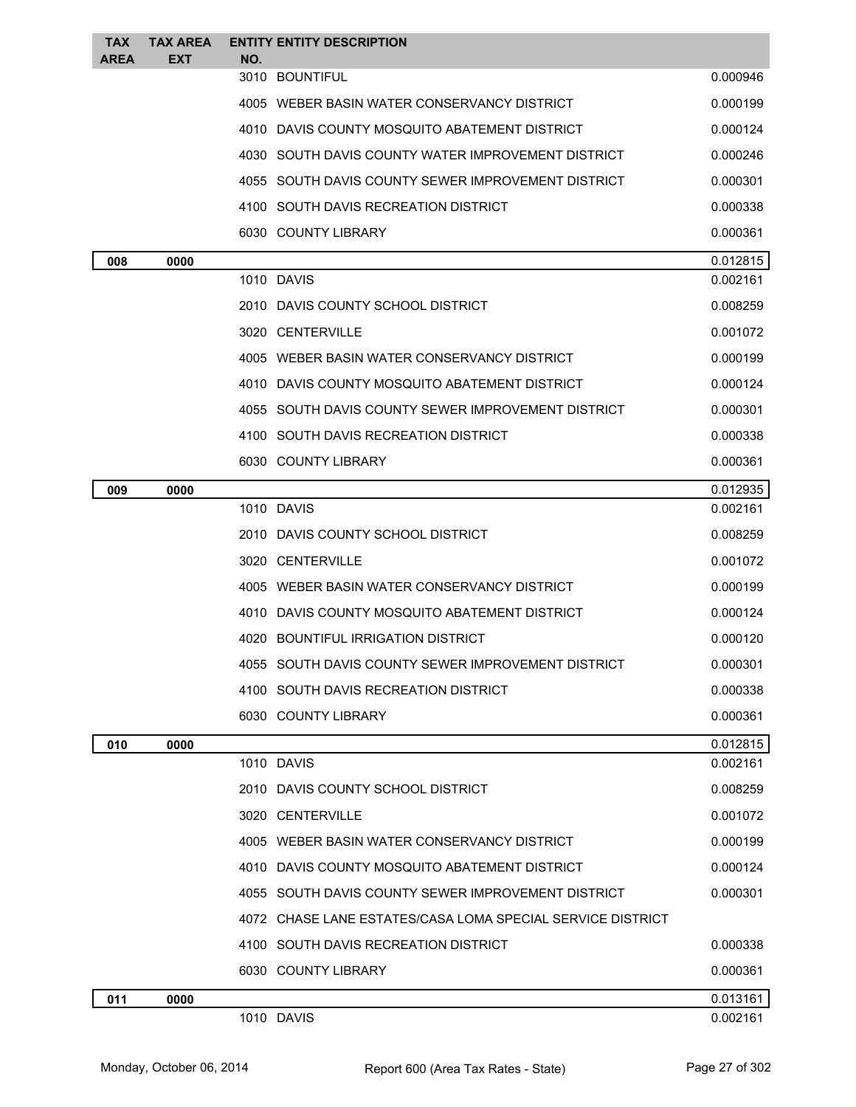| TAX<br>AREA | <b>TAX AREA</b><br><b>EXT</b> | NO. | <b>ENTITY ENTITY DESCRIPTION</b>                           |          |
|-------------|-------------------------------|-----|------------------------------------------------------------|----------|
|             |                               |     | 3010 BOUNTIFUL                                             | 0.000946 |
|             |                               |     | 4005 WEBER BASIN WATER CONSERVANCY DISTRICT                | 0.000199 |
|             |                               |     | 4010 DAVIS COUNTY MOSQUITO ABATEMENT DISTRICT              | 0.000124 |
|             |                               |     | 4030 SOUTH DAVIS COUNTY WATER IMPROVEMENT DISTRICT         | 0.000246 |
|             |                               |     | 4055 SOUTH DAVIS COUNTY SEWER IMPROVEMENT DISTRICT         | 0.000301 |
|             |                               |     | 4100 SOUTH DAVIS RECREATION DISTRICT                       | 0.000338 |
|             |                               |     | 6030 COUNTY LIBRARY                                        | 0.000361 |
| 008         | 0000                          |     |                                                            | 0.012815 |
|             |                               |     | 1010 DAVIS                                                 | 0.002161 |
|             |                               |     | 2010 DAVIS COUNTY SCHOOL DISTRICT                          | 0.008259 |
|             |                               |     | 3020 CENTERVILLE                                           | 0.001072 |
|             |                               |     | 4005 WEBER BASIN WATER CONSERVANCY DISTRICT                | 0.000199 |
|             |                               |     | 4010 DAVIS COUNTY MOSQUITO ABATEMENT DISTRICT              | 0.000124 |
|             |                               |     | 4055 SOUTH DAVIS COUNTY SEWER IMPROVEMENT DISTRICT         | 0.000301 |
|             |                               |     | 4100 SOUTH DAVIS RECREATION DISTRICT                       | 0.000338 |
|             |                               |     | 6030 COUNTY LIBRARY                                        | 0.000361 |
| 009         | 0000                          |     |                                                            | 0.012935 |
|             |                               |     | 1010 DAVIS                                                 | 0.002161 |
|             |                               |     | 2010 DAVIS COUNTY SCHOOL DISTRICT                          | 0.008259 |
|             |                               |     | 3020 CENTERVILLE                                           | 0.001072 |
|             |                               |     | 4005   WEBER BASIN WATER CONSERVANCY DISTRICT              | 0.000199 |
|             |                               |     | 4010 DAVIS COUNTY MOSQUITO ABATEMENT DISTRICT              | 0.000124 |
|             |                               |     | 4020 BOUNTIFUL IRRIGATION DISTRICT                         | 0.000120 |
|             |                               |     | 4055 SOUTH DAVIS COUNTY SEWER IMPROVEMENT DISTRICT         | 0.000301 |
|             |                               |     | 4100 SOUTH DAVIS RECREATION DISTRICT                       | 0.000338 |
|             |                               |     | 6030 COUNTY LIBRARY                                        | 0.000361 |
| 010         | 0000                          |     |                                                            | 0.012815 |
|             |                               |     | 1010 DAVIS                                                 | 0.002161 |
|             |                               |     | 2010 DAVIS COUNTY SCHOOL DISTRICT                          | 0.008259 |
|             |                               |     | 3020 CENTERVILLE                                           | 0.001072 |
|             |                               |     | 4005 WEBER BASIN WATER CONSERVANCY DISTRICT                | 0.000199 |
|             |                               |     | 4010 DAVIS COUNTY MOSQUITO ABATEMENT DISTRICT              | 0.000124 |
|             |                               |     | 4055 SOUTH DAVIS COUNTY SEWER IMPROVEMENT DISTRICT         | 0.000301 |
|             |                               |     | 4072 CHASE LANE ESTATES/CASA LOMA SPECIAL SERVICE DISTRICT |          |
|             |                               |     | 4100 SOUTH DAVIS RECREATION DISTRICT                       | 0.000338 |
|             |                               |     | 6030 COUNTY LIBRARY                                        | 0.000361 |
| 011         | 0000                          |     |                                                            | 0.013161 |
|             |                               |     | 1010 DAVIS                                                 | 0.002161 |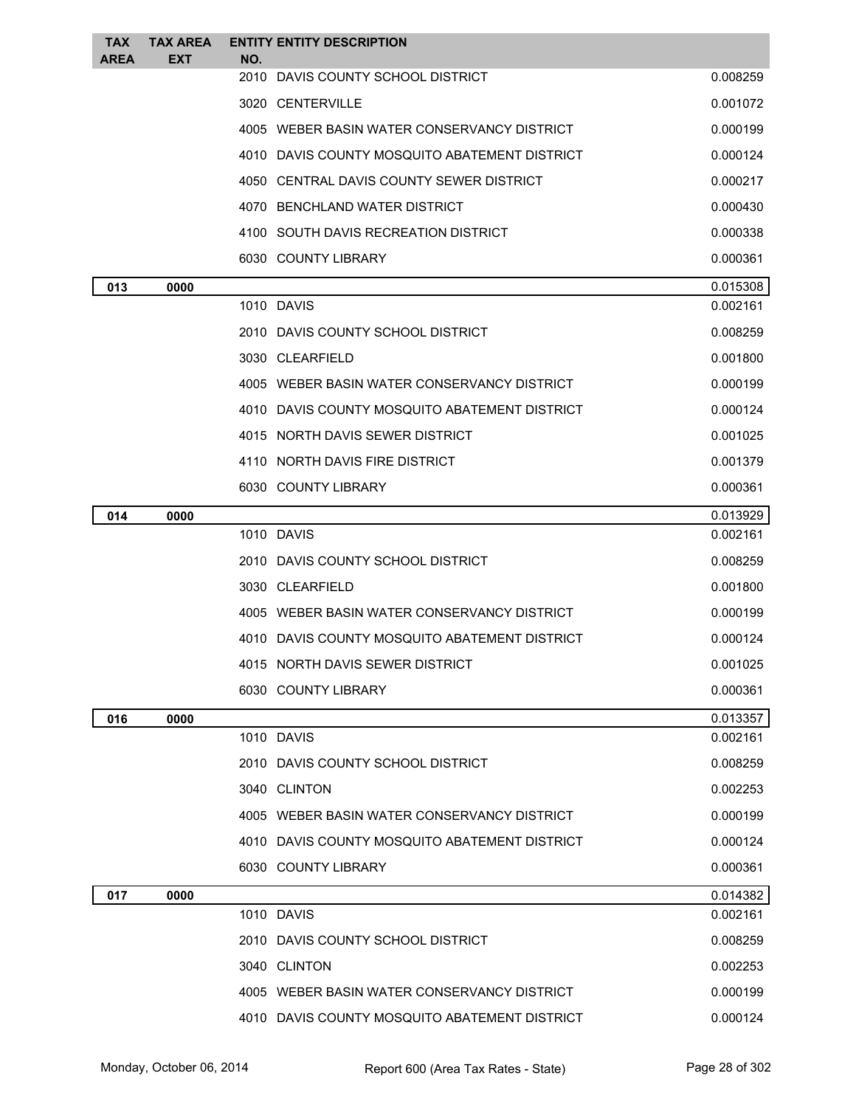| <b>TAX</b><br>AREA | <b>TAX AREA</b><br><b>EXT</b> | <b>ENTITY ENTITY DESCRIPTION</b><br>NO.       |                      |
|--------------------|-------------------------------|-----------------------------------------------|----------------------|
|                    |                               | 2010<br>DAVIS COUNTY SCHOOL DISTRICT          | 0.008259             |
|                    |                               | 3020 CENTERVILLE                              | 0.001072             |
|                    |                               | 4005 WEBER BASIN WATER CONSERVANCY DISTRICT   | 0.000199             |
|                    |                               | 4010 DAVIS COUNTY MOSQUITO ABATEMENT DISTRICT | 0.000124             |
|                    |                               | 4050 CENTRAL DAVIS COUNTY SEWER DISTRICT      | 0.000217             |
|                    |                               | 4070 BENCHLAND WATER DISTRICT                 | 0.000430             |
|                    |                               | 4100 SOUTH DAVIS RECREATION DISTRICT          | 0.000338             |
|                    |                               | 6030 COUNTY LIBRARY                           | 0.000361             |
| 013                | 0000                          |                                               | 0.015308             |
|                    |                               | 1010 DAVIS                                    | 0.002161             |
|                    |                               | 2010 DAVIS COUNTY SCHOOL DISTRICT             | 0.008259             |
|                    |                               | 3030 CLEARFIELD                               | 0.001800             |
|                    |                               | 4005 WEBER BASIN WATER CONSERVANCY DISTRICT   | 0.000199             |
|                    |                               | 4010 DAVIS COUNTY MOSQUITO ABATEMENT DISTRICT | 0.000124             |
|                    |                               | 4015 NORTH DAVIS SEWER DISTRICT               | 0.001025             |
|                    |                               | 4110 NORTH DAVIS FIRE DISTRICT                | 0.001379             |
|                    |                               | 6030 COUNTY LIBRARY                           | 0.000361             |
| 014                | 0000                          |                                               | 0.013929             |
|                    |                               | 1010 DAVIS                                    | 0.002161             |
|                    |                               | 2010 DAVIS COUNTY SCHOOL DISTRICT             | 0.008259             |
|                    |                               | 3030 CLEARFIELD                               | 0.001800             |
|                    |                               | 4005 WEBER BASIN WATER CONSERVANCY DISTRICT   | 0.000199             |
|                    |                               | 4010 DAVIS COUNTY MOSQUITO ABATEMENT DISTRICT | 0.000124             |
|                    |                               | 4015 NORTH DAVIS SEWER DISTRICT               | 0.001025             |
|                    |                               | 6030 COUNTY LIBRARY                           | 0.000361             |
| 016                | 0000                          |                                               | 0.013357             |
|                    |                               | 1010 DAVIS                                    | 0.002161             |
|                    |                               | 2010 DAVIS COUNTY SCHOOL DISTRICT             | 0.008259             |
|                    |                               | 3040 CLINTON                                  | 0.002253             |
|                    |                               | 4005 WEBER BASIN WATER CONSERVANCY DISTRICT   | 0.000199             |
|                    |                               | 4010 DAVIS COUNTY MOSQUITO ABATEMENT DISTRICT | 0.000124             |
|                    |                               | 6030 COUNTY LIBRARY                           | 0.000361             |
| 017                | 0000                          | 1010 DAVIS                                    | 0.014382<br>0.002161 |
|                    |                               | 2010 DAVIS COUNTY SCHOOL DISTRICT             | 0.008259             |
|                    |                               | 3040 CLINTON                                  | 0.002253             |
|                    |                               | 4005 WEBER BASIN WATER CONSERVANCY DISTRICT   | 0.000199             |
|                    |                               | 4010 DAVIS COUNTY MOSQUITO ABATEMENT DISTRICT | 0.000124             |
|                    |                               |                                               |                      |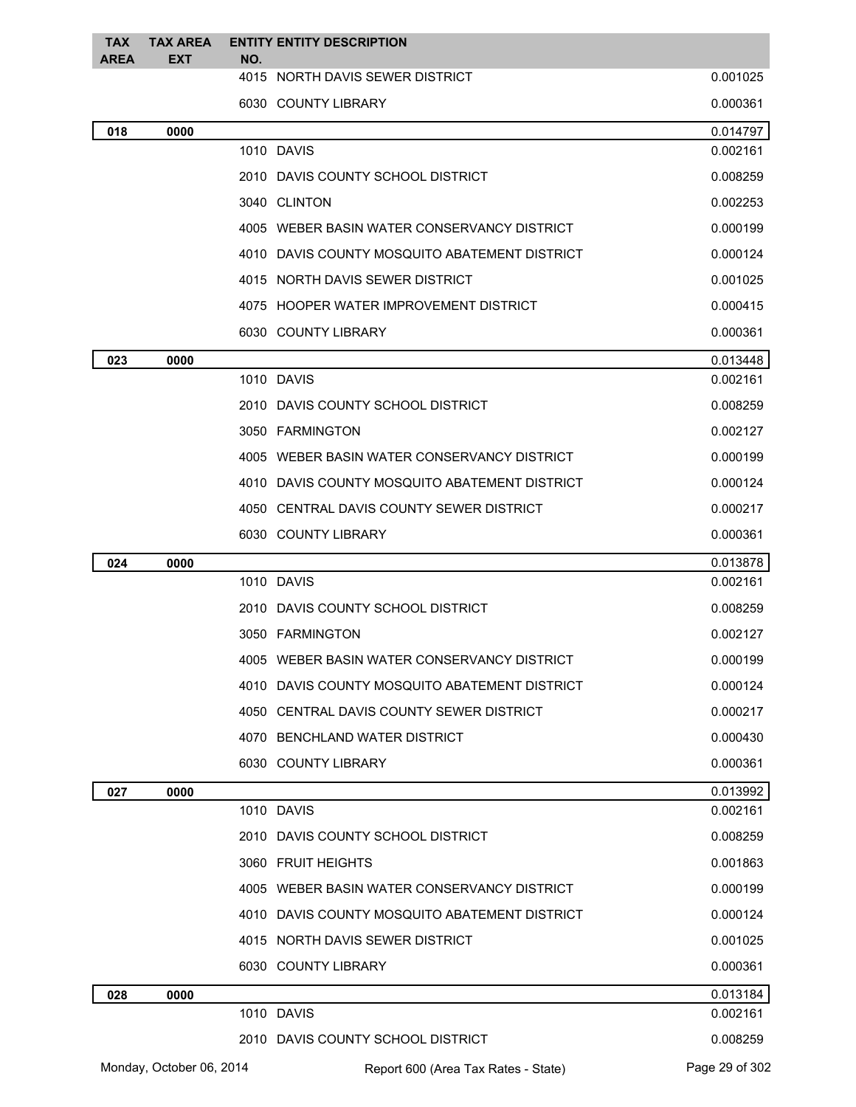| <b>TAX</b>  | <b>TAX AREA</b>          |     | <b>ENTITY ENTITY DESCRIPTION</b>              |                      |
|-------------|--------------------------|-----|-----------------------------------------------|----------------------|
| <b>AREA</b> | <b>EXT</b>               | NO. | 4015 NORTH DAVIS SEWER DISTRICT               | 0.001025             |
|             |                          |     | 6030 COUNTY LIBRARY                           | 0.000361             |
| 018         | 0000                     |     |                                               | 0.014797             |
|             |                          |     | 1010 DAVIS                                    | 0.002161             |
|             |                          |     | 2010 DAVIS COUNTY SCHOOL DISTRICT             | 0.008259             |
|             |                          |     | 3040 CLINTON                                  | 0.002253             |
|             |                          |     | 4005 WEBER BASIN WATER CONSERVANCY DISTRICT   | 0.000199             |
|             |                          |     | 4010 DAVIS COUNTY MOSQUITO ABATEMENT DISTRICT | 0.000124             |
|             |                          |     | 4015 NORTH DAVIS SEWER DISTRICT               | 0.001025             |
|             |                          |     | 4075 HOOPER WATER IMPROVEMENT DISTRICT        | 0.000415             |
|             |                          |     | 6030 COUNTY LIBRARY                           | 0.000361             |
| 023         | 0000                     |     |                                               | 0.013448             |
|             |                          |     | 1010 DAVIS                                    | 0.002161             |
|             |                          |     | 2010 DAVIS COUNTY SCHOOL DISTRICT             | 0.008259             |
|             |                          |     | 3050 FARMINGTON                               | 0.002127             |
|             |                          |     | 4005 WEBER BASIN WATER CONSERVANCY DISTRICT   | 0.000199             |
|             |                          |     | 4010 DAVIS COUNTY MOSQUITO ABATEMENT DISTRICT | 0.000124             |
|             |                          |     | 4050 CENTRAL DAVIS COUNTY SEWER DISTRICT      | 0.000217             |
|             |                          |     | 6030 COUNTY LIBRARY                           | 0.000361             |
| 024         | 0000                     |     |                                               | 0.013878             |
|             |                          |     | 1010 DAVIS                                    | 0.002161             |
|             |                          |     | 2010 DAVIS COUNTY SCHOOL DISTRICT             | 0.008259             |
|             |                          |     | 3050 FARMINGTON                               | 0.002127             |
|             |                          |     | 4005 WEBER BASIN WATER CONSERVANCY DISTRICT   | 0.000199             |
|             |                          |     | 4010 DAVIS COUNTY MOSQUITO ABATEMENT DISTRICT | 0.000124             |
|             |                          |     | 4050 CENTRAL DAVIS COUNTY SEWER DISTRICT      | 0.000217             |
|             |                          |     | 4070 BENCHLAND WATER DISTRICT                 | 0.000430             |
|             |                          |     | 6030 COUNTY LIBRARY                           | 0.000361             |
| 027         | 0000                     |     |                                               | 0.013992             |
|             |                          |     | 1010 DAVIS                                    | 0.002161             |
|             |                          |     | 2010 DAVIS COUNTY SCHOOL DISTRICT             | 0.008259             |
|             |                          |     | 3060 FRUIT HEIGHTS                            | 0.001863             |
|             |                          |     | 4005 WEBER BASIN WATER CONSERVANCY DISTRICT   | 0.000199             |
|             |                          |     | 4010 DAVIS COUNTY MOSQUITO ABATEMENT DISTRICT | 0.000124             |
|             |                          |     | 4015 NORTH DAVIS SEWER DISTRICT               | 0.001025             |
|             |                          |     | 6030 COUNTY LIBRARY                           | 0.000361             |
| 028         | 0000                     |     |                                               | 0.013184             |
|             |                          |     | 1010 DAVIS                                    | 0.002161<br>0.008259 |
|             |                          |     | 2010 DAVIS COUNTY SCHOOL DISTRICT             |                      |
|             | Monday, October 06, 2014 |     | Report 600 (Area Tax Rates - State)           | Page 29 of 302       |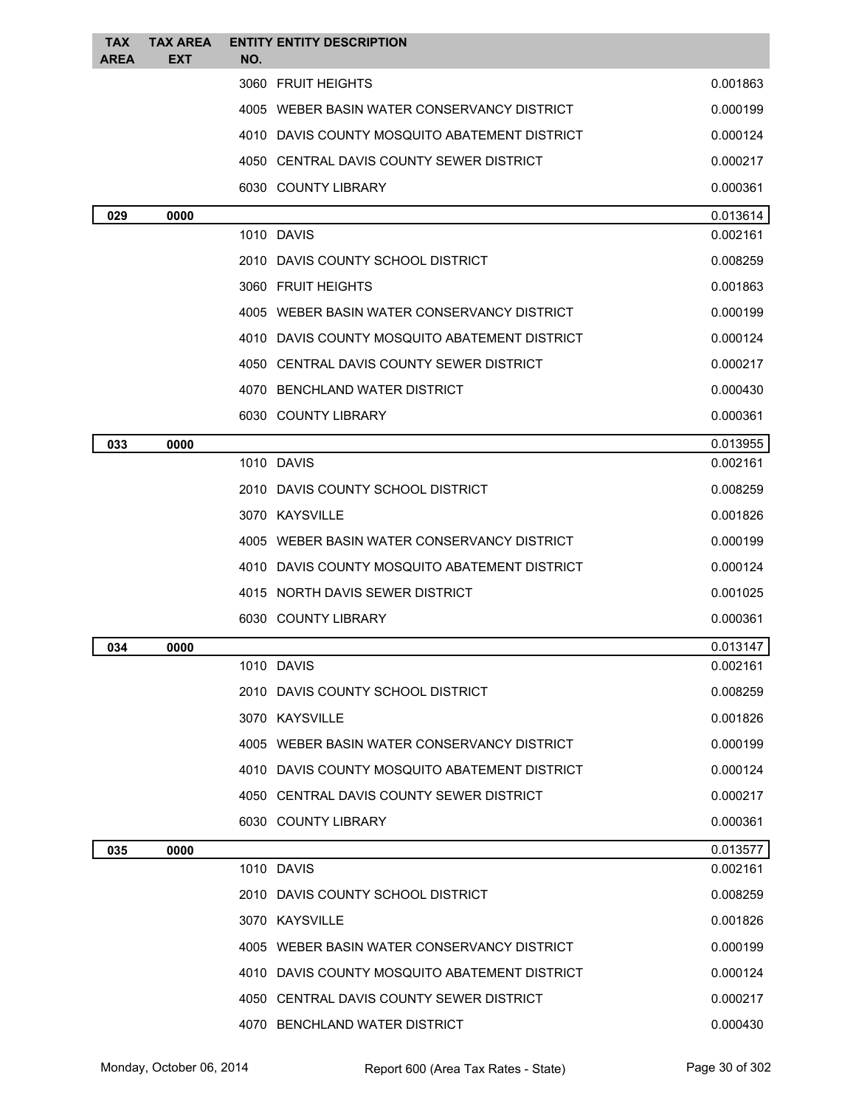| <b>TAX</b><br><b>AREA</b> | <b>TAX AREA</b><br><b>EXT</b> | <b>ENTITY ENTITY DESCRIPTION</b><br>NO.       |          |
|---------------------------|-------------------------------|-----------------------------------------------|----------|
|                           |                               | 3060 FRUIT HEIGHTS                            | 0.001863 |
|                           |                               | 4005 WEBER BASIN WATER CONSERVANCY DISTRICT   | 0.000199 |
|                           |                               | 4010 DAVIS COUNTY MOSQUITO ABATEMENT DISTRICT | 0.000124 |
|                           |                               | 4050 CENTRAL DAVIS COUNTY SEWER DISTRICT      | 0.000217 |
|                           |                               | 6030 COUNTY LIBRARY                           | 0.000361 |
| 029                       | 0000                          |                                               | 0.013614 |
|                           |                               | 1010 DAVIS                                    | 0.002161 |
|                           |                               | 2010 DAVIS COUNTY SCHOOL DISTRICT             | 0.008259 |
|                           |                               | 3060 FRUIT HEIGHTS                            | 0.001863 |
|                           |                               | 4005 WEBER BASIN WATER CONSERVANCY DISTRICT   | 0.000199 |
|                           |                               | 4010 DAVIS COUNTY MOSQUITO ABATEMENT DISTRICT | 0.000124 |
|                           |                               | 4050 CENTRAL DAVIS COUNTY SEWER DISTRICT      | 0.000217 |
|                           |                               | 4070 BENCHLAND WATER DISTRICT                 | 0.000430 |
|                           |                               | 6030 COUNTY LIBRARY                           | 0.000361 |
| 033                       | 0000                          |                                               | 0.013955 |
|                           |                               | 1010 DAVIS                                    | 0.002161 |
|                           |                               | 2010 DAVIS COUNTY SCHOOL DISTRICT             | 0.008259 |
|                           |                               | 3070 KAYSVILLE                                | 0.001826 |
|                           |                               | 4005 WEBER BASIN WATER CONSERVANCY DISTRICT   | 0.000199 |
|                           |                               | 4010 DAVIS COUNTY MOSQUITO ABATEMENT DISTRICT | 0.000124 |
|                           |                               | 4015 NORTH DAVIS SEWER DISTRICT               | 0.001025 |
|                           |                               | 6030 COUNTY LIBRARY                           | 0.000361 |
| 034                       | 0000                          |                                               | 0.013147 |
|                           |                               | 1010 DAVIS                                    | 0.002161 |
|                           |                               | 2010 DAVIS COUNTY SCHOOL DISTRICT             | 0.008259 |
|                           |                               | 3070 KAYSVILLE                                | 0.001826 |
|                           |                               | 4005 WEBER BASIN WATER CONSERVANCY DISTRICT   | 0.000199 |
|                           |                               | 4010 DAVIS COUNTY MOSQUITO ABATEMENT DISTRICT | 0.000124 |
|                           |                               | 4050 CENTRAL DAVIS COUNTY SEWER DISTRICT      | 0.000217 |
|                           |                               | 6030 COUNTY LIBRARY                           | 0.000361 |
| 035                       | 0000                          |                                               | 0.013577 |
|                           |                               | 1010 DAVIS                                    | 0.002161 |
|                           |                               | 2010 DAVIS COUNTY SCHOOL DISTRICT             | 0.008259 |
|                           |                               | 3070 KAYSVILLE                                | 0.001826 |
|                           |                               | 4005 WEBER BASIN WATER CONSERVANCY DISTRICT   | 0.000199 |
|                           |                               | 4010 DAVIS COUNTY MOSQUITO ABATEMENT DISTRICT | 0.000124 |
|                           |                               | 4050 CENTRAL DAVIS COUNTY SEWER DISTRICT      | 0.000217 |
|                           |                               | 4070 BENCHLAND WATER DISTRICT                 | 0.000430 |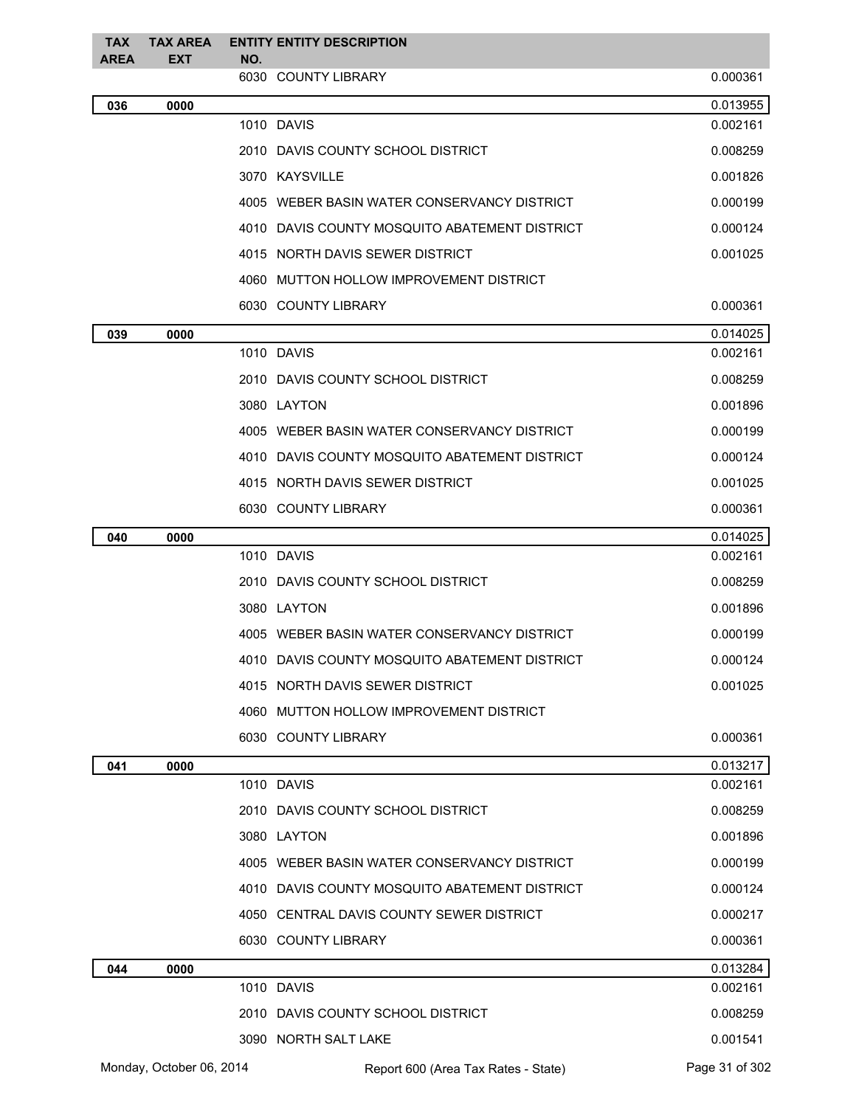| <b>TAX</b><br><b>AREA</b> | <b>TAX AREA</b><br><b>EXT</b> | NO. | <b>ENTITY ENTITY DESCRIPTION</b>              |                |
|---------------------------|-------------------------------|-----|-----------------------------------------------|----------------|
|                           |                               |     | 6030 COUNTY LIBRARY                           | 0.000361       |
| 036                       | 0000                          |     |                                               | 0.013955       |
|                           |                               |     | 1010 DAVIS                                    | 0.002161       |
|                           |                               |     | 2010 DAVIS COUNTY SCHOOL DISTRICT             | 0.008259       |
|                           |                               |     | 3070 KAYSVILLE                                | 0.001826       |
|                           |                               |     | 4005 WEBER BASIN WATER CONSERVANCY DISTRICT   | 0.000199       |
|                           |                               |     | 4010 DAVIS COUNTY MOSQUITO ABATEMENT DISTRICT | 0.000124       |
|                           |                               |     | 4015 NORTH DAVIS SEWER DISTRICT               | 0.001025       |
|                           |                               |     | 4060 MUTTON HOLLOW IMPROVEMENT DISTRICT       |                |
|                           |                               |     | 6030 COUNTY LIBRARY                           | 0.000361       |
| 039                       | 0000                          |     |                                               | 0.014025       |
|                           |                               |     | 1010 DAVIS                                    | 0.002161       |
|                           |                               |     | 2010 DAVIS COUNTY SCHOOL DISTRICT             | 0.008259       |
|                           |                               |     | 3080 LAYTON                                   | 0.001896       |
|                           |                               |     | 4005 WEBER BASIN WATER CONSERVANCY DISTRICT   | 0.000199       |
|                           |                               |     | 4010 DAVIS COUNTY MOSQUITO ABATEMENT DISTRICT | 0.000124       |
|                           |                               |     | 4015 NORTH DAVIS SEWER DISTRICT               | 0.001025       |
|                           |                               |     | 6030 COUNTY LIBRARY                           | 0.000361       |
| 040                       | 0000                          |     |                                               | 0.014025       |
|                           |                               |     | 1010 DAVIS                                    | 0.002161       |
|                           |                               |     | 2010 DAVIS COUNTY SCHOOL DISTRICT             | 0.008259       |
|                           |                               |     | 3080 LAYTON                                   | 0.001896       |
|                           |                               |     | 4005 WEBER BASIN WATER CONSERVANCY DISTRICT   | 0.000199       |
|                           |                               |     | 4010 DAVIS COUNTY MOSQUITO ABATEMENT DISTRICT | 0.000124       |
|                           |                               |     | 4015 NORTH DAVIS SEWER DISTRICT               | 0.001025       |
|                           |                               |     | 4060 MUTTON HOLLOW IMPROVEMENT DISTRICT       |                |
|                           |                               |     | 6030 COUNTY LIBRARY                           | 0.000361       |
| 041                       | 0000                          |     |                                               | 0.013217       |
|                           |                               |     | 1010 DAVIS                                    | 0.002161       |
|                           |                               |     | 2010 DAVIS COUNTY SCHOOL DISTRICT             | 0.008259       |
|                           |                               |     | 3080 LAYTON                                   | 0.001896       |
|                           |                               |     | 4005 WEBER BASIN WATER CONSERVANCY DISTRICT   | 0.000199       |
|                           |                               |     | 4010 DAVIS COUNTY MOSQUITO ABATEMENT DISTRICT | 0.000124       |
|                           |                               |     | 4050 CENTRAL DAVIS COUNTY SEWER DISTRICT      | 0.000217       |
|                           |                               |     | 6030 COUNTY LIBRARY                           | 0.000361       |
| 044                       | 0000                          |     |                                               | 0.013284       |
|                           |                               |     | 1010 DAVIS                                    | 0.002161       |
|                           |                               |     | 2010 DAVIS COUNTY SCHOOL DISTRICT             | 0.008259       |
|                           |                               |     | 3090 NORTH SALT LAKE                          | 0.001541       |
|                           | Monday, October 06, 2014      |     | Report 600 (Area Tax Rates - State)           | Page 31 of 302 |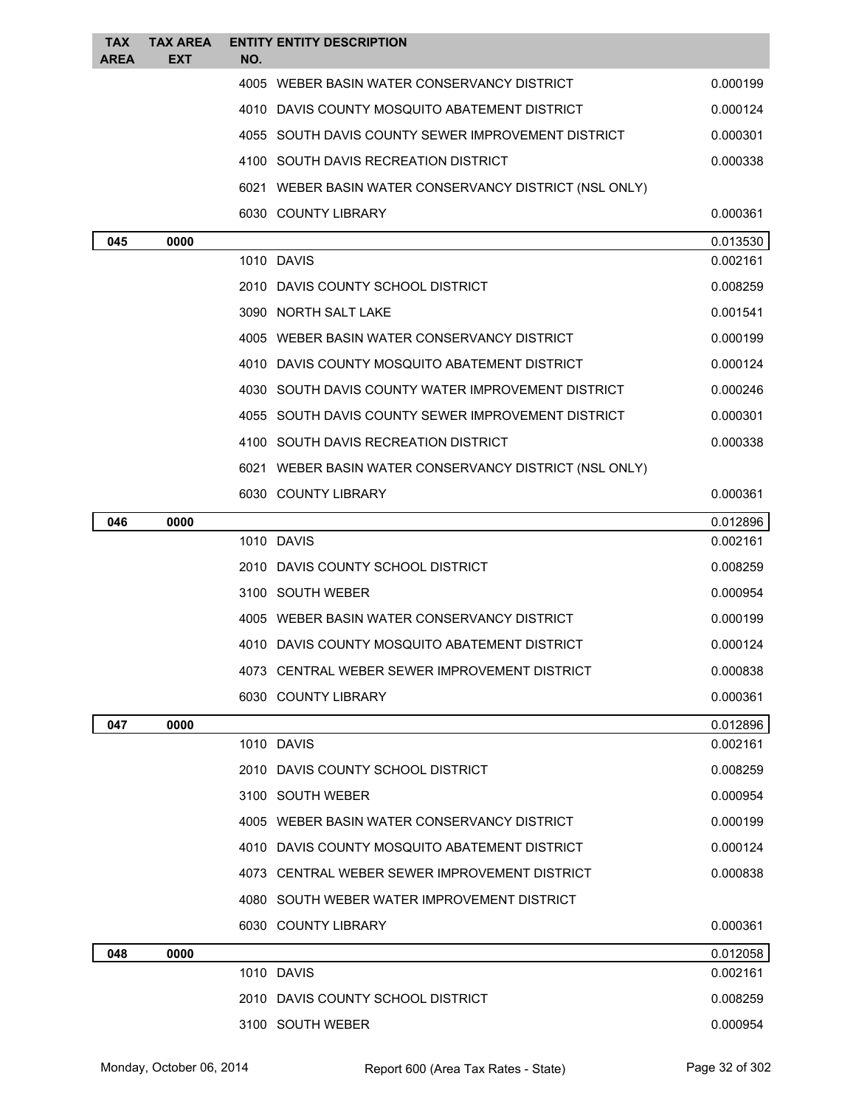| <b>TAX</b><br><b>AREA</b> | <b>TAX AREA</b><br>EXT | <b>ENTITY ENTITY DESCRIPTION</b><br>NO.                |          |
|---------------------------|------------------------|--------------------------------------------------------|----------|
|                           |                        | 4005 WEBER BASIN WATER CONSERVANCY DISTRICT            | 0.000199 |
|                           |                        | 4010 DAVIS COUNTY MOSQUITO ABATEMENT DISTRICT          | 0.000124 |
|                           |                        | 4055 SOUTH DAVIS COUNTY SEWER IMPROVEMENT DISTRICT     | 0.000301 |
|                           |                        | 4100 SOUTH DAVIS RECREATION DISTRICT                   | 0.000338 |
|                           |                        | 6021 WEBER BASIN WATER CONSERVANCY DISTRICT (NSL ONLY) |          |
|                           |                        | 6030 COUNTY LIBRARY                                    | 0.000361 |
| 045                       | 0000                   |                                                        | 0.013530 |
|                           |                        | 1010 DAVIS                                             | 0.002161 |
|                           |                        | 2010 DAVIS COUNTY SCHOOL DISTRICT                      | 0.008259 |
|                           |                        | 3090 NORTH SALT LAKE                                   | 0.001541 |
|                           |                        | 4005 WEBER BASIN WATER CONSERVANCY DISTRICT            | 0.000199 |
|                           |                        | 4010 DAVIS COUNTY MOSQUITO ABATEMENT DISTRICT          | 0.000124 |
|                           |                        | 4030 SOUTH DAVIS COUNTY WATER IMPROVEMENT DISTRICT     | 0.000246 |
|                           |                        | 4055 SOUTH DAVIS COUNTY SEWER IMPROVEMENT DISTRICT     | 0.000301 |
|                           |                        | 4100 SOUTH DAVIS RECREATION DISTRICT                   | 0.000338 |
|                           |                        | 6021 WEBER BASIN WATER CONSERVANCY DISTRICT (NSL ONLY) |          |
|                           |                        | 6030 COUNTY LIBRARY                                    | 0.000361 |
| 046                       | 0000                   |                                                        | 0.012896 |
|                           |                        | 1010 DAVIS                                             | 0.002161 |
|                           |                        | 2010 DAVIS COUNTY SCHOOL DISTRICT                      | 0.008259 |
|                           |                        | 3100 SOUTH WEBER                                       | 0.000954 |
|                           |                        | 4005 WEBER BASIN WATER CONSERVANCY DISTRICT            | 0.000199 |
|                           |                        | 4010 DAVIS COUNTY MOSQUITO ABATEMENT DISTRICT          | 0.000124 |
|                           |                        | 4073 CENTRAL WEBER SEWER IMPROVEMENT DISTRICT          | 0.000838 |
|                           |                        | 6030 COUNTY LIBRARY                                    | 0.000361 |
| 047                       | 0000                   |                                                        | 0.012896 |
|                           |                        | 1010 DAVIS                                             | 0.002161 |
|                           |                        | 2010 DAVIS COUNTY SCHOOL DISTRICT                      | 0.008259 |
|                           |                        | 3100 SOUTH WEBER                                       | 0.000954 |
|                           |                        | 4005 WEBER BASIN WATER CONSERVANCY DISTRICT            | 0.000199 |
|                           |                        | 4010 DAVIS COUNTY MOSQUITO ABATEMENT DISTRICT          | 0.000124 |
|                           |                        | 4073 CENTRAL WEBER SEWER IMPROVEMENT DISTRICT          | 0.000838 |
|                           |                        | 4080 SOUTH WEBER WATER IMPROVEMENT DISTRICT            |          |
|                           |                        | 6030 COUNTY LIBRARY                                    | 0.000361 |
| 048                       | 0000                   |                                                        | 0.012058 |
|                           |                        | 1010 DAVIS                                             | 0.002161 |
|                           |                        | 2010 DAVIS COUNTY SCHOOL DISTRICT                      | 0.008259 |
|                           |                        | 3100 SOUTH WEBER                                       | 0.000954 |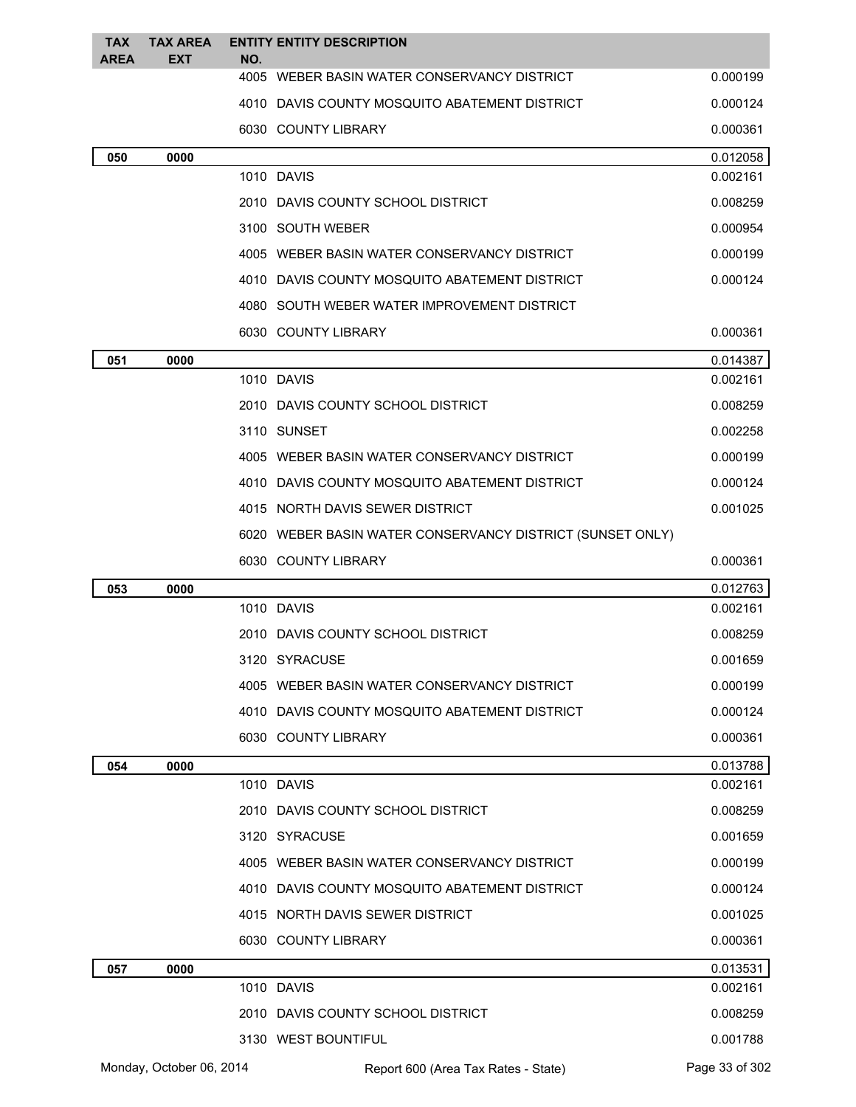| <b>TAX</b><br><b>AREA</b> | <b>TAX AREA</b><br>EXT   | NO. | <b>ENTITY ENTITY DESCRIPTION</b>                             |                      |
|---------------------------|--------------------------|-----|--------------------------------------------------------------|----------------------|
|                           |                          |     | 4005 WEBER BASIN WATER CONSERVANCY DISTRICT                  | 0.000199             |
|                           |                          |     | 4010 DAVIS COUNTY MOSQUITO ABATEMENT DISTRICT                | 0.000124             |
|                           |                          |     | 6030 COUNTY LIBRARY                                          | 0.000361             |
| 050                       | 0000                     |     |                                                              | 0.012058             |
|                           |                          |     | 1010 DAVIS                                                   | 0.002161             |
|                           |                          |     | 2010 DAVIS COUNTY SCHOOL DISTRICT                            | 0.008259             |
|                           |                          |     | 3100 SOUTH WEBER                                             | 0.000954             |
|                           |                          |     | 4005 WEBER BASIN WATER CONSERVANCY DISTRICT                  | 0.000199             |
|                           |                          |     | 4010 DAVIS COUNTY MOSQUITO ABATEMENT DISTRICT                | 0.000124             |
|                           |                          |     | 4080 SOUTH WEBER WATER IMPROVEMENT DISTRICT                  |                      |
|                           |                          |     | 6030 COUNTY LIBRARY                                          | 0.000361             |
| 051                       | 0000                     |     |                                                              | 0.014387             |
|                           |                          |     | 1010 DAVIS                                                   | 0.002161             |
|                           |                          |     | 2010 DAVIS COUNTY SCHOOL DISTRICT                            | 0.008259             |
|                           |                          |     | 3110 SUNSET                                                  | 0.002258             |
|                           |                          |     | 4005 WEBER BASIN WATER CONSERVANCY DISTRICT                  | 0.000199             |
|                           |                          |     | 4010 DAVIS COUNTY MOSQUITO ABATEMENT DISTRICT                | 0.000124             |
|                           |                          |     | 4015 NORTH DAVIS SEWER DISTRICT                              | 0.001025             |
|                           |                          |     | 6020 WEBER BASIN WATER CONSERVANCY DISTRICT (SUNSET ONLY)    |                      |
|                           |                          |     | 6030 COUNTY LIBRARY                                          | 0.000361             |
| 053                       | 0000                     |     |                                                              | 0.012763             |
|                           |                          |     | 1010 DAVIS                                                   | 0.002161             |
|                           |                          |     | 2010 DAVIS COUNTY SCHOOL DISTRICT                            | 0.008259             |
|                           |                          |     | 3120 SYRACUSE                                                | 0.001659             |
|                           |                          |     | 4005 WEBER BASIN WATER CONSERVANCY DISTRICT                  | 0.000199             |
|                           |                          |     | 4010 DAVIS COUNTY MOSQUITO ABATEMENT DISTRICT                | 0.000124             |
|                           |                          |     | 6030 COUNTY LIBRARY                                          | 0.000361             |
| 054                       | 0000                     |     |                                                              | 0.013788             |
|                           |                          |     | 1010 DAVIS                                                   | 0.002161             |
|                           |                          |     | 2010 DAVIS COUNTY SCHOOL DISTRICT                            | 0.008259             |
|                           |                          |     | 3120 SYRACUSE<br>4005 WEBER BASIN WATER CONSERVANCY DISTRICT | 0.001659             |
|                           |                          |     |                                                              | 0.000199             |
|                           |                          |     | 4010 DAVIS COUNTY MOSQUITO ABATEMENT DISTRICT                | 0.000124             |
|                           |                          |     | 4015 NORTH DAVIS SEWER DISTRICT                              | 0.001025             |
|                           |                          |     | 6030 COUNTY LIBRARY                                          | 0.000361             |
| 057                       | 0000                     |     | 1010 DAVIS                                                   | 0.013531<br>0.002161 |
|                           |                          |     | 2010 DAVIS COUNTY SCHOOL DISTRICT                            | 0.008259             |
|                           |                          |     | 3130 WEST BOUNTIFUL                                          | 0.001788             |
|                           | Monday, October 06, 2014 |     | Report 600 (Area Tax Rates - State)                          | Page 33 of 302       |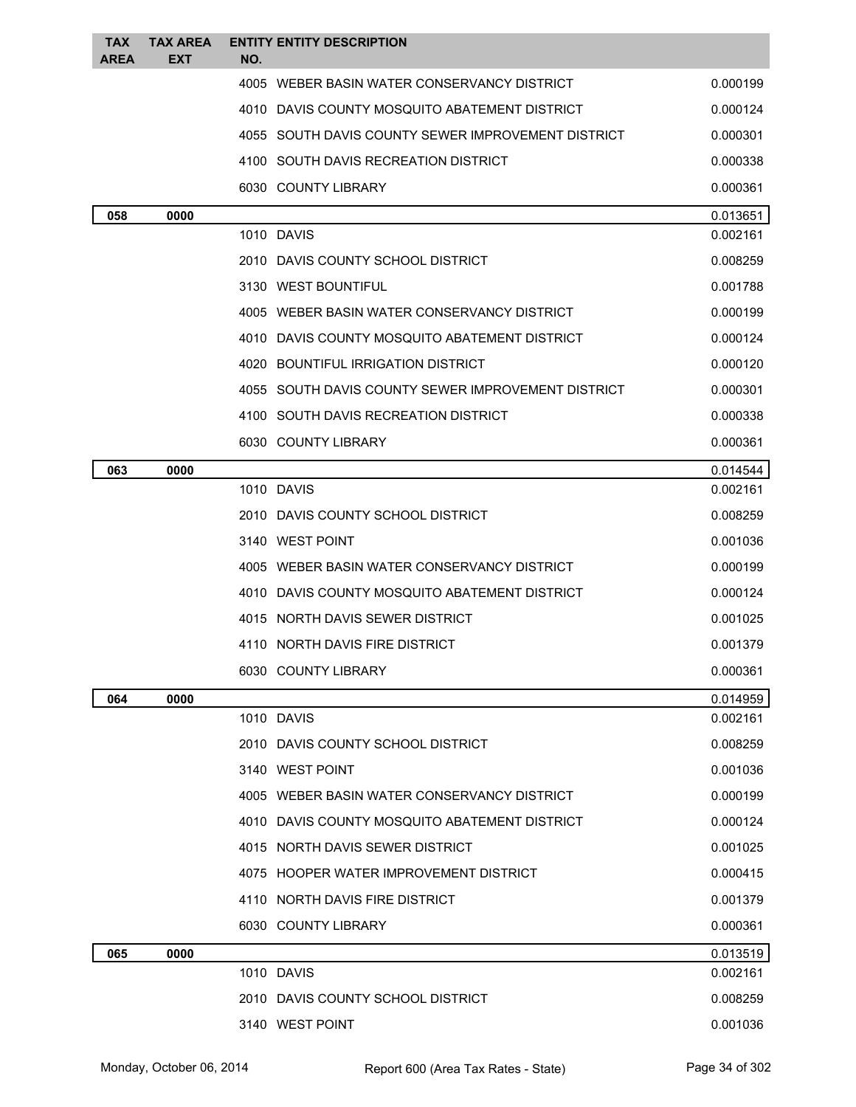| <b>TAX</b><br><b>AREA</b> | <b>TAX AREA</b><br><b>EXT</b> | <b>ENTITY ENTITY DESCRIPTION</b><br>NO.            |          |
|---------------------------|-------------------------------|----------------------------------------------------|----------|
|                           |                               | 4005 WEBER BASIN WATER CONSERVANCY DISTRICT        | 0.000199 |
|                           |                               | 4010 DAVIS COUNTY MOSQUITO ABATEMENT DISTRICT      | 0.000124 |
|                           |                               | 4055 SOUTH DAVIS COUNTY SEWER IMPROVEMENT DISTRICT | 0.000301 |
|                           |                               | 4100 SOUTH DAVIS RECREATION DISTRICT               | 0.000338 |
|                           |                               | 6030 COUNTY LIBRARY                                | 0.000361 |
| 058                       | 0000                          |                                                    | 0.013651 |
|                           |                               | 1010 DAVIS                                         | 0.002161 |
|                           |                               | 2010 DAVIS COUNTY SCHOOL DISTRICT                  | 0.008259 |
|                           |                               | 3130 WEST BOUNTIFUL                                | 0.001788 |
|                           |                               | 4005 WEBER BASIN WATER CONSERVANCY DISTRICT        | 0.000199 |
|                           |                               | 4010 DAVIS COUNTY MOSQUITO ABATEMENT DISTRICT      | 0.000124 |
|                           |                               | 4020 BOUNTIFUL IRRIGATION DISTRICT                 | 0.000120 |
|                           |                               | 4055 SOUTH DAVIS COUNTY SEWER IMPROVEMENT DISTRICT | 0.000301 |
|                           |                               | 4100 SOUTH DAVIS RECREATION DISTRICT               | 0.000338 |
|                           |                               | 6030 COUNTY LIBRARY                                | 0.000361 |
| 063                       | 0000                          |                                                    | 0.014544 |
|                           |                               | 1010 DAVIS                                         | 0.002161 |
|                           |                               | 2010 DAVIS COUNTY SCHOOL DISTRICT                  | 0.008259 |
|                           |                               | 3140 WEST POINT                                    | 0.001036 |
|                           |                               | 4005 WEBER BASIN WATER CONSERVANCY DISTRICT        | 0.000199 |
|                           |                               | 4010 DAVIS COUNTY MOSQUITO ABATEMENT DISTRICT      | 0.000124 |
|                           |                               | 4015 NORTH DAVIS SEWER DISTRICT                    | 0.001025 |
|                           |                               | 4110 NORTH DAVIS FIRE DISTRICT                     | 0.001379 |
|                           |                               | 6030 COUNTY LIBRARY                                | 0.000361 |
| 064                       | 0000                          |                                                    | 0.014959 |
|                           |                               | 1010 DAVIS                                         | 0.002161 |
|                           |                               | 2010 DAVIS COUNTY SCHOOL DISTRICT                  | 0.008259 |
|                           |                               | 3140 WEST POINT                                    | 0.001036 |
|                           |                               | 4005 WEBER BASIN WATER CONSERVANCY DISTRICT        | 0.000199 |
|                           |                               | 4010 DAVIS COUNTY MOSQUITO ABATEMENT DISTRICT      | 0.000124 |
|                           |                               | 4015 NORTH DAVIS SEWER DISTRICT                    | 0.001025 |
|                           |                               | 4075 HOOPER WATER IMPROVEMENT DISTRICT             | 0.000415 |
|                           |                               | 4110 NORTH DAVIS FIRE DISTRICT                     | 0.001379 |
|                           |                               | 6030 COUNTY LIBRARY                                | 0.000361 |
| 065                       | 0000                          |                                                    | 0.013519 |
|                           |                               | 1010 DAVIS                                         | 0.002161 |
|                           |                               | 2010 DAVIS COUNTY SCHOOL DISTRICT                  | 0.008259 |
|                           |                               | 3140 WEST POINT                                    | 0.001036 |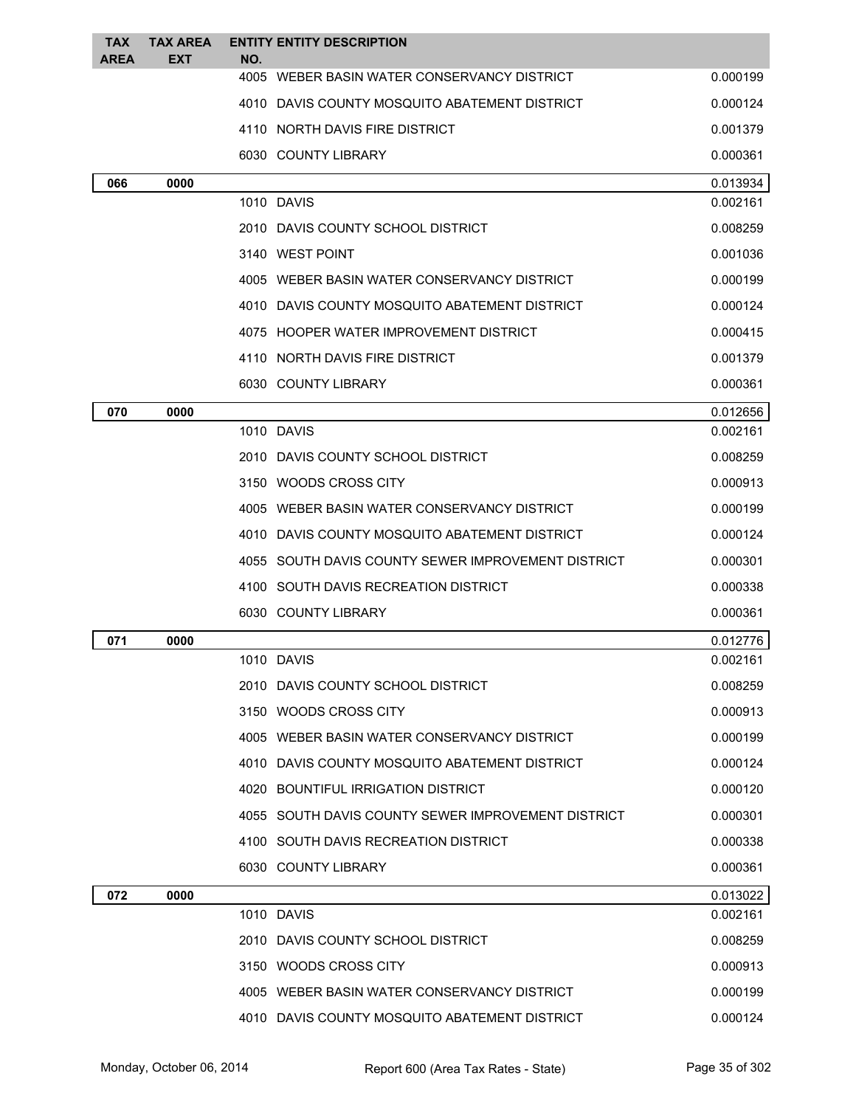| <b>TAX</b><br><b>AREA</b> | <b>TAX AREA</b><br><b>EXT</b> | <b>ENTITY ENTITY DESCRIPTION</b>                   |          |
|---------------------------|-------------------------------|----------------------------------------------------|----------|
|                           |                               | NO.<br>4005 WEBER BASIN WATER CONSERVANCY DISTRICT | 0.000199 |
|                           |                               | 4010 DAVIS COUNTY MOSQUITO ABATEMENT DISTRICT      | 0.000124 |
|                           |                               | 4110 NORTH DAVIS FIRE DISTRICT                     | 0.001379 |
|                           |                               | 6030 COUNTY LIBRARY                                | 0.000361 |
| 066                       | 0000                          |                                                    | 0.013934 |
|                           |                               | 1010 DAVIS                                         | 0.002161 |
|                           |                               | 2010 DAVIS COUNTY SCHOOL DISTRICT                  | 0.008259 |
|                           |                               | 3140 WEST POINT                                    | 0.001036 |
|                           |                               | 4005 WEBER BASIN WATER CONSERVANCY DISTRICT        | 0.000199 |
|                           |                               | 4010 DAVIS COUNTY MOSQUITO ABATEMENT DISTRICT      | 0.000124 |
|                           |                               | 4075 HOOPER WATER IMPROVEMENT DISTRICT             | 0.000415 |
|                           |                               | 4110 NORTH DAVIS FIRE DISTRICT                     | 0.001379 |
|                           |                               | 6030 COUNTY LIBRARY                                | 0.000361 |
| 070                       | 0000                          |                                                    | 0.012656 |
|                           |                               | 1010 DAVIS                                         | 0.002161 |
|                           |                               | 2010 DAVIS COUNTY SCHOOL DISTRICT                  | 0.008259 |
|                           |                               | 3150 WOODS CROSS CITY                              | 0.000913 |
|                           |                               | 4005 WEBER BASIN WATER CONSERVANCY DISTRICT        | 0.000199 |
|                           |                               | 4010 DAVIS COUNTY MOSQUITO ABATEMENT DISTRICT      | 0.000124 |
|                           |                               | 4055 SOUTH DAVIS COUNTY SEWER IMPROVEMENT DISTRICT | 0.000301 |
|                           |                               | 4100 SOUTH DAVIS RECREATION DISTRICT               | 0.000338 |
|                           |                               | 6030 COUNTY LIBRARY                                | 0.000361 |
| 071                       | 0000                          |                                                    | 0.012776 |
|                           |                               | 1010 DAVIS                                         | 0.002161 |
|                           |                               | 2010 DAVIS COUNTY SCHOOL DISTRICT                  | 0.008259 |
|                           |                               | 3150 WOODS CROSS CITY                              | 0.000913 |
|                           |                               | 4005 WEBER BASIN WATER CONSERVANCY DISTRICT        | 0.000199 |
|                           |                               | 4010 DAVIS COUNTY MOSQUITO ABATEMENT DISTRICT      | 0.000124 |
|                           |                               | 4020 BOUNTIFUL IRRIGATION DISTRICT                 | 0.000120 |
|                           |                               | 4055 SOUTH DAVIS COUNTY SEWER IMPROVEMENT DISTRICT | 0.000301 |
|                           |                               | 4100 SOUTH DAVIS RECREATION DISTRICT               | 0.000338 |
|                           |                               | 6030 COUNTY LIBRARY                                | 0.000361 |
| 072                       | 0000                          |                                                    | 0.013022 |
|                           |                               | 1010 DAVIS                                         | 0.002161 |
|                           |                               | 2010 DAVIS COUNTY SCHOOL DISTRICT                  | 0.008259 |
|                           |                               | 3150 WOODS CROSS CITY                              | 0.000913 |
|                           |                               | 4005 WEBER BASIN WATER CONSERVANCY DISTRICT        | 0.000199 |
|                           |                               | 4010 DAVIS COUNTY MOSQUITO ABATEMENT DISTRICT      | 0.000124 |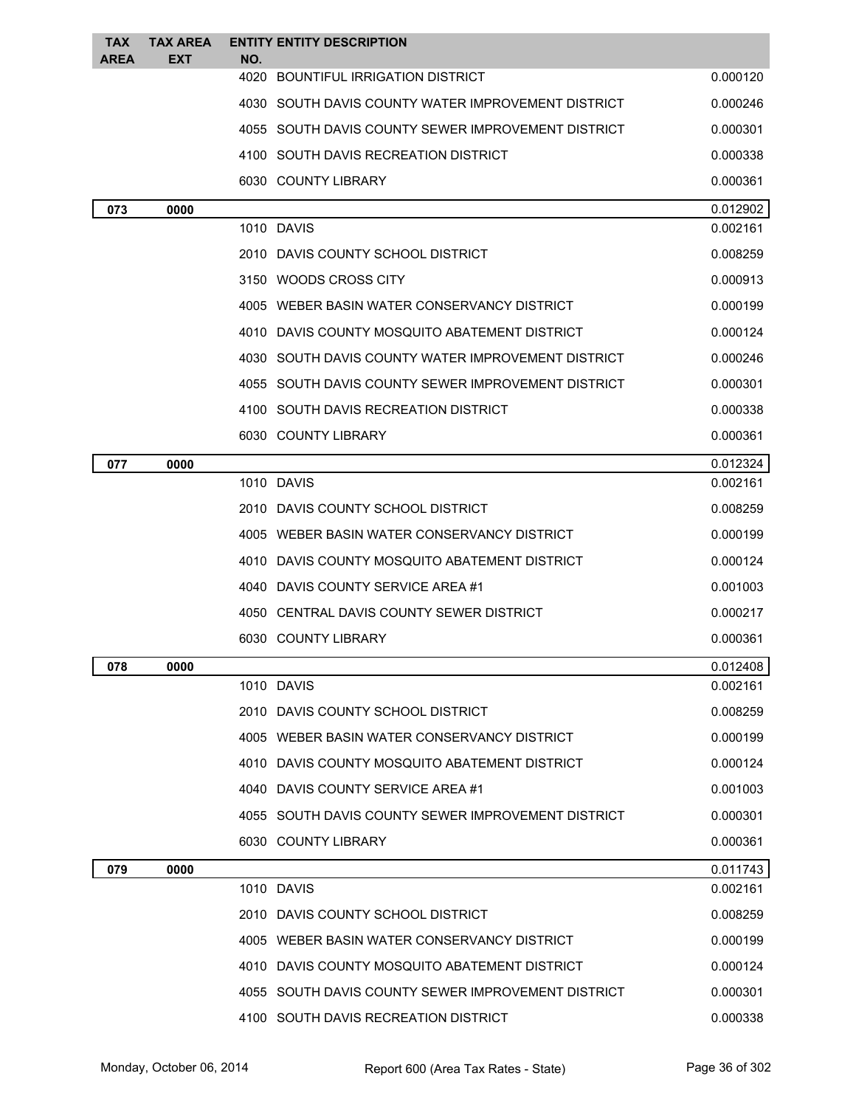| <b>TAX</b>  | <b>TAX AREA</b> | <b>ENTITY ENTITY DESCRIPTION</b>                   |          |
|-------------|-----------------|----------------------------------------------------|----------|
| <b>AREA</b> | EXT             | NO.<br>4020<br>BOUNTIFUL IRRIGATION DISTRICT       | 0.000120 |
|             |                 | 4030 SOUTH DAVIS COUNTY WATER IMPROVEMENT DISTRICT | 0.000246 |
|             |                 | 4055 SOUTH DAVIS COUNTY SEWER IMPROVEMENT DISTRICT | 0.000301 |
|             |                 | 4100 SOUTH DAVIS RECREATION DISTRICT               | 0.000338 |
|             |                 | 6030 COUNTY LIBRARY                                | 0.000361 |
| 073         | 0000            |                                                    | 0.012902 |
|             |                 | 1010 DAVIS                                         | 0.002161 |
|             |                 | 2010 DAVIS COUNTY SCHOOL DISTRICT                  | 0.008259 |
|             |                 | 3150 WOODS CROSS CITY                              | 0.000913 |
|             |                 | 4005 WEBER BASIN WATER CONSERVANCY DISTRICT        | 0.000199 |
|             |                 | 4010 DAVIS COUNTY MOSQUITO ABATEMENT DISTRICT      | 0.000124 |
|             |                 | 4030 SOUTH DAVIS COUNTY WATER IMPROVEMENT DISTRICT | 0.000246 |
|             |                 | 4055 SOUTH DAVIS COUNTY SEWER IMPROVEMENT DISTRICT | 0.000301 |
|             |                 | 4100 SOUTH DAVIS RECREATION DISTRICT               | 0.000338 |
|             |                 | 6030 COUNTY LIBRARY                                | 0.000361 |
| 077         | 0000            |                                                    | 0.012324 |
|             |                 | 1010 DAVIS                                         | 0.002161 |
|             |                 | 2010 DAVIS COUNTY SCHOOL DISTRICT                  | 0.008259 |
|             |                 | 4005 WEBER BASIN WATER CONSERVANCY DISTRICT        | 0.000199 |
|             |                 | DAVIS COUNTY MOSQUITO ABATEMENT DISTRICT<br>4010   | 0.000124 |
|             |                 | DAVIS COUNTY SERVICE AREA #1<br>4040               | 0.001003 |
|             |                 | CENTRAL DAVIS COUNTY SEWER DISTRICT<br>4050        | 0.000217 |
|             |                 | 6030 COUNTY LIBRARY                                | 0.000361 |
| 078         | 0000            |                                                    | 0.012408 |
|             |                 | 1010 DAVIS                                         | 0.002161 |
|             |                 | 2010 DAVIS COUNTY SCHOOL DISTRICT                  | 0.008259 |
|             |                 | 4005 WEBER BASIN WATER CONSERVANCY DISTRICT        | 0.000199 |
|             |                 | 4010 DAVIS COUNTY MOSQUITO ABATEMENT DISTRICT      | 0.000124 |
|             |                 | 4040 DAVIS COUNTY SERVICE AREA #1                  | 0.001003 |
|             |                 | 4055 SOUTH DAVIS COUNTY SEWER IMPROVEMENT DISTRICT | 0.000301 |
|             |                 | 6030 COUNTY LIBRARY                                | 0.000361 |
| 079         | 0000            |                                                    | 0.011743 |
|             |                 | 1010 DAVIS                                         | 0.002161 |
|             |                 | 2010 DAVIS COUNTY SCHOOL DISTRICT                  | 0.008259 |
|             |                 | 4005 WEBER BASIN WATER CONSERVANCY DISTRICT        | 0.000199 |
|             |                 | 4010 DAVIS COUNTY MOSQUITO ABATEMENT DISTRICT      | 0.000124 |
|             |                 | 4055 SOUTH DAVIS COUNTY SEWER IMPROVEMENT DISTRICT | 0.000301 |
|             |                 | 4100 SOUTH DAVIS RECREATION DISTRICT               | 0.000338 |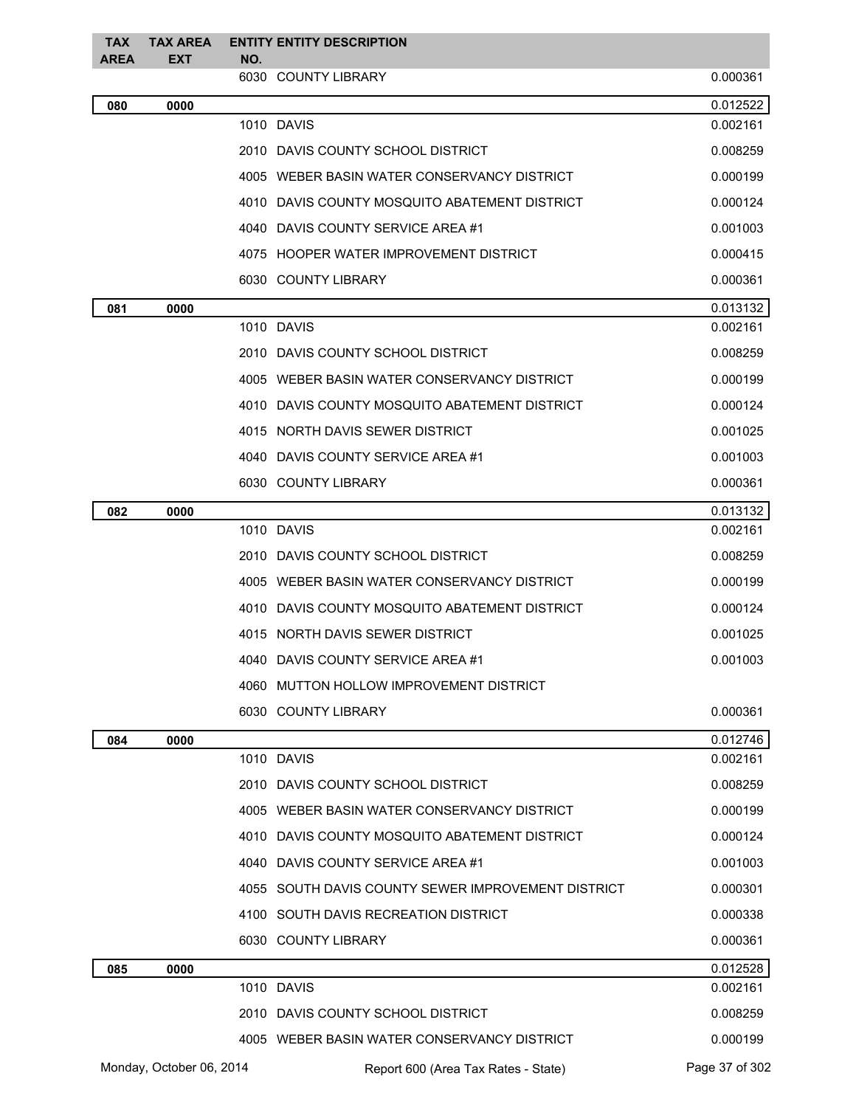| <b>TAX</b><br><b>AREA</b> | <b>TAX AREA</b><br><b>EXT</b> | NO. | <b>ENTITY ENTITY DESCRIPTION</b>                   |                |
|---------------------------|-------------------------------|-----|----------------------------------------------------|----------------|
|                           |                               |     | 6030 COUNTY LIBRARY                                | 0.000361       |
| 080                       | 0000                          |     |                                                    | 0.012522       |
|                           |                               |     | 1010 DAVIS                                         | 0.002161       |
|                           |                               |     | 2010 DAVIS COUNTY SCHOOL DISTRICT                  | 0.008259       |
|                           |                               |     | 4005 WEBER BASIN WATER CONSERVANCY DISTRICT        | 0.000199       |
|                           |                               |     | 4010 DAVIS COUNTY MOSQUITO ABATEMENT DISTRICT      | 0.000124       |
|                           |                               |     | 4040 DAVIS COUNTY SERVICE AREA #1                  | 0.001003       |
|                           |                               |     | 4075 HOOPER WATER IMPROVEMENT DISTRICT             | 0.000415       |
|                           |                               |     | 6030 COUNTY LIBRARY                                | 0.000361       |
| 081                       | 0000                          |     |                                                    | 0.013132       |
|                           |                               |     | 1010 DAVIS                                         | 0.002161       |
|                           |                               |     | 2010 DAVIS COUNTY SCHOOL DISTRICT                  | 0.008259       |
|                           |                               |     | 4005 WEBER BASIN WATER CONSERVANCY DISTRICT        | 0.000199       |
|                           |                               |     | 4010 DAVIS COUNTY MOSQUITO ABATEMENT DISTRICT      | 0.000124       |
|                           |                               |     | 4015 NORTH DAVIS SEWER DISTRICT                    | 0.001025       |
|                           |                               |     | 4040 DAVIS COUNTY SERVICE AREA #1                  | 0.001003       |
|                           |                               |     | 6030 COUNTY LIBRARY                                | 0.000361       |
| 082                       | 0000                          |     |                                                    | 0.013132       |
|                           |                               |     | 1010 DAVIS                                         | 0.002161       |
|                           |                               |     | 2010 DAVIS COUNTY SCHOOL DISTRICT                  | 0.008259       |
|                           |                               |     | 4005 WEBER BASIN WATER CONSERVANCY DISTRICT        | 0.000199       |
|                           |                               |     | 4010 DAVIS COUNTY MOSQUITO ABATEMENT DISTRICT      | 0.000124       |
|                           |                               |     | 4015 NORTH DAVIS SEWER DISTRICT                    | 0.001025       |
|                           |                               |     | 4040 DAVIS COUNTY SERVICE AREA #1                  | 0.001003       |
|                           |                               |     | 4060 MUTTON HOLLOW IMPROVEMENT DISTRICT            |                |
|                           |                               |     | 6030 COUNTY LIBRARY                                | 0.000361       |
| 084                       | 0000                          |     |                                                    | 0.012746       |
|                           |                               |     | 1010 DAVIS                                         | 0.002161       |
|                           |                               |     | 2010 DAVIS COUNTY SCHOOL DISTRICT                  | 0.008259       |
|                           |                               |     | 4005 WEBER BASIN WATER CONSERVANCY DISTRICT        | 0.000199       |
|                           |                               |     | 4010 DAVIS COUNTY MOSQUITO ABATEMENT DISTRICT      | 0.000124       |
|                           |                               |     | 4040 DAVIS COUNTY SERVICE AREA #1                  | 0.001003       |
|                           |                               |     | 4055 SOUTH DAVIS COUNTY SEWER IMPROVEMENT DISTRICT | 0.000301       |
|                           |                               |     | 4100 SOUTH DAVIS RECREATION DISTRICT               | 0.000338       |
|                           |                               |     | 6030 COUNTY LIBRARY                                | 0.000361       |
| 085                       | 0000                          |     |                                                    | 0.012528       |
|                           |                               |     | 1010 DAVIS                                         | 0.002161       |
|                           |                               |     | 2010 DAVIS COUNTY SCHOOL DISTRICT                  | 0.008259       |
|                           |                               |     | 4005 WEBER BASIN WATER CONSERVANCY DISTRICT        | 0.000199       |
|                           | Monday, October 06, 2014      |     | Report 600 (Area Tax Rates - State)                | Page 37 of 302 |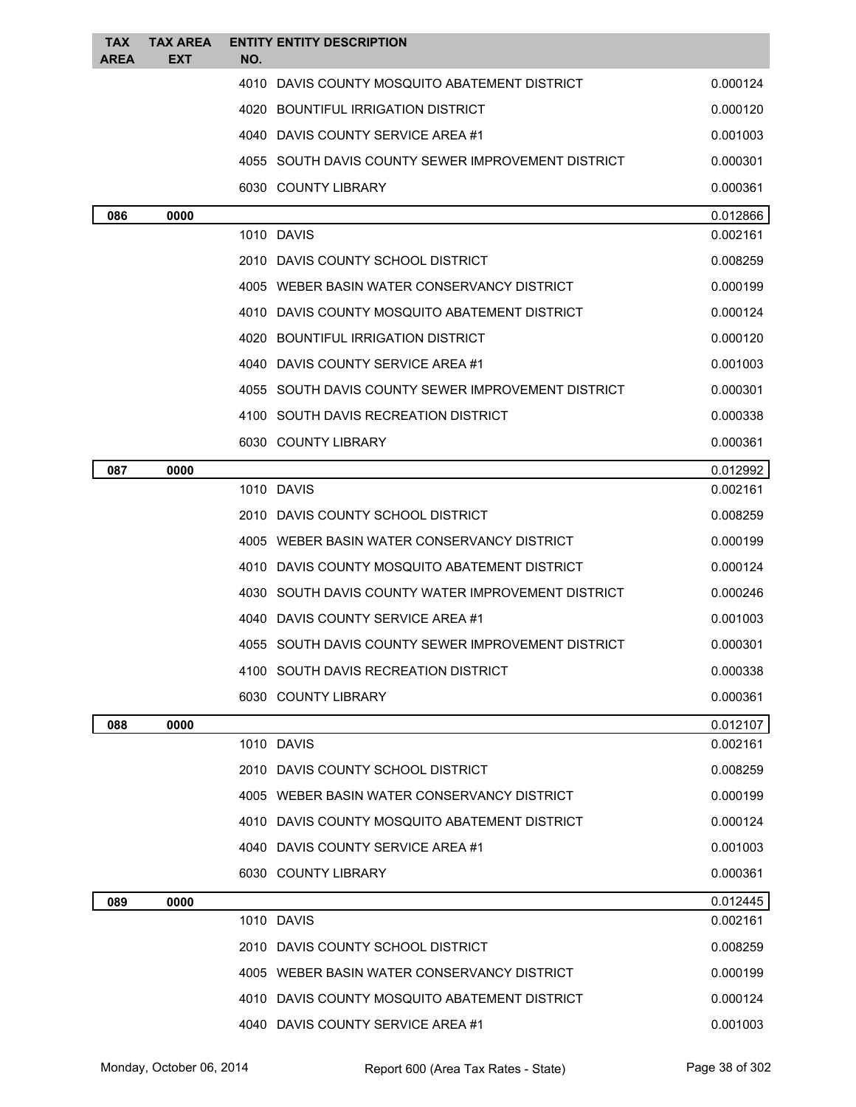| TAX<br><b>AREA</b> | <b>TAX AREA</b><br>EXT | <b>ENTITY ENTITY DESCRIPTION</b><br>NO.            |                      |
|--------------------|------------------------|----------------------------------------------------|----------------------|
|                    |                        | 4010 DAVIS COUNTY MOSQUITO ABATEMENT DISTRICT      | 0.000124             |
|                    |                        | 4020 BOUNTIFUL IRRIGATION DISTRICT                 | 0.000120             |
|                    |                        | 4040 DAVIS COUNTY SERVICE AREA #1                  | 0.001003             |
|                    |                        | 4055 SOUTH DAVIS COUNTY SEWER IMPROVEMENT DISTRICT | 0.000301             |
|                    |                        | 6030 COUNTY LIBRARY                                | 0.000361             |
| 086                | 0000                   |                                                    | 0.012866             |
|                    |                        | 1010 DAVIS                                         | 0.002161             |
|                    |                        | 2010 DAVIS COUNTY SCHOOL DISTRICT                  | 0.008259             |
|                    |                        | 4005 WEBER BASIN WATER CONSERVANCY DISTRICT        | 0.000199             |
|                    |                        | 4010 DAVIS COUNTY MOSQUITO ABATEMENT DISTRICT      | 0.000124             |
|                    |                        | 4020 BOUNTIFUL IRRIGATION DISTRICT                 | 0.000120             |
|                    |                        | 4040 DAVIS COUNTY SERVICE AREA #1                  | 0.001003             |
|                    |                        | 4055 SOUTH DAVIS COUNTY SEWER IMPROVEMENT DISTRICT | 0.000301             |
|                    |                        | 4100 SOUTH DAVIS RECREATION DISTRICT               | 0.000338             |
|                    |                        | 6030 COUNTY LIBRARY                                | 0.000361             |
| 087                | 0000                   |                                                    | 0.012992             |
|                    |                        | 1010 DAVIS                                         | 0.002161             |
|                    |                        | 2010 DAVIS COUNTY SCHOOL DISTRICT                  | 0.008259             |
|                    |                        | 4005 WEBER BASIN WATER CONSERVANCY DISTRICT        | 0.000199             |
|                    |                        | DAVIS COUNTY MOSQUITO ABATEMENT DISTRICT<br>4010   | 0.000124             |
|                    |                        | 4030 SOUTH DAVIS COUNTY WATER IMPROVEMENT DISTRICT | 0.000246             |
|                    |                        | 4040 DAVIS COUNTY SERVICE AREA #1                  | 0.001003             |
|                    |                        | 4055 SOUTH DAVIS COUNTY SEWER IMPROVEMENT DISTRICT | 0.000301             |
|                    |                        | 4100 SOUTH DAVIS RECREATION DISTRICT               | 0.000338             |
|                    |                        | 6030 COUNTY LIBRARY                                | 0.000361             |
| 088                | 0000                   | 1010 DAVIS                                         | 0.012107<br>0.002161 |
|                    |                        | 2010 DAVIS COUNTY SCHOOL DISTRICT                  | 0.008259             |
|                    |                        | 4005 WEBER BASIN WATER CONSERVANCY DISTRICT        | 0.000199             |
|                    |                        | 4010 DAVIS COUNTY MOSQUITO ABATEMENT DISTRICT      | 0.000124             |
|                    |                        | 4040 DAVIS COUNTY SERVICE AREA #1                  | 0.001003             |
|                    |                        | 6030 COUNTY LIBRARY                                | 0.000361             |
| 089                | 0000                   |                                                    | 0.012445             |
|                    |                        | 1010 DAVIS                                         | 0.002161             |
|                    |                        | 2010 DAVIS COUNTY SCHOOL DISTRICT                  | 0.008259             |
|                    |                        | 4005 WEBER BASIN WATER CONSERVANCY DISTRICT        | 0.000199             |
|                    |                        | 4010 DAVIS COUNTY MOSQUITO ABATEMENT DISTRICT      | 0.000124             |
|                    |                        | 4040 DAVIS COUNTY SERVICE AREA #1                  | 0.001003             |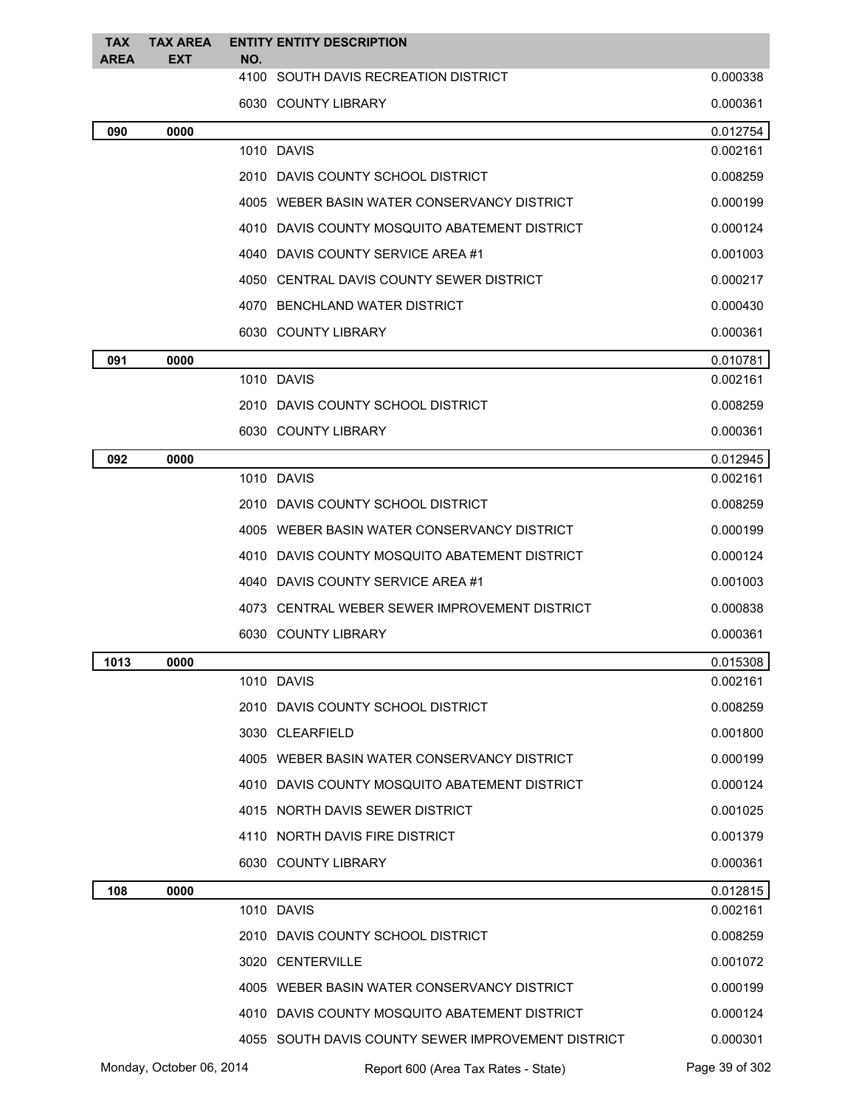| <b>TAX</b><br><b>AREA</b> | <b>TAX AREA</b><br><b>EXT</b> | NO. | <b>ENTITY ENTITY DESCRIPTION</b>                                                                    |                            |
|---------------------------|-------------------------------|-----|-----------------------------------------------------------------------------------------------------|----------------------------|
|                           |                               |     | 4100 SOUTH DAVIS RECREATION DISTRICT                                                                | 0.000338                   |
|                           |                               |     | 6030 COUNTY LIBRARY                                                                                 | 0.000361                   |
| 090                       | 0000                          |     |                                                                                                     | 0.012754                   |
|                           |                               |     | 1010 DAVIS                                                                                          | 0.002161                   |
|                           |                               |     | 2010 DAVIS COUNTY SCHOOL DISTRICT                                                                   | 0.008259                   |
|                           |                               |     | 4005 WEBER BASIN WATER CONSERVANCY DISTRICT                                                         | 0.000199                   |
|                           |                               |     | 4010 DAVIS COUNTY MOSQUITO ABATEMENT DISTRICT                                                       | 0.000124                   |
|                           |                               |     | 4040 DAVIS COUNTY SERVICE AREA #1                                                                   | 0.001003                   |
|                           |                               |     | 4050 CENTRAL DAVIS COUNTY SEWER DISTRICT                                                            | 0.000217                   |
|                           |                               |     | 4070 BENCHLAND WATER DISTRICT                                                                       | 0.000430                   |
|                           |                               |     | 6030 COUNTY LIBRARY                                                                                 | 0.000361                   |
| 091                       | 0000                          |     |                                                                                                     | 0.010781                   |
|                           |                               |     | 1010 DAVIS                                                                                          | 0.002161                   |
|                           |                               |     | 2010 DAVIS COUNTY SCHOOL DISTRICT                                                                   | 0.008259                   |
|                           |                               |     | 6030 COUNTY LIBRARY                                                                                 | 0.000361                   |
| 092                       | 0000                          |     |                                                                                                     | 0.012945                   |
|                           |                               |     | 1010 DAVIS                                                                                          | 0.002161                   |
|                           |                               |     | 2010 DAVIS COUNTY SCHOOL DISTRICT                                                                   | 0.008259                   |
|                           |                               |     | 4005 WEBER BASIN WATER CONSERVANCY DISTRICT                                                         | 0.000199                   |
|                           |                               |     | 4010 DAVIS COUNTY MOSQUITO ABATEMENT DISTRICT                                                       | 0.000124                   |
|                           |                               |     | 4040 DAVIS COUNTY SERVICE AREA #1                                                                   | 0.001003                   |
|                           |                               |     | 4073 CENTRAL WEBER SEWER IMPROVEMENT DISTRICT                                                       | 0.000838                   |
|                           |                               |     | 6030 COUNTY LIBRARY                                                                                 | 0.000361                   |
| 1013                      | 0000                          |     | 1010 DAVIS                                                                                          | 0.015308                   |
|                           |                               |     |                                                                                                     | 0.002161                   |
|                           |                               |     | 2010 DAVIS COUNTY SCHOOL DISTRICT                                                                   | 0.008259                   |
|                           |                               |     | 3030 CLEARFIELD                                                                                     | 0.001800                   |
|                           |                               |     | 4005 WEBER BASIN WATER CONSERVANCY DISTRICT                                                         | 0.000199                   |
|                           |                               |     | 4010 DAVIS COUNTY MOSQUITO ABATEMENT DISTRICT                                                       | 0.000124                   |
|                           |                               |     | 4015 NORTH DAVIS SEWER DISTRICT                                                                     | 0.001025                   |
|                           |                               |     | 4110 NORTH DAVIS FIRE DISTRICT                                                                      | 0.001379                   |
|                           |                               |     | 6030 COUNTY LIBRARY                                                                                 | 0.000361                   |
| 108                       | 0000                          |     | 1010 DAVIS                                                                                          | 0.012815<br>0.002161       |
|                           |                               |     | 2010 DAVIS COUNTY SCHOOL DISTRICT                                                                   | 0.008259                   |
|                           |                               |     | 3020 CENTERVILLE                                                                                    | 0.001072                   |
|                           |                               |     | 4005 WEBER BASIN WATER CONSERVANCY DISTRICT                                                         | 0.000199                   |
|                           |                               |     |                                                                                                     |                            |
|                           |                               |     | 4010 DAVIS COUNTY MOSQUITO ABATEMENT DISTRICT<br>4055 SOUTH DAVIS COUNTY SEWER IMPROVEMENT DISTRICT | 0.000124                   |
|                           | Monday, October 06, 2014      |     | Report 600 (Area Tax Rates - State)                                                                 | 0.000301<br>Page 39 of 302 |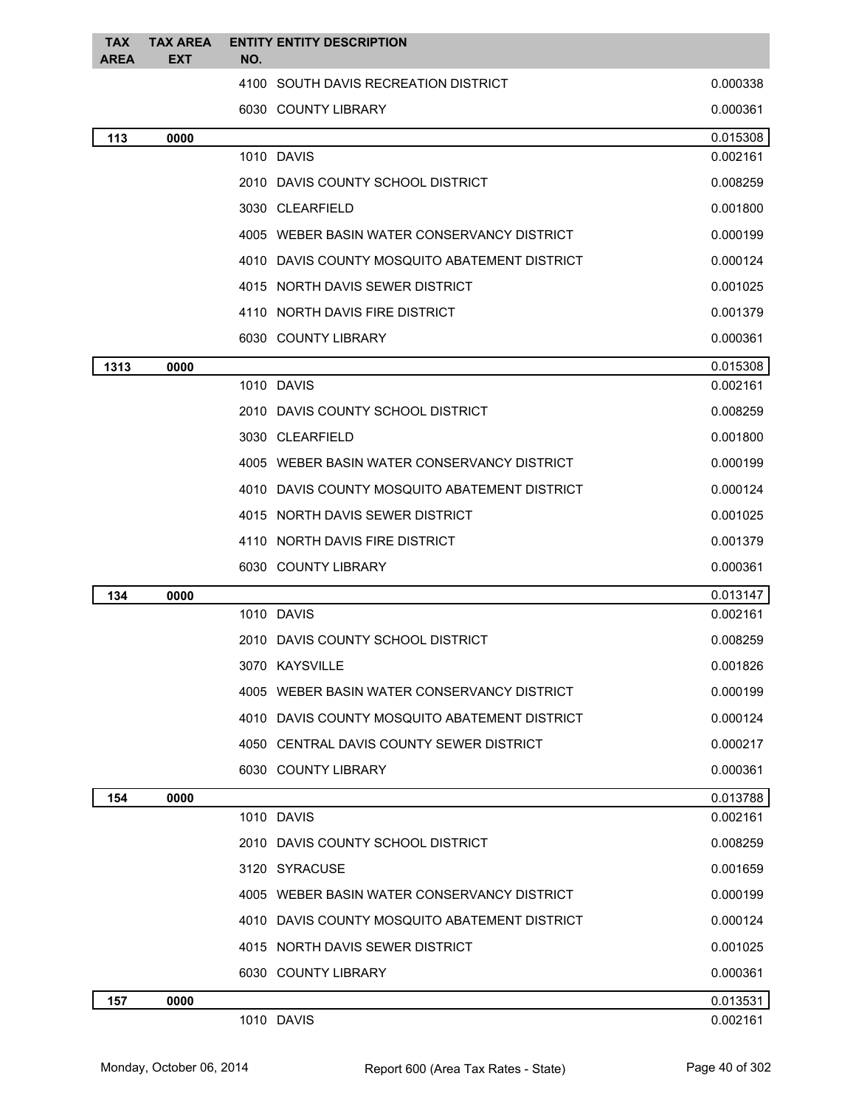| <b>TAX</b><br><b>AREA</b> | <b>TAX AREA</b><br>EXT | <b>ENTITY ENTITY DESCRIPTION</b><br>NO. |                                               |          |
|---------------------------|------------------------|-----------------------------------------|-----------------------------------------------|----------|
|                           |                        |                                         | 4100 SOUTH DAVIS RECREATION DISTRICT          | 0.000338 |
|                           |                        | 6030 COUNTY LIBRARY                     |                                               | 0.000361 |
|                           |                        |                                         |                                               | 0.015308 |
| 113                       | 0000                   | 1010 DAVIS                              |                                               | 0.002161 |
|                           |                        |                                         | 2010 DAVIS COUNTY SCHOOL DISTRICT             | 0.008259 |
|                           |                        | 3030 CLEARFIELD                         |                                               | 0.001800 |
|                           |                        |                                         | 4005 WEBER BASIN WATER CONSERVANCY DISTRICT   | 0.000199 |
|                           |                        |                                         | 4010 DAVIS COUNTY MOSQUITO ABATEMENT DISTRICT | 0.000124 |
|                           |                        |                                         | 4015 NORTH DAVIS SEWER DISTRICT               | 0.001025 |
|                           |                        |                                         | 4110 NORTH DAVIS FIRE DISTRICT                | 0.001379 |
|                           |                        | 6030 COUNTY LIBRARY                     |                                               | 0.000361 |
| 1313                      | 0000                   |                                         |                                               | 0.015308 |
|                           |                        | 1010 DAVIS                              |                                               | 0.002161 |
|                           |                        |                                         | 2010 DAVIS COUNTY SCHOOL DISTRICT             | 0.008259 |
|                           |                        | 3030 CLEARFIELD                         |                                               | 0.001800 |
|                           |                        |                                         | 4005 WEBER BASIN WATER CONSERVANCY DISTRICT   | 0.000199 |
|                           |                        |                                         | 4010 DAVIS COUNTY MOSQUITO ABATEMENT DISTRICT | 0.000124 |
|                           |                        |                                         | 4015 NORTH DAVIS SEWER DISTRICT               | 0.001025 |
|                           |                        |                                         | 4110 NORTH DAVIS FIRE DISTRICT                | 0.001379 |
|                           |                        | 6030 COUNTY LIBRARY                     |                                               | 0.000361 |
| 134                       | 0000                   |                                         |                                               | 0.013147 |
|                           |                        | 1010 DAVIS                              |                                               | 0.002161 |
|                           |                        |                                         | 2010 DAVIS COUNTY SCHOOL DISTRICT             | 0.008259 |
|                           |                        | 3070 KAYSVILLE                          |                                               | 0.001826 |
|                           |                        |                                         | 4005 WEBER BASIN WATER CONSERVANCY DISTRICT   | 0.000199 |
|                           |                        |                                         | 4010 DAVIS COUNTY MOSQUITO ABATEMENT DISTRICT | 0.000124 |
|                           |                        |                                         | 4050 CENTRAL DAVIS COUNTY SEWER DISTRICT      | 0.000217 |
|                           |                        | 6030 COUNTY LIBRARY                     |                                               | 0.000361 |
| 154                       | 0000                   |                                         |                                               | 0.013788 |
|                           |                        | 1010 DAVIS                              |                                               | 0.002161 |
|                           |                        |                                         | 2010 DAVIS COUNTY SCHOOL DISTRICT             | 0.008259 |
|                           |                        | 3120 SYRACUSE                           |                                               | 0.001659 |
|                           |                        |                                         | 4005 WEBER BASIN WATER CONSERVANCY DISTRICT   | 0.000199 |
|                           |                        |                                         | 4010 DAVIS COUNTY MOSQUITO ABATEMENT DISTRICT | 0.000124 |
|                           |                        |                                         | 4015 NORTH DAVIS SEWER DISTRICT               | 0.001025 |
|                           |                        | 6030 COUNTY LIBRARY                     |                                               | 0.000361 |
| 157                       | 0000                   |                                         |                                               | 0.013531 |
|                           |                        | 1010 DAVIS                              |                                               | 0.002161 |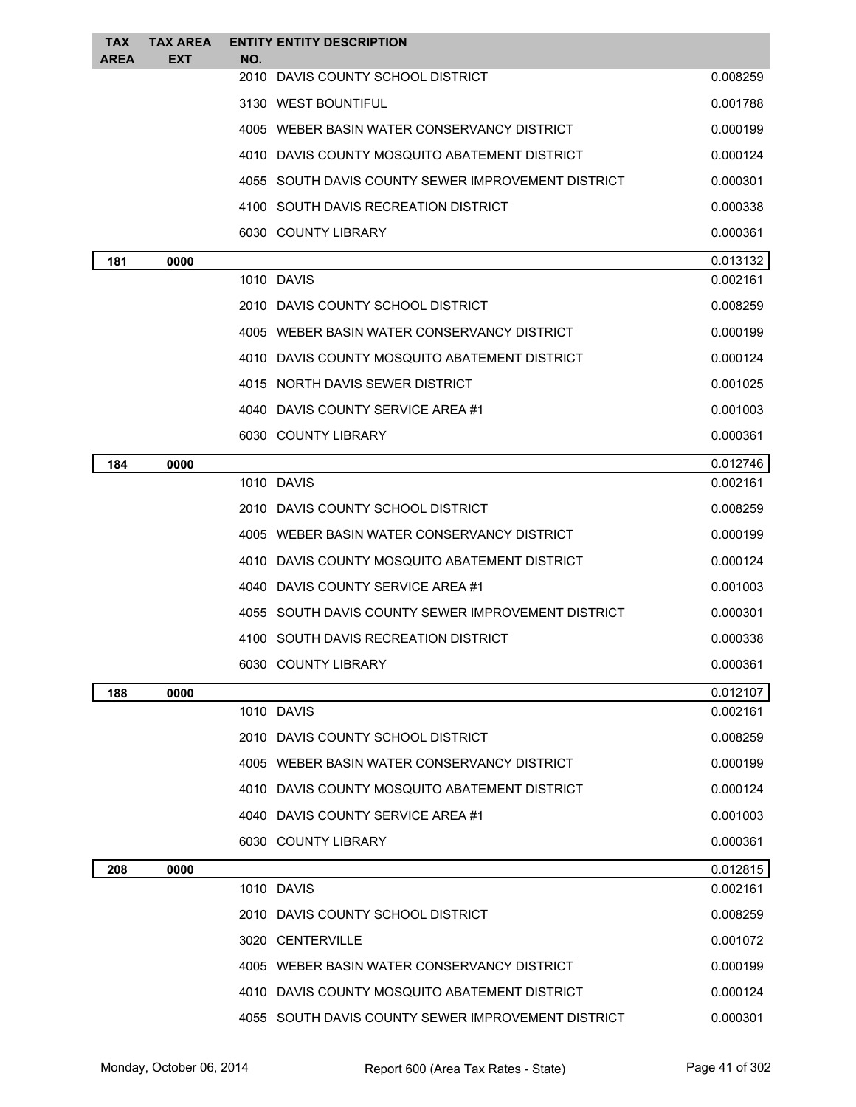| TAX<br><b>AREA</b> | <b>TAX AREA</b><br><b>EXT</b> | <b>ENTITY ENTITY DESCRIPTION</b><br>NO.            |          |
|--------------------|-------------------------------|----------------------------------------------------|----------|
|                    |                               | 2010 DAVIS COUNTY SCHOOL DISTRICT                  | 0.008259 |
|                    |                               | 3130 WEST BOUNTIFUL                                | 0.001788 |
|                    |                               | 4005 WEBER BASIN WATER CONSERVANCY DISTRICT        | 0.000199 |
|                    |                               | 4010 DAVIS COUNTY MOSQUITO ABATEMENT DISTRICT      | 0.000124 |
|                    |                               | 4055 SOUTH DAVIS COUNTY SEWER IMPROVEMENT DISTRICT | 0.000301 |
|                    |                               | 4100 SOUTH DAVIS RECREATION DISTRICT               | 0.000338 |
|                    |                               | 6030 COUNTY LIBRARY                                | 0.000361 |
| 181                | 0000                          |                                                    | 0.013132 |
|                    |                               | 1010 DAVIS                                         | 0.002161 |
|                    |                               | 2010 DAVIS COUNTY SCHOOL DISTRICT                  | 0.008259 |
|                    |                               | 4005 WEBER BASIN WATER CONSERVANCY DISTRICT        | 0.000199 |
|                    |                               | 4010 DAVIS COUNTY MOSQUITO ABATEMENT DISTRICT      | 0.000124 |
|                    |                               | 4015 NORTH DAVIS SEWER DISTRICT                    | 0.001025 |
|                    |                               | 4040 DAVIS COUNTY SERVICE AREA #1                  | 0.001003 |
|                    |                               | 6030 COUNTY LIBRARY                                | 0.000361 |
| 184                | 0000                          |                                                    | 0.012746 |
|                    |                               | 1010 DAVIS                                         | 0.002161 |
|                    |                               | 2010 DAVIS COUNTY SCHOOL DISTRICT                  | 0.008259 |
|                    |                               | 4005 WEBER BASIN WATER CONSERVANCY DISTRICT        | 0.000199 |
|                    |                               | 4010 DAVIS COUNTY MOSQUITO ABATEMENT DISTRICT      | 0.000124 |
|                    |                               | 4040 DAVIS COUNTY SERVICE AREA #1                  | 0.001003 |
|                    |                               | 4055 SOUTH DAVIS COUNTY SEWER IMPROVEMENT DISTRICT | 0.000301 |
|                    |                               | 4100 SOUTH DAVIS RECREATION DISTRICT               | 0.000338 |
|                    |                               | 6030 COUNTY LIBRARY                                | 0.000361 |
| 188                | 0000                          |                                                    | 0.012107 |
|                    |                               | 1010 DAVIS                                         | 0.002161 |
|                    |                               | 2010 DAVIS COUNTY SCHOOL DISTRICT                  | 0.008259 |
|                    |                               | 4005 WEBER BASIN WATER CONSERVANCY DISTRICT        | 0.000199 |
|                    |                               | 4010 DAVIS COUNTY MOSQUITO ABATEMENT DISTRICT      | 0.000124 |
|                    |                               | 4040 DAVIS COUNTY SERVICE AREA #1                  | 0.001003 |
|                    |                               | 6030 COUNTY LIBRARY                                | 0.000361 |
| 208                | 0000                          |                                                    | 0.012815 |
|                    |                               | 1010 DAVIS                                         | 0.002161 |
|                    |                               | 2010 DAVIS COUNTY SCHOOL DISTRICT                  | 0.008259 |
|                    |                               | 3020 CENTERVILLE                                   | 0.001072 |
|                    |                               | 4005 WEBER BASIN WATER CONSERVANCY DISTRICT        | 0.000199 |
|                    |                               | 4010 DAVIS COUNTY MOSQUITO ABATEMENT DISTRICT      | 0.000124 |
|                    |                               | 4055 SOUTH DAVIS COUNTY SEWER IMPROVEMENT DISTRICT | 0.000301 |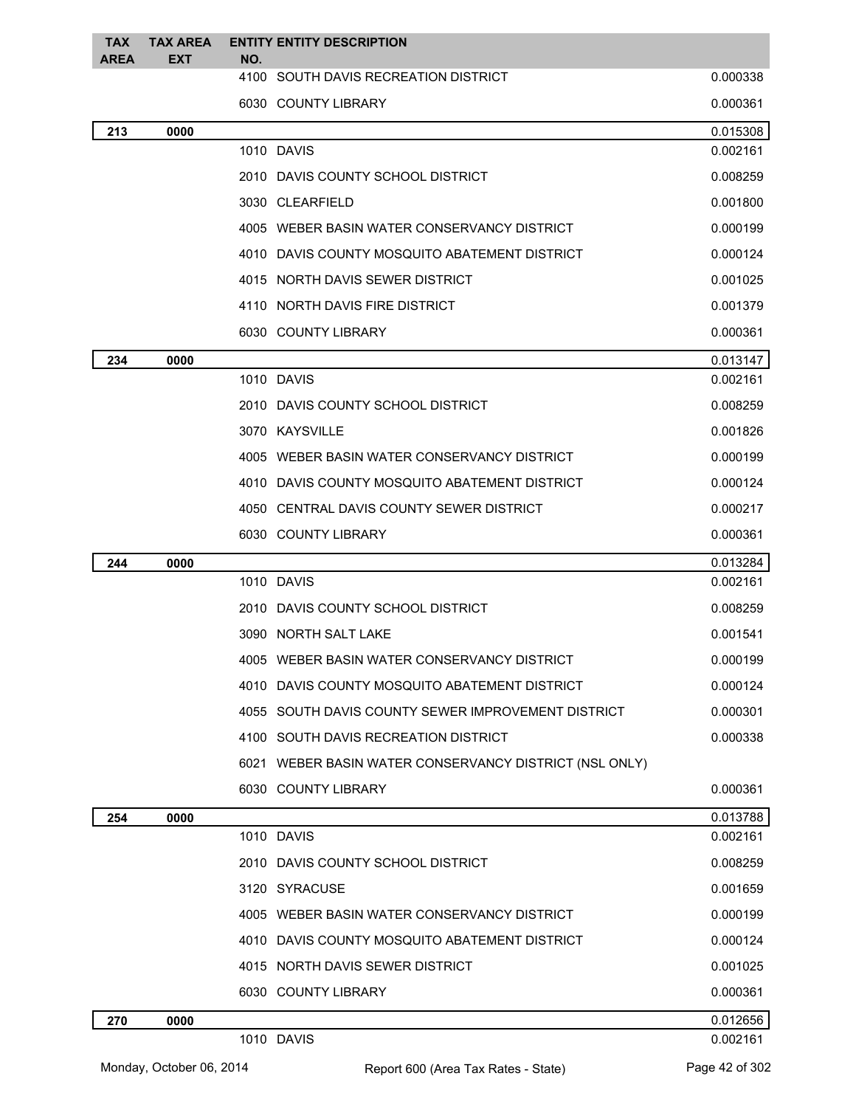| <b>TAX</b><br><b>AREA</b> | TAX AREA<br><b>EXT</b> | <b>ENTITY ENTITY DESCRIPTION</b><br>NO.                |          |
|---------------------------|------------------------|--------------------------------------------------------|----------|
|                           |                        | 4100 SOUTH DAVIS RECREATION DISTRICT                   | 0.000338 |
|                           |                        | 6030 COUNTY LIBRARY                                    | 0.000361 |
| 213                       | 0000                   |                                                        | 0.015308 |
|                           |                        | 1010 DAVIS                                             | 0.002161 |
|                           |                        | 2010 DAVIS COUNTY SCHOOL DISTRICT                      | 0.008259 |
|                           |                        | 3030 CLEARFIELD                                        | 0.001800 |
|                           |                        | 4005 WEBER BASIN WATER CONSERVANCY DISTRICT            | 0.000199 |
|                           |                        | 4010 DAVIS COUNTY MOSQUITO ABATEMENT DISTRICT          | 0.000124 |
|                           |                        | 4015 NORTH DAVIS SEWER DISTRICT                        | 0.001025 |
|                           |                        | 4110 NORTH DAVIS FIRE DISTRICT                         | 0.001379 |
|                           |                        | 6030 COUNTY LIBRARY                                    | 0.000361 |
| 234                       | 0000                   |                                                        | 0.013147 |
|                           |                        | 1010 DAVIS                                             | 0.002161 |
|                           |                        | 2010 DAVIS COUNTY SCHOOL DISTRICT                      | 0.008259 |
|                           |                        | 3070 KAYSVILLE                                         | 0.001826 |
|                           |                        | 4005 WEBER BASIN WATER CONSERVANCY DISTRICT            | 0.000199 |
|                           |                        | 4010 DAVIS COUNTY MOSQUITO ABATEMENT DISTRICT          | 0.000124 |
|                           |                        | 4050 CENTRAL DAVIS COUNTY SEWER DISTRICT               | 0.000217 |
|                           |                        | 6030 COUNTY LIBRARY                                    | 0.000361 |
| 244                       | 0000                   |                                                        | 0.013284 |
|                           |                        | 1010 DAVIS                                             | 0.002161 |
|                           |                        | 2010 DAVIS COUNTY SCHOOL DISTRICT                      | 0.008259 |
|                           |                        | 3090 NORTH SALT LAKE                                   | 0.001541 |
|                           |                        | 4005 WEBER BASIN WATER CONSERVANCY DISTRICT            | 0.000199 |
|                           |                        | 4010 DAVIS COUNTY MOSQUITO ABATEMENT DISTRICT          | 0.000124 |
|                           |                        | 4055 SOUTH DAVIS COUNTY SEWER IMPROVEMENT DISTRICT     | 0.000301 |
|                           |                        | 4100 SOUTH DAVIS RECREATION DISTRICT                   | 0.000338 |
|                           |                        | 6021 WEBER BASIN WATER CONSERVANCY DISTRICT (NSL ONLY) |          |
|                           |                        | 6030 COUNTY LIBRARY                                    | 0.000361 |
| 254                       | 0000                   |                                                        | 0.013788 |
|                           |                        | 1010 DAVIS                                             | 0.002161 |
|                           |                        | 2010 DAVIS COUNTY SCHOOL DISTRICT                      | 0.008259 |
|                           |                        | 3120 SYRACUSE                                          | 0.001659 |
|                           |                        | 4005 WEBER BASIN WATER CONSERVANCY DISTRICT            | 0.000199 |
|                           |                        | 4010 DAVIS COUNTY MOSQUITO ABATEMENT DISTRICT          | 0.000124 |
|                           |                        | 4015 NORTH DAVIS SEWER DISTRICT                        | 0.001025 |
|                           |                        | 6030 COUNTY LIBRARY                                    | 0.000361 |
| 270                       | 0000                   |                                                        | 0.012656 |
|                           |                        | 1010 DAVIS                                             | 0.002161 |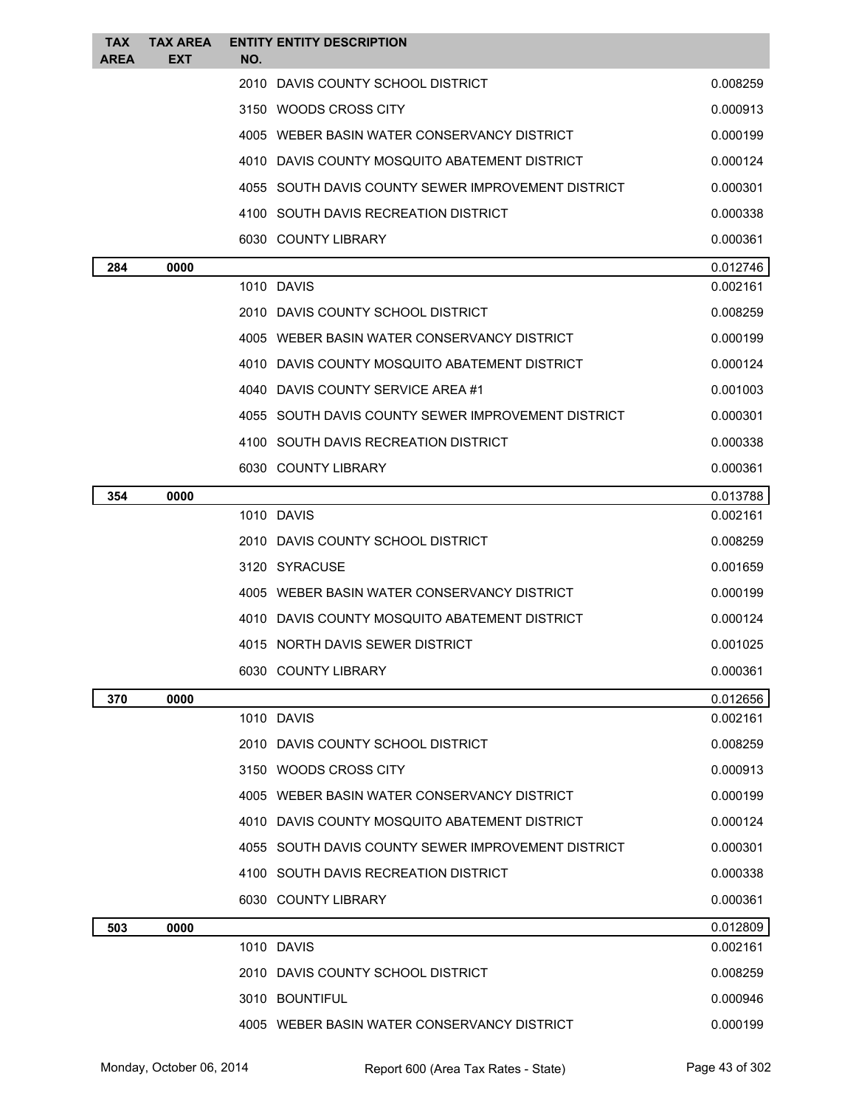| <b>TAX</b><br><b>AREA</b> | <b>TAX AREA</b><br><b>EXT</b> | <b>ENTITY ENTITY DESCRIPTION</b><br>NO.            |          |
|---------------------------|-------------------------------|----------------------------------------------------|----------|
|                           |                               | 2010 DAVIS COUNTY SCHOOL DISTRICT                  | 0.008259 |
|                           |                               | 3150 WOODS CROSS CITY                              | 0.000913 |
|                           |                               | 4005 WEBER BASIN WATER CONSERVANCY DISTRICT        | 0.000199 |
|                           |                               | 4010 DAVIS COUNTY MOSQUITO ABATEMENT DISTRICT      | 0.000124 |
|                           |                               | 4055 SOUTH DAVIS COUNTY SEWER IMPROVEMENT DISTRICT | 0.000301 |
|                           |                               | 4100 SOUTH DAVIS RECREATION DISTRICT               | 0.000338 |
|                           |                               | 6030 COUNTY LIBRARY                                | 0.000361 |
| 284                       | 0000                          |                                                    | 0.012746 |
|                           |                               | 1010 DAVIS                                         | 0.002161 |
|                           |                               | 2010 DAVIS COUNTY SCHOOL DISTRICT                  | 0.008259 |
|                           |                               | 4005 WEBER BASIN WATER CONSERVANCY DISTRICT        | 0.000199 |
|                           |                               | 4010 DAVIS COUNTY MOSQUITO ABATEMENT DISTRICT      | 0.000124 |
|                           |                               | 4040 DAVIS COUNTY SERVICE AREA #1                  | 0.001003 |
|                           |                               | 4055 SOUTH DAVIS COUNTY SEWER IMPROVEMENT DISTRICT | 0.000301 |
|                           |                               | 4100 SOUTH DAVIS RECREATION DISTRICT               | 0.000338 |
|                           |                               | 6030 COUNTY LIBRARY                                | 0.000361 |
| 354                       | 0000                          |                                                    | 0.013788 |
|                           |                               | 1010 DAVIS                                         | 0.002161 |
|                           |                               | 2010 DAVIS COUNTY SCHOOL DISTRICT                  | 0.008259 |
|                           |                               | 3120 SYRACUSE                                      | 0.001659 |
|                           |                               | 4005 WEBER BASIN WATER CONSERVANCY DISTRICT        | 0.000199 |
|                           |                               | 4010 DAVIS COUNTY MOSQUITO ABATEMENT DISTRICT      | 0.000124 |
|                           |                               | 4015 NORTH DAVIS SEWER DISTRICT                    | 0.001025 |
|                           |                               | 6030 COUNTY LIBRARY                                | 0.000361 |
| 370                       | 0000                          |                                                    | 0.012656 |
|                           |                               | 1010 DAVIS                                         | 0.002161 |
|                           |                               | 2010 DAVIS COUNTY SCHOOL DISTRICT                  | 0.008259 |
|                           |                               | 3150 WOODS CROSS CITY                              | 0.000913 |
|                           |                               | 4005 WEBER BASIN WATER CONSERVANCY DISTRICT        | 0.000199 |
|                           |                               | 4010 DAVIS COUNTY MOSQUITO ABATEMENT DISTRICT      | 0.000124 |
|                           |                               | 4055 SOUTH DAVIS COUNTY SEWER IMPROVEMENT DISTRICT | 0.000301 |
|                           |                               | 4100 SOUTH DAVIS RECREATION DISTRICT               | 0.000338 |
|                           |                               | 6030 COUNTY LIBRARY                                | 0.000361 |
| 503                       | 0000                          |                                                    | 0.012809 |
|                           |                               | 1010 DAVIS                                         | 0.002161 |
|                           |                               | 2010 DAVIS COUNTY SCHOOL DISTRICT                  | 0.008259 |
|                           |                               | 3010 BOUNTIFUL                                     | 0.000946 |
|                           |                               | 4005 WEBER BASIN WATER CONSERVANCY DISTRICT        | 0.000199 |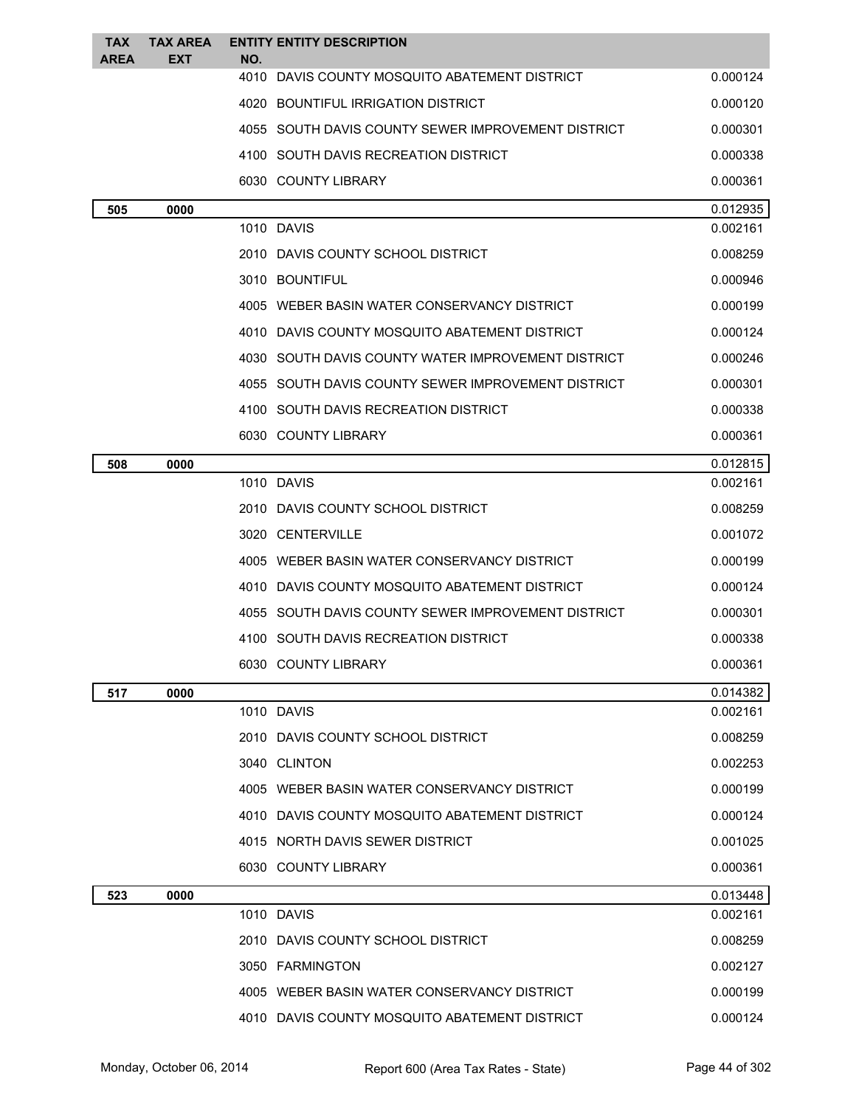| TAX<br><b>AREA</b> | <b>TAX AREA</b><br>EXT | NO. | <b>ENTITY ENTITY DESCRIPTION</b>                   |          |
|--------------------|------------------------|-----|----------------------------------------------------|----------|
|                    |                        |     | 4010 DAVIS COUNTY MOSQUITO ABATEMENT DISTRICT      | 0.000124 |
|                    |                        |     | 4020 BOUNTIFUL IRRIGATION DISTRICT                 | 0.000120 |
|                    |                        |     | 4055 SOUTH DAVIS COUNTY SEWER IMPROVEMENT DISTRICT | 0.000301 |
|                    |                        |     | 4100 SOUTH DAVIS RECREATION DISTRICT               | 0.000338 |
|                    |                        |     | 6030 COUNTY LIBRARY                                | 0.000361 |
| 505                | 0000                   |     |                                                    | 0.012935 |
|                    |                        |     | 1010 DAVIS                                         | 0.002161 |
|                    |                        |     | 2010 DAVIS COUNTY SCHOOL DISTRICT                  | 0.008259 |
|                    |                        |     | 3010 BOUNTIFUL                                     | 0.000946 |
|                    |                        |     | 4005 WEBER BASIN WATER CONSERVANCY DISTRICT        | 0.000199 |
|                    |                        |     | 4010 DAVIS COUNTY MOSQUITO ABATEMENT DISTRICT      | 0.000124 |
|                    |                        |     | 4030 SOUTH DAVIS COUNTY WATER IMPROVEMENT DISTRICT | 0.000246 |
|                    |                        |     | 4055 SOUTH DAVIS COUNTY SEWER IMPROVEMENT DISTRICT | 0.000301 |
|                    |                        |     | 4100 SOUTH DAVIS RECREATION DISTRICT               | 0.000338 |
|                    |                        |     | 6030 COUNTY LIBRARY                                | 0.000361 |
| 508                | 0000                   |     |                                                    | 0.012815 |
|                    |                        |     | 1010 DAVIS                                         | 0.002161 |
|                    |                        |     | 2010 DAVIS COUNTY SCHOOL DISTRICT                  | 0.008259 |
|                    |                        |     | 3020 CENTERVILLE                                   | 0.001072 |
|                    |                        |     | 4005 WEBER BASIN WATER CONSERVANCY DISTRICT        | 0.000199 |
|                    |                        |     | 4010 DAVIS COUNTY MOSQUITO ABATEMENT DISTRICT      | 0.000124 |
|                    |                        |     | 4055 SOUTH DAVIS COUNTY SEWER IMPROVEMENT DISTRICT | 0.000301 |
|                    |                        |     | 4100 SOUTH DAVIS RECREATION DISTRICT               | 0.000338 |
|                    |                        |     | 6030 COUNTY LIBRARY                                | 0.000361 |
| 517                | 0000                   |     |                                                    | 0.014382 |
|                    |                        |     | 1010 DAVIS                                         | 0.002161 |
|                    |                        |     | 2010 DAVIS COUNTY SCHOOL DISTRICT                  | 0.008259 |
|                    |                        |     | 3040 CLINTON                                       | 0.002253 |
|                    |                        |     | 4005 WEBER BASIN WATER CONSERVANCY DISTRICT        | 0.000199 |
|                    |                        |     | 4010 DAVIS COUNTY MOSQUITO ABATEMENT DISTRICT      | 0.000124 |
|                    |                        |     | 4015 NORTH DAVIS SEWER DISTRICT                    | 0.001025 |
|                    |                        |     | 6030 COUNTY LIBRARY                                | 0.000361 |
| 523                | 0000                   |     |                                                    | 0.013448 |
|                    |                        |     | 1010 DAVIS                                         | 0.002161 |
|                    |                        |     | 2010 DAVIS COUNTY SCHOOL DISTRICT                  | 0.008259 |
|                    |                        |     | 3050 FARMINGTON                                    | 0.002127 |
|                    |                        |     | 4005 WEBER BASIN WATER CONSERVANCY DISTRICT        | 0.000199 |
|                    |                        |     | 4010 DAVIS COUNTY MOSQUITO ABATEMENT DISTRICT      | 0.000124 |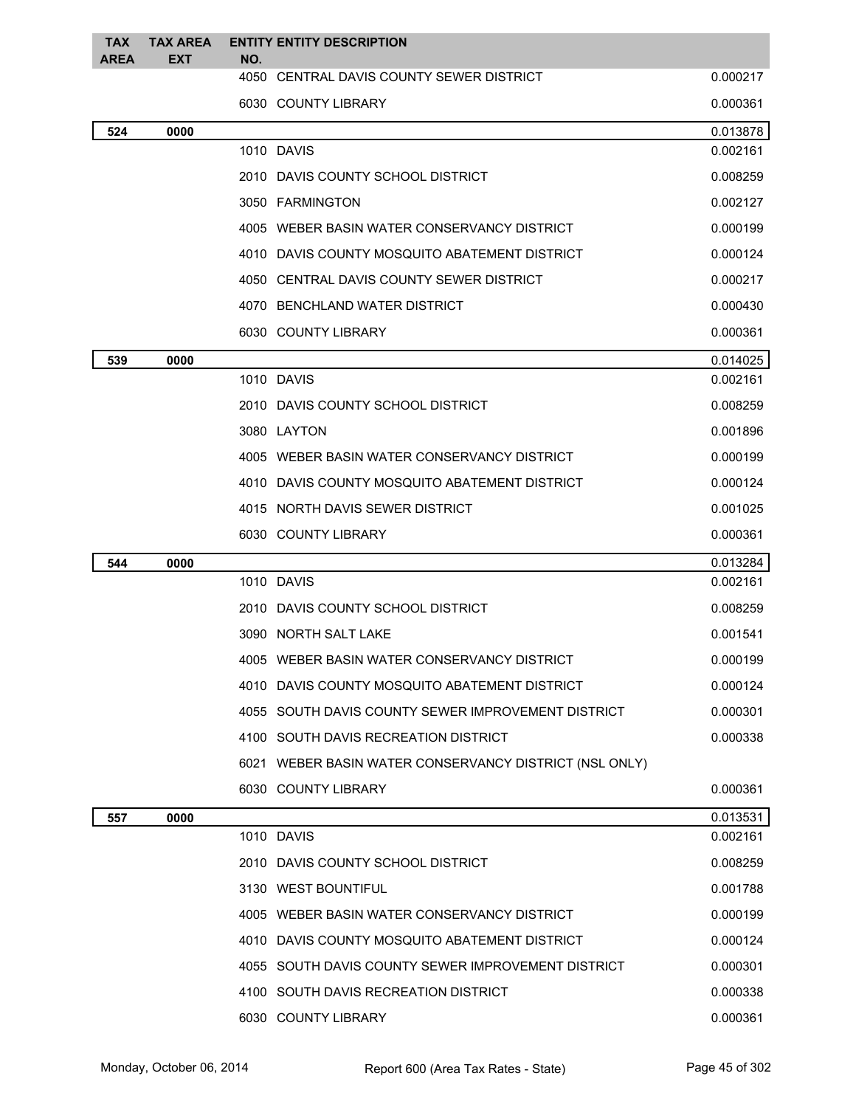| <b>TAX</b><br><b>AREA</b> | <b>TAX AREA</b><br><b>EXT</b> | <b>ENTITY ENTITY DESCRIPTION</b><br>NO.                |          |
|---------------------------|-------------------------------|--------------------------------------------------------|----------|
|                           |                               | 4050 CENTRAL DAVIS COUNTY SEWER DISTRICT               | 0.000217 |
|                           |                               | 6030 COUNTY LIBRARY                                    | 0.000361 |
| 524                       | 0000                          |                                                        | 0.013878 |
|                           |                               | 1010 DAVIS                                             | 0.002161 |
|                           |                               | 2010 DAVIS COUNTY SCHOOL DISTRICT                      | 0.008259 |
|                           |                               | 3050 FARMINGTON                                        | 0.002127 |
|                           |                               | 4005 WEBER BASIN WATER CONSERVANCY DISTRICT            | 0.000199 |
|                           |                               | 4010 DAVIS COUNTY MOSQUITO ABATEMENT DISTRICT          | 0.000124 |
|                           |                               | 4050 CENTRAL DAVIS COUNTY SEWER DISTRICT               | 0.000217 |
|                           |                               | 4070 BENCHLAND WATER DISTRICT                          | 0.000430 |
|                           |                               | 6030 COUNTY LIBRARY                                    | 0.000361 |
| 539                       | 0000                          |                                                        | 0.014025 |
|                           |                               | 1010 DAVIS                                             | 0.002161 |
|                           |                               | 2010 DAVIS COUNTY SCHOOL DISTRICT                      | 0.008259 |
|                           |                               | 3080 LAYTON                                            | 0.001896 |
|                           |                               | 4005 WEBER BASIN WATER CONSERVANCY DISTRICT            | 0.000199 |
|                           |                               | 4010 DAVIS COUNTY MOSQUITO ABATEMENT DISTRICT          | 0.000124 |
|                           |                               | 4015 NORTH DAVIS SEWER DISTRICT                        | 0.001025 |
|                           |                               | 6030 COUNTY LIBRARY                                    | 0.000361 |
| 544                       | 0000                          |                                                        | 0.013284 |
|                           |                               | 1010 DAVIS                                             | 0.002161 |
|                           |                               | 2010 DAVIS COUNTY SCHOOL DISTRICT                      | 0.008259 |
|                           |                               | 3090 NORTH SALT LAKE                                   | 0.001541 |
|                           |                               | 4005 WEBER BASIN WATER CONSERVANCY DISTRICT            | 0.000199 |
|                           |                               | 4010 DAVIS COUNTY MOSQUITO ABATEMENT DISTRICT          | 0.000124 |
|                           |                               | 4055 SOUTH DAVIS COUNTY SEWER IMPROVEMENT DISTRICT     | 0.000301 |
|                           |                               | 4100 SOUTH DAVIS RECREATION DISTRICT                   | 0.000338 |
|                           |                               | 6021 WEBER BASIN WATER CONSERVANCY DISTRICT (NSL ONLY) |          |
|                           |                               | 6030 COUNTY LIBRARY                                    | 0.000361 |
| 557                       | 0000                          |                                                        | 0.013531 |
|                           |                               | 1010 DAVIS                                             | 0.002161 |
|                           |                               | 2010 DAVIS COUNTY SCHOOL DISTRICT                      | 0.008259 |
|                           |                               | 3130 WEST BOUNTIFUL                                    | 0.001788 |
|                           |                               | 4005 WEBER BASIN WATER CONSERVANCY DISTRICT            | 0.000199 |
|                           |                               | 4010 DAVIS COUNTY MOSQUITO ABATEMENT DISTRICT          | 0.000124 |
|                           |                               | 4055 SOUTH DAVIS COUNTY SEWER IMPROVEMENT DISTRICT     | 0.000301 |
|                           |                               | 4100 SOUTH DAVIS RECREATION DISTRICT                   | 0.000338 |
|                           |                               | 6030 COUNTY LIBRARY                                    | 0.000361 |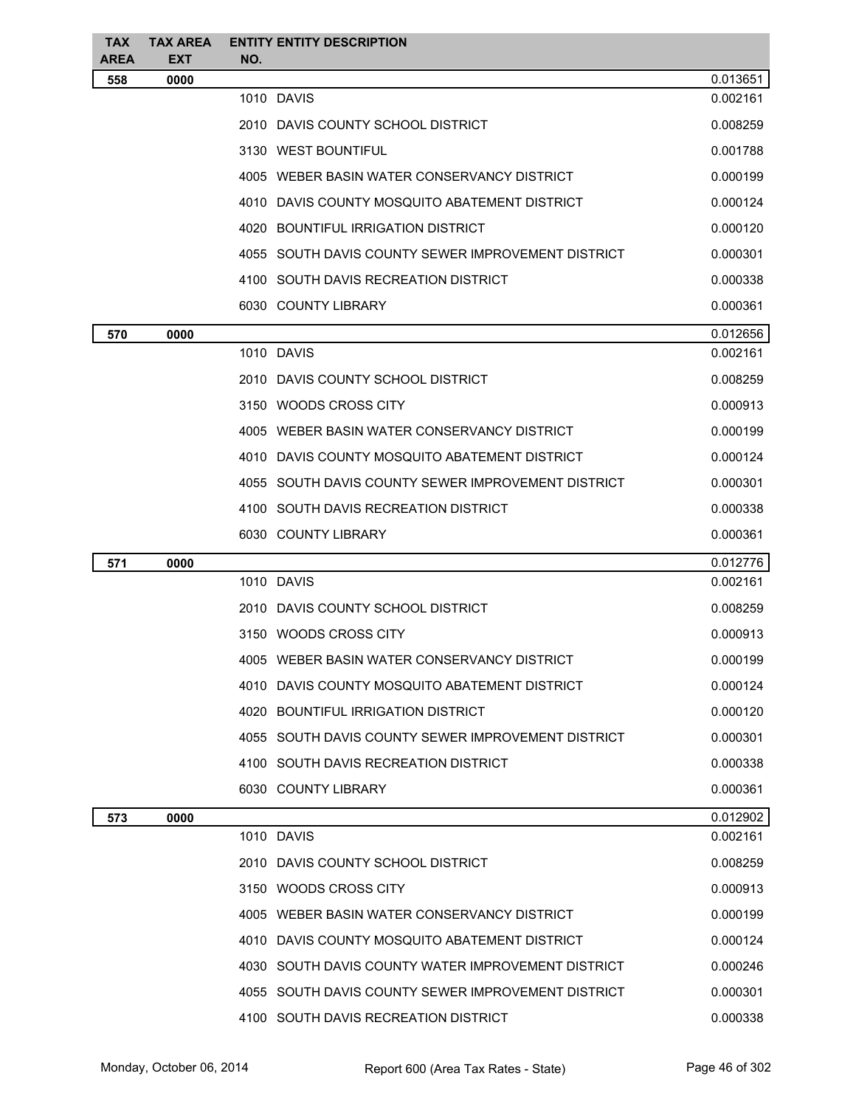| <b>TAX</b><br>AREA | <b>TAX AREA</b><br><b>EXT</b> | <b>ENTITY ENTITY DESCRIPTION</b><br>NO.            |          |
|--------------------|-------------------------------|----------------------------------------------------|----------|
| 558                | 0000                          |                                                    | 0.013651 |
|                    |                               | 1010 DAVIS                                         | 0.002161 |
|                    |                               | 2010 DAVIS COUNTY SCHOOL DISTRICT                  | 0.008259 |
|                    |                               | 3130 WEST BOUNTIFUL                                | 0.001788 |
|                    |                               | 4005 WEBER BASIN WATER CONSERVANCY DISTRICT        | 0.000199 |
|                    |                               | 4010 DAVIS COUNTY MOSQUITO ABATEMENT DISTRICT      | 0.000124 |
|                    |                               | 4020 BOUNTIFUL IRRIGATION DISTRICT                 | 0.000120 |
|                    |                               | 4055 SOUTH DAVIS COUNTY SEWER IMPROVEMENT DISTRICT | 0.000301 |
|                    |                               | 4100 SOUTH DAVIS RECREATION DISTRICT               | 0.000338 |
|                    |                               | 6030 COUNTY LIBRARY                                | 0.000361 |
| 570                | 0000                          |                                                    | 0.012656 |
|                    |                               | 1010 DAVIS                                         | 0.002161 |
|                    |                               | 2010 DAVIS COUNTY SCHOOL DISTRICT                  | 0.008259 |
|                    |                               | 3150 WOODS CROSS CITY                              | 0.000913 |
|                    |                               | 4005 WEBER BASIN WATER CONSERVANCY DISTRICT        | 0.000199 |
|                    |                               | 4010 DAVIS COUNTY MOSQUITO ABATEMENT DISTRICT      | 0.000124 |
|                    |                               | 4055 SOUTH DAVIS COUNTY SEWER IMPROVEMENT DISTRICT | 0.000301 |
|                    |                               | 4100 SOUTH DAVIS RECREATION DISTRICT               | 0.000338 |
|                    |                               | 6030 COUNTY LIBRARY                                | 0.000361 |
| 571                | 0000                          |                                                    | 0.012776 |
|                    |                               | 1010 DAVIS                                         | 0.002161 |
|                    |                               | 2010 DAVIS COUNTY SCHOOL DISTRICT                  | 0.008259 |
|                    |                               | 3150 WOODS CROSS CITY                              | 0.000913 |
|                    |                               | 4005 WEBER BASIN WATER CONSERVANCY DISTRICT        | 0.000199 |
|                    |                               | 4010 DAVIS COUNTY MOSQUITO ABATEMENT DISTRICT      | 0.000124 |
|                    |                               | 4020 BOUNTIFUL IRRIGATION DISTRICT                 | 0.000120 |
|                    |                               | 4055 SOUTH DAVIS COUNTY SEWER IMPROVEMENT DISTRICT | 0.000301 |
|                    |                               | 4100 SOUTH DAVIS RECREATION DISTRICT               | 0.000338 |
|                    |                               | 6030 COUNTY LIBRARY                                | 0.000361 |
| 573                | 0000                          |                                                    | 0.012902 |
|                    |                               | 1010 DAVIS                                         | 0.002161 |
|                    |                               | 2010 DAVIS COUNTY SCHOOL DISTRICT                  | 0.008259 |
|                    |                               | 3150 WOODS CROSS CITY                              | 0.000913 |
|                    |                               | 4005 WEBER BASIN WATER CONSERVANCY DISTRICT        | 0.000199 |
|                    |                               | 4010 DAVIS COUNTY MOSQUITO ABATEMENT DISTRICT      | 0.000124 |
|                    |                               | 4030 SOUTH DAVIS COUNTY WATER IMPROVEMENT DISTRICT | 0.000246 |
|                    |                               | 4055 SOUTH DAVIS COUNTY SEWER IMPROVEMENT DISTRICT | 0.000301 |
|                    |                               | 4100 SOUTH DAVIS RECREATION DISTRICT               | 0.000338 |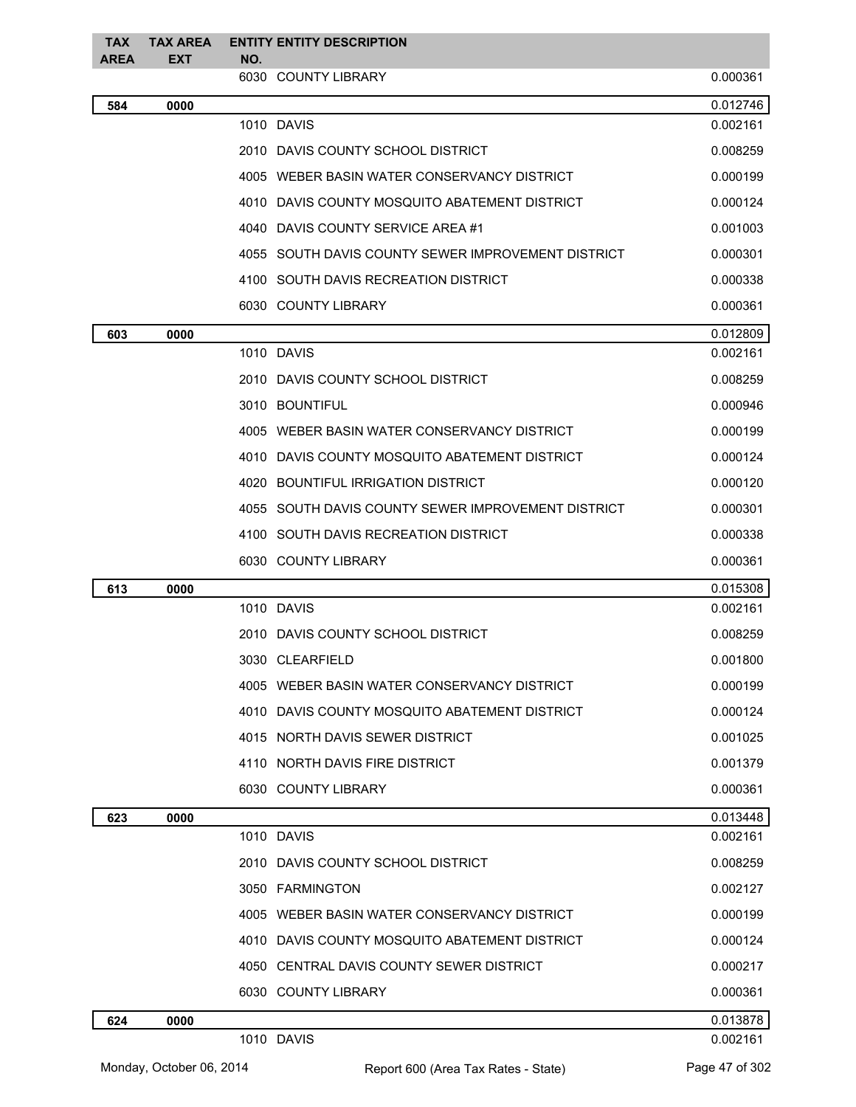| <b>TAX</b>  | <b>TAX AREA</b> | <b>ENTITY ENTITY DESCRIPTION</b> |                                                    |          |
|-------------|-----------------|----------------------------------|----------------------------------------------------|----------|
| <b>AREA</b> | <b>EXT</b>      | NO.<br>6030 COUNTY LIBRARY       |                                                    | 0.000361 |
|             |                 |                                  |                                                    | 0.012746 |
| 584         | 0000            | 1010 DAVIS                       |                                                    | 0.002161 |
|             |                 |                                  | 2010 DAVIS COUNTY SCHOOL DISTRICT                  | 0.008259 |
|             |                 |                                  | 4005 WEBER BASIN WATER CONSERVANCY DISTRICT        | 0.000199 |
|             |                 |                                  | 4010 DAVIS COUNTY MOSQUITO ABATEMENT DISTRICT      | 0.000124 |
|             |                 |                                  | 4040 DAVIS COUNTY SERVICE AREA #1                  | 0.001003 |
|             |                 |                                  | 4055 SOUTH DAVIS COUNTY SEWER IMPROVEMENT DISTRICT | 0.000301 |
|             |                 |                                  | 4100 SOUTH DAVIS RECREATION DISTRICT               | 0.000338 |
|             |                 | 6030 COUNTY LIBRARY              |                                                    | 0.000361 |
| 603         | 0000            |                                  |                                                    | 0.012809 |
|             |                 | 1010 DAVIS                       |                                                    | 0.002161 |
|             |                 |                                  | 2010 DAVIS COUNTY SCHOOL DISTRICT                  | 0.008259 |
|             |                 | 3010 BOUNTIFUL                   |                                                    | 0.000946 |
|             |                 |                                  | 4005 WEBER BASIN WATER CONSERVANCY DISTRICT        | 0.000199 |
|             |                 |                                  | 4010 DAVIS COUNTY MOSQUITO ABATEMENT DISTRICT      | 0.000124 |
|             |                 |                                  | 4020 BOUNTIFUL IRRIGATION DISTRICT                 | 0.000120 |
|             |                 |                                  | 4055 SOUTH DAVIS COUNTY SEWER IMPROVEMENT DISTRICT | 0.000301 |
|             |                 |                                  | 4100 SOUTH DAVIS RECREATION DISTRICT               | 0.000338 |
|             |                 | 6030 COUNTY LIBRARY              |                                                    | 0.000361 |
| 613         | 0000            |                                  |                                                    | 0.015308 |
|             |                 | 1010 DAVIS                       |                                                    | 0.002161 |
|             |                 |                                  | 2010 DAVIS COUNTY SCHOOL DISTRICT                  | 0.008259 |
|             |                 | 3030 CLEARFIELD                  |                                                    | 0.001800 |
|             |                 |                                  | 4005 WEBER BASIN WATER CONSERVANCY DISTRICT        | 0.000199 |
|             |                 |                                  | 4010 DAVIS COUNTY MOSQUITO ABATEMENT DISTRICT      | 0.000124 |
|             |                 |                                  | 4015 NORTH DAVIS SEWER DISTRICT                    | 0.001025 |
|             |                 | 4110 NORTH DAVIS FIRE DISTRICT   |                                                    | 0.001379 |
|             |                 | 6030 COUNTY LIBRARY              |                                                    | 0.000361 |
| 623         | 0000            |                                  |                                                    | 0.013448 |
|             |                 | 1010 DAVIS                       |                                                    | 0.002161 |
|             |                 |                                  | 2010 DAVIS COUNTY SCHOOL DISTRICT                  | 0.008259 |
|             |                 | 3050 FARMINGTON                  |                                                    | 0.002127 |
|             |                 |                                  | 4005 WEBER BASIN WATER CONSERVANCY DISTRICT        | 0.000199 |
|             |                 |                                  | 4010 DAVIS COUNTY MOSQUITO ABATEMENT DISTRICT      | 0.000124 |
|             |                 |                                  | 4050 CENTRAL DAVIS COUNTY SEWER DISTRICT           | 0.000217 |
|             |                 | 6030 COUNTY LIBRARY              |                                                    | 0.000361 |
| 624         | 0000            |                                  |                                                    | 0.013878 |
|             |                 | 1010 DAVIS                       |                                                    | 0.002161 |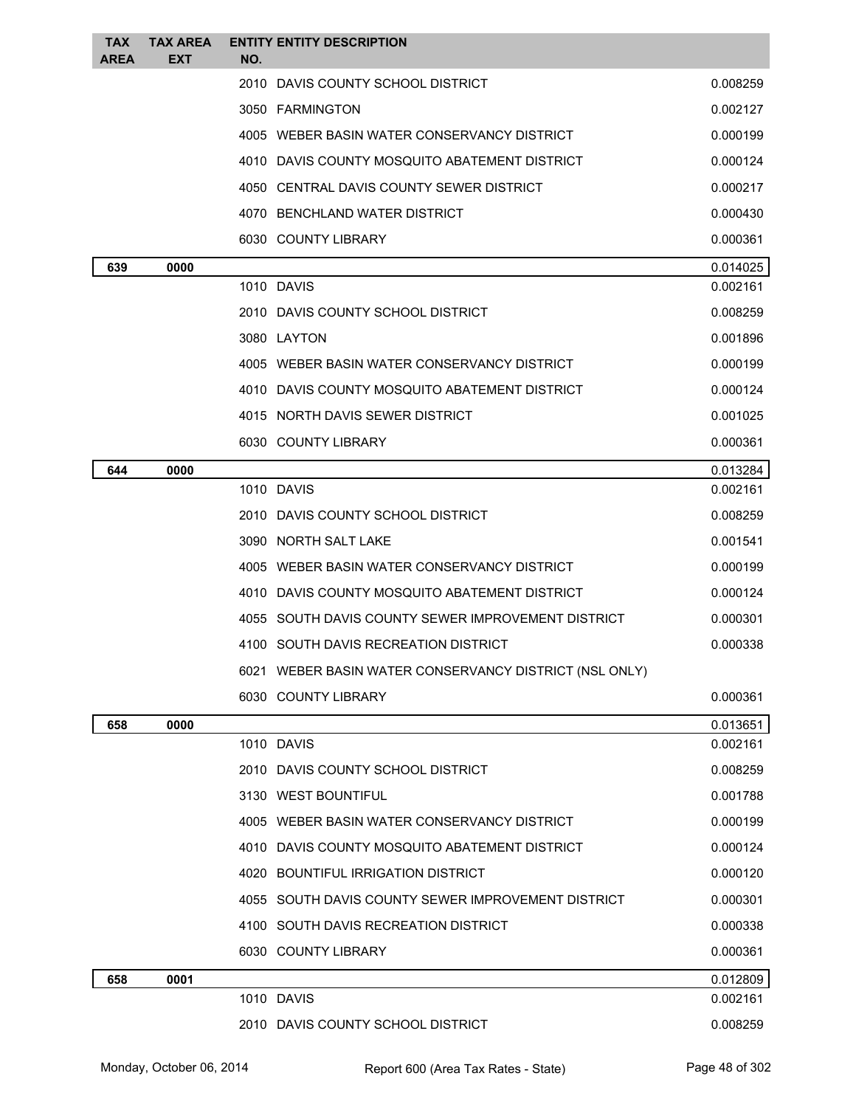| TAX<br><b>AREA</b> | <b>TAX AREA</b><br>EXT | <b>ENTITY ENTITY DESCRIPTION</b><br>NO.                |                      |
|--------------------|------------------------|--------------------------------------------------------|----------------------|
|                    |                        | 2010 DAVIS COUNTY SCHOOL DISTRICT                      | 0.008259             |
|                    |                        | 3050 FARMINGTON                                        | 0.002127             |
|                    |                        | 4005 WEBER BASIN WATER CONSERVANCY DISTRICT            | 0.000199             |
|                    |                        | 4010 DAVIS COUNTY MOSQUITO ABATEMENT DISTRICT          | 0.000124             |
|                    |                        | 4050 CENTRAL DAVIS COUNTY SEWER DISTRICT               | 0.000217             |
|                    |                        | 4070 BENCHLAND WATER DISTRICT                          | 0.000430             |
|                    |                        | 6030 COUNTY LIBRARY                                    | 0.000361             |
| 639                | 0000                   |                                                        | 0.014025             |
|                    |                        | 1010 DAVIS                                             | 0.002161             |
|                    |                        | 2010 DAVIS COUNTY SCHOOL DISTRICT                      | 0.008259             |
|                    |                        | 3080 LAYTON                                            | 0.001896             |
|                    |                        | 4005 WEBER BASIN WATER CONSERVANCY DISTRICT            | 0.000199             |
|                    |                        | 4010 DAVIS COUNTY MOSQUITO ABATEMENT DISTRICT          | 0.000124             |
|                    |                        | 4015 NORTH DAVIS SEWER DISTRICT                        | 0.001025             |
|                    |                        | 6030 COUNTY LIBRARY                                    | 0.000361             |
| 644                | 0000                   |                                                        | 0.013284             |
|                    |                        | 1010 DAVIS                                             | 0.002161             |
|                    |                        | 2010 DAVIS COUNTY SCHOOL DISTRICT                      | 0.008259             |
|                    |                        | 3090 NORTH SALT LAKE                                   | 0.001541             |
|                    |                        | 4005 WEBER BASIN WATER CONSERVANCY DISTRICT            | 0.000199             |
|                    |                        | 4010 DAVIS COUNTY MOSQUITO ABATEMENT DISTRICT          | 0.000124             |
|                    |                        | 4055 SOUTH DAVIS COUNTY SEWER IMPROVEMENT DISTRICT     | 0.000301             |
|                    |                        | 4100 SOUTH DAVIS RECREATION DISTRICT                   | 0.000338             |
|                    |                        | 6021 WEBER BASIN WATER CONSERVANCY DISTRICT (NSL ONLY) |                      |
|                    |                        | 6030 COUNTY LIBRARY                                    | 0.000361             |
| 658                | 0000                   | 1010 DAVIS                                             | 0.013651<br>0.002161 |
|                    |                        | 2010 DAVIS COUNTY SCHOOL DISTRICT                      | 0.008259             |
|                    |                        | 3130 WEST BOUNTIFUL                                    | 0.001788             |
|                    |                        | 4005 WEBER BASIN WATER CONSERVANCY DISTRICT            | 0.000199             |
|                    |                        | 4010 DAVIS COUNTY MOSQUITO ABATEMENT DISTRICT          | 0.000124             |
|                    |                        | 4020 BOUNTIFUL IRRIGATION DISTRICT                     | 0.000120             |
|                    |                        | 4055 SOUTH DAVIS COUNTY SEWER IMPROVEMENT DISTRICT     | 0.000301             |
|                    |                        | 4100 SOUTH DAVIS RECREATION DISTRICT                   | 0.000338             |
|                    |                        | 6030 COUNTY LIBRARY                                    | 0.000361             |
| 658                | 0001                   |                                                        | 0.012809             |
|                    |                        | 1010 DAVIS                                             | 0.002161             |
|                    |                        | 2010 DAVIS COUNTY SCHOOL DISTRICT                      | 0.008259             |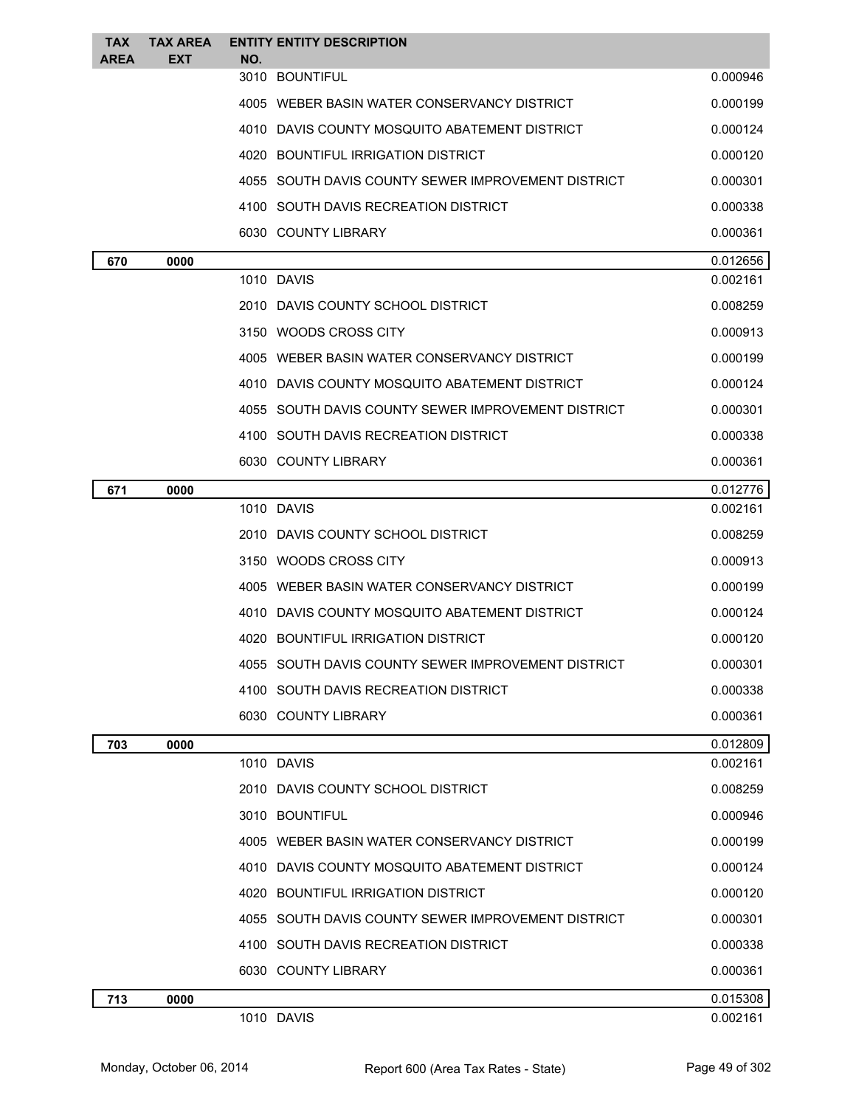| <b>TAX</b><br><b>AREA</b> | <b>TAX AREA</b><br><b>EXT</b> | <b>ENTITY ENTITY DESCRIPTION</b><br>NO.            |          |
|---------------------------|-------------------------------|----------------------------------------------------|----------|
|                           |                               | 3010 BOUNTIFUL                                     | 0.000946 |
|                           |                               | 4005 WEBER BASIN WATER CONSERVANCY DISTRICT        | 0.000199 |
|                           |                               | 4010 DAVIS COUNTY MOSQUITO ABATEMENT DISTRICT      | 0.000124 |
|                           |                               | 4020 BOUNTIFUL IRRIGATION DISTRICT                 | 0.000120 |
|                           |                               | 4055 SOUTH DAVIS COUNTY SEWER IMPROVEMENT DISTRICT | 0.000301 |
|                           |                               | 4100 SOUTH DAVIS RECREATION DISTRICT               | 0.000338 |
|                           |                               | 6030 COUNTY LIBRARY                                | 0.000361 |
| 670                       | 0000                          |                                                    | 0.012656 |
|                           |                               | 1010 DAVIS                                         | 0.002161 |
|                           |                               | 2010 DAVIS COUNTY SCHOOL DISTRICT                  | 0.008259 |
|                           |                               | 3150 WOODS CROSS CITY                              | 0.000913 |
|                           |                               | 4005 WEBER BASIN WATER CONSERVANCY DISTRICT        | 0.000199 |
|                           |                               | 4010 DAVIS COUNTY MOSQUITO ABATEMENT DISTRICT      | 0.000124 |
|                           |                               | 4055 SOUTH DAVIS COUNTY SEWER IMPROVEMENT DISTRICT | 0.000301 |
|                           |                               | 4100 SOUTH DAVIS RECREATION DISTRICT               | 0.000338 |
|                           |                               | 6030 COUNTY LIBRARY                                | 0.000361 |
| 671                       | 0000                          |                                                    | 0.012776 |
|                           |                               | 1010 DAVIS                                         | 0.002161 |
|                           |                               | 2010 DAVIS COUNTY SCHOOL DISTRICT                  | 0.008259 |
|                           |                               | 3150 WOODS CROSS CITY                              | 0.000913 |
|                           |                               | 4005 WEBER BASIN WATER CONSERVANCY DISTRICT        | 0.000199 |
|                           |                               | 4010 DAVIS COUNTY MOSQUITO ABATEMENT DISTRICT      | 0.000124 |
|                           |                               | 4020 BOUNTIFUL IRRIGATION DISTRICT                 | 0.000120 |
|                           |                               | 4055 SOUTH DAVIS COUNTY SEWER IMPROVEMENT DISTRICT | 0.000301 |
|                           |                               | 4100 SOUTH DAVIS RECREATION DISTRICT               | 0.000338 |
|                           |                               | 6030 COUNTY LIBRARY                                | 0.000361 |
| 703                       | 0000                          |                                                    | 0.012809 |
|                           |                               | 1010 DAVIS                                         | 0.002161 |
|                           |                               | 2010 DAVIS COUNTY SCHOOL DISTRICT                  | 0.008259 |
|                           |                               | 3010 BOUNTIFUL                                     | 0.000946 |
|                           |                               | 4005 WEBER BASIN WATER CONSERVANCY DISTRICT        | 0.000199 |
|                           |                               | 4010 DAVIS COUNTY MOSQUITO ABATEMENT DISTRICT      | 0.000124 |
|                           |                               | 4020 BOUNTIFUL IRRIGATION DISTRICT                 | 0.000120 |
|                           |                               | 4055 SOUTH DAVIS COUNTY SEWER IMPROVEMENT DISTRICT | 0.000301 |
|                           |                               | 4100 SOUTH DAVIS RECREATION DISTRICT               | 0.000338 |
|                           |                               | 6030 COUNTY LIBRARY                                | 0.000361 |
| 713                       | 0000                          |                                                    | 0.015308 |
|                           |                               | 1010 DAVIS                                         | 0.002161 |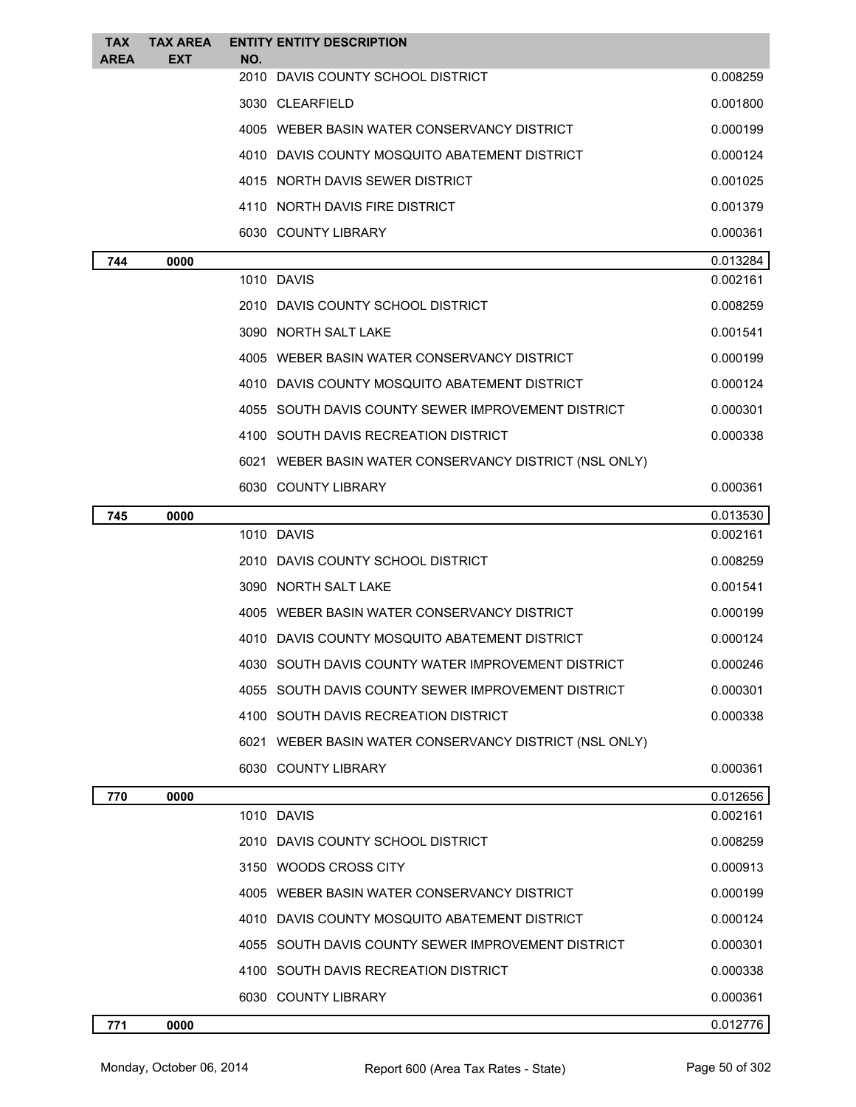| <b>TAX</b><br><b>AREA</b> | <b>TAX AREA</b><br>EXT | <b>ENTITY ENTITY DESCRIPTION</b><br>NO.                |          |
|---------------------------|------------------------|--------------------------------------------------------|----------|
|                           |                        | 2010 DAVIS COUNTY SCHOOL DISTRICT                      | 0.008259 |
|                           |                        | 3030 CLEARFIELD                                        | 0.001800 |
|                           |                        | 4005 WEBER BASIN WATER CONSERVANCY DISTRICT            | 0.000199 |
|                           |                        | 4010 DAVIS COUNTY MOSQUITO ABATEMENT DISTRICT          | 0.000124 |
|                           |                        | 4015 NORTH DAVIS SEWER DISTRICT                        | 0.001025 |
|                           |                        | 4110 NORTH DAVIS FIRE DISTRICT                         | 0.001379 |
|                           |                        | 6030 COUNTY LIBRARY                                    | 0.000361 |
| 744                       | 0000                   |                                                        | 0.013284 |
|                           |                        | 1010 DAVIS                                             | 0.002161 |
|                           |                        | 2010 DAVIS COUNTY SCHOOL DISTRICT                      | 0.008259 |
|                           |                        | 3090 NORTH SALT LAKE                                   | 0.001541 |
|                           |                        | 4005 WEBER BASIN WATER CONSERVANCY DISTRICT            | 0.000199 |
|                           |                        | 4010 DAVIS COUNTY MOSQUITO ABATEMENT DISTRICT          | 0.000124 |
|                           |                        | 4055 SOUTH DAVIS COUNTY SEWER IMPROVEMENT DISTRICT     | 0.000301 |
|                           |                        | 4100 SOUTH DAVIS RECREATION DISTRICT                   | 0.000338 |
|                           |                        | 6021 WEBER BASIN WATER CONSERVANCY DISTRICT (NSL ONLY) |          |
|                           |                        | 6030 COUNTY LIBRARY                                    | 0.000361 |
| 745                       | 0000                   |                                                        | 0.013530 |
|                           |                        | 1010 DAVIS                                             | 0.002161 |
|                           |                        | 2010 DAVIS COUNTY SCHOOL DISTRICT                      | 0.008259 |
|                           |                        | 3090 NORTH SALT LAKE                                   | 0.001541 |
|                           |                        | 4005 WEBER BASIN WATER CONSERVANCY DISTRICT            | 0.000199 |
|                           |                        | 4010 DAVIS COUNTY MOSQUITO ABATEMENT DISTRICT          | 0.000124 |
|                           |                        | 4030 SOUTH DAVIS COUNTY WATER IMPROVEMENT DISTRICT     | 0.000246 |
|                           |                        | 4055 SOUTH DAVIS COUNTY SEWER IMPROVEMENT DISTRICT     | 0.000301 |
|                           |                        | 4100 SOUTH DAVIS RECREATION DISTRICT                   | 0.000338 |
|                           |                        | 6021 WEBER BASIN WATER CONSERVANCY DISTRICT (NSL ONLY) |          |
|                           |                        | 6030 COUNTY LIBRARY                                    | 0.000361 |
| 770                       | 0000                   |                                                        | 0.012656 |
|                           |                        | 1010 DAVIS                                             | 0.002161 |
|                           |                        | 2010 DAVIS COUNTY SCHOOL DISTRICT                      | 0.008259 |
|                           |                        | 3150 WOODS CROSS CITY                                  | 0.000913 |
|                           |                        | 4005 WEBER BASIN WATER CONSERVANCY DISTRICT            | 0.000199 |
|                           |                        | 4010 DAVIS COUNTY MOSQUITO ABATEMENT DISTRICT          | 0.000124 |
|                           |                        | 4055 SOUTH DAVIS COUNTY SEWER IMPROVEMENT DISTRICT     | 0.000301 |
|                           |                        | 4100 SOUTH DAVIS RECREATION DISTRICT                   | 0.000338 |
|                           |                        | 6030 COUNTY LIBRARY                                    | 0.000361 |
| 771                       | 0000                   |                                                        | 0.012776 |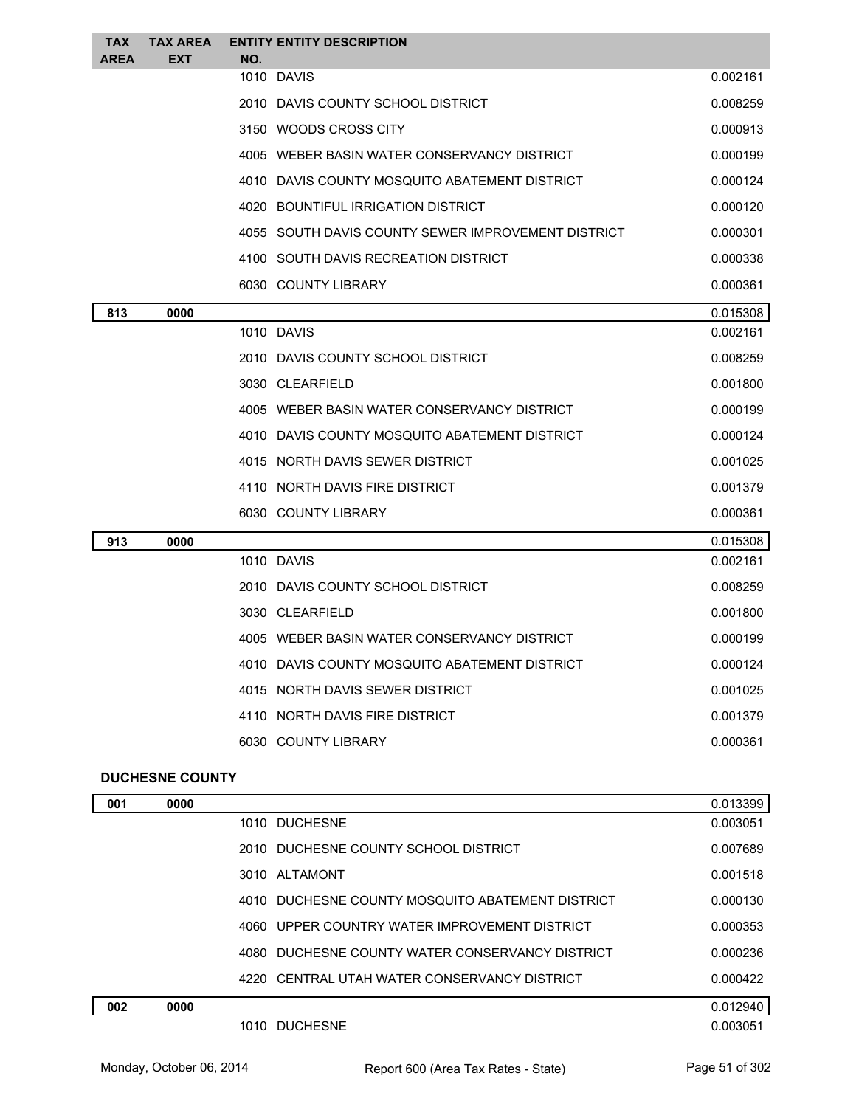| <b>TAX</b><br>AREA | <b>TAX AREA</b><br><b>EXT</b> | NO. | <b>ENTITY ENTITY DESCRIPTION</b>                   |          |
|--------------------|-------------------------------|-----|----------------------------------------------------|----------|
|                    |                               |     | 1010 DAVIS                                         | 0.002161 |
|                    |                               |     | 2010 DAVIS COUNTY SCHOOL DISTRICT                  | 0.008259 |
|                    |                               |     | 3150 WOODS CROSS CITY                              | 0.000913 |
|                    |                               |     | 4005 WEBER BASIN WATER CONSERVANCY DISTRICT        | 0.000199 |
|                    |                               |     | 4010 DAVIS COUNTY MOSQUITO ABATEMENT DISTRICT      | 0.000124 |
|                    |                               |     | 4020 BOUNTIFUL IRRIGATION DISTRICT                 | 0.000120 |
|                    |                               |     | 4055 SOUTH DAVIS COUNTY SEWER IMPROVEMENT DISTRICT | 0.000301 |
|                    |                               |     | 4100 SOUTH DAVIS RECREATION DISTRICT               | 0.000338 |
|                    |                               |     | 6030 COUNTY LIBRARY                                | 0.000361 |
| 813                | 0000                          |     |                                                    | 0.015308 |
|                    |                               |     | 1010 DAVIS                                         | 0.002161 |
|                    |                               |     | 2010 DAVIS COUNTY SCHOOL DISTRICT                  | 0.008259 |
|                    |                               |     | 3030 CLEARFIELD                                    | 0.001800 |
|                    |                               |     | 4005 WEBER BASIN WATER CONSERVANCY DISTRICT        | 0.000199 |
|                    |                               |     | 4010 DAVIS COUNTY MOSQUITO ABATEMENT DISTRICT      | 0.000124 |
|                    |                               |     | 4015 NORTH DAVIS SEWER DISTRICT                    | 0.001025 |
|                    |                               |     | 4110 NORTH DAVIS FIRE DISTRICT                     | 0.001379 |
|                    |                               |     | 6030 COUNTY LIBRARY                                | 0.000361 |
| 913                | 0000                          |     |                                                    | 0.015308 |
|                    |                               |     | 1010 DAVIS                                         | 0.002161 |
|                    |                               |     | 2010 DAVIS COUNTY SCHOOL DISTRICT                  | 0.008259 |
|                    |                               |     | 3030 CLEARFIELD                                    | 0.001800 |
|                    |                               |     | 4005 WEBER BASIN WATER CONSERVANCY DISTRICT        | 0.000199 |
|                    |                               |     | 4010 DAVIS COUNTY MOSQUITO ABATEMENT DISTRICT      | 0.000124 |
|                    |                               |     | 4015 NORTH DAVIS SEWER DISTRICT                    | 0.001025 |
|                    |                               |     | 4110 NORTH DAVIS FIRE DISTRICT                     | 0.001379 |
|                    |                               |     | 6030 COUNTY LIBRARY                                | 0.000361 |
|                    |                               |     |                                                    |          |

#### **DUCHESNE COUNTY**

| 001 | 0000 |                                                  | 0.013399 |
|-----|------|--------------------------------------------------|----------|
|     |      | 1010 DUCHESNE                                    | 0.003051 |
|     |      | 2010 DUCHESNE COUNTY SCHOOL DISTRICT             | 0.007689 |
|     |      | 3010 ALTAMONT                                    | 0.001518 |
|     |      | 4010 DUCHESNE COUNTY MOSQUITO ABATEMENT DISTRICT | 0.000130 |
|     |      | 4060 UPPER COUNTRY WATER IMPROVEMENT DISTRICT    | 0.000353 |
|     |      | 4080 DUCHESNE COUNTY WATER CONSERVANCY DISTRICT  | 0.000236 |
|     |      | 4220 CENTRAL UTAH WATER CONSERVANCY DISTRICT     | 0.000422 |
| 002 | 0000 |                                                  | 0.012940 |
|     |      | 1010 DUCHESNE                                    | 0.003051 |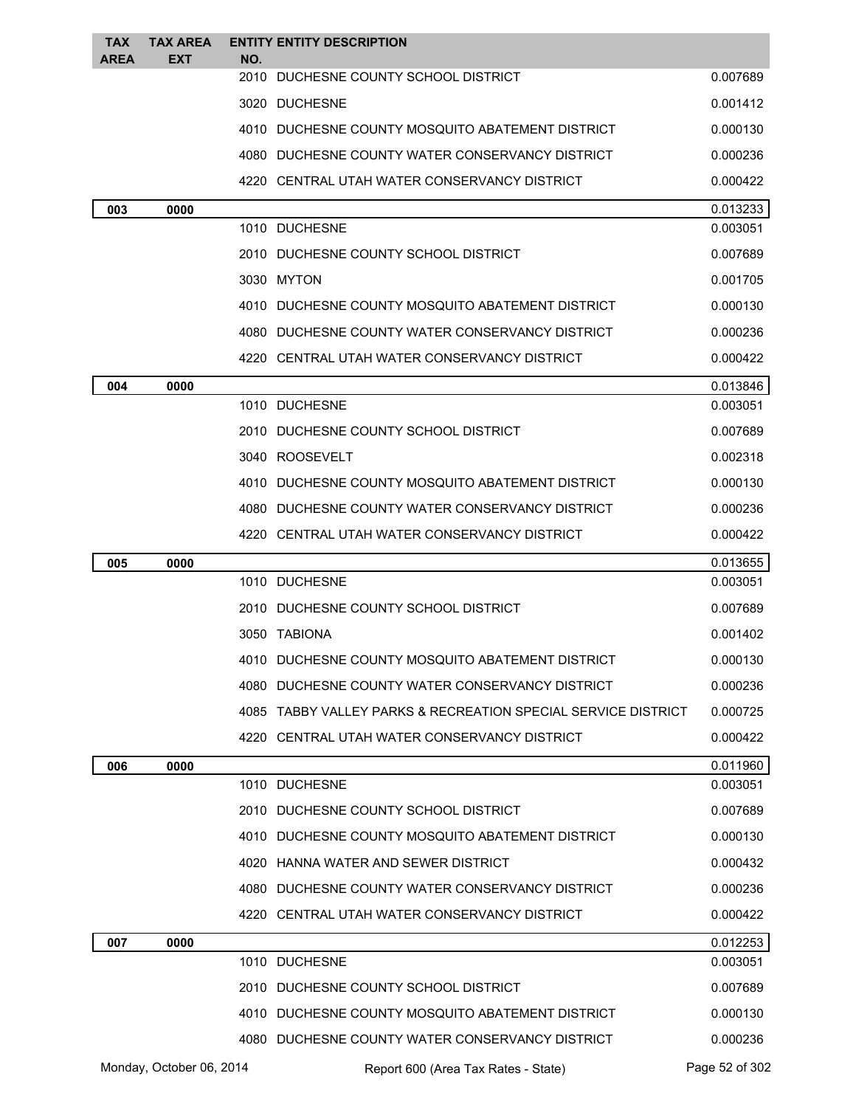| <b>TAX</b><br><b>AREA</b> | <b>TAX AREA</b><br><b>EXT</b> | NO.  | <b>ENTITY ENTITY DESCRIPTION</b>                              |                |
|---------------------------|-------------------------------|------|---------------------------------------------------------------|----------------|
|                           |                               | 2010 | DUCHESNE COUNTY SCHOOL DISTRICT                               | 0.007689       |
|                           |                               |      | 3020 DUCHESNE                                                 | 0.001412       |
|                           |                               |      | 4010 DUCHESNE COUNTY MOSQUITO ABATEMENT DISTRICT              | 0.000130       |
|                           |                               |      | 4080 DUCHESNE COUNTY WATER CONSERVANCY DISTRICT               | 0.000236       |
|                           |                               |      | 4220 CENTRAL UTAH WATER CONSERVANCY DISTRICT                  | 0.000422       |
| 003                       | 0000                          |      |                                                               | 0.013233       |
|                           |                               |      | 1010 DUCHESNE                                                 | 0.003051       |
|                           |                               |      | 2010 DUCHESNE COUNTY SCHOOL DISTRICT                          | 0.007689       |
|                           |                               |      | 3030 MYTON                                                    | 0.001705       |
|                           |                               |      | 4010 DUCHESNE COUNTY MOSQUITO ABATEMENT DISTRICT              | 0.000130       |
|                           |                               |      | 4080 DUCHESNE COUNTY WATER CONSERVANCY DISTRICT               | 0.000236       |
|                           |                               |      | 4220 CENTRAL UTAH WATER CONSERVANCY DISTRICT                  | 0.000422       |
| 004                       | 0000                          |      |                                                               | 0.013846       |
|                           |                               |      | 1010 DUCHESNE                                                 | 0.003051       |
|                           |                               |      | 2010 DUCHESNE COUNTY SCHOOL DISTRICT                          | 0.007689       |
|                           |                               |      | 3040 ROOSEVELT                                                | 0.002318       |
|                           |                               |      | 4010 DUCHESNE COUNTY MOSQUITO ABATEMENT DISTRICT              | 0.000130       |
|                           |                               |      | 4080 DUCHESNE COUNTY WATER CONSERVANCY DISTRICT               | 0.000236       |
|                           |                               |      | 4220 CENTRAL UTAH WATER CONSERVANCY DISTRICT                  | 0.000422       |
| 005                       | 0000                          |      |                                                               | 0.013655       |
|                           |                               |      | 1010 DUCHESNE                                                 | 0.003051       |
|                           |                               |      | 2010 DUCHESNE COUNTY SCHOOL DISTRICT                          | 0.007689       |
|                           |                               |      | 3050 TABIONA                                                  | 0.001402       |
|                           |                               |      | 4010 DUCHESNE COUNTY MOSQUITO ABATEMENT DISTRICT              | 0.000130       |
|                           |                               |      | 4080 DUCHESNE COUNTY WATER CONSERVANCY DISTRICT               | 0.000236       |
|                           |                               |      | 4085 TABBY VALLEY PARKS & RECREATION SPECIAL SERVICE DISTRICT | 0.000725       |
|                           |                               |      | 4220 CENTRAL UTAH WATER CONSERVANCY DISTRICT                  | 0.000422       |
| 006                       | 0000                          |      |                                                               | 0.011960       |
|                           |                               |      | 1010 DUCHESNE                                                 | 0.003051       |
|                           |                               |      | 2010 DUCHESNE COUNTY SCHOOL DISTRICT                          | 0.007689       |
|                           |                               |      | 4010 DUCHESNE COUNTY MOSQUITO ABATEMENT DISTRICT              | 0.000130       |
|                           |                               |      | 4020 HANNA WATER AND SEWER DISTRICT                           | 0.000432       |
|                           |                               |      | 4080 DUCHESNE COUNTY WATER CONSERVANCY DISTRICT               | 0.000236       |
|                           |                               |      | 4220 CENTRAL UTAH WATER CONSERVANCY DISTRICT                  | 0.000422       |
| 007                       | 0000                          |      |                                                               | 0.012253       |
|                           |                               |      | 1010 DUCHESNE                                                 | 0.003051       |
|                           |                               |      | 2010 DUCHESNE COUNTY SCHOOL DISTRICT                          | 0.007689       |
|                           |                               |      | 4010 DUCHESNE COUNTY MOSQUITO ABATEMENT DISTRICT              | 0.000130       |
|                           |                               |      | 4080 DUCHESNE COUNTY WATER CONSERVANCY DISTRICT               | 0.000236       |
|                           | Monday, October 06, 2014      |      | Report 600 (Area Tax Rates - State)                           | Page 52 of 302 |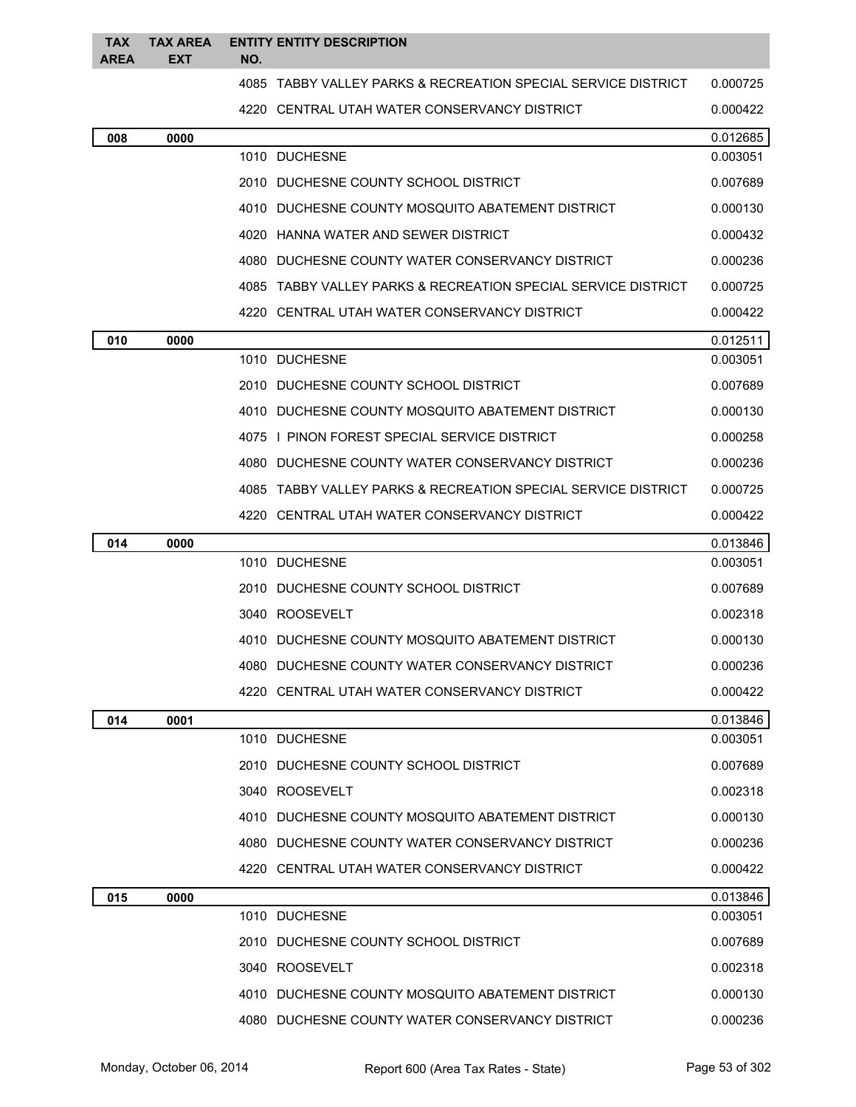| <b>TAX</b><br><b>AREA</b> | <b>TAX AREA</b><br><b>EXT</b> | NO. | <b>ENTITY ENTITY DESCRIPTION</b>                              |                      |
|---------------------------|-------------------------------|-----|---------------------------------------------------------------|----------------------|
|                           |                               |     | 4085 TABBY VALLEY PARKS & RECREATION SPECIAL SERVICE DISTRICT | 0.000725             |
|                           |                               |     | 4220 CENTRAL UTAH WATER CONSERVANCY DISTRICT                  | 0.000422             |
|                           |                               |     |                                                               |                      |
| 008                       | 0000                          |     | 1010 DUCHESNE                                                 | 0.012685<br>0.003051 |
|                           |                               |     | 2010 DUCHESNE COUNTY SCHOOL DISTRICT                          | 0.007689             |
|                           |                               |     | 4010 DUCHESNE COUNTY MOSQUITO ABATEMENT DISTRICT              | 0.000130             |
|                           |                               |     | 4020 HANNA WATER AND SEWER DISTRICT                           | 0.000432             |
|                           |                               |     | 4080 DUCHESNE COUNTY WATER CONSERVANCY DISTRICT               | 0.000236             |
|                           |                               |     | 4085 TABBY VALLEY PARKS & RECREATION SPECIAL SERVICE DISTRICT | 0.000725             |
|                           |                               |     | 4220 CENTRAL UTAH WATER CONSERVANCY DISTRICT                  | 0.000422             |
| 010                       | 0000                          |     |                                                               | 0.012511             |
|                           |                               |     | 1010 DUCHESNE                                                 | 0.003051             |
|                           |                               |     | 2010 DUCHESNE COUNTY SCHOOL DISTRICT                          | 0.007689             |
|                           |                               |     | 4010 DUCHESNE COUNTY MOSQUITO ABATEMENT DISTRICT              | 0.000130             |
|                           |                               |     | 4075 I PINON FOREST SPECIAL SERVICE DISTRICT                  | 0.000258             |
|                           |                               |     | 4080 DUCHESNE COUNTY WATER CONSERVANCY DISTRICT               | 0.000236             |
|                           |                               |     | 4085 TABBY VALLEY PARKS & RECREATION SPECIAL SERVICE DISTRICT | 0.000725             |
|                           |                               |     | 4220 CENTRAL UTAH WATER CONSERVANCY DISTRICT                  | 0.000422             |
| 014                       | 0000                          |     |                                                               | 0.013846             |
|                           |                               |     | 1010 DUCHESNE                                                 | 0.003051             |
|                           |                               |     | 2010 DUCHESNE COUNTY SCHOOL DISTRICT                          | 0.007689             |
|                           |                               |     | 3040 ROOSEVELT                                                | 0.002318             |
|                           |                               |     | 4010 DUCHESNE COUNTY MOSQUITO ABATEMENT DISTRICT              | 0.000130             |
|                           |                               |     | 4080 DUCHESNE COUNTY WATER CONSERVANCY DISTRICT               | 0.000236             |
|                           |                               |     | 4220 CENTRAL UTAH WATER CONSERVANCY DISTRICT                  | 0.000422             |
| 014                       | 0001                          |     |                                                               | 0.013846             |
|                           |                               |     | 1010 DUCHESNE                                                 | 0.003051             |
|                           |                               |     | 2010 DUCHESNE COUNTY SCHOOL DISTRICT                          | 0.007689             |
|                           |                               |     | 3040 ROOSEVELT                                                | 0.002318             |
|                           |                               |     | 4010 DUCHESNE COUNTY MOSQUITO ABATEMENT DISTRICT              | 0.000130             |
|                           |                               |     | 4080 DUCHESNE COUNTY WATER CONSERVANCY DISTRICT               | 0.000236             |
|                           |                               |     | 4220 CENTRAL UTAH WATER CONSERVANCY DISTRICT                  | 0.000422             |
| 015                       | 0000                          |     |                                                               | 0.013846             |
|                           |                               |     | 1010 DUCHESNE                                                 | 0.003051             |
|                           |                               |     | 2010 DUCHESNE COUNTY SCHOOL DISTRICT                          | 0.007689             |
|                           |                               |     | 3040 ROOSEVELT                                                | 0.002318             |
|                           |                               |     | 4010 DUCHESNE COUNTY MOSQUITO ABATEMENT DISTRICT              | 0.000130             |
|                           |                               |     | 4080 DUCHESNE COUNTY WATER CONSERVANCY DISTRICT               | 0.000236             |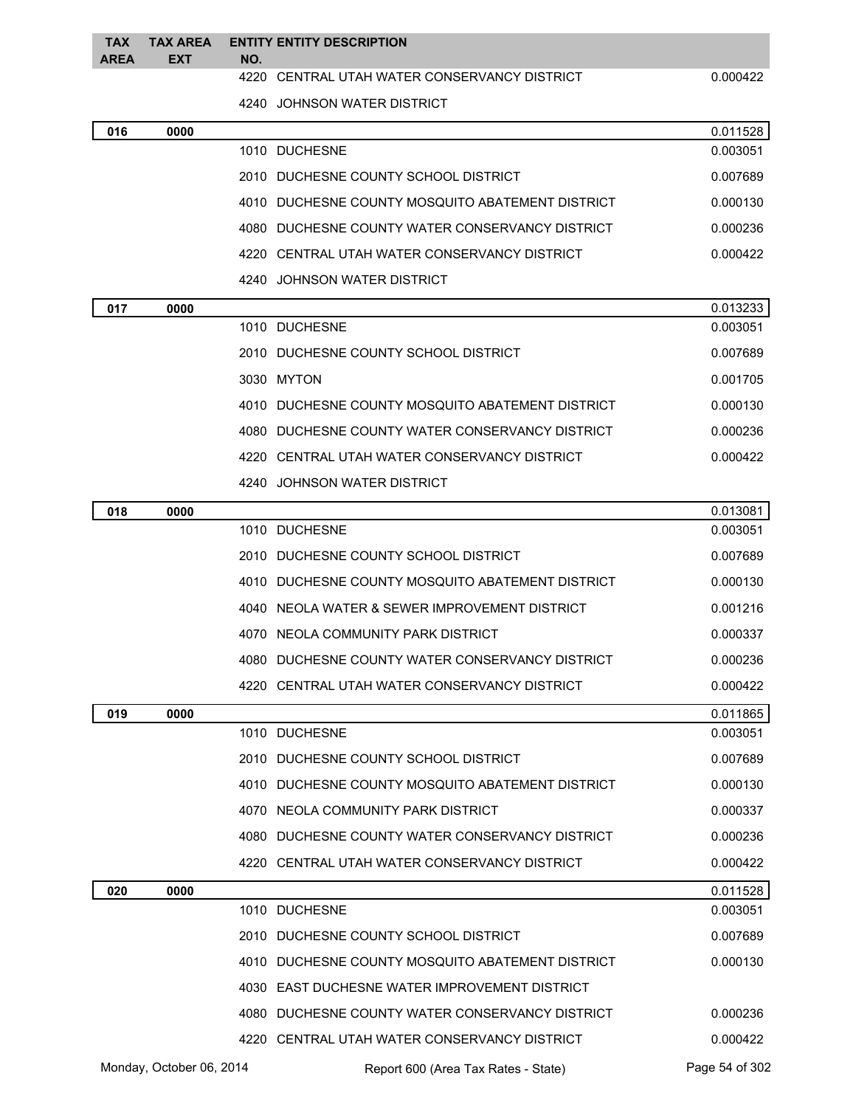| <b>TAX</b><br><b>AREA</b> | TAX AREA<br><b>EXT</b> | <b>ENTITY ENTITY DESCRIPTION</b><br>NO.          |          |
|---------------------------|------------------------|--------------------------------------------------|----------|
|                           |                        | 4220 CENTRAL UTAH WATER CONSERVANCY DISTRICT     | 0.000422 |
|                           |                        | 4240 JOHNSON WATER DISTRICT                      |          |
| 016                       | 0000                   |                                                  | 0.011528 |
|                           |                        | 1010 DUCHESNE                                    | 0.003051 |
|                           |                        | 2010 DUCHESNE COUNTY SCHOOL DISTRICT             | 0.007689 |
|                           |                        | 4010 DUCHESNE COUNTY MOSQUITO ABATEMENT DISTRICT | 0.000130 |
|                           |                        | 4080 DUCHESNE COUNTY WATER CONSERVANCY DISTRICT  | 0.000236 |
|                           |                        | 4220 CENTRAL UTAH WATER CONSERVANCY DISTRICT     | 0.000422 |
|                           |                        | 4240 JOHNSON WATER DISTRICT                      |          |
| 017                       | 0000                   |                                                  | 0.013233 |
|                           |                        | 1010 DUCHESNE                                    | 0.003051 |
|                           |                        | 2010 DUCHESNE COUNTY SCHOOL DISTRICT             | 0.007689 |
|                           |                        | 3030 MYTON                                       | 0.001705 |
|                           |                        | 4010 DUCHESNE COUNTY MOSQUITO ABATEMENT DISTRICT | 0.000130 |
|                           |                        | 4080 DUCHESNE COUNTY WATER CONSERVANCY DISTRICT  | 0.000236 |
|                           |                        | 4220 CENTRAL UTAH WATER CONSERVANCY DISTRICT     | 0.000422 |
|                           |                        | 4240 JOHNSON WATER DISTRICT                      |          |
| 018                       | 0000                   |                                                  | 0.013081 |
|                           |                        | 1010 DUCHESNE                                    | 0.003051 |
|                           |                        | 2010 DUCHESNE COUNTY SCHOOL DISTRICT             | 0.007689 |
|                           |                        | 4010 DUCHESNE COUNTY MOSQUITO ABATEMENT DISTRICT | 0.000130 |
|                           |                        | 4040 NEOLA WATER & SEWER IMPROVEMENT DISTRICT    | 0.001216 |
|                           |                        | 4070 NEOLA COMMUNITY PARK DISTRICT               | 0.000337 |
|                           |                        | 4080 DUCHESNE COUNTY WATER CONSERVANCY DISTRICT  | 0.000236 |
|                           |                        | 4220 CENTRAL UTAH WATER CONSERVANCY DISTRICT     | 0.000422 |
| 019                       | 0000                   |                                                  | 0.011865 |
|                           |                        | 1010 DUCHESNE                                    | 0.003051 |
|                           |                        | 2010 DUCHESNE COUNTY SCHOOL DISTRICT             | 0.007689 |
|                           |                        | 4010 DUCHESNE COUNTY MOSQUITO ABATEMENT DISTRICT | 0.000130 |
|                           |                        | 4070 NEOLA COMMUNITY PARK DISTRICT               | 0.000337 |
|                           |                        | 4080 DUCHESNE COUNTY WATER CONSERVANCY DISTRICT  | 0.000236 |
|                           |                        | 4220 CENTRAL UTAH WATER CONSERVANCY DISTRICT     | 0.000422 |
| 020                       | 0000                   |                                                  | 0.011528 |
|                           |                        | 1010 DUCHESNE                                    | 0.003051 |
|                           |                        | 2010 DUCHESNE COUNTY SCHOOL DISTRICT             | 0.007689 |
|                           |                        | 4010 DUCHESNE COUNTY MOSQUITO ABATEMENT DISTRICT | 0.000130 |
|                           |                        | 4030 EAST DUCHESNE WATER IMPROVEMENT DISTRICT    |          |
|                           |                        | 4080 DUCHESNE COUNTY WATER CONSERVANCY DISTRICT  | 0.000236 |
|                           |                        | 4220 CENTRAL UTAH WATER CONSERVANCY DISTRICT     | 0.000422 |

Monday, October 06, 2014 Report 600 (Area Tax Rates - State) Rage 54 of 302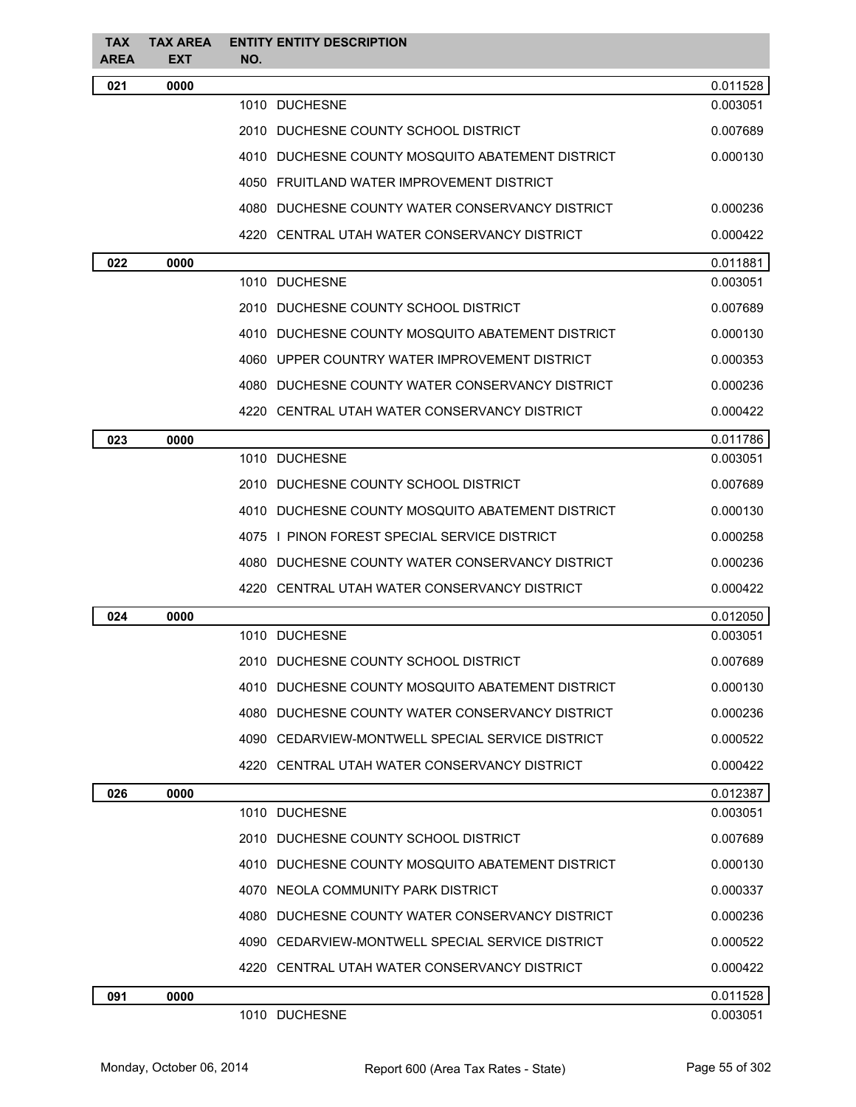| <b>TAX</b><br><b>AREA</b> | <b>TAX AREA</b><br><b>EXT</b> | <b>ENTITY ENTITY DESCRIPTION</b><br>NO.          |          |
|---------------------------|-------------------------------|--------------------------------------------------|----------|
| 021                       | 0000                          |                                                  | 0.011528 |
|                           |                               | 1010 DUCHESNE                                    | 0.003051 |
|                           |                               | 2010 DUCHESNE COUNTY SCHOOL DISTRICT             | 0.007689 |
|                           |                               | 4010 DUCHESNE COUNTY MOSQUITO ABATEMENT DISTRICT | 0.000130 |
|                           |                               | 4050 FRUITLAND WATER IMPROVEMENT DISTRICT        |          |
|                           |                               | 4080 DUCHESNE COUNTY WATER CONSERVANCY DISTRICT  | 0.000236 |
|                           |                               | 4220 CENTRAL UTAH WATER CONSERVANCY DISTRICT     | 0.000422 |
| 022                       | 0000                          |                                                  | 0.011881 |
|                           |                               | 1010 DUCHESNE                                    | 0.003051 |
|                           |                               | 2010 DUCHESNE COUNTY SCHOOL DISTRICT             | 0.007689 |
|                           |                               | 4010 DUCHESNE COUNTY MOSQUITO ABATEMENT DISTRICT | 0.000130 |
|                           |                               | 4060 UPPER COUNTRY WATER IMPROVEMENT DISTRICT    | 0.000353 |
|                           |                               | 4080 DUCHESNE COUNTY WATER CONSERVANCY DISTRICT  | 0.000236 |
|                           |                               | 4220 CENTRAL UTAH WATER CONSERVANCY DISTRICT     | 0.000422 |
| 023                       | 0000                          |                                                  | 0.011786 |
|                           |                               | 1010 DUCHESNE                                    | 0.003051 |
|                           |                               | 2010 DUCHESNE COUNTY SCHOOL DISTRICT             | 0.007689 |
|                           |                               | 4010 DUCHESNE COUNTY MOSQUITO ABATEMENT DISTRICT | 0.000130 |
|                           |                               | 4075 I PINON FOREST SPECIAL SERVICE DISTRICT     | 0.000258 |
|                           |                               | 4080 DUCHESNE COUNTY WATER CONSERVANCY DISTRICT  | 0.000236 |
|                           |                               | 4220 CENTRAL UTAH WATER CONSERVANCY DISTRICT     | 0.000422 |
| 024                       | 0000                          |                                                  | 0.012050 |
|                           |                               | 1010 DUCHESNE                                    | 0.003051 |
|                           |                               | 2010 DUCHESNE COUNTY SCHOOL DISTRICT             | 0.007689 |
|                           |                               | 4010 DUCHESNE COUNTY MOSQUITO ABATEMENT DISTRICT | 0.000130 |
|                           |                               | 4080 DUCHESNE COUNTY WATER CONSERVANCY DISTRICT  | 0.000236 |
|                           |                               | 4090 CEDARVIEW-MONTWELL SPECIAL SERVICE DISTRICT | 0.000522 |
|                           |                               | 4220 CENTRAL UTAH WATER CONSERVANCY DISTRICT     | 0.000422 |
| 026                       | 0000                          |                                                  | 0.012387 |
|                           |                               | 1010 DUCHESNE                                    | 0.003051 |
|                           |                               | 2010 DUCHESNE COUNTY SCHOOL DISTRICT             | 0.007689 |
|                           |                               | 4010 DUCHESNE COUNTY MOSQUITO ABATEMENT DISTRICT | 0.000130 |
|                           |                               | 4070 NEOLA COMMUNITY PARK DISTRICT               | 0.000337 |
|                           |                               | 4080 DUCHESNE COUNTY WATER CONSERVANCY DISTRICT  | 0.000236 |
|                           |                               | 4090 CEDARVIEW-MONTWELL SPECIAL SERVICE DISTRICT | 0.000522 |
|                           |                               | 4220 CENTRAL UTAH WATER CONSERVANCY DISTRICT     | 0.000422 |
| 091                       | 0000                          |                                                  | 0.011528 |
|                           |                               | 1010 DUCHESNE                                    | 0.003051 |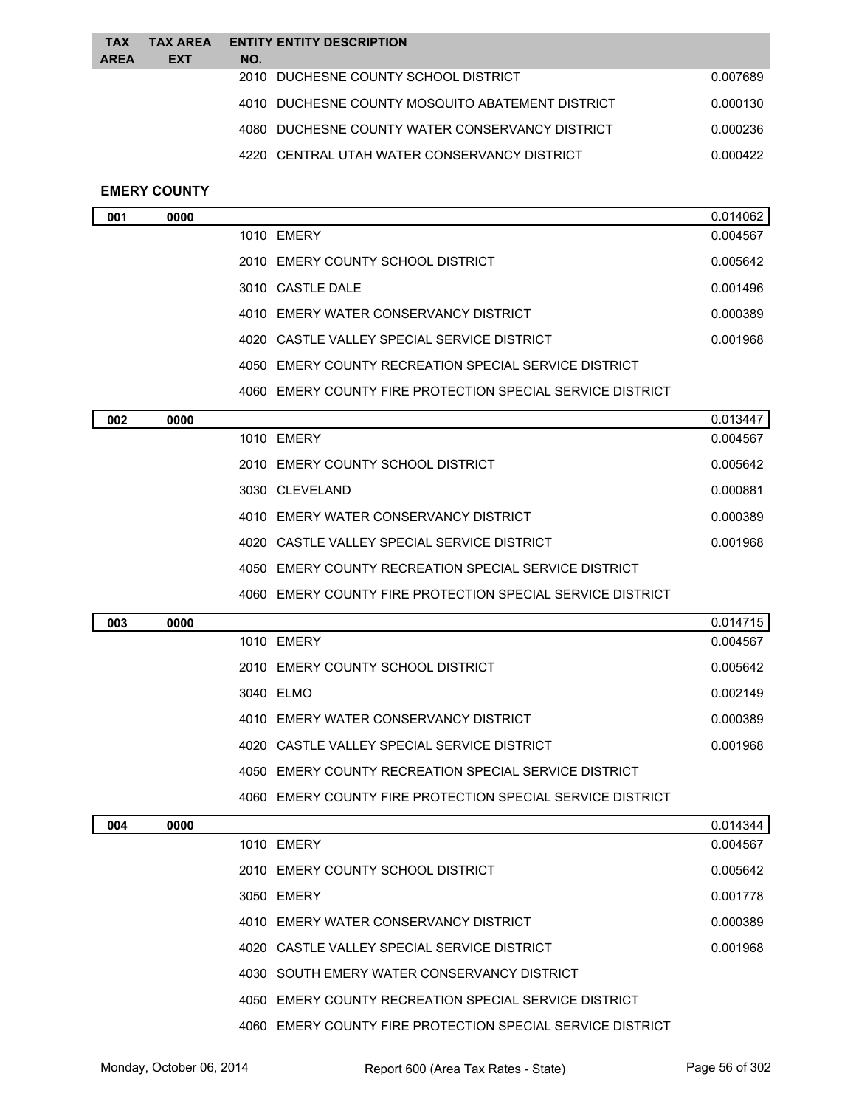| <b>TAX</b><br><b>AREA</b> | <b>TAX AREA</b><br><b>EXT</b> | NO. | <b>ENTITY ENTITY DESCRIPTION</b>                 |          |
|---------------------------|-------------------------------|-----|--------------------------------------------------|----------|
|                           |                               |     | 2010 DUCHESNE COUNTY SCHOOL DISTRICT             | 0.007689 |
|                           |                               |     | 4010 DUCHESNE COUNTY MOSQUITO ABATEMENT DISTRICT | 0.000130 |
|                           |                               |     | 4080 DUCHESNE COUNTY WATER CONSERVANCY DISTRICT  | 0.000236 |
|                           |                               |     | 4220 CENTRAL UTAH WATER CONSERVANCY DISTRICT     | 0.000422 |
|                           |                               |     |                                                  |          |

# **EMERY COUNTY**

| 001 | 0000 |                                                          | 0.014062 |
|-----|------|----------------------------------------------------------|----------|
|     |      | 1010 EMERY                                               | 0.004567 |
|     |      | 2010 EMERY COUNTY SCHOOL DISTRICT                        | 0.005642 |
|     |      | 3010 CASTLE DALE                                         | 0.001496 |
|     |      | 4010 EMERY WATER CONSERVANCY DISTRICT                    | 0.000389 |
|     |      | 4020 CASTLE VALLEY SPECIAL SERVICE DISTRICT              | 0.001968 |
|     |      | EMERY COUNTY RECREATION SPECIAL SERVICE DISTRICT<br>4050 |          |
|     |      |                                                          |          |

EMERY COUNTY FIRE PROTECTION SPECIAL SERVICE DISTRICT

| 002 | 0000 |                                                            | 0.013447 |
|-----|------|------------------------------------------------------------|----------|
|     |      | 1010 FMFRY                                                 | 0.004567 |
|     |      | 2010 EMERY COUNTY SCHOOL DISTRICT                          | 0.005642 |
|     |      | 3030 CLEVELAND                                             | 0.000881 |
|     |      | 4010 EMERY WATER CONSERVANCY DISTRICT                      | 0.000389 |
|     |      | 4020 CASTLE VALLEY SPECIAL SERVICE DISTRICT                | 0.001968 |
|     |      | EMERY COUNTY RECREATION SPECIAL SERVICE DISTRICT<br>4050   |          |
|     |      | 4060 EMERY COUNTY FIRE PROTECTION SPECIAL SERVICE DISTRICT |          |

| 003 | 0000 |                                                          | 0.014715 |
|-----|------|----------------------------------------------------------|----------|
|     |      | 1010 EMERY                                               | 0.004567 |
|     |      | 2010 EMERY COUNTY SCHOOL DISTRICT                        | 0.005642 |
|     |      | 3040 ELMO                                                | 0.002149 |
|     |      | 4010 EMERY WATER CONSERVANCY DISTRICT                    | 0.000389 |
|     |      | 4020 CASTLE VALLEY SPECIAL SERVICE DISTRICT              | 0.001968 |
|     |      | EMERY COUNTY RECREATION SPECIAL SERVICE DISTRICT<br>4050 |          |
|     |      |                                                          |          |

|     |      | 4060 EMERY COUNTY FIRE PROTECTION SPECIAL SERVICE DISTRICT |          |
|-----|------|------------------------------------------------------------|----------|
| 004 | 0000 |                                                            | 0.014344 |
|     |      | 1010 EMERY                                                 | 0.004567 |
|     |      | 2010 EMERY COUNTY SCHOOL DISTRICT                          | 0.005642 |
|     |      | 3050 EMERY                                                 | 0.001778 |
|     |      | 4010 EMERY WATER CONSERVANCY DISTRICT                      | 0.000389 |
|     |      | 4020 CASTLE VALLEY SPECIAL SERVICE DISTRICT                | 0.001968 |
|     |      | 4030 SOUTH EMERY WATER CONSERVANCY DISTRICT                |          |
|     |      | 4050 EMERY COUNTY RECREATION SPECIAL SERVICE DISTRICT      |          |
|     |      | 4060 EMERY COUNTY FIRE PROTECTION SPECIAL SERVICE DISTRICT |          |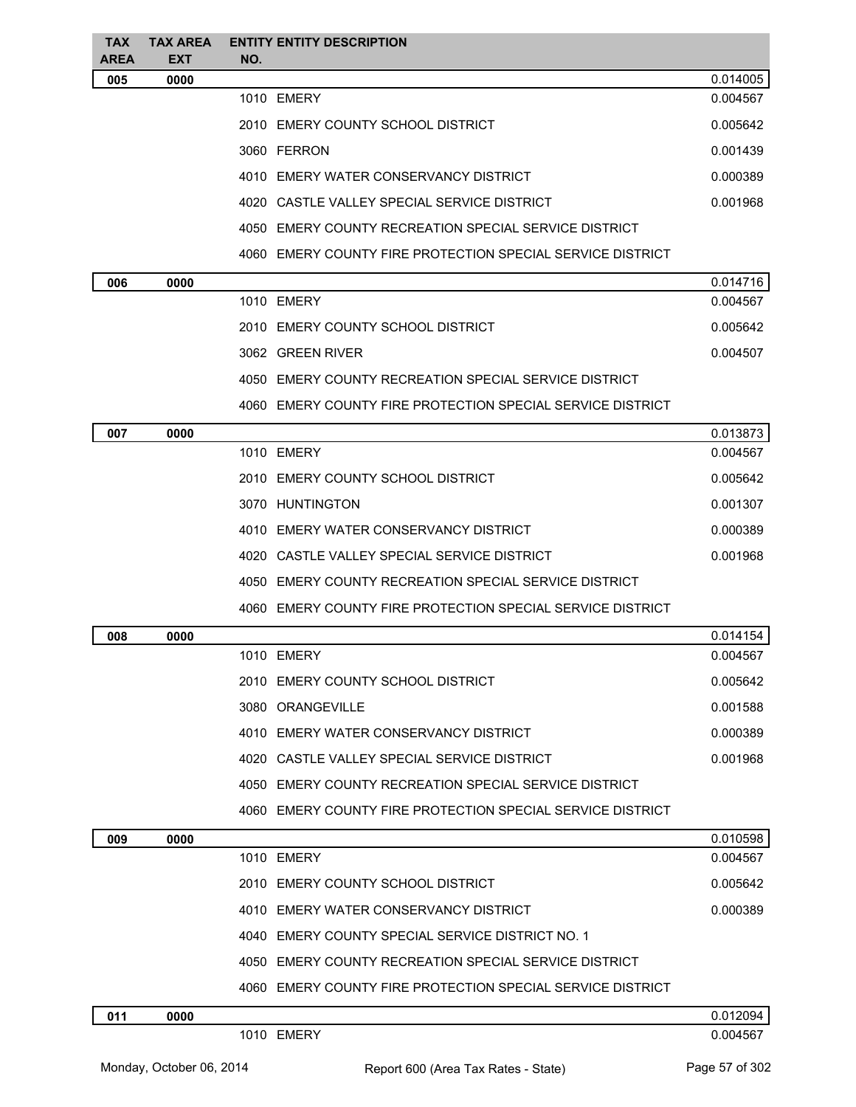| TAX.<br><b>AREA</b> | <b>TAX AREA</b><br><b>EXT</b> | <b>ENTITY ENTITY DESCRIPTION</b><br>NO.                    |          |
|---------------------|-------------------------------|------------------------------------------------------------|----------|
| 005                 | 0000                          |                                                            | 0.014005 |
|                     |                               | 1010 EMERY                                                 | 0.004567 |
|                     |                               | 2010 EMERY COUNTY SCHOOL DISTRICT                          | 0.005642 |
|                     |                               | 3060 FERRON                                                | 0.001439 |
|                     |                               | 4010 EMERY WATER CONSERVANCY DISTRICT                      | 0.000389 |
|                     |                               | 4020 CASTLE VALLEY SPECIAL SERVICE DISTRICT                | 0.001968 |
|                     |                               | 4050 EMERY COUNTY RECREATION SPECIAL SERVICE DISTRICT      |          |
|                     |                               | 4060 EMERY COUNTY FIRE PROTECTION SPECIAL SERVICE DISTRICT |          |
| 006                 | 0000                          |                                                            | 0.014716 |
|                     |                               | 1010 EMERY                                                 | 0.004567 |
|                     |                               | 2010 EMERY COUNTY SCHOOL DISTRICT                          | 0.005642 |
|                     |                               | 3062 GREEN RIVER                                           | 0.004507 |
|                     |                               | 4050 EMERY COUNTY RECREATION SPECIAL SERVICE DISTRICT      |          |
|                     |                               | 4060 EMERY COUNTY FIRE PROTECTION SPECIAL SERVICE DISTRICT |          |
| 007                 | 0000                          |                                                            | 0.013873 |
|                     |                               | 1010 EMERY                                                 | 0.004567 |
|                     |                               | 2010 EMERY COUNTY SCHOOL DISTRICT                          | 0.005642 |
|                     |                               | 3070 HUNTINGTON                                            | 0.001307 |
|                     |                               | 4010 EMERY WATER CONSERVANCY DISTRICT                      | 0.000389 |
|                     |                               | 4020 CASTLE VALLEY SPECIAL SERVICE DISTRICT                | 0.001968 |
|                     |                               | 4050 EMERY COUNTY RECREATION SPECIAL SERVICE DISTRICT      |          |
|                     |                               | 4060 EMERY COUNTY FIRE PROTECTION SPECIAL SERVICE DISTRICT |          |
| 008                 | 0000                          |                                                            | 0.014154 |
|                     |                               | 1010 EMERY                                                 | 0.004567 |
|                     |                               | 2010 EMERY COUNTY SCHOOL DISTRICT                          | 0.005642 |
|                     |                               | 3080 ORANGEVILLE                                           | 0.001588 |
|                     |                               | 4010 EMERY WATER CONSERVANCY DISTRICT                      | 0.000389 |
|                     |                               | 4020 CASTLE VALLEY SPECIAL SERVICE DISTRICT                | 0.001968 |
|                     |                               | 4050 EMERY COUNTY RECREATION SPECIAL SERVICE DISTRICT      |          |
|                     |                               | 4060 EMERY COUNTY FIRE PROTECTION SPECIAL SERVICE DISTRICT |          |
| 009                 | 0000                          |                                                            | 0.010598 |
|                     |                               | 1010 EMERY                                                 | 0.004567 |
|                     |                               | 2010 EMERY COUNTY SCHOOL DISTRICT                          | 0.005642 |
|                     |                               | 4010 EMERY WATER CONSERVANCY DISTRICT                      | 0.000389 |
|                     |                               | 4040 EMERY COUNTY SPECIAL SERVICE DISTRICT NO. 1           |          |
|                     |                               | 4050 EMERY COUNTY RECREATION SPECIAL SERVICE DISTRICT      |          |
|                     |                               | 4060 EMERY COUNTY FIRE PROTECTION SPECIAL SERVICE DISTRICT |          |
| 011                 | 0000                          |                                                            | 0.012094 |
|                     |                               | 1010 EMERY                                                 | 0.004567 |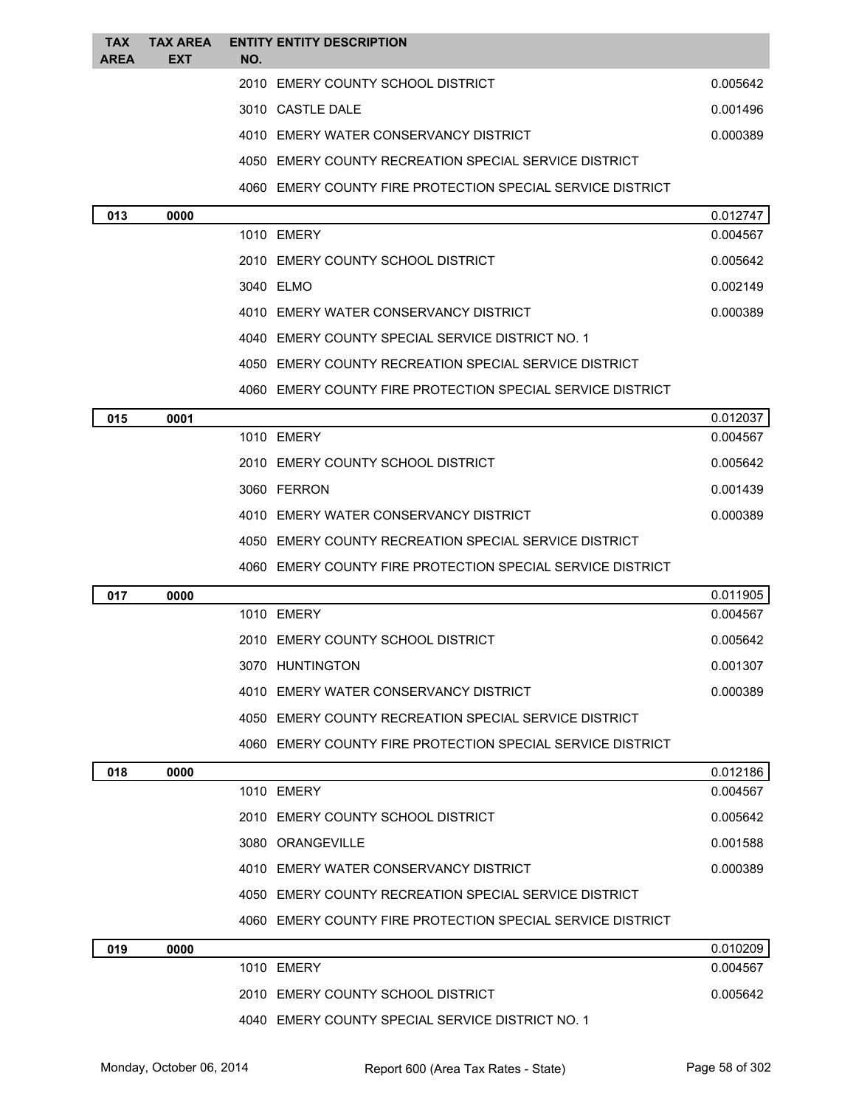| <b>TAX</b><br><b>AREA</b> | <b>TAX AREA</b><br><b>EXT</b> | NO. | <b>ENTITY ENTITY DESCRIPTION</b>                           |          |
|---------------------------|-------------------------------|-----|------------------------------------------------------------|----------|
|                           |                               |     | 2010 EMERY COUNTY SCHOOL DISTRICT                          | 0.005642 |
|                           |                               |     | 3010 CASTLE DALE                                           | 0.001496 |
|                           |                               |     | 4010 EMERY WATER CONSERVANCY DISTRICT                      | 0.000389 |
|                           |                               |     | 4050 EMERY COUNTY RECREATION SPECIAL SERVICE DISTRICT      |          |
|                           |                               |     | 4060 EMERY COUNTY FIRE PROTECTION SPECIAL SERVICE DISTRICT |          |
| 013                       | 0000                          |     |                                                            | 0.012747 |
|                           |                               |     | 1010 EMERY                                                 | 0.004567 |
|                           |                               |     | 2010 EMERY COUNTY SCHOOL DISTRICT                          | 0.005642 |
|                           |                               |     | 3040 ELMO                                                  | 0.002149 |
|                           |                               |     | 4010 EMERY WATER CONSERVANCY DISTRICT                      | 0.000389 |
|                           |                               |     | 4040 EMERY COUNTY SPECIAL SERVICE DISTRICT NO. 1           |          |
|                           |                               |     | 4050 EMERY COUNTY RECREATION SPECIAL SERVICE DISTRICT      |          |
|                           |                               |     | 4060 EMERY COUNTY FIRE PROTECTION SPECIAL SERVICE DISTRICT |          |
| 015                       | 0001                          |     |                                                            | 0.012037 |
|                           |                               |     | 1010 EMERY                                                 | 0.004567 |
|                           |                               |     | 2010 EMERY COUNTY SCHOOL DISTRICT                          | 0.005642 |
|                           |                               |     | 3060 FERRON                                                | 0.001439 |
|                           |                               |     | 4010 EMERY WATER CONSERVANCY DISTRICT                      | 0.000389 |
|                           |                               |     | 4050 EMERY COUNTY RECREATION SPECIAL SERVICE DISTRICT      |          |
|                           |                               |     | 4060 EMERY COUNTY FIRE PROTECTION SPECIAL SERVICE DISTRICT |          |
| 017                       | 0000                          |     |                                                            | 0.011905 |
|                           |                               |     | 1010 EMERY                                                 | 0.004567 |
|                           |                               |     | 2010 EMERY COUNTY SCHOOL DISTRICT                          | 0.005642 |
|                           |                               |     | 3070 HUNTINGTON                                            | 0.001307 |
|                           |                               |     | 4010 EMERY WATER CONSERVANCY DISTRICT                      | 0.000389 |
|                           |                               |     | 4050 EMERY COUNTY RECREATION SPECIAL SERVICE DISTRICT      |          |
|                           |                               |     | 4060 EMERY COUNTY FIRE PROTECTION SPECIAL SERVICE DISTRICT |          |
| 018                       | 0000                          |     |                                                            | 0.012186 |
|                           |                               |     | 1010 EMERY                                                 | 0.004567 |
|                           |                               |     | 2010 EMERY COUNTY SCHOOL DISTRICT                          | 0.005642 |
|                           |                               |     | 3080 ORANGEVILLE                                           | 0.001588 |
|                           |                               |     | 4010 EMERY WATER CONSERVANCY DISTRICT                      | 0.000389 |
|                           |                               |     | 4050 EMERY COUNTY RECREATION SPECIAL SERVICE DISTRICT      |          |
|                           |                               |     | 4060 EMERY COUNTY FIRE PROTECTION SPECIAL SERVICE DISTRICT |          |
| 019                       | 0000                          |     |                                                            | 0.010209 |
|                           |                               |     | 1010 EMERY                                                 | 0.004567 |
|                           |                               |     | 2010 EMERY COUNTY SCHOOL DISTRICT                          | 0.005642 |
|                           |                               |     | 4040 EMERY COUNTY SPECIAL SERVICE DISTRICT NO. 1           |          |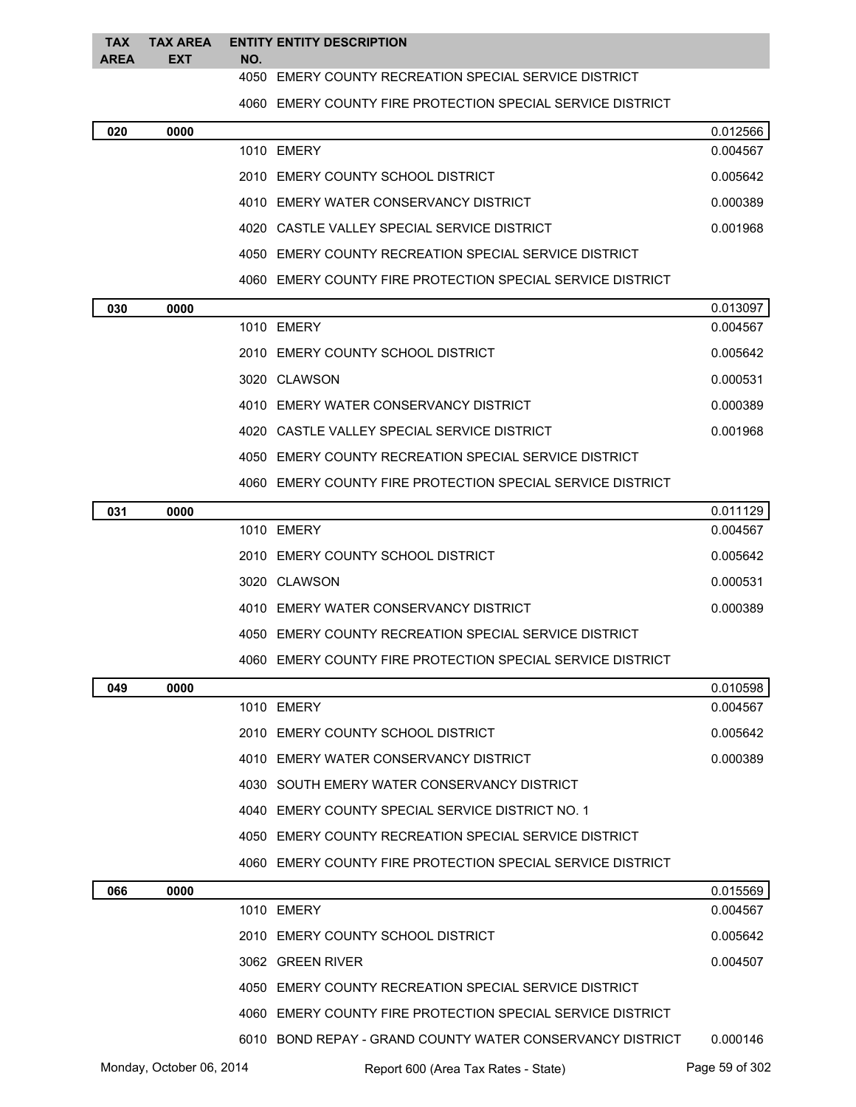#### **TAX AREA TAX AREA ENTITY ENTITY DESCRIPTION EXT NO.**

## EMERY COUNTY RECREATION SPECIAL SERVICE DISTRICT

EMERY COUNTY FIRE PROTECTION SPECIAL SERVICE DISTRICT

| 020 | 0000 |                                                            | 0.012566 |
|-----|------|------------------------------------------------------------|----------|
|     |      | 1010 EMERY                                                 | 0.004567 |
|     |      | 2010 EMERY COUNTY SCHOOL DISTRICT                          | 0.005642 |
|     |      | 4010 EMERY WATER CONSERVANCY DISTRICT                      | 0.000389 |
|     |      | 4020 CASTLE VALLEY SPECIAL SERVICE DISTRICT                | 0.001968 |
|     |      | 4050 EMERY COUNTY RECREATION SPECIAL SERVICE DISTRICT      |          |
|     |      | 4060 EMERY COUNTY FIRE PROTECTION SPECIAL SERVICE DISTRICT |          |
| 030 | 0000 |                                                            | 0.013097 |
|     |      | 1010 EMERY                                                 | 0.004567 |
|     |      | 2010 EMERY COUNTY SCHOOL DISTRICT                          | 0.005642 |
|     |      | 3020 CLAWSON                                               | 0.000531 |
|     |      | 4010 EMERY WATER CONSERVANCY DISTRICT                      | 0.000389 |
|     |      | 4020 CASTLE VALLEY SPECIAL SERVICE DISTRICT                | 0.001968 |
|     |      | 4050 EMERY COUNTY RECREATION SPECIAL SERVICE DISTRICT      |          |
|     |      | 4060 EMERY COUNTY FIRE PROTECTION SPECIAL SERVICE DISTRICT |          |
| 031 | 0000 |                                                            | 0.011129 |
|     |      | 1010 EMERY                                                 | 0.004567 |
|     |      | 2010 EMERY COUNTY SCHOOL DISTRICT                          | 0.005642 |
|     |      | 3020 CLAWSON                                               | 0.000531 |
|     |      | 4010 EMERY WATER CONSERVANCY DISTRICT                      | 0.000389 |
|     |      | 4050 EMERY COUNTY RECREATION SPECIAL SERVICE DISTRICT      |          |
|     |      | 4060 EMERY COUNTY FIRE PROTECTION SPECIAL SERVICE DISTRICT |          |
| 049 | 0000 |                                                            | 0.010598 |
|     |      | 1010 EMERY                                                 | 0.004567 |
|     |      | 2010 EMERY COUNTY SCHOOL DISTRICT                          | 0.005642 |
|     |      | 4010 EMERY WATER CONSERVANCY DISTRICT                      | 0.000389 |
|     |      | 4030 SOUTH EMERY WATER CONSERVANCY DISTRICT                |          |
|     |      | 4040 EMERY COUNTY SPECIAL SERVICE DISTRICT NO. 1           |          |
|     |      | 4050 EMERY COUNTY RECREATION SPECIAL SERVICE DISTRICT      |          |
|     |      | 4060 EMERY COUNTY FIRE PROTECTION SPECIAL SERVICE DISTRICT |          |
| 066 | 0000 |                                                            | 0.015569 |

| 066 | 0000 |                                                            | 0.015569 |
|-----|------|------------------------------------------------------------|----------|
|     |      | 1010 EMERY                                                 | 0.004567 |
|     |      | 2010 EMERY COUNTY SCHOOL DISTRICT                          | 0.005642 |
|     |      | 3062 GREEN RIVER                                           | 0.004507 |
|     |      | 4050 EMERY COUNTY RECREATION SPECIAL SERVICE DISTRICT      |          |
|     |      | 4060 EMERY COUNTY FIRE PROTECTION SPECIAL SERVICE DISTRICT |          |
|     |      | 6010 BOND REPAY - GRAND COUNTY WATER CONSERVANCY DISTRICT  | 0.000146 |
|     |      |                                                            |          |

Monday, October 06, 2014 Report 600 (Area Tax Rates - State) Rage 59 of 302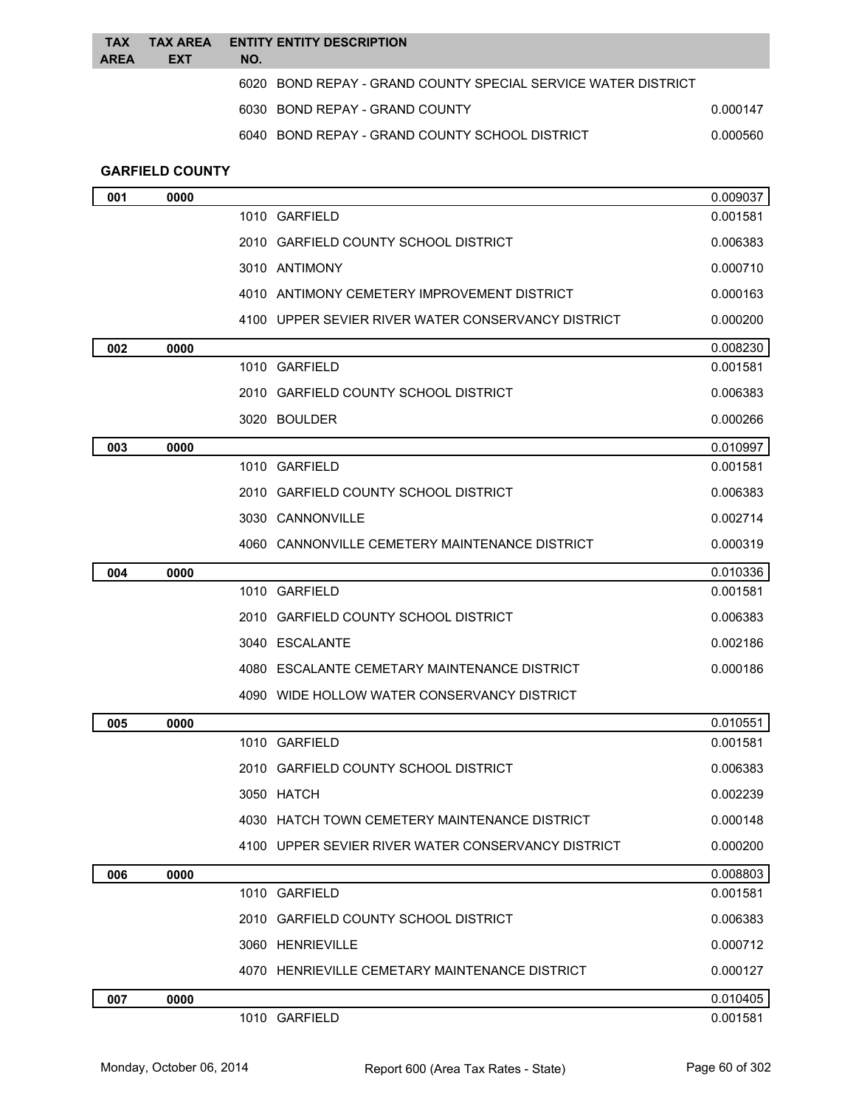| <b>TAX</b><br><b>AREA</b> | <b>TAX AREA</b><br><b>EXT</b> | NO. | <b>ENTITY ENTITY DESCRIPTION</b>                              |                      |
|---------------------------|-------------------------------|-----|---------------------------------------------------------------|----------------------|
|                           |                               |     | 6020 BOND REPAY - GRAND COUNTY SPECIAL SERVICE WATER DISTRICT |                      |
|                           |                               |     | 6030 BOND REPAY - GRAND COUNTY                                | 0.000147             |
|                           |                               |     | 6040 BOND REPAY - GRAND COUNTY SCHOOL DISTRICT                | 0.000560             |
|                           |                               |     |                                                               |                      |
|                           | <b>GARFIELD COUNTY</b>        |     |                                                               |                      |
| 001                       | 0000                          |     | 1010 GARFIELD                                                 | 0.009037<br>0.001581 |
|                           |                               |     | 2010 GARFIELD COUNTY SCHOOL DISTRICT                          | 0.006383             |
|                           |                               |     | 3010 ANTIMONY                                                 | 0.000710             |
|                           |                               |     | 4010 ANTIMONY CEMETERY IMPROVEMENT DISTRICT                   | 0.000163             |
|                           |                               |     | 4100 UPPER SEVIER RIVER WATER CONSERVANCY DISTRICT            | 0.000200             |
|                           |                               |     |                                                               |                      |
| 002                       | 0000                          |     | 1010 GARFIELD                                                 | 0.008230<br>0.001581 |
|                           |                               |     | 2010 GARFIELD COUNTY SCHOOL DISTRICT                          | 0.006383             |
|                           |                               |     | 3020 BOULDER                                                  | 0.000266             |
| 003                       | 0000                          |     |                                                               | 0.010997             |
|                           |                               |     | 1010 GARFIELD                                                 | 0.001581             |
|                           |                               |     | 2010 GARFIELD COUNTY SCHOOL DISTRICT                          | 0.006383             |
|                           |                               |     | 3030 CANNONVILLE                                              | 0.002714             |
|                           |                               |     | 4060 CANNONVILLE CEMETERY MAINTENANCE DISTRICT                | 0.000319             |
| 004                       | 0000                          |     |                                                               | 0.010336             |
|                           |                               |     | 1010 GARFIELD                                                 | 0.001581             |
|                           |                               |     | 2010 GARFIELD COUNTY SCHOOL DISTRICT                          | 0.006383             |
|                           |                               |     | 3040 ESCALANTE                                                | 0.002186             |
|                           |                               |     | 4080 ESCALANTE CEMETARY MAINTENANCE DISTRICT                  | 0.000186             |
|                           |                               |     | 4090 WIDE HOLLOW WATER CONSERVANCY DISTRICT                   |                      |
| 005                       | 0000                          |     |                                                               | 0.010551             |
|                           |                               |     | 1010 GARFIELD                                                 | 0.001581             |
|                           |                               |     | 2010 GARFIELD COUNTY SCHOOL DISTRICT                          | 0.006383             |
|                           |                               |     | 3050 HATCH                                                    | 0.002239             |
|                           |                               |     | 4030 HATCH TOWN CEMETERY MAINTENANCE DISTRICT                 | 0.000148             |
|                           |                               |     | 4100 UPPER SEVIER RIVER WATER CONSERVANCY DISTRICT            | 0.000200             |
| 006                       | 0000                          |     |                                                               | 0.008803             |
|                           |                               |     | 1010 GARFIELD                                                 | 0.001581             |
|                           |                               |     | 2010 GARFIELD COUNTY SCHOOL DISTRICT                          | 0.006383             |
|                           |                               |     | 3060 HENRIEVILLE                                              | 0.000712             |
|                           |                               |     | 4070 HENRIEVILLE CEMETARY MAINTENANCE DISTRICT                | 0.000127             |
| 007                       | 0000                          |     |                                                               | 0.010405             |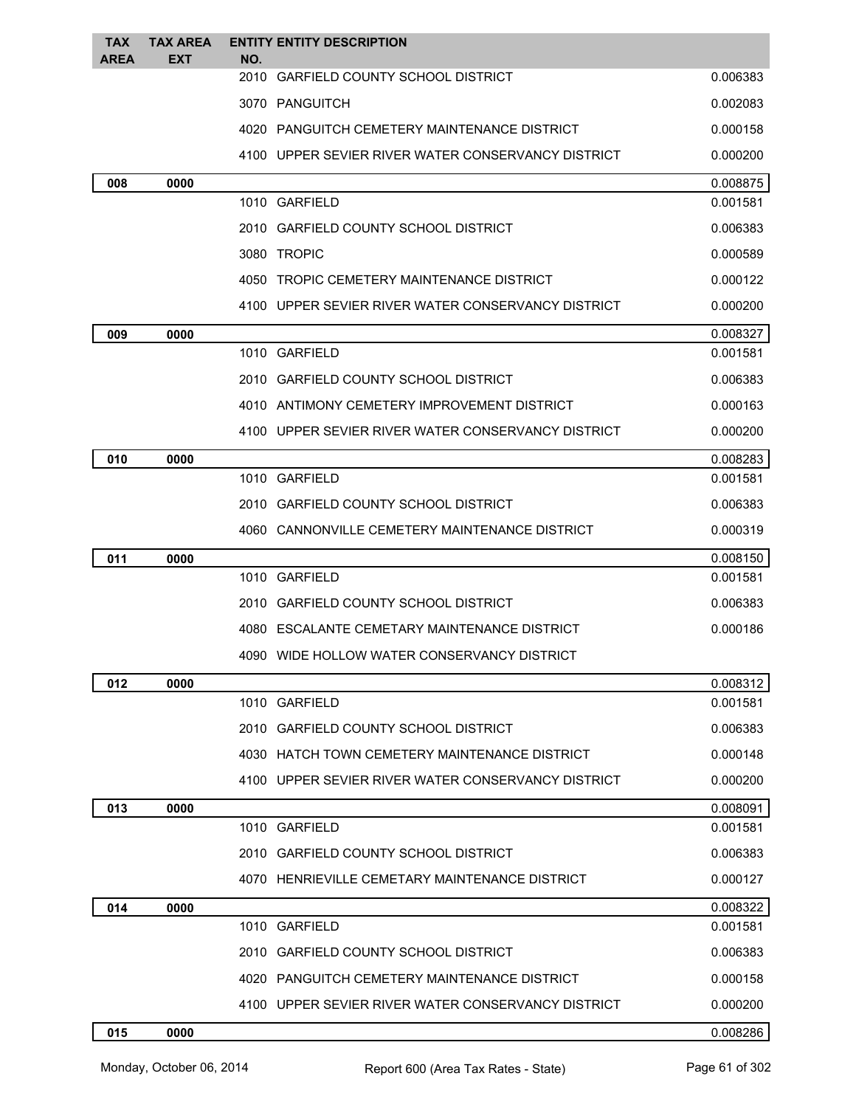| <b>TAX</b><br><b>AREA</b> | <b>TAX AREA</b><br>EXT | <b>ENTITY ENTITY DESCRIPTION</b><br>NO.            |          |
|---------------------------|------------------------|----------------------------------------------------|----------|
|                           |                        | 2010 GARFIELD COUNTY SCHOOL DISTRICT               | 0.006383 |
|                           |                        | 3070 PANGUITCH                                     | 0.002083 |
|                           |                        | 4020 PANGUITCH CEMETERY MAINTENANCE DISTRICT       | 0.000158 |
|                           |                        | 4100 UPPER SEVIER RIVER WATER CONSERVANCY DISTRICT | 0.000200 |
| 008                       | 0000                   |                                                    | 0.008875 |
|                           |                        | 1010 GARFIELD                                      | 0.001581 |
|                           |                        | 2010 GARFIELD COUNTY SCHOOL DISTRICT               | 0.006383 |
|                           |                        | 3080 TROPIC                                        | 0.000589 |
|                           |                        | 4050 TROPIC CEMETERY MAINTENANCE DISTRICT          | 0.000122 |
|                           |                        | 4100 UPPER SEVIER RIVER WATER CONSERVANCY DISTRICT | 0.000200 |
| 009                       | 0000                   |                                                    | 0.008327 |
|                           |                        | 1010 GARFIELD                                      | 0.001581 |
|                           |                        | 2010 GARFIELD COUNTY SCHOOL DISTRICT               | 0.006383 |
|                           |                        | 4010 ANTIMONY CEMETERY IMPROVEMENT DISTRICT        | 0.000163 |
|                           |                        | 4100 UPPER SEVIER RIVER WATER CONSERVANCY DISTRICT | 0.000200 |
| 010                       | 0000                   |                                                    | 0.008283 |
|                           |                        | 1010 GARFIELD                                      | 0.001581 |
|                           |                        | 2010 GARFIELD COUNTY SCHOOL DISTRICT               | 0.006383 |
|                           |                        | 4060 CANNONVILLE CEMETERY MAINTENANCE DISTRICT     | 0.000319 |
| 011                       | 0000                   |                                                    | 0.008150 |
|                           |                        | 1010 GARFIELD                                      | 0.001581 |
|                           |                        | 2010 GARFIELD COUNTY SCHOOL DISTRICT               | 0.006383 |
|                           |                        | 4080 ESCALANTE CEMETARY MAINTENANCE DISTRICT       | 0.000186 |
|                           |                        | 4090 WIDE HOLLOW WATER CONSERVANCY DISTRICT        |          |
| 012                       | 0000                   |                                                    | 0.008312 |
|                           |                        | 1010 GARFIELD                                      | 0.001581 |
|                           |                        | 2010 GARFIELD COUNTY SCHOOL DISTRICT               | 0.006383 |
|                           |                        | 4030 HATCH TOWN CEMETERY MAINTENANCE DISTRICT      | 0.000148 |
|                           |                        | 4100 UPPER SEVIER RIVER WATER CONSERVANCY DISTRICT | 0.000200 |
| 013                       | 0000                   |                                                    | 0.008091 |
|                           |                        | 1010 GARFIELD                                      | 0.001581 |
|                           |                        | 2010 GARFIELD COUNTY SCHOOL DISTRICT               | 0.006383 |
|                           |                        | 4070 HENRIEVILLE CEMETARY MAINTENANCE DISTRICT     | 0.000127 |
| 014                       | 0000                   |                                                    | 0.008322 |
|                           |                        | 1010 GARFIELD                                      | 0.001581 |
|                           |                        | 2010 GARFIELD COUNTY SCHOOL DISTRICT               | 0.006383 |
|                           |                        | 4020 PANGUITCH CEMETERY MAINTENANCE DISTRICT       | 0.000158 |
|                           |                        | 4100 UPPER SEVIER RIVER WATER CONSERVANCY DISTRICT | 0.000200 |
| 015                       | 0000                   |                                                    | 0.008286 |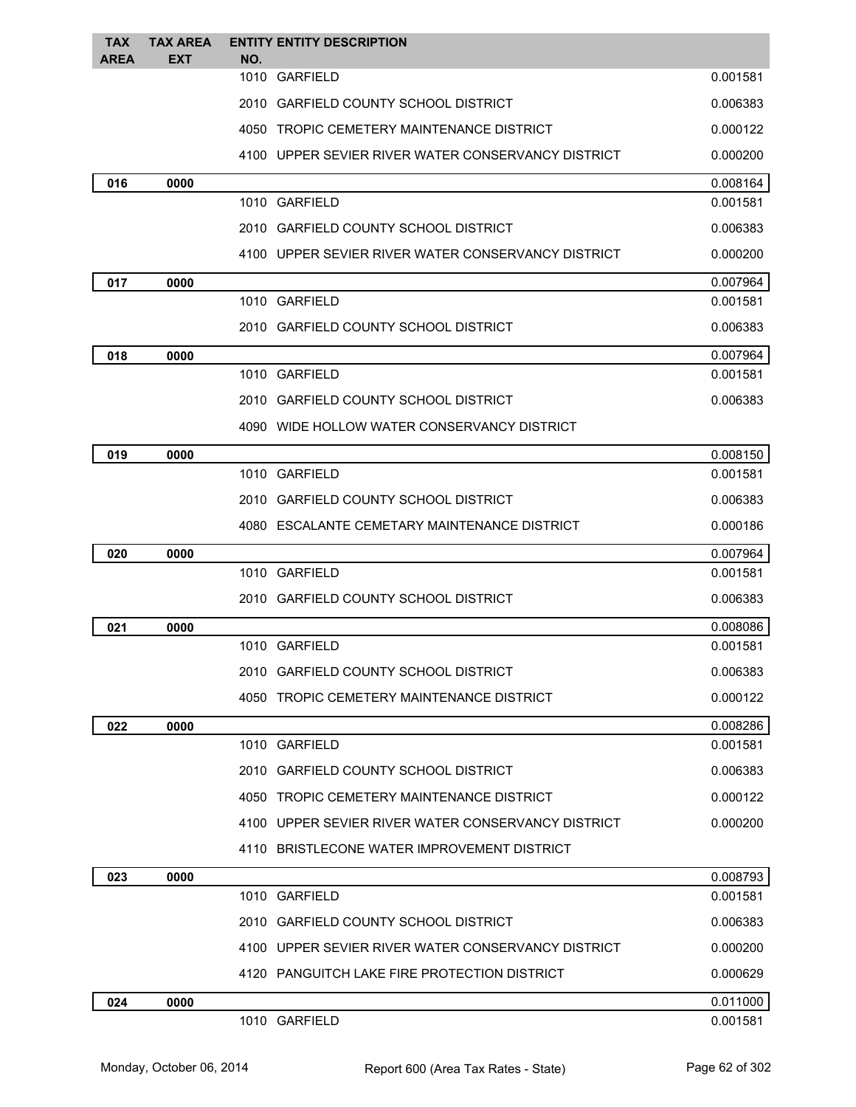| <b>TAX</b> | <b>TAX AREA</b> | <b>ENTITY ENTITY DESCRIPTION</b>                   |          |
|------------|-----------------|----------------------------------------------------|----------|
| AREA       | <b>EXT</b>      | NO.<br>1010 GARFIELD                               | 0.001581 |
|            |                 |                                                    |          |
|            |                 | 2010 GARFIELD COUNTY SCHOOL DISTRICT               | 0.006383 |
|            |                 | 4050 TROPIC CEMETERY MAINTENANCE DISTRICT          | 0.000122 |
|            |                 | 4100 UPPER SEVIER RIVER WATER CONSERVANCY DISTRICT | 0.000200 |
| 016        | 0000            |                                                    | 0.008164 |
|            |                 | 1010 GARFIELD                                      | 0.001581 |
|            |                 | 2010 GARFIELD COUNTY SCHOOL DISTRICT               | 0.006383 |
|            |                 | 4100 UPPER SEVIER RIVER WATER CONSERVANCY DISTRICT | 0.000200 |
| 017        | 0000            |                                                    | 0.007964 |
|            |                 | 1010 GARFIELD                                      | 0.001581 |
|            |                 | 2010 GARFIELD COUNTY SCHOOL DISTRICT               | 0.006383 |
| 018        | 0000            |                                                    | 0.007964 |
|            |                 | 1010 GARFIELD                                      | 0.001581 |
|            |                 | 2010 GARFIELD COUNTY SCHOOL DISTRICT               | 0.006383 |
|            |                 | 4090 WIDE HOLLOW WATER CONSERVANCY DISTRICT        |          |
| 019        | 0000            |                                                    | 0.008150 |
|            |                 | 1010 GARFIELD                                      | 0.001581 |
|            |                 | 2010 GARFIELD COUNTY SCHOOL DISTRICT               | 0.006383 |
|            |                 | 4080 ESCALANTE CEMETARY MAINTENANCE DISTRICT       | 0.000186 |
| 020        | 0000            |                                                    | 0.007964 |
|            |                 | 1010 GARFIELD                                      | 0.001581 |
|            |                 | 2010 GARFIELD COUNTY SCHOOL DISTRICT               | 0.006383 |
| 021        | 0000            |                                                    | 0.008086 |
|            |                 | 1010 GARFIELD                                      | 0.001581 |
|            |                 | 2010 GARFIELD COUNTY SCHOOL DISTRICT               | 0.006383 |
|            |                 | 4050 TROPIC CEMETERY MAINTENANCE DISTRICT          | 0.000122 |
| 022        | 0000            |                                                    | 0.008286 |
|            |                 | 1010 GARFIELD                                      | 0.001581 |
|            |                 | 2010 GARFIELD COUNTY SCHOOL DISTRICT               | 0.006383 |
|            |                 | 4050 TROPIC CEMETERY MAINTENANCE DISTRICT          | 0.000122 |
|            |                 | 4100 UPPER SEVIER RIVER WATER CONSERVANCY DISTRICT | 0.000200 |
|            |                 | 4110 BRISTLECONE WATER IMPROVEMENT DISTRICT        |          |
| 023        | 0000            |                                                    | 0.008793 |
|            |                 | 1010 GARFIELD                                      | 0.001581 |
|            |                 | 2010 GARFIELD COUNTY SCHOOL DISTRICT               | 0.006383 |
|            |                 | 4100 UPPER SEVIER RIVER WATER CONSERVANCY DISTRICT | 0.000200 |
|            |                 | 4120 PANGUITCH LAKE FIRE PROTECTION DISTRICT       | 0.000629 |
| 024        | 0000            |                                                    | 0.011000 |
|            |                 | 1010 GARFIELD                                      | 0.001581 |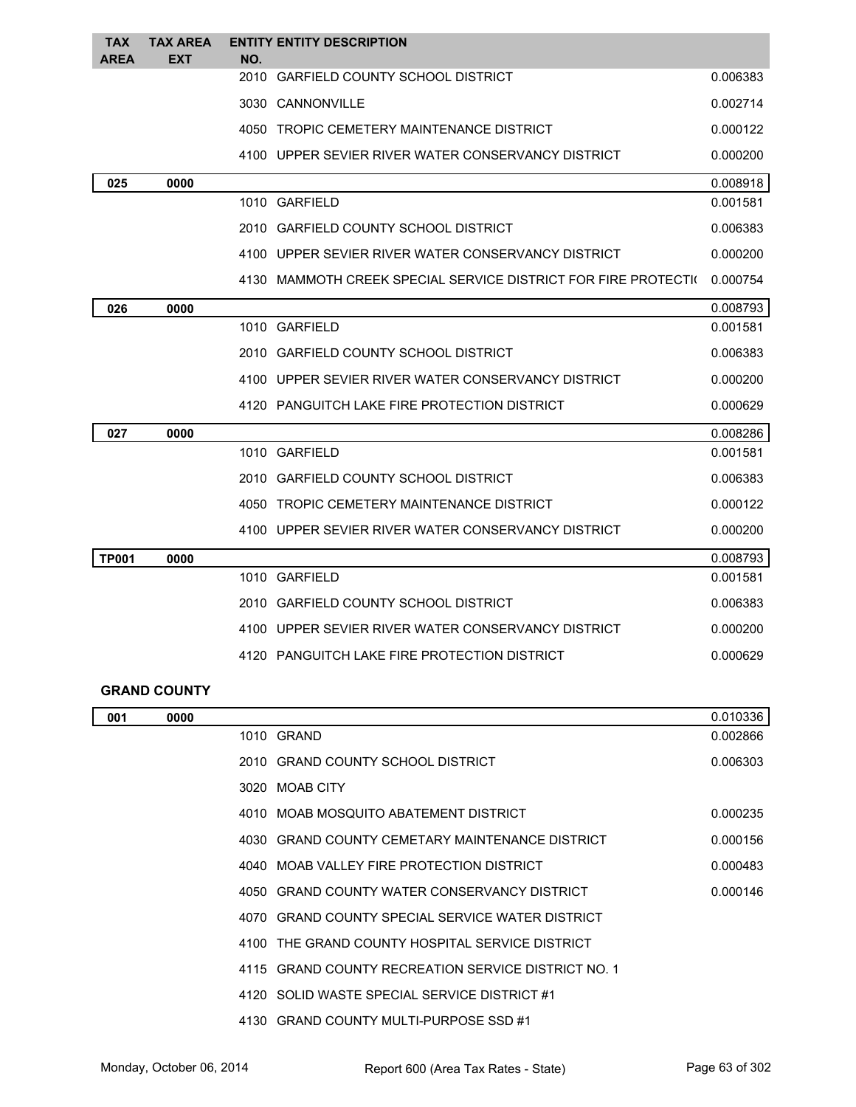| <b>TAX</b><br><b>AREA</b> | <b>TAX AREA</b><br><b>EXT</b> | NO.  | <b>ENTITY ENTITY DESCRIPTION</b>                                |          |
|---------------------------|-------------------------------|------|-----------------------------------------------------------------|----------|
|                           |                               | 2010 | <b>GARFIELD COUNTY SCHOOL DISTRICT</b>                          | 0.006383 |
|                           |                               |      | 3030 CANNONVILLE                                                | 0.002714 |
|                           |                               |      | 4050 TROPIC CEMETERY MAINTENANCE DISTRICT                       | 0.000122 |
|                           |                               |      | 4100 UPPER SEVIER RIVER WATER CONSERVANCY DISTRICT              | 0.000200 |
| 025                       | 0000                          |      |                                                                 | 0.008918 |
|                           |                               |      | 1010 GARFIELD                                                   | 0.001581 |
|                           |                               |      | 2010 GARFIELD COUNTY SCHOOL DISTRICT                            | 0.006383 |
|                           |                               |      | 4100 UPPER SEVIER RIVER WATER CONSERVANCY DISTRICT              | 0.000200 |
|                           |                               |      | 4130 MAMMOTH CREEK SPECIAL SERVICE DISTRICT FOR FIRE PROTECTION | 0.000754 |
| 026                       | 0000                          |      |                                                                 | 0.008793 |
|                           |                               |      | 1010 GARFIELD                                                   | 0.001581 |
|                           |                               |      | 2010 GARFIELD COUNTY SCHOOL DISTRICT                            | 0.006383 |
|                           |                               |      | 4100 UPPER SEVIER RIVER WATER CONSERVANCY DISTRICT              | 0.000200 |
|                           |                               |      | 4120 PANGUITCH LAKE FIRE PROTECTION DISTRICT                    | 0.000629 |
| 027                       | 0000                          |      |                                                                 | 0.008286 |
|                           |                               |      | 1010 GARFIELD                                                   | 0.001581 |
|                           |                               |      | 2010 GARFIELD COUNTY SCHOOL DISTRICT                            | 0.006383 |
|                           |                               |      | 4050 TROPIC CEMETERY MAINTENANCE DISTRICT                       | 0.000122 |
|                           |                               |      | 4100 UPPER SEVIER RIVER WATER CONSERVANCY DISTRICT              | 0.000200 |
| <b>TP001</b>              | 0000                          |      |                                                                 | 0.008793 |
|                           |                               |      | 1010 GARFIELD                                                   | 0.001581 |
|                           |                               |      | 2010 GARFIELD COUNTY SCHOOL DISTRICT                            | 0.006383 |
|                           |                               |      | 4100 UPPER SEVIER RIVER WATER CONSERVANCY DISTRICT              | 0.000200 |
|                           |                               |      | 4120 PANGUITCH LAKE FIRE PROTECTION DISTRICT                    | 0.000629 |
|                           |                               |      |                                                                 |          |

|  | <b>GRAND COUNTY</b> |  |  |  |  |
|--|---------------------|--|--|--|--|
|--|---------------------|--|--|--|--|

| 001 | 0000 |                                                     | 0.010336 |
|-----|------|-----------------------------------------------------|----------|
|     |      | 1010 GRAND                                          | 0.002866 |
|     |      | 2010 GRAND COUNTY SCHOOL DISTRICT                   | 0.006303 |
|     |      | 3020 MOAB CITY                                      |          |
|     |      | 4010 MOAB MOSQUITO ABATEMENT DISTRICT               | 0.000235 |
|     |      | 4030 GRAND COUNTY CEMETARY MAINTENANCE DISTRICT     | 0.000156 |
|     |      | 4040 MOAB VALLEY FIRE PROTECTION DISTRICT           | 0.000483 |
|     |      | 4050 GRAND COUNTY WATER CONSERVANCY DISTRICT        | 0.000146 |
|     |      | 4070 GRAND COUNTY SPECIAL SERVICE WATER DISTRICT    |          |
|     |      | 4100 THE GRAND COUNTY HOSPITAL SERVICE DISTRICT     |          |
|     |      | 4115 GRAND COUNTY RECREATION SERVICE DISTRICT NO. 1 |          |
|     |      | 4120 SOLID WASTE SPECIAL SERVICE DISTRICT #1        |          |
|     |      | 4130 GRAND COUNTY MULTI-PURPOSE SSD #1              |          |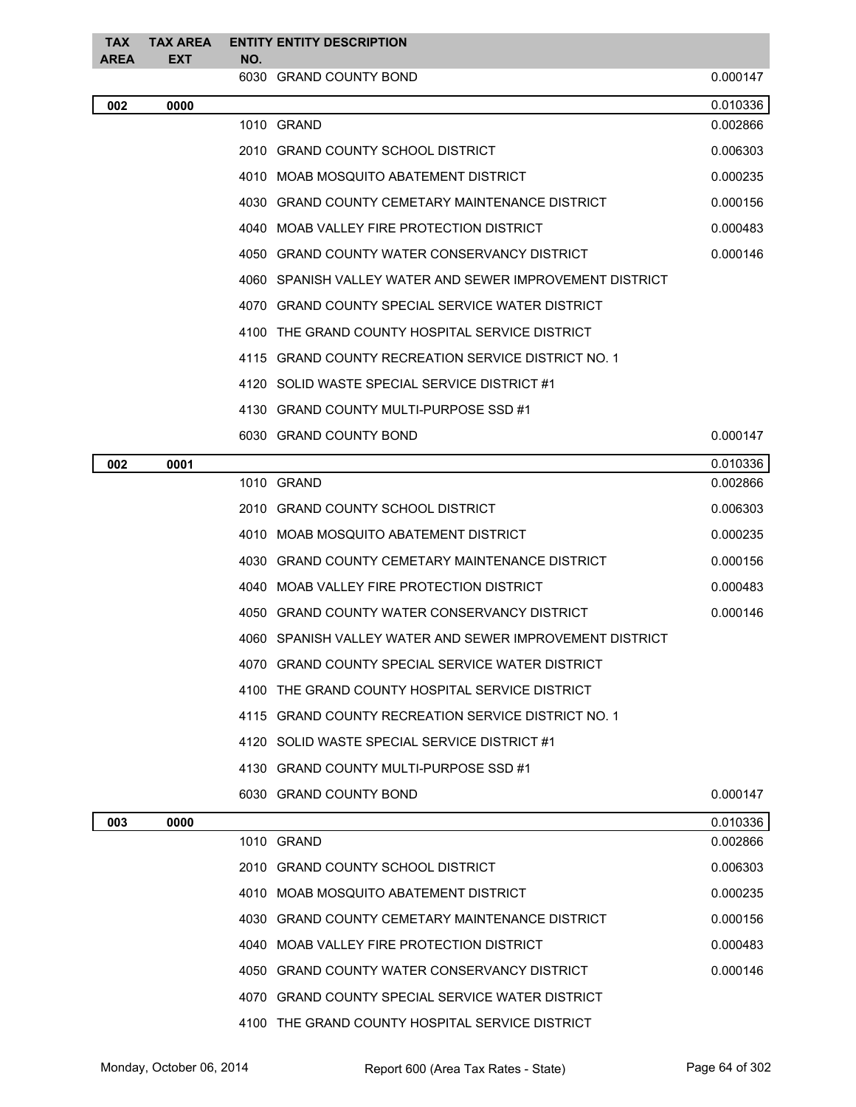| TAX<br><b>AREA</b> | <b>TAX AREA</b><br><b>EXT</b> | NO. | <b>ENTITY ENTITY DESCRIPTION</b>                           |          |
|--------------------|-------------------------------|-----|------------------------------------------------------------|----------|
|                    |                               |     | 6030 GRAND COUNTY BOND                                     | 0.000147 |
| 002                | 0000                          |     |                                                            | 0.010336 |
|                    |                               |     | 1010 GRAND                                                 | 0.002866 |
|                    |                               |     | 2010 GRAND COUNTY SCHOOL DISTRICT                          | 0.006303 |
|                    |                               |     | 4010 MOAB MOSQUITO ABATEMENT DISTRICT                      | 0.000235 |
|                    |                               |     | 4030 GRAND COUNTY CEMETARY MAINTENANCE DISTRICT            | 0.000156 |
|                    |                               |     | 4040 MOAB VALLEY FIRE PROTECTION DISTRICT                  | 0.000483 |
|                    |                               |     | 4050 GRAND COUNTY WATER CONSERVANCY DISTRICT               | 0.000146 |
|                    |                               |     | 4060 SPANISH VALLEY WATER AND SEWER IMPROVEMENT DISTRICT   |          |
|                    |                               |     | 4070 GRAND COUNTY SPECIAL SERVICE WATER DISTRICT           |          |
|                    |                               |     | 4100 THE GRAND COUNTY HOSPITAL SERVICE DISTRICT            |          |
|                    |                               |     | 4115 GRAND COUNTY RECREATION SERVICE DISTRICT NO. 1        |          |
|                    |                               |     | 4120 SOLID WASTE SPECIAL SERVICE DISTRICT #1               |          |
|                    |                               |     | 4130 GRAND COUNTY MULTI-PURPOSE SSD #1                     |          |
|                    |                               |     | 6030 GRAND COUNTY BOND                                     | 0.000147 |
| 002                | 0001                          |     |                                                            | 0.010336 |
|                    |                               |     | 1010 GRAND                                                 | 0.002866 |
|                    |                               |     | 2010 GRAND COUNTY SCHOOL DISTRICT                          | 0.006303 |
|                    |                               |     | 4010 MOAB MOSQUITO ABATEMENT DISTRICT                      | 0.000235 |
|                    |                               |     | 4030 GRAND COUNTY CEMETARY MAINTENANCE DISTRICT            | 0.000156 |
|                    |                               |     | 4040 MOAB VALLEY FIRE PROTECTION DISTRICT                  | 0.000483 |
|                    |                               |     | 4050 GRAND COUNTY WATER CONSERVANCY DISTRICT               | 0.000146 |
|                    |                               |     | 4060   SPANISH VALLEY WATER AND SEWER IMPROVEMENT DISTRICT |          |
|                    |                               |     | 4070 GRAND COUNTY SPECIAL SERVICE WATER DISTRICT           |          |
|                    |                               |     | 4100 THE GRAND COUNTY HOSPITAL SERVICE DISTRICT            |          |
|                    |                               |     | 4115 GRAND COUNTY RECREATION SERVICE DISTRICT NO. 1        |          |
|                    |                               |     | 4120 SOLID WASTE SPECIAL SERVICE DISTRICT #1               |          |
|                    |                               |     | 4130 GRAND COUNTY MULTI-PURPOSE SSD #1                     |          |
|                    |                               |     | 6030 GRAND COUNTY BOND                                     | 0.000147 |
| 003                | 0000                          |     |                                                            | 0.010336 |
|                    |                               |     | 1010 GRAND                                                 | 0.002866 |
|                    |                               |     | 2010 GRAND COUNTY SCHOOL DISTRICT                          | 0.006303 |
|                    |                               |     | 4010 MOAB MOSQUITO ABATEMENT DISTRICT                      | 0.000235 |
|                    |                               |     | 4030 GRAND COUNTY CEMETARY MAINTENANCE DISTRICT            | 0.000156 |
|                    |                               |     | 4040 MOAB VALLEY FIRE PROTECTION DISTRICT                  | 0.000483 |
|                    |                               |     | 4050 GRAND COUNTY WATER CONSERVANCY DISTRICT               | 0.000146 |
|                    |                               |     | 4070 GRAND COUNTY SPECIAL SERVICE WATER DISTRICT           |          |
|                    |                               |     | 4100 THE GRAND COUNTY HOSPITAL SERVICE DISTRICT            |          |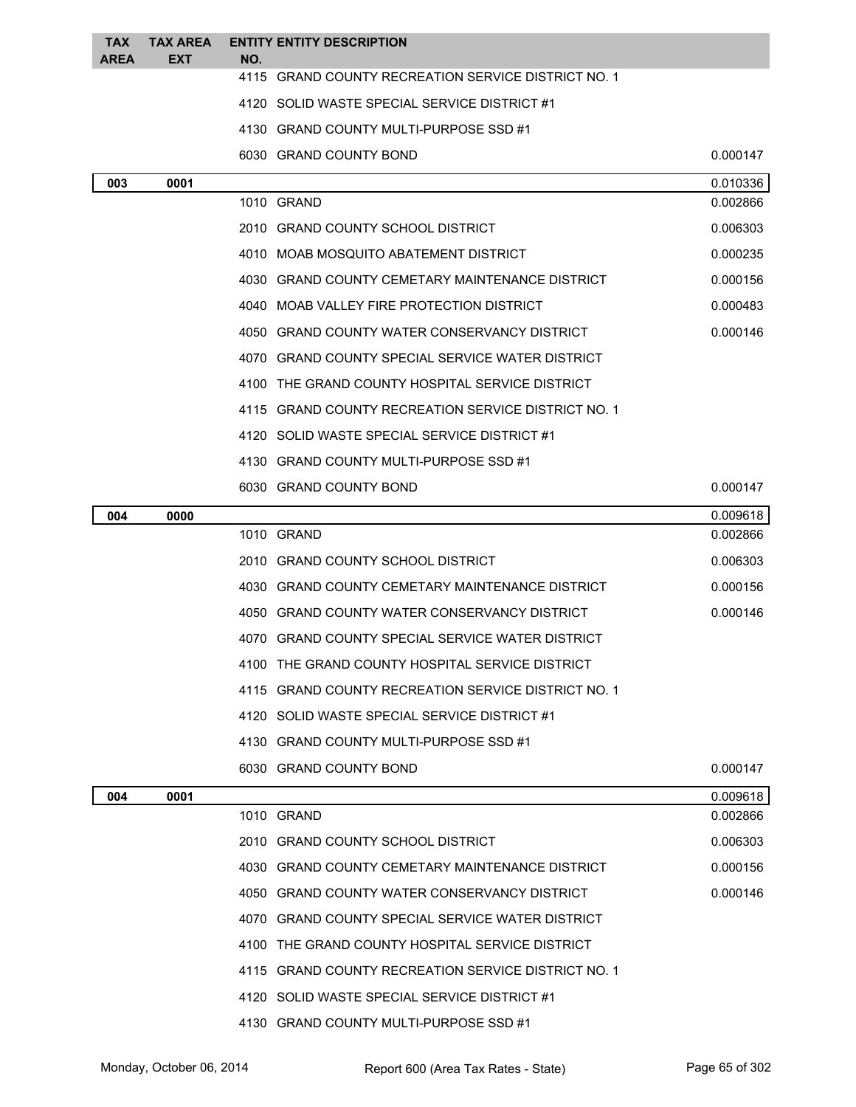| <b>TAX</b><br>AREA | <b>TAX AREA</b><br><b>EXT</b> | <b>ENTITY ENTITY DESCRIPTION</b><br>NO.             |          |
|--------------------|-------------------------------|-----------------------------------------------------|----------|
|                    |                               | 4115 GRAND COUNTY RECREATION SERVICE DISTRICT NO. 1 |          |
|                    |                               | 4120 SOLID WASTE SPECIAL SERVICE DISTRICT #1        |          |
|                    |                               | 4130 GRAND COUNTY MULTI-PURPOSE SSD #1              |          |
|                    |                               | 6030 GRAND COUNTY BOND                              | 0.000147 |
| 003                | 0001                          |                                                     | 0.010336 |
|                    |                               | 1010 GRAND                                          | 0.002866 |
|                    |                               | 2010 GRAND COUNTY SCHOOL DISTRICT                   | 0.006303 |
|                    |                               | 4010 MOAB MOSQUITO ABATEMENT DISTRICT               | 0.000235 |
|                    |                               | 4030 GRAND COUNTY CEMETARY MAINTENANCE DISTRICT     | 0.000156 |
|                    |                               | 4040 MOAB VALLEY FIRE PROTECTION DISTRICT           | 0.000483 |
|                    |                               | 4050 GRAND COUNTY WATER CONSERVANCY DISTRICT        | 0.000146 |
|                    |                               | 4070 GRAND COUNTY SPECIAL SERVICE WATER DISTRICT    |          |
|                    |                               | 4100 THE GRAND COUNTY HOSPITAL SERVICE DISTRICT     |          |
|                    |                               | 4115 GRAND COUNTY RECREATION SERVICE DISTRICT NO. 1 |          |
|                    |                               | 4120 SOLID WASTE SPECIAL SERVICE DISTRICT #1        |          |
|                    |                               | 4130 GRAND COUNTY MULTI-PURPOSE SSD #1              |          |
|                    |                               | 6030 GRAND COUNTY BOND                              | 0.000147 |
| 004                | 0000                          |                                                     | 0.009618 |
|                    |                               | 1010 GRAND                                          | 0.002866 |
|                    |                               | 2010 GRAND COUNTY SCHOOL DISTRICT                   | 0.006303 |
|                    |                               | 4030 GRAND COUNTY CEMETARY MAINTENANCE DISTRICT     | 0.000156 |
|                    |                               | 4050 GRAND COUNTY WATER CONSERVANCY DISTRICT        | 0.000146 |
|                    |                               | 4070 GRAND COUNTY SPECIAL SERVICE WATER DISTRICT    |          |
|                    |                               | 4100 THE GRAND COUNTY HOSPITAL SERVICE DISTRICT     |          |
|                    |                               | 4115 GRAND COUNTY RECREATION SERVICE DISTRICT NO. 1 |          |
|                    |                               | 4120 SOLID WASTE SPECIAL SERVICE DISTRICT #1        |          |
|                    |                               | 4130 GRAND COUNTY MULTI-PURPOSE SSD #1              |          |
|                    |                               | 6030 GRAND COUNTY BOND                              | 0.000147 |
| 004                | 0001                          |                                                     | 0.009618 |
|                    |                               | 1010 GRAND                                          | 0.002866 |
|                    |                               | 2010 GRAND COUNTY SCHOOL DISTRICT                   | 0.006303 |
|                    |                               | 4030 GRAND COUNTY CEMETARY MAINTENANCE DISTRICT     | 0.000156 |
|                    |                               | 4050 GRAND COUNTY WATER CONSERVANCY DISTRICT        | 0.000146 |
|                    |                               | 4070 GRAND COUNTY SPECIAL SERVICE WATER DISTRICT    |          |
|                    |                               | 4100 THE GRAND COUNTY HOSPITAL SERVICE DISTRICT     |          |
|                    |                               | 4115 GRAND COUNTY RECREATION SERVICE DISTRICT NO. 1 |          |
|                    |                               | 4120 SOLID WASTE SPECIAL SERVICE DISTRICT #1        |          |
|                    |                               | 4130 GRAND COUNTY MULTI-PURPOSE SSD #1              |          |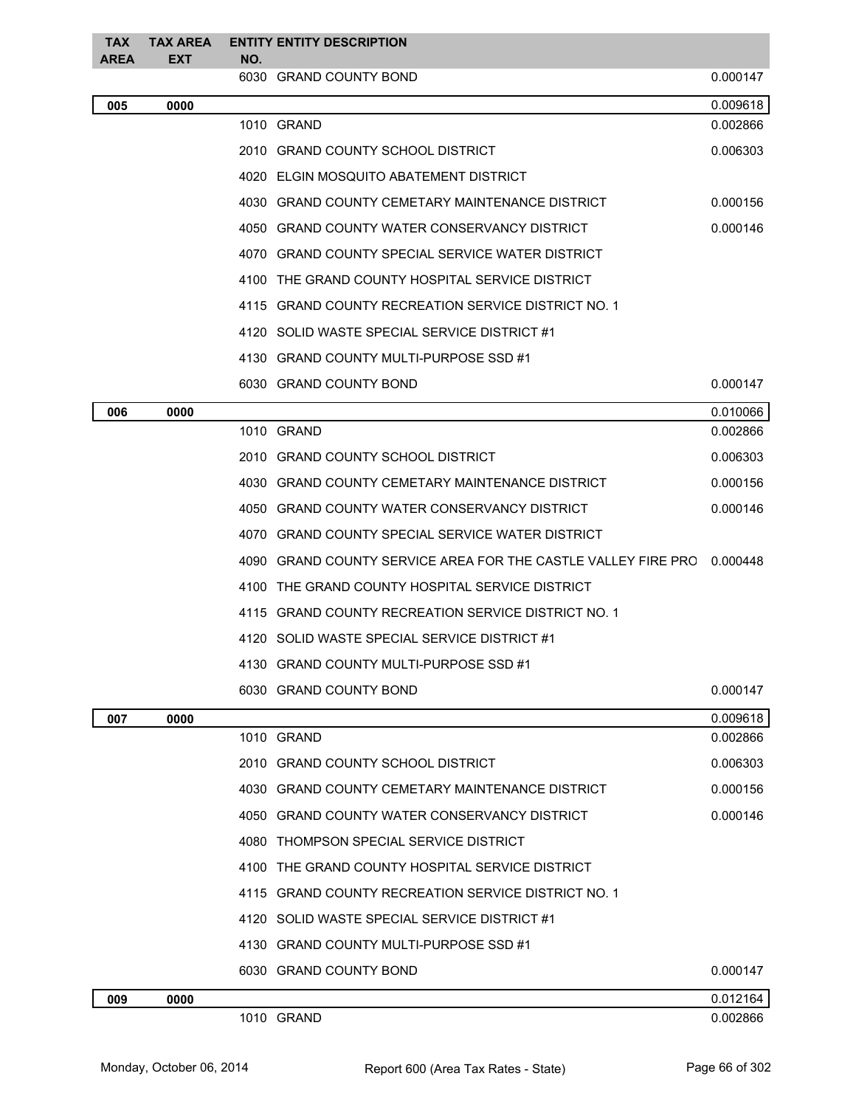| <b>TAX</b><br><b>AREA</b> | <b>TAX AREA</b><br><b>EXT</b> | NO. | <b>ENTITY ENTITY DESCRIPTION</b>                              |          |
|---------------------------|-------------------------------|-----|---------------------------------------------------------------|----------|
|                           |                               |     | 6030 GRAND COUNTY BOND                                        | 0.000147 |
| 005                       | 0000                          |     |                                                               | 0.009618 |
|                           |                               |     | 1010 GRAND                                                    | 0.002866 |
|                           |                               |     | 2010 GRAND COUNTY SCHOOL DISTRICT                             | 0.006303 |
|                           |                               |     | 4020 ELGIN MOSQUITO ABATEMENT DISTRICT                        |          |
|                           |                               |     | 4030 GRAND COUNTY CEMETARY MAINTENANCE DISTRICT               | 0.000156 |
|                           |                               |     | 4050 GRAND COUNTY WATER CONSERVANCY DISTRICT                  | 0.000146 |
|                           |                               |     | 4070 GRAND COUNTY SPECIAL SERVICE WATER DISTRICT              |          |
|                           |                               |     | 4100 THE GRAND COUNTY HOSPITAL SERVICE DISTRICT               |          |
|                           |                               |     | 4115 GRAND COUNTY RECREATION SERVICE DISTRICT NO. 1           |          |
|                           |                               |     | 4120 SOLID WASTE SPECIAL SERVICE DISTRICT #1                  |          |
|                           |                               |     | 4130 GRAND COUNTY MULTI-PURPOSE SSD #1                        |          |
|                           |                               |     | 6030 GRAND COUNTY BOND                                        | 0.000147 |
| 006                       | 0000                          |     |                                                               | 0.010066 |
|                           |                               |     | 1010 GRAND                                                    | 0.002866 |
|                           |                               |     | 2010 GRAND COUNTY SCHOOL DISTRICT                             | 0.006303 |
|                           |                               |     | 4030 GRAND COUNTY CEMETARY MAINTENANCE DISTRICT               | 0.000156 |
|                           |                               |     | 4050 GRAND COUNTY WATER CONSERVANCY DISTRICT                  | 0.000146 |
|                           |                               |     | 4070 GRAND COUNTY SPECIAL SERVICE WATER DISTRICT              |          |
|                           |                               |     | 4090 GRAND COUNTY SERVICE AREA FOR THE CASTLE VALLEY FIRE PRC | 0.000448 |
|                           |                               |     | 4100 THE GRAND COUNTY HOSPITAL SERVICE DISTRICT               |          |
|                           |                               |     | 4115 GRAND COUNTY RECREATION SERVICE DISTRICT NO. 1           |          |
|                           |                               |     | 4120 SOLID WASTE SPECIAL SERVICE DISTRICT #1                  |          |
|                           |                               |     | 4130 GRAND COUNTY MULTI-PURPOSE SSD #1                        |          |
|                           |                               |     | 6030 GRAND COUNTY BOND                                        | 0.000147 |
| 007                       | 0000                          |     |                                                               | 0.009618 |
|                           |                               |     | 1010 GRAND                                                    | 0.002866 |
|                           |                               |     | 2010 GRAND COUNTY SCHOOL DISTRICT                             | 0.006303 |
|                           |                               |     | 4030 GRAND COUNTY CEMETARY MAINTENANCE DISTRICT               | 0.000156 |
|                           |                               |     | 4050 GRAND COUNTY WATER CONSERVANCY DISTRICT                  | 0.000146 |
|                           |                               |     | 4080 THOMPSON SPECIAL SERVICE DISTRICT                        |          |
|                           |                               |     | 4100 THE GRAND COUNTY HOSPITAL SERVICE DISTRICT               |          |
|                           |                               |     | 4115 GRAND COUNTY RECREATION SERVICE DISTRICT NO. 1           |          |
|                           |                               |     | 4120 SOLID WASTE SPECIAL SERVICE DISTRICT #1                  |          |
|                           |                               |     | 4130 GRAND COUNTY MULTI-PURPOSE SSD #1                        |          |
|                           |                               |     | 6030 GRAND COUNTY BOND                                        | 0.000147 |
| 009                       | 0000                          |     |                                                               | 0.012164 |
|                           |                               |     | 1010 GRAND                                                    | 0.002866 |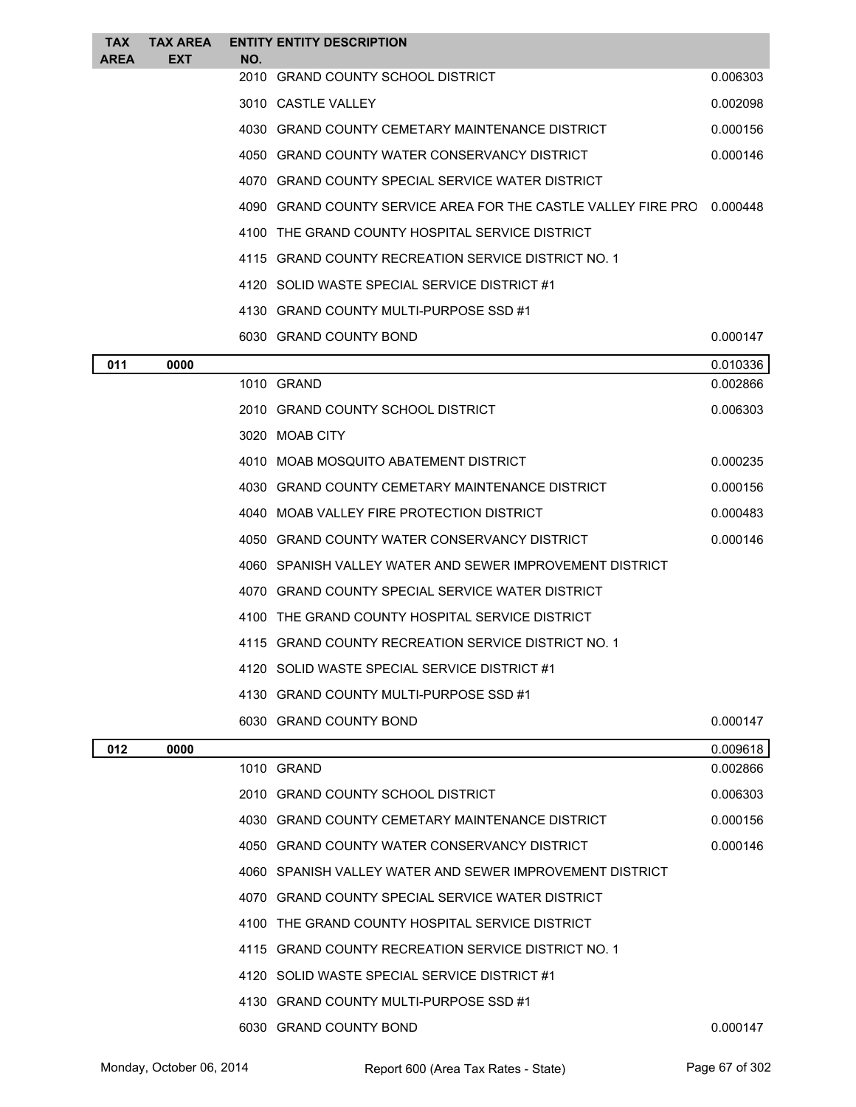| <b>TAX</b> | <b>TAX AREA</b> |     | <b>ENTITY ENTITY DESCRIPTION</b>                              |          |
|------------|-----------------|-----|---------------------------------------------------------------|----------|
| AREA       | EXT             | NO. | 2010 GRAND COUNTY SCHOOL DISTRICT                             | 0.006303 |
|            |                 |     | 3010 CASTLE VALLEY                                            | 0.002098 |
|            |                 |     | 4030 GRAND COUNTY CEMETARY MAINTENANCE DISTRICT               | 0.000156 |
|            |                 |     | 4050 GRAND COUNTY WATER CONSERVANCY DISTRICT                  | 0.000146 |
|            |                 |     | 4070 GRAND COUNTY SPECIAL SERVICE WATER DISTRICT              |          |
|            |                 |     | 4090 GRAND COUNTY SERVICE AREA FOR THE CASTLE VALLEY FIRE PRC | 0.000448 |
|            |                 |     | 4100 THE GRAND COUNTY HOSPITAL SERVICE DISTRICT               |          |
|            |                 |     | 4115 GRAND COUNTY RECREATION SERVICE DISTRICT NO. 1           |          |
|            |                 |     | 4120 SOLID WASTE SPECIAL SERVICE DISTRICT #1                  |          |
|            |                 |     | 4130 GRAND COUNTY MULTI-PURPOSE SSD #1                        |          |
|            |                 |     | 6030 GRAND COUNTY BOND                                        | 0.000147 |
| 011        | 0000            |     |                                                               | 0.010336 |
|            |                 |     | 1010 GRAND                                                    | 0.002866 |
|            |                 |     | 2010 GRAND COUNTY SCHOOL DISTRICT                             | 0.006303 |
|            |                 |     | 3020 MOAB CITY                                                |          |
|            |                 |     | 4010 MOAB MOSQUITO ABATEMENT DISTRICT                         | 0.000235 |
|            |                 |     | 4030 GRAND COUNTY CEMETARY MAINTENANCE DISTRICT               | 0.000156 |
|            |                 |     | 4040 MOAB VALLEY FIRE PROTECTION DISTRICT                     | 0.000483 |
|            |                 |     | 4050 GRAND COUNTY WATER CONSERVANCY DISTRICT                  | 0.000146 |
|            |                 |     | 4060 SPANISH VALLEY WATER AND SEWER IMPROVEMENT DISTRICT      |          |
|            |                 |     | 4070 GRAND COUNTY SPECIAL SERVICE WATER DISTRICT              |          |
|            |                 |     | 4100 THE GRAND COUNTY HOSPITAL SERVICE DISTRICT               |          |
|            |                 |     | 4115 GRAND COUNTY RECREATION SERVICE DISTRICT NO. 1           |          |
|            |                 |     | 4120 SOLID WASTE SPECIAL SERVICE DISTRICT #1                  |          |
|            |                 |     | 4130 GRAND COUNTY MULTI-PURPOSE SSD #1                        |          |
|            |                 |     | 6030 GRAND COUNTY BOND                                        | 0.000147 |
| 012        | 0000            |     |                                                               | 0.009618 |
|            |                 |     | 1010 GRAND                                                    | 0.002866 |
|            |                 |     | 2010 GRAND COUNTY SCHOOL DISTRICT                             | 0.006303 |
|            |                 |     | 4030 GRAND COUNTY CEMETARY MAINTENANCE DISTRICT               | 0.000156 |
|            |                 |     | 4050 GRAND COUNTY WATER CONSERVANCY DISTRICT                  | 0.000146 |
|            |                 |     | 4060 SPANISH VALLEY WATER AND SEWER IMPROVEMENT DISTRICT      |          |
|            |                 |     | 4070 GRAND COUNTY SPECIAL SERVICE WATER DISTRICT              |          |
|            |                 |     | 4100 THE GRAND COUNTY HOSPITAL SERVICE DISTRICT               |          |
|            |                 |     | 4115 GRAND COUNTY RECREATION SERVICE DISTRICT NO. 1           |          |
|            |                 |     | 4120 SOLID WASTE SPECIAL SERVICE DISTRICT #1                  |          |
|            |                 |     | 4130 GRAND COUNTY MULTI-PURPOSE SSD #1                        |          |
|            |                 |     | 6030 GRAND COUNTY BOND                                        | 0.000147 |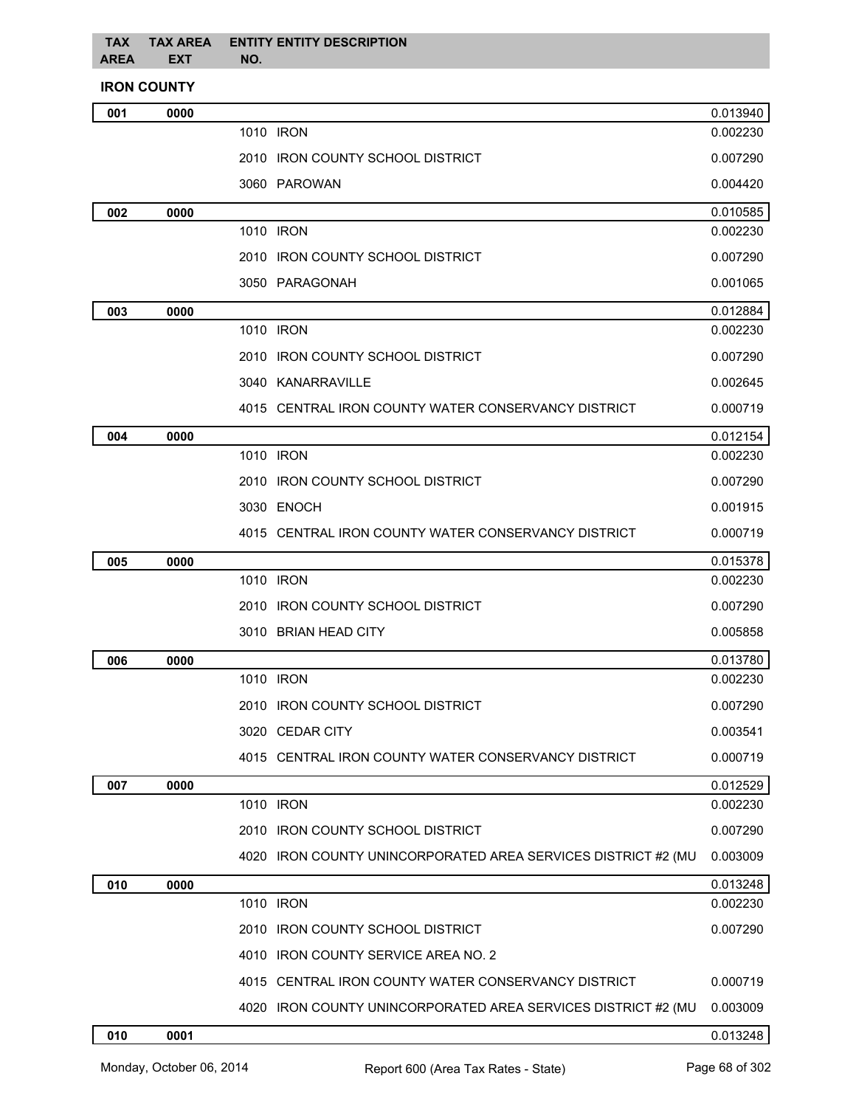#### **TAX AREA TAX AREA EXT ENTITY ENTITY DESCRIPTION NO.**

### **IRON COUNTY**

| 001 | 0000 |                                                               | 0.013940 |
|-----|------|---------------------------------------------------------------|----------|
|     |      | 1010 IRON                                                     | 0.002230 |
|     |      | 2010 IRON COUNTY SCHOOL DISTRICT                              | 0.007290 |
|     |      | 3060 PAROWAN                                                  | 0.004420 |
| 002 | 0000 |                                                               | 0.010585 |
|     |      | 1010 IRON                                                     | 0.002230 |
|     |      | 2010 IRON COUNTY SCHOOL DISTRICT                              | 0.007290 |
|     |      | 3050 PARAGONAH                                                | 0.001065 |
| 003 | 0000 |                                                               | 0.012884 |
|     |      | 1010 IRON                                                     | 0.002230 |
|     |      | 2010 IRON COUNTY SCHOOL DISTRICT                              | 0.007290 |
|     |      | 3040 KANARRAVILLE                                             | 0.002645 |
|     |      | 4015 CENTRAL IRON COUNTY WATER CONSERVANCY DISTRICT           | 0.000719 |
| 004 | 0000 |                                                               | 0.012154 |
|     |      | 1010 IRON                                                     | 0.002230 |
|     |      | 2010 IRON COUNTY SCHOOL DISTRICT                              | 0.007290 |
|     |      | 3030 ENOCH                                                    | 0.001915 |
|     |      | 4015 CENTRAL IRON COUNTY WATER CONSERVANCY DISTRICT           | 0.000719 |
| 005 | 0000 |                                                               | 0.015378 |
|     |      | 1010 IRON                                                     | 0.002230 |
|     |      | 2010 IRON COUNTY SCHOOL DISTRICT                              | 0.007290 |
|     |      | 3010 BRIAN HEAD CITY                                          | 0.005858 |
| 006 | 0000 |                                                               | 0.013780 |
|     |      | 1010 IRON                                                     | 0.002230 |
|     |      | 2010 IRON COUNTY SCHOOL DISTRICT                              | 0.007290 |
|     |      | 3020 CEDAR CITY                                               | 0.003541 |
|     |      | 4015 CENTRAL IRON COUNTY WATER CONSERVANCY DISTRICT           | 0.000719 |
| 007 | 0000 |                                                               | 0.012529 |
|     |      | 1010 IRON                                                     | 0.002230 |
|     |      | 2010 IRON COUNTY SCHOOL DISTRICT                              | 0.007290 |
|     |      | 4020 IRON COUNTY UNINCORPORATED AREA SERVICES DISTRICT #2 (MU | 0.003009 |
| 010 | 0000 |                                                               | 0.013248 |
|     |      | 1010 IRON                                                     | 0.002230 |
|     |      | 2010 IRON COUNTY SCHOOL DISTRICT                              | 0.007290 |
|     |      | 4010 IRON COUNTY SERVICE AREA NO. 2                           |          |
|     |      | 4015 CENTRAL IRON COUNTY WATER CONSERVANCY DISTRICT           | 0.000719 |
|     |      | 4020 IRON COUNTY UNINCORPORATED AREA SERVICES DISTRICT #2 (MU | 0.003009 |
| 010 | 0001 |                                                               | 0.013248 |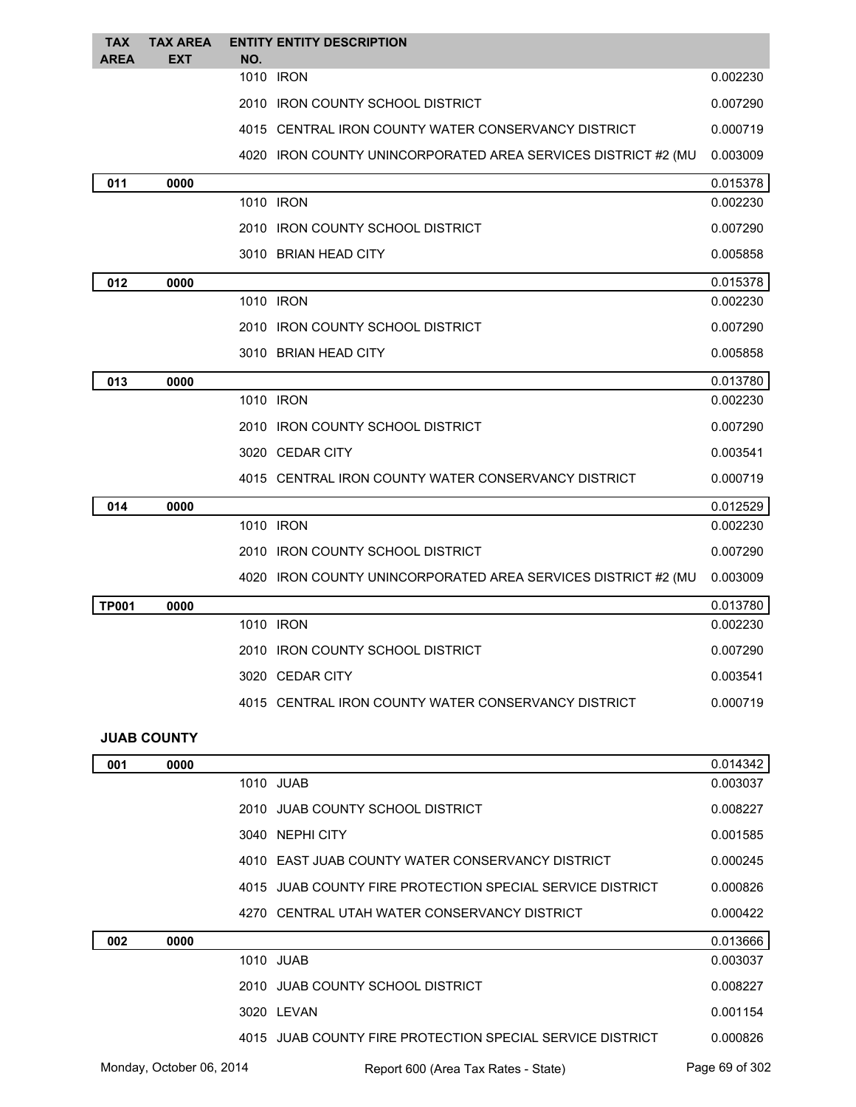| <b>TAX</b><br><b>AREA</b> | <b>TAX AREA</b><br><b>EXT</b> | NO. | <b>ENTITY ENTITY DESCRIPTION</b>                              |          |
|---------------------------|-------------------------------|-----|---------------------------------------------------------------|----------|
|                           |                               |     | 1010 IRON                                                     | 0.002230 |
|                           |                               |     | 2010 IRON COUNTY SCHOOL DISTRICT                              | 0.007290 |
|                           |                               |     | 4015 CENTRAL IRON COUNTY WATER CONSERVANCY DISTRICT           | 0.000719 |
|                           |                               |     | 4020 IRON COUNTY UNINCORPORATED AREA SERVICES DISTRICT #2 (MU | 0.003009 |
| 011                       | 0000                          |     |                                                               | 0.015378 |
|                           |                               |     | 1010 IRON                                                     | 0.002230 |
|                           |                               |     | 2010 IRON COUNTY SCHOOL DISTRICT                              | 0.007290 |
|                           |                               |     | 3010 BRIAN HEAD CITY                                          | 0.005858 |
| 012                       | 0000                          |     |                                                               | 0.015378 |
|                           |                               |     | 1010 IRON                                                     | 0.002230 |
|                           |                               |     | 2010 IRON COUNTY SCHOOL DISTRICT                              | 0.007290 |
|                           |                               |     | 3010 BRIAN HEAD CITY                                          | 0.005858 |
| 013                       | 0000                          |     |                                                               | 0.013780 |
|                           |                               |     | 1010 IRON                                                     | 0.002230 |
|                           |                               |     | 2010 IRON COUNTY SCHOOL DISTRICT                              | 0.007290 |
|                           |                               |     | 3020 CEDAR CITY                                               | 0.003541 |
|                           |                               |     | 4015 CENTRAL IRON COUNTY WATER CONSERVANCY DISTRICT           | 0.000719 |
| 014                       | 0000                          |     |                                                               | 0.012529 |
|                           |                               |     | 1010 IRON                                                     | 0.002230 |
|                           |                               |     | 2010 IRON COUNTY SCHOOL DISTRICT                              | 0.007290 |
|                           |                               |     | 4020 IRON COUNTY UNINCORPORATED AREA SERVICES DISTRICT #2 (MU | 0.003009 |
| <b>TP001</b>              | 0000                          |     |                                                               | 0.013780 |
|                           |                               |     | 1010 <b>IRON</b>                                              | 0.002230 |
|                           |                               |     | 2010 IRON COUNTY SCHOOL DISTRICT                              | 0.007290 |
|                           |                               |     | 3020 CEDAR CITY                                               | 0.003541 |
|                           |                               |     | 4015 CENTRAL IRON COUNTY WATER CONSERVANCY DISTRICT           | 0.000719 |
|                           | <b>JUAB COUNTY</b>            |     |                                                               |          |

| 001 | 0000                     |                                                           | 0.014342       |
|-----|--------------------------|-----------------------------------------------------------|----------------|
|     |                          | 1010 JUAB                                                 | 0.003037       |
|     |                          | 2010 JUAB COUNTY SCHOOL DISTRICT                          | 0.008227       |
|     |                          | 3040 NEPHI CITY                                           | 0.001585       |
|     |                          | 4010 EAST JUAB COUNTY WATER CONSERVANCY DISTRICT          | 0.000245       |
|     |                          | 4015 JUAB COUNTY FIRE PROTECTION SPECIAL SERVICE DISTRICT | 0.000826       |
|     |                          | 4270 CENTRAL UTAH WATER CONSERVANCY DISTRICT              | 0.000422       |
| 002 | 0000                     |                                                           | 0.013666       |
|     |                          | 1010 JUAB                                                 | 0.003037       |
|     |                          | 2010 JUAB COUNTY SCHOOL DISTRICT                          | 0.008227       |
|     |                          | 3020 LEVAN                                                | 0.001154       |
|     |                          | 4015 JUAB COUNTY FIRE PROTECTION SPECIAL SERVICE DISTRICT | 0.000826       |
|     | Monday, October 06, 2014 | Report 600 (Area Tax Rates - State)                       | Page 69 of 302 |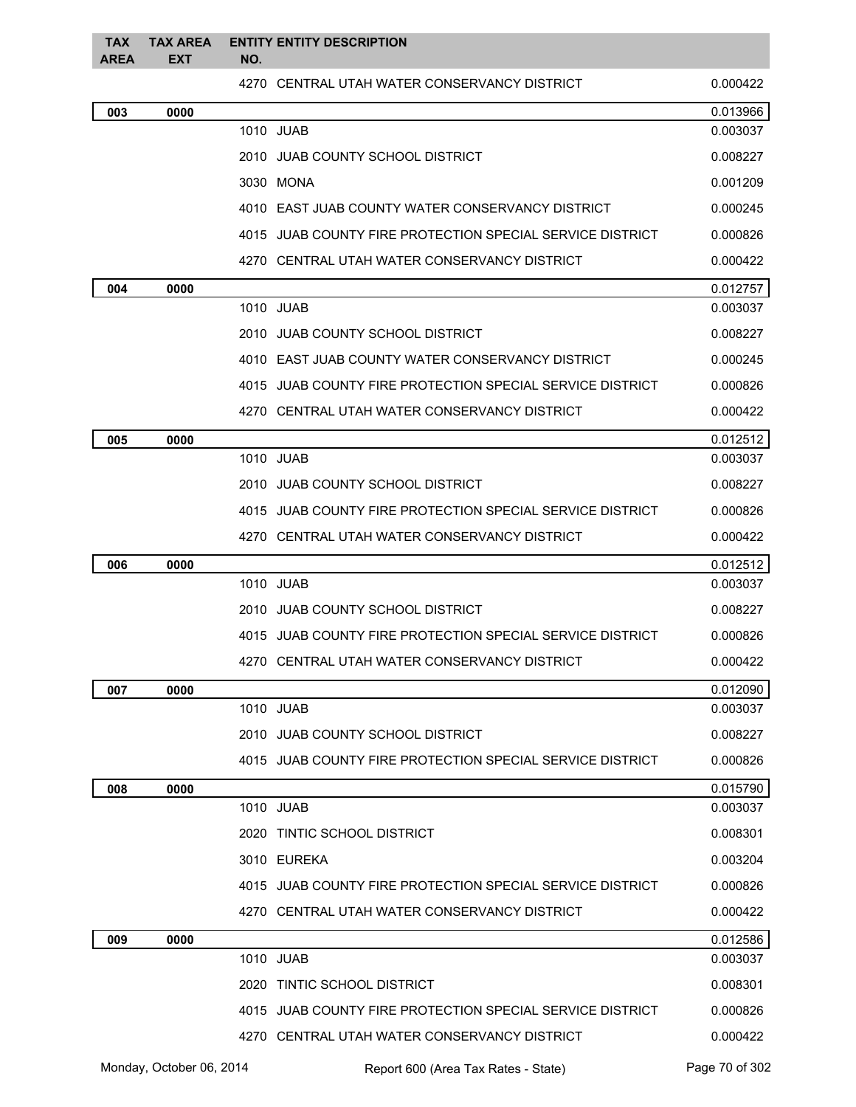| <b>TAX</b><br><b>AREA</b> | <b>TAX AREA</b><br>EXT | <b>ENTITY ENTITY DESCRIPTION</b><br>NO.                   |          |
|---------------------------|------------------------|-----------------------------------------------------------|----------|
|                           |                        | 4270 CENTRAL UTAH WATER CONSERVANCY DISTRICT              | 0.000422 |
| 003                       | 0000                   |                                                           | 0.013966 |
|                           |                        | 1010 JUAB                                                 | 0.003037 |
|                           |                        | 2010 JUAB COUNTY SCHOOL DISTRICT                          | 0.008227 |
|                           |                        | 3030 MONA                                                 | 0.001209 |
|                           |                        | 4010 EAST JUAB COUNTY WATER CONSERVANCY DISTRICT          | 0.000245 |
|                           |                        | 4015 JUAB COUNTY FIRE PROTECTION SPECIAL SERVICE DISTRICT | 0.000826 |
|                           |                        | 4270 CENTRAL UTAH WATER CONSERVANCY DISTRICT              | 0.000422 |
| 004                       | 0000                   |                                                           | 0.012757 |
|                           |                        | 1010 JUAB                                                 | 0.003037 |
|                           |                        | 2010 JUAB COUNTY SCHOOL DISTRICT                          | 0.008227 |
|                           |                        | 4010 EAST JUAB COUNTY WATER CONSERVANCY DISTRICT          | 0.000245 |
|                           |                        | 4015 JUAB COUNTY FIRE PROTECTION SPECIAL SERVICE DISTRICT | 0.000826 |
|                           |                        | 4270 CENTRAL UTAH WATER CONSERVANCY DISTRICT              | 0.000422 |
| 005                       | 0000                   |                                                           | 0.012512 |
|                           |                        | 1010 JUAB                                                 | 0.003037 |
|                           |                        | 2010 JUAB COUNTY SCHOOL DISTRICT                          | 0.008227 |
|                           |                        | 4015 JUAB COUNTY FIRE PROTECTION SPECIAL SERVICE DISTRICT | 0.000826 |
|                           |                        | 4270 CENTRAL UTAH WATER CONSERVANCY DISTRICT              | 0.000422 |
| 006                       | 0000                   |                                                           | 0.012512 |
|                           |                        | 1010 JUAB                                                 | 0.003037 |
|                           |                        | 2010 JUAB COUNTY SCHOOL DISTRICT                          | 0.008227 |
|                           |                        | 4015 JUAB COUNTY FIRE PROTECTION SPECIAL SERVICE DISTRICT | 0.000826 |
|                           |                        | 4270 CENTRAL UTAH WATER CONSERVANCY DISTRICT              | 0.000422 |
| 007                       | 0000                   |                                                           | 0.012090 |
|                           |                        | 1010 JUAB                                                 | 0.003037 |
|                           |                        | 2010 JUAB COUNTY SCHOOL DISTRICT                          | 0.008227 |
|                           |                        | 4015 JUAB COUNTY FIRE PROTECTION SPECIAL SERVICE DISTRICT | 0.000826 |
| 008                       | 0000                   |                                                           | 0.015790 |
|                           |                        | 1010 JUAB                                                 | 0.003037 |
|                           |                        | 2020 TINTIC SCHOOL DISTRICT                               | 0.008301 |
|                           |                        | 3010 EUREKA                                               | 0.003204 |
|                           |                        | 4015 JUAB COUNTY FIRE PROTECTION SPECIAL SERVICE DISTRICT | 0.000826 |
|                           |                        | 4270 CENTRAL UTAH WATER CONSERVANCY DISTRICT              | 0.000422 |
| 009                       | 0000                   |                                                           | 0.012586 |
|                           |                        | 1010 JUAB                                                 | 0.003037 |
|                           |                        | 2020 TINTIC SCHOOL DISTRICT                               | 0.008301 |
|                           |                        | 4015 JUAB COUNTY FIRE PROTECTION SPECIAL SERVICE DISTRICT | 0.000826 |
|                           |                        | 4270 CENTRAL UTAH WATER CONSERVANCY DISTRICT              | 0.000422 |
|                           |                        |                                                           |          |

Monday, October 06, 2014 Report 600 (Area Tax Rates - State) Rage 70 of 302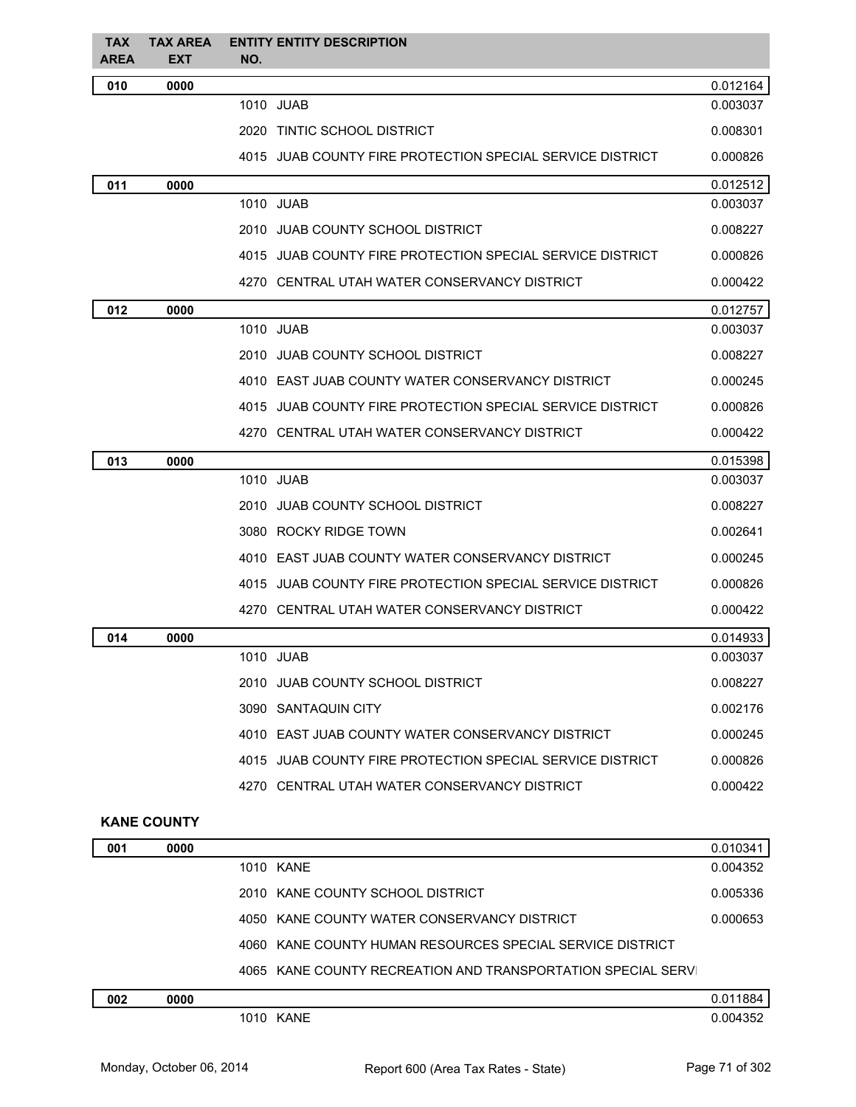| <b>TAX</b><br><b>AREA</b> | <b>TAX AREA</b><br><b>EXT</b> | <b>ENTITY ENTITY DESCRIPTION</b><br>NO.                     |          |
|---------------------------|-------------------------------|-------------------------------------------------------------|----------|
| 010                       | 0000                          |                                                             | 0.012164 |
|                           |                               | 1010 JUAB                                                   | 0.003037 |
|                           |                               | 2020 TINTIC SCHOOL DISTRICT                                 | 0.008301 |
|                           |                               | 4015 JUAB COUNTY FIRE PROTECTION SPECIAL SERVICE DISTRICT   | 0.000826 |
| 011                       | 0000                          |                                                             | 0.012512 |
|                           |                               | 1010 JUAB                                                   | 0.003037 |
|                           |                               | 2010 JUAB COUNTY SCHOOL DISTRICT                            | 0.008227 |
|                           |                               | 4015 JUAB COUNTY FIRE PROTECTION SPECIAL SERVICE DISTRICT   | 0.000826 |
|                           |                               | 4270 CENTRAL UTAH WATER CONSERVANCY DISTRICT                | 0.000422 |
| 012                       | 0000                          |                                                             | 0.012757 |
|                           |                               | 1010 JUAB                                                   | 0.003037 |
|                           |                               | 2010 JUAB COUNTY SCHOOL DISTRICT                            | 0.008227 |
|                           |                               | 4010 EAST JUAB COUNTY WATER CONSERVANCY DISTRICT            | 0.000245 |
|                           |                               | 4015 JUAB COUNTY FIRE PROTECTION SPECIAL SERVICE DISTRICT   | 0.000826 |
|                           |                               | 4270 CENTRAL UTAH WATER CONSERVANCY DISTRICT                | 0.000422 |
| 013                       | 0000                          |                                                             | 0.015398 |
|                           |                               | 1010 JUAB                                                   | 0.003037 |
|                           |                               | 2010 JUAB COUNTY SCHOOL DISTRICT                            | 0.008227 |
|                           |                               | 3080 ROCKY RIDGE TOWN                                       | 0.002641 |
|                           |                               | 4010 EAST JUAB COUNTY WATER CONSERVANCY DISTRICT            | 0.000245 |
|                           |                               | 4015 JUAB COUNTY FIRE PROTECTION SPECIAL SERVICE DISTRICT   | 0.000826 |
|                           |                               | 4270 CENTRAL UTAH WATER CONSERVANCY DISTRICT                | 0.000422 |
| 014                       | 0000                          |                                                             | 0.014933 |
|                           |                               | 1010 JUAB                                                   | 0.003037 |
|                           |                               | 2010 JUAB COUNTY SCHOOL DISTRICT                            | 0.008227 |
|                           |                               | 3090 SANTAQUIN CITY                                         | 0.002176 |
|                           |                               | 4010 EAST JUAB COUNTY WATER CONSERVANCY DISTRICT            | 0.000245 |
|                           |                               | 4015 JUAB COUNTY FIRE PROTECTION SPECIAL SERVICE DISTRICT   | 0.000826 |
|                           |                               | 4270 CENTRAL UTAH WATER CONSERVANCY DISTRICT                | 0.000422 |
|                           | <b>KANE COUNTY</b>            |                                                             |          |
| 001                       | 0000                          |                                                             | 0.010341 |
|                           |                               | 1010 KANE                                                   | 0.004352 |
|                           |                               | 2010 KANE COUNTY SCHOOL DISTRICT                            | 0.005336 |
|                           |                               | 4050 KANE COUNTY WATER CONSERVANCY DISTRICT                 | 0.000653 |
|                           |                               | 4060 KANE COUNTY HUMAN RESOURCES SPECIAL SERVICE DISTRICT   |          |
|                           |                               | 4065 KANE COUNTY RECREATION AND TRANSPORTATION SPECIAL SERV |          |
| 002                       | 0000                          |                                                             | 0.011884 |

| 002 | 0000 |      | 1884     |
|-----|------|------|----------|
|     | 1010 | KANF | 0.004352 |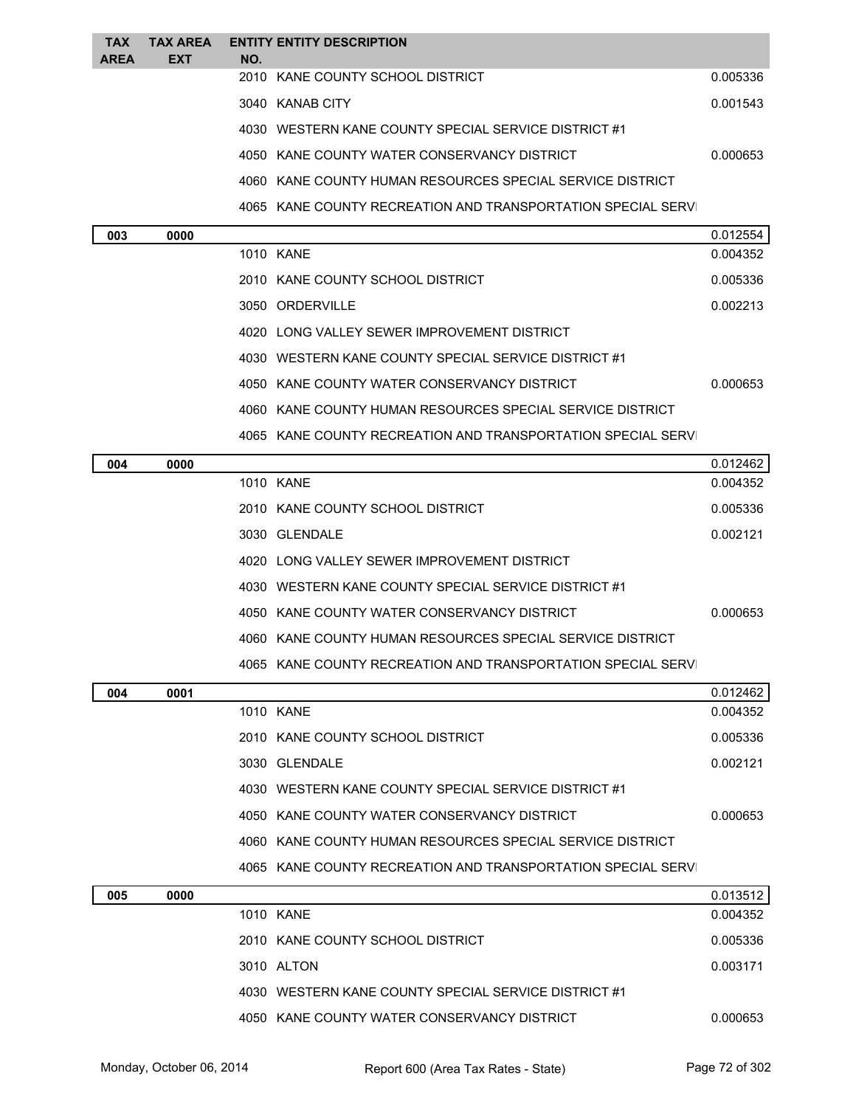| <b>TAX</b> | <b>TAX AREA</b> |     | <b>ENTITY ENTITY DESCRIPTION</b>                            |                      |
|------------|-----------------|-----|-------------------------------------------------------------|----------------------|
| AREA       | <b>EXT</b>      | NO. | 2010 KANE COUNTY SCHOOL DISTRICT                            | 0.005336             |
|            |                 |     | 3040 KANAB CITY                                             | 0.001543             |
|            |                 |     | 4030 WESTERN KANE COUNTY SPECIAL SERVICE DISTRICT #1        |                      |
|            |                 |     | 4050 KANE COUNTY WATER CONSERVANCY DISTRICT                 | 0.000653             |
|            |                 |     | 4060 KANE COUNTY HUMAN RESOURCES SPECIAL SERVICE DISTRICT   |                      |
|            |                 |     |                                                             |                      |
|            |                 |     | 4065 KANE COUNTY RECREATION AND TRANSPORTATION SPECIAL SERV |                      |
| 003        | 0000            |     | 1010 KANE                                                   | 0.012554<br>0.004352 |
|            |                 |     | 2010 KANE COUNTY SCHOOL DISTRICT                            | 0.005336             |
|            |                 |     | 3050 ORDERVILLE                                             | 0.002213             |
|            |                 |     | 4020 LONG VALLEY SEWER IMPROVEMENT DISTRICT                 |                      |
|            |                 |     | 4030 WESTERN KANE COUNTY SPECIAL SERVICE DISTRICT #1        |                      |
|            |                 |     | 4050 KANE COUNTY WATER CONSERVANCY DISTRICT                 | 0.000653             |
|            |                 |     | 4060 KANE COUNTY HUMAN RESOURCES SPECIAL SERVICE DISTRICT   |                      |
|            |                 |     | 4065 KANE COUNTY RECREATION AND TRANSPORTATION SPECIAL SERV |                      |
|            | 0000            |     |                                                             |                      |
| 004        |                 |     | 1010 KANE                                                   | 0.012462<br>0.004352 |
|            |                 |     | 2010 KANE COUNTY SCHOOL DISTRICT                            | 0.005336             |
|            |                 |     | 3030 GLENDALE                                               | 0.002121             |
|            |                 |     | 4020 LONG VALLEY SEWER IMPROVEMENT DISTRICT                 |                      |
|            |                 |     | 4030 WESTERN KANE COUNTY SPECIAL SERVICE DISTRICT #1        |                      |
|            |                 |     | 4050 KANE COUNTY WATER CONSERVANCY DISTRICT                 | 0.000653             |
|            |                 |     | 4060 KANE COUNTY HUMAN RESOURCES SPECIAL SERVICE DISTRICT   |                      |
|            |                 |     | 4065 KANE COUNTY RECREATION AND TRANSPORTATION SPECIAL SERV |                      |
| 004        | 0001            |     |                                                             | 0.012462             |
|            |                 |     | 1010 KANE                                                   | 0.004352             |
|            |                 |     | 2010 KANE COUNTY SCHOOL DISTRICT                            | 0.005336             |
|            |                 |     | 3030 GLENDALE                                               | 0.002121             |
|            |                 |     | 4030 WESTERN KANE COUNTY SPECIAL SERVICE DISTRICT #1        |                      |
|            |                 |     | 4050 KANE COUNTY WATER CONSERVANCY DISTRICT                 | 0.000653             |
|            |                 |     | 4060 KANE COUNTY HUMAN RESOURCES SPECIAL SERVICE DISTRICT   |                      |
|            |                 |     | 4065 KANE COUNTY RECREATION AND TRANSPORTATION SPECIAL SERV |                      |
| 005        | 0000            |     |                                                             | 0.013512             |
|            |                 |     | 1010 KANF                                                   | 0.004352             |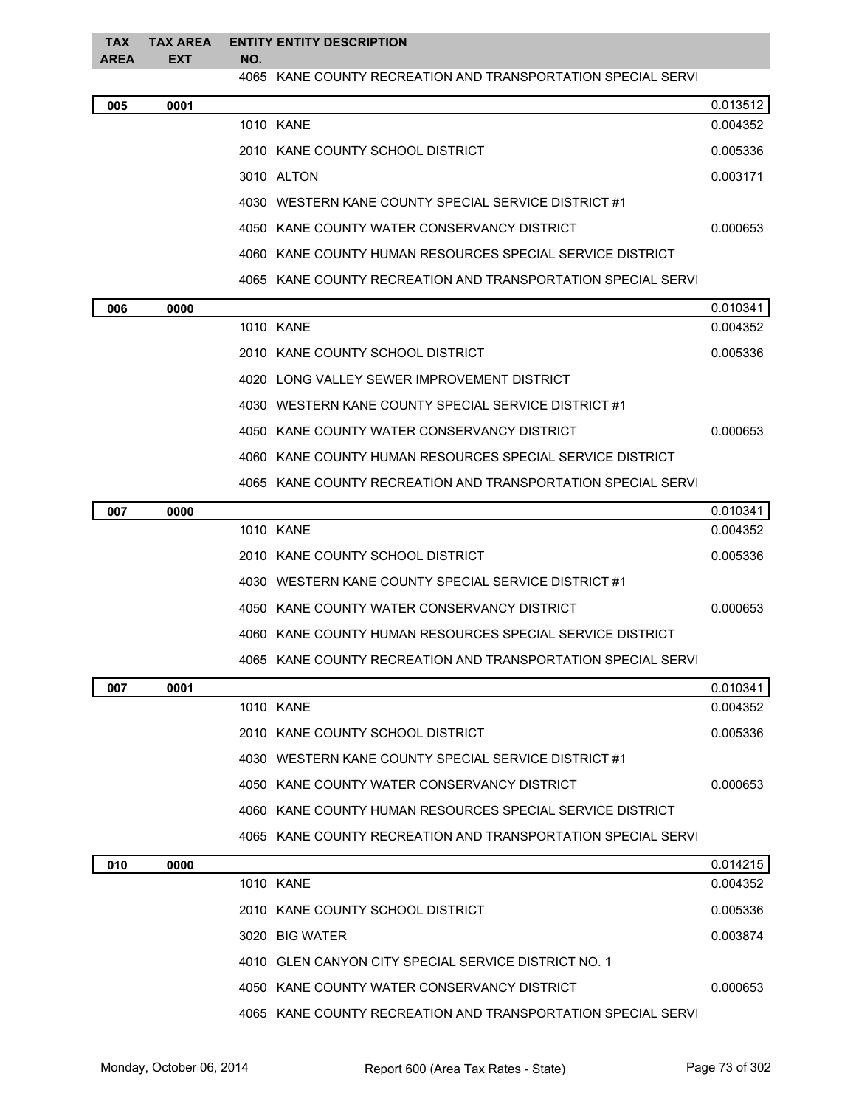| <b>TAX</b><br><b>AREA</b> | <b>TAX AREA</b><br>EXT | NO. | <b>ENTITY ENTITY DESCRIPTION</b>                            |          |
|---------------------------|------------------------|-----|-------------------------------------------------------------|----------|
|                           |                        |     | 4065 KANE COUNTY RECREATION AND TRANSPORTATION SPECIAL SERV |          |
| 005                       | 0001                   |     |                                                             | 0.013512 |
|                           |                        |     | 1010 KANE                                                   | 0.004352 |
|                           |                        |     | 2010 KANE COUNTY SCHOOL DISTRICT                            | 0.005336 |
|                           |                        |     | 3010 ALTON                                                  | 0.003171 |
|                           |                        |     | 4030 WESTERN KANE COUNTY SPECIAL SERVICE DISTRICT #1        |          |
|                           |                        |     | 4050 KANE COUNTY WATER CONSERVANCY DISTRICT                 | 0.000653 |
|                           |                        |     | 4060 KANE COUNTY HUMAN RESOURCES SPECIAL SERVICE DISTRICT   |          |
|                           |                        |     | 4065 KANE COUNTY RECREATION AND TRANSPORTATION SPECIAL SERV |          |
| 006                       | 0000                   |     |                                                             | 0.010341 |
|                           |                        |     | 1010 KANE                                                   | 0.004352 |
|                           |                        |     | 2010 KANE COUNTY SCHOOL DISTRICT                            | 0.005336 |
|                           |                        |     | 4020 LONG VALLEY SEWER IMPROVEMENT DISTRICT                 |          |
|                           |                        |     | 4030 WESTERN KANE COUNTY SPECIAL SERVICE DISTRICT #1        |          |
|                           |                        |     | 4050 KANE COUNTY WATER CONSERVANCY DISTRICT                 | 0.000653 |
|                           |                        |     | 4060 KANE COUNTY HUMAN RESOURCES SPECIAL SERVICE DISTRICT   |          |
|                           |                        |     | 4065 KANE COUNTY RECREATION AND TRANSPORTATION SPECIAL SERV |          |
| 007                       | 0000                   |     |                                                             | 0.010341 |
|                           |                        |     | 1010 KANE                                                   | 0.004352 |
|                           |                        |     | 2010 KANE COUNTY SCHOOL DISTRICT                            | 0.005336 |
|                           |                        |     | 4030 WESTERN KANE COUNTY SPECIAL SERVICE DISTRICT #1        |          |
|                           |                        |     | 4050 KANE COUNTY WATER CONSERVANCY DISTRICT                 | 0.000653 |
|                           |                        |     | 4060 KANE COUNTY HUMAN RESOURCES SPECIAL SERVICE DISTRICT   |          |
|                           |                        |     | 4065 KANE COUNTY RECREATION AND TRANSPORTATION SPECIAL SERV |          |
| 007                       | 0001                   |     |                                                             | 0.010341 |
|                           |                        |     | 1010 KANE                                                   | 0.004352 |
|                           |                        |     | 2010 KANE COUNTY SCHOOL DISTRICT                            | 0.005336 |
|                           |                        |     | 4030 WESTERN KANE COUNTY SPECIAL SERVICE DISTRICT #1        |          |
|                           |                        |     | 4050 KANE COUNTY WATER CONSERVANCY DISTRICT                 | 0.000653 |
|                           |                        |     | 4060 KANE COUNTY HUMAN RESOURCES SPECIAL SERVICE DISTRICT   |          |
|                           |                        |     | 4065 KANE COUNTY RECREATION AND TRANSPORTATION SPECIAL SERV |          |
| 010                       | 0000                   |     |                                                             | 0.014215 |
|                           |                        |     | 1010 KANE                                                   | 0.004352 |
|                           |                        |     | 2010 KANE COUNTY SCHOOL DISTRICT                            | 0.005336 |
|                           |                        |     | 3020 BIG WATER                                              | 0.003874 |
|                           |                        |     | 4010 GLEN CANYON CITY SPECIAL SERVICE DISTRICT NO. 1        |          |
|                           |                        |     | 4050 KANE COUNTY WATER CONSERVANCY DISTRICT                 | 0.000653 |
|                           |                        |     | 4065 KANE COUNTY RECREATION AND TRANSPORTATION SPECIAL SERV |          |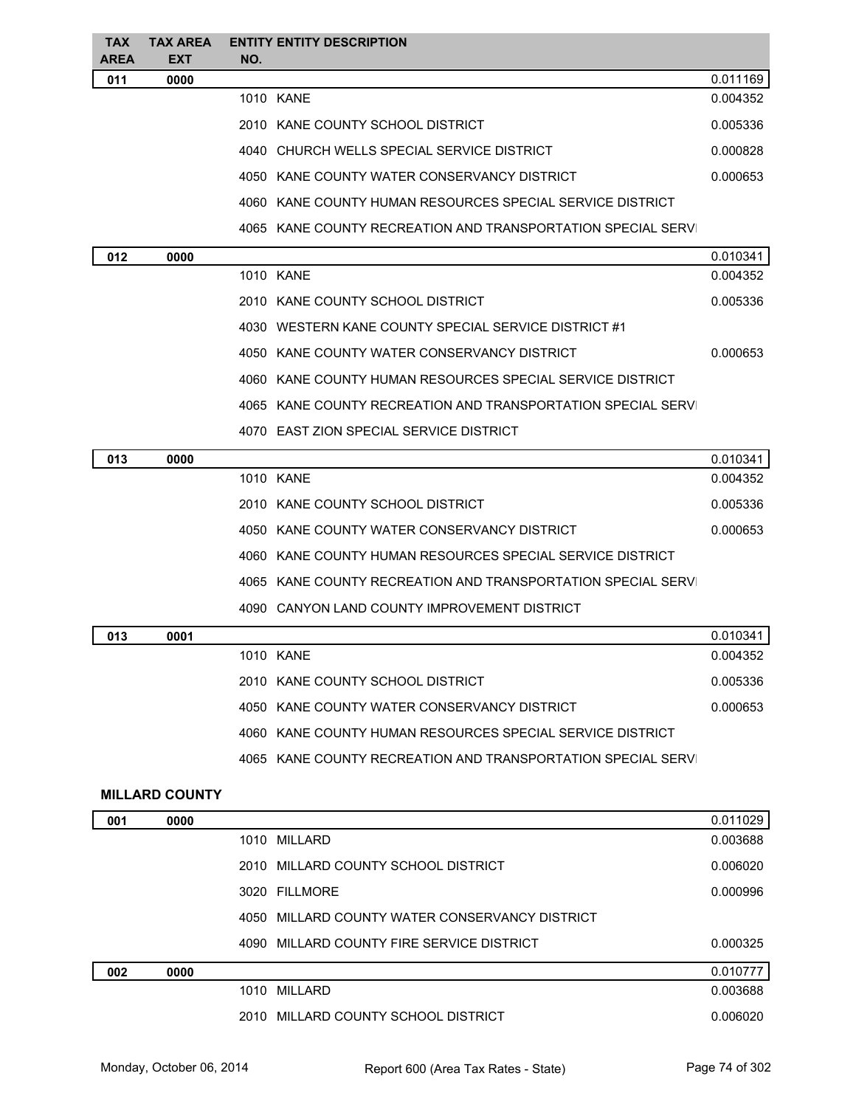| <b>TAX</b><br>AREA | <b>TAX AREA</b><br><b>EXT</b> | <b>ENTITY ENTITY DESCRIPTION</b><br>NO.                     |          |
|--------------------|-------------------------------|-------------------------------------------------------------|----------|
| 011                | 0000                          |                                                             | 0.011169 |
|                    |                               | 1010 KANE                                                   | 0.004352 |
|                    |                               | 2010 KANE COUNTY SCHOOL DISTRICT                            | 0.005336 |
|                    |                               | 4040 CHURCH WELLS SPECIAL SERVICE DISTRICT                  | 0.000828 |
|                    |                               | 4050 KANE COUNTY WATER CONSERVANCY DISTRICT                 | 0.000653 |
|                    |                               | 4060 KANE COUNTY HUMAN RESOURCES SPECIAL SERVICE DISTRICT   |          |
|                    |                               | 4065 KANE COUNTY RECREATION AND TRANSPORTATION SPECIAL SERV |          |
| 012                | 0000                          |                                                             | 0.010341 |
|                    |                               | 1010 KANE                                                   | 0.004352 |
|                    |                               | 2010 KANE COUNTY SCHOOL DISTRICT                            | 0.005336 |
|                    |                               | 4030 WESTERN KANE COUNTY SPECIAL SERVICE DISTRICT #1        |          |
|                    |                               | 4050 KANE COUNTY WATER CONSERVANCY DISTRICT                 | 0.000653 |
|                    |                               | 4060 KANE COUNTY HUMAN RESOURCES SPECIAL SERVICE DISTRICT   |          |
|                    |                               | 4065 KANE COUNTY RECREATION AND TRANSPORTATION SPECIAL SERV |          |
|                    |                               | 4070 EAST ZION SPECIAL SERVICE DISTRICT                     |          |
| 013                | 0000                          |                                                             | 0.010341 |
|                    |                               | 1010 KANE                                                   | 0.004352 |
|                    |                               | 2010 KANE COUNTY SCHOOL DISTRICT                            | 0.005336 |
|                    |                               | 4050 KANE COUNTY WATER CONSERVANCY DISTRICT                 | 0.000653 |
|                    |                               | 4060 KANE COUNTY HUMAN RESOURCES SPECIAL SERVICE DISTRICT   |          |
|                    |                               | 4065 KANE COUNTY RECREATION AND TRANSPORTATION SPECIAL SERV |          |
|                    |                               | 4090 CANYON LAND COUNTY IMPROVEMENT DISTRICT                |          |
| 013                | 0001                          |                                                             | 0.010341 |
|                    |                               | 1010 KANE                                                   | 0.004352 |
|                    |                               | 2010 KANE COUNTY SCHOOL DISTRICT                            | 0.005336 |
|                    |                               | 4050 KANE COUNTY WATER CONSERVANCY DISTRICT                 | 0.000653 |
|                    |                               | 4060 KANE COUNTY HUMAN RESOURCES SPECIAL SERVICE DISTRICT   |          |
|                    |                               | 4065 KANE COUNTY RECREATION AND TRANSPORTATION SPECIAL SERV |          |
|                    | <b>MILLARD COUNTY</b>         |                                                             |          |
| 001                | 0000                          |                                                             | 0.011029 |
|                    |                               | 1010 MILLARD                                                | 0.003688 |
|                    |                               | 2010 MILLARD COUNTY SCHOOL DISTRICT                         | 0.006020 |
|                    |                               | 3020 FILLMORE                                               | 0.000996 |
|                    |                               | 4050 MILLARD COUNTY WATER CONSERVANCY DISTRICT              |          |
|                    |                               | 4090 MILLARD COUNTY FIRE SERVICE DISTRICT                   | 0.000325 |
| 002                | 0000                          |                                                             | 0.010777 |
|                    |                               | 1010 MILLARD                                                | 0.003688 |

2010 MILLARD COUNTY SCHOOL DISTRICT 0.006020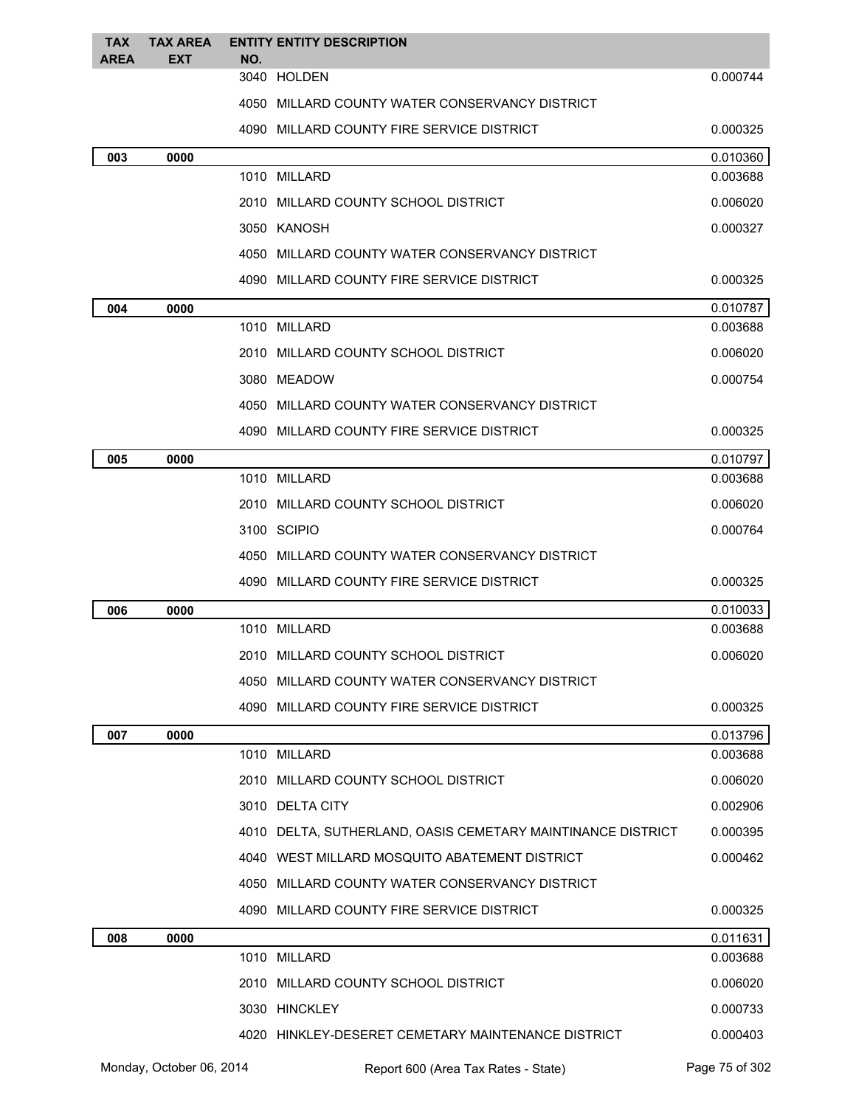| <b>TAX</b><br><b>AREA</b> | <b>TAX AREA</b> |     | <b>ENTITY ENTITY DESCRIPTION</b>                            |          |
|---------------------------|-----------------|-----|-------------------------------------------------------------|----------|
|                           | <b>EXT</b>      | NO. | 3040 HOLDEN                                                 | 0.000744 |
|                           |                 |     | 4050 MILLARD COUNTY WATER CONSERVANCY DISTRICT              |          |
|                           |                 |     | 4090 MILLARD COUNTY FIRE SERVICE DISTRICT                   | 0.000325 |
| 003                       | 0000            |     |                                                             | 0.010360 |
|                           |                 |     | 1010 MILLARD                                                | 0.003688 |
|                           |                 |     | 2010 MILLARD COUNTY SCHOOL DISTRICT                         | 0.006020 |
|                           |                 |     | 3050 KANOSH                                                 | 0.000327 |
|                           |                 |     | 4050 MILLARD COUNTY WATER CONSERVANCY DISTRICT              |          |
|                           |                 |     | 4090 MILLARD COUNTY FIRE SERVICE DISTRICT                   | 0.000325 |
| 004                       | 0000            |     |                                                             | 0.010787 |
|                           |                 |     | 1010 MILLARD                                                | 0.003688 |
|                           |                 |     | 2010 MILLARD COUNTY SCHOOL DISTRICT                         | 0.006020 |
|                           |                 |     | 3080 MEADOW                                                 | 0.000754 |
|                           |                 |     | 4050 MILLARD COUNTY WATER CONSERVANCY DISTRICT              |          |
|                           |                 |     | 4090 MILLARD COUNTY FIRE SERVICE DISTRICT                   | 0.000325 |
| 005                       | 0000            |     |                                                             | 0.010797 |
|                           |                 |     | 1010 MILLARD                                                | 0.003688 |
|                           |                 |     | 2010 MILLARD COUNTY SCHOOL DISTRICT                         | 0.006020 |
|                           |                 |     | 3100 SCIPIO                                                 | 0.000764 |
|                           |                 |     | 4050 MILLARD COUNTY WATER CONSERVANCY DISTRICT              |          |
|                           |                 |     | 4090 MILLARD COUNTY FIRE SERVICE DISTRICT                   | 0.000325 |
| 006                       | 0000            |     |                                                             | 0.010033 |
|                           |                 |     | 1010 MILLARD                                                | 0.003688 |
|                           |                 |     | 2010 MILLARD COUNTY SCHOOL DISTRICT                         | 0.006020 |
|                           |                 |     | 4050 MILLARD COUNTY WATER CONSERVANCY DISTRICT              |          |
|                           |                 |     | 4090 MILLARD COUNTY FIRE SERVICE DISTRICT                   | 0.000325 |
| 007                       | 0000            |     |                                                             | 0.013796 |
|                           |                 |     | 1010 MILLARD                                                | 0.003688 |
|                           |                 |     | 2010 MILLARD COUNTY SCHOOL DISTRICT                         | 0.006020 |
|                           |                 |     | 3010 DELTA CITY                                             | 0.002906 |
|                           |                 |     | 4010 DELTA, SUTHERLAND, OASIS CEMETARY MAINTINANCE DISTRICT | 0.000395 |
|                           |                 |     | 4040 WEST MILLARD MOSQUITO ABATEMENT DISTRICT               | 0.000462 |
|                           |                 |     | 4050 MILLARD COUNTY WATER CONSERVANCY DISTRICT              |          |
|                           |                 |     | 4090 MILLARD COUNTY FIRE SERVICE DISTRICT                   | 0.000325 |
| 008                       | 0000            |     |                                                             | 0.011631 |
|                           |                 |     | 1010 MILLARD                                                | 0.003688 |
|                           |                 |     | 2010 MILLARD COUNTY SCHOOL DISTRICT                         | 0.006020 |
|                           |                 |     | 3030 HINCKLEY                                               | 0.000733 |
|                           |                 |     | 4020 HINKLEY-DESERET CEMETARY MAINTENANCE DISTRICT          | 0.000403 |
|                           |                 |     |                                                             |          |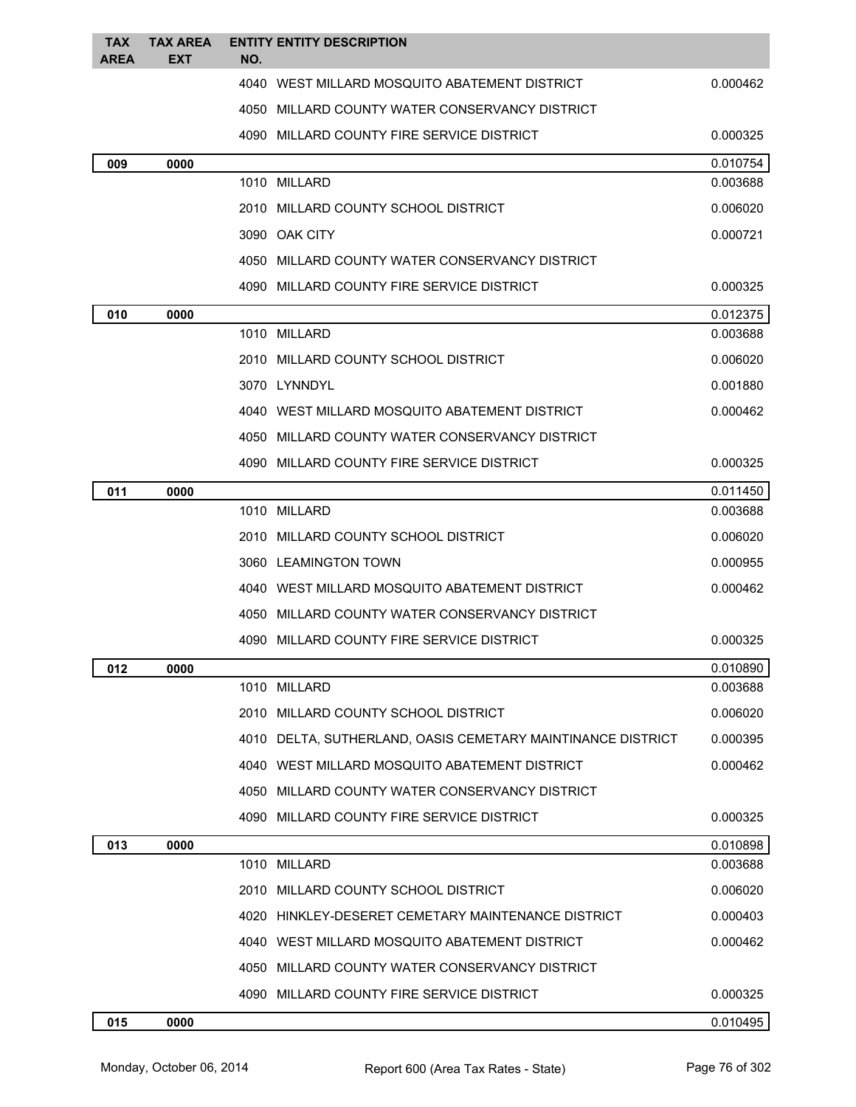| <b>TAX</b>  | <b>TAX AREA</b> | <b>ENTITY ENTITY DESCRIPTION</b>                            |                      |
|-------------|-----------------|-------------------------------------------------------------|----------------------|
| <b>AREA</b> | <b>EXT</b>      | NO.                                                         |                      |
|             |                 | 4040 WEST MILLARD MOSQUITO ABATEMENT DISTRICT               | 0.000462             |
|             |                 | 4050 MILLARD COUNTY WATER CONSERVANCY DISTRICT              |                      |
|             |                 | 4090 MILLARD COUNTY FIRE SERVICE DISTRICT                   | 0.000325             |
| 009         | 0000            |                                                             | 0.010754             |
|             |                 | 1010 MILLARD                                                | 0.003688             |
|             |                 | 2010 MILLARD COUNTY SCHOOL DISTRICT                         | 0.006020             |
|             |                 | 3090 OAK CITY                                               | 0.000721             |
|             |                 | 4050 MILLARD COUNTY WATER CONSERVANCY DISTRICT              |                      |
|             |                 | 4090 MILLARD COUNTY FIRE SERVICE DISTRICT                   | 0.000325             |
| 010         | 0000            |                                                             | 0.012375             |
|             |                 | 1010 MILLARD                                                | 0.003688             |
|             |                 | 2010 MILLARD COUNTY SCHOOL DISTRICT                         | 0.006020             |
|             |                 | 3070 LYNNDYL                                                | 0.001880             |
|             |                 | 4040 WEST MILLARD MOSQUITO ABATEMENT DISTRICT               | 0.000462             |
|             |                 | 4050 MILLARD COUNTY WATER CONSERVANCY DISTRICT              |                      |
|             |                 | 4090 MILLARD COUNTY FIRE SERVICE DISTRICT                   | 0.000325             |
| 011         | 0000            |                                                             | 0.011450             |
|             |                 | 1010 MILLARD                                                | 0.003688             |
|             |                 | 2010 MILLARD COUNTY SCHOOL DISTRICT                         | 0.006020             |
|             |                 | 3060 LEAMINGTON TOWN                                        | 0.000955             |
|             |                 | 4040 WEST MILLARD MOSQUITO ABATEMENT DISTRICT               | 0.000462             |
|             |                 | 4050 MILLARD COUNTY WATER CONSERVANCY DISTRICT              |                      |
|             |                 | 4090 MILLARD COUNTY FIRE SERVICE DISTRICT                   | 0.000325             |
| 012         | 0000            |                                                             | 0.010890             |
|             |                 | 1010 MILLARD                                                | 0.003688             |
|             |                 | 2010 MILLARD COUNTY SCHOOL DISTRICT                         | 0.006020             |
|             |                 | 4010 DELTA, SUTHERLAND, OASIS CEMETARY MAINTINANCE DISTRICT | 0.000395             |
|             |                 | 4040 WEST MILLARD MOSQUITO ABATEMENT DISTRICT               | 0.000462             |
|             |                 | 4050 MILLARD COUNTY WATER CONSERVANCY DISTRICT              |                      |
|             |                 | 4090 MILLARD COUNTY FIRE SERVICE DISTRICT                   | 0.000325             |
| 013         | 0000            | 1010 MILLARD                                                | 0.010898<br>0.003688 |
|             |                 |                                                             |                      |
|             |                 | 2010 MILLARD COUNTY SCHOOL DISTRICT                         | 0.006020             |
|             |                 | 4020 HINKLEY-DESERET CEMETARY MAINTENANCE DISTRICT          | 0.000403             |
|             |                 | 4040 WEST MILLARD MOSQUITO ABATEMENT DISTRICT               | 0.000462             |
|             |                 | 4050 MILLARD COUNTY WATER CONSERVANCY DISTRICT              |                      |
|             |                 | 4090 MILLARD COUNTY FIRE SERVICE DISTRICT                   | 0.000325             |
| 015         | 0000            |                                                             | 0.010495             |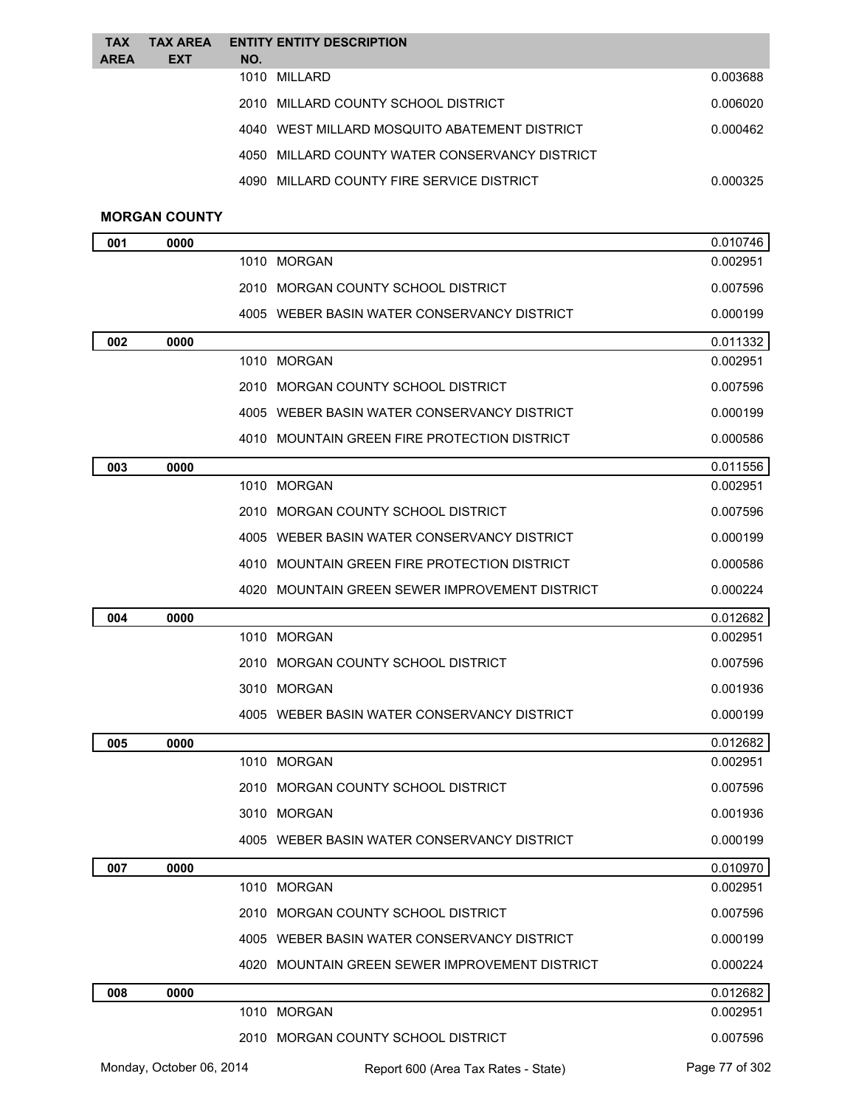| <b>TAX</b><br><b>AREA</b> | <b>TAX AREA</b><br><b>EXT</b> | NO. | <b>ENTITY ENTITY DESCRIPTION</b>               |          |
|---------------------------|-------------------------------|-----|------------------------------------------------|----------|
|                           |                               |     | 1010 MILLARD                                   | 0.003688 |
|                           |                               |     | 2010 MILLARD COUNTY SCHOOL DISTRICT            | 0.006020 |
|                           |                               |     | 4040 WEST MILLARD MOSQUITO ABATEMENT DISTRICT  | 0.000462 |
|                           |                               |     | 4050 MILLARD COUNTY WATER CONSERVANCY DISTRICT |          |
|                           |                               |     | 4090 MILLARD COUNTY FIRE SERVICE DISTRICT      | 0.000325 |
|                           |                               |     |                                                |          |

## **MORGAN COUNTY**

| 001 | 0000                     |                                                | 0.010746       |
|-----|--------------------------|------------------------------------------------|----------------|
|     |                          | 1010 MORGAN                                    | 0.002951       |
|     |                          | 2010 MORGAN COUNTY SCHOOL DISTRICT             | 0.007596       |
|     |                          | 4005 WEBER BASIN WATER CONSERVANCY DISTRICT    | 0.000199       |
| 002 | 0000                     |                                                | 0.011332       |
|     |                          | 1010 MORGAN                                    | 0.002951       |
|     |                          | 2010 MORGAN COUNTY SCHOOL DISTRICT             | 0.007596       |
|     |                          | 4005 WEBER BASIN WATER CONSERVANCY DISTRICT    | 0.000199       |
|     |                          | 4010 MOUNTAIN GREEN FIRE PROTECTION DISTRICT   | 0.000586       |
| 003 | 0000                     |                                                | 0.011556       |
|     |                          | 1010 MORGAN                                    | 0.002951       |
|     |                          | 2010 MORGAN COUNTY SCHOOL DISTRICT             | 0.007596       |
|     |                          | 4005 WEBER BASIN WATER CONSERVANCY DISTRICT    | 0.000199       |
|     |                          | 4010 MOUNTAIN GREEN FIRE PROTECTION DISTRICT   | 0.000586       |
|     |                          | 4020 MOUNTAIN GREEN SEWER IMPROVEMENT DISTRICT | 0.000224       |
| 004 | 0000                     |                                                | 0.012682       |
|     |                          | 1010 MORGAN                                    | 0.002951       |
|     |                          | 2010 MORGAN COUNTY SCHOOL DISTRICT             | 0.007596       |
|     |                          | 3010 MORGAN                                    | 0.001936       |
|     |                          | 4005 WEBER BASIN WATER CONSERVANCY DISTRICT    | 0.000199       |
| 005 | 0000                     |                                                | 0.012682       |
|     |                          | 1010 MORGAN                                    | 0.002951       |
|     |                          | 2010 MORGAN COUNTY SCHOOL DISTRICT             | 0.007596       |
|     |                          | 3010 MORGAN                                    | 0.001936       |
|     |                          | 4005 WEBER BASIN WATER CONSERVANCY DISTRICT    | 0.000199       |
| 007 | 0000                     |                                                | 0.010970       |
|     |                          | 1010 MORGAN                                    | 0.002951       |
|     |                          | 2010 MORGAN COUNTY SCHOOL DISTRICT             | 0.007596       |
|     |                          | 4005 WEBER BASIN WATER CONSERVANCY DISTRICT    | 0.000199       |
|     |                          | 4020 MOUNTAIN GREEN SEWER IMPROVEMENT DISTRICT | 0.000224       |
| 008 | 0000                     |                                                | 0.012682       |
|     |                          | 1010 MORGAN                                    | 0.002951       |
|     |                          | 2010 MORGAN COUNTY SCHOOL DISTRICT             | 0.007596       |
|     | Monday, October 06, 2014 | Report 600 (Area Tax Rates - State)            | Page 77 of 302 |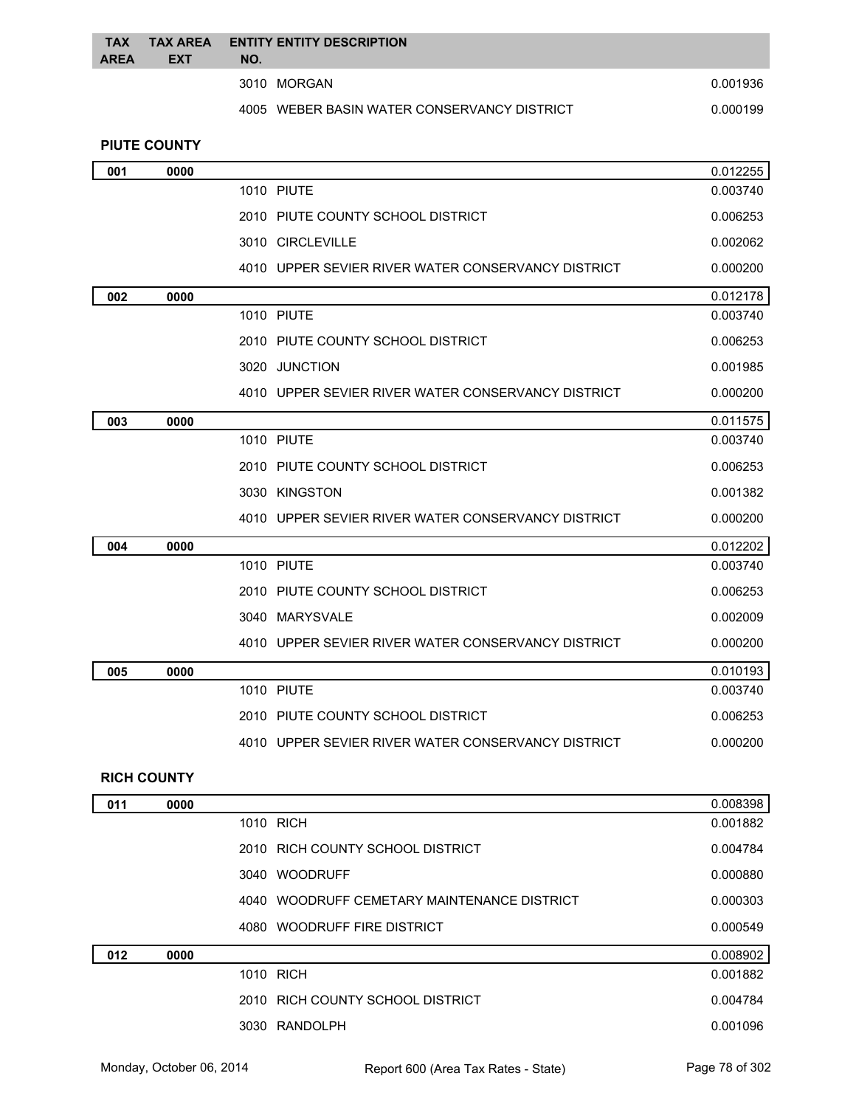| <b>TAX</b><br><b>AREA</b> | <b>TAX AREA</b><br><b>EXT</b> | NO. | <b>ENTITY ENTITY DESCRIPTION</b>            |          |
|---------------------------|-------------------------------|-----|---------------------------------------------|----------|
|                           |                               |     | 3010 MORGAN                                 | 0.001936 |
|                           |                               |     | 4005 WEBER BASIN WATER CONSERVANCY DISTRICT | 0.000199 |
|                           | <b>PIUTE COUNTY</b>           |     |                                             |          |

| 001 | 0000 |                                                    | 0.012255 |
|-----|------|----------------------------------------------------|----------|
|     |      | <b>1010 PIUTE</b>                                  | 0.003740 |
|     |      | 2010 PIUTE COUNTY SCHOOL DISTRICT                  | 0.006253 |
|     |      | 3010 CIRCLEVILLE                                   | 0.002062 |
|     |      | 4010 UPPER SEVIER RIVER WATER CONSERVANCY DISTRICT | 0.000200 |
| 002 | 0000 |                                                    | 0.012178 |
|     |      | <b>1010 PIUTE</b>                                  | 0.003740 |
|     |      | 2010 PIUTE COUNTY SCHOOL DISTRICT                  | 0.006253 |
|     |      | 3020 JUNCTION                                      | 0.001985 |
|     |      | 4010 UPPER SEVIER RIVER WATER CONSERVANCY DISTRICT | 0.000200 |
| 003 | 0000 |                                                    | 0.011575 |
|     |      | <b>1010 PIUTE</b>                                  | 0.003740 |
|     |      | 2010 PIUTE COUNTY SCHOOL DISTRICT                  | 0.006253 |
|     |      | 3030 KINGSTON                                      | 0.001382 |
|     |      | 4010 UPPER SEVIER RIVER WATER CONSERVANCY DISTRICT | 0.000200 |
| 004 | 0000 |                                                    | 0.012202 |
|     |      | <b>1010 PIUTE</b>                                  | 0.003740 |
|     |      | 2010 PIUTE COUNTY SCHOOL DISTRICT                  | 0.006253 |
|     |      | 3040 MARYSVALE                                     | 0.002009 |
|     |      | 4010 UPPER SEVIER RIVER WATER CONSERVANCY DISTRICT | 0.000200 |
| 005 | 0000 |                                                    | 0.010193 |
|     |      | <b>1010 PIUTE</b>                                  | 0.003740 |
|     |      | 2010 PIUTE COUNTY SCHOOL DISTRICT                  | 0.006253 |
|     |      | 4010 UPPER SEVIER RIVER WATER CONSERVANCY DISTRICT | 0.000200 |

## **RICH COUNTY**

| 011 | 0000 |                                             | 0.008398 |
|-----|------|---------------------------------------------|----------|
|     |      | 1010 RICH                                   | 0.001882 |
|     |      | 2010 RICH COUNTY SCHOOL DISTRICT            | 0.004784 |
|     |      | 3040 WOODRUFF                               | 0.000880 |
|     |      | 4040 WOODRUFF CEMETARY MAINTENANCE DISTRICT | 0.000303 |
|     |      | 4080 WOODRUFF FIRE DISTRICT                 | 0.000549 |
| 012 | 0000 |                                             | 0.008902 |
|     |      | 1010 RICH                                   | 0.001882 |
|     |      | 2010 RICH COUNTY SCHOOL DISTRICT            | 0.004784 |
|     |      | 3030 RANDOLPH                               | 0.001096 |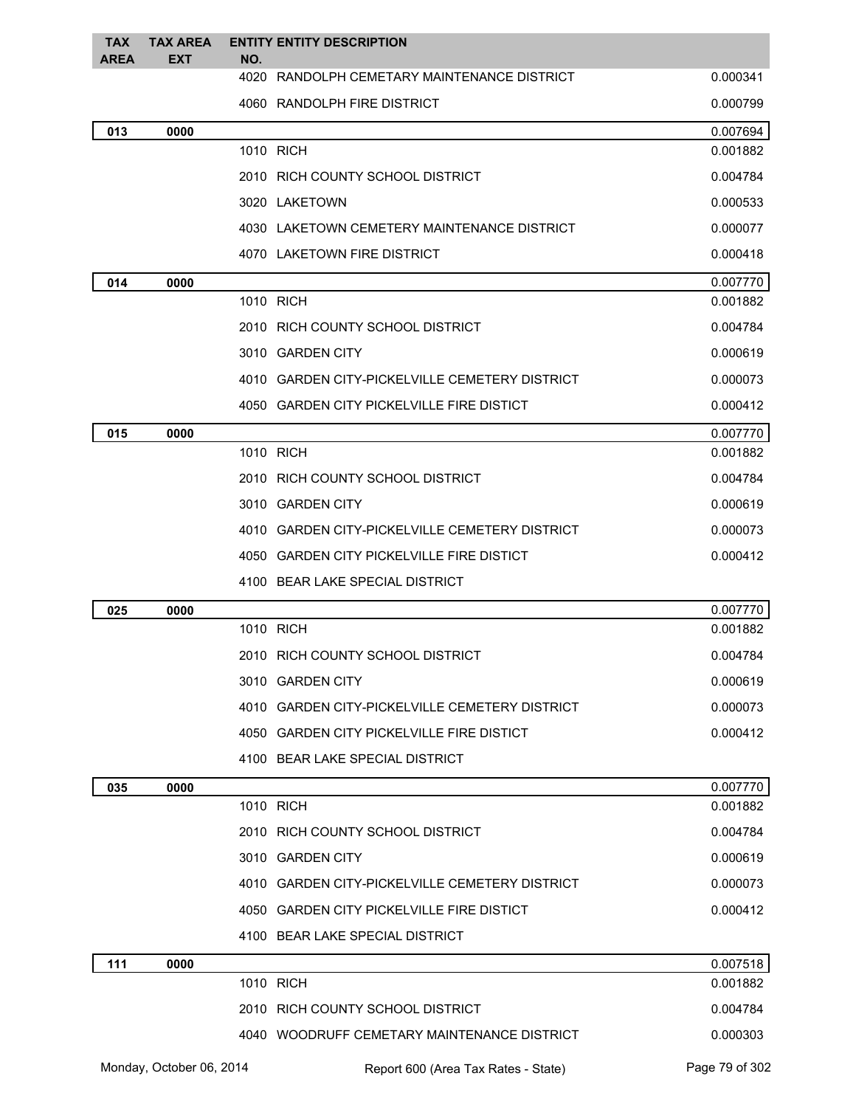| <b>TAX</b><br><b>AREA</b> | <b>TAX AREA</b><br><b>EXT</b> | <b>ENTITY ENTITY DESCRIPTION</b><br>NO.        |          |
|---------------------------|-------------------------------|------------------------------------------------|----------|
|                           |                               | 4020 RANDOLPH CEMETARY MAINTENANCE DISTRICT    | 0.000341 |
|                           |                               | 4060 RANDOLPH FIRE DISTRICT                    | 0.000799 |
| 013                       | 0000                          |                                                | 0.007694 |
|                           |                               | 1010 RICH                                      | 0.001882 |
|                           |                               | 2010 RICH COUNTY SCHOOL DISTRICT               | 0.004784 |
|                           |                               | 3020 LAKETOWN                                  | 0.000533 |
|                           |                               | 4030 LAKETOWN CEMETERY MAINTENANCE DISTRICT    | 0.000077 |
|                           |                               | 4070 LAKETOWN FIRE DISTRICT                    | 0.000418 |
| 014                       | 0000                          |                                                | 0.007770 |
|                           |                               | 1010 RICH                                      | 0.001882 |
|                           |                               | 2010 RICH COUNTY SCHOOL DISTRICT               | 0.004784 |
|                           |                               | 3010 GARDEN CITY                               | 0.000619 |
|                           |                               | 4010 GARDEN CITY-PICKELVILLE CEMETERY DISTRICT | 0.000073 |
|                           |                               | 4050 GARDEN CITY PICKELVILLE FIRE DISTICT      | 0.000412 |
| 015                       | 0000                          |                                                | 0.007770 |
|                           |                               | 1010 RICH                                      | 0.001882 |
|                           |                               | 2010 RICH COUNTY SCHOOL DISTRICT               | 0.004784 |
|                           |                               | 3010 GARDEN CITY                               | 0.000619 |
|                           |                               | 4010 GARDEN CITY-PICKELVILLE CEMETERY DISTRICT | 0.000073 |
|                           |                               | 4050 GARDEN CITY PICKELVILLE FIRE DISTICT      | 0.000412 |
|                           |                               | 4100 BEAR LAKE SPECIAL DISTRICT                |          |
| 025                       | 0000                          |                                                | 0.007770 |
|                           |                               | 1010 RICH                                      | 0.001882 |
|                           |                               | 2010 RICH COUNTY SCHOOL DISTRICT               | 0.004784 |
|                           |                               | 3010 GARDEN CITY                               | 0.000619 |
|                           |                               | 4010 GARDEN CITY-PICKELVILLE CEMETERY DISTRICT | 0.000073 |
|                           |                               | 4050 GARDEN CITY PICKELVILLE FIRE DISTICT      | 0.000412 |
|                           |                               | 4100 BEAR LAKE SPECIAL DISTRICT                |          |
| 035                       | 0000                          |                                                | 0.007770 |
|                           |                               | 1010 RICH                                      | 0.001882 |
|                           |                               | 2010 RICH COUNTY SCHOOL DISTRICT               | 0.004784 |
|                           |                               | 3010 GARDEN CITY                               | 0.000619 |
|                           |                               | 4010 GARDEN CITY-PICKELVILLE CEMETERY DISTRICT | 0.000073 |
|                           |                               | 4050 GARDEN CITY PICKELVILLE FIRE DISTICT      | 0.000412 |
|                           |                               | 4100 BEAR LAKE SPECIAL DISTRICT                |          |
| 111                       | 0000                          |                                                | 0.007518 |
|                           |                               | 1010 RICH                                      | 0.001882 |
|                           |                               | 2010 RICH COUNTY SCHOOL DISTRICT               | 0.004784 |
|                           |                               | 4040 WOODRUFF CEMETARY MAINTENANCE DISTRICT    | 0.000303 |

Monday, October 06, 2014 Report 600 (Area Tax Rates - State) Rage 79 of 302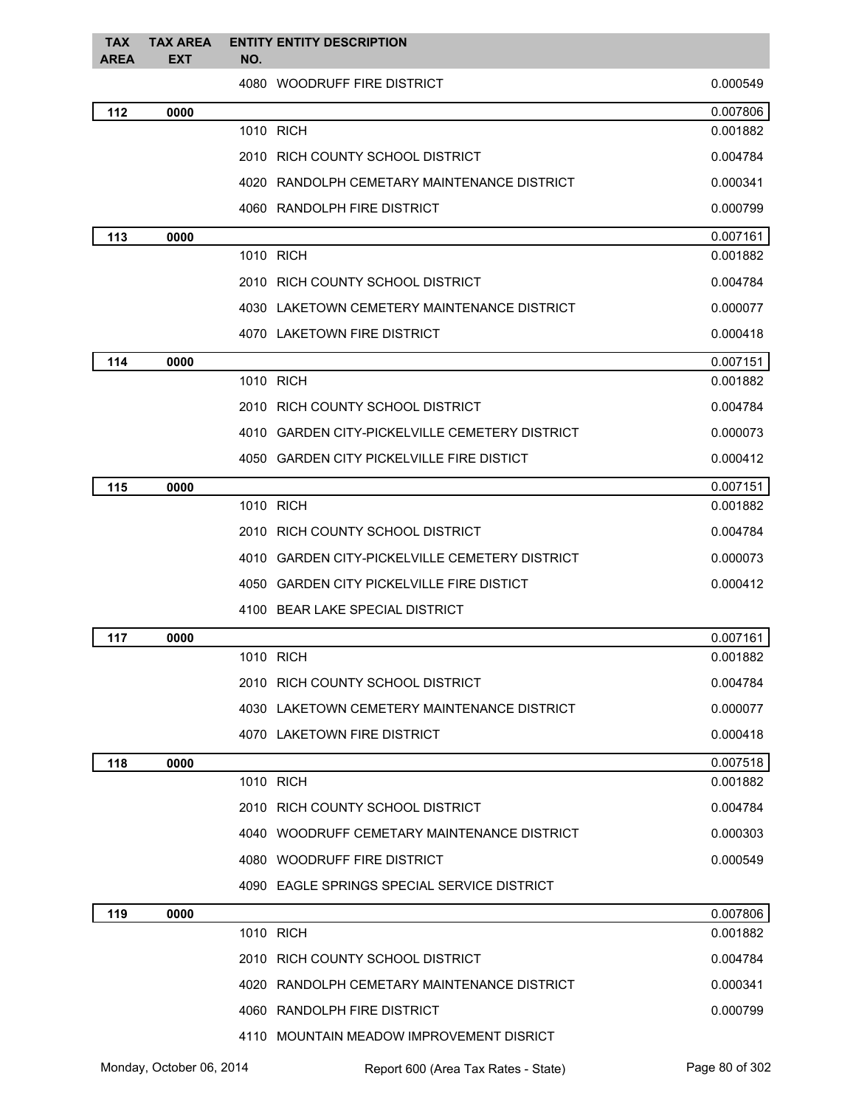| <b>TAX</b><br>AREA | <b>TAX AREA</b><br><b>EXT</b> | <b>ENTITY ENTITY DESCRIPTION</b><br>NO.        |          |
|--------------------|-------------------------------|------------------------------------------------|----------|
|                    |                               | 4080 WOODRUFF FIRE DISTRICT                    | 0.000549 |
| 112                | 0000                          |                                                | 0.007806 |
|                    |                               | 1010 RICH                                      | 0.001882 |
|                    |                               | 2010 RICH COUNTY SCHOOL DISTRICT               | 0.004784 |
|                    |                               | 4020 RANDOLPH CEMETARY MAINTENANCE DISTRICT    | 0.000341 |
|                    |                               | 4060 RANDOLPH FIRE DISTRICT                    | 0.000799 |
| 113                | 0000                          |                                                | 0.007161 |
|                    |                               | 1010 RICH                                      | 0.001882 |
|                    |                               | 2010 RICH COUNTY SCHOOL DISTRICT               | 0.004784 |
|                    |                               | 4030 LAKETOWN CEMETERY MAINTENANCE DISTRICT    | 0.000077 |
|                    |                               | 4070 LAKETOWN FIRE DISTRICT                    | 0.000418 |
| 114                | 0000                          |                                                | 0.007151 |
|                    |                               | 1010 RICH                                      | 0.001882 |
|                    |                               | 2010 RICH COUNTY SCHOOL DISTRICT               | 0.004784 |
|                    |                               | 4010 GARDEN CITY-PICKELVILLE CEMETERY DISTRICT | 0.000073 |
|                    |                               | 4050 GARDEN CITY PICKELVILLE FIRE DISTICT      | 0.000412 |
| 115                | 0000                          |                                                | 0.007151 |
|                    |                               | 1010 RICH                                      | 0.001882 |
|                    |                               | 2010 RICH COUNTY SCHOOL DISTRICT               | 0.004784 |
|                    |                               | 4010 GARDEN CITY-PICKELVILLE CEMETERY DISTRICT | 0.000073 |
|                    |                               | 4050 GARDEN CITY PICKELVILLE FIRE DISTICT      | 0.000412 |
|                    |                               | 4100 BEAR LAKE SPECIAL DISTRICT                |          |
| 117                | 0000                          |                                                | 0.007161 |
|                    |                               | 1010 RICH                                      | 0.001882 |
|                    |                               | 2010 RICH COUNTY SCHOOL DISTRICT               | 0.004784 |
|                    |                               | 4030 LAKETOWN CEMETERY MAINTENANCE DISTRICT    | 0.000077 |
|                    |                               | 4070 LAKETOWN FIRE DISTRICT                    | 0.000418 |
| 118                | 0000                          |                                                | 0.007518 |
|                    |                               | 1010 RICH                                      | 0.001882 |
|                    |                               | 2010 RICH COUNTY SCHOOL DISTRICT               | 0.004784 |
|                    |                               | 4040 WOODRUFF CEMETARY MAINTENANCE DISTRICT    | 0.000303 |
|                    |                               | 4080 WOODRUFF FIRE DISTRICT                    | 0.000549 |
|                    |                               | 4090 EAGLE SPRINGS SPECIAL SERVICE DISTRICT    |          |
| 119                | 0000                          |                                                | 0.007806 |
|                    |                               | 1010 RICH                                      | 0.001882 |
|                    |                               | 2010 RICH COUNTY SCHOOL DISTRICT               | 0.004784 |
|                    |                               | 4020 RANDOLPH CEMETARY MAINTENANCE DISTRICT    | 0.000341 |
|                    |                               | 4060 RANDOLPH FIRE DISTRICT                    | 0.000799 |
|                    |                               | 4110 MOUNTAIN MEADOW IMPROVEMENT DISRICT       |          |

Monday, October 06, 2014 Report 600 (Area Tax Rates - State) Rage 80 of 302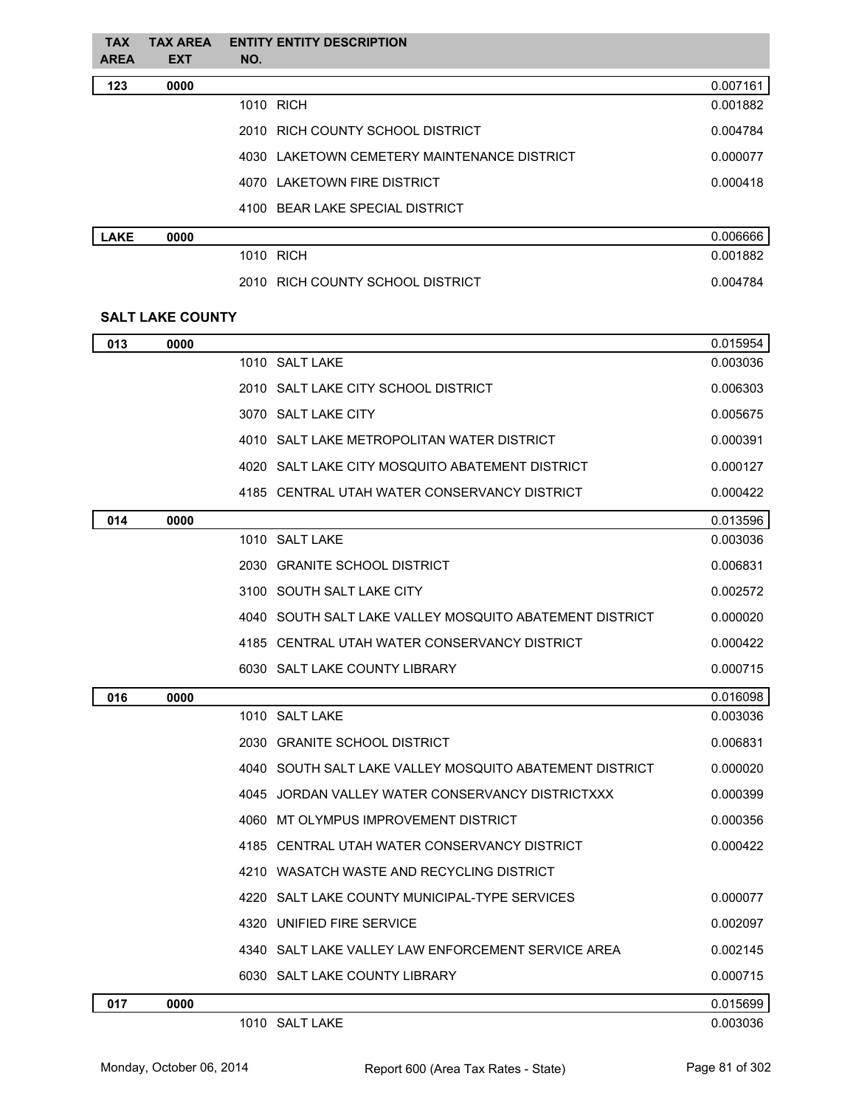| <b>TAX</b><br>AREA | <b>TAX AREA</b><br><b>EXT</b> | <b>ENTITY ENTITY DESCRIPTION</b><br>NO.                 |          |
|--------------------|-------------------------------|---------------------------------------------------------|----------|
| 123                | 0000                          |                                                         | 0.007161 |
|                    |                               | 1010 RICH                                               | 0.001882 |
|                    |                               | 2010 RICH COUNTY SCHOOL DISTRICT                        | 0.004784 |
|                    |                               | 4030 LAKETOWN CEMETERY MAINTENANCE DISTRICT             | 0.000077 |
|                    |                               | 4070 LAKETOWN FIRE DISTRICT                             | 0.000418 |
|                    |                               | 4100 BEAR LAKE SPECIAL DISTRICT                         |          |
| <b>LAKE</b>        | 0000                          |                                                         | 0.006666 |
|                    |                               | 1010 RICH                                               | 0.001882 |
|                    |                               | 2010 RICH COUNTY SCHOOL DISTRICT                        | 0.004784 |
|                    | <b>SALT LAKE COUNTY</b>       |                                                         |          |
| 013                | 0000                          |                                                         | 0.015954 |
|                    |                               | 1010 SALT LAKE                                          | 0.003036 |
|                    |                               | 2010 SALT LAKE CITY SCHOOL DISTRICT                     | 0.006303 |
|                    |                               | 3070 SALT LAKE CITY                                     | 0.005675 |
|                    |                               | 4010 SALT LAKE METROPOLITAN WATER DISTRICT              | 0.000391 |
|                    |                               | 4020 SALT LAKE CITY MOSQUITO ABATEMENT DISTRICT         | 0.000127 |
|                    |                               | 4185 CENTRAL UTAH WATER CONSERVANCY DISTRICT            | 0.000422 |
| 014                | 0000                          |                                                         | 0.013596 |
|                    |                               | 1010 SALT LAKE                                          | 0.003036 |
|                    |                               | 2030 GRANITE SCHOOL DISTRICT                            | 0.006831 |
|                    |                               | 3100 SOUTH SALT LAKE CITY                               | 0.002572 |
|                    |                               | 4040 SOUTH SALT LAKE VALLEY MOSQUITO ABATEMENT DISTRICT | 0.000020 |
|                    |                               | 4185 CENTRAL UTAH WATER CONSERVANCY DISTRICT            | 0.000422 |
|                    |                               | 6030 SALT LAKE COUNTY LIBRARY                           | 0.000715 |
| 016                | 0000                          |                                                         | 0.016098 |
|                    |                               | 1010 SALT LAKE                                          | 0.003036 |
|                    |                               | 2030 GRANITE SCHOOL DISTRICT                            | 0.006831 |
|                    |                               | 4040 SOUTH SALT LAKE VALLEY MOSQUITO ABATEMENT DISTRICT | 0.000020 |
|                    |                               | 4045 JORDAN VALLEY WATER CONSERVANCY DISTRICTXXX        | 0.000399 |
|                    |                               | 4060 MT OLYMPUS IMPROVEMENT DISTRICT                    | 0.000356 |
|                    |                               | 4185 CENTRAL UTAH WATER CONSERVANCY DISTRICT            | 0.000422 |
|                    |                               | 4210 WASATCH WASTE AND RECYCLING DISTRICT               |          |
|                    |                               | 4220 SALT LAKE COUNTY MUNICIPAL-TYPE SERVICES           | 0.000077 |
|                    |                               | 4320 UNIFIED FIRE SERVICE                               | 0.002097 |
|                    |                               | 4340 SALT LAKE VALLEY LAW ENFORCEMENT SERVICE AREA      | 0.002145 |
|                    |                               | 6030 SALT LAKE COUNTY LIBRARY                           | 0.000715 |
| 017                | 0000                          |                                                         | 0.015699 |
|                    |                               | 1010 SALT LAKE                                          | 0.003036 |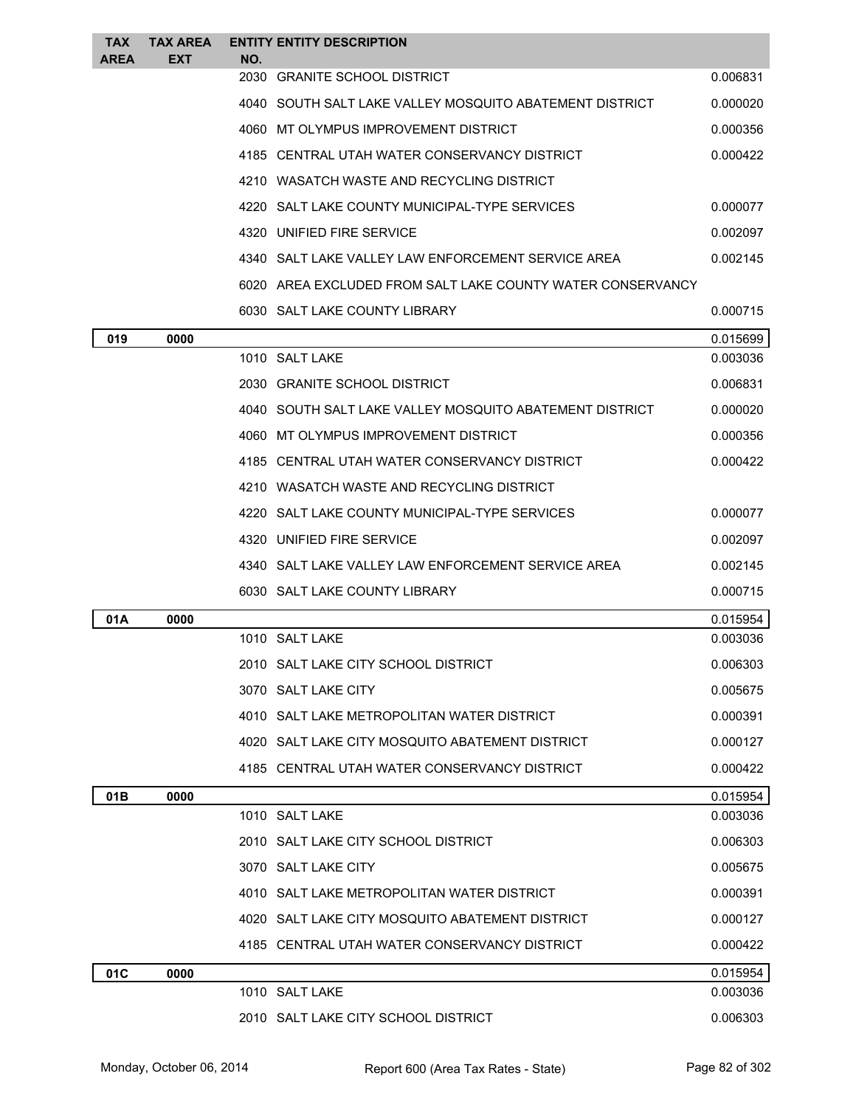| TAX<br><b>AREA</b> | <b>TAX AREA</b><br><b>EXT</b> | NO.  | <b>ENTITY ENTITY DESCRIPTION</b>                           |          |
|--------------------|-------------------------------|------|------------------------------------------------------------|----------|
|                    |                               | 2030 | <b>GRANITE SCHOOL DISTRICT</b>                             | 0.006831 |
|                    |                               |      | 4040 SOUTH SALT LAKE VALLEY MOSQUITO ABATEMENT DISTRICT    | 0.000020 |
|                    |                               |      | 4060 MT OLYMPUS IMPROVEMENT DISTRICT                       | 0.000356 |
|                    |                               |      | 4185 CENTRAL UTAH WATER CONSERVANCY DISTRICT               | 0.000422 |
|                    |                               |      | 4210 WASATCH WASTE AND RECYCLING DISTRICT                  |          |
|                    |                               |      | 4220 SALT LAKE COUNTY MUNICIPAL-TYPE SERVICES              | 0.000077 |
|                    |                               |      | 4320 UNIFIED FIRE SERVICE                                  | 0.002097 |
|                    |                               |      | 4340 SALT LAKE VALLEY LAW ENFORCEMENT SERVICE AREA         | 0.002145 |
|                    |                               |      | 6020 AREA EXCLUDED FROM SALT LAKE COUNTY WATER CONSERVANCY |          |
|                    |                               |      | 6030 SALT LAKE COUNTY LIBRARY                              | 0.000715 |
| 019                | 0000                          |      |                                                            | 0.015699 |
|                    |                               |      | 1010 SALT LAKE                                             | 0.003036 |
|                    |                               |      | 2030 GRANITE SCHOOL DISTRICT                               | 0.006831 |
|                    |                               |      | 4040 SOUTH SALT LAKE VALLEY MOSQUITO ABATEMENT DISTRICT    | 0.000020 |
|                    |                               |      | 4060 MT OLYMPUS IMPROVEMENT DISTRICT                       | 0.000356 |
|                    |                               |      | 4185 CENTRAL UTAH WATER CONSERVANCY DISTRICT               | 0.000422 |
|                    |                               |      | 4210 WASATCH WASTE AND RECYCLING DISTRICT                  |          |
|                    |                               |      | 4220 SALT LAKE COUNTY MUNICIPAL-TYPE SERVICES              | 0.000077 |
|                    |                               |      | 4320 UNIFIED FIRE SERVICE                                  | 0.002097 |
|                    |                               |      | 4340   SALT LAKE VALLEY LAW ENFORCEMENT SERVICE AREA       | 0.002145 |
|                    |                               |      | 6030 SALT LAKE COUNTY LIBRARY                              | 0.000715 |
| 01A                | 0000                          |      |                                                            | 0.015954 |
|                    |                               |      | 1010 SALT LAKE                                             | 0.003036 |
|                    |                               |      | 2010 SALT LAKE CITY SCHOOL DISTRICT                        | 0.006303 |
|                    |                               |      | 3070 SALT LAKE CITY                                        | 0.005675 |
|                    |                               |      | 4010 SALT LAKE METROPOLITAN WATER DISTRICT                 | 0.000391 |
|                    |                               |      | 4020 SALT LAKE CITY MOSQUITO ABATEMENT DISTRICT            | 0.000127 |
|                    |                               |      | 4185 CENTRAL UTAH WATER CONSERVANCY DISTRICT               | 0.000422 |
| 01B                | 0000                          |      |                                                            | 0.015954 |
|                    |                               |      | 1010 SALT LAKE                                             | 0.003036 |
|                    |                               |      | 2010 SALT LAKE CITY SCHOOL DISTRICT                        | 0.006303 |
|                    |                               |      | 3070 SALT LAKE CITY                                        | 0.005675 |
|                    |                               |      | 4010 SALT LAKE METROPOLITAN WATER DISTRICT                 | 0.000391 |
|                    |                               |      | 4020 SALT LAKE CITY MOSQUITO ABATEMENT DISTRICT            | 0.000127 |
|                    |                               |      | 4185 CENTRAL UTAH WATER CONSERVANCY DISTRICT               | 0.000422 |
| 01C                | 0000                          |      |                                                            | 0.015954 |
|                    |                               |      | 1010 SALT LAKE                                             | 0.003036 |
|                    |                               |      | 2010 SALT LAKE CITY SCHOOL DISTRICT                        | 0.006303 |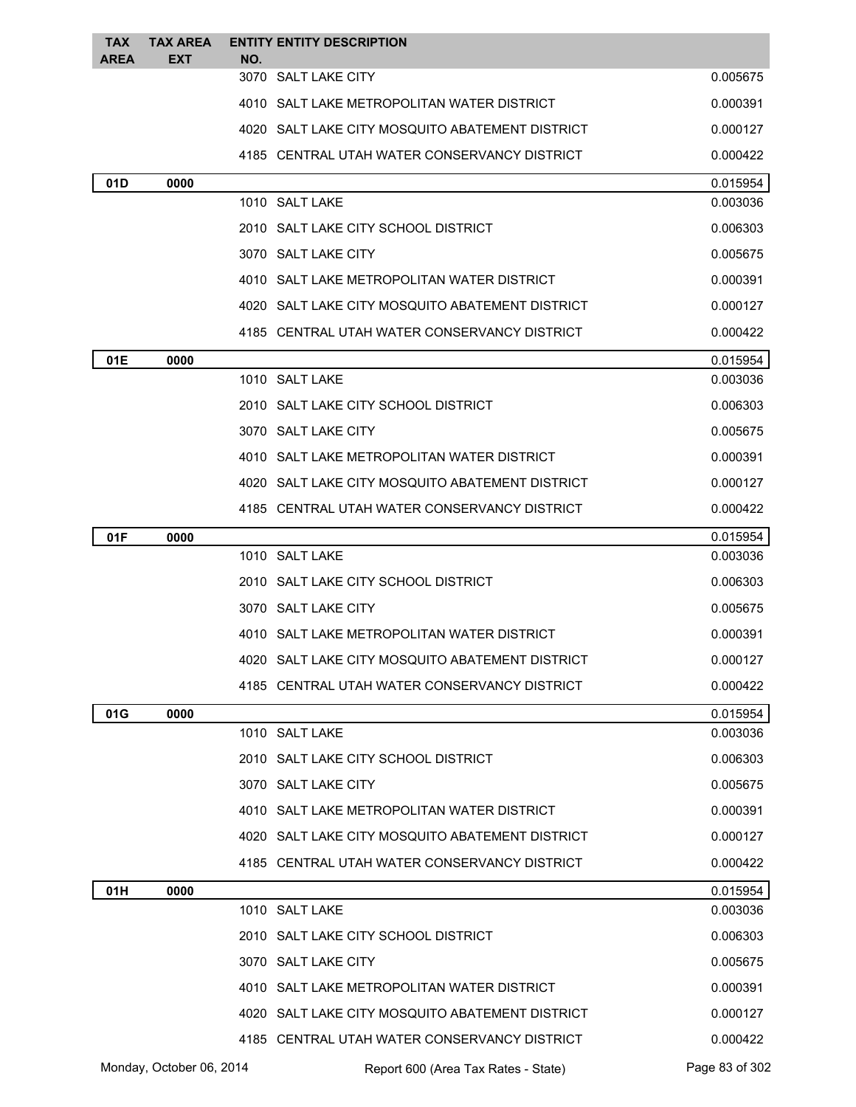| TAX         | <b>TAX AREA</b> | <b>ENTITY ENTITY DESCRIPTION</b>                |                      |
|-------------|-----------------|-------------------------------------------------|----------------------|
| <b>AREA</b> | <b>EXT</b>      | NO.<br>3070 SALT LAKE CITY                      | 0.005675             |
|             |                 | 4010 SALT LAKE METROPOLITAN WATER DISTRICT      | 0.000391             |
|             |                 | 4020 SALT LAKE CITY MOSQUITO ABATEMENT DISTRICT | 0.000127             |
|             |                 | 4185 CENTRAL UTAH WATER CONSERVANCY DISTRICT    | 0.000422             |
| 01D         | 0000            |                                                 | 0.015954             |
|             |                 | 1010 SALT LAKE                                  | 0.003036             |
|             |                 | 2010 SALT LAKE CITY SCHOOL DISTRICT             | 0.006303             |
|             |                 | 3070 SALT LAKE CITY                             | 0.005675             |
|             |                 | 4010 SALT LAKE METROPOLITAN WATER DISTRICT      | 0.000391             |
|             |                 | 4020 SALT LAKE CITY MOSQUITO ABATEMENT DISTRICT | 0.000127             |
|             |                 | 4185 CENTRAL UTAH WATER CONSERVANCY DISTRICT    | 0.000422             |
| 01E         | 0000            |                                                 | 0.015954             |
|             |                 | 1010 SALT LAKE                                  | 0.003036             |
|             |                 | 2010 SALT LAKE CITY SCHOOL DISTRICT             | 0.006303             |
|             |                 | 3070 SALT LAKE CITY                             | 0.005675             |
|             |                 | 4010 SALT LAKE METROPOLITAN WATER DISTRICT      | 0.000391             |
|             |                 | 4020 SALT LAKE CITY MOSQUITO ABATEMENT DISTRICT | 0.000127             |
|             |                 | 4185 CENTRAL UTAH WATER CONSERVANCY DISTRICT    | 0.000422             |
| 01F         | 0000            |                                                 | 0.015954             |
|             |                 | 1010 SALT LAKE                                  | 0.003036             |
|             |                 | 2010 SALT LAKE CITY SCHOOL DISTRICT             | 0.006303             |
|             |                 | 3070 SALT LAKE CITY                             | 0.005675             |
|             |                 | 4010 SALT LAKE METROPOLITAN WATER DISTRICT      | 0.000391             |
|             |                 | 4020 SALT LAKE CITY MOSQUITO ABATEMENT DISTRICT | 0.000127             |
|             |                 | 4185 CENTRAL UTAH WATER CONSERVANCY DISTRICT    | 0.000422             |
| 01G         | 0000            |                                                 | 0.015954             |
|             |                 | 1010 SALT LAKE                                  | 0.003036             |
|             |                 | 2010 SALT LAKE CITY SCHOOL DISTRICT             | 0.006303             |
|             |                 | 3070 SALT LAKE CITY                             | 0.005675             |
|             |                 | 4010 SALT LAKE METROPOLITAN WATER DISTRICT      | 0.000391             |
|             |                 | 4020 SALT LAKE CITY MOSQUITO ABATEMENT DISTRICT | 0.000127             |
|             |                 | 4185 CENTRAL UTAH WATER CONSERVANCY DISTRICT    | 0.000422             |
| 01H         | 0000            | 1010 SALT LAKE                                  | 0.015954<br>0.003036 |
|             |                 | 2010 SALT LAKE CITY SCHOOL DISTRICT             | 0.006303             |
|             |                 | 3070 SALT LAKE CITY                             | 0.005675             |
|             |                 | 4010 SALT LAKE METROPOLITAN WATER DISTRICT      | 0.000391             |
|             |                 |                                                 |                      |
|             |                 | 4020 SALT LAKE CITY MOSQUITO ABATEMENT DISTRICT | 0.000127             |
|             |                 | 4185 CENTRAL UTAH WATER CONSERVANCY DISTRICT    | 0.000422             |

Monday, October 06, 2014 Report 600 (Area Tax Rates - State) Rage 83 of 302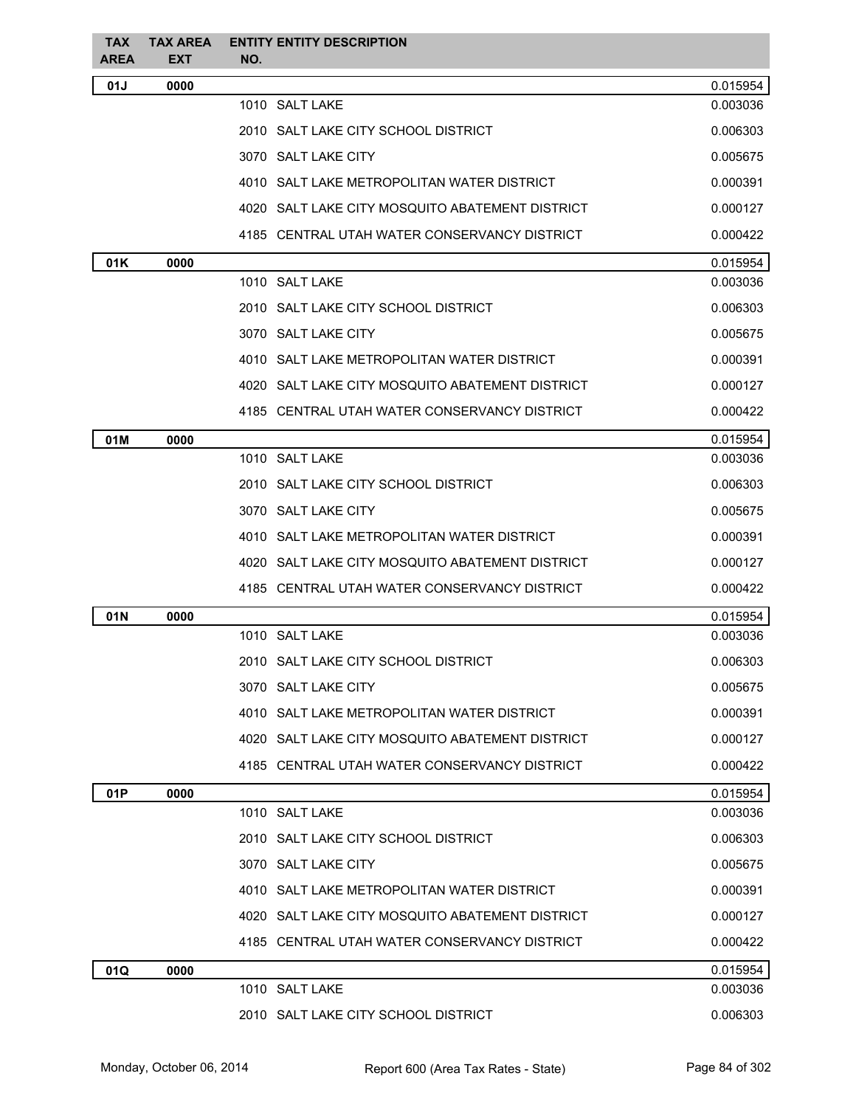| <b>TAX</b><br><b>AREA</b> | <b>TAX AREA</b><br><b>EXT</b> | <b>ENTITY ENTITY DESCRIPTION</b><br>NO.         |          |
|---------------------------|-------------------------------|-------------------------------------------------|----------|
| 01J                       | 0000                          |                                                 | 0.015954 |
|                           |                               | 1010 SALT LAKE                                  | 0.003036 |
|                           |                               | 2010 SALT LAKE CITY SCHOOL DISTRICT             | 0.006303 |
|                           |                               | 3070 SALT LAKE CITY                             | 0.005675 |
|                           |                               | 4010 SALT LAKE METROPOLITAN WATER DISTRICT      | 0.000391 |
|                           |                               | 4020 SALT LAKE CITY MOSQUITO ABATEMENT DISTRICT | 0.000127 |
|                           |                               | 4185 CENTRAL UTAH WATER CONSERVANCY DISTRICT    | 0.000422 |
| 01K                       | 0000                          |                                                 | 0.015954 |
|                           |                               | 1010 SALT LAKE                                  | 0.003036 |
|                           |                               | 2010 SALT LAKE CITY SCHOOL DISTRICT             | 0.006303 |
|                           |                               | 3070 SALT LAKE CITY                             | 0.005675 |
|                           |                               | 4010 SALT LAKE METROPOLITAN WATER DISTRICT      | 0.000391 |
|                           |                               | 4020 SALT LAKE CITY MOSQUITO ABATEMENT DISTRICT | 0.000127 |
|                           |                               | 4185 CENTRAL UTAH WATER CONSERVANCY DISTRICT    | 0.000422 |
| 01M                       | 0000                          |                                                 | 0.015954 |
|                           |                               | 1010 SALT LAKE                                  | 0.003036 |
|                           |                               | 2010 SALT LAKE CITY SCHOOL DISTRICT             | 0.006303 |
|                           |                               | 3070 SALT LAKE CITY                             | 0.005675 |
|                           |                               | 4010 SALT LAKE METROPOLITAN WATER DISTRICT      | 0.000391 |
|                           |                               | 4020 SALT LAKE CITY MOSQUITO ABATEMENT DISTRICT | 0.000127 |
|                           |                               | 4185 CENTRAL UTAH WATER CONSERVANCY DISTRICT    | 0.000422 |
| 01N                       | 0000                          |                                                 | 0.015954 |
|                           |                               | 1010 SALT LAKE                                  | 0.003036 |
|                           |                               | 2010 SALT LAKE CITY SCHOOL DISTRICT             | 0.006303 |
|                           |                               | 3070 SALT LAKE CITY                             | 0.005675 |
|                           |                               | 4010 SALT LAKE METROPOLITAN WATER DISTRICT      | 0.000391 |
|                           |                               | 4020 SALT LAKE CITY MOSQUITO ABATEMENT DISTRICT | 0.000127 |
|                           |                               | 4185 CENTRAL UTAH WATER CONSERVANCY DISTRICT    | 0.000422 |
| 01P                       | 0000                          |                                                 | 0.015954 |
|                           |                               | 1010 SALT LAKE                                  | 0.003036 |
|                           |                               | 2010 SALT LAKE CITY SCHOOL DISTRICT             | 0.006303 |
|                           |                               | 3070 SALT LAKE CITY                             | 0.005675 |
|                           |                               | 4010 SALT LAKE METROPOLITAN WATER DISTRICT      | 0.000391 |
|                           |                               | 4020 SALT LAKE CITY MOSQUITO ABATEMENT DISTRICT | 0.000127 |
|                           |                               | 4185 CENTRAL UTAH WATER CONSERVANCY DISTRICT    | 0.000422 |
| 01Q                       | 0000                          |                                                 | 0.015954 |
|                           |                               | 1010 SALT LAKE                                  | 0.003036 |
|                           |                               | 2010 SALT LAKE CITY SCHOOL DISTRICT             | 0.006303 |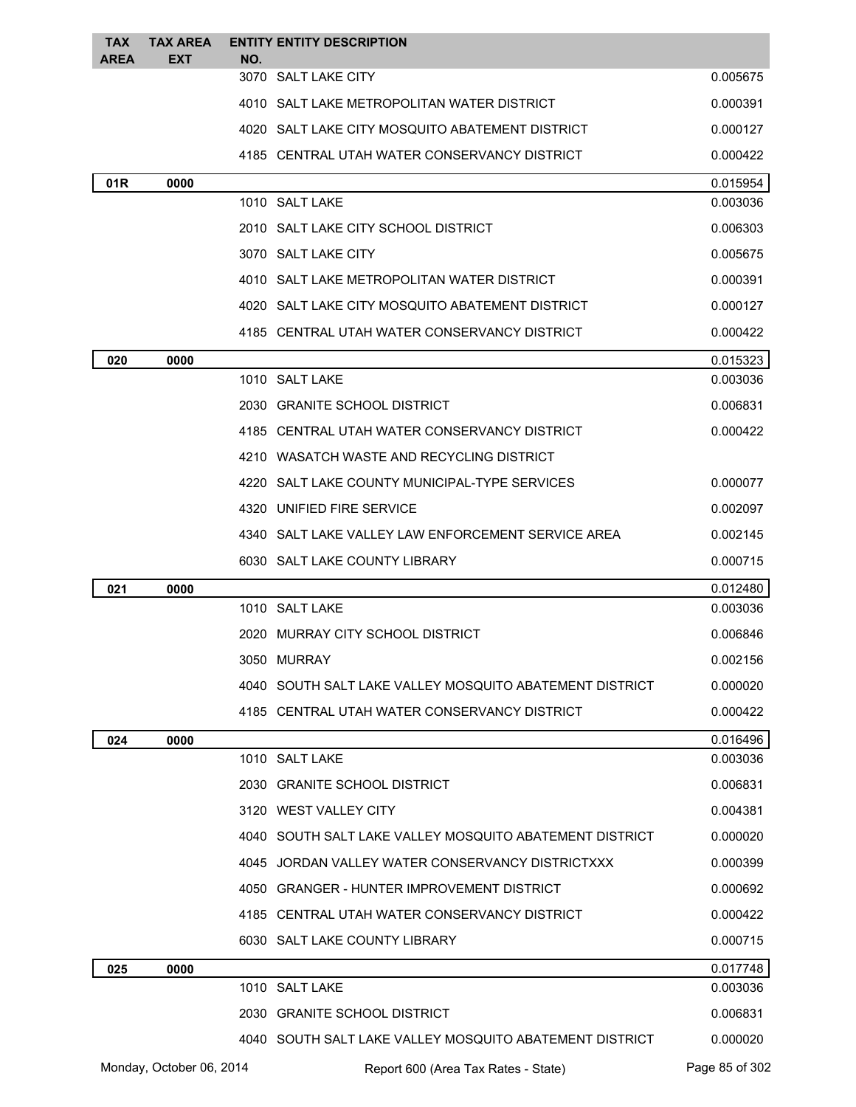| <b>TAX</b>      | <b>TAX AREA</b>          |     | <b>ENTITY ENTITY DESCRIPTION</b>                        |                      |
|-----------------|--------------------------|-----|---------------------------------------------------------|----------------------|
| <b>AREA</b>     | <b>EXT</b>               | NO. | 3070 SALT LAKE CITY                                     | 0.005675             |
|                 |                          |     | 4010 SALT LAKE METROPOLITAN WATER DISTRICT              | 0.000391             |
|                 |                          |     | 4020 SALT LAKE CITY MOSQUITO ABATEMENT DISTRICT         | 0.000127             |
|                 |                          |     | 4185 CENTRAL UTAH WATER CONSERVANCY DISTRICT            | 0.000422             |
| 01 <sub>R</sub> | 0000                     |     |                                                         | 0.015954             |
|                 |                          |     | 1010 SALT LAKE                                          | 0.003036             |
|                 |                          |     | 2010 SALT LAKE CITY SCHOOL DISTRICT                     | 0.006303             |
|                 |                          |     | 3070 SALT LAKE CITY                                     | 0.005675             |
|                 |                          |     | 4010 SALT LAKE METROPOLITAN WATER DISTRICT              | 0.000391             |
|                 |                          |     | 4020 SALT LAKE CITY MOSQUITO ABATEMENT DISTRICT         | 0.000127             |
|                 |                          |     | 4185 CENTRAL UTAH WATER CONSERVANCY DISTRICT            | 0.000422             |
| 020             | 0000                     |     |                                                         | 0.015323             |
|                 |                          |     | 1010 SALT LAKE                                          | 0.003036             |
|                 |                          |     | 2030 GRANITE SCHOOL DISTRICT                            | 0.006831             |
|                 |                          |     | 4185 CENTRAL UTAH WATER CONSERVANCY DISTRICT            | 0.000422             |
|                 |                          |     | 4210 WASATCH WASTE AND RECYCLING DISTRICT               |                      |
|                 |                          |     | 4220 SALT LAKE COUNTY MUNICIPAL-TYPE SERVICES           | 0.000077             |
|                 |                          |     | 4320 UNIFIED FIRE SERVICE                               | 0.002097             |
|                 |                          |     | 4340 SALT LAKE VALLEY LAW ENFORCEMENT SERVICE AREA      | 0.002145             |
|                 |                          |     | 6030 SALT LAKE COUNTY LIBRARY                           | 0.000715             |
| 021             | 0000                     |     |                                                         | 0.012480             |
|                 |                          |     | 1010 SALT LAKE                                          | 0.003036             |
|                 |                          |     | 2020 MURRAY CITY SCHOOL DISTRICT                        | 0.006846             |
|                 |                          |     | 3050 MURRAY                                             | 0.002156             |
|                 |                          |     | 4040 SOUTH SALT LAKE VALLEY MOSQUITO ABATEMENT DISTRICT | 0.000020             |
|                 |                          |     | 4185 CENTRAL UTAH WATER CONSERVANCY DISTRICT            | 0.000422             |
| 024             | 0000                     |     |                                                         | 0.016496             |
|                 |                          |     | 1010 SALT LAKE                                          | 0.003036             |
|                 |                          |     | 2030 GRANITE SCHOOL DISTRICT                            | 0.006831             |
|                 |                          |     | 3120 WEST VALLEY CITY                                   | 0.004381             |
|                 |                          |     | 4040 SOUTH SALT LAKE VALLEY MOSQUITO ABATEMENT DISTRICT | 0.000020             |
|                 |                          |     | 4045 JORDAN VALLEY WATER CONSERVANCY DISTRICTXXX        | 0.000399             |
|                 |                          |     | 4050 GRANGER - HUNTER IMPROVEMENT DISTRICT              | 0.000692             |
|                 |                          |     | 4185 CENTRAL UTAH WATER CONSERVANCY DISTRICT            | 0.000422             |
|                 |                          |     | 6030 SALT LAKE COUNTY LIBRARY                           | 0.000715             |
| 025             | 0000                     |     | 1010 SALT LAKE                                          | 0.017748<br>0.003036 |
|                 |                          |     | 2030 GRANITE SCHOOL DISTRICT                            | 0.006831             |
|                 |                          |     | 4040 SOUTH SALT LAKE VALLEY MOSQUITO ABATEMENT DISTRICT | 0.000020             |
|                 | Monday, October 06, 2014 |     | Report 600 (Area Tax Rates - State)                     | Page 85 of 302       |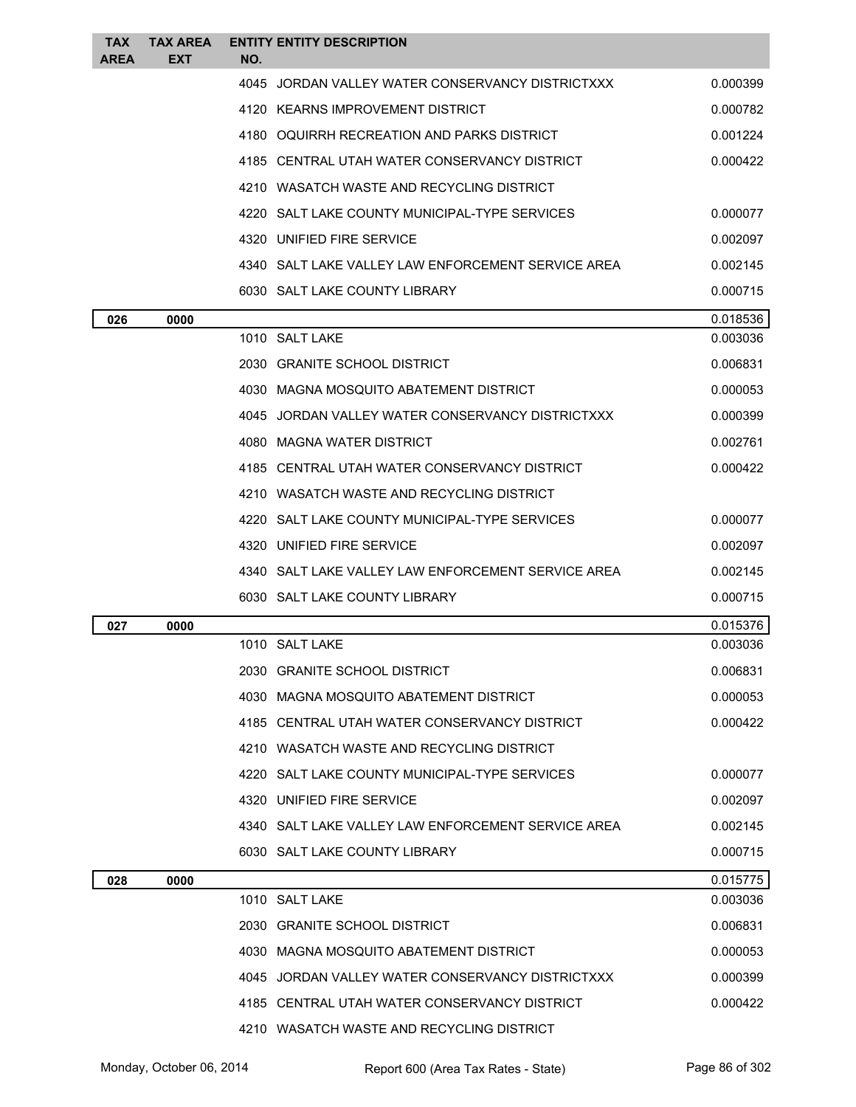| TAX<br><b>AREA</b> | <b>TAX AREA</b><br><b>EXT</b> | <b>ENTITY ENTITY DESCRIPTION</b><br>NO.            |          |
|--------------------|-------------------------------|----------------------------------------------------|----------|
|                    |                               | 4045 JORDAN VALLEY WATER CONSERVANCY DISTRICTXXX   | 0.000399 |
|                    |                               | 4120 KEARNS IMPROVEMENT DISTRICT                   | 0.000782 |
|                    |                               | 4180 OQUIRRH RECREATION AND PARKS DISTRICT         | 0.001224 |
|                    |                               | 4185 CENTRAL UTAH WATER CONSERVANCY DISTRICT       | 0.000422 |
|                    |                               | 4210 WASATCH WASTE AND RECYCLING DISTRICT          |          |
|                    |                               | 4220 SALT LAKE COUNTY MUNICIPAL-TYPE SERVICES      | 0.000077 |
|                    |                               | 4320 UNIFIED FIRE SERVICE                          | 0.002097 |
|                    |                               | 4340 SALT LAKE VALLEY LAW ENFORCEMENT SERVICE AREA | 0.002145 |
|                    |                               | 6030 SALT LAKE COUNTY LIBRARY                      | 0.000715 |
| 026                | 0000                          |                                                    | 0.018536 |
|                    |                               | 1010 SALT LAKE                                     | 0.003036 |
|                    |                               | 2030 GRANITE SCHOOL DISTRICT                       | 0.006831 |
|                    |                               | 4030 MAGNA MOSQUITO ABATEMENT DISTRICT             | 0.000053 |
|                    |                               | 4045 JORDAN VALLEY WATER CONSERVANCY DISTRICTXXX   | 0.000399 |
|                    |                               | 4080 MAGNA WATER DISTRICT                          | 0.002761 |
|                    |                               | 4185 CENTRAL UTAH WATER CONSERVANCY DISTRICT       | 0.000422 |
|                    |                               | 4210 WASATCH WASTE AND RECYCLING DISTRICT          |          |
|                    |                               | 4220 SALT LAKE COUNTY MUNICIPAL-TYPE SERVICES      | 0.000077 |
|                    |                               | 4320 UNIFIED FIRE SERVICE                          | 0.002097 |
|                    |                               | 4340 SALT LAKE VALLEY LAW ENFORCEMENT SERVICE AREA | 0.002145 |
|                    |                               | 6030 SALT LAKE COUNTY LIBRARY                      | 0.000715 |
| 027                | 0000                          |                                                    | 0.015376 |
|                    |                               | 1010 SALT LAKE                                     | 0.003036 |
|                    |                               | 2030 GRANITE SCHOOL DISTRICT                       | 0.006831 |
|                    |                               | 4030 MAGNA MOSQUITO ABATEMENT DISTRICT             | 0.000053 |
|                    |                               | 4185 CENTRAL UTAH WATER CONSERVANCY DISTRICT       | 0.000422 |
|                    |                               | 4210 WASATCH WASTE AND RECYCLING DISTRICT          |          |
|                    |                               | 4220 SALT LAKE COUNTY MUNICIPAL-TYPE SERVICES      | 0.000077 |
|                    |                               | 4320 UNIFIED FIRE SERVICE                          | 0.002097 |
|                    |                               | 4340 SALT LAKE VALLEY LAW ENFORCEMENT SERVICE AREA | 0.002145 |
|                    |                               | 6030 SALT LAKE COUNTY LIBRARY                      | 0.000715 |
| 028                | 0000                          |                                                    | 0.015775 |
|                    |                               | 1010 SALT LAKE                                     | 0.003036 |
|                    |                               | 2030 GRANITE SCHOOL DISTRICT                       | 0.006831 |
|                    |                               | 4030 MAGNA MOSQUITO ABATEMENT DISTRICT             | 0.000053 |
|                    |                               | 4045 JORDAN VALLEY WATER CONSERVANCY DISTRICTXXX   | 0.000399 |
|                    |                               | 4185 CENTRAL UTAH WATER CONSERVANCY DISTRICT       | 0.000422 |
|                    |                               | 4210 WASATCH WASTE AND RECYCLING DISTRICT          |          |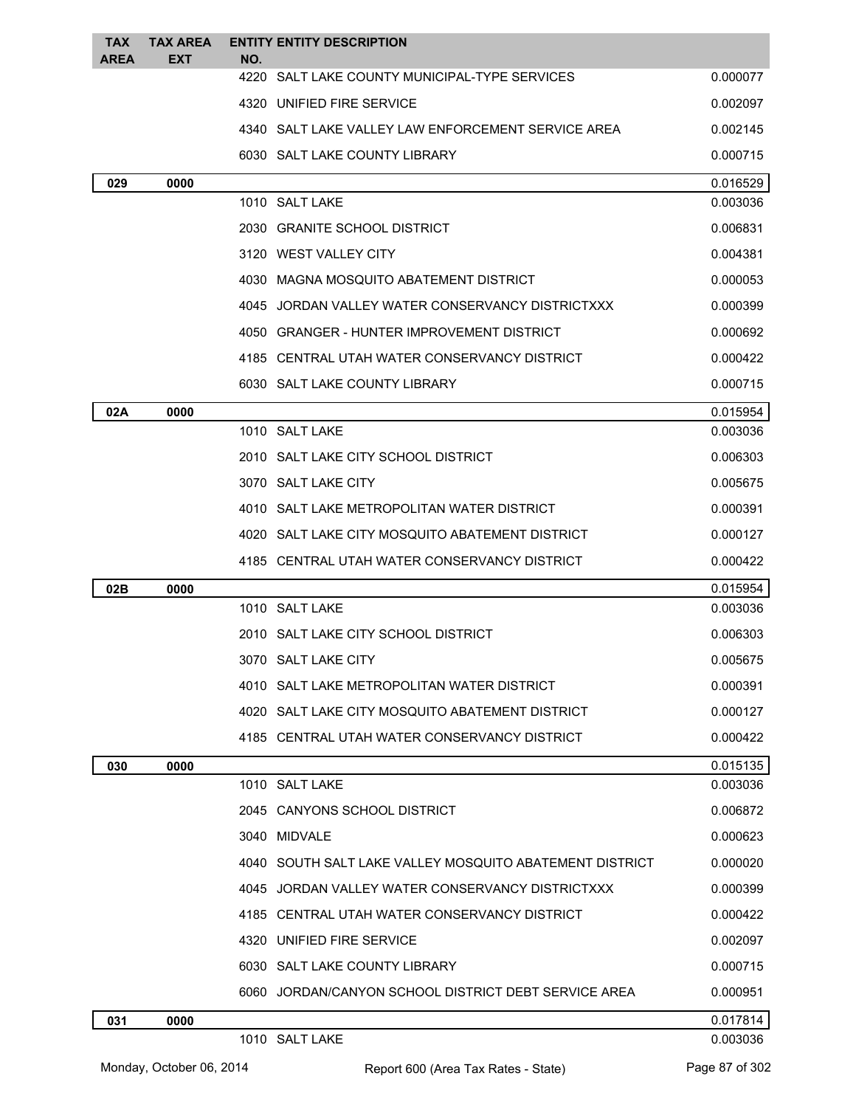| <b>TAX</b><br><b>AREA</b> | <b>TAX AREA</b><br><b>EXT</b> | <b>ENTITY ENTITY DESCRIPTION</b><br>NO.                 |          |
|---------------------------|-------------------------------|---------------------------------------------------------|----------|
|                           |                               | 4220<br>SALT LAKE COUNTY MUNICIPAL-TYPE SERVICES        | 0.000077 |
|                           |                               | 4320 UNIFIED FIRE SERVICE                               | 0.002097 |
|                           |                               | 4340 SALT LAKE VALLEY LAW ENFORCEMENT SERVICE AREA      | 0.002145 |
|                           |                               | 6030 SALT LAKE COUNTY LIBRARY                           | 0.000715 |
| 029                       | 0000                          |                                                         | 0.016529 |
|                           |                               | 1010 SALT LAKE                                          | 0.003036 |
|                           |                               | 2030 GRANITE SCHOOL DISTRICT                            | 0.006831 |
|                           |                               | 3120 WEST VALLEY CITY                                   | 0.004381 |
|                           |                               | 4030 MAGNA MOSQUITO ABATEMENT DISTRICT                  | 0.000053 |
|                           |                               | 4045 JORDAN VALLEY WATER CONSERVANCY DISTRICTXXX        | 0.000399 |
|                           |                               | 4050 GRANGER - HUNTER IMPROVEMENT DISTRICT              | 0.000692 |
|                           |                               | 4185 CENTRAL UTAH WATER CONSERVANCY DISTRICT            | 0.000422 |
|                           |                               | 6030 SALT LAKE COUNTY LIBRARY                           | 0.000715 |
| 02A                       | 0000                          |                                                         | 0.015954 |
|                           |                               | 1010 SALT LAKE                                          | 0.003036 |
|                           |                               | 2010 SALT LAKE CITY SCHOOL DISTRICT                     | 0.006303 |
|                           |                               | 3070 SALT LAKE CITY                                     | 0.005675 |
|                           |                               | 4010 SALT LAKE METROPOLITAN WATER DISTRICT              | 0.000391 |
|                           |                               | 4020 SALT LAKE CITY MOSQUITO ABATEMENT DISTRICT         | 0.000127 |
|                           |                               | 4185 CENTRAL UTAH WATER CONSERVANCY DISTRICT            | 0.000422 |
| 02B                       | 0000                          |                                                         | 0.015954 |
|                           |                               | 1010 SALT LAKE                                          | 0.003036 |
|                           |                               | 2010 SALT LAKE CITY SCHOOL DISTRICT                     | 0.006303 |
|                           |                               | 3070 SALT LAKE CITY                                     | 0.005675 |
|                           |                               | 4010 SALT LAKE METROPOLITAN WATER DISTRICT              | 0.000391 |
|                           |                               | 4020 SALT LAKE CITY MOSQUITO ABATEMENT DISTRICT         | 0.000127 |
|                           |                               | 4185 CENTRAL UTAH WATER CONSERVANCY DISTRICT            | 0.000422 |
| 030                       | 0000                          |                                                         | 0.015135 |
|                           |                               | 1010 SALT LAKE                                          | 0.003036 |
|                           |                               | 2045 CANYONS SCHOOL DISTRICT                            | 0.006872 |
|                           |                               | 3040 MIDVALE                                            | 0.000623 |
|                           |                               | 4040 SOUTH SALT LAKE VALLEY MOSQUITO ABATEMENT DISTRICT | 0.000020 |
|                           |                               | 4045 JORDAN VALLEY WATER CONSERVANCY DISTRICTXXX        | 0.000399 |
|                           |                               | 4185 CENTRAL UTAH WATER CONSERVANCY DISTRICT            | 0.000422 |
|                           |                               | 4320 UNIFIED FIRE SERVICE                               | 0.002097 |
|                           |                               | 6030 SALT LAKE COUNTY LIBRARY                           | 0.000715 |
|                           |                               | 6060 JORDAN/CANYON SCHOOL DISTRICT DEBT SERVICE AREA    | 0.000951 |
| 031                       | 0000                          |                                                         | 0.017814 |
|                           |                               | 1010 SALT LAKE                                          | 0.003036 |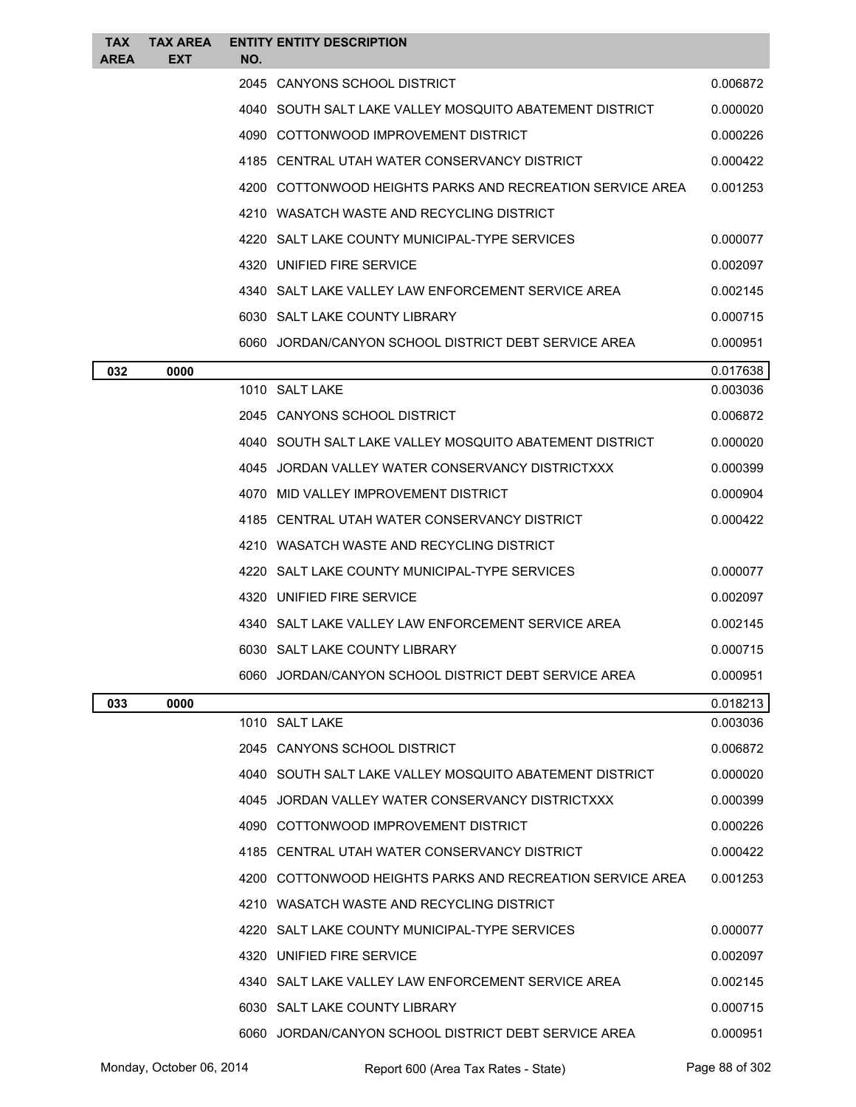| <b>TAX</b><br>AREA | <b>TAX AREA</b><br><b>EXT</b> | NO. | <b>ENTITY ENTITY DESCRIPTION</b>                          |          |
|--------------------|-------------------------------|-----|-----------------------------------------------------------|----------|
|                    |                               |     | 2045 CANYONS SCHOOL DISTRICT                              | 0.006872 |
|                    |                               |     | 4040 SOUTH SALT LAKE VALLEY MOSQUITO ABATEMENT DISTRICT   | 0.000020 |
|                    |                               |     | 4090 COTTONWOOD IMPROVEMENT DISTRICT                      | 0.000226 |
|                    |                               |     | 4185 CENTRAL UTAH WATER CONSERVANCY DISTRICT              | 0.000422 |
|                    |                               |     | 4200 COTTONWOOD HEIGHTS PARKS AND RECREATION SERVICE AREA | 0.001253 |
|                    |                               |     | 4210 WASATCH WASTE AND RECYCLING DISTRICT                 |          |
|                    |                               |     | 4220 SALT LAKE COUNTY MUNICIPAL-TYPE SERVICES             | 0.000077 |
|                    |                               |     | 4320 UNIFIED FIRE SERVICE                                 | 0.002097 |
|                    |                               |     | 4340 SALT LAKE VALLEY LAW ENFORCEMENT SERVICE AREA        | 0.002145 |
|                    |                               |     | 6030 SALT LAKE COUNTY LIBRARY                             | 0.000715 |
|                    |                               |     | 6060 JORDAN/CANYON SCHOOL DISTRICT DEBT SERVICE AREA      | 0.000951 |
| 032                | 0000                          |     |                                                           | 0.017638 |
|                    |                               |     | 1010 SALT LAKE                                            | 0.003036 |
|                    |                               |     | 2045 CANYONS SCHOOL DISTRICT                              | 0.006872 |
|                    |                               |     | 4040 SOUTH SALT LAKE VALLEY MOSQUITO ABATEMENT DISTRICT   | 0.000020 |
|                    |                               |     | 4045 JORDAN VALLEY WATER CONSERVANCY DISTRICTXXX          | 0.000399 |
|                    |                               |     | 4070 MID VALLEY IMPROVEMENT DISTRICT                      | 0.000904 |
|                    |                               |     | 4185 CENTRAL UTAH WATER CONSERVANCY DISTRICT              | 0.000422 |
|                    |                               |     | 4210 WASATCH WASTE AND RECYCLING DISTRICT                 |          |
|                    |                               |     | 4220 SALT LAKE COUNTY MUNICIPAL-TYPE SERVICES             | 0.000077 |
|                    |                               |     | 4320 UNIFIED FIRE SERVICE                                 | 0.002097 |
|                    |                               |     | 4340 SALT LAKE VALLEY LAW ENFORCEMENT SERVICE AREA        | 0.002145 |
|                    |                               |     | 6030 SALT LAKE COUNTY LIBRARY                             | 0.000715 |
|                    |                               |     | 6060 JORDAN/CANYON SCHOOL DISTRICT DEBT SERVICE AREA      | 0.000951 |
| 033                | 0000                          |     |                                                           | 0.018213 |
|                    |                               |     | 1010 SALT LAKE                                            | 0.003036 |
|                    |                               |     | 2045 CANYONS SCHOOL DISTRICT                              | 0.006872 |
|                    |                               |     | 4040 SOUTH SALT LAKE VALLEY MOSQUITO ABATEMENT DISTRICT   | 0.000020 |
|                    |                               |     | 4045 JORDAN VALLEY WATER CONSERVANCY DISTRICTXXX          | 0.000399 |
|                    |                               |     | 4090 COTTONWOOD IMPROVEMENT DISTRICT                      | 0.000226 |
|                    |                               |     | 4185 CENTRAL UTAH WATER CONSERVANCY DISTRICT              | 0.000422 |
|                    |                               |     | 4200 COTTONWOOD HEIGHTS PARKS AND RECREATION SERVICE AREA | 0.001253 |
|                    |                               |     | 4210 WASATCH WASTE AND RECYCLING DISTRICT                 |          |
|                    |                               |     | 4220 SALT LAKE COUNTY MUNICIPAL-TYPE SERVICES             | 0.000077 |
|                    |                               |     | 4320 UNIFIED FIRE SERVICE                                 | 0.002097 |
|                    |                               |     | 4340 SALT LAKE VALLEY LAW ENFORCEMENT SERVICE AREA        | 0.002145 |
|                    |                               |     | 6030 SALT LAKE COUNTY LIBRARY                             | 0.000715 |
|                    |                               |     | 6060 JORDAN/CANYON SCHOOL DISTRICT DEBT SERVICE AREA      | 0.000951 |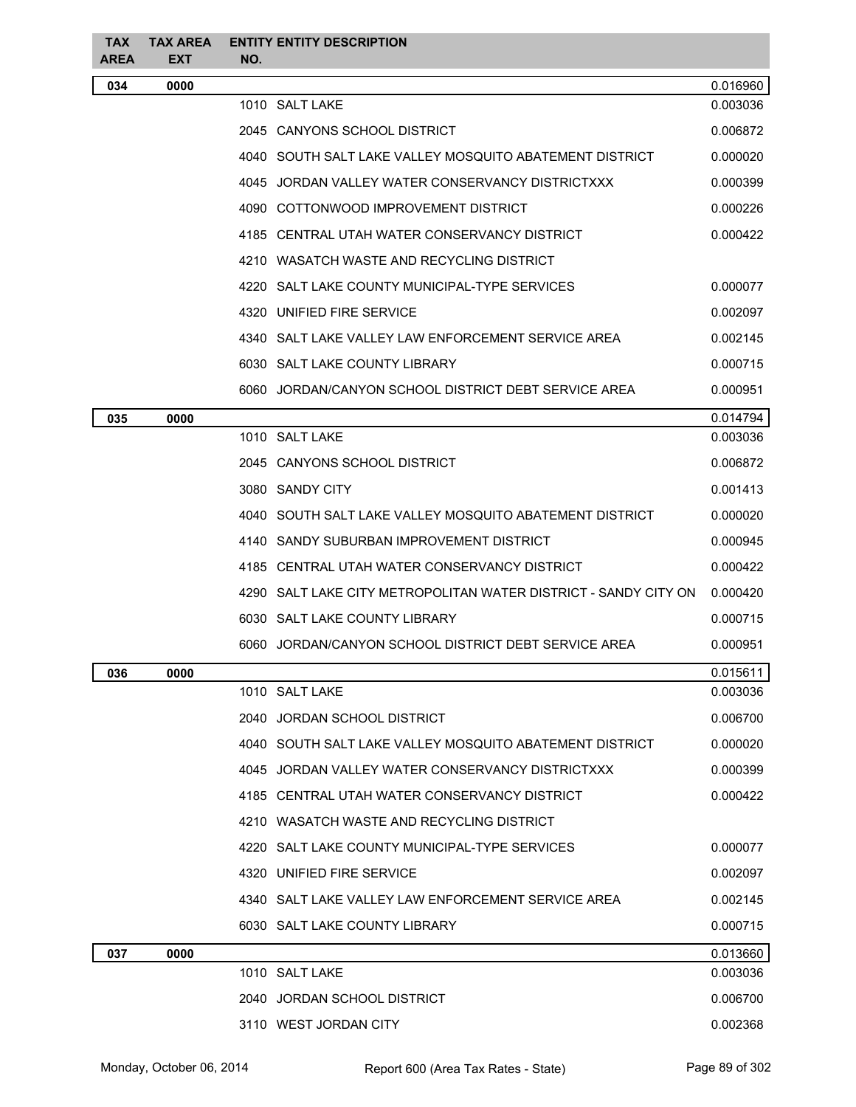| <b>TAX</b><br><b>AREA</b> | <b>TAX AREA</b><br><b>EXT</b> | NO. | <b>ENTITY ENTITY DESCRIPTION</b>                                  |          |
|---------------------------|-------------------------------|-----|-------------------------------------------------------------------|----------|
| 034                       | 0000                          |     |                                                                   | 0.016960 |
|                           |                               |     | 1010 SALT LAKE                                                    | 0.003036 |
|                           |                               |     | 2045 CANYONS SCHOOL DISTRICT                                      | 0.006872 |
|                           |                               |     | 4040   SOUTH SALT LAKE VALLEY MOSQUITO ABATEMENT DISTRICT         | 0.000020 |
|                           |                               |     | 4045 JORDAN VALLEY WATER CONSERVANCY DISTRICTXXX                  | 0.000399 |
|                           |                               |     | 4090 COTTONWOOD IMPROVEMENT DISTRICT                              | 0.000226 |
|                           |                               |     | 4185 CENTRAL UTAH WATER CONSERVANCY DISTRICT                      | 0.000422 |
|                           |                               |     | 4210 WASATCH WASTE AND RECYCLING DISTRICT                         |          |
|                           |                               |     | 4220 SALT LAKE COUNTY MUNICIPAL-TYPE SERVICES                     | 0.000077 |
|                           |                               |     | 4320 UNIFIED FIRE SERVICE                                         | 0.002097 |
|                           |                               |     | 4340 SALT LAKE VALLEY LAW ENFORCEMENT SERVICE AREA                | 0.002145 |
|                           |                               |     | 6030 SALT LAKE COUNTY LIBRARY                                     | 0.000715 |
|                           |                               |     | 6060 JORDAN/CANYON SCHOOL DISTRICT DEBT SERVICE AREA              | 0.000951 |
| 035                       | 0000                          |     |                                                                   | 0.014794 |
|                           |                               |     | 1010 SALT LAKE                                                    | 0.003036 |
|                           |                               |     | 2045 CANYONS SCHOOL DISTRICT                                      | 0.006872 |
|                           |                               |     | 3080 SANDY CITY                                                   | 0.001413 |
|                           |                               |     | 4040   SOUTH SALT LAKE VALLEY MOSQUITO ABATEMENT DISTRICT         | 0.000020 |
|                           |                               |     | 4140 SANDY SUBURBAN IMPROVEMENT DISTRICT                          | 0.000945 |
|                           |                               |     | 4185 CENTRAL UTAH WATER CONSERVANCY DISTRICT                      | 0.000422 |
|                           |                               |     | 4290   SALT LAKE CITY METROPOLITAN WATER DISTRICT - SANDY CITY ON | 0.000420 |
|                           |                               |     | 6030 SALT LAKE COUNTY LIBRARY                                     | 0.000715 |
|                           |                               |     | 6060   JORDAN/CANYON SCHOOL DISTRICT DEBT SERVICE AREA            | 0.000951 |
| 036                       | 0000                          |     |                                                                   | 0.015611 |
|                           |                               |     | 1010 SALT LAKE                                                    | 0.003036 |
|                           |                               |     | 2040 JORDAN SCHOOL DISTRICT                                       | 0.006700 |
|                           |                               |     | 4040 SOUTH SALT LAKE VALLEY MOSOUITO ABATEMENT DISTRICT           | 0.000020 |
|                           |                               |     | 4045 JORDAN VALLEY WATER CONSERVANCY DISTRICTXXX                  | 0.000399 |
|                           |                               |     | 4185 CENTRAL UTAH WATER CONSERVANCY DISTRICT                      | 0.000422 |
|                           |                               |     | 4210 WASATCH WASTE AND RECYCLING DISTRICT                         |          |
|                           |                               |     | 4220 SALT LAKE COUNTY MUNICIPAL-TYPE SERVICES                     | 0.000077 |
|                           |                               |     | 4320 UNIFIED FIRE SERVICE                                         | 0.002097 |
|                           |                               |     | 4340   SALT LAKE VALLEY LAW ENFORCEMENT SERVICE AREA              | 0.002145 |
|                           |                               |     | 6030 SALT LAKE COUNTY LIBRARY                                     | 0.000715 |
| 037                       | 0000                          |     |                                                                   | 0.013660 |
|                           |                               |     | 1010 SALT LAKE                                                    | 0.003036 |
|                           |                               |     | 2040 JORDAN SCHOOL DISTRICT                                       | 0.006700 |
|                           |                               |     | 3110 WEST JORDAN CITY                                             | 0.002368 |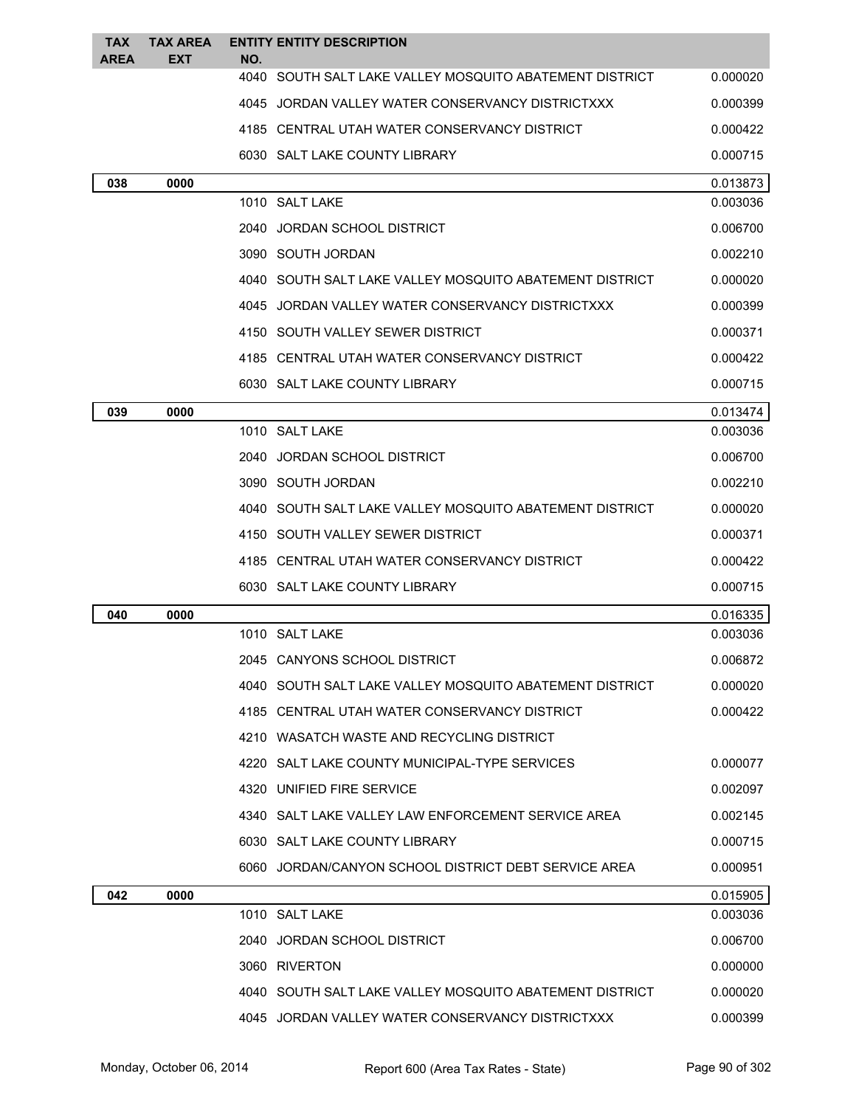| <b>TAX</b>  | <b>TAX AREA</b> | <b>ENTITY ENTITY DESCRIPTION</b>                                  |          |
|-------------|-----------------|-------------------------------------------------------------------|----------|
| <b>AREA</b> | EXT             | NO.<br>4040<br>SOUTH SALT LAKE VALLEY MOSQUITO ABATEMENT DISTRICT | 0.000020 |
|             |                 | 4045 JORDAN VALLEY WATER CONSERVANCY DISTRICTXXX                  | 0.000399 |
|             |                 | 4185 CENTRAL UTAH WATER CONSERVANCY DISTRICT                      | 0.000422 |
|             |                 | 6030 SALT LAKE COUNTY LIBRARY                                     | 0.000715 |
| 038         | 0000            |                                                                   | 0.013873 |
|             |                 | 1010 SALT LAKE                                                    | 0.003036 |
|             |                 | 2040 JORDAN SCHOOL DISTRICT                                       | 0.006700 |
|             |                 | 3090 SOUTH JORDAN                                                 | 0.002210 |
|             |                 | 4040   SOUTH SALT LAKE VALLEY MOSQUITO ABATEMENT DISTRICT         | 0.000020 |
|             |                 | 4045 JORDAN VALLEY WATER CONSERVANCY DISTRICTXXX                  | 0.000399 |
|             |                 | 4150 SOUTH VALLEY SEWER DISTRICT                                  | 0.000371 |
|             |                 | 4185 CENTRAL UTAH WATER CONSERVANCY DISTRICT                      | 0.000422 |
|             |                 | 6030 SALT LAKE COUNTY LIBRARY                                     | 0.000715 |
| 039         | 0000            |                                                                   | 0.013474 |
|             |                 | 1010 SALT LAKE                                                    | 0.003036 |
|             |                 | 2040 JORDAN SCHOOL DISTRICT                                       | 0.006700 |
|             |                 | 3090 SOUTH JORDAN                                                 | 0.002210 |
|             |                 | 4040 SOUTH SALT LAKE VALLEY MOSQUITO ABATEMENT DISTRICT           | 0.000020 |
|             |                 | 4150 SOUTH VALLEY SEWER DISTRICT                                  | 0.000371 |
|             |                 | 4185 CENTRAL UTAH WATER CONSERVANCY DISTRICT                      | 0.000422 |
|             |                 | 6030 SALT LAKE COUNTY LIBRARY                                     | 0.000715 |
| 040         | 0000            |                                                                   | 0.016335 |
|             |                 | 1010 SALT LAKE                                                    | 0.003036 |
|             |                 | 2045 CANYONS SCHOOL DISTRICT                                      | 0.006872 |
|             |                 | 4040 SOUTH SALT LAKE VALLEY MOSQUITO ABATEMENT DISTRICT           | 0.000020 |
|             |                 | 4185 CENTRAL UTAH WATER CONSERVANCY DISTRICT                      | 0.000422 |
|             |                 | 4210 WASATCH WASTE AND RECYCLING DISTRICT                         |          |
|             |                 | 4220 SALT LAKE COUNTY MUNICIPAL-TYPE SERVICES                     | 0.000077 |
|             |                 | 4320 UNIFIED FIRE SERVICE                                         | 0.002097 |
|             |                 | 4340 SALT LAKE VALLEY LAW ENFORCEMENT SERVICE AREA                | 0.002145 |
|             |                 | 6030 SALT LAKE COUNTY LIBRARY                                     | 0.000715 |
|             |                 | 6060 JORDAN/CANYON SCHOOL DISTRICT DEBT SERVICE AREA              | 0.000951 |
| 042         | 0000            |                                                                   | 0.015905 |
|             |                 | 1010 SALT LAKE                                                    | 0.003036 |
|             |                 | 2040 JORDAN SCHOOL DISTRICT                                       | 0.006700 |
|             |                 | 3060 RIVERTON                                                     | 0.000000 |
|             |                 | 4040 SOUTH SALT LAKE VALLEY MOSQUITO ABATEMENT DISTRICT           | 0.000020 |
|             |                 | 4045 JORDAN VALLEY WATER CONSERVANCY DISTRICTXXX                  | 0.000399 |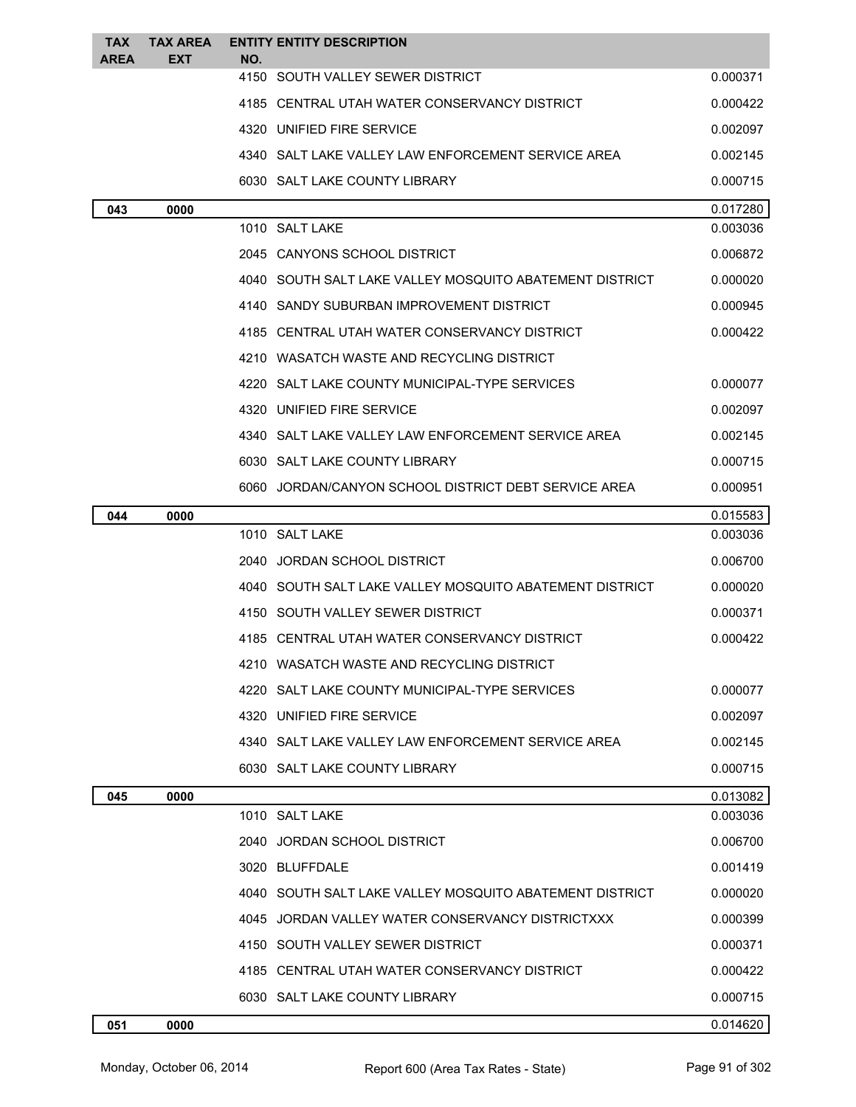| TAX<br><b>AREA</b> | <b>TAX AREA</b><br>EXT | <b>ENTITY ENTITY DESCRIPTION</b><br>NO.                   |          |
|--------------------|------------------------|-----------------------------------------------------------|----------|
|                    |                        | 4150 SOUTH VALLEY SEWER DISTRICT                          | 0.000371 |
|                    |                        | 4185 CENTRAL UTAH WATER CONSERVANCY DISTRICT              | 0.000422 |
|                    |                        | 4320 UNIFIED FIRE SERVICE                                 | 0.002097 |
|                    |                        | 4340 SALT LAKE VALLEY LAW ENFORCEMENT SERVICE AREA        | 0.002145 |
|                    |                        | 6030 SALT LAKE COUNTY LIBRARY                             | 0.000715 |
| 043                | 0000                   |                                                           | 0.017280 |
|                    |                        | 1010 SALT LAKE                                            | 0.003036 |
|                    |                        | 2045 CANYONS SCHOOL DISTRICT                              | 0.006872 |
|                    |                        | 4040   SOUTH SALT LAKE VALLEY MOSQUITO ABATEMENT DISTRICT | 0.000020 |
|                    |                        | 4140 SANDY SUBURBAN IMPROVEMENT DISTRICT                  | 0.000945 |
|                    |                        | 4185 CENTRAL UTAH WATER CONSERVANCY DISTRICT              | 0.000422 |
|                    |                        | 4210 WASATCH WASTE AND RECYCLING DISTRICT                 |          |
|                    |                        | 4220 SALT LAKE COUNTY MUNICIPAL-TYPE SERVICES             | 0.000077 |
|                    |                        | 4320 UNIFIED FIRE SERVICE                                 | 0.002097 |
|                    |                        | 4340 SALT LAKE VALLEY LAW ENFORCEMENT SERVICE AREA        | 0.002145 |
|                    |                        | 6030 SALT LAKE COUNTY LIBRARY                             | 0.000715 |
|                    |                        | 6060 JORDAN/CANYON SCHOOL DISTRICT DEBT SERVICE AREA      | 0.000951 |
| 044                | 0000                   |                                                           | 0.015583 |
|                    |                        | 1010 SALT LAKE                                            | 0.003036 |
|                    |                        | 2040 JORDAN SCHOOL DISTRICT                               | 0.006700 |
|                    |                        | 4040 SOUTH SALT LAKE VALLEY MOSQUITO ABATEMENT DISTRICT   | 0.000020 |
|                    |                        | 4150 SOUTH VALLEY SEWER DISTRICT                          | 0.000371 |
|                    |                        | 4185 CENTRAL UTAH WATER CONSERVANCY DISTRICT              | 0.000422 |
|                    |                        | WASATCH WASTE AND RECYCLING DISTRICT                      |          |
|                    |                        | 4220 SALT LAKE COUNTY MUNICIPAL-TYPE SERVICES             | 0.000077 |
|                    |                        | 4320 UNIFIED FIRE SERVICE                                 | 0.002097 |
|                    |                        | 4340 SALT LAKE VALLEY LAW ENFORCEMENT SERVICE AREA        | 0.002145 |
|                    |                        | 6030 SALT LAKE COUNTY LIBRARY                             | 0.000715 |
| 045                | 0000                   |                                                           | 0.013082 |
|                    |                        | 1010 SALT LAKE                                            | 0.003036 |
|                    |                        | 2040 JORDAN SCHOOL DISTRICT                               | 0.006700 |
|                    |                        | 3020 BLUFFDALE                                            | 0.001419 |
|                    |                        | 4040 SOUTH SALT LAKE VALLEY MOSQUITO ABATEMENT DISTRICT   | 0.000020 |
|                    |                        | 4045 JORDAN VALLEY WATER CONSERVANCY DISTRICTXXX          | 0.000399 |
|                    |                        | 4150 SOUTH VALLEY SEWER DISTRICT                          | 0.000371 |
|                    |                        | 4185 CENTRAL UTAH WATER CONSERVANCY DISTRICT              | 0.000422 |
|                    |                        | 6030 SALT LAKE COUNTY LIBRARY                             | 0.000715 |
| 051                | 0000                   |                                                           | 0.014620 |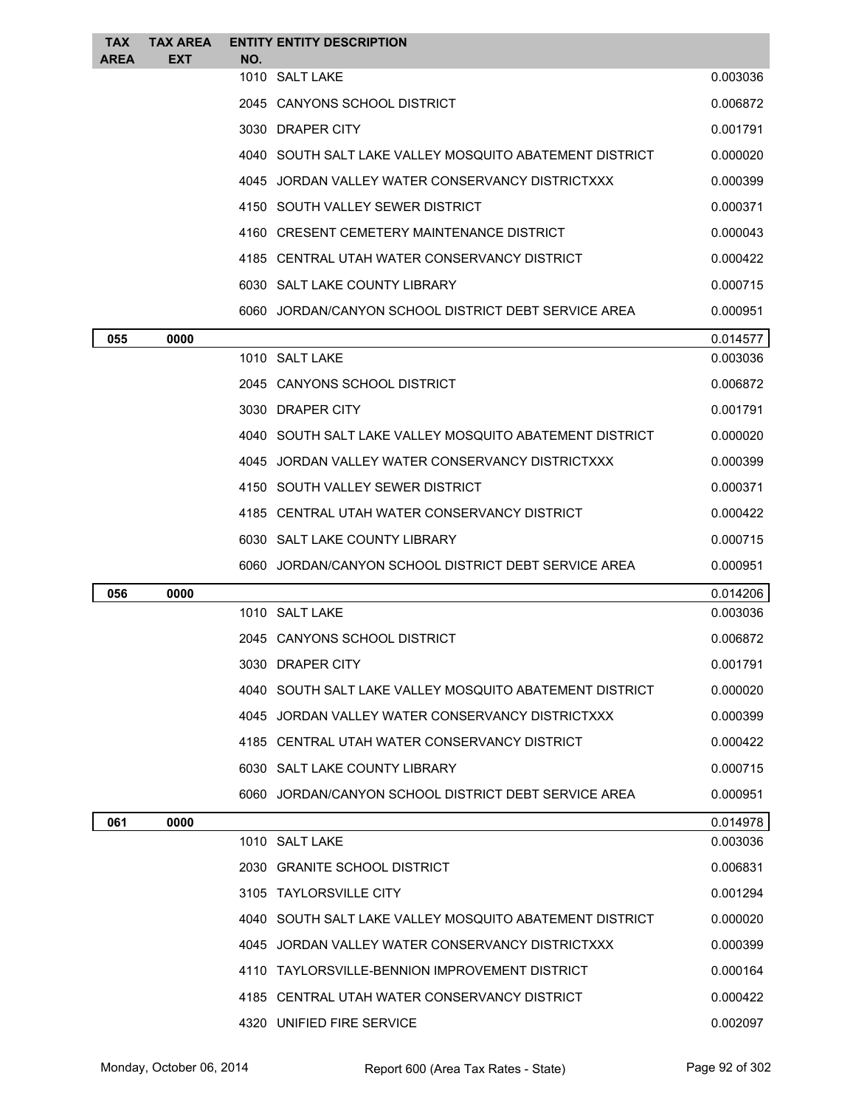| <b>TAX</b><br><b>AREA</b> | <b>TAX AREA</b><br><b>EXT</b> | NO. | <b>ENTITY ENTITY DESCRIPTION</b>                          |          |
|---------------------------|-------------------------------|-----|-----------------------------------------------------------|----------|
|                           |                               |     | 1010 SALT LAKE                                            | 0.003036 |
|                           |                               |     | 2045 CANYONS SCHOOL DISTRICT                              | 0.006872 |
|                           |                               |     | 3030 DRAPER CITY                                          | 0.001791 |
|                           |                               |     | 4040   SOUTH SALT LAKE VALLEY MOSQUITO ABATEMENT DISTRICT | 0.000020 |
|                           |                               |     | 4045 JORDAN VALLEY WATER CONSERVANCY DISTRICTXXX          | 0.000399 |
|                           |                               |     | 4150 SOUTH VALLEY SEWER DISTRICT                          | 0.000371 |
|                           |                               |     | 4160 CRESENT CEMETERY MAINTENANCE DISTRICT                | 0.000043 |
|                           |                               |     | 4185 CENTRAL UTAH WATER CONSERVANCY DISTRICT              | 0.000422 |
|                           |                               |     | 6030 SALT LAKE COUNTY LIBRARY                             | 0.000715 |
|                           |                               |     | 6060 JORDAN/CANYON SCHOOL DISTRICT DEBT SERVICE AREA      | 0.000951 |
| 055                       | 0000                          |     |                                                           | 0.014577 |
|                           |                               |     | 1010 SALT LAKE                                            | 0.003036 |
|                           |                               |     | 2045 CANYONS SCHOOL DISTRICT                              | 0.006872 |
|                           |                               |     | 3030 DRAPER CITY                                          | 0.001791 |
|                           |                               |     | 4040   SOUTH SALT LAKE VALLEY MOSQUITO ABATEMENT DISTRICT | 0.000020 |
|                           |                               |     | 4045 JORDAN VALLEY WATER CONSERVANCY DISTRICTXXX          | 0.000399 |
|                           |                               |     | 4150 SOUTH VALLEY SEWER DISTRICT                          | 0.000371 |
|                           |                               |     | 4185 CENTRAL UTAH WATER CONSERVANCY DISTRICT              | 0.000422 |
|                           |                               |     | 6030 SALT LAKE COUNTY LIBRARY                             | 0.000715 |
|                           |                               |     | 6060 JORDAN/CANYON SCHOOL DISTRICT DEBT SERVICE AREA      | 0.000951 |
| 056                       | 0000                          |     |                                                           | 0.014206 |
|                           |                               |     | 1010 SALT LAKE                                            | 0.003036 |
|                           |                               |     | 2045   CANYONS SCHOOL DISTRICT                            | 0.006872 |
|                           |                               |     | 3030 DRAPER CITY                                          | 0.001791 |
|                           |                               |     | 4040 SOUTH SALT LAKE VALLEY MOSQUITO ABATEMENT DISTRICT   | 0.000020 |
|                           |                               |     | 4045 JORDAN VALLEY WATER CONSERVANCY DISTRICTXXX          | 0.000399 |
|                           |                               |     | 4185 CENTRAL UTAH WATER CONSERVANCY DISTRICT              | 0.000422 |
|                           |                               |     | 6030 SALT LAKE COUNTY LIBRARY                             | 0.000715 |
|                           |                               |     | 6060 JORDAN/CANYON SCHOOL DISTRICT DEBT SERVICE AREA      | 0.000951 |
| 061                       | 0000                          |     |                                                           | 0.014978 |
|                           |                               |     | 1010 SALT LAKE                                            | 0.003036 |
|                           |                               |     | 2030 GRANITE SCHOOL DISTRICT                              | 0.006831 |
|                           |                               |     | 3105 TAYLORSVILLE CITY                                    | 0.001294 |
|                           |                               |     | 4040   SOUTH SALT LAKE VALLEY MOSQUITO ABATEMENT DISTRICT | 0.000020 |
|                           |                               |     | 4045 JORDAN VALLEY WATER CONSERVANCY DISTRICTXXX          | 0.000399 |
|                           |                               |     | 4110 TAYLORSVILLE-BENNION IMPROVEMENT DISTRICT            | 0.000164 |
|                           |                               |     | 4185 CENTRAL UTAH WATER CONSERVANCY DISTRICT              | 0.000422 |
|                           |                               |     | 4320 UNIFIED FIRE SERVICE                                 | 0.002097 |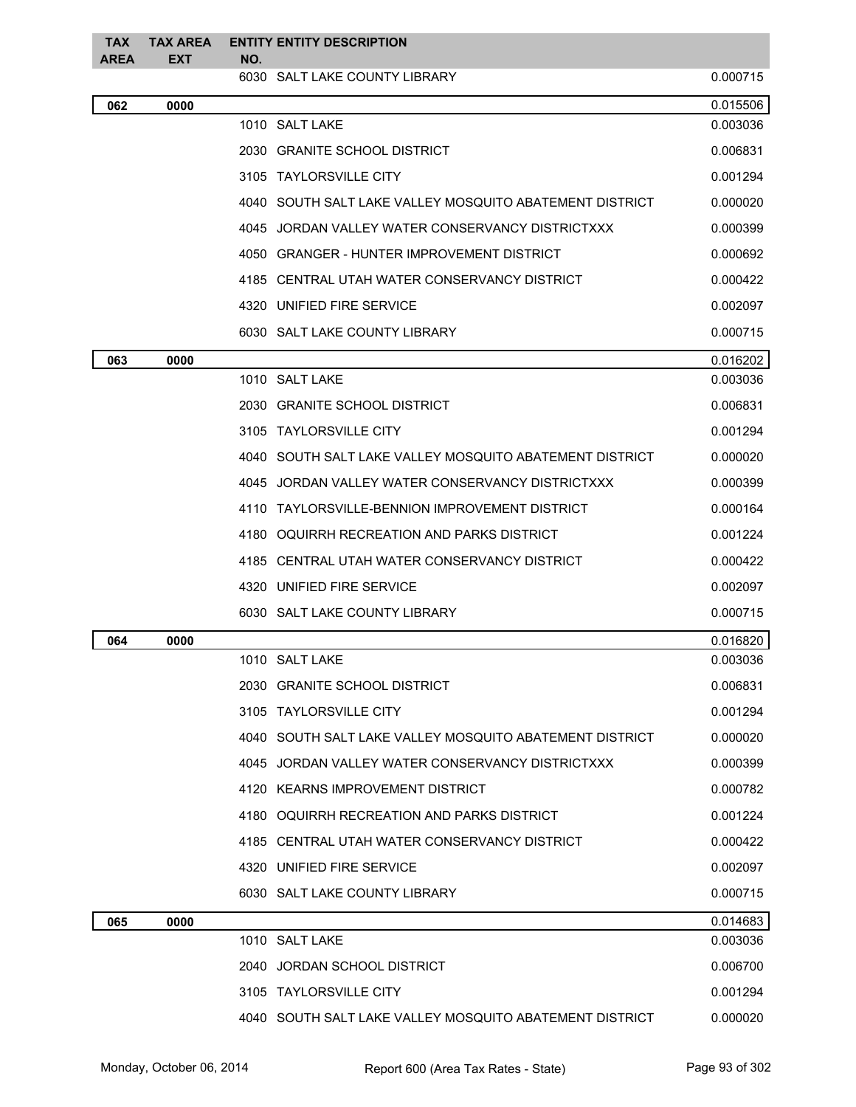| <b>TAX</b>  | <b>TAX AREA</b> | <b>ENTITY ENTITY DESCRIPTION</b>                        |          |
|-------------|-----------------|---------------------------------------------------------|----------|
| <b>AREA</b> | <b>EXT</b>      | NO.<br>6030 SALT LAKE COUNTY LIBRARY                    | 0.000715 |
| 062         | 0000            |                                                         | 0.015506 |
|             |                 | 1010 SALT LAKE                                          | 0.003036 |
|             |                 | 2030 GRANITE SCHOOL DISTRICT                            | 0.006831 |
|             |                 | 3105 TAYLORSVILLE CITY                                  | 0.001294 |
|             |                 | 4040 SOUTH SALT LAKE VALLEY MOSQUITO ABATEMENT DISTRICT | 0.000020 |
|             |                 | 4045 JORDAN VALLEY WATER CONSERVANCY DISTRICTXXX        | 0.000399 |
|             |                 | 4050 GRANGER - HUNTER IMPROVEMENT DISTRICT              | 0.000692 |
|             |                 | 4185 CENTRAL UTAH WATER CONSERVANCY DISTRICT            | 0.000422 |
|             |                 | 4320 UNIFIED FIRE SERVICE                               | 0.002097 |
|             |                 | 6030 SALT LAKE COUNTY LIBRARY                           | 0.000715 |
| 063         | 0000            |                                                         | 0.016202 |
|             |                 | 1010 SALT LAKE                                          | 0.003036 |
|             |                 | 2030 GRANITE SCHOOL DISTRICT                            | 0.006831 |
|             |                 | 3105 TAYLORSVILLE CITY                                  | 0.001294 |
|             |                 | 4040 SOUTH SALT LAKE VALLEY MOSQUITO ABATEMENT DISTRICT | 0.000020 |
|             |                 | 4045 JORDAN VALLEY WATER CONSERVANCY DISTRICTXXX        | 0.000399 |
|             |                 | 4110 TAYLORSVILLE-BENNION IMPROVEMENT DISTRICT          | 0.000164 |
|             |                 | OQUIRRH RECREATION AND PARKS DISTRICT<br>4180           | 0.001224 |
|             |                 | 4185 CENTRAL UTAH WATER CONSERVANCY DISTRICT            | 0.000422 |
|             |                 | 4320 UNIFIED FIRE SERVICE                               | 0.002097 |
|             |                 | 6030 SALT LAKE COUNTY LIBRARY                           | 0.000715 |
| 064         | 0000            |                                                         | 0.016820 |
|             |                 | 1010 SALT LAKE                                          | 0.003036 |
|             |                 | 2030 GRANITE SCHOOL DISTRICT                            | 0.006831 |
|             |                 | 3105 TAYLORSVILLE CITY                                  | 0.001294 |
|             |                 | 4040 SOUTH SALT LAKE VALLEY MOSQUITO ABATEMENT DISTRICT | 0.000020 |
|             |                 | 4045 JORDAN VALLEY WATER CONSERVANCY DISTRICTXXX        | 0.000399 |
|             |                 | 4120 KEARNS IMPROVEMENT DISTRICT                        | 0.000782 |
|             |                 | 4180 OQUIRRH RECREATION AND PARKS DISTRICT              | 0.001224 |
|             |                 | 4185 CENTRAL UTAH WATER CONSERVANCY DISTRICT            | 0.000422 |
|             |                 | 4320 UNIFIED FIRE SERVICE                               | 0.002097 |
|             |                 | 6030 SALT LAKE COUNTY LIBRARY                           | 0.000715 |
| 065         | 0000            |                                                         | 0.014683 |
|             |                 | 1010 SALT LAKE                                          | 0.003036 |
|             |                 | 2040 JORDAN SCHOOL DISTRICT                             | 0.006700 |
|             |                 | 3105 TAYLORSVILLE CITY                                  | 0.001294 |
|             |                 | 4040 SOUTH SALT LAKE VALLEY MOSQUITO ABATEMENT DISTRICT | 0.000020 |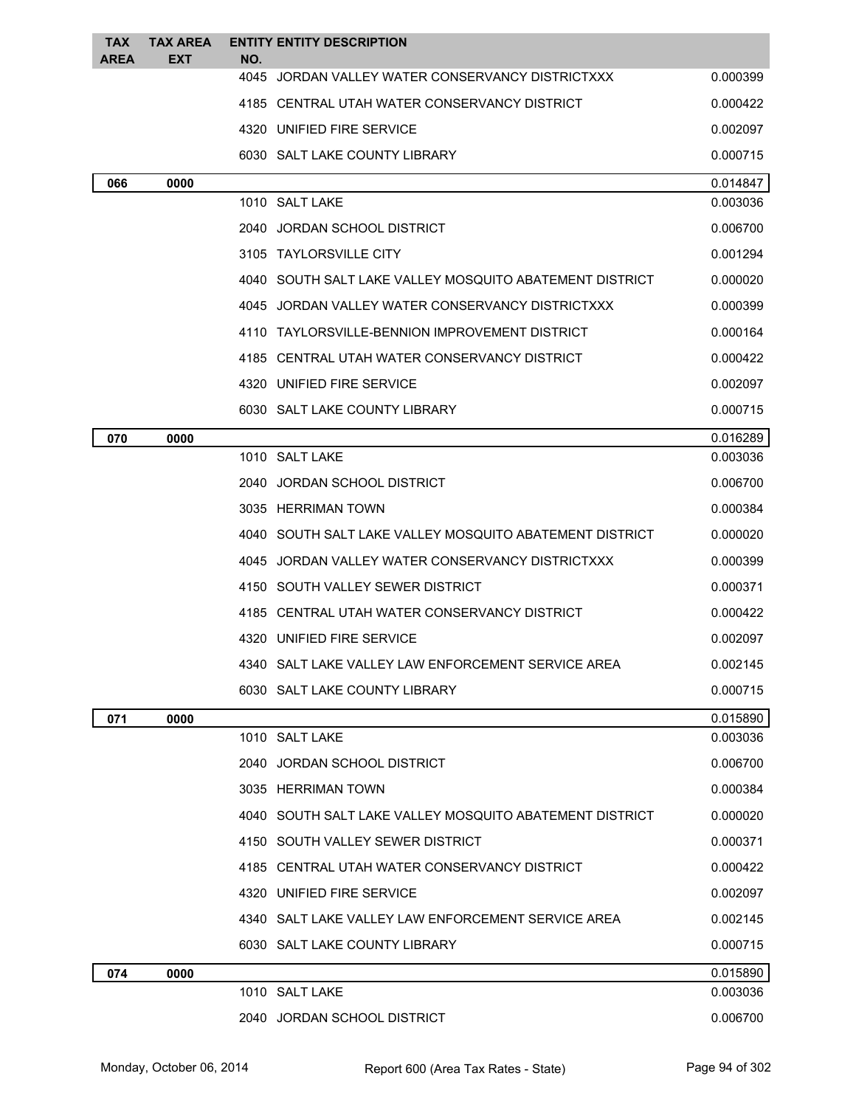| <b>TAX</b><br><b>AREA</b> | <b>TAX AREA</b><br><b>EXT</b> | <b>ENTITY ENTITY DESCRIPTION</b><br>NO.                   |          |
|---------------------------|-------------------------------|-----------------------------------------------------------|----------|
|                           |                               | 4045<br>JORDAN VALLEY WATER CONSERVANCY DISTRICTXXX       | 0.000399 |
|                           |                               | 4185 CENTRAL UTAH WATER CONSERVANCY DISTRICT              | 0.000422 |
|                           |                               | 4320 UNIFIED FIRE SERVICE                                 | 0.002097 |
|                           |                               | 6030 SALT LAKE COUNTY LIBRARY                             | 0.000715 |
| 066                       | 0000                          |                                                           | 0.014847 |
|                           |                               | 1010 SALT LAKE                                            | 0.003036 |
|                           |                               | 2040 JORDAN SCHOOL DISTRICT                               | 0.006700 |
|                           |                               | 3105 TAYLORSVILLE CITY                                    | 0.001294 |
|                           |                               | 4040   SOUTH SALT LAKE VALLEY MOSQUITO ABATEMENT DISTRICT | 0.000020 |
|                           |                               | 4045 JORDAN VALLEY WATER CONSERVANCY DISTRICTXXX          | 0.000399 |
|                           |                               | 4110 TAYLORSVILLE-BENNION IMPROVEMENT DISTRICT            | 0.000164 |
|                           |                               | 4185 CENTRAL UTAH WATER CONSERVANCY DISTRICT              | 0.000422 |
|                           |                               | 4320 UNIFIED FIRE SERVICE                                 | 0.002097 |
|                           |                               | 6030 SALT LAKE COUNTY LIBRARY                             | 0.000715 |
| 070                       | 0000                          |                                                           | 0.016289 |
|                           |                               | 1010 SALT LAKE                                            | 0.003036 |
|                           |                               | 2040 JORDAN SCHOOL DISTRICT                               | 0.006700 |
|                           |                               | 3035 HERRIMAN TOWN                                        | 0.000384 |
|                           |                               | 4040   SOUTH SALT LAKE VALLEY MOSQUITO ABATEMENT DISTRICT | 0.000020 |
|                           |                               | 4045 JORDAN VALLEY WATER CONSERVANCY DISTRICTXXX          | 0.000399 |
|                           |                               | 4150 SOUTH VALLEY SEWER DISTRICT                          | 0.000371 |
|                           |                               | 4185 CENTRAL UTAH WATER CONSERVANCY DISTRICT              | 0.000422 |
|                           |                               | 4320 UNIFIED FIRE SERVICE                                 | 0.002097 |
|                           |                               | 4340   SALT LAKE VALLEY LAW ENFORCEMENT SERVICE AREA      | 0.002145 |
|                           |                               | 6030 SALT LAKE COUNTY LIBRARY                             | 0.000715 |
| 071                       | 0000                          |                                                           | 0.015890 |
|                           |                               | 1010 SALT LAKE                                            | 0.003036 |
|                           |                               | 2040 JORDAN SCHOOL DISTRICT                               | 0.006700 |
|                           |                               | 3035 HERRIMAN TOWN                                        | 0.000384 |
|                           |                               | 4040 SOUTH SALT LAKE VALLEY MOSQUITO ABATEMENT DISTRICT   | 0.000020 |
|                           |                               | 4150 SOUTH VALLEY SEWER DISTRICT                          | 0.000371 |
|                           |                               | 4185 CENTRAL UTAH WATER CONSERVANCY DISTRICT              | 0.000422 |
|                           |                               | 4320 UNIFIED FIRE SERVICE                                 | 0.002097 |
|                           |                               | 4340 SALT LAKE VALLEY LAW ENFORCEMENT SERVICE AREA        | 0.002145 |
|                           |                               | 6030 SALT LAKE COUNTY LIBRARY                             | 0.000715 |
| 074                       | 0000                          |                                                           | 0.015890 |
|                           |                               | 1010 SALT LAKE                                            | 0.003036 |
|                           |                               | 2040 JORDAN SCHOOL DISTRICT                               | 0.006700 |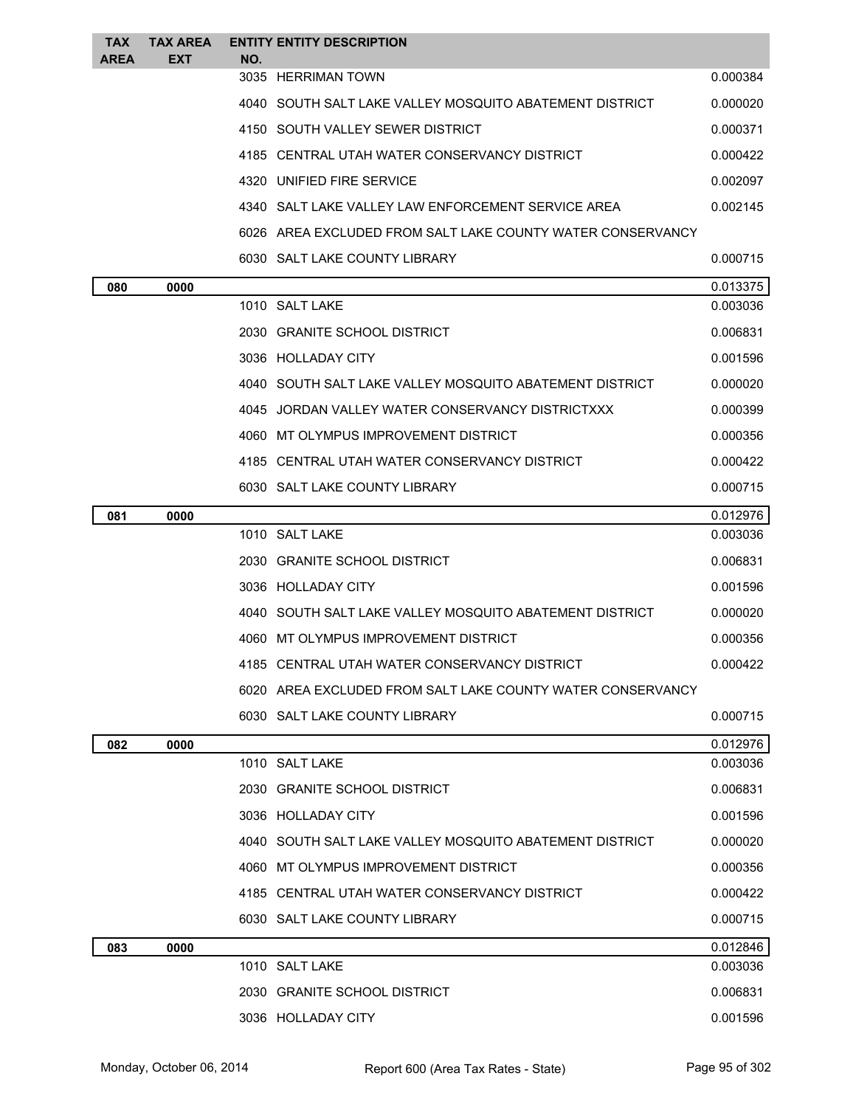| <b>TAX</b><br><b>AREA</b> | <b>TAX AREA</b><br><b>EXT</b> | NO. | <b>ENTITY ENTITY DESCRIPTION</b>                           |          |
|---------------------------|-------------------------------|-----|------------------------------------------------------------|----------|
|                           |                               |     | 3035 HERRIMAN TOWN                                         | 0.000384 |
|                           |                               |     | 4040 SOUTH SALT LAKE VALLEY MOSQUITO ABATEMENT DISTRICT    | 0.000020 |
|                           |                               |     | 4150 SOUTH VALLEY SEWER DISTRICT                           | 0.000371 |
|                           |                               |     | 4185 CENTRAL UTAH WATER CONSERVANCY DISTRICT               | 0.000422 |
|                           |                               |     | 4320 UNIFIED FIRE SERVICE                                  | 0.002097 |
|                           |                               |     | 4340 SALT LAKE VALLEY LAW ENFORCEMENT SERVICE AREA         | 0.002145 |
|                           |                               |     | 6026 AREA EXCLUDED FROM SALT LAKE COUNTY WATER CONSERVANCY |          |
|                           |                               |     | 6030 SALT LAKE COUNTY LIBRARY                              | 0.000715 |
| 080                       | 0000                          |     |                                                            | 0.013375 |
|                           |                               |     | 1010 SALT LAKE                                             | 0.003036 |
|                           |                               |     | 2030 GRANITE SCHOOL DISTRICT                               | 0.006831 |
|                           |                               |     | 3036 HOLLADAY CITY                                         | 0.001596 |
|                           |                               |     | 4040 SOUTH SALT LAKE VALLEY MOSQUITO ABATEMENT DISTRICT    | 0.000020 |
|                           |                               |     | 4045 JORDAN VALLEY WATER CONSERVANCY DISTRICTXXX           | 0.000399 |
|                           |                               |     | 4060 MT OLYMPUS IMPROVEMENT DISTRICT                       | 0.000356 |
|                           |                               |     | 4185 CENTRAL UTAH WATER CONSERVANCY DISTRICT               | 0.000422 |
|                           |                               |     | 6030 SALT LAKE COUNTY LIBRARY                              | 0.000715 |
| 081                       | 0000                          |     |                                                            | 0.012976 |
|                           |                               |     | 1010 SALT LAKE                                             | 0.003036 |
|                           |                               |     | 2030 GRANITE SCHOOL DISTRICT                               | 0.006831 |
|                           |                               |     | 3036 HOLLADAY CITY                                         | 0.001596 |
|                           |                               |     | 4040 SOUTH SALT LAKE VALLEY MOSQUITO ABATEMENT DISTRICT    | 0.000020 |
|                           |                               |     | 4060 MT OLYMPUS IMPROVEMENT DISTRICT                       | 0.000356 |
|                           |                               |     | 4185 CENTRAL UTAH WATER CONSERVANCY DISTRICT               | 0.000422 |
|                           |                               |     | 6020 AREA EXCLUDED FROM SALT LAKE COUNTY WATER CONSERVANCY |          |
|                           |                               |     | 6030 SALT LAKE COUNTY LIBRARY                              | 0.000715 |
| 082                       | 0000                          |     |                                                            | 0.012976 |
|                           |                               |     | 1010 SALT LAKE                                             | 0.003036 |
|                           |                               |     | 2030 GRANITE SCHOOL DISTRICT                               | 0.006831 |
|                           |                               |     | 3036 HOLLADAY CITY                                         | 0.001596 |
|                           |                               |     | 4040 SOUTH SALT LAKE VALLEY MOSQUITO ABATEMENT DISTRICT    | 0.000020 |
|                           |                               |     | 4060 MT OLYMPUS IMPROVEMENT DISTRICT                       | 0.000356 |
|                           |                               |     | 4185 CENTRAL UTAH WATER CONSERVANCY DISTRICT               | 0.000422 |
|                           |                               |     | 6030 SALT LAKE COUNTY LIBRARY                              | 0.000715 |
| 083                       | 0000                          |     |                                                            | 0.012846 |
|                           |                               |     | 1010 SALT LAKE                                             | 0.003036 |
|                           |                               |     | 2030 GRANITE SCHOOL DISTRICT                               | 0.006831 |
|                           |                               |     | 3036 HOLLADAY CITY                                         | 0.001596 |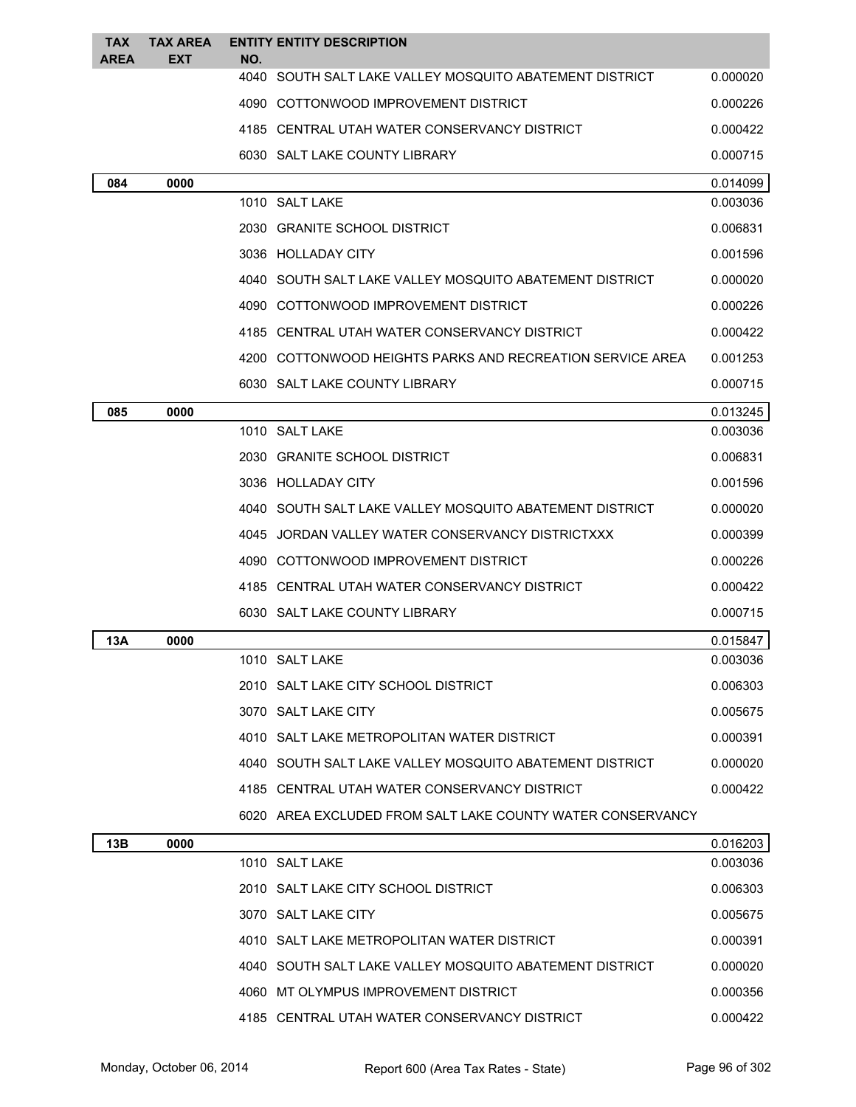| <b>TAX</b>  | <b>TAX AREA</b> |             | <b>ENTITY ENTITY DESCRIPTION</b>                           |          |
|-------------|-----------------|-------------|------------------------------------------------------------|----------|
| <b>AREA</b> | EXT             | NO.<br>4040 | SOUTH SALT LAKE VALLEY MOSQUITO ABATEMENT DISTRICT         | 0.000020 |
|             |                 |             | 4090 COTTONWOOD IMPROVEMENT DISTRICT                       | 0.000226 |
|             |                 |             | 4185 CENTRAL UTAH WATER CONSERVANCY DISTRICT               | 0.000422 |
|             |                 |             | 6030 SALT LAKE COUNTY LIBRARY                              | 0.000715 |
| 084         | 0000            |             |                                                            | 0.014099 |
|             |                 |             | 1010 SALT LAKE                                             | 0.003036 |
|             |                 |             | 2030 GRANITE SCHOOL DISTRICT                               | 0.006831 |
|             |                 |             | 3036 HOLLADAY CITY                                         | 0.001596 |
|             |                 |             | 4040 SOUTH SALT LAKE VALLEY MOSQUITO ABATEMENT DISTRICT    | 0.000020 |
|             |                 |             | 4090 COTTONWOOD IMPROVEMENT DISTRICT                       | 0.000226 |
|             |                 |             | 4185 CENTRAL UTAH WATER CONSERVANCY DISTRICT               | 0.000422 |
|             |                 |             | 4200 COTTONWOOD HEIGHTS PARKS AND RECREATION SERVICE AREA  | 0.001253 |
|             |                 |             | 6030 SALT LAKE COUNTY LIBRARY                              | 0.000715 |
| 085         | 0000            |             |                                                            | 0.013245 |
|             |                 |             | 1010 SALT LAKE                                             | 0.003036 |
|             |                 |             | 2030 GRANITE SCHOOL DISTRICT                               | 0.006831 |
|             |                 |             | 3036 HOLLADAY CITY                                         | 0.001596 |
|             |                 |             | 4040 SOUTH SALT LAKE VALLEY MOSQUITO ABATEMENT DISTRICT    | 0.000020 |
|             |                 | 4045        | JORDAN VALLEY WATER CONSERVANCY DISTRICTXXX                | 0.000399 |
|             |                 |             | 4090 COTTONWOOD IMPROVEMENT DISTRICT                       | 0.000226 |
|             |                 |             | 4185 CENTRAL UTAH WATER CONSERVANCY DISTRICT               | 0.000422 |
|             |                 |             | 6030 SALT LAKE COUNTY LIBRARY                              | 0.000715 |
| 13A         | 0000            |             |                                                            | 0.015847 |
|             |                 |             | 1010 SALT LAKE                                             | 0.003036 |
|             |                 |             | 2010 SALT LAKE CITY SCHOOL DISTRICT                        | 0.006303 |
|             |                 |             | 3070 SALT LAKE CITY                                        | 0.005675 |
|             |                 |             | 4010 SALT LAKE METROPOLITAN WATER DISTRICT                 | 0.000391 |
|             |                 |             | 4040 SOUTH SALT LAKE VALLEY MOSQUITO ABATEMENT DISTRICT    | 0.000020 |
|             |                 |             | 4185 CENTRAL UTAH WATER CONSERVANCY DISTRICT               | 0.000422 |
|             |                 |             | 6020 AREA EXCLUDED FROM SALT LAKE COUNTY WATER CONSERVANCY |          |
| 13B         | 0000            |             |                                                            | 0.016203 |
|             |                 |             | 1010 SALT LAKE                                             | 0.003036 |
|             |                 |             | 2010 SALT LAKE CITY SCHOOL DISTRICT                        | 0.006303 |
|             |                 |             | 3070 SALT LAKE CITY                                        | 0.005675 |
|             |                 |             | 4010 SALT LAKE METROPOLITAN WATER DISTRICT                 | 0.000391 |
|             |                 |             | 4040 SOUTH SALT LAKE VALLEY MOSQUITO ABATEMENT DISTRICT    | 0.000020 |
|             |                 |             | 4060 MT OLYMPUS IMPROVEMENT DISTRICT                       | 0.000356 |
|             |                 |             | 4185 CENTRAL UTAH WATER CONSERVANCY DISTRICT               | 0.000422 |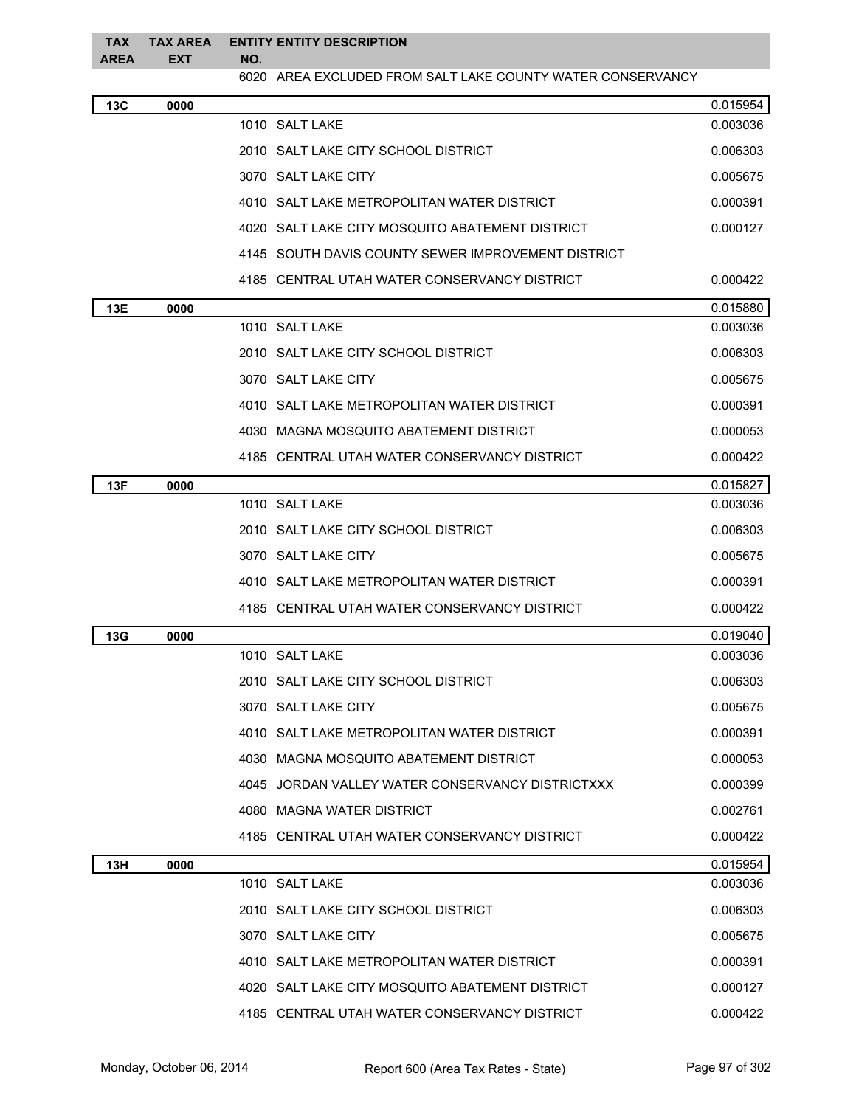| <b>TAX</b><br>AREA | <b>TAX AREA</b><br><b>EXT</b> | <b>ENTITY ENTITY DESCRIPTION</b><br>NO.         |                                                            |          |
|--------------------|-------------------------------|-------------------------------------------------|------------------------------------------------------------|----------|
|                    |                               |                                                 | 6020 AREA EXCLUDED FROM SALT LAKE COUNTY WATER CONSERVANCY |          |
| 13C                | 0000                          |                                                 |                                                            | 0.015954 |
|                    |                               | 1010 SALT LAKE                                  |                                                            | 0.003036 |
|                    |                               | 2010 SALT LAKE CITY SCHOOL DISTRICT             |                                                            | 0.006303 |
|                    |                               | 3070 SALT LAKE CITY                             |                                                            | 0.005675 |
|                    |                               | 4010 SALT LAKE METROPOLITAN WATER DISTRICT      |                                                            | 0.000391 |
|                    |                               | 4020 SALT LAKE CITY MOSQUITO ABATEMENT DISTRICT |                                                            | 0.000127 |
|                    |                               |                                                 | 4145 SOUTH DAVIS COUNTY SEWER IMPROVEMENT DISTRICT         |          |
|                    |                               | 4185 CENTRAL UTAH WATER CONSERVANCY DISTRICT    |                                                            | 0.000422 |
| 13E                | 0000                          |                                                 |                                                            | 0.015880 |
|                    |                               | 1010 SALT LAKE                                  |                                                            | 0.003036 |
|                    |                               | 2010 SALT LAKE CITY SCHOOL DISTRICT             |                                                            | 0.006303 |
|                    |                               | 3070 SALT LAKE CITY                             |                                                            | 0.005675 |
|                    |                               | 4010 SALT LAKE METROPOLITAN WATER DISTRICT      |                                                            | 0.000391 |
|                    |                               | 4030 MAGNA MOSQUITO ABATEMENT DISTRICT          |                                                            | 0.000053 |
|                    |                               | 4185 CENTRAL UTAH WATER CONSERVANCY DISTRICT    |                                                            | 0.000422 |
| 13F                | 0000                          |                                                 |                                                            | 0.015827 |
|                    |                               | 1010 SALT LAKE                                  |                                                            | 0.003036 |
|                    |                               | 2010 SALT LAKE CITY SCHOOL DISTRICT             |                                                            | 0.006303 |
|                    |                               | 3070 SALT LAKE CITY                             |                                                            | 0.005675 |
|                    |                               | 4010 SALT LAKE METROPOLITAN WATER DISTRICT      |                                                            | 0.000391 |
|                    |                               | 4185 CENTRAL UTAH WATER CONSERVANCY DISTRICT    |                                                            | 0.000422 |
| 13G                | 0000                          |                                                 |                                                            | 0.019040 |
|                    |                               | 1010 SALT LAKE                                  |                                                            | 0.003036 |
|                    |                               | 2010 SALT LAKE CITY SCHOOL DISTRICT             |                                                            | 0.006303 |
|                    |                               | 3070 SALT LAKE CITY                             |                                                            | 0.005675 |
|                    |                               | 4010 SALT LAKE METROPOLITAN WATER DISTRICT      |                                                            | 0.000391 |
|                    |                               | 4030 MAGNA MOSQUITO ABATEMENT DISTRICT          |                                                            | 0.000053 |
|                    |                               |                                                 | 4045 JORDAN VALLEY WATER CONSERVANCY DISTRICTXXX           | 0.000399 |
|                    |                               | 4080 MAGNA WATER DISTRICT                       |                                                            | 0.002761 |
|                    |                               | 4185 CENTRAL UTAH WATER CONSERVANCY DISTRICT    |                                                            | 0.000422 |
| 13H                | 0000                          |                                                 |                                                            | 0.015954 |
|                    |                               | 1010 SALT LAKE                                  |                                                            | 0.003036 |
|                    |                               | 2010 SALT LAKE CITY SCHOOL DISTRICT             |                                                            | 0.006303 |
|                    |                               | 3070 SALT LAKE CITY                             |                                                            | 0.005675 |
|                    |                               | 4010 SALT LAKE METROPOLITAN WATER DISTRICT      |                                                            | 0.000391 |
|                    |                               | 4020 SALT LAKE CITY MOSQUITO ABATEMENT DISTRICT |                                                            | 0.000127 |
|                    |                               | 4185 CENTRAL UTAH WATER CONSERVANCY DISTRICT    |                                                            | 0.000422 |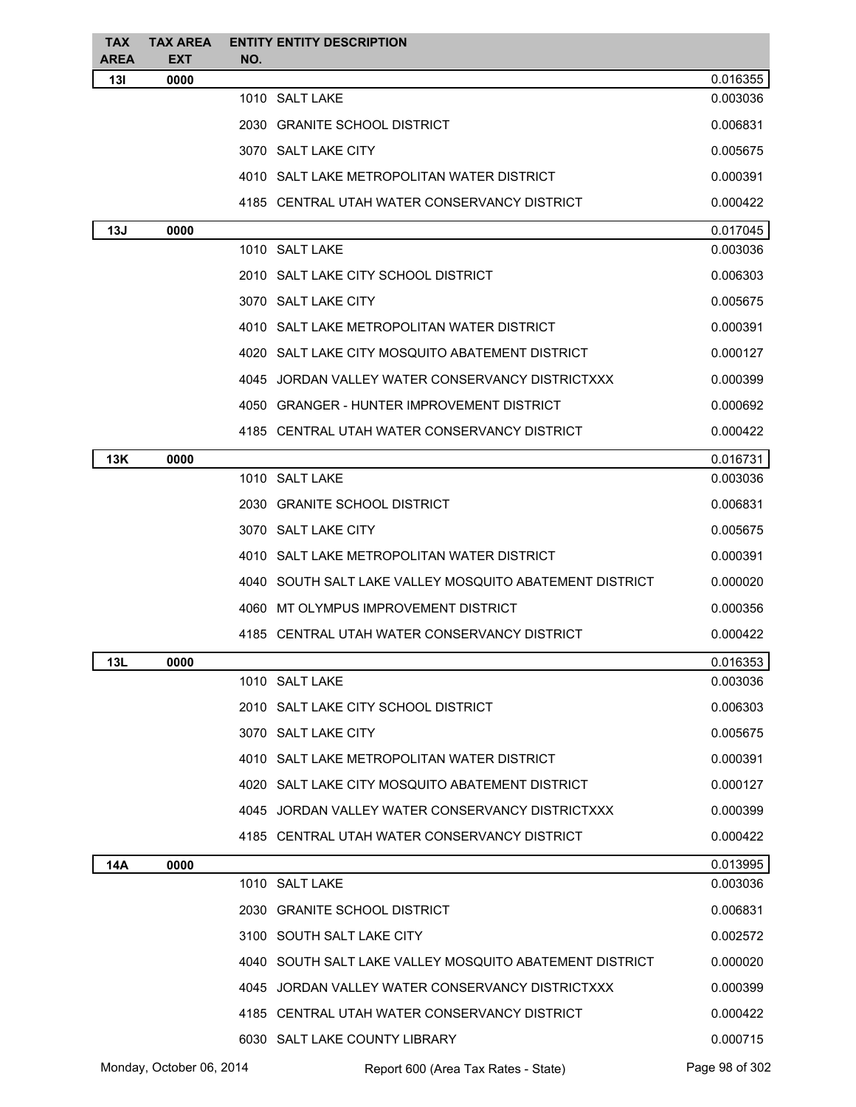| <b>TAX</b><br>AREA | <b>TAX AREA</b><br><b>EXT</b> | NO. | <b>ENTITY ENTITY DESCRIPTION</b>                        |                |
|--------------------|-------------------------------|-----|---------------------------------------------------------|----------------|
| 131                | 0000                          |     |                                                         | 0.016355       |
|                    |                               |     | 1010 SALT LAKE                                          | 0.003036       |
|                    |                               |     | 2030 GRANITE SCHOOL DISTRICT                            | 0.006831       |
|                    |                               |     | 3070 SALT LAKE CITY                                     | 0.005675       |
|                    |                               |     | 4010 SALT LAKE METROPOLITAN WATER DISTRICT              | 0.000391       |
|                    |                               |     | 4185 CENTRAL UTAH WATER CONSERVANCY DISTRICT            | 0.000422       |
| 13J                | 0000                          |     |                                                         | 0.017045       |
|                    |                               |     | 1010 SALT LAKE                                          | 0.003036       |
|                    |                               |     | 2010 SALT LAKE CITY SCHOOL DISTRICT                     | 0.006303       |
|                    |                               |     | 3070 SALT LAKE CITY                                     | 0.005675       |
|                    |                               |     | 4010 SALT LAKE METROPOLITAN WATER DISTRICT              | 0.000391       |
|                    |                               |     | 4020 SALT LAKE CITY MOSQUITO ABATEMENT DISTRICT         | 0.000127       |
|                    |                               |     | 4045 JORDAN VALLEY WATER CONSERVANCY DISTRICTXXX        | 0.000399       |
|                    |                               |     | 4050 GRANGER - HUNTER IMPROVEMENT DISTRICT              | 0.000692       |
|                    |                               |     | 4185 CENTRAL UTAH WATER CONSERVANCY DISTRICT            | 0.000422       |
| 13K                | 0000                          |     |                                                         | 0.016731       |
|                    |                               |     | 1010 SALT LAKE                                          | 0.003036       |
|                    |                               |     | 2030 GRANITE SCHOOL DISTRICT                            | 0.006831       |
|                    |                               |     | 3070 SALT LAKE CITY                                     | 0.005675       |
|                    |                               |     | 4010 SALT LAKE METROPOLITAN WATER DISTRICT              | 0.000391       |
|                    |                               |     | 4040 SOUTH SALT LAKE VALLEY MOSQUITO ABATEMENT DISTRICT | 0.000020       |
|                    |                               |     | 4060 MT OLYMPUS IMPROVEMENT DISTRICT                    | 0.000356       |
|                    |                               |     | 4185 CENTRAL UTAH WATER CONSERVANCY DISTRICT            | 0.000422       |
| 13L                | 0000                          |     |                                                         | 0.016353       |
|                    |                               |     | 1010 SALT LAKE                                          | 0.003036       |
|                    |                               |     | 2010 SALT LAKE CITY SCHOOL DISTRICT                     | 0.006303       |
|                    |                               |     | 3070 SALT LAKE CITY                                     | 0.005675       |
|                    |                               |     | 4010 SALT LAKE METROPOLITAN WATER DISTRICT              | 0.000391       |
|                    |                               |     | 4020 SALT LAKE CITY MOSQUITO ABATEMENT DISTRICT         | 0.000127       |
|                    |                               |     | 4045 JORDAN VALLEY WATER CONSERVANCY DISTRICTXXX        | 0.000399       |
|                    |                               |     | 4185 CENTRAL UTAH WATER CONSERVANCY DISTRICT            | 0.000422       |
| 14A                | 0000                          |     |                                                         | 0.013995       |
|                    |                               |     | 1010 SALT LAKE                                          | 0.003036       |
|                    |                               |     | 2030 GRANITE SCHOOL DISTRICT                            | 0.006831       |
|                    |                               |     | 3100 SOUTH SALT LAKE CITY                               | 0.002572       |
|                    |                               |     | 4040 SOUTH SALT LAKE VALLEY MOSQUITO ABATEMENT DISTRICT | 0.000020       |
|                    |                               |     | 4045 JORDAN VALLEY WATER CONSERVANCY DISTRICTXXX        | 0.000399       |
|                    |                               |     | 4185 CENTRAL UTAH WATER CONSERVANCY DISTRICT            | 0.000422       |
|                    |                               |     | 6030 SALT LAKE COUNTY LIBRARY                           | 0.000715       |
|                    | Monday, October 06, 2014      |     | Report 600 (Area Tax Rates - State)                     | Page 98 of 302 |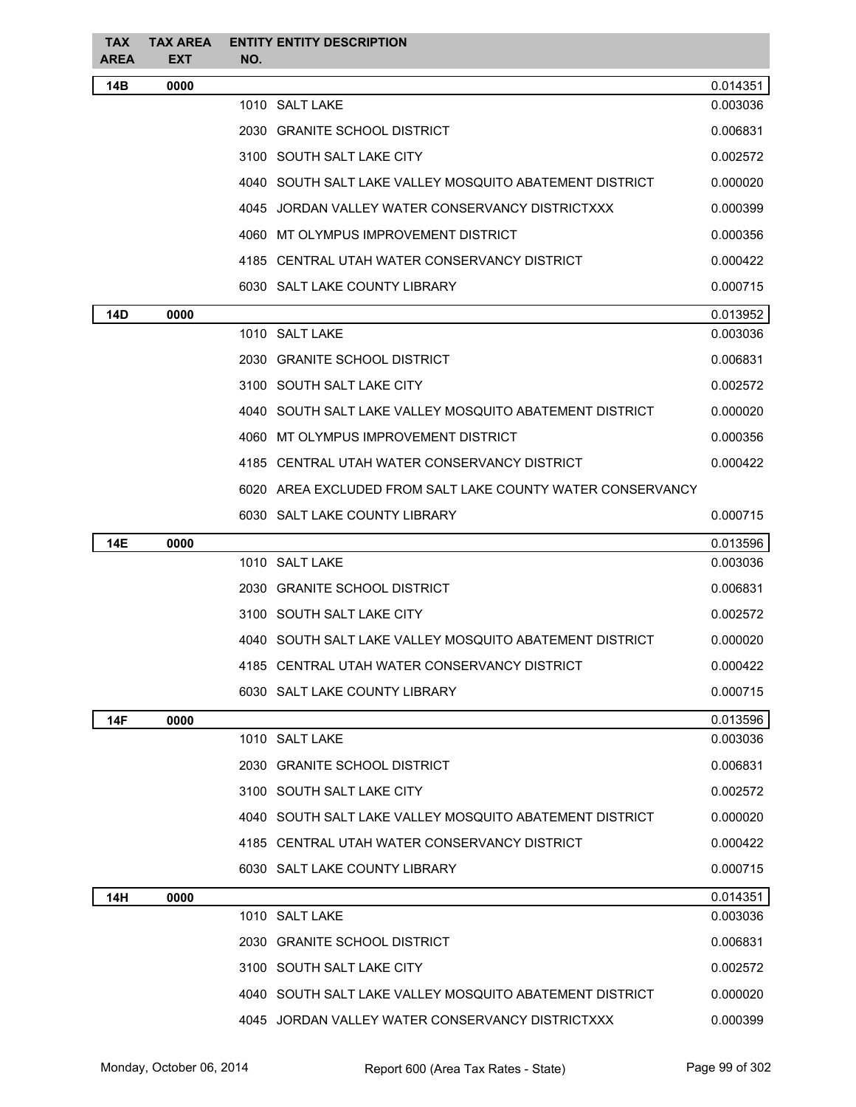| <b>TAX</b><br><b>AREA</b> | <b>TAX AREA</b><br><b>EXT</b> | <b>ENTITY ENTITY DESCRIPTION</b><br>NO.                    |          |
|---------------------------|-------------------------------|------------------------------------------------------------|----------|
| 14B                       | 0000                          |                                                            | 0.014351 |
|                           |                               | 1010 SALT LAKE                                             | 0.003036 |
|                           |                               | 2030 GRANITE SCHOOL DISTRICT                               | 0.006831 |
|                           |                               | 3100 SOUTH SALT LAKE CITY                                  | 0.002572 |
|                           |                               | 4040 SOUTH SALT LAKE VALLEY MOSQUITO ABATEMENT DISTRICT    | 0.000020 |
|                           |                               | 4045 JORDAN VALLEY WATER CONSERVANCY DISTRICTXXX           | 0.000399 |
|                           |                               | 4060 MT OLYMPUS IMPROVEMENT DISTRICT                       | 0.000356 |
|                           |                               | 4185 CENTRAL UTAH WATER CONSERVANCY DISTRICT               | 0.000422 |
|                           |                               | 6030 SALT LAKE COUNTY LIBRARY                              | 0.000715 |
| 14D                       | 0000                          |                                                            | 0.013952 |
|                           |                               | 1010 SALT LAKE                                             | 0.003036 |
|                           |                               | 2030 GRANITE SCHOOL DISTRICT                               | 0.006831 |
|                           |                               | 3100 SOUTH SALT LAKE CITY                                  | 0.002572 |
|                           |                               | 4040 SOUTH SALT LAKE VALLEY MOSQUITO ABATEMENT DISTRICT    | 0.000020 |
|                           |                               | 4060 MT OLYMPUS IMPROVEMENT DISTRICT                       | 0.000356 |
|                           |                               | 4185 CENTRAL UTAH WATER CONSERVANCY DISTRICT               | 0.000422 |
|                           |                               | 6020 AREA EXCLUDED FROM SALT LAKE COUNTY WATER CONSERVANCY |          |
|                           |                               | 6030 SALT LAKE COUNTY LIBRARY                              | 0.000715 |
| <b>14E</b>                | 0000                          |                                                            | 0.013596 |
|                           |                               | 1010 SALT LAKE                                             | 0.003036 |
|                           |                               | 2030 GRANITE SCHOOL DISTRICT                               | 0.006831 |
|                           |                               | 3100 SOUTH SALT LAKE CITY                                  | 0.002572 |
|                           |                               | 4040 SOUTH SALT LAKE VALLEY MOSQUITO ABATEMENT DISTRICT    | 0.000020 |
|                           |                               | 4185 CENTRAL UTAH WATER CONSERVANCY DISTRICT               | 0.000422 |
|                           |                               | 6030 SALT LAKE COUNTY LIBRARY                              | 0.000715 |
| <b>14F</b>                | 0000                          |                                                            | 0.013596 |
|                           |                               | 1010 SALT LAKE                                             | 0.003036 |
|                           |                               | 2030 GRANITE SCHOOL DISTRICT                               | 0.006831 |
|                           |                               | 3100 SOUTH SALT LAKE CITY                                  | 0.002572 |
|                           |                               | 4040 SOUTH SALT LAKE VALLEY MOSQUITO ABATEMENT DISTRICT    | 0.000020 |
|                           |                               | 4185 CENTRAL UTAH WATER CONSERVANCY DISTRICT               | 0.000422 |
|                           |                               | 6030 SALT LAKE COUNTY LIBRARY                              | 0.000715 |
| 14H                       | 0000                          |                                                            | 0.014351 |
|                           |                               | 1010 SALT LAKE                                             | 0.003036 |
|                           |                               | 2030 GRANITE SCHOOL DISTRICT                               | 0.006831 |
|                           |                               | 3100 SOUTH SALT LAKE CITY                                  | 0.002572 |
|                           |                               | 4040 SOUTH SALT LAKE VALLEY MOSQUITO ABATEMENT DISTRICT    | 0.000020 |
|                           |                               | 4045 JORDAN VALLEY WATER CONSERVANCY DISTRICTXXX           | 0.000399 |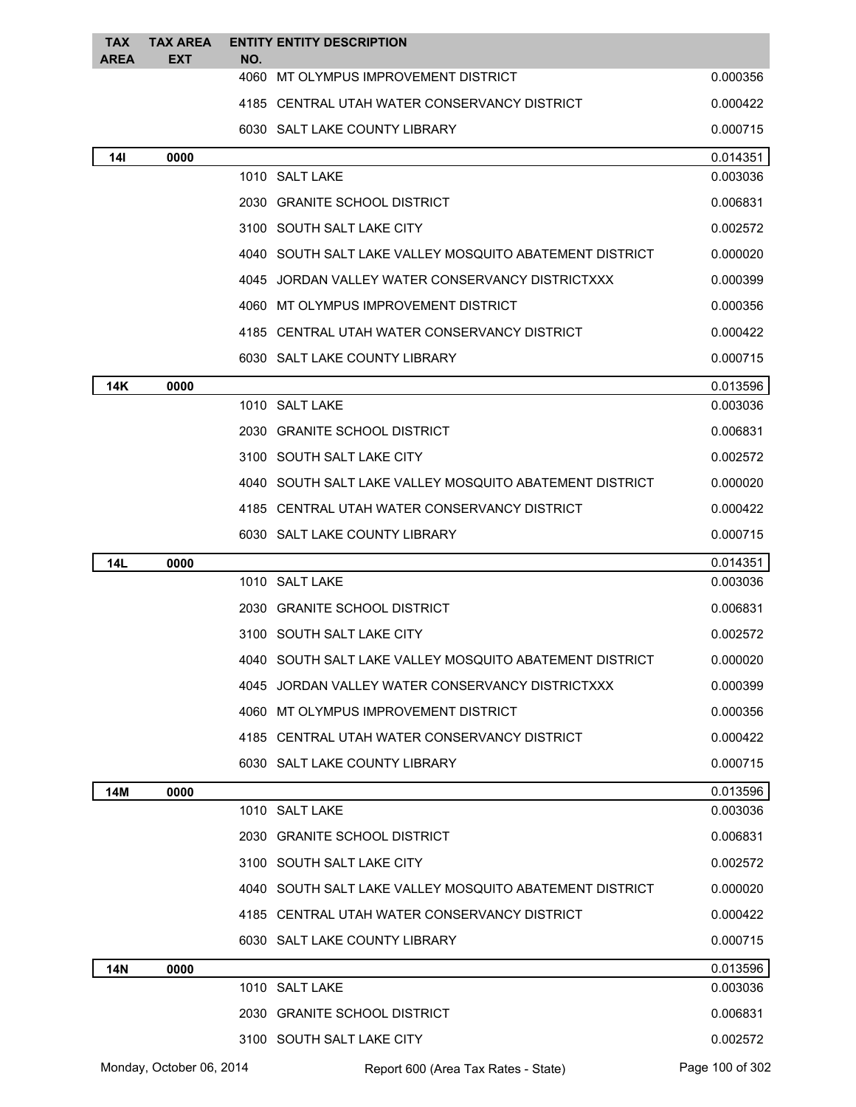| <b>TAX</b><br><b>AREA</b> | <b>TAX AREA</b><br><b>EXT</b> | NO.  | <b>ENTITY ENTITY DESCRIPTION</b>                        |                      |
|---------------------------|-------------------------------|------|---------------------------------------------------------|----------------------|
|                           |                               | 4060 | MT OLYMPUS IMPROVEMENT DISTRICT                         | 0.000356             |
|                           |                               |      | 4185 CENTRAL UTAH WATER CONSERVANCY DISTRICT            | 0.000422             |
|                           |                               |      | 6030 SALT LAKE COUNTY LIBRARY                           | 0.000715             |
| <b>14I</b>                | 0000                          |      |                                                         | 0.014351             |
|                           |                               |      | 1010 SALT LAKE                                          | 0.003036             |
|                           |                               |      | 2030 GRANITE SCHOOL DISTRICT                            | 0.006831             |
|                           |                               |      | 3100 SOUTH SALT LAKE CITY                               | 0.002572             |
|                           |                               |      | 4040 SOUTH SALT LAKE VALLEY MOSQUITO ABATEMENT DISTRICT | 0.000020             |
|                           |                               |      | 4045 JORDAN VALLEY WATER CONSERVANCY DISTRICTXXX        | 0.000399             |
|                           |                               |      | 4060 MT OLYMPUS IMPROVEMENT DISTRICT                    | 0.000356             |
|                           |                               |      | 4185 CENTRAL UTAH WATER CONSERVANCY DISTRICT            | 0.000422             |
|                           |                               |      | 6030 SALT LAKE COUNTY LIBRARY                           | 0.000715             |
| 14K                       | 0000                          |      |                                                         | 0.013596             |
|                           |                               |      | 1010 SALT LAKE                                          | 0.003036             |
|                           |                               |      | 2030 GRANITE SCHOOL DISTRICT                            | 0.006831             |
|                           |                               |      | 3100 SOUTH SALT LAKE CITY                               | 0.002572             |
|                           |                               |      | 4040 SOUTH SALT LAKE VALLEY MOSQUITO ABATEMENT DISTRICT | 0.000020             |
|                           |                               |      | 4185 CENTRAL UTAH WATER CONSERVANCY DISTRICT            | 0.000422             |
|                           |                               |      | 6030 SALT LAKE COUNTY LIBRARY                           | 0.000715             |
| <b>14L</b>                | 0000                          |      |                                                         | 0.014351             |
|                           |                               |      | 1010 SALT LAKE                                          | 0.003036             |
|                           |                               |      | 2030 GRANITE SCHOOL DISTRICT                            | 0.006831             |
|                           |                               |      | 3100 SOUTH SALT LAKE CITY                               | 0.002572             |
|                           |                               |      | 4040 SOUTH SALT LAKE VALLEY MOSQUITO ABATEMENT DISTRICT | 0.000020             |
|                           |                               |      | 4045 JORDAN VALLEY WATER CONSERVANCY DISTRICTXXX        | 0.000399             |
|                           |                               |      | 4060 MT OLYMPUS IMPROVEMENT DISTRICT                    | 0.000356             |
|                           |                               |      | 4185 CENTRAL UTAH WATER CONSERVANCY DISTRICT            | 0.000422             |
|                           |                               |      | 6030 SALT LAKE COUNTY LIBRARY                           | 0.000715             |
| 14M                       | 0000                          |      |                                                         | 0.013596             |
|                           |                               |      | 1010 SALT LAKE                                          | 0.003036             |
|                           |                               |      | 2030 GRANITE SCHOOL DISTRICT                            | 0.006831             |
|                           |                               |      | 3100 SOUTH SALT LAKE CITY                               | 0.002572             |
|                           |                               |      | 4040 SOUTH SALT LAKE VALLEY MOSQUITO ABATEMENT DISTRICT | 0.000020             |
|                           |                               |      | 4185 CENTRAL UTAH WATER CONSERVANCY DISTRICT            | 0.000422             |
|                           |                               |      | 6030 SALT LAKE COUNTY LIBRARY                           | 0.000715             |
| <b>14N</b>                | 0000                          |      | 1010 SALT LAKE                                          | 0.013596<br>0.003036 |
|                           |                               |      |                                                         |                      |
|                           |                               |      | 2030 GRANITE SCHOOL DISTRICT                            | 0.006831             |
|                           |                               |      | 3100 SOUTH SALT LAKE CITY                               | 0.002572             |
|                           | Monday, October 06, 2014      |      | Report 600 (Area Tax Rates - State)                     | Page 100 of 302      |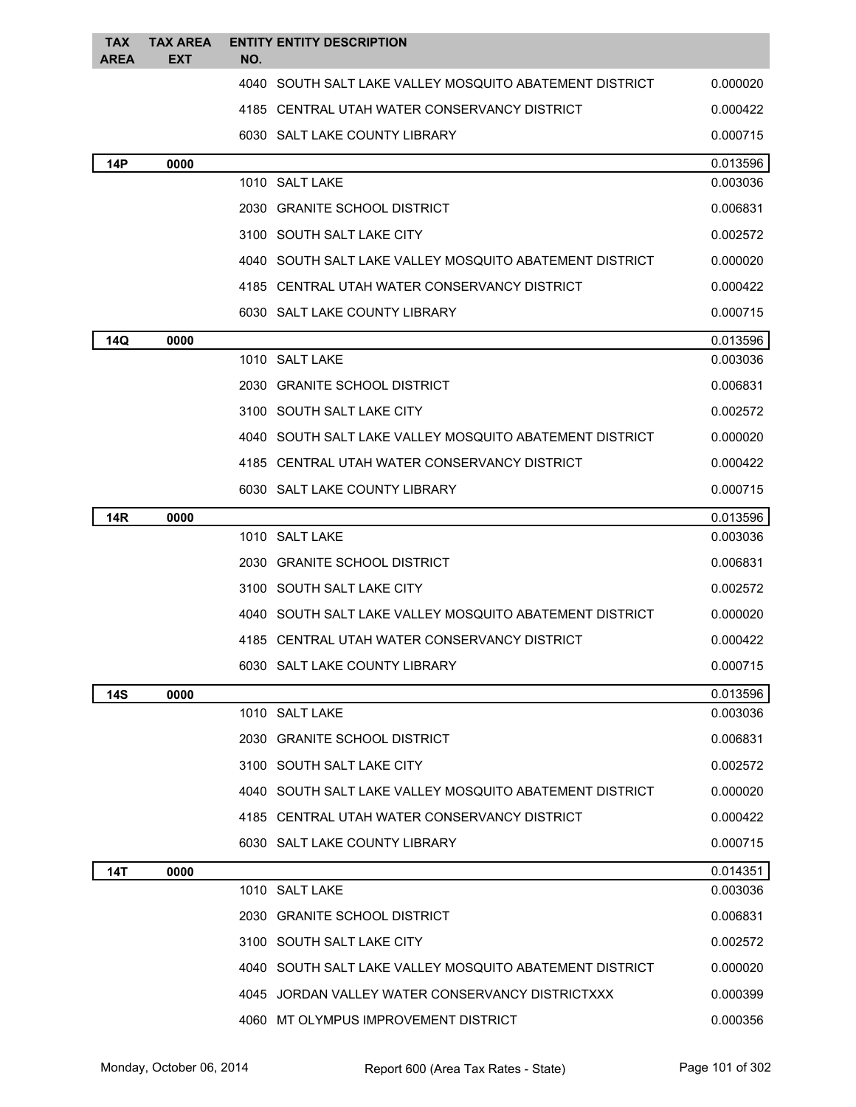| <b>TAX</b><br><b>AREA</b> | <b>TAX AREA</b><br><b>EXT</b> | <b>ENTITY ENTITY DESCRIPTION</b><br>NO.                 |          |
|---------------------------|-------------------------------|---------------------------------------------------------|----------|
|                           |                               | 4040 SOUTH SALT LAKE VALLEY MOSQUITO ABATEMENT DISTRICT | 0.000020 |
|                           |                               | 4185 CENTRAL UTAH WATER CONSERVANCY DISTRICT            | 0.000422 |
|                           |                               | 6030 SALT LAKE COUNTY LIBRARY                           | 0.000715 |
| <b>14P</b>                | 0000                          |                                                         | 0.013596 |
|                           |                               | 1010 SALT LAKE                                          | 0.003036 |
|                           |                               | 2030 GRANITE SCHOOL DISTRICT                            | 0.006831 |
|                           |                               | 3100 SOUTH SALT LAKE CITY                               | 0.002572 |
|                           |                               | 4040 SOUTH SALT LAKE VALLEY MOSQUITO ABATEMENT DISTRICT | 0.000020 |
|                           |                               | 4185 CENTRAL UTAH WATER CONSERVANCY DISTRICT            | 0.000422 |
|                           |                               | 6030 SALT LAKE COUNTY LIBRARY                           | 0.000715 |
| 14Q                       | 0000                          |                                                         | 0.013596 |
|                           |                               | 1010 SALT LAKE                                          | 0.003036 |
|                           |                               | 2030 GRANITE SCHOOL DISTRICT                            | 0.006831 |
|                           |                               | 3100 SOUTH SALT LAKE CITY                               | 0.002572 |
|                           |                               | 4040 SOUTH SALT LAKE VALLEY MOSQUITO ABATEMENT DISTRICT | 0.000020 |
|                           |                               | 4185 CENTRAL UTAH WATER CONSERVANCY DISTRICT            | 0.000422 |
|                           |                               | 6030 SALT LAKE COUNTY LIBRARY                           | 0.000715 |
| <b>14R</b>                | 0000                          |                                                         | 0.013596 |
|                           |                               | 1010 SALT LAKE                                          | 0.003036 |
|                           |                               | 2030 GRANITE SCHOOL DISTRICT                            | 0.006831 |
|                           |                               | 3100 SOUTH SALT LAKE CITY                               | 0.002572 |
|                           |                               | 4040 SOUTH SALT LAKE VALLEY MOSQUITO ABATEMENT DISTRICT | 0.000020 |
|                           |                               | 4185 CENTRAL UTAH WATER CONSERVANCY DISTRICT            | 0.000422 |
|                           |                               | 6030 SALT LAKE COUNTY LIBRARY                           | 0.000715 |
| 14S                       | 0000                          |                                                         | 0.013596 |
|                           |                               | 1010 SALT LAKE                                          | 0.003036 |
|                           |                               | 2030 GRANITE SCHOOL DISTRICT                            | 0.006831 |
|                           |                               | 3100 SOUTH SALT LAKE CITY                               | 0.002572 |
|                           |                               | 4040 SOUTH SALT LAKE VALLEY MOSQUITO ABATEMENT DISTRICT | 0.000020 |
|                           |                               | 4185 CENTRAL UTAH WATER CONSERVANCY DISTRICT            | 0.000422 |
|                           |                               | 6030 SALT LAKE COUNTY LIBRARY                           | 0.000715 |
| 14T                       | 0000                          |                                                         | 0.014351 |
|                           |                               | 1010 SALT LAKE                                          | 0.003036 |
|                           |                               | 2030 GRANITE SCHOOL DISTRICT                            | 0.006831 |
|                           |                               | 3100 SOUTH SALT LAKE CITY                               | 0.002572 |
|                           |                               | 4040 SOUTH SALT LAKE VALLEY MOSQUITO ABATEMENT DISTRICT | 0.000020 |
|                           |                               | 4045 JORDAN VALLEY WATER CONSERVANCY DISTRICTXXX        | 0.000399 |
|                           |                               | 4060 MT OLYMPUS IMPROVEMENT DISTRICT                    | 0.000356 |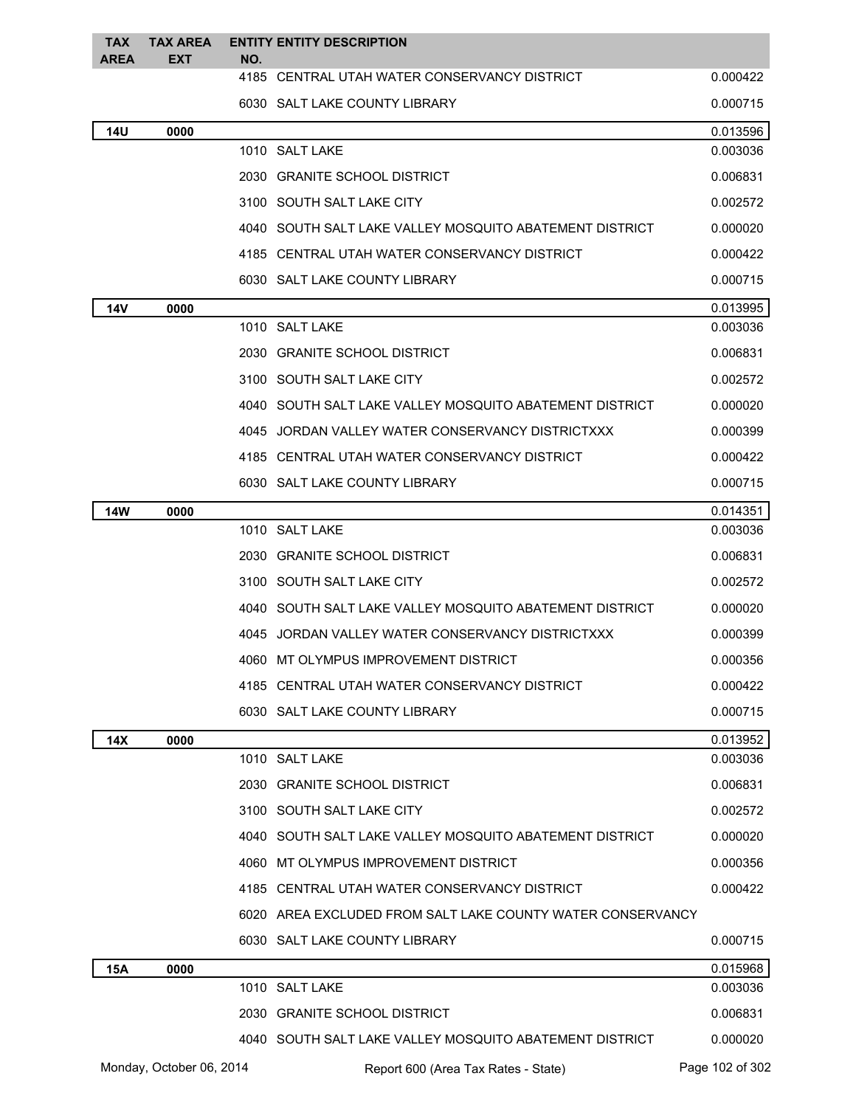| <b>TAX</b><br><b>AREA</b> | <b>TAX AREA</b><br><b>EXT</b> | NO.  | <b>ENTITY ENTITY DESCRIPTION</b>                           |                 |
|---------------------------|-------------------------------|------|------------------------------------------------------------|-----------------|
|                           |                               |      | 4185 CENTRAL UTAH WATER CONSERVANCY DISTRICT               | 0.000422        |
|                           |                               |      | 6030 SALT LAKE COUNTY LIBRARY                              | 0.000715        |
| 14U                       | 0000                          |      |                                                            | 0.013596        |
|                           |                               |      | 1010 SALT LAKE                                             | 0.003036        |
|                           |                               |      | 2030 GRANITE SCHOOL DISTRICT                               | 0.006831        |
|                           |                               |      | 3100 SOUTH SALT LAKE CITY                                  | 0.002572        |
|                           |                               |      | 4040   SOUTH SALT LAKE VALLEY MOSQUITO ABATEMENT DISTRICT  | 0.000020        |
|                           |                               |      | 4185 CENTRAL UTAH WATER CONSERVANCY DISTRICT               | 0.000422        |
|                           |                               |      | 6030 SALT LAKE COUNTY LIBRARY                              | 0.000715        |
| 14V                       | 0000                          |      |                                                            | 0.013995        |
|                           |                               |      | 1010 SALT LAKE                                             | 0.003036        |
|                           |                               |      | 2030 GRANITE SCHOOL DISTRICT                               | 0.006831        |
|                           |                               |      | 3100 SOUTH SALT LAKE CITY                                  | 0.002572        |
|                           |                               |      | 4040 SOUTH SALT LAKE VALLEY MOSQUITO ABATEMENT DISTRICT    | 0.000020        |
|                           |                               |      | 4045 JORDAN VALLEY WATER CONSERVANCY DISTRICTXXX           | 0.000399        |
|                           |                               |      | 4185 CENTRAL UTAH WATER CONSERVANCY DISTRICT               | 0.000422        |
|                           |                               |      | 6030 SALT LAKE COUNTY LIBRARY                              | 0.000715        |
| <b>14W</b>                | 0000                          |      |                                                            | 0.014351        |
|                           |                               |      | 1010 SALT LAKE                                             | 0.003036        |
|                           |                               |      | 2030 GRANITE SCHOOL DISTRICT                               | 0.006831        |
|                           |                               |      | 3100 SOUTH SALT LAKE CITY                                  | 0.002572        |
|                           |                               |      | 4040 SOUTH SALT LAKE VALLEY MOSQUITO ABATEMENT DISTRICT    | 0.000020        |
|                           |                               |      | 4045 JORDAN VALLEY WATER CONSERVANCY DISTRICTXXX           | 0.000399        |
|                           |                               | 4060 | MT OLYMPUS IMPROVEMENT DISTRICT                            | 0.000356        |
|                           |                               |      | 4185 CENTRAL UTAH WATER CONSERVANCY DISTRICT               | 0.000422        |
|                           |                               |      | 6030 SALT LAKE COUNTY LIBRARY                              | 0.000715        |
| 14X                       | 0000                          |      |                                                            | 0.013952        |
|                           |                               |      | 1010 SALT LAKE                                             | 0.003036        |
|                           |                               |      | 2030 GRANITE SCHOOL DISTRICT                               | 0.006831        |
|                           |                               |      | 3100 SOUTH SALT LAKE CITY                                  | 0.002572        |
|                           |                               |      | 4040 SOUTH SALT LAKE VALLEY MOSQUITO ABATEMENT DISTRICT    | 0.000020        |
|                           |                               |      | 4060 MT OLYMPUS IMPROVEMENT DISTRICT                       | 0.000356        |
|                           |                               |      | 4185 CENTRAL UTAH WATER CONSERVANCY DISTRICT               | 0.000422        |
|                           |                               |      | 6020 AREA EXCLUDED FROM SALT LAKE COUNTY WATER CONSERVANCY |                 |
|                           |                               |      | 6030 SALT LAKE COUNTY LIBRARY                              | 0.000715        |
| 15A                       | 0000                          |      |                                                            | 0.015968        |
|                           |                               |      | 1010 SALT LAKE                                             | 0.003036        |
|                           |                               |      | 2030 GRANITE SCHOOL DISTRICT                               | 0.006831        |
|                           |                               |      | 4040 SOUTH SALT LAKE VALLEY MOSQUITO ABATEMENT DISTRICT    | 0.000020        |
|                           | Monday, October 06, 2014      |      | Report 600 (Area Tax Rates - State)                        | Page 102 of 302 |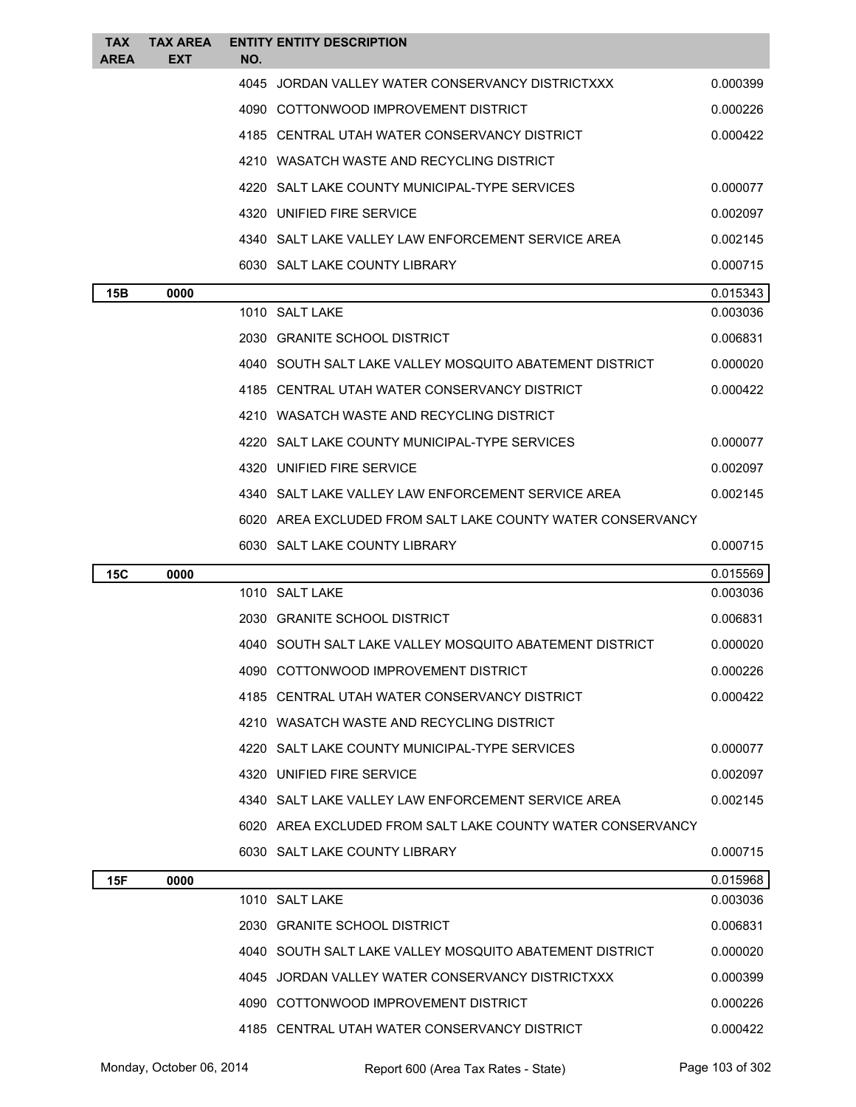| TAX<br><b>AREA</b> | <b>TAX AREA</b><br><b>EXT</b> | NO.  | <b>ENTITY ENTITY DESCRIPTION</b>                           |          |
|--------------------|-------------------------------|------|------------------------------------------------------------|----------|
|                    |                               | 4045 | JORDAN VALLEY WATER CONSERVANCY DISTRICTXXX                | 0.000399 |
|                    |                               |      | 4090 COTTONWOOD IMPROVEMENT DISTRICT                       | 0.000226 |
|                    |                               |      | 4185 CENTRAL UTAH WATER CONSERVANCY DISTRICT               | 0.000422 |
|                    |                               |      | 4210 WASATCH WASTE AND RECYCLING DISTRICT                  |          |
|                    |                               |      | 4220 SALT LAKE COUNTY MUNICIPAL-TYPE SERVICES              | 0.000077 |
|                    |                               |      | 4320 UNIFIED FIRE SERVICE                                  | 0.002097 |
|                    |                               |      | 4340 SALT LAKE VALLEY LAW ENFORCEMENT SERVICE AREA         | 0.002145 |
|                    |                               |      | 6030 SALT LAKE COUNTY LIBRARY                              | 0.000715 |
| 15B                | 0000                          |      |                                                            | 0.015343 |
|                    |                               |      | 1010 SALT LAKE                                             | 0.003036 |
|                    |                               |      | 2030 GRANITE SCHOOL DISTRICT                               | 0.006831 |
|                    |                               |      | 4040 SOUTH SALT LAKE VALLEY MOSQUITO ABATEMENT DISTRICT    | 0.000020 |
|                    |                               |      | 4185 CENTRAL UTAH WATER CONSERVANCY DISTRICT               | 0.000422 |
|                    |                               |      | 4210 WASATCH WASTE AND RECYCLING DISTRICT                  |          |
|                    |                               |      | 4220 SALT LAKE COUNTY MUNICIPAL-TYPE SERVICES              | 0.000077 |
|                    |                               |      | 4320 UNIFIED FIRE SERVICE                                  | 0.002097 |
|                    |                               |      | 4340 SALT LAKE VALLEY LAW ENFORCEMENT SERVICE AREA         | 0.002145 |
|                    |                               |      | 6020 AREA EXCLUDED FROM SALT LAKE COUNTY WATER CONSERVANCY |          |
|                    |                               |      |                                                            |          |
|                    |                               |      | 6030 SALT LAKE COUNTY LIBRARY                              | 0.000715 |
| 15C                | 0000                          |      |                                                            | 0.015569 |
|                    |                               |      | 1010 SALT LAKE                                             | 0.003036 |
|                    |                               |      | 2030 GRANITE SCHOOL DISTRICT                               | 0.006831 |
|                    |                               |      | 4040 SOUTH SALT LAKE VALLEY MOSQUITO ABATEMENT DISTRICT    | 0.000020 |
|                    |                               |      | 4090 COTTONWOOD IMPROVEMENT DISTRICT                       | 0.000226 |
|                    |                               |      | 4185 CENTRAL UTAH WATER CONSERVANCY DISTRICT               | 0.000422 |
|                    |                               |      | 4210 WASATCH WASTE AND RECYCLING DISTRICT                  |          |
|                    |                               |      | 4220 SALT LAKE COUNTY MUNICIPAL-TYPE SERVICES              | 0.000077 |
|                    |                               |      | 4320 UNIFIED FIRE SERVICE                                  | 0.002097 |
|                    |                               |      | 4340 SALT LAKE VALLEY LAW ENFORCEMENT SERVICE AREA         | 0.002145 |
|                    |                               |      | 6020 AREA EXCLUDED FROM SALT LAKE COUNTY WATER CONSERVANCY |          |
|                    |                               |      | 6030 SALT LAKE COUNTY LIBRARY                              | 0.000715 |
| 15F                | 0000                          |      |                                                            | 0.015968 |
|                    |                               |      | 1010 SALT LAKE                                             | 0.003036 |
|                    |                               |      | 2030 GRANITE SCHOOL DISTRICT                               | 0.006831 |
|                    |                               |      | 4040 SOUTH SALT LAKE VALLEY MOSQUITO ABATEMENT DISTRICT    | 0.000020 |
|                    |                               |      | 4045 JORDAN VALLEY WATER CONSERVANCY DISTRICTXXX           | 0.000399 |
|                    |                               |      | 4090 COTTONWOOD IMPROVEMENT DISTRICT                       | 0.000226 |

Monday, October 06, 2014 Report 600 (Area Tax Rates - State) Rage 103 of 302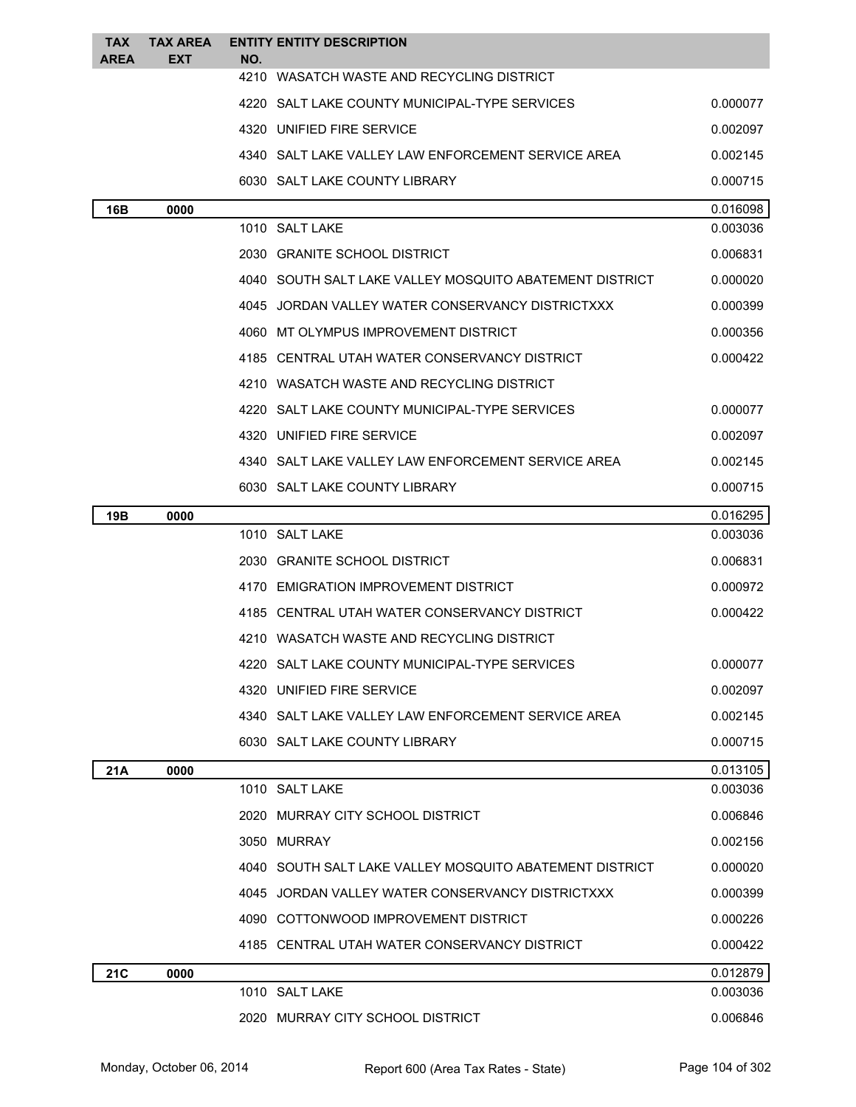| TAX         | <b>TAX AREA</b> | <b>ENTITY ENTITY DESCRIPTION</b>                        |          |
|-------------|-----------------|---------------------------------------------------------|----------|
| <b>AREA</b> | EXT             | NO.<br>4210 WASATCH WASTE AND RECYCLING DISTRICT        |          |
|             |                 | 4220 SALT LAKE COUNTY MUNICIPAL-TYPE SERVICES           | 0.000077 |
|             |                 | 4320 UNIFIED FIRE SERVICE                               | 0.002097 |
|             |                 | 4340 SALT LAKE VALLEY LAW ENFORCEMENT SERVICE AREA      | 0.002145 |
|             |                 | 6030 SALT LAKE COUNTY LIBRARY                           | 0.000715 |
| 16B         | 0000            |                                                         | 0.016098 |
|             |                 | 1010 SALT LAKE                                          | 0.003036 |
|             |                 | 2030 GRANITE SCHOOL DISTRICT                            | 0.006831 |
|             |                 | 4040 SOUTH SALT LAKE VALLEY MOSQUITO ABATEMENT DISTRICT | 0.000020 |
|             |                 | 4045 JORDAN VALLEY WATER CONSERVANCY DISTRICTXXX        | 0.000399 |
|             |                 | 4060 MT OLYMPUS IMPROVEMENT DISTRICT                    | 0.000356 |
|             |                 | 4185 CENTRAL UTAH WATER CONSERVANCY DISTRICT            | 0.000422 |
|             |                 | 4210 WASATCH WASTE AND RECYCLING DISTRICT               |          |
|             |                 | 4220 SALT LAKE COUNTY MUNICIPAL-TYPE SERVICES           | 0.000077 |
|             |                 | 4320 UNIFIED FIRE SERVICE                               | 0.002097 |
|             |                 | 4340 SALT LAKE VALLEY LAW ENFORCEMENT SERVICE AREA      | 0.002145 |
|             |                 | 6030 SALT LAKE COUNTY LIBRARY                           | 0.000715 |
| 19B         | 0000            |                                                         | 0.016295 |
|             |                 | 1010 SALT LAKE                                          | 0.003036 |
|             |                 | 2030 GRANITE SCHOOL DISTRICT                            | 0.006831 |
|             |                 | 4170 EMIGRATION IMPROVEMENT DISTRICT                    | 0.000972 |
|             |                 | 4185 CENTRAL UTAH WATER CONSERVANCY DISTRICT            | 0.000422 |
|             |                 | 4210 WASATCH WASTE AND RECYCLING DISTRICT               |          |
|             |                 | 4220 SALT LAKE COUNTY MUNICIPAL-TYPE SERVICES           | 0.000077 |
|             |                 | 4320 UNIFIED FIRE SERVICE                               | 0.002097 |
|             |                 | 4340 SALT LAKE VALLEY LAW ENFORCEMENT SERVICE AREA      | 0.002145 |
|             |                 | 6030 SALT LAKE COUNTY LIBRARY                           | 0.000715 |
| 21A         | 0000            |                                                         | 0.013105 |
|             |                 | 1010 SALT LAKE                                          | 0.003036 |
|             |                 | 2020 MURRAY CITY SCHOOL DISTRICT                        | 0.006846 |
|             |                 | 3050 MURRAY                                             | 0.002156 |
|             |                 | 4040 SOUTH SALT LAKE VALLEY MOSQUITO ABATEMENT DISTRICT | 0.000020 |
|             |                 | 4045 JORDAN VALLEY WATER CONSERVANCY DISTRICTXXX        | 0.000399 |
|             |                 | 4090 COTTONWOOD IMPROVEMENT DISTRICT                    | 0.000226 |
|             |                 | 4185 CENTRAL UTAH WATER CONSERVANCY DISTRICT            | 0.000422 |
| 21C         | 0000            |                                                         | 0.012879 |
|             |                 | 1010 SALT LAKE                                          | 0.003036 |
|             |                 | 2020 MURRAY CITY SCHOOL DISTRICT                        | 0.006846 |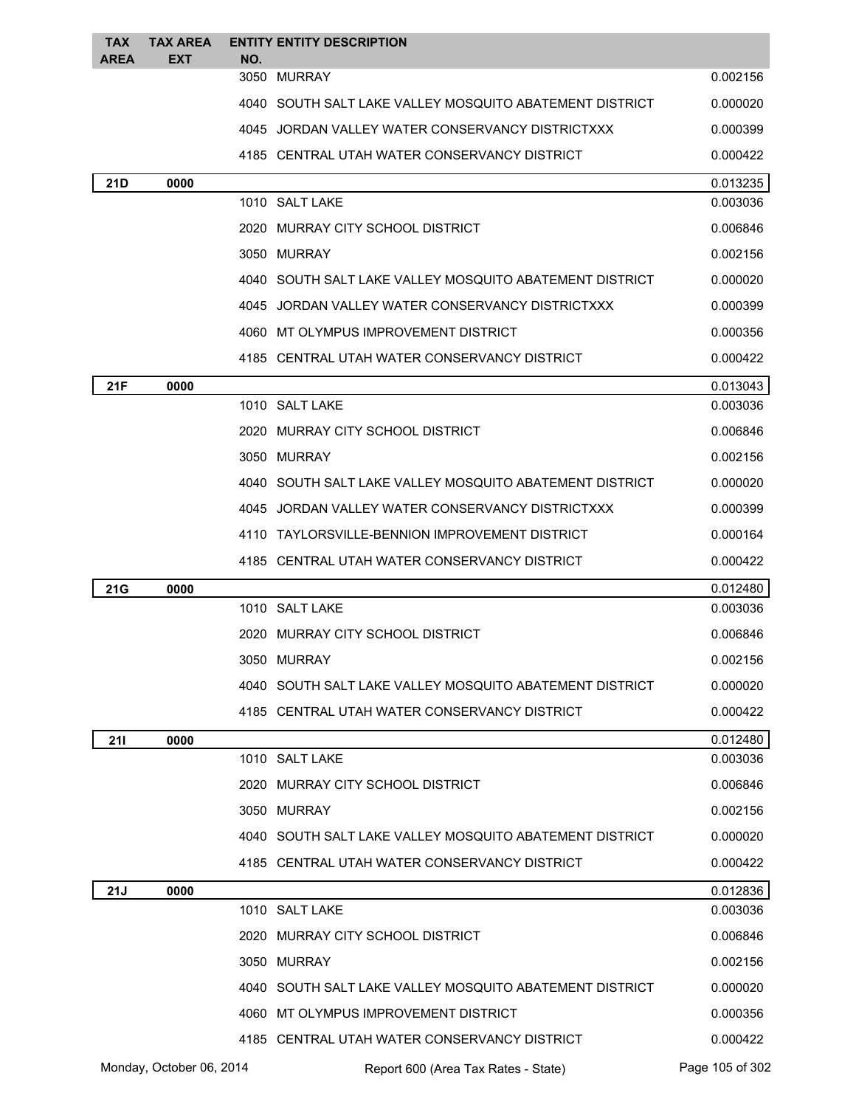| <b>TAX</b> | <b>TAX AREA</b>          |     | <b>ENTITY ENTITY DESCRIPTION</b>                        |                      |
|------------|--------------------------|-----|---------------------------------------------------------|----------------------|
| AREA       | <b>EXT</b>               | NO. | 3050 MURRAY                                             | 0.002156             |
|            |                          |     | 4040 SOUTH SALT LAKE VALLEY MOSQUITO ABATEMENT DISTRICT | 0.000020             |
|            |                          |     | 4045 JORDAN VALLEY WATER CONSERVANCY DISTRICTXXX        | 0.000399             |
|            |                          |     | 4185 CENTRAL UTAH WATER CONSERVANCY DISTRICT            | 0.000422             |
| 21D        | 0000                     |     |                                                         | 0.013235             |
|            |                          |     | 1010 SALT LAKE                                          | 0.003036             |
|            |                          |     | 2020 MURRAY CITY SCHOOL DISTRICT                        | 0.006846             |
|            |                          |     | 3050 MURRAY                                             | 0.002156             |
|            |                          |     | 4040 SOUTH SALT LAKE VALLEY MOSQUITO ABATEMENT DISTRICT | 0.000020             |
|            |                          |     | 4045 JORDAN VALLEY WATER CONSERVANCY DISTRICTXXX        | 0.000399             |
|            |                          |     | 4060 MT OLYMPUS IMPROVEMENT DISTRICT                    | 0.000356             |
|            |                          |     | 4185 CENTRAL UTAH WATER CONSERVANCY DISTRICT            | 0.000422             |
| 21F        | 0000                     |     |                                                         | 0.013043             |
|            |                          |     | 1010 SALT LAKE                                          | 0.003036             |
|            |                          |     | 2020 MURRAY CITY SCHOOL DISTRICT                        | 0.006846             |
|            |                          |     | 3050 MURRAY                                             | 0.002156             |
|            |                          |     | 4040 SOUTH SALT LAKE VALLEY MOSQUITO ABATEMENT DISTRICT | 0.000020             |
|            |                          |     | 4045 JORDAN VALLEY WATER CONSERVANCY DISTRICTXXX        | 0.000399             |
|            |                          |     | 4110 TAYLORSVILLE-BENNION IMPROVEMENT DISTRICT          | 0.000164             |
|            |                          |     | 4185 CENTRAL UTAH WATER CONSERVANCY DISTRICT            | 0.000422             |
| 21G        | 0000                     |     |                                                         | 0.012480             |
|            |                          |     | 1010 SALT LAKE                                          | 0.003036             |
|            |                          |     | 2020 MURRAY CITY SCHOOL DISTRICT                        | 0.006846             |
|            |                          |     | 3050 MURRAY                                             | 0.002156             |
|            |                          |     | 4040 SOUTH SALT LAKE VALLEY MOSQUITO ABATEMENT DISTRICT | 0.000020             |
|            |                          |     | 4185 CENTRAL UTAH WATER CONSERVANCY DISTRICT            | 0.000422             |
| 211        | 0000                     |     |                                                         | 0.012480             |
|            |                          |     | 1010 SALT LAKE                                          | 0.003036             |
|            |                          |     | 2020 MURRAY CITY SCHOOL DISTRICT                        | 0.006846             |
|            |                          |     | 3050 MURRAY                                             | 0.002156             |
|            |                          |     | 4040 SOUTH SALT LAKE VALLEY MOSQUITO ABATEMENT DISTRICT | 0.000020             |
|            |                          |     | 4185 CENTRAL UTAH WATER CONSERVANCY DISTRICT            | 0.000422             |
| 21J        | 0000                     |     | 1010 SALT LAKE                                          | 0.012836<br>0.003036 |
|            |                          |     | 2020 MURRAY CITY SCHOOL DISTRICT                        | 0.006846             |
|            |                          |     | 3050 MURRAY                                             | 0.002156             |
|            |                          |     | 4040 SOUTH SALT LAKE VALLEY MOSQUITO ABATEMENT DISTRICT | 0.000020             |
|            |                          |     | 4060 MT OLYMPUS IMPROVEMENT DISTRICT                    | 0.000356             |
|            |                          |     | 4185 CENTRAL UTAH WATER CONSERVANCY DISTRICT            | 0.000422             |
|            | Monday, October 06, 2014 |     |                                                         | Page 105 of 302      |
|            |                          |     | Report 600 (Area Tax Rates - State)                     |                      |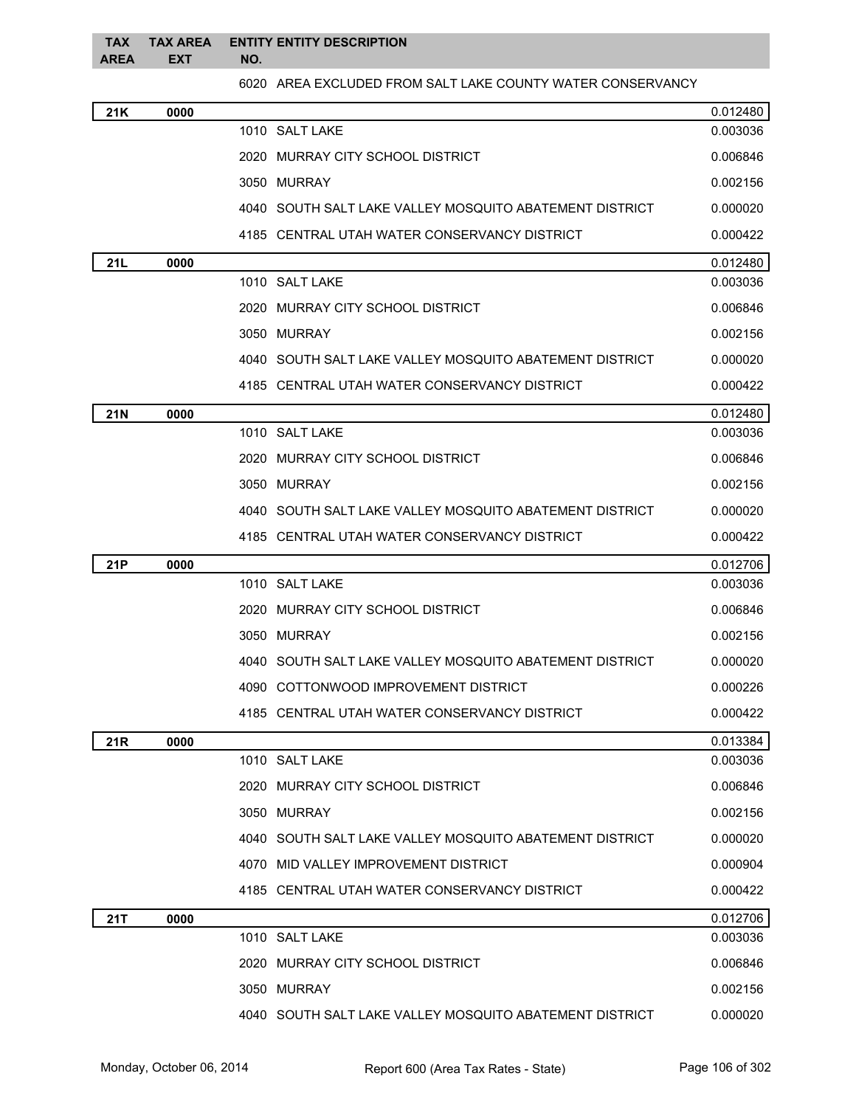|          | TAX TAX AREA ENTITY ENTITY DESCRIPTION |
|----------|----------------------------------------|
| AREA EXT | NO.                                    |

6020 AREA EXCLUDED FROM SALT LAKE COUNTY WATER CONSERVANCY

| 21K        | 0000 |                                                           | 0.012480 |
|------------|------|-----------------------------------------------------------|----------|
|            |      | 1010 SALT LAKE                                            | 0.003036 |
|            |      | 2020 MURRAY CITY SCHOOL DISTRICT                          | 0.006846 |
|            |      | 3050 MURRAY                                               | 0.002156 |
|            |      | 4040 SOUTH SALT LAKE VALLEY MOSQUITO ABATEMENT DISTRICT   | 0.000020 |
|            |      | 4185 CENTRAL UTAH WATER CONSERVANCY DISTRICT              | 0.000422 |
| 21L        | 0000 |                                                           | 0.012480 |
|            |      | 1010 SALT LAKE                                            | 0.003036 |
|            |      | 2020 MURRAY CITY SCHOOL DISTRICT                          | 0.006846 |
|            |      | 3050 MURRAY                                               | 0.002156 |
|            |      | 4040 SOUTH SALT LAKE VALLEY MOSQUITO ABATEMENT DISTRICT   | 0.000020 |
|            |      | 4185 CENTRAL UTAH WATER CONSERVANCY DISTRICT              | 0.000422 |
| <b>21N</b> | 0000 |                                                           | 0.012480 |
|            |      | 1010 SALT LAKE                                            | 0.003036 |
|            |      | 2020 MURRAY CITY SCHOOL DISTRICT                          | 0.006846 |
|            |      | 3050 MURRAY                                               | 0.002156 |
|            |      | 4040   SOUTH SALT LAKE VALLEY MOSQUITO ABATEMENT DISTRICT | 0.000020 |
|            |      | 4185 CENTRAL UTAH WATER CONSERVANCY DISTRICT              | 0.000422 |
| 21P        | 0000 |                                                           | 0.012706 |
|            |      | 1010 SALT LAKE                                            | 0.003036 |
|            |      | 2020 MURRAY CITY SCHOOL DISTRICT                          | 0.006846 |
|            |      | 3050 MURRAY                                               | 0.002156 |
|            |      | 4040 SOUTH SALT LAKE VALLEY MOSQUITO ABATEMENT DISTRICT   | 0.000020 |
|            |      | 4090 COTTONWOOD IMPROVEMENT DISTRICT                      | 0.000226 |
|            |      | 4185 CENTRAL UTAH WATER CONSERVANCY DISTRICT              | 0.000422 |
| 21R        | 0000 |                                                           | 0.013384 |
|            |      | 1010 SALT LAKE                                            | 0.003036 |
|            |      | 2020 MURRAY CITY SCHOOL DISTRICT                          | 0.006846 |
|            |      | 3050 MURRAY                                               | 0.002156 |
|            |      | 4040 SOUTH SALT LAKE VALLEY MOSQUITO ABATEMENT DISTRICT   | 0.000020 |
|            |      | 4070 MID VALLEY IMPROVEMENT DISTRICT                      | 0.000904 |
|            |      | 4185 CENTRAL UTAH WATER CONSERVANCY DISTRICT              | 0.000422 |
| 21T        | 0000 |                                                           | 0.012706 |
|            |      | 1010 SALT LAKE                                            | 0.003036 |
|            |      | 2020 MURRAY CITY SCHOOL DISTRICT                          | 0.006846 |
|            |      | 3050 MURRAY                                               | 0.002156 |
|            |      | 4040 SOUTH SALT LAKE VALLEY MOSQUITO ABATEMENT DISTRICT   | 0.000020 |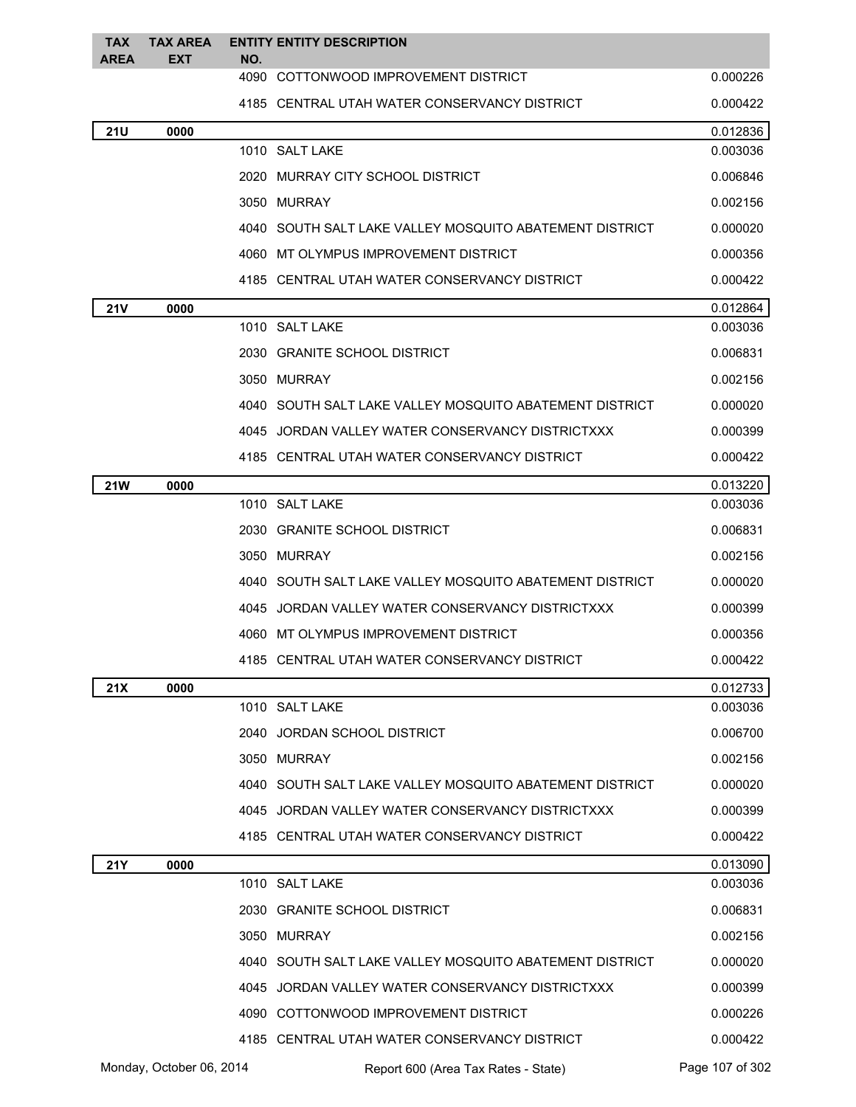| <b>TAX</b><br><b>AREA</b> | <b>TAX AREA</b><br><b>EXT</b> | NO. | <b>ENTITY ENTITY DESCRIPTION</b>                          |                 |
|---------------------------|-------------------------------|-----|-----------------------------------------------------------|-----------------|
|                           |                               |     | 4090 COTTONWOOD IMPROVEMENT DISTRICT                      | 0.000226        |
|                           |                               |     | 4185 CENTRAL UTAH WATER CONSERVANCY DISTRICT              | 0.000422        |
| <b>21U</b>                | 0000                          |     |                                                           | 0.012836        |
|                           |                               |     | 1010 SALT LAKE                                            | 0.003036        |
|                           |                               |     | 2020 MURRAY CITY SCHOOL DISTRICT                          | 0.006846        |
|                           |                               |     | 3050 MURRAY                                               | 0.002156        |
|                           |                               |     | 4040 SOUTH SALT LAKE VALLEY MOSQUITO ABATEMENT DISTRICT   | 0.000020        |
|                           |                               |     | 4060 MT OLYMPUS IMPROVEMENT DISTRICT                      | 0.000356        |
|                           |                               |     | 4185 CENTRAL UTAH WATER CONSERVANCY DISTRICT              | 0.000422        |
| 21V                       | 0000                          |     |                                                           | 0.012864        |
|                           |                               |     | 1010 SALT LAKE                                            | 0.003036        |
|                           |                               |     | 2030 GRANITE SCHOOL DISTRICT                              | 0.006831        |
|                           |                               |     | 3050 MURRAY                                               | 0.002156        |
|                           |                               |     | 4040 SOUTH SALT LAKE VALLEY MOSQUITO ABATEMENT DISTRICT   | 0.000020        |
|                           |                               |     | 4045 JORDAN VALLEY WATER CONSERVANCY DISTRICTXXX          | 0.000399        |
|                           |                               |     | 4185 CENTRAL UTAH WATER CONSERVANCY DISTRICT              | 0.000422        |
| <b>21W</b>                | 0000                          |     |                                                           | 0.013220        |
|                           |                               |     | 1010 SALT LAKE                                            | 0.003036        |
|                           |                               |     | 2030 GRANITE SCHOOL DISTRICT                              | 0.006831        |
|                           |                               |     | 3050 MURRAY                                               | 0.002156        |
|                           |                               |     | 4040 SOUTH SALT LAKE VALLEY MOSQUITO ABATEMENT DISTRICT   | 0.000020        |
|                           |                               |     | 4045 JORDAN VALLEY WATER CONSERVANCY DISTRICTXXX          | 0.000399        |
|                           |                               |     | 4060 MT OLYMPUS IMPROVEMENT DISTRICT                      | 0.000356        |
|                           |                               |     | 4185 CENTRAL UTAH WATER CONSERVANCY DISTRICT              | 0.000422        |
| 21X                       | 0000                          |     |                                                           | 0.012733        |
|                           |                               |     | 1010 SALT LAKE                                            | 0.003036        |
|                           |                               |     | 2040 JORDAN SCHOOL DISTRICT                               | 0.006700        |
|                           |                               |     | 3050 MURRAY                                               | 0.002156        |
|                           |                               |     | 4040   SOUTH SALT LAKE VALLEY MOSQUITO ABATEMENT DISTRICT | 0.000020        |
|                           |                               |     | 4045 JORDAN VALLEY WATER CONSERVANCY DISTRICTXXX          | 0.000399        |
|                           |                               |     | 4185 CENTRAL UTAH WATER CONSERVANCY DISTRICT              | 0.000422        |
| 21Y                       | 0000                          |     |                                                           | 0.013090        |
|                           |                               |     | 1010 SALT LAKE                                            | 0.003036        |
|                           |                               |     | 2030 GRANITE SCHOOL DISTRICT                              | 0.006831        |
|                           |                               |     | 3050 MURRAY                                               | 0.002156        |
|                           |                               |     | 4040 SOUTH SALT LAKE VALLEY MOSQUITO ABATEMENT DISTRICT   | 0.000020        |
|                           |                               |     | 4045 JORDAN VALLEY WATER CONSERVANCY DISTRICTXXX          | 0.000399        |
|                           |                               |     | 4090 COTTONWOOD IMPROVEMENT DISTRICT                      | 0.000226        |
|                           |                               |     | 4185 CENTRAL UTAH WATER CONSERVANCY DISTRICT              | 0.000422        |
|                           | Monday, October 06, 2014      |     | Report 600 (Area Tax Rates - State)                       | Page 107 of 302 |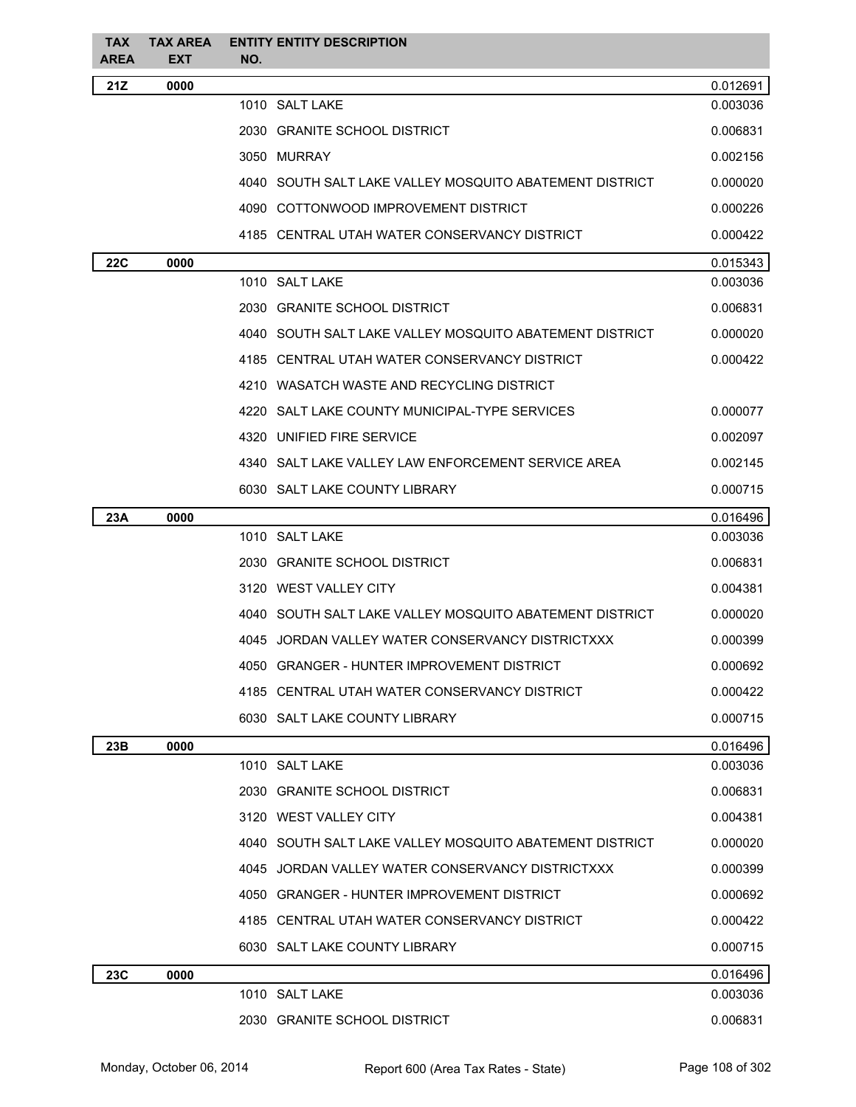| <b>TAX</b><br><b>AREA</b> | <b>TAX AREA</b><br><b>EXT</b> | <b>ENTITY ENTITY DESCRIPTION</b><br>NO.                   |          |
|---------------------------|-------------------------------|-----------------------------------------------------------|----------|
| 21Z                       | 0000                          |                                                           | 0.012691 |
|                           |                               | 1010 SALT LAKE                                            | 0.003036 |
|                           |                               | 2030 GRANITE SCHOOL DISTRICT                              | 0.006831 |
|                           |                               | 3050 MURRAY                                               | 0.002156 |
|                           |                               | 4040 SOUTH SALT LAKE VALLEY MOSOUITO ABATEMENT DISTRICT   | 0.000020 |
|                           |                               | 4090 COTTONWOOD IMPROVEMENT DISTRICT                      | 0.000226 |
|                           |                               | 4185 CENTRAL UTAH WATER CONSERVANCY DISTRICT              | 0.000422 |
| <b>22C</b>                | 0000                          |                                                           | 0.015343 |
|                           |                               | 1010 SALT LAKE                                            | 0.003036 |
|                           |                               | 2030 GRANITE SCHOOL DISTRICT                              | 0.006831 |
|                           |                               | 4040   SOUTH SALT LAKE VALLEY MOSQUITO ABATEMENT DISTRICT | 0.000020 |
|                           |                               | 4185 CENTRAL UTAH WATER CONSERVANCY DISTRICT              | 0.000422 |
|                           |                               | 4210 WASATCH WASTE AND RECYCLING DISTRICT                 |          |
|                           |                               | 4220 SALT LAKE COUNTY MUNICIPAL-TYPE SERVICES             | 0.000077 |
|                           |                               | 4320 UNIFIED FIRE SERVICE                                 | 0.002097 |
|                           |                               | 4340 SALT LAKE VALLEY LAW ENFORCEMENT SERVICE AREA        | 0.002145 |
|                           |                               | 6030 SALT LAKE COUNTY LIBRARY                             | 0.000715 |
| 23A                       | 0000                          |                                                           | 0.016496 |
|                           |                               | 1010 SALT LAKE                                            | 0.003036 |
|                           |                               | 2030 GRANITE SCHOOL DISTRICT                              | 0.006831 |
|                           |                               | 3120 WEST VALLEY CITY                                     | 0.004381 |
|                           |                               | 4040 SOUTH SALT LAKE VALLEY MOSQUITO ABATEMENT DISTRICT   | 0.000020 |
|                           |                               | 4045 JORDAN VALLEY WATER CONSERVANCY DISTRICTXXX          | 0.000399 |
|                           |                               | 4050 GRANGER - HUNTER IMPROVEMENT DISTRICT                | 0.000692 |
|                           |                               | 4185 CENTRAL UTAH WATER CONSERVANCY DISTRICT              | 0.000422 |
|                           |                               | 6030 SALT LAKE COUNTY LIBRARY                             | 0.000715 |
| 23B                       | 0000                          |                                                           | 0.016496 |
|                           |                               | 1010 SALT LAKE                                            | 0.003036 |
|                           |                               | 2030 GRANITE SCHOOL DISTRICT                              | 0.006831 |
|                           |                               | 3120 WEST VALLEY CITY                                     | 0.004381 |
|                           |                               | 4040 SOUTH SALT LAKE VALLEY MOSOUITO ABATEMENT DISTRICT   | 0.000020 |
|                           |                               | 4045 JORDAN VALLEY WATER CONSERVANCY DISTRICTXXX          | 0.000399 |
|                           |                               | 4050 GRANGER - HUNTER IMPROVEMENT DISTRICT                | 0.000692 |
|                           |                               | 4185 CENTRAL UTAH WATER CONSERVANCY DISTRICT              | 0.000422 |
|                           |                               | 6030 SALT LAKE COUNTY LIBRARY                             | 0.000715 |
| 23C                       | 0000                          |                                                           | 0.016496 |
|                           |                               | 1010 SALT LAKE                                            | 0.003036 |
|                           |                               | 2030 GRANITE SCHOOL DISTRICT                              | 0.006831 |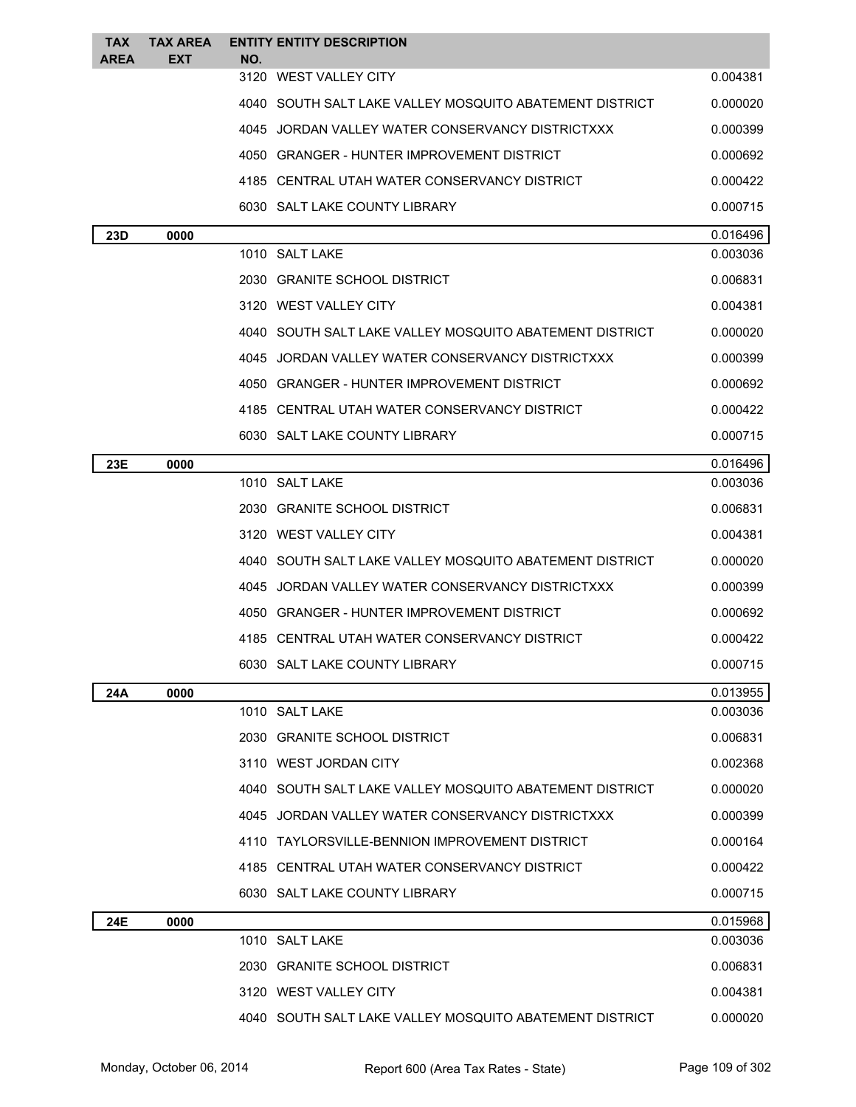| <b>TAX</b><br><b>AREA</b> | <b>TAX AREA</b><br><b>EXT</b> | <b>ENTITY ENTITY DESCRIPTION</b><br>NO. |                                                           |          |
|---------------------------|-------------------------------|-----------------------------------------|-----------------------------------------------------------|----------|
|                           |                               | 3120 WEST VALLEY CITY                   |                                                           | 0.004381 |
|                           |                               |                                         | 4040 SOUTH SALT LAKE VALLEY MOSQUITO ABATEMENT DISTRICT   | 0.000020 |
|                           |                               |                                         | 4045 JORDAN VALLEY WATER CONSERVANCY DISTRICTXXX          | 0.000399 |
|                           |                               |                                         | 4050 GRANGER - HUNTER IMPROVEMENT DISTRICT                | 0.000692 |
|                           |                               |                                         | 4185 CENTRAL UTAH WATER CONSERVANCY DISTRICT              | 0.000422 |
|                           |                               | 6030 SALT LAKE COUNTY LIBRARY           |                                                           | 0.000715 |
| 23D                       | 0000                          |                                         |                                                           | 0.016496 |
|                           |                               | 1010 SALT LAKE                          |                                                           | 0.003036 |
|                           |                               | 2030 GRANITE SCHOOL DISTRICT            |                                                           | 0.006831 |
|                           |                               | 3120 WEST VALLEY CITY                   |                                                           | 0.004381 |
|                           |                               |                                         | 4040   SOUTH SALT LAKE VALLEY MOSQUITO ABATEMENT DISTRICT | 0.000020 |
|                           |                               |                                         | 4045   JORDAN VALLEY WATER CONSERVANCY DISTRICTXXX        | 0.000399 |
|                           |                               |                                         | 4050   GRANGER - HUNTER IMPROVEMENT DISTRICT              | 0.000692 |
|                           |                               |                                         | 4185 CENTRAL UTAH WATER CONSERVANCY DISTRICT              | 0.000422 |
|                           |                               | 6030 SALT LAKE COUNTY LIBRARY           |                                                           | 0.000715 |
| 23E                       | 0000                          |                                         |                                                           | 0.016496 |
|                           |                               | 1010 SALT LAKE                          |                                                           | 0.003036 |
|                           |                               | 2030 GRANITE SCHOOL DISTRICT            |                                                           | 0.006831 |
|                           |                               | 3120 WEST VALLEY CITY                   |                                                           | 0.004381 |
|                           |                               |                                         | 4040 SOUTH SALT LAKE VALLEY MOSQUITO ABATEMENT DISTRICT   | 0.000020 |
|                           |                               | 4045                                    | JORDAN VALLEY WATER CONSERVANCY DISTRICTXXX               | 0.000399 |
|                           |                               |                                         | 4050 GRANGER - HUNTER IMPROVEMENT DISTRICT                | 0.000692 |
|                           |                               |                                         | 4185 CENTRAL UTAH WATER CONSERVANCY DISTRICT              | 0.000422 |
|                           |                               | 6030 SALT LAKE COUNTY LIBRARY           |                                                           | 0.000715 |
| 24A                       | 0000                          |                                         |                                                           | 0.013955 |
|                           |                               | 1010 SALT LAKE                          |                                                           | 0.003036 |
|                           |                               | 2030 GRANITE SCHOOL DISTRICT            |                                                           | 0.006831 |
|                           |                               | 3110 WEST JORDAN CITY                   |                                                           | 0.002368 |
|                           |                               |                                         | 4040 SOUTH SALT LAKE VALLEY MOSQUITO ABATEMENT DISTRICT   | 0.000020 |
|                           |                               |                                         | 4045 JORDAN VALLEY WATER CONSERVANCY DISTRICTXXX          | 0.000399 |
|                           |                               |                                         | 4110 TAYLORSVILLE-BENNION IMPROVEMENT DISTRICT            | 0.000164 |
|                           |                               |                                         | 4185 CENTRAL UTAH WATER CONSERVANCY DISTRICT              | 0.000422 |
|                           |                               | 6030 SALT LAKE COUNTY LIBRARY           |                                                           | 0.000715 |
| 24E                       | 0000                          |                                         |                                                           | 0.015968 |
|                           |                               | 1010 SALT LAKE                          |                                                           | 0.003036 |
|                           |                               | 2030 GRANITE SCHOOL DISTRICT            |                                                           | 0.006831 |
|                           |                               | 3120 WEST VALLEY CITY                   |                                                           | 0.004381 |
|                           |                               |                                         | 4040 SOUTH SALT LAKE VALLEY MOSQUITO ABATEMENT DISTRICT   | 0.000020 |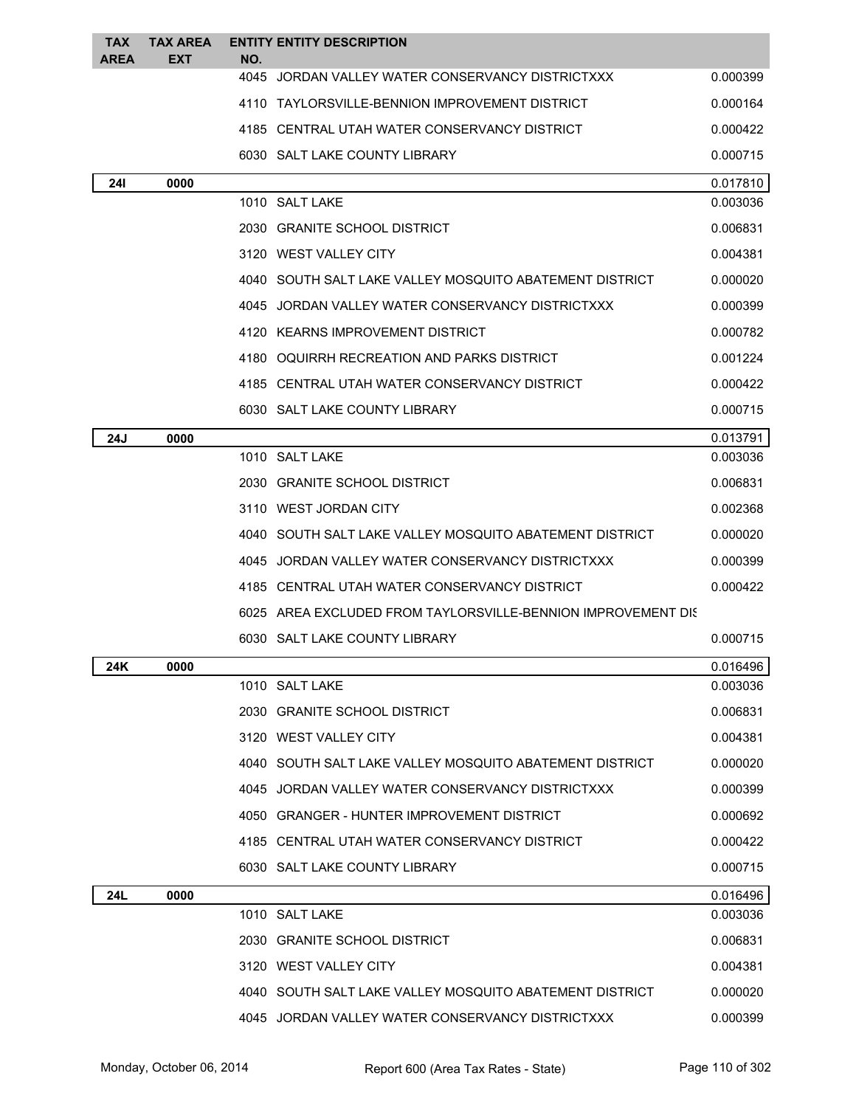| <b>TAX</b>  | <b>TAX AREA</b> |             | <b>ENTITY ENTITY DESCRIPTION</b>                             |          |
|-------------|-----------------|-------------|--------------------------------------------------------------|----------|
| <b>AREA</b> | <b>EXT</b>      | NO.<br>4045 | JORDAN VALLEY WATER CONSERVANCY DISTRICTXXX                  | 0.000399 |
|             |                 |             | 4110 TAYLORSVILLE-BENNION IMPROVEMENT DISTRICT               | 0.000164 |
|             |                 |             | 4185 CENTRAL UTAH WATER CONSERVANCY DISTRICT                 | 0.000422 |
|             |                 |             | 6030 SALT LAKE COUNTY LIBRARY                                | 0.000715 |
|             |                 |             |                                                              | 0.017810 |
| <b>241</b>  | 0000            |             | 1010 SALT LAKE                                               | 0.003036 |
|             |                 |             | 2030 GRANITE SCHOOL DISTRICT                                 | 0.006831 |
|             |                 |             | 3120 WEST VALLEY CITY                                        | 0.004381 |
|             |                 |             | 4040 SOUTH SALT LAKE VALLEY MOSQUITO ABATEMENT DISTRICT      | 0.000020 |
|             |                 |             | 4045 JORDAN VALLEY WATER CONSERVANCY DISTRICTXXX             | 0.000399 |
|             |                 |             | 4120 KEARNS IMPROVEMENT DISTRICT                             | 0.000782 |
|             |                 |             | 4180 OQUIRRH RECREATION AND PARKS DISTRICT                   | 0.001224 |
|             |                 |             | 4185 CENTRAL UTAH WATER CONSERVANCY DISTRICT                 | 0.000422 |
|             |                 |             | 6030 SALT LAKE COUNTY LIBRARY                                | 0.000715 |
| 24J         | 0000            |             |                                                              | 0.013791 |
|             |                 |             | 1010 SALT LAKE                                               | 0.003036 |
|             |                 |             | 2030 GRANITE SCHOOL DISTRICT                                 | 0.006831 |
|             |                 |             | 3110 WEST JORDAN CITY                                        | 0.002368 |
|             |                 |             | 4040 SOUTH SALT LAKE VALLEY MOSQUITO ABATEMENT DISTRICT      | 0.000020 |
|             |                 |             | 4045 JORDAN VALLEY WATER CONSERVANCY DISTRICTXXX             | 0.000399 |
|             |                 |             | 4185 CENTRAL UTAH WATER CONSERVANCY DISTRICT                 | 0.000422 |
|             |                 |             | 6025 AREA EXCLUDED FROM TAYLORSVILLE-BENNION IMPROVEMENT DIS |          |
|             |                 |             | 6030 SALT LAKE COUNTY LIBRARY                                | 0.000715 |
| 24K         | 0000            |             |                                                              | 0.016496 |
|             |                 |             | 1010 SALT LAKE                                               | 0.003036 |
|             |                 |             | 2030 GRANITE SCHOOL DISTRICT                                 | 0.006831 |
|             |                 |             | 3120 WEST VALLEY CITY                                        | 0.004381 |
|             |                 |             | 4040 SOUTH SALT LAKE VALLEY MOSQUITO ABATEMENT DISTRICT      | 0.000020 |
|             |                 |             | 4045 JORDAN VALLEY WATER CONSERVANCY DISTRICTXXX             | 0.000399 |
|             |                 |             | 4050 GRANGER - HUNTER IMPROVEMENT DISTRICT                   | 0.000692 |
|             |                 |             | 4185 CENTRAL UTAH WATER CONSERVANCY DISTRICT                 | 0.000422 |
|             |                 |             | 6030 SALT LAKE COUNTY LIBRARY                                | 0.000715 |
| 24L         | 0000            |             |                                                              | 0.016496 |
|             |                 |             | 1010 SALT LAKE                                               | 0.003036 |
|             |                 |             | 2030 GRANITE SCHOOL DISTRICT                                 | 0.006831 |
|             |                 |             | 3120 WEST VALLEY CITY                                        | 0.004381 |
|             |                 |             | 4040 SOUTH SALT LAKE VALLEY MOSQUITO ABATEMENT DISTRICT      | 0.000020 |
|             |                 |             | 4045 JORDAN VALLEY WATER CONSERVANCY DISTRICTXXX             | 0.000399 |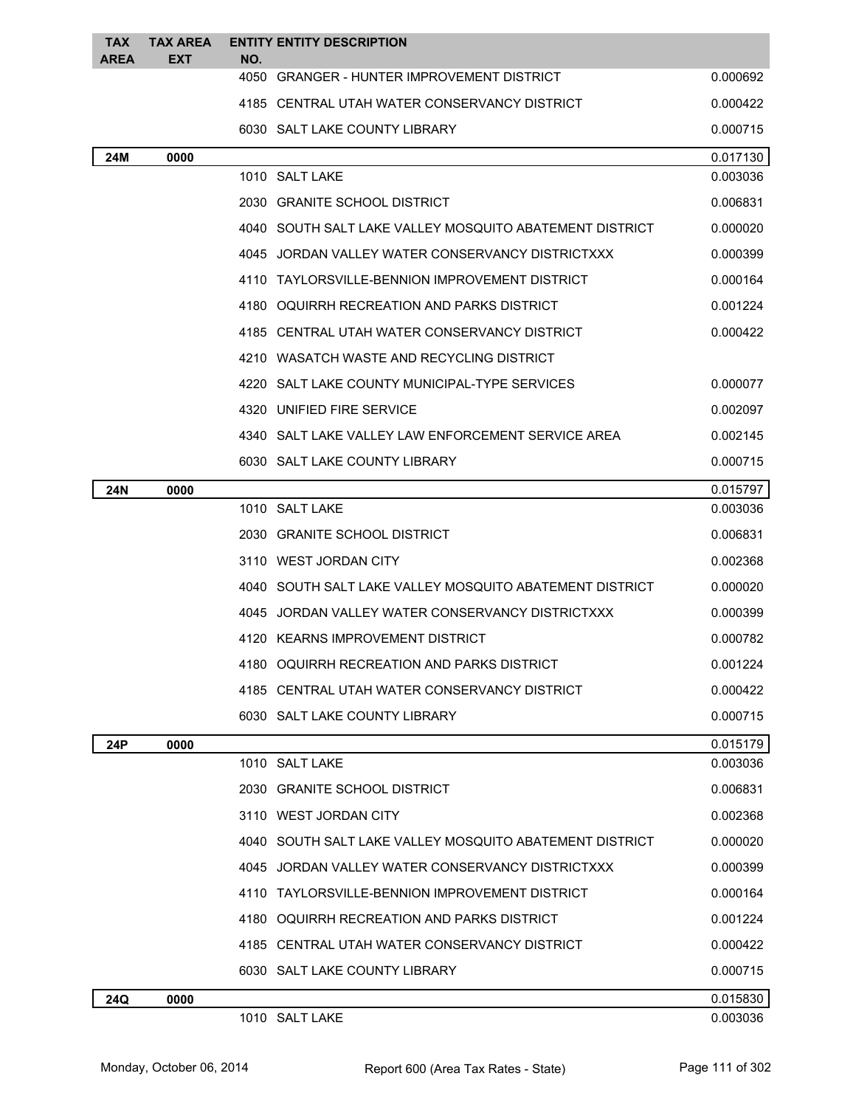| TAX<br><b>AREA</b> | <b>TAX AREA</b><br>EXT | <b>ENTITY ENTITY DESCRIPTION</b><br>NO.                   |          |
|--------------------|------------------------|-----------------------------------------------------------|----------|
|                    |                        | 4050 GRANGER - HUNTER IMPROVEMENT DISTRICT                | 0.000692 |
|                    |                        | 4185 CENTRAL UTAH WATER CONSERVANCY DISTRICT              | 0.000422 |
|                    |                        | 6030 SALT LAKE COUNTY LIBRARY                             | 0.000715 |
| 24M                | 0000                   |                                                           | 0.017130 |
|                    |                        | 1010 SALT LAKE                                            | 0.003036 |
|                    |                        | 2030 GRANITE SCHOOL DISTRICT                              | 0.006831 |
|                    |                        | 4040   SOUTH SALT LAKE VALLEY MOSQUITO ABATEMENT DISTRICT | 0.000020 |
|                    |                        | 4045 JORDAN VALLEY WATER CONSERVANCY DISTRICTXXX          | 0.000399 |
|                    |                        | 4110 TAYLORSVILLE-BENNION IMPROVEMENT DISTRICT            | 0.000164 |
|                    |                        | 4180 OQUIRRH RECREATION AND PARKS DISTRICT                | 0.001224 |
|                    |                        | 4185 CENTRAL UTAH WATER CONSERVANCY DISTRICT              | 0.000422 |
|                    |                        | 4210 WASATCH WASTE AND RECYCLING DISTRICT                 |          |
|                    |                        | 4220 SALT LAKE COUNTY MUNICIPAL-TYPE SERVICES             | 0.000077 |
|                    |                        | 4320 UNIFIED FIRE SERVICE                                 | 0.002097 |
|                    |                        | 4340 SALT LAKE VALLEY LAW ENFORCEMENT SERVICE AREA        | 0.002145 |
|                    |                        | 6030 SALT LAKE COUNTY LIBRARY                             | 0.000715 |
| 24N                | 0000                   |                                                           | 0.015797 |
|                    |                        | 1010 SALT LAKE                                            | 0.003036 |
|                    |                        | 2030 GRANITE SCHOOL DISTRICT                              | 0.006831 |
|                    |                        | 3110 WEST JORDAN CITY                                     | 0.002368 |
|                    |                        | 4040 SOUTH SALT LAKE VALLEY MOSQUITO ABATEMENT DISTRICT   | 0.000020 |
|                    |                        | 4045 JORDAN VALLEY WATER CONSERVANCY DISTRICTXXX          | 0.000399 |
|                    |                        | 4120 KEARNS IMPROVEMENT DISTRICT                          | 0.000782 |
|                    |                        | 4180 OQUIRRH RECREATION AND PARKS DISTRICT                | 0.001224 |
|                    |                        | 4185 CENTRAL UTAH WATER CONSERVANCY DISTRICT              | 0.000422 |
|                    |                        | 6030 SALT LAKE COUNTY LIBRARY                             | 0.000715 |
| 24P                | 0000                   |                                                           | 0.015179 |
|                    |                        | 1010 SALT LAKE                                            | 0.003036 |
|                    |                        | 2030 GRANITE SCHOOL DISTRICT                              | 0.006831 |
|                    |                        | 3110 WEST JORDAN CITY                                     | 0.002368 |
|                    |                        | 4040 SOUTH SALT LAKE VALLEY MOSQUITO ABATEMENT DISTRICT   | 0.000020 |
|                    |                        | 4045 JORDAN VALLEY WATER CONSERVANCY DISTRICTXXX          | 0.000399 |
|                    |                        | 4110 TAYLORSVILLE-BENNION IMPROVEMENT DISTRICT            | 0.000164 |
|                    |                        | 4180 OQUIRRH RECREATION AND PARKS DISTRICT                | 0.001224 |
|                    |                        | 4185 CENTRAL UTAH WATER CONSERVANCY DISTRICT              | 0.000422 |
|                    |                        | 6030 SALT LAKE COUNTY LIBRARY                             | 0.000715 |
| 24Q                | 0000                   |                                                           | 0.015830 |
|                    |                        | 1010 SALT LAKE                                            | 0.003036 |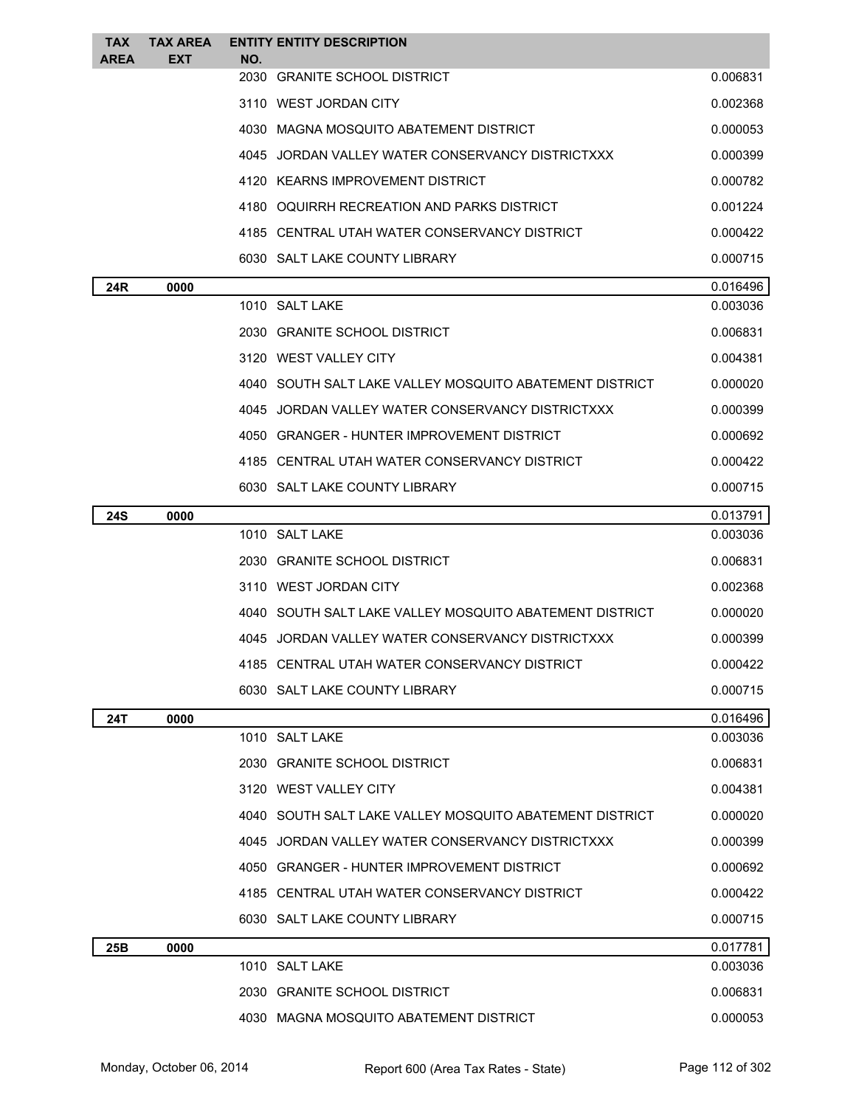| <b>TAX</b><br>AREA | <b>TAX AREA</b><br><b>EXT</b> | <b>ENTITY ENTITY DESCRIPTION</b><br>NO.                 |          |
|--------------------|-------------------------------|---------------------------------------------------------|----------|
|                    |                               | 2030<br><b>GRANITE SCHOOL DISTRICT</b>                  | 0.006831 |
|                    |                               | 3110 WEST JORDAN CITY                                   | 0.002368 |
|                    |                               | 4030 MAGNA MOSQUITO ABATEMENT DISTRICT                  | 0.000053 |
|                    |                               | 4045 JORDAN VALLEY WATER CONSERVANCY DISTRICTXXX        | 0.000399 |
|                    |                               | 4120 KEARNS IMPROVEMENT DISTRICT                        | 0.000782 |
|                    |                               | 4180 OQUIRRH RECREATION AND PARKS DISTRICT              | 0.001224 |
|                    |                               | 4185 CENTRAL UTAH WATER CONSERVANCY DISTRICT            | 0.000422 |
|                    |                               | 6030 SALT LAKE COUNTY LIBRARY                           | 0.000715 |
| 24R                | 0000                          |                                                         | 0.016496 |
|                    |                               | 1010 SALT LAKE                                          | 0.003036 |
|                    |                               | 2030 GRANITE SCHOOL DISTRICT                            | 0.006831 |
|                    |                               | 3120 WEST VALLEY CITY                                   | 0.004381 |
|                    |                               | 4040 SOUTH SALT LAKE VALLEY MOSQUITO ABATEMENT DISTRICT | 0.000020 |
|                    |                               | 4045 JORDAN VALLEY WATER CONSERVANCY DISTRICTXXX        | 0.000399 |
|                    |                               | 4050 GRANGER - HUNTER IMPROVEMENT DISTRICT              | 0.000692 |
|                    |                               | 4185 CENTRAL UTAH WATER CONSERVANCY DISTRICT            | 0.000422 |
|                    |                               | 6030 SALT LAKE COUNTY LIBRARY                           | 0.000715 |
| 24S                | 0000                          |                                                         | 0.013791 |
|                    |                               | 1010 SALT LAKE                                          | 0.003036 |
|                    |                               | 2030 GRANITE SCHOOL DISTRICT                            | 0.006831 |
|                    |                               | 3110 WEST JORDAN CITY                                   | 0.002368 |
|                    |                               | 4040 SOUTH SALT LAKE VALLEY MOSQUITO ABATEMENT DISTRICT | 0.000020 |
|                    |                               | 4045 JORDAN VALLEY WATER CONSERVANCY DISTRICTXXX        | 0.000399 |
|                    |                               | 4185 CENTRAL UTAH WATER CONSERVANCY DISTRICT            | 0.000422 |
|                    |                               | 6030 SALT LAKE COUNTY LIBRARY                           | 0.000715 |
| 24T                | 0000                          |                                                         | 0.016496 |
|                    |                               | 1010 SALT LAKE                                          | 0.003036 |
|                    |                               | 2030 GRANITE SCHOOL DISTRICT                            | 0.006831 |
|                    |                               | 3120 WEST VALLEY CITY                                   | 0.004381 |
|                    |                               | 4040 SOUTH SALT LAKE VALLEY MOSQUITO ABATEMENT DISTRICT | 0.000020 |
|                    |                               | 4045 JORDAN VALLEY WATER CONSERVANCY DISTRICTXXX        | 0.000399 |
|                    |                               | 4050 GRANGER - HUNTER IMPROVEMENT DISTRICT              | 0.000692 |
|                    |                               | 4185 CENTRAL UTAH WATER CONSERVANCY DISTRICT            | 0.000422 |
|                    |                               | 6030 SALT LAKE COUNTY LIBRARY                           | 0.000715 |
| 25B                | 0000                          |                                                         | 0.017781 |
|                    |                               | 1010 SALT LAKE                                          | 0.003036 |
|                    |                               | 2030 GRANITE SCHOOL DISTRICT                            | 0.006831 |
|                    |                               | 4030 MAGNA MOSQUITO ABATEMENT DISTRICT                  | 0.000053 |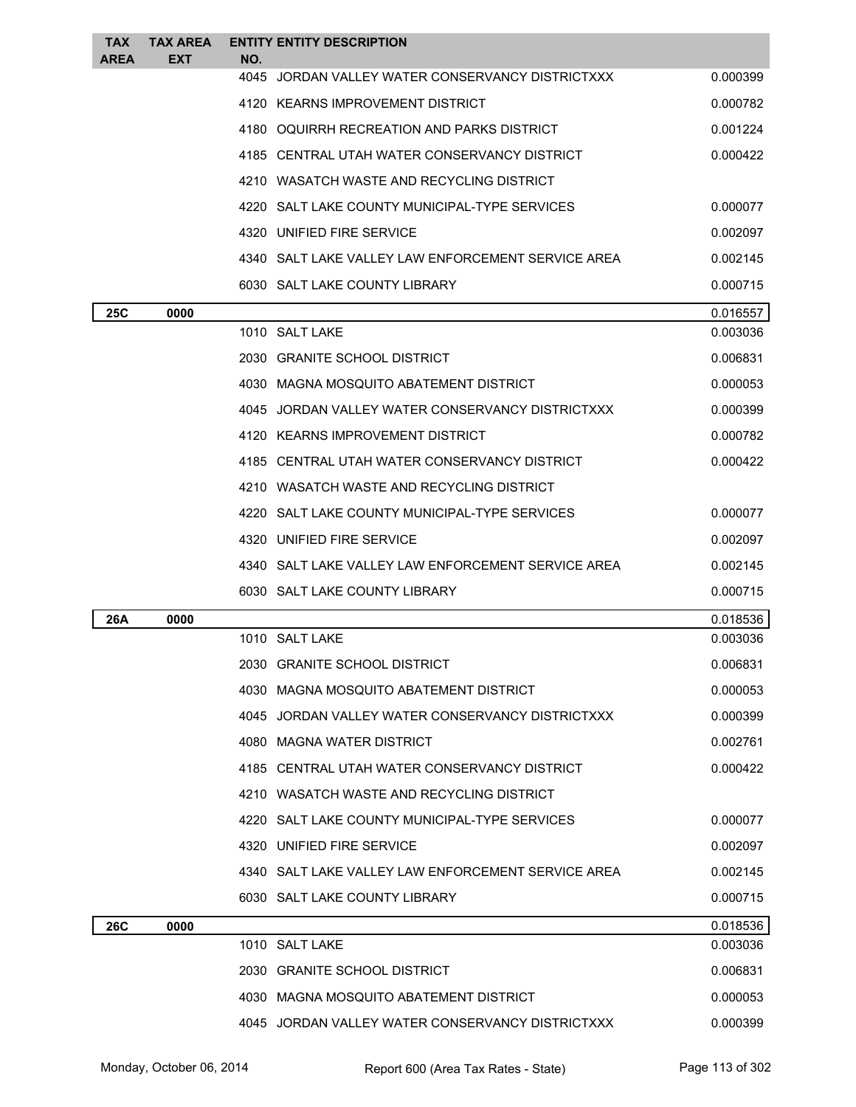| <b>TAX</b><br><b>AREA</b> | <b>TAX AREA</b><br><b>EXT</b> | <b>ENTITY ENTITY DESCRIPTION</b><br>NO.             |          |
|---------------------------|-------------------------------|-----------------------------------------------------|----------|
|                           |                               | JORDAN VALLEY WATER CONSERVANCY DISTRICTXXX<br>4045 | 0.000399 |
|                           |                               | 4120 KEARNS IMPROVEMENT DISTRICT                    | 0.000782 |
|                           |                               | 4180 OQUIRRH RECREATION AND PARKS DISTRICT          | 0.001224 |
|                           |                               | 4185 CENTRAL UTAH WATER CONSERVANCY DISTRICT        | 0.000422 |
|                           |                               | 4210 WASATCH WASTE AND RECYCLING DISTRICT           |          |
|                           |                               | 4220 SALT LAKE COUNTY MUNICIPAL-TYPE SERVICES       | 0.000077 |
|                           |                               | 4320 UNIFIED FIRE SERVICE                           | 0.002097 |
|                           |                               | 4340 SALT LAKE VALLEY LAW ENFORCEMENT SERVICE AREA  | 0.002145 |
|                           |                               | 6030 SALT LAKE COUNTY LIBRARY                       | 0.000715 |
| <b>25C</b>                | 0000                          |                                                     | 0.016557 |
|                           |                               | 1010 SALT LAKE                                      | 0.003036 |
|                           |                               | 2030 GRANITE SCHOOL DISTRICT                        | 0.006831 |
|                           |                               | 4030 MAGNA MOSQUITO ABATEMENT DISTRICT              | 0.000053 |
|                           |                               | 4045 JORDAN VALLEY WATER CONSERVANCY DISTRICTXXX    | 0.000399 |
|                           |                               | 4120 KEARNS IMPROVEMENT DISTRICT                    | 0.000782 |
|                           |                               | 4185 CENTRAL UTAH WATER CONSERVANCY DISTRICT        | 0.000422 |
|                           |                               | 4210 WASATCH WASTE AND RECYCLING DISTRICT           |          |
|                           |                               | 4220 SALT LAKE COUNTY MUNICIPAL-TYPE SERVICES       | 0.000077 |
|                           |                               | 4320 UNIFIED FIRE SERVICE                           | 0.002097 |
|                           |                               | 4340 SALT LAKE VALLEY LAW ENFORCEMENT SERVICE AREA  | 0.002145 |
|                           |                               | 6030 SALT LAKE COUNTY LIBRARY                       | 0.000715 |
| 26A                       | 0000                          |                                                     | 0.018536 |
|                           |                               | 1010 SALT LAKE                                      | 0.003036 |
|                           |                               | 2030 GRANITE SCHOOL DISTRICT                        | 0.006831 |
|                           |                               | 4030 MAGNA MOSQUITO ABATEMENT DISTRICT              | 0.000053 |
|                           |                               | 4045 JORDAN VALLEY WATER CONSERVANCY DISTRICTXXX    | 0.000399 |
|                           |                               | 4080 MAGNA WATER DISTRICT                           | 0.002761 |
|                           |                               | 4185 CENTRAL UTAH WATER CONSERVANCY DISTRICT        | 0.000422 |
|                           |                               | 4210 WASATCH WASTE AND RECYCLING DISTRICT           |          |
|                           |                               | 4220 SALT LAKE COUNTY MUNICIPAL-TYPE SERVICES       | 0.000077 |
|                           |                               | 4320 UNIFIED FIRE SERVICE                           | 0.002097 |
|                           |                               | 4340 SALT LAKE VALLEY LAW ENFORCEMENT SERVICE AREA  | 0.002145 |
|                           |                               | 6030 SALT LAKE COUNTY LIBRARY                       | 0.000715 |
| <b>26C</b>                | 0000                          |                                                     | 0.018536 |
|                           |                               | 1010 SALT LAKE                                      | 0.003036 |
|                           |                               | 2030 GRANITE SCHOOL DISTRICT                        | 0.006831 |
|                           |                               | 4030 MAGNA MOSQUITO ABATEMENT DISTRICT              | 0.000053 |
|                           |                               | 4045 JORDAN VALLEY WATER CONSERVANCY DISTRICTXXX    | 0.000399 |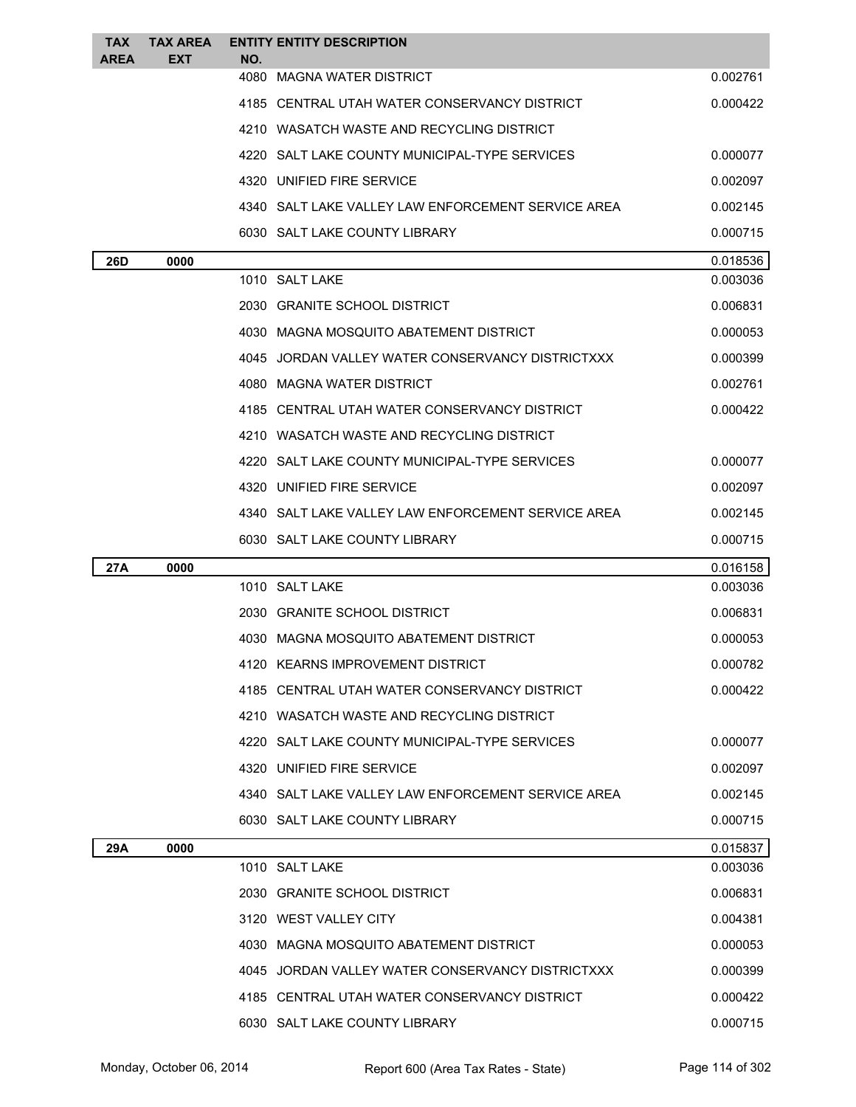| <b>TAX</b><br><b>AREA</b> | <b>TAX AREA</b><br>EXT | <b>ENTITY ENTITY DESCRIPTION</b><br>NO.              |          |
|---------------------------|------------------------|------------------------------------------------------|----------|
|                           |                        | 4080<br>MAGNA WATER DISTRICT                         | 0.002761 |
|                           |                        | 4185 CENTRAL UTAH WATER CONSERVANCY DISTRICT         | 0.000422 |
|                           |                        | 4210 WASATCH WASTE AND RECYCLING DISTRICT            |          |
|                           |                        | 4220 SALT LAKE COUNTY MUNICIPAL-TYPE SERVICES        | 0.000077 |
|                           |                        | 4320 UNIFIED FIRE SERVICE                            | 0.002097 |
|                           |                        | 4340   SALT LAKE VALLEY LAW ENFORCEMENT SERVICE AREA | 0.002145 |
|                           |                        | 6030 SALT LAKE COUNTY LIBRARY                        | 0.000715 |
| 26D                       | 0000                   |                                                      | 0.018536 |
|                           |                        | 1010 SALT LAKE                                       | 0.003036 |
|                           |                        | 2030 GRANITE SCHOOL DISTRICT                         | 0.006831 |
|                           |                        | 4030 MAGNA MOSQUITO ABATEMENT DISTRICT               | 0.000053 |
|                           |                        | 4045 JORDAN VALLEY WATER CONSERVANCY DISTRICTXXX     | 0.000399 |
|                           |                        | 4080 MAGNA WATER DISTRICT                            | 0.002761 |
|                           |                        | 4185 CENTRAL UTAH WATER CONSERVANCY DISTRICT         | 0.000422 |
|                           |                        | 4210 WASATCH WASTE AND RECYCLING DISTRICT            |          |
|                           |                        | 4220 SALT LAKE COUNTY MUNICIPAL-TYPE SERVICES        | 0.000077 |
|                           |                        | 4320 UNIFIED FIRE SERVICE                            | 0.002097 |
|                           |                        | 4340   SALT LAKE VALLEY LAW ENFORCEMENT SERVICE AREA | 0.002145 |
|                           |                        | 6030 SALT LAKE COUNTY LIBRARY                        | 0.000715 |
| 27A                       | 0000                   |                                                      | 0.016158 |
|                           |                        | 1010 SALT LAKE                                       | 0.003036 |
|                           |                        | 2030 GRANITE SCHOOL DISTRICT                         | 0.006831 |
|                           |                        | 4030 MAGNA MOSQUITO ABATEMENT DISTRICT               | 0.000053 |
|                           |                        | 4120 KEARNS IMPROVEMENT DISTRICT                     | 0.000782 |
|                           |                        | 4185 CENTRAL UTAH WATER CONSERVANCY DISTRICT         | 0.000422 |
|                           |                        | 4210 WASATCH WASTE AND RECYCLING DISTRICT            |          |
|                           |                        | 4220 SALT LAKE COUNTY MUNICIPAL-TYPE SERVICES        | 0.000077 |
|                           |                        | 4320 UNIFIED FIRE SERVICE                            | 0.002097 |
|                           |                        | 4340 SALT LAKE VALLEY LAW ENFORCEMENT SERVICE AREA   | 0.002145 |
|                           |                        | 6030 SALT LAKE COUNTY LIBRARY                        | 0.000715 |
| 29A                       | 0000                   |                                                      | 0.015837 |
|                           |                        | 1010 SALT LAKE                                       | 0.003036 |
|                           |                        | 2030 GRANITE SCHOOL DISTRICT                         | 0.006831 |
|                           |                        | 3120 WEST VALLEY CITY                                | 0.004381 |
|                           |                        | 4030 MAGNA MOSQUITO ABATEMENT DISTRICT               | 0.000053 |
|                           |                        | 4045 JORDAN VALLEY WATER CONSERVANCY DISTRICTXXX     | 0.000399 |
|                           |                        | 4185 CENTRAL UTAH WATER CONSERVANCY DISTRICT         | 0.000422 |
|                           |                        | 6030 SALT LAKE COUNTY LIBRARY                        | 0.000715 |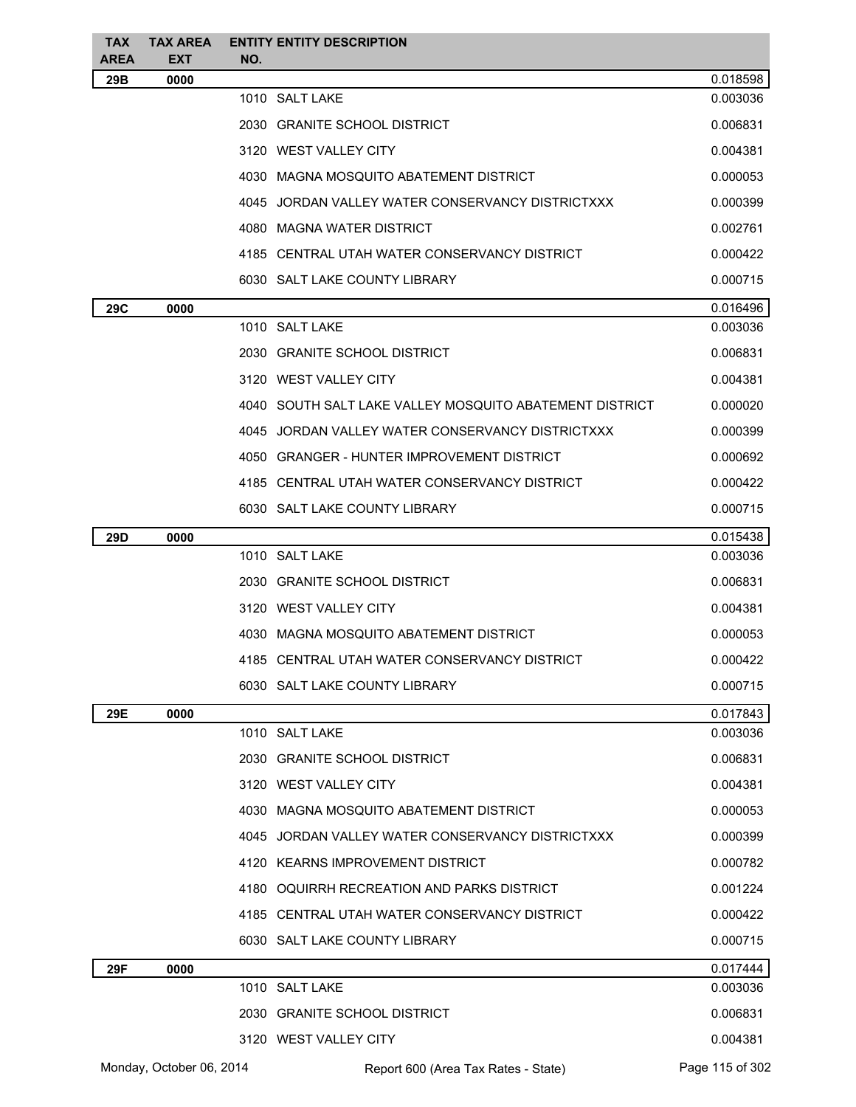| TAX.<br><b>AREA</b> | <b>TAX AREA</b><br><b>EXT</b> | NO. | <b>ENTITY ENTITY DESCRIPTION</b>                          |                 |
|---------------------|-------------------------------|-----|-----------------------------------------------------------|-----------------|
| 29B                 | 0000                          |     |                                                           | 0.018598        |
|                     |                               |     | 1010 SALT LAKE                                            | 0.003036        |
|                     |                               |     | 2030 GRANITE SCHOOL DISTRICT                              | 0.006831        |
|                     |                               |     | 3120 WEST VALLEY CITY                                     | 0.004381        |
|                     |                               |     | 4030 MAGNA MOSQUITO ABATEMENT DISTRICT                    | 0.000053        |
|                     |                               |     | 4045 JORDAN VALLEY WATER CONSERVANCY DISTRICTXXX          | 0.000399        |
|                     |                               |     | 4080 MAGNA WATER DISTRICT                                 | 0.002761        |
|                     |                               |     | 4185 CENTRAL UTAH WATER CONSERVANCY DISTRICT              | 0.000422        |
|                     |                               |     | 6030 SALT LAKE COUNTY LIBRARY                             | 0.000715        |
| 29C                 | 0000                          |     |                                                           | 0.016496        |
|                     |                               |     | 1010 SALT LAKE                                            | 0.003036        |
|                     |                               |     | 2030 GRANITE SCHOOL DISTRICT                              | 0.006831        |
|                     |                               |     | 3120 WEST VALLEY CITY                                     | 0.004381        |
|                     |                               |     | 4040   SOUTH SALT LAKE VALLEY MOSQUITO ABATEMENT DISTRICT | 0.000020        |
|                     |                               |     | 4045 JORDAN VALLEY WATER CONSERVANCY DISTRICTXXX          | 0.000399        |
|                     |                               |     | 4050 GRANGER - HUNTER IMPROVEMENT DISTRICT                | 0.000692        |
|                     |                               |     | 4185 CENTRAL UTAH WATER CONSERVANCY DISTRICT              | 0.000422        |
|                     |                               |     | 6030 SALT LAKE COUNTY LIBRARY                             | 0.000715        |
| 29D                 | 0000                          |     |                                                           | 0.015438        |
|                     |                               |     | 1010 SALT LAKE                                            | 0.003036        |
|                     |                               |     | 2030 GRANITE SCHOOL DISTRICT                              | 0.006831        |
|                     |                               |     | 3120 WEST VALLEY CITY                                     | 0.004381        |
|                     |                               |     | 4030 MAGNA MOSQUITO ABATEMENT DISTRICT                    | 0.000053        |
|                     |                               |     | 4185 CENTRAL UTAH WATER CONSERVANCY DISTRICT              | 0.000422        |
|                     |                               |     | 6030 SALT LAKE COUNTY LIBRARY                             | 0.000715        |
| 29E                 | 0000                          |     |                                                           | 0.017843        |
|                     |                               |     | 1010 SALT LAKE                                            | 0.003036        |
|                     |                               |     | 2030 GRANITE SCHOOL DISTRICT                              | 0.006831        |
|                     |                               |     | 3120 WEST VALLEY CITY                                     | 0.004381        |
|                     |                               |     | 4030 MAGNA MOSQUITO ABATEMENT DISTRICT                    | 0.000053        |
|                     |                               |     | 4045 JORDAN VALLEY WATER CONSERVANCY DISTRICTXXX          | 0.000399        |
|                     |                               |     | 4120 KEARNS IMPROVEMENT DISTRICT                          | 0.000782        |
|                     |                               |     | 4180 OQUIRRH RECREATION AND PARKS DISTRICT                | 0.001224        |
|                     |                               |     | 4185 CENTRAL UTAH WATER CONSERVANCY DISTRICT              | 0.000422        |
|                     |                               |     | 6030 SALT LAKE COUNTY LIBRARY                             | 0.000715        |
| 29F                 | 0000                          |     |                                                           | 0.017444        |
|                     |                               |     | 1010 SALT LAKE                                            | 0.003036        |
|                     |                               |     | 2030 GRANITE SCHOOL DISTRICT                              | 0.006831        |
|                     |                               |     | 3120 WEST VALLEY CITY                                     | 0.004381        |
|                     | Monday, October 06, 2014      |     | Report 600 (Area Tax Rates - State)                       | Page 115 of 302 |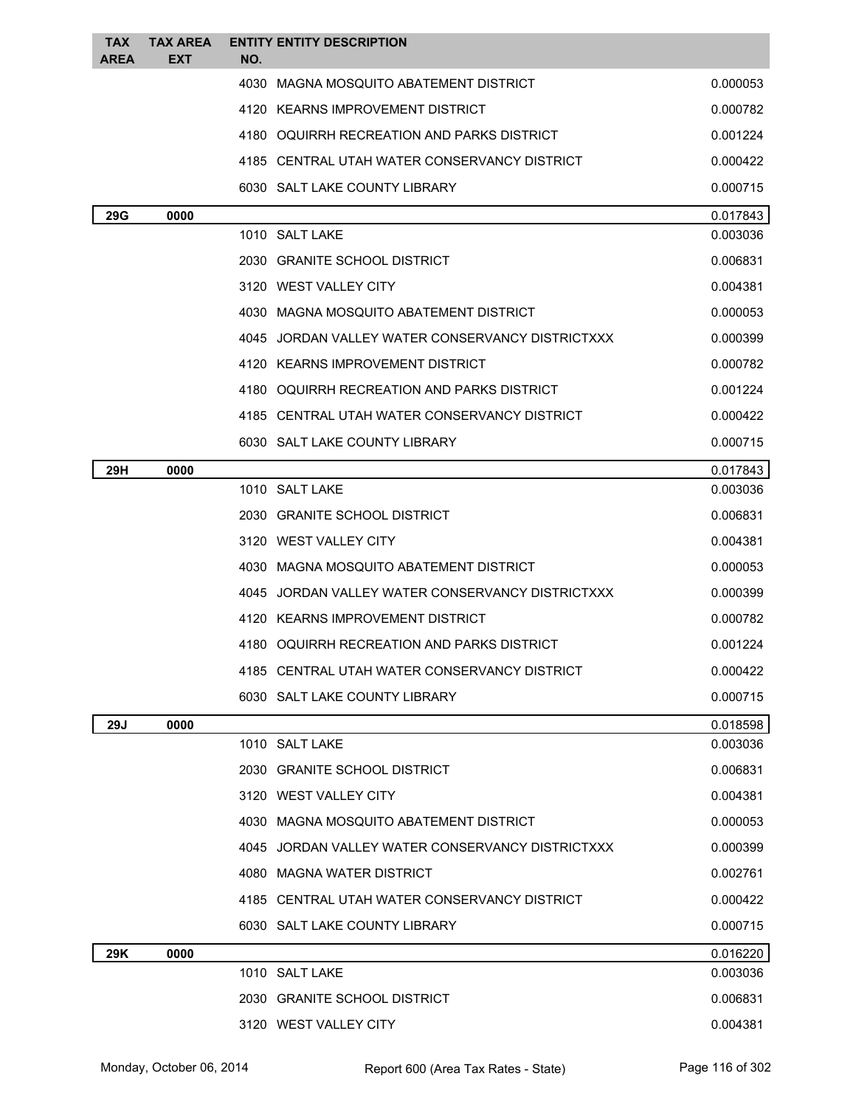| TAX<br><b>AREA</b> | <b>TAX AREA</b><br>EXT | <b>ENTITY ENTITY DESCRIPTION</b><br>NO.          |          |
|--------------------|------------------------|--------------------------------------------------|----------|
|                    |                        | 4030 MAGNA MOSQUITO ABATEMENT DISTRICT           | 0.000053 |
|                    |                        | 4120 KEARNS IMPROVEMENT DISTRICT                 | 0.000782 |
|                    |                        | 4180 OQUIRRH RECREATION AND PARKS DISTRICT       | 0.001224 |
|                    |                        | 4185 CENTRAL UTAH WATER CONSERVANCY DISTRICT     | 0.000422 |
|                    |                        | 6030 SALT LAKE COUNTY LIBRARY                    | 0.000715 |
| <b>29G</b>         | 0000                   |                                                  | 0.017843 |
|                    |                        | 1010 SALT LAKE                                   | 0.003036 |
|                    |                        | 2030 GRANITE SCHOOL DISTRICT                     | 0.006831 |
|                    |                        | 3120 WEST VALLEY CITY                            | 0.004381 |
|                    |                        | 4030 MAGNA MOSQUITO ABATEMENT DISTRICT           | 0.000053 |
|                    |                        | 4045 JORDAN VALLEY WATER CONSERVANCY DISTRICTXXX | 0.000399 |
|                    |                        | 4120 KEARNS IMPROVEMENT DISTRICT                 | 0.000782 |
|                    |                        | 4180 OQUIRRH RECREATION AND PARKS DISTRICT       | 0.001224 |
|                    |                        | 4185 CENTRAL UTAH WATER CONSERVANCY DISTRICT     | 0.000422 |
|                    |                        | 6030 SALT LAKE COUNTY LIBRARY                    | 0.000715 |
| 29H                | 0000                   |                                                  | 0.017843 |
|                    |                        | 1010 SALT LAKE                                   | 0.003036 |
|                    |                        | 2030 GRANITE SCHOOL DISTRICT                     | 0.006831 |
|                    |                        | 3120 WEST VALLEY CITY                            | 0.004381 |
|                    |                        | 4030 MAGNA MOSQUITO ABATEMENT DISTRICT           | 0.000053 |
|                    |                        | 4045 JORDAN VALLEY WATER CONSERVANCY DISTRICTXXX | 0.000399 |
|                    |                        | 4120 KEARNS IMPROVEMENT DISTRICT                 | 0.000782 |
|                    |                        | 4180 OQUIRRH RECREATION AND PARKS DISTRICT       | 0.001224 |
|                    |                        | 4185 CENTRAL UTAH WATER CONSERVANCY DISTRICT     | 0.000422 |
|                    |                        | 6030 SALT LAKE COUNTY LIBRARY                    | 0.000715 |
| <b>29J</b>         | 0000                   |                                                  | 0.018598 |
|                    |                        | 1010 SALT LAKE                                   | 0.003036 |
|                    |                        | 2030 GRANITE SCHOOL DISTRICT                     | 0.006831 |
|                    |                        | 3120 WEST VALLEY CITY                            | 0.004381 |
|                    |                        | 4030 MAGNA MOSQUITO ABATEMENT DISTRICT           | 0.000053 |
|                    |                        | 4045 JORDAN VALLEY WATER CONSERVANCY DISTRICTXXX | 0.000399 |
|                    |                        | 4080 MAGNA WATER DISTRICT                        | 0.002761 |
|                    |                        | 4185 CENTRAL UTAH WATER CONSERVANCY DISTRICT     | 0.000422 |
|                    |                        | 6030 SALT LAKE COUNTY LIBRARY                    | 0.000715 |
| 29K                | 0000                   |                                                  | 0.016220 |
|                    |                        | 1010 SALT LAKE                                   | 0.003036 |
|                    |                        | 2030 GRANITE SCHOOL DISTRICT                     | 0.006831 |
|                    |                        | 3120 WEST VALLEY CITY                            | 0.004381 |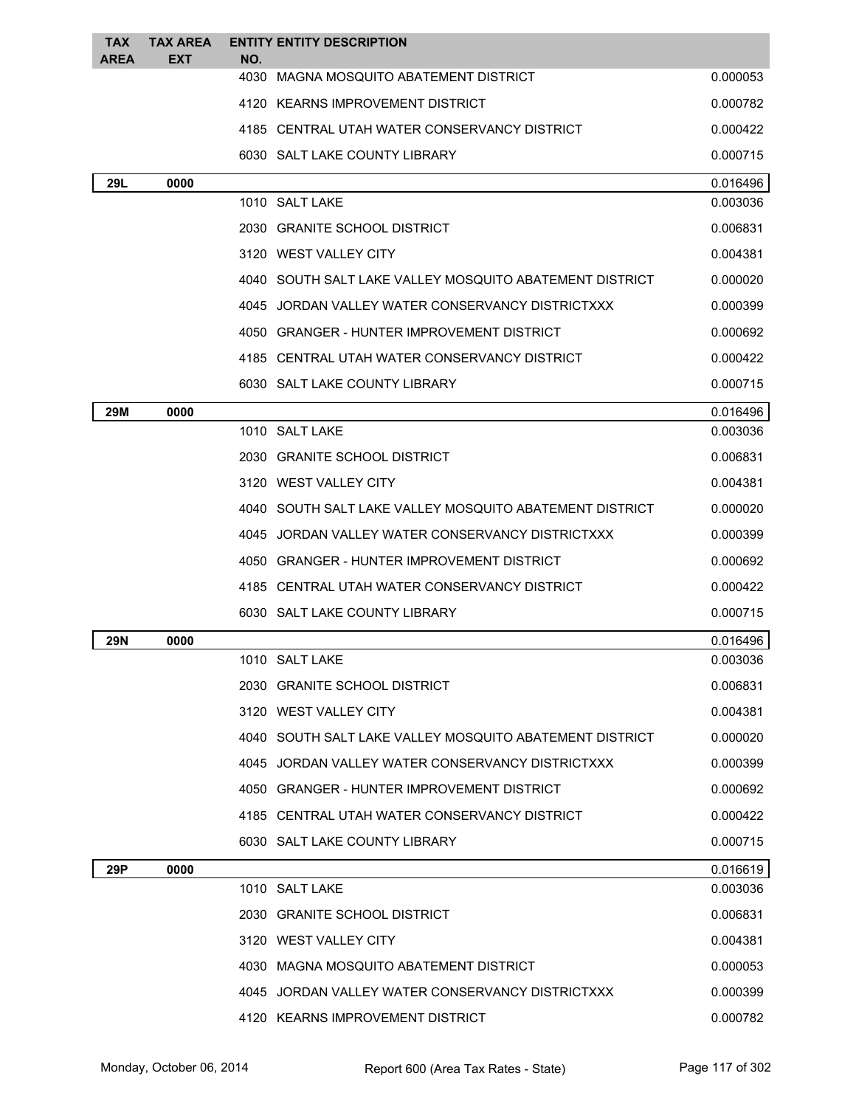| <b>TAX</b>  | <b>TAX AREA</b> |             | <b>ENTITY ENTITY DESCRIPTION</b>                          |          |
|-------------|-----------------|-------------|-----------------------------------------------------------|----------|
| <b>AREA</b> | <b>EXT</b>      | NO.<br>4030 | MAGNA MOSQUITO ABATEMENT DISTRICT                         | 0.000053 |
|             |                 |             | 4120 KEARNS IMPROVEMENT DISTRICT                          | 0.000782 |
|             |                 |             | 4185 CENTRAL UTAH WATER CONSERVANCY DISTRICT              | 0.000422 |
|             |                 |             | 6030 SALT LAKE COUNTY LIBRARY                             | 0.000715 |
| 29L         | 0000            |             |                                                           | 0.016496 |
|             |                 |             | 1010 SALT LAKE                                            | 0.003036 |
|             |                 |             | 2030 GRANITE SCHOOL DISTRICT                              | 0.006831 |
|             |                 |             | 3120 WEST VALLEY CITY                                     | 0.004381 |
|             |                 |             | 4040   SOUTH SALT LAKE VALLEY MOSQUITO ABATEMENT DISTRICT | 0.000020 |
|             |                 |             | 4045 JORDAN VALLEY WATER CONSERVANCY DISTRICTXXX          | 0.000399 |
|             |                 |             | 4050 GRANGER - HUNTER IMPROVEMENT DISTRICT                | 0.000692 |
|             |                 |             | 4185 CENTRAL UTAH WATER CONSERVANCY DISTRICT              | 0.000422 |
|             |                 |             | 6030 SALT LAKE COUNTY LIBRARY                             | 0.000715 |
| 29M         | 0000            |             |                                                           | 0.016496 |
|             |                 |             | 1010 SALT LAKE                                            | 0.003036 |
|             |                 |             | 2030 GRANITE SCHOOL DISTRICT                              | 0.006831 |
|             |                 |             | 3120 WEST VALLEY CITY                                     | 0.004381 |
|             |                 |             | 4040 SOUTH SALT LAKE VALLEY MOSQUITO ABATEMENT DISTRICT   | 0.000020 |
|             |                 |             | 4045 JORDAN VALLEY WATER CONSERVANCY DISTRICTXXX          | 0.000399 |
|             |                 |             | 4050 GRANGER - HUNTER IMPROVEMENT DISTRICT                | 0.000692 |
|             |                 |             | 4185 CENTRAL UTAH WATER CONSERVANCY DISTRICT              | 0.000422 |
|             |                 |             | 6030 SALT LAKE COUNTY LIBRARY                             | 0.000715 |
| 29N         | 0000            |             |                                                           | 0.016496 |
|             |                 |             | 1010 SALT LAKE                                            | 0.003036 |
|             |                 |             | 2030 GRANITE SCHOOL DISTRICT                              | 0.006831 |
|             |                 |             | 3120 WEST VALLEY CITY                                     | 0.004381 |
|             |                 |             | 4040 SOUTH SALT LAKE VALLEY MOSQUITO ABATEMENT DISTRICT   | 0.000020 |
|             |                 |             | 4045 JORDAN VALLEY WATER CONSERVANCY DISTRICTXXX          | 0.000399 |
|             |                 |             | 4050 GRANGER - HUNTER IMPROVEMENT DISTRICT                | 0.000692 |
|             |                 |             | 4185 CENTRAL UTAH WATER CONSERVANCY DISTRICT              | 0.000422 |
|             |                 |             | 6030 SALT LAKE COUNTY LIBRARY                             | 0.000715 |
| 29P         | 0000            |             |                                                           | 0.016619 |
|             |                 |             | 1010 SALT LAKE                                            | 0.003036 |
|             |                 |             | 2030 GRANITE SCHOOL DISTRICT                              | 0.006831 |
|             |                 |             | 3120 WEST VALLEY CITY                                     | 0.004381 |
|             |                 |             | 4030 MAGNA MOSQUITO ABATEMENT DISTRICT                    | 0.000053 |
|             |                 |             | 4045 JORDAN VALLEY WATER CONSERVANCY DISTRICTXXX          | 0.000399 |
|             |                 |             | 4120 KEARNS IMPROVEMENT DISTRICT                          | 0.000782 |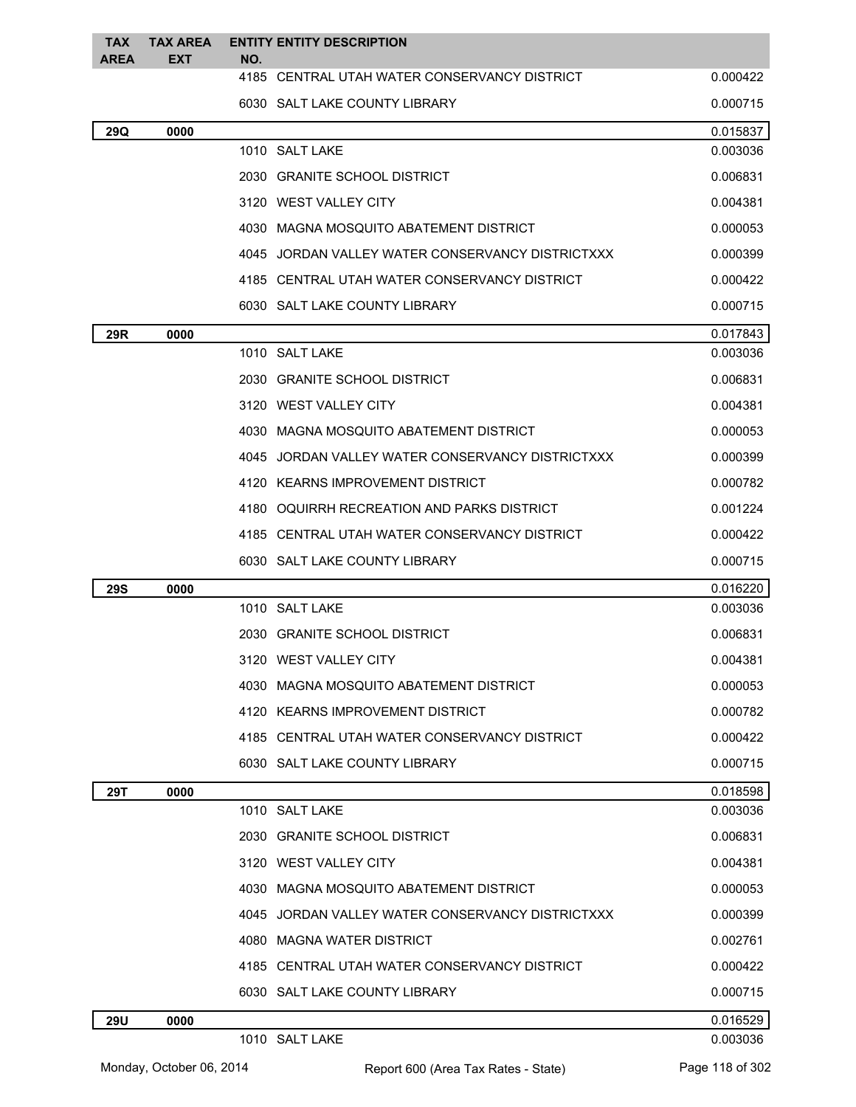| TAX<br><b>AREA</b> | TAX AREA<br>EXT | <b>ENTITY ENTITY DESCRIPTION</b><br>NO.          |          |
|--------------------|-----------------|--------------------------------------------------|----------|
|                    |                 | 4185 CENTRAL UTAH WATER CONSERVANCY DISTRICT     | 0.000422 |
|                    |                 | 6030 SALT LAKE COUNTY LIBRARY                    | 0.000715 |
| 29Q                | 0000            |                                                  | 0.015837 |
|                    |                 | 1010 SALT LAKE                                   | 0.003036 |
|                    |                 | 2030 GRANITE SCHOOL DISTRICT                     | 0.006831 |
|                    |                 | 3120 WEST VALLEY CITY                            | 0.004381 |
|                    |                 | 4030 MAGNA MOSQUITO ABATEMENT DISTRICT           | 0.000053 |
|                    |                 | 4045 JORDAN VALLEY WATER CONSERVANCY DISTRICTXXX | 0.000399 |
|                    |                 | 4185 CENTRAL UTAH WATER CONSERVANCY DISTRICT     | 0.000422 |
|                    |                 | 6030 SALT LAKE COUNTY LIBRARY                    | 0.000715 |
| 29R                | 0000            |                                                  | 0.017843 |
|                    |                 | 1010 SALT LAKE                                   | 0.003036 |
|                    |                 | 2030 GRANITE SCHOOL DISTRICT                     | 0.006831 |
|                    |                 | 3120 WEST VALLEY CITY                            | 0.004381 |
|                    |                 | 4030 MAGNA MOSQUITO ABATEMENT DISTRICT           | 0.000053 |
|                    |                 | 4045 JORDAN VALLEY WATER CONSERVANCY DISTRICTXXX | 0.000399 |
|                    |                 | 4120 KEARNS IMPROVEMENT DISTRICT                 | 0.000782 |
|                    |                 | 4180 OQUIRRH RECREATION AND PARKS DISTRICT       | 0.001224 |
|                    |                 | 4185 CENTRAL UTAH WATER CONSERVANCY DISTRICT     | 0.000422 |
|                    |                 | 6030 SALT LAKE COUNTY LIBRARY                    | 0.000715 |
| <b>29S</b>         | 0000            |                                                  | 0.016220 |
|                    |                 | 1010 SALT LAKE                                   | 0.003036 |
|                    |                 | 2030 GRANITE SCHOOL DISTRICT                     | 0.006831 |
|                    |                 | 3120 WEST VALLEY CITY                            | 0.004381 |
|                    |                 | 4030 MAGNA MOSQUITO ABATEMENT DISTRICT           | 0.000053 |
|                    |                 | 4120 KEARNS IMPROVEMENT DISTRICT                 | 0.000782 |
|                    |                 | 4185 CENTRAL UTAH WATER CONSERVANCY DISTRICT     | 0.000422 |
|                    |                 | 6030 SALT LAKE COUNTY LIBRARY                    | 0.000715 |
| 29T                | 0000            |                                                  | 0.018598 |
|                    |                 | 1010 SALT LAKE                                   | 0.003036 |
|                    |                 | 2030 GRANITE SCHOOL DISTRICT                     | 0.006831 |
|                    |                 | 3120 WEST VALLEY CITY                            | 0.004381 |
|                    |                 | 4030 MAGNA MOSQUITO ABATEMENT DISTRICT           | 0.000053 |
|                    |                 | 4045 JORDAN VALLEY WATER CONSERVANCY DISTRICTXXX | 0.000399 |
|                    |                 | 4080 MAGNA WATER DISTRICT                        | 0.002761 |
|                    |                 | 4185 CENTRAL UTAH WATER CONSERVANCY DISTRICT     | 0.000422 |
|                    |                 | 6030 SALT LAKE COUNTY LIBRARY                    | 0.000715 |
| <b>29U</b>         | 0000            |                                                  | 0.016529 |
|                    |                 | 1010 SALT LAKE                                   | 0.003036 |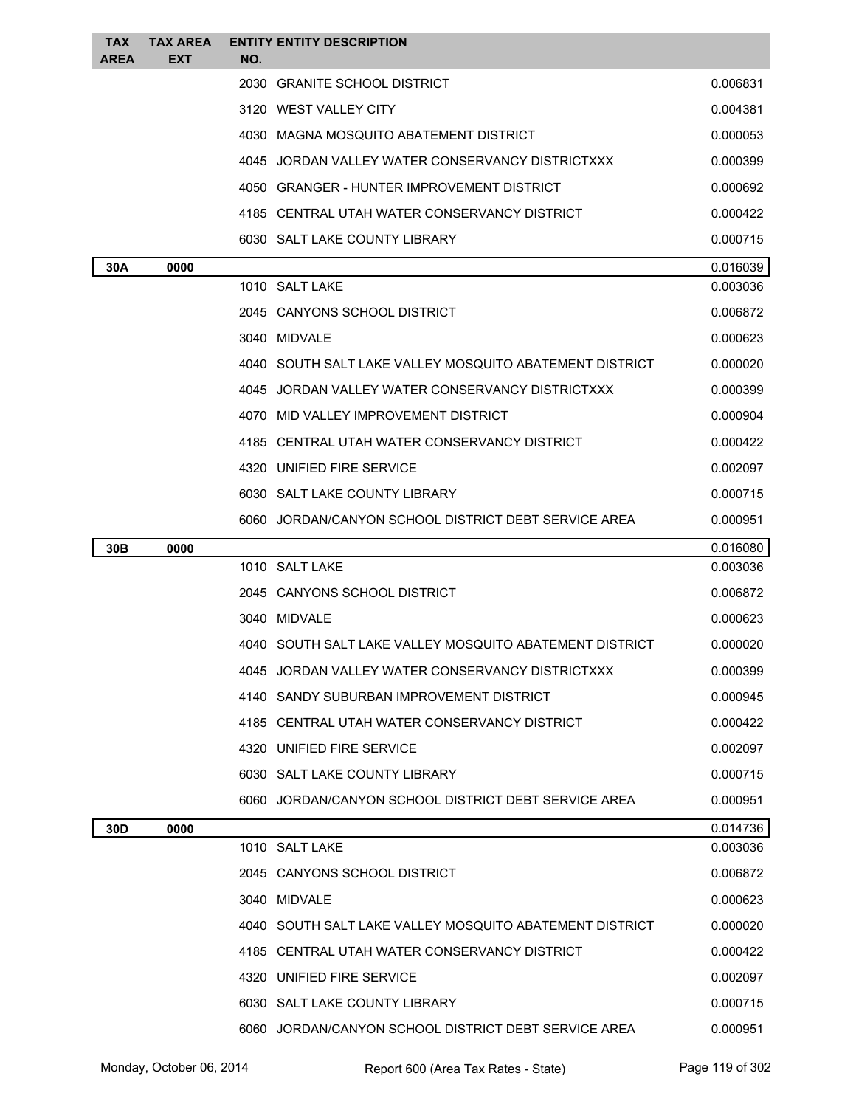| <b>TAX</b><br><b>AREA</b> | <b>TAX AREA</b><br><b>EXT</b> | NO. | <b>ENTITY ENTITY DESCRIPTION</b>                        |          |
|---------------------------|-------------------------------|-----|---------------------------------------------------------|----------|
|                           |                               |     | 2030 GRANITE SCHOOL DISTRICT                            | 0.006831 |
|                           |                               |     | 3120 WEST VALLEY CITY                                   | 0.004381 |
|                           |                               |     | 4030 MAGNA MOSQUITO ABATEMENT DISTRICT                  | 0.000053 |
|                           |                               |     | 4045 JORDAN VALLEY WATER CONSERVANCY DISTRICTXXX        | 0.000399 |
|                           |                               |     | 4050 GRANGER - HUNTER IMPROVEMENT DISTRICT              | 0.000692 |
|                           |                               |     | 4185 CENTRAL UTAH WATER CONSERVANCY DISTRICT            | 0.000422 |
|                           |                               |     | 6030 SALT LAKE COUNTY LIBRARY                           | 0.000715 |
| 30A                       | 0000                          |     |                                                         | 0.016039 |
|                           |                               |     | 1010 SALT LAKE                                          | 0.003036 |
|                           |                               |     | 2045 CANYONS SCHOOL DISTRICT                            | 0.006872 |
|                           |                               |     | 3040 MIDVALE                                            | 0.000623 |
|                           |                               |     | 4040 SOUTH SALT LAKE VALLEY MOSQUITO ABATEMENT DISTRICT | 0.000020 |
|                           |                               |     | 4045 JORDAN VALLEY WATER CONSERVANCY DISTRICTXXX        | 0.000399 |
|                           |                               |     | 4070 MID VALLEY IMPROVEMENT DISTRICT                    | 0.000904 |
|                           |                               |     | 4185 CENTRAL UTAH WATER CONSERVANCY DISTRICT            | 0.000422 |
|                           |                               |     | 4320 UNIFIED FIRE SERVICE                               | 0.002097 |
|                           |                               |     | 6030 SALT LAKE COUNTY LIBRARY                           | 0.000715 |
|                           |                               |     | 6060 JORDAN/CANYON SCHOOL DISTRICT DEBT SERVICE AREA    | 0.000951 |
| 30 <sub>B</sub>           | 0000                          |     |                                                         | 0.016080 |
|                           |                               |     | 1010 SALT LAKE                                          | 0.003036 |
|                           |                               |     | 2045 CANYONS SCHOOL DISTRICT                            | 0.006872 |
|                           |                               |     | 3040 MIDVALE                                            | 0.000623 |
|                           |                               |     | 4040 SOUTH SALT LAKE VALLEY MOSQUITO ABATEMENT DISTRICT | 0.000020 |
|                           |                               |     | 4045 JORDAN VALLEY WATER CONSERVANCY DISTRICTXXX        | 0.000399 |
|                           |                               |     | 4140 SANDY SUBURBAN IMPROVEMENT DISTRICT                | 0.000945 |
|                           |                               |     | 4185 CENTRAL UTAH WATER CONSERVANCY DISTRICT            | 0.000422 |
|                           |                               |     | 4320 UNIFIED FIRE SERVICE                               | 0.002097 |
|                           |                               |     | 6030 SALT LAKE COUNTY LIBRARY                           | 0.000715 |
|                           |                               |     | 6060 JORDAN/CANYON SCHOOL DISTRICT DEBT SERVICE AREA    | 0.000951 |
| 30D                       | 0000                          |     |                                                         | 0.014736 |
|                           |                               |     | 1010 SALT LAKE                                          | 0.003036 |
|                           |                               |     | 2045 CANYONS SCHOOL DISTRICT                            | 0.006872 |
|                           |                               |     | 3040 MIDVALE                                            | 0.000623 |
|                           |                               |     | 4040 SOUTH SALT LAKE VALLEY MOSQUITO ABATEMENT DISTRICT | 0.000020 |
|                           |                               |     | 4185 CENTRAL UTAH WATER CONSERVANCY DISTRICT            | 0.000422 |
|                           |                               |     | 4320 UNIFIED FIRE SERVICE                               | 0.002097 |
|                           |                               |     | 6030 SALT LAKE COUNTY LIBRARY                           | 0.000715 |
|                           |                               |     | 6060 JORDAN/CANYON SCHOOL DISTRICT DEBT SERVICE AREA    | 0.000951 |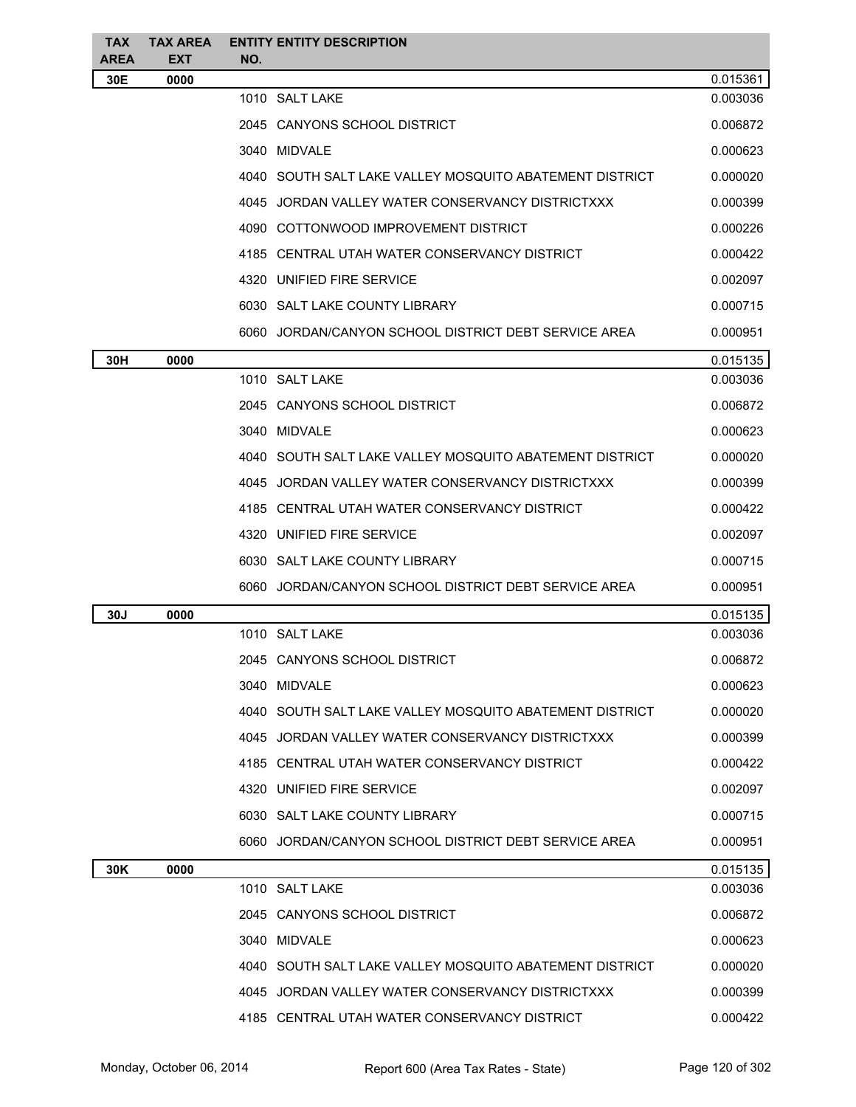| <b>TAX</b><br>AREA | <b>TAX AREA</b><br><b>EXT</b> | <b>ENTITY ENTITY DESCRIPTION</b><br>NO.                 |          |
|--------------------|-------------------------------|---------------------------------------------------------|----------|
| 30E                | 0000                          |                                                         | 0.015361 |
|                    |                               | 1010 SALT LAKE                                          | 0.003036 |
|                    |                               | 2045 CANYONS SCHOOL DISTRICT                            | 0.006872 |
|                    |                               | 3040 MIDVALE                                            | 0.000623 |
|                    |                               | 4040 SOUTH SALT LAKE VALLEY MOSQUITO ABATEMENT DISTRICT | 0.000020 |
|                    |                               | 4045 JORDAN VALLEY WATER CONSERVANCY DISTRICTXXX        | 0.000399 |
|                    |                               | 4090 COTTONWOOD IMPROVEMENT DISTRICT                    | 0.000226 |
|                    |                               | 4185 CENTRAL UTAH WATER CONSERVANCY DISTRICT            | 0.000422 |
|                    |                               | 4320 UNIFIED FIRE SERVICE                               | 0.002097 |
|                    |                               | 6030 SALT LAKE COUNTY LIBRARY                           | 0.000715 |
|                    |                               | 6060 JORDAN/CANYON SCHOOL DISTRICT DEBT SERVICE AREA    | 0.000951 |
| 30H                | 0000                          |                                                         | 0.015135 |
|                    |                               | 1010 SALT LAKE                                          | 0.003036 |
|                    |                               | 2045 CANYONS SCHOOL DISTRICT                            | 0.006872 |
|                    |                               | 3040 MIDVALE                                            | 0.000623 |
|                    |                               | 4040 SOUTH SALT LAKE VALLEY MOSQUITO ABATEMENT DISTRICT | 0.000020 |
|                    |                               | 4045 JORDAN VALLEY WATER CONSERVANCY DISTRICTXXX        | 0.000399 |
|                    |                               | 4185 CENTRAL UTAH WATER CONSERVANCY DISTRICT            | 0.000422 |
|                    |                               | 4320 UNIFIED FIRE SERVICE                               | 0.002097 |
|                    |                               | 6030 SALT LAKE COUNTY LIBRARY                           | 0.000715 |
|                    |                               | 6060 JORDAN/CANYON SCHOOL DISTRICT DEBT SERVICE AREA    | 0.000951 |
| 30J                | 0000                          |                                                         | 0.015135 |
|                    |                               | 1010 SALT LAKE                                          | 0.003036 |
|                    |                               | 2045 CANYONS SCHOOL DISTRICT                            | 0.006872 |
|                    |                               | 3040 MIDVALE                                            | 0.000623 |
|                    |                               | 4040 SOUTH SALT LAKE VALLEY MOSQUITO ABATEMENT DISTRICT | 0.000020 |
|                    |                               | 4045 JORDAN VALLEY WATER CONSERVANCY DISTRICTXXX        | 0.000399 |
|                    |                               | 4185 CENTRAL UTAH WATER CONSERVANCY DISTRICT            | 0.000422 |
|                    |                               | 4320 UNIFIED FIRE SERVICE                               | 0.002097 |
|                    |                               | 6030 SALT LAKE COUNTY LIBRARY                           | 0.000715 |
|                    |                               | 6060 JORDAN/CANYON SCHOOL DISTRICT DEBT SERVICE AREA    | 0.000951 |
| 30K                | 0000                          |                                                         | 0.015135 |
|                    |                               | 1010 SALT LAKE                                          | 0.003036 |
|                    |                               | 2045 CANYONS SCHOOL DISTRICT                            | 0.006872 |
|                    |                               | 3040 MIDVALE                                            | 0.000623 |
|                    |                               | 4040 SOUTH SALT LAKE VALLEY MOSQUITO ABATEMENT DISTRICT | 0.000020 |
|                    |                               | 4045 JORDAN VALLEY WATER CONSERVANCY DISTRICTXXX        | 0.000399 |
|                    |                               | 4185 CENTRAL UTAH WATER CONSERVANCY DISTRICT            | 0.000422 |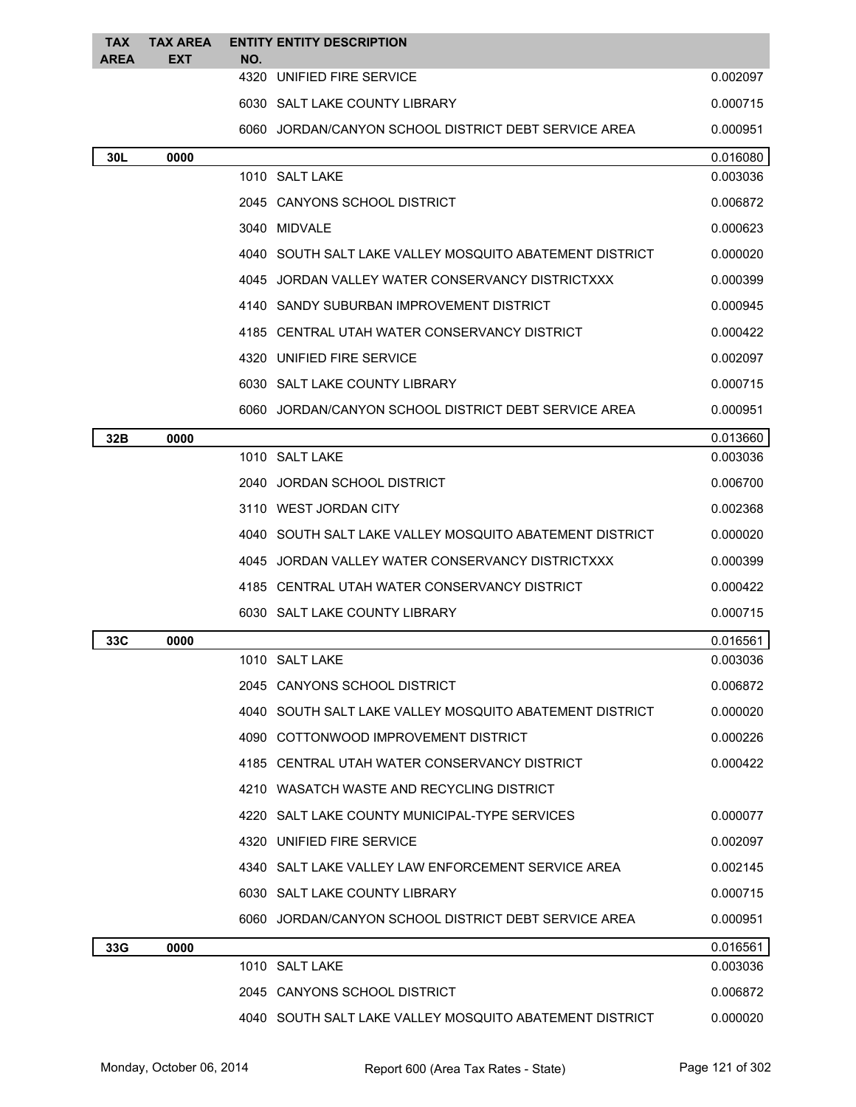| <b>TAX</b><br>AREA | <b>TAX AREA</b><br><b>EXT</b> | <b>ENTITY ENTITY DESCRIPTION</b><br>NO.                   |          |
|--------------------|-------------------------------|-----------------------------------------------------------|----------|
|                    |                               | 4320 UNIFIED FIRE SERVICE                                 | 0.002097 |
|                    |                               | 6030 SALT LAKE COUNTY LIBRARY                             | 0.000715 |
|                    |                               | 6060 JORDAN/CANYON SCHOOL DISTRICT DEBT SERVICE AREA      | 0.000951 |
| 30L                | 0000                          |                                                           | 0.016080 |
|                    |                               | 1010 SALT LAKE                                            | 0.003036 |
|                    |                               | 2045 CANYONS SCHOOL DISTRICT                              | 0.006872 |
|                    |                               | 3040 MIDVALE                                              | 0.000623 |
|                    |                               | 4040   SOUTH SALT LAKE VALLEY MOSQUITO ABATEMENT DISTRICT | 0.000020 |
|                    |                               | 4045 JORDAN VALLEY WATER CONSERVANCY DISTRICTXXX          | 0.000399 |
|                    |                               | 4140 SANDY SUBURBAN IMPROVEMENT DISTRICT                  | 0.000945 |
|                    |                               | 4185 CENTRAL UTAH WATER CONSERVANCY DISTRICT              | 0.000422 |
|                    |                               | 4320 UNIFIED FIRE SERVICE                                 | 0.002097 |
|                    |                               | 6030 SALT LAKE COUNTY LIBRARY                             | 0.000715 |
|                    |                               | 6060 JORDAN/CANYON SCHOOL DISTRICT DEBT SERVICE AREA      | 0.000951 |
| 32B                | 0000                          |                                                           | 0.013660 |
|                    |                               | 1010 SALT LAKE                                            | 0.003036 |
|                    |                               | JORDAN SCHOOL DISTRICT<br>2040                            | 0.006700 |
|                    |                               | 3110 WEST JORDAN CITY                                     | 0.002368 |
|                    |                               | 4040 SOUTH SALT LAKE VALLEY MOSQUITO ABATEMENT DISTRICT   | 0.000020 |
|                    |                               | 4045 JORDAN VALLEY WATER CONSERVANCY DISTRICTXXX          | 0.000399 |
|                    |                               | 4185 CENTRAL UTAH WATER CONSERVANCY DISTRICT              | 0.000422 |
|                    |                               | 6030 SALT LAKE COUNTY LIBRARY                             | 0.000715 |
| 33C                | 0000                          |                                                           | 0.016561 |
|                    |                               | 1010 SALT LAKE                                            | 0.003036 |
|                    |                               | 2045 CANYONS SCHOOL DISTRICT                              | 0.006872 |
|                    |                               | 4040 SOUTH SALT LAKE VALLEY MOSQUITO ABATEMENT DISTRICT   | 0.000020 |
|                    |                               | 4090 COTTONWOOD IMPROVEMENT DISTRICT                      | 0.000226 |
|                    |                               | 4185 CENTRAL UTAH WATER CONSERVANCY DISTRICT              | 0.000422 |
|                    |                               | 4210 WASATCH WASTE AND RECYCLING DISTRICT                 |          |
|                    |                               | 4220 SALT LAKE COUNTY MUNICIPAL-TYPE SERVICES             | 0.000077 |
|                    |                               | 4320 UNIFIED FIRE SERVICE                                 | 0.002097 |
|                    |                               | 4340 SALT LAKE VALLEY LAW ENFORCEMENT SERVICE AREA        | 0.002145 |
|                    |                               | 6030 SALT LAKE COUNTY LIBRARY                             | 0.000715 |
|                    |                               | 6060 JORDAN/CANYON SCHOOL DISTRICT DEBT SERVICE AREA      | 0.000951 |
| 33G                | 0000                          |                                                           | 0.016561 |
|                    |                               | 1010 SALT LAKE                                            | 0.003036 |
|                    |                               | 2045 CANYONS SCHOOL DISTRICT                              | 0.006872 |
|                    |                               | 4040 SOUTH SALT LAKE VALLEY MOSQUITO ABATEMENT DISTRICT   | 0.000020 |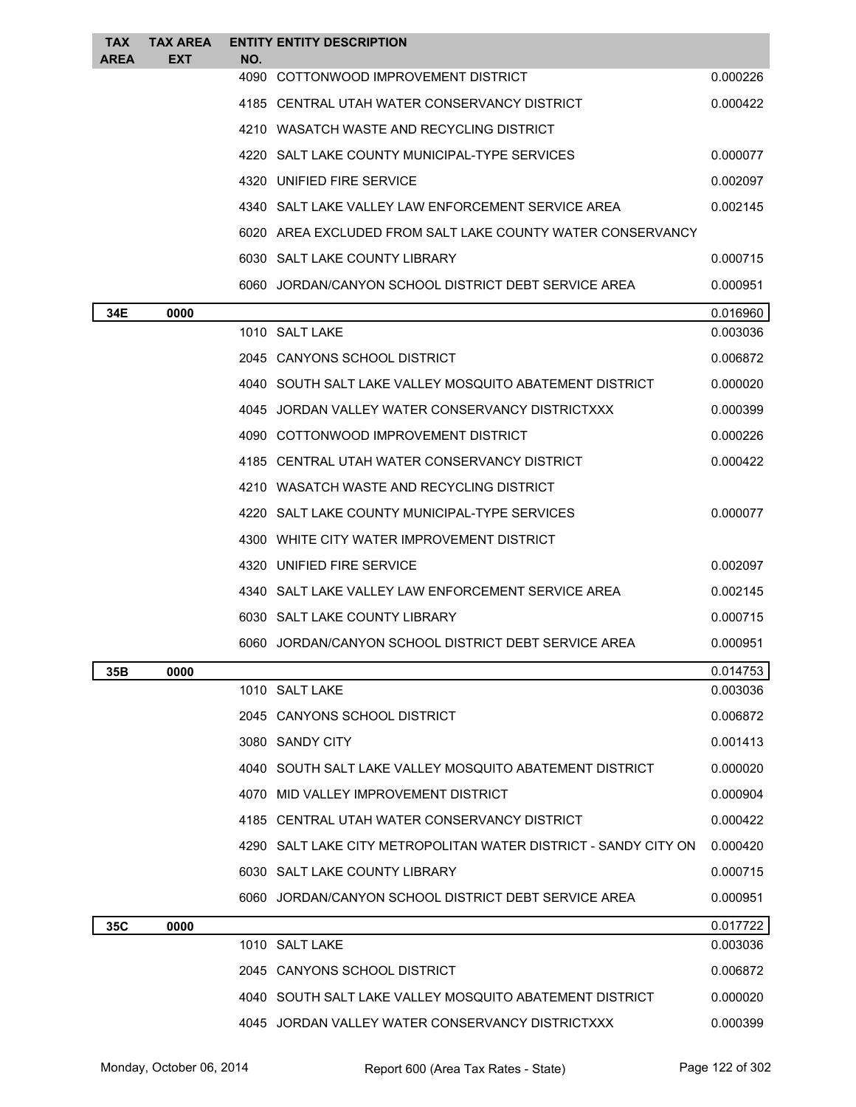| <b>TAX</b> | <b>TAX AREA</b> |             | <b>ENTITY ENTITY DESCRIPTION</b>                                |          |
|------------|-----------------|-------------|-----------------------------------------------------------------|----------|
| AREA       | <b>EXT</b>      | NO.<br>4090 | COTTONWOOD IMPROVEMENT DISTRICT                                 | 0.000226 |
|            |                 |             | 4185 CENTRAL UTAH WATER CONSERVANCY DISTRICT                    | 0.000422 |
|            |                 |             | 4210 WASATCH WASTE AND RECYCLING DISTRICT                       |          |
|            |                 |             | 4220 SALT LAKE COUNTY MUNICIPAL-TYPE SERVICES                   | 0.000077 |
|            |                 |             | 4320 UNIFIED FIRE SERVICE                                       | 0.002097 |
|            |                 |             | 4340 SALT LAKE VALLEY LAW ENFORCEMENT SERVICE AREA              | 0.002145 |
|            |                 |             | 6020 AREA EXCLUDED FROM SALT LAKE COUNTY WATER CONSERVANCY      |          |
|            |                 |             | 6030 SALT LAKE COUNTY LIBRARY                                   | 0.000715 |
|            |                 |             | 6060 JORDAN/CANYON SCHOOL DISTRICT DEBT SERVICE AREA            | 0.000951 |
| 34E        | 0000            |             |                                                                 | 0.016960 |
|            |                 |             | 1010 SALT LAKE                                                  | 0.003036 |
|            |                 |             | 2045 CANYONS SCHOOL DISTRICT                                    | 0.006872 |
|            |                 |             | 4040 SOUTH SALT LAKE VALLEY MOSQUITO ABATEMENT DISTRICT         | 0.000020 |
|            |                 |             | 4045 JORDAN VALLEY WATER CONSERVANCY DISTRICTXXX                | 0.000399 |
|            |                 |             | 4090 COTTONWOOD IMPROVEMENT DISTRICT                            | 0.000226 |
|            |                 |             | 4185 CENTRAL UTAH WATER CONSERVANCY DISTRICT                    | 0.000422 |
|            |                 |             | 4210 WASATCH WASTE AND RECYCLING DISTRICT                       |          |
|            |                 |             | 4220 SALT LAKE COUNTY MUNICIPAL-TYPE SERVICES                   | 0.000077 |
|            |                 |             | 4300 WHITE CITY WATER IMPROVEMENT DISTRICT                      |          |
|            |                 |             | 4320 UNIFIED FIRE SERVICE                                       | 0.002097 |
|            |                 |             | 4340 SALT LAKE VALLEY LAW ENFORCEMENT SERVICE AREA              | 0.002145 |
|            |                 |             | 6030 SALT LAKE COUNTY LIBRARY                                   | 0.000715 |
|            |                 |             | 6060 JORDAN/CANYON SCHOOL DISTRICT DEBT SERVICE AREA            | 0.000951 |
| 35B        | 0000            |             |                                                                 | 0.014753 |
|            |                 |             | 1010 SALT LAKE                                                  | 0.003036 |
|            |                 |             | 2045 CANYONS SCHOOL DISTRICT                                    | 0.006872 |
|            |                 |             | 3080 SANDY CITY                                                 | 0.001413 |
|            |                 |             | 4040 SOUTH SALT LAKE VALLEY MOSQUITO ABATEMENT DISTRICT         | 0.000020 |
|            |                 |             | 4070 MID VALLEY IMPROVEMENT DISTRICT                            | 0.000904 |
|            |                 |             | 4185 CENTRAL UTAH WATER CONSERVANCY DISTRICT                    | 0.000422 |
|            |                 |             | 4290 SALT LAKE CITY METROPOLITAN WATER DISTRICT - SANDY CITY ON | 0.000420 |
|            |                 |             | 6030 SALT LAKE COUNTY LIBRARY                                   | 0.000715 |
|            |                 |             | 6060 JORDAN/CANYON SCHOOL DISTRICT DEBT SERVICE AREA            | 0.000951 |
| 35C        | 0000            |             |                                                                 | 0.017722 |
|            |                 |             | 1010 SALT LAKE                                                  | 0.003036 |
|            |                 |             | 2045 CANYONS SCHOOL DISTRICT                                    | 0.006872 |
|            |                 |             | 4040 SOUTH SALT LAKE VALLEY MOSQUITO ABATEMENT DISTRICT         | 0.000020 |
|            |                 |             | 4045 JORDAN VALLEY WATER CONSERVANCY DISTRICTXXX                | 0.000399 |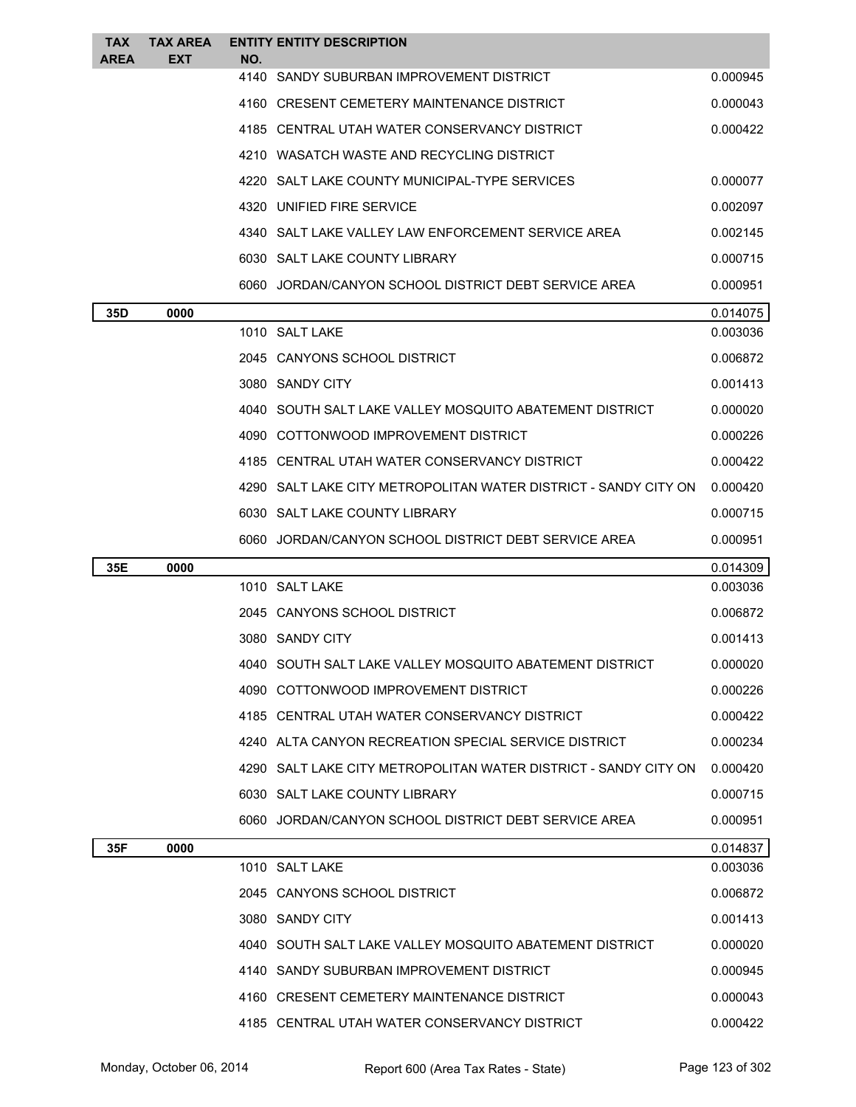| <b>TAX</b><br>AREA | TAX AREA<br><b>EXT</b> | NO.  | <b>ENTITY ENTITY DESCRIPTION</b>                                |          |
|--------------------|------------------------|------|-----------------------------------------------------------------|----------|
|                    |                        | 4140 | SANDY SUBURBAN IMPROVEMENT DISTRICT                             | 0.000945 |
|                    |                        |      | 4160 CRESENT CEMETERY MAINTENANCE DISTRICT                      | 0.000043 |
|                    |                        |      | 4185 CENTRAL UTAH WATER CONSERVANCY DISTRICT                    | 0.000422 |
|                    |                        |      | 4210 WASATCH WASTE AND RECYCLING DISTRICT                       |          |
|                    |                        |      | 4220 SALT LAKE COUNTY MUNICIPAL-TYPE SERVICES                   | 0.000077 |
|                    |                        |      | 4320 UNIFIED FIRE SERVICE                                       | 0.002097 |
|                    |                        |      | 4340 SALT LAKE VALLEY LAW ENFORCEMENT SERVICE AREA              | 0.002145 |
|                    |                        |      | 6030 SALT LAKE COUNTY LIBRARY                                   | 0.000715 |
|                    |                        |      | 6060 JORDAN/CANYON SCHOOL DISTRICT DEBT SERVICE AREA            | 0.000951 |
| 35D                | 0000                   |      |                                                                 | 0.014075 |
|                    |                        |      | 1010 SALT LAKE                                                  | 0.003036 |
|                    |                        |      | 2045 CANYONS SCHOOL DISTRICT                                    | 0.006872 |
|                    |                        |      | 3080 SANDY CITY                                                 | 0.001413 |
|                    |                        |      | 4040 SOUTH SALT LAKE VALLEY MOSQUITO ABATEMENT DISTRICT         | 0.000020 |
|                    |                        |      | 4090 COTTONWOOD IMPROVEMENT DISTRICT                            | 0.000226 |
|                    |                        |      | 4185 CENTRAL UTAH WATER CONSERVANCY DISTRICT                    | 0.000422 |
|                    |                        |      | 4290 SALT LAKE CITY METROPOLITAN WATER DISTRICT - SANDY CITY ON | 0.000420 |
|                    |                        |      | 6030 SALT LAKE COUNTY LIBRARY                                   | 0.000715 |
|                    |                        |      | 6060 JORDAN/CANYON SCHOOL DISTRICT DEBT SERVICE AREA            | 0.000951 |
| 35E                | 0000                   |      |                                                                 | 0.014309 |
|                    |                        |      | 1010 SALT LAKE                                                  | 0.003036 |
|                    |                        |      | 2045 CANYONS SCHOOL DISTRICT                                    | 0.006872 |
|                    |                        |      | 3080 SANDY CITY                                                 | 0.001413 |
|                    |                        |      | SOUTH SALT LAKE VALLEY MOSQUITO ABATEMENT DISTRICT              | 0.000020 |
|                    |                        |      | 4090 COTTONWOOD IMPROVEMENT DISTRICT                            | 0.000226 |
|                    |                        |      | 4185 CENTRAL UTAH WATER CONSERVANCY DISTRICT                    | 0.000422 |
|                    |                        |      | 4240 ALTA CANYON RECREATION SPECIAL SERVICE DISTRICT            | 0.000234 |
|                    |                        |      | 4290 SALT LAKE CITY METROPOLITAN WATER DISTRICT - SANDY CITY ON | 0.000420 |
|                    |                        |      | 6030 SALT LAKE COUNTY LIBRARY                                   | 0.000715 |
|                    |                        |      | 6060 JORDAN/CANYON SCHOOL DISTRICT DEBT SERVICE AREA            | 0.000951 |
| 35F                | 0000                   |      |                                                                 | 0.014837 |
|                    |                        |      | 1010 SALT LAKE                                                  | 0.003036 |
|                    |                        |      | 2045 CANYONS SCHOOL DISTRICT                                    | 0.006872 |
|                    |                        |      | 3080 SANDY CITY                                                 | 0.001413 |
|                    |                        |      |                                                                 |          |
|                    |                        |      | 4040 SOUTH SALT LAKE VALLEY MOSQUITO ABATEMENT DISTRICT         | 0.000020 |
|                    |                        |      | 4140 SANDY SUBURBAN IMPROVEMENT DISTRICT                        | 0.000945 |
|                    |                        |      | 4160 CRESENT CEMETERY MAINTENANCE DISTRICT                      | 0.000043 |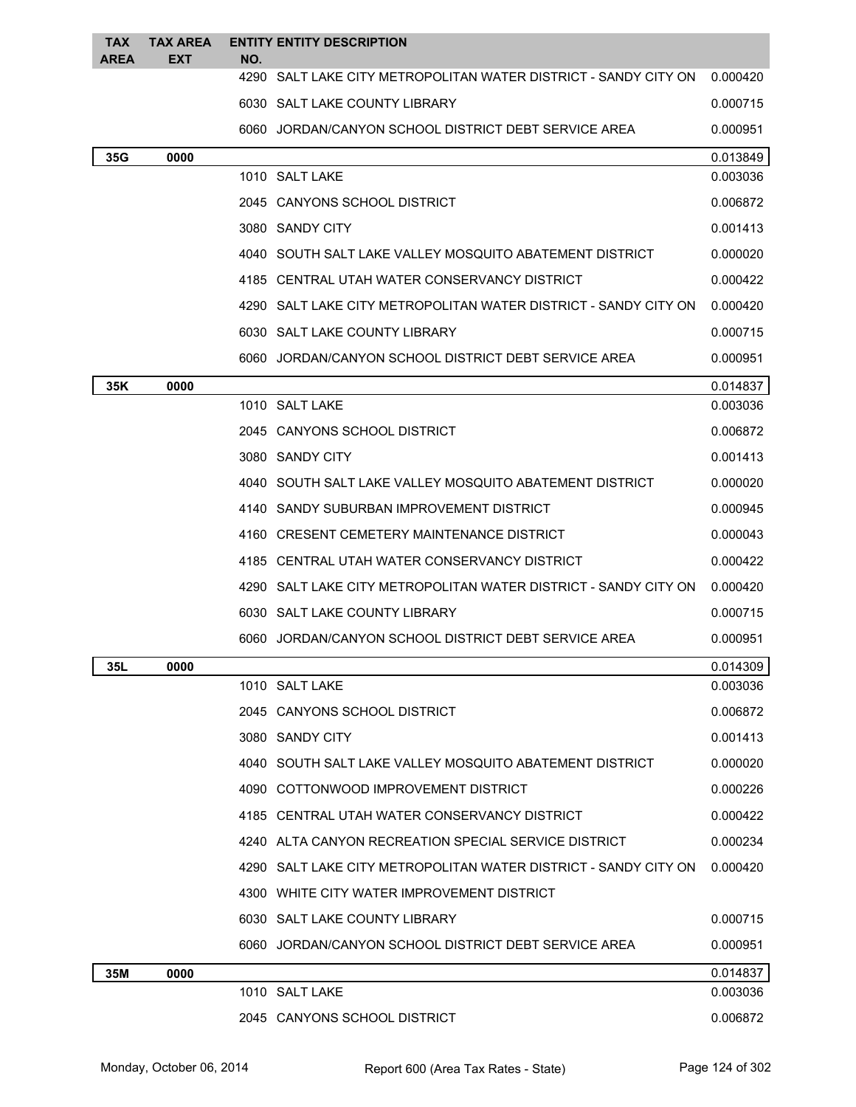| TAX<br>AREA | <b>TAX AREA</b><br><b>EXT</b> | NO. | <b>ENTITY ENTITY DESCRIPTION</b>                                |          |
|-------------|-------------------------------|-----|-----------------------------------------------------------------|----------|
|             |                               |     | 4290 SALT LAKE CITY METROPOLITAN WATER DISTRICT - SANDY CITY ON | 0.000420 |
|             |                               |     | 6030 SALT LAKE COUNTY LIBRARY                                   | 0.000715 |
|             |                               |     | 6060 JORDAN/CANYON SCHOOL DISTRICT DEBT SERVICE AREA            | 0.000951 |
| 35G         | 0000                          |     |                                                                 | 0.013849 |
|             |                               |     | 1010 SALT LAKE                                                  | 0.003036 |
|             |                               |     | 2045 CANYONS SCHOOL DISTRICT                                    | 0.006872 |
|             |                               |     | 3080 SANDY CITY                                                 | 0.001413 |
|             |                               |     | 4040 SOUTH SALT LAKE VALLEY MOSQUITO ABATEMENT DISTRICT         | 0.000020 |
|             |                               |     | 4185 CENTRAL UTAH WATER CONSERVANCY DISTRICT                    | 0.000422 |
|             |                               |     | 4290 SALT LAKE CITY METROPOLITAN WATER DISTRICT - SANDY CITY ON | 0.000420 |
|             |                               |     | 6030 SALT LAKE COUNTY LIBRARY                                   | 0.000715 |
|             |                               |     | 6060 JORDAN/CANYON SCHOOL DISTRICT DEBT SERVICE AREA            | 0.000951 |
| 35K         | 0000                          |     |                                                                 | 0.014837 |
|             |                               |     | 1010 SALT LAKE                                                  | 0.003036 |
|             |                               |     | 2045 CANYONS SCHOOL DISTRICT                                    | 0.006872 |
|             |                               |     | 3080 SANDY CITY                                                 | 0.001413 |
|             |                               |     | 4040 SOUTH SALT LAKE VALLEY MOSQUITO ABATEMENT DISTRICT         | 0.000020 |
|             |                               |     | 4140 SANDY SUBURBAN IMPROVEMENT DISTRICT                        | 0.000945 |
|             |                               |     | 4160 CRESENT CEMETERY MAINTENANCE DISTRICT                      | 0.000043 |
|             |                               |     | 4185 CENTRAL UTAH WATER CONSERVANCY DISTRICT                    | 0.000422 |
|             |                               |     | 4290 SALT LAKE CITY METROPOLITAN WATER DISTRICT - SANDY CITY ON | 0.000420 |
|             |                               |     | 6030 SALT LAKE COUNTY LIBRARY                                   | 0.000715 |
|             |                               |     | 6060 JORDAN/CANYON SCHOOL DISTRICT DEBT SERVICE AREA            | 0.000951 |
| 35L         | 0000                          |     |                                                                 | 0.014309 |
|             |                               |     | 1010 SALT LAKE                                                  | 0.003036 |
|             |                               |     | 2045 CANYONS SCHOOL DISTRICT                                    | 0.006872 |
|             |                               |     | 3080 SANDY CITY                                                 | 0.001413 |
|             |                               |     | 4040 SOUTH SALT LAKE VALLEY MOSQUITO ABATEMENT DISTRICT         | 0.000020 |
|             |                               |     | 4090 COTTONWOOD IMPROVEMENT DISTRICT                            | 0.000226 |
|             |                               |     | 4185 CENTRAL UTAH WATER CONSERVANCY DISTRICT                    | 0.000422 |
|             |                               |     | 4240 ALTA CANYON RECREATION SPECIAL SERVICE DISTRICT            | 0.000234 |
|             |                               |     | 4290 SALT LAKE CITY METROPOLITAN WATER DISTRICT - SANDY CITY ON | 0.000420 |
|             |                               |     | 4300 WHITE CITY WATER IMPROVEMENT DISTRICT                      |          |
|             |                               |     | 6030 SALT LAKE COUNTY LIBRARY                                   | 0.000715 |
|             |                               |     | 6060 JORDAN/CANYON SCHOOL DISTRICT DEBT SERVICE AREA            | 0.000951 |
| 35M         | 0000                          |     |                                                                 | 0.014837 |
|             |                               |     | 1010 SALT LAKE                                                  | 0.003036 |
|             |                               |     | 2045 CANYONS SCHOOL DISTRICT                                    | 0.006872 |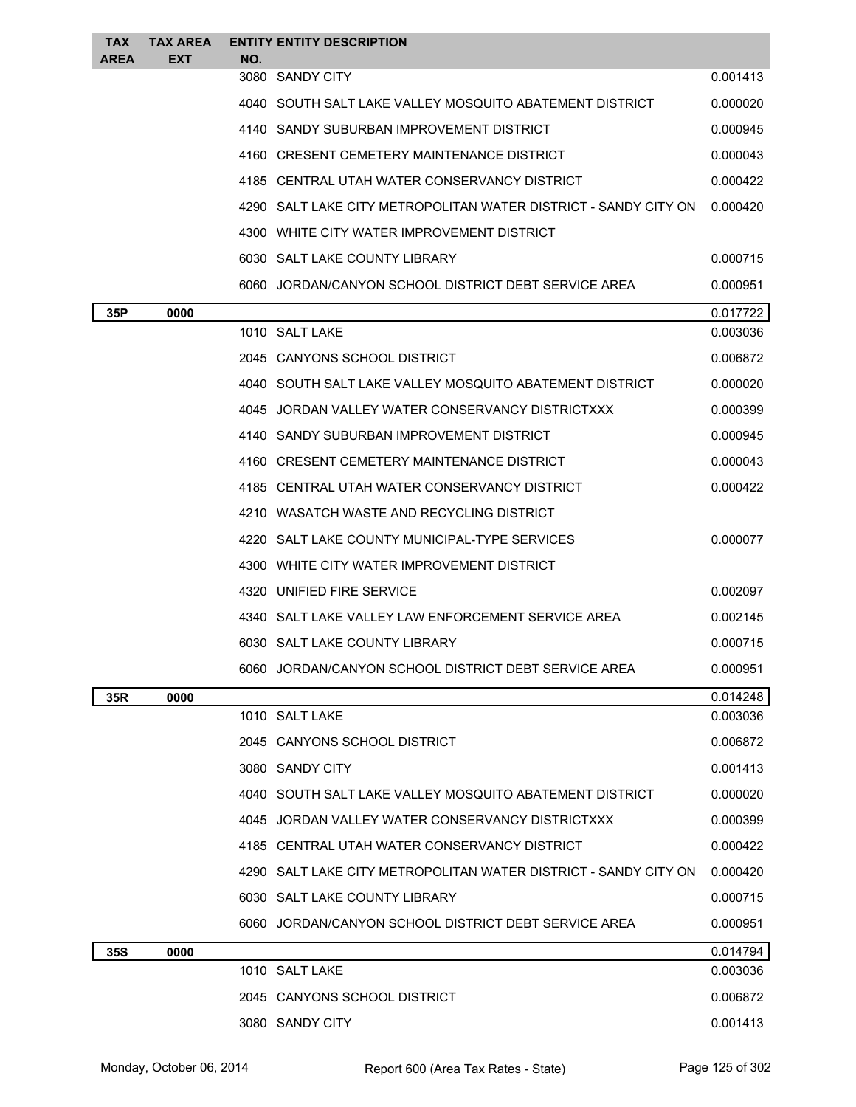| <b>TAX</b><br><b>AREA</b> | <b>TAX AREA</b><br><b>EXT</b> | NO. | <b>ENTITY ENTITY DESCRIPTION</b>                                |          |
|---------------------------|-------------------------------|-----|-----------------------------------------------------------------|----------|
|                           |                               |     | 3080 SANDY CITY                                                 | 0.001413 |
|                           |                               |     | 4040 SOUTH SALT LAKE VALLEY MOSQUITO ABATEMENT DISTRICT         | 0.000020 |
|                           |                               |     | 4140 SANDY SUBURBAN IMPROVEMENT DISTRICT                        | 0.000945 |
|                           |                               |     | 4160 CRESENT CEMETERY MAINTENANCE DISTRICT                      | 0.000043 |
|                           |                               |     | 4185 CENTRAL UTAH WATER CONSERVANCY DISTRICT                    | 0.000422 |
|                           |                               |     | 4290 SALT LAKE CITY METROPOLITAN WATER DISTRICT - SANDY CITY ON | 0.000420 |
|                           |                               |     | 4300 WHITE CITY WATER IMPROVEMENT DISTRICT                      |          |
|                           |                               |     | 6030 SALT LAKE COUNTY LIBRARY                                   | 0.000715 |
|                           |                               |     | 6060 JORDAN/CANYON SCHOOL DISTRICT DEBT SERVICE AREA            | 0.000951 |
| 35P                       | 0000                          |     |                                                                 | 0.017722 |
|                           |                               |     | 1010 SALT LAKE                                                  | 0.003036 |
|                           |                               |     | 2045 CANYONS SCHOOL DISTRICT                                    | 0.006872 |
|                           |                               |     | 4040 SOUTH SALT LAKE VALLEY MOSQUITO ABATEMENT DISTRICT         | 0.000020 |
|                           |                               |     | 4045 JORDAN VALLEY WATER CONSERVANCY DISTRICTXXX                | 0.000399 |
|                           |                               |     | 4140 SANDY SUBURBAN IMPROVEMENT DISTRICT                        | 0.000945 |
|                           |                               |     | 4160 CRESENT CEMETERY MAINTENANCE DISTRICT                      | 0.000043 |
|                           |                               |     | 4185 CENTRAL UTAH WATER CONSERVANCY DISTRICT                    | 0.000422 |
|                           |                               |     | 4210 WASATCH WASTE AND RECYCLING DISTRICT                       |          |
|                           |                               |     | 4220 SALT LAKE COUNTY MUNICIPAL-TYPE SERVICES                   | 0.000077 |
|                           |                               |     | 4300 WHITE CITY WATER IMPROVEMENT DISTRICT                      |          |
|                           |                               |     | 4320 UNIFIED FIRE SERVICE                                       | 0.002097 |
|                           |                               |     | 4340 SALT LAKE VALLEY LAW ENFORCEMENT SERVICE AREA              | 0.002145 |
|                           |                               |     | 6030 SALT LAKE COUNTY LIBRARY                                   | 0.000715 |
|                           |                               |     | 6060 JORDAN/CANYON SCHOOL DISTRICT DEBT SERVICE AREA            | 0.000951 |
| 35R                       | 0000                          |     |                                                                 | 0.014248 |
|                           |                               |     | 1010 SALT LAKE                                                  | 0.003036 |
|                           |                               |     | 2045 CANYONS SCHOOL DISTRICT                                    | 0.006872 |
|                           |                               |     | 3080 SANDY CITY                                                 | 0.001413 |
|                           |                               |     | 4040 SOUTH SALT LAKE VALLEY MOSQUITO ABATEMENT DISTRICT         | 0.000020 |
|                           |                               |     | 4045 JORDAN VALLEY WATER CONSERVANCY DISTRICTXXX                | 0.000399 |
|                           |                               |     | 4185 CENTRAL UTAH WATER CONSERVANCY DISTRICT                    | 0.000422 |
|                           |                               |     | 4290 SALT LAKE CITY METROPOLITAN WATER DISTRICT - SANDY CITY ON | 0.000420 |
|                           |                               |     | 6030 SALT LAKE COUNTY LIBRARY                                   | 0.000715 |
|                           |                               |     | 6060 JORDAN/CANYON SCHOOL DISTRICT DEBT SERVICE AREA            | 0.000951 |
| <b>35S</b>                | 0000                          |     |                                                                 | 0.014794 |
|                           |                               |     | 1010 SALT LAKE                                                  | 0.003036 |
|                           |                               |     | 2045 CANYONS SCHOOL DISTRICT                                    | 0.006872 |
|                           |                               |     | 3080 SANDY CITY                                                 | 0.001413 |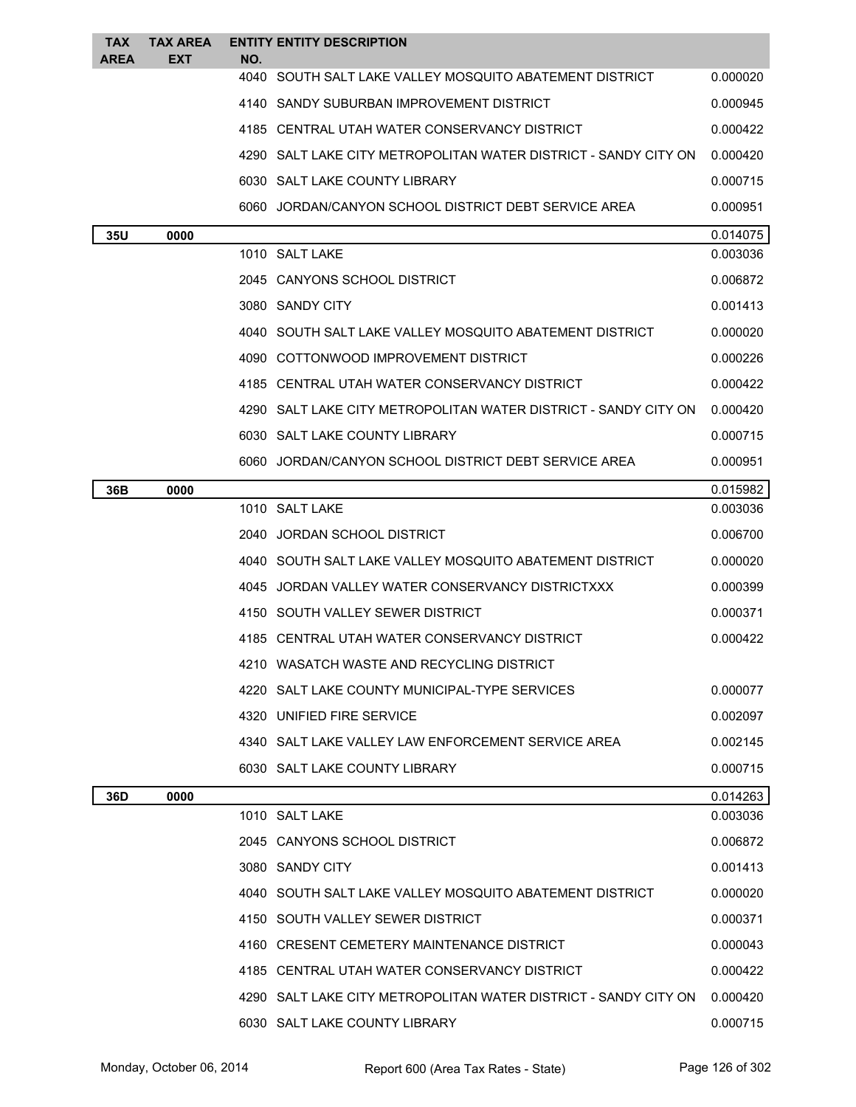| <b>TAX</b><br>AREA | <b>TAX AREA</b><br><b>EXT</b> |             | <b>ENTITY ENTITY DESCRIPTION</b>                                |          |
|--------------------|-------------------------------|-------------|-----------------------------------------------------------------|----------|
|                    |                               | NO.<br>4040 | SOUTH SALT LAKE VALLEY MOSQUITO ABATEMENT DISTRICT              | 0.000020 |
|                    |                               |             | 4140 SANDY SUBURBAN IMPROVEMENT DISTRICT                        | 0.000945 |
|                    |                               |             | 4185 CENTRAL UTAH WATER CONSERVANCY DISTRICT                    | 0.000422 |
|                    |                               |             | 4290 SALT LAKE CITY METROPOLITAN WATER DISTRICT - SANDY CITY ON | 0.000420 |
|                    |                               |             | 6030 SALT LAKE COUNTY LIBRARY                                   | 0.000715 |
|                    |                               |             | 6060 JORDAN/CANYON SCHOOL DISTRICT DEBT SERVICE AREA            | 0.000951 |
| 35U                | 0000                          |             |                                                                 | 0.014075 |
|                    |                               |             | 1010 SALT LAKE                                                  | 0.003036 |
|                    |                               |             | 2045 CANYONS SCHOOL DISTRICT                                    | 0.006872 |
|                    |                               |             | 3080 SANDY CITY                                                 | 0.001413 |
|                    |                               |             | 4040 SOUTH SALT LAKE VALLEY MOSQUITO ABATEMENT DISTRICT         | 0.000020 |
|                    |                               |             | 4090 COTTONWOOD IMPROVEMENT DISTRICT                            | 0.000226 |
|                    |                               |             | 4185 CENTRAL UTAH WATER CONSERVANCY DISTRICT                    | 0.000422 |
|                    |                               |             | 4290 SALT LAKE CITY METROPOLITAN WATER DISTRICT - SANDY CITY ON | 0.000420 |
|                    |                               |             | 6030 SALT LAKE COUNTY LIBRARY                                   | 0.000715 |
|                    |                               |             | 6060 JORDAN/CANYON SCHOOL DISTRICT DEBT SERVICE AREA            | 0.000951 |
| 36B                | 0000                          |             |                                                                 | 0.015982 |
|                    |                               |             | 1010 SALT LAKE                                                  | 0.003036 |
|                    |                               |             | 2040 JORDAN SCHOOL DISTRICT                                     | 0.006700 |
|                    |                               |             | 4040 SOUTH SALT LAKE VALLEY MOSQUITO ABATEMENT DISTRICT         | 0.000020 |
|                    |                               |             | 4045 JORDAN VALLEY WATER CONSERVANCY DISTRICTXXX                | 0.000399 |
|                    |                               |             | 4150 SOUTH VALLEY SEWER DISTRICT                                | 0.000371 |
|                    |                               |             | 4185 CENTRAL UTAH WATER CONSERVANCY DISTRICT                    | 0.000422 |
|                    |                               |             | 4210 WASATCH WASTE AND RECYCLING DISTRICT                       |          |
|                    |                               |             | 4220 SALT LAKE COUNTY MUNICIPAL-TYPE SERVICES                   | 0.000077 |
|                    |                               |             | 4320 UNIFIED FIRE SERVICE                                       | 0.002097 |
|                    |                               |             | 4340 SALT LAKE VALLEY LAW ENFORCEMENT SERVICE AREA              | 0.002145 |
|                    |                               |             | 6030 SALT LAKE COUNTY LIBRARY                                   | 0.000715 |
| 36D                | 0000                          |             |                                                                 | 0.014263 |
|                    |                               |             | 1010 SALT LAKE                                                  | 0.003036 |
|                    |                               |             | 2045 CANYONS SCHOOL DISTRICT                                    | 0.006872 |
|                    |                               |             | 3080 SANDY CITY                                                 | 0.001413 |
|                    |                               |             | 4040   SOUTH SALT LAKE VALLEY MOSQUITO ABATEMENT DISTRICT       | 0.000020 |
|                    |                               |             | 4150 SOUTH VALLEY SEWER DISTRICT                                | 0.000371 |
|                    |                               |             | 4160 CRESENT CEMETERY MAINTENANCE DISTRICT                      | 0.000043 |
|                    |                               |             | 4185 CENTRAL UTAH WATER CONSERVANCY DISTRICT                    | 0.000422 |
|                    |                               |             | 4290 SALT LAKE CITY METROPOLITAN WATER DISTRICT - SANDY CITY ON | 0.000420 |
|                    |                               |             | 6030 SALT LAKE COUNTY LIBRARY                                   | 0.000715 |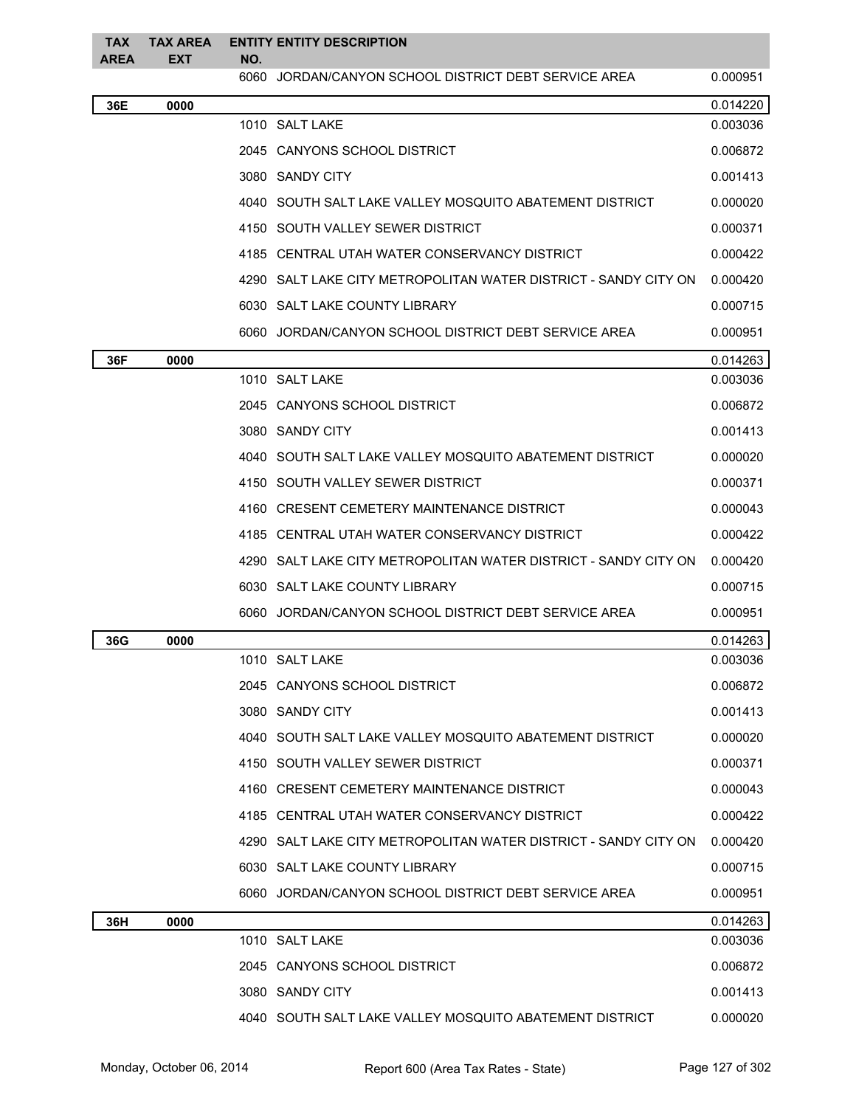| <b>TAX</b><br><b>AREA</b> | <b>TAX AREA</b><br>EXT | NO.  | <b>ENTITY ENTITY DESCRIPTION</b>                                  |          |
|---------------------------|------------------------|------|-------------------------------------------------------------------|----------|
|                           |                        | 6060 | JORDAN/CANYON SCHOOL DISTRICT DEBT SERVICE AREA                   | 0.000951 |
| 36E                       | 0000                   |      |                                                                   | 0.014220 |
|                           |                        |      | 1010 SALT LAKE                                                    | 0.003036 |
|                           |                        |      | 2045 CANYONS SCHOOL DISTRICT                                      | 0.006872 |
|                           |                        |      | 3080 SANDY CITY                                                   | 0.001413 |
|                           |                        |      | 4040   SOUTH SALT LAKE VALLEY MOSQUITO ABATEMENT DISTRICT         | 0.000020 |
|                           |                        |      | 4150 SOUTH VALLEY SEWER DISTRICT                                  | 0.000371 |
|                           |                        |      | 4185 CENTRAL UTAH WATER CONSERVANCY DISTRICT                      | 0.000422 |
|                           |                        |      | 4290   SALT LAKE CITY METROPOLITAN WATER DISTRICT - SANDY CITY ON | 0.000420 |
|                           |                        |      | 6030 SALT LAKE COUNTY LIBRARY                                     | 0.000715 |
|                           |                        |      | 6060 JORDAN/CANYON SCHOOL DISTRICT DEBT SERVICE AREA              | 0.000951 |
| 36F                       | 0000                   |      |                                                                   | 0.014263 |
|                           |                        |      | 1010 SALT LAKE                                                    | 0.003036 |
|                           |                        |      | 2045   CANYONS SCHOOL DISTRICT                                    | 0.006872 |
|                           |                        |      | 3080 SANDY CITY                                                   | 0.001413 |
|                           |                        |      | 4040   SOUTH SALT LAKE VALLEY MOSQUITO ABATEMENT DISTRICT         | 0.000020 |
|                           |                        |      | 4150   SOUTH VALLEY SEWER DISTRICT                                | 0.000371 |
|                           |                        |      | 4160 CRESENT CEMETERY MAINTENANCE DISTRICT                        | 0.000043 |
|                           |                        |      | 4185 CENTRAL UTAH WATER CONSERVANCY DISTRICT                      | 0.000422 |
|                           |                        |      | 4290 SALT LAKE CITY METROPOLITAN WATER DISTRICT - SANDY CITY ON   | 0.000420 |
|                           |                        |      | 6030 SALT LAKE COUNTY LIBRARY                                     | 0.000715 |
|                           |                        |      | 6060 JORDAN/CANYON SCHOOL DISTRICT DEBT SERVICE AREA              | 0.000951 |
| 36G                       | 0000                   |      |                                                                   | 0.014263 |
|                           |                        |      | 1010 SALT LAKE                                                    | 0.003036 |
|                           |                        |      | 2045 CANYONS SCHOOL DISTRICT                                      | 0.006872 |
|                           |                        |      | 3080 SANDY CITY                                                   | 0.001413 |
|                           |                        |      | 4040 SOUTH SALT LAKE VALLEY MOSQUITO ABATEMENT DISTRICT           | 0.000020 |
|                           |                        |      | 4150 SOUTH VALLEY SEWER DISTRICT                                  | 0.000371 |
|                           |                        |      | 4160 CRESENT CEMETERY MAINTENANCE DISTRICT                        | 0.000043 |
|                           |                        |      | 4185 CENTRAL UTAH WATER CONSERVANCY DISTRICT                      | 0.000422 |
|                           |                        |      | 4290 SALT LAKE CITY METROPOLITAN WATER DISTRICT - SANDY CITY ON   | 0.000420 |
|                           |                        |      | 6030 SALT LAKE COUNTY LIBRARY                                     | 0.000715 |
|                           |                        |      | 6060   JORDAN/CANYON SCHOOL DISTRICT DEBT SERVICE AREA            | 0.000951 |
| 36H                       | 0000                   |      |                                                                   | 0.014263 |
|                           |                        |      | 1010 SALT LAKE                                                    | 0.003036 |
|                           |                        |      | 2045   CANYONS SCHOOL DISTRICT                                    | 0.006872 |
|                           |                        |      | 3080 SANDY CITY                                                   | 0.001413 |
|                           |                        |      | 4040 SOUTH SALT LAKE VALLEY MOSQUITO ABATEMENT DISTRICT           | 0.000020 |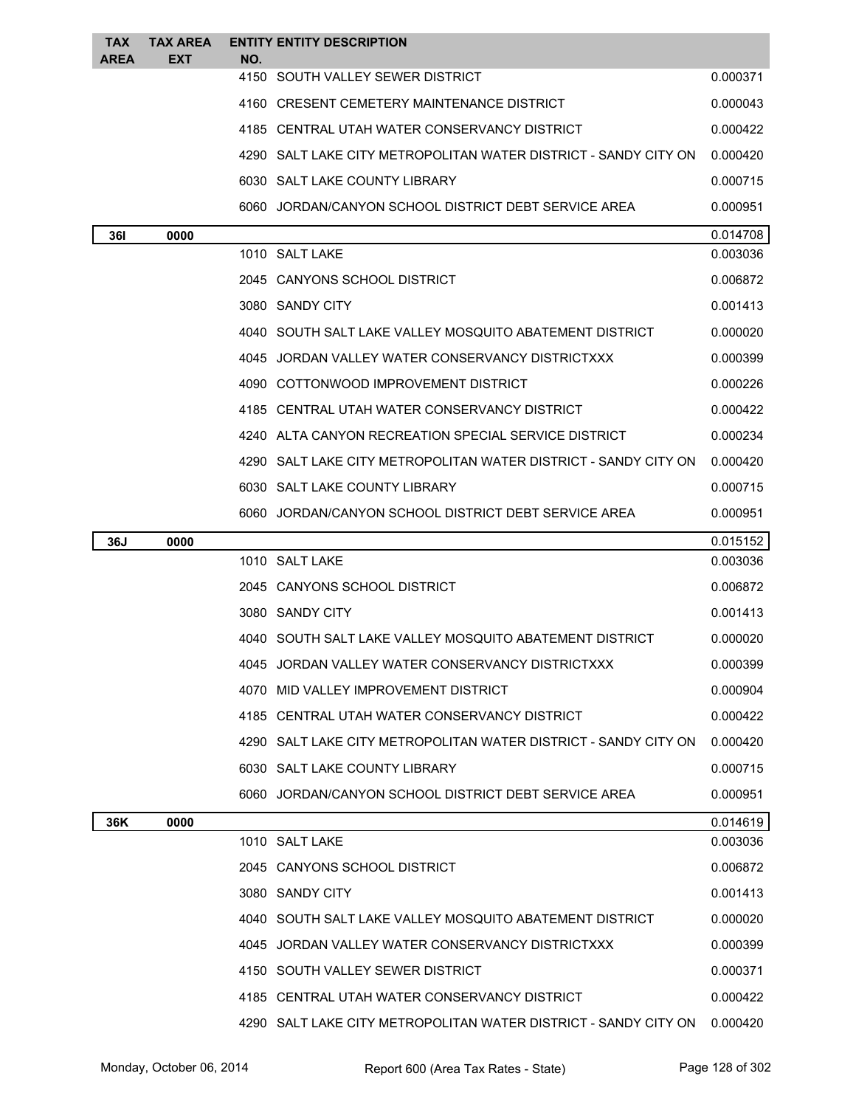| <b>TAX</b><br><b>AREA</b> | <b>TAX AREA</b><br><b>EXT</b> | NO. | <b>ENTITY ENTITY DESCRIPTION</b>                                  |          |
|---------------------------|-------------------------------|-----|-------------------------------------------------------------------|----------|
|                           |                               |     | 4150 SOUTH VALLEY SEWER DISTRICT                                  | 0.000371 |
|                           |                               |     | 4160 CRESENT CEMETERY MAINTENANCE DISTRICT                        | 0.000043 |
|                           |                               |     | 4185 CENTRAL UTAH WATER CONSERVANCY DISTRICT                      | 0.000422 |
|                           |                               |     | 4290   SALT LAKE CITY METROPOLITAN WATER DISTRICT - SANDY CITY ON | 0.000420 |
|                           |                               |     | 6030 SALT LAKE COUNTY LIBRARY                                     | 0.000715 |
|                           |                               |     | 6060 JORDAN/CANYON SCHOOL DISTRICT DEBT SERVICE AREA              | 0.000951 |
| 36I                       | 0000                          |     |                                                                   | 0.014708 |
|                           |                               |     | 1010 SALT LAKE                                                    | 0.003036 |
|                           |                               |     | 2045 CANYONS SCHOOL DISTRICT                                      | 0.006872 |
|                           |                               |     | 3080 SANDY CITY                                                   | 0.001413 |
|                           |                               |     | 4040   SOUTH SALT LAKE VALLEY MOSQUITO ABATEMENT DISTRICT         | 0.000020 |
|                           |                               |     | 4045 JORDAN VALLEY WATER CONSERVANCY DISTRICTXXX                  | 0.000399 |
|                           |                               |     | 4090 COTTONWOOD IMPROVEMENT DISTRICT                              | 0.000226 |
|                           |                               |     | 4185 CENTRAL UTAH WATER CONSERVANCY DISTRICT                      | 0.000422 |
|                           |                               |     | 4240 ALTA CANYON RECREATION SPECIAL SERVICE DISTRICT              | 0.000234 |
|                           |                               |     | 4290   SALT LAKE CITY METROPOLITAN WATER DISTRICT - SANDY CITY ON | 0.000420 |
|                           |                               |     | 6030 SALT LAKE COUNTY LIBRARY                                     | 0.000715 |
|                           |                               |     | 6060 JORDAN/CANYON SCHOOL DISTRICT DEBT SERVICE AREA              | 0.000951 |
| 36J                       | 0000                          |     |                                                                   | 0.015152 |
|                           |                               |     |                                                                   |          |
|                           |                               |     | 1010 SALT LAKE                                                    | 0.003036 |
|                           |                               |     | 2045 CANYONS SCHOOL DISTRICT                                      | 0.006872 |
|                           |                               |     | 3080 SANDY CITY                                                   | 0.001413 |
|                           |                               |     | 4040   SOUTH SALT LAKE VALLEY MOSQUITO ABATEMENT DISTRICT         | 0.000020 |
|                           |                               |     | 4045 JORDAN VALLEY WATER CONSERVANCY DISTRICTXXX                  | 0.000399 |
|                           |                               |     | 4070 MID VALLEY IMPROVEMENT DISTRICT                              | 0.000904 |
|                           |                               |     | 4185 CENTRAL UTAH WATER CONSERVANCY DISTRICT                      | 0.000422 |
|                           |                               |     | 4290 SALT LAKE CITY METROPOLITAN WATER DISTRICT - SANDY CITY ON   | 0.000420 |
|                           |                               |     | 6030 SALT LAKE COUNTY LIBRARY                                     | 0.000715 |
|                           |                               |     | 6060 JORDAN/CANYON SCHOOL DISTRICT DEBT SERVICE AREA              | 0.000951 |
| 36K                       | 0000                          |     |                                                                   | 0.014619 |
|                           |                               |     | 1010 SALT LAKE                                                    | 0.003036 |
|                           |                               |     | 2045 CANYONS SCHOOL DISTRICT                                      | 0.006872 |
|                           |                               |     | 3080 SANDY CITY                                                   | 0.001413 |
|                           |                               |     | 4040 SOUTH SALT LAKE VALLEY MOSQUITO ABATEMENT DISTRICT           | 0.000020 |
|                           |                               |     | 4045 JORDAN VALLEY WATER CONSERVANCY DISTRICTXXX                  | 0.000399 |
|                           |                               |     | 4150 SOUTH VALLEY SEWER DISTRICT                                  | 0.000371 |
|                           |                               |     | 4185 CENTRAL UTAH WATER CONSERVANCY DISTRICT                      | 0.000422 |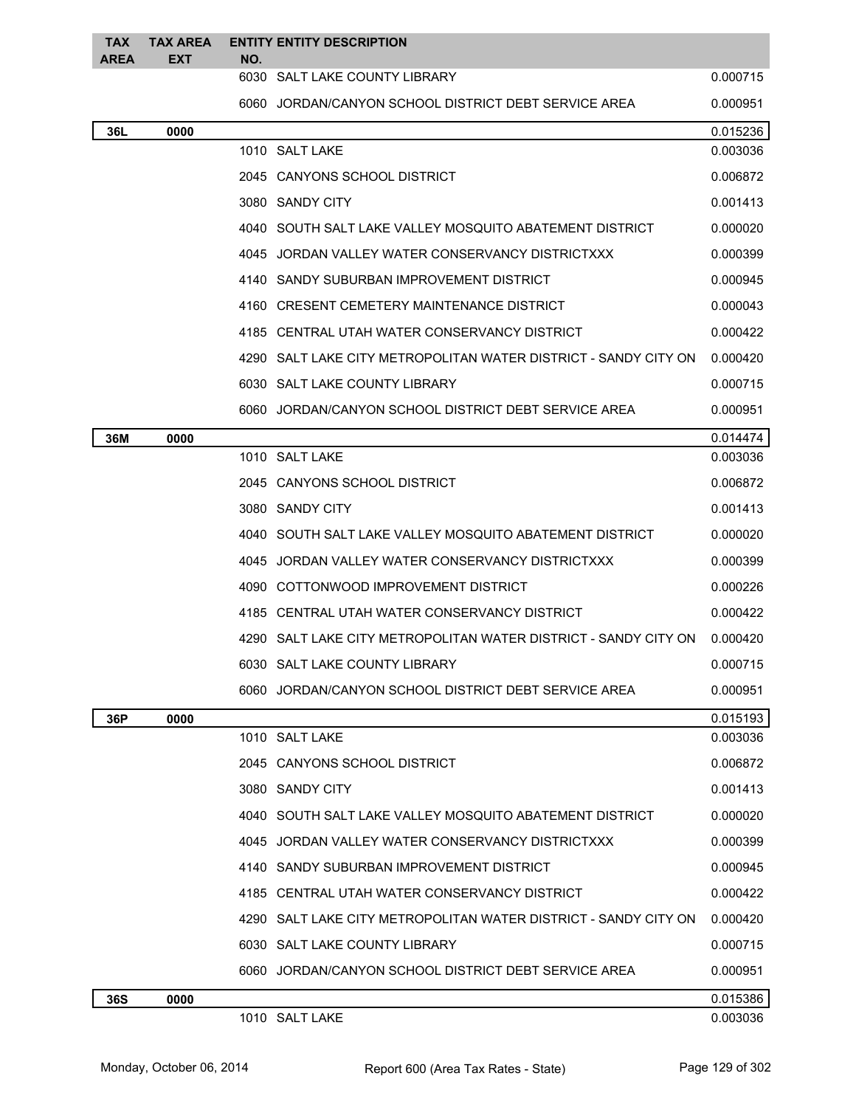| TAX<br>AREA | TAX AREA<br>EXT | NO. | <b>ENTITY ENTITY DESCRIPTION</b>                                  |                      |
|-------------|-----------------|-----|-------------------------------------------------------------------|----------------------|
|             |                 |     | 6030 SALT LAKE COUNTY LIBRARY                                     | 0.000715             |
|             |                 |     | 6060 JORDAN/CANYON SCHOOL DISTRICT DEBT SERVICE AREA              | 0.000951             |
| 36L         | 0000            |     |                                                                   | 0.015236             |
|             |                 |     | 1010 SALT LAKE                                                    | 0.003036             |
|             |                 |     | 2045 CANYONS SCHOOL DISTRICT                                      | 0.006872             |
|             |                 |     | 3080 SANDY CITY                                                   | 0.001413             |
|             |                 |     | 4040   SOUTH SALT LAKE VALLEY MOSQUITO ABATEMENT DISTRICT         | 0.000020             |
|             |                 |     | 4045 JORDAN VALLEY WATER CONSERVANCY DISTRICTXXX                  | 0.000399             |
|             |                 |     | 4140 SANDY SUBURBAN IMPROVEMENT DISTRICT                          | 0.000945             |
|             |                 |     | 4160 CRESENT CEMETERY MAINTENANCE DISTRICT                        | 0.000043             |
|             |                 |     | 4185 CENTRAL UTAH WATER CONSERVANCY DISTRICT                      | 0.000422             |
|             |                 |     | 4290   SALT LAKE CITY METROPOLITAN WATER DISTRICT - SANDY CITY ON | 0.000420             |
|             |                 |     | 6030 SALT LAKE COUNTY LIBRARY                                     | 0.000715             |
|             |                 |     | 6060 JORDAN/CANYON SCHOOL DISTRICT DEBT SERVICE AREA              | 0.000951             |
| 36M         | 0000            |     |                                                                   | 0.014474             |
|             |                 |     | 1010 SALT LAKE                                                    | 0.003036             |
|             |                 |     | 2045 CANYONS SCHOOL DISTRICT                                      | 0.006872             |
|             |                 |     | 3080 SANDY CITY                                                   | 0.001413             |
|             |                 |     | 4040   SOUTH SALT LAKE VALLEY MOSQUITO ABATEMENT DISTRICT         | 0.000020             |
|             |                 |     | 4045 JORDAN VALLEY WATER CONSERVANCY DISTRICTXXX                  | 0.000399             |
|             |                 |     | 4090 COTTONWOOD IMPROVEMENT DISTRICT                              | 0.000226             |
|             |                 |     | 4185 CENTRAL UTAH WATER CONSERVANCY DISTRICT                      | 0.000422             |
|             |                 |     | 4290   SALT LAKE CITY METROPOLITAN WATER DISTRICT - SANDY CITY ON | 0.000420             |
|             |                 |     | 6030 SALT LAKE COUNTY LIBRARY                                     | 0.000715             |
|             |                 |     | 6060 JORDAN/CANYON SCHOOL DISTRICT DEBT SERVICE AREA              | 0.000951             |
| 36P         | 0000            |     |                                                                   | 0.015193             |
|             |                 |     | 1010 SALT LAKE                                                    | 0.003036             |
|             |                 |     | 2045 CANYONS SCHOOL DISTRICT                                      | 0.006872             |
|             |                 |     | 3080 SANDY CITY                                                   | 0.001413             |
|             |                 |     | 4040   SOUTH SALT LAKE VALLEY MOSQUITO ABATEMENT DISTRICT         | 0.000020             |
|             |                 |     | 4045 JORDAN VALLEY WATER CONSERVANCY DISTRICTXXX                  | 0.000399             |
|             |                 |     | 4140 SANDY SUBURBAN IMPROVEMENT DISTRICT                          | 0.000945             |
|             |                 |     | 4185 CENTRAL UTAH WATER CONSERVANCY DISTRICT                      | 0.000422             |
|             |                 |     | 4290   SALT LAKE CITY METROPOLITAN WATER DISTRICT - SANDY CITY ON | 0.000420             |
|             |                 |     | 6030 SALT LAKE COUNTY LIBRARY                                     | 0.000715             |
|             |                 |     | 6060 JORDAN/CANYON SCHOOL DISTRICT DEBT SERVICE AREA              | 0.000951             |
| 36S         | 0000            |     | 1010 SALT LAKE                                                    | 0.015386<br>0.003036 |
|             |                 |     |                                                                   |                      |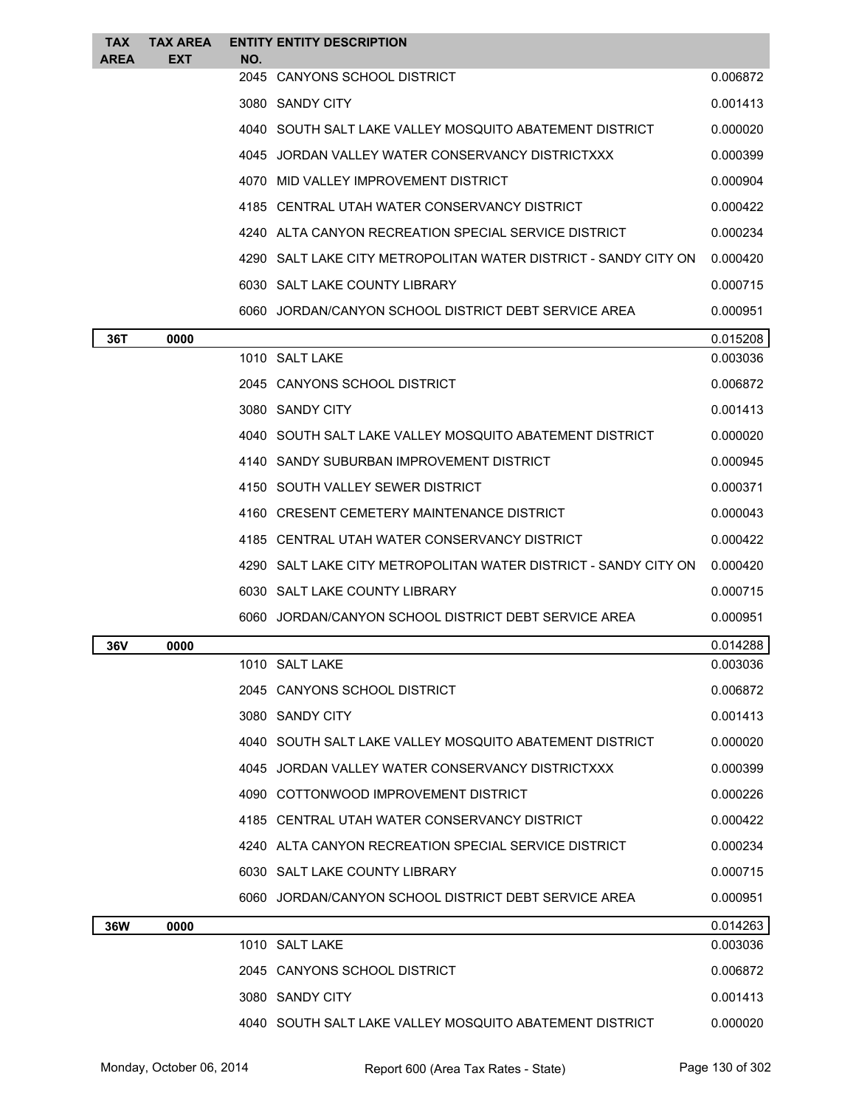| <b>TAX</b><br>AREA | TAX AREA<br><b>EXT</b> | NO.  | <b>ENTITY ENTITY DESCRIPTION</b>                                |          |
|--------------------|------------------------|------|-----------------------------------------------------------------|----------|
|                    |                        | 2045 | <b>CANYONS SCHOOL DISTRICT</b>                                  | 0.006872 |
|                    |                        |      | 3080 SANDY CITY                                                 | 0.001413 |
|                    |                        |      | 4040 SOUTH SALT LAKE VALLEY MOSQUITO ABATEMENT DISTRICT         | 0.000020 |
|                    |                        |      | 4045 JORDAN VALLEY WATER CONSERVANCY DISTRICTXXX                | 0.000399 |
|                    |                        |      | 4070 MID VALLEY IMPROVEMENT DISTRICT                            | 0.000904 |
|                    |                        |      | 4185 CENTRAL UTAH WATER CONSERVANCY DISTRICT                    | 0.000422 |
|                    |                        |      | 4240 ALTA CANYON RECREATION SPECIAL SERVICE DISTRICT            | 0.000234 |
|                    |                        |      | 4290 SALT LAKE CITY METROPOLITAN WATER DISTRICT - SANDY CITY ON | 0.000420 |
|                    |                        |      | 6030 SALT LAKE COUNTY LIBRARY                                   | 0.000715 |
|                    |                        |      | 6060 JORDAN/CANYON SCHOOL DISTRICT DEBT SERVICE AREA            | 0.000951 |
| 36T                | 0000                   |      |                                                                 | 0.015208 |
|                    |                        |      | 1010 SALT LAKE                                                  | 0.003036 |
|                    |                        |      | 2045 CANYONS SCHOOL DISTRICT                                    | 0.006872 |
|                    |                        |      | 3080 SANDY CITY                                                 | 0.001413 |
|                    |                        |      | 4040 SOUTH SALT LAKE VALLEY MOSQUITO ABATEMENT DISTRICT         | 0.000020 |
|                    |                        |      | 4140 SANDY SUBURBAN IMPROVEMENT DISTRICT                        | 0.000945 |
|                    |                        |      | 4150 SOUTH VALLEY SEWER DISTRICT                                | 0.000371 |
|                    |                        |      | 4160 CRESENT CEMETERY MAINTENANCE DISTRICT                      | 0.000043 |
|                    |                        |      | 4185 CENTRAL UTAH WATER CONSERVANCY DISTRICT                    | 0.000422 |
|                    |                        |      | 4290 SALT LAKE CITY METROPOLITAN WATER DISTRICT - SANDY CITY ON | 0.000420 |
|                    |                        |      | 6030 SALT LAKE COUNTY LIBRARY                                   | 0.000715 |
|                    |                        |      | 6060 JORDAN/CANYON SCHOOL DISTRICT DEBT SERVICE AREA            | 0.000951 |
| 36V                | 0000                   |      |                                                                 | 0.014288 |
|                    |                        |      | 1010 SALT LAKE                                                  | 0.003036 |
|                    |                        |      | 2045 CANYONS SCHOOL DISTRICT                                    | 0.006872 |
|                    |                        |      | 3080 SANDY CITY                                                 | 0.001413 |
|                    |                        |      | 4040 SOUTH SALT LAKE VALLEY MOSQUITO ABATEMENT DISTRICT         | 0.000020 |
|                    |                        |      | 4045 JORDAN VALLEY WATER CONSERVANCY DISTRICTXXX                | 0.000399 |
|                    |                        |      | 4090 COTTONWOOD IMPROVEMENT DISTRICT                            | 0.000226 |
|                    |                        |      | 4185 CENTRAL UTAH WATER CONSERVANCY DISTRICT                    | 0.000422 |
|                    |                        |      | 4240 ALTA CANYON RECREATION SPECIAL SERVICE DISTRICT            | 0.000234 |
|                    |                        |      | 6030 SALT LAKE COUNTY LIBRARY                                   | 0.000715 |
|                    |                        |      | 6060 JORDAN/CANYON SCHOOL DISTRICT DEBT SERVICE AREA            | 0.000951 |
| <b>36W</b>         | 0000                   |      |                                                                 | 0.014263 |
|                    |                        |      | 1010 SALT LAKE                                                  | 0.003036 |
|                    |                        |      | 2045 CANYONS SCHOOL DISTRICT                                    | 0.006872 |
|                    |                        |      | 3080 SANDY CITY                                                 | 0.001413 |
|                    |                        |      | 4040 SOUTH SALT LAKE VALLEY MOSQUITO ABATEMENT DISTRICT         | 0.000020 |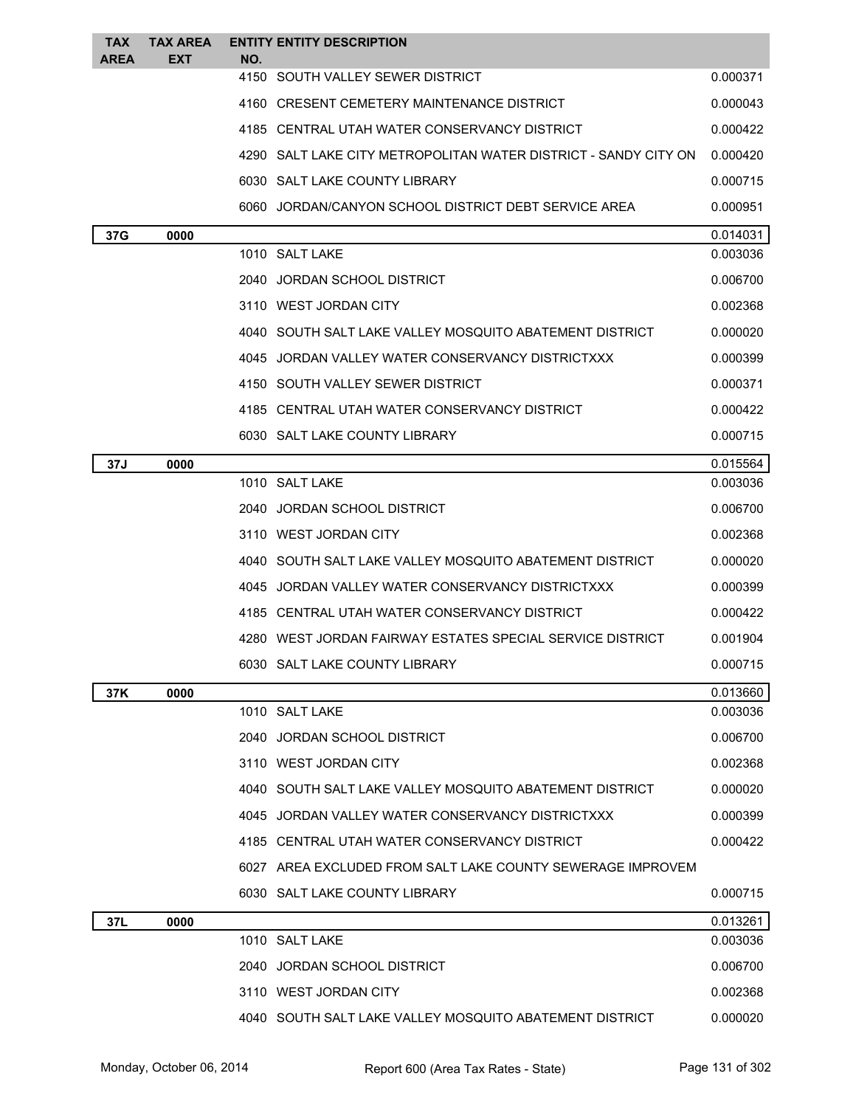| <b>TAX</b>  | <b>TAX AREA</b> |     | <b>ENTITY ENTITY DESCRIPTION</b>                                |          |
|-------------|-----------------|-----|-----------------------------------------------------------------|----------|
| <b>AREA</b> | EXT             | NO. | 4150 SOUTH VALLEY SEWER DISTRICT                                | 0.000371 |
|             |                 |     | 4160 CRESENT CEMETERY MAINTENANCE DISTRICT                      | 0.000043 |
|             |                 |     | 4185 CENTRAL UTAH WATER CONSERVANCY DISTRICT                    | 0.000422 |
|             |                 |     | 4290 SALT LAKE CITY METROPOLITAN WATER DISTRICT - SANDY CITY ON | 0.000420 |
|             |                 |     | 6030 SALT LAKE COUNTY LIBRARY                                   | 0.000715 |
|             |                 |     | 6060 JORDAN/CANYON SCHOOL DISTRICT DEBT SERVICE AREA            | 0.000951 |
| 37G         | 0000            |     |                                                                 | 0.014031 |
|             |                 |     | 1010 SALT LAKE                                                  | 0.003036 |
|             |                 |     | 2040 JORDAN SCHOOL DISTRICT                                     | 0.006700 |
|             |                 |     | 3110 WEST JORDAN CITY                                           | 0.002368 |
|             |                 |     | 4040 SOUTH SALT LAKE VALLEY MOSQUITO ABATEMENT DISTRICT         | 0.000020 |
|             |                 |     | 4045 JORDAN VALLEY WATER CONSERVANCY DISTRICTXXX                | 0.000399 |
|             |                 |     | 4150 SOUTH VALLEY SEWER DISTRICT                                | 0.000371 |
|             |                 |     | 4185 CENTRAL UTAH WATER CONSERVANCY DISTRICT                    | 0.000422 |
|             |                 |     | 6030 SALT LAKE COUNTY LIBRARY                                   | 0.000715 |
| 37J         | 0000            |     |                                                                 | 0.015564 |
|             |                 |     | 1010 SALT LAKE                                                  | 0.003036 |
|             |                 |     | 2040 JORDAN SCHOOL DISTRICT                                     | 0.006700 |
|             |                 |     | 3110 WEST JORDAN CITY                                           | 0.002368 |
|             |                 |     | 4040 SOUTH SALT LAKE VALLEY MOSQUITO ABATEMENT DISTRICT         | 0.000020 |
|             |                 |     | 4045 JORDAN VALLEY WATER CONSERVANCY DISTRICTXXX                | 0.000399 |
|             |                 |     | 4185 CENTRAL UTAH WATER CONSERVANCY DISTRICT                    | 0.000422 |
|             |                 |     | 4280 WEST JORDAN FAIRWAY ESTATES SPECIAL SERVICE DISTRICT       | 0.001904 |
|             |                 |     | 6030 SALT LAKE COUNTY LIBRARY                                   | 0.000715 |
| 37K         | 0000            |     |                                                                 | 0.013660 |
|             |                 |     | 1010 SALT LAKE                                                  | 0.003036 |
|             |                 |     | 2040 JORDAN SCHOOL DISTRICT                                     | 0.006700 |
|             |                 |     | 3110 WEST JORDAN CITY                                           | 0.002368 |
|             |                 |     | 4040 SOUTH SALT LAKE VALLEY MOSQUITO ABATEMENT DISTRICT         | 0.000020 |
|             |                 |     | 4045 JORDAN VALLEY WATER CONSERVANCY DISTRICTXXX                | 0.000399 |
|             |                 |     | 4185 CENTRAL UTAH WATER CONSERVANCY DISTRICT                    | 0.000422 |
|             |                 |     | 6027 AREA EXCLUDED FROM SALT LAKE COUNTY SEWERAGE IMPROVEM      |          |
|             |                 |     | 6030 SALT LAKE COUNTY LIBRARY                                   | 0.000715 |
| 37L         | 0000            |     |                                                                 | 0.013261 |
|             |                 |     | 1010 SALT LAKE                                                  | 0.003036 |
|             |                 |     | 2040 JORDAN SCHOOL DISTRICT                                     | 0.006700 |
|             |                 |     | 3110 WEST JORDAN CITY                                           | 0.002368 |
|             |                 |     | 4040 SOUTH SALT LAKE VALLEY MOSQUITO ABATEMENT DISTRICT         | 0.000020 |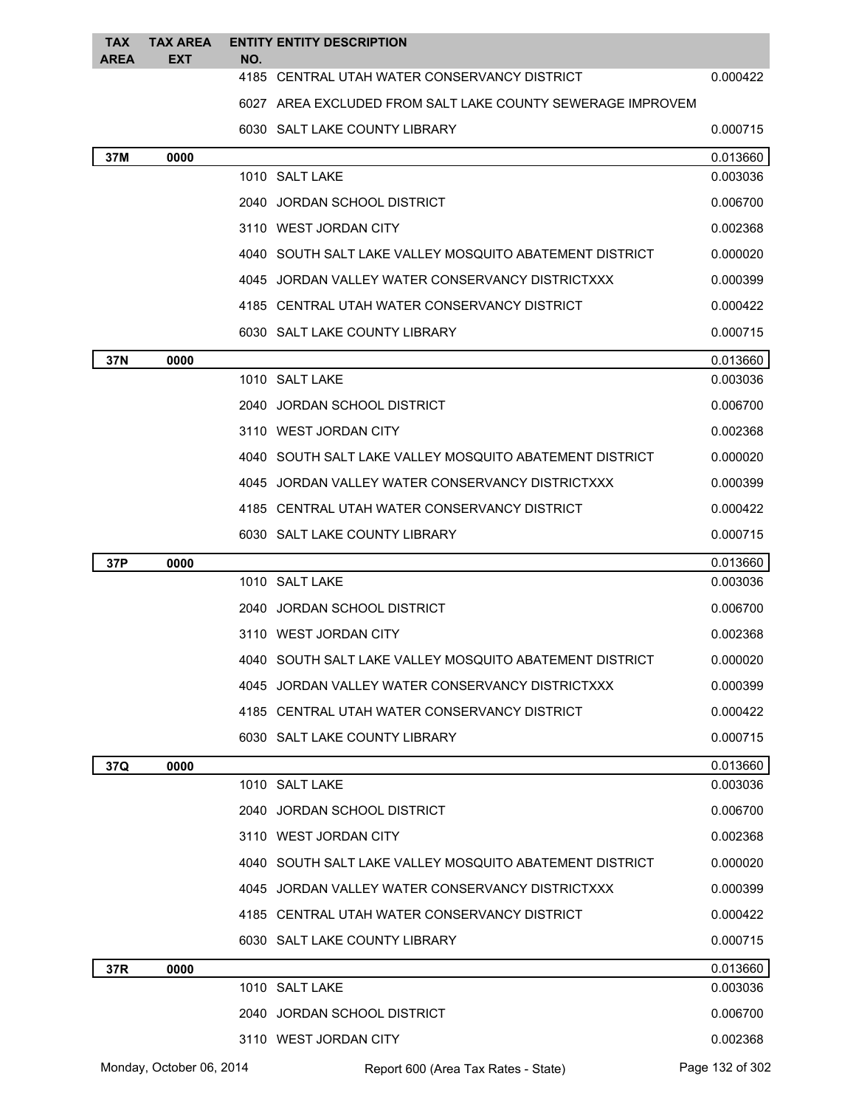| <b>TAX</b>  | <b>TAX AREA</b>          |     | <b>ENTITY ENTITY DESCRIPTION</b>                           |                      |
|-------------|--------------------------|-----|------------------------------------------------------------|----------------------|
| <b>AREA</b> | <b>EXT</b>               | NO. | 4185 CENTRAL UTAH WATER CONSERVANCY DISTRICT               | 0.000422             |
|             |                          |     | 6027 AREA EXCLUDED FROM SALT LAKE COUNTY SEWERAGE IMPROVEM |                      |
|             |                          |     | 6030 SALT LAKE COUNTY LIBRARY                              | 0.000715             |
| 37M         | 0000                     |     |                                                            | 0.013660             |
|             |                          |     | 1010 SALT LAKE                                             | 0.003036             |
|             |                          |     | 2040 JORDAN SCHOOL DISTRICT                                | 0.006700             |
|             |                          |     | 3110 WEST JORDAN CITY                                      | 0.002368             |
|             |                          |     | 4040 SOUTH SALT LAKE VALLEY MOSQUITO ABATEMENT DISTRICT    | 0.000020             |
|             |                          |     | 4045 JORDAN VALLEY WATER CONSERVANCY DISTRICTXXX           | 0.000399             |
|             |                          |     | 4185 CENTRAL UTAH WATER CONSERVANCY DISTRICT               | 0.000422             |
|             |                          |     | 6030 SALT LAKE COUNTY LIBRARY                              | 0.000715             |
| 37N         | 0000                     |     |                                                            | 0.013660             |
|             |                          |     | 1010 SALT LAKE                                             | 0.003036             |
|             |                          |     | 2040 JORDAN SCHOOL DISTRICT                                | 0.006700             |
|             |                          |     | 3110 WEST JORDAN CITY                                      | 0.002368             |
|             |                          |     | 4040 SOUTH SALT LAKE VALLEY MOSQUITO ABATEMENT DISTRICT    | 0.000020             |
|             |                          |     | 4045 JORDAN VALLEY WATER CONSERVANCY DISTRICTXXX           | 0.000399             |
|             |                          |     | 4185 CENTRAL UTAH WATER CONSERVANCY DISTRICT               | 0.000422             |
|             |                          |     | 6030 SALT LAKE COUNTY LIBRARY                              | 0.000715             |
| 37P         | 0000                     |     |                                                            | 0.013660             |
|             |                          |     | 1010 SALT LAKE                                             | 0.003036             |
|             |                          |     | 2040 JORDAN SCHOOL DISTRICT                                | 0.006700             |
|             |                          |     | 3110 WEST JORDAN CITY                                      | 0.002368             |
|             |                          |     | 4040 SOUTH SALT LAKE VALLEY MOSQUITO ABATEMENT DISTRICT    | 0.000020             |
|             |                          |     | 4045 JORDAN VALLEY WATER CONSERVANCY DISTRICTXXX           | 0.000399             |
|             |                          |     | 4185 CENTRAL UTAH WATER CONSERVANCY DISTRICT               | 0.000422             |
|             |                          |     | 6030 SALT LAKE COUNTY LIBRARY                              | 0.000715             |
| 37Q         | 0000                     |     |                                                            | 0.013660             |
|             |                          |     | 1010 SALT LAKE                                             | 0.003036             |
|             |                          |     | 2040 JORDAN SCHOOL DISTRICT                                | 0.006700             |
|             |                          |     | 3110 WEST JORDAN CITY                                      | 0.002368             |
|             |                          |     | 4040 SOUTH SALT LAKE VALLEY MOSQUITO ABATEMENT DISTRICT    | 0.000020             |
|             |                          |     | 4045 JORDAN VALLEY WATER CONSERVANCY DISTRICTXXX           | 0.000399             |
|             |                          |     | 4185 CENTRAL UTAH WATER CONSERVANCY DISTRICT               | 0.000422             |
|             |                          |     | 6030 SALT LAKE COUNTY LIBRARY                              | 0.000715             |
| 37R         | 0000                     |     | 1010 SALT LAKE                                             | 0.013660<br>0.003036 |
|             |                          |     | 2040 JORDAN SCHOOL DISTRICT                                | 0.006700             |
|             |                          |     | 3110 WEST JORDAN CITY                                      | 0.002368             |
|             | Monday, October 06, 2014 |     |                                                            | Page 132 of 302      |
|             |                          |     | Report 600 (Area Tax Rates - State)                        |                      |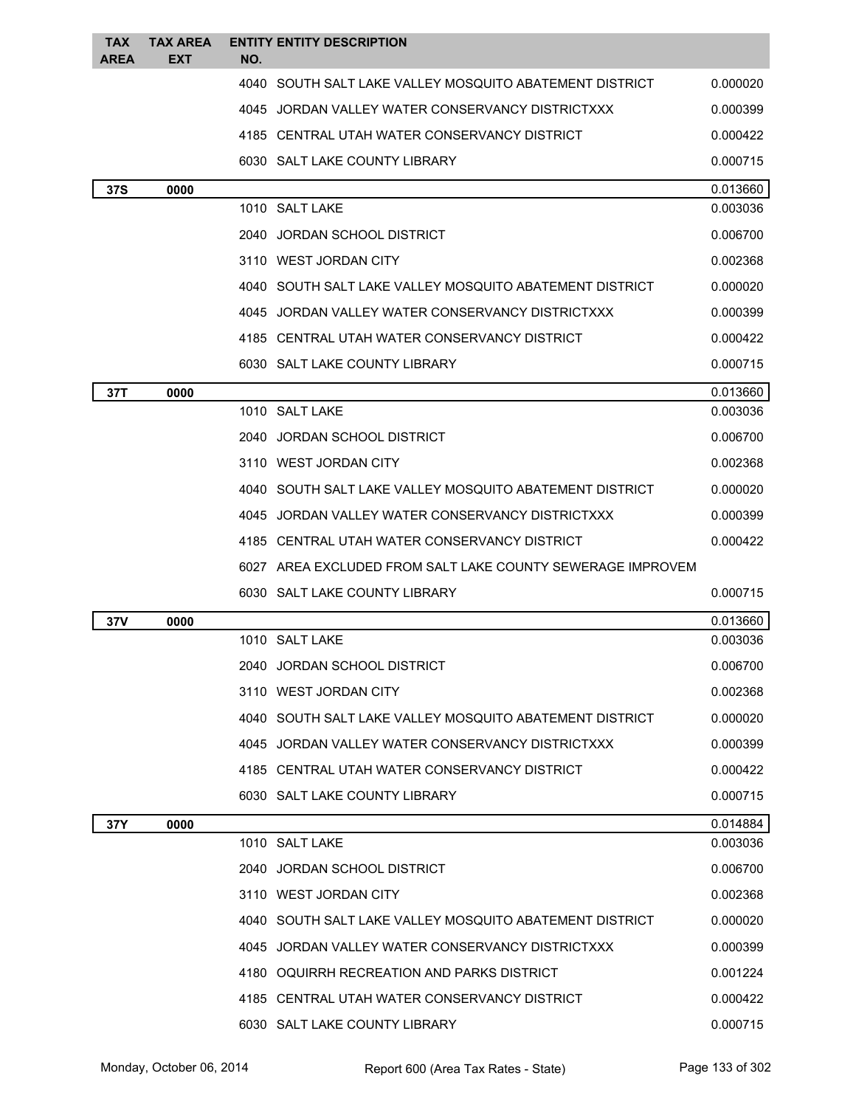| <b>TAX</b>  | <b>TAX AREA</b> | <b>ENTITY ENTITY DESCRIPTION</b>                               |                      |
|-------------|-----------------|----------------------------------------------------------------|----------------------|
| <b>AREA</b> | <b>EXT</b>      | NO.<br>4040 SOUTH SALT LAKE VALLEY MOSOUITO ABATEMENT DISTRICT |                      |
|             |                 |                                                                | 0.000020             |
|             |                 | 4045 JORDAN VALLEY WATER CONSERVANCY DISTRICTXXX               | 0.000399             |
|             |                 | 4185 CENTRAL UTAH WATER CONSERVANCY DISTRICT                   | 0.000422             |
|             |                 | 6030 SALT LAKE COUNTY LIBRARY                                  | 0.000715             |
| <b>37S</b>  | 0000            | 1010 SALT LAKE                                                 | 0.013660<br>0.003036 |
|             |                 | 2040 JORDAN SCHOOL DISTRICT                                    | 0.006700             |
|             |                 | 3110 WEST JORDAN CITY                                          | 0.002368             |
|             |                 | 4040 SOUTH SALT LAKE VALLEY MOSQUITO ABATEMENT DISTRICT        | 0.000020             |
|             |                 | 4045 JORDAN VALLEY WATER CONSERVANCY DISTRICTXXX               | 0.000399             |
|             |                 | 4185 CENTRAL UTAH WATER CONSERVANCY DISTRICT                   | 0.000422             |
|             |                 | 6030 SALT LAKE COUNTY LIBRARY                                  | 0.000715             |
| 37T         | 0000            |                                                                | 0.013660             |
|             |                 | 1010 SALT LAKE                                                 | 0.003036             |
|             |                 | 2040 JORDAN SCHOOL DISTRICT                                    | 0.006700             |
|             |                 | 3110 WEST JORDAN CITY                                          | 0.002368             |
|             |                 | 4040 SOUTH SALT LAKE VALLEY MOSQUITO ABATEMENT DISTRICT        | 0.000020             |
|             |                 | 4045 JORDAN VALLEY WATER CONSERVANCY DISTRICTXXX               | 0.000399             |
|             |                 | 4185 CENTRAL UTAH WATER CONSERVANCY DISTRICT                   | 0.000422             |
|             |                 | 6027 AREA EXCLUDED FROM SALT LAKE COUNTY SEWERAGE IMPROVEM     |                      |
|             |                 | 6030 SALT LAKE COUNTY LIBRARY                                  | 0.000715             |
| 37V         | 0000            |                                                                | 0.013660             |
|             |                 | 1010 SALT LAKE                                                 | 0.003036             |
|             |                 | 2040 JORDAN SCHOOL DISTRICT                                    | 0.006700             |
|             |                 | 3110 WEST JORDAN CITY                                          | 0.002368             |
|             |                 | 4040 SOUTH SALT LAKE VALLEY MOSQUITO ABATEMENT DISTRICT        | 0.000020             |
|             |                 | 4045 JORDAN VALLEY WATER CONSERVANCY DISTRICTXXX               | 0.000399             |
|             |                 | 4185 CENTRAL UTAH WATER CONSERVANCY DISTRICT                   | 0.000422             |
|             |                 | 6030 SALT LAKE COUNTY LIBRARY                                  | 0.000715             |
| 37Y         | 0000            |                                                                | 0.014884             |
|             |                 | 1010 SALT LAKE                                                 | 0.003036             |
|             |                 | 2040 JORDAN SCHOOL DISTRICT                                    | 0.006700             |
|             |                 | 3110 WEST JORDAN CITY                                          | 0.002368             |
|             |                 | 4040 SOUTH SALT LAKE VALLEY MOSQUITO ABATEMENT DISTRICT        | 0.000020             |
|             |                 | 4045 JORDAN VALLEY WATER CONSERVANCY DISTRICTXXX               | 0.000399             |
|             |                 | 4180 OQUIRRH RECREATION AND PARKS DISTRICT                     | 0.001224             |
|             |                 | 4185 CENTRAL UTAH WATER CONSERVANCY DISTRICT                   | 0.000422             |
|             |                 | 6030 SALT LAKE COUNTY LIBRARY                                  | 0.000715             |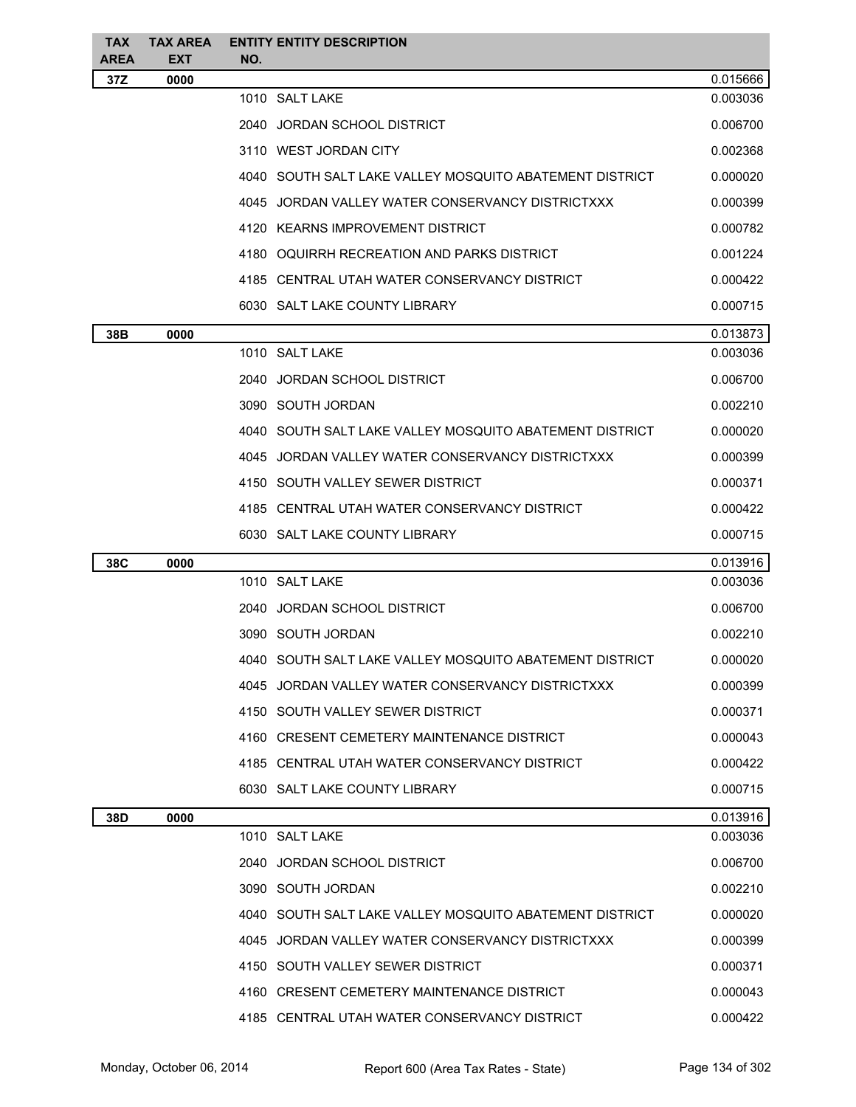| <b>TAX</b><br><b>AREA</b> | <b>TAX AREA</b><br><b>EXT</b> | <b>ENTITY ENTITY DESCRIPTION</b><br>NO.                 |          |
|---------------------------|-------------------------------|---------------------------------------------------------|----------|
| 37Z                       | 0000                          |                                                         | 0.015666 |
|                           |                               | 1010 SALT LAKE                                          | 0.003036 |
|                           |                               | 2040 JORDAN SCHOOL DISTRICT                             | 0.006700 |
|                           |                               | 3110 WEST JORDAN CITY                                   | 0.002368 |
|                           |                               | 4040 SOUTH SALT LAKE VALLEY MOSQUITO ABATEMENT DISTRICT | 0.000020 |
|                           |                               | 4045 JORDAN VALLEY WATER CONSERVANCY DISTRICTXXX        | 0.000399 |
|                           |                               | 4120 KEARNS IMPROVEMENT DISTRICT                        | 0.000782 |
|                           |                               | 4180 OQUIRRH RECREATION AND PARKS DISTRICT              | 0.001224 |
|                           |                               | 4185 CENTRAL UTAH WATER CONSERVANCY DISTRICT            | 0.000422 |
|                           |                               | 6030 SALT LAKE COUNTY LIBRARY                           | 0.000715 |
| 38B                       | 0000                          |                                                         | 0.013873 |
|                           |                               | 1010 SALT LAKE                                          | 0.003036 |
|                           |                               | 2040 JORDAN SCHOOL DISTRICT                             | 0.006700 |
|                           |                               | 3090 SOUTH JORDAN                                       | 0.002210 |
|                           |                               | 4040 SOUTH SALT LAKE VALLEY MOSQUITO ABATEMENT DISTRICT | 0.000020 |
|                           |                               | 4045 JORDAN VALLEY WATER CONSERVANCY DISTRICTXXX        | 0.000399 |
|                           |                               | 4150 SOUTH VALLEY SEWER DISTRICT                        | 0.000371 |
|                           |                               | 4185 CENTRAL UTAH WATER CONSERVANCY DISTRICT            | 0.000422 |
|                           |                               | 6030 SALT LAKE COUNTY LIBRARY                           | 0.000715 |
| 38C                       | 0000                          |                                                         | 0.013916 |
|                           |                               | 1010 SALT LAKE                                          | 0.003036 |
|                           |                               | 2040 JORDAN SCHOOL DISTRICT                             | 0.006700 |
|                           |                               | 3090 SOUTH JORDAN                                       | 0.002210 |
|                           |                               | 4040 SOUTH SALT LAKE VALLEY MOSQUITO ABATEMENT DISTRICT | 0.000020 |
|                           |                               | 4045 JORDAN VALLEY WATER CONSERVANCY DISTRICTXXX        | 0.000399 |
|                           |                               | 4150 SOUTH VALLEY SEWER DISTRICT                        | 0.000371 |
|                           |                               | 4160 CRESENT CEMETERY MAINTENANCE DISTRICT              | 0.000043 |
|                           |                               | 4185 CENTRAL UTAH WATER CONSERVANCY DISTRICT            | 0.000422 |
|                           |                               | 6030 SALT LAKE COUNTY LIBRARY                           | 0.000715 |
| 38D                       | 0000                          |                                                         | 0.013916 |
|                           |                               | 1010 SALT LAKE                                          | 0.003036 |
|                           |                               | 2040 JORDAN SCHOOL DISTRICT                             | 0.006700 |
|                           |                               | 3090 SOUTH JORDAN                                       | 0.002210 |
|                           |                               | 4040 SOUTH SALT LAKE VALLEY MOSQUITO ABATEMENT DISTRICT | 0.000020 |
|                           |                               | 4045 JORDAN VALLEY WATER CONSERVANCY DISTRICTXXX        | 0.000399 |
|                           |                               | 4150 SOUTH VALLEY SEWER DISTRICT                        | 0.000371 |
|                           |                               | 4160 CRESENT CEMETERY MAINTENANCE DISTRICT              | 0.000043 |
|                           |                               | 4185 CENTRAL UTAH WATER CONSERVANCY DISTRICT            | 0.000422 |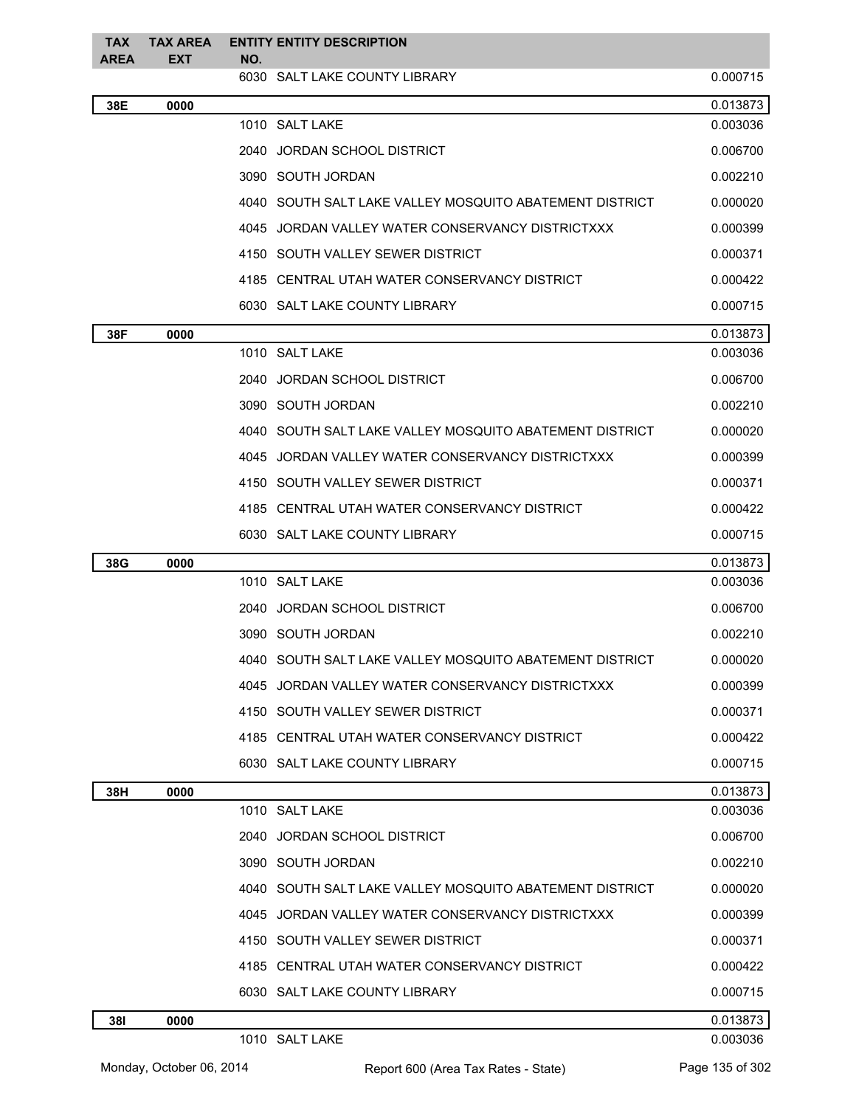| TAX         | <b>TAX AREA</b> |     | <b>ENTITY ENTITY DESCRIPTION</b>                        |          |
|-------------|-----------------|-----|---------------------------------------------------------|----------|
| <b>AREA</b> | <b>EXT</b>      | NO. | 6030 SALT LAKE COUNTY LIBRARY                           | 0.000715 |
| 38E         | 0000            |     |                                                         | 0.013873 |
|             |                 |     | 1010 SALT LAKE                                          | 0.003036 |
|             |                 |     | 2040 JORDAN SCHOOL DISTRICT                             | 0.006700 |
|             |                 |     | 3090 SOUTH JORDAN                                       | 0.002210 |
|             |                 |     | 4040 SOUTH SALT LAKE VALLEY MOSQUITO ABATEMENT DISTRICT | 0.000020 |
|             |                 |     | 4045 JORDAN VALLEY WATER CONSERVANCY DISTRICTXXX        | 0.000399 |
|             |                 |     | 4150 SOUTH VALLEY SEWER DISTRICT                        | 0.000371 |
|             |                 |     | 4185 CENTRAL UTAH WATER CONSERVANCY DISTRICT            | 0.000422 |
|             |                 |     | 6030 SALT LAKE COUNTY LIBRARY                           | 0.000715 |
| 38F         | 0000            |     |                                                         | 0.013873 |
|             |                 |     | 1010 SALT LAKE                                          | 0.003036 |
|             |                 |     | 2040 JORDAN SCHOOL DISTRICT                             | 0.006700 |
|             |                 |     | 3090 SOUTH JORDAN                                       | 0.002210 |
|             |                 |     | 4040 SOUTH SALT LAKE VALLEY MOSQUITO ABATEMENT DISTRICT | 0.000020 |
|             |                 |     | 4045 JORDAN VALLEY WATER CONSERVANCY DISTRICTXXX        | 0.000399 |
|             |                 |     | 4150 SOUTH VALLEY SEWER DISTRICT                        | 0.000371 |
|             |                 |     | 4185 CENTRAL UTAH WATER CONSERVANCY DISTRICT            | 0.000422 |
|             |                 |     | 6030 SALT LAKE COUNTY LIBRARY                           | 0.000715 |
| 38G         | 0000            |     |                                                         | 0.013873 |
|             |                 |     | 1010 SALT LAKE                                          | 0.003036 |
|             |                 |     | 2040 JORDAN SCHOOL DISTRICT                             | 0.006700 |
|             |                 |     | 3090 SOUTH JORDAN                                       | 0.002210 |
|             |                 |     | 4040 SOUTH SALT LAKE VALLEY MOSQUITO ABATEMENT DISTRICT | 0.000020 |
|             |                 |     | 4045 JORDAN VALLEY WATER CONSERVANCY DISTRICTXXX        | 0.000399 |
|             |                 |     | 4150 SOUTH VALLEY SEWER DISTRICT                        | 0.000371 |
|             |                 |     | 4185 CENTRAL UTAH WATER CONSERVANCY DISTRICT            | 0.000422 |
|             |                 |     | 6030 SALT LAKE COUNTY LIBRARY                           | 0.000715 |
| 38H         | 0000            |     |                                                         | 0.013873 |
|             |                 |     | 1010 SALT LAKE                                          | 0.003036 |
|             |                 |     | 2040 JORDAN SCHOOL DISTRICT                             | 0.006700 |
|             |                 |     | 3090 SOUTH JORDAN                                       | 0.002210 |
|             |                 |     | 4040 SOUTH SALT LAKE VALLEY MOSQUITO ABATEMENT DISTRICT | 0.000020 |
|             |                 |     | 4045 JORDAN VALLEY WATER CONSERVANCY DISTRICTXXX        | 0.000399 |
|             |                 |     | 4150 SOUTH VALLEY SEWER DISTRICT                        | 0.000371 |
|             |                 |     | 4185 CENTRAL UTAH WATER CONSERVANCY DISTRICT            | 0.000422 |
|             |                 |     | 6030 SALT LAKE COUNTY LIBRARY                           | 0.000715 |
| 381         | 0000            |     |                                                         | 0.013873 |
|             |                 |     | 1010 SALT LAKE                                          | 0.003036 |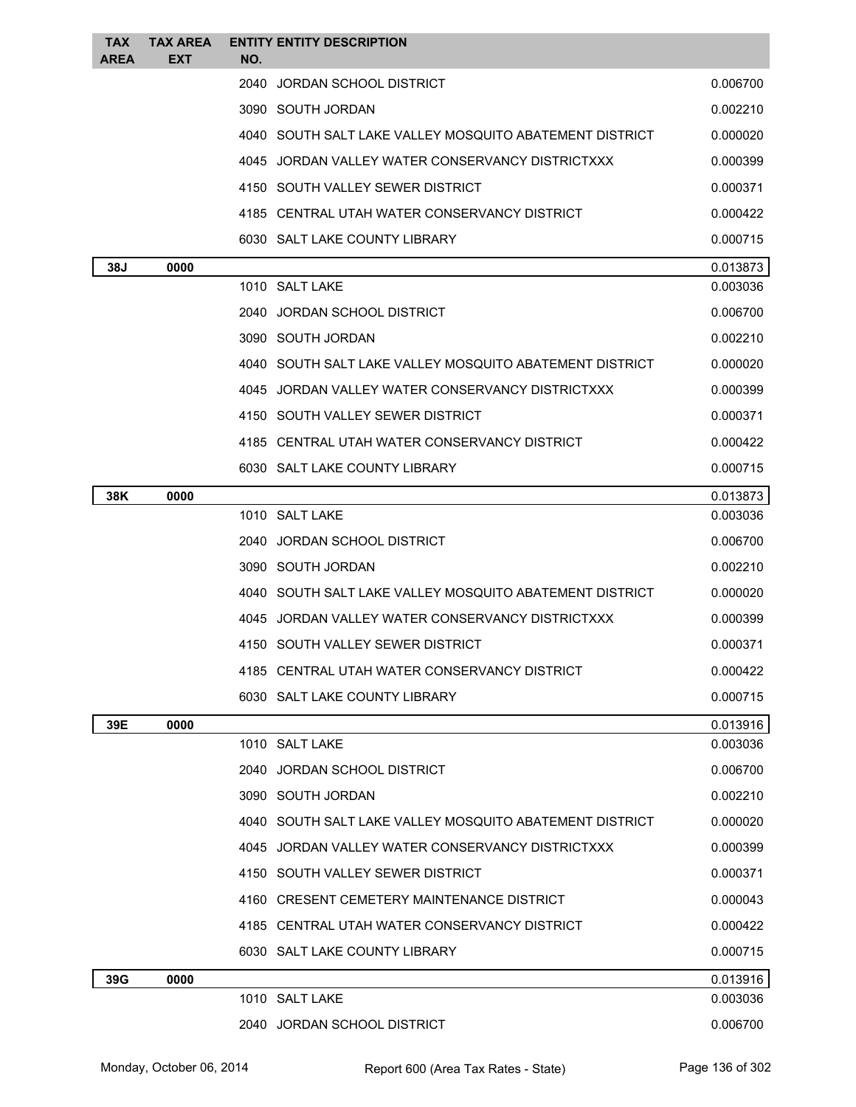| TAX<br>AREA | <b>TAX AREA</b><br>EXT | <b>ENTITY ENTITY DESCRIPTION</b><br>NO.                 |          |
|-------------|------------------------|---------------------------------------------------------|----------|
|             |                        | JORDAN SCHOOL DISTRICT<br>2040                          | 0.006700 |
|             |                        | 3090 SOUTH JORDAN                                       | 0.002210 |
|             |                        | 4040 SOUTH SALT LAKE VALLEY MOSQUITO ABATEMENT DISTRICT | 0.000020 |
|             |                        | 4045 JORDAN VALLEY WATER CONSERVANCY DISTRICTXXX        | 0.000399 |
|             |                        | 4150 SOUTH VALLEY SEWER DISTRICT                        | 0.000371 |
|             |                        | 4185 CENTRAL UTAH WATER CONSERVANCY DISTRICT            | 0.000422 |
|             |                        | 6030 SALT LAKE COUNTY LIBRARY                           | 0.000715 |
| 38J         | 0000                   |                                                         | 0.013873 |
|             |                        | 1010 SALT LAKE                                          | 0.003036 |
|             |                        | 2040 JORDAN SCHOOL DISTRICT                             | 0.006700 |
|             |                        | 3090 SOUTH JORDAN                                       | 0.002210 |
|             |                        | 4040 SOUTH SALT LAKE VALLEY MOSQUITO ABATEMENT DISTRICT | 0.000020 |
|             |                        | 4045 JORDAN VALLEY WATER CONSERVANCY DISTRICTXXX        | 0.000399 |
|             |                        | 4150 SOUTH VALLEY SEWER DISTRICT                        | 0.000371 |
|             |                        | 4185 CENTRAL UTAH WATER CONSERVANCY DISTRICT            | 0.000422 |
|             |                        | 6030 SALT LAKE COUNTY LIBRARY                           | 0.000715 |
| 38K         | 0000                   |                                                         | 0.013873 |
|             |                        | 1010 SALT LAKE                                          | 0.003036 |
|             |                        | 2040 JORDAN SCHOOL DISTRICT                             | 0.006700 |
|             |                        | 3090 SOUTH JORDAN                                       | 0.002210 |
|             |                        | 4040 SOUTH SALT LAKE VALLEY MOSQUITO ABATEMENT DISTRICT | 0.000020 |
|             |                        | 4045 JORDAN VALLEY WATER CONSERVANCY DISTRICTXXX        | 0.000399 |
|             |                        | 4150 SOUTH VALLEY SEWER DISTRICT                        | 0.000371 |
|             |                        | 4185 CENTRAL UTAH WATER CONSERVANCY DISTRICT            | 0.000422 |
|             |                        | 6030 SALT LAKE COUNTY LIBRARY                           | 0.000715 |
| 39E         | 0000                   |                                                         | 0.013916 |
|             |                        | 1010 SALT LAKE                                          | 0.003036 |
|             |                        | 2040 JORDAN SCHOOL DISTRICT                             | 0.006700 |
|             |                        | 3090 SOUTH JORDAN                                       | 0.002210 |
|             |                        | 4040 SOUTH SALT LAKE VALLEY MOSQUITO ABATEMENT DISTRICT | 0.000020 |
|             |                        | 4045 JORDAN VALLEY WATER CONSERVANCY DISTRICTXXX        | 0.000399 |
|             |                        | 4150 SOUTH VALLEY SEWER DISTRICT                        | 0.000371 |
|             |                        | 4160 CRESENT CEMETERY MAINTENANCE DISTRICT              | 0.000043 |
|             |                        | 4185 CENTRAL UTAH WATER CONSERVANCY DISTRICT            | 0.000422 |
|             |                        | 6030 SALT LAKE COUNTY LIBRARY                           | 0.000715 |
| 39G         | 0000                   |                                                         | 0.013916 |
|             |                        | 1010 SALT LAKE                                          | 0.003036 |
|             |                        | 2040 JORDAN SCHOOL DISTRICT                             | 0.006700 |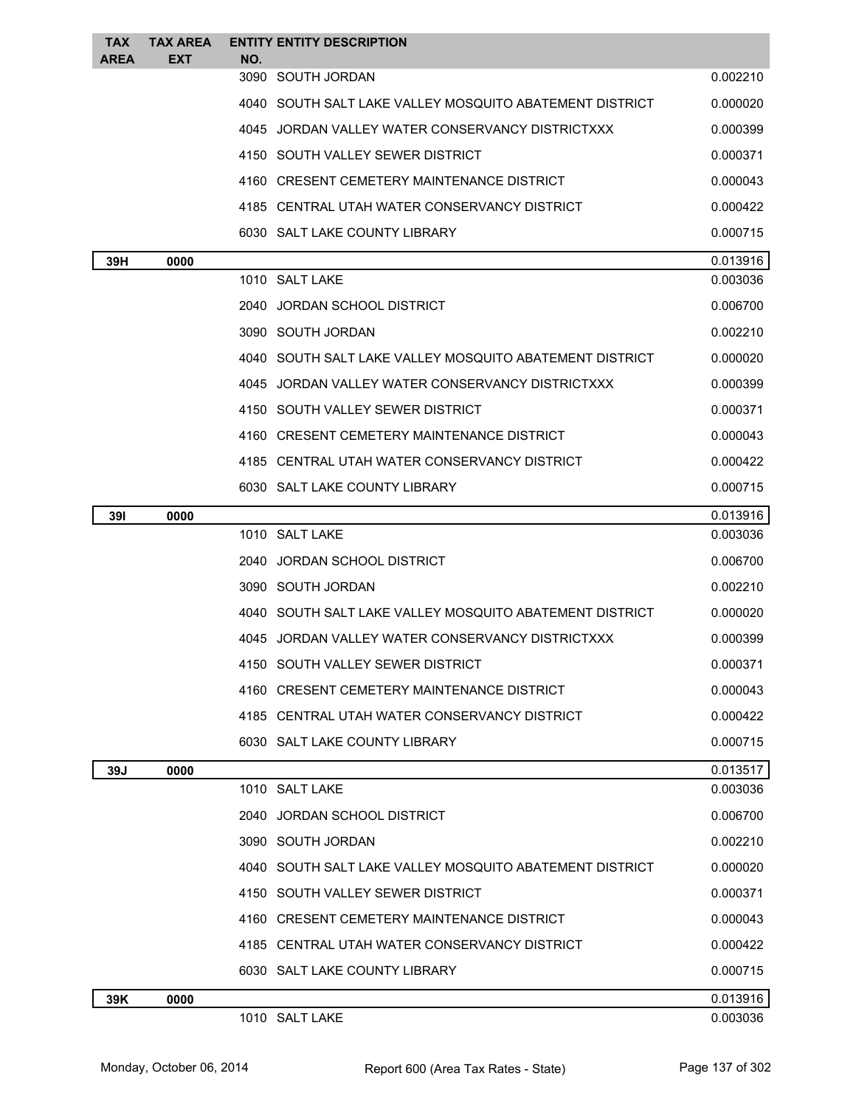| <b>TAX</b><br><b>AREA</b> | <b>TAX AREA</b><br><b>EXT</b> | <b>ENTITY ENTITY DESCRIPTION</b><br>NO.                 |          |
|---------------------------|-------------------------------|---------------------------------------------------------|----------|
|                           |                               | 3090 SOUTH JORDAN                                       | 0.002210 |
|                           |                               | 4040 SOUTH SALT LAKE VALLEY MOSQUITO ABATEMENT DISTRICT | 0.000020 |
|                           |                               | 4045 JORDAN VALLEY WATER CONSERVANCY DISTRICTXXX        | 0.000399 |
|                           |                               | 4150 SOUTH VALLEY SEWER DISTRICT                        | 0.000371 |
|                           |                               | 4160 CRESENT CEMETERY MAINTENANCE DISTRICT              | 0.000043 |
|                           |                               | 4185 CENTRAL UTAH WATER CONSERVANCY DISTRICT            | 0.000422 |
|                           |                               | 6030 SALT LAKE COUNTY LIBRARY                           | 0.000715 |
| 39H                       | 0000                          |                                                         | 0.013916 |
|                           |                               | 1010 SALT LAKE                                          | 0.003036 |
|                           |                               | 2040 JORDAN SCHOOL DISTRICT                             | 0.006700 |
|                           |                               | 3090 SOUTH JORDAN                                       | 0.002210 |
|                           |                               | 4040 SOUTH SALT LAKE VALLEY MOSQUITO ABATEMENT DISTRICT | 0.000020 |
|                           |                               | 4045 JORDAN VALLEY WATER CONSERVANCY DISTRICTXXX        | 0.000399 |
|                           |                               | 4150 SOUTH VALLEY SEWER DISTRICT                        | 0.000371 |
|                           |                               | 4160 CRESENT CEMETERY MAINTENANCE DISTRICT              | 0.000043 |
|                           |                               | 4185 CENTRAL UTAH WATER CONSERVANCY DISTRICT            | 0.000422 |
|                           |                               | 6030 SALT LAKE COUNTY LIBRARY                           | 0.000715 |
| 391                       | 0000                          |                                                         | 0.013916 |
|                           |                               | 1010 SALT LAKE                                          | 0.003036 |
|                           |                               | 2040 JORDAN SCHOOL DISTRICT                             | 0.006700 |
|                           |                               | 3090 SOUTH JORDAN                                       | 0.002210 |
|                           |                               | 4040 SOUTH SALT LAKE VALLEY MOSQUITO ABATEMENT DISTRICT | 0.000020 |
|                           |                               | 4045 JORDAN VALLEY WATER CONSERVANCY DISTRICTXXX        | 0.000399 |
|                           |                               | 4150 SOUTH VALLEY SEWER DISTRICT                        | 0.000371 |
|                           |                               | 4160 CRESENT CEMETERY MAINTENANCE DISTRICT              | 0.000043 |
|                           |                               | 4185 CENTRAL UTAH WATER CONSERVANCY DISTRICT            | 0.000422 |
|                           |                               | 6030 SALT LAKE COUNTY LIBRARY                           | 0.000715 |
| 39J                       | 0000                          |                                                         | 0.013517 |
|                           |                               | 1010 SALT LAKE                                          | 0.003036 |
|                           |                               | 2040 JORDAN SCHOOL DISTRICT                             | 0.006700 |
|                           |                               | 3090 SOUTH JORDAN                                       | 0.002210 |
|                           |                               | 4040 SOUTH SALT LAKE VALLEY MOSQUITO ABATEMENT DISTRICT | 0.000020 |
|                           |                               | 4150 SOUTH VALLEY SEWER DISTRICT                        | 0.000371 |
|                           |                               | 4160 CRESENT CEMETERY MAINTENANCE DISTRICT              | 0.000043 |
|                           |                               | 4185 CENTRAL UTAH WATER CONSERVANCY DISTRICT            | 0.000422 |
|                           |                               | 6030 SALT LAKE COUNTY LIBRARY                           | 0.000715 |
| 39K                       | 0000                          |                                                         | 0.013916 |
|                           |                               | 1010 SALT LAKE                                          | 0.003036 |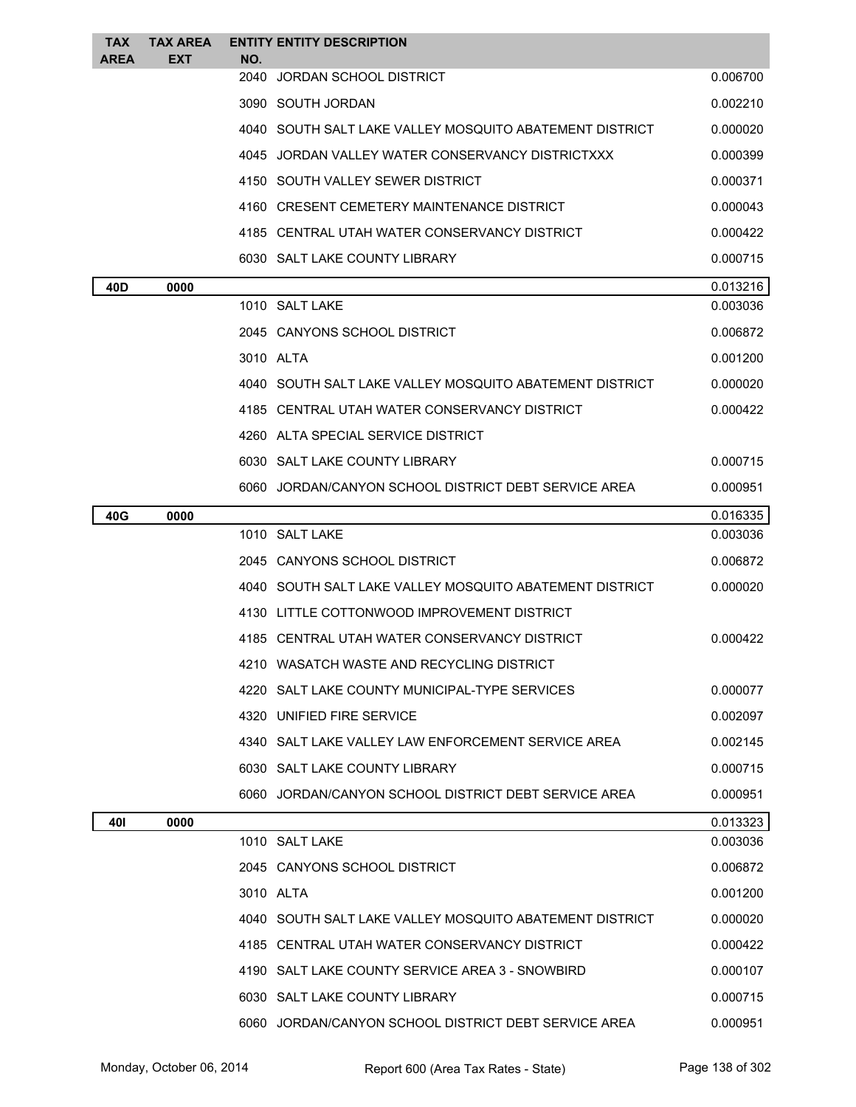| <b>TAX</b>  | <b>TAX AREA</b> | <b>ENTITY ENTITY DESCRIPTION</b>                          |          |
|-------------|-----------------|-----------------------------------------------------------|----------|
| <b>AREA</b> | EXT             | NO.<br>2040<br>JORDAN SCHOOL DISTRICT                     | 0.006700 |
|             |                 | 3090 SOUTH JORDAN                                         | 0.002210 |
|             |                 | 4040   SOUTH SALT LAKE VALLEY MOSQUITO ABATEMENT DISTRICT | 0.000020 |
|             |                 | 4045 JORDAN VALLEY WATER CONSERVANCY DISTRICTXXX          | 0.000399 |
|             |                 | 4150 SOUTH VALLEY SEWER DISTRICT                          | 0.000371 |
|             |                 | 4160 CRESENT CEMETERY MAINTENANCE DISTRICT                | 0.000043 |
|             |                 | 4185 CENTRAL UTAH WATER CONSERVANCY DISTRICT              | 0.000422 |
|             |                 | 6030 SALT LAKE COUNTY LIBRARY                             | 0.000715 |
| 40D         | 0000            |                                                           | 0.013216 |
|             |                 | 1010 SALT LAKE                                            | 0.003036 |
|             |                 | 2045 CANYONS SCHOOL DISTRICT                              | 0.006872 |
|             |                 | 3010 ALTA                                                 | 0.001200 |
|             |                 | 4040 SOUTH SALT LAKE VALLEY MOSQUITO ABATEMENT DISTRICT   | 0.000020 |
|             |                 | 4185 CENTRAL UTAH WATER CONSERVANCY DISTRICT              | 0.000422 |
|             |                 | 4260 ALTA SPECIAL SERVICE DISTRICT                        |          |
|             |                 | 6030 SALT LAKE COUNTY LIBRARY                             | 0.000715 |
|             |                 | 6060 JORDAN/CANYON SCHOOL DISTRICT DEBT SERVICE AREA      | 0.000951 |
| 40G         | 0000            |                                                           | 0.016335 |
|             |                 | 1010 SALT LAKE                                            | 0.003036 |
|             |                 | 2045 CANYONS SCHOOL DISTRICT                              | 0.006872 |
|             |                 | 4040 SOUTH SALT LAKE VALLEY MOSQUITO ABATEMENT DISTRICT   | 0.000020 |
|             |                 | 4130 LITTLE COTTONWOOD IMPROVEMENT DISTRICT               |          |
|             |                 | 4185 CENTRAL UTAH WATER CONSERVANCY DISTRICT              | 0.000422 |
|             |                 | WASATCH WASTE AND RECYCLING DISTRICT                      |          |
|             |                 | 4220 SALT LAKE COUNTY MUNICIPAL-TYPE SERVICES             | 0.000077 |
|             |                 | 4320 UNIFIED FIRE SERVICE                                 | 0.002097 |
|             |                 | 4340 SALT LAKE VALLEY LAW ENFORCEMENT SERVICE AREA        | 0.002145 |
|             |                 | 6030 SALT LAKE COUNTY LIBRARY                             | 0.000715 |
|             |                 | 6060 JORDAN/CANYON SCHOOL DISTRICT DEBT SERVICE AREA      | 0.000951 |
| 401         | 0000            |                                                           | 0.013323 |
|             |                 | 1010 SALT LAKE                                            | 0.003036 |
|             |                 | 2045 CANYONS SCHOOL DISTRICT                              | 0.006872 |
|             |                 | 3010 ALTA                                                 | 0.001200 |
|             |                 | 4040 SOUTH SALT LAKE VALLEY MOSQUITO ABATEMENT DISTRICT   | 0.000020 |
|             |                 | 4185 CENTRAL UTAH WATER CONSERVANCY DISTRICT              | 0.000422 |
|             |                 | 4190 SALT LAKE COUNTY SERVICE AREA 3 - SNOWBIRD           | 0.000107 |
|             |                 | 6030 SALT LAKE COUNTY LIBRARY                             | 0.000715 |
|             |                 | 6060 JORDAN/CANYON SCHOOL DISTRICT DEBT SERVICE AREA      | 0.000951 |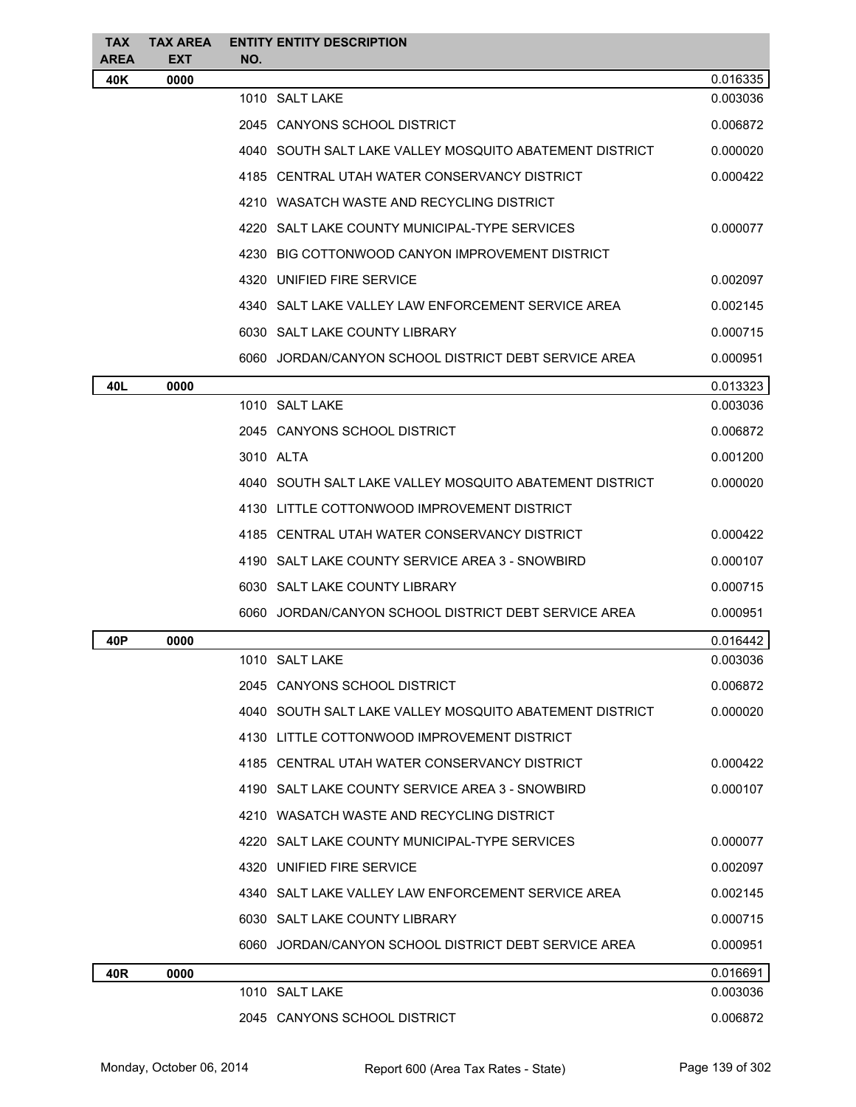| <b>TAX</b><br><b>AREA</b> | <b>TAX AREA</b><br>EXT | <b>ENTITY ENTITY DESCRIPTION</b><br>NO.                 |          |
|---------------------------|------------------------|---------------------------------------------------------|----------|
| 40K                       | 0000                   |                                                         | 0.016335 |
|                           |                        | 1010 SALT LAKE                                          | 0.003036 |
|                           |                        | 2045 CANYONS SCHOOL DISTRICT                            | 0.006872 |
|                           |                        | 4040 SOUTH SALT LAKE VALLEY MOSQUITO ABATEMENT DISTRICT | 0.000020 |
|                           |                        | 4185 CENTRAL UTAH WATER CONSERVANCY DISTRICT            | 0.000422 |
|                           |                        | 4210 WASATCH WASTE AND RECYCLING DISTRICT               |          |
|                           |                        | 4220 SALT LAKE COUNTY MUNICIPAL-TYPE SERVICES           | 0.000077 |
|                           |                        | 4230 BIG COTTONWOOD CANYON IMPROVEMENT DISTRICT         |          |
|                           |                        | 4320 UNIFIED FIRE SERVICE                               | 0.002097 |
|                           |                        | 4340 SALT LAKE VALLEY LAW ENFORCEMENT SERVICE AREA      | 0.002145 |
|                           |                        | 6030 SALT LAKE COUNTY LIBRARY                           | 0.000715 |
|                           |                        | 6060 JORDAN/CANYON SCHOOL DISTRICT DEBT SERVICE AREA    | 0.000951 |
| 40L                       | 0000                   |                                                         | 0.013323 |
|                           |                        | 1010 SALT LAKE                                          | 0.003036 |
|                           |                        | 2045 CANYONS SCHOOL DISTRICT                            | 0.006872 |
|                           |                        | 3010 ALTA                                               | 0.001200 |
|                           |                        | 4040 SOUTH SALT LAKE VALLEY MOSQUITO ABATEMENT DISTRICT | 0.000020 |
|                           |                        | 4130 LITTLE COTTONWOOD IMPROVEMENT DISTRICT             |          |
|                           |                        | 4185 CENTRAL UTAH WATER CONSERVANCY DISTRICT            | 0.000422 |
|                           |                        | 4190 SALT LAKE COUNTY SERVICE AREA 3 - SNOWBIRD         | 0.000107 |
|                           |                        | 6030 SALT LAKE COUNTY LIBRARY                           | 0.000715 |
|                           |                        | 6060 JORDAN/CANYON SCHOOL DISTRICT DEBT SERVICE AREA    | 0.000951 |
| 40P                       | 0000                   |                                                         | 0.016442 |
|                           |                        | 1010 SALT LAKE                                          | 0.003036 |
|                           |                        | 2045 CANYONS SCHOOL DISTRICT                            | 0.006872 |
|                           |                        | 4040 SOUTH SALT LAKE VALLEY MOSQUITO ABATEMENT DISTRICT | 0.000020 |
|                           |                        | 4130 LITTLE COTTONWOOD IMPROVEMENT DISTRICT             |          |
|                           |                        | 4185 CENTRAL UTAH WATER CONSERVANCY DISTRICT            | 0.000422 |
|                           |                        | 4190 SALT LAKE COUNTY SERVICE AREA 3 - SNOWBIRD         | 0.000107 |
|                           |                        | 4210 WASATCH WASTE AND RECYCLING DISTRICT               |          |
|                           |                        | 4220 SALT LAKE COUNTY MUNICIPAL-TYPE SERVICES           | 0.000077 |
|                           |                        | 4320 UNIFIED FIRE SERVICE                               | 0.002097 |
|                           |                        | 4340 SALT LAKE VALLEY LAW ENFORCEMENT SERVICE AREA      | 0.002145 |
|                           |                        | 6030 SALT LAKE COUNTY LIBRARY                           | 0.000715 |
|                           |                        | 6060 JORDAN/CANYON SCHOOL DISTRICT DEBT SERVICE AREA    | 0.000951 |
| 40R                       | 0000                   |                                                         | 0.016691 |
|                           |                        | 1010 SALT LAKE                                          | 0.003036 |
|                           |                        | 2045 CANYONS SCHOOL DISTRICT                            | 0.006872 |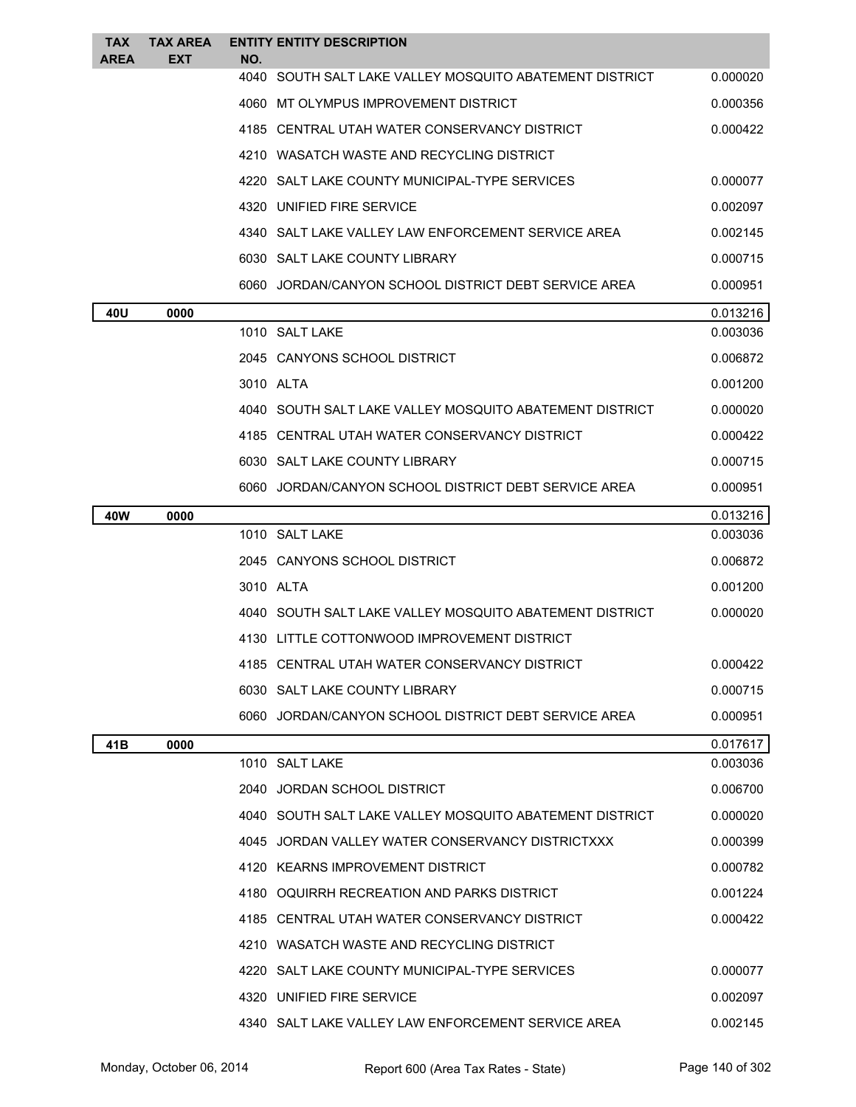| TAX<br><b>AREA</b> | <b>TAX AREA</b><br>EXT | NO.       | <b>ENTITY ENTITY DESCRIPTION</b>                          |          |
|--------------------|------------------------|-----------|-----------------------------------------------------------|----------|
|                    |                        | 4040      | SOUTH SALT LAKE VALLEY MOSQUITO ABATEMENT DISTRICT        | 0.000020 |
|                    |                        |           | 4060 MT OLYMPUS IMPROVEMENT DISTRICT                      | 0.000356 |
|                    |                        |           | 4185 CENTRAL UTAH WATER CONSERVANCY DISTRICT              | 0.000422 |
|                    |                        |           | 4210 WASATCH WASTE AND RECYCLING DISTRICT                 |          |
|                    |                        |           | 4220 SALT LAKE COUNTY MUNICIPAL-TYPE SERVICES             | 0.000077 |
|                    |                        |           | 4320 UNIFIED FIRE SERVICE                                 | 0.002097 |
|                    |                        |           | 4340 SALT LAKE VALLEY LAW ENFORCEMENT SERVICE AREA        | 0.002145 |
|                    |                        |           | 6030 SALT LAKE COUNTY LIBRARY                             | 0.000715 |
|                    |                        |           | 6060 JORDAN/CANYON SCHOOL DISTRICT DEBT SERVICE AREA      | 0.000951 |
| 40U                | 0000                   |           |                                                           | 0.013216 |
|                    |                        |           | 1010 SALT LAKE                                            | 0.003036 |
|                    |                        |           | 2045 CANYONS SCHOOL DISTRICT                              | 0.006872 |
|                    |                        | 3010 ALTA |                                                           | 0.001200 |
|                    |                        |           | 4040   SOUTH SALT LAKE VALLEY MOSQUITO ABATEMENT DISTRICT | 0.000020 |
|                    |                        |           | 4185 CENTRAL UTAH WATER CONSERVANCY DISTRICT              | 0.000422 |
|                    |                        |           | 6030 SALT LAKE COUNTY LIBRARY                             | 0.000715 |
|                    |                        |           | 6060 JORDAN/CANYON SCHOOL DISTRICT DEBT SERVICE AREA      | 0.000951 |
| 40W                | 0000                   |           |                                                           | 0.013216 |
|                    |                        |           | 1010 SALT LAKE                                            | 0.003036 |
|                    |                        |           | 2045 CANYONS SCHOOL DISTRICT                              | 0.006872 |
|                    |                        | 3010 ALTA |                                                           | 0.001200 |
|                    |                        |           | 4040 SOUTH SALT LAKE VALLEY MOSQUITO ABATEMENT DISTRICT   | 0.000020 |
|                    |                        |           | 4130 LITTLE COTTONWOOD IMPROVEMENT DISTRICT               |          |
|                    |                        |           | 4185 CENTRAL UTAH WATER CONSERVANCY DISTRICT              | 0.000422 |
|                    |                        |           | 6030 SALT LAKE COUNTY LIBRARY                             | 0.000715 |
|                    |                        |           | 6060 JORDAN/CANYON SCHOOL DISTRICT DEBT SERVICE AREA      | 0.000951 |
| 41B                | 0000                   |           |                                                           | 0.017617 |
|                    |                        |           | 1010 SALT LAKE                                            | 0.003036 |
|                    |                        |           | 2040 JORDAN SCHOOL DISTRICT                               | 0.006700 |
|                    |                        |           | 4040 SOUTH SALT LAKE VALLEY MOSOUITO ABATEMENT DISTRICT   | 0.000020 |
|                    |                        |           | 4045 JORDAN VALLEY WATER CONSERVANCY DISTRICTXXX          | 0.000399 |
|                    |                        |           | 4120 KEARNS IMPROVEMENT DISTRICT                          | 0.000782 |
|                    |                        |           | 4180 OQUIRRH RECREATION AND PARKS DISTRICT                | 0.001224 |
|                    |                        |           | 4185 CENTRAL UTAH WATER CONSERVANCY DISTRICT              | 0.000422 |
|                    |                        |           | 4210 WASATCH WASTE AND RECYCLING DISTRICT                 |          |
|                    |                        |           | 4220 SALT LAKE COUNTY MUNICIPAL-TYPE SERVICES             | 0.000077 |
|                    |                        |           | 4320 UNIFIED FIRE SERVICE                                 | 0.002097 |
|                    |                        |           | 4340 SALT LAKE VALLEY LAW ENFORCEMENT SERVICE AREA        | 0.002145 |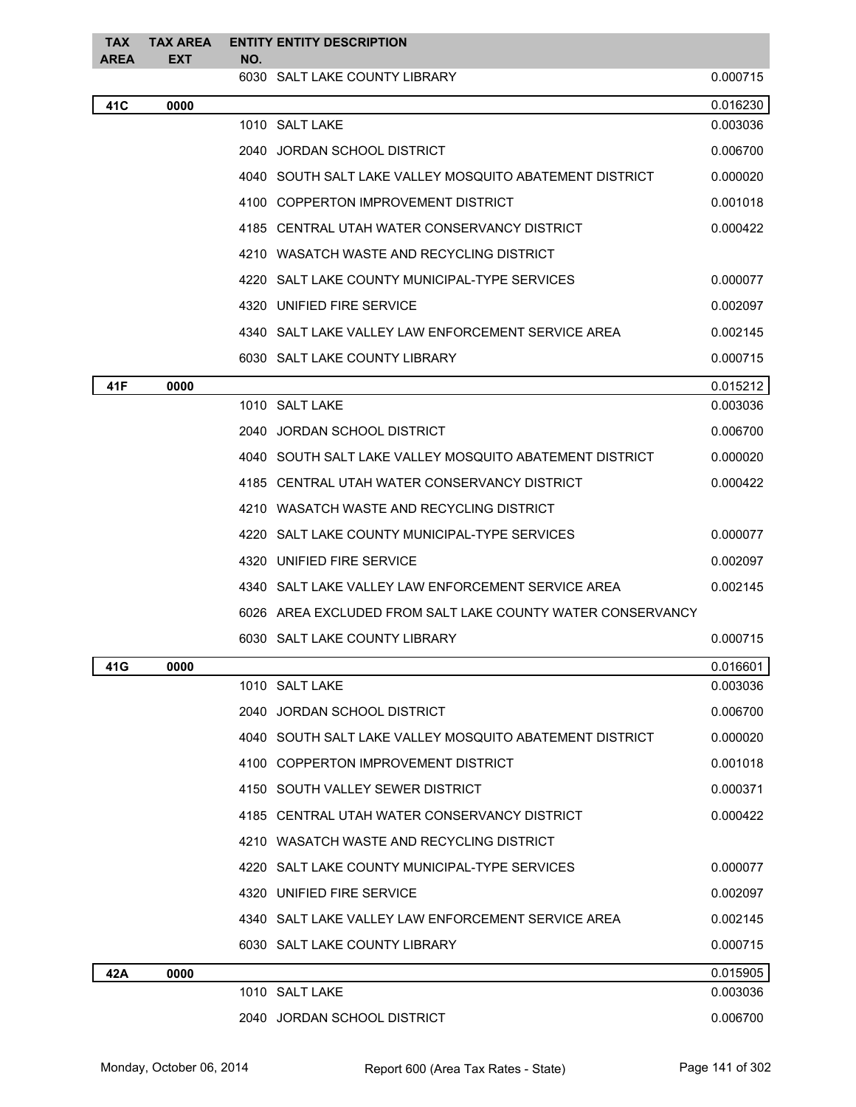| <b>TAX</b><br><b>AREA</b> | <b>TAX AREA</b><br><b>EXT</b> | NO. | <b>ENTITY ENTITY DESCRIPTION</b>                           |          |
|---------------------------|-------------------------------|-----|------------------------------------------------------------|----------|
|                           |                               |     | 6030 SALT LAKE COUNTY LIBRARY                              | 0.000715 |
| 41C                       | 0000                          |     |                                                            | 0.016230 |
|                           |                               |     | 1010 SALT LAKE                                             | 0.003036 |
|                           |                               |     | 2040 JORDAN SCHOOL DISTRICT                                | 0.006700 |
|                           |                               |     | 4040   SOUTH SALT LAKE VALLEY MOSQUITO ABATEMENT DISTRICT  | 0.000020 |
|                           |                               |     | 4100 COPPERTON IMPROVEMENT DISTRICT                        | 0.001018 |
|                           |                               |     | 4185 CENTRAL UTAH WATER CONSERVANCY DISTRICT               | 0.000422 |
|                           |                               |     | 4210 WASATCH WASTE AND RECYCLING DISTRICT                  |          |
|                           |                               |     | 4220 SALT LAKE COUNTY MUNICIPAL-TYPE SERVICES              | 0.000077 |
|                           |                               |     | 4320 UNIFIED FIRE SERVICE                                  | 0.002097 |
|                           |                               |     | 4340   SALT LAKE VALLEY LAW ENFORCEMENT SERVICE AREA       | 0.002145 |
|                           |                               |     | 6030 SALT LAKE COUNTY LIBRARY                              | 0.000715 |
| 41F                       | 0000                          |     |                                                            | 0.015212 |
|                           |                               |     | 1010 SALT LAKE                                             | 0.003036 |
|                           |                               |     | 2040 JORDAN SCHOOL DISTRICT                                | 0.006700 |
|                           |                               |     | 4040   SOUTH SALT LAKE VALLEY MOSQUITO ABATEMENT DISTRICT  | 0.000020 |
|                           |                               |     | 4185 CENTRAL UTAH WATER CONSERVANCY DISTRICT               | 0.000422 |
|                           |                               |     | 4210 WASATCH WASTE AND RECYCLING DISTRICT                  |          |
|                           |                               |     | 4220 SALT LAKE COUNTY MUNICIPAL-TYPE SERVICES              | 0.000077 |
|                           |                               |     | 4320 UNIFIED FIRE SERVICE                                  | 0.002097 |
|                           |                               |     | 4340 SALT LAKE VALLEY LAW ENFORCEMENT SERVICE AREA         | 0.002145 |
|                           |                               |     | 6026 AREA EXCLUDED FROM SALT LAKE COUNTY WATER CONSERVANCY |          |
|                           |                               |     | 6030 SALT LAKE COUNTY LIBRARY                              | 0.000715 |
| 41G                       | 0000                          |     |                                                            | 0.016601 |
|                           |                               |     | 1010 SALT LAKE                                             | 0.003036 |
|                           |                               |     | 2040 JORDAN SCHOOL DISTRICT                                | 0.006700 |
|                           |                               |     | 4040 SOUTH SALT LAKE VALLEY MOSQUITO ABATEMENT DISTRICT    | 0.000020 |
|                           |                               |     | 4100 COPPERTON IMPROVEMENT DISTRICT                        | 0.001018 |
|                           |                               |     | 4150 SOUTH VALLEY SEWER DISTRICT                           | 0.000371 |
|                           |                               |     | 4185 CENTRAL UTAH WATER CONSERVANCY DISTRICT               | 0.000422 |
|                           |                               |     | 4210 WASATCH WASTE AND RECYCLING DISTRICT                  |          |
|                           |                               |     | 4220 SALT LAKE COUNTY MUNICIPAL-TYPE SERVICES              | 0.000077 |
|                           |                               |     | 4320 UNIFIED FIRE SERVICE                                  | 0.002097 |
|                           |                               |     | 4340   SALT LAKE VALLEY LAW ENFORCEMENT SERVICE AREA       | 0.002145 |
|                           |                               |     | 6030 SALT LAKE COUNTY LIBRARY                              | 0.000715 |
| 42A                       | 0000                          |     |                                                            | 0.015905 |
|                           |                               |     | 1010 SALT LAKE                                             | 0.003036 |
|                           |                               |     | 2040 JORDAN SCHOOL DISTRICT                                | 0.006700 |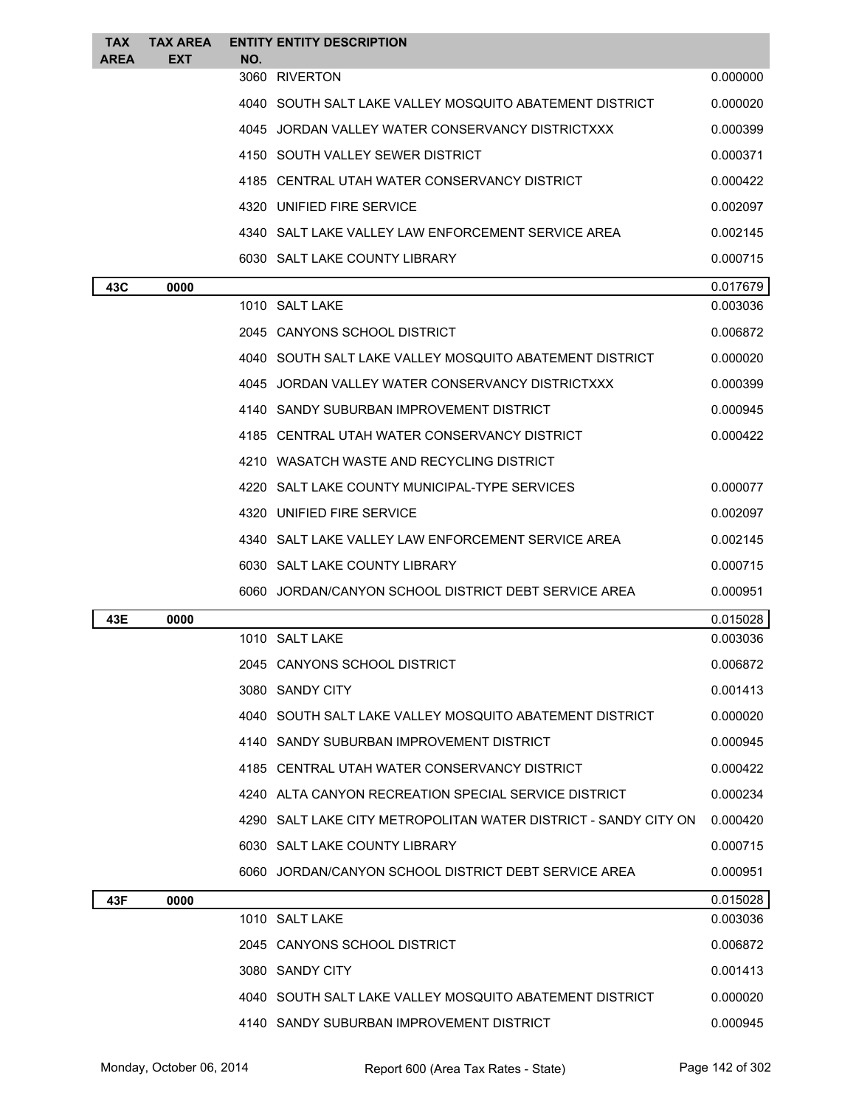| <b>TAX</b><br><b>AREA</b> | <b>TAX AREA</b><br><b>EXT</b> | NO. | <b>ENTITY ENTITY DESCRIPTION</b>                                |          |
|---------------------------|-------------------------------|-----|-----------------------------------------------------------------|----------|
|                           |                               |     | 3060 RIVERTON                                                   | 0.000000 |
|                           |                               |     | 4040 SOUTH SALT LAKE VALLEY MOSQUITO ABATEMENT DISTRICT         | 0.000020 |
|                           |                               |     | 4045 JORDAN VALLEY WATER CONSERVANCY DISTRICTXXX                | 0.000399 |
|                           |                               |     | 4150 SOUTH VALLEY SEWER DISTRICT                                | 0.000371 |
|                           |                               |     | 4185 CENTRAL UTAH WATER CONSERVANCY DISTRICT                    | 0.000422 |
|                           |                               |     | 4320 UNIFIED FIRE SERVICE                                       | 0.002097 |
|                           |                               |     | 4340 SALT LAKE VALLEY LAW ENFORCEMENT SERVICE AREA              | 0.002145 |
|                           |                               |     | 6030 SALT LAKE COUNTY LIBRARY                                   | 0.000715 |
| 43C                       | 0000                          |     |                                                                 | 0.017679 |
|                           |                               |     | 1010 SALT LAKE                                                  | 0.003036 |
|                           |                               |     | 2045 CANYONS SCHOOL DISTRICT                                    | 0.006872 |
|                           |                               |     | 4040 SOUTH SALT LAKE VALLEY MOSQUITO ABATEMENT DISTRICT         | 0.000020 |
|                           |                               |     | 4045 JORDAN VALLEY WATER CONSERVANCY DISTRICTXXX                | 0.000399 |
|                           |                               |     | 4140 SANDY SUBURBAN IMPROVEMENT DISTRICT                        | 0.000945 |
|                           |                               |     | 4185 CENTRAL UTAH WATER CONSERVANCY DISTRICT                    | 0.000422 |
|                           |                               |     | 4210 WASATCH WASTE AND RECYCLING DISTRICT                       |          |
|                           |                               |     | 4220 SALT LAKE COUNTY MUNICIPAL-TYPE SERVICES                   | 0.000077 |
|                           |                               |     | 4320 UNIFIED FIRE SERVICE                                       | 0.002097 |
|                           |                               |     | 4340 SALT LAKE VALLEY LAW ENFORCEMENT SERVICE AREA              | 0.002145 |
|                           |                               |     | 6030 SALT LAKE COUNTY LIBRARY                                   | 0.000715 |
|                           |                               |     | 6060 JORDAN/CANYON SCHOOL DISTRICT DEBT SERVICE AREA            | 0.000951 |
| 43E                       | 0000                          |     |                                                                 | 0.015028 |
|                           |                               |     | 1010 SALT LAKE                                                  | 0.003036 |
|                           |                               |     | 2045 CANYONS SCHOOL DISTRICT                                    | 0.006872 |
|                           |                               |     | 3080 SANDY CITY                                                 | 0.001413 |
|                           |                               |     | 4040 SOUTH SALT LAKE VALLEY MOSQUITO ABATEMENT DISTRICT         | 0.000020 |
|                           |                               |     | 4140 SANDY SUBURBAN IMPROVEMENT DISTRICT                        | 0.000945 |
|                           |                               |     | 4185 CENTRAL UTAH WATER CONSERVANCY DISTRICT                    | 0.000422 |
|                           |                               |     | 4240 ALTA CANYON RECREATION SPECIAL SERVICE DISTRICT            | 0.000234 |
|                           |                               |     | 4290 SALT LAKE CITY METROPOLITAN WATER DISTRICT - SANDY CITY ON | 0.000420 |
|                           |                               |     | 6030 SALT LAKE COUNTY LIBRARY                                   | 0.000715 |
|                           |                               |     | 6060 JORDAN/CANYON SCHOOL DISTRICT DEBT SERVICE AREA            | 0.000951 |
| 43F                       | 0000                          |     |                                                                 | 0.015028 |
|                           |                               |     | 1010 SALT LAKE                                                  | 0.003036 |
|                           |                               |     | 2045 CANYONS SCHOOL DISTRICT                                    | 0.006872 |
|                           |                               |     | 3080 SANDY CITY                                                 | 0.001413 |
|                           |                               |     | 4040 SOUTH SALT LAKE VALLEY MOSQUITO ABATEMENT DISTRICT         | 0.000020 |
|                           |                               |     | 4140 SANDY SUBURBAN IMPROVEMENT DISTRICT                        | 0.000945 |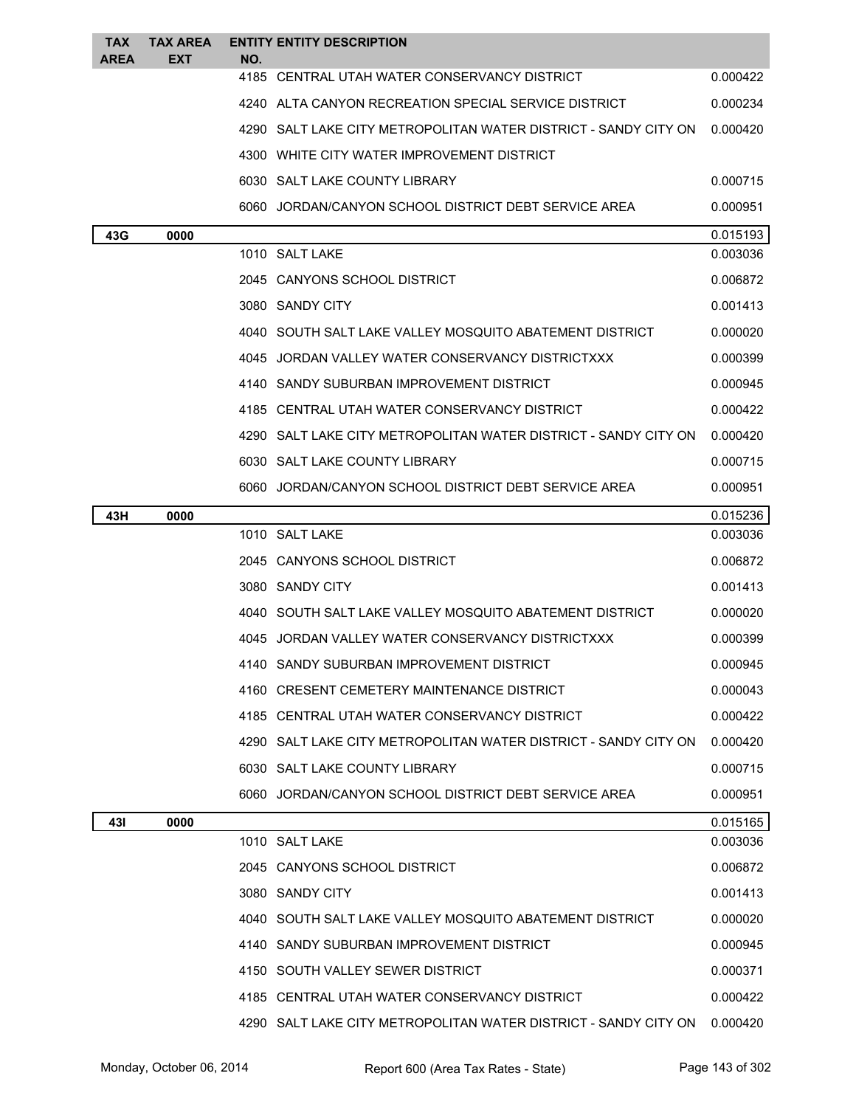| <b>TAX</b><br><b>AREA</b> | <b>TAX AREA</b><br>EXT | NO. | <b>ENTITY ENTITY DESCRIPTION</b>                                |          |
|---------------------------|------------------------|-----|-----------------------------------------------------------------|----------|
|                           |                        |     | 4185 CENTRAL UTAH WATER CONSERVANCY DISTRICT                    | 0.000422 |
|                           |                        |     | 4240 ALTA CANYON RECREATION SPECIAL SERVICE DISTRICT            | 0.000234 |
|                           |                        |     | 4290 SALT LAKE CITY METROPOLITAN WATER DISTRICT - SANDY CITY ON | 0.000420 |
|                           |                        |     | 4300 WHITE CITY WATER IMPROVEMENT DISTRICT                      |          |
|                           |                        |     | 6030 SALT LAKE COUNTY LIBRARY                                   | 0.000715 |
|                           |                        |     | 6060 JORDAN/CANYON SCHOOL DISTRICT DEBT SERVICE AREA            | 0.000951 |
| 43G                       | 0000                   |     |                                                                 | 0.015193 |
|                           |                        |     | 1010 SALT LAKE                                                  | 0.003036 |
|                           |                        |     | 2045 CANYONS SCHOOL DISTRICT                                    | 0.006872 |
|                           |                        |     | 3080 SANDY CITY                                                 | 0.001413 |
|                           |                        |     | 4040 SOUTH SALT LAKE VALLEY MOSQUITO ABATEMENT DISTRICT         | 0.000020 |
|                           |                        |     | 4045 JORDAN VALLEY WATER CONSERVANCY DISTRICTXXX                | 0.000399 |
|                           |                        |     | 4140 SANDY SUBURBAN IMPROVEMENT DISTRICT                        | 0.000945 |
|                           |                        |     | 4185 CENTRAL UTAH WATER CONSERVANCY DISTRICT                    | 0.000422 |
|                           |                        |     | 4290 SALT LAKE CITY METROPOLITAN WATER DISTRICT - SANDY CITY ON | 0.000420 |
|                           |                        |     | 6030 SALT LAKE COUNTY LIBRARY                                   | 0.000715 |
|                           |                        |     | 6060 JORDAN/CANYON SCHOOL DISTRICT DEBT SERVICE AREA            | 0.000951 |
| 43H                       | 0000                   |     |                                                                 | 0.015236 |
|                           |                        |     | 1010 SALT LAKE                                                  | 0.003036 |
|                           |                        |     | 2045 CANYONS SCHOOL DISTRICT                                    | 0.006872 |
|                           |                        |     | 3080 SANDY CITY                                                 | 0.001413 |
|                           |                        |     | 4040 SOUTH SALT LAKE VALLEY MOSQUITO ABATEMENT DISTRICT         | 0.000020 |
|                           |                        |     | 4045 JORDAN VALLEY WATER CONSERVANCY DISTRICTXXX                | 0.000399 |
|                           |                        |     | 4140 SANDY SUBURBAN IMPROVEMENT DISTRICT                        | 0.000945 |
|                           |                        |     | 4160 CRESENT CEMETERY MAINTENANCE DISTRICT                      | 0.000043 |
|                           |                        |     | 4185 CENTRAL UTAH WATER CONSERVANCY DISTRICT                    | 0.000422 |
|                           |                        |     | 4290 SALT LAKE CITY METROPOLITAN WATER DISTRICT - SANDY CITY ON | 0.000420 |
|                           |                        |     | 6030 SALT LAKE COUNTY LIBRARY                                   | 0.000715 |
|                           |                        |     | 6060 JORDAN/CANYON SCHOOL DISTRICT DEBT SERVICE AREA            | 0.000951 |
| 431                       | 0000                   |     |                                                                 | 0.015165 |
|                           |                        |     | 1010 SALT LAKE                                                  | 0.003036 |
|                           |                        |     | 2045 CANYONS SCHOOL DISTRICT                                    | 0.006872 |
|                           |                        |     | 3080 SANDY CITY                                                 | 0.001413 |
|                           |                        |     | 4040 SOUTH SALT LAKE VALLEY MOSQUITO ABATEMENT DISTRICT         | 0.000020 |
|                           |                        |     | 4140 SANDY SUBURBAN IMPROVEMENT DISTRICT                        | 0.000945 |
|                           |                        |     | 4150 SOUTH VALLEY SEWER DISTRICT                                | 0.000371 |
|                           |                        |     | 4185 CENTRAL UTAH WATER CONSERVANCY DISTRICT                    | 0.000422 |
|                           |                        |     | 4290 SALT LAKE CITY METROPOLITAN WATER DISTRICT - SANDY CITY ON | 0.000420 |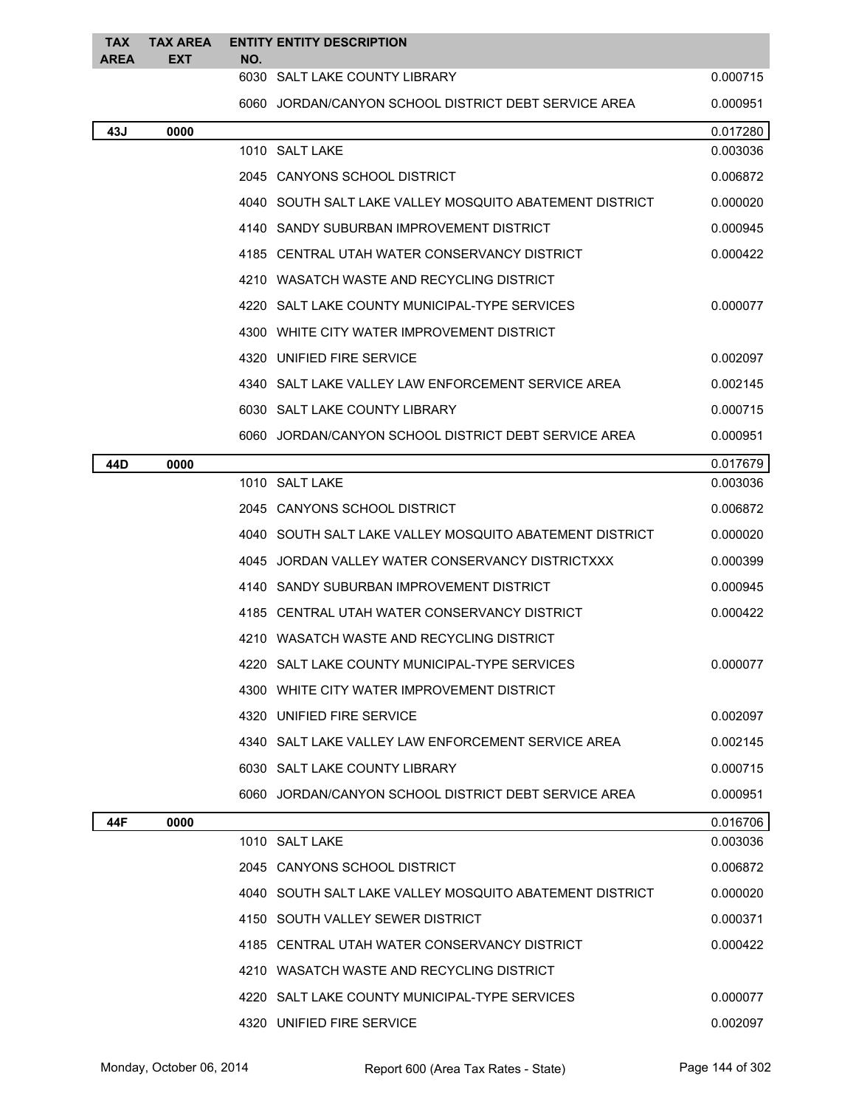| <b>TAX</b><br>AREA | TAX AREA<br><b>EXT</b> | <b>ENTITY ENTITY DESCRIPTION</b><br>NO.                   |          |
|--------------------|------------------------|-----------------------------------------------------------|----------|
|                    |                        | 6030 SALT LAKE COUNTY LIBRARY                             | 0.000715 |
|                    |                        | 6060 JORDAN/CANYON SCHOOL DISTRICT DEBT SERVICE AREA      | 0.000951 |
| 43J                | 0000                   |                                                           | 0.017280 |
|                    |                        | 1010 SALT LAKE                                            | 0.003036 |
|                    |                        | 2045 CANYONS SCHOOL DISTRICT                              | 0.006872 |
|                    |                        | 4040 SOUTH SALT LAKE VALLEY MOSQUITO ABATEMENT DISTRICT   | 0.000020 |
|                    |                        | 4140 SANDY SUBURBAN IMPROVEMENT DISTRICT                  | 0.000945 |
|                    |                        | 4185 CENTRAL UTAH WATER CONSERVANCY DISTRICT              | 0.000422 |
|                    |                        | 4210 WASATCH WASTE AND RECYCLING DISTRICT                 |          |
|                    |                        | 4220 SALT LAKE COUNTY MUNICIPAL-TYPE SERVICES             | 0.000077 |
|                    |                        | 4300 WHITE CITY WATER IMPROVEMENT DISTRICT                |          |
|                    |                        | 4320 UNIFIED FIRE SERVICE                                 | 0.002097 |
|                    |                        | 4340   SALT LAKE VALLEY LAW ENFORCEMENT SERVICE AREA      | 0.002145 |
|                    |                        | 6030 SALT LAKE COUNTY LIBRARY                             | 0.000715 |
|                    |                        | 6060 JORDAN/CANYON SCHOOL DISTRICT DEBT SERVICE AREA      | 0.000951 |
| 44D                | 0000                   |                                                           | 0.017679 |
|                    |                        | 1010 SALT LAKE                                            | 0.003036 |
|                    |                        | 2045 CANYONS SCHOOL DISTRICT                              | 0.006872 |
|                    |                        | 4040   SOUTH SALT LAKE VALLEY MOSQUITO ABATEMENT DISTRICT | 0.000020 |
|                    |                        | 4045 JORDAN VALLEY WATER CONSERVANCY DISTRICTXXX          | 0.000399 |
|                    |                        | 4140 SANDY SUBURBAN IMPROVEMENT DISTRICT                  | 0.000945 |
|                    |                        | 4185 CENTRAL UTAH WATER CONSERVANCY DISTRICT              | 0.000422 |
|                    |                        | 4210 WASATCH WASTE AND RECYCLING DISTRICT                 |          |
|                    |                        | 4220 SALT LAKE COUNTY MUNICIPAL-TYPE SERVICES             | 0.000077 |
|                    |                        | 4300 WHITE CITY WATER IMPROVEMENT DISTRICT                |          |
|                    |                        | 4320 UNIFIED FIRE SERVICE                                 | 0.002097 |
|                    |                        | 4340 SALT LAKE VALLEY LAW ENFORCEMENT SERVICE AREA        | 0.002145 |
|                    |                        | 6030 SALT LAKE COUNTY LIBRARY                             | 0.000715 |
|                    |                        | 6060 JORDAN/CANYON SCHOOL DISTRICT DEBT SERVICE AREA      | 0.000951 |
| 44F                | 0000                   |                                                           | 0.016706 |
|                    |                        | 1010 SALT LAKE                                            | 0.003036 |
|                    |                        | 2045 CANYONS SCHOOL DISTRICT                              | 0.006872 |
|                    |                        | 4040 SOUTH SALT LAKE VALLEY MOSQUITO ABATEMENT DISTRICT   | 0.000020 |
|                    |                        | 4150 SOUTH VALLEY SEWER DISTRICT                          | 0.000371 |
|                    |                        | 4185 CENTRAL UTAH WATER CONSERVANCY DISTRICT              | 0.000422 |
|                    |                        | 4210 WASATCH WASTE AND RECYCLING DISTRICT                 |          |
|                    |                        | 4220 SALT LAKE COUNTY MUNICIPAL-TYPE SERVICES             | 0.000077 |
|                    |                        | 4320 UNIFIED FIRE SERVICE                                 | 0.002097 |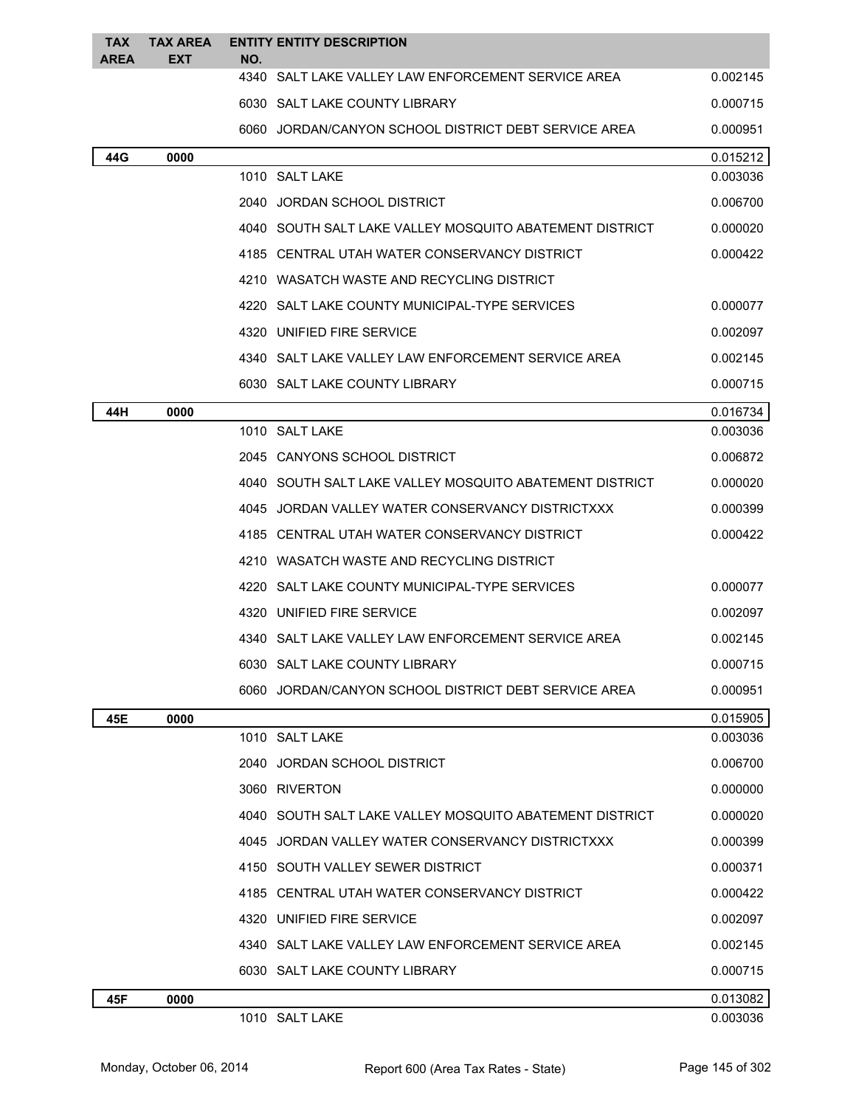| TAX<br>AREA | <b>TAX AREA</b><br>EXT | <b>ENTITY ENTITY DESCRIPTION</b><br>NO.                 |          |
|-------------|------------------------|---------------------------------------------------------|----------|
|             |                        | 4340 SALT LAKE VALLEY LAW ENFORCEMENT SERVICE AREA      | 0.002145 |
|             |                        | 6030 SALT LAKE COUNTY LIBRARY                           | 0.000715 |
|             |                        | 6060 JORDAN/CANYON SCHOOL DISTRICT DEBT SERVICE AREA    | 0.000951 |
| 44G         | 0000                   |                                                         | 0.015212 |
|             |                        | 1010 SALT LAKE                                          | 0.003036 |
|             |                        | 2040 JORDAN SCHOOL DISTRICT                             | 0.006700 |
|             |                        | 4040 SOUTH SALT LAKE VALLEY MOSQUITO ABATEMENT DISTRICT | 0.000020 |
|             |                        | 4185 CENTRAL UTAH WATER CONSERVANCY DISTRICT            | 0.000422 |
|             |                        | 4210 WASATCH WASTE AND RECYCLING DISTRICT               |          |
|             |                        | 4220 SALT LAKE COUNTY MUNICIPAL-TYPE SERVICES           | 0.000077 |
|             |                        | 4320 UNIFIED FIRE SERVICE                               | 0.002097 |
|             |                        | 4340 SALT LAKE VALLEY LAW ENFORCEMENT SERVICE AREA      | 0.002145 |
|             |                        | 6030 SALT LAKE COUNTY LIBRARY                           | 0.000715 |
| 44H         | 0000                   |                                                         | 0.016734 |
|             |                        | 1010 SALT LAKE                                          | 0.003036 |
|             |                        | 2045 CANYONS SCHOOL DISTRICT                            | 0.006872 |
|             |                        | 4040 SOUTH SALT LAKE VALLEY MOSQUITO ABATEMENT DISTRICT | 0.000020 |
|             |                        | 4045 JORDAN VALLEY WATER CONSERVANCY DISTRICTXXX        | 0.000399 |
|             |                        | 4185 CENTRAL UTAH WATER CONSERVANCY DISTRICT            | 0.000422 |
|             |                        | 4210 WASATCH WASTE AND RECYCLING DISTRICT               |          |
|             |                        | 4220 SALT LAKE COUNTY MUNICIPAL-TYPE SERVICES           | 0.000077 |
|             |                        | 4320 UNIFIED FIRE SERVICE                               | 0.002097 |
|             |                        | 4340 SALT LAKE VALLEY LAW ENFORCEMENT SERVICE AREA      | 0.002145 |
|             |                        | 6030 SALT LAKE COUNTY LIBRARY                           | 0.000715 |
|             |                        | 6060 JORDAN/CANYON SCHOOL DISTRICT DEBT SERVICE AREA    | 0.000951 |
| 45E         | 0000                   |                                                         | 0.015905 |
|             |                        | 1010 SALT LAKE                                          | 0.003036 |
|             |                        | 2040 JORDAN SCHOOL DISTRICT                             | 0.006700 |
|             |                        | 3060 RIVERTON                                           | 0.000000 |
|             |                        | 4040 SOUTH SALT LAKE VALLEY MOSQUITO ABATEMENT DISTRICT | 0.000020 |
|             |                        | 4045 JORDAN VALLEY WATER CONSERVANCY DISTRICTXXX        | 0.000399 |
|             |                        | 4150 SOUTH VALLEY SEWER DISTRICT                        | 0.000371 |
|             |                        | 4185 CENTRAL UTAH WATER CONSERVANCY DISTRICT            | 0.000422 |
|             |                        | 4320 UNIFIED FIRE SERVICE                               | 0.002097 |
|             |                        | 4340 SALT LAKE VALLEY LAW ENFORCEMENT SERVICE AREA      | 0.002145 |
|             |                        | 6030 SALT LAKE COUNTY LIBRARY                           | 0.000715 |
| 45F         | 0000                   |                                                         | 0.013082 |
|             |                        | 1010 SALT LAKE                                          | 0.003036 |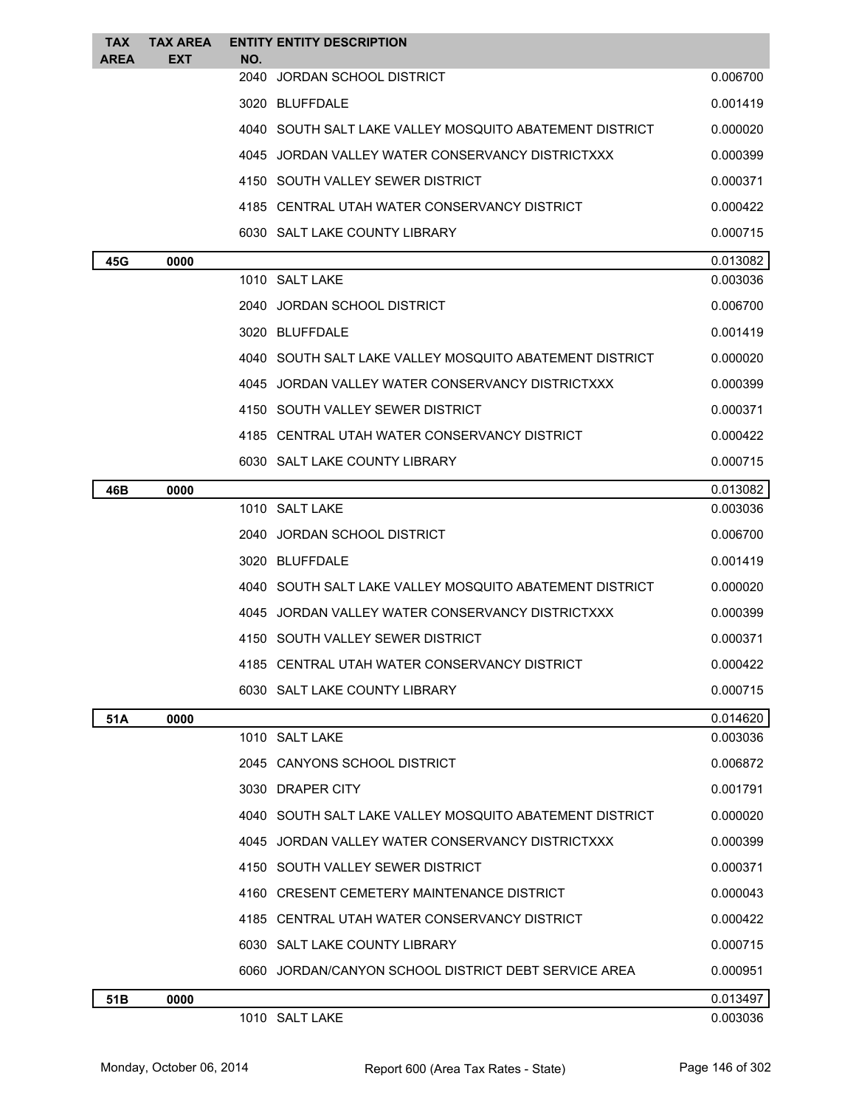| <b>TAX</b><br><b>AREA</b> | <b>TAX AREA</b><br><b>EXT</b> | <b>ENTITY ENTITY DESCRIPTION</b><br>NO.                   |          |
|---------------------------|-------------------------------|-----------------------------------------------------------|----------|
|                           |                               | 2040<br>JORDAN SCHOOL DISTRICT                            | 0.006700 |
|                           |                               | 3020 BLUFFDALE                                            | 0.001419 |
|                           |                               | 4040   SOUTH SALT LAKE VALLEY MOSQUITO ABATEMENT DISTRICT | 0.000020 |
|                           |                               | 4045 JORDAN VALLEY WATER CONSERVANCY DISTRICTXXX          | 0.000399 |
|                           |                               | 4150 SOUTH VALLEY SEWER DISTRICT                          | 0.000371 |
|                           |                               | 4185 CENTRAL UTAH WATER CONSERVANCY DISTRICT              | 0.000422 |
|                           |                               | 6030 SALT LAKE COUNTY LIBRARY                             | 0.000715 |
| 45G                       | 0000                          |                                                           | 0.013082 |
|                           |                               | 1010 SALT LAKE                                            | 0.003036 |
|                           |                               | 2040 JORDAN SCHOOL DISTRICT                               | 0.006700 |
|                           |                               | 3020 BLUFFDALE                                            | 0.001419 |
|                           |                               | 4040 SOUTH SALT LAKE VALLEY MOSQUITO ABATEMENT DISTRICT   | 0.000020 |
|                           |                               | 4045 JORDAN VALLEY WATER CONSERVANCY DISTRICTXXX          | 0.000399 |
|                           |                               | 4150 SOUTH VALLEY SEWER DISTRICT                          | 0.000371 |
|                           |                               | 4185 CENTRAL UTAH WATER CONSERVANCY DISTRICT              | 0.000422 |
|                           |                               | 6030 SALT LAKE COUNTY LIBRARY                             | 0.000715 |
| 46B                       | 0000                          |                                                           | 0.013082 |
|                           |                               | 1010 SALT LAKE                                            | 0.003036 |
|                           |                               | 2040 JORDAN SCHOOL DISTRICT                               | 0.006700 |
|                           |                               | 3020 BLUFFDALE                                            | 0.001419 |
|                           |                               | 4040 SOUTH SALT LAKE VALLEY MOSQUITO ABATEMENT DISTRICT   | 0.000020 |
|                           |                               | 4045 JORDAN VALLEY WATER CONSERVANCY DISTRICTXXX          | 0.000399 |
|                           |                               | 4150 SOUTH VALLEY SEWER DISTRICT                          | 0.000371 |
|                           |                               | 4185 CENTRAL UTAH WATER CONSERVANCY DISTRICT              | 0.000422 |
|                           |                               | 6030 SALT LAKE COUNTY LIBRARY                             | 0.000715 |
| 51A                       | 0000                          |                                                           | 0.014620 |
|                           |                               | 1010 SALT LAKE                                            | 0.003036 |
|                           |                               | 2045 CANYONS SCHOOL DISTRICT                              | 0.006872 |
|                           |                               | 3030 DRAPER CITY                                          | 0.001791 |
|                           |                               | 4040 SOUTH SALT LAKE VALLEY MOSQUITO ABATEMENT DISTRICT   | 0.000020 |
|                           |                               | 4045 JORDAN VALLEY WATER CONSERVANCY DISTRICTXXX          | 0.000399 |
|                           |                               | 4150 SOUTH VALLEY SEWER DISTRICT                          | 0.000371 |
|                           |                               | 4160 CRESENT CEMETERY MAINTENANCE DISTRICT                | 0.000043 |
|                           |                               | 4185 CENTRAL UTAH WATER CONSERVANCY DISTRICT              | 0.000422 |
|                           |                               | 6030 SALT LAKE COUNTY LIBRARY                             | 0.000715 |
|                           |                               | 6060 JORDAN/CANYON SCHOOL DISTRICT DEBT SERVICE AREA      | 0.000951 |
| 51B                       | 0000                          |                                                           | 0.013497 |
|                           |                               | 1010 SALT LAKE                                            | 0.003036 |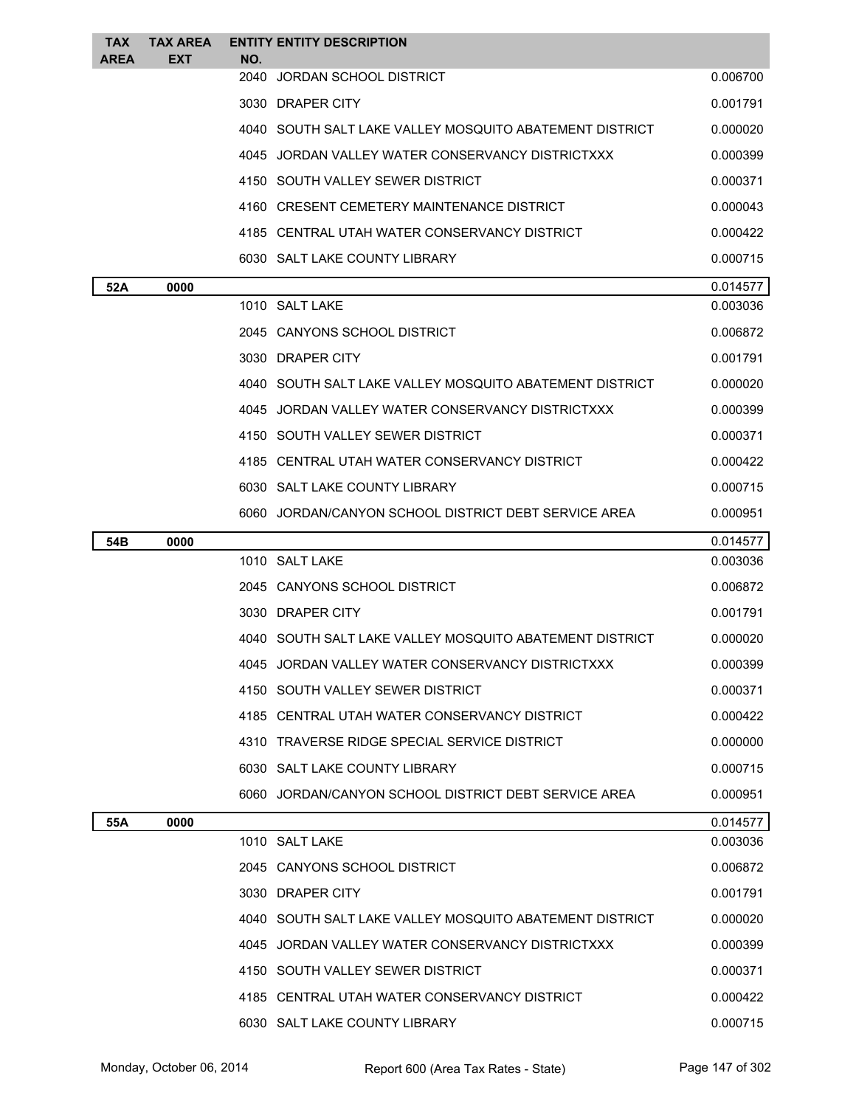| <b>TAX</b><br><b>AREA</b> | <b>TAX AREA</b><br><b>EXT</b> | NO.  | <b>ENTITY ENTITY DESCRIPTION</b>                        |          |
|---------------------------|-------------------------------|------|---------------------------------------------------------|----------|
|                           |                               | 2040 | JORDAN SCHOOL DISTRICT                                  | 0.006700 |
|                           |                               |      | 3030 DRAPER CITY                                        | 0.001791 |
|                           |                               |      | 4040 SOUTH SALT LAKE VALLEY MOSQUITO ABATEMENT DISTRICT | 0.000020 |
|                           |                               |      | 4045 JORDAN VALLEY WATER CONSERVANCY DISTRICTXXX        | 0.000399 |
|                           |                               |      | 4150 SOUTH VALLEY SEWER DISTRICT                        | 0.000371 |
|                           |                               |      | 4160 CRESENT CEMETERY MAINTENANCE DISTRICT              | 0.000043 |
|                           |                               |      | 4185 CENTRAL UTAH WATER CONSERVANCY DISTRICT            | 0.000422 |
|                           |                               |      | 6030 SALT LAKE COUNTY LIBRARY                           | 0.000715 |
| 52A                       | 0000                          |      |                                                         | 0.014577 |
|                           |                               |      | 1010 SALT LAKE                                          | 0.003036 |
|                           |                               |      | 2045 CANYONS SCHOOL DISTRICT                            | 0.006872 |
|                           |                               |      | 3030 DRAPER CITY                                        | 0.001791 |
|                           |                               |      | 4040 SOUTH SALT LAKE VALLEY MOSQUITO ABATEMENT DISTRICT | 0.000020 |
|                           |                               |      | 4045 JORDAN VALLEY WATER CONSERVANCY DISTRICTXXX        | 0.000399 |
|                           |                               |      | 4150 SOUTH VALLEY SEWER DISTRICT                        | 0.000371 |
|                           |                               |      | 4185 CENTRAL UTAH WATER CONSERVANCY DISTRICT            | 0.000422 |
|                           |                               |      | 6030 SALT LAKE COUNTY LIBRARY                           | 0.000715 |
|                           |                               |      | 6060 JORDAN/CANYON SCHOOL DISTRICT DEBT SERVICE AREA    | 0.000951 |
| 54B                       | 0000                          |      |                                                         | 0.014577 |
|                           |                               |      | 1010 SALT LAKE                                          | 0.003036 |
|                           |                               |      | 2045 CANYONS SCHOOL DISTRICT                            | 0.006872 |
|                           |                               |      | 3030 DRAPER CITY                                        | 0.001791 |
|                           |                               |      | 4040 SOUTH SALT LAKE VALLEY MOSQUITO ABATEMENT DISTRICT | 0.000020 |
|                           |                               |      | 4045 JORDAN VALLEY WATER CONSERVANCY DISTRICTXXX        | 0.000399 |
|                           |                               |      | 4150 SOUTH VALLEY SEWER DISTRICT                        | 0.000371 |
|                           |                               |      | 4185 CENTRAL UTAH WATER CONSERVANCY DISTRICT            | 0.000422 |
|                           |                               |      | 4310 TRAVERSE RIDGE SPECIAL SERVICE DISTRICT            | 0.000000 |
|                           |                               |      | 6030 SALT LAKE COUNTY LIBRARY                           | 0.000715 |
|                           |                               |      | 6060 JORDAN/CANYON SCHOOL DISTRICT DEBT SERVICE AREA    | 0.000951 |
| 55A                       | 0000                          |      |                                                         | 0.014577 |
|                           |                               |      | 1010 SALT LAKE                                          | 0.003036 |
|                           |                               |      | 2045 CANYONS SCHOOL DISTRICT                            | 0.006872 |
|                           |                               |      | 3030 DRAPER CITY                                        | 0.001791 |
|                           |                               |      | 4040 SOUTH SALT LAKE VALLEY MOSQUITO ABATEMENT DISTRICT | 0.000020 |
|                           |                               |      | 4045 JORDAN VALLEY WATER CONSERVANCY DISTRICTXXX        | 0.000399 |
|                           |                               |      | 4150 SOUTH VALLEY SEWER DISTRICT                        | 0.000371 |
|                           |                               |      | 4185 CENTRAL UTAH WATER CONSERVANCY DISTRICT            | 0.000422 |
|                           |                               |      | 6030 SALT LAKE COUNTY LIBRARY                           | 0.000715 |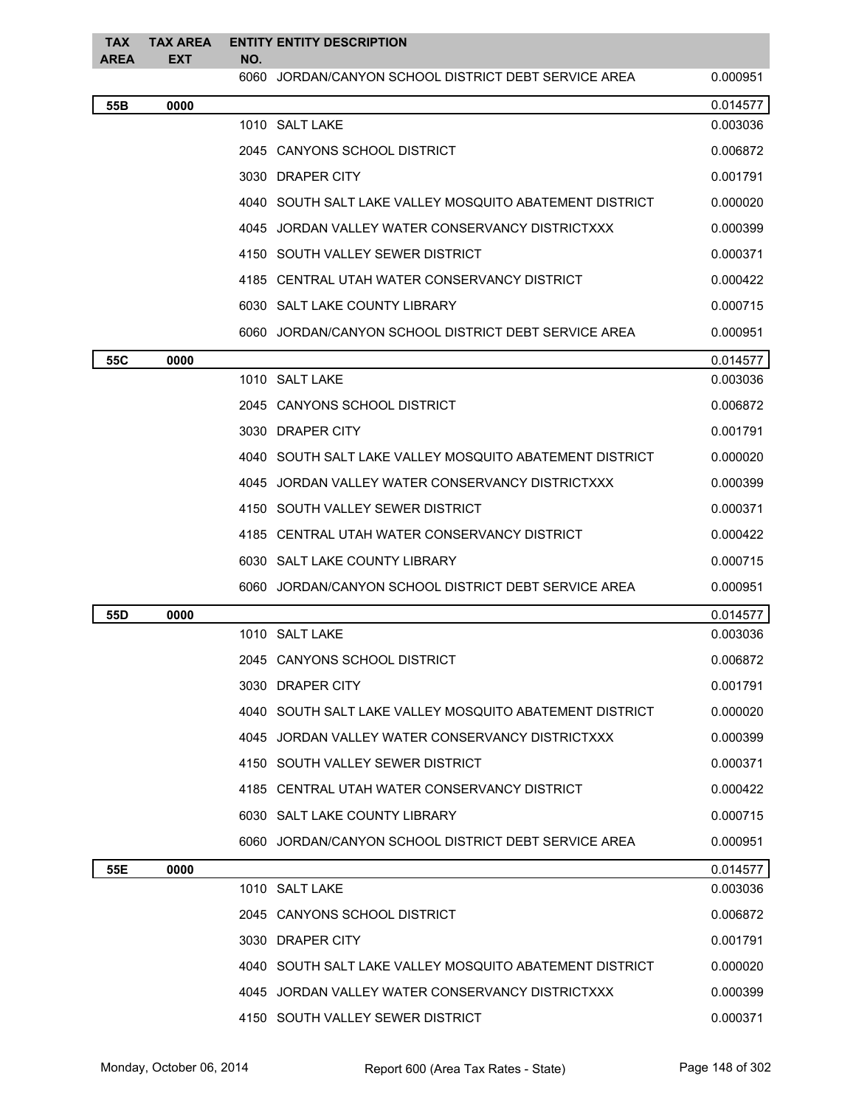| <b>TAX</b><br><b>AREA</b> | <b>TAX AREA</b><br>EXT | <b>ENTITY ENTITY DESCRIPTION</b><br>NO.                   |          |
|---------------------------|------------------------|-----------------------------------------------------------|----------|
|                           |                        | 6060<br>JORDAN/CANYON SCHOOL DISTRICT DEBT SERVICE AREA   | 0.000951 |
| 55B                       | 0000                   |                                                           | 0.014577 |
|                           |                        | 1010 SALT LAKE                                            | 0.003036 |
|                           |                        | 2045 CANYONS SCHOOL DISTRICT                              | 0.006872 |
|                           |                        | 3030 DRAPER CITY                                          | 0.001791 |
|                           |                        | 4040 SOUTH SALT LAKE VALLEY MOSQUITO ABATEMENT DISTRICT   | 0.000020 |
|                           |                        | 4045 JORDAN VALLEY WATER CONSERVANCY DISTRICTXXX          | 0.000399 |
|                           |                        | 4150 SOUTH VALLEY SEWER DISTRICT                          | 0.000371 |
|                           |                        | 4185 CENTRAL UTAH WATER CONSERVANCY DISTRICT              | 0.000422 |
|                           |                        | 6030 SALT LAKE COUNTY LIBRARY                             | 0.000715 |
|                           |                        | 6060 JORDAN/CANYON SCHOOL DISTRICT DEBT SERVICE AREA      | 0.000951 |
| 55C                       | 0000                   |                                                           | 0.014577 |
|                           |                        | 1010 SALT LAKE                                            | 0.003036 |
|                           |                        | 2045 CANYONS SCHOOL DISTRICT                              | 0.006872 |
|                           |                        | 3030 DRAPER CITY                                          | 0.001791 |
|                           |                        | 4040   SOUTH SALT LAKE VALLEY MOSQUITO ABATEMENT DISTRICT | 0.000020 |
|                           |                        | 4045 JORDAN VALLEY WATER CONSERVANCY DISTRICTXXX          | 0.000399 |
|                           |                        | 4150 SOUTH VALLEY SEWER DISTRICT                          | 0.000371 |
|                           |                        | 4185 CENTRAL UTAH WATER CONSERVANCY DISTRICT              | 0.000422 |
|                           |                        | 6030 SALT LAKE COUNTY LIBRARY                             | 0.000715 |
|                           |                        | 6060 JORDAN/CANYON SCHOOL DISTRICT DEBT SERVICE AREA      | 0.000951 |
| 55D                       | 0000                   |                                                           | 0.014577 |
|                           |                        | 1010 SALT LAKE                                            | 0.003036 |
|                           |                        | 2045 CANYONS SCHOOL DISTRICT                              | 0.006872 |
|                           |                        | 3030 DRAPER CITY                                          | 0.001791 |
|                           |                        | 4040 SOUTH SALT LAKE VALLEY MOSQUITO ABATEMENT DISTRICT   | 0.000020 |
|                           |                        | 4045 JORDAN VALLEY WATER CONSERVANCY DISTRICTXXX          | 0.000399 |
|                           |                        | 4150 SOUTH VALLEY SEWER DISTRICT                          | 0.000371 |
|                           |                        | 4185 CENTRAL UTAH WATER CONSERVANCY DISTRICT              | 0.000422 |
|                           |                        | 6030 SALT LAKE COUNTY LIBRARY                             | 0.000715 |
|                           |                        | 6060 JORDAN/CANYON SCHOOL DISTRICT DEBT SERVICE AREA      | 0.000951 |
| 55E                       | 0000                   |                                                           | 0.014577 |
|                           |                        | 1010 SALT LAKE                                            | 0.003036 |
|                           |                        | 2045 CANYONS SCHOOL DISTRICT                              | 0.006872 |
|                           |                        | 3030 DRAPER CITY                                          | 0.001791 |
|                           |                        | 4040   SOUTH SALT LAKE VALLEY MOSQUITO ABATEMENT DISTRICT | 0.000020 |
|                           |                        | 4045 JORDAN VALLEY WATER CONSERVANCY DISTRICTXXX          | 0.000399 |
|                           |                        | 4150 SOUTH VALLEY SEWER DISTRICT                          | 0.000371 |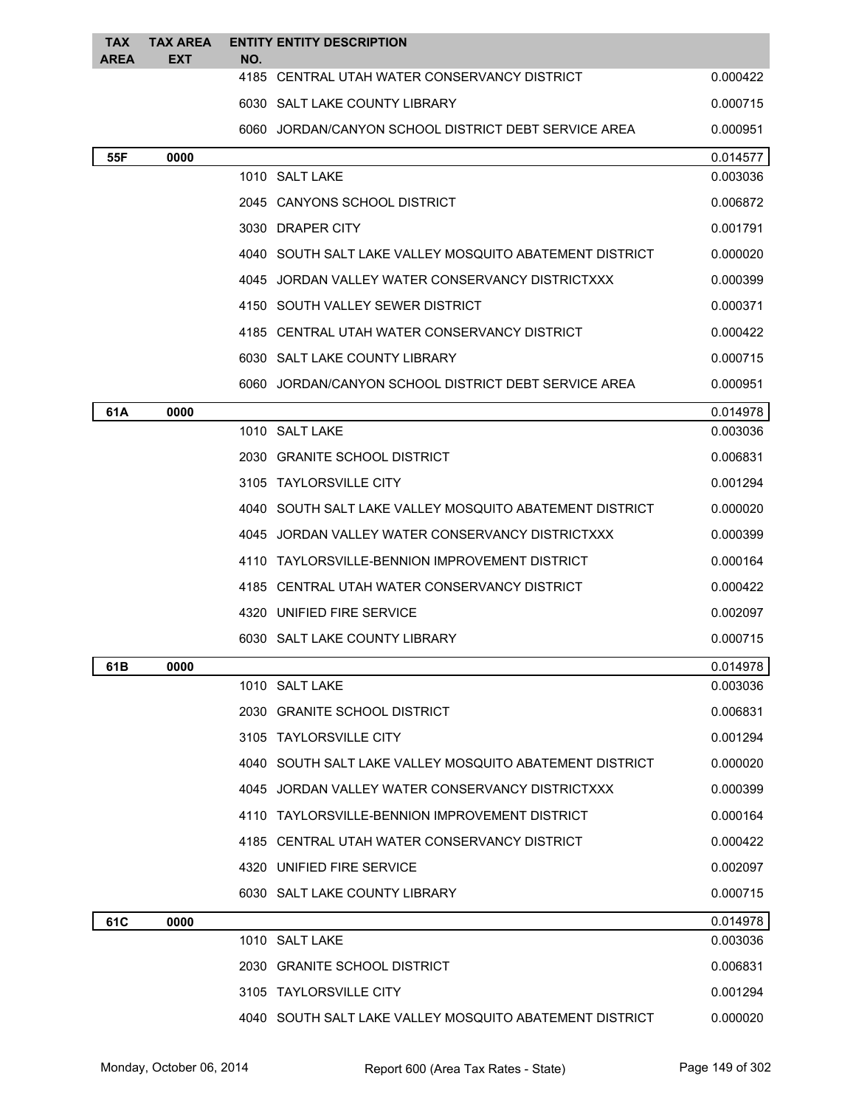| TAX<br><b>AREA</b> | <b>TAX AREA</b><br><b>EXT</b> | <b>ENTITY ENTITY DESCRIPTION</b><br>NO.                   |          |
|--------------------|-------------------------------|-----------------------------------------------------------|----------|
|                    |                               | 4185 CENTRAL UTAH WATER CONSERVANCY DISTRICT              | 0.000422 |
|                    |                               | 6030 SALT LAKE COUNTY LIBRARY                             | 0.000715 |
|                    |                               | 6060 JORDAN/CANYON SCHOOL DISTRICT DEBT SERVICE AREA      | 0.000951 |
| 55F                | 0000                          |                                                           | 0.014577 |
|                    |                               | 1010 SALT LAKE                                            | 0.003036 |
|                    |                               | 2045 CANYONS SCHOOL DISTRICT                              | 0.006872 |
|                    |                               | 3030 DRAPER CITY                                          | 0.001791 |
|                    |                               | 4040   SOUTH SALT LAKE VALLEY MOSQUITO ABATEMENT DISTRICT | 0.000020 |
|                    |                               | JORDAN VALLEY WATER CONSERVANCY DISTRICTXXX<br>4045       | 0.000399 |
|                    |                               | 4150 SOUTH VALLEY SEWER DISTRICT                          | 0.000371 |
|                    |                               | 4185 CENTRAL UTAH WATER CONSERVANCY DISTRICT              | 0.000422 |
|                    |                               | 6030 SALT LAKE COUNTY LIBRARY                             | 0.000715 |
|                    |                               | 6060 JORDAN/CANYON SCHOOL DISTRICT DEBT SERVICE AREA      | 0.000951 |
| 61A                | 0000                          |                                                           | 0.014978 |
|                    |                               | 1010 SALT LAKE                                            | 0.003036 |
|                    |                               | 2030 GRANITE SCHOOL DISTRICT                              | 0.006831 |
|                    |                               | 3105 TAYLORSVILLE CITY                                    | 0.001294 |
|                    |                               | 4040   SOUTH SALT LAKE VALLEY MOSQUITO ABATEMENT DISTRICT | 0.000020 |
|                    |                               | 4045 JORDAN VALLEY WATER CONSERVANCY DISTRICTXXX          | 0.000399 |
|                    |                               | 4110 TAYLORSVILLE-BENNION IMPROVEMENT DISTRICT            | 0.000164 |
|                    |                               | 4185 CENTRAL UTAH WATER CONSERVANCY DISTRICT              | 0.000422 |
|                    |                               | 4320 UNIFIED FIRE SERVICE                                 | 0.002097 |
|                    |                               | 6030 SALT LAKE COUNTY LIBRARY                             | 0.000715 |
| 61B                | 0000                          |                                                           | 0.014978 |
|                    |                               | 1010 SALT LAKE                                            | 0.003036 |
|                    |                               | 2030 GRANITE SCHOOL DISTRICT                              | 0.006831 |
|                    |                               | 3105 TAYLORSVILLE CITY                                    | 0.001294 |
|                    |                               | 4040   SOUTH SALT LAKE VALLEY MOSQUITO ABATEMENT DISTRICT | 0.000020 |
|                    |                               | 4045 JORDAN VALLEY WATER CONSERVANCY DISTRICTXXX          | 0.000399 |
|                    |                               | 4110 TAYLORSVILLE-BENNION IMPROVEMENT DISTRICT            | 0.000164 |
|                    |                               | 4185 CENTRAL UTAH WATER CONSERVANCY DISTRICT              | 0.000422 |
|                    |                               | 4320 UNIFIED FIRE SERVICE                                 | 0.002097 |
|                    |                               | 6030 SALT LAKE COUNTY LIBRARY                             | 0.000715 |
| 61C                | 0000                          |                                                           | 0.014978 |
|                    |                               | 1010 SALT LAKE                                            | 0.003036 |
|                    |                               | 2030 GRANITE SCHOOL DISTRICT                              | 0.006831 |
|                    |                               | 3105 TAYLORSVILLE CITY                                    | 0.001294 |
|                    |                               | 4040 SOUTH SALT LAKE VALLEY MOSQUITO ABATEMENT DISTRICT   | 0.000020 |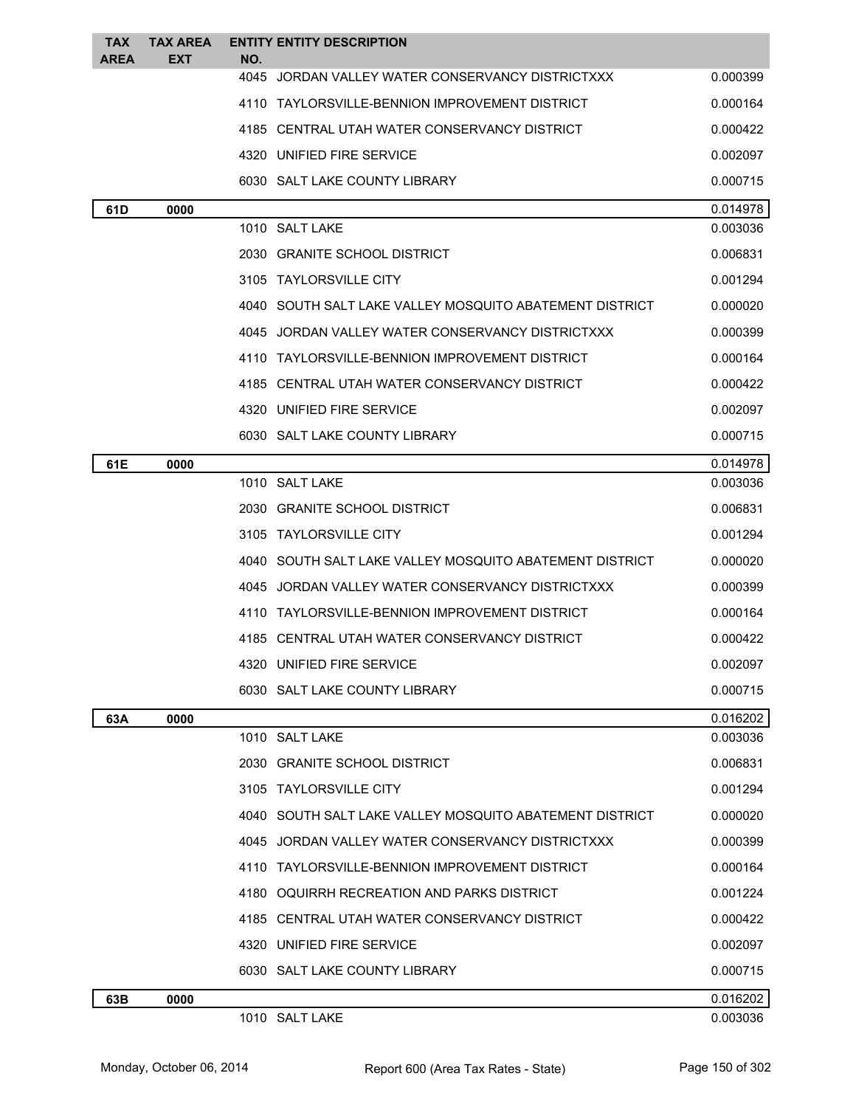| <b>TAX</b><br><b>AREA</b> | <b>TAX AREA</b><br>EXT | <b>ENTITY ENTITY DESCRIPTION</b><br>NO.                   |          |
|---------------------------|------------------------|-----------------------------------------------------------|----------|
|                           |                        | JORDAN VALLEY WATER CONSERVANCY DISTRICTXXX<br>4045       | 0.000399 |
|                           |                        | 4110 TAYLORSVILLE-BENNION IMPROVEMENT DISTRICT            | 0.000164 |
|                           |                        | 4185 CENTRAL UTAH WATER CONSERVANCY DISTRICT              | 0.000422 |
|                           |                        | 4320 UNIFIED FIRE SERVICE                                 | 0.002097 |
|                           |                        | 6030 SALT LAKE COUNTY LIBRARY                             | 0.000715 |
| 61D                       | 0000                   |                                                           | 0.014978 |
|                           |                        | 1010 SALT LAKE                                            | 0.003036 |
|                           |                        | 2030 GRANITE SCHOOL DISTRICT                              | 0.006831 |
|                           |                        | 3105 TAYLORSVILLE CITY                                    | 0.001294 |
|                           |                        | 4040 SOUTH SALT LAKE VALLEY MOSOUITO ABATEMENT DISTRICT   | 0.000020 |
|                           |                        | JORDAN VALLEY WATER CONSERVANCY DISTRICTXXX<br>4045       | 0.000399 |
|                           |                        | TAYLORSVILLE-BENNION IMPROVEMENT DISTRICT<br>4110         | 0.000164 |
|                           |                        | CENTRAL UTAH WATER CONSERVANCY DISTRICT<br>4185           | 0.000422 |
|                           |                        | 4320 UNIFIED FIRE SERVICE                                 | 0.002097 |
|                           |                        | 6030 SALT LAKE COUNTY LIBRARY                             | 0.000715 |
| 61E                       | 0000                   |                                                           | 0.014978 |
|                           |                        | 1010 SALT LAKE                                            | 0.003036 |
|                           |                        | 2030 GRANITE SCHOOL DISTRICT                              | 0.006831 |
|                           |                        | 3105 TAYLORSVILLE CITY                                    | 0.001294 |
|                           |                        | 4040   SOUTH SALT LAKE VALLEY MOSQUITO ABATEMENT DISTRICT | 0.000020 |
|                           |                        | 4045 JORDAN VALLEY WATER CONSERVANCY DISTRICTXXX          | 0.000399 |
|                           |                        | 4110 TAYLORSVILLE-BENNION IMPROVEMENT DISTRICT            | 0.000164 |
|                           |                        | 4185 CENTRAL UTAH WATER CONSERVANCY DISTRICT              | 0.000422 |
|                           |                        | 4320 UNIFIED FIRE SERVICE                                 | 0.002097 |
|                           |                        | 6030 SALT LAKE COUNTY LIBRARY                             | 0.000715 |
| 63A                       | 0000                   |                                                           | 0.016202 |
|                           |                        | 1010 SALT LAKE                                            | 0.003036 |
|                           |                        | 2030 GRANITE SCHOOL DISTRICT                              | 0.006831 |
|                           |                        | 3105 TAYLORSVILLE CITY                                    | 0.001294 |
|                           |                        | 4040 SOUTH SALT LAKE VALLEY MOSOUITO ABATEMENT DISTRICT   | 0.000020 |
|                           |                        | 4045 JORDAN VALLEY WATER CONSERVANCY DISTRICTXXX          | 0.000399 |
|                           |                        | 4110 TAYLORSVILLE-BENNION IMPROVEMENT DISTRICT            | 0.000164 |
|                           |                        | OQUIRRH RECREATION AND PARKS DISTRICT<br>4180             | 0.001224 |
|                           |                        | 4185 CENTRAL UTAH WATER CONSERVANCY DISTRICT              | 0.000422 |
|                           |                        | 4320 UNIFIED FIRE SERVICE                                 | 0.002097 |
|                           |                        | 6030 SALT LAKE COUNTY LIBRARY                             | 0.000715 |
| 63B                       | 0000                   |                                                           | 0.016202 |
|                           |                        | 1010 SALT LAKE                                            | 0.003036 |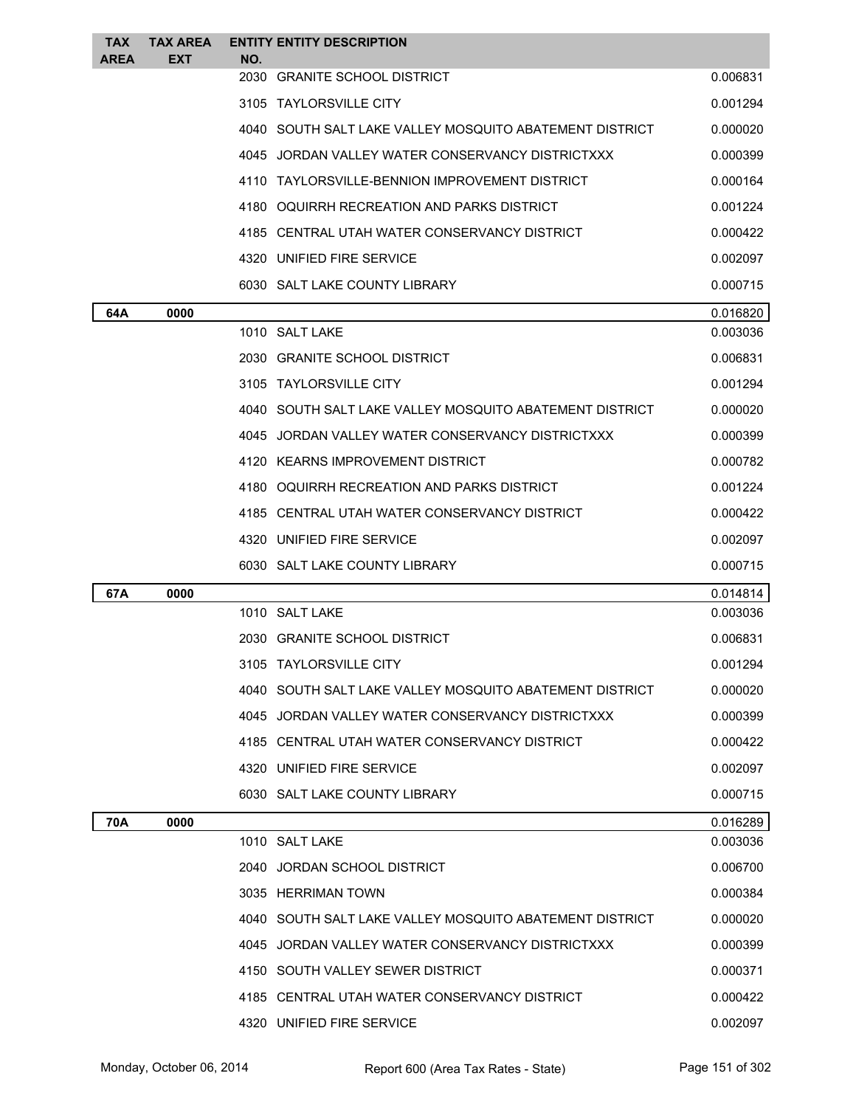| <b>TAX</b><br>AREA | <b>TAX AREA</b><br><b>EXT</b> | NO.  | <b>ENTITY ENTITY DESCRIPTION</b>                        |          |
|--------------------|-------------------------------|------|---------------------------------------------------------|----------|
|                    |                               | 2030 | <b>GRANITE SCHOOL DISTRICT</b>                          | 0.006831 |
|                    |                               |      | 3105 TAYLORSVILLE CITY                                  | 0.001294 |
|                    |                               |      | 4040 SOUTH SALT LAKE VALLEY MOSQUITO ABATEMENT DISTRICT | 0.000020 |
|                    |                               |      | 4045 JORDAN VALLEY WATER CONSERVANCY DISTRICTXXX        | 0.000399 |
|                    |                               |      | 4110 TAYLORSVILLE-BENNION IMPROVEMENT DISTRICT          | 0.000164 |
|                    |                               |      | 4180 OQUIRRH RECREATION AND PARKS DISTRICT              | 0.001224 |
|                    |                               |      | 4185 CENTRAL UTAH WATER CONSERVANCY DISTRICT            | 0.000422 |
|                    |                               |      | 4320 UNIFIED FIRE SERVICE                               | 0.002097 |
|                    |                               |      | 6030 SALT LAKE COUNTY LIBRARY                           | 0.000715 |
| 64A                | 0000                          |      |                                                         | 0.016820 |
|                    |                               |      | 1010 SALT LAKE                                          | 0.003036 |
|                    |                               |      | 2030 GRANITE SCHOOL DISTRICT                            | 0.006831 |
|                    |                               |      | 3105 TAYLORSVILLE CITY                                  | 0.001294 |
|                    |                               |      | 4040 SOUTH SALT LAKE VALLEY MOSQUITO ABATEMENT DISTRICT | 0.000020 |
|                    |                               |      | 4045 JORDAN VALLEY WATER CONSERVANCY DISTRICTXXX        | 0.000399 |
|                    |                               |      | 4120 KEARNS IMPROVEMENT DISTRICT                        | 0.000782 |
|                    |                               |      | 4180 OQUIRRH RECREATION AND PARKS DISTRICT              | 0.001224 |
|                    |                               |      | 4185 CENTRAL UTAH WATER CONSERVANCY DISTRICT            | 0.000422 |
|                    |                               |      |                                                         |          |
|                    |                               |      | 4320 UNIFIED FIRE SERVICE                               | 0.002097 |
|                    |                               |      | 6030 SALT LAKE COUNTY LIBRARY                           | 0.000715 |
| 67A                | 0000                          |      |                                                         | 0.014814 |
|                    |                               |      | 1010 SALT LAKE                                          | 0.003036 |
|                    |                               |      | 2030 GRANITE SCHOOL DISTRICT                            | 0.006831 |
|                    |                               |      | 3105 TAYLORSVILLE CITY                                  | 0.001294 |
|                    |                               |      | 4040 SOUTH SALT LAKE VALLEY MOSQUITO ABATEMENT DISTRICT | 0.000020 |
|                    |                               |      | 4045 JORDAN VALLEY WATER CONSERVANCY DISTRICTXXX        | 0.000399 |
|                    |                               |      | 4185 CENTRAL UTAH WATER CONSERVANCY DISTRICT            | 0.000422 |
|                    |                               |      | 4320 UNIFIED FIRE SERVICE                               | 0.002097 |
|                    |                               |      | 6030 SALT LAKE COUNTY LIBRARY                           | 0.000715 |
| 70A                | 0000                          |      |                                                         | 0.016289 |
|                    |                               |      | 1010 SALT LAKE                                          | 0.003036 |
|                    |                               |      | 2040 JORDAN SCHOOL DISTRICT                             | 0.006700 |
|                    |                               |      | 3035 HERRIMAN TOWN                                      | 0.000384 |
|                    |                               |      | 4040 SOUTH SALT LAKE VALLEY MOSQUITO ABATEMENT DISTRICT | 0.000020 |
|                    |                               |      | 4045 JORDAN VALLEY WATER CONSERVANCY DISTRICTXXX        | 0.000399 |
|                    |                               |      | 4150 SOUTH VALLEY SEWER DISTRICT                        | 0.000371 |
|                    |                               |      | 4185 CENTRAL UTAH WATER CONSERVANCY DISTRICT            | 0.000422 |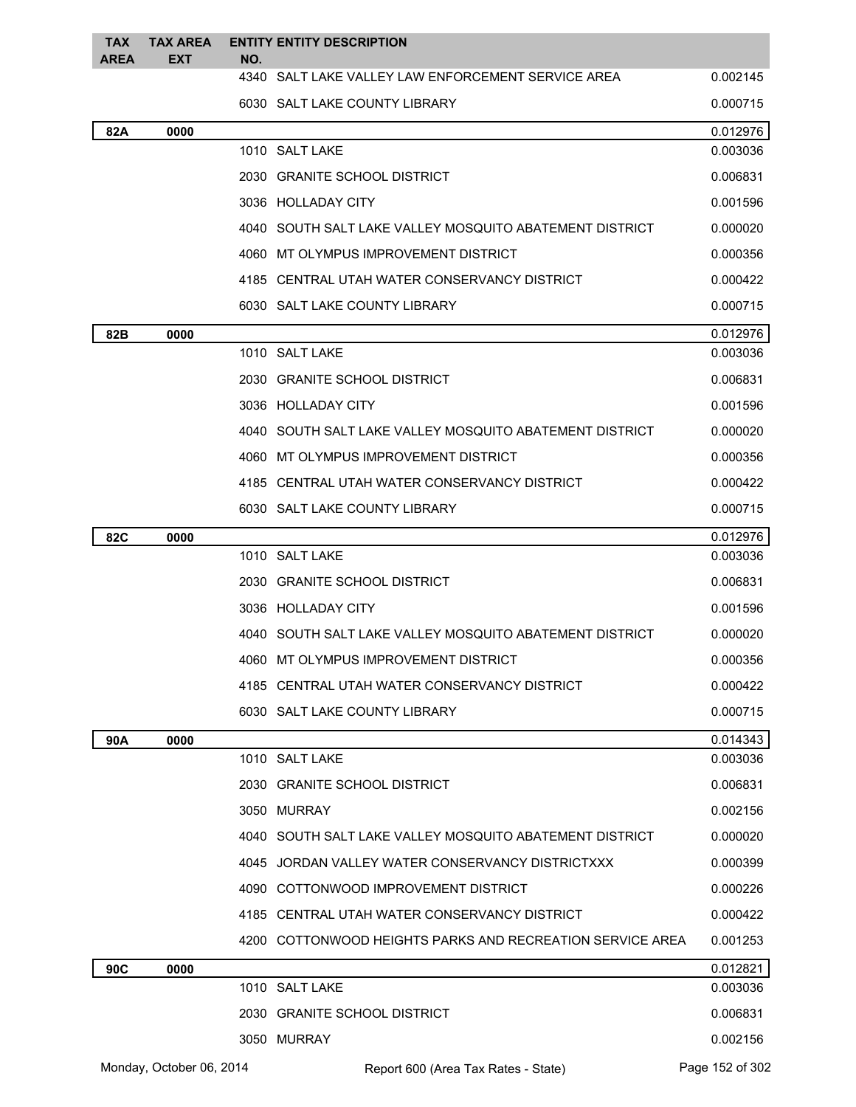| <b>TAX</b><br><b>AREA</b> | TAX AREA<br><b>EXT</b>   | NO. | <b>ENTITY ENTITY DESCRIPTION</b>                          |                 |
|---------------------------|--------------------------|-----|-----------------------------------------------------------|-----------------|
|                           |                          |     | 4340 SALT LAKE VALLEY LAW ENFORCEMENT SERVICE AREA        | 0.002145        |
|                           |                          |     | 6030 SALT LAKE COUNTY LIBRARY                             | 0.000715        |
| 82A                       | 0000                     |     |                                                           | 0.012976        |
|                           |                          |     | 1010 SALT LAKE                                            | 0.003036        |
|                           |                          |     | 2030 GRANITE SCHOOL DISTRICT                              | 0.006831        |
|                           |                          |     | 3036 HOLLADAY CITY                                        | 0.001596        |
|                           |                          |     | 4040 SOUTH SALT LAKE VALLEY MOSQUITO ABATEMENT DISTRICT   | 0.000020        |
|                           |                          |     | 4060 MT OLYMPUS IMPROVEMENT DISTRICT                      | 0.000356        |
|                           |                          |     | 4185 CENTRAL UTAH WATER CONSERVANCY DISTRICT              | 0.000422        |
|                           |                          |     | 6030 SALT LAKE COUNTY LIBRARY                             | 0.000715        |
| 82B                       | 0000                     |     |                                                           | 0.012976        |
|                           |                          |     | 1010 SALT LAKE                                            | 0.003036        |
|                           |                          |     | 2030 GRANITE SCHOOL DISTRICT                              | 0.006831        |
|                           |                          |     | 3036 HOLLADAY CITY                                        | 0.001596        |
|                           |                          |     | 4040 SOUTH SALT LAKE VALLEY MOSQUITO ABATEMENT DISTRICT   | 0.000020        |
|                           |                          |     | 4060 MT OLYMPUS IMPROVEMENT DISTRICT                      | 0.000356        |
|                           |                          |     | 4185 CENTRAL UTAH WATER CONSERVANCY DISTRICT              | 0.000422        |
|                           |                          |     | 6030 SALT LAKE COUNTY LIBRARY                             | 0.000715        |
| <b>82C</b>                | 0000                     |     |                                                           | 0.012976        |
|                           |                          |     | 1010 SALT LAKE                                            | 0.003036        |
|                           |                          |     | 2030 GRANITE SCHOOL DISTRICT                              | 0.006831        |
|                           |                          |     | 3036 HOLLADAY CITY                                        | 0.001596        |
|                           |                          |     | 4040 SOUTH SALT LAKE VALLEY MOSQUITO ABATEMENT DISTRICT   | 0.000020        |
|                           |                          |     | 4060 MT OLYMPUS IMPROVEMENT DISTRICT                      | 0.000356        |
|                           |                          |     | 4185 CENTRAL UTAH WATER CONSERVANCY DISTRICT              | 0.000422        |
|                           |                          |     | 6030 SALT LAKE COUNTY LIBRARY                             | 0.000715        |
| 90A                       | 0000                     |     |                                                           | 0.014343        |
|                           |                          |     | 1010 SALT LAKE                                            | 0.003036        |
|                           |                          |     | 2030 GRANITE SCHOOL DISTRICT                              | 0.006831        |
|                           |                          |     | 3050 MURRAY                                               | 0.002156        |
|                           |                          |     | 4040 SOUTH SALT LAKE VALLEY MOSQUITO ABATEMENT DISTRICT   | 0.000020        |
|                           |                          |     | 4045 JORDAN VALLEY WATER CONSERVANCY DISTRICTXXX          | 0.000399        |
|                           |                          |     | 4090 COTTONWOOD IMPROVEMENT DISTRICT                      | 0.000226        |
|                           |                          |     | 4185 CENTRAL UTAH WATER CONSERVANCY DISTRICT              | 0.000422        |
|                           |                          |     | 4200 COTTONWOOD HEIGHTS PARKS AND RECREATION SERVICE AREA | 0.001253        |
| 90C                       | 0000                     |     |                                                           | 0.012821        |
|                           |                          |     | 1010 SALT LAKE                                            | 0.003036        |
|                           |                          |     | 2030 GRANITE SCHOOL DISTRICT                              | 0.006831        |
|                           |                          |     | 3050 MURRAY                                               | 0.002156        |
|                           | Monday, October 06, 2014 |     | Report 600 (Area Tax Rates - State)                       | Page 152 of 302 |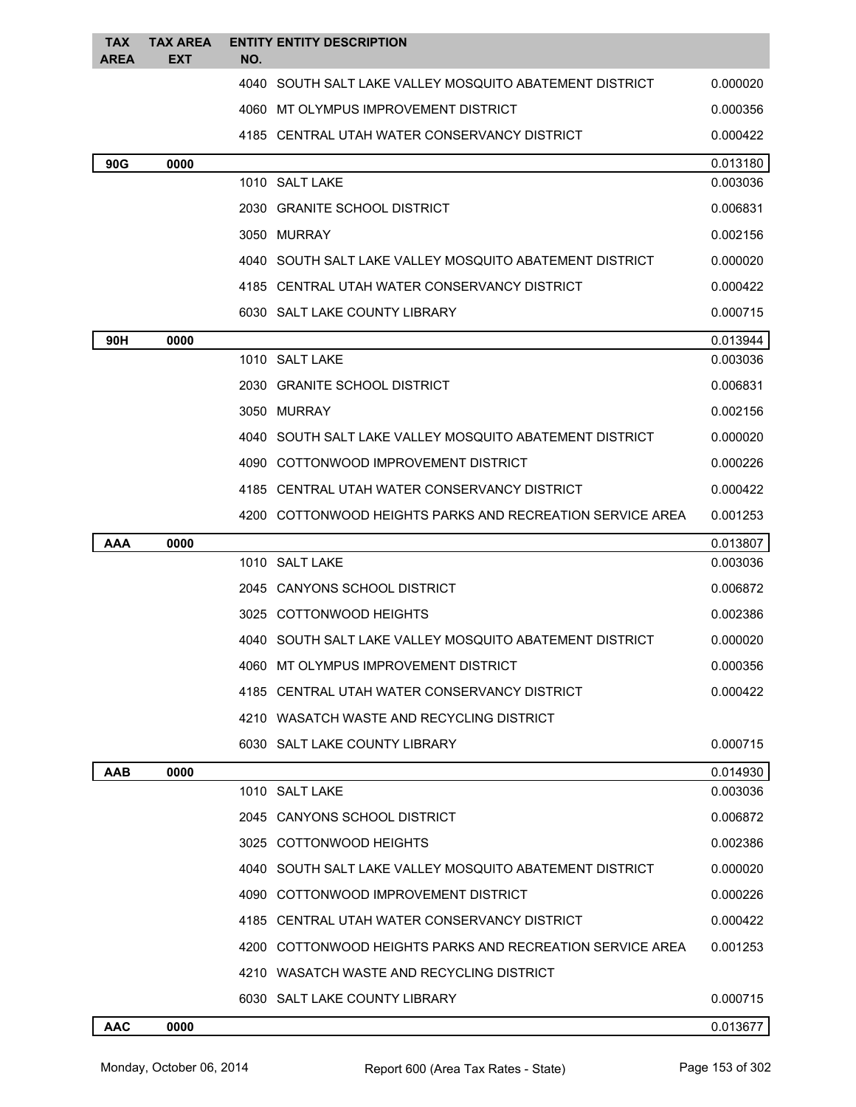| TAX<br><b>AREA</b> | <b>TAX AREA</b><br>EXT | NO.  | <b>ENTITY ENTITY DESCRIPTION</b>                          |                      |
|--------------------|------------------------|------|-----------------------------------------------------------|----------------------|
|                    |                        | 4040 | SOUTH SALT LAKE VALLEY MOSQUITO ABATEMENT DISTRICT        | 0.000020             |
|                    |                        |      | 4060 MT OLYMPUS IMPROVEMENT DISTRICT                      | 0.000356             |
|                    |                        |      | 4185 CENTRAL UTAH WATER CONSERVANCY DISTRICT              | 0.000422             |
|                    |                        |      |                                                           |                      |
| 90G                | 0000                   |      | 1010 SALT LAKE                                            | 0.013180<br>0.003036 |
|                    |                        |      | 2030 GRANITE SCHOOL DISTRICT                              | 0.006831             |
|                    |                        |      | 3050 MURRAY                                               | 0.002156             |
|                    |                        |      | 4040   SOUTH SALT LAKE VALLEY MOSQUITO ABATEMENT DISTRICT | 0.000020             |
|                    |                        |      | 4185 CENTRAL UTAH WATER CONSERVANCY DISTRICT              | 0.000422             |
|                    |                        |      | 6030 SALT LAKE COUNTY LIBRARY                             | 0.000715             |
| 90H                | 0000                   |      |                                                           | 0.013944             |
|                    |                        |      | 1010 SALT LAKE                                            | 0.003036             |
|                    |                        |      | 2030 GRANITE SCHOOL DISTRICT                              | 0.006831             |
|                    |                        |      | 3050 MURRAY                                               | 0.002156             |
|                    |                        |      | 4040   SOUTH SALT LAKE VALLEY MOSQUITO ABATEMENT DISTRICT | 0.000020             |
|                    |                        |      | 4090 COTTONWOOD IMPROVEMENT DISTRICT                      | 0.000226             |
|                    |                        |      | 4185 CENTRAL UTAH WATER CONSERVANCY DISTRICT              | 0.000422             |
|                    |                        |      | 4200 COTTONWOOD HEIGHTS PARKS AND RECREATION SERVICE AREA | 0.001253             |
| AAA                | 0000                   |      |                                                           | 0.013807             |
|                    |                        |      | 1010 SALT LAKE                                            |                      |
|                    |                        |      |                                                           | 0.003036             |
|                    |                        |      | 2045 CANYONS SCHOOL DISTRICT                              | 0.006872             |
|                    |                        |      | 3025 COTTONWOOD HEIGHTS                                   | 0.002386             |
|                    |                        |      | 4040 SOUTH SALT LAKE VALLEY MOSOUITO ABATEMENT DISTRICT   | 0.000020             |
|                    |                        |      | 4060 MT OLYMPUS IMPROVEMENT DISTRICT                      | 0.000356             |
|                    |                        |      | 4185 CENTRAL UTAH WATER CONSERVANCY DISTRICT              | 0.000422             |
|                    |                        |      | 4210 WASATCH WASTE AND RECYCLING DISTRICT                 |                      |
|                    |                        |      | 6030 SALT LAKE COUNTY LIBRARY                             | 0.000715             |
| AAB                | 0000                   |      |                                                           | 0.014930             |
|                    |                        |      | 1010 SALT LAKE                                            | 0.003036             |
|                    |                        |      | 2045 CANYONS SCHOOL DISTRICT                              | 0.006872             |
|                    |                        |      | 3025 COTTONWOOD HEIGHTS                                   | 0.002386             |
|                    |                        |      | 4040   SOUTH SALT LAKE VALLEY MOSQUITO ABATEMENT DISTRICT | 0.000020             |
|                    |                        |      | 4090 COTTONWOOD IMPROVEMENT DISTRICT                      | 0.000226             |
|                    |                        |      | 4185 CENTRAL UTAH WATER CONSERVANCY DISTRICT              | 0.000422             |
|                    |                        |      | 4200 COTTONWOOD HEIGHTS PARKS AND RECREATION SERVICE AREA | 0.001253             |
|                    |                        |      | 4210 WASATCH WASTE AND RECYCLING DISTRICT                 |                      |
|                    |                        |      | 6030 SALT LAKE COUNTY LIBRARY                             | 0.000715             |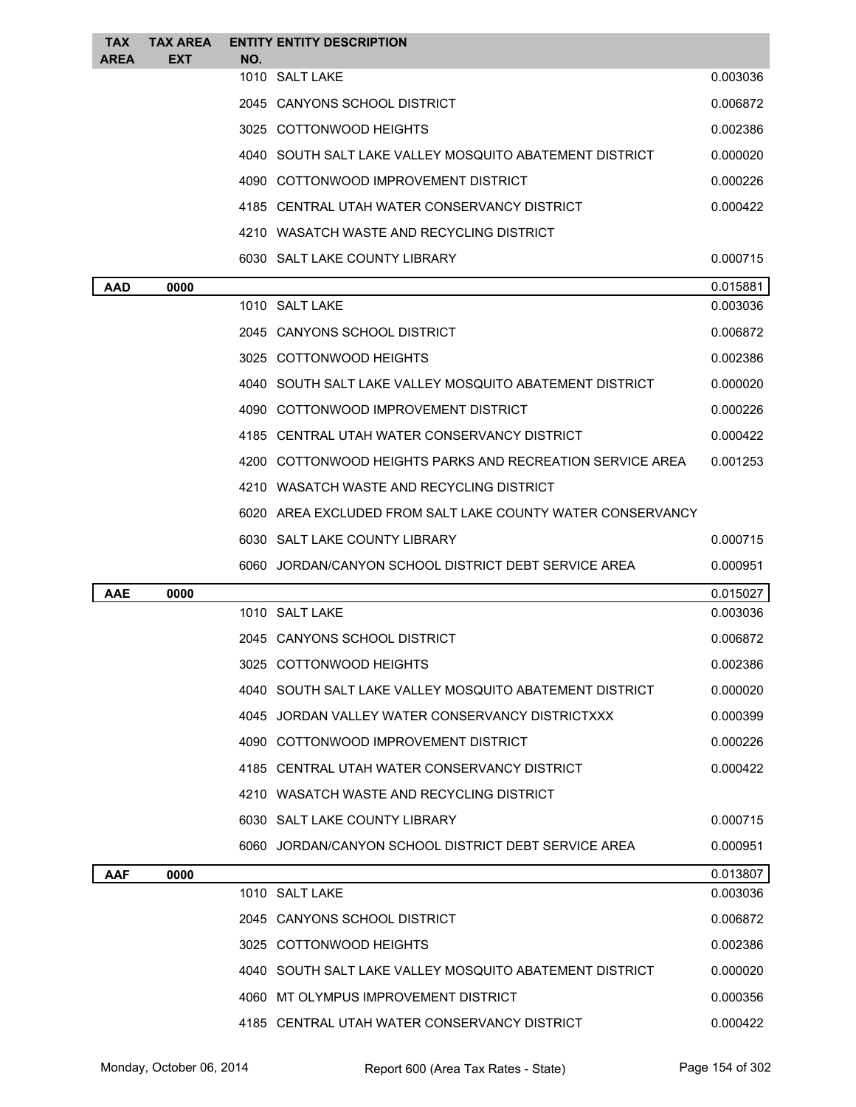| <b>TAX</b><br><b>AREA</b> | <b>TAX AREA</b><br><b>EXT</b> | NO. | <b>ENTITY ENTITY DESCRIPTION</b>                           |          |
|---------------------------|-------------------------------|-----|------------------------------------------------------------|----------|
|                           |                               |     | 1010 SALT LAKE                                             | 0.003036 |
|                           |                               |     | 2045 CANYONS SCHOOL DISTRICT                               | 0.006872 |
|                           |                               |     | 3025 COTTONWOOD HEIGHTS                                    | 0.002386 |
|                           |                               |     | 4040 SOUTH SALT LAKE VALLEY MOSQUITO ABATEMENT DISTRICT    | 0.000020 |
|                           |                               |     | 4090 COTTONWOOD IMPROVEMENT DISTRICT                       | 0.000226 |
|                           |                               |     | 4185 CENTRAL UTAH WATER CONSERVANCY DISTRICT               | 0.000422 |
|                           |                               |     | 4210 WASATCH WASTE AND RECYCLING DISTRICT                  |          |
|                           |                               |     | 6030 SALT LAKE COUNTY LIBRARY                              | 0.000715 |
| <b>AAD</b>                | 0000                          |     |                                                            | 0.015881 |
|                           |                               |     | 1010 SALT LAKE                                             | 0.003036 |
|                           |                               |     | 2045 CANYONS SCHOOL DISTRICT                               | 0.006872 |
|                           |                               |     | 3025 COTTONWOOD HEIGHTS                                    | 0.002386 |
|                           |                               |     | 4040 SOUTH SALT LAKE VALLEY MOSQUITO ABATEMENT DISTRICT    | 0.000020 |
|                           |                               |     | 4090 COTTONWOOD IMPROVEMENT DISTRICT                       | 0.000226 |
|                           |                               |     | 4185 CENTRAL UTAH WATER CONSERVANCY DISTRICT               | 0.000422 |
|                           |                               |     | 4200 COTTONWOOD HEIGHTS PARKS AND RECREATION SERVICE AREA  | 0.001253 |
|                           |                               |     | 4210 WASATCH WASTE AND RECYCLING DISTRICT                  |          |
|                           |                               |     | 6020 AREA EXCLUDED FROM SALT LAKE COUNTY WATER CONSERVANCY |          |
|                           |                               |     | 6030 SALT LAKE COUNTY LIBRARY                              | 0.000715 |
|                           |                               |     | 6060 JORDAN/CANYON SCHOOL DISTRICT DEBT SERVICE AREA       | 0.000951 |
| <b>AAE</b>                | 0000                          |     |                                                            | 0.015027 |
|                           |                               |     | 1010 SALT LAKE                                             | 0.003036 |
|                           |                               |     | 2045 CANYONS SCHOOL DISTRICT                               | 0.006872 |
|                           |                               |     | 3025 COTTONWOOD HEIGHTS                                    | 0.002386 |
|                           |                               |     | 4040 SOUTH SALT LAKE VALLEY MOSQUITO ABATEMENT DISTRICT    | 0.000020 |
|                           |                               |     | 4045 JORDAN VALLEY WATER CONSERVANCY DISTRICTXXX           | 0.000399 |
|                           |                               |     | 4090 COTTONWOOD IMPROVEMENT DISTRICT                       | 0.000226 |
|                           |                               |     | 4185 CENTRAL UTAH WATER CONSERVANCY DISTRICT               | 0.000422 |
|                           |                               |     | 4210 WASATCH WASTE AND RECYCLING DISTRICT                  |          |
|                           |                               |     | 6030 SALT LAKE COUNTY LIBRARY                              | 0.000715 |
|                           |                               |     | 6060 JORDAN/CANYON SCHOOL DISTRICT DEBT SERVICE AREA       | 0.000951 |
| <b>AAF</b>                | 0000                          |     |                                                            | 0.013807 |
|                           |                               |     | 1010 SALT LAKE                                             | 0.003036 |
|                           |                               |     | 2045 CANYONS SCHOOL DISTRICT                               | 0.006872 |
|                           |                               |     | 3025 COTTONWOOD HEIGHTS                                    | 0.002386 |
|                           |                               |     |                                                            |          |
|                           |                               |     | 4040 SOUTH SALT LAKE VALLEY MOSQUITO ABATEMENT DISTRICT    | 0.000020 |
|                           |                               |     | 4060 MT OLYMPUS IMPROVEMENT DISTRICT                       | 0.000356 |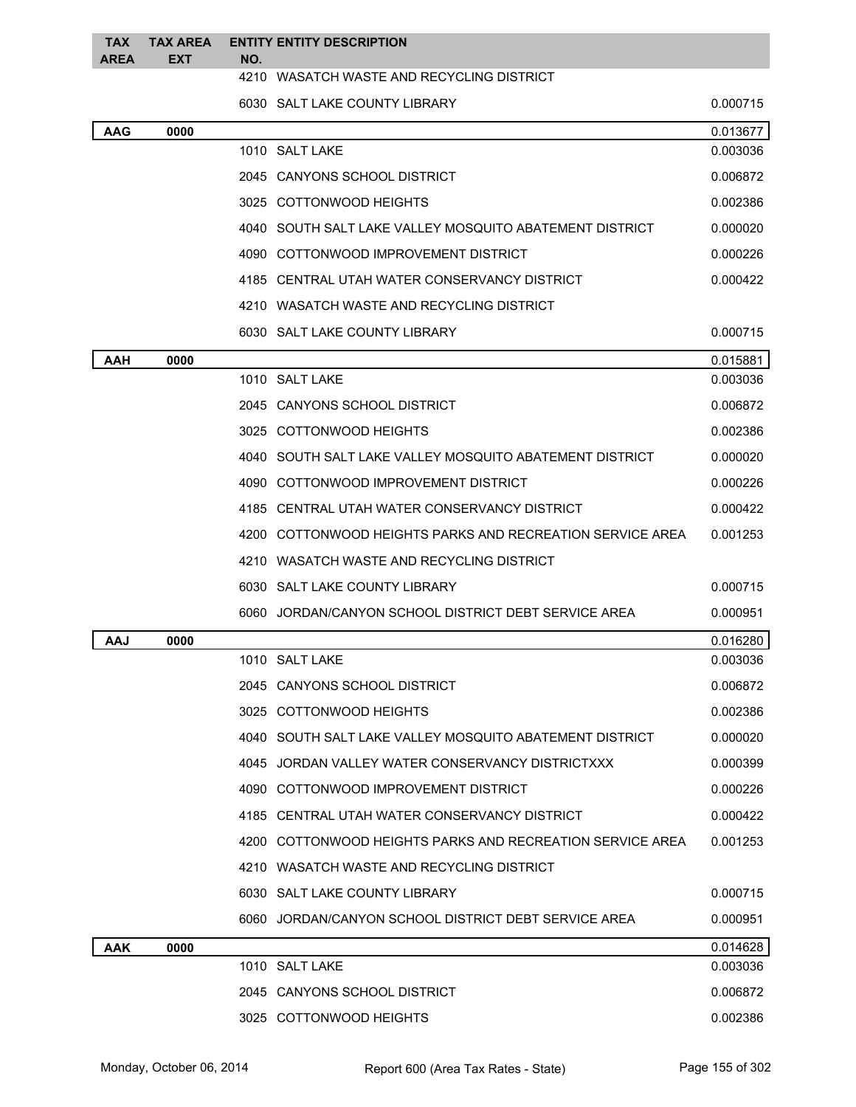| <b>TAX</b><br><b>AREA</b> | <b>TAX AREA</b><br><b>EXT</b> | NO. | <b>ENTITY ENTITY DESCRIPTION</b>                          |          |
|---------------------------|-------------------------------|-----|-----------------------------------------------------------|----------|
|                           |                               |     | 4210 WASATCH WASTE AND RECYCLING DISTRICT                 |          |
|                           |                               |     | 6030 SALT LAKE COUNTY LIBRARY                             | 0.000715 |
| <b>AAG</b>                | 0000                          |     |                                                           | 0.013677 |
|                           |                               |     | 1010 SALT LAKE                                            | 0.003036 |
|                           |                               |     | 2045 CANYONS SCHOOL DISTRICT                              | 0.006872 |
|                           |                               |     | 3025 COTTONWOOD HEIGHTS                                   | 0.002386 |
|                           |                               |     | 4040   SOUTH SALT LAKE VALLEY MOSQUITO ABATEMENT DISTRICT | 0.000020 |
|                           |                               |     | 4090 COTTONWOOD IMPROVEMENT DISTRICT                      | 0.000226 |
|                           |                               |     | 4185 CENTRAL UTAH WATER CONSERVANCY DISTRICT              | 0.000422 |
|                           |                               |     | 4210 WASATCH WASTE AND RECYCLING DISTRICT                 |          |
|                           |                               |     | 6030 SALT LAKE COUNTY LIBRARY                             | 0.000715 |
| AAH                       | 0000                          |     |                                                           | 0.015881 |
|                           |                               |     | 1010 SALT LAKE                                            | 0.003036 |
|                           |                               |     | 2045 CANYONS SCHOOL DISTRICT                              | 0.006872 |
|                           |                               |     | 3025 COTTONWOOD HEIGHTS                                   | 0.002386 |
|                           |                               |     | 4040   SOUTH SALT LAKE VALLEY MOSQUITO ABATEMENT DISTRICT | 0.000020 |
|                           |                               |     | 4090 COTTONWOOD IMPROVEMENT DISTRICT                      | 0.000226 |
|                           |                               |     | 4185 CENTRAL UTAH WATER CONSERVANCY DISTRICT              | 0.000422 |
|                           |                               |     | 4200 COTTONWOOD HEIGHTS PARKS AND RECREATION SERVICE AREA | 0.001253 |
|                           |                               |     | 4210 WASATCH WASTE AND RECYCLING DISTRICT                 |          |
|                           |                               |     | 6030 SALT LAKE COUNTY LIBRARY                             | 0.000715 |
|                           |                               |     | 6060 JORDAN/CANYON SCHOOL DISTRICT DEBT SERVICE AREA      | 0.000951 |
| AAJ                       | 0000                          |     |                                                           | 0.016280 |
|                           |                               |     | 1010 SALT LAKE                                            | 0.003036 |
|                           |                               |     | 2045 CANYONS SCHOOL DISTRICT                              | 0.006872 |
|                           |                               |     | 3025 COTTONWOOD HEIGHTS                                   | 0.002386 |
|                           |                               |     | 4040 SOUTH SALT LAKE VALLEY MOSQUITO ABATEMENT DISTRICT   | 0.000020 |
|                           |                               |     | 4045 JORDAN VALLEY WATER CONSERVANCY DISTRICTXXX          | 0.000399 |
|                           |                               |     | 4090 COTTONWOOD IMPROVEMENT DISTRICT                      | 0.000226 |
|                           |                               |     | 4185 CENTRAL UTAH WATER CONSERVANCY DISTRICT              | 0.000422 |
|                           |                               |     | 4200 COTTONWOOD HEIGHTS PARKS AND RECREATION SERVICE AREA | 0.001253 |
|                           |                               |     | 4210 WASATCH WASTE AND RECYCLING DISTRICT                 |          |
|                           |                               |     | 6030 SALT LAKE COUNTY LIBRARY                             | 0.000715 |
|                           |                               |     | 6060 JORDAN/CANYON SCHOOL DISTRICT DEBT SERVICE AREA      | 0.000951 |
| AAK                       | 0000                          |     |                                                           | 0.014628 |
|                           |                               |     | 1010 SALT LAKE                                            | 0.003036 |
|                           |                               |     | 2045 CANYONS SCHOOL DISTRICT                              | 0.006872 |
|                           |                               |     | 3025 COTTONWOOD HEIGHTS                                   | 0.002386 |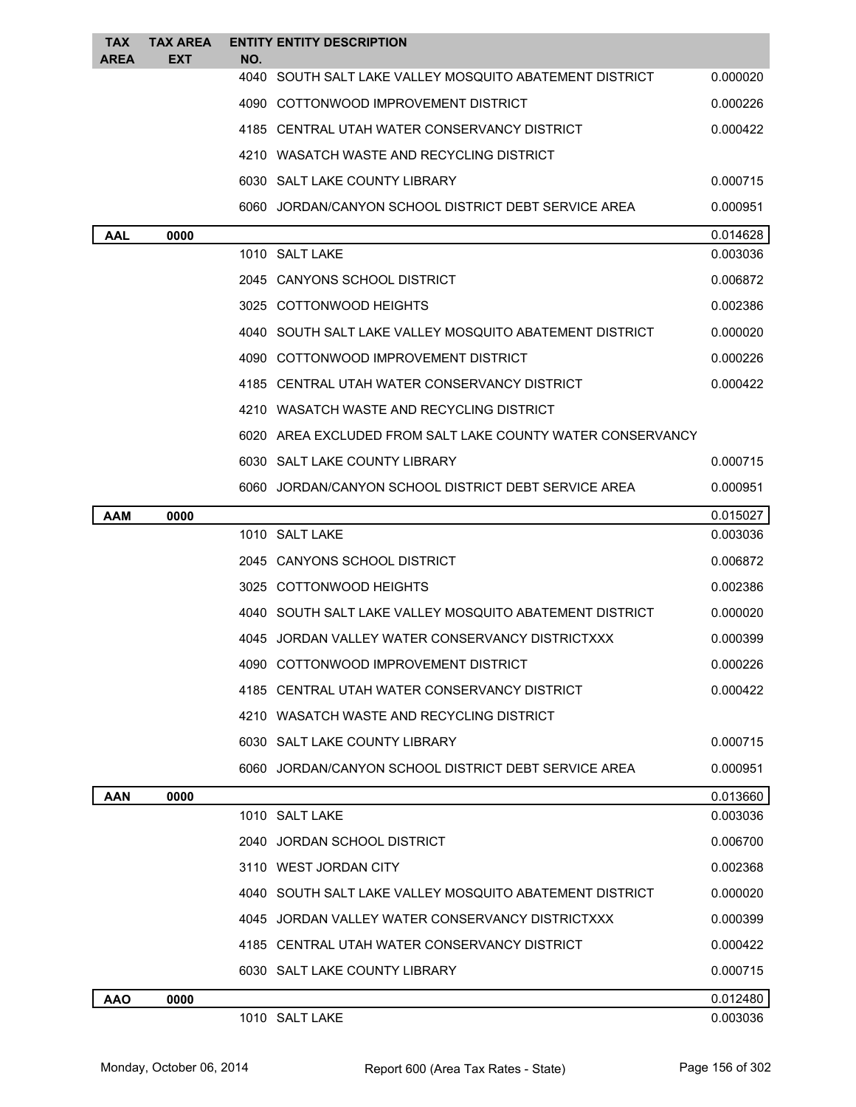| TAX         | <b>TAX AREA</b> | <b>ENTITY ENTITY DESCRIPTION</b>                               |          |
|-------------|-----------------|----------------------------------------------------------------|----------|
| <b>AREA</b> | <b>EXT</b>      | NO.<br>4040 SOUTH SALT LAKE VALLEY MOSQUITO ABATEMENT DISTRICT | 0.000020 |
|             |                 | 4090 COTTONWOOD IMPROVEMENT DISTRICT                           | 0.000226 |
|             |                 | 4185 CENTRAL UTAH WATER CONSERVANCY DISTRICT                   | 0.000422 |
|             |                 | 4210 WASATCH WASTE AND RECYCLING DISTRICT                      |          |
|             |                 | 6030 SALT LAKE COUNTY LIBRARY                                  | 0.000715 |
|             |                 | 6060 JORDAN/CANYON SCHOOL DISTRICT DEBT SERVICE AREA           | 0.000951 |
| AAL         | 0000            |                                                                | 0.014628 |
|             |                 | 1010 SALT LAKE                                                 | 0.003036 |
|             |                 | 2045 CANYONS SCHOOL DISTRICT                                   | 0.006872 |
|             |                 | 3025 COTTONWOOD HEIGHTS                                        | 0.002386 |
|             |                 | 4040 SOUTH SALT LAKE VALLEY MOSQUITO ABATEMENT DISTRICT        | 0.000020 |
|             |                 | 4090 COTTONWOOD IMPROVEMENT DISTRICT                           | 0.000226 |
|             |                 | 4185 CENTRAL UTAH WATER CONSERVANCY DISTRICT                   | 0.000422 |
|             |                 | 4210 WASATCH WASTE AND RECYCLING DISTRICT                      |          |
|             |                 | 6020 AREA EXCLUDED FROM SALT LAKE COUNTY WATER CONSERVANCY     |          |
|             |                 | 6030 SALT LAKE COUNTY LIBRARY                                  | 0.000715 |
|             |                 | 6060 JORDAN/CANYON SCHOOL DISTRICT DEBT SERVICE AREA           | 0.000951 |
| <b>AAM</b>  | 0000            |                                                                | 0.015027 |
|             |                 | 1010 SALT LAKE                                                 | 0.003036 |
|             |                 | 2045 CANYONS SCHOOL DISTRICT                                   | 0.006872 |
|             |                 | 3025 COTTONWOOD HEIGHTS                                        | 0.002386 |
|             |                 | 4040 SOUTH SALT LAKE VALLEY MOSQUITO ABATEMENT DISTRICT        | 0.000020 |
|             |                 | 4045 JORDAN VALLEY WATER CONSERVANCY DISTRICTXXX               | 0.000399 |
|             |                 | 4090 COTTONWOOD IMPROVEMENT DISTRICT                           | 0.000226 |
|             |                 | 4185 CENTRAL UTAH WATER CONSERVANCY DISTRICT                   | 0.000422 |
|             |                 | 4210 WASATCH WASTE AND RECYCLING DISTRICT                      |          |
|             |                 | 6030 SALT LAKE COUNTY LIBRARY                                  | 0.000715 |
|             |                 | 6060 JORDAN/CANYON SCHOOL DISTRICT DEBT SERVICE AREA           | 0.000951 |
| <b>AAN</b>  | 0000            |                                                                | 0.013660 |
|             |                 | 1010 SALT LAKE                                                 | 0.003036 |
|             |                 | 2040 JORDAN SCHOOL DISTRICT                                    | 0.006700 |
|             |                 | 3110 WEST JORDAN CITY                                          | 0.002368 |
|             |                 | 4040 SOUTH SALT LAKE VALLEY MOSQUITO ABATEMENT DISTRICT        | 0.000020 |
|             |                 | 4045 JORDAN VALLEY WATER CONSERVANCY DISTRICTXXX               | 0.000399 |
|             |                 | 4185 CENTRAL UTAH WATER CONSERVANCY DISTRICT                   | 0.000422 |
|             |                 | 6030 SALT LAKE COUNTY LIBRARY                                  | 0.000715 |
| <b>AAO</b>  | 0000            |                                                                | 0.012480 |
|             |                 | 1010 SALT LAKE                                                 | 0.003036 |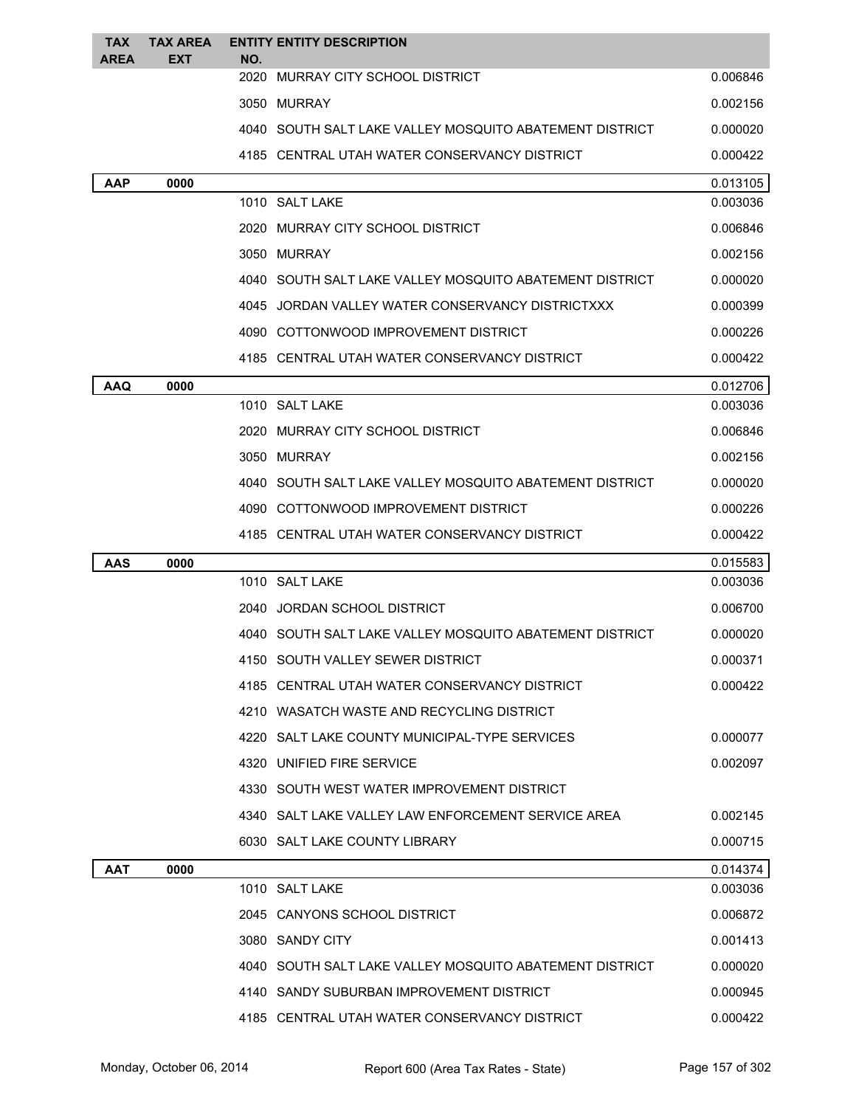| <b>TAX</b><br><b>AREA</b> | <b>TAX AREA</b><br>EXT | <b>ENTITY ENTITY DESCRIPTION</b><br>NO.        |                                                           |          |
|---------------------------|------------------------|------------------------------------------------|-----------------------------------------------------------|----------|
|                           |                        | 2020<br>MURRAY CITY SCHOOL DISTRICT            |                                                           | 0.006846 |
|                           |                        | 3050 MURRAY                                    |                                                           | 0.002156 |
|                           |                        |                                                | 4040 SOUTH SALT LAKE VALLEY MOSQUITO ABATEMENT DISTRICT   | 0.000020 |
|                           |                        | 4185 CENTRAL UTAH WATER CONSERVANCY DISTRICT   |                                                           | 0.000422 |
| ААР                       | 0000                   |                                                |                                                           | 0.013105 |
|                           |                        | 1010 SALT LAKE                                 |                                                           | 0.003036 |
|                           |                        | 2020 MURRAY CITY SCHOOL DISTRICT               |                                                           | 0.006846 |
|                           |                        | 3050 MURRAY                                    |                                                           | 0.002156 |
|                           |                        |                                                | 4040   SOUTH SALT LAKE VALLEY MOSQUITO ABATEMENT DISTRICT | 0.000020 |
|                           |                        |                                                | 4045 JORDAN VALLEY WATER CONSERVANCY DISTRICTXXX          | 0.000399 |
|                           |                        | 4090 COTTONWOOD IMPROVEMENT DISTRICT           |                                                           | 0.000226 |
|                           |                        | 4185   CENTRAL UTAH WATER CONSERVANCY DISTRICT |                                                           | 0.000422 |
| <b>AAQ</b>                | 0000                   |                                                |                                                           | 0.012706 |
|                           |                        | 1010 SALT LAKE                                 |                                                           | 0.003036 |
|                           |                        | 2020 MURRAY CITY SCHOOL DISTRICT               |                                                           | 0.006846 |
|                           |                        | 3050 MURRAY                                    |                                                           | 0.002156 |
|                           |                        |                                                | 4040   SOUTH SALT LAKE VALLEY MOSQUITO ABATEMENT DISTRICT | 0.000020 |
|                           |                        | 4090 COTTONWOOD IMPROVEMENT DISTRICT           |                                                           | 0.000226 |
|                           |                        | 4185 CENTRAL UTAH WATER CONSERVANCY DISTRICT   |                                                           | 0.000422 |
| AAS                       | 0000                   |                                                |                                                           | 0.015583 |
|                           |                        | 1010 SALT LAKE                                 |                                                           | 0.003036 |
|                           |                        | 2040 JORDAN SCHOOL DISTRICT                    |                                                           | 0.006700 |
|                           |                        |                                                | 4040   SOUTH SALT LAKE VALLEY MOSQUITO ABATEMENT DISTRICT | 0.000020 |
|                           |                        | 4150 SOUTH VALLEY SEWER DISTRICT               |                                                           | 0.000371 |
|                           |                        | 4185 CENTRAL UTAH WATER CONSERVANCY DISTRICT   |                                                           | 0.000422 |
|                           |                        | 4210 WASATCH WASTE AND RECYCLING DISTRICT      |                                                           |          |
|                           |                        | 4220 SALT LAKE COUNTY MUNICIPAL-TYPE SERVICES  |                                                           | 0.000077 |
|                           |                        | 4320 UNIFIED FIRE SERVICE                      |                                                           | 0.002097 |
|                           |                        | 4330 SOUTH WEST WATER IMPROVEMENT DISTRICT     |                                                           |          |
|                           |                        |                                                | 4340 SALT LAKE VALLEY LAW ENFORCEMENT SERVICE AREA        | 0.002145 |
|                           |                        | 6030 SALT LAKE COUNTY LIBRARY                  |                                                           | 0.000715 |
| AAT                       | 0000                   |                                                |                                                           | 0.014374 |
|                           |                        | 1010 SALT LAKE                                 |                                                           | 0.003036 |
|                           |                        | 2045 CANYONS SCHOOL DISTRICT                   |                                                           | 0.006872 |
|                           |                        | 3080 SANDY CITY                                |                                                           | 0.001413 |
|                           |                        |                                                | 4040   SOUTH SALT LAKE VALLEY MOSQUITO ABATEMENT DISTRICT | 0.000020 |
|                           |                        | 4140 SANDY SUBURBAN IMPROVEMENT DISTRICT       |                                                           | 0.000945 |
|                           |                        | 4185 CENTRAL UTAH WATER CONSERVANCY DISTRICT   |                                                           | 0.000422 |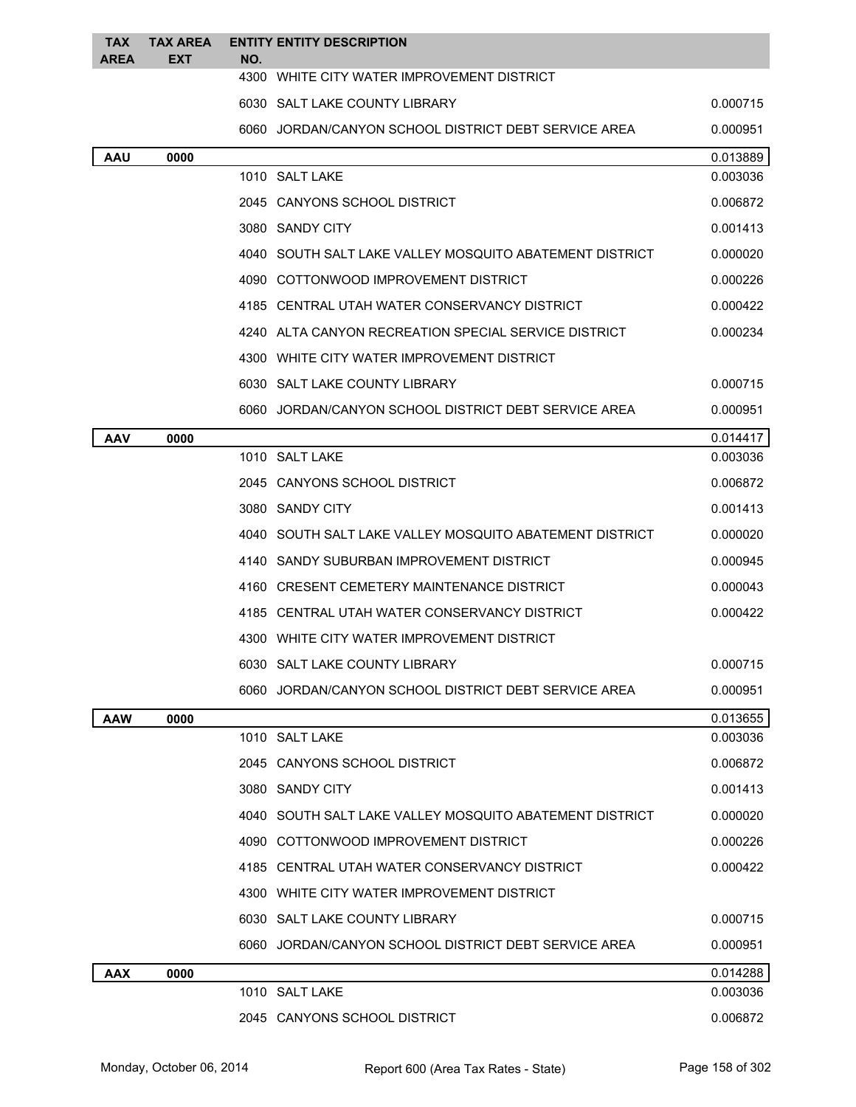| <b>TAX</b><br><b>AREA</b> | <b>TAX AREA</b><br><b>EXT</b> | <b>ENTITY ENTITY DESCRIPTION</b><br>NO.                 |          |
|---------------------------|-------------------------------|---------------------------------------------------------|----------|
|                           |                               | 4300 WHITE CITY WATER IMPROVEMENT DISTRICT              |          |
|                           |                               | 6030 SALT LAKE COUNTY LIBRARY                           | 0.000715 |
|                           |                               | 6060 JORDAN/CANYON SCHOOL DISTRICT DEBT SERVICE AREA    | 0.000951 |
| <b>AAU</b>                | 0000                          |                                                         | 0.013889 |
|                           |                               | 1010 SALT LAKE                                          | 0.003036 |
|                           |                               | 2045 CANYONS SCHOOL DISTRICT                            | 0.006872 |
|                           |                               | 3080 SANDY CITY                                         | 0.001413 |
|                           |                               | 4040 SOUTH SALT LAKE VALLEY MOSQUITO ABATEMENT DISTRICT | 0.000020 |
|                           |                               | 4090 COTTONWOOD IMPROVEMENT DISTRICT                    | 0.000226 |
|                           |                               | 4185 CENTRAL UTAH WATER CONSERVANCY DISTRICT            | 0.000422 |
|                           |                               | 4240 ALTA CANYON RECREATION SPECIAL SERVICE DISTRICT    | 0.000234 |
|                           |                               | 4300 WHITE CITY WATER IMPROVEMENT DISTRICT              |          |
|                           |                               | 6030 SALT LAKE COUNTY LIBRARY                           | 0.000715 |
|                           |                               | 6060 JORDAN/CANYON SCHOOL DISTRICT DEBT SERVICE AREA    | 0.000951 |
| <b>AAV</b>                | 0000                          |                                                         | 0.014417 |
|                           |                               | 1010 SALT LAKE                                          | 0.003036 |
|                           |                               | 2045 CANYONS SCHOOL DISTRICT                            | 0.006872 |
|                           |                               | 3080 SANDY CITY                                         | 0.001413 |
|                           |                               | 4040 SOUTH SALT LAKE VALLEY MOSQUITO ABATEMENT DISTRICT | 0.000020 |
|                           |                               | 4140 SANDY SUBURBAN IMPROVEMENT DISTRICT                | 0.000945 |
|                           |                               | 4160 CRESENT CEMETERY MAINTENANCE DISTRICT              | 0.000043 |
|                           |                               | 4185 CENTRAL UTAH WATER CONSERVANCY DISTRICT            | 0.000422 |
|                           |                               | 4300 WHITE CITY WATER IMPROVEMENT DISTRICT              |          |
|                           |                               | 6030 SALT LAKE COUNTY LIBRARY                           | 0.000715 |
|                           |                               | 6060 JORDAN/CANYON SCHOOL DISTRICT DEBT SERVICE AREA    | 0.000951 |
| <b>AAW</b>                | 0000                          |                                                         | 0.013655 |
|                           |                               | 1010 SALT LAKE                                          | 0.003036 |
|                           |                               | 2045 CANYONS SCHOOL DISTRICT                            | 0.006872 |
|                           |                               | 3080 SANDY CITY                                         | 0.001413 |
|                           |                               | 4040 SOUTH SALT LAKE VALLEY MOSQUITO ABATEMENT DISTRICT | 0.000020 |
|                           |                               | 4090 COTTONWOOD IMPROVEMENT DISTRICT                    | 0.000226 |
|                           |                               | 4185 CENTRAL UTAH WATER CONSERVANCY DISTRICT            | 0.000422 |
|                           |                               | 4300 WHITE CITY WATER IMPROVEMENT DISTRICT              |          |
|                           |                               | 6030 SALT LAKE COUNTY LIBRARY                           | 0.000715 |
|                           |                               | 6060 JORDAN/CANYON SCHOOL DISTRICT DEBT SERVICE AREA    | 0.000951 |
| <b>AAX</b>                | 0000                          |                                                         | 0.014288 |
|                           |                               | 1010 SALT LAKE                                          | 0.003036 |
|                           |                               | 2045 CANYONS SCHOOL DISTRICT                            | 0.006872 |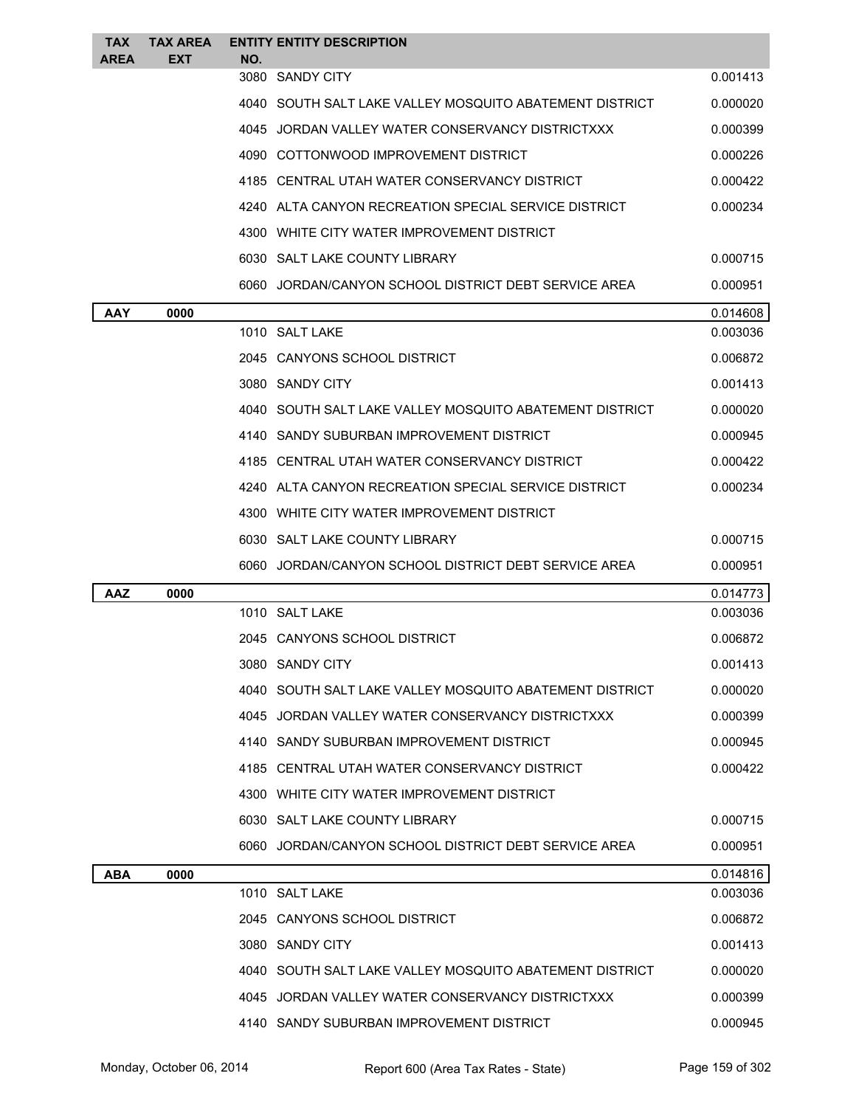| <b>TAX</b><br>AREA | <b>TAX AREA</b><br><b>EXT</b> | NO.             | <b>ENTITY ENTITY DESCRIPTION</b>                        |          |
|--------------------|-------------------------------|-----------------|---------------------------------------------------------|----------|
|                    |                               | 3080 SANDY CITY |                                                         | 0.001413 |
|                    |                               |                 | 4040 SOUTH SALT LAKE VALLEY MOSQUITO ABATEMENT DISTRICT | 0.000020 |
|                    |                               |                 | 4045 JORDAN VALLEY WATER CONSERVANCY DISTRICTXXX        | 0.000399 |
|                    |                               |                 | 4090 COTTONWOOD IMPROVEMENT DISTRICT                    | 0.000226 |
|                    |                               |                 | 4185 CENTRAL UTAH WATER CONSERVANCY DISTRICT            | 0.000422 |
|                    |                               |                 | 4240 ALTA CANYON RECREATION SPECIAL SERVICE DISTRICT    | 0.000234 |
|                    |                               |                 | 4300 WHITE CITY WATER IMPROVEMENT DISTRICT              |          |
|                    |                               |                 | 6030 SALT LAKE COUNTY LIBRARY                           | 0.000715 |
|                    |                               |                 | 6060 JORDAN/CANYON SCHOOL DISTRICT DEBT SERVICE AREA    | 0.000951 |
| <b>AAY</b>         | 0000                          |                 |                                                         | 0.014608 |
|                    |                               | 1010 SALT LAKE  |                                                         | 0.003036 |
|                    |                               |                 | 2045 CANYONS SCHOOL DISTRICT                            | 0.006872 |
|                    |                               | 3080 SANDY CITY |                                                         | 0.001413 |
|                    |                               |                 | 4040 SOUTH SALT LAKE VALLEY MOSQUITO ABATEMENT DISTRICT | 0.000020 |
|                    |                               |                 | 4140 SANDY SUBURBAN IMPROVEMENT DISTRICT                | 0.000945 |
|                    |                               |                 | 4185 CENTRAL UTAH WATER CONSERVANCY DISTRICT            | 0.000422 |
|                    |                               |                 | 4240 ALTA CANYON RECREATION SPECIAL SERVICE DISTRICT    | 0.000234 |
|                    |                               |                 | 4300   WHITE CITY WATER IMPROVEMENT DISTRICT            |          |
|                    |                               |                 |                                                         |          |
|                    |                               |                 | 6030 SALT LAKE COUNTY LIBRARY                           | 0.000715 |
|                    |                               |                 | 6060 JORDAN/CANYON SCHOOL DISTRICT DEBT SERVICE AREA    | 0.000951 |
| AAZ                | 0000                          |                 |                                                         | 0.014773 |
|                    |                               | 1010 SALT LAKE  |                                                         | 0.003036 |
|                    |                               |                 | 2045 CANYONS SCHOOL DISTRICT                            | 0.006872 |
|                    |                               | 3080 SANDY CITY |                                                         | 0.001413 |
|                    |                               |                 | 4040 SOUTH SALT LAKE VALLEY MOSQUITO ABATEMENT DISTRICT | 0.000020 |
|                    |                               |                 | 4045 JORDAN VALLEY WATER CONSERVANCY DISTRICTXXX        | 0.000399 |
|                    |                               |                 | 4140 SANDY SUBURBAN IMPROVEMENT DISTRICT                | 0.000945 |
|                    |                               |                 | 4185 CENTRAL UTAH WATER CONSERVANCY DISTRICT            | 0.000422 |
|                    |                               |                 | 4300 WHITE CITY WATER IMPROVEMENT DISTRICT              |          |
|                    |                               |                 | 6030 SALT LAKE COUNTY LIBRARY                           | 0.000715 |
|                    |                               |                 | 6060 JORDAN/CANYON SCHOOL DISTRICT DEBT SERVICE AREA    | 0.000951 |
| ABA                | 0000                          |                 |                                                         | 0.014816 |
|                    |                               | 1010 SALT LAKE  |                                                         | 0.003036 |
|                    |                               |                 | 2045 CANYONS SCHOOL DISTRICT                            | 0.006872 |
|                    |                               | 3080 SANDY CITY |                                                         | 0.001413 |
|                    |                               |                 | 4040 SOUTH SALT LAKE VALLEY MOSQUITO ABATEMENT DISTRICT | 0.000020 |
|                    |                               |                 | 4045 JORDAN VALLEY WATER CONSERVANCY DISTRICTXXX        | 0.000399 |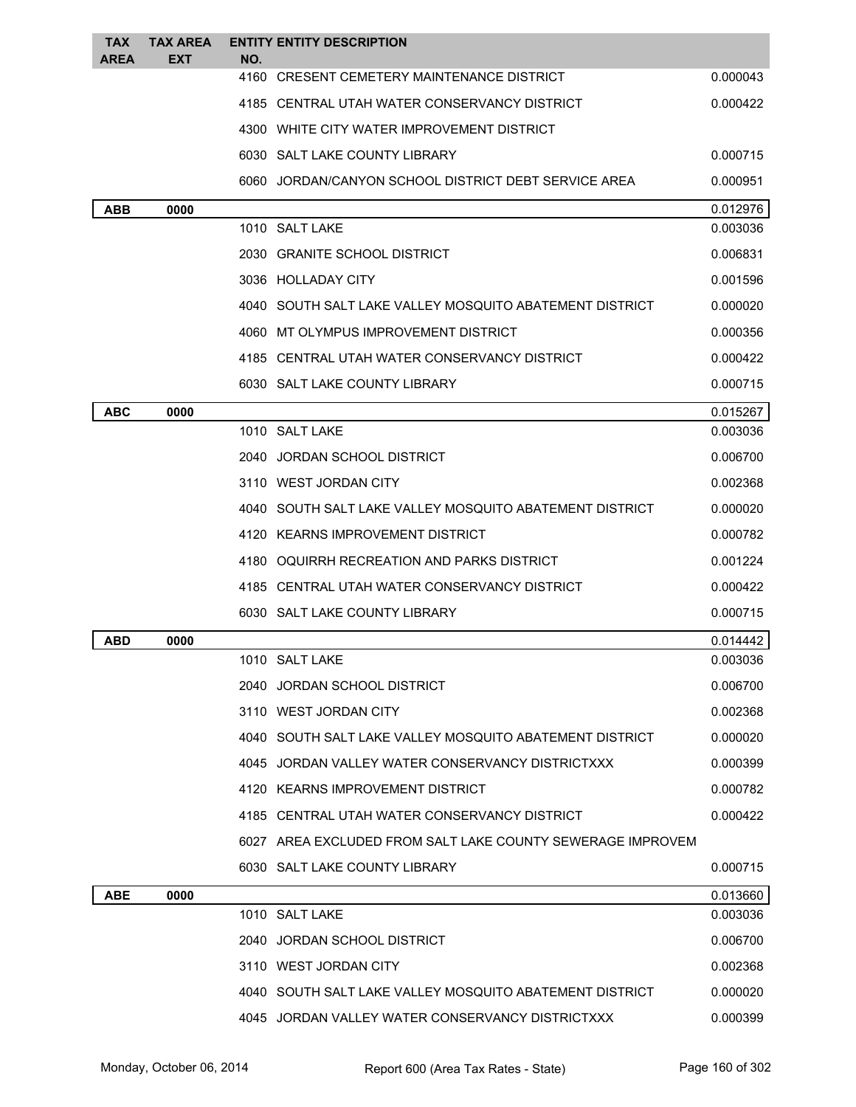| <b>TAX</b><br><b>AREA</b> | <b>TAX AREA</b><br><b>EXT</b> | NO. | <b>ENTITY ENTITY DESCRIPTION</b>                           |          |
|---------------------------|-------------------------------|-----|------------------------------------------------------------|----------|
|                           |                               |     | 4160 CRESENT CEMETERY MAINTENANCE DISTRICT                 | 0.000043 |
|                           |                               |     | 4185 CENTRAL UTAH WATER CONSERVANCY DISTRICT               | 0.000422 |
|                           |                               |     | 4300 WHITE CITY WATER IMPROVEMENT DISTRICT                 |          |
|                           |                               |     | 6030 SALT LAKE COUNTY LIBRARY                              | 0.000715 |
|                           |                               |     | 6060 JORDAN/CANYON SCHOOL DISTRICT DEBT SERVICE AREA       | 0.000951 |
| <b>ABB</b>                | 0000                          |     |                                                            | 0.012976 |
|                           |                               |     | 1010 SALT LAKE                                             | 0.003036 |
|                           |                               |     | 2030 GRANITE SCHOOL DISTRICT                               | 0.006831 |
|                           |                               |     | 3036 HOLLADAY CITY                                         | 0.001596 |
|                           |                               |     | 4040 SOUTH SALT LAKE VALLEY MOSQUITO ABATEMENT DISTRICT    | 0.000020 |
|                           |                               |     | 4060 MT OLYMPUS IMPROVEMENT DISTRICT                       | 0.000356 |
|                           |                               |     | 4185 CENTRAL UTAH WATER CONSERVANCY DISTRICT               | 0.000422 |
|                           |                               |     | 6030 SALT LAKE COUNTY LIBRARY                              | 0.000715 |
| <b>ABC</b>                | 0000                          |     |                                                            | 0.015267 |
|                           |                               |     | 1010 SALT LAKE                                             | 0.003036 |
|                           |                               |     | 2040 JORDAN SCHOOL DISTRICT                                | 0.006700 |
|                           |                               |     | 3110 WEST JORDAN CITY                                      | 0.002368 |
|                           |                               |     | 4040 SOUTH SALT LAKE VALLEY MOSQUITO ABATEMENT DISTRICT    | 0.000020 |
|                           |                               |     | 4120 KEARNS IMPROVEMENT DISTRICT                           | 0.000782 |
|                           |                               |     | 4180 OQUIRRH RECREATION AND PARKS DISTRICT                 | 0.001224 |
|                           |                               |     | 4185 CENTRAL UTAH WATER CONSERVANCY DISTRICT               | 0.000422 |
|                           |                               |     | 6030 SALT LAKE COUNTY LIBRARY                              | 0.000715 |
| ABD                       | 0000                          |     |                                                            | 0.014442 |
|                           |                               |     | 1010 SALT LAKE                                             | 0.003036 |
|                           |                               |     | 2040 JORDAN SCHOOL DISTRICT                                | 0.006700 |
|                           |                               |     | 3110 WEST JORDAN CITY                                      | 0.002368 |
|                           |                               |     | 4040 SOUTH SALT LAKE VALLEY MOSQUITO ABATEMENT DISTRICT    | 0.000020 |
|                           |                               |     | 4045 JORDAN VALLEY WATER CONSERVANCY DISTRICTXXX           | 0.000399 |
|                           |                               |     | 4120 KEARNS IMPROVEMENT DISTRICT                           | 0.000782 |
|                           |                               |     | 4185 CENTRAL UTAH WATER CONSERVANCY DISTRICT               | 0.000422 |
|                           |                               |     | 6027 AREA EXCLUDED FROM SALT LAKE COUNTY SEWERAGE IMPROVEM |          |
|                           |                               |     | 6030 SALT LAKE COUNTY LIBRARY                              | 0.000715 |
| <b>ABE</b>                | 0000                          |     |                                                            | 0.013660 |
|                           |                               |     | 1010 SALT LAKE                                             | 0.003036 |
|                           |                               |     | 2040 JORDAN SCHOOL DISTRICT                                | 0.006700 |
|                           |                               |     | 3110 WEST JORDAN CITY                                      | 0.002368 |
|                           |                               |     | 4040 SOUTH SALT LAKE VALLEY MOSQUITO ABATEMENT DISTRICT    | 0.000020 |
|                           |                               |     | 4045 JORDAN VALLEY WATER CONSERVANCY DISTRICTXXX           | 0.000399 |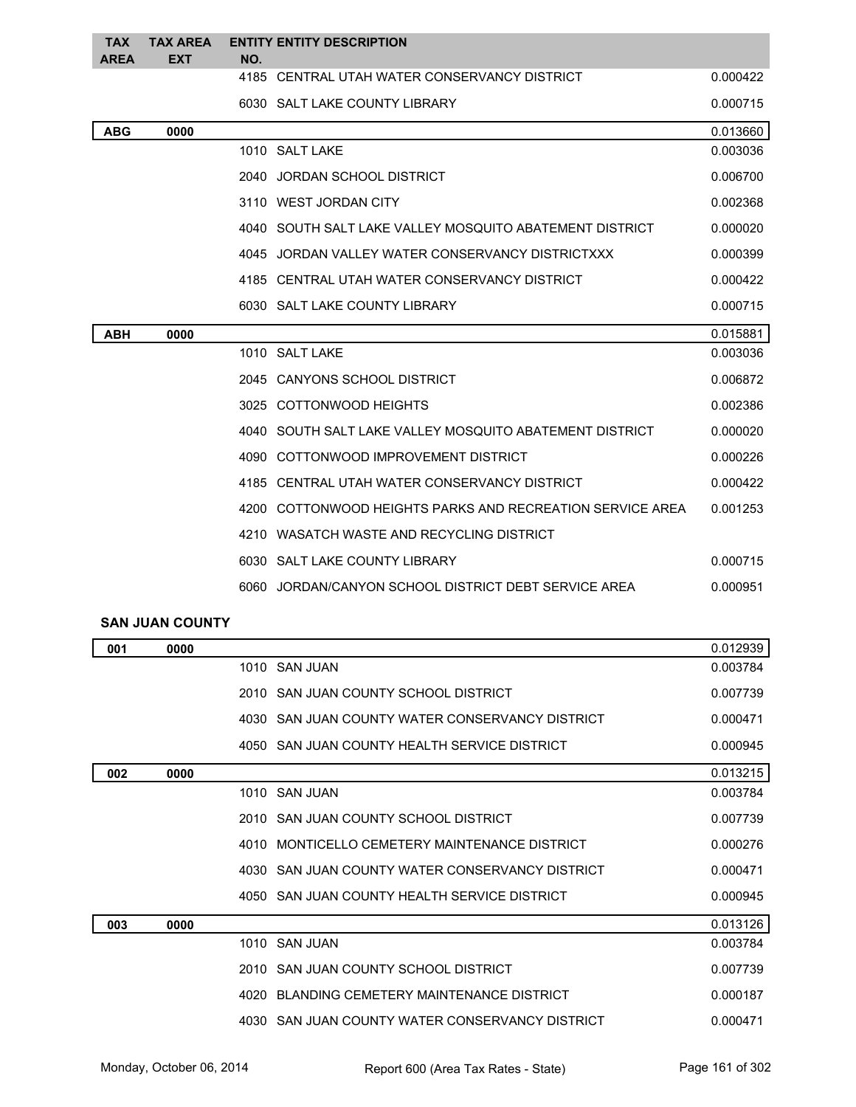| <b>TAX</b><br><b>AREA</b> | <b>TAX AREA</b><br><b>EXT</b> | NO.            | <b>ENTITY ENTITY DESCRIPTION</b>                          |          |
|---------------------------|-------------------------------|----------------|-----------------------------------------------------------|----------|
|                           |                               |                | 4185 CENTRAL UTAH WATER CONSERVANCY DISTRICT              | 0.000422 |
|                           |                               |                | 6030 SALT LAKE COUNTY LIBRARY                             | 0.000715 |
| <b>ABG</b>                | 0000                          |                |                                                           | 0.013660 |
|                           |                               | 1010 SALT LAKE |                                                           | 0.003036 |
|                           |                               |                | 2040 JORDAN SCHOOL DISTRICT                               | 0.006700 |
|                           |                               |                | 3110 WEST JORDAN CITY                                     | 0.002368 |
|                           |                               |                | 4040 SOUTH SALT LAKE VALLEY MOSQUITO ABATEMENT DISTRICT   | 0.000020 |
|                           |                               |                | 4045 JORDAN VALLEY WATER CONSERVANCY DISTRICTXXX          | 0.000399 |
|                           |                               |                | 4185 CENTRAL UTAH WATER CONSERVANCY DISTRICT              | 0.000422 |
|                           |                               |                | 6030 SALT LAKE COUNTY LIBRARY                             | 0.000715 |
| <b>ABH</b>                | 0000                          |                |                                                           | 0.015881 |
|                           |                               | 1010 SALT LAKE |                                                           | 0.003036 |
|                           |                               |                | 2045 CANYONS SCHOOL DISTRICT                              | 0.006872 |
|                           |                               |                | 3025 COTTONWOOD HEIGHTS                                   | 0.002386 |
|                           |                               |                | 4040 SOUTH SALT LAKE VALLEY MOSQUITO ABATEMENT DISTRICT   | 0.000020 |
|                           |                               |                | 4090 COTTONWOOD IMPROVEMENT DISTRICT                      | 0.000226 |
|                           |                               |                | 4185 CENTRAL UTAH WATER CONSERVANCY DISTRICT              | 0.000422 |
|                           |                               |                | 4200 COTTONWOOD HEIGHTS PARKS AND RECREATION SERVICE AREA | 0.001253 |
|                           |                               |                | 4210 WASATCH WASTE AND RECYCLING DISTRICT                 |          |
|                           |                               |                | 6030 SALT LAKE COUNTY LIBRARY                             | 0.000715 |
|                           |                               |                | 6060 JORDAN/CANYON SCHOOL DISTRICT DEBT SERVICE AREA      | 0.000951 |

## **SAN JUAN COUNTY**

| 001 | 0000 |                                                  | 0.012939 |
|-----|------|--------------------------------------------------|----------|
|     |      | 1010 SAN JUAN                                    | 0.003784 |
|     |      | 2010 SAN JUAN COUNTY SCHOOL DISTRICT             | 0.007739 |
|     |      | 4030 SAN JUAN COUNTY WATER CONSERVANCY DISTRICT  | 0.000471 |
|     |      | 4050 SAN JUAN COUNTY HEALTH SERVICE DISTRICT     | 0.000945 |
| 002 | 0000 |                                                  | 0.013215 |
|     |      | 1010 SAN JUAN                                    | 0.003784 |
|     |      | 2010 SAN JUAN COUNTY SCHOOL DISTRICT             | 0.007739 |
|     |      | MONTICELLO CEMETERY MAINTENANCE DISTRICT<br>4010 | 0.000276 |
|     |      | 4030 SAN JUAN COUNTY WATER CONSERVANCY DISTRICT  | 0.000471 |
|     |      | 4050 SAN JUAN COUNTY HEALTH SERVICE DISTRICT     | 0.000945 |
| 003 | 0000 |                                                  | 0.013126 |
|     |      | 1010 SAN JUAN                                    | 0.003784 |
|     |      | 2010 SAN JUAN COUNTY SCHOOL DISTRICT             | 0.007739 |
|     |      | 4020 BLANDING CEMETERY MAINTENANCE DISTRICT      | 0.000187 |
|     |      | 4030 SAN JUAN COUNTY WATER CONSERVANCY DISTRICT  | 0.000471 |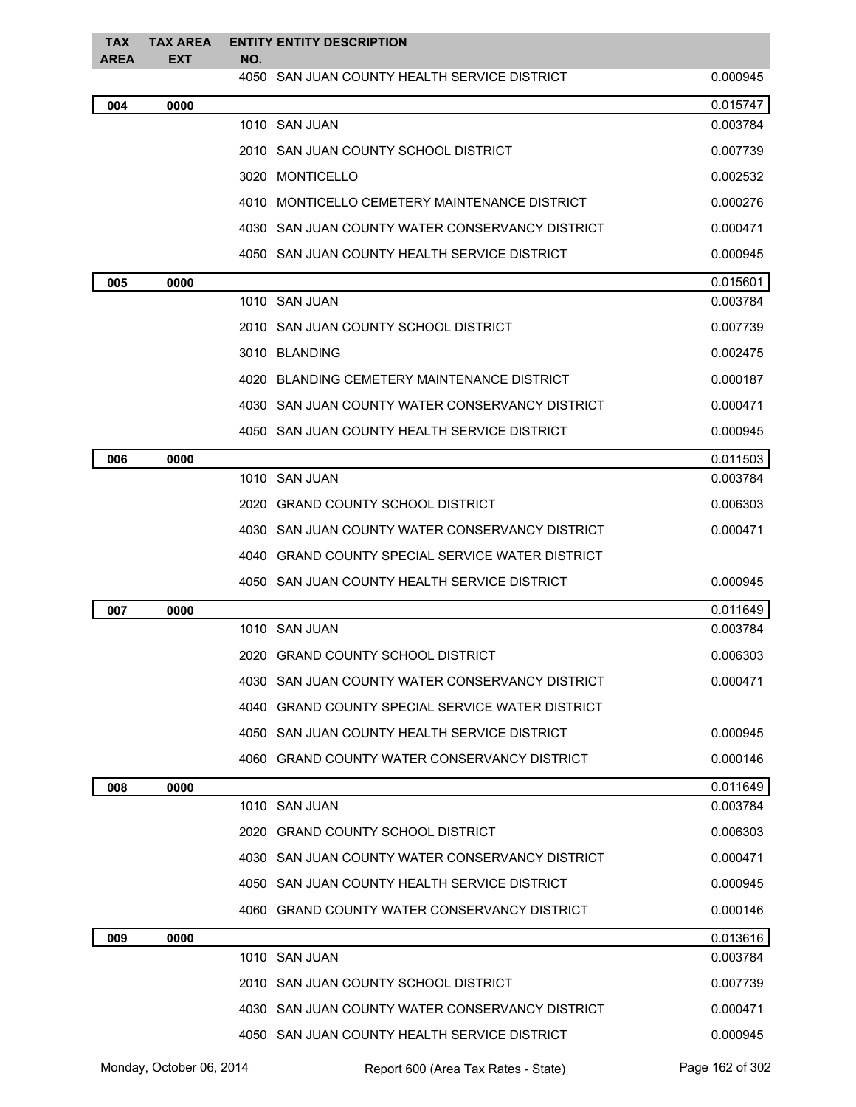| <b>TAX</b><br><b>AREA</b> | <b>TAX AREA</b><br>EXT | <b>ENTITY ENTITY DESCRIPTION</b><br>NO.           |          |
|---------------------------|------------------------|---------------------------------------------------|----------|
|                           |                        | 4050   SAN JUAN COUNTY HEALTH SERVICE DISTRICT    | 0.000945 |
| 004                       | 0000                   |                                                   | 0.015747 |
|                           |                        | 1010 SAN JUAN                                     | 0.003784 |
|                           |                        | 2010 SAN JUAN COUNTY SCHOOL DISTRICT              | 0.007739 |
|                           |                        | 3020 MONTICELLO                                   | 0.002532 |
|                           |                        | 4010 MONTICELLO CEMETERY MAINTENANCE DISTRICT     | 0.000276 |
|                           |                        | 4030 SAN JUAN COUNTY WATER CONSERVANCY DISTRICT   | 0.000471 |
|                           |                        | 4050 SAN JUAN COUNTY HEALTH SERVICE DISTRICT      | 0.000945 |
| 005                       | 0000                   |                                                   | 0.015601 |
|                           |                        | 1010 SAN JUAN                                     | 0.003784 |
|                           |                        | 2010 SAN JUAN COUNTY SCHOOL DISTRICT              | 0.007739 |
|                           |                        | 3010 BLANDING                                     | 0.002475 |
|                           |                        | 4020 BLANDING CEMETERY MAINTENANCE DISTRICT       | 0.000187 |
|                           |                        | 4030 SAN JUAN COUNTY WATER CONSERVANCY DISTRICT   | 0.000471 |
|                           |                        | 4050 SAN JUAN COUNTY HEALTH SERVICE DISTRICT      | 0.000945 |
| 006                       | 0000                   |                                                   | 0.011503 |
|                           |                        | 1010 SAN JUAN                                     | 0.003784 |
|                           |                        | 2020 GRAND COUNTY SCHOOL DISTRICT                 | 0.006303 |
|                           |                        | 4030   SAN JUAN COUNTY WATER CONSERVANCY DISTRICT | 0.000471 |
|                           |                        | 4040 GRAND COUNTY SPECIAL SERVICE WATER DISTRICT  |          |
|                           |                        | 4050 SAN JUAN COUNTY HEALTH SERVICE DISTRICT      | 0.000945 |
| 007                       | 0000                   |                                                   | 0.011649 |
|                           |                        | 1010 SAN JUAN                                     | 0.003784 |
|                           |                        | 2020 GRAND COUNTY SCHOOL DISTRICT                 | 0.006303 |
|                           |                        | 4030 SAN JUAN COUNTY WATER CONSERVANCY DISTRICT   | 0.000471 |
|                           |                        | 4040 GRAND COUNTY SPECIAL SERVICE WATER DISTRICT  |          |
|                           |                        | 4050 SAN JUAN COUNTY HEALTH SERVICE DISTRICT      | 0.000945 |
|                           |                        | 4060 GRAND COUNTY WATER CONSERVANCY DISTRICT      | 0.000146 |
| 008                       | 0000                   |                                                   | 0.011649 |
|                           |                        | 1010 SAN JUAN                                     | 0.003784 |
|                           |                        | 2020 GRAND COUNTY SCHOOL DISTRICT                 | 0.006303 |
|                           |                        | 4030 SAN JUAN COUNTY WATER CONSERVANCY DISTRICT   | 0.000471 |
|                           |                        | 4050 SAN JUAN COUNTY HEALTH SERVICE DISTRICT      | 0.000945 |
|                           |                        | 4060 GRAND COUNTY WATER CONSERVANCY DISTRICT      | 0.000146 |
| 009                       | 0000                   |                                                   | 0.013616 |
|                           |                        | 1010 SAN JUAN                                     | 0.003784 |
|                           |                        | 2010 SAN JUAN COUNTY SCHOOL DISTRICT              | 0.007739 |
|                           |                        | 4030 SAN JUAN COUNTY WATER CONSERVANCY DISTRICT   | 0.000471 |
|                           |                        | 4050 SAN JUAN COUNTY HEALTH SERVICE DISTRICT      | 0.000945 |
|                           |                        |                                                   |          |

Monday, October 06, 2014 Report 600 (Area Tax Rates - State) Rage 162 of 302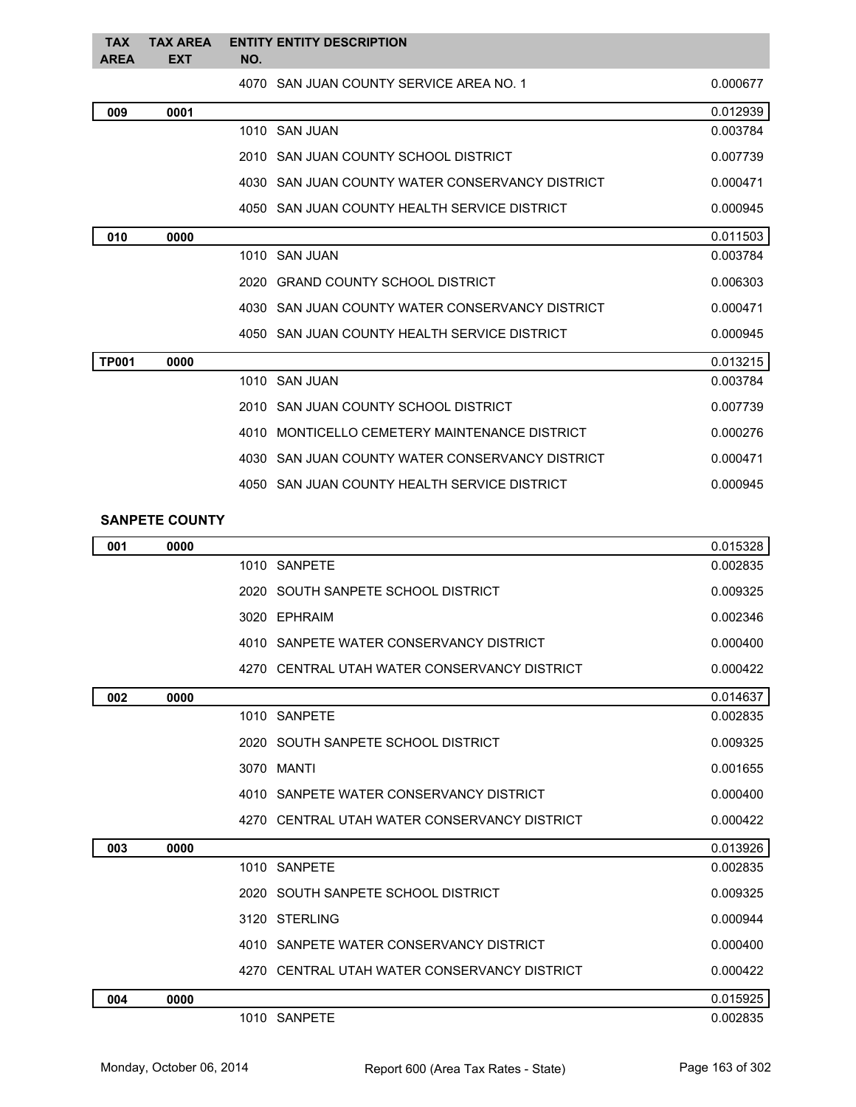| <b>TAX</b><br><b>AREA</b> | <b>TAX AREA</b><br><b>EXT</b> | NO.  | <b>ENTITY ENTITY DESCRIPTION</b>                |          |
|---------------------------|-------------------------------|------|-------------------------------------------------|----------|
|                           |                               |      | 4070 SAN JUAN COUNTY SERVICE AREA NO. 1         | 0.000677 |
| 009                       | 0001                          |      |                                                 | 0.012939 |
|                           |                               |      | 1010 SAN JUAN                                   | 0.003784 |
|                           |                               |      | 2010 SAN JUAN COUNTY SCHOOL DISTRICT            | 0.007739 |
|                           |                               |      | 4030 SAN JUAN COUNTY WATER CONSERVANCY DISTRICT | 0.000471 |
|                           |                               |      | 4050 SAN JUAN COUNTY HEALTH SERVICE DISTRICT    | 0.000945 |
| 010                       | 0000                          |      |                                                 | 0.011503 |
|                           |                               |      | 1010 SAN JUAN                                   | 0.003784 |
|                           |                               |      | 2020 GRAND COUNTY SCHOOL DISTRICT               | 0.006303 |
|                           |                               |      | 4030 SAN JUAN COUNTY WATER CONSERVANCY DISTRICT | 0.000471 |
|                           |                               |      | 4050 SAN JUAN COUNTY HEALTH SERVICE DISTRICT    | 0.000945 |
| <b>TP001</b>              | 0000                          |      |                                                 | 0.013215 |
|                           |                               |      | 1010 SAN JUAN                                   | 0.003784 |
|                           |                               |      | 2010 SAN JUAN COUNTY SCHOOL DISTRICT            | 0.007739 |
|                           |                               | 4010 | MONTICELLO CEMETERY MAINTENANCE DISTRICT        | 0.000276 |
|                           |                               |      | 4030 SAN JUAN COUNTY WATER CONSERVANCY DISTRICT | 0.000471 |
|                           |                               |      | 4050 SAN JUAN COUNTY HEALTH SERVICE DISTRICT    | 0.000945 |

## **SANPETE COUNTY**

| 001 | 0000 |                                              | 0.015328 |
|-----|------|----------------------------------------------|----------|
|     |      | 1010 SANPETE                                 | 0.002835 |
|     |      | 2020 SOUTH SANPETE SCHOOL DISTRICT           | 0.009325 |
|     |      | 3020 EPHRAIM                                 | 0.002346 |
|     |      | 4010 SANPETE WATER CONSERVANCY DISTRICT      | 0.000400 |
|     |      | 4270 CENTRAL UTAH WATER CONSERVANCY DISTRICT | 0.000422 |
| 002 | 0000 |                                              | 0.014637 |
|     |      | 1010 SANPETE                                 | 0.002835 |
|     |      | 2020 SOUTH SANPETE SCHOOL DISTRICT           | 0.009325 |
|     |      | 3070 MANTI                                   | 0.001655 |
|     |      | 4010 SANPETE WATER CONSERVANCY DISTRICT      | 0.000400 |
|     |      | 4270 CENTRAL UTAH WATER CONSERVANCY DISTRICT | 0.000422 |
| 003 | 0000 |                                              | 0.013926 |
|     |      | 1010 SANPETE                                 | 0.002835 |
|     |      | 2020 SOUTH SANPETE SCHOOL DISTRICT           | 0.009325 |
|     |      | 3120 STERLING                                | 0.000944 |
|     |      | 4010 SANPETE WATER CONSERVANCY DISTRICT      | 0.000400 |
|     |      | 4270 CENTRAL UTAH WATER CONSERVANCY DISTRICT | 0.000422 |
| 004 | 0000 |                                              | 0.015925 |
|     |      | 1010 SANPETE                                 | 0.002835 |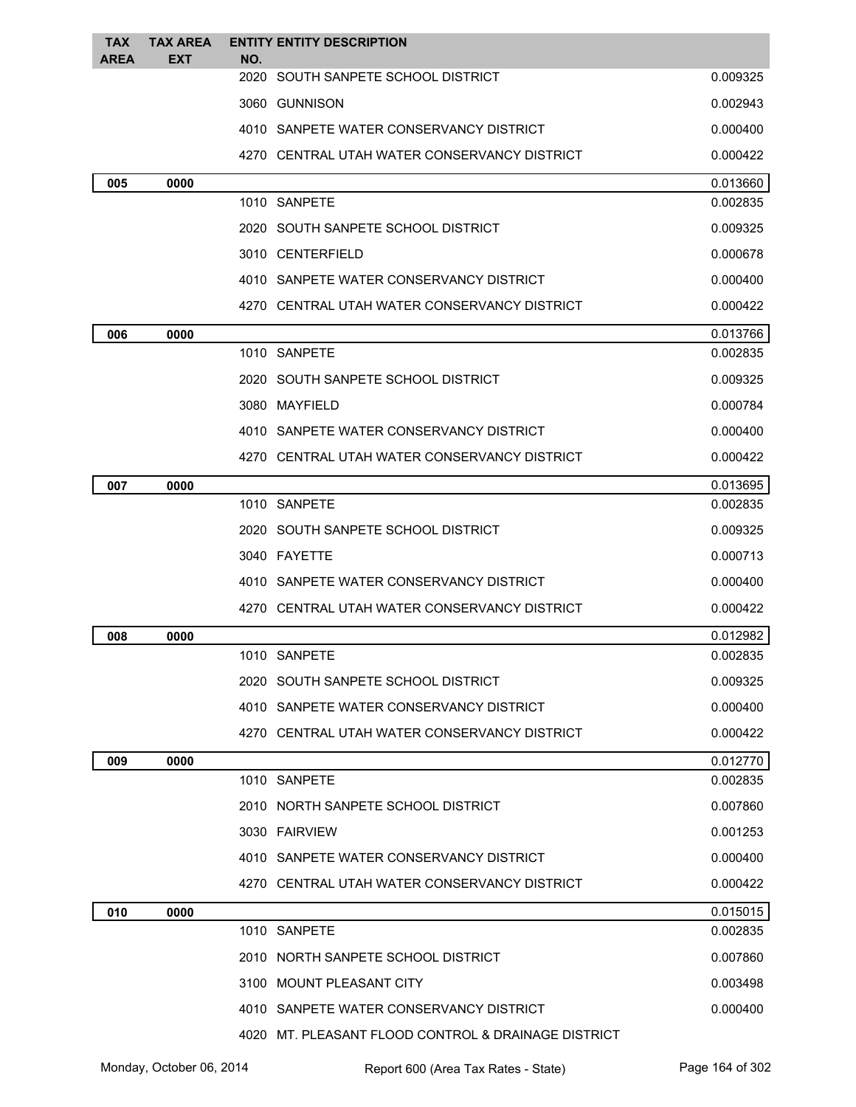| <b>TAX</b><br><b>AREA</b> | <b>TAX AREA</b><br><b>EXT</b> | <b>ENTITY ENTITY DESCRIPTION</b><br>NO.             |          |
|---------------------------|-------------------------------|-----------------------------------------------------|----------|
|                           |                               | 2020 SOUTH SANPETE SCHOOL DISTRICT                  | 0.009325 |
|                           |                               | 3060 GUNNISON                                       | 0.002943 |
|                           |                               | 4010 SANPETE WATER CONSERVANCY DISTRICT             | 0.000400 |
|                           |                               | 4270 CENTRAL UTAH WATER CONSERVANCY DISTRICT        | 0.000422 |
| 005                       | 0000                          |                                                     | 0.013660 |
|                           |                               | 1010 SANPETE                                        | 0.002835 |
|                           |                               | 2020 SOUTH SANPETE SCHOOL DISTRICT                  | 0.009325 |
|                           |                               | 3010 CENTERFIELD                                    | 0.000678 |
|                           |                               | 4010 SANPETE WATER CONSERVANCY DISTRICT             | 0.000400 |
|                           |                               | 4270 CENTRAL UTAH WATER CONSERVANCY DISTRICT        | 0.000422 |
| 006                       | 0000                          |                                                     | 0.013766 |
|                           |                               | 1010 SANPETE                                        | 0.002835 |
|                           |                               | 2020 SOUTH SANPETE SCHOOL DISTRICT                  | 0.009325 |
|                           |                               | 3080 MAYFIELD                                       | 0.000784 |
|                           |                               | 4010 SANPETE WATER CONSERVANCY DISTRICT             | 0.000400 |
|                           |                               | 4270 CENTRAL UTAH WATER CONSERVANCY DISTRICT        | 0.000422 |
| 007                       | 0000                          |                                                     | 0.013695 |
|                           |                               | 1010 SANPETE                                        | 0.002835 |
|                           |                               | 2020 SOUTH SANPETE SCHOOL DISTRICT                  | 0.009325 |
|                           |                               | 3040 FAYETTE                                        | 0.000713 |
|                           |                               | 4010 SANPETE WATER CONSERVANCY DISTRICT             | 0.000400 |
|                           |                               | 4270 CENTRAL UTAH WATER CONSERVANCY DISTRICT        | 0.000422 |
| 008                       | 0000                          |                                                     | 0.012982 |
|                           |                               | 1010 SANPETE                                        | 0.002835 |
|                           |                               | 2020 SOUTH SANPETE SCHOOL DISTRICT                  | 0.009325 |
|                           |                               | 4010 SANPETE WATER CONSERVANCY DISTRICT             | 0.000400 |
|                           |                               | 4270 CENTRAL UTAH WATER CONSERVANCY DISTRICT        | 0.000422 |
| 009                       | 0000                          |                                                     | 0.012770 |
|                           |                               | 1010 SANPETE                                        | 0.002835 |
|                           |                               | 2010 NORTH SANPETE SCHOOL DISTRICT                  | 0.007860 |
|                           |                               | 3030 FAIRVIEW                                       | 0.001253 |
|                           |                               | 4010 SANPETE WATER CONSERVANCY DISTRICT             | 0.000400 |
|                           |                               | 4270 CENTRAL UTAH WATER CONSERVANCY DISTRICT        | 0.000422 |
| 010                       | 0000                          |                                                     | 0.015015 |
|                           |                               | 1010 SANPETE                                        | 0.002835 |
|                           |                               | 2010 NORTH SANPETE SCHOOL DISTRICT                  | 0.007860 |
|                           |                               | 3100 MOUNT PLEASANT CITY                            | 0.003498 |
|                           |                               | 4010 SANPETE WATER CONSERVANCY DISTRICT             | 0.000400 |
|                           |                               | 4020 MT. PLEASANT FLOOD CONTROL & DRAINAGE DISTRICT |          |

Monday, October 06, 2014 Report 600 (Area Tax Rates - State) Rage 164 of 302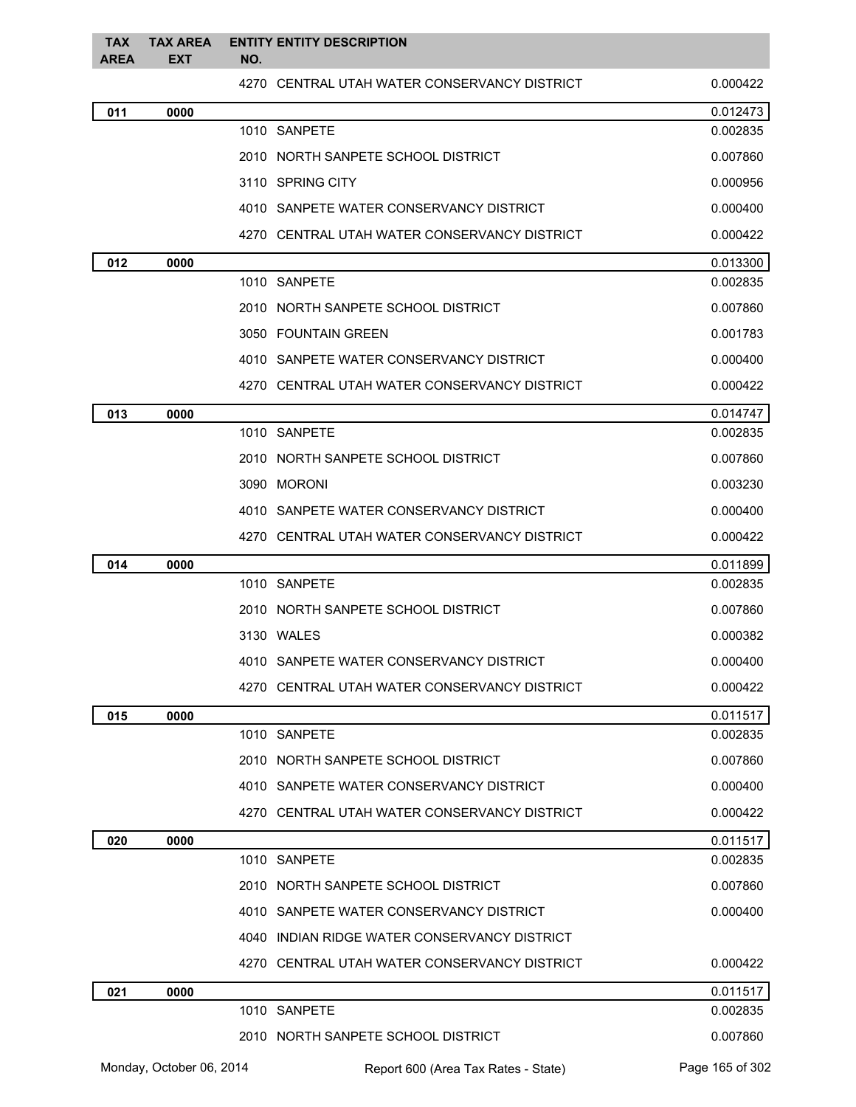| <b>TAX</b><br>AREA | <b>TAX AREA</b><br><b>EXT</b> | NO. | <b>ENTITY ENTITY DESCRIPTION</b>             |                 |
|--------------------|-------------------------------|-----|----------------------------------------------|-----------------|
|                    |                               |     | 4270 CENTRAL UTAH WATER CONSERVANCY DISTRICT | 0.000422        |
| 011                | 0000                          |     |                                              | 0.012473        |
|                    |                               |     | 1010 SANPETE                                 | 0.002835        |
|                    |                               |     | 2010 NORTH SANPETE SCHOOL DISTRICT           | 0.007860        |
|                    |                               |     | 3110 SPRING CITY                             | 0.000956        |
|                    |                               |     | 4010 SANPETE WATER CONSERVANCY DISTRICT      | 0.000400        |
|                    |                               |     | 4270 CENTRAL UTAH WATER CONSERVANCY DISTRICT | 0.000422        |
| 012                | 0000                          |     |                                              | 0.013300        |
|                    |                               |     | 1010 SANPETE                                 | 0.002835        |
|                    |                               |     | 2010 NORTH SANPETE SCHOOL DISTRICT           | 0.007860        |
|                    |                               |     | 3050 FOUNTAIN GREEN                          | 0.001783        |
|                    |                               |     | 4010 SANPETE WATER CONSERVANCY DISTRICT      | 0.000400        |
|                    |                               |     | 4270 CENTRAL UTAH WATER CONSERVANCY DISTRICT | 0.000422        |
| 013                | 0000                          |     |                                              | 0.014747        |
|                    |                               |     | 1010 SANPETE                                 | 0.002835        |
|                    |                               |     | 2010 NORTH SANPETE SCHOOL DISTRICT           | 0.007860        |
|                    |                               |     | 3090 MORONI                                  | 0.003230        |
|                    |                               |     | 4010 SANPETE WATER CONSERVANCY DISTRICT      | 0.000400        |
|                    |                               |     | 4270 CENTRAL UTAH WATER CONSERVANCY DISTRICT | 0.000422        |
| 014                | 0000                          |     |                                              | 0.011899        |
|                    |                               |     | 1010 SANPETE                                 | 0.002835        |
|                    |                               |     | 2010 NORTH SANPETE SCHOOL DISTRICT           | 0.007860        |
|                    |                               |     | 3130 WALES                                   | 0.000382        |
|                    |                               |     | 4010 SANPETE WATER CONSERVANCY DISTRICT      | 0.000400        |
|                    |                               |     | 4270 CENTRAL UTAH WATER CONSERVANCY DISTRICT | 0.000422        |
| 015                | 0000                          |     |                                              | 0.011517        |
|                    |                               |     | 1010 SANPETE                                 | 0.002835        |
|                    |                               |     | 2010 NORTH SANPETE SCHOOL DISTRICT           | 0.007860        |
|                    |                               |     | 4010 SANPETE WATER CONSERVANCY DISTRICT      | 0.000400        |
|                    |                               |     | 4270 CENTRAL UTAH WATER CONSERVANCY DISTRICT | 0.000422        |
| 020                | 0000                          |     |                                              | 0.011517        |
|                    |                               |     | 1010 SANPETE                                 | 0.002835        |
|                    |                               |     | 2010 NORTH SANPETE SCHOOL DISTRICT           | 0.007860        |
|                    |                               |     | 4010 SANPETE WATER CONSERVANCY DISTRICT      | 0.000400        |
|                    |                               |     | 4040 INDIAN RIDGE WATER CONSERVANCY DISTRICT |                 |
|                    |                               |     | 4270 CENTRAL UTAH WATER CONSERVANCY DISTRICT | 0.000422        |
| 021                | 0000                          |     |                                              | 0.011517        |
|                    |                               |     | 1010 SANPETE                                 | 0.002835        |
|                    |                               |     | 2010 NORTH SANPETE SCHOOL DISTRICT           | 0.007860        |
|                    | Monday, October 06, 2014      |     | Report 600 (Area Tax Rates - State)          | Page 165 of 302 |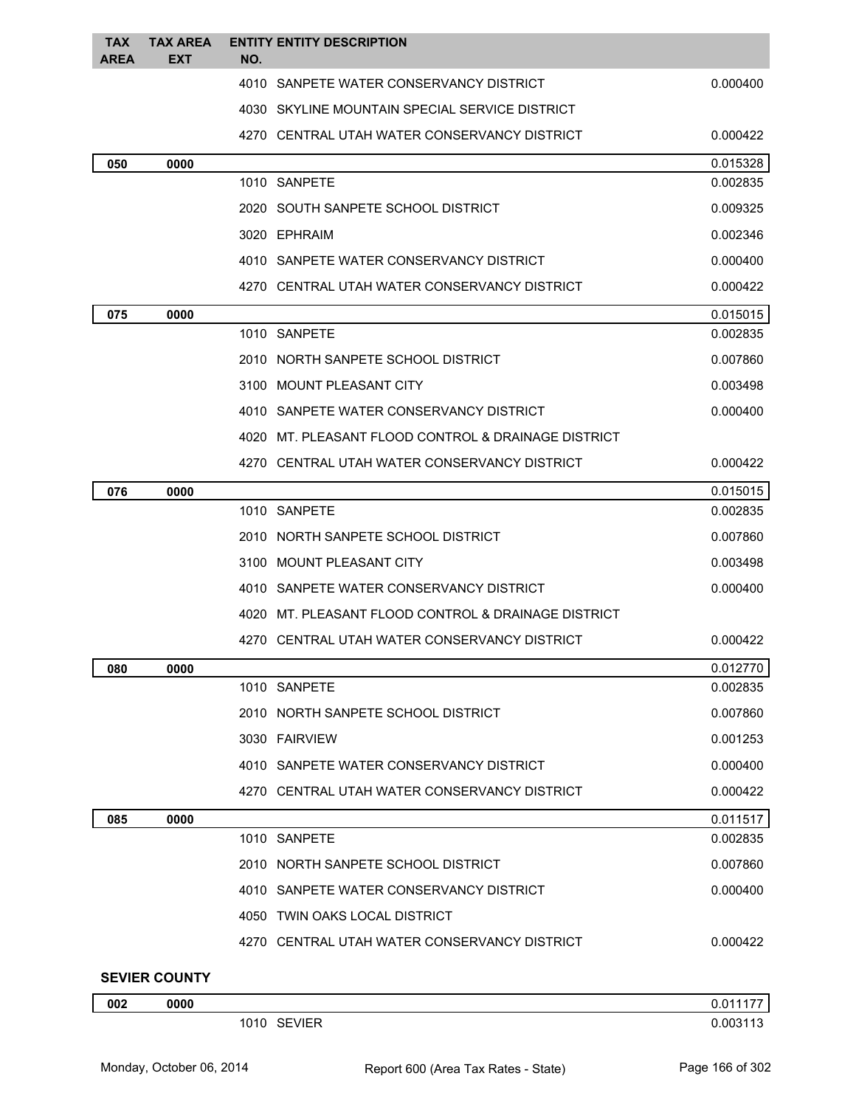| <b>TAX</b>  | <b>TAX AREA</b>      | <b>ENTITY ENTITY DESCRIPTION</b>                    |          |
|-------------|----------------------|-----------------------------------------------------|----------|
| <b>AREA</b> | EXT                  | NO.                                                 |          |
|             |                      | 4010 SANPETE WATER CONSERVANCY DISTRICT             | 0.000400 |
|             |                      | 4030 SKYLINE MOUNTAIN SPECIAL SERVICE DISTRICT      |          |
|             |                      | 4270 CENTRAL UTAH WATER CONSERVANCY DISTRICT        | 0.000422 |
| 050         | 0000                 |                                                     | 0.015328 |
|             |                      | 1010 SANPETE                                        | 0.002835 |
|             |                      | 2020 SOUTH SANPETE SCHOOL DISTRICT                  | 0.009325 |
|             |                      | 3020 EPHRAIM                                        | 0.002346 |
|             |                      | 4010 SANPETE WATER CONSERVANCY DISTRICT             | 0.000400 |
|             |                      | 4270 CENTRAL UTAH WATER CONSERVANCY DISTRICT        | 0.000422 |
| 075         | 0000                 |                                                     | 0.015015 |
|             |                      | 1010 SANPETE                                        | 0.002835 |
|             |                      | 2010 NORTH SANPETE SCHOOL DISTRICT                  | 0.007860 |
|             |                      | 3100 MOUNT PLEASANT CITY                            | 0.003498 |
|             |                      | 4010 SANPETE WATER CONSERVANCY DISTRICT             | 0.000400 |
|             |                      | 4020 MT. PLEASANT FLOOD CONTROL & DRAINAGE DISTRICT |          |
|             |                      | 4270   CENTRAL UTAH WATER CONSERVANCY DISTRICT      | 0.000422 |
| 076         | 0000                 |                                                     | 0.015015 |
|             |                      | 1010 SANPETE                                        | 0.002835 |
|             |                      | 2010 NORTH SANPETE SCHOOL DISTRICT                  | 0.007860 |
|             |                      | 3100 MOUNT PLEASANT CITY                            | 0.003498 |
|             |                      | 4010 SANPETE WATER CONSERVANCY DISTRICT             | 0.000400 |
|             |                      | 4020 MT. PLEASANT FLOOD CONTROL & DRAINAGE DISTRICT |          |
|             |                      | 4270 CENTRAL UTAH WATER CONSERVANCY DISTRICT        | 0.000422 |
| 080         | 0000                 |                                                     | 0.012770 |
|             |                      | 1010 SANPETE                                        | 0.002835 |
|             |                      | 2010 NORTH SANPETE SCHOOL DISTRICT                  | 0.007860 |
|             |                      | 3030 FAIRVIEW                                       | 0.001253 |
|             |                      | 4010 SANPETE WATER CONSERVANCY DISTRICT             | 0.000400 |
|             |                      | 4270 CENTRAL UTAH WATER CONSERVANCY DISTRICT        | 0.000422 |
| 085         | 0000                 |                                                     | 0.011517 |
|             |                      | 1010 SANPETE                                        | 0.002835 |
|             |                      | 2010 NORTH SANPETE SCHOOL DISTRICT                  | 0.007860 |
|             |                      | 4010 SANPETE WATER CONSERVANCY DISTRICT             | 0.000400 |
|             |                      | 4050 TWIN OAKS LOCAL DISTRICT                       |          |
|             |                      | 4270 CENTRAL UTAH WATER CONSERVANCY DISTRICT        | 0.000422 |
|             | <b>SEVIER COUNTY</b> |                                                     |          |
| 002         | 0000                 |                                                     | 0.011177 |
|             |                      | 1010 SEVIER                                         | 0.003113 |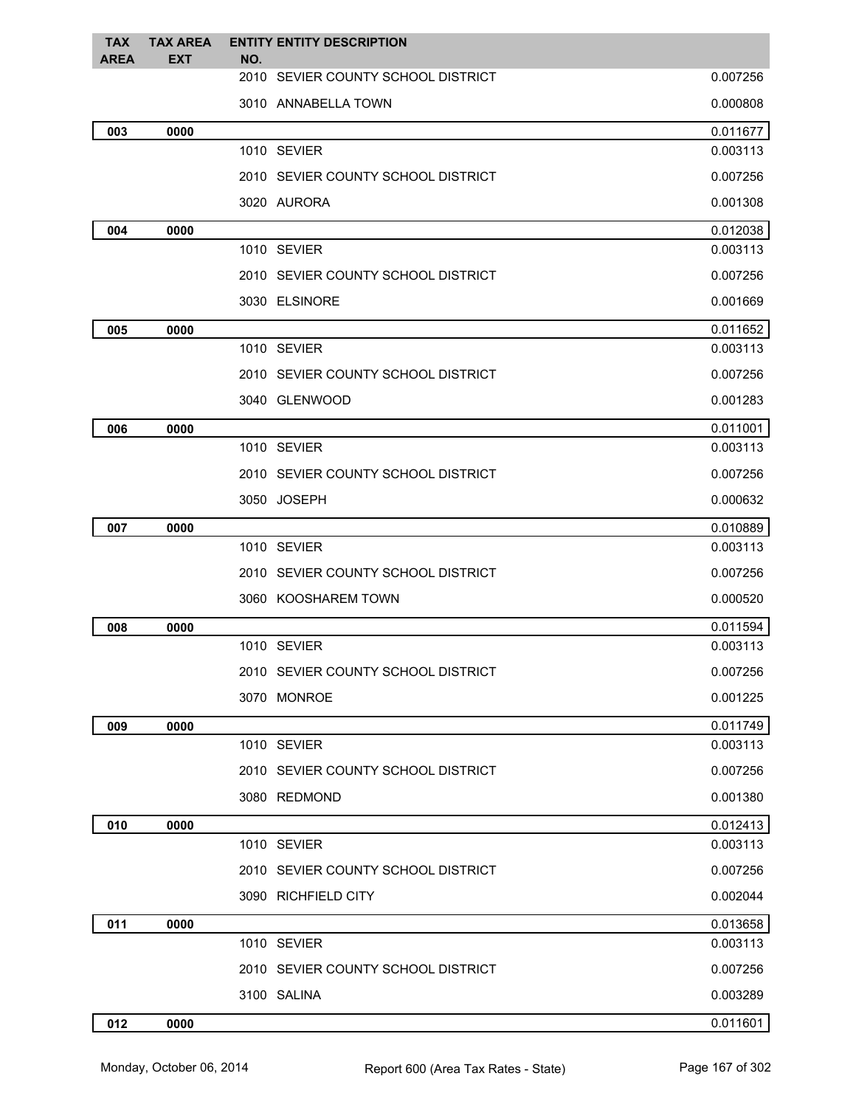| <b>TAX</b><br><b>AREA</b> | <b>TAX AREA</b><br><b>EXT</b> | <b>ENTITY ENTITY DESCRIPTION</b><br>NO. |          |
|---------------------------|-------------------------------|-----------------------------------------|----------|
|                           |                               | 2010 SEVIER COUNTY SCHOOL DISTRICT      | 0.007256 |
|                           |                               | 3010 ANNABELLA TOWN                     | 0.000808 |
| 003                       | 0000                          |                                         | 0.011677 |
|                           |                               | 1010 SEVIER                             | 0.003113 |
|                           |                               | 2010 SEVIER COUNTY SCHOOL DISTRICT      | 0.007256 |
|                           |                               | 3020 AURORA                             | 0.001308 |
| 004                       | 0000                          |                                         | 0.012038 |
|                           |                               | 1010 SEVIER                             | 0.003113 |
|                           |                               | 2010 SEVIER COUNTY SCHOOL DISTRICT      | 0.007256 |
|                           |                               | 3030 ELSINORE                           | 0.001669 |
| 005                       | 0000                          |                                         | 0.011652 |
|                           |                               | 1010 SEVIER                             | 0.003113 |
|                           |                               | 2010 SEVIER COUNTY SCHOOL DISTRICT      | 0.007256 |
|                           |                               | 3040 GLENWOOD                           | 0.001283 |
| 006                       | 0000                          |                                         | 0.011001 |
|                           |                               | 1010 SEVIER                             | 0.003113 |
|                           |                               | 2010 SEVIER COUNTY SCHOOL DISTRICT      | 0.007256 |
|                           |                               | 3050 JOSEPH                             | 0.000632 |
| 007                       | 0000                          |                                         | 0.010889 |
|                           |                               | 1010 SEVIER                             | 0.003113 |
|                           |                               | 2010 SEVIER COUNTY SCHOOL DISTRICT      | 0.007256 |
|                           |                               | 3060 KOOSHAREM TOWN                     | 0.000520 |
| 008                       | 0000                          |                                         | 0.011594 |
|                           |                               | 1010 SEVIER                             | 0.003113 |
|                           |                               | 2010 SEVIER COUNTY SCHOOL DISTRICT      | 0.007256 |
|                           |                               | 3070 MONROE                             | 0.001225 |
| 009                       | 0000                          |                                         | 0.011749 |
|                           |                               | 1010 SEVIER                             | 0.003113 |
|                           |                               | 2010 SEVIER COUNTY SCHOOL DISTRICT      | 0.007256 |
|                           |                               | 3080 REDMOND                            | 0.001380 |
| 010                       | 0000                          |                                         | 0.012413 |
|                           |                               | 1010 SEVIER                             | 0.003113 |
|                           |                               | 2010 SEVIER COUNTY SCHOOL DISTRICT      | 0.007256 |
|                           |                               | 3090 RICHFIELD CITY                     | 0.002044 |
| 011                       | 0000                          |                                         | 0.013658 |
|                           |                               | 1010 SEVIER                             | 0.003113 |
|                           |                               | 2010 SEVIER COUNTY SCHOOL DISTRICT      | 0.007256 |
|                           |                               | 3100 SALINA                             | 0.003289 |
| 012                       | 0000                          |                                         | 0.011601 |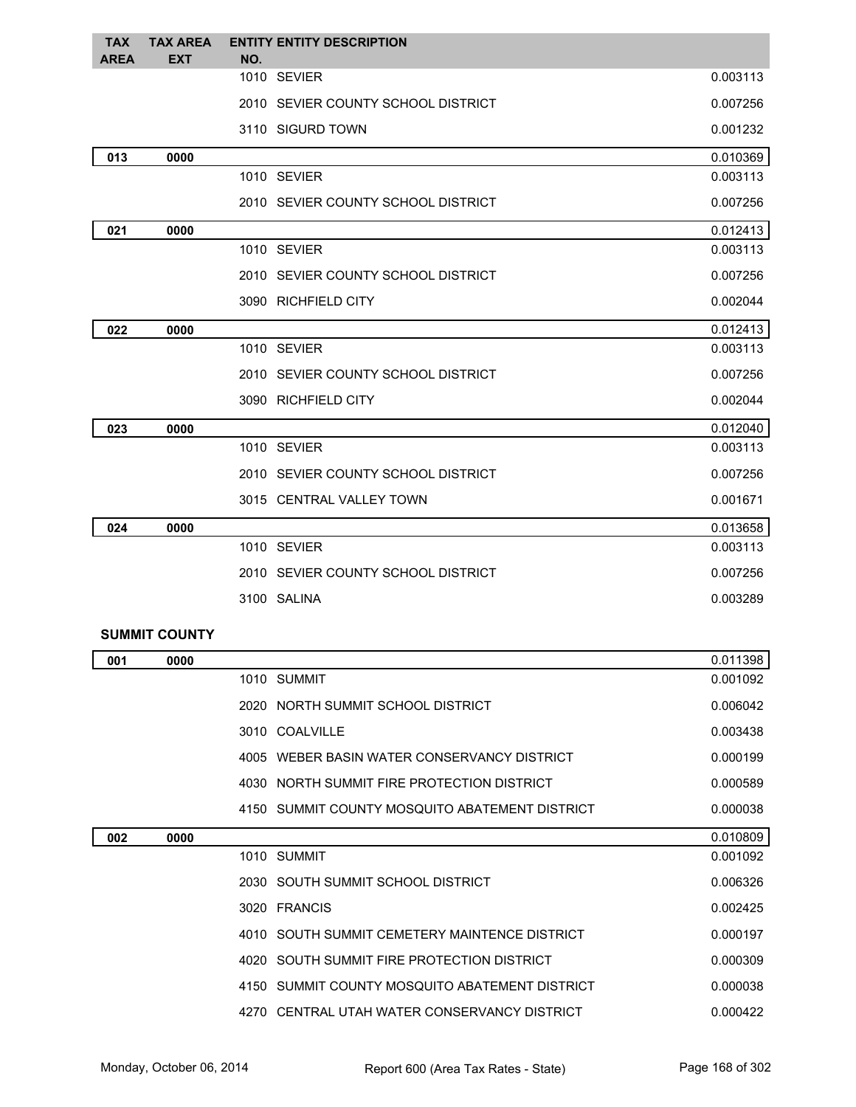| <b>TAX</b>  | <b>TAX AREA</b> | <b>ENTITY ENTITY DESCRIPTION</b>   |          |
|-------------|-----------------|------------------------------------|----------|
| <b>AREA</b> | <b>EXT</b>      | NO.<br>1010 SEVIER                 | 0.003113 |
|             |                 |                                    |          |
|             |                 | 2010 SEVIER COUNTY SCHOOL DISTRICT | 0.007256 |
|             |                 | 3110 SIGURD TOWN                   | 0.001232 |
| 013         | 0000            |                                    | 0.010369 |
|             |                 | 1010 SEVIER                        | 0.003113 |
|             |                 | 2010 SEVIER COUNTY SCHOOL DISTRICT | 0.007256 |
| 021         | 0000            |                                    | 0.012413 |
|             |                 | 1010 SEVIER                        | 0.003113 |
|             |                 | 2010 SEVIER COUNTY SCHOOL DISTRICT | 0.007256 |
|             |                 | 3090 RICHFIELD CITY                | 0.002044 |
| 022         | 0000            |                                    | 0.012413 |
|             |                 | 1010 SEVIER                        | 0.003113 |
|             |                 | 2010 SEVIER COUNTY SCHOOL DISTRICT | 0.007256 |
|             |                 | 3090 RICHFIELD CITY                | 0.002044 |
| 023         | 0000            |                                    | 0.012040 |
|             |                 | 1010 SEVIER                        | 0.003113 |
|             |                 | 2010 SEVIER COUNTY SCHOOL DISTRICT | 0.007256 |
|             |                 | 3015 CENTRAL VALLEY TOWN           | 0.001671 |
| 024         | 0000            |                                    | 0.013658 |
|             |                 | 1010 SEVIER                        | 0.003113 |
|             |                 | 2010 SEVIER COUNTY SCHOOL DISTRICT | 0.007256 |
|             |                 | 3100 SALINA                        | 0.003289 |
|             |                 |                                    |          |

## **SUMMIT COUNTY**

| 001 | 0000 |                                                | 0.011398 |
|-----|------|------------------------------------------------|----------|
|     |      | 1010 SUMMIT                                    | 0.001092 |
|     |      | 2020 NORTH SUMMIT SCHOOL DISTRICT              | 0.006042 |
|     |      | 3010 COALVILLE                                 | 0.003438 |
|     |      | 4005 WEBER BASIN WATER CONSERVANCY DISTRICT    | 0.000199 |
|     |      | 4030 NORTH SUMMIT FIRE PROTECTION DISTRICT     | 0.000589 |
|     |      | 4150 SUMMIT COUNTY MOSQUITO ABATEMENT DISTRICT | 0.000038 |
| 002 | 0000 |                                                | 0.010809 |
|     |      | 1010 SUMMIT                                    | 0.001092 |
|     |      | 2030 SOUTH SUMMIT SCHOOL DISTRICT              | 0.006326 |
|     |      | 3020 FRANCIS                                   | 0.002425 |
|     |      | 4010 SOUTH SUMMIT CEMETERY MAINTENCE DISTRICT  | 0.000197 |
|     |      | 4020 SOUTH SUMMIT FIRE PROTECTION DISTRICT     | 0.000309 |
|     |      | 4150 SUMMIT COUNTY MOSQUITO ABATEMENT DISTRICT | 0.000038 |
|     |      | 4270 CENTRAL UTAH WATER CONSERVANCY DISTRICT   | 0.000422 |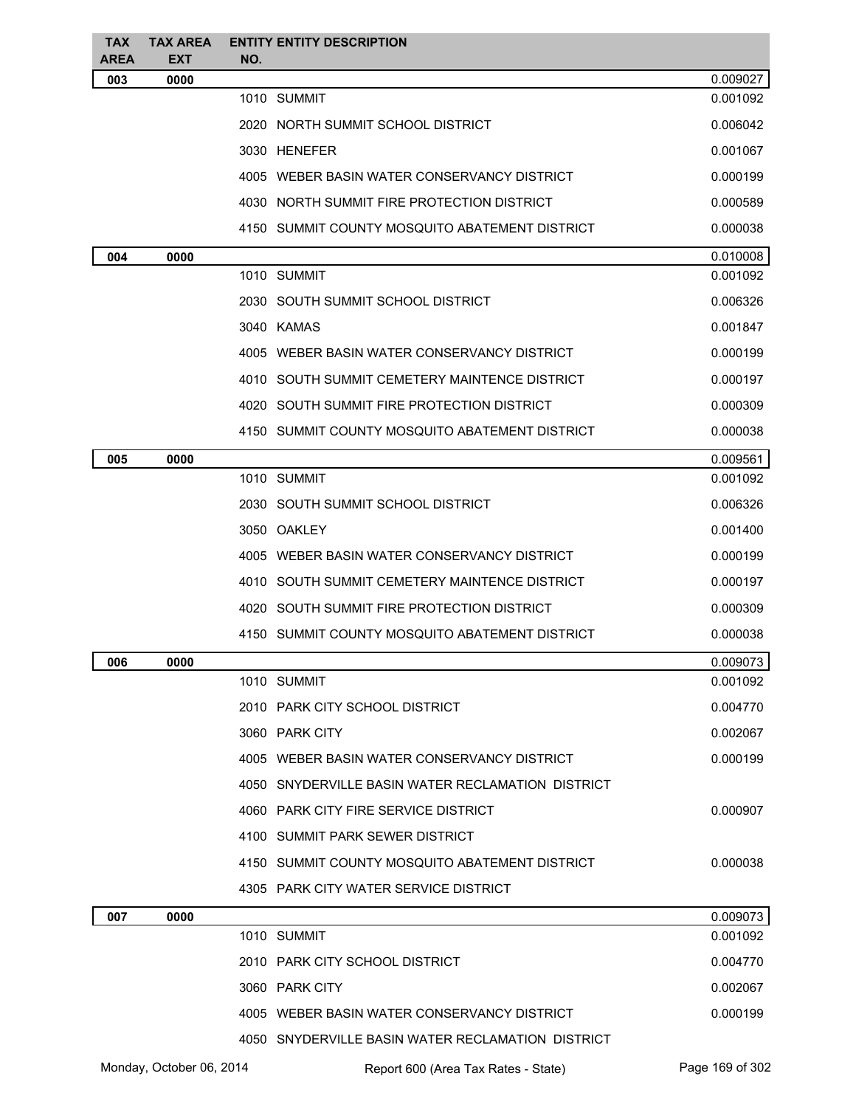| <b>TAX</b><br><b>AREA</b> | <b>TAX AREA</b><br><b>EXT</b> | <b>ENTITY ENTITY DESCRIPTION</b><br>NO.           |          |
|---------------------------|-------------------------------|---------------------------------------------------|----------|
| 003                       | 0000                          |                                                   | 0.009027 |
|                           |                               | 1010 SUMMIT                                       | 0.001092 |
|                           |                               | 2020 NORTH SUMMIT SCHOOL DISTRICT                 | 0.006042 |
|                           |                               | 3030 HENEFER                                      | 0.001067 |
|                           |                               | 4005 WEBER BASIN WATER CONSERVANCY DISTRICT       | 0.000199 |
|                           |                               | 4030 NORTH SUMMIT FIRE PROTECTION DISTRICT        | 0.000589 |
|                           |                               | 4150 SUMMIT COUNTY MOSQUITO ABATEMENT DISTRICT    | 0.000038 |
| 004                       | 0000                          |                                                   | 0.010008 |
|                           |                               | 1010 SUMMIT                                       | 0.001092 |
|                           |                               | 2030 SOUTH SUMMIT SCHOOL DISTRICT                 | 0.006326 |
|                           |                               | 3040 KAMAS                                        | 0.001847 |
|                           |                               | 4005 WEBER BASIN WATER CONSERVANCY DISTRICT       | 0.000199 |
|                           |                               | 4010 SOUTH SUMMIT CEMETERY MAINTENCE DISTRICT     | 0.000197 |
|                           |                               | 4020 SOUTH SUMMIT FIRE PROTECTION DISTRICT        | 0.000309 |
|                           |                               | 4150 SUMMIT COUNTY MOSQUITO ABATEMENT DISTRICT    | 0.000038 |
| 005                       | 0000                          |                                                   | 0.009561 |
|                           |                               | 1010 SUMMIT                                       | 0.001092 |
|                           |                               | 2030 SOUTH SUMMIT SCHOOL DISTRICT                 | 0.006326 |
|                           |                               | 3050 OAKLEY                                       | 0.001400 |
|                           |                               | 4005 WEBER BASIN WATER CONSERVANCY DISTRICT       | 0.000199 |
|                           |                               | 4010 SOUTH SUMMIT CEMETERY MAINTENCE DISTRICT     | 0.000197 |
|                           |                               | 4020 SOUTH SUMMIT FIRE PROTECTION DISTRICT        | 0.000309 |
|                           |                               | 4150 SUMMIT COUNTY MOSQUITO ABATEMENT DISTRICT    | 0.000038 |
| 006                       | 0000                          |                                                   | 0.009073 |
|                           |                               | 1010 SUMMIT                                       | 0.001092 |
|                           |                               | 2010 PARK CITY SCHOOL DISTRICT                    | 0.004770 |
|                           |                               | 3060 PARK CITY                                    | 0.002067 |
|                           |                               | 4005 WEBER BASIN WATER CONSERVANCY DISTRICT       | 0.000199 |
|                           |                               | 4050 SNYDERVILLE BASIN WATER RECLAMATION DISTRICT |          |
|                           |                               | 4060 PARK CITY FIRE SERVICE DISTRICT              | 0.000907 |
|                           |                               | 4100 SUMMIT PARK SEWER DISTRICT                   |          |
|                           |                               | 4150 SUMMIT COUNTY MOSQUITO ABATEMENT DISTRICT    | 0.000038 |
|                           |                               | 4305 PARK CITY WATER SERVICE DISTRICT             |          |
| 007                       | 0000                          |                                                   | 0.009073 |
|                           |                               | 1010 SUMMIT                                       | 0.001092 |
|                           |                               | 2010 PARK CITY SCHOOL DISTRICT                    | 0.004770 |
|                           |                               | 3060 PARK CITY                                    | 0.002067 |
|                           |                               | 4005 WEBER BASIN WATER CONSERVANCY DISTRICT       | 0.000199 |
|                           |                               | 4050 SNYDERVILLE BASIN WATER RECLAMATION DISTRICT |          |

Monday, October 06, 2014 Report 600 (Area Tax Rates - State) Rage 169 of 302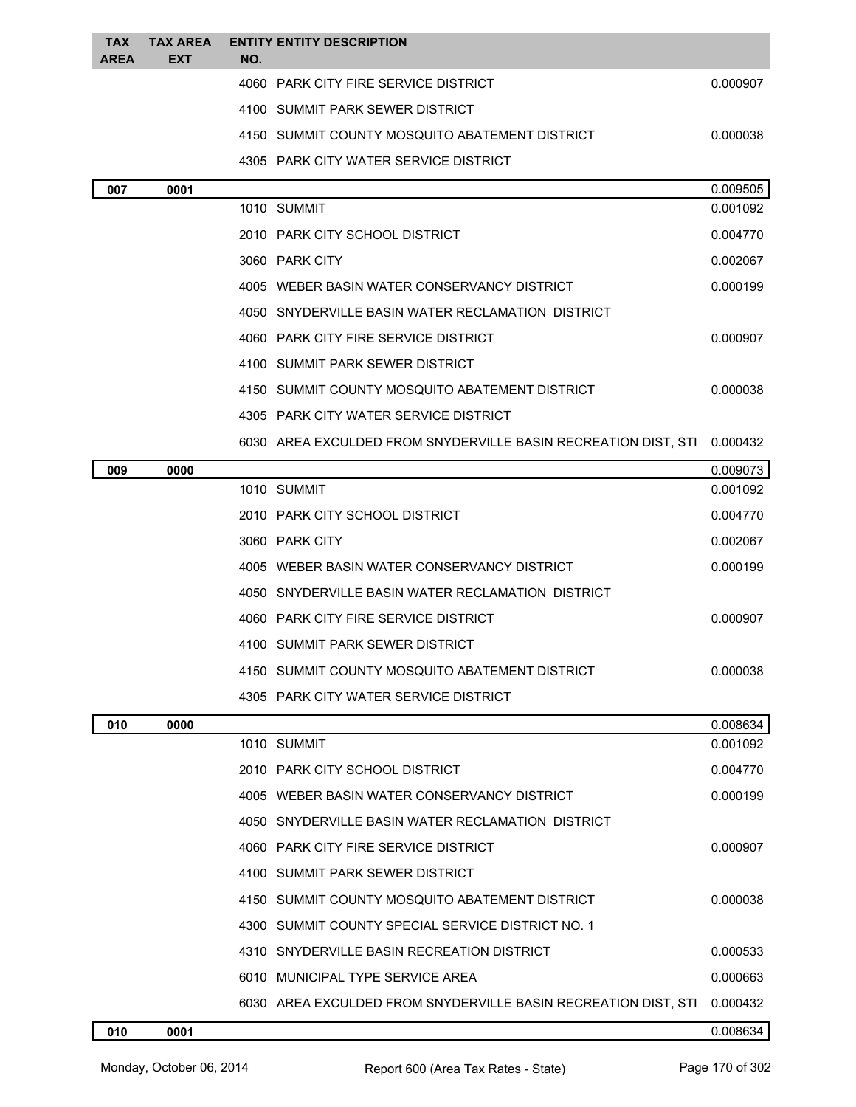| <b>TAX</b><br><b>AREA</b> | <b>TAX AREA</b><br><b>EXT</b> | NO. | <b>ENTITY ENTITY DESCRIPTION</b>                                        |          |
|---------------------------|-------------------------------|-----|-------------------------------------------------------------------------|----------|
|                           |                               |     | 4060 PARK CITY FIRE SERVICE DISTRICT                                    | 0.000907 |
|                           |                               |     | 4100 SUMMIT PARK SEWER DISTRICT                                         |          |
|                           |                               |     | 4150 SUMMIT COUNTY MOSQUITO ABATEMENT DISTRICT                          | 0.000038 |
|                           |                               |     | 4305 PARK CITY WATER SERVICE DISTRICT                                   |          |
| 007                       | 0001                          |     |                                                                         | 0.009505 |
|                           |                               |     | 1010 SUMMIT                                                             | 0.001092 |
|                           |                               |     | 2010 PARK CITY SCHOOL DISTRICT                                          | 0.004770 |
|                           |                               |     | 3060 PARK CITY                                                          | 0.002067 |
|                           |                               |     | 4005 WEBER BASIN WATER CONSERVANCY DISTRICT                             | 0.000199 |
|                           |                               |     | 4050 SNYDERVILLE BASIN WATER RECLAMATION DISTRICT                       |          |
|                           |                               |     | 4060 PARK CITY FIRE SERVICE DISTRICT                                    | 0.000907 |
|                           |                               |     | 4100 SUMMIT PARK SEWER DISTRICT                                         |          |
|                           |                               |     | 4150 SUMMIT COUNTY MOSQUITO ABATEMENT DISTRICT                          | 0.000038 |
|                           |                               |     | 4305 PARK CITY WATER SERVICE DISTRICT                                   |          |
|                           |                               |     | 6030 AREA EXCULDED FROM SNYDERVILLE BASIN RECREATION DIST, STI 0.000432 |          |
| 009                       | 0000                          |     |                                                                         | 0.009073 |
|                           |                               |     | 1010 SUMMIT                                                             | 0.001092 |
|                           |                               |     | 2010 PARK CITY SCHOOL DISTRICT                                          | 0.004770 |
|                           |                               |     | 3060 PARK CITY                                                          | 0.002067 |
|                           |                               |     | 4005 WEBER BASIN WATER CONSERVANCY DISTRICT                             | 0.000199 |
|                           |                               |     | 4050 SNYDERVILLE BASIN WATER RECLAMATION DISTRICT                       |          |
|                           |                               |     | 4060 PARK CITY FIRE SERVICE DISTRICT                                    | 0.000907 |
|                           |                               |     | 4100 SUMMIT PARK SEWER DISTRICT                                         |          |
|                           |                               |     | 4150 SUMMIT COUNTY MOSQUITO ABATEMENT DISTRICT                          | 0.000038 |
|                           |                               |     | 4305 PARK CITY WATER SERVICE DISTRICT                                   |          |
| 010                       | 0000                          |     |                                                                         | 0.008634 |
|                           |                               |     | 1010 SUMMIT                                                             | 0.001092 |
|                           |                               |     | 2010 PARK CITY SCHOOL DISTRICT                                          | 0.004770 |
|                           |                               |     | 4005 WEBER BASIN WATER CONSERVANCY DISTRICT                             | 0.000199 |
|                           |                               |     | 4050 SNYDERVILLE BASIN WATER RECLAMATION DISTRICT                       |          |
|                           |                               |     | 4060 PARK CITY FIRE SERVICE DISTRICT                                    | 0.000907 |
|                           |                               |     | 4100 SUMMIT PARK SEWER DISTRICT                                         |          |
|                           |                               |     | 4150 SUMMIT COUNTY MOSQUITO ABATEMENT DISTRICT                          | 0.000038 |
|                           |                               |     | 4300 SUMMIT COUNTY SPECIAL SERVICE DISTRICT NO. 1                       |          |
|                           |                               |     | 4310 SNYDERVILLE BASIN RECREATION DISTRICT                              | 0.000533 |
|                           |                               |     | 6010 MUNICIPAL TYPE SERVICE AREA                                        | 0.000663 |
|                           |                               |     | 6030 AREA EXCULDED FROM SNYDERVILLE BASIN RECREATION DIST, STI          | 0.000432 |
| 010                       | 0001                          |     |                                                                         | 0.008634 |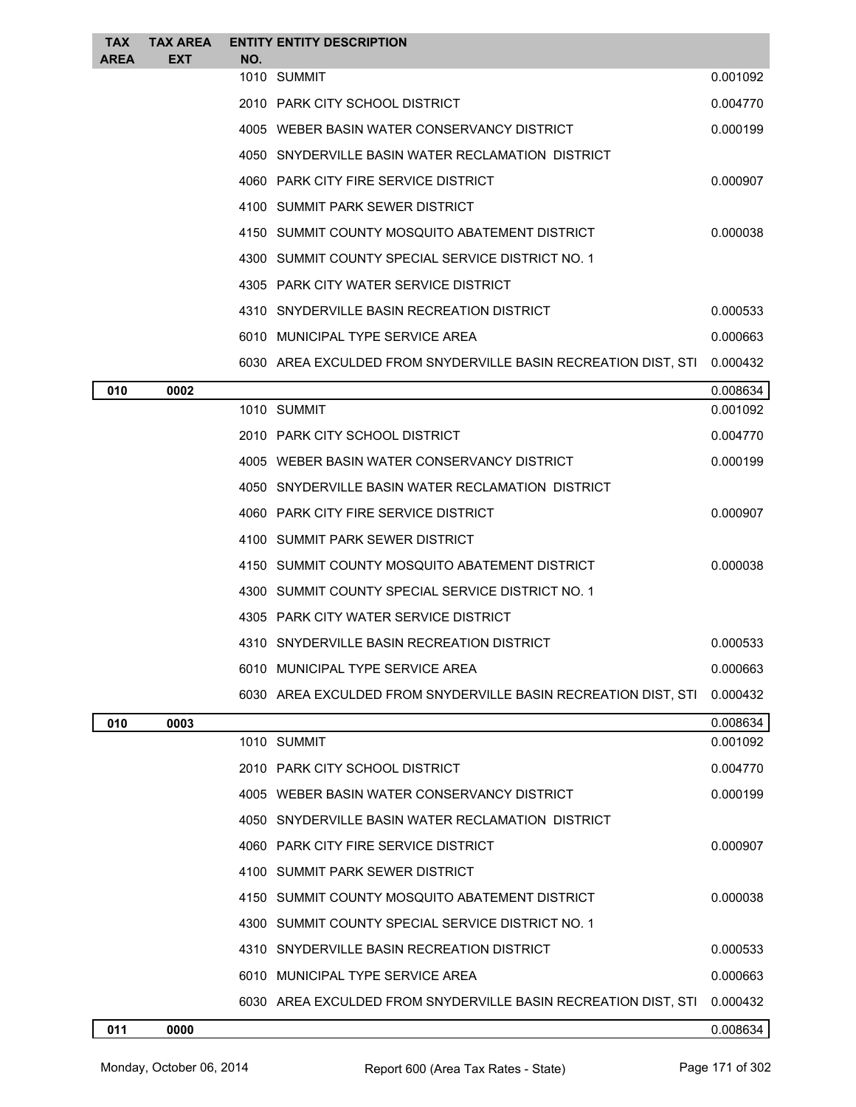| <b>TAX</b>  | <b>TAX AREA</b> |     | <b>ENTITY ENTITY DESCRIPTION</b>                               |          |
|-------------|-----------------|-----|----------------------------------------------------------------|----------|
| <b>AREA</b> | <b>EXT</b>      | NO. | 1010 SUMMIT                                                    | 0.001092 |
|             |                 |     | 2010 PARK CITY SCHOOL DISTRICT                                 | 0.004770 |
|             |                 |     | 4005 WEBER BASIN WATER CONSERVANCY DISTRICT                    | 0.000199 |
|             |                 |     | 4050 SNYDERVILLE BASIN WATER RECLAMATION DISTRICT              |          |
|             |                 |     | 4060 PARK CITY FIRE SERVICE DISTRICT                           | 0.000907 |
|             |                 |     | 4100 SUMMIT PARK SEWER DISTRICT                                |          |
|             |                 |     | 4150 SUMMIT COUNTY MOSQUITO ABATEMENT DISTRICT                 | 0.000038 |
|             |                 |     | 4300 SUMMIT COUNTY SPECIAL SERVICE DISTRICT NO. 1              |          |
|             |                 |     | 4305 PARK CITY WATER SERVICE DISTRICT                          |          |
|             |                 |     | 4310 SNYDERVILLE BASIN RECREATION DISTRICT                     | 0.000533 |
|             |                 |     | 6010 MUNICIPAL TYPE SERVICE AREA                               | 0.000663 |
|             |                 |     | 6030 AREA EXCULDED FROM SNYDERVILLE BASIN RECREATION DIST, STI | 0.000432 |
| 010         | 0002            |     |                                                                | 0.008634 |
|             |                 |     | 1010 SUMMIT                                                    | 0.001092 |
|             |                 |     | 2010 PARK CITY SCHOOL DISTRICT                                 | 0.004770 |
|             |                 |     | 4005 WEBER BASIN WATER CONSERVANCY DISTRICT                    | 0.000199 |
|             |                 |     | 4050 SNYDERVILLE BASIN WATER RECLAMATION DISTRICT              |          |
|             |                 |     | 4060 PARK CITY FIRE SERVICE DISTRICT                           | 0.000907 |
|             |                 |     | 4100 SUMMIT PARK SEWER DISTRICT                                |          |
|             |                 |     | 4150 SUMMIT COUNTY MOSQUITO ABATEMENT DISTRICT                 | 0.000038 |
|             |                 |     | 4300 SUMMIT COUNTY SPECIAL SERVICE DISTRICT NO. 1              |          |
|             |                 |     | 4305 PARK CITY WATER SERVICE DISTRICT                          |          |
|             |                 |     | 4310 SNYDERVILLE BASIN RECREATION DISTRICT                     | 0.000533 |
|             |                 |     | 6010 MUNICIPAL TYPE SERVICE AREA                               | 0.000663 |
|             |                 |     | 6030 AREA EXCULDED FROM SNYDERVILLE BASIN RECREATION DIST, STI | 0.000432 |
| 010         | 0003            |     |                                                                | 0.008634 |
|             |                 |     | 1010 SUMMIT                                                    | 0.001092 |
|             |                 |     | 2010 PARK CITY SCHOOL DISTRICT                                 | 0.004770 |
|             |                 |     | 4005 WEBER BASIN WATER CONSERVANCY DISTRICT                    | 0.000199 |
|             |                 |     | 4050 SNYDERVILLE BASIN WATER RECLAMATION DISTRICT              |          |
|             |                 |     | 4060 PARK CITY FIRE SERVICE DISTRICT                           | 0.000907 |
|             |                 |     | 4100 SUMMIT PARK SEWER DISTRICT                                |          |
|             |                 |     | 4150 SUMMIT COUNTY MOSQUITO ABATEMENT DISTRICT                 | 0.000038 |
|             |                 |     | 4300 SUMMIT COUNTY SPECIAL SERVICE DISTRICT NO. 1              |          |
|             |                 |     | 4310 SNYDERVILLE BASIN RECREATION DISTRICT                     | 0.000533 |
|             |                 |     | 6010 MUNICIPAL TYPE SERVICE AREA                               | 0.000663 |
|             |                 |     | 6030 AREA EXCULDED FROM SNYDERVILLE BASIN RECREATION DIST, STI | 0.000432 |
| 011         | 0000            |     |                                                                | 0.008634 |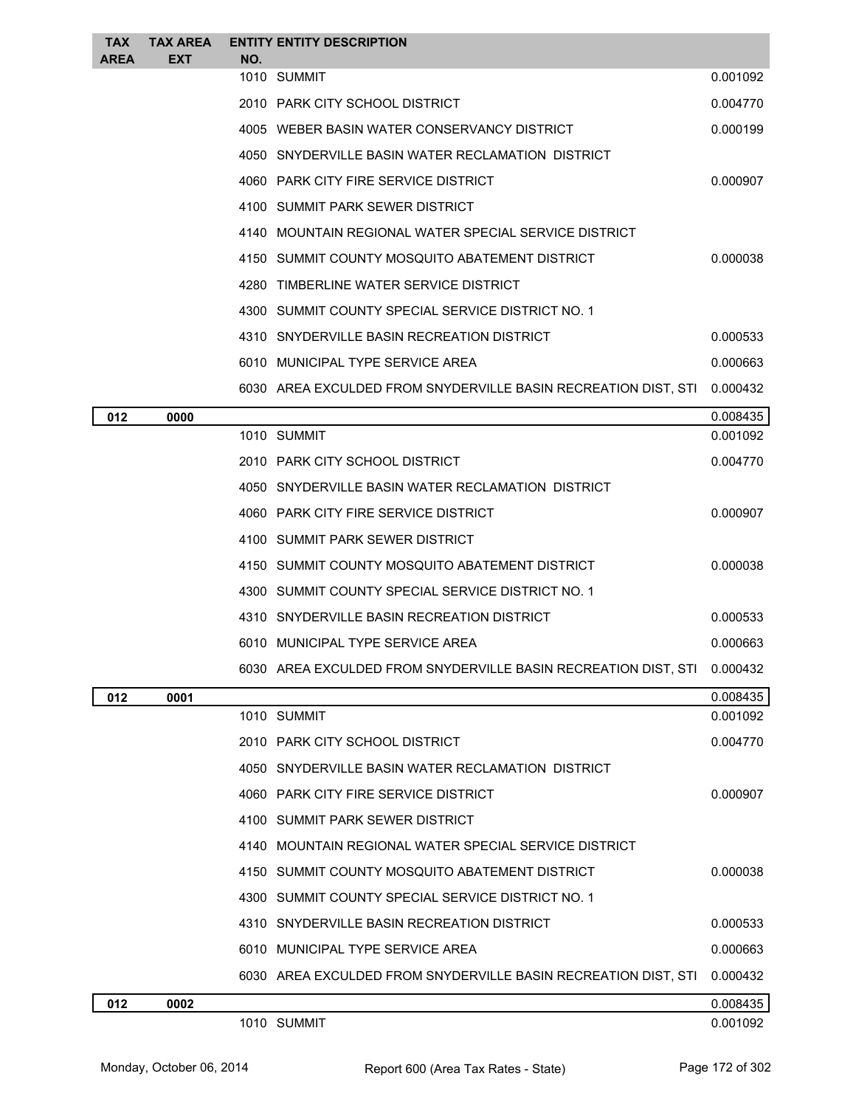| <b>TAX</b><br><b>AREA</b> | <b>TAX AREA</b><br><b>EXT</b> | <b>ENTITY ENTITY DESCRIPTION</b><br>NO.                                 |          |
|---------------------------|-------------------------------|-------------------------------------------------------------------------|----------|
|                           |                               | 1010 SUMMIT                                                             | 0.001092 |
|                           |                               | 2010 PARK CITY SCHOOL DISTRICT                                          | 0.004770 |
|                           |                               | 4005 WEBER BASIN WATER CONSERVANCY DISTRICT                             | 0.000199 |
|                           |                               | 4050 SNYDERVILLE BASIN WATER RECLAMATION DISTRICT                       |          |
|                           |                               | 4060 PARK CITY FIRE SERVICE DISTRICT                                    | 0.000907 |
|                           |                               | 4100 SUMMIT PARK SEWER DISTRICT                                         |          |
|                           |                               | 4140 MOUNTAIN REGIONAL WATER SPECIAL SERVICE DISTRICT                   |          |
|                           |                               | 4150 SUMMIT COUNTY MOSQUITO ABATEMENT DISTRICT                          | 0.000038 |
|                           |                               | 4280 TIMBERLINE WATER SERVICE DISTRICT                                  |          |
|                           |                               | 4300 SUMMIT COUNTY SPECIAL SERVICE DISTRICT NO. 1                       |          |
|                           |                               | 4310 SNYDERVILLE BASIN RECREATION DISTRICT                              | 0.000533 |
|                           |                               | 6010 MUNICIPAL TYPE SERVICE AREA                                        | 0.000663 |
|                           |                               | 6030 AREA EXCULDED FROM SNYDERVILLE BASIN RECREATION DIST, STI          | 0.000432 |
| 012                       | 0000                          |                                                                         | 0.008435 |
|                           |                               | 1010 SUMMIT                                                             | 0.001092 |
|                           |                               | 2010 PARK CITY SCHOOL DISTRICT                                          | 0.004770 |
|                           |                               | 4050 SNYDERVILLE BASIN WATER RECLAMATION DISTRICT                       |          |
|                           |                               | 4060 PARK CITY FIRE SERVICE DISTRICT                                    | 0.000907 |
|                           |                               | 4100 SUMMIT PARK SEWER DISTRICT                                         |          |
|                           |                               | 4150 SUMMIT COUNTY MOSQUITO ABATEMENT DISTRICT                          | 0.000038 |
|                           |                               | 4300 SUMMIT COUNTY SPECIAL SERVICE DISTRICT NO. 1                       |          |
|                           |                               | 4310 SNYDERVILLE BASIN RECREATION DISTRICT                              | 0.000533 |
|                           |                               | 6010 MUNICIPAL TYPE SERVICE AREA                                        | 0.000663 |
|                           |                               | 6030 AREA EXCULDED FROM SNYDERVILLE BASIN RECREATION DIST, STI 0.000432 |          |
| 012                       | 0001                          |                                                                         | 0.008435 |
|                           |                               | 1010 SUMMIT                                                             | 0.001092 |
|                           |                               | 2010 PARK CITY SCHOOL DISTRICT                                          | 0.004770 |
|                           |                               | 4050 SNYDERVILLE BASIN WATER RECLAMATION DISTRICT                       |          |
|                           |                               | 4060 PARK CITY FIRE SERVICE DISTRICT                                    | 0.000907 |
|                           |                               | 4100 SUMMIT PARK SEWER DISTRICT                                         |          |
|                           |                               | 4140 MOUNTAIN REGIONAL WATER SPECIAL SERVICE DISTRICT                   |          |
|                           |                               | 4150 SUMMIT COUNTY MOSQUITO ABATEMENT DISTRICT                          | 0.000038 |
|                           |                               | 4300 SUMMIT COUNTY SPECIAL SERVICE DISTRICT NO. 1                       |          |
|                           |                               | 4310 SNYDERVILLE BASIN RECREATION DISTRICT                              | 0.000533 |
|                           |                               | 6010 MUNICIPAL TYPE SERVICE AREA                                        | 0.000663 |
|                           |                               | 6030 AREA EXCULDED FROM SNYDERVILLE BASIN RECREATION DIST, STI          | 0.000432 |
| 012                       | 0002                          |                                                                         | 0.008435 |
|                           |                               | 1010 SUMMIT                                                             | 0.001092 |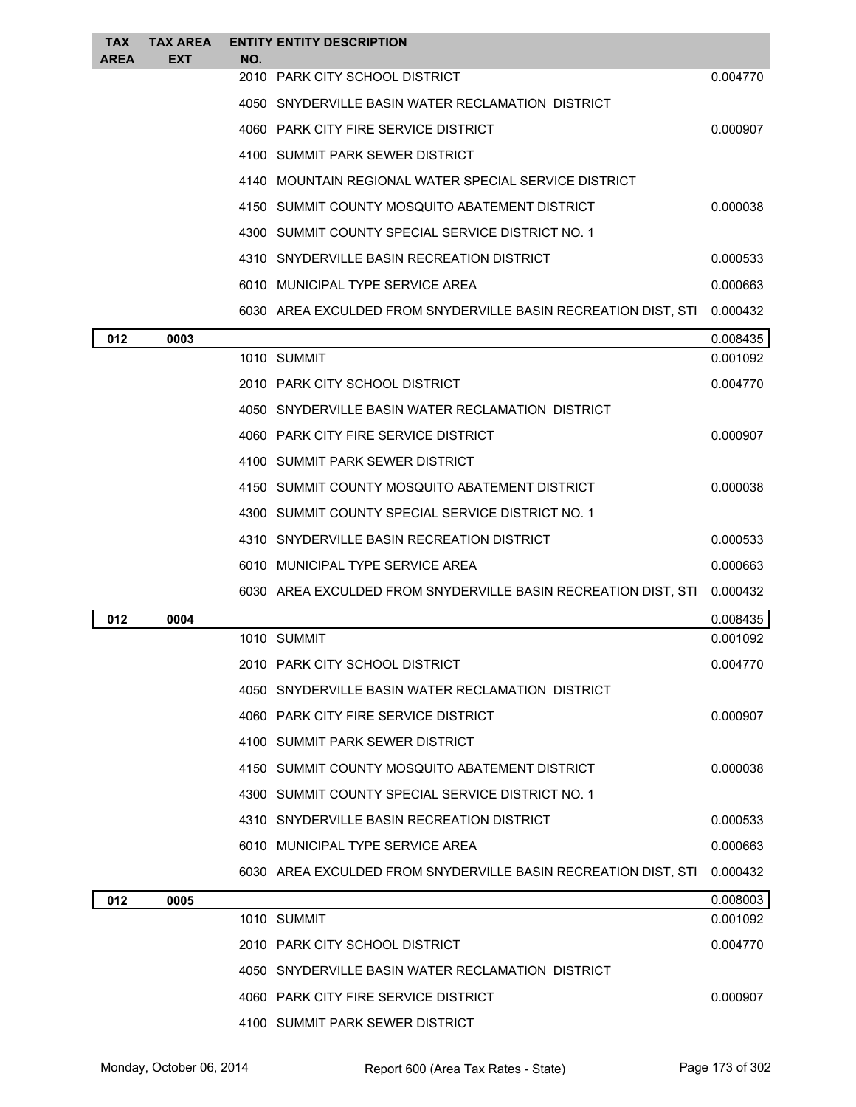| <b>TAX</b><br><b>AREA</b> | <b>TAX AREA</b><br><b>EXT</b> | NO. | <b>ENTITY ENTITY DESCRIPTION</b>                               |          |
|---------------------------|-------------------------------|-----|----------------------------------------------------------------|----------|
|                           |                               |     | 2010 PARK CITY SCHOOL DISTRICT                                 | 0.004770 |
|                           |                               |     | 4050 SNYDERVILLE BASIN WATER RECLAMATION DISTRICT              |          |
|                           |                               |     | 4060 PARK CITY FIRE SERVICE DISTRICT                           | 0.000907 |
|                           |                               |     | 4100 SUMMIT PARK SEWER DISTRICT                                |          |
|                           |                               |     | 4140 MOUNTAIN REGIONAL WATER SPECIAL SERVICE DISTRICT          |          |
|                           |                               |     | 4150 SUMMIT COUNTY MOSQUITO ABATEMENT DISTRICT                 | 0.000038 |
|                           |                               |     | 4300 SUMMIT COUNTY SPECIAL SERVICE DISTRICT NO. 1              |          |
|                           |                               |     | 4310 SNYDERVILLE BASIN RECREATION DISTRICT                     | 0.000533 |
|                           |                               |     | 6010 MUNICIPAL TYPE SERVICE AREA                               | 0.000663 |
|                           |                               |     | 6030 AREA EXCULDED FROM SNYDERVILLE BASIN RECREATION DIST, STI | 0.000432 |
| 012                       | 0003                          |     |                                                                | 0.008435 |
|                           |                               |     | 1010 SUMMIT                                                    | 0.001092 |
|                           |                               |     | 2010 PARK CITY SCHOOL DISTRICT                                 | 0.004770 |
|                           |                               |     | 4050 SNYDERVILLE BASIN WATER RECLAMATION DISTRICT              |          |
|                           |                               |     | 4060 PARK CITY FIRE SERVICE DISTRICT                           | 0.000907 |
|                           |                               |     | 4100 SUMMIT PARK SEWER DISTRICT                                |          |
|                           |                               |     | 4150 SUMMIT COUNTY MOSQUITO ABATEMENT DISTRICT                 | 0.000038 |
|                           |                               |     | 4300 SUMMIT COUNTY SPECIAL SERVICE DISTRICT NO. 1              |          |
|                           |                               |     | 4310 SNYDERVILLE BASIN RECREATION DISTRICT                     | 0.000533 |
|                           |                               |     | 6010 MUNICIPAL TYPE SERVICE AREA                               | 0.000663 |
|                           |                               |     | 6030 AREA EXCULDED FROM SNYDERVILLE BASIN RECREATION DIST, STI | 0.000432 |
| 012                       | 0004                          |     |                                                                | 0.008435 |
|                           |                               |     | 1010 SUMMIT                                                    | 0.001092 |
|                           |                               |     | 2010 PARK CITY SCHOOL DISTRICT                                 | 0.004770 |
|                           |                               |     | 4050 SNYDERVILLE BASIN WATER RECLAMATION DISTRICT              |          |
|                           |                               |     | 4060 PARK CITY FIRE SERVICE DISTRICT                           | 0.000907 |
|                           |                               |     | 4100 SUMMIT PARK SEWER DISTRICT                                |          |
|                           |                               |     | 4150 SUMMIT COUNTY MOSQUITO ABATEMENT DISTRICT                 | 0.000038 |
|                           |                               |     | 4300 SUMMIT COUNTY SPECIAL SERVICE DISTRICT NO. 1              |          |
|                           |                               |     | 4310 SNYDERVILLE BASIN RECREATION DISTRICT                     | 0.000533 |
|                           |                               |     | 6010 MUNICIPAL TYPE SERVICE AREA                               | 0.000663 |
|                           |                               |     | 6030 AREA EXCULDED FROM SNYDERVILLE BASIN RECREATION DIST, STI | 0.000432 |
| 012                       | 0005                          |     |                                                                | 0.008003 |
|                           |                               |     | 1010 SUMMIT                                                    | 0.001092 |
|                           |                               |     | 2010 PARK CITY SCHOOL DISTRICT                                 | 0.004770 |
|                           |                               |     | 4050 SNYDERVILLE BASIN WATER RECLAMATION DISTRICT              |          |
|                           |                               |     | 4060 PARK CITY FIRE SERVICE DISTRICT                           | 0.000907 |
|                           |                               |     | 4100 SUMMIT PARK SEWER DISTRICT                                |          |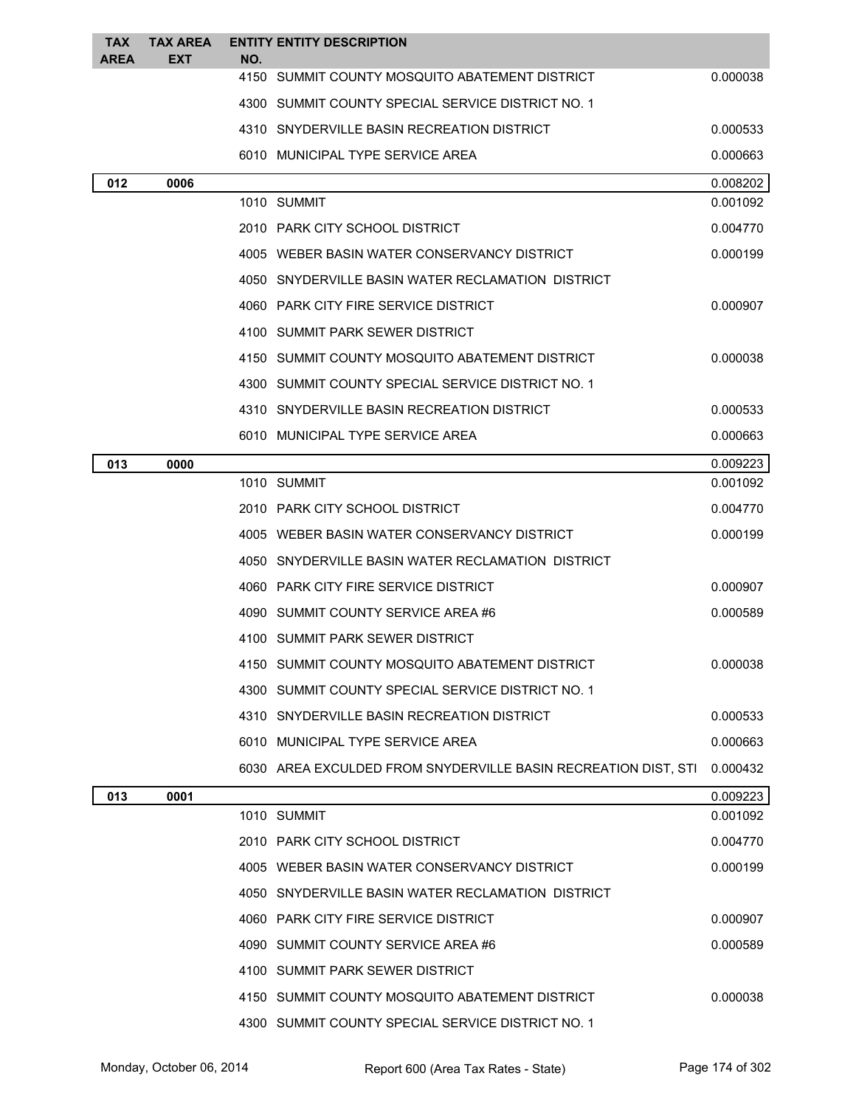| <b>TAX</b><br><b>AREA</b> | <b>TAX AREA</b><br>EXT | NO. | <b>ENTITY ENTITY DESCRIPTION</b>                               |          |
|---------------------------|------------------------|-----|----------------------------------------------------------------|----------|
|                           |                        |     | 4150 SUMMIT COUNTY MOSQUITO ABATEMENT DISTRICT                 | 0.000038 |
|                           |                        |     | 4300 SUMMIT COUNTY SPECIAL SERVICE DISTRICT NO. 1              |          |
|                           |                        |     | 4310 SNYDERVILLE BASIN RECREATION DISTRICT                     | 0.000533 |
|                           |                        |     | 6010 MUNICIPAL TYPE SERVICE AREA                               | 0.000663 |
| 012                       | 0006                   |     |                                                                | 0.008202 |
|                           |                        |     | 1010 SUMMIT                                                    | 0.001092 |
|                           |                        |     | 2010 PARK CITY SCHOOL DISTRICT                                 | 0.004770 |
|                           |                        |     | 4005 WEBER BASIN WATER CONSERVANCY DISTRICT                    | 0.000199 |
|                           |                        |     | 4050 SNYDERVILLE BASIN WATER RECLAMATION DISTRICT              |          |
|                           |                        |     | 4060 PARK CITY FIRE SERVICE DISTRICT                           | 0.000907 |
|                           |                        |     | 4100 SUMMIT PARK SEWER DISTRICT                                |          |
|                           |                        |     | 4150 SUMMIT COUNTY MOSQUITO ABATEMENT DISTRICT                 | 0.000038 |
|                           |                        |     | 4300 SUMMIT COUNTY SPECIAL SERVICE DISTRICT NO. 1              |          |
|                           |                        |     | 4310 SNYDERVILLE BASIN RECREATION DISTRICT                     | 0.000533 |
|                           |                        |     | 6010 MUNICIPAL TYPE SERVICE AREA                               | 0.000663 |
| 013                       | 0000                   |     |                                                                | 0.009223 |
|                           |                        |     | 1010 SUMMIT                                                    | 0.001092 |
|                           |                        |     | 2010 PARK CITY SCHOOL DISTRICT                                 | 0.004770 |
|                           |                        |     | 4005 WEBER BASIN WATER CONSERVANCY DISTRICT                    | 0.000199 |
|                           |                        |     | 4050 SNYDERVILLE BASIN WATER RECLAMATION DISTRICT              |          |
|                           |                        |     | 4060 PARK CITY FIRE SERVICE DISTRICT                           | 0.000907 |
|                           |                        |     | 4090 SUMMIT COUNTY SERVICE AREA #6                             | 0.000589 |
|                           |                        |     | 4100 SUMMIT PARK SEWER DISTRICT                                |          |
|                           |                        |     | 4150 SUMMIT COUNTY MOSQUITO ABATEMENT DISTRICT                 | 0.000038 |
|                           |                        |     | 4300 SUMMIT COUNTY SPECIAL SERVICE DISTRICT NO. 1              |          |
|                           |                        |     | 4310 SNYDERVILLE BASIN RECREATION DISTRICT                     | 0.000533 |
|                           |                        |     | 6010 MUNICIPAL TYPE SERVICE AREA                               | 0.000663 |
|                           |                        |     | 6030 AREA EXCULDED FROM SNYDERVILLE BASIN RECREATION DIST, STI | 0.000432 |
| 013                       | 0001                   |     |                                                                | 0.009223 |
|                           |                        |     | 1010 SUMMIT                                                    | 0.001092 |
|                           |                        |     | 2010 PARK CITY SCHOOL DISTRICT                                 | 0.004770 |
|                           |                        |     | 4005 WEBER BASIN WATER CONSERVANCY DISTRICT                    | 0.000199 |
|                           |                        |     | 4050 SNYDERVILLE BASIN WATER RECLAMATION DISTRICT              |          |
|                           |                        |     | 4060 PARK CITY FIRE SERVICE DISTRICT                           | 0.000907 |
|                           |                        |     | 4090 SUMMIT COUNTY SERVICE AREA #6                             | 0.000589 |
|                           |                        |     | 4100 SUMMIT PARK SEWER DISTRICT                                |          |
|                           |                        |     | 4150 SUMMIT COUNTY MOSQUITO ABATEMENT DISTRICT                 | 0.000038 |
|                           |                        |     | 4300 SUMMIT COUNTY SPECIAL SERVICE DISTRICT NO. 1              |          |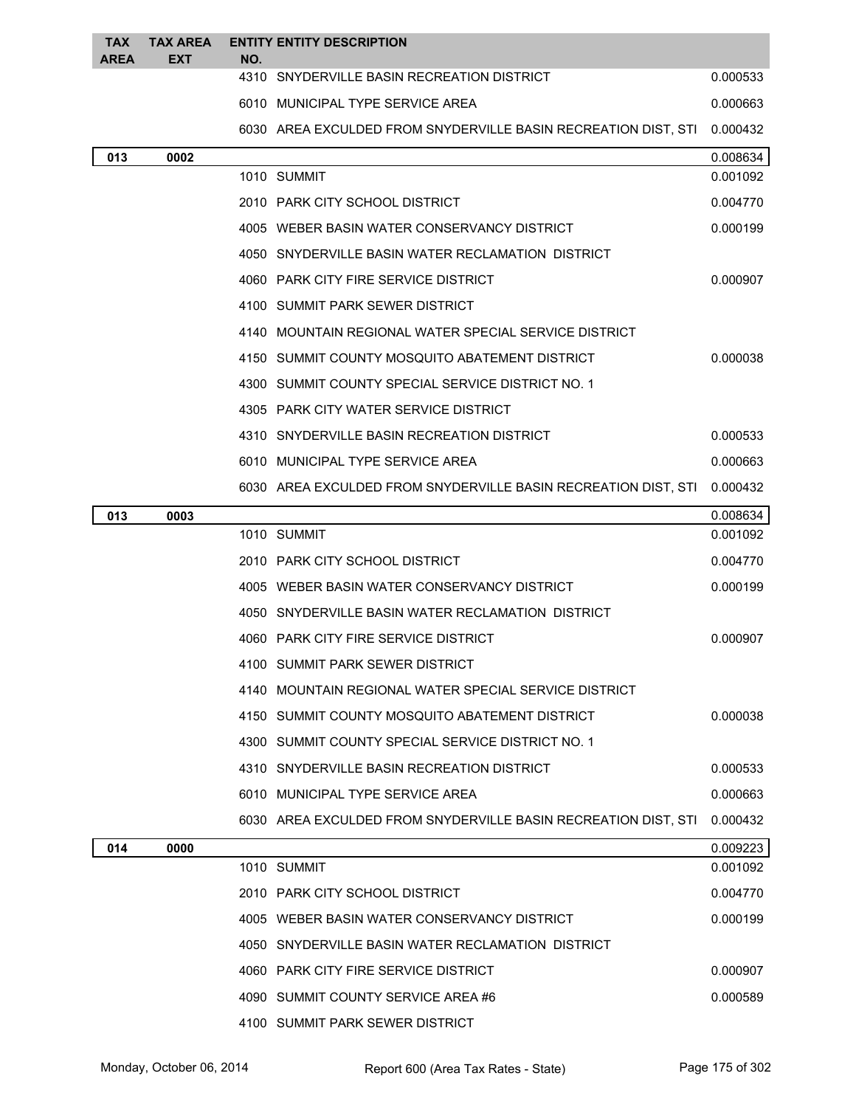| <b>TAX</b><br><b>AREA</b> | <b>TAX AREA</b><br><b>EXT</b> | NO. | <b>ENTITY ENTITY DESCRIPTION</b>                               |          |
|---------------------------|-------------------------------|-----|----------------------------------------------------------------|----------|
|                           |                               |     | 4310 SNYDERVILLE BASIN RECREATION DISTRICT                     | 0.000533 |
|                           |                               |     | 6010 MUNICIPAL TYPE SERVICE AREA                               | 0.000663 |
|                           |                               |     | 6030 AREA EXCULDED FROM SNYDERVILLE BASIN RECREATION DIST, STI | 0.000432 |
| 013                       | 0002                          |     |                                                                | 0.008634 |
|                           |                               |     | 1010 SUMMIT                                                    | 0.001092 |
|                           |                               |     | 2010 PARK CITY SCHOOL DISTRICT                                 | 0.004770 |
|                           |                               |     | 4005 WEBER BASIN WATER CONSERVANCY DISTRICT                    | 0.000199 |
|                           |                               |     | 4050 SNYDERVILLE BASIN WATER RECLAMATION DISTRICT              |          |
|                           |                               |     | 4060 PARK CITY FIRE SERVICE DISTRICT                           | 0.000907 |
|                           |                               |     | 4100 SUMMIT PARK SEWER DISTRICT                                |          |
|                           |                               |     | 4140 MOUNTAIN REGIONAL WATER SPECIAL SERVICE DISTRICT          |          |
|                           |                               |     | 4150 SUMMIT COUNTY MOSQUITO ABATEMENT DISTRICT                 | 0.000038 |
|                           |                               |     | 4300 SUMMIT COUNTY SPECIAL SERVICE DISTRICT NO. 1              |          |
|                           |                               |     | 4305 PARK CITY WATER SERVICE DISTRICT                          |          |
|                           |                               |     | 4310 SNYDERVILLE BASIN RECREATION DISTRICT                     | 0.000533 |
|                           |                               |     | 6010 MUNICIPAL TYPE SERVICE AREA                               | 0.000663 |
|                           |                               |     | 6030 AREA EXCULDED FROM SNYDERVILLE BASIN RECREATION DIST, STI | 0.000432 |
| 013                       | 0003                          |     |                                                                | 0.008634 |
|                           |                               |     | 1010 SUMMIT                                                    | 0.001092 |
|                           |                               |     | 2010 PARK CITY SCHOOL DISTRICT                                 | 0.004770 |
|                           |                               |     | 4005 WEBER BASIN WATER CONSERVANCY DISTRICT                    | 0.000199 |
|                           |                               |     | 4050 SNYDERVILLE BASIN WATER RECLAMATION DISTRICT              |          |
|                           |                               |     | 4060 PARK CITY FIRE SERVICE DISTRICT                           | 0.000907 |
|                           |                               |     | 4100 SUMMIT PARK SEWER DISTRICT                                |          |
|                           |                               |     | 4140 MOUNTAIN REGIONAL WATER SPECIAL SERVICE DISTRICT          |          |
|                           |                               |     | 4150 SUMMIT COUNTY MOSQUITO ABATEMENT DISTRICT                 | 0.000038 |
|                           |                               |     | 4300 SUMMIT COUNTY SPECIAL SERVICE DISTRICT NO. 1              |          |
|                           |                               |     | 4310 SNYDERVILLE BASIN RECREATION DISTRICT                     | 0.000533 |
|                           |                               |     | 6010 MUNICIPAL TYPE SERVICE AREA                               | 0.000663 |
|                           |                               |     | 6030 AREA EXCULDED FROM SNYDERVILLE BASIN RECREATION DIST, STI | 0.000432 |
| 014                       | 0000                          |     |                                                                | 0.009223 |
|                           |                               |     | 1010 SUMMIT                                                    | 0.001092 |
|                           |                               |     | 2010 PARK CITY SCHOOL DISTRICT                                 | 0.004770 |
|                           |                               |     | 4005 WEBER BASIN WATER CONSERVANCY DISTRICT                    | 0.000199 |
|                           |                               |     | 4050 SNYDERVILLE BASIN WATER RECLAMATION DISTRICT              |          |
|                           |                               |     | 4060 PARK CITY FIRE SERVICE DISTRICT                           | 0.000907 |
|                           |                               |     | 4090 SUMMIT COUNTY SERVICE AREA #6                             | 0.000589 |
|                           |                               |     | 4100 SUMMIT PARK SEWER DISTRICT                                |          |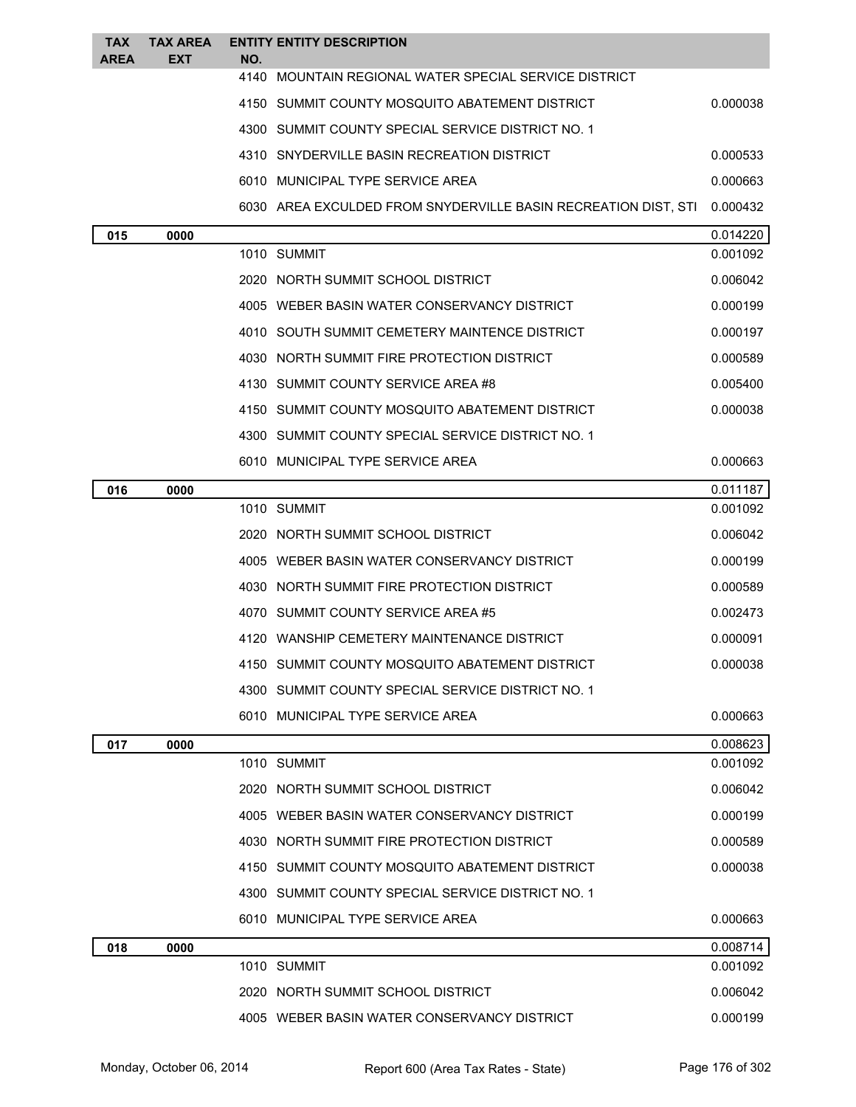| <b>TAX</b><br><b>AREA</b> | <b>TAX AREA</b><br><b>EXT</b> | NO.         | <b>ENTITY ENTITY DESCRIPTION</b>                               |          |
|---------------------------|-------------------------------|-------------|----------------------------------------------------------------|----------|
|                           |                               |             | 4140 MOUNTAIN REGIONAL WATER SPECIAL SERVICE DISTRICT          |          |
|                           |                               |             | 4150 SUMMIT COUNTY MOSQUITO ABATEMENT DISTRICT                 | 0.000038 |
|                           |                               |             | 4300 SUMMIT COUNTY SPECIAL SERVICE DISTRICT NO. 1              |          |
|                           |                               |             | 4310 SNYDERVILLE BASIN RECREATION DISTRICT                     | 0.000533 |
|                           |                               |             | 6010 MUNICIPAL TYPE SERVICE AREA                               | 0.000663 |
|                           |                               |             | 6030 AREA EXCULDED FROM SNYDERVILLE BASIN RECREATION DIST, STI | 0.000432 |
| 015                       | 0000                          |             |                                                                | 0.014220 |
|                           |                               | 1010 SUMMIT |                                                                | 0.001092 |
|                           |                               |             | 2020 NORTH SUMMIT SCHOOL DISTRICT                              | 0.006042 |
|                           |                               |             | 4005 WEBER BASIN WATER CONSERVANCY DISTRICT                    | 0.000199 |
|                           |                               |             | 4010 SOUTH SUMMIT CEMETERY MAINTENCE DISTRICT                  | 0.000197 |
|                           |                               |             | 4030 NORTH SUMMIT FIRE PROTECTION DISTRICT                     | 0.000589 |
|                           |                               |             | 4130 SUMMIT COUNTY SERVICE AREA #8                             | 0.005400 |
|                           |                               |             | 4150 SUMMIT COUNTY MOSQUITO ABATEMENT DISTRICT                 | 0.000038 |
|                           |                               |             | 4300 SUMMIT COUNTY SPECIAL SERVICE DISTRICT NO. 1              |          |
|                           |                               |             | 6010 MUNICIPAL TYPE SERVICE AREA                               | 0.000663 |
| 016                       | 0000                          |             |                                                                | 0.011187 |
|                           |                               | 1010 SUMMIT |                                                                | 0.001092 |
|                           |                               |             | 2020 NORTH SUMMIT SCHOOL DISTRICT                              | 0.006042 |
|                           |                               |             | 4005 WEBER BASIN WATER CONSERVANCY DISTRICT                    | 0.000199 |
|                           |                               |             | 4030 NORTH SUMMIT FIRE PROTECTION DISTRICT                     | 0.000589 |
|                           |                               |             | 4070 SUMMIT COUNTY SERVICE AREA #5                             | 0.002473 |
|                           |                               |             | 4120 WANSHIP CEMETERY MAINTENANCE DISTRICT                     | 0.000091 |
|                           |                               |             | 4150 SUMMIT COUNTY MOSQUITO ABATEMENT DISTRICT                 | 0.000038 |
|                           |                               |             | 4300 SUMMIT COUNTY SPECIAL SERVICE DISTRICT NO. 1              |          |
|                           |                               |             | 6010 MUNICIPAL TYPE SERVICE AREA                               | 0.000663 |
| 017                       | 0000                          |             |                                                                | 0.008623 |
|                           |                               | 1010 SUMMIT |                                                                | 0.001092 |
|                           |                               |             | 2020 NORTH SUMMIT SCHOOL DISTRICT                              | 0.006042 |
|                           |                               |             | 4005 WEBER BASIN WATER CONSERVANCY DISTRICT                    | 0.000199 |
|                           |                               |             | 4030 NORTH SUMMIT FIRE PROTECTION DISTRICT                     | 0.000589 |
|                           |                               |             | 4150 SUMMIT COUNTY MOSQUITO ABATEMENT DISTRICT                 | 0.000038 |
|                           |                               |             | 4300 SUMMIT COUNTY SPECIAL SERVICE DISTRICT NO. 1              |          |
|                           |                               |             | 6010 MUNICIPAL TYPE SERVICE AREA                               | 0.000663 |
| 018                       | 0000                          |             |                                                                | 0.008714 |
|                           |                               | 1010 SUMMIT |                                                                | 0.001092 |
|                           |                               |             | 2020 NORTH SUMMIT SCHOOL DISTRICT                              | 0.006042 |
|                           |                               |             | 4005 WEBER BASIN WATER CONSERVANCY DISTRICT                    | 0.000199 |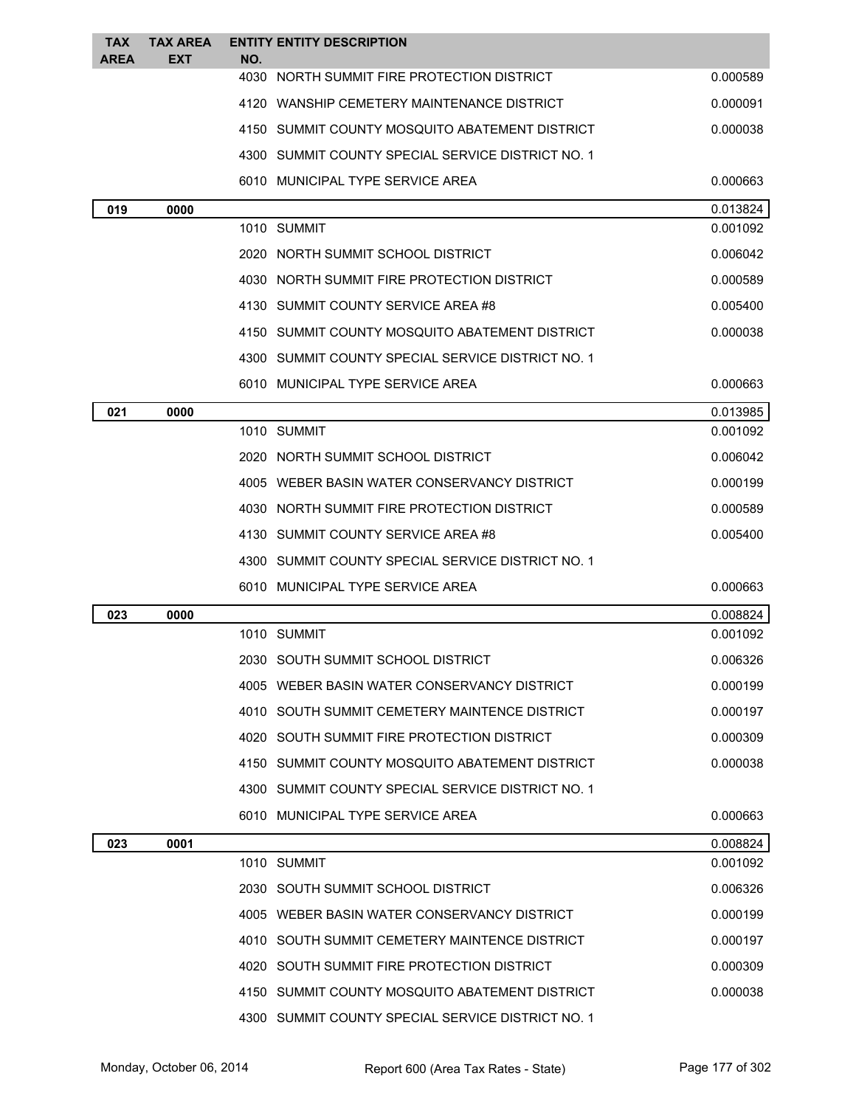| TAX<br><b>AREA</b> | <b>TAX AREA</b><br>EXT | <b>ENTITY ENTITY DESCRIPTION</b><br>NO.           |          |
|--------------------|------------------------|---------------------------------------------------|----------|
|                    |                        | 4030 NORTH SUMMIT FIRE PROTECTION DISTRICT        | 0.000589 |
|                    |                        | 4120 WANSHIP CEMETERY MAINTENANCE DISTRICT        | 0.000091 |
|                    |                        | 4150 SUMMIT COUNTY MOSQUITO ABATEMENT DISTRICT    | 0.000038 |
|                    |                        | 4300 SUMMIT COUNTY SPECIAL SERVICE DISTRICT NO. 1 |          |
|                    |                        | 6010 MUNICIPAL TYPE SERVICE AREA                  | 0.000663 |
| 019                | 0000                   |                                                   | 0.013824 |
|                    |                        | 1010 SUMMIT                                       | 0.001092 |
|                    |                        | 2020   NORTH SUMMIT SCHOOL DISTRICT               | 0.006042 |
|                    |                        | 4030 NORTH SUMMIT FIRE PROTECTION DISTRICT        | 0.000589 |
|                    |                        | 4130 SUMMIT COUNTY SERVICE AREA #8                | 0.005400 |
|                    |                        | 4150 SUMMIT COUNTY MOSQUITO ABATEMENT DISTRICT    | 0.000038 |
|                    |                        | 4300 SUMMIT COUNTY SPECIAL SERVICE DISTRICT NO. 1 |          |
|                    |                        | 6010 MUNICIPAL TYPE SERVICE AREA                  | 0.000663 |
| 021                | 0000                   |                                                   | 0.013985 |
|                    |                        | 1010 SUMMIT                                       | 0.001092 |
|                    |                        | 2020 NORTH SUMMIT SCHOOL DISTRICT                 | 0.006042 |
|                    |                        | 4005 WEBER BASIN WATER CONSERVANCY DISTRICT       | 0.000199 |
|                    |                        | 4030 NORTH SUMMIT FIRE PROTECTION DISTRICT        | 0.000589 |
|                    |                        | 4130 SUMMIT COUNTY SERVICE AREA #8                | 0.005400 |
|                    |                        | 4300 SUMMIT COUNTY SPECIAL SERVICE DISTRICT NO. 1 |          |
|                    |                        | 6010 MUNICIPAL TYPE SERVICE AREA                  | 0.000663 |
| 023                | 0000                   |                                                   | 0.008824 |
|                    |                        | 1010 SUMMIT                                       | 0.001092 |
|                    |                        | 2030 SOUTH SUMMIT SCHOOL DISTRICT                 | 0.006326 |
|                    |                        | 4005 WEBER BASIN WATER CONSERVANCY DISTRICT       | 0.000199 |
|                    |                        | 4010 SOUTH SUMMIT CEMETERY MAINTENCE DISTRICT     | 0.000197 |
|                    |                        | 4020 SOUTH SUMMIT FIRE PROTECTION DISTRICT        | 0.000309 |
|                    |                        | 4150 SUMMIT COUNTY MOSQUITO ABATEMENT DISTRICT    | 0.000038 |
|                    |                        | 4300 SUMMIT COUNTY SPECIAL SERVICE DISTRICT NO. 1 |          |
|                    |                        | 6010 MUNICIPAL TYPE SERVICE AREA                  | 0.000663 |
| 023                | 0001                   |                                                   | 0.008824 |
|                    |                        | 1010 SUMMIT                                       | 0.001092 |
|                    |                        | 2030 SOUTH SUMMIT SCHOOL DISTRICT                 | 0.006326 |
|                    |                        | 4005 WEBER BASIN WATER CONSERVANCY DISTRICT       | 0.000199 |
|                    |                        | 4010 SOUTH SUMMIT CEMETERY MAINTENCE DISTRICT     | 0.000197 |
|                    |                        | 4020 SOUTH SUMMIT FIRE PROTECTION DISTRICT        | 0.000309 |
|                    |                        | 4150 SUMMIT COUNTY MOSQUITO ABATEMENT DISTRICT    | 0.000038 |
|                    |                        | 4300 SUMMIT COUNTY SPECIAL SERVICE DISTRICT NO. 1 |          |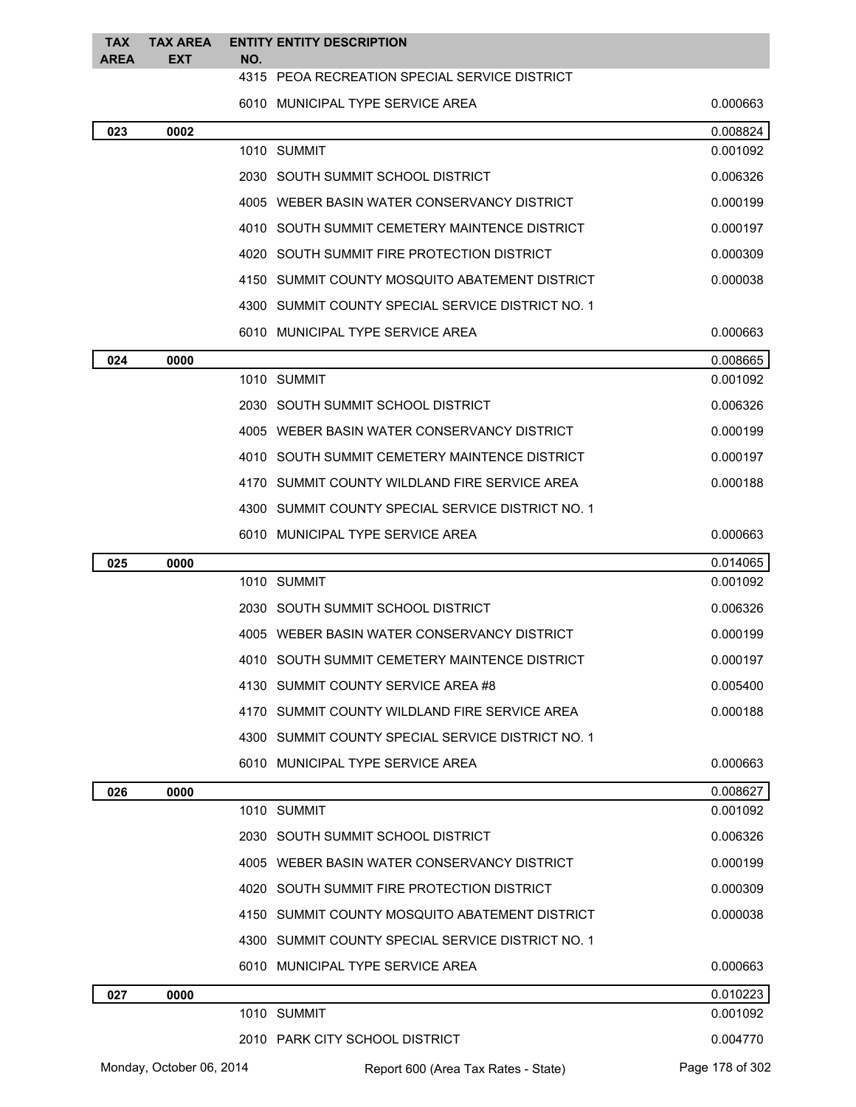| <b>TAX</b><br><b>AREA</b> | <b>TAX AREA</b><br><b>EXT</b> |     | <b>ENTITY ENTITY DESCRIPTION</b>                  |                 |  |  |
|---------------------------|-------------------------------|-----|---------------------------------------------------|-----------------|--|--|
|                           |                               | NO. | 4315 PEOA RECREATION SPECIAL SERVICE DISTRICT     |                 |  |  |
|                           |                               |     | 6010 MUNICIPAL TYPE SERVICE AREA                  | 0.000663        |  |  |
| 023                       | 0002                          |     |                                                   | 0.008824        |  |  |
|                           |                               |     | 1010 SUMMIT                                       | 0.001092        |  |  |
|                           |                               |     | 2030 SOUTH SUMMIT SCHOOL DISTRICT                 | 0.006326        |  |  |
|                           |                               |     | 4005 WEBER BASIN WATER CONSERVANCY DISTRICT       | 0.000199        |  |  |
|                           |                               |     | 4010 SOUTH SUMMIT CEMETERY MAINTENCE DISTRICT     | 0.000197        |  |  |
|                           |                               |     | 4020 SOUTH SUMMIT FIRE PROTECTION DISTRICT        | 0.000309        |  |  |
|                           |                               |     | 4150 SUMMIT COUNTY MOSQUITO ABATEMENT DISTRICT    | 0.000038        |  |  |
|                           |                               |     | 4300 SUMMIT COUNTY SPECIAL SERVICE DISTRICT NO. 1 |                 |  |  |
|                           |                               |     | 6010 MUNICIPAL TYPE SERVICE AREA                  | 0.000663        |  |  |
| 024                       | 0000                          |     |                                                   | 0.008665        |  |  |
|                           |                               |     | 1010 SUMMIT                                       | 0.001092        |  |  |
|                           |                               |     | 2030 SOUTH SUMMIT SCHOOL DISTRICT                 | 0.006326        |  |  |
|                           |                               |     | 4005 WEBER BASIN WATER CONSERVANCY DISTRICT       | 0.000199        |  |  |
|                           |                               |     | 4010 SOUTH SUMMIT CEMETERY MAINTENCE DISTRICT     | 0.000197        |  |  |
|                           |                               |     | 4170 SUMMIT COUNTY WILDLAND FIRE SERVICE AREA     | 0.000188        |  |  |
|                           |                               |     | 4300 SUMMIT COUNTY SPECIAL SERVICE DISTRICT NO. 1 |                 |  |  |
|                           |                               |     | 6010 MUNICIPAL TYPE SERVICE AREA                  | 0.000663        |  |  |
| 025                       | 0000                          |     |                                                   | 0.014065        |  |  |
|                           |                               |     | 1010 SUMMIT                                       | 0.001092        |  |  |
|                           |                               |     | 2030 SOUTH SUMMIT SCHOOL DISTRICT                 | 0.006326        |  |  |
|                           |                               |     | 4005 WEBER BASIN WATER CONSERVANCY DISTRICT       | 0.000199        |  |  |
|                           |                               |     | 4010 SOUTH SUMMIT CEMETERY MAINTENCE DISTRICT     | 0.000197        |  |  |
|                           |                               |     | 4130 SUMMIT COUNTY SERVICE AREA #8                | 0.005400        |  |  |
|                           |                               |     | 4170 SUMMIT COUNTY WILDLAND FIRE SERVICE AREA     | 0.000188        |  |  |
|                           |                               |     | 4300 SUMMIT COUNTY SPECIAL SERVICE DISTRICT NO. 1 |                 |  |  |
|                           |                               |     | 6010 MUNICIPAL TYPE SERVICE AREA                  | 0.000663        |  |  |
| 026                       | 0000                          |     |                                                   | 0.008627        |  |  |
|                           |                               |     | 1010 SUMMIT                                       | 0.001092        |  |  |
|                           |                               |     | 2030 SOUTH SUMMIT SCHOOL DISTRICT                 | 0.006326        |  |  |
|                           |                               |     | 4005 WEBER BASIN WATER CONSERVANCY DISTRICT       | 0.000199        |  |  |
|                           |                               |     | 4020 SOUTH SUMMIT FIRE PROTECTION DISTRICT        | 0.000309        |  |  |
|                           |                               |     | 4150 SUMMIT COUNTY MOSQUITO ABATEMENT DISTRICT    | 0.000038        |  |  |
|                           |                               |     | 4300 SUMMIT COUNTY SPECIAL SERVICE DISTRICT NO. 1 |                 |  |  |
|                           |                               |     | 6010 MUNICIPAL TYPE SERVICE AREA                  | 0.000663        |  |  |
| 027                       | 0000                          |     |                                                   | 0.010223        |  |  |
|                           |                               |     | 1010 SUMMIT                                       | 0.001092        |  |  |
|                           |                               |     | 2010 PARK CITY SCHOOL DISTRICT                    | 0.004770        |  |  |
| Monday, October 06, 2014  |                               |     | Report 600 (Area Tax Rates - State)               | Page 178 of 302 |  |  |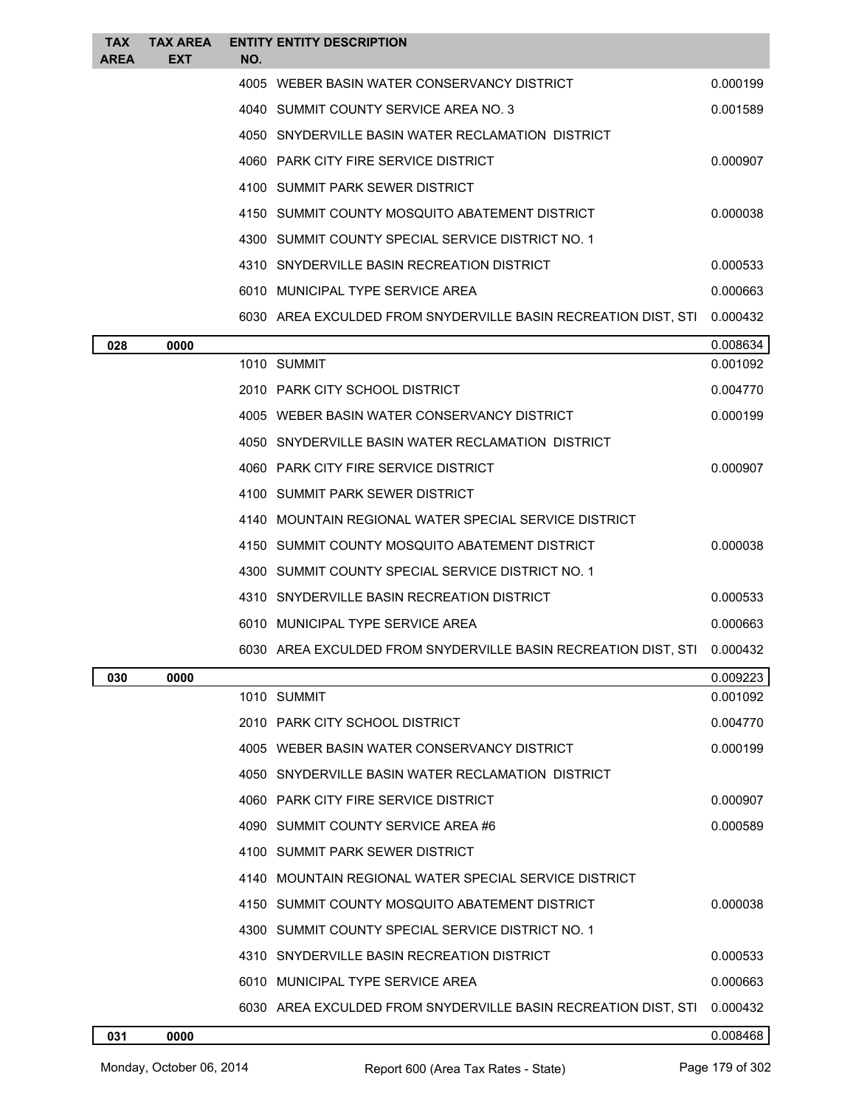| <b>TAX</b><br><b>AREA</b> | <b>TAX AREA</b><br>EXT | NO. | <b>ENTITY ENTITY DESCRIPTION</b>                                                          |          |
|---------------------------|------------------------|-----|-------------------------------------------------------------------------------------------|----------|
|                           |                        |     | 4005 WEBER BASIN WATER CONSERVANCY DISTRICT                                               | 0.000199 |
|                           |                        |     | 4040 SUMMIT COUNTY SERVICE AREA NO. 3                                                     | 0.001589 |
|                           |                        |     | 4050 SNYDERVILLE BASIN WATER RECLAMATION DISTRICT                                         |          |
|                           |                        |     | 4060 PARK CITY FIRE SERVICE DISTRICT                                                      | 0.000907 |
|                           |                        |     | 4100 SUMMIT PARK SEWER DISTRICT                                                           |          |
|                           |                        |     | 4150 SUMMIT COUNTY MOSQUITO ABATEMENT DISTRICT                                            | 0.000038 |
|                           |                        |     | 4300 SUMMIT COUNTY SPECIAL SERVICE DISTRICT NO. 1                                         |          |
|                           |                        |     | 4310 SNYDERVILLE BASIN RECREATION DISTRICT                                                | 0.000533 |
|                           |                        |     | 6010 MUNICIPAL TYPE SERVICE AREA                                                          | 0.000663 |
|                           |                        |     | 6030 AREA EXCULDED FROM SNYDERVILLE BASIN RECREATION DIST, STI                            | 0.000432 |
| 028                       | 0000                   |     |                                                                                           | 0.008634 |
|                           |                        |     | 1010 SUMMIT                                                                               | 0.001092 |
|                           |                        |     | 2010 PARK CITY SCHOOL DISTRICT                                                            | 0.004770 |
|                           |                        |     | 4005 WEBER BASIN WATER CONSERVANCY DISTRICT                                               | 0.000199 |
|                           |                        |     | 4050 SNYDERVILLE BASIN WATER RECLAMATION DISTRICT                                         |          |
|                           |                        |     | 4060 PARK CITY FIRE SERVICE DISTRICT                                                      | 0.000907 |
|                           |                        |     | 4100 SUMMIT PARK SEWER DISTRICT                                                           |          |
|                           |                        |     | 4140 MOUNTAIN REGIONAL WATER SPECIAL SERVICE DISTRICT                                     |          |
|                           |                        |     | 4150 SUMMIT COUNTY MOSQUITO ABATEMENT DISTRICT                                            | 0.000038 |
|                           |                        |     | 4300 SUMMIT COUNTY SPECIAL SERVICE DISTRICT NO. 1                                         |          |
|                           |                        |     | 4310 SNYDERVILLE BASIN RECREATION DISTRICT                                                | 0.000533 |
|                           |                        |     | 6010 MUNICIPAL TYPE SERVICE AREA                                                          | 0.000663 |
|                           |                        |     | 6030 AREA EXCULDED FROM SNYDERVILLE BASIN RECREATION DIST, STI                            | 0.000432 |
| 030                       | 0000                   |     |                                                                                           | 0.009223 |
|                           |                        |     | 1010 SUMMIT                                                                               | 0.001092 |
|                           |                        |     | 2010 PARK CITY SCHOOL DISTRICT                                                            | 0.004770 |
|                           |                        |     | 4005 WEBER BASIN WATER CONSERVANCY DISTRICT                                               | 0.000199 |
|                           |                        |     | 4050 SNYDERVILLE BASIN WATER RECLAMATION DISTRICT<br>4060 PARK CITY FIRE SERVICE DISTRICT | 0.000907 |
|                           |                        |     | 4090 SUMMIT COUNTY SERVICE AREA #6                                                        | 0.000589 |
|                           |                        |     | 4100 SUMMIT PARK SEWER DISTRICT                                                           |          |
|                           |                        |     | 4140 MOUNTAIN REGIONAL WATER SPECIAL SERVICE DISTRICT                                     |          |
|                           |                        |     | 4150 SUMMIT COUNTY MOSQUITO ABATEMENT DISTRICT                                            | 0.000038 |
|                           |                        |     | 4300 SUMMIT COUNTY SPECIAL SERVICE DISTRICT NO. 1                                         |          |
|                           |                        |     | 4310 SNYDERVILLE BASIN RECREATION DISTRICT                                                | 0.000533 |
|                           |                        |     | 6010 MUNICIPAL TYPE SERVICE AREA                                                          | 0.000663 |
|                           |                        |     | 6030 AREA EXCULDED FROM SNYDERVILLE BASIN RECREATION DIST, STI                            | 0.000432 |
| 031                       | 0000                   |     |                                                                                           | 0.008468 |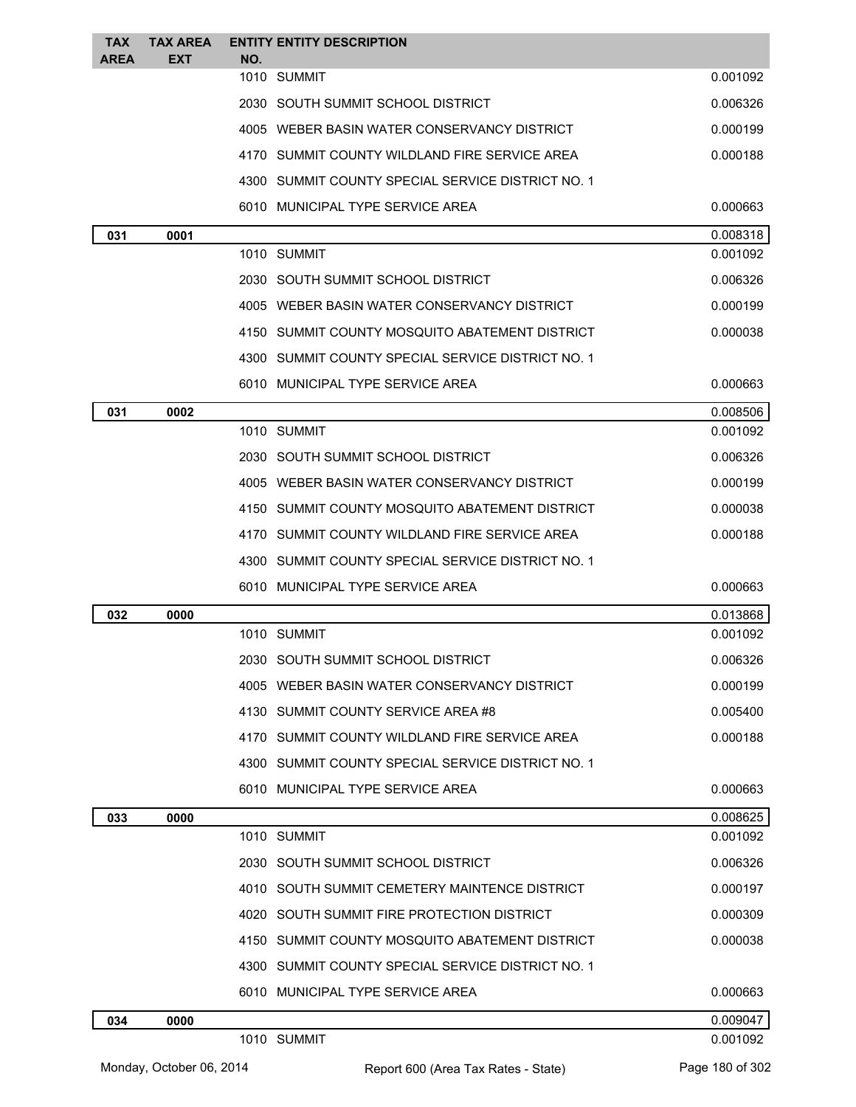| <b>TAX</b><br><b>AREA</b> | <b>TAX AREA</b><br><b>EXT</b> | <b>ENTITY ENTITY DESCRIPTION</b><br>NO.           |          |
|---------------------------|-------------------------------|---------------------------------------------------|----------|
|                           |                               | 1010 SUMMIT                                       | 0.001092 |
|                           |                               | 2030 SOUTH SUMMIT SCHOOL DISTRICT                 | 0.006326 |
|                           |                               | 4005 WEBER BASIN WATER CONSERVANCY DISTRICT       | 0.000199 |
|                           |                               | 4170 SUMMIT COUNTY WILDLAND FIRE SERVICE AREA     | 0.000188 |
|                           |                               | 4300 SUMMIT COUNTY SPECIAL SERVICE DISTRICT NO. 1 |          |
|                           |                               | 6010 MUNICIPAL TYPE SERVICE AREA                  | 0.000663 |
| 031                       | 0001                          |                                                   | 0.008318 |
|                           |                               | 1010 SUMMIT                                       | 0.001092 |
|                           |                               | 2030 SOUTH SUMMIT SCHOOL DISTRICT                 | 0.006326 |
|                           |                               | 4005 WEBER BASIN WATER CONSERVANCY DISTRICT       | 0.000199 |
|                           |                               | 4150 SUMMIT COUNTY MOSQUITO ABATEMENT DISTRICT    | 0.000038 |
|                           |                               | 4300 SUMMIT COUNTY SPECIAL SERVICE DISTRICT NO. 1 |          |
|                           |                               | 6010 MUNICIPAL TYPE SERVICE AREA                  | 0.000663 |
| 031                       | 0002                          |                                                   | 0.008506 |
|                           |                               | 1010 SUMMIT                                       | 0.001092 |
|                           |                               | 2030 SOUTH SUMMIT SCHOOL DISTRICT                 | 0.006326 |
|                           |                               | 4005 WEBER BASIN WATER CONSERVANCY DISTRICT       | 0.000199 |
|                           |                               | 4150 SUMMIT COUNTY MOSQUITO ABATEMENT DISTRICT    | 0.000038 |
|                           |                               | 4170 SUMMIT COUNTY WILDLAND FIRE SERVICE AREA     | 0.000188 |
|                           |                               | 4300 SUMMIT COUNTY SPECIAL SERVICE DISTRICT NO. 1 |          |
|                           |                               | 6010 MUNICIPAL TYPE SERVICE AREA                  | 0.000663 |
| 032                       | 0000                          |                                                   | 0.013868 |
|                           |                               | 1010 SUMMIT                                       | 0.001092 |
|                           |                               | 2030   SOUTH SUMMIT SCHOOL DISTRICT               | 0.006326 |
|                           |                               | 4005 WEBER BASIN WATER CONSERVANCY DISTRICT       | 0.000199 |
|                           |                               | 4130 SUMMIT COUNTY SERVICE AREA #8                | 0.005400 |
|                           |                               | 4170 SUMMIT COUNTY WILDLAND FIRE SERVICE AREA     | 0.000188 |
|                           |                               | 4300 SUMMIT COUNTY SPECIAL SERVICE DISTRICT NO. 1 |          |
|                           |                               | 6010 MUNICIPAL TYPE SERVICE AREA                  | 0.000663 |
| 033                       | 0000                          |                                                   | 0.008625 |
|                           |                               | 1010 SUMMIT                                       | 0.001092 |
|                           |                               | 2030 SOUTH SUMMIT SCHOOL DISTRICT                 | 0.006326 |
|                           |                               | 4010 SOUTH SUMMIT CEMETERY MAINTENCE DISTRICT     | 0.000197 |
|                           |                               | 4020 SOUTH SUMMIT FIRE PROTECTION DISTRICT        | 0.000309 |
|                           |                               | 4150 SUMMIT COUNTY MOSQUITO ABATEMENT DISTRICT    | 0.000038 |
|                           |                               | 4300 SUMMIT COUNTY SPECIAL SERVICE DISTRICT NO. 1 |          |
|                           |                               | 6010 MUNICIPAL TYPE SERVICE AREA                  | 0.000663 |
| 034                       | 0000                          |                                                   | 0.009047 |
|                           |                               | 1010 SUMMIT                                       | 0.001092 |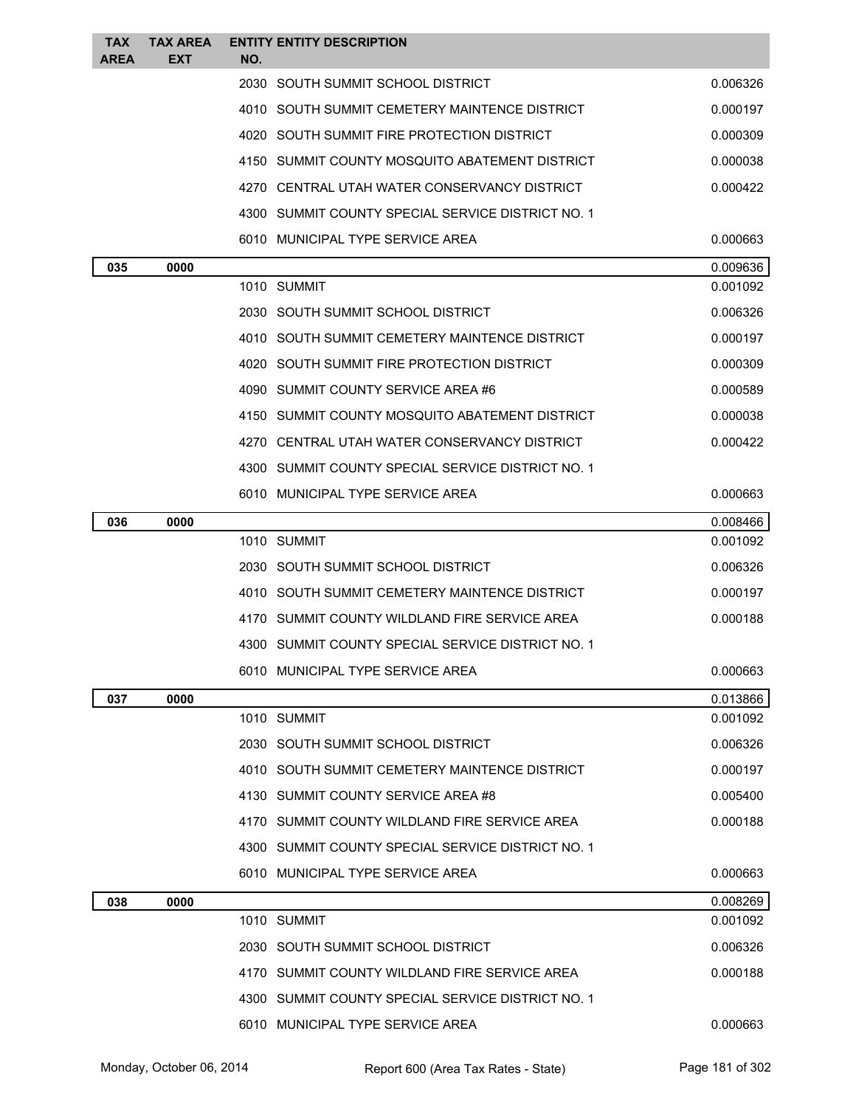| TAX<br><b>AREA</b> | <b>TAX AREA</b><br>EXT | <b>ENTITY ENTITY DESCRIPTION</b><br>NO.                                                            |                      |
|--------------------|------------------------|----------------------------------------------------------------------------------------------------|----------------------|
|                    |                        | 2030 SOUTH SUMMIT SCHOOL DISTRICT                                                                  | 0.006326             |
|                    |                        | 4010 SOUTH SUMMIT CEMETERY MAINTENCE DISTRICT                                                      | 0.000197             |
|                    |                        | 4020 SOUTH SUMMIT FIRE PROTECTION DISTRICT                                                         | 0.000309             |
|                    |                        | 4150 SUMMIT COUNTY MOSQUITO ABATEMENT DISTRICT                                                     | 0.000038             |
|                    |                        | 4270 CENTRAL UTAH WATER CONSERVANCY DISTRICT                                                       | 0.000422             |
|                    |                        | 4300 SUMMIT COUNTY SPECIAL SERVICE DISTRICT NO. 1                                                  |                      |
|                    |                        | 6010 MUNICIPAL TYPE SERVICE AREA                                                                   | 0.000663             |
| 035                | 0000                   |                                                                                                    | 0.009636             |
|                    |                        | 1010 SUMMIT                                                                                        | 0.001092             |
|                    |                        | 2030 SOUTH SUMMIT SCHOOL DISTRICT                                                                  | 0.006326             |
|                    |                        | 4010 SOUTH SUMMIT CEMETERY MAINTENCE DISTRICT                                                      | 0.000197             |
|                    |                        | 4020 SOUTH SUMMIT FIRE PROTECTION DISTRICT                                                         | 0.000309             |
|                    |                        | 4090 SUMMIT COUNTY SERVICE AREA #6                                                                 | 0.000589             |
|                    |                        | 4150 SUMMIT COUNTY MOSQUITO ABATEMENT DISTRICT                                                     | 0.000038             |
|                    |                        | 4270 CENTRAL UTAH WATER CONSERVANCY DISTRICT                                                       | 0.000422             |
|                    |                        | 4300 SUMMIT COUNTY SPECIAL SERVICE DISTRICT NO. 1                                                  |                      |
|                    |                        | 6010 MUNICIPAL TYPE SERVICE AREA                                                                   | 0.000663             |
| 036                | 0000                   |                                                                                                    | 0.008466             |
|                    |                        | 1010 SUMMIT                                                                                        | 0.001092             |
|                    |                        | 2030 SOUTH SUMMIT SCHOOL DISTRICT                                                                  | 0.006326             |
|                    |                        | 4010 SOUTH SUMMIT CEMETERY MAINTENCE DISTRICT                                                      | 0.000197             |
|                    |                        | 4170 SUMMIT COUNTY WILDLAND FIRE SERVICE AREA                                                      | 0.000188             |
|                    |                        | 4300 SUMMIT COUNTY SPECIAL SERVICE DISTRICT NO. 1                                                  |                      |
|                    |                        | 6010 MUNICIPAL TYPE SERVICE AREA                                                                   | 0.000663             |
| 037                | 0000                   |                                                                                                    | 0.013866             |
|                    |                        | 1010 SUMMIT                                                                                        | 0.001092             |
|                    |                        | 2030 SOUTH SUMMIT SCHOOL DISTRICT                                                                  | 0.006326             |
|                    |                        | 4010 SOUTH SUMMIT CEMETERY MAINTENCE DISTRICT                                                      | 0.000197             |
|                    |                        | 4130 SUMMIT COUNTY SERVICE AREA #8                                                                 | 0.005400             |
|                    |                        | 4170 SUMMIT COUNTY WILDLAND FIRE SERVICE AREA                                                      | 0.000188             |
|                    |                        | 4300 SUMMIT COUNTY SPECIAL SERVICE DISTRICT NO. 1                                                  |                      |
|                    |                        | 6010 MUNICIPAL TYPE SERVICE AREA                                                                   | 0.000663             |
| 038                | 0000                   | 1010 SUMMIT                                                                                        | 0.008269<br>0.001092 |
|                    |                        |                                                                                                    |                      |
|                    |                        | 2030 SOUTH SUMMIT SCHOOL DISTRICT                                                                  | 0.006326             |
|                    |                        | 4170 SUMMIT COUNTY WILDLAND FIRE SERVICE AREA<br>4300 SUMMIT COUNTY SPECIAL SERVICE DISTRICT NO. 1 | 0.000188             |
|                    |                        |                                                                                                    |                      |
|                    |                        | 6010 MUNICIPAL TYPE SERVICE AREA                                                                   | 0.000663             |

Monday, October 06, 2014 Report 600 (Area Tax Rates - State) Rage 181 of 302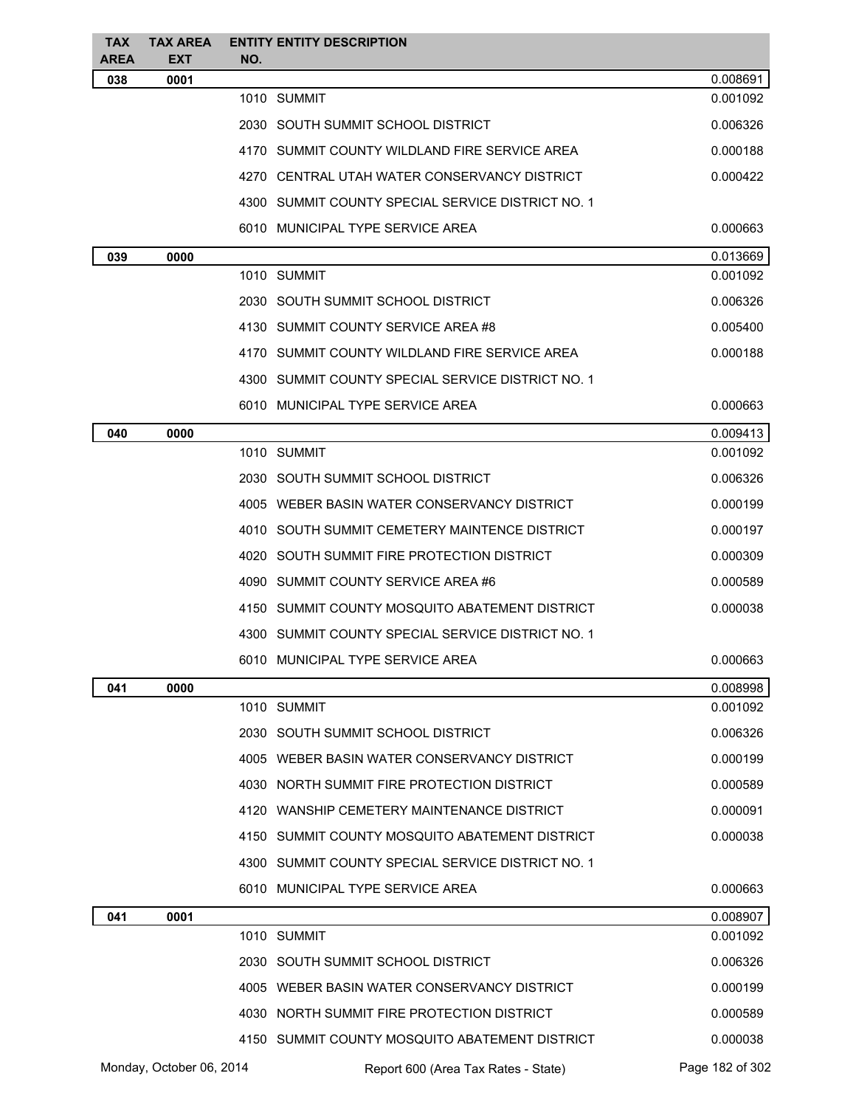| TAX<br><b>AREA</b> | <b>TAX AREA</b><br><b>EXT</b> | NO. | <b>ENTITY ENTITY DESCRIPTION</b>                  |                 |
|--------------------|-------------------------------|-----|---------------------------------------------------|-----------------|
| 038                | 0001                          |     |                                                   | 0.008691        |
|                    |                               |     | 1010 SUMMIT                                       | 0.001092        |
|                    |                               |     | 2030   SOUTH SUMMIT SCHOOL DISTRICT               | 0.006326        |
|                    |                               |     | 4170 SUMMIT COUNTY WILDLAND FIRE SERVICE AREA     | 0.000188        |
|                    |                               |     | 4270 CENTRAL UTAH WATER CONSERVANCY DISTRICT      | 0.000422        |
|                    |                               |     | 4300 SUMMIT COUNTY SPECIAL SERVICE DISTRICT NO. 1 |                 |
|                    |                               |     | 6010 MUNICIPAL TYPE SERVICE AREA                  | 0.000663        |
| 039                | 0000                          |     |                                                   | 0.013669        |
|                    |                               |     | 1010 SUMMIT                                       | 0.001092        |
|                    |                               |     | 2030 SOUTH SUMMIT SCHOOL DISTRICT                 | 0.006326        |
|                    |                               |     | 4130 SUMMIT COUNTY SERVICE AREA #8                | 0.005400        |
|                    |                               |     | 4170 SUMMIT COUNTY WILDLAND FIRE SERVICE AREA     | 0.000188        |
|                    |                               |     | 4300 SUMMIT COUNTY SPECIAL SERVICE DISTRICT NO. 1 |                 |
|                    |                               |     | 6010 MUNICIPAL TYPE SERVICE AREA                  | 0.000663        |
| 040                | 0000                          |     |                                                   | 0.009413        |
|                    |                               |     | 1010 SUMMIT                                       | 0.001092        |
|                    |                               |     | 2030 SOUTH SUMMIT SCHOOL DISTRICT                 | 0.006326        |
|                    |                               |     | 4005 WEBER BASIN WATER CONSERVANCY DISTRICT       | 0.000199        |
|                    |                               |     | 4010 SOUTH SUMMIT CEMETERY MAINTENCE DISTRICT     | 0.000197        |
|                    |                               |     | 4020 SOUTH SUMMIT FIRE PROTECTION DISTRICT        | 0.000309        |
|                    |                               |     | 4090 SUMMIT COUNTY SERVICE AREA #6                | 0.000589        |
|                    |                               |     | 4150 SUMMIT COUNTY MOSQUITO ABATEMENT DISTRICT    | 0.000038        |
|                    |                               |     | 4300 SUMMIT COUNTY SPECIAL SERVICE DISTRICT NO. 1 |                 |
|                    |                               |     | 6010 MUNICIPAL TYPE SERVICE AREA                  | 0.000663        |
| 041                | 0000                          |     |                                                   | 0.008998        |
|                    |                               |     | 1010 SUMMIT                                       | 0.001092        |
|                    |                               |     | 2030 SOUTH SUMMIT SCHOOL DISTRICT                 | 0.006326        |
|                    |                               |     | 4005 WEBER BASIN WATER CONSERVANCY DISTRICT       | 0.000199        |
|                    |                               |     | 4030 NORTH SUMMIT FIRE PROTECTION DISTRICT        | 0.000589        |
|                    |                               |     | 4120 WANSHIP CEMETERY MAINTENANCE DISTRICT        | 0.000091        |
|                    |                               |     | 4150 SUMMIT COUNTY MOSQUITO ABATEMENT DISTRICT    | 0.000038        |
|                    |                               |     | 4300 SUMMIT COUNTY SPECIAL SERVICE DISTRICT NO. 1 |                 |
|                    |                               |     | 6010 MUNICIPAL TYPE SERVICE AREA                  | 0.000663        |
| 041                | 0001                          |     |                                                   | 0.008907        |
|                    |                               |     | 1010 SUMMIT                                       | 0.001092        |
|                    |                               |     | 2030 SOUTH SUMMIT SCHOOL DISTRICT                 | 0.006326        |
|                    |                               |     | 4005 WEBER BASIN WATER CONSERVANCY DISTRICT       | 0.000199        |
|                    |                               |     | 4030 NORTH SUMMIT FIRE PROTECTION DISTRICT        | 0.000589        |
|                    |                               |     | 4150 SUMMIT COUNTY MOSQUITO ABATEMENT DISTRICT    | 0.000038        |
|                    | Monday, October 06, 2014      |     | Report 600 (Area Tax Rates - State)               | Page 182 of 302 |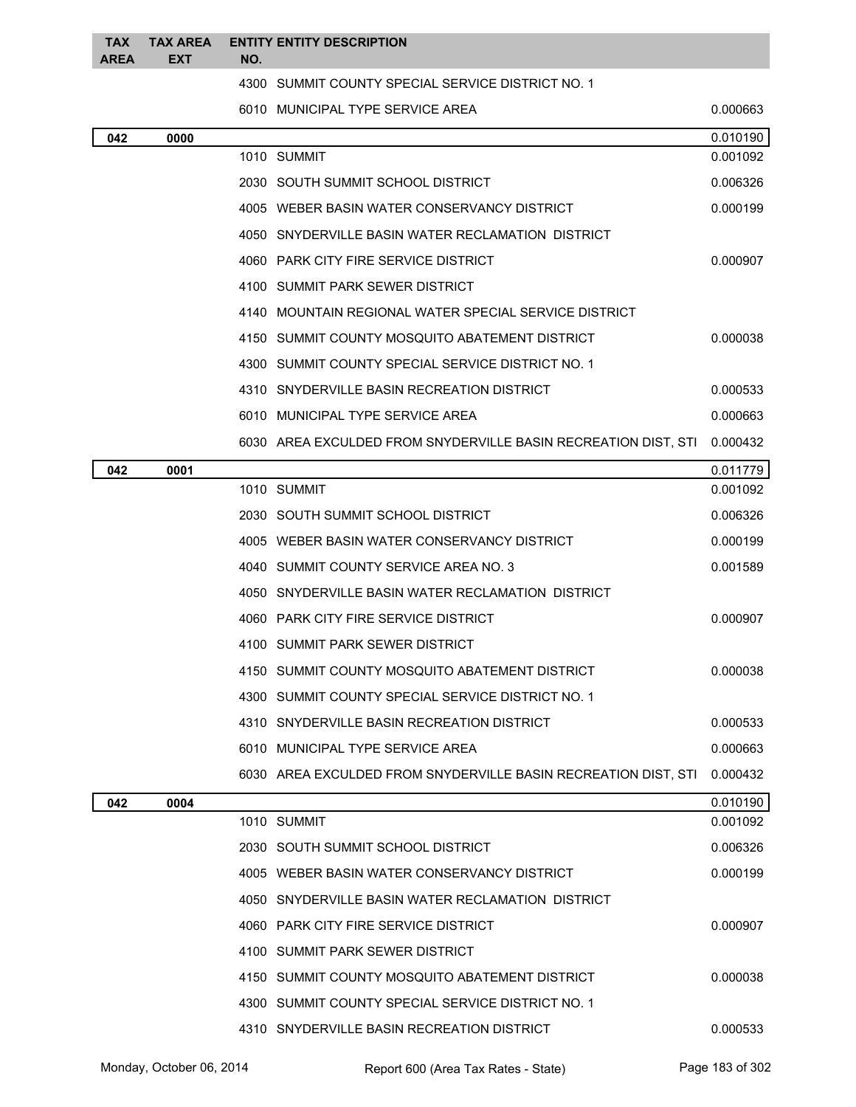| <b>TAX</b>  | <b>TAX AREA</b> |     | <b>ENTITY ENTITY DESCRIPTION</b>                                        |          |
|-------------|-----------------|-----|-------------------------------------------------------------------------|----------|
| <b>AREA</b> | EXT             | NO. |                                                                         |          |
|             |                 |     | 4300 SUMMIT COUNTY SPECIAL SERVICE DISTRICT NO. 1                       |          |
|             |                 |     | 6010 MUNICIPAL TYPE SERVICE AREA                                        | 0.000663 |
| 042         | 0000            |     |                                                                         | 0.010190 |
|             |                 |     | 1010 SUMMIT                                                             | 0.001092 |
|             |                 |     | 2030 SOUTH SUMMIT SCHOOL DISTRICT                                       | 0.006326 |
|             |                 |     | 4005 WEBER BASIN WATER CONSERVANCY DISTRICT                             | 0.000199 |
|             |                 |     | 4050 SNYDERVILLE BASIN WATER RECLAMATION DISTRICT                       |          |
|             |                 |     | 4060 PARK CITY FIRE SERVICE DISTRICT                                    | 0.000907 |
|             |                 |     | 4100 SUMMIT PARK SEWER DISTRICT                                         |          |
|             |                 |     | 4140 MOUNTAIN REGIONAL WATER SPECIAL SERVICE DISTRICT                   |          |
|             |                 |     | 4150 SUMMIT COUNTY MOSQUITO ABATEMENT DISTRICT                          | 0.000038 |
|             |                 |     | 4300 SUMMIT COUNTY SPECIAL SERVICE DISTRICT NO. 1                       |          |
|             |                 |     | 4310 SNYDERVILLE BASIN RECREATION DISTRICT                              | 0.000533 |
|             |                 |     | 6010 MUNICIPAL TYPE SERVICE AREA                                        | 0.000663 |
|             |                 |     | 6030 AREA EXCULDED FROM SNYDERVILLE BASIN RECREATION DIST, STI 0.000432 |          |
| 042         | 0001            |     |                                                                         | 0.011779 |
|             |                 |     | 1010 SUMMIT                                                             | 0.001092 |
|             |                 |     | 2030 SOUTH SUMMIT SCHOOL DISTRICT                                       | 0.006326 |
|             |                 |     | 4005 WEBER BASIN WATER CONSERVANCY DISTRICT                             | 0.000199 |
|             |                 |     | 4040 SUMMIT COUNTY SERVICE AREA NO. 3                                   | 0.001589 |
|             |                 |     | 4050 SNYDERVILLE BASIN WATER RECLAMATION DISTRICT                       |          |
|             |                 |     | 4060 PARK CITY FIRE SERVICE DISTRICT                                    | 0.000907 |
|             |                 |     | 4100 SUMMIT PARK SEWER DISTRICT                                         |          |
|             |                 |     | 4150 SUMMIT COUNTY MOSQUITO ABATEMENT DISTRICT                          | 0.000038 |
|             |                 |     | 4300 SUMMIT COUNTY SPECIAL SERVICE DISTRICT NO. 1                       |          |
|             |                 |     | 4310 SNYDERVILLE BASIN RECREATION DISTRICT                              | 0.000533 |
|             |                 |     | 6010 MUNICIPAL TYPE SERVICE AREA                                        | 0.000663 |
|             |                 |     | 6030 AREA EXCULDED FROM SNYDERVILLE BASIN RECREATION DIST, STI          | 0.000432 |
| 042         | 0004            |     |                                                                         | 0.010190 |
|             |                 |     | 1010 SUMMIT                                                             | 0.001092 |
|             |                 |     | 2030 SOUTH SUMMIT SCHOOL DISTRICT                                       | 0.006326 |
|             |                 |     | 4005 WEBER BASIN WATER CONSERVANCY DISTRICT                             | 0.000199 |
|             |                 |     | 4050 SNYDERVILLE BASIN WATER RECLAMATION DISTRICT                       |          |
|             |                 |     | 4060 PARK CITY FIRE SERVICE DISTRICT                                    | 0.000907 |
|             |                 |     | 4100 SUMMIT PARK SEWER DISTRICT                                         |          |
|             |                 |     | 4150 SUMMIT COUNTY MOSQUITO ABATEMENT DISTRICT                          | 0.000038 |
|             |                 |     | 4300 SUMMIT COUNTY SPECIAL SERVICE DISTRICT NO. 1                       |          |
|             |                 |     | 4310 SNYDERVILLE BASIN RECREATION DISTRICT                              | 0.000533 |
|             |                 |     |                                                                         |          |

Monday, October 06, 2014 Report 600 (Area Tax Rates - State) Rage 183 of 302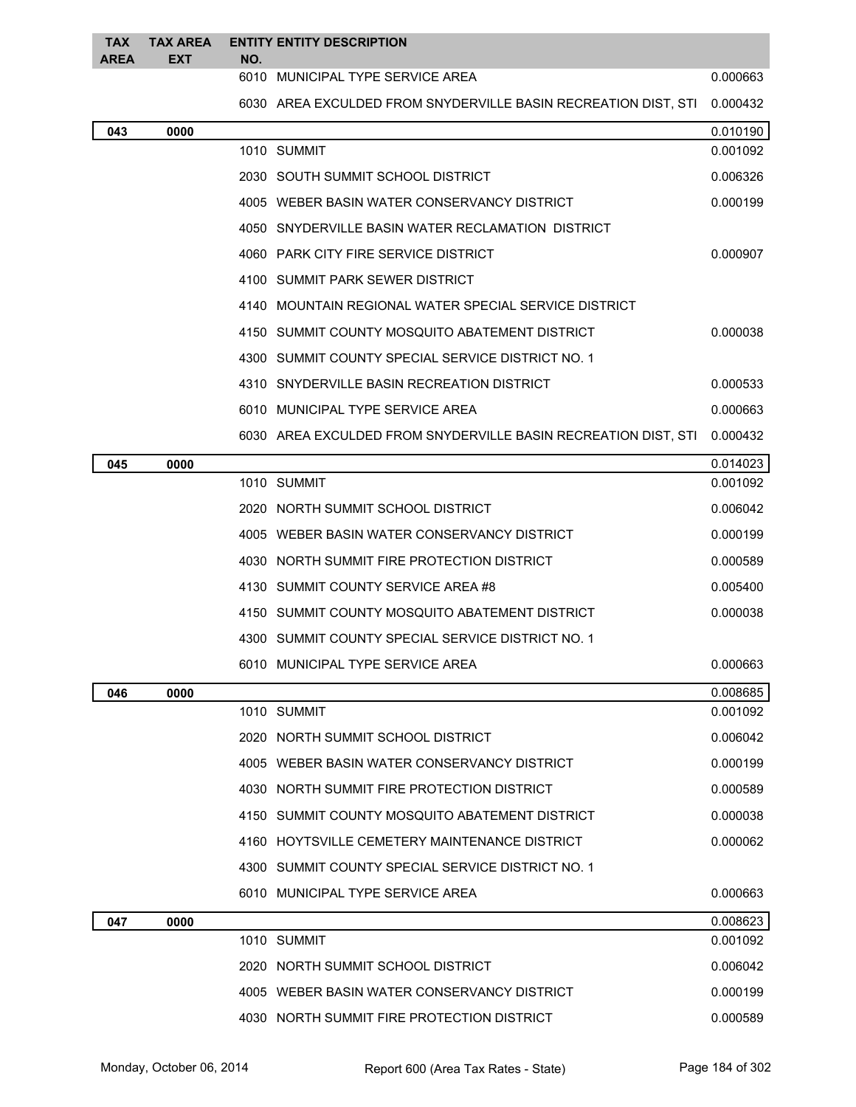| <b>TAX</b><br><b>AREA</b> | <b>TAX AREA</b><br><b>EXT</b> | NO. | <b>ENTITY ENTITY DESCRIPTION</b>                               |                      |
|---------------------------|-------------------------------|-----|----------------------------------------------------------------|----------------------|
|                           |                               |     | 6010 MUNICIPAL TYPE SERVICE AREA                               | 0.000663             |
|                           |                               |     | 6030 AREA EXCULDED FROM SNYDERVILLE BASIN RECREATION DIST, STI | 0.000432             |
| 043                       | 0000                          |     |                                                                | 0.010190             |
|                           |                               |     | 1010 SUMMIT                                                    | 0.001092             |
|                           |                               |     | 2030 SOUTH SUMMIT SCHOOL DISTRICT                              | 0.006326             |
|                           |                               |     | 4005 WEBER BASIN WATER CONSERVANCY DISTRICT                    | 0.000199             |
|                           |                               |     | 4050 SNYDERVILLE BASIN WATER RECLAMATION DISTRICT              |                      |
|                           |                               |     | 4060 PARK CITY FIRE SERVICE DISTRICT                           | 0.000907             |
|                           |                               |     | 4100 SUMMIT PARK SEWER DISTRICT                                |                      |
|                           |                               |     | 4140 MOUNTAIN REGIONAL WATER SPECIAL SERVICE DISTRICT          |                      |
|                           |                               |     | 4150 SUMMIT COUNTY MOSQUITO ABATEMENT DISTRICT                 | 0.000038             |
|                           |                               |     | 4300 SUMMIT COUNTY SPECIAL SERVICE DISTRICT NO. 1              |                      |
|                           |                               |     | 4310 SNYDERVILLE BASIN RECREATION DISTRICT                     | 0.000533             |
|                           |                               |     | 6010 MUNICIPAL TYPE SERVICE AREA                               | 0.000663             |
|                           |                               |     | 6030 AREA EXCULDED FROM SNYDERVILLE BASIN RECREATION DIST, STI | 0.000432             |
| 045                       | 0000                          |     |                                                                | 0.014023             |
|                           |                               |     | 1010 SUMMIT                                                    | 0.001092             |
|                           |                               |     | 2020 NORTH SUMMIT SCHOOL DISTRICT                              | 0.006042             |
|                           |                               |     | 4005   WEBER BASIN WATER CONSERVANCY DISTRICT                  | 0.000199             |
|                           |                               |     | 4030   NORTH SUMMIT FIRE PROTECTION DISTRICT                   | 0.000589             |
|                           |                               |     | 4130   SUMMIT COUNTY SERVICE AREA #8                           | 0.005400             |
|                           |                               |     | 4150 SUMMIT COUNTY MOSQUITO ABATEMENT DISTRICT                 | 0.000038             |
|                           |                               |     | 4300 SUMMIT COUNTY SPECIAL SERVICE DISTRICT NO. 1              |                      |
|                           |                               |     | 6010 MUNICIPAL TYPE SERVICE AREA                               | 0.000663             |
| 046                       | 0000                          |     |                                                                | 0.008685             |
|                           |                               |     | 1010 SUMMIT                                                    | 0.001092             |
|                           |                               |     | 2020   NORTH SUMMIT SCHOOL DISTRICT                            | 0.006042             |
|                           |                               |     | 4005 WEBER BASIN WATER CONSERVANCY DISTRICT                    | 0.000199             |
|                           |                               |     | 4030 NORTH SUMMIT FIRE PROTECTION DISTRICT                     | 0.000589             |
|                           |                               |     | 4150 SUMMIT COUNTY MOSQUITO ABATEMENT DISTRICT                 | 0.000038             |
|                           |                               |     | 4160 HOYTSVILLE CEMETERY MAINTENANCE DISTRICT                  | 0.000062             |
|                           |                               |     | 4300 SUMMIT COUNTY SPECIAL SERVICE DISTRICT NO. 1              |                      |
|                           |                               |     | 6010 MUNICIPAL TYPE SERVICE AREA                               | 0.000663             |
| 047                       | 0000                          |     | 1010 SUMMIT                                                    | 0.008623<br>0.001092 |
|                           |                               |     | 2020 NORTH SUMMIT SCHOOL DISTRICT                              | 0.006042             |
|                           |                               |     | 4005 WEBER BASIN WATER CONSERVANCY DISTRICT                    | 0.000199             |
|                           |                               |     | 4030 NORTH SUMMIT FIRE PROTECTION DISTRICT                     | 0.000589             |
|                           |                               |     |                                                                |                      |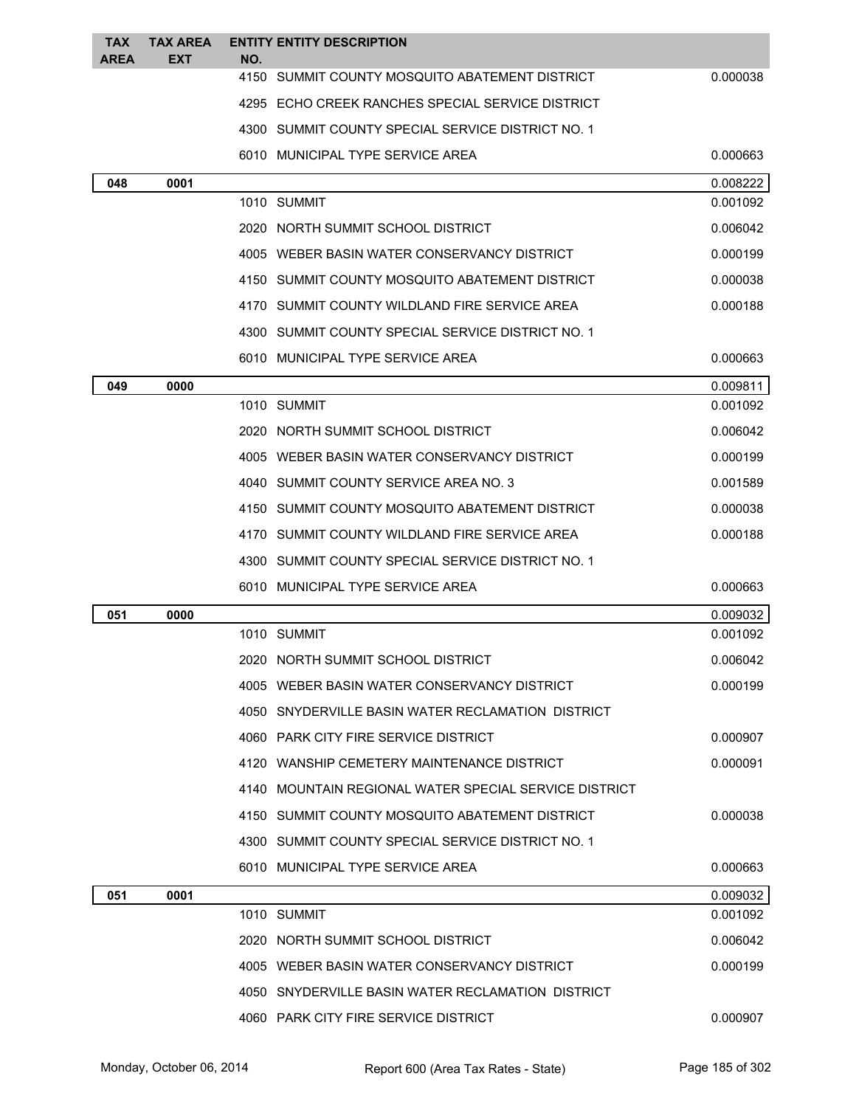| <b>TAX</b><br><b>AREA</b> | <b>TAX AREA</b><br><b>EXT</b> | <b>ENTITY ENTITY DESCRIPTION</b><br>NO.               |          |
|---------------------------|-------------------------------|-------------------------------------------------------|----------|
|                           |                               | 4150<br>SUMMIT COUNTY MOSQUITO ABATEMENT DISTRICT     | 0.000038 |
|                           |                               | 4295 ECHO CREEK RANCHES SPECIAL SERVICE DISTRICT      |          |
|                           |                               | 4300 SUMMIT COUNTY SPECIAL SERVICE DISTRICT NO. 1     |          |
|                           |                               | 6010 MUNICIPAL TYPE SERVICE AREA                      | 0.000663 |
| 048                       | 0001                          |                                                       | 0.008222 |
|                           |                               | 1010 SUMMIT                                           | 0.001092 |
|                           |                               | 2020 NORTH SUMMIT SCHOOL DISTRICT                     | 0.006042 |
|                           |                               | 4005 WEBER BASIN WATER CONSERVANCY DISTRICT           | 0.000199 |
|                           |                               | 4150 SUMMIT COUNTY MOSQUITO ABATEMENT DISTRICT        | 0.000038 |
|                           |                               | 4170 SUMMIT COUNTY WILDLAND FIRE SERVICE AREA         | 0.000188 |
|                           |                               | 4300 SUMMIT COUNTY SPECIAL SERVICE DISTRICT NO. 1     |          |
|                           |                               | 6010 MUNICIPAL TYPE SERVICE AREA                      | 0.000663 |
| 049                       | 0000                          |                                                       | 0.009811 |
|                           |                               | 1010 SUMMIT                                           | 0.001092 |
|                           |                               | 2020 NORTH SUMMIT SCHOOL DISTRICT                     | 0.006042 |
|                           |                               | 4005 WEBER BASIN WATER CONSERVANCY DISTRICT           | 0.000199 |
|                           |                               | 4040 SUMMIT COUNTY SERVICE AREA NO. 3                 | 0.001589 |
|                           |                               | 4150 SUMMIT COUNTY MOSQUITO ABATEMENT DISTRICT        | 0.000038 |
|                           |                               | 4170 SUMMIT COUNTY WILDLAND FIRE SERVICE AREA         | 0.000188 |
|                           |                               | 4300 SUMMIT COUNTY SPECIAL SERVICE DISTRICT NO. 1     |          |
|                           |                               | 6010 MUNICIPAL TYPE SERVICE AREA                      | 0.000663 |
| 051                       | 0000                          |                                                       | 0.009032 |
|                           |                               | 1010 SUMMIT                                           | 0.001092 |
|                           |                               | 2020 NORTH SUMMIT SCHOOL DISTRICT                     | 0.006042 |
|                           |                               | 4005 WEBER BASIN WATER CONSERVANCY DISTRICT           | 0.000199 |
|                           |                               | 4050 SNYDERVILLE BASIN WATER RECLAMATION DISTRICT     |          |
|                           |                               | 4060 PARK CITY FIRE SERVICE DISTRICT                  | 0.000907 |
|                           |                               | 4120 WANSHIP CEMETERY MAINTENANCE DISTRICT            | 0.000091 |
|                           |                               | 4140 MOUNTAIN REGIONAL WATER SPECIAL SERVICE DISTRICT |          |
|                           |                               | 4150 SUMMIT COUNTY MOSQUITO ABATEMENT DISTRICT        | 0.000038 |
|                           |                               | 4300 SUMMIT COUNTY SPECIAL SERVICE DISTRICT NO. 1     |          |
|                           |                               | 6010 MUNICIPAL TYPE SERVICE AREA                      | 0.000663 |
| 051                       | 0001                          |                                                       | 0.009032 |
|                           |                               | 1010 SUMMIT                                           | 0.001092 |
|                           |                               | 2020 NORTH SUMMIT SCHOOL DISTRICT                     | 0.006042 |
|                           |                               | 4005 WEBER BASIN WATER CONSERVANCY DISTRICT           | 0.000199 |
|                           |                               | 4050 SNYDERVILLE BASIN WATER RECLAMATION DISTRICT     |          |
|                           |                               | 4060 PARK CITY FIRE SERVICE DISTRICT                  | 0.000907 |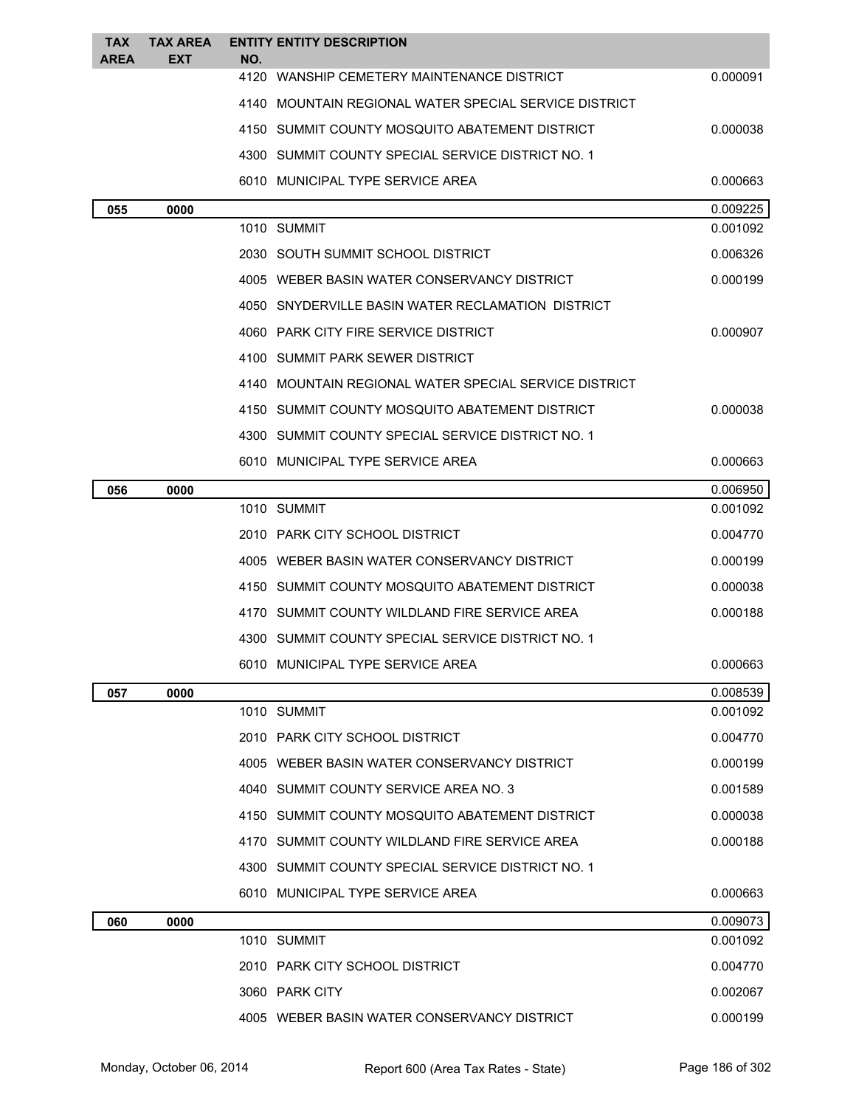| <b>TAX</b>  | <b>TAX AREA</b> | <b>ENTITY ENTITY DESCRIPTION</b>                      |                      |
|-------------|-----------------|-------------------------------------------------------|----------------------|
| <b>AREA</b> | <b>EXT</b>      | NO.<br>4120 WANSHIP CEMETERY MAINTENANCE DISTRICT     | 0.000091             |
|             |                 | 4140 MOUNTAIN REGIONAL WATER SPECIAL SERVICE DISTRICT |                      |
|             |                 | 4150 SUMMIT COUNTY MOSQUITO ABATEMENT DISTRICT        | 0.000038             |
|             |                 |                                                       |                      |
|             |                 | 4300 SUMMIT COUNTY SPECIAL SERVICE DISTRICT NO. 1     |                      |
|             |                 | 6010 MUNICIPAL TYPE SERVICE AREA                      | 0.000663             |
| 055         | 0000            | 1010 SUMMIT                                           | 0.009225<br>0.001092 |
|             |                 | 2030 SOUTH SUMMIT SCHOOL DISTRICT                     | 0.006326             |
|             |                 | 4005 WEBER BASIN WATER CONSERVANCY DISTRICT           | 0.000199             |
|             |                 |                                                       |                      |
|             |                 | 4050 SNYDERVILLE BASIN WATER RECLAMATION DISTRICT     |                      |
|             |                 | 4060 PARK CITY FIRE SERVICE DISTRICT                  | 0.000907             |
|             |                 | 4100 SUMMIT PARK SEWER DISTRICT                       |                      |
|             |                 | 4140 MOUNTAIN REGIONAL WATER SPECIAL SERVICE DISTRICT |                      |
|             |                 | 4150 SUMMIT COUNTY MOSQUITO ABATEMENT DISTRICT        | 0.000038             |
|             |                 | 4300 SUMMIT COUNTY SPECIAL SERVICE DISTRICT NO. 1     |                      |
|             |                 | 6010 MUNICIPAL TYPE SERVICE AREA                      | 0.000663             |
| 056         | 0000            |                                                       | 0.006950             |
|             |                 | 1010 SUMMIT                                           | 0.001092             |
|             |                 | 2010 PARK CITY SCHOOL DISTRICT                        | 0.004770             |
|             |                 | 4005 WEBER BASIN WATER CONSERVANCY DISTRICT           | 0.000199             |
|             |                 | 4150 SUMMIT COUNTY MOSQUITO ABATEMENT DISTRICT        | 0.000038             |
|             |                 | 4170 SUMMIT COUNTY WILDLAND FIRE SERVICE AREA         | 0.000188             |
|             |                 | 4300 SUMMIT COUNTY SPECIAL SERVICE DISTRICT NO. 1     |                      |
|             |                 | 6010 MUNICIPAL TYPE SERVICE AREA                      | 0.000663             |
| 057         | 0000            |                                                       | 0.008539             |
|             |                 | 1010 SUMMIT                                           | 0.001092             |
|             |                 | 2010 PARK CITY SCHOOL DISTRICT                        | 0.004770             |
|             |                 | 4005 WEBER BASIN WATER CONSERVANCY DISTRICT           | 0.000199             |
|             |                 | 4040 SUMMIT COUNTY SERVICE AREA NO. 3                 | 0.001589             |
|             |                 | 4150 SUMMIT COUNTY MOSQUITO ABATEMENT DISTRICT        | 0.000038             |
|             |                 | 4170 SUMMIT COUNTY WILDLAND FIRE SERVICE AREA         | 0.000188             |
|             |                 | 4300 SUMMIT COUNTY SPECIAL SERVICE DISTRICT NO. 1     |                      |
|             |                 | 6010 MUNICIPAL TYPE SERVICE AREA                      | 0.000663             |
| 060         | 0000            |                                                       | 0.009073             |
|             |                 | 1010 SUMMIT                                           | 0.001092             |
|             |                 | 2010 PARK CITY SCHOOL DISTRICT                        | 0.004770             |
|             |                 | 3060 PARK CITY                                        | 0.002067             |
|             |                 | 4005 WEBER BASIN WATER CONSERVANCY DISTRICT           | 0.000199             |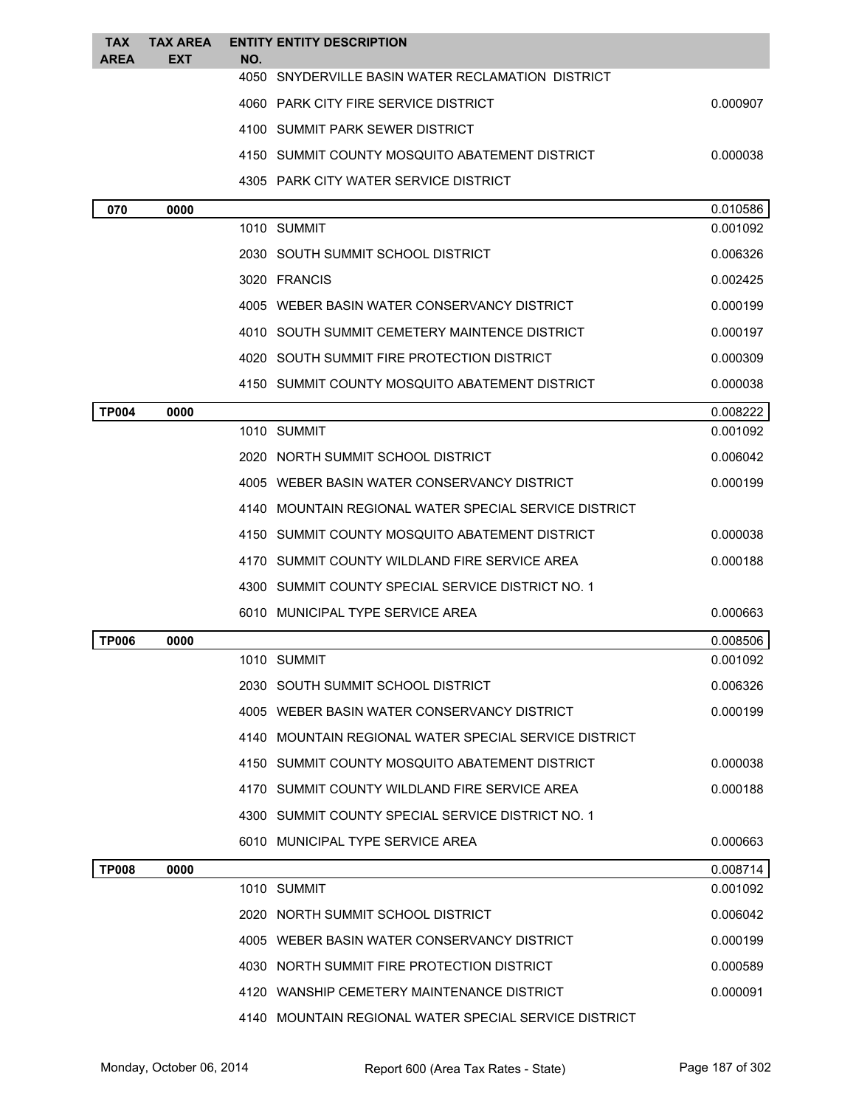| <b>TAX</b><br><b>AREA</b> | <b>TAX AREA</b><br>EXT | <b>ENTITY ENTITY DESCRIPTION</b><br>NO.               |          |
|---------------------------|------------------------|-------------------------------------------------------|----------|
|                           |                        | 4050 SNYDERVILLE BASIN WATER RECLAMATION DISTRICT     |          |
|                           |                        | 4060 PARK CITY FIRE SERVICE DISTRICT                  | 0.000907 |
|                           |                        | 4100 SUMMIT PARK SEWER DISTRICT                       |          |
|                           |                        | 4150 SUMMIT COUNTY MOSQUITO ABATEMENT DISTRICT        | 0.000038 |
|                           |                        | 4305 PARK CITY WATER SERVICE DISTRICT                 |          |
| 070                       | 0000                   |                                                       | 0.010586 |
|                           |                        | 1010 SUMMIT                                           | 0.001092 |
|                           |                        | 2030 SOUTH SUMMIT SCHOOL DISTRICT                     | 0.006326 |
|                           |                        | 3020 FRANCIS                                          | 0.002425 |
|                           |                        | 4005 WEBER BASIN WATER CONSERVANCY DISTRICT           | 0.000199 |
|                           |                        | 4010 SOUTH SUMMIT CEMETERY MAINTENCE DISTRICT         | 0.000197 |
|                           |                        | 4020 SOUTH SUMMIT FIRE PROTECTION DISTRICT            | 0.000309 |
|                           |                        | 4150 SUMMIT COUNTY MOSQUITO ABATEMENT DISTRICT        | 0.000038 |
| <b>TP004</b>              | 0000                   |                                                       | 0.008222 |
|                           |                        | 1010 SUMMIT                                           | 0.001092 |
|                           |                        | 2020 NORTH SUMMIT SCHOOL DISTRICT                     | 0.006042 |
|                           |                        | 4005 WEBER BASIN WATER CONSERVANCY DISTRICT           | 0.000199 |
|                           |                        | 4140 MOUNTAIN REGIONAL WATER SPECIAL SERVICE DISTRICT |          |
|                           |                        | SUMMIT COUNTY MOSQUITO ABATEMENT DISTRICT<br>4150     | 0.000038 |
|                           |                        | 4170 SUMMIT COUNTY WILDLAND FIRE SERVICE AREA         | 0.000188 |
|                           |                        | 4300 SUMMIT COUNTY SPECIAL SERVICE DISTRICT NO. 1     |          |
|                           |                        | 6010 MUNICIPAL TYPE SERVICE AREA                      | 0.000663 |
| <b>TP006</b>              | 0000                   |                                                       | 0.008506 |
|                           |                        | 1010 SUMMIT                                           | 0.001092 |
|                           |                        | 2030 SOUTH SUMMIT SCHOOL DISTRICT                     | 0.006326 |
|                           |                        | 4005 WEBER BASIN WATER CONSERVANCY DISTRICT           | 0.000199 |
|                           |                        | 4140 MOUNTAIN REGIONAL WATER SPECIAL SERVICE DISTRICT |          |
|                           |                        | 4150 SUMMIT COUNTY MOSQUITO ABATEMENT DISTRICT        | 0.000038 |
|                           |                        | 4170 SUMMIT COUNTY WILDLAND FIRE SERVICE AREA         | 0.000188 |
|                           |                        | 4300 SUMMIT COUNTY SPECIAL SERVICE DISTRICT NO. 1     |          |
|                           |                        | 6010 MUNICIPAL TYPE SERVICE AREA                      | 0.000663 |
| <b>TP008</b>              | 0000                   |                                                       | 0.008714 |
|                           |                        | 1010 SUMMIT                                           | 0.001092 |
|                           |                        | 2020 NORTH SUMMIT SCHOOL DISTRICT                     | 0.006042 |
|                           |                        | 4005 WEBER BASIN WATER CONSERVANCY DISTRICT           | 0.000199 |
|                           |                        | 4030 NORTH SUMMIT FIRE PROTECTION DISTRICT            | 0.000589 |
|                           |                        | 4120 WANSHIP CEMETERY MAINTENANCE DISTRICT            | 0.000091 |
|                           |                        | 4140 MOUNTAIN REGIONAL WATER SPECIAL SERVICE DISTRICT |          |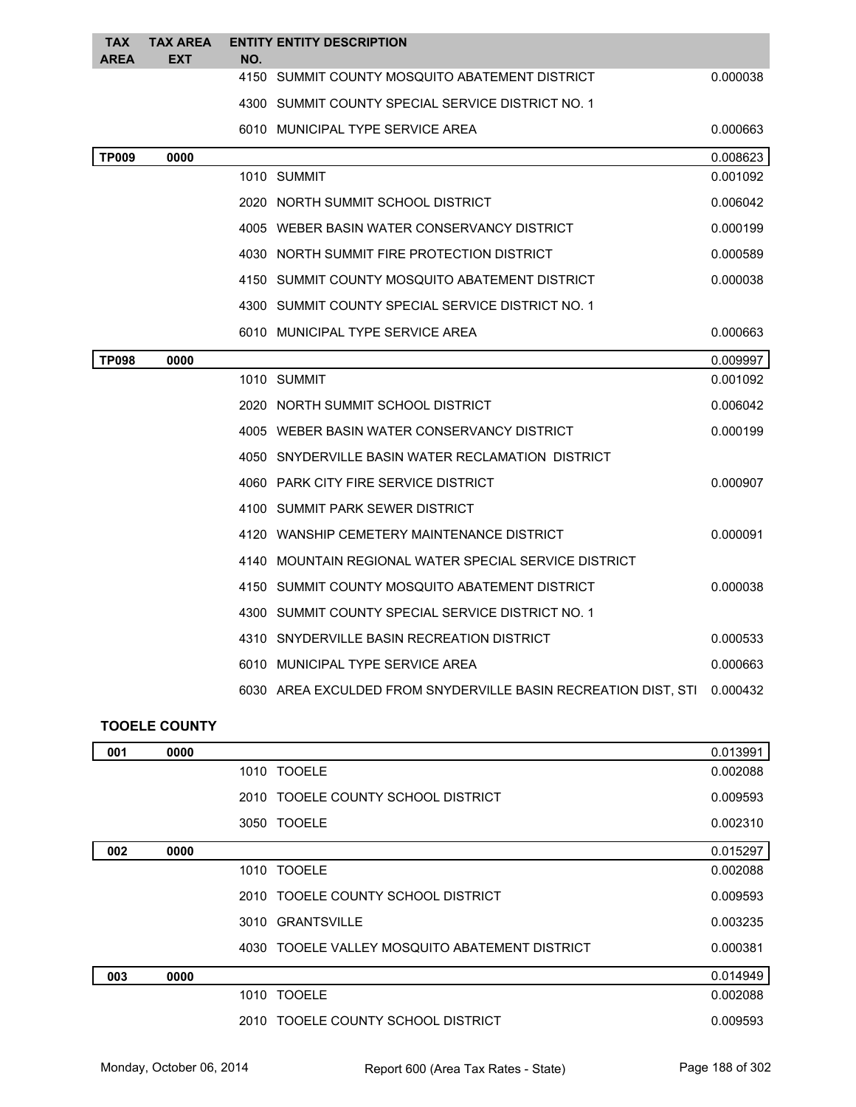| <b>TAX</b><br><b>AREA</b> | <b>TAX AREA</b><br><b>EXT</b> | NO. | <b>ENTITY ENTITY DESCRIPTION</b>                               |          |
|---------------------------|-------------------------------|-----|----------------------------------------------------------------|----------|
|                           |                               |     | 4150 SUMMIT COUNTY MOSQUITO ABATEMENT DISTRICT                 | 0.000038 |
|                           |                               |     | 4300 SUMMIT COUNTY SPECIAL SERVICE DISTRICT NO. 1              |          |
|                           |                               |     | 6010 MUNICIPAL TYPE SERVICE AREA                               | 0.000663 |
| <b>TP009</b>              | 0000                          |     |                                                                | 0.008623 |
|                           |                               |     | 1010 SUMMIT                                                    | 0.001092 |
|                           |                               |     | 2020 NORTH SUMMIT SCHOOL DISTRICT                              | 0.006042 |
|                           |                               |     | 4005 WEBER BASIN WATER CONSERVANCY DISTRICT                    | 0.000199 |
|                           |                               |     | 4030 NORTH SUMMIT FIRE PROTECTION DISTRICT                     | 0.000589 |
|                           |                               |     | 4150 SUMMIT COUNTY MOSQUITO ABATEMENT DISTRICT                 | 0.000038 |
|                           |                               |     | 4300 SUMMIT COUNTY SPECIAL SERVICE DISTRICT NO. 1              |          |
|                           |                               |     | 6010 MUNICIPAL TYPE SERVICE AREA                               | 0.000663 |
| <b>TP098</b>              | 0000                          |     |                                                                | 0.009997 |
|                           |                               |     | 1010 SUMMIT                                                    | 0.001092 |
|                           |                               |     | 2020 NORTH SUMMIT SCHOOL DISTRICT                              | 0.006042 |
|                           |                               |     | 4005 WEBER BASIN WATER CONSERVANCY DISTRICT                    | 0.000199 |
|                           |                               |     | 4050 SNYDERVILLE BASIN WATER RECLAMATION DISTRICT              |          |
|                           |                               |     | 4060 PARK CITY FIRE SERVICE DISTRICT                           | 0.000907 |
|                           |                               |     | 4100 SUMMIT PARK SEWER DISTRICT                                |          |
|                           |                               |     | 4120 WANSHIP CEMETERY MAINTENANCE DISTRICT                     | 0.000091 |
|                           |                               |     | 4140 MOUNTAIN REGIONAL WATER SPECIAL SERVICE DISTRICT          |          |
|                           |                               |     | 4150 SUMMIT COUNTY MOSQUITO ABATEMENT DISTRICT                 | 0.000038 |
|                           |                               |     | 4300 SUMMIT COUNTY SPECIAL SERVICE DISTRICT NO. 1              |          |
|                           |                               |     | 4310 SNYDERVILLE BASIN RECREATION DISTRICT                     | 0.000533 |
|                           |                               |     | 6010 MUNICIPAL TYPE SERVICE AREA                               | 0.000663 |
|                           |                               |     | 6030 AREA EXCULDED FROM SNYDERVILLE BASIN RECREATION DIST, STI | 0.000432 |

## **TOOELE COUNTY**

| 001 | 0000 |                                                | 0.013991 |
|-----|------|------------------------------------------------|----------|
|     |      | 1010 TOOELE                                    | 0.002088 |
|     |      | 2010 TOOELE COUNTY SCHOOL DISTRICT             | 0.009593 |
|     |      | 3050 TOOELE                                    | 0.002310 |
| 002 | 0000 |                                                | 0.015297 |
|     |      | 1010 TOOELE                                    | 0.002088 |
|     |      | 2010 TOOELE COUNTY SCHOOL DISTRICT             | 0.009593 |
|     |      | 3010 GRANTSVILLE                               | 0.003235 |
|     |      | 4030 TOOELE VALLEY MOSQUITO ABATEMENT DISTRICT | 0.000381 |
| 003 | 0000 |                                                | 0.014949 |
|     |      | 1010 TOOELE                                    | 0.002088 |
|     |      | 2010 TOOELE COUNTY SCHOOL DISTRICT             | 0.009593 |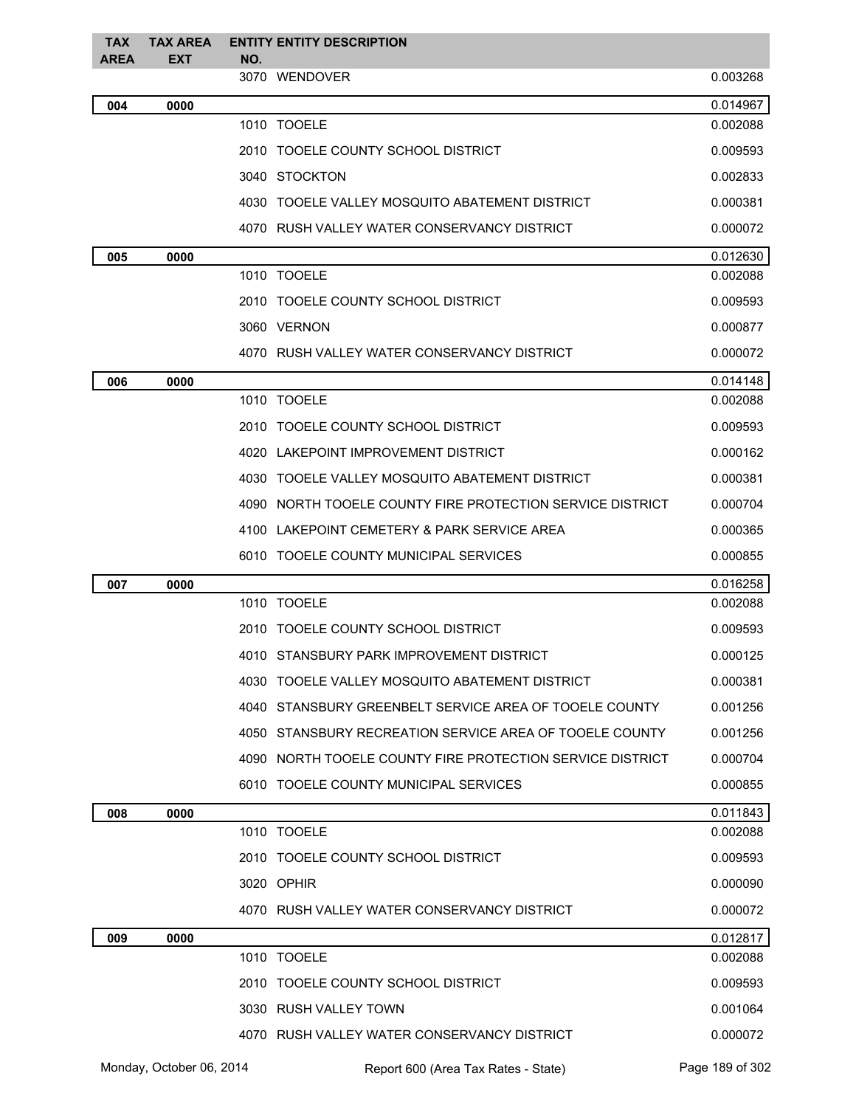| <b>TAX</b> | <b>TAX AREA</b> | <b>ENTITY ENTITY DESCRIPTION</b>                          |          |
|------------|-----------------|-----------------------------------------------------------|----------|
| AREA       | EXT             | NO.<br>3070 WENDOVER                                      | 0.003268 |
| 004        | 0000            |                                                           | 0.014967 |
|            |                 | 1010 TOOELE                                               | 0.002088 |
|            |                 | 2010 TOOELE COUNTY SCHOOL DISTRICT                        | 0.009593 |
|            |                 | 3040 STOCKTON                                             | 0.002833 |
|            |                 | 4030 TOOELE VALLEY MOSQUITO ABATEMENT DISTRICT            | 0.000381 |
|            |                 | 4070 RUSH VALLEY WATER CONSERVANCY DISTRICT               | 0.000072 |
| 005        | 0000            |                                                           | 0.012630 |
|            |                 | 1010 TOOELE                                               | 0.002088 |
|            |                 | 2010 TOOELE COUNTY SCHOOL DISTRICT                        | 0.009593 |
|            |                 | 3060 VERNON                                               | 0.000877 |
|            |                 | 4070 RUSH VALLEY WATER CONSERVANCY DISTRICT               | 0.000072 |
| 006        | 0000            |                                                           | 0.014148 |
|            |                 | 1010 TOOELE                                               | 0.002088 |
|            |                 | 2010 TOOELE COUNTY SCHOOL DISTRICT                        | 0.009593 |
|            |                 | 4020 LAKEPOINT IMPROVEMENT DISTRICT                       | 0.000162 |
|            |                 | 4030 TOOELE VALLEY MOSQUITO ABATEMENT DISTRICT            | 0.000381 |
|            |                 | 4090 NORTH TOOELE COUNTY FIRE PROTECTION SERVICE DISTRICT | 0.000704 |
|            |                 | 4100 LAKEPOINT CEMETERY & PARK SERVICE AREA               | 0.000365 |
|            |                 | 6010 TOOELE COUNTY MUNICIPAL SERVICES                     | 0.000855 |
| 007        | 0000            |                                                           | 0.016258 |
|            |                 | 1010 TOOELE                                               | 0.002088 |
|            |                 | 2010 TOOELE COUNTY SCHOOL DISTRICT                        | 0.009593 |
|            |                 | 4010 STANSBURY PARK IMPROVEMENT DISTRICT                  | 0.000125 |
|            |                 | 4030 TOOELE VALLEY MOSQUITO ABATEMENT DISTRICT            | 0.000381 |
|            |                 | 4040 STANSBURY GREENBELT SERVICE AREA OF TOOELE COUNTY    | 0.001256 |
|            |                 | 4050 STANSBURY RECREATION SERVICE AREA OF TOOELE COUNTY   | 0.001256 |
|            |                 | 4090 NORTH TOOELE COUNTY FIRE PROTECTION SERVICE DISTRICT | 0.000704 |
|            |                 | 6010 TOOELE COUNTY MUNICIPAL SERVICES                     | 0.000855 |
| 008        | 0000            |                                                           | 0.011843 |
|            |                 | 1010 TOOELE                                               | 0.002088 |
|            |                 | 2010 TOOELE COUNTY SCHOOL DISTRICT                        | 0.009593 |
|            |                 | 3020 OPHIR                                                | 0.000090 |
|            |                 | 4070 RUSH VALLEY WATER CONSERVANCY DISTRICT               | 0.000072 |
| 009        | 0000            |                                                           | 0.012817 |
|            |                 | 1010 TOOELE                                               | 0.002088 |
|            |                 | 2010 TOOELE COUNTY SCHOOL DISTRICT                        | 0.009593 |
|            |                 | 3030 RUSH VALLEY TOWN                                     | 0.001064 |
|            |                 | 4070 RUSH VALLEY WATER CONSERVANCY DISTRICT               | 0.000072 |

Monday, October 06, 2014 Report 600 (Area Tax Rates - State) Rage 189 of 302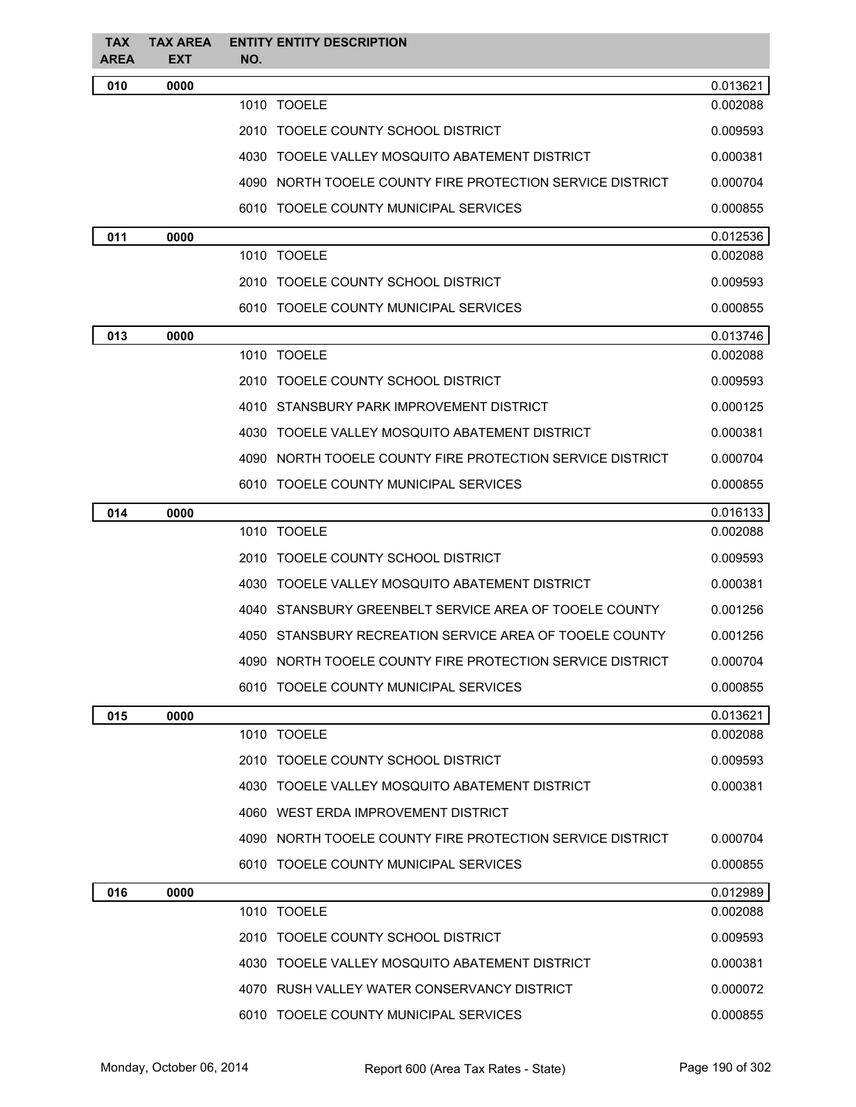| <b>TAX</b><br><b>AREA</b> | <b>TAX AREA</b><br><b>EXT</b> | <b>ENTITY ENTITY DESCRIPTION</b><br>NO.                   |          |
|---------------------------|-------------------------------|-----------------------------------------------------------|----------|
| 010                       | 0000                          |                                                           | 0.013621 |
|                           |                               | 1010 TOOELE                                               | 0.002088 |
|                           |                               | 2010 TOOELE COUNTY SCHOOL DISTRICT                        | 0.009593 |
|                           |                               | 4030 TOOELE VALLEY MOSQUITO ABATEMENT DISTRICT            | 0.000381 |
|                           |                               | 4090 NORTH TOOELE COUNTY FIRE PROTECTION SERVICE DISTRICT | 0.000704 |
|                           |                               | 6010 TOOELE COUNTY MUNICIPAL SERVICES                     | 0.000855 |
| 011                       | 0000                          |                                                           | 0.012536 |
|                           |                               | 1010 TOOELE                                               | 0.002088 |
|                           |                               | 2010 TOOELE COUNTY SCHOOL DISTRICT                        | 0.009593 |
|                           |                               | 6010 TOOELE COUNTY MUNICIPAL SERVICES                     | 0.000855 |
| 013                       | 0000                          |                                                           | 0.013746 |
|                           |                               | 1010 TOOELE                                               | 0.002088 |
|                           |                               | 2010 TOOELE COUNTY SCHOOL DISTRICT                        | 0.009593 |
|                           |                               | 4010 STANSBURY PARK IMPROVEMENT DISTRICT                  | 0.000125 |
|                           |                               | 4030 TOOELE VALLEY MOSQUITO ABATEMENT DISTRICT            | 0.000381 |
|                           |                               | 4090 NORTH TOOELE COUNTY FIRE PROTECTION SERVICE DISTRICT | 0.000704 |
|                           |                               | 6010 TOOELE COUNTY MUNICIPAL SERVICES                     | 0.000855 |
| 014                       | 0000                          |                                                           | 0.016133 |
|                           |                               | 1010 TOOELE                                               | 0.002088 |
|                           |                               | 2010 TOOELE COUNTY SCHOOL DISTRICT                        | 0.009593 |
|                           |                               | 4030 TOOELE VALLEY MOSQUITO ABATEMENT DISTRICT            | 0.000381 |
|                           |                               | 4040 STANSBURY GREENBELT SERVICE AREA OF TOOELE COUNTY    | 0.001256 |
|                           |                               | 4050 STANSBURY RECREATION SERVICE AREA OF TOOELE COUNTY   | 0.001256 |
|                           |                               | 4090 NORTH TOOELE COUNTY FIRE PROTECTION SERVICE DISTRICT | 0.000704 |
|                           |                               | 6010 TOOELE COUNTY MUNICIPAL SERVICES                     | 0.000855 |
| 015                       | 0000                          |                                                           | 0.013621 |
|                           |                               | 1010 TOOELE                                               | 0.002088 |
|                           |                               | 2010 TOOELE COUNTY SCHOOL DISTRICT                        | 0.009593 |
|                           |                               | 4030 TOOELE VALLEY MOSQUITO ABATEMENT DISTRICT            | 0.000381 |
|                           |                               | 4060 WEST ERDA IMPROVEMENT DISTRICT                       |          |
|                           |                               | 4090 NORTH TOOELE COUNTY FIRE PROTECTION SERVICE DISTRICT | 0.000704 |
|                           |                               | 6010 TOOELE COUNTY MUNICIPAL SERVICES                     | 0.000855 |
| 016                       | 0000                          |                                                           | 0.012989 |
|                           |                               | 1010 TOOELE                                               | 0.002088 |
|                           |                               | 2010 TOOELE COUNTY SCHOOL DISTRICT                        | 0.009593 |
|                           |                               | 4030 TOOELE VALLEY MOSQUITO ABATEMENT DISTRICT            | 0.000381 |
|                           |                               | 4070 RUSH VALLEY WATER CONSERVANCY DISTRICT               | 0.000072 |
|                           |                               | 6010 TOOELE COUNTY MUNICIPAL SERVICES                     | 0.000855 |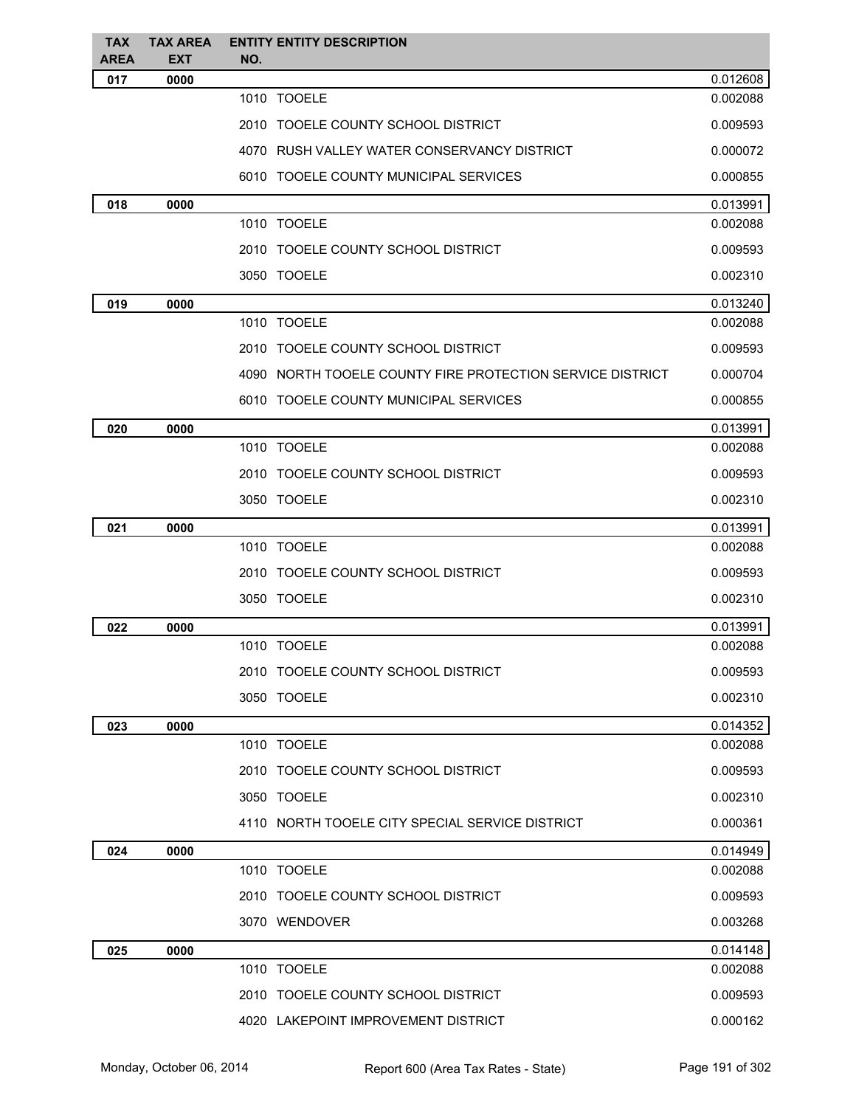| <b>TAX</b><br>AREA | <b>TAX AREA</b><br><b>EXT</b> | <b>ENTITY ENTITY DESCRIPTION</b><br>NO.                   |          |
|--------------------|-------------------------------|-----------------------------------------------------------|----------|
| 017                | 0000                          |                                                           | 0.012608 |
|                    |                               | 1010 TOOELE                                               | 0.002088 |
|                    |                               | 2010 TOOELE COUNTY SCHOOL DISTRICT                        | 0.009593 |
|                    |                               | 4070 RUSH VALLEY WATER CONSERVANCY DISTRICT               | 0.000072 |
|                    |                               | 6010 TOOELE COUNTY MUNICIPAL SERVICES                     | 0.000855 |
| 018                | 0000                          |                                                           | 0.013991 |
|                    |                               | 1010 TOOELE                                               | 0.002088 |
|                    |                               | 2010 TOOELE COUNTY SCHOOL DISTRICT                        | 0.009593 |
|                    |                               | 3050 TOOELE                                               | 0.002310 |
| 019                | 0000                          |                                                           | 0.013240 |
|                    |                               | 1010 TOOELE                                               | 0.002088 |
|                    |                               | 2010 TOOELE COUNTY SCHOOL DISTRICT                        | 0.009593 |
|                    |                               | 4090 NORTH TOOELE COUNTY FIRE PROTECTION SERVICE DISTRICT | 0.000704 |
|                    |                               | 6010 TOOELE COUNTY MUNICIPAL SERVICES                     | 0.000855 |
| 020                | 0000                          |                                                           | 0.013991 |
|                    |                               | 1010 TOOELE                                               | 0.002088 |
|                    |                               | 2010 TOOELE COUNTY SCHOOL DISTRICT                        | 0.009593 |
|                    |                               | 3050 TOOELE                                               | 0.002310 |
| 021                | 0000                          |                                                           | 0.013991 |
|                    |                               | 1010 TOOELE                                               | 0.002088 |
|                    |                               | 2010 TOOELE COUNTY SCHOOL DISTRICT                        | 0.009593 |
|                    |                               | 3050 TOOELE                                               | 0.002310 |
| 022                | 0000                          |                                                           | 0.013991 |
|                    |                               | 1010 TOOELE                                               | 0.002088 |
|                    |                               | 2010 TOOELE COUNTY SCHOOL DISTRICT                        | 0.009593 |
|                    |                               | 3050 TOOELE                                               | 0.002310 |
| 023                | 0000                          |                                                           | 0.014352 |
|                    |                               | 1010 TOOELE                                               | 0.002088 |
|                    |                               | 2010 TOOELE COUNTY SCHOOL DISTRICT                        | 0.009593 |
|                    |                               | 3050 TOOELE                                               | 0.002310 |
|                    |                               | 4110 NORTH TOOELE CITY SPECIAL SERVICE DISTRICT           | 0.000361 |
| 024                | 0000                          |                                                           | 0.014949 |
|                    |                               | 1010 TOOELE                                               | 0.002088 |
|                    |                               | 2010 TOOELE COUNTY SCHOOL DISTRICT                        | 0.009593 |
|                    |                               | 3070 WENDOVER                                             | 0.003268 |
| 025                | 0000                          |                                                           | 0.014148 |
|                    |                               | 1010 TOOELE                                               | 0.002088 |
|                    |                               | 2010 TOOELE COUNTY SCHOOL DISTRICT                        | 0.009593 |
|                    |                               | 4020 LAKEPOINT IMPROVEMENT DISTRICT                       | 0.000162 |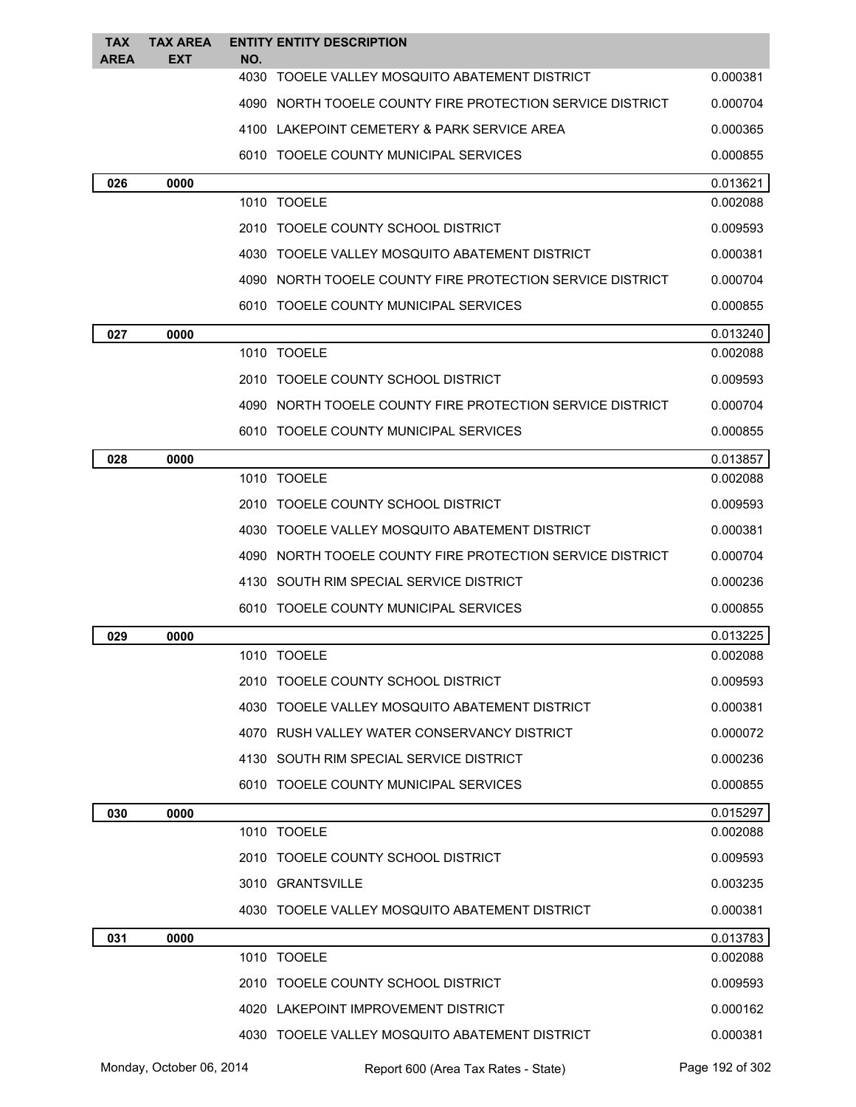| <b>TAX</b>  | <b>TAX AREA</b> | <b>ENTITY ENTITY DESCRIPTION</b>                          |                      |
|-------------|-----------------|-----------------------------------------------------------|----------------------|
| <b>AREA</b> | <b>EXT</b>      | NO.<br>4030 TOOELE VALLEY MOSQUITO ABATEMENT DISTRICT     | 0.000381             |
|             |                 | 4090 NORTH TOOELE COUNTY FIRE PROTECTION SERVICE DISTRICT | 0.000704             |
|             |                 | 4100 LAKEPOINT CEMETERY & PARK SERVICE AREA               | 0.000365             |
|             |                 | 6010 TOOELE COUNTY MUNICIPAL SERVICES                     | 0.000855             |
|             |                 |                                                           |                      |
| 026         | 0000            | 1010 TOOELE                                               | 0.013621<br>0.002088 |
|             |                 | 2010 TOOELE COUNTY SCHOOL DISTRICT                        | 0.009593             |
|             |                 | 4030 TOOELE VALLEY MOSQUITO ABATEMENT DISTRICT            | 0.000381             |
|             |                 | 4090 NORTH TOOELE COUNTY FIRE PROTECTION SERVICE DISTRICT | 0.000704             |
|             |                 | 6010 TOOELE COUNTY MUNICIPAL SERVICES                     | 0.000855             |
| 027         | 0000            |                                                           | 0.013240             |
|             |                 | 1010 TOOELE                                               | 0.002088             |
|             |                 | 2010 TOOELE COUNTY SCHOOL DISTRICT                        | 0.009593             |
|             |                 | 4090 NORTH TOOELE COUNTY FIRE PROTECTION SERVICE DISTRICT | 0.000704             |
|             |                 | 6010 TOOELE COUNTY MUNICIPAL SERVICES                     | 0.000855             |
| 028         | 0000            |                                                           | 0.013857             |
|             |                 | 1010 TOOELE                                               | 0.002088             |
|             |                 | 2010 TOOELE COUNTY SCHOOL DISTRICT                        | 0.009593             |
|             |                 | 4030 TOOELE VALLEY MOSQUITO ABATEMENT DISTRICT            | 0.000381             |
|             |                 | 4090 NORTH TOOELE COUNTY FIRE PROTECTION SERVICE DISTRICT | 0.000704             |
|             |                 | 4130 SOUTH RIM SPECIAL SERVICE DISTRICT                   | 0.000236             |
|             |                 | 6010 TOOELE COUNTY MUNICIPAL SERVICES                     | 0.000855             |
| 029         | 0000            |                                                           | 0.013225             |
|             |                 | 1010 TOOELE                                               | 0.002088             |
|             |                 | 2010 TOOELE COUNTY SCHOOL DISTRICT                        | 0.009593             |
|             |                 | 4030 TOOELE VALLEY MOSQUITO ABATEMENT DISTRICT            | 0.000381             |
|             |                 | 4070 RUSH VALLEY WATER CONSERVANCY DISTRICT               | 0.000072             |
|             |                 | 4130 SOUTH RIM SPECIAL SERVICE DISTRICT                   | 0.000236             |
|             |                 | 6010 TOOELE COUNTY MUNICIPAL SERVICES                     | 0.000855             |
| 030         | 0000            |                                                           | 0.015297             |
|             |                 | 1010 TOOELE                                               | 0.002088             |
|             |                 | 2010 TOOELE COUNTY SCHOOL DISTRICT                        | 0.009593             |
|             |                 | 3010 GRANTSVILLE                                          | 0.003235             |
|             |                 | 4030 TOOELE VALLEY MOSQUITO ABATEMENT DISTRICT            | 0.000381             |
| 031         | 0000            |                                                           | 0.013783             |
|             |                 | 1010 TOOELE                                               | 0.002088             |
|             |                 | 2010 TOOELE COUNTY SCHOOL DISTRICT                        | 0.009593             |
|             |                 | 4020 LAKEPOINT IMPROVEMENT DISTRICT                       | 0.000162             |
|             |                 | 4030 TOOELE VALLEY MOSQUITO ABATEMENT DISTRICT            | 0.000381             |

Monday, October 06, 2014 Report 600 (Area Tax Rates - State) Rage 192 of 302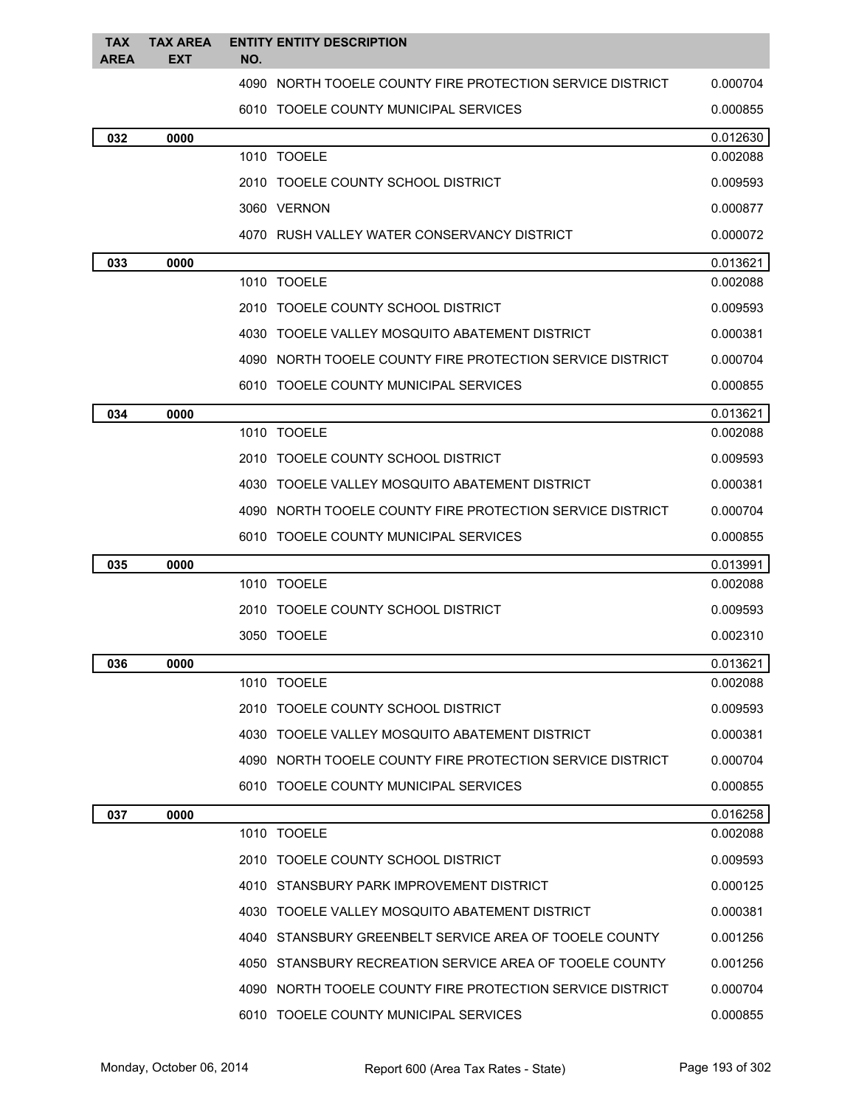| <b>TAX</b><br><b>AREA</b> | <b>TAX AREA</b><br><b>EXT</b> | <b>ENTITY ENTITY DESCRIPTION</b><br>NO.                   |          |
|---------------------------|-------------------------------|-----------------------------------------------------------|----------|
|                           |                               | 4090 NORTH TOOELE COUNTY FIRE PROTECTION SERVICE DISTRICT | 0.000704 |
|                           |                               | 6010 TOOELE COUNTY MUNICIPAL SERVICES                     | 0.000855 |
| 032                       | 0000                          |                                                           | 0.012630 |
|                           |                               | 1010 TOOELE                                               | 0.002088 |
|                           |                               | 2010 TOOELE COUNTY SCHOOL DISTRICT                        | 0.009593 |
|                           |                               | 3060 VERNON                                               | 0.000877 |
|                           |                               | 4070 RUSH VALLEY WATER CONSERVANCY DISTRICT               | 0.000072 |
| 033                       | 0000                          |                                                           | 0.013621 |
|                           |                               | 1010 TOOELE                                               | 0.002088 |
|                           |                               | 2010 TOOELE COUNTY SCHOOL DISTRICT                        | 0.009593 |
|                           |                               | 4030 TOOELE VALLEY MOSQUITO ABATEMENT DISTRICT            | 0.000381 |
|                           |                               | 4090 NORTH TOOELE COUNTY FIRE PROTECTION SERVICE DISTRICT | 0.000704 |
|                           |                               | 6010 TOOELE COUNTY MUNICIPAL SERVICES                     | 0.000855 |
| 034                       | 0000                          |                                                           | 0.013621 |
|                           |                               | 1010 TOOELE                                               | 0.002088 |
|                           |                               | 2010 TOOELE COUNTY SCHOOL DISTRICT                        | 0.009593 |
|                           |                               | 4030 TOOELE VALLEY MOSQUITO ABATEMENT DISTRICT            | 0.000381 |
|                           |                               | 4090 NORTH TOOELE COUNTY FIRE PROTECTION SERVICE DISTRICT | 0.000704 |
|                           |                               | 6010 TOOELE COUNTY MUNICIPAL SERVICES                     | 0.000855 |
| 035                       | 0000                          |                                                           | 0.013991 |
|                           |                               | 1010 TOOELE                                               | 0.002088 |
|                           |                               | 2010 TOOELE COUNTY SCHOOL DISTRICT                        | 0.009593 |
|                           |                               | 3050 TOOELE                                               | 0.002310 |
| 036                       | 0000                          |                                                           | 0.013621 |
|                           |                               | 1010 TOOELE                                               | 0.002088 |
|                           |                               | 2010 TOOELE COUNTY SCHOOL DISTRICT                        | 0.009593 |
|                           |                               | 4030 TOOELE VALLEY MOSQUITO ABATEMENT DISTRICT            | 0.000381 |
|                           |                               | 4090 NORTH TOOELE COUNTY FIRE PROTECTION SERVICE DISTRICT | 0.000704 |
|                           |                               | 6010 TOOELE COUNTY MUNICIPAL SERVICES                     | 0.000855 |
| 037                       | 0000                          |                                                           | 0.016258 |
|                           |                               | 1010 TOOELE                                               | 0.002088 |
|                           |                               | 2010 TOOELE COUNTY SCHOOL DISTRICT                        | 0.009593 |
|                           |                               | 4010 STANSBURY PARK IMPROVEMENT DISTRICT                  | 0.000125 |
|                           |                               | 4030 TOOELE VALLEY MOSQUITO ABATEMENT DISTRICT            | 0.000381 |
|                           |                               | 4040 STANSBURY GREENBELT SERVICE AREA OF TOOELE COUNTY    | 0.001256 |
|                           |                               | 4050 STANSBURY RECREATION SERVICE AREA OF TOOELE COUNTY   | 0.001256 |
|                           |                               | 4090 NORTH TOOELE COUNTY FIRE PROTECTION SERVICE DISTRICT | 0.000704 |
|                           |                               | 6010 TOOELE COUNTY MUNICIPAL SERVICES                     | 0.000855 |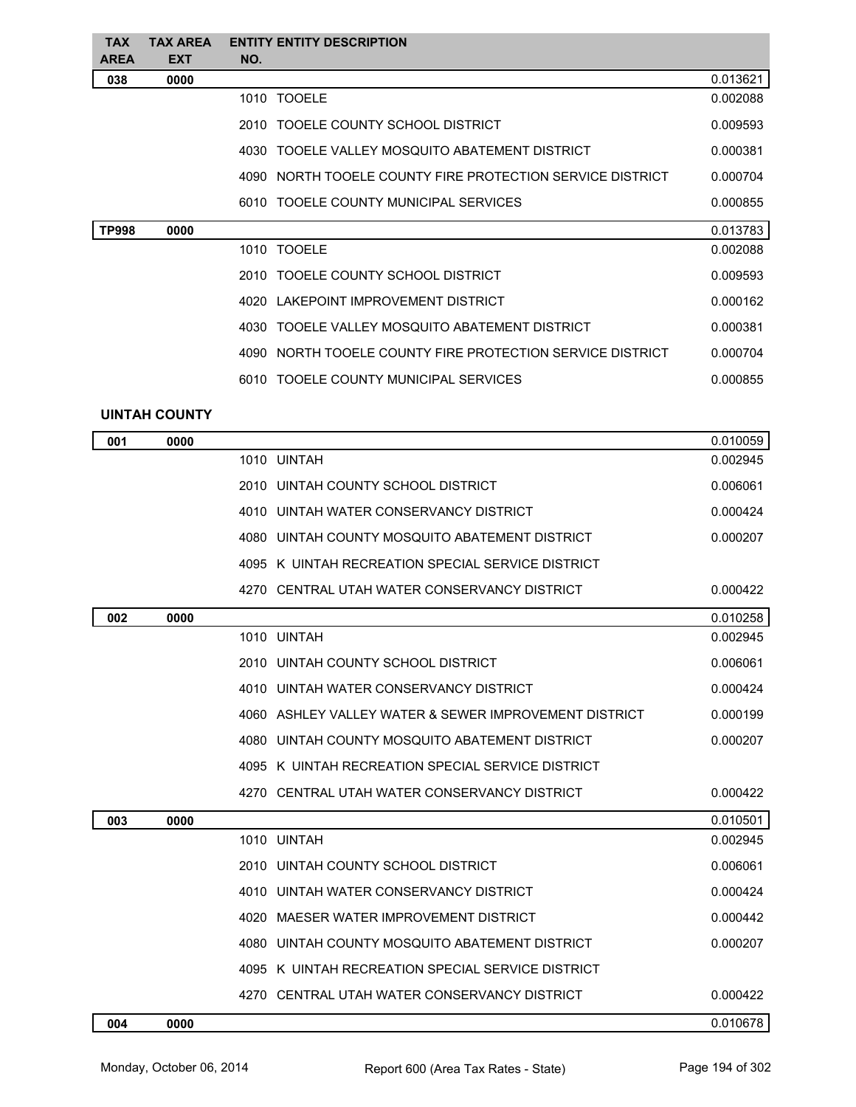| <b>TAX</b><br>AREA | <b>TAX AREA</b><br><b>EXT</b> | <b>ENTITY ENTITY DESCRIPTION</b><br>NO.                   |          |
|--------------------|-------------------------------|-----------------------------------------------------------|----------|
| 038                | 0000                          |                                                           | 0.013621 |
|                    |                               | 1010 TOOELE                                               | 0.002088 |
|                    |                               | 2010 TOOELE COUNTY SCHOOL DISTRICT                        | 0.009593 |
|                    |                               | 4030 TOOELE VALLEY MOSQUITO ABATEMENT DISTRICT            | 0.000381 |
|                    |                               | 4090 NORTH TOOELE COUNTY FIRE PROTECTION SERVICE DISTRICT | 0.000704 |
|                    |                               | 6010 TOOELE COUNTY MUNICIPAL SERVICES                     | 0.000855 |
| <b>TP998</b>       | 0000                          |                                                           | 0.013783 |
|                    |                               | 1010 TOOELE                                               | 0.002088 |
|                    |                               | 2010 TOOELE COUNTY SCHOOL DISTRICT                        | 0.009593 |
|                    |                               | 4020 LAKEPOINT IMPROVEMENT DISTRICT                       | 0.000162 |
|                    |                               | 4030 TOOELE VALLEY MOSQUITO ABATEMENT DISTRICT            | 0.000381 |
|                    |                               | 4090 NORTH TOOELE COUNTY FIRE PROTECTION SERVICE DISTRICT | 0.000704 |
|                    |                               | 6010 TOOELE COUNTY MUNICIPAL SERVICES                     | 0.000855 |
|                    | <b>UINTAH COUNTY</b>          |                                                           |          |
| 001                | 0000                          |                                                           | 0.010059 |
|                    |                               | 1010 UINTAH                                               | 0.002945 |
|                    |                               | 2010 UINTAH COUNTY SCHOOL DISTRICT                        | 0.006061 |
|                    |                               | 4010 UINTAH WATER CONSERVANCY DISTRICT                    | 0.000424 |
|                    |                               | 4080 UINTAH COUNTY MOSQUITO ABATEMENT DISTRICT            | 0.000207 |
|                    |                               | 4095 K UINTAH RECREATION SPECIAL SERVICE DISTRICT         |          |
|                    |                               | 4270 CENTRAL UTAH WATER CONSERVANCY DISTRICT              | 0.000422 |
| 002                | 0000                          |                                                           | 0.010258 |
|                    |                               | 1010 UINTAH                                               | 0.002945 |
|                    |                               | 2010 UINTAH COUNTY SCHOOL DISTRICT                        | 0.006061 |
|                    |                               | 4010 UINTAH WATER CONSERVANCY DISTRICT                    | 0.000424 |
|                    |                               | 4060 ASHLEY VALLEY WATER & SEWER IMPROVEMENT DISTRICT     | 0.000199 |
|                    |                               | 4080 UINTAH COUNTY MOSQUITO ABATEMENT DISTRICT            | 0.000207 |
|                    |                               | 4095 K UINTAH RECREATION SPECIAL SERVICE DISTRICT         |          |
|                    |                               | 4270 CENTRAL UTAH WATER CONSERVANCY DISTRICT              | 0.000422 |
| 003                | 0000                          |                                                           | 0.010501 |
|                    |                               | 1010 UINTAH                                               | 0.002945 |
|                    |                               | 2010 UINTAH COUNTY SCHOOL DISTRICT                        | 0.006061 |
|                    |                               | 4010 UINTAH WATER CONSERVANCY DISTRICT                    | 0.000424 |
|                    |                               | 4020 MAESER WATER IMPROVEMENT DISTRICT                    | 0.000442 |
|                    |                               | 4080 UINTAH COUNTY MOSQUITO ABATEMENT DISTRICT            | 0.000207 |
|                    |                               | 4095 K UINTAH RECREATION SPECIAL SERVICE DISTRICT         |          |
|                    |                               | 4270 CENTRAL UTAH WATER CONSERVANCY DISTRICT              | 0.000422 |
| 004                | 0000                          |                                                           | 0.010678 |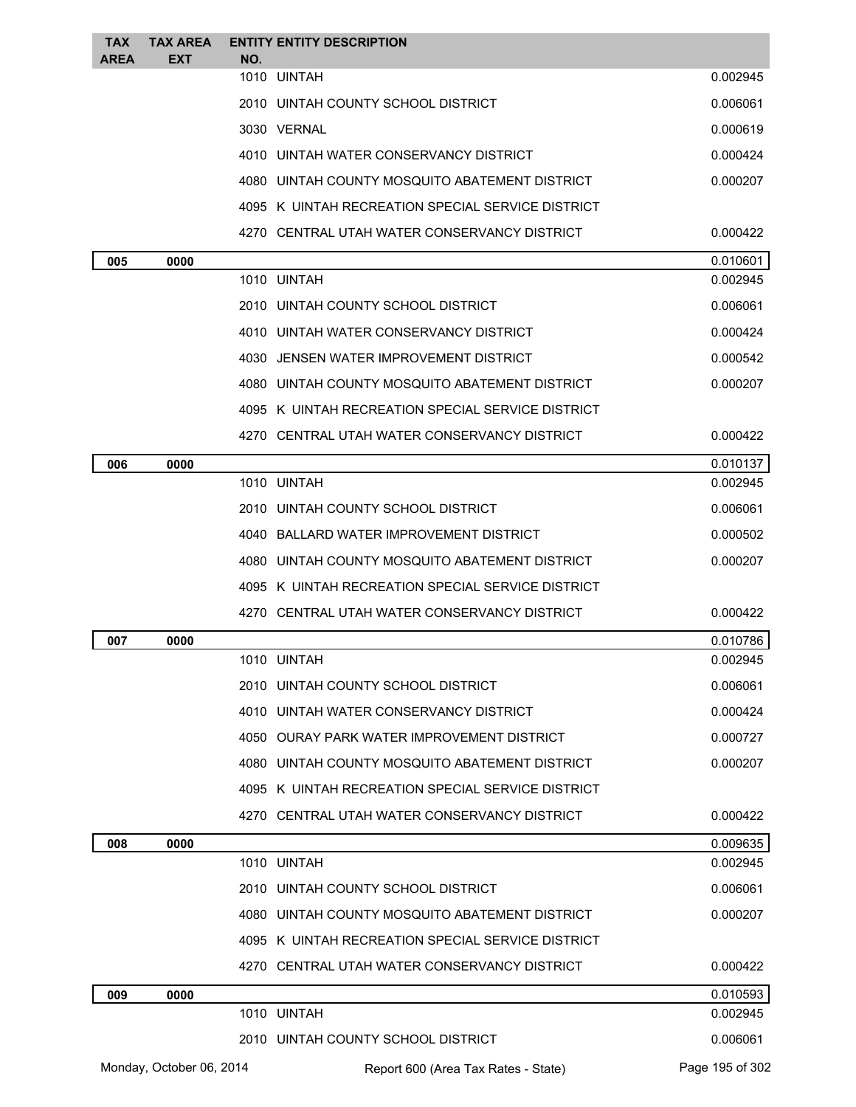| <b>TAX</b>  | <b>TAX AREA</b>          |     | <b>ENTITY ENTITY DESCRIPTION</b>                  |                 |
|-------------|--------------------------|-----|---------------------------------------------------|-----------------|
| <b>AREA</b> | EXT                      | NO. | 1010 UINTAH                                       | 0.002945        |
|             |                          |     | 2010 UINTAH COUNTY SCHOOL DISTRICT                | 0.006061        |
|             |                          |     | 3030 VERNAL                                       | 0.000619        |
|             |                          |     | 4010 UINTAH WATER CONSERVANCY DISTRICT            | 0.000424        |
|             |                          |     | 4080 UINTAH COUNTY MOSQUITO ABATEMENT DISTRICT    | 0.000207        |
|             |                          |     | 4095 K UINTAH RECREATION SPECIAL SERVICE DISTRICT |                 |
|             |                          |     | 4270 CENTRAL UTAH WATER CONSERVANCY DISTRICT      | 0.000422        |
| 005         | 0000                     |     |                                                   | 0.010601        |
|             |                          |     | 1010 UINTAH                                       | 0.002945        |
|             |                          |     | 2010 UINTAH COUNTY SCHOOL DISTRICT                | 0.006061        |
|             |                          |     | 4010 UINTAH WATER CONSERVANCY DISTRICT            | 0.000424        |
|             |                          |     | 4030 JENSEN WATER IMPROVEMENT DISTRICT            | 0.000542        |
|             |                          |     | 4080 UINTAH COUNTY MOSQUITO ABATEMENT DISTRICT    | 0.000207        |
|             |                          |     | 4095 K UINTAH RECREATION SPECIAL SERVICE DISTRICT |                 |
|             |                          |     | 4270 CENTRAL UTAH WATER CONSERVANCY DISTRICT      | 0.000422        |
| 006         | 0000                     |     |                                                   | 0.010137        |
|             |                          |     | 1010 UINTAH                                       | 0.002945        |
|             |                          |     | 2010 UINTAH COUNTY SCHOOL DISTRICT                | 0.006061        |
|             |                          |     | 4040 BALLARD WATER IMPROVEMENT DISTRICT           | 0.000502        |
|             |                          |     | 4080 UINTAH COUNTY MOSQUITO ABATEMENT DISTRICT    | 0.000207        |
|             |                          |     | 4095 K UINTAH RECREATION SPECIAL SERVICE DISTRICT |                 |
|             |                          |     | 4270 CENTRAL UTAH WATER CONSERVANCY DISTRICT      | 0.000422        |
| 007         | 0000                     |     |                                                   | 0.010786        |
|             |                          |     | 1010 UINTAH                                       | 0.002945        |
|             |                          |     | 2010 UINTAH COUNTY SCHOOL DISTRICT                | 0.006061        |
|             |                          |     | 4010 UINTAH WATER CONSERVANCY DISTRICT            | 0.000424        |
|             |                          |     | 4050 OURAY PARK WATER IMPROVEMENT DISTRICT        | 0.000727        |
|             |                          |     | 4080 UINTAH COUNTY MOSQUITO ABATEMENT DISTRICT    | 0.000207        |
|             |                          |     | 4095 K UINTAH RECREATION SPECIAL SERVICE DISTRICT |                 |
|             |                          |     | 4270 CENTRAL UTAH WATER CONSERVANCY DISTRICT      | 0.000422        |
| 008         | 0000                     |     |                                                   | 0.009635        |
|             |                          |     | 1010 UINTAH                                       | 0.002945        |
|             |                          |     | 2010 UINTAH COUNTY SCHOOL DISTRICT                | 0.006061        |
|             |                          |     | 4080 UINTAH COUNTY MOSQUITO ABATEMENT DISTRICT    | 0.000207        |
|             |                          |     | 4095 K UINTAH RECREATION SPECIAL SERVICE DISTRICT |                 |
|             |                          |     | 4270 CENTRAL UTAH WATER CONSERVANCY DISTRICT      | 0.000422        |
| 009         | 0000                     |     |                                                   | 0.010593        |
|             |                          |     | 1010 UINTAH                                       | 0.002945        |
|             |                          |     | 2010 UINTAH COUNTY SCHOOL DISTRICT                | 0.006061        |
|             | Monday, October 06, 2014 |     | Report 600 (Area Tax Rates - State)               | Page 195 of 302 |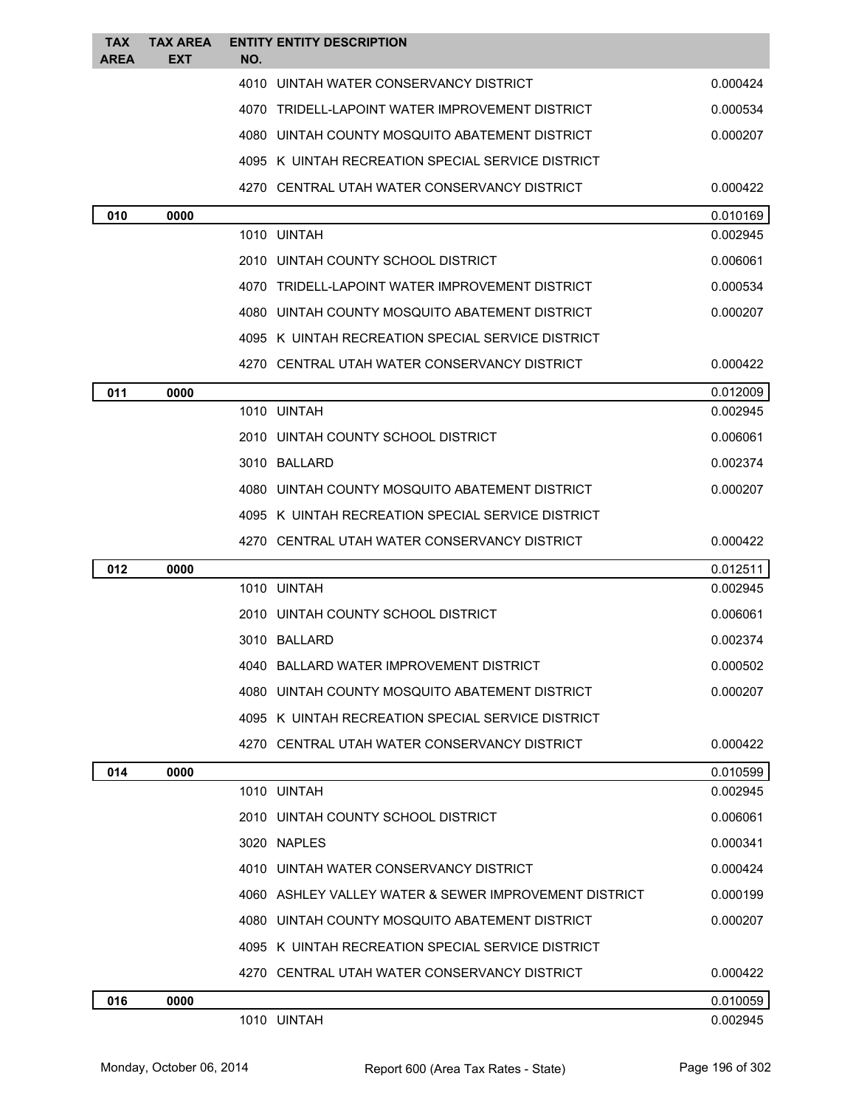| <b>TAX</b><br><b>AREA</b> | <b>TAX AREA</b><br><b>EXT</b> | <b>ENTITY ENTITY DESCRIPTION</b><br>NO.               |          |
|---------------------------|-------------------------------|-------------------------------------------------------|----------|
|                           |                               | 4010 UINTAH WATER CONSERVANCY DISTRICT                | 0.000424 |
|                           |                               | 4070 TRIDELL-LAPOINT WATER IMPROVEMENT DISTRICT       | 0.000534 |
|                           |                               | 4080 UINTAH COUNTY MOSQUITO ABATEMENT DISTRICT        | 0.000207 |
|                           |                               | 4095 K UINTAH RECREATION SPECIAL SERVICE DISTRICT     |          |
|                           |                               | 4270 CENTRAL UTAH WATER CONSERVANCY DISTRICT          | 0.000422 |
| 010                       | 0000                          |                                                       | 0.010169 |
|                           |                               | 1010 UINTAH                                           | 0.002945 |
|                           |                               | 2010 UINTAH COUNTY SCHOOL DISTRICT                    | 0.006061 |
|                           |                               | 4070 TRIDELL-LAPOINT WATER IMPROVEMENT DISTRICT       | 0.000534 |
|                           |                               | 4080 UINTAH COUNTY MOSQUITO ABATEMENT DISTRICT        | 0.000207 |
|                           |                               | 4095 K UINTAH RECREATION SPECIAL SERVICE DISTRICT     |          |
|                           |                               | 4270 CENTRAL UTAH WATER CONSERVANCY DISTRICT          | 0.000422 |
| 011                       | 0000                          |                                                       | 0.012009 |
|                           |                               | 1010 UINTAH                                           | 0.002945 |
|                           |                               | 2010 UINTAH COUNTY SCHOOL DISTRICT                    | 0.006061 |
|                           |                               | 3010 BALLARD                                          | 0.002374 |
|                           |                               | 4080 UINTAH COUNTY MOSQUITO ABATEMENT DISTRICT        | 0.000207 |
|                           |                               | 4095 K UINTAH RECREATION SPECIAL SERVICE DISTRICT     |          |
|                           |                               | 4270 CENTRAL UTAH WATER CONSERVANCY DISTRICT          | 0.000422 |
| 012                       | 0000                          |                                                       | 0.012511 |
|                           |                               | 1010 UINTAH                                           | 0.002945 |
|                           |                               | 2010 UINTAH COUNTY SCHOOL DISTRICT                    | 0.006061 |
|                           |                               | 3010 BALLARD                                          | 0.002374 |
|                           |                               | 4040 BALLARD WATER IMPROVEMENT DISTRICT               | 0.000502 |
|                           |                               | 4080 UINTAH COUNTY MOSQUITO ABATEMENT DISTRICT        | 0.000207 |
|                           |                               | 4095 K UINTAH RECREATION SPECIAL SERVICE DISTRICT     |          |
|                           |                               | 4270 CENTRAL UTAH WATER CONSERVANCY DISTRICT          | 0.000422 |
| 014                       | 0000                          |                                                       | 0.010599 |
|                           |                               | 1010 UINTAH                                           | 0.002945 |
|                           |                               | 2010 UINTAH COUNTY SCHOOL DISTRICT                    | 0.006061 |
|                           |                               | 3020 NAPLES                                           | 0.000341 |
|                           |                               | 4010 UINTAH WATER CONSERVANCY DISTRICT                | 0.000424 |
|                           |                               | 4060 ASHLEY VALLEY WATER & SEWER IMPROVEMENT DISTRICT | 0.000199 |
|                           |                               | 4080 UINTAH COUNTY MOSQUITO ABATEMENT DISTRICT        | 0.000207 |
|                           |                               | 4095 K UINTAH RECREATION SPECIAL SERVICE DISTRICT     |          |
|                           |                               | 4270 CENTRAL UTAH WATER CONSERVANCY DISTRICT          | 0.000422 |
| 016                       | 0000                          |                                                       | 0.010059 |
|                           |                               | 1010 UINTAH                                           | 0.002945 |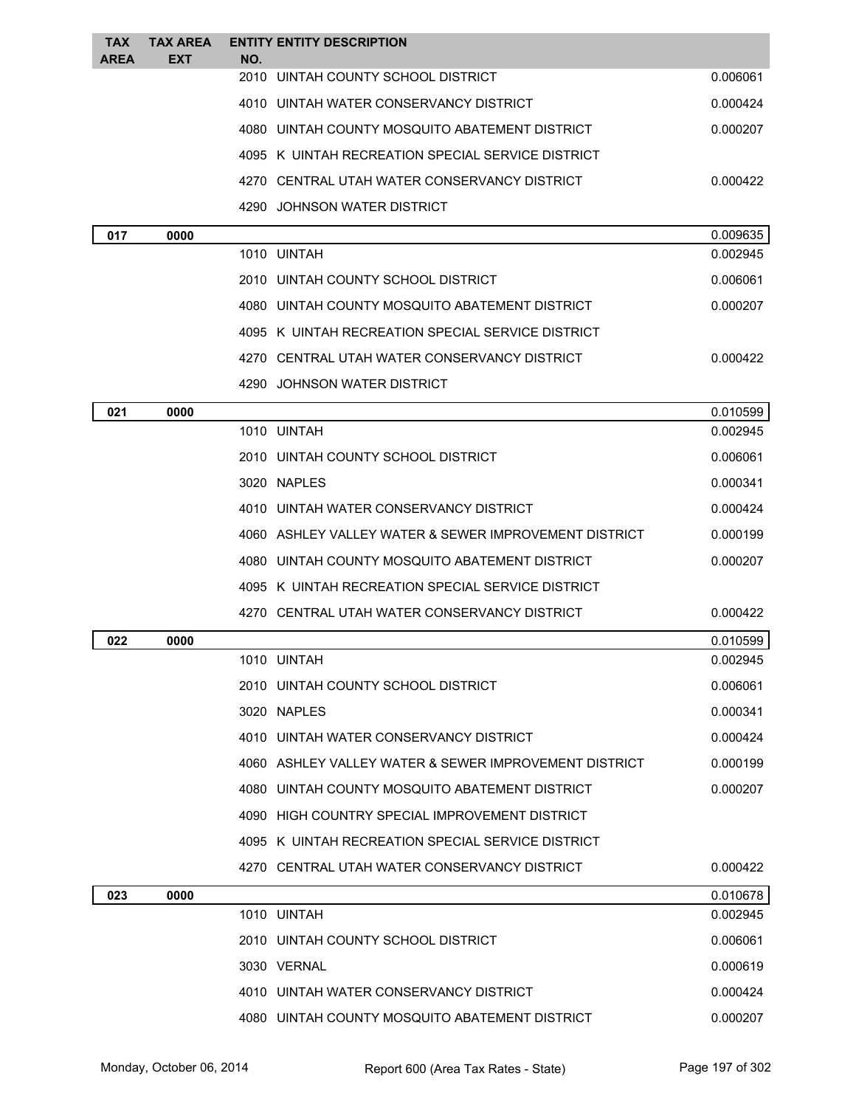| <b>EXT</b><br>2010 UINTAH COUNTY SCHOOL DISTRICT<br>0.006061<br>4010 UINTAH WATER CONSERVANCY DISTRICT<br>0.000424<br>4080 UINTAH COUNTY MOSQUITO ABATEMENT DISTRICT<br>0.000207<br>4095 K UINTAH RECREATION SPECIAL SERVICE DISTRICT<br>4270 CENTRAL UTAH WATER CONSERVANCY DISTRICT<br>0.000422<br>4290 JOHNSON WATER DISTRICT<br>0.009635<br>017<br>0000<br>1010 UINTAH<br>0.002945<br>2010 UINTAH COUNTY SCHOOL DISTRICT<br>0.006061<br>0.000207<br>4080 UINTAH COUNTY MOSQUITO ABATEMENT DISTRICT<br>4095 K UINTAH RECREATION SPECIAL SERVICE DISTRICT<br>4270 CENTRAL UTAH WATER CONSERVANCY DISTRICT<br>0.000422<br>4290 JOHNSON WATER DISTRICT<br>021<br>0000<br>0.010599<br>1010 UINTAH<br>0.002945<br>0.006061<br>2010 UINTAH COUNTY SCHOOL DISTRICT<br>3020 NAPLES<br>0.000341<br>4010 UINTAH WATER CONSERVANCY DISTRICT<br>0.000424<br>4060 ASHLEY VALLEY WATER & SEWER IMPROVEMENT DISTRICT<br>0.000199<br>4080 UINTAH COUNTY MOSQUITO ABATEMENT DISTRICT<br>0.000207<br>4095 K UINTAH RECREATION SPECIAL SERVICE DISTRICT<br>4270 CENTRAL UTAH WATER CONSERVANCY DISTRICT<br>0.000422<br>022<br>0000<br>0.010599<br>1010 UINTAH<br>0.002945<br>2010 UINTAH COUNTY SCHOOL DISTRICT<br>0.006061<br>3020 NAPLES<br>0.000341<br>4010 UINTAH WATER CONSERVANCY DISTRICT<br>0.000424<br>4060 ASHLEY VALLEY WATER & SEWER IMPROVEMENT DISTRICT<br>0.000199<br>0.000207<br>4080 UINTAH COUNTY MOSQUITO ABATEMENT DISTRICT<br>4090 HIGH COUNTRY SPECIAL IMPROVEMENT DISTRICT<br>4095 K UINTAH RECREATION SPECIAL SERVICE DISTRICT<br>4270 CENTRAL UTAH WATER CONSERVANCY DISTRICT<br>0.000422<br>0.010678<br>023<br>0000<br>1010 UINTAH<br>0.002945<br>2010 UINTAH COUNTY SCHOOL DISTRICT<br>0.006061<br>3030 VERNAL<br>0.000619 | <b>TAX</b>  | <b>TAX AREA</b> | <b>ENTITY ENTITY DESCRIPTION</b> |  |
|---------------------------------------------------------------------------------------------------------------------------------------------------------------------------------------------------------------------------------------------------------------------------------------------------------------------------------------------------------------------------------------------------------------------------------------------------------------------------------------------------------------------------------------------------------------------------------------------------------------------------------------------------------------------------------------------------------------------------------------------------------------------------------------------------------------------------------------------------------------------------------------------------------------------------------------------------------------------------------------------------------------------------------------------------------------------------------------------------------------------------------------------------------------------------------------------------------------------------------------------------------------------------------------------------------------------------------------------------------------------------------------------------------------------------------------------------------------------------------------------------------------------------------------------------------------------------------------------------------------------------------------------------------------------------------------------------------------------------------------|-------------|-----------------|----------------------------------|--|
|                                                                                                                                                                                                                                                                                                                                                                                                                                                                                                                                                                                                                                                                                                                                                                                                                                                                                                                                                                                                                                                                                                                                                                                                                                                                                                                                                                                                                                                                                                                                                                                                                                                                                                                                       | <b>AREA</b> |                 | NO.                              |  |
|                                                                                                                                                                                                                                                                                                                                                                                                                                                                                                                                                                                                                                                                                                                                                                                                                                                                                                                                                                                                                                                                                                                                                                                                                                                                                                                                                                                                                                                                                                                                                                                                                                                                                                                                       |             |                 |                                  |  |
|                                                                                                                                                                                                                                                                                                                                                                                                                                                                                                                                                                                                                                                                                                                                                                                                                                                                                                                                                                                                                                                                                                                                                                                                                                                                                                                                                                                                                                                                                                                                                                                                                                                                                                                                       |             |                 |                                  |  |
|                                                                                                                                                                                                                                                                                                                                                                                                                                                                                                                                                                                                                                                                                                                                                                                                                                                                                                                                                                                                                                                                                                                                                                                                                                                                                                                                                                                                                                                                                                                                                                                                                                                                                                                                       |             |                 |                                  |  |
|                                                                                                                                                                                                                                                                                                                                                                                                                                                                                                                                                                                                                                                                                                                                                                                                                                                                                                                                                                                                                                                                                                                                                                                                                                                                                                                                                                                                                                                                                                                                                                                                                                                                                                                                       |             |                 |                                  |  |
|                                                                                                                                                                                                                                                                                                                                                                                                                                                                                                                                                                                                                                                                                                                                                                                                                                                                                                                                                                                                                                                                                                                                                                                                                                                                                                                                                                                                                                                                                                                                                                                                                                                                                                                                       |             |                 |                                  |  |
|                                                                                                                                                                                                                                                                                                                                                                                                                                                                                                                                                                                                                                                                                                                                                                                                                                                                                                                                                                                                                                                                                                                                                                                                                                                                                                                                                                                                                                                                                                                                                                                                                                                                                                                                       |             |                 |                                  |  |
|                                                                                                                                                                                                                                                                                                                                                                                                                                                                                                                                                                                                                                                                                                                                                                                                                                                                                                                                                                                                                                                                                                                                                                                                                                                                                                                                                                                                                                                                                                                                                                                                                                                                                                                                       |             |                 |                                  |  |
|                                                                                                                                                                                                                                                                                                                                                                                                                                                                                                                                                                                                                                                                                                                                                                                                                                                                                                                                                                                                                                                                                                                                                                                                                                                                                                                                                                                                                                                                                                                                                                                                                                                                                                                                       |             |                 |                                  |  |
|                                                                                                                                                                                                                                                                                                                                                                                                                                                                                                                                                                                                                                                                                                                                                                                                                                                                                                                                                                                                                                                                                                                                                                                                                                                                                                                                                                                                                                                                                                                                                                                                                                                                                                                                       |             |                 |                                  |  |
|                                                                                                                                                                                                                                                                                                                                                                                                                                                                                                                                                                                                                                                                                                                                                                                                                                                                                                                                                                                                                                                                                                                                                                                                                                                                                                                                                                                                                                                                                                                                                                                                                                                                                                                                       |             |                 |                                  |  |
|                                                                                                                                                                                                                                                                                                                                                                                                                                                                                                                                                                                                                                                                                                                                                                                                                                                                                                                                                                                                                                                                                                                                                                                                                                                                                                                                                                                                                                                                                                                                                                                                                                                                                                                                       |             |                 |                                  |  |
|                                                                                                                                                                                                                                                                                                                                                                                                                                                                                                                                                                                                                                                                                                                                                                                                                                                                                                                                                                                                                                                                                                                                                                                                                                                                                                                                                                                                                                                                                                                                                                                                                                                                                                                                       |             |                 |                                  |  |
|                                                                                                                                                                                                                                                                                                                                                                                                                                                                                                                                                                                                                                                                                                                                                                                                                                                                                                                                                                                                                                                                                                                                                                                                                                                                                                                                                                                                                                                                                                                                                                                                                                                                                                                                       |             |                 |                                  |  |
|                                                                                                                                                                                                                                                                                                                                                                                                                                                                                                                                                                                                                                                                                                                                                                                                                                                                                                                                                                                                                                                                                                                                                                                                                                                                                                                                                                                                                                                                                                                                                                                                                                                                                                                                       |             |                 |                                  |  |
|                                                                                                                                                                                                                                                                                                                                                                                                                                                                                                                                                                                                                                                                                                                                                                                                                                                                                                                                                                                                                                                                                                                                                                                                                                                                                                                                                                                                                                                                                                                                                                                                                                                                                                                                       |             |                 |                                  |  |
|                                                                                                                                                                                                                                                                                                                                                                                                                                                                                                                                                                                                                                                                                                                                                                                                                                                                                                                                                                                                                                                                                                                                                                                                                                                                                                                                                                                                                                                                                                                                                                                                                                                                                                                                       |             |                 |                                  |  |
|                                                                                                                                                                                                                                                                                                                                                                                                                                                                                                                                                                                                                                                                                                                                                                                                                                                                                                                                                                                                                                                                                                                                                                                                                                                                                                                                                                                                                                                                                                                                                                                                                                                                                                                                       |             |                 |                                  |  |
|                                                                                                                                                                                                                                                                                                                                                                                                                                                                                                                                                                                                                                                                                                                                                                                                                                                                                                                                                                                                                                                                                                                                                                                                                                                                                                                                                                                                                                                                                                                                                                                                                                                                                                                                       |             |                 |                                  |  |
|                                                                                                                                                                                                                                                                                                                                                                                                                                                                                                                                                                                                                                                                                                                                                                                                                                                                                                                                                                                                                                                                                                                                                                                                                                                                                                                                                                                                                                                                                                                                                                                                                                                                                                                                       |             |                 |                                  |  |
|                                                                                                                                                                                                                                                                                                                                                                                                                                                                                                                                                                                                                                                                                                                                                                                                                                                                                                                                                                                                                                                                                                                                                                                                                                                                                                                                                                                                                                                                                                                                                                                                                                                                                                                                       |             |                 |                                  |  |
|                                                                                                                                                                                                                                                                                                                                                                                                                                                                                                                                                                                                                                                                                                                                                                                                                                                                                                                                                                                                                                                                                                                                                                                                                                                                                                                                                                                                                                                                                                                                                                                                                                                                                                                                       |             |                 |                                  |  |
|                                                                                                                                                                                                                                                                                                                                                                                                                                                                                                                                                                                                                                                                                                                                                                                                                                                                                                                                                                                                                                                                                                                                                                                                                                                                                                                                                                                                                                                                                                                                                                                                                                                                                                                                       |             |                 |                                  |  |
|                                                                                                                                                                                                                                                                                                                                                                                                                                                                                                                                                                                                                                                                                                                                                                                                                                                                                                                                                                                                                                                                                                                                                                                                                                                                                                                                                                                                                                                                                                                                                                                                                                                                                                                                       |             |                 |                                  |  |
|                                                                                                                                                                                                                                                                                                                                                                                                                                                                                                                                                                                                                                                                                                                                                                                                                                                                                                                                                                                                                                                                                                                                                                                                                                                                                                                                                                                                                                                                                                                                                                                                                                                                                                                                       |             |                 |                                  |  |
|                                                                                                                                                                                                                                                                                                                                                                                                                                                                                                                                                                                                                                                                                                                                                                                                                                                                                                                                                                                                                                                                                                                                                                                                                                                                                                                                                                                                                                                                                                                                                                                                                                                                                                                                       |             |                 |                                  |  |
|                                                                                                                                                                                                                                                                                                                                                                                                                                                                                                                                                                                                                                                                                                                                                                                                                                                                                                                                                                                                                                                                                                                                                                                                                                                                                                                                                                                                                                                                                                                                                                                                                                                                                                                                       |             |                 |                                  |  |
|                                                                                                                                                                                                                                                                                                                                                                                                                                                                                                                                                                                                                                                                                                                                                                                                                                                                                                                                                                                                                                                                                                                                                                                                                                                                                                                                                                                                                                                                                                                                                                                                                                                                                                                                       |             |                 |                                  |  |
|                                                                                                                                                                                                                                                                                                                                                                                                                                                                                                                                                                                                                                                                                                                                                                                                                                                                                                                                                                                                                                                                                                                                                                                                                                                                                                                                                                                                                                                                                                                                                                                                                                                                                                                                       |             |                 |                                  |  |
|                                                                                                                                                                                                                                                                                                                                                                                                                                                                                                                                                                                                                                                                                                                                                                                                                                                                                                                                                                                                                                                                                                                                                                                                                                                                                                                                                                                                                                                                                                                                                                                                                                                                                                                                       |             |                 |                                  |  |
|                                                                                                                                                                                                                                                                                                                                                                                                                                                                                                                                                                                                                                                                                                                                                                                                                                                                                                                                                                                                                                                                                                                                                                                                                                                                                                                                                                                                                                                                                                                                                                                                                                                                                                                                       |             |                 |                                  |  |
|                                                                                                                                                                                                                                                                                                                                                                                                                                                                                                                                                                                                                                                                                                                                                                                                                                                                                                                                                                                                                                                                                                                                                                                                                                                                                                                                                                                                                                                                                                                                                                                                                                                                                                                                       |             |                 |                                  |  |
|                                                                                                                                                                                                                                                                                                                                                                                                                                                                                                                                                                                                                                                                                                                                                                                                                                                                                                                                                                                                                                                                                                                                                                                                                                                                                                                                                                                                                                                                                                                                                                                                                                                                                                                                       |             |                 |                                  |  |
|                                                                                                                                                                                                                                                                                                                                                                                                                                                                                                                                                                                                                                                                                                                                                                                                                                                                                                                                                                                                                                                                                                                                                                                                                                                                                                                                                                                                                                                                                                                                                                                                                                                                                                                                       |             |                 |                                  |  |
|                                                                                                                                                                                                                                                                                                                                                                                                                                                                                                                                                                                                                                                                                                                                                                                                                                                                                                                                                                                                                                                                                                                                                                                                                                                                                                                                                                                                                                                                                                                                                                                                                                                                                                                                       |             |                 |                                  |  |
|                                                                                                                                                                                                                                                                                                                                                                                                                                                                                                                                                                                                                                                                                                                                                                                                                                                                                                                                                                                                                                                                                                                                                                                                                                                                                                                                                                                                                                                                                                                                                                                                                                                                                                                                       |             |                 |                                  |  |
|                                                                                                                                                                                                                                                                                                                                                                                                                                                                                                                                                                                                                                                                                                                                                                                                                                                                                                                                                                                                                                                                                                                                                                                                                                                                                                                                                                                                                                                                                                                                                                                                                                                                                                                                       |             |                 |                                  |  |
| 4010 UINTAH WATER CONSERVANCY DISTRICT<br>0.000424                                                                                                                                                                                                                                                                                                                                                                                                                                                                                                                                                                                                                                                                                                                                                                                                                                                                                                                                                                                                                                                                                                                                                                                                                                                                                                                                                                                                                                                                                                                                                                                                                                                                                    |             |                 |                                  |  |
| 4080 UINTAH COUNTY MOSQUITO ABATEMENT DISTRICT<br>0.000207                                                                                                                                                                                                                                                                                                                                                                                                                                                                                                                                                                                                                                                                                                                                                                                                                                                                                                                                                                                                                                                                                                                                                                                                                                                                                                                                                                                                                                                                                                                                                                                                                                                                            |             |                 |                                  |  |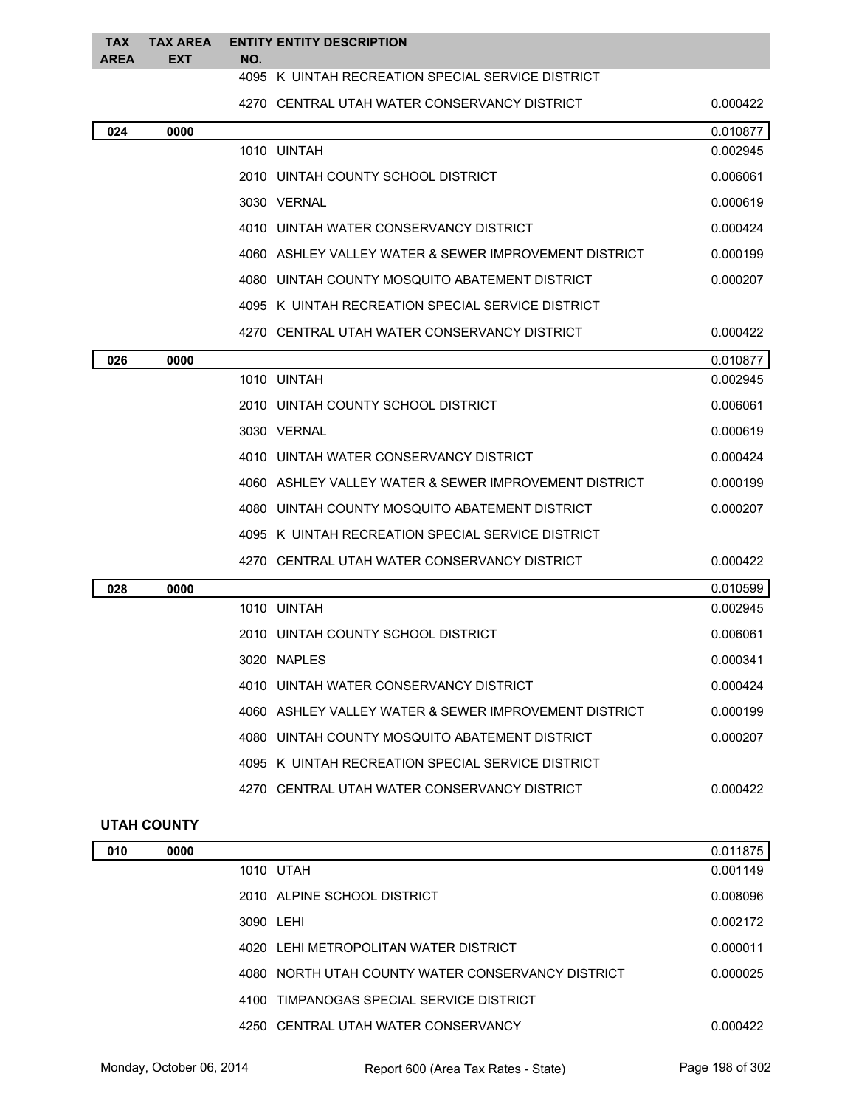| <b>TAX</b><br><b>AREA</b> | <b>TAX AREA</b><br><b>EXT</b> | NO. | <b>ENTITY ENTITY DESCRIPTION</b>                      |          |
|---------------------------|-------------------------------|-----|-------------------------------------------------------|----------|
|                           |                               |     | 4095 K UINTAH RECREATION SPECIAL SERVICE DISTRICT     |          |
|                           |                               |     | 4270 CENTRAL UTAH WATER CONSERVANCY DISTRICT          | 0.000422 |
| 024                       | 0000                          |     |                                                       | 0.010877 |
|                           |                               |     | 1010 UINTAH                                           | 0.002945 |
|                           |                               |     | 2010 UINTAH COUNTY SCHOOL DISTRICT                    | 0.006061 |
|                           |                               |     | 3030 VERNAL                                           | 0.000619 |
|                           |                               |     | 4010 UINTAH WATER CONSERVANCY DISTRICT                | 0.000424 |
|                           |                               |     | 4060 ASHLEY VALLEY WATER & SEWER IMPROVEMENT DISTRICT | 0.000199 |
|                           |                               |     | 4080 UINTAH COUNTY MOSQUITO ABATEMENT DISTRICT        | 0.000207 |
|                           |                               |     | 4095 K UINTAH RECREATION SPECIAL SERVICE DISTRICT     |          |
|                           |                               |     | 4270 CENTRAL UTAH WATER CONSERVANCY DISTRICT          | 0.000422 |
| 026                       | 0000                          |     |                                                       | 0.010877 |
|                           |                               |     | 1010 UINTAH                                           | 0.002945 |
|                           |                               |     | 2010 UINTAH COUNTY SCHOOL DISTRICT                    | 0.006061 |
|                           |                               |     | 3030 VERNAL                                           | 0.000619 |
|                           |                               |     | 4010 UINTAH WATER CONSERVANCY DISTRICT                | 0.000424 |
|                           |                               |     | 4060 ASHLEY VALLEY WATER & SEWER IMPROVEMENT DISTRICT | 0.000199 |
|                           |                               |     | 4080 UINTAH COUNTY MOSQUITO ABATEMENT DISTRICT        | 0.000207 |
|                           |                               |     | 4095 K UINTAH RECREATION SPECIAL SERVICE DISTRICT     |          |
|                           |                               |     | 4270 CENTRAL UTAH WATER CONSERVANCY DISTRICT          | 0.000422 |
| 028                       | 0000                          |     |                                                       | 0.010599 |
|                           |                               |     | 1010 UINTAH                                           | 0.002945 |
|                           |                               |     | 2010 UINTAH COUNTY SCHOOL DISTRICT                    | 0.006061 |
|                           |                               |     | 3020 NAPLES                                           | 0.000341 |
|                           |                               |     | 4010 UINTAH WATER CONSERVANCY DISTRICT                | 0.000424 |
|                           |                               |     | 4060 ASHLEY VALLEY WATER & SEWER IMPROVEMENT DISTRICT | 0.000199 |
|                           |                               |     | 4080 UINTAH COUNTY MOSQUITO ABATEMENT DISTRICT        | 0.000207 |
|                           |                               |     | 4095 K UINTAH RECREATION SPECIAL SERVICE DISTRICT     |          |
|                           |                               |     | 4270 CENTRAL UTAH WATER CONSERVANCY DISTRICT          | 0.000422 |
| <b>UTAH COUNTY</b>        |                               |     |                                                       |          |
| 010                       | 0000                          |     |                                                       | 0.011875 |
|                           |                               |     | 1010 UTAH                                             | 0.001149 |
|                           |                               |     | 2010 ALPINE SCHOOL DISTRICT                           | 0.008096 |
|                           |                               |     | 3090 LEHI                                             | 0.002172 |

Monday, October 06, 2014 Report 600 (Area Tax Rates - State) Rage 198 of 302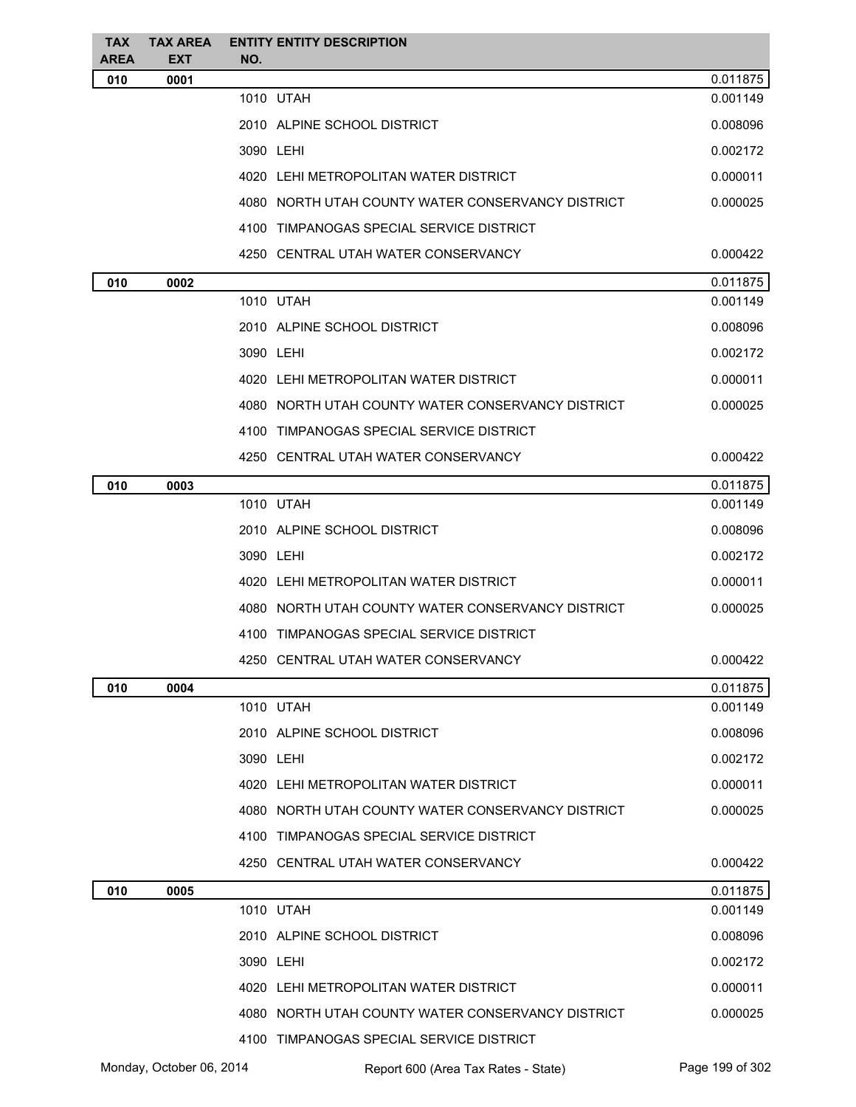| TAX                | <b>TAX AREA</b>    | <b>ENTITY ENTITY DESCRIPTION</b>                  |          |
|--------------------|--------------------|---------------------------------------------------|----------|
| <b>AREA</b><br>010 | <b>EXT</b><br>0001 | NO.                                               | 0.011875 |
|                    |                    | 1010 UTAH                                         | 0.001149 |
|                    |                    | 2010 ALPINE SCHOOL DISTRICT                       | 0.008096 |
|                    |                    | 3090 LEHI                                         | 0.002172 |
|                    |                    | 4020 LEHI METROPOLITAN WATER DISTRICT             | 0.000011 |
|                    |                    | 4080 NORTH UTAH COUNTY WATER CONSERVANCY DISTRICT | 0.000025 |
|                    |                    | 4100 TIMPANOGAS SPECIAL SERVICE DISTRICT          |          |
|                    |                    | 4250 CENTRAL UTAH WATER CONSERVANCY               | 0.000422 |
| 010                | 0002               |                                                   | 0.011875 |
|                    |                    | 1010 UTAH                                         | 0.001149 |
|                    |                    | 2010 ALPINE SCHOOL DISTRICT                       | 0.008096 |
|                    |                    | 3090 LEHI                                         | 0.002172 |
|                    |                    | 4020 LEHI METROPOLITAN WATER DISTRICT             | 0.000011 |
|                    |                    | 4080 NORTH UTAH COUNTY WATER CONSERVANCY DISTRICT | 0.000025 |
|                    |                    | 4100 TIMPANOGAS SPECIAL SERVICE DISTRICT          |          |
|                    |                    | 4250 CENTRAL UTAH WATER CONSERVANCY               | 0.000422 |
| 010                | 0003               |                                                   | 0.011875 |
|                    |                    | 1010 UTAH                                         | 0.001149 |
|                    |                    | 2010 ALPINE SCHOOL DISTRICT                       | 0.008096 |
|                    |                    | 3090 LEHI                                         | 0.002172 |
|                    |                    | 4020 LEHI METROPOLITAN WATER DISTRICT             | 0.000011 |
|                    |                    | 4080 NORTH UTAH COUNTY WATER CONSERVANCY DISTRICT | 0.000025 |
|                    |                    | 4100 TIMPANOGAS SPECIAL SERVICE DISTRICT          |          |
|                    |                    | 4250 CENTRAL UTAH WATER CONSERVANCY               | 0.000422 |
| 010                | 0004               |                                                   | 0.011875 |
|                    |                    | 1010 UTAH                                         | 0.001149 |
|                    |                    | 2010 ALPINE SCHOOL DISTRICT                       | 0.008096 |
|                    |                    | 3090 LEHI                                         | 0.002172 |
|                    |                    | 4020 LEHI METROPOLITAN WATER DISTRICT             | 0.000011 |
|                    |                    | 4080 NORTH UTAH COUNTY WATER CONSERVANCY DISTRICT | 0.000025 |
|                    |                    | 4100 TIMPANOGAS SPECIAL SERVICE DISTRICT          |          |
|                    |                    | 4250 CENTRAL UTAH WATER CONSERVANCY               | 0.000422 |
| 010                | 0005               |                                                   | 0.011875 |
|                    |                    | 1010 UTAH                                         | 0.001149 |
|                    |                    | 2010 ALPINE SCHOOL DISTRICT                       | 0.008096 |
|                    |                    | 3090 LEHI                                         | 0.002172 |
|                    |                    | 4020 LEHI METROPOLITAN WATER DISTRICT             | 0.000011 |
|                    |                    | 4080 NORTH UTAH COUNTY WATER CONSERVANCY DISTRICT | 0.000025 |
|                    |                    | 4100 TIMPANOGAS SPECIAL SERVICE DISTRICT          |          |

Monday, October 06, 2014 Report 600 (Area Tax Rates - State) Rage 199 of 302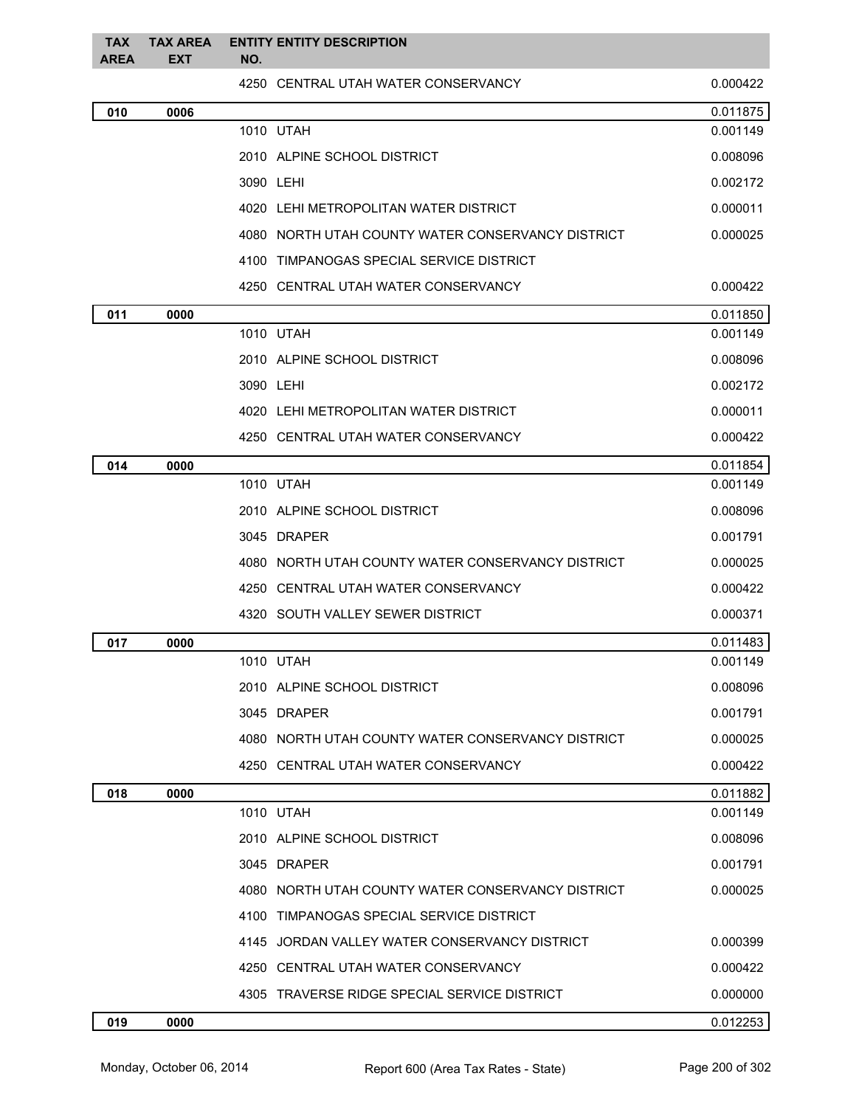| <b>TAX</b><br><b>AREA</b> | <b>TAX AREA</b><br><b>EXT</b> | <b>ENTITY ENTITY DESCRIPTION</b><br>NO.           |          |
|---------------------------|-------------------------------|---------------------------------------------------|----------|
|                           |                               | 4250 CENTRAL UTAH WATER CONSERVANCY               | 0.000422 |
| 010                       | 0006                          |                                                   | 0.011875 |
|                           |                               | 1010 UTAH                                         | 0.001149 |
|                           |                               | 2010 ALPINE SCHOOL DISTRICT                       | 0.008096 |
|                           |                               | 3090 LEHI                                         | 0.002172 |
|                           |                               | 4020 LEHI METROPOLITAN WATER DISTRICT             | 0.000011 |
|                           |                               | 4080 NORTH UTAH COUNTY WATER CONSERVANCY DISTRICT | 0.000025 |
|                           |                               | 4100 TIMPANOGAS SPECIAL SERVICE DISTRICT          |          |
|                           |                               | 4250 CENTRAL UTAH WATER CONSERVANCY               | 0.000422 |
| 011                       | 0000                          |                                                   | 0.011850 |
|                           |                               | 1010 UTAH                                         | 0.001149 |
|                           |                               | 2010 ALPINE SCHOOL DISTRICT                       | 0.008096 |
|                           |                               | 3090 LEHI                                         | 0.002172 |
|                           |                               | 4020 LEHI METROPOLITAN WATER DISTRICT             | 0.000011 |
|                           |                               | 4250 CENTRAL UTAH WATER CONSERVANCY               | 0.000422 |
| 014                       | 0000                          |                                                   | 0.011854 |
|                           |                               | 1010 UTAH                                         | 0.001149 |
|                           |                               | 2010 ALPINE SCHOOL DISTRICT                       | 0.008096 |
|                           |                               | 3045 DRAPER                                       | 0.001791 |
|                           |                               | 4080 NORTH UTAH COUNTY WATER CONSERVANCY DISTRICT | 0.000025 |
|                           |                               | 4250 CENTRAL UTAH WATER CONSERVANCY               | 0.000422 |
|                           |                               | 4320 SOUTH VALLEY SEWER DISTRICT                  | 0.000371 |
| 017                       | 0000                          |                                                   | 0.011483 |
|                           |                               | 1010 UTAH                                         | 0.001149 |
|                           |                               | 2010 ALPINE SCHOOL DISTRICT                       | 0.008096 |
|                           |                               | 3045 DRAPER                                       | 0.001791 |
|                           |                               | 4080 NORTH UTAH COUNTY WATER CONSERVANCY DISTRICT | 0.000025 |
|                           |                               | 4250 CENTRAL UTAH WATER CONSERVANCY               | 0.000422 |
| 018                       | 0000                          |                                                   | 0.011882 |
|                           |                               | 1010 UTAH                                         | 0.001149 |
|                           |                               | 2010 ALPINE SCHOOL DISTRICT                       | 0.008096 |
|                           |                               | 3045 DRAPER                                       | 0.001791 |
|                           |                               | 4080 NORTH UTAH COUNTY WATER CONSERVANCY DISTRICT | 0.000025 |
|                           |                               | 4100 TIMPANOGAS SPECIAL SERVICE DISTRICT          |          |
|                           |                               | 4145 JORDAN VALLEY WATER CONSERVANCY DISTRICT     | 0.000399 |
|                           |                               | 4250 CENTRAL UTAH WATER CONSERVANCY               | 0.000422 |
|                           |                               | 4305 TRAVERSE RIDGE SPECIAL SERVICE DISTRICT      | 0.000000 |
| 019                       | 0000                          |                                                   | 0.012253 |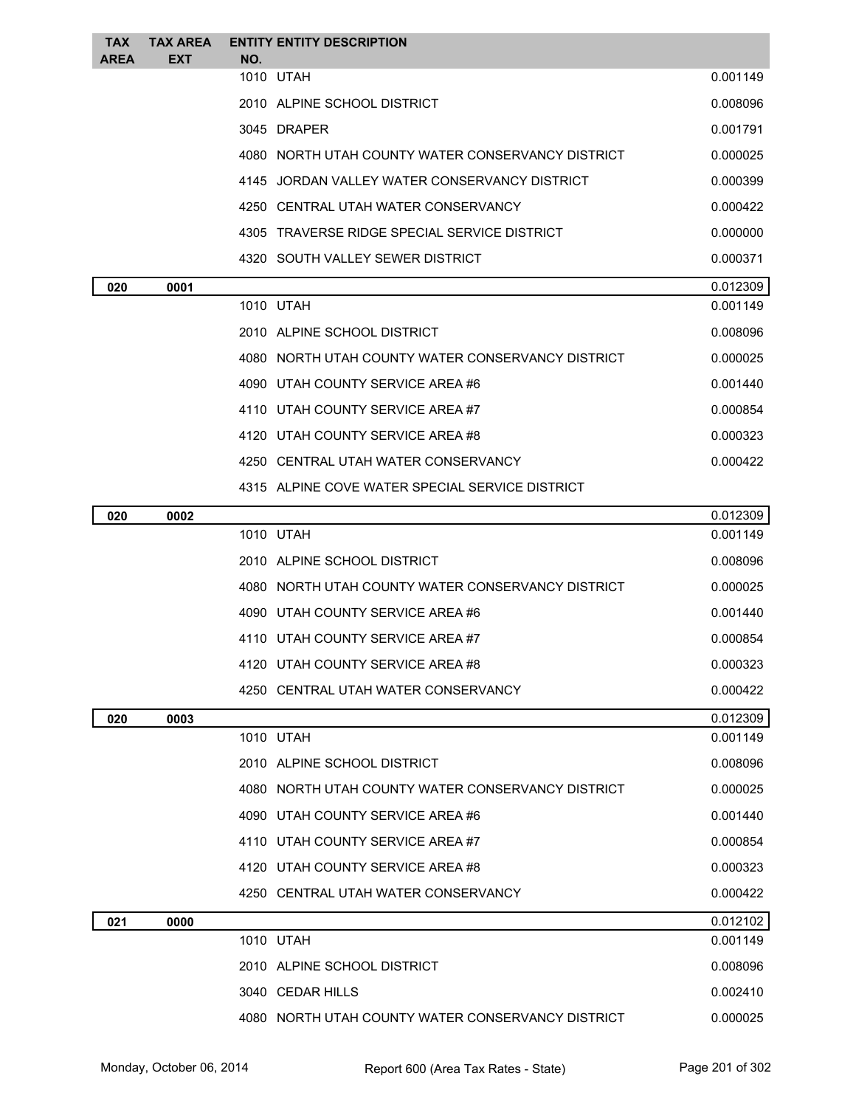| <b>TAX</b><br>AREA | <b>TAX AREA</b><br><b>EXT</b> | <b>ENTITY ENTITY DESCRIPTION</b><br>NO.           |          |
|--------------------|-------------------------------|---------------------------------------------------|----------|
|                    |                               | 1010 UTAH                                         | 0.001149 |
|                    |                               | 2010 ALPINE SCHOOL DISTRICT                       | 0.008096 |
|                    |                               | 3045 DRAPER                                       | 0.001791 |
|                    |                               | 4080 NORTH UTAH COUNTY WATER CONSERVANCY DISTRICT | 0.000025 |
|                    |                               | 4145 JORDAN VALLEY WATER CONSERVANCY DISTRICT     | 0.000399 |
|                    |                               | 4250 CENTRAL UTAH WATER CONSERVANCY               | 0.000422 |
|                    |                               | 4305 TRAVERSE RIDGE SPECIAL SERVICE DISTRICT      | 0.000000 |
|                    |                               | 4320 SOUTH VALLEY SEWER DISTRICT                  | 0.000371 |
| 020                | 0001                          |                                                   | 0.012309 |
|                    |                               | 1010 UTAH                                         | 0.001149 |
|                    |                               | 2010 ALPINE SCHOOL DISTRICT                       | 0.008096 |
|                    |                               | 4080 NORTH UTAH COUNTY WATER CONSERVANCY DISTRICT | 0.000025 |
|                    |                               | 4090 UTAH COUNTY SERVICE AREA #6                  | 0.001440 |
|                    |                               | 4110 UTAH COUNTY SERVICE AREA #7                  | 0.000854 |
|                    |                               | 4120 UTAH COUNTY SERVICE AREA #8                  | 0.000323 |
|                    |                               | 4250 CENTRAL UTAH WATER CONSERVANCY               | 0.000422 |
|                    |                               | 4315 ALPINE COVE WATER SPECIAL SERVICE DISTRICT   |          |
| 020                | 0002                          |                                                   | 0.012309 |
|                    |                               | 1010 UTAH                                         | 0.001149 |
|                    |                               | 2010 ALPINE SCHOOL DISTRICT                       | 0.008096 |
|                    |                               | 4080 NORTH UTAH COUNTY WATER CONSERVANCY DISTRICT | 0.000025 |
|                    |                               | 4090 UTAH COUNTY SERVICE AREA #6                  | 0.001440 |
|                    |                               | 4110 UTAH COUNTY SERVICE AREA #7                  | 0.000854 |
|                    |                               | 4120 UTAH COUNTY SERVICE AREA #8                  | 0.000323 |
|                    |                               | 4250 CENTRAL UTAH WATER CONSERVANCY               | 0.000422 |
| 020                | 0003                          |                                                   | 0.012309 |
|                    |                               | 1010 UTAH                                         | 0.001149 |
|                    |                               | 2010 ALPINE SCHOOL DISTRICT                       | 0.008096 |
|                    |                               | 4080 NORTH UTAH COUNTY WATER CONSERVANCY DISTRICT | 0.000025 |
|                    |                               | 4090 UTAH COUNTY SERVICE AREA #6                  | 0.001440 |
|                    |                               | 4110 UTAH COUNTY SERVICE AREA #7                  | 0.000854 |
|                    |                               | 4120 UTAH COUNTY SERVICE AREA #8                  | 0.000323 |
|                    |                               | 4250 CENTRAL UTAH WATER CONSERVANCY               | 0.000422 |
| 021                | 0000                          |                                                   | 0.012102 |
|                    |                               | 1010 UTAH                                         | 0.001149 |
|                    |                               | 2010 ALPINE SCHOOL DISTRICT                       | 0.008096 |
|                    |                               | 3040 CEDAR HILLS                                  | 0.002410 |
|                    |                               | 4080 NORTH UTAH COUNTY WATER CONSERVANCY DISTRICT | 0.000025 |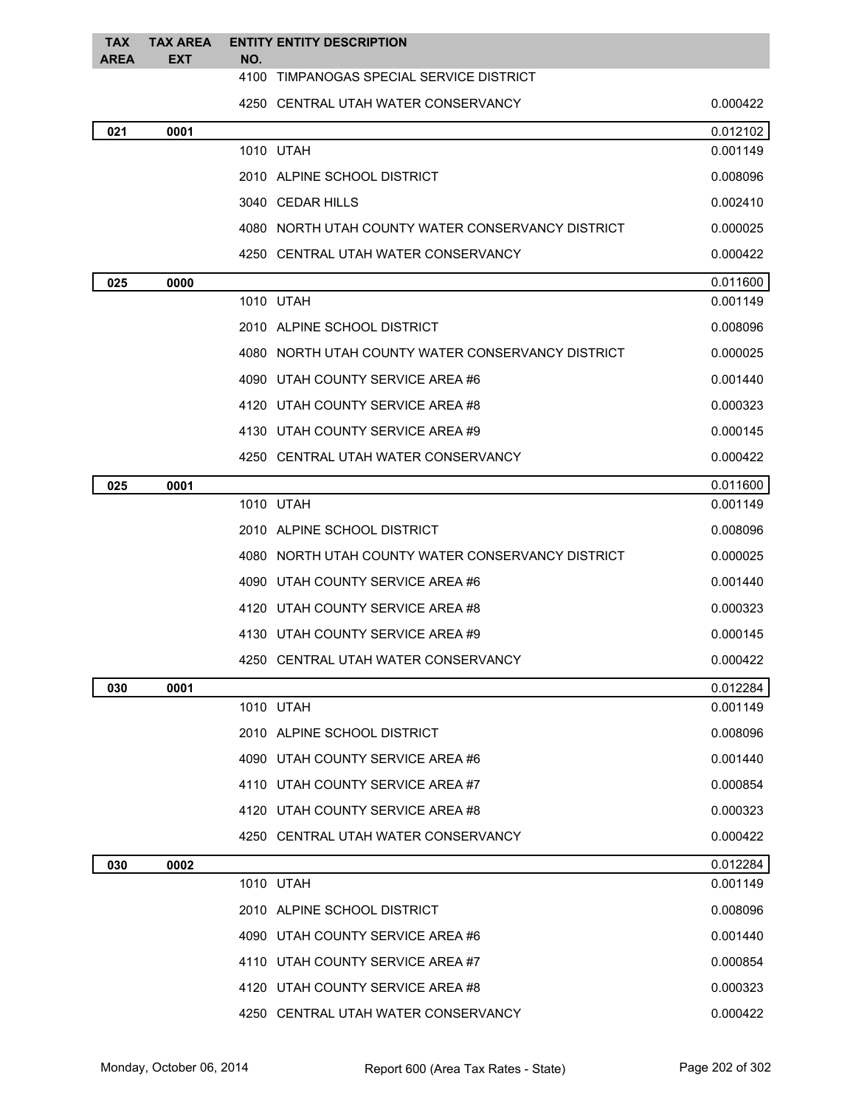| <b>TAX</b><br><b>AREA</b> | <b>TAX AREA</b><br><b>EXT</b> | <b>ENTITY ENTITY DESCRIPTION</b><br>NO.           |          |
|---------------------------|-------------------------------|---------------------------------------------------|----------|
|                           |                               | 4100<br>TIMPANOGAS SPECIAL SERVICE DISTRICT       |          |
|                           |                               | 4250 CENTRAL UTAH WATER CONSERVANCY               | 0.000422 |
| 021                       | 0001                          |                                                   | 0.012102 |
|                           |                               | 1010 UTAH                                         | 0.001149 |
|                           |                               | 2010 ALPINE SCHOOL DISTRICT                       | 0.008096 |
|                           |                               | 3040 CEDAR HILLS                                  | 0.002410 |
|                           |                               | 4080 NORTH UTAH COUNTY WATER CONSERVANCY DISTRICT | 0.000025 |
|                           |                               | 4250 CENTRAL UTAH WATER CONSERVANCY               | 0.000422 |
| 025                       | 0000                          |                                                   | 0.011600 |
|                           |                               | 1010 UTAH                                         | 0.001149 |
|                           |                               | 2010 ALPINE SCHOOL DISTRICT                       | 0.008096 |
|                           |                               | 4080 NORTH UTAH COUNTY WATER CONSERVANCY DISTRICT | 0.000025 |
|                           |                               | 4090 UTAH COUNTY SERVICE AREA #6                  | 0.001440 |
|                           |                               | 4120 UTAH COUNTY SERVICE AREA #8                  | 0.000323 |
|                           |                               | 4130 UTAH COUNTY SERVICE AREA #9                  | 0.000145 |
|                           |                               | 4250 CENTRAL UTAH WATER CONSERVANCY               | 0.000422 |
| 025                       | 0001                          |                                                   | 0.011600 |
|                           |                               | 1010 UTAH                                         | 0.001149 |
|                           |                               | 2010 ALPINE SCHOOL DISTRICT                       | 0.008096 |
|                           |                               | 4080 NORTH UTAH COUNTY WATER CONSERVANCY DISTRICT | 0.000025 |
|                           |                               | 4090 UTAH COUNTY SERVICE AREA #6                  | 0.001440 |
|                           |                               | 4120 UTAH COUNTY SERVICE AREA #8                  | 0.000323 |
|                           |                               | 4130 UTAH COUNTY SERVICE AREA #9                  | 0.000145 |
|                           |                               | 4250 CENTRAL UTAH WATER CONSERVANCY               | 0.000422 |
| 030                       | 0001                          |                                                   | 0.012284 |
|                           |                               | 1010 UTAH                                         | 0.001149 |
|                           |                               | 2010 ALPINE SCHOOL DISTRICT                       | 0.008096 |
|                           |                               | 4090 UTAH COUNTY SERVICE AREA #6                  | 0.001440 |
|                           |                               | 4110 UTAH COUNTY SERVICE AREA #7                  | 0.000854 |
|                           |                               | 4120 UTAH COUNTY SERVICE AREA #8                  | 0.000323 |
|                           |                               | 4250 CENTRAL UTAH WATER CONSERVANCY               | 0.000422 |
| 030                       | 0002                          |                                                   | 0.012284 |
|                           |                               | 1010 UTAH                                         | 0.001149 |
|                           |                               | 2010 ALPINE SCHOOL DISTRICT                       | 0.008096 |
|                           |                               | 4090 UTAH COUNTY SERVICE AREA #6                  | 0.001440 |
|                           |                               | 4110 UTAH COUNTY SERVICE AREA #7                  | 0.000854 |
|                           |                               | 4120 UTAH COUNTY SERVICE AREA #8                  | 0.000323 |
|                           |                               | 4250 CENTRAL UTAH WATER CONSERVANCY               | 0.000422 |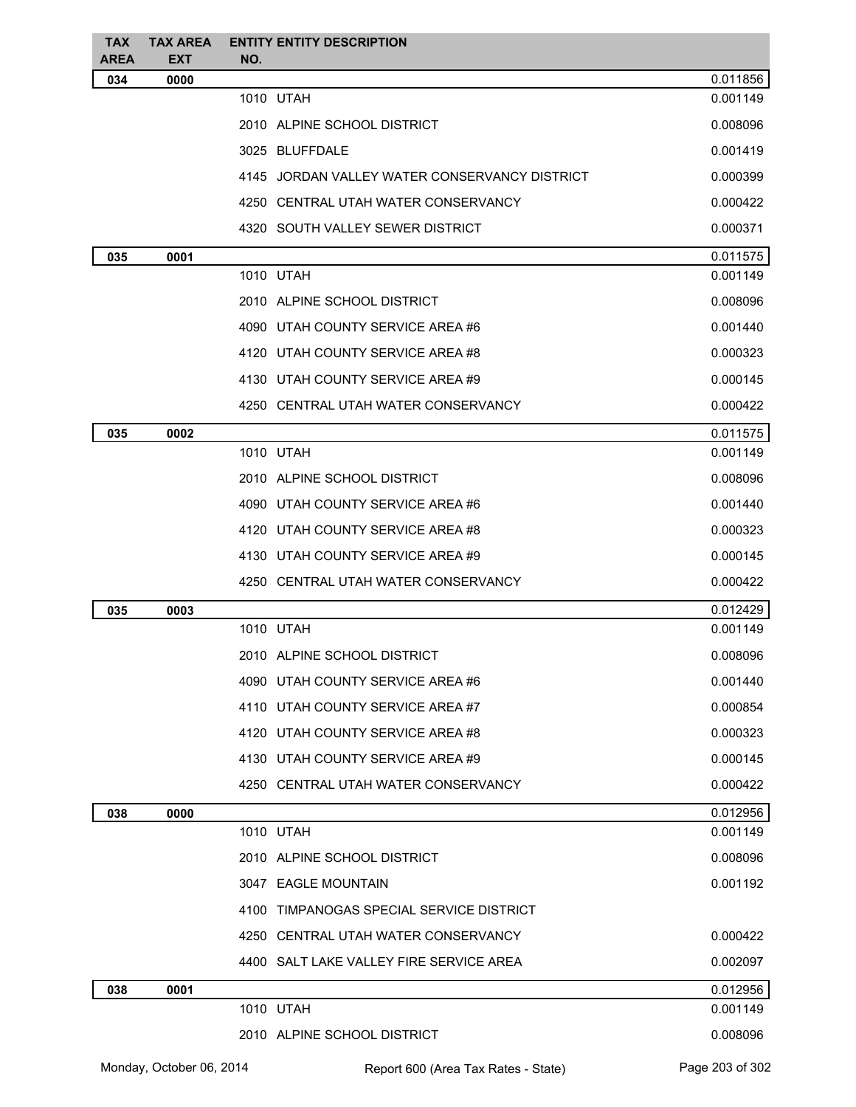| <b>TAX</b><br><b>AREA</b> | <b>TAX AREA</b><br><b>EXT</b> | <b>ENTITY ENTITY DESCRIPTION</b><br>NO.       |          |
|---------------------------|-------------------------------|-----------------------------------------------|----------|
| 034                       | 0000                          |                                               | 0.011856 |
|                           |                               | 1010 UTAH                                     | 0.001149 |
|                           |                               | 2010 ALPINE SCHOOL DISTRICT                   | 0.008096 |
|                           |                               | 3025 BLUFFDALE                                | 0.001419 |
|                           |                               | 4145 JORDAN VALLEY WATER CONSERVANCY DISTRICT | 0.000399 |
|                           |                               | 4250 CENTRAL UTAH WATER CONSERVANCY           | 0.000422 |
|                           |                               | 4320 SOUTH VALLEY SEWER DISTRICT              | 0.000371 |
| 035                       | 0001                          |                                               | 0.011575 |
|                           |                               | 1010 UTAH                                     | 0.001149 |
|                           |                               | 2010 ALPINE SCHOOL DISTRICT                   | 0.008096 |
|                           |                               | 4090 UTAH COUNTY SERVICE AREA #6              | 0.001440 |
|                           |                               | 4120 UTAH COUNTY SERVICE AREA #8              | 0.000323 |
|                           |                               | 4130 UTAH COUNTY SERVICE AREA #9              | 0.000145 |
|                           |                               | 4250 CENTRAL UTAH WATER CONSERVANCY           | 0.000422 |
| 035                       | 0002                          |                                               | 0.011575 |
|                           |                               | 1010 UTAH                                     | 0.001149 |
|                           |                               | 2010 ALPINE SCHOOL DISTRICT                   | 0.008096 |
|                           |                               | 4090 UTAH COUNTY SERVICE AREA #6              | 0.001440 |
|                           |                               | 4120 UTAH COUNTY SERVICE AREA #8              | 0.000323 |
|                           |                               | 4130 UTAH COUNTY SERVICE AREA #9              | 0.000145 |
|                           |                               | 4250 CENTRAL UTAH WATER CONSERVANCY           | 0.000422 |
| 035                       | 0003                          |                                               | 0.012429 |
|                           |                               | 1010 UTAH                                     | 0.001149 |
|                           |                               | 2010 ALPINE SCHOOL DISTRICT                   | 0.008096 |
|                           |                               | 4090 UTAH COUNTY SERVICE AREA #6              | 0.001440 |
|                           |                               | 4110 UTAH COUNTY SERVICE AREA #7              | 0.000854 |
|                           |                               | 4120 UTAH COUNTY SERVICE AREA #8              | 0.000323 |
|                           |                               | 4130 UTAH COUNTY SERVICE AREA #9              | 0.000145 |
|                           |                               | 4250 CENTRAL UTAH WATER CONSERVANCY           | 0.000422 |
| 038                       | 0000                          |                                               | 0.012956 |
|                           |                               | 1010 UTAH                                     | 0.001149 |
|                           |                               | 2010 ALPINE SCHOOL DISTRICT                   | 0.008096 |
|                           |                               | 3047 EAGLE MOUNTAIN                           | 0.001192 |
|                           |                               | 4100 TIMPANOGAS SPECIAL SERVICE DISTRICT      |          |
|                           |                               | 4250 CENTRAL UTAH WATER CONSERVANCY           | 0.000422 |
|                           |                               | 4400 SALT LAKE VALLEY FIRE SERVICE AREA       | 0.002097 |
| 038                       | 0001                          |                                               | 0.012956 |
|                           |                               | 1010 UTAH                                     | 0.001149 |
|                           |                               | 2010 ALPINE SCHOOL DISTRICT                   | 0.008096 |
|                           |                               |                                               |          |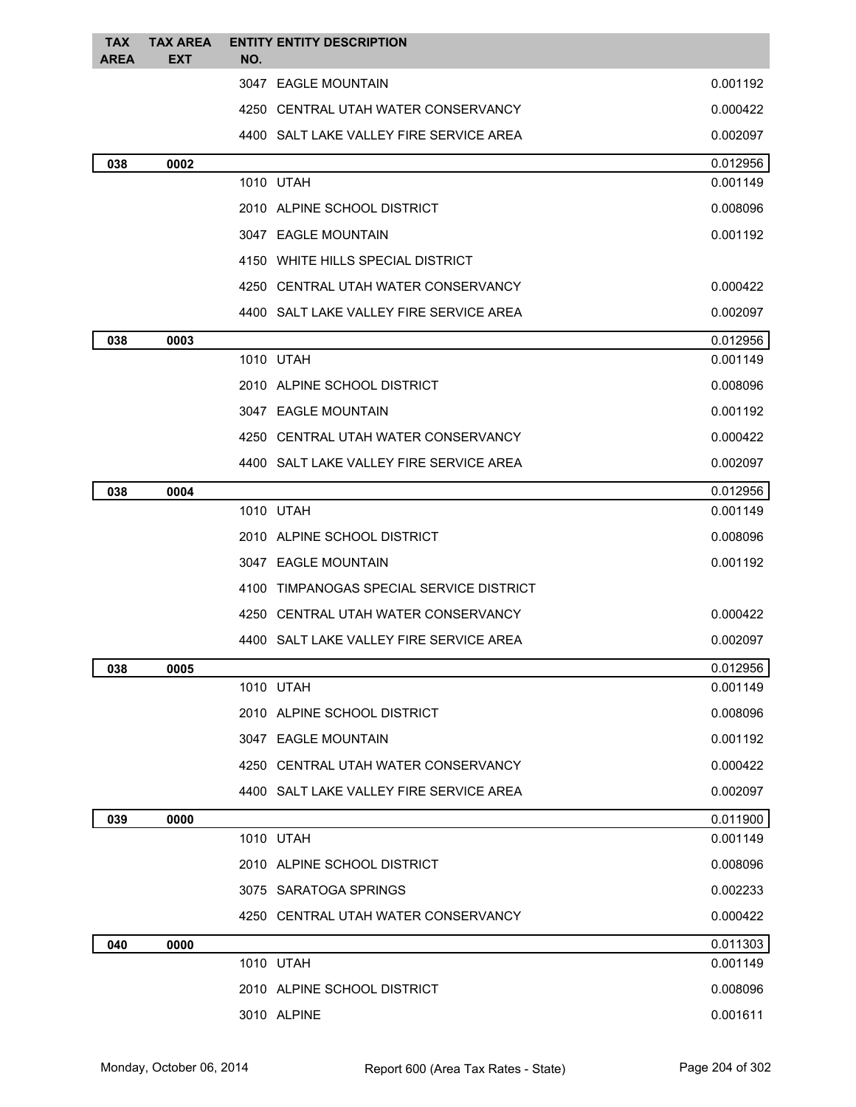| <b>TAX</b><br>AREA | <b>TAX AREA</b><br><b>EXT</b> | <b>ENTITY ENTITY DESCRIPTION</b><br>NO.  |          |
|--------------------|-------------------------------|------------------------------------------|----------|
|                    |                               | 3047 EAGLE MOUNTAIN                      | 0.001192 |
|                    |                               | 4250 CENTRAL UTAH WATER CONSERVANCY      | 0.000422 |
|                    |                               | 4400 SALT LAKE VALLEY FIRE SERVICE AREA  | 0.002097 |
| 038                | 0002                          |                                          | 0.012956 |
|                    |                               | 1010 UTAH                                | 0.001149 |
|                    |                               | 2010 ALPINE SCHOOL DISTRICT              | 0.008096 |
|                    |                               | 3047 EAGLE MOUNTAIN                      | 0.001192 |
|                    |                               | 4150 WHITE HILLS SPECIAL DISTRICT        |          |
|                    |                               | 4250 CENTRAL UTAH WATER CONSERVANCY      | 0.000422 |
|                    |                               | 4400 SALT LAKE VALLEY FIRE SERVICE AREA  | 0.002097 |
| 038                | 0003                          |                                          | 0.012956 |
|                    |                               | 1010 UTAH                                | 0.001149 |
|                    |                               | 2010 ALPINE SCHOOL DISTRICT              | 0.008096 |
|                    |                               | 3047 EAGLE MOUNTAIN                      | 0.001192 |
|                    |                               | 4250 CENTRAL UTAH WATER CONSERVANCY      | 0.000422 |
|                    |                               | 4400 SALT LAKE VALLEY FIRE SERVICE AREA  | 0.002097 |
| 038                | 0004                          |                                          | 0.012956 |
|                    |                               | 1010 UTAH                                | 0.001149 |
|                    |                               | 2010 ALPINE SCHOOL DISTRICT              | 0.008096 |
|                    |                               | 3047 EAGLE MOUNTAIN                      | 0.001192 |
|                    |                               | 4100 TIMPANOGAS SPECIAL SERVICE DISTRICT |          |
|                    |                               | 4250 CENTRAL UTAH WATER CONSERVANCY      | 0.000422 |
|                    |                               | 4400 SALT LAKE VALLEY FIRE SERVICE AREA  | 0.002097 |
| 038                | 0005                          |                                          | 0.012956 |
|                    |                               | 1010 UTAH                                | 0.001149 |
|                    |                               | 2010 ALPINE SCHOOL DISTRICT              | 0.008096 |
|                    |                               | 3047 EAGLE MOUNTAIN                      | 0.001192 |
|                    |                               | 4250 CENTRAL UTAH WATER CONSERVANCY      | 0.000422 |
|                    |                               | 4400 SALT LAKE VALLEY FIRE SERVICE AREA  | 0.002097 |
| 039                | 0000                          |                                          | 0.011900 |
|                    |                               | 1010 UTAH                                | 0.001149 |
|                    |                               | 2010 ALPINE SCHOOL DISTRICT              | 0.008096 |
|                    |                               | 3075 SARATOGA SPRINGS                    | 0.002233 |
|                    |                               | 4250 CENTRAL UTAH WATER CONSERVANCY      | 0.000422 |
| 040                | 0000                          |                                          | 0.011303 |
|                    |                               | 1010 UTAH                                | 0.001149 |
|                    |                               | 2010 ALPINE SCHOOL DISTRICT              | 0.008096 |
|                    |                               | 3010 ALPINE                              | 0.001611 |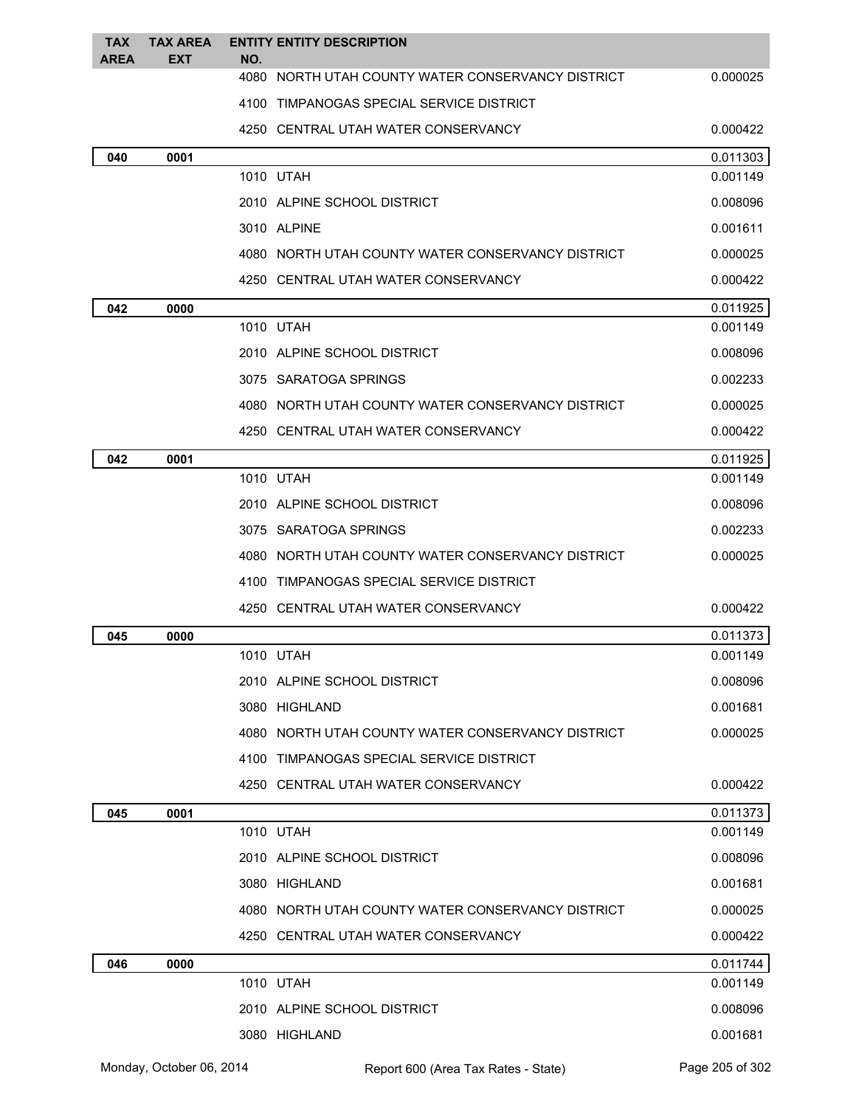| <b>TAX</b><br><b>AREA</b> | <b>TAX AREA</b><br><b>EXT</b> | <b>ENTITY ENTITY DESCRIPTION</b><br>NO.           |          |
|---------------------------|-------------------------------|---------------------------------------------------|----------|
|                           |                               | 4080 NORTH UTAH COUNTY WATER CONSERVANCY DISTRICT | 0.000025 |
|                           |                               | 4100 TIMPANOGAS SPECIAL SERVICE DISTRICT          |          |
|                           |                               | 4250 CENTRAL UTAH WATER CONSERVANCY               | 0.000422 |
| 040                       | 0001                          |                                                   | 0.011303 |
|                           |                               | 1010 UTAH                                         | 0.001149 |
|                           |                               | 2010 ALPINE SCHOOL DISTRICT                       | 0.008096 |
|                           |                               | 3010 ALPINE                                       | 0.001611 |
|                           |                               | 4080 NORTH UTAH COUNTY WATER CONSERVANCY DISTRICT | 0.000025 |
|                           |                               | 4250 CENTRAL UTAH WATER CONSERVANCY               | 0.000422 |
| 042                       | 0000                          |                                                   | 0.011925 |
|                           |                               | 1010 UTAH                                         | 0.001149 |
|                           |                               | 2010 ALPINE SCHOOL DISTRICT                       | 0.008096 |
|                           |                               | 3075 SARATOGA SPRINGS                             | 0.002233 |
|                           |                               | 4080 NORTH UTAH COUNTY WATER CONSERVANCY DISTRICT | 0.000025 |
|                           |                               | 4250 CENTRAL UTAH WATER CONSERVANCY               | 0.000422 |
| 042                       | 0001                          |                                                   | 0.011925 |
|                           |                               | 1010 UTAH                                         | 0.001149 |
|                           |                               | 2010 ALPINE SCHOOL DISTRICT                       | 0.008096 |
|                           |                               | 3075 SARATOGA SPRINGS                             | 0.002233 |
|                           |                               | 4080 NORTH UTAH COUNTY WATER CONSERVANCY DISTRICT | 0.000025 |
|                           |                               | 4100 TIMPANOGAS SPECIAL SERVICE DISTRICT          |          |
|                           |                               | 4250 CENTRAL UTAH WATER CONSERVANCY               | 0.000422 |
| 045                       | 0000                          |                                                   | 0.011373 |
|                           |                               | 1010 UTAH                                         | 0.001149 |
|                           |                               | 2010 ALPINE SCHOOL DISTRICT                       | 0.008096 |
|                           |                               | 3080 HIGHLAND                                     | 0.001681 |
|                           |                               | 4080 NORTH UTAH COUNTY WATER CONSERVANCY DISTRICT | 0.000025 |
|                           |                               | 4100 TIMPANOGAS SPECIAL SERVICE DISTRICT          |          |
|                           |                               | 4250 CENTRAL UTAH WATER CONSERVANCY               | 0.000422 |
| 045                       | 0001                          |                                                   | 0.011373 |
|                           |                               | 1010 UTAH                                         | 0.001149 |
|                           |                               | 2010 ALPINE SCHOOL DISTRICT                       | 0.008096 |
|                           |                               | 3080 HIGHLAND                                     | 0.001681 |
|                           |                               | 4080 NORTH UTAH COUNTY WATER CONSERVANCY DISTRICT | 0.000025 |
|                           |                               | 4250 CENTRAL UTAH WATER CONSERVANCY               | 0.000422 |
| 046                       | 0000                          |                                                   | 0.011744 |
|                           |                               | 1010 UTAH                                         | 0.001149 |
|                           |                               | 2010 ALPINE SCHOOL DISTRICT                       | 0.008096 |
|                           |                               | 3080 HIGHLAND                                     | 0.001681 |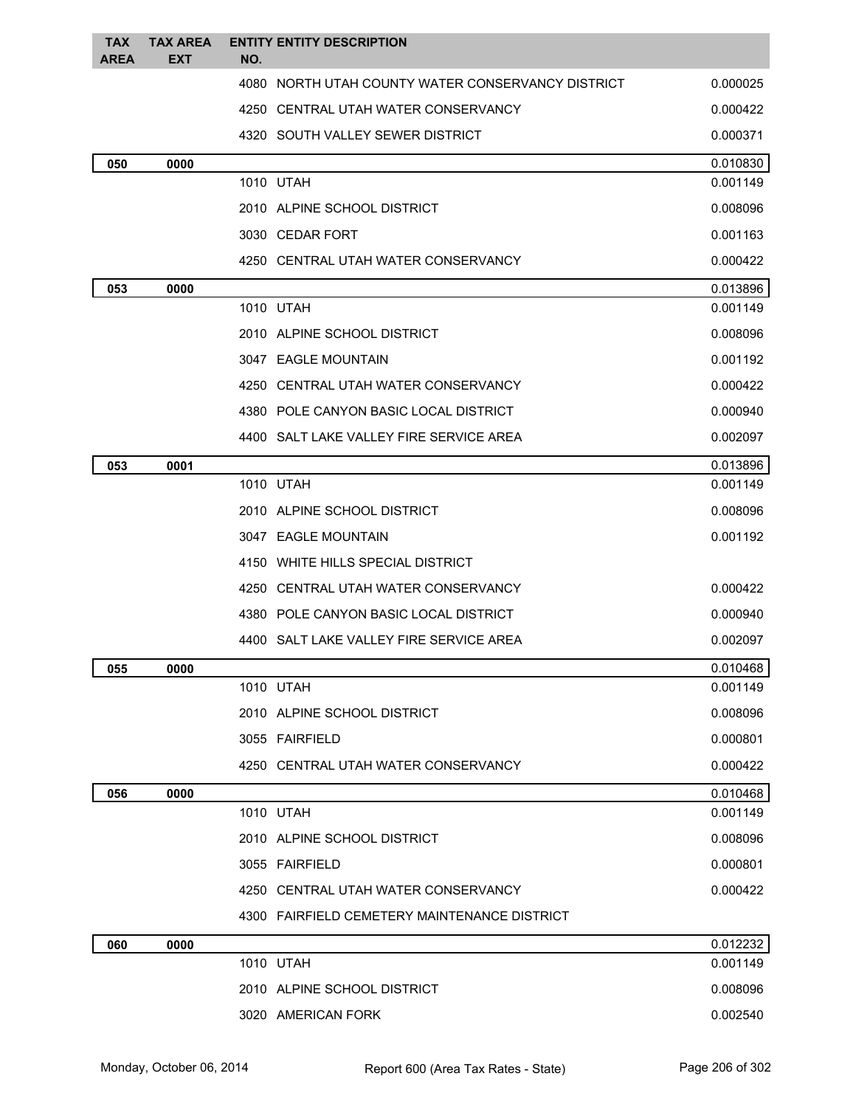| <b>TAX</b>  | <b>TAX AREA</b> | <b>ENTITY ENTITY DESCRIPTION</b>                         |                      |
|-------------|-----------------|----------------------------------------------------------|----------------------|
| <b>AREA</b> | <b>EXT</b>      | NO.<br>4080 NORTH UTAH COUNTY WATER CONSERVANCY DISTRICT | 0.000025             |
|             |                 | 4250 CENTRAL UTAH WATER CONSERVANCY                      | 0.000422             |
|             |                 | 4320 SOUTH VALLEY SEWER DISTRICT                         | 0.000371             |
|             |                 |                                                          |                      |
| 050         | 0000            | 1010 UTAH                                                | 0.010830<br>0.001149 |
|             |                 | 2010 ALPINE SCHOOL DISTRICT                              | 0.008096             |
|             |                 | 3030 CEDAR FORT                                          | 0.001163             |
|             |                 | 4250 CENTRAL UTAH WATER CONSERVANCY                      | 0.000422             |
| 053         | 0000            |                                                          | 0.013896             |
|             |                 | 1010 UTAH                                                | 0.001149             |
|             |                 | 2010 ALPINE SCHOOL DISTRICT                              | 0.008096             |
|             |                 | 3047 EAGLE MOUNTAIN                                      | 0.001192             |
|             |                 | 4250 CENTRAL UTAH WATER CONSERVANCY                      | 0.000422             |
|             |                 | 4380 POLE CANYON BASIC LOCAL DISTRICT                    | 0.000940             |
|             |                 | 4400 SALT LAKE VALLEY FIRE SERVICE AREA                  | 0.002097             |
| 053         | 0001            |                                                          | 0.013896             |
|             |                 | 1010 UTAH                                                | 0.001149             |
|             |                 | 2010 ALPINE SCHOOL DISTRICT                              | 0.008096             |
|             |                 | 3047 EAGLE MOUNTAIN                                      | 0.001192             |
|             |                 | 4150 WHITE HILLS SPECIAL DISTRICT                        |                      |
|             |                 | 4250 CENTRAL UTAH WATER CONSERVANCY                      | 0.000422             |
|             |                 | 4380 POLE CANYON BASIC LOCAL DISTRICT                    | 0.000940             |
|             |                 | 4400 SALT LAKE VALLEY FIRE SERVICE AREA                  | 0.002097             |
| 055         | 0000            |                                                          | 0.010468             |
|             |                 | 1010 UTAH                                                | 0.001149             |
|             |                 | 2010 ALPINE SCHOOL DISTRICT                              | 0.008096             |
|             |                 | 3055 FAIRFIELD                                           | 0.000801             |
|             |                 | 4250 CENTRAL UTAH WATER CONSERVANCY                      | 0.000422             |
| 056         | 0000            |                                                          | 0.010468             |
|             |                 | 1010 UTAH                                                | 0.001149             |
|             |                 | 2010 ALPINE SCHOOL DISTRICT                              | 0.008096             |
|             |                 | 3055 FAIRFIELD                                           | 0.000801             |
|             |                 | 4250 CENTRAL UTAH WATER CONSERVANCY                      | 0.000422             |
|             |                 | 4300 FAIRFIELD CEMETERY MAINTENANCE DISTRICT             |                      |
| 060         | 0000            | 1010 UTAH                                                | 0.012232<br>0.001149 |
|             |                 | 2010 ALPINE SCHOOL DISTRICT                              | 0.008096             |
|             |                 | 3020 AMERICAN FORK                                       | 0.002540             |
|             |                 |                                                          |                      |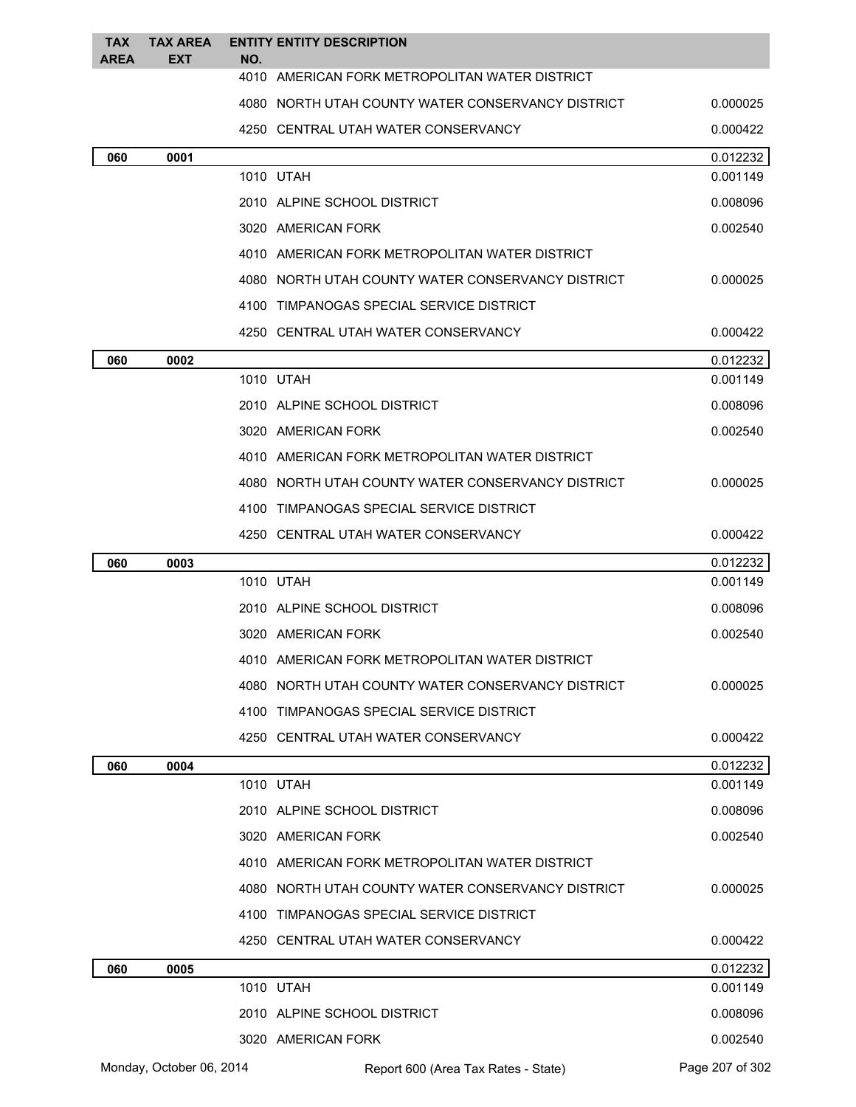| <b>TAX</b><br><b>AREA</b> | <b>TAX AREA</b><br><b>EXT</b> | NO. | <b>ENTITY ENTITY DESCRIPTION</b>                  |                 |
|---------------------------|-------------------------------|-----|---------------------------------------------------|-----------------|
|                           |                               |     | 4010 AMERICAN FORK METROPOLITAN WATER DISTRICT    |                 |
|                           |                               |     | 4080 NORTH UTAH COUNTY WATER CONSERVANCY DISTRICT | 0.000025        |
|                           |                               |     | 4250 CENTRAL UTAH WATER CONSERVANCY               | 0.000422        |
| 060                       | 0001                          |     |                                                   | 0.012232        |
|                           |                               |     | 1010 UTAH                                         | 0.001149        |
|                           |                               |     | 2010 ALPINE SCHOOL DISTRICT                       | 0.008096        |
|                           |                               |     | 3020 AMERICAN FORK                                | 0.002540        |
|                           |                               |     | 4010 AMERICAN FORK METROPOLITAN WATER DISTRICT    |                 |
|                           |                               |     | 4080 NORTH UTAH COUNTY WATER CONSERVANCY DISTRICT | 0.000025        |
|                           |                               |     | 4100 TIMPANOGAS SPECIAL SERVICE DISTRICT          |                 |
|                           |                               |     | 4250 CENTRAL UTAH WATER CONSERVANCY               | 0.000422        |
| 060                       | 0002                          |     |                                                   | 0.012232        |
|                           |                               |     | 1010 UTAH                                         | 0.001149        |
|                           |                               |     | 2010 ALPINE SCHOOL DISTRICT                       | 0.008096        |
|                           |                               |     | 3020 AMERICAN FORK                                | 0.002540        |
|                           |                               |     | 4010 AMERICAN FORK METROPOLITAN WATER DISTRICT    |                 |
|                           |                               |     | 4080 NORTH UTAH COUNTY WATER CONSERVANCY DISTRICT | 0.000025        |
|                           |                               |     | 4100 TIMPANOGAS SPECIAL SERVICE DISTRICT          |                 |
|                           |                               |     | 4250 CENTRAL UTAH WATER CONSERVANCY               | 0.000422        |
| 060                       | 0003                          |     |                                                   | 0.012232        |
|                           |                               |     | 1010 UTAH                                         | 0.001149        |
|                           |                               |     | 2010 ALPINE SCHOOL DISTRICT                       | 0.008096        |
|                           |                               |     | 3020 AMERICAN FORK                                | 0.002540        |
|                           |                               |     | 4010 AMERICAN FORK METROPOLITAN WATER DISTRICT    |                 |
|                           |                               |     | 4080 NORTH UTAH COUNTY WATER CONSERVANCY DISTRICT | 0.000025        |
|                           |                               |     | 4100 TIMPANOGAS SPECIAL SERVICE DISTRICT          |                 |
|                           |                               |     | 4250 CENTRAL UTAH WATER CONSERVANCY               | 0.000422        |
| 060                       | 0004                          |     |                                                   | 0.012232        |
|                           |                               |     | 1010 UTAH                                         | 0.001149        |
|                           |                               |     | 2010 ALPINE SCHOOL DISTRICT                       | 0.008096        |
|                           |                               |     | 3020 AMERICAN FORK                                | 0.002540        |
|                           |                               |     | 4010 AMERICAN FORK METROPOLITAN WATER DISTRICT    |                 |
|                           |                               |     | 4080 NORTH UTAH COUNTY WATER CONSERVANCY DISTRICT | 0.000025        |
|                           |                               |     | 4100 TIMPANOGAS SPECIAL SERVICE DISTRICT          |                 |
|                           |                               |     | 4250 CENTRAL UTAH WATER CONSERVANCY               | 0.000422        |
| 060                       | 0005                          |     |                                                   | 0.012232        |
|                           |                               |     | 1010 UTAH                                         | 0.001149        |
|                           |                               |     | 2010 ALPINE SCHOOL DISTRICT                       | 0.008096        |
|                           |                               |     | 3020 AMERICAN FORK                                | 0.002540        |
|                           | Monday, October 06, 2014      |     | Report 600 (Area Tax Rates - State)               | Page 207 of 302 |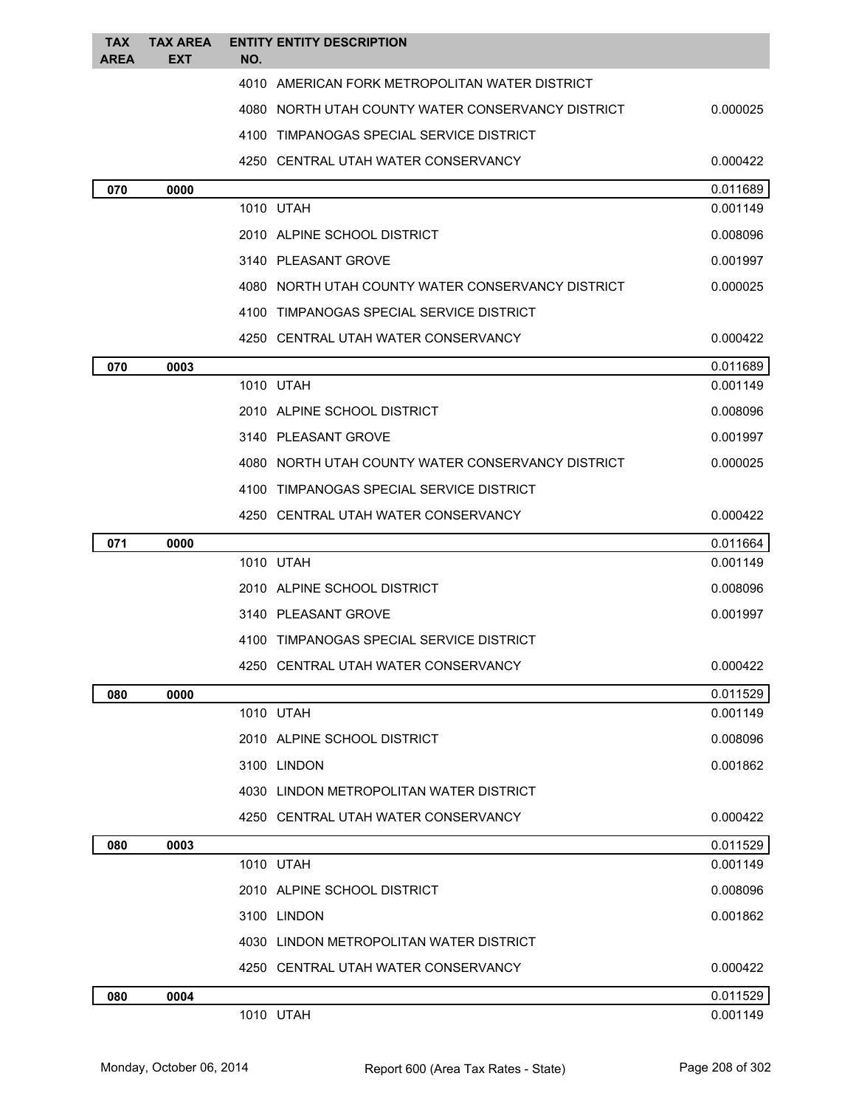| <b>TAX</b><br><b>AREA</b> | <b>TAX AREA</b><br>EXT | <b>ENTITY ENTITY DESCRIPTION</b><br>NO.           |          |
|---------------------------|------------------------|---------------------------------------------------|----------|
|                           |                        | 4010 AMERICAN FORK METROPOLITAN WATER DISTRICT    |          |
|                           |                        | 4080 NORTH UTAH COUNTY WATER CONSERVANCY DISTRICT | 0.000025 |
|                           |                        | 4100 TIMPANOGAS SPECIAL SERVICE DISTRICT          |          |
|                           |                        | 4250 CENTRAL UTAH WATER CONSERVANCY               | 0.000422 |
| 070                       | 0000                   |                                                   | 0.011689 |
|                           |                        | 1010 UTAH                                         | 0.001149 |
|                           |                        | 2010 ALPINE SCHOOL DISTRICT                       | 0.008096 |
|                           |                        | 3140 PLEASANT GROVE                               | 0.001997 |
|                           |                        | 4080 NORTH UTAH COUNTY WATER CONSERVANCY DISTRICT | 0.000025 |
|                           |                        | 4100 TIMPANOGAS SPECIAL SERVICE DISTRICT          |          |
|                           |                        | 4250 CENTRAL UTAH WATER CONSERVANCY               | 0.000422 |
| 070                       | 0003                   |                                                   | 0.011689 |
|                           |                        | 1010 UTAH                                         | 0.001149 |
|                           |                        | 2010 ALPINE SCHOOL DISTRICT                       | 0.008096 |
|                           |                        | 3140 PLEASANT GROVE                               | 0.001997 |
|                           |                        | 4080 NORTH UTAH COUNTY WATER CONSERVANCY DISTRICT | 0.000025 |
|                           |                        | 4100 TIMPANOGAS SPECIAL SERVICE DISTRICT          |          |
|                           |                        | 4250 CENTRAL UTAH WATER CONSERVANCY               | 0.000422 |
| 071                       | 0000                   |                                                   | 0.011664 |
|                           |                        | 1010 UTAH                                         | 0.001149 |
|                           |                        | 2010 ALPINE SCHOOL DISTRICT                       | 0.008096 |
|                           |                        | 3140 PLEASANT GROVE                               | 0.001997 |
|                           |                        | 4100 TIMPANOGAS SPECIAL SERVICE DISTRICT          |          |
|                           |                        | 4250 CENTRAL UTAH WATER CONSERVANCY               | 0.000422 |
| 080                       | 0000                   |                                                   | 0.011529 |
|                           |                        | 1010 UTAH                                         | 0.001149 |
|                           |                        | 2010 ALPINE SCHOOL DISTRICT                       | 0.008096 |
|                           |                        | 3100 LINDON                                       | 0.001862 |
|                           |                        | 4030 LINDON METROPOLITAN WATER DISTRICT           |          |
|                           |                        | 4250 CENTRAL UTAH WATER CONSERVANCY               | 0.000422 |
| 080                       | 0003                   |                                                   | 0.011529 |
|                           |                        | 1010 UTAH                                         | 0.001149 |
|                           |                        | 2010 ALPINE SCHOOL DISTRICT                       | 0.008096 |
|                           |                        | 3100 LINDON                                       | 0.001862 |
|                           |                        | 4030 LINDON METROPOLITAN WATER DISTRICT           |          |
|                           |                        | 4250 CENTRAL UTAH WATER CONSERVANCY               | 0.000422 |
| 080                       | 0004                   |                                                   | 0.011529 |
|                           |                        | 1010 UTAH                                         | 0.001149 |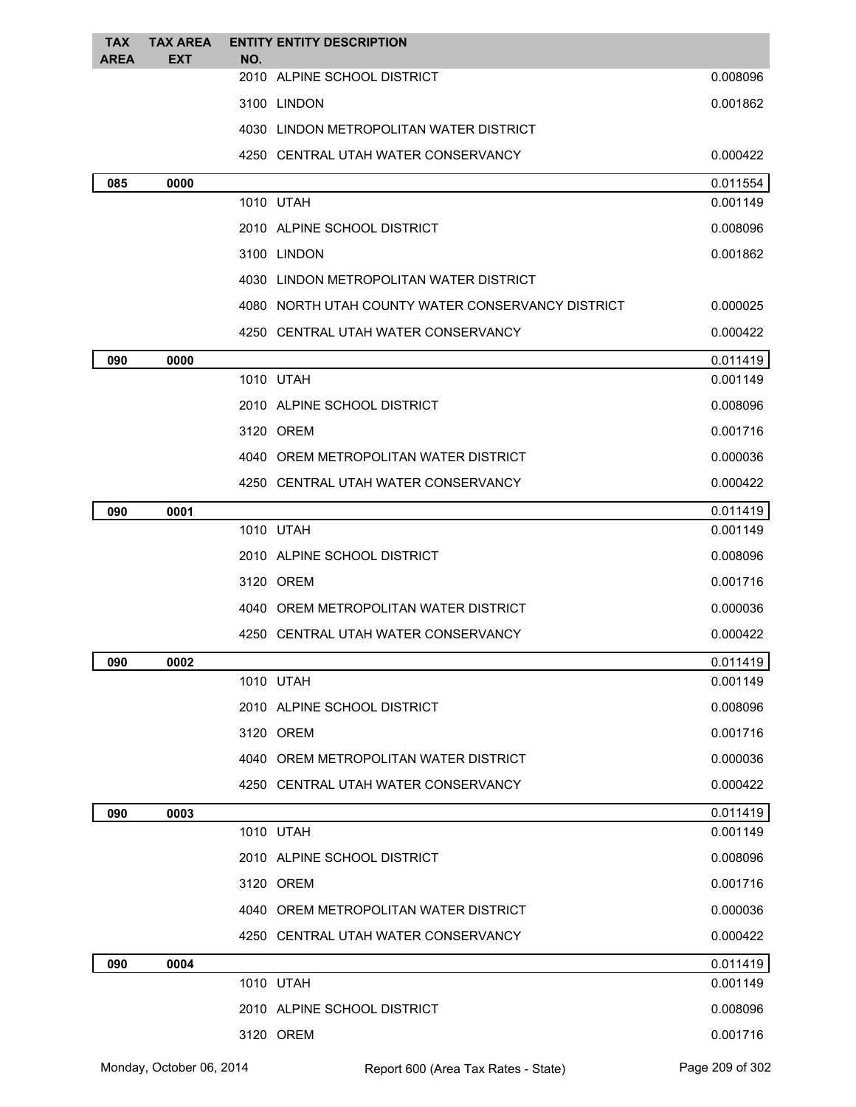| <b>TAX</b><br><b>AREA</b> | <b>TAX AREA</b><br><b>EXT</b> | NO.       | <b>ENTITY ENTITY DESCRIPTION</b>                  |          |
|---------------------------|-------------------------------|-----------|---------------------------------------------------|----------|
|                           |                               |           | 2010 ALPINE SCHOOL DISTRICT                       | 0.008096 |
|                           |                               |           | 3100 LINDON                                       | 0.001862 |
|                           |                               |           | 4030 LINDON METROPOLITAN WATER DISTRICT           |          |
|                           |                               |           | 4250 CENTRAL UTAH WATER CONSERVANCY               | 0.000422 |
| 085                       | 0000                          |           |                                                   | 0.011554 |
|                           |                               | 1010 UTAH |                                                   | 0.001149 |
|                           |                               |           | 2010 ALPINE SCHOOL DISTRICT                       | 0.008096 |
|                           |                               |           | 3100 LINDON                                       | 0.001862 |
|                           |                               |           | 4030 LINDON METROPOLITAN WATER DISTRICT           |          |
|                           |                               |           | 4080 NORTH UTAH COUNTY WATER CONSERVANCY DISTRICT | 0.000025 |
|                           |                               |           | 4250 CENTRAL UTAH WATER CONSERVANCY               | 0.000422 |
| 090                       | 0000                          |           |                                                   | 0.011419 |
|                           |                               | 1010 UTAH |                                                   | 0.001149 |
|                           |                               |           | 2010 ALPINE SCHOOL DISTRICT                       | 0.008096 |
|                           |                               |           | 3120 OREM                                         | 0.001716 |
|                           |                               |           | 4040 OREM METROPOLITAN WATER DISTRICT             | 0.000036 |
|                           |                               |           | 4250 CENTRAL UTAH WATER CONSERVANCY               | 0.000422 |
| 090                       | 0001                          |           |                                                   | 0.011419 |
|                           |                               | 1010 UTAH |                                                   | 0.001149 |
|                           |                               |           | 2010 ALPINE SCHOOL DISTRICT                       | 0.008096 |
|                           |                               |           | 3120 OREM                                         | 0.001716 |
|                           |                               |           | 4040 OREM METROPOLITAN WATER DISTRICT             | 0.000036 |
|                           |                               |           | 4250 CENTRAL UTAH WATER CONSERVANCY               | 0.000422 |
| 090                       | 0002                          |           |                                                   | 0.011419 |
|                           |                               | 1010 UTAH |                                                   | 0.001149 |
|                           |                               |           | 2010 ALPINE SCHOOL DISTRICT                       | 0.008096 |
|                           |                               |           | 3120 OREM                                         | 0.001716 |
|                           |                               |           | 4040 OREM METROPOLITAN WATER DISTRICT             | 0.000036 |
|                           |                               |           | 4250 CENTRAL UTAH WATER CONSERVANCY               | 0.000422 |
| 090                       | 0003                          |           |                                                   | 0.011419 |
|                           |                               | 1010 UTAH |                                                   | 0.001149 |
|                           |                               |           | 2010 ALPINE SCHOOL DISTRICT                       | 0.008096 |
|                           |                               |           | 3120 OREM                                         | 0.001716 |
|                           |                               |           | 4040 OREM METROPOLITAN WATER DISTRICT             | 0.000036 |
|                           |                               |           | 4250 CENTRAL UTAH WATER CONSERVANCY               | 0.000422 |
| 090                       | 0004                          |           |                                                   | 0.011419 |
|                           |                               | 1010 UTAH |                                                   | 0.001149 |
|                           |                               |           | 2010 ALPINE SCHOOL DISTRICT                       | 0.008096 |
|                           |                               |           | 3120 OREM                                         | 0.001716 |
|                           |                               |           |                                                   |          |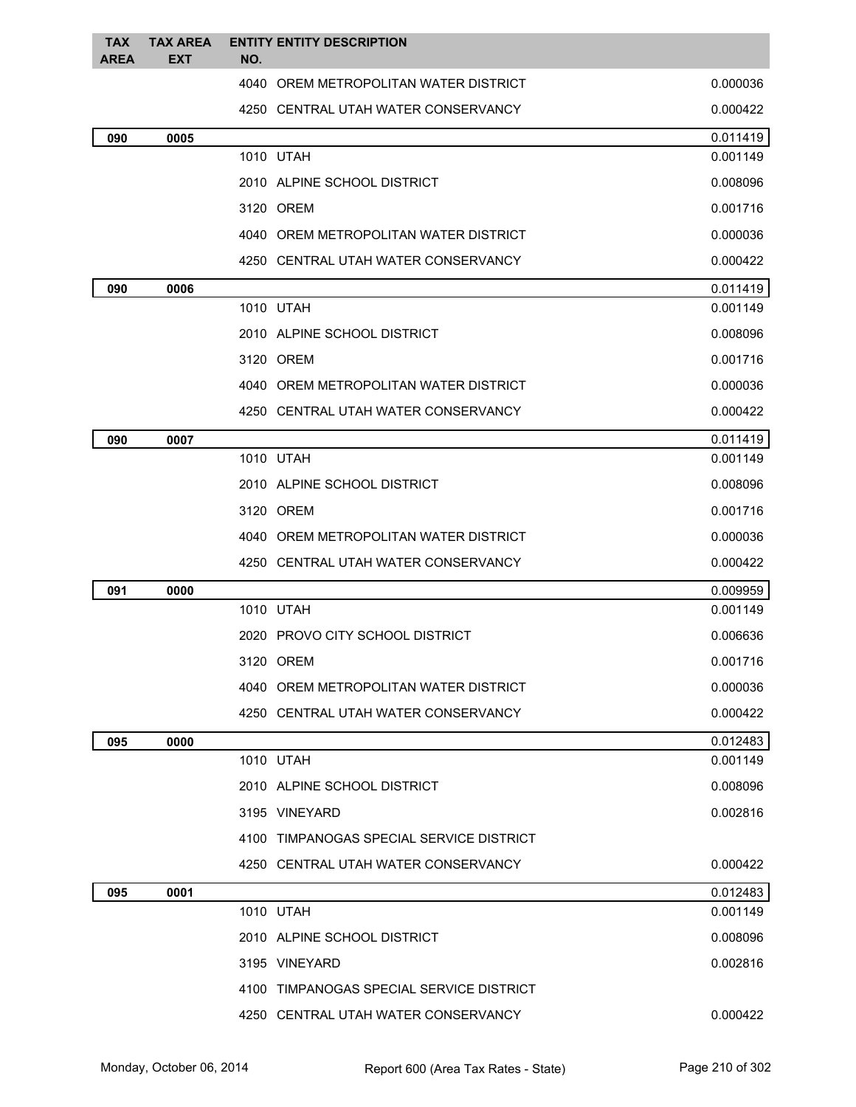| TAX<br><b>AREA</b> | <b>TAX AREA</b><br><b>EXT</b> | <b>ENTITY ENTITY DESCRIPTION</b><br>NO.  |          |
|--------------------|-------------------------------|------------------------------------------|----------|
|                    |                               | 4040 OREM METROPOLITAN WATER DISTRICT    | 0.000036 |
|                    |                               | 4250 CENTRAL UTAH WATER CONSERVANCY      | 0.000422 |
| 090                | 0005                          |                                          | 0.011419 |
|                    |                               | 1010 UTAH                                | 0.001149 |
|                    |                               | 2010 ALPINE SCHOOL DISTRICT              | 0.008096 |
|                    |                               | 3120 OREM                                | 0.001716 |
|                    |                               | 4040 OREM METROPOLITAN WATER DISTRICT    | 0.000036 |
|                    |                               | 4250   CENTRAL UTAH WATER CONSERVANCY    | 0.000422 |
| 090                | 0006                          |                                          | 0.011419 |
|                    |                               | 1010 UTAH                                | 0.001149 |
|                    |                               | 2010 ALPINE SCHOOL DISTRICT              | 0.008096 |
|                    |                               | 3120 OREM                                | 0.001716 |
|                    |                               | 4040 OREM METROPOLITAN WATER DISTRICT    | 0.000036 |
|                    |                               | 4250   CENTRAL UTAH WATER CONSERVANCY    | 0.000422 |
| 090                | 0007                          |                                          | 0.011419 |
|                    |                               | 1010 UTAH                                | 0.001149 |
|                    |                               | 2010 ALPINE SCHOOL DISTRICT              | 0.008096 |
|                    |                               | 3120 OREM                                | 0.001716 |
|                    |                               | 4040 OREM METROPOLITAN WATER DISTRICT    | 0.000036 |
|                    |                               | 4250   CENTRAL UTAH WATER CONSERVANCY    | 0.000422 |
| 091                | 0000                          |                                          | 0.009959 |
|                    |                               | 1010 UTAH                                | 0.001149 |
|                    |                               | 2020 PROVO CITY SCHOOL DISTRICT          | 0.006636 |
|                    |                               | 3120 OREM                                | 0.001716 |
|                    |                               | 4040 OREM METROPOLITAN WATER DISTRICT    | 0.000036 |
|                    |                               | 4250 CENTRAL UTAH WATER CONSERVANCY      | 0.000422 |
| 095                | 0000                          |                                          | 0.012483 |
|                    |                               | 1010 UTAH                                | 0.001149 |
|                    |                               | 2010 ALPINE SCHOOL DISTRICT              | 0.008096 |
|                    |                               | 3195 VINEYARD                            | 0.002816 |
|                    |                               | 4100 TIMPANOGAS SPECIAL SERVICE DISTRICT |          |
|                    |                               | 4250 CENTRAL UTAH WATER CONSERVANCY      | 0.000422 |
| 095                | 0001                          |                                          | 0.012483 |
|                    |                               | 1010 UTAH                                | 0.001149 |
|                    |                               | 2010 ALPINE SCHOOL DISTRICT              | 0.008096 |
|                    |                               | 3195 VINEYARD                            | 0.002816 |
|                    |                               | 4100 TIMPANOGAS SPECIAL SERVICE DISTRICT |          |
|                    |                               | 4250 CENTRAL UTAH WATER CONSERVANCY      | 0.000422 |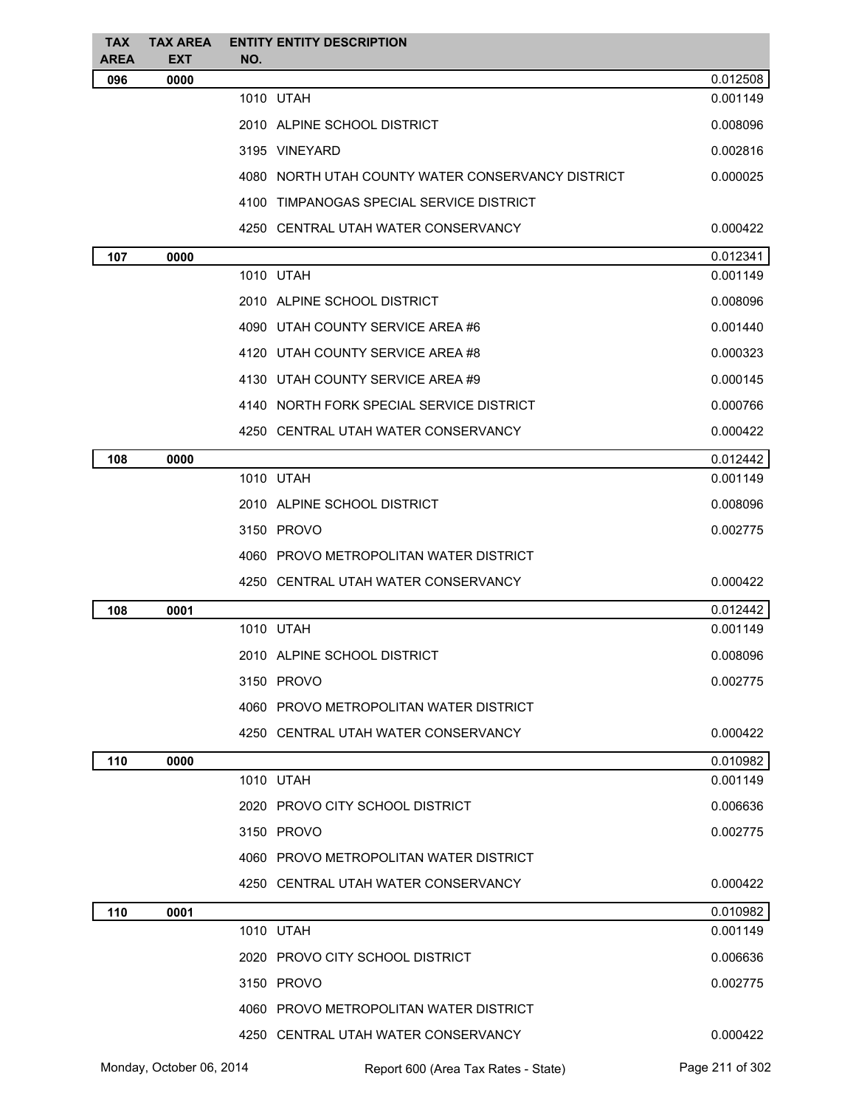| <b>TAX</b><br><b>AREA</b> | <b>TAX AREA</b><br><b>EXT</b> | <b>ENTITY ENTITY DESCRIPTION</b><br>NO.           |          |
|---------------------------|-------------------------------|---------------------------------------------------|----------|
| 096                       | 0000                          |                                                   | 0.012508 |
|                           |                               | 1010 UTAH                                         | 0.001149 |
|                           |                               | 2010 ALPINE SCHOOL DISTRICT                       | 0.008096 |
|                           |                               | 3195 VINEYARD                                     | 0.002816 |
|                           |                               | 4080 NORTH UTAH COUNTY WATER CONSERVANCY DISTRICT | 0.000025 |
|                           |                               | 4100 TIMPANOGAS SPECIAL SERVICE DISTRICT          |          |
|                           |                               | 4250 CENTRAL UTAH WATER CONSERVANCY               | 0.000422 |
| 107                       | 0000                          |                                                   | 0.012341 |
|                           |                               | 1010 UTAH                                         | 0.001149 |
|                           |                               | 2010 ALPINE SCHOOL DISTRICT                       | 0.008096 |
|                           |                               | 4090 UTAH COUNTY SERVICE AREA #6                  | 0.001440 |
|                           |                               | 4120 UTAH COUNTY SERVICE AREA #8                  | 0.000323 |
|                           |                               | 4130 UTAH COUNTY SERVICE AREA #9                  | 0.000145 |
|                           |                               | 4140 NORTH FORK SPECIAL SERVICE DISTRICT          | 0.000766 |
|                           |                               | 4250 CENTRAL UTAH WATER CONSERVANCY               | 0.000422 |
| 108                       | 0000                          |                                                   | 0.012442 |
|                           |                               | 1010 UTAH                                         | 0.001149 |
|                           |                               | 2010 ALPINE SCHOOL DISTRICT                       | 0.008096 |
|                           |                               | 3150 PROVO                                        | 0.002775 |
|                           |                               | 4060 PROVO METROPOLITAN WATER DISTRICT            |          |
|                           |                               | 4250 CENTRAL UTAH WATER CONSERVANCY               | 0.000422 |
| 108                       | 0001                          |                                                   | 0.012442 |
|                           |                               | 1010 UTAH                                         | 0.001149 |
|                           |                               | 2010 ALPINE SCHOOL DISTRICT                       | 0.008096 |
|                           |                               | 3150 PROVO                                        | 0.002775 |
|                           |                               | 4060 PROVO METROPOLITAN WATER DISTRICT            |          |
|                           |                               | 4250 CENTRAL UTAH WATER CONSERVANCY               | 0.000422 |
| 110                       | 0000                          |                                                   | 0.010982 |
|                           |                               | 1010 UTAH                                         | 0.001149 |
|                           |                               | 2020 PROVO CITY SCHOOL DISTRICT                   | 0.006636 |
|                           |                               | 3150 PROVO                                        | 0.002775 |
|                           |                               | 4060 PROVO METROPOLITAN WATER DISTRICT            |          |
|                           |                               | 4250 CENTRAL UTAH WATER CONSERVANCY               | 0.000422 |
| 110                       | 0001                          |                                                   | 0.010982 |
|                           |                               | 1010 UTAH                                         | 0.001149 |
|                           |                               | 2020 PROVO CITY SCHOOL DISTRICT                   | 0.006636 |
|                           |                               | 3150 PROVO                                        | 0.002775 |
|                           |                               | 4060 PROVO METROPOLITAN WATER DISTRICT            |          |
|                           |                               | 4250 CENTRAL UTAH WATER CONSERVANCY               | 0.000422 |

Monday, October 06, 2014 Report 600 (Area Tax Rates - State) Rage 211 of 302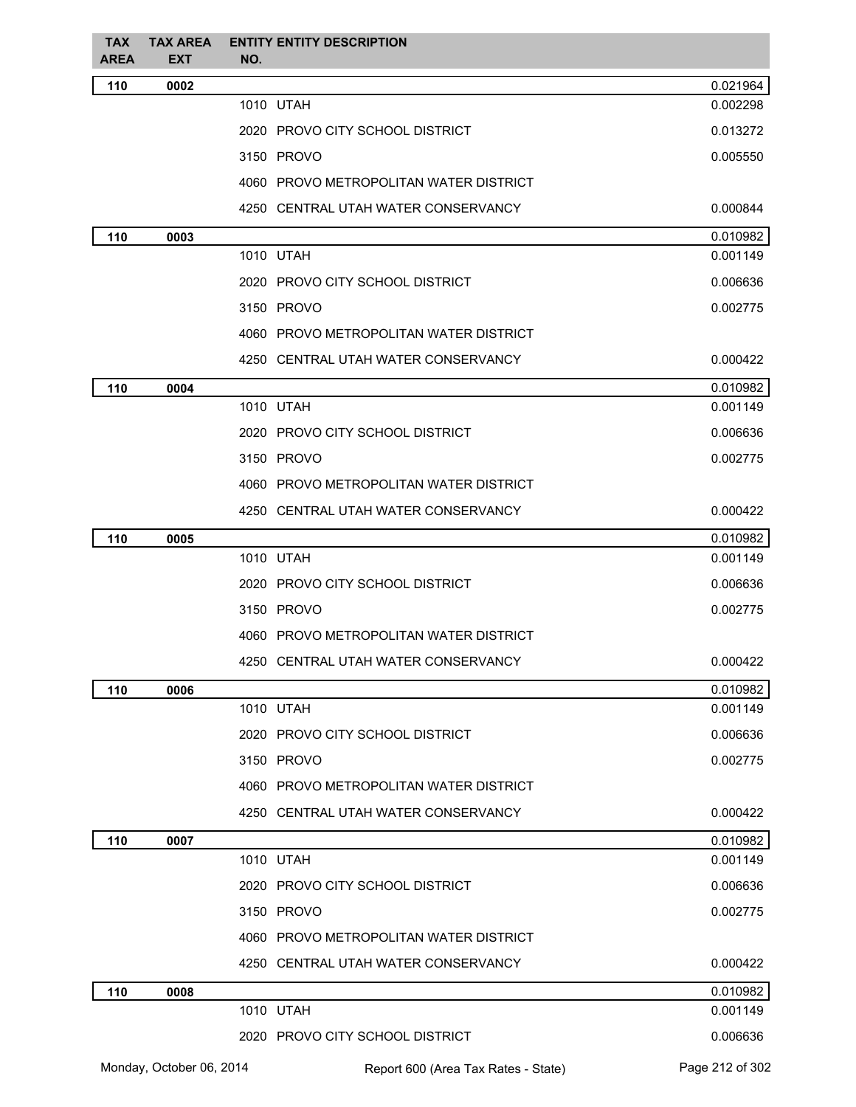| <b>TAX</b><br><b>AREA</b> | <b>TAX AREA</b><br><b>EXT</b> | NO. | <b>ENTITY ENTITY DESCRIPTION</b>       |                 |
|---------------------------|-------------------------------|-----|----------------------------------------|-----------------|
| 110                       | 0002                          |     |                                        | 0.021964        |
|                           |                               |     | 1010 UTAH                              | 0.002298        |
|                           |                               |     | 2020 PROVO CITY SCHOOL DISTRICT        | 0.013272        |
|                           |                               |     | 3150 PROVO                             | 0.005550        |
|                           |                               |     | 4060 PROVO METROPOLITAN WATER DISTRICT |                 |
|                           |                               |     | 4250 CENTRAL UTAH WATER CONSERVANCY    | 0.000844        |
| 110                       | 0003                          |     |                                        | 0.010982        |
|                           |                               |     | 1010 UTAH                              | 0.001149        |
|                           |                               |     | 2020 PROVO CITY SCHOOL DISTRICT        | 0.006636        |
|                           |                               |     | 3150 PROVO                             | 0.002775        |
|                           |                               |     | 4060 PROVO METROPOLITAN WATER DISTRICT |                 |
|                           |                               |     | 4250 CENTRAL UTAH WATER CONSERVANCY    | 0.000422        |
| 110                       | 0004                          |     |                                        | 0.010982        |
|                           |                               |     | 1010 UTAH                              | 0.001149        |
|                           |                               |     | 2020 PROVO CITY SCHOOL DISTRICT        | 0.006636        |
|                           |                               |     | 3150 PROVO                             | 0.002775        |
|                           |                               |     | 4060 PROVO METROPOLITAN WATER DISTRICT |                 |
|                           |                               |     | 4250 CENTRAL UTAH WATER CONSERVANCY    | 0.000422        |
| 110                       | 0005                          |     |                                        | 0.010982        |
|                           |                               |     | 1010 UTAH                              | 0.001149        |
|                           |                               |     | 2020 PROVO CITY SCHOOL DISTRICT        | 0.006636        |
|                           |                               |     | 3150 PROVO                             | 0.002775        |
|                           |                               |     | 4060 PROVO METROPOLITAN WATER DISTRICT |                 |
|                           |                               |     | 4250 CENTRAL UTAH WATER CONSERVANCY    | 0.000422        |
| 110                       | 0006                          |     |                                        | 0.010982        |
|                           |                               |     | 1010 UTAH                              | 0.001149        |
|                           |                               |     | 2020 PROVO CITY SCHOOL DISTRICT        | 0.006636        |
|                           |                               |     | 3150 PROVO                             | 0.002775        |
|                           |                               |     | 4060 PROVO METROPOLITAN WATER DISTRICT |                 |
|                           |                               |     | 4250 CENTRAL UTAH WATER CONSERVANCY    | 0.000422        |
| 110                       | 0007                          |     |                                        | 0.010982        |
|                           |                               |     | 1010 UTAH                              | 0.001149        |
|                           |                               |     | 2020 PROVO CITY SCHOOL DISTRICT        | 0.006636        |
|                           |                               |     | 3150 PROVO                             | 0.002775        |
|                           |                               |     | 4060 PROVO METROPOLITAN WATER DISTRICT |                 |
|                           |                               |     | 4250 CENTRAL UTAH WATER CONSERVANCY    | 0.000422        |
| 110                       | 0008                          |     |                                        | 0.010982        |
|                           |                               |     | 1010 UTAH                              | 0.001149        |
|                           |                               |     | 2020 PROVO CITY SCHOOL DISTRICT        | 0.006636        |
|                           | Monday, October 06, 2014      |     | Report 600 (Area Tax Rates - State)    | Page 212 of 302 |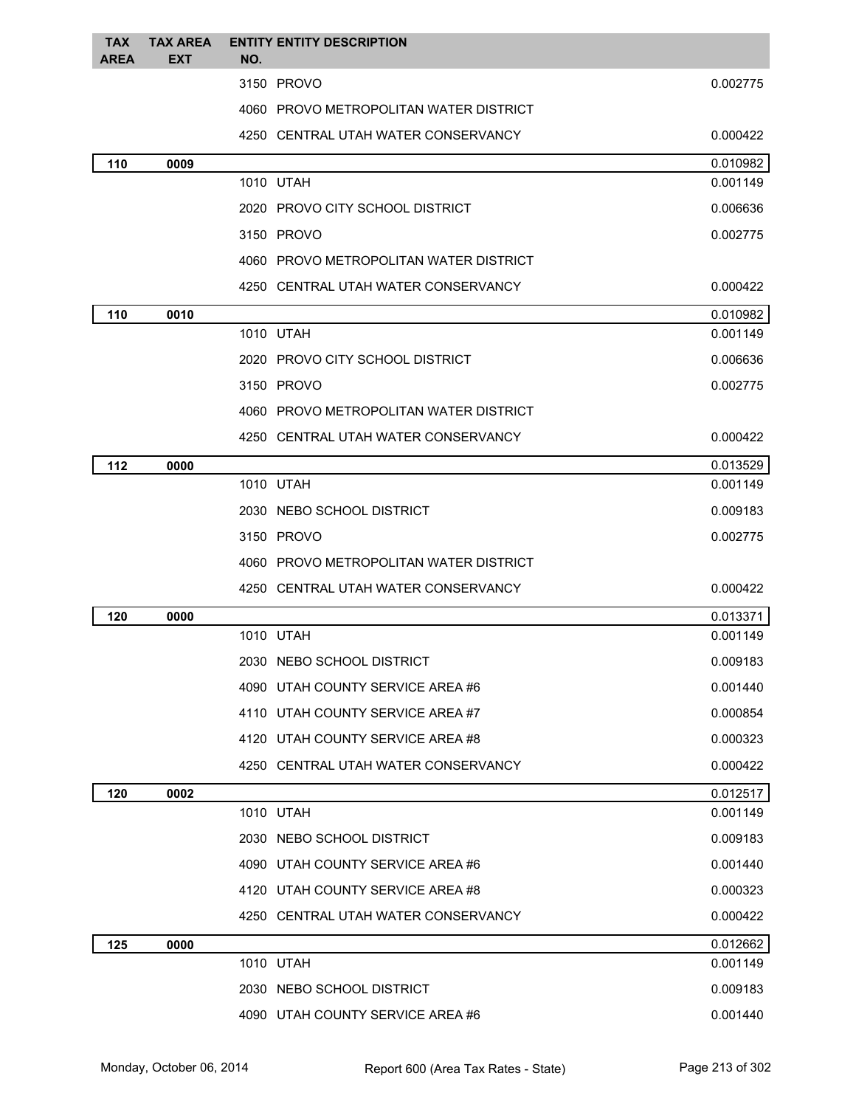| <b>TAX</b><br>AREA | <b>TAX AREA</b><br><b>EXT</b> | <b>ENTITY ENTITY DESCRIPTION</b><br>NO. |          |
|--------------------|-------------------------------|-----------------------------------------|----------|
|                    |                               | 3150 PROVO                              | 0.002775 |
|                    |                               | 4060 PROVO METROPOLITAN WATER DISTRICT  |          |
|                    |                               | 4250 CENTRAL UTAH WATER CONSERVANCY     | 0.000422 |
| 110                | 0009                          |                                         | 0.010982 |
|                    |                               | 1010 UTAH                               | 0.001149 |
|                    |                               | 2020 PROVO CITY SCHOOL DISTRICT         | 0.006636 |
|                    |                               | 3150 PROVO                              | 0.002775 |
|                    |                               | 4060 PROVO METROPOLITAN WATER DISTRICT  |          |
|                    |                               | 4250 CENTRAL UTAH WATER CONSERVANCY     | 0.000422 |
| 110                | 0010                          |                                         | 0.010982 |
|                    |                               | 1010 UTAH                               | 0.001149 |
|                    |                               | 2020 PROVO CITY SCHOOL DISTRICT         | 0.006636 |
|                    |                               | 3150 PROVO                              | 0.002775 |
|                    |                               | 4060 PROVO METROPOLITAN WATER DISTRICT  |          |
|                    |                               | 4250 CENTRAL UTAH WATER CONSERVANCY     | 0.000422 |
| 112                | 0000                          |                                         | 0.013529 |
|                    |                               | 1010 UTAH                               | 0.001149 |
|                    |                               | 2030 NEBO SCHOOL DISTRICT               | 0.009183 |
|                    |                               | 3150 PROVO                              | 0.002775 |
|                    |                               | 4060 PROVO METROPOLITAN WATER DISTRICT  |          |
|                    |                               | 4250 CENTRAL UTAH WATER CONSERVANCY     | 0.000422 |
| 120                | 0000                          |                                         | 0.013371 |
|                    |                               | 1010 UTAH                               | 0.001149 |
|                    |                               | 2030 NEBO SCHOOL DISTRICT               | 0.009183 |
|                    |                               | 4090 UTAH COUNTY SERVICE AREA #6        | 0.001440 |
|                    |                               | 4110 UTAH COUNTY SERVICE AREA #7        | 0.000854 |
|                    |                               | 4120 UTAH COUNTY SERVICE AREA #8        | 0.000323 |
|                    |                               | 4250 CENTRAL UTAH WATER CONSERVANCY     | 0.000422 |
| 120                | 0002                          |                                         | 0.012517 |
|                    |                               | 1010 UTAH                               | 0.001149 |
|                    |                               | 2030 NEBO SCHOOL DISTRICT               | 0.009183 |
|                    |                               | 4090 UTAH COUNTY SERVICE AREA #6        | 0.001440 |
|                    |                               | 4120 UTAH COUNTY SERVICE AREA #8        | 0.000323 |
|                    |                               | 4250 CENTRAL UTAH WATER CONSERVANCY     | 0.000422 |
| 125                | 0000                          |                                         | 0.012662 |
|                    |                               | 1010 UTAH                               | 0.001149 |
|                    |                               | 2030 NEBO SCHOOL DISTRICT               | 0.009183 |
|                    |                               | 4090 UTAH COUNTY SERVICE AREA #6        | 0.001440 |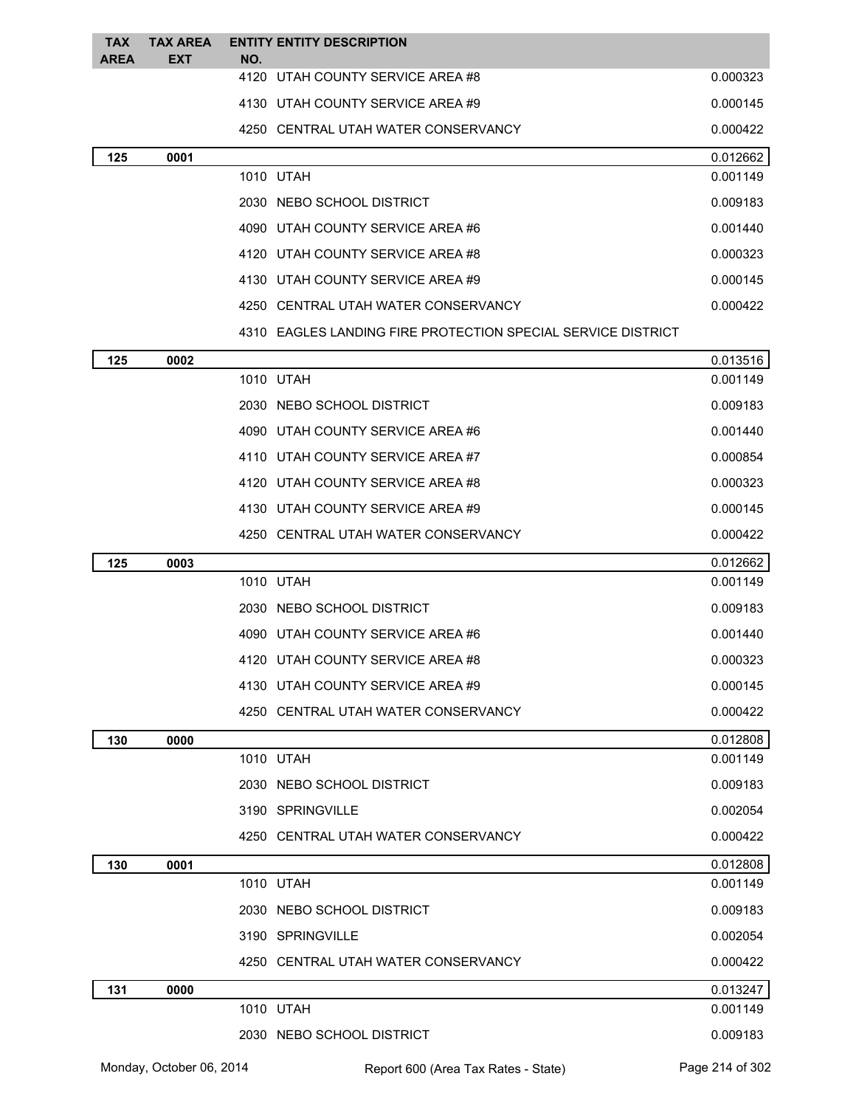| <b>TAX</b><br><b>AREA</b> | <b>TAX AREA</b><br>EXT | <b>ENTITY ENTITY DESCRIPTION</b><br>NO.                      |          |
|---------------------------|------------------------|--------------------------------------------------------------|----------|
|                           |                        | 4120 UTAH COUNTY SERVICE AREA #8                             | 0.000323 |
|                           |                        | 4130 UTAH COUNTY SERVICE AREA #9                             | 0.000145 |
|                           |                        | 4250 CENTRAL UTAH WATER CONSERVANCY                          | 0.000422 |
| 125                       | 0001                   |                                                              | 0.012662 |
|                           |                        | 1010 UTAH                                                    | 0.001149 |
|                           |                        | 2030 NEBO SCHOOL DISTRICT                                    | 0.009183 |
|                           |                        | 4090 UTAH COUNTY SERVICE AREA #6                             | 0.001440 |
|                           |                        | 4120 UTAH COUNTY SERVICE AREA #8                             | 0.000323 |
|                           |                        | 4130 UTAH COUNTY SERVICE AREA #9                             | 0.000145 |
|                           |                        | 4250 CENTRAL UTAH WATER CONSERVANCY                          | 0.000422 |
|                           |                        | 4310 EAGLES LANDING FIRE PROTECTION SPECIAL SERVICE DISTRICT |          |
| 125                       | 0002                   |                                                              | 0.013516 |
|                           |                        | 1010 UTAH                                                    | 0.001149 |
|                           |                        | 2030 NEBO SCHOOL DISTRICT                                    | 0.009183 |
|                           |                        | 4090 UTAH COUNTY SERVICE AREA #6                             | 0.001440 |
|                           |                        | 4110 UTAH COUNTY SERVICE AREA #7                             | 0.000854 |
|                           |                        | 4120 UTAH COUNTY SERVICE AREA #8                             | 0.000323 |
|                           |                        | 4130 UTAH COUNTY SERVICE AREA #9                             | 0.000145 |
|                           |                        | 4250 CENTRAL UTAH WATER CONSERVANCY                          | 0.000422 |
| 125                       | 0003                   |                                                              | 0.012662 |
|                           |                        | 1010 UTAH                                                    | 0.001149 |
|                           |                        | 2030 NEBO SCHOOL DISTRICT                                    | 0.009183 |
|                           |                        | 4090 UTAH COUNTY SERVICE AREA #6                             | 0.001440 |
|                           |                        | 4120 UTAH COUNTY SERVICE AREA #8                             | 0.000323 |
|                           |                        | 4130 UTAH COUNTY SERVICE AREA #9                             | 0.000145 |
|                           |                        | 4250 CENTRAL UTAH WATER CONSERVANCY                          | 0.000422 |
| 130                       | 0000                   |                                                              | 0.012808 |
|                           |                        | 1010 UTAH                                                    | 0.001149 |
|                           |                        | 2030 NEBO SCHOOL DISTRICT                                    | 0.009183 |
|                           |                        | 3190 SPRINGVILLE                                             | 0.002054 |
|                           |                        | 4250 CENTRAL UTAH WATER CONSERVANCY                          | 0.000422 |
| 130                       | 0001                   |                                                              | 0.012808 |
|                           |                        | 1010 UTAH                                                    | 0.001149 |
|                           |                        | 2030 NEBO SCHOOL DISTRICT                                    | 0.009183 |
|                           |                        | 3190 SPRINGVILLE                                             | 0.002054 |
|                           |                        | 4250 CENTRAL UTAH WATER CONSERVANCY                          | 0.000422 |
| 131                       | 0000                   |                                                              | 0.013247 |
|                           |                        | 1010 UTAH                                                    | 0.001149 |
|                           |                        | 2030 NEBO SCHOOL DISTRICT                                    | 0.009183 |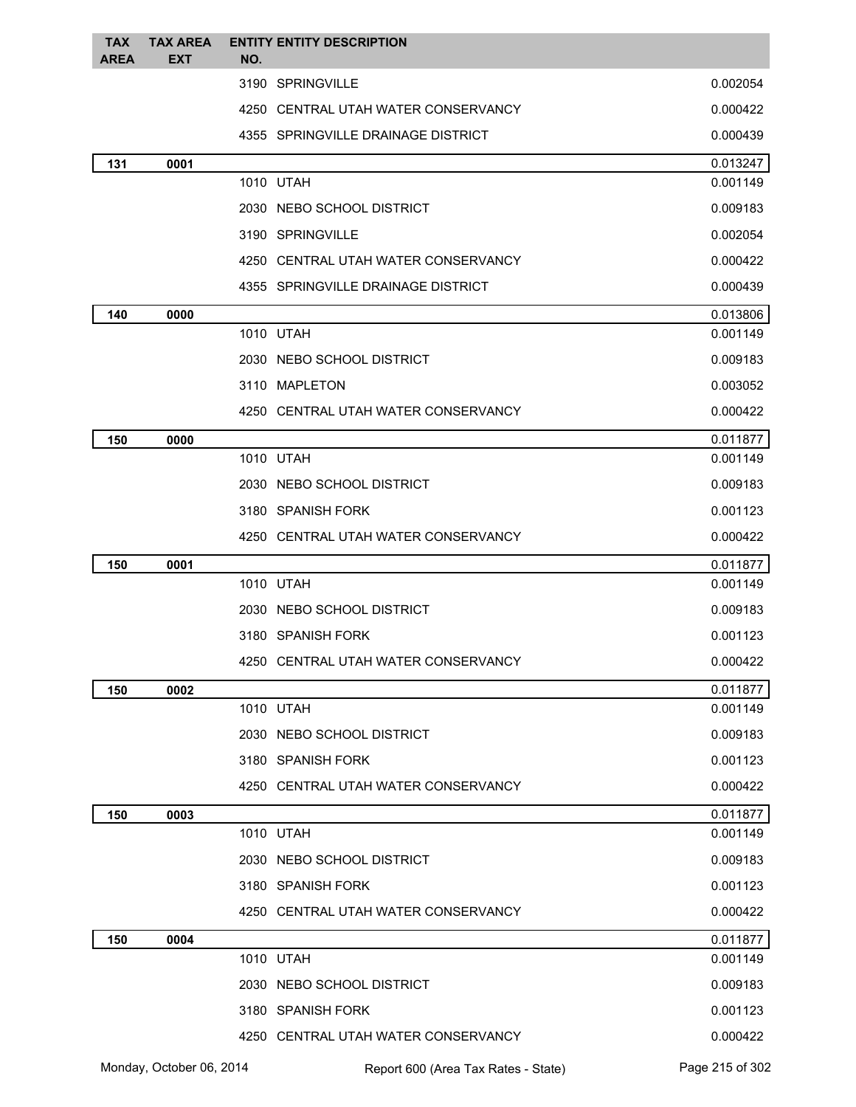| <b>TAX</b><br><b>AREA</b> | <b>TAX AREA</b><br><b>EXT</b> | <b>ENTITY ENTITY DESCRIPTION</b><br>NO. |          |
|---------------------------|-------------------------------|-----------------------------------------|----------|
|                           |                               | 3190 SPRINGVILLE                        | 0.002054 |
|                           |                               | 4250 CENTRAL UTAH WATER CONSERVANCY     | 0.000422 |
|                           |                               | 4355 SPRINGVILLE DRAINAGE DISTRICT      | 0.000439 |
| 131                       | 0001                          |                                         | 0.013247 |
|                           |                               | 1010 UTAH                               | 0.001149 |
|                           |                               | 2030 NEBO SCHOOL DISTRICT               | 0.009183 |
|                           |                               | 3190 SPRINGVILLE                        | 0.002054 |
|                           |                               | 4250 CENTRAL UTAH WATER CONSERVANCY     | 0.000422 |
|                           |                               | 4355 SPRINGVILLE DRAINAGE DISTRICT      | 0.000439 |
| 140                       | 0000                          |                                         | 0.013806 |
|                           |                               | 1010 UTAH                               | 0.001149 |
|                           |                               | 2030 NEBO SCHOOL DISTRICT               | 0.009183 |
|                           |                               | 3110 MAPLETON                           | 0.003052 |
|                           |                               | 4250 CENTRAL UTAH WATER CONSERVANCY     | 0.000422 |
| 150                       | 0000                          |                                         | 0.011877 |
|                           |                               | 1010 UTAH                               | 0.001149 |
|                           |                               | 2030 NEBO SCHOOL DISTRICT               | 0.009183 |
|                           |                               | 3180 SPANISH FORK                       | 0.001123 |
|                           |                               | 4250 CENTRAL UTAH WATER CONSERVANCY     | 0.000422 |
| 150                       | 0001                          |                                         | 0.011877 |
|                           |                               | 1010 UTAH                               | 0.001149 |
|                           |                               | 2030 NEBO SCHOOL DISTRICT               | 0.009183 |
|                           |                               | 3180 SPANISH FORK                       | 0.001123 |
|                           |                               | 4250 CENTRAL UTAH WATER CONSERVANCY     | 0.000422 |
| 150                       | 0002                          |                                         | 0.011877 |
|                           |                               | 1010 UTAH                               | 0.001149 |
|                           |                               | 2030 NEBO SCHOOL DISTRICT               | 0.009183 |
|                           |                               | 3180 SPANISH FORK                       | 0.001123 |
|                           |                               | 4250 CENTRAL UTAH WATER CONSERVANCY     | 0.000422 |
| 150                       | 0003                          |                                         | 0.011877 |
|                           |                               | 1010 UTAH                               | 0.001149 |
|                           |                               | 2030 NEBO SCHOOL DISTRICT               | 0.009183 |
|                           |                               | 3180 SPANISH FORK                       | 0.001123 |
|                           |                               | 4250 CENTRAL UTAH WATER CONSERVANCY     | 0.000422 |
| 150                       | 0004                          |                                         | 0.011877 |
|                           |                               | 1010 UTAH                               | 0.001149 |
|                           |                               | 2030 NEBO SCHOOL DISTRICT               | 0.009183 |
|                           |                               | 3180 SPANISH FORK                       | 0.001123 |
|                           |                               | 4250 CENTRAL UTAH WATER CONSERVANCY     | 0.000422 |

Monday, October 06, 2014 Report 600 (Area Tax Rates - State) Rage 215 of 302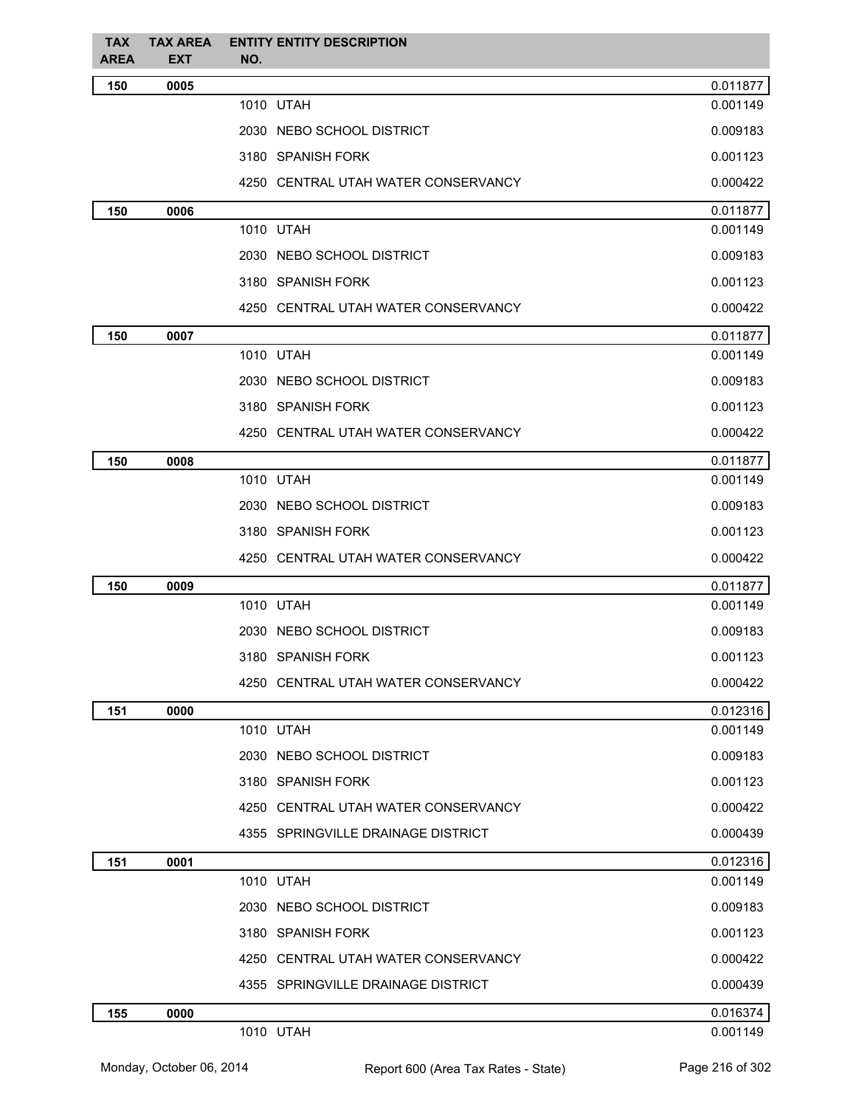| <b>TAX</b><br>AREA | <b>TAX AREA</b><br><b>EXT</b> | <b>ENTITY ENTITY DESCRIPTION</b><br>NO. |          |
|--------------------|-------------------------------|-----------------------------------------|----------|
| 150                | 0005                          |                                         | 0.011877 |
|                    |                               | 1010 UTAH                               | 0.001149 |
|                    |                               | 2030 NEBO SCHOOL DISTRICT               | 0.009183 |
|                    |                               | 3180 SPANISH FORK                       | 0.001123 |
|                    |                               | 4250 CENTRAL UTAH WATER CONSERVANCY     | 0.000422 |
| 150                | 0006                          |                                         | 0.011877 |
|                    |                               | 1010 UTAH                               | 0.001149 |
|                    |                               | 2030 NEBO SCHOOL DISTRICT               | 0.009183 |
|                    |                               | 3180 SPANISH FORK                       | 0.001123 |
|                    |                               | 4250 CENTRAL UTAH WATER CONSERVANCY     | 0.000422 |
| 150                | 0007                          |                                         | 0.011877 |
|                    |                               | 1010 UTAH                               | 0.001149 |
|                    |                               | 2030 NEBO SCHOOL DISTRICT               | 0.009183 |
|                    |                               | 3180 SPANISH FORK                       | 0.001123 |
|                    |                               | 4250 CENTRAL UTAH WATER CONSERVANCY     | 0.000422 |
| 150                | 0008                          |                                         | 0.011877 |
|                    |                               | 1010 UTAH                               | 0.001149 |
|                    |                               | 2030 NEBO SCHOOL DISTRICT               | 0.009183 |
|                    |                               | 3180 SPANISH FORK                       | 0.001123 |
|                    |                               | 4250 CENTRAL UTAH WATER CONSERVANCY     | 0.000422 |
| 150                | 0009                          |                                         | 0.011877 |
|                    |                               | 1010 UTAH                               | 0.001149 |
|                    |                               | 2030 NEBO SCHOOL DISTRICT               | 0.009183 |
|                    |                               | 3180 SPANISH FORK                       | 0.001123 |
|                    |                               | 4250 CENTRAL UTAH WATER CONSERVANCY     | 0.000422 |
| 151                | 0000                          |                                         | 0.012316 |
|                    |                               | 1010 UTAH                               | 0.001149 |
|                    |                               | 2030 NEBO SCHOOL DISTRICT               | 0.009183 |
|                    |                               | 3180 SPANISH FORK                       | 0.001123 |
|                    |                               | 4250 CENTRAL UTAH WATER CONSERVANCY     | 0.000422 |
|                    |                               | 4355 SPRINGVILLE DRAINAGE DISTRICT      | 0.000439 |
| 151                | 0001                          |                                         | 0.012316 |
|                    |                               | 1010 UTAH                               | 0.001149 |
|                    |                               | 2030 NEBO SCHOOL DISTRICT               | 0.009183 |
|                    |                               | 3180 SPANISH FORK                       | 0.001123 |
|                    |                               | 4250 CENTRAL UTAH WATER CONSERVANCY     | 0.000422 |
|                    |                               | 4355 SPRINGVILLE DRAINAGE DISTRICT      | 0.000439 |
| 155                | 0000                          |                                         | 0.016374 |
|                    |                               | 1010 UTAH                               | 0.001149 |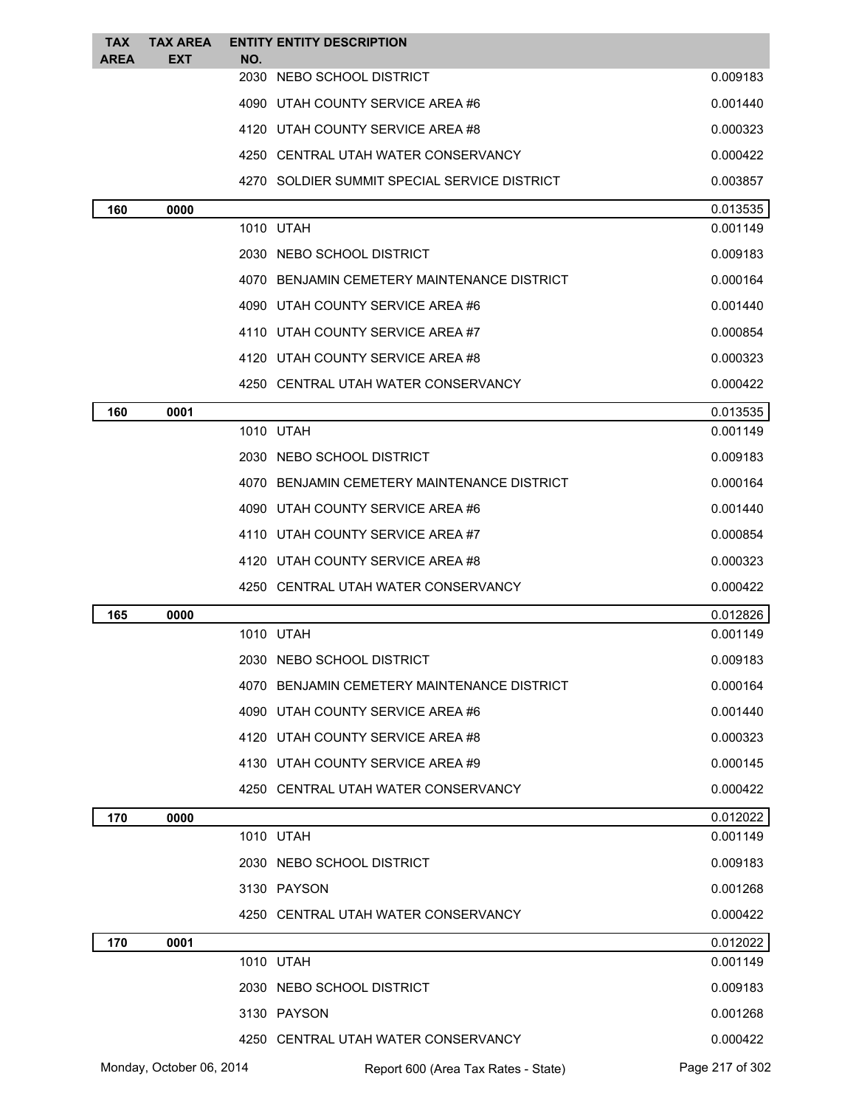| <b>TAX</b><br><b>AREA</b> | <b>TAX AREA</b><br><b>EXT</b> | NO. | <b>ENTITY ENTITY DESCRIPTION</b>             |                 |
|---------------------------|-------------------------------|-----|----------------------------------------------|-----------------|
|                           |                               |     | 2030 NEBO SCHOOL DISTRICT                    | 0.009183        |
|                           |                               |     | 4090 UTAH COUNTY SERVICE AREA #6             | 0.001440        |
|                           |                               |     | 4120 UTAH COUNTY SERVICE AREA #8             | 0.000323        |
|                           |                               |     | 4250 CENTRAL UTAH WATER CONSERVANCY          | 0.000422        |
|                           |                               |     | 4270 SOLDIER SUMMIT SPECIAL SERVICE DISTRICT | 0.003857        |
| 160                       | 0000                          |     |                                              | 0.013535        |
|                           |                               |     | 1010 UTAH                                    | 0.001149        |
|                           |                               |     | 2030 NEBO SCHOOL DISTRICT                    | 0.009183        |
|                           |                               |     | 4070 BENJAMIN CEMETERY MAINTENANCE DISTRICT  | 0.000164        |
|                           |                               |     | 4090 UTAH COUNTY SERVICE AREA #6             | 0.001440        |
|                           |                               |     | 4110 UTAH COUNTY SERVICE AREA #7             | 0.000854        |
|                           |                               |     | 4120 UTAH COUNTY SERVICE AREA #8             | 0.000323        |
|                           |                               |     | 4250 CENTRAL UTAH WATER CONSERVANCY          | 0.000422        |
| 160                       | 0001                          |     |                                              | 0.013535        |
|                           |                               |     | 1010 UTAH                                    | 0.001149        |
|                           |                               |     | 2030 NEBO SCHOOL DISTRICT                    | 0.009183        |
|                           |                               |     | 4070 BENJAMIN CEMETERY MAINTENANCE DISTRICT  | 0.000164        |
|                           |                               |     | 4090 UTAH COUNTY SERVICE AREA #6             | 0.001440        |
|                           |                               |     | 4110 UTAH COUNTY SERVICE AREA #7             | 0.000854        |
|                           |                               |     | 4120 UTAH COUNTY SERVICE AREA #8             | 0.000323        |
|                           |                               |     | 4250 CENTRAL UTAH WATER CONSERVANCY          | 0.000422        |
| 165                       | 0000                          |     |                                              | 0.012826        |
|                           |                               |     | 1010 UTAH                                    | 0.001149        |
|                           |                               |     | 2030 NEBO SCHOOL DISTRICT                    | 0.009183        |
|                           |                               |     | 4070 BENJAMIN CEMETERY MAINTENANCE DISTRICT  | 0.000164        |
|                           |                               |     | 4090 UTAH COUNTY SERVICE AREA #6             | 0.001440        |
|                           |                               |     | 4120 UTAH COUNTY SERVICE AREA #8             | 0.000323        |
|                           |                               |     | 4130 UTAH COUNTY SERVICE AREA #9             | 0.000145        |
|                           |                               |     | 4250 CENTRAL UTAH WATER CONSERVANCY          | 0.000422        |
| 170                       | 0000                          |     |                                              | 0.012022        |
|                           |                               |     | 1010 UTAH                                    | 0.001149        |
|                           |                               |     | 2030 NEBO SCHOOL DISTRICT                    | 0.009183        |
|                           |                               |     | 3130 PAYSON                                  | 0.001268        |
|                           |                               |     | 4250 CENTRAL UTAH WATER CONSERVANCY          | 0.000422        |
| 170                       | 0001                          |     |                                              | 0.012022        |
|                           |                               |     | 1010 UTAH                                    | 0.001149        |
|                           |                               |     | 2030 NEBO SCHOOL DISTRICT                    | 0.009183        |
|                           |                               |     | 3130 PAYSON                                  | 0.001268        |
|                           |                               |     | 4250 CENTRAL UTAH WATER CONSERVANCY          | 0.000422        |
|                           | Monday, October 06, 2014      |     | Report 600 (Area Tax Rates - State)          | Page 217 of 302 |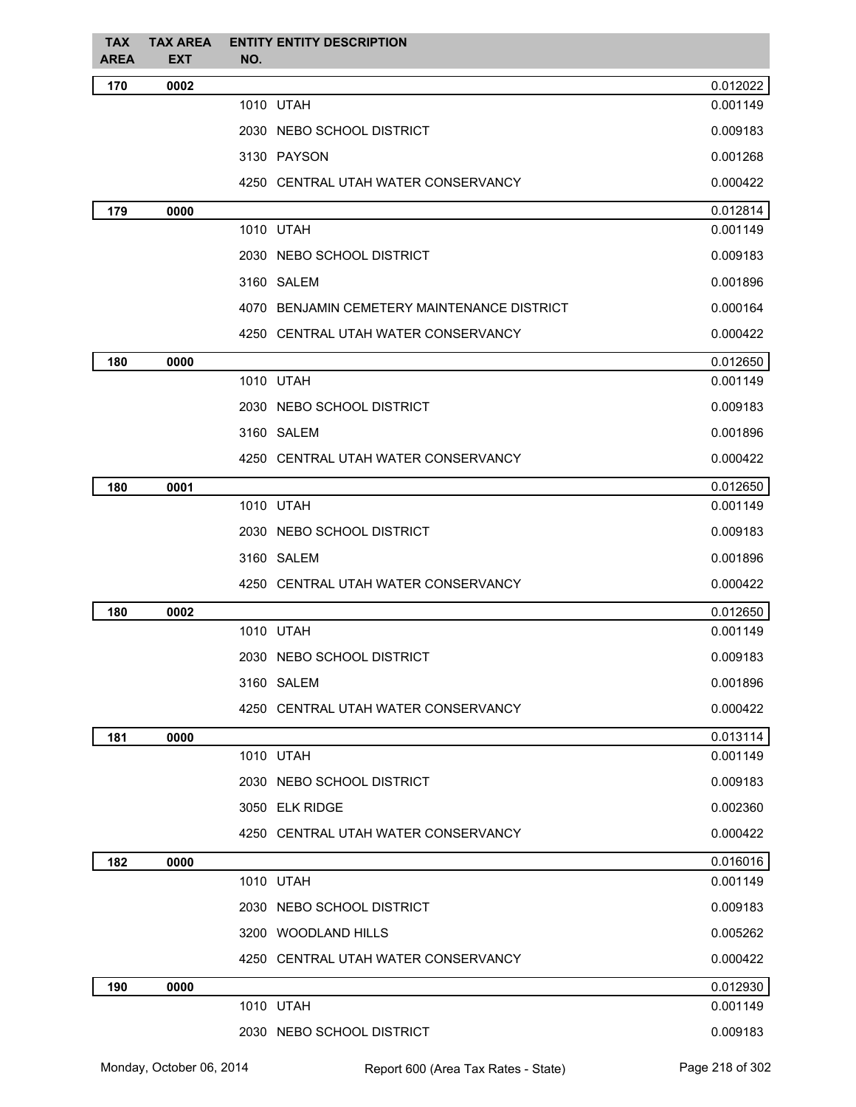| <b>TAX</b><br>AREA | <b>TAX AREA</b><br><b>EXT</b> | <b>ENTITY ENTITY DESCRIPTION</b><br>NO.     |          |
|--------------------|-------------------------------|---------------------------------------------|----------|
| 170                | 0002                          |                                             | 0.012022 |
|                    |                               | 1010 UTAH                                   | 0.001149 |
|                    |                               | 2030 NEBO SCHOOL DISTRICT                   | 0.009183 |
|                    |                               | 3130 PAYSON                                 | 0.001268 |
|                    |                               | 4250 CENTRAL UTAH WATER CONSERVANCY         | 0.000422 |
| 179                | 0000                          |                                             | 0.012814 |
|                    |                               | 1010 UTAH                                   | 0.001149 |
|                    |                               | 2030 NEBO SCHOOL DISTRICT                   | 0.009183 |
|                    |                               | 3160 SALEM                                  | 0.001896 |
|                    |                               | 4070 BENJAMIN CEMETERY MAINTENANCE DISTRICT | 0.000164 |
|                    |                               | 4250 CENTRAL UTAH WATER CONSERVANCY         | 0.000422 |
| 180                | 0000                          |                                             | 0.012650 |
|                    |                               | 1010 UTAH                                   | 0.001149 |
|                    |                               | 2030 NEBO SCHOOL DISTRICT                   | 0.009183 |
|                    |                               | 3160 SALEM                                  | 0.001896 |
|                    |                               | 4250 CENTRAL UTAH WATER CONSERVANCY         | 0.000422 |
| 180                | 0001                          |                                             | 0.012650 |
|                    |                               | 1010 UTAH                                   | 0.001149 |
|                    |                               | 2030 NEBO SCHOOL DISTRICT                   | 0.009183 |
|                    |                               | 3160 SALEM                                  | 0.001896 |
|                    |                               | 4250 CENTRAL UTAH WATER CONSERVANCY         | 0.000422 |
| 180                | 0002                          |                                             | 0.012650 |
|                    |                               | 1010 UTAH                                   | 0.001149 |
|                    |                               | 2030 NEBO SCHOOL DISTRICT                   | 0.009183 |
|                    |                               | 3160 SALEM                                  | 0.001896 |
|                    |                               | 4250 CENTRAL UTAH WATER CONSERVANCY         | 0.000422 |
| 181                | 0000                          |                                             | 0.013114 |
|                    |                               | 1010 UTAH                                   | 0.001149 |
|                    |                               | 2030 NEBO SCHOOL DISTRICT                   | 0.009183 |
|                    |                               | 3050 ELK RIDGE                              | 0.002360 |
|                    |                               | 4250 CENTRAL UTAH WATER CONSERVANCY         | 0.000422 |
| 182                | 0000                          |                                             | 0.016016 |
|                    |                               | 1010 UTAH                                   | 0.001149 |
|                    |                               | 2030 NEBO SCHOOL DISTRICT                   | 0.009183 |
|                    |                               | 3200 WOODLAND HILLS                         | 0.005262 |
|                    |                               | 4250 CENTRAL UTAH WATER CONSERVANCY         | 0.000422 |
| 190                | 0000                          |                                             | 0.012930 |
|                    |                               | 1010 UTAH                                   | 0.001149 |
|                    |                               | 2030 NEBO SCHOOL DISTRICT                   | 0.009183 |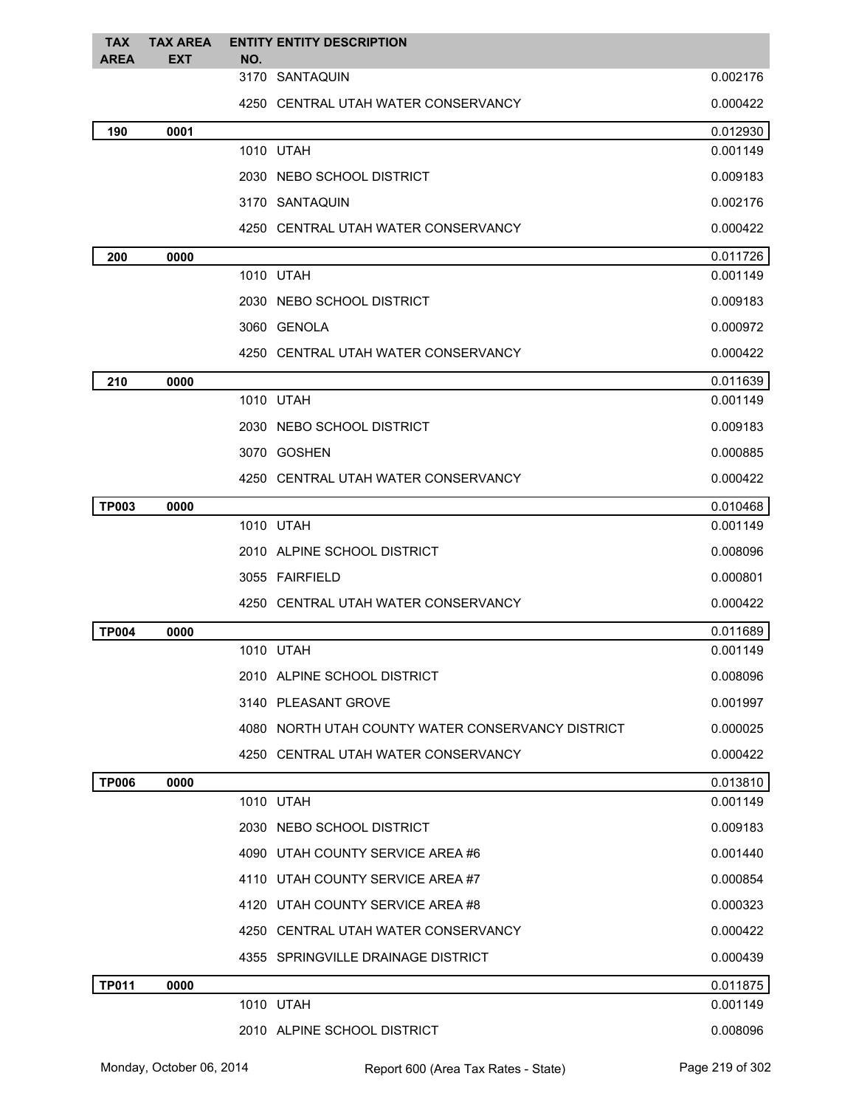| <b>TAX</b><br><b>AREA</b> | <b>TAX AREA</b><br><b>EXT</b> | <b>ENTITY ENTITY DESCRIPTION</b><br>NO.           |          |
|---------------------------|-------------------------------|---------------------------------------------------|----------|
|                           |                               | 3170 SANTAQUIN                                    | 0.002176 |
|                           |                               | 4250 CENTRAL UTAH WATER CONSERVANCY               | 0.000422 |
| 190                       | 0001                          |                                                   | 0.012930 |
|                           |                               | 1010 UTAH                                         | 0.001149 |
|                           |                               | 2030 NEBO SCHOOL DISTRICT                         | 0.009183 |
|                           |                               | 3170 SANTAQUIN                                    | 0.002176 |
|                           |                               | 4250 CENTRAL UTAH WATER CONSERVANCY               | 0.000422 |
| 200                       | 0000                          |                                                   | 0.011726 |
|                           |                               | 1010 UTAH                                         | 0.001149 |
|                           |                               | 2030 NEBO SCHOOL DISTRICT                         | 0.009183 |
|                           |                               | 3060 GENOLA                                       | 0.000972 |
|                           |                               | 4250 CENTRAL UTAH WATER CONSERVANCY               | 0.000422 |
| 210                       | 0000                          |                                                   | 0.011639 |
|                           |                               | 1010 UTAH                                         | 0.001149 |
|                           |                               | 2030 NEBO SCHOOL DISTRICT                         | 0.009183 |
|                           |                               | 3070 GOSHEN                                       | 0.000885 |
|                           |                               | 4250 CENTRAL UTAH WATER CONSERVANCY               | 0.000422 |
| <b>TP003</b>              | 0000                          |                                                   | 0.010468 |
|                           |                               | 1010 UTAH                                         | 0.001149 |
|                           |                               | 2010 ALPINE SCHOOL DISTRICT                       | 0.008096 |
|                           |                               | 3055 FAIRFIELD                                    | 0.000801 |
|                           |                               | 4250 CENTRAL UTAH WATER CONSERVANCY               | 0.000422 |
| <b>TP004</b>              | 0000                          |                                                   | 0.011689 |
|                           |                               | 1010 UTAH                                         | 0.001149 |
|                           |                               | 2010 ALPINE SCHOOL DISTRICT                       | 0.008096 |
|                           |                               | 3140 PLEASANT GROVE                               | 0.001997 |
|                           |                               | 4080 NORTH UTAH COUNTY WATER CONSERVANCY DISTRICT | 0.000025 |
|                           |                               | 4250 CENTRAL UTAH WATER CONSERVANCY               | 0.000422 |
| <b>TP006</b>              | 0000                          |                                                   | 0.013810 |
|                           |                               | 1010 UTAH                                         | 0.001149 |
|                           |                               | 2030 NEBO SCHOOL DISTRICT                         | 0.009183 |
|                           |                               | 4090 UTAH COUNTY SERVICE AREA #6                  | 0.001440 |
|                           |                               | 4110 UTAH COUNTY SERVICE AREA #7                  | 0.000854 |
|                           |                               | 4120 UTAH COUNTY SERVICE AREA #8                  | 0.000323 |
|                           |                               | 4250 CENTRAL UTAH WATER CONSERVANCY               | 0.000422 |
|                           |                               | 4355 SPRINGVILLE DRAINAGE DISTRICT                | 0.000439 |
| <b>TP011</b>              | 0000                          |                                                   | 0.011875 |
|                           |                               | 1010 UTAH                                         | 0.001149 |
|                           |                               | 2010 ALPINE SCHOOL DISTRICT                       | 0.008096 |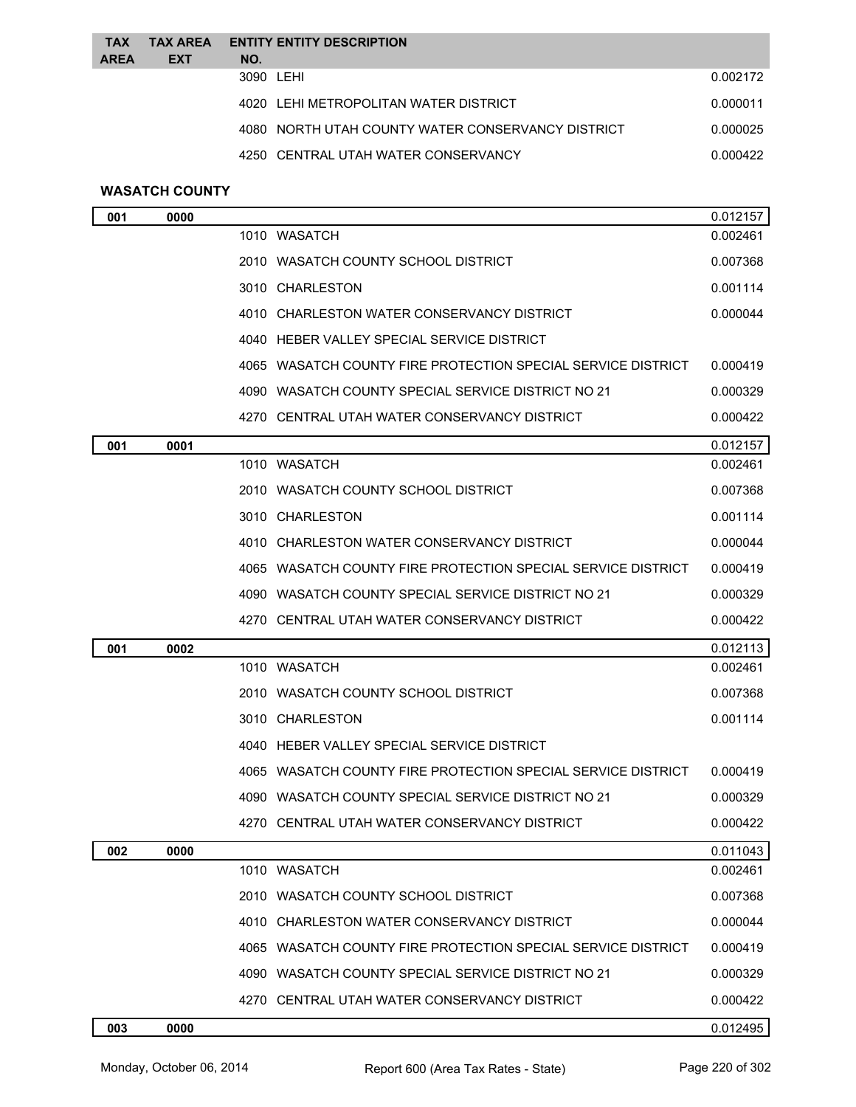| <b>TAX</b><br><b>AREA</b> | <b>TAX AREA</b><br><b>EXT</b> | NO. | <b>ENTITY ENTITY DESCRIPTION</b>                  |          |
|---------------------------|-------------------------------|-----|---------------------------------------------------|----------|
|                           |                               |     | 3090 LEHI                                         | 0.002172 |
|                           |                               |     | 4020 LEHI METROPOLITAN WATER DISTRICT             | 0.000011 |
|                           |                               |     | 4080 NORTH UTAH COUNTY WATER CONSERVANCY DISTRICT | 0.000025 |
|                           |                               |     | 4250 CENTRAL UTAH WATER CONSERVANCY               | 0.000422 |

# **WASATCH COUNTY**

| 001 | 0000 |                                                              | 0.012157 |
|-----|------|--------------------------------------------------------------|----------|
|     |      | 1010 WASATCH                                                 | 0.002461 |
|     |      | 2010 WASATCH COUNTY SCHOOL DISTRICT                          | 0.007368 |
|     |      | 3010 CHARLESTON                                              | 0.001114 |
|     |      | 4010 CHARLESTON WATER CONSERVANCY DISTRICT                   | 0.000044 |
|     |      | 4040 HEBER VALLEY SPECIAL SERVICE DISTRICT                   |          |
|     |      | 4065 WASATCH COUNTY FIRE PROTECTION SPECIAL SERVICE DISTRICT | 0.000419 |
|     |      | 4090 WASATCH COUNTY SPECIAL SERVICE DISTRICT NO 21           | 0.000329 |
|     |      | 4270 CENTRAL UTAH WATER CONSERVANCY DISTRICT                 | 0.000422 |
| 001 | 0001 |                                                              | 0.012157 |
|     |      | 1010 WASATCH                                                 | 0.002461 |
|     |      | 2010 WASATCH COUNTY SCHOOL DISTRICT                          | 0.007368 |
|     |      | 3010 CHARLESTON                                              | 0.001114 |
|     |      | 4010 CHARLESTON WATER CONSERVANCY DISTRICT                   | 0.000044 |
|     |      | 4065 WASATCH COUNTY FIRE PROTECTION SPECIAL SERVICE DISTRICT | 0.000419 |
|     |      | 4090 WASATCH COUNTY SPECIAL SERVICE DISTRICT NO 21           | 0.000329 |
|     |      | 4270 CENTRAL UTAH WATER CONSERVANCY DISTRICT                 | 0.000422 |
| 001 | 0002 |                                                              | 0.012113 |
|     |      | 1010 WASATCH                                                 | 0.002461 |
|     |      | 2010 WASATCH COUNTY SCHOOL DISTRICT                          | 0.007368 |
|     |      | 3010 CHARLESTON                                              | 0.001114 |
|     |      | 4040 HEBER VALLEY SPECIAL SERVICE DISTRICT                   |          |
|     |      | 4065 WASATCH COUNTY FIRE PROTECTION SPECIAL SERVICE DISTRICT | 0.000419 |
|     |      | 4090 WASATCH COUNTY SPECIAL SERVICE DISTRICT NO 21           | 0.000329 |
|     |      | 4270 CENTRAL UTAH WATER CONSERVANCY DISTRICT                 | 0.000422 |
| 002 | 0000 |                                                              | 0.011043 |
|     |      | 1010 WASATCH                                                 | 0.002461 |
|     |      | 2010 WASATCH COUNTY SCHOOL DISTRICT                          | 0.007368 |
|     |      | 4010 CHARLESTON WATER CONSERVANCY DISTRICT                   | 0.000044 |
|     |      | 4065 WASATCH COUNTY FIRE PROTECTION SPECIAL SERVICE DISTRICT | 0.000419 |
|     |      | 4090 WASATCH COUNTY SPECIAL SERVICE DISTRICT NO 21           | 0.000329 |
|     |      | 4270 CENTRAL UTAH WATER CONSERVANCY DISTRICT                 | 0.000422 |
| 003 | 0000 |                                                              | 0.012495 |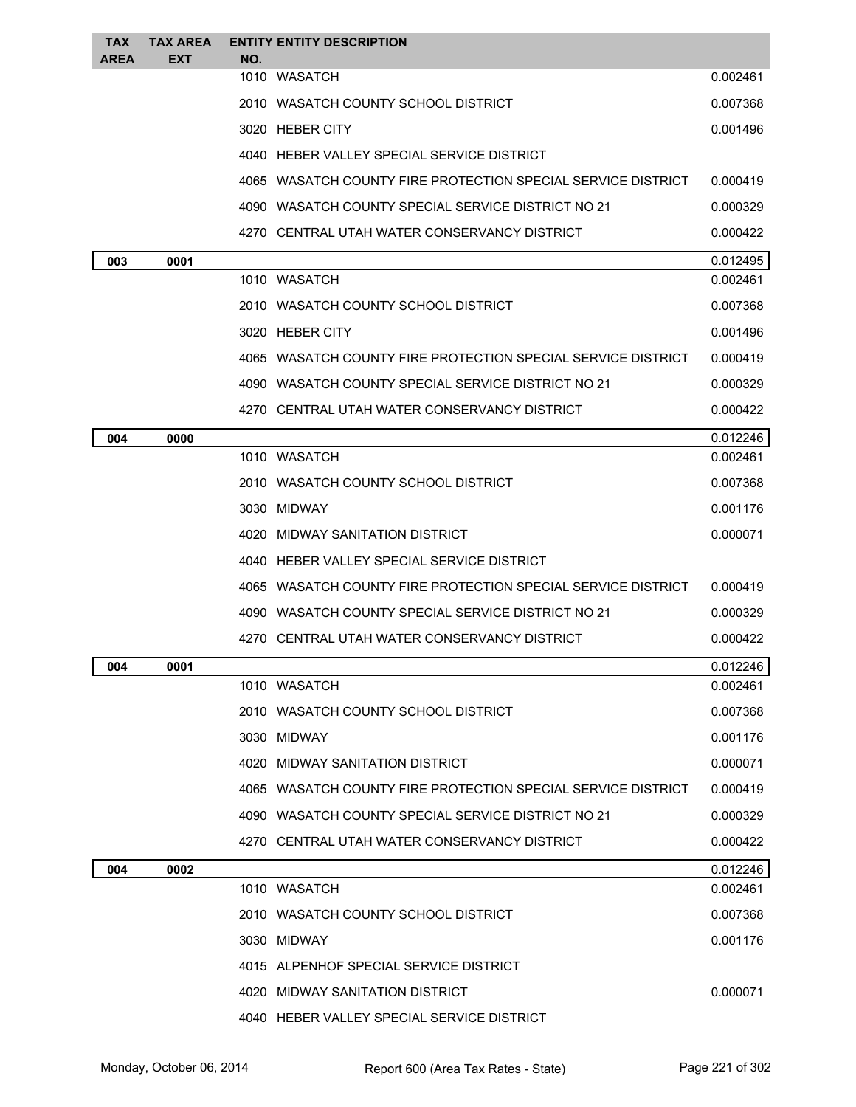| <b>TAX</b><br><b>AREA</b> | <b>TAX AREA</b><br><b>EXT</b> | <b>ENTITY ENTITY DESCRIPTION</b><br>NO.                      |          |
|---------------------------|-------------------------------|--------------------------------------------------------------|----------|
|                           |                               | 1010 WASATCH                                                 | 0.002461 |
|                           |                               | 2010 WASATCH COUNTY SCHOOL DISTRICT                          | 0.007368 |
|                           |                               | 3020 HEBER CITY                                              | 0.001496 |
|                           |                               | 4040 HEBER VALLEY SPECIAL SERVICE DISTRICT                   |          |
|                           |                               | 4065 WASATCH COUNTY FIRE PROTECTION SPECIAL SERVICE DISTRICT | 0.000419 |
|                           |                               | 4090 WASATCH COUNTY SPECIAL SERVICE DISTRICT NO 21           | 0.000329 |
|                           |                               | 4270 CENTRAL UTAH WATER CONSERVANCY DISTRICT                 | 0.000422 |
| 003                       | 0001                          |                                                              | 0.012495 |
|                           |                               | 1010 WASATCH                                                 | 0.002461 |
|                           |                               | 2010 WASATCH COUNTY SCHOOL DISTRICT                          | 0.007368 |
|                           |                               | 3020 HEBER CITY                                              | 0.001496 |
|                           |                               | 4065 WASATCH COUNTY FIRE PROTECTION SPECIAL SERVICE DISTRICT | 0.000419 |
|                           |                               | 4090 WASATCH COUNTY SPECIAL SERVICE DISTRICT NO 21           | 0.000329 |
|                           |                               | 4270 CENTRAL UTAH WATER CONSERVANCY DISTRICT                 | 0.000422 |
| 004                       | 0000                          |                                                              | 0.012246 |
|                           |                               | 1010 WASATCH                                                 | 0.002461 |
|                           |                               | 2010 WASATCH COUNTY SCHOOL DISTRICT                          | 0.007368 |
|                           |                               | 3030 MIDWAY                                                  | 0.001176 |
|                           |                               | 4020 MIDWAY SANITATION DISTRICT                              | 0.000071 |
|                           |                               | 4040 HEBER VALLEY SPECIAL SERVICE DISTRICT                   |          |
|                           |                               | 4065 WASATCH COUNTY FIRE PROTECTION SPECIAL SERVICE DISTRICT | 0.000419 |
|                           |                               | 4090 WASATCH COUNTY SPECIAL SERVICE DISTRICT NO 21           | 0.000329 |
|                           |                               | 4270 CENTRAL UTAH WATER CONSERVANCY DISTRICT                 | 0.000422 |
| 004                       | 0001                          |                                                              | 0.012246 |
|                           |                               | 1010 WASATCH                                                 | 0.002461 |
|                           |                               | 2010 WASATCH COUNTY SCHOOL DISTRICT                          | 0.007368 |
|                           |                               | 3030 MIDWAY                                                  | 0.001176 |
|                           |                               | 4020 MIDWAY SANITATION DISTRICT                              | 0.000071 |
|                           |                               | 4065 WASATCH COUNTY FIRE PROTECTION SPECIAL SERVICE DISTRICT | 0.000419 |
|                           |                               | 4090 WASATCH COUNTY SPECIAL SERVICE DISTRICT NO 21           | 0.000329 |
|                           |                               | 4270 CENTRAL UTAH WATER CONSERVANCY DISTRICT                 | 0.000422 |
| 004                       | 0002                          |                                                              | 0.012246 |
|                           |                               | 1010 WASATCH                                                 | 0.002461 |
|                           |                               | 2010 WASATCH COUNTY SCHOOL DISTRICT                          | 0.007368 |
|                           |                               | 3030 MIDWAY                                                  | 0.001176 |
|                           |                               | 4015 ALPENHOF SPECIAL SERVICE DISTRICT                       |          |
|                           |                               | 4020 MIDWAY SANITATION DISTRICT                              | 0.000071 |
|                           |                               | 4040 HEBER VALLEY SPECIAL SERVICE DISTRICT                   |          |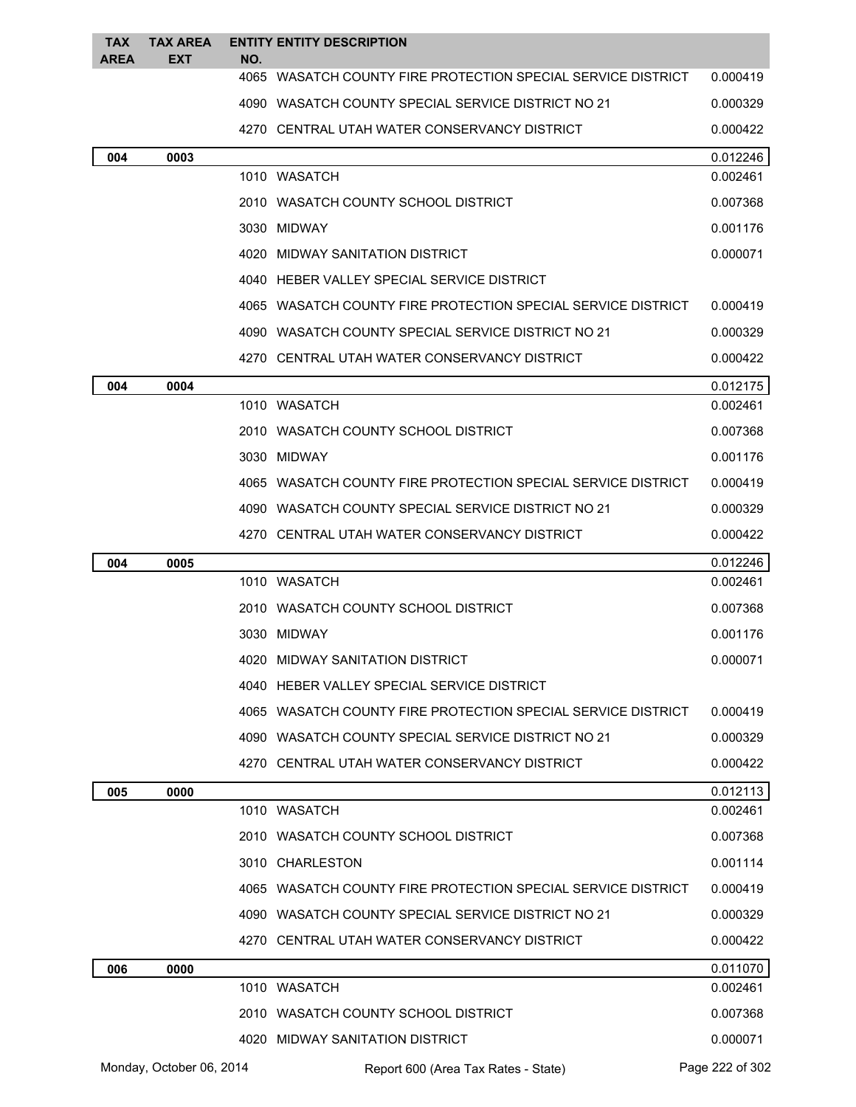| <b>TAX</b>  | <b>TAX AREA</b>          |     | <b>ENTITY ENTITY DESCRIPTION</b>                             |                      |
|-------------|--------------------------|-----|--------------------------------------------------------------|----------------------|
| <b>AREA</b> | <b>EXT</b>               | NO. | 4065 WASATCH COUNTY FIRE PROTECTION SPECIAL SERVICE DISTRICT | 0.000419             |
|             |                          |     | 4090 WASATCH COUNTY SPECIAL SERVICE DISTRICT NO 21           | 0.000329             |
|             |                          |     | 4270 CENTRAL UTAH WATER CONSERVANCY DISTRICT                 | 0.000422             |
| 004         | 0003                     |     |                                                              | 0.012246             |
|             |                          |     | 1010 WASATCH                                                 | 0.002461             |
|             |                          |     | 2010 WASATCH COUNTY SCHOOL DISTRICT                          | 0.007368             |
|             |                          |     | 3030 MIDWAY                                                  | 0.001176             |
|             |                          |     | 4020 MIDWAY SANITATION DISTRICT                              | 0.000071             |
|             |                          |     | 4040 HEBER VALLEY SPECIAL SERVICE DISTRICT                   |                      |
|             |                          |     | 4065 WASATCH COUNTY FIRE PROTECTION SPECIAL SERVICE DISTRICT | 0.000419             |
|             |                          |     | 4090 WASATCH COUNTY SPECIAL SERVICE DISTRICT NO 21           | 0.000329             |
|             |                          |     | 4270 CENTRAL UTAH WATER CONSERVANCY DISTRICT                 | 0.000422             |
| 004         | 0004                     |     |                                                              | 0.012175             |
|             |                          |     | 1010 WASATCH                                                 | 0.002461             |
|             |                          |     | 2010 WASATCH COUNTY SCHOOL DISTRICT                          | 0.007368             |
|             |                          |     | 3030 MIDWAY                                                  | 0.001176             |
|             |                          |     | 4065 WASATCH COUNTY FIRE PROTECTION SPECIAL SERVICE DISTRICT | 0.000419             |
|             |                          |     | 4090 WASATCH COUNTY SPECIAL SERVICE DISTRICT NO 21           | 0.000329             |
|             |                          |     | 4270 CENTRAL UTAH WATER CONSERVANCY DISTRICT                 | 0.000422             |
| 004         | 0005                     |     |                                                              | 0.012246             |
|             |                          |     | 1010 WASATCH                                                 | 0.002461             |
|             |                          |     | 2010 WASATCH COUNTY SCHOOL DISTRICT                          | 0.007368             |
|             |                          |     | 3030 MIDWAY                                                  | 0.001176             |
|             |                          |     | 4020 MIDWAY SANITATION DISTRICT                              | 0.000071             |
|             |                          |     | 4040 HEBER VALLEY SPECIAL SERVICE DISTRICT                   |                      |
|             |                          |     | 4065 WASATCH COUNTY FIRE PROTECTION SPECIAL SERVICE DISTRICT | 0.000419             |
|             |                          |     | 4090 WASATCH COUNTY SPECIAL SERVICE DISTRICT NO 21           | 0.000329             |
|             |                          |     | 4270 CENTRAL UTAH WATER CONSERVANCY DISTRICT                 | 0.000422             |
| 005         | 0000                     |     |                                                              | 0.012113             |
|             |                          |     | 1010 WASATCH                                                 | 0.002461             |
|             |                          |     | 2010 WASATCH COUNTY SCHOOL DISTRICT                          | 0.007368             |
|             |                          |     | 3010 CHARLESTON                                              | 0.001114             |
|             |                          |     | 4065 WASATCH COUNTY FIRE PROTECTION SPECIAL SERVICE DISTRICT | 0.000419             |
|             |                          |     | 4090 WASATCH COUNTY SPECIAL SERVICE DISTRICT NO 21           | 0.000329             |
|             |                          |     | 4270 CENTRAL UTAH WATER CONSERVANCY DISTRICT                 | 0.000422             |
| 006         | 0000                     |     | 1010 WASATCH                                                 | 0.011070<br>0.002461 |
|             |                          |     | 2010 WASATCH COUNTY SCHOOL DISTRICT                          | 0.007368             |
|             |                          |     | 4020 MIDWAY SANITATION DISTRICT                              | 0.000071             |
|             | Monday, October 06, 2014 |     | Report 600 (Area Tax Rates - State)                          | Page 222 of 302      |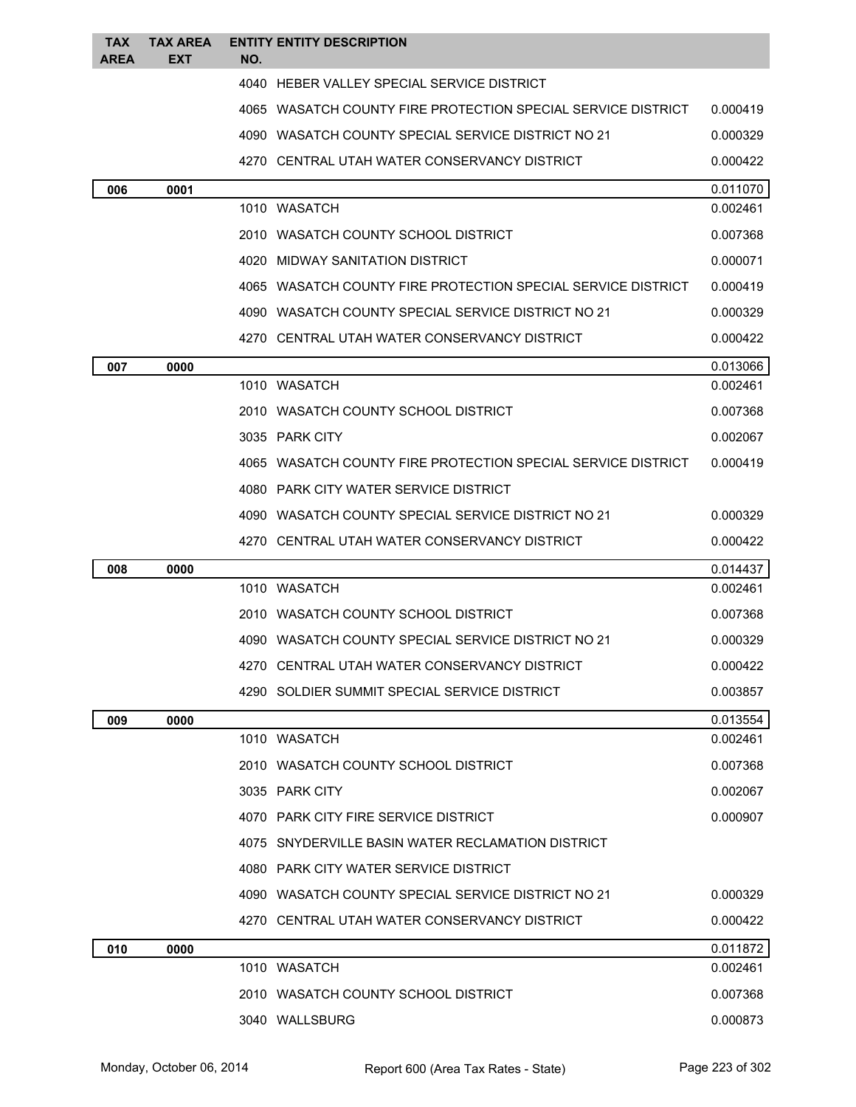| TAX<br><b>AREA</b> | <b>TAX AREA</b><br>EXT | NO. | <b>ENTITY ENTITY DESCRIPTION</b>                             |          |
|--------------------|------------------------|-----|--------------------------------------------------------------|----------|
|                    |                        |     | 4040 HEBER VALLEY SPECIAL SERVICE DISTRICT                   |          |
|                    |                        |     | 4065 WASATCH COUNTY FIRE PROTECTION SPECIAL SERVICE DISTRICT | 0.000419 |
|                    |                        |     | 4090 WASATCH COUNTY SPECIAL SERVICE DISTRICT NO 21           | 0.000329 |
|                    |                        |     | 4270 CENTRAL UTAH WATER CONSERVANCY DISTRICT                 | 0.000422 |
|                    | 0001                   |     |                                                              | 0.011070 |
| 006                |                        |     | 1010 WASATCH                                                 | 0.002461 |
|                    |                        |     | 2010 WASATCH COUNTY SCHOOL DISTRICT                          | 0.007368 |
|                    |                        |     | 4020 MIDWAY SANITATION DISTRICT                              | 0.000071 |
|                    |                        |     | 4065 WASATCH COUNTY FIRE PROTECTION SPECIAL SERVICE DISTRICT | 0.000419 |
|                    |                        |     | 4090 WASATCH COUNTY SPECIAL SERVICE DISTRICT NO 21           | 0.000329 |
|                    |                        |     | 4270 CENTRAL UTAH WATER CONSERVANCY DISTRICT                 | 0.000422 |
| 007                | 0000                   |     |                                                              | 0.013066 |
|                    |                        |     | 1010 WASATCH                                                 | 0.002461 |
|                    |                        |     | 2010 WASATCH COUNTY SCHOOL DISTRICT                          | 0.007368 |
|                    |                        |     | 3035 PARK CITY                                               | 0.002067 |
|                    |                        |     | 4065 WASATCH COUNTY FIRE PROTECTION SPECIAL SERVICE DISTRICT | 0.000419 |
|                    |                        |     | 4080 PARK CITY WATER SERVICE DISTRICT                        |          |
|                    |                        |     | 4090 WASATCH COUNTY SPECIAL SERVICE DISTRICT NO 21           | 0.000329 |
|                    |                        |     | 4270 CENTRAL UTAH WATER CONSERVANCY DISTRICT                 | 0.000422 |
| 008                | 0000                   |     |                                                              | 0.014437 |
|                    |                        |     | 1010 WASATCH                                                 | 0.002461 |
|                    |                        |     | 2010 WASATCH COUNTY SCHOOL DISTRICT                          | 0.007368 |
|                    |                        |     | 4090 WASATCH COUNTY SPECIAL SERVICE DISTRICT NO 21           | 0.000329 |
|                    |                        |     | 4270 CENTRAL UTAH WATER CONSERVANCY DISTRICT                 | 0.000422 |
|                    |                        |     | 4290 SOLDIER SUMMIT SPECIAL SERVICE DISTRICT                 | 0.003857 |
| 009                | 0000                   |     |                                                              | 0.013554 |
|                    |                        |     | 1010 WASATCH                                                 | 0.002461 |
|                    |                        |     | 2010 WASATCH COUNTY SCHOOL DISTRICT                          | 0.007368 |
|                    |                        |     | 3035 PARK CITY                                               | 0.002067 |
|                    |                        |     | 4070 PARK CITY FIRE SERVICE DISTRICT                         | 0.000907 |
|                    |                        |     | 4075 SNYDERVILLE BASIN WATER RECLAMATION DISTRICT            |          |
|                    |                        |     | 4080 PARK CITY WATER SERVICE DISTRICT                        |          |
|                    |                        |     | 4090 WASATCH COUNTY SPECIAL SERVICE DISTRICT NO 21           | 0.000329 |
|                    |                        |     | 4270 CENTRAL UTAH WATER CONSERVANCY DISTRICT                 | 0.000422 |
| 010                | 0000                   |     |                                                              | 0.011872 |
|                    |                        |     | 1010 WASATCH                                                 | 0.002461 |
|                    |                        |     | 2010 WASATCH COUNTY SCHOOL DISTRICT                          | 0.007368 |
|                    |                        |     | 3040 WALLSBURG                                               | 0.000873 |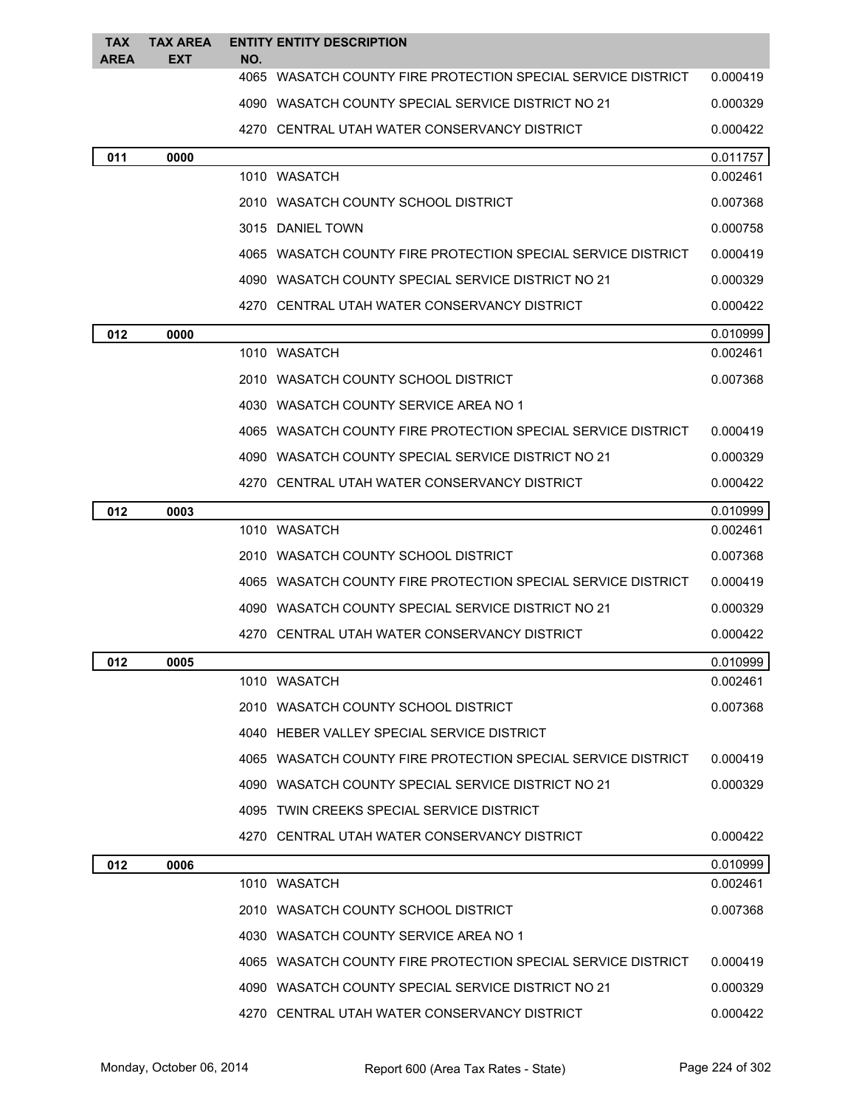| <b>TAX</b><br>AREA | TAX AREA<br><b>EXT</b> | NO. | <b>ENTITY ENTITY DESCRIPTION</b>                             |          |
|--------------------|------------------------|-----|--------------------------------------------------------------|----------|
|                    |                        |     | 4065 WASATCH COUNTY FIRE PROTECTION SPECIAL SERVICE DISTRICT | 0.000419 |
|                    |                        |     | 4090 WASATCH COUNTY SPECIAL SERVICE DISTRICT NO 21           | 0.000329 |
|                    |                        |     | 4270 CENTRAL UTAH WATER CONSERVANCY DISTRICT                 | 0.000422 |
| 011                | 0000                   |     |                                                              | 0.011757 |
|                    |                        |     | 1010 WASATCH                                                 | 0.002461 |
|                    |                        |     | 2010 WASATCH COUNTY SCHOOL DISTRICT                          | 0.007368 |
|                    |                        |     | 3015 DANIEL TOWN                                             | 0.000758 |
|                    |                        |     | 4065 WASATCH COUNTY FIRE PROTECTION SPECIAL SERVICE DISTRICT | 0.000419 |
|                    |                        |     | 4090 WASATCH COUNTY SPECIAL SERVICE DISTRICT NO 21           | 0.000329 |
|                    |                        |     | 4270 CENTRAL UTAH WATER CONSERVANCY DISTRICT                 | 0.000422 |
| 012                | 0000                   |     |                                                              | 0.010999 |
|                    |                        |     | 1010 WASATCH                                                 | 0.002461 |
|                    |                        |     | 2010   WASATCH COUNTY SCHOOL DISTRICT                        | 0.007368 |
|                    |                        |     | 4030 WASATCH COUNTY SERVICE AREA NO 1                        |          |
|                    |                        |     | 4065 WASATCH COUNTY FIRE PROTECTION SPECIAL SERVICE DISTRICT | 0.000419 |
|                    |                        |     | 4090 WASATCH COUNTY SPECIAL SERVICE DISTRICT NO 21           | 0.000329 |
|                    |                        |     | 4270 CENTRAL UTAH WATER CONSERVANCY DISTRICT                 | 0.000422 |
| 012                | 0003                   |     |                                                              | 0.010999 |
|                    |                        |     | 1010 WASATCH                                                 | 0.002461 |
|                    |                        |     | 2010 WASATCH COUNTY SCHOOL DISTRICT                          | 0.007368 |
|                    |                        |     | 4065 WASATCH COUNTY FIRE PROTECTION SPECIAL SERVICE DISTRICT | 0.000419 |
|                    |                        |     | 4090 WASATCH COUNTY SPECIAL SERVICE DISTRICT NO 21           | 0.000329 |
|                    |                        |     | 4270 CENTRAL UTAH WATER CONSERVANCY DISTRICT                 | 0.000422 |
| 012                | 0005                   |     |                                                              | 0.010999 |
|                    |                        |     | 1010 WASATCH                                                 | 0.002461 |
|                    |                        |     | 2010 WASATCH COUNTY SCHOOL DISTRICT                          | 0.007368 |
|                    |                        |     | 4040 HEBER VALLEY SPECIAL SERVICE DISTRICT                   |          |
|                    |                        |     | 4065 WASATCH COUNTY FIRE PROTECTION SPECIAL SERVICE DISTRICT | 0.000419 |
|                    |                        |     | 4090 WASATCH COUNTY SPECIAL SERVICE DISTRICT NO 21           | 0.000329 |
|                    |                        |     | 4095 TWIN CREEKS SPECIAL SERVICE DISTRICT                    |          |
|                    |                        |     | 4270 CENTRAL UTAH WATER CONSERVANCY DISTRICT                 | 0.000422 |
| 012                | 0006                   |     |                                                              | 0.010999 |
|                    |                        |     | 1010 WASATCH                                                 | 0.002461 |
|                    |                        |     | 2010 WASATCH COUNTY SCHOOL DISTRICT                          | 0.007368 |
|                    |                        |     | 4030 WASATCH COUNTY SERVICE AREA NO 1                        |          |
|                    |                        |     | 4065 WASATCH COUNTY FIRE PROTECTION SPECIAL SERVICE DISTRICT | 0.000419 |
|                    |                        |     | 4090 WASATCH COUNTY SPECIAL SERVICE DISTRICT NO 21           | 0.000329 |
|                    |                        |     | 4270 CENTRAL UTAH WATER CONSERVANCY DISTRICT                 | 0.000422 |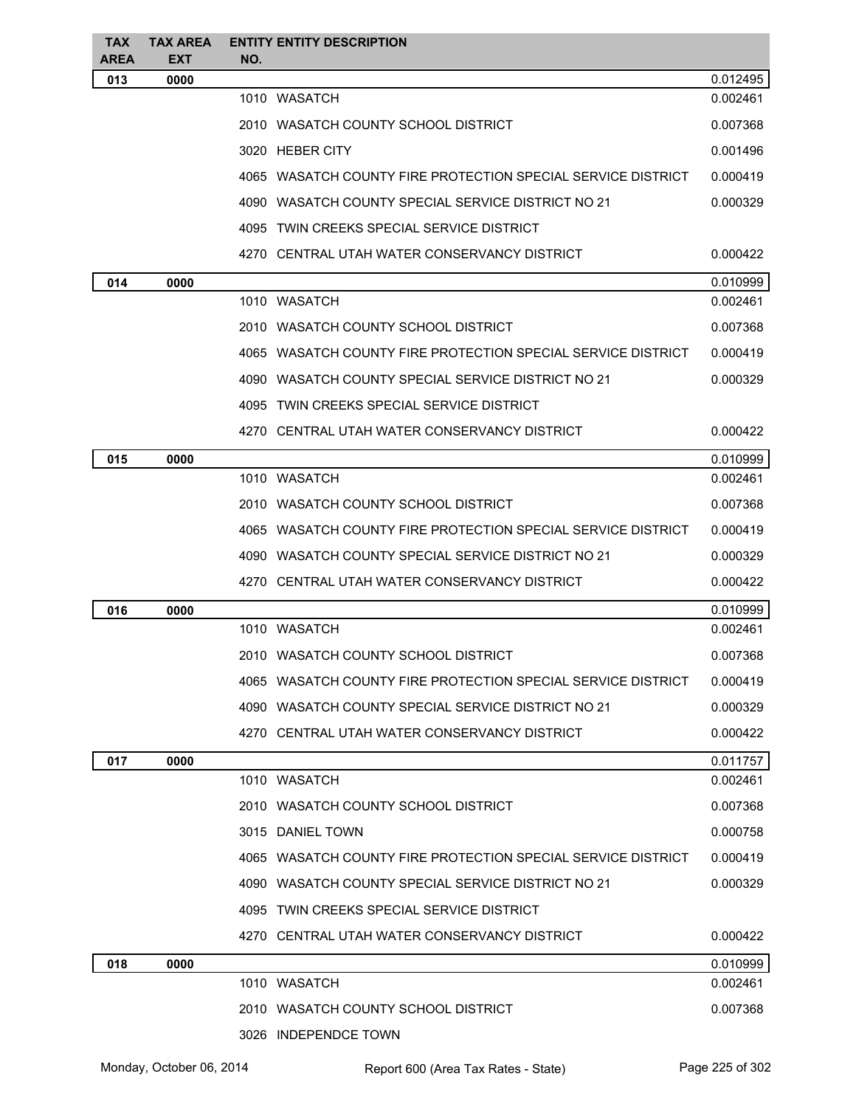| <b>TAX</b><br>AREA | <b>TAX AREA</b><br><b>EXT</b> | <b>ENTITY ENTITY DESCRIPTION</b><br>NO.                      |          |
|--------------------|-------------------------------|--------------------------------------------------------------|----------|
| 013                | 0000                          |                                                              | 0.012495 |
|                    |                               | 1010 WASATCH                                                 | 0.002461 |
|                    |                               | 2010 WASATCH COUNTY SCHOOL DISTRICT                          | 0.007368 |
|                    |                               | 3020 HEBER CITY                                              | 0.001496 |
|                    |                               | 4065 WASATCH COUNTY FIRE PROTECTION SPECIAL SERVICE DISTRICT | 0.000419 |
|                    |                               | 4090 WASATCH COUNTY SPECIAL SERVICE DISTRICT NO 21           | 0.000329 |
|                    |                               | 4095 TWIN CREEKS SPECIAL SERVICE DISTRICT                    |          |
|                    |                               | 4270 CENTRAL UTAH WATER CONSERVANCY DISTRICT                 | 0.000422 |
| 014                | 0000                          |                                                              | 0.010999 |
|                    |                               | 1010 WASATCH                                                 | 0.002461 |
|                    |                               | 2010 WASATCH COUNTY SCHOOL DISTRICT                          | 0.007368 |
|                    |                               | 4065 WASATCH COUNTY FIRE PROTECTION SPECIAL SERVICE DISTRICT | 0.000419 |
|                    |                               | 4090 WASATCH COUNTY SPECIAL SERVICE DISTRICT NO 21           | 0.000329 |
|                    |                               | 4095 TWIN CREEKS SPECIAL SERVICE DISTRICT                    |          |
|                    |                               | 4270 CENTRAL UTAH WATER CONSERVANCY DISTRICT                 | 0.000422 |
| 015                | 0000                          |                                                              | 0.010999 |
|                    |                               | 1010 WASATCH                                                 | 0.002461 |
|                    |                               | 2010 WASATCH COUNTY SCHOOL DISTRICT                          | 0.007368 |
|                    |                               | 4065 WASATCH COUNTY FIRE PROTECTION SPECIAL SERVICE DISTRICT | 0.000419 |
|                    |                               | 4090 WASATCH COUNTY SPECIAL SERVICE DISTRICT NO 21           | 0.000329 |
|                    |                               | 4270 CENTRAL UTAH WATER CONSERVANCY DISTRICT                 | 0.000422 |
| 016                | 0000                          |                                                              | 0.010999 |
|                    |                               | 1010 WASATCH                                                 | 0.002461 |
|                    |                               | 2010 WASATCH COUNTY SCHOOL DISTRICT                          | 0.007368 |
|                    |                               | 4065 WASATCH COUNTY FIRE PROTECTION SPECIAL SERVICE DISTRICT | 0.000419 |
|                    |                               | 4090 WASATCH COUNTY SPECIAL SERVICE DISTRICT NO 21           | 0.000329 |
|                    |                               | 4270 CENTRAL UTAH WATER CONSERVANCY DISTRICT                 | 0.000422 |
| 017                | 0000                          |                                                              | 0.011757 |
|                    |                               | 1010 WASATCH                                                 | 0.002461 |
|                    |                               | 2010 WASATCH COUNTY SCHOOL DISTRICT                          | 0.007368 |
|                    |                               | 3015 DANIEL TOWN                                             | 0.000758 |
|                    |                               | 4065 WASATCH COUNTY FIRE PROTECTION SPECIAL SERVICE DISTRICT | 0.000419 |
|                    |                               | 4090 WASATCH COUNTY SPECIAL SERVICE DISTRICT NO 21           | 0.000329 |
|                    |                               | 4095 TWIN CREEKS SPECIAL SERVICE DISTRICT                    |          |
|                    |                               | 4270 CENTRAL UTAH WATER CONSERVANCY DISTRICT                 | 0.000422 |
| 018                | 0000                          |                                                              | 0.010999 |
|                    |                               | 1010 WASATCH                                                 | 0.002461 |
|                    |                               | 2010 WASATCH COUNTY SCHOOL DISTRICT                          | 0.007368 |
|                    |                               | 3026 INDEPENDCE TOWN                                         |          |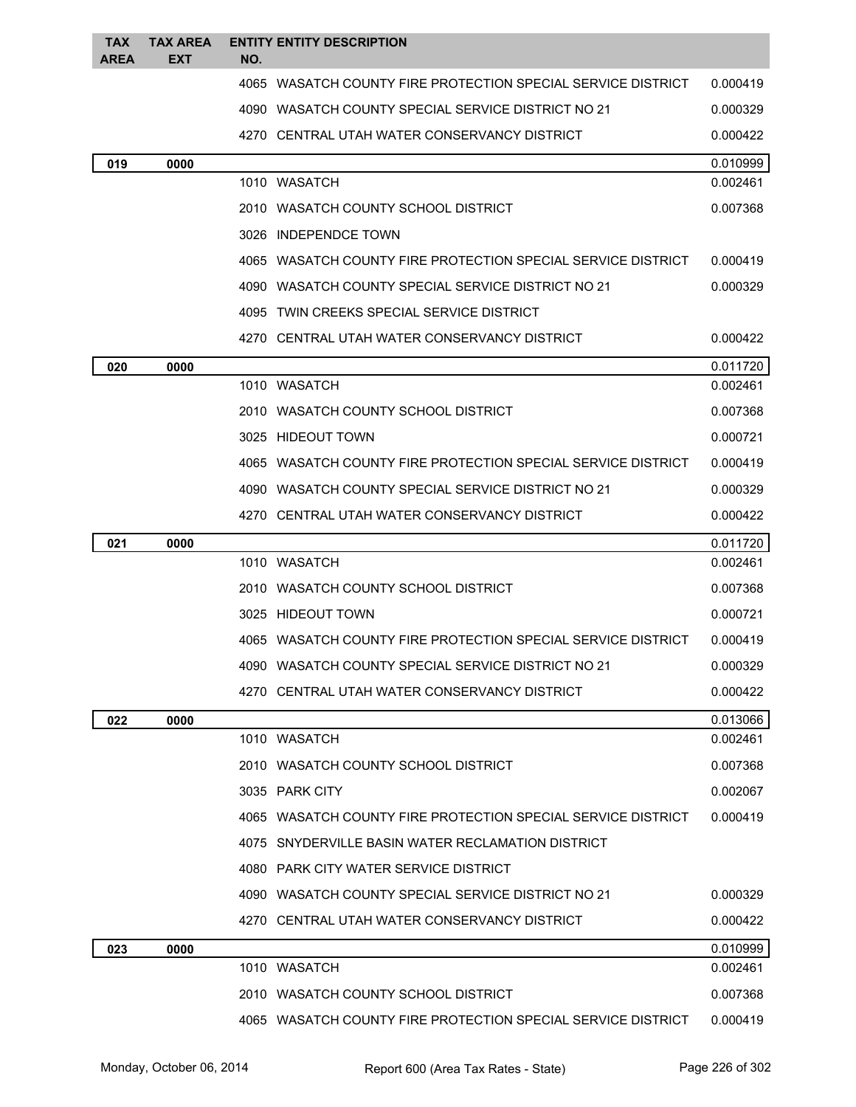| <b>TAX</b><br><b>AREA</b> | <b>TAX AREA</b><br>EXT | NO. | <b>ENTITY ENTITY DESCRIPTION</b>                             |                      |
|---------------------------|------------------------|-----|--------------------------------------------------------------|----------------------|
|                           |                        |     | 4065 WASATCH COUNTY FIRE PROTECTION SPECIAL SERVICE DISTRICT | 0.000419             |
|                           |                        |     | 4090   WASATCH COUNTY SPECIAL SERVICE DISTRICT NO 21         | 0.000329             |
|                           |                        |     | 4270 CENTRAL UTAH WATER CONSERVANCY DISTRICT                 |                      |
|                           |                        |     |                                                              | 0.000422             |
| 019                       | 0000                   |     | 1010 WASATCH                                                 | 0.010999<br>0.002461 |
|                           |                        |     |                                                              |                      |
|                           |                        |     | 2010 WASATCH COUNTY SCHOOL DISTRICT                          | 0.007368             |
|                           |                        |     | 3026 INDEPENDCE TOWN                                         |                      |
|                           |                        |     | 4065 WASATCH COUNTY FIRE PROTECTION SPECIAL SERVICE DISTRICT | 0.000419             |
|                           |                        |     | 4090 WASATCH COUNTY SPECIAL SERVICE DISTRICT NO 21           | 0.000329             |
|                           |                        |     | 4095 TWIN CREEKS SPECIAL SERVICE DISTRICT                    |                      |
|                           |                        |     | 4270 CENTRAL UTAH WATER CONSERVANCY DISTRICT                 | 0.000422             |
| 020                       | 0000                   |     |                                                              | 0.011720             |
|                           |                        |     | 1010 WASATCH                                                 | 0.002461             |
|                           |                        |     | 2010 WASATCH COUNTY SCHOOL DISTRICT                          | 0.007368             |
|                           |                        |     | 3025 HIDEOUT TOWN                                            | 0.000721             |
|                           |                        |     | 4065 WASATCH COUNTY FIRE PROTECTION SPECIAL SERVICE DISTRICT | 0.000419             |
|                           |                        |     | 4090 WASATCH COUNTY SPECIAL SERVICE DISTRICT NO 21           | 0.000329             |
|                           |                        |     | 4270 CENTRAL UTAH WATER CONSERVANCY DISTRICT                 | 0.000422             |
| 021                       | 0000                   |     |                                                              | 0.011720             |
|                           |                        |     | 1010 WASATCH                                                 | 0.002461             |
|                           |                        |     | 2010 WASATCH COUNTY SCHOOL DISTRICT                          | 0.007368             |
|                           |                        |     | 3025 HIDEOUT TOWN                                            | 0.000721             |
|                           |                        |     | 4065 WASATCH COUNTY FIRE PROTECTION SPECIAL SERVICE DISTRICT | 0.000419             |
|                           |                        |     | 4090 WASATCH COUNTY SPECIAL SERVICE DISTRICT NO 21           | 0.000329             |
|                           |                        |     | 4270 CENTRAL UTAH WATER CONSERVANCY DISTRICT                 | 0.000422             |
| 022                       | 0000                   |     |                                                              | 0.013066             |
|                           |                        |     | 1010 WASATCH                                                 | 0.002461             |
|                           |                        |     | 2010 WASATCH COUNTY SCHOOL DISTRICT                          | 0.007368             |
|                           |                        |     | 3035 PARK CITY                                               | 0.002067             |
|                           |                        |     |                                                              |                      |
|                           |                        |     | 4065 WASATCH COUNTY FIRE PROTECTION SPECIAL SERVICE DISTRICT | 0.000419             |
|                           |                        |     | 4075 SNYDERVILLE BASIN WATER RECLAMATION DISTRICT            |                      |
|                           |                        |     | 4080 PARK CITY WATER SERVICE DISTRICT                        |                      |
|                           |                        |     | 4090 WASATCH COUNTY SPECIAL SERVICE DISTRICT NO 21           | 0.000329             |
|                           |                        |     | 4270 CENTRAL UTAH WATER CONSERVANCY DISTRICT                 | 0.000422             |
| 023                       | 0000                   |     |                                                              | 0.010999             |
|                           |                        |     | 1010 WASATCH                                                 | 0.002461             |
|                           |                        |     | 2010 WASATCH COUNTY SCHOOL DISTRICT                          | 0.007368             |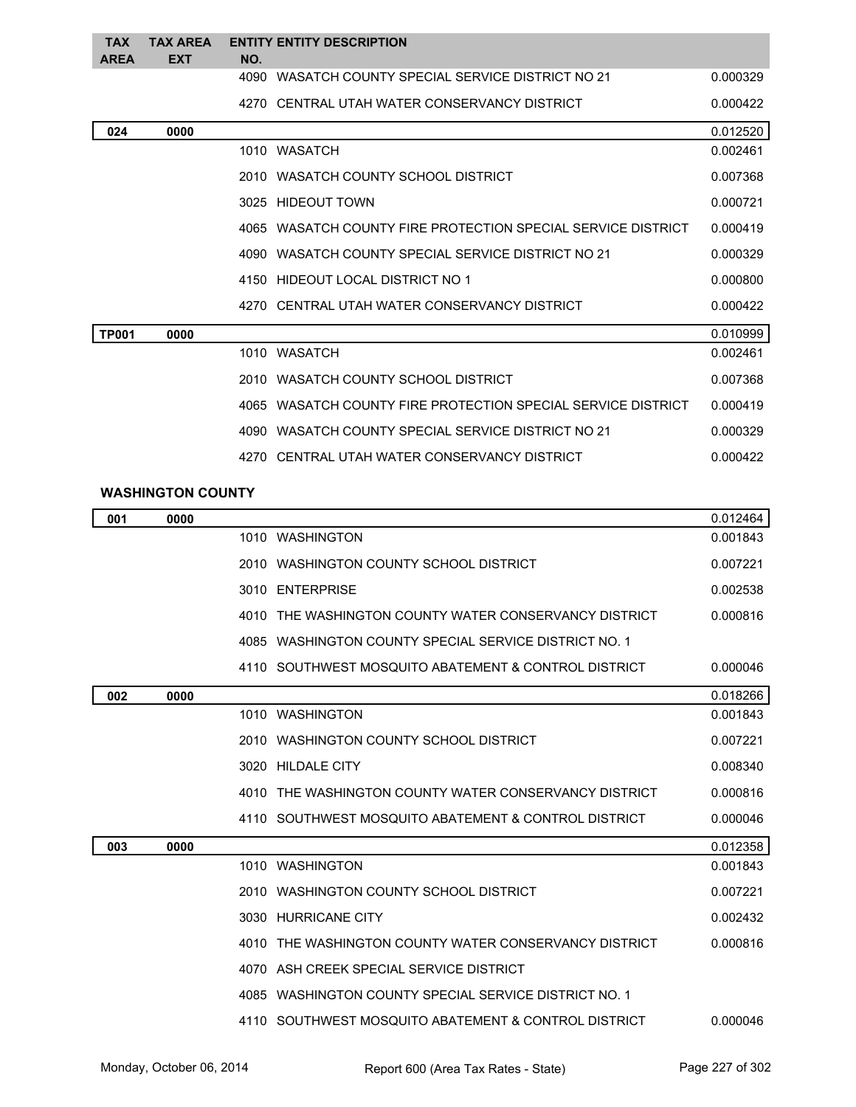| <b>TAX</b><br><b>AREA</b> | <b>TAX ARFA</b><br><b>EXT</b> | NO. | <b>ENTITY ENTITY DESCRIPTION</b>                             |          |
|---------------------------|-------------------------------|-----|--------------------------------------------------------------|----------|
|                           |                               |     | 4090 WASATCH COUNTY SPECIAL SERVICE DISTRICT NO 21           | 0.000329 |
|                           |                               |     | 4270 CENTRAL UTAH WATER CONSERVANCY DISTRICT                 | 0.000422 |
| 024                       | 0000                          |     |                                                              | 0.012520 |
|                           |                               |     | 1010 WASATCH                                                 | 0.002461 |
|                           |                               |     | 2010 WASATCH COUNTY SCHOOL DISTRICT                          | 0.007368 |
|                           |                               |     | 3025 HIDEOUT TOWN                                            | 0.000721 |
|                           |                               |     | 4065 WASATCH COUNTY FIRE PROTECTION SPECIAL SERVICE DISTRICT | 0.000419 |
|                           |                               |     | 4090 WASATCH COUNTY SPECIAL SERVICE DISTRICT NO 21           | 0.000329 |
|                           |                               |     | 4150 HIDEOUT LOCAL DISTRICT NO 1                             | 0.000800 |
|                           |                               |     | 4270 CENTRAL UTAH WATER CONSERVANCY DISTRICT                 | 0.000422 |
| <b>TP001</b>              | 0000                          |     |                                                              | 0.010999 |
|                           |                               |     | 1010 WASATCH                                                 | 0.002461 |
|                           |                               |     | 2010 WASATCH COUNTY SCHOOL DISTRICT                          | 0.007368 |
|                           |                               |     | 4065 WASATCH COUNTY FIRE PROTECTION SPECIAL SERVICE DISTRICT | 0.000419 |
|                           |                               |     | 4090 WASATCH COUNTY SPECIAL SERVICE DISTRICT NO 21           | 0.000329 |
|                           |                               |     | 4270 CENTRAL UTAH WATER CONSERVANCY DISTRICT                 | 0.000422 |

## **WASHINGTON COUNTY**

| 001 | 0000 |      |                                                       | 0.012464 |
|-----|------|------|-------------------------------------------------------|----------|
|     |      |      | 1010 WASHINGTON                                       | 0.001843 |
|     |      |      | 2010 WASHINGTON COUNTY SCHOOL DISTRICT                | 0.007221 |
|     |      |      | 3010 ENTERPRISE                                       | 0.002538 |
|     |      |      | 4010 THE WASHINGTON COUNTY WATER CONSERVANCY DISTRICT | 0.000816 |
|     |      |      | 4085 WASHINGTON COUNTY SPECIAL SERVICE DISTRICT NO. 1 |          |
|     |      |      | 4110 SOUTHWEST MOSQUITO ABATEMENT & CONTROL DISTRICT  | 0.000046 |
| 002 | 0000 |      |                                                       | 0.018266 |
|     |      |      | 1010 WASHINGTON                                       | 0.001843 |
|     |      |      | 2010 WASHINGTON COUNTY SCHOOL DISTRICT                | 0.007221 |
|     |      |      | 3020 HILDALE CITY                                     | 0.008340 |
|     |      |      | 4010 THE WASHINGTON COUNTY WATER CONSERVANCY DISTRICT | 0.000816 |
|     |      |      | 4110 SOUTHWEST MOSQUITO ABATEMENT & CONTROL DISTRICT  | 0.000046 |
| 003 | 0000 |      |                                                       | 0.012358 |
|     |      |      | 1010 WASHINGTON                                       | 0.001843 |
|     |      |      | 2010 WASHINGTON COUNTY SCHOOL DISTRICT                | 0.007221 |
|     |      |      | 3030 HURRICANE CITY                                   | 0.002432 |
|     |      |      | 4010 THE WASHINGTON COUNTY WATER CONSERVANCY DISTRICT | 0.000816 |
|     |      |      | 4070 ASH CREEK SPECIAL SERVICE DISTRICT               |          |
|     |      | 4085 | WASHINGTON COUNTY SPECIAL SERVICE DISTRICT NO. 1      |          |
|     |      |      | 4110 SOUTHWEST MOSQUITO ABATEMENT & CONTROL DISTRICT  | 0.000046 |
|     |      |      |                                                       |          |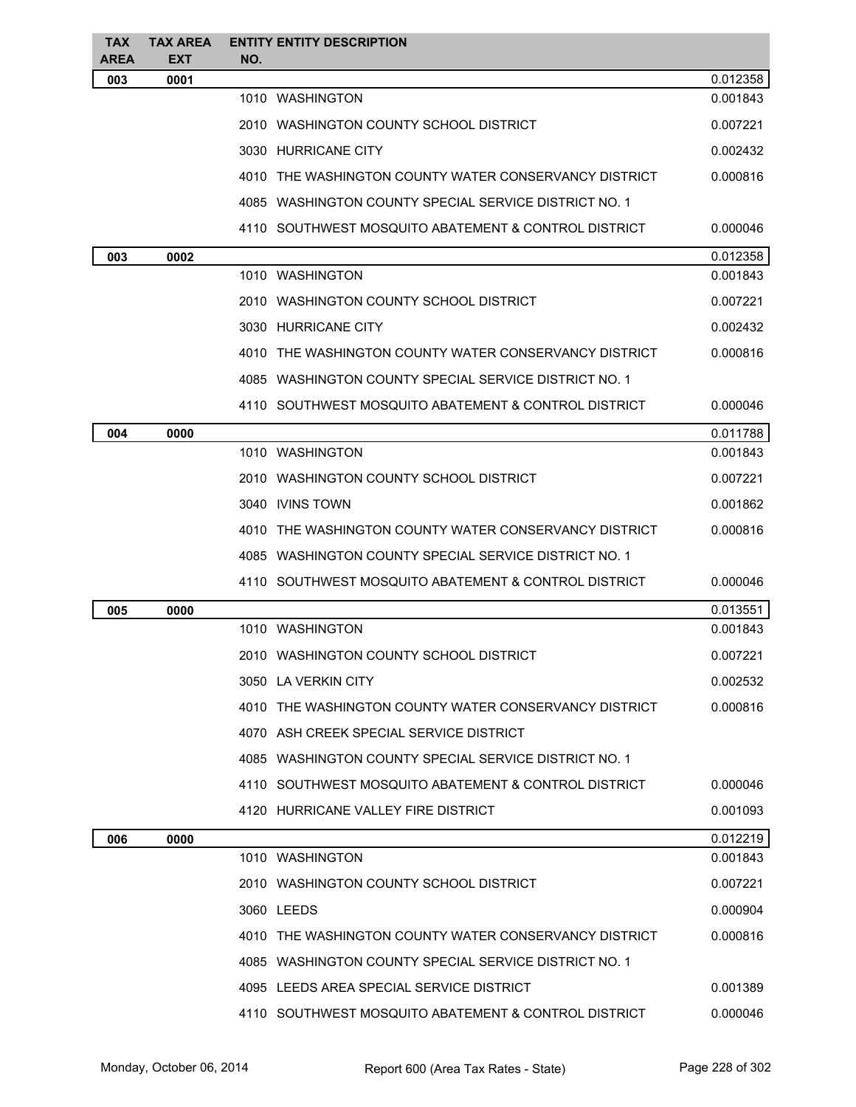| TAX<br><b>AREA</b> | <b>TAX AREA</b><br><b>EXT</b> | <b>ENTITY ENTITY DESCRIPTION</b><br>NO.               |          |
|--------------------|-------------------------------|-------------------------------------------------------|----------|
| 003                | 0001                          |                                                       | 0.012358 |
|                    |                               | 1010 WASHINGTON                                       | 0.001843 |
|                    |                               | 2010 WASHINGTON COUNTY SCHOOL DISTRICT                | 0.007221 |
|                    |                               | 3030 HURRICANE CITY                                   | 0.002432 |
|                    |                               | 4010 THE WASHINGTON COUNTY WATER CONSERVANCY DISTRICT | 0.000816 |
|                    |                               | 4085 WASHINGTON COUNTY SPECIAL SERVICE DISTRICT NO. 1 |          |
|                    |                               | 4110 SOUTHWEST MOSQUITO ABATEMENT & CONTROL DISTRICT  | 0.000046 |
| 003                | 0002                          |                                                       | 0.012358 |
|                    |                               | 1010 WASHINGTON                                       | 0.001843 |
|                    |                               | 2010 WASHINGTON COUNTY SCHOOL DISTRICT                | 0.007221 |
|                    |                               | 3030 HURRICANE CITY                                   | 0.002432 |
|                    |                               | 4010 THE WASHINGTON COUNTY WATER CONSERVANCY DISTRICT | 0.000816 |
|                    |                               | 4085 WASHINGTON COUNTY SPECIAL SERVICE DISTRICT NO. 1 |          |
|                    |                               | 4110 SOUTHWEST MOSQUITO ABATEMENT & CONTROL DISTRICT  | 0.000046 |
| 004                | 0000                          |                                                       | 0.011788 |
|                    |                               | 1010 WASHINGTON                                       | 0.001843 |
|                    |                               | 2010 WASHINGTON COUNTY SCHOOL DISTRICT                | 0.007221 |
|                    |                               | 3040 IVINS TOWN                                       | 0.001862 |
|                    |                               | 4010 THE WASHINGTON COUNTY WATER CONSERVANCY DISTRICT | 0.000816 |
|                    |                               | 4085 WASHINGTON COUNTY SPECIAL SERVICE DISTRICT NO. 1 |          |
|                    |                               | 4110 SOUTHWEST MOSQUITO ABATEMENT & CONTROL DISTRICT  | 0.000046 |
| 005                | 0000                          |                                                       | 0.013551 |
|                    |                               | 1010 WASHINGTON                                       | 0.001843 |
|                    |                               | 2010 WASHINGTON COUNTY SCHOOL DISTRICT                | 0.007221 |
|                    |                               | 3050 LA VERKIN CITY                                   | 0.002532 |
|                    |                               | 4010 THE WASHINGTON COUNTY WATER CONSERVANCY DISTRICT | 0.000816 |
|                    |                               | 4070 ASH CREEK SPECIAL SERVICE DISTRICT               |          |
|                    |                               | 4085 WASHINGTON COUNTY SPECIAL SERVICE DISTRICT NO. 1 |          |
|                    |                               | 4110 SOUTHWEST MOSQUITO ABATEMENT & CONTROL DISTRICT  | 0.000046 |
|                    |                               | 4120 HURRICANE VALLEY FIRE DISTRICT                   | 0.001093 |
| 006                | 0000                          |                                                       | 0.012219 |
|                    |                               | 1010 WASHINGTON                                       | 0.001843 |
|                    |                               | 2010 WASHINGTON COUNTY SCHOOL DISTRICT                | 0.007221 |
|                    |                               | 3060 LEEDS                                            | 0.000904 |
|                    |                               | 4010 THE WASHINGTON COUNTY WATER CONSERVANCY DISTRICT | 0.000816 |
|                    |                               | 4085 WASHINGTON COUNTY SPECIAL SERVICE DISTRICT NO. 1 |          |
|                    |                               | 4095 LEEDS AREA SPECIAL SERVICE DISTRICT              | 0.001389 |
|                    |                               | 4110 SOUTHWEST MOSQUITO ABATEMENT & CONTROL DISTRICT  | 0.000046 |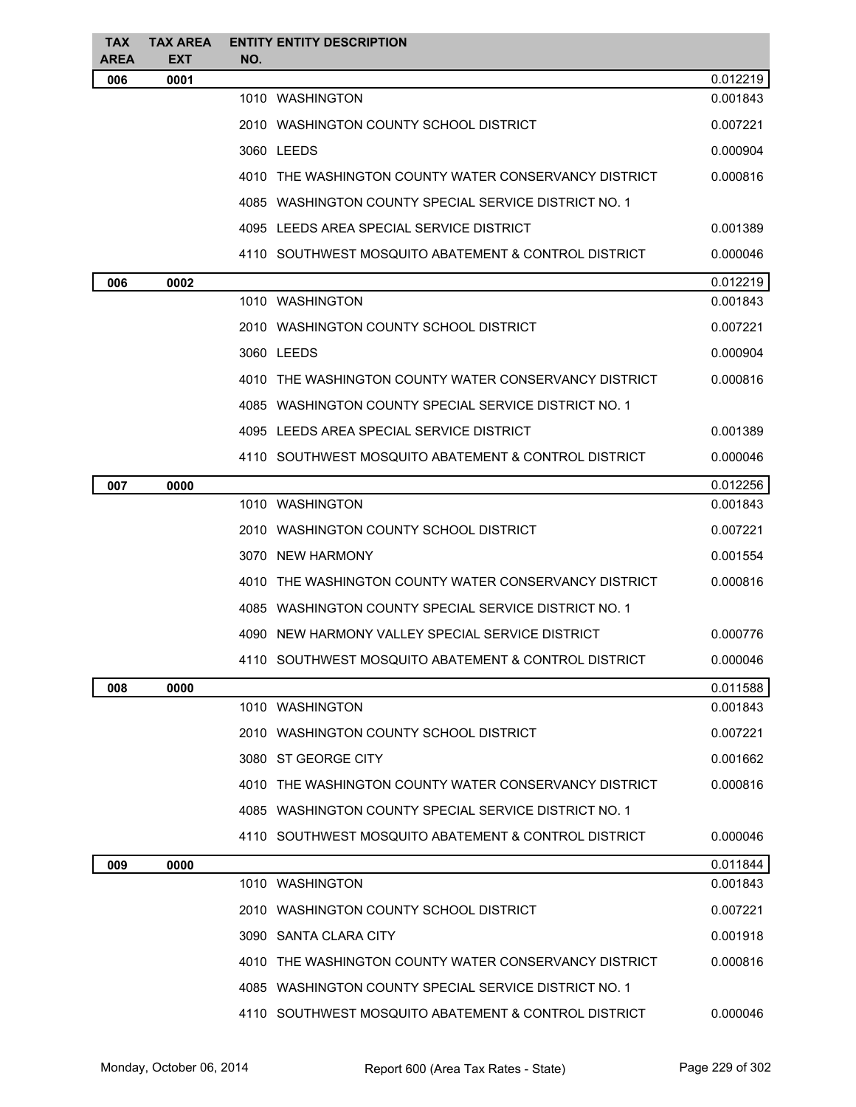| <b>TAX</b><br><b>AREA</b> | <b>TAX AREA</b><br><b>EXT</b> | <b>ENTITY ENTITY DESCRIPTION</b><br>NO.               |          |
|---------------------------|-------------------------------|-------------------------------------------------------|----------|
| 006                       | 0001                          |                                                       | 0.012219 |
|                           |                               | 1010 WASHINGTON                                       | 0.001843 |
|                           |                               | 2010 WASHINGTON COUNTY SCHOOL DISTRICT                | 0.007221 |
|                           |                               | 3060 LEEDS                                            | 0.000904 |
|                           |                               | 4010 THE WASHINGTON COUNTY WATER CONSERVANCY DISTRICT | 0.000816 |
|                           |                               | 4085 WASHINGTON COUNTY SPECIAL SERVICE DISTRICT NO. 1 |          |
|                           |                               | 4095 LEEDS AREA SPECIAL SERVICE DISTRICT              | 0.001389 |
|                           |                               | 4110 SOUTHWEST MOSQUITO ABATEMENT & CONTROL DISTRICT  | 0.000046 |
| 006                       | 0002                          |                                                       | 0.012219 |
|                           |                               | 1010 WASHINGTON                                       | 0.001843 |
|                           |                               | 2010 WASHINGTON COUNTY SCHOOL DISTRICT                | 0.007221 |
|                           |                               | 3060 LEEDS                                            | 0.000904 |
|                           |                               | 4010 THE WASHINGTON COUNTY WATER CONSERVANCY DISTRICT | 0.000816 |
|                           |                               | 4085 WASHINGTON COUNTY SPECIAL SERVICE DISTRICT NO. 1 |          |
|                           |                               | 4095 LEEDS AREA SPECIAL SERVICE DISTRICT              | 0.001389 |
|                           |                               | 4110 SOUTHWEST MOSQUITO ABATEMENT & CONTROL DISTRICT  | 0.000046 |
| 007                       | 0000                          |                                                       | 0.012256 |
|                           |                               | 1010 WASHINGTON                                       | 0.001843 |
|                           |                               | 2010 WASHINGTON COUNTY SCHOOL DISTRICT                | 0.007221 |
|                           |                               | 3070 NEW HARMONY                                      | 0.001554 |
|                           |                               | 4010 THE WASHINGTON COUNTY WATER CONSERVANCY DISTRICT | 0.000816 |
|                           |                               | 4085 WASHINGTON COUNTY SPECIAL SERVICE DISTRICT NO. 1 |          |
|                           |                               | 4090 NEW HARMONY VALLEY SPECIAL SERVICE DISTRICT      | 0.000776 |
|                           |                               | 4110 SOUTHWEST MOSQUITO ABATEMENT & CONTROL DISTRICT  | 0.000046 |
| 008                       | 0000                          |                                                       | 0.011588 |
|                           |                               | 1010 WASHINGTON                                       | 0.001843 |
|                           |                               | 2010 WASHINGTON COUNTY SCHOOL DISTRICT                | 0.007221 |
|                           |                               | 3080 ST GEORGE CITY                                   | 0.001662 |
|                           |                               | 4010 THE WASHINGTON COUNTY WATER CONSERVANCY DISTRICT | 0.000816 |
|                           |                               | 4085 WASHINGTON COUNTY SPECIAL SERVICE DISTRICT NO. 1 |          |
|                           |                               | 4110 SOUTHWEST MOSQUITO ABATEMENT & CONTROL DISTRICT  | 0.000046 |
| 009                       | 0000                          |                                                       | 0.011844 |
|                           |                               | 1010 WASHINGTON                                       | 0.001843 |
|                           |                               | 2010 WASHINGTON COUNTY SCHOOL DISTRICT                | 0.007221 |
|                           |                               | 3090 SANTA CLARA CITY                                 | 0.001918 |
|                           |                               | 4010 THE WASHINGTON COUNTY WATER CONSERVANCY DISTRICT | 0.000816 |
|                           |                               | 4085 WASHINGTON COUNTY SPECIAL SERVICE DISTRICT NO. 1 |          |
|                           |                               | 4110 SOUTHWEST MOSQUITO ABATEMENT & CONTROL DISTRICT  | 0.000046 |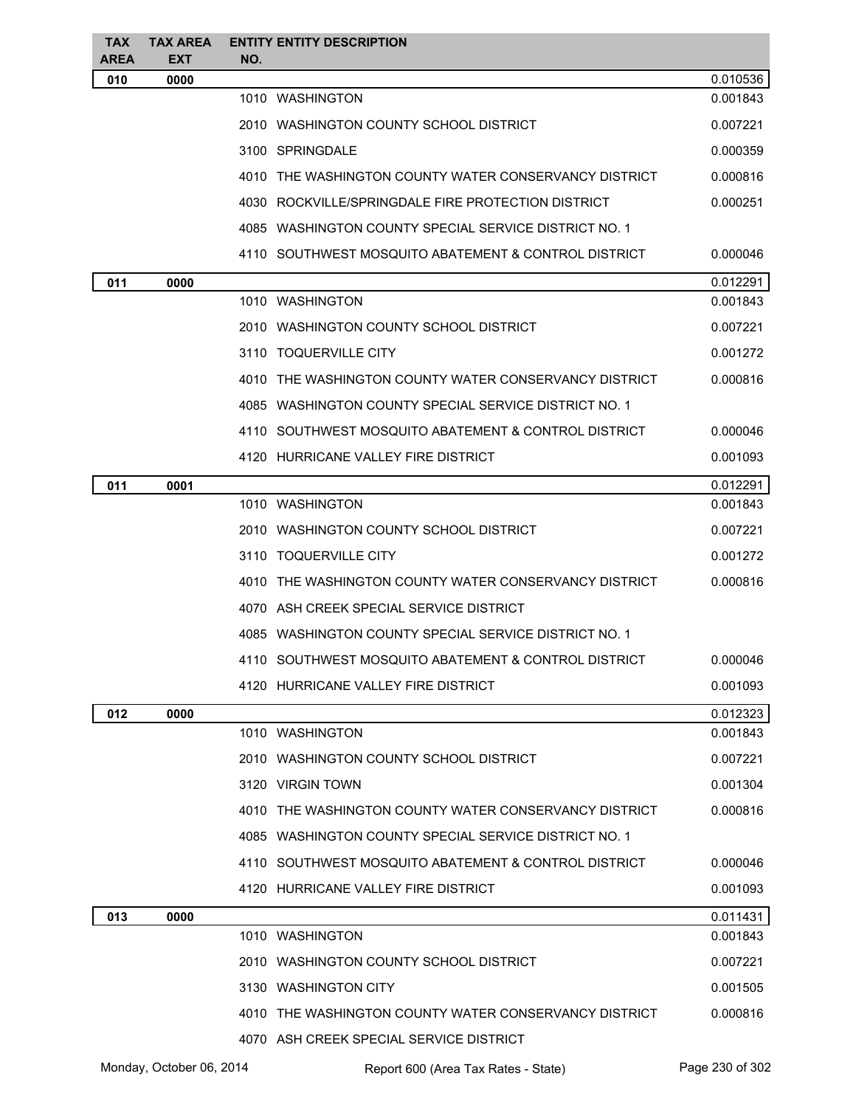| <b>TAX</b><br>AREA | <b>TAX AREA</b><br><b>EXT</b> | <b>ENTITY ENTITY DESCRIPTION</b><br>NO.               |          |
|--------------------|-------------------------------|-------------------------------------------------------|----------|
| 010                | 0000                          |                                                       | 0.010536 |
|                    |                               | 1010 WASHINGTON                                       | 0.001843 |
|                    |                               | 2010 WASHINGTON COUNTY SCHOOL DISTRICT                | 0.007221 |
|                    |                               | 3100 SPRINGDALE                                       | 0.000359 |
|                    |                               | 4010 THE WASHINGTON COUNTY WATER CONSERVANCY DISTRICT | 0.000816 |
|                    |                               | 4030 ROCKVILLE/SPRINGDALE FIRE PROTECTION DISTRICT    | 0.000251 |
|                    |                               | 4085 WASHINGTON COUNTY SPECIAL SERVICE DISTRICT NO. 1 |          |
|                    |                               | 4110 SOUTHWEST MOSQUITO ABATEMENT & CONTROL DISTRICT  | 0.000046 |
| 011                | 0000                          |                                                       | 0.012291 |
|                    |                               | 1010 WASHINGTON                                       | 0.001843 |
|                    |                               | 2010 WASHINGTON COUNTY SCHOOL DISTRICT                | 0.007221 |
|                    |                               | 3110 TOQUERVILLE CITY                                 | 0.001272 |
|                    |                               | 4010 THE WASHINGTON COUNTY WATER CONSERVANCY DISTRICT | 0.000816 |
|                    |                               | 4085 WASHINGTON COUNTY SPECIAL SERVICE DISTRICT NO. 1 |          |
|                    |                               | 4110 SOUTHWEST MOSQUITO ABATEMENT & CONTROL DISTRICT  | 0.000046 |
|                    |                               | 4120 HURRICANE VALLEY FIRE DISTRICT                   | 0.001093 |
| 011                | 0001                          |                                                       | 0.012291 |
|                    |                               | 1010 WASHINGTON                                       | 0.001843 |
|                    |                               | 2010 WASHINGTON COUNTY SCHOOL DISTRICT                | 0.007221 |
|                    |                               | 3110 TOQUERVILLE CITY                                 | 0.001272 |
|                    |                               | 4010 THE WASHINGTON COUNTY WATER CONSERVANCY DISTRICT | 0.000816 |
|                    |                               | 4070 ASH CREEK SPECIAL SERVICE DISTRICT               |          |
|                    |                               | 4085 WASHINGTON COUNTY SPECIAL SERVICE DISTRICT NO. 1 |          |
|                    |                               | 4110 SOUTHWEST MOSQUITO ABATEMENT & CONTROL DISTRICT  | 0.000046 |
|                    |                               | 4120 HURRICANE VALLEY FIRE DISTRICT                   | 0.001093 |
| 012                | 0000                          |                                                       | 0.012323 |
|                    |                               | 1010 WASHINGTON                                       | 0.001843 |
|                    |                               | 2010 WASHINGTON COUNTY SCHOOL DISTRICT                | 0.007221 |
|                    |                               | 3120 VIRGIN TOWN                                      | 0.001304 |
|                    |                               | 4010 THE WASHINGTON COUNTY WATER CONSERVANCY DISTRICT | 0.000816 |
|                    |                               | 4085 WASHINGTON COUNTY SPECIAL SERVICE DISTRICT NO. 1 |          |
|                    |                               | 4110 SOUTHWEST MOSQUITO ABATEMENT & CONTROL DISTRICT  | 0.000046 |
|                    |                               | 4120 HURRICANE VALLEY FIRE DISTRICT                   | 0.001093 |
| 013                | 0000                          |                                                       | 0.011431 |
|                    |                               | 1010 WASHINGTON                                       | 0.001843 |
|                    |                               | 2010 WASHINGTON COUNTY SCHOOL DISTRICT                | 0.007221 |
|                    |                               | 3130 WASHINGTON CITY                                  | 0.001505 |
|                    |                               | 4010 THE WASHINGTON COUNTY WATER CONSERVANCY DISTRICT | 0.000816 |
|                    |                               | 4070 ASH CREEK SPECIAL SERVICE DISTRICT               |          |

Monday, October 06, 2014 Report 600 (Area Tax Rates - State) Rage 230 of 302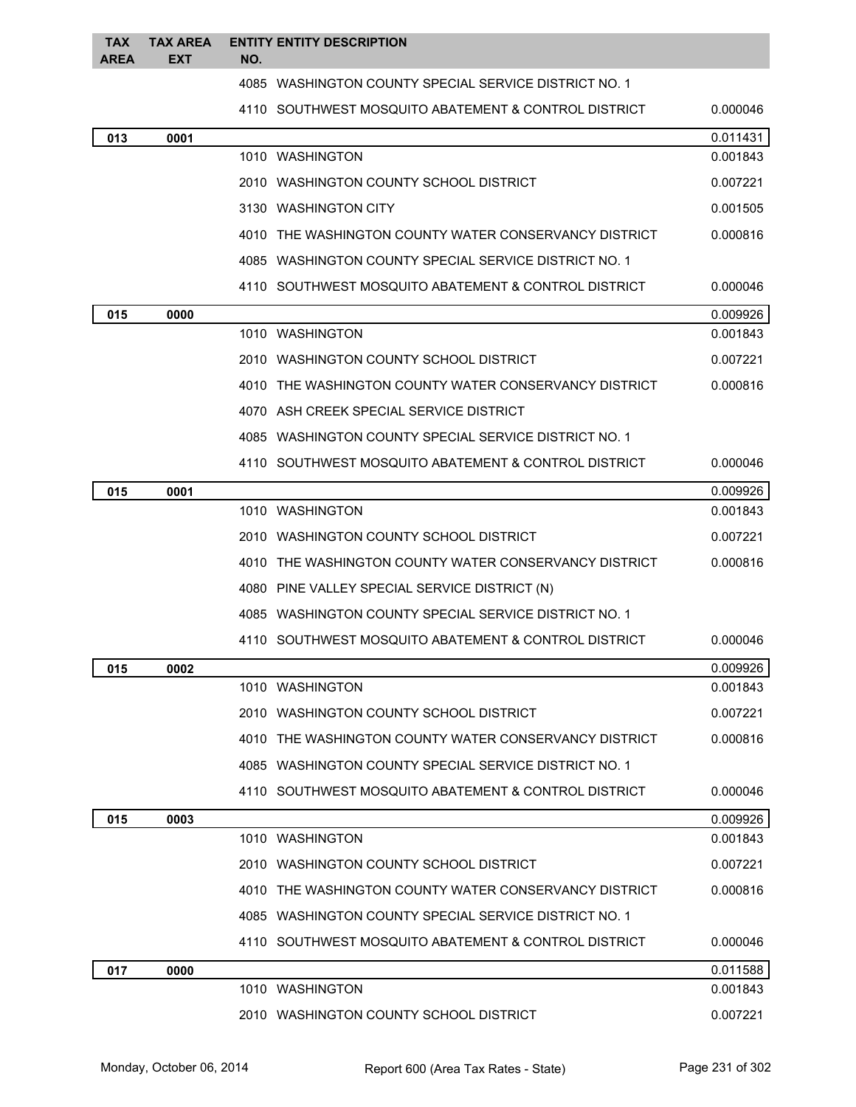| <b>TAX</b><br><b>AREA</b> | <b>TAX AREA</b><br><b>EXT</b> | <b>ENTITY ENTITY DESCRIPTION</b><br>NO. |                                                       |          |
|---------------------------|-------------------------------|-----------------------------------------|-------------------------------------------------------|----------|
|                           |                               |                                         | 4085 WASHINGTON COUNTY SPECIAL SERVICE DISTRICT NO. 1 |          |
|                           |                               |                                         | 4110 SOUTHWEST MOSQUITO ABATEMENT & CONTROL DISTRICT  | 0.000046 |
| 013                       | 0001                          |                                         |                                                       | 0.011431 |
|                           |                               | 1010 WASHINGTON                         |                                                       | 0.001843 |
|                           |                               |                                         | 2010 WASHINGTON COUNTY SCHOOL DISTRICT                | 0.007221 |
|                           |                               | 3130 WASHINGTON CITY                    |                                                       | 0.001505 |
|                           |                               |                                         | 4010 THE WASHINGTON COUNTY WATER CONSERVANCY DISTRICT | 0.000816 |
|                           |                               |                                         | 4085 WASHINGTON COUNTY SPECIAL SERVICE DISTRICT NO. 1 |          |
|                           |                               |                                         | 4110 SOUTHWEST MOSQUITO ABATEMENT & CONTROL DISTRICT  | 0.000046 |
| 015                       | 0000                          |                                         |                                                       | 0.009926 |
|                           |                               | 1010 WASHINGTON                         |                                                       | 0.001843 |
|                           |                               |                                         | 2010 WASHINGTON COUNTY SCHOOL DISTRICT                | 0.007221 |
|                           |                               |                                         | 4010 THE WASHINGTON COUNTY WATER CONSERVANCY DISTRICT | 0.000816 |
|                           |                               |                                         | 4070 ASH CREEK SPECIAL SERVICE DISTRICT               |          |
|                           |                               |                                         | 4085 WASHINGTON COUNTY SPECIAL SERVICE DISTRICT NO. 1 |          |
|                           |                               |                                         | 4110 SOUTHWEST MOSQUITO ABATEMENT & CONTROL DISTRICT  | 0.000046 |
| 015                       | 0001                          |                                         |                                                       | 0.009926 |
|                           |                               | 1010 WASHINGTON                         |                                                       | 0.001843 |
|                           |                               |                                         | 2010 WASHINGTON COUNTY SCHOOL DISTRICT                | 0.007221 |
|                           |                               |                                         | 4010 THE WASHINGTON COUNTY WATER CONSERVANCY DISTRICT | 0.000816 |
|                           |                               |                                         | 4080 PINE VALLEY SPECIAL SERVICE DISTRICT (N)         |          |
|                           |                               |                                         | 4085 WASHINGTON COUNTY SPECIAL SERVICE DISTRICT NO. 1 |          |
|                           |                               |                                         | 4110 SOUTHWEST MOSQUITO ABATEMENT & CONTROL DISTRICT  | 0.000046 |
| 015                       | 0002                          |                                         |                                                       | 0.009926 |
|                           |                               | 1010 WASHINGTON                         |                                                       | 0.001843 |
|                           |                               |                                         | 2010 WASHINGTON COUNTY SCHOOL DISTRICT                | 0.007221 |
|                           |                               |                                         | 4010 THE WASHINGTON COUNTY WATER CONSERVANCY DISTRICT | 0.000816 |
|                           |                               |                                         | 4085 WASHINGTON COUNTY SPECIAL SERVICE DISTRICT NO. 1 |          |
|                           |                               |                                         | 4110 SOUTHWEST MOSQUITO ABATEMENT & CONTROL DISTRICT  | 0.000046 |
| 015                       | 0003                          |                                         |                                                       | 0.009926 |
|                           |                               | 1010 WASHINGTON                         |                                                       | 0.001843 |
|                           |                               |                                         | 2010 WASHINGTON COUNTY SCHOOL DISTRICT                | 0.007221 |
|                           |                               |                                         | 4010 THE WASHINGTON COUNTY WATER CONSERVANCY DISTRICT | 0.000816 |
|                           |                               |                                         | 4085 WASHINGTON COUNTY SPECIAL SERVICE DISTRICT NO. 1 |          |
|                           |                               |                                         | 4110 SOUTHWEST MOSQUITO ABATEMENT & CONTROL DISTRICT  | 0.000046 |
| 017                       | 0000                          |                                         |                                                       | 0.011588 |
|                           |                               | 1010 WASHINGTON                         |                                                       | 0.001843 |
|                           |                               |                                         | 2010 WASHINGTON COUNTY SCHOOL DISTRICT                | 0.007221 |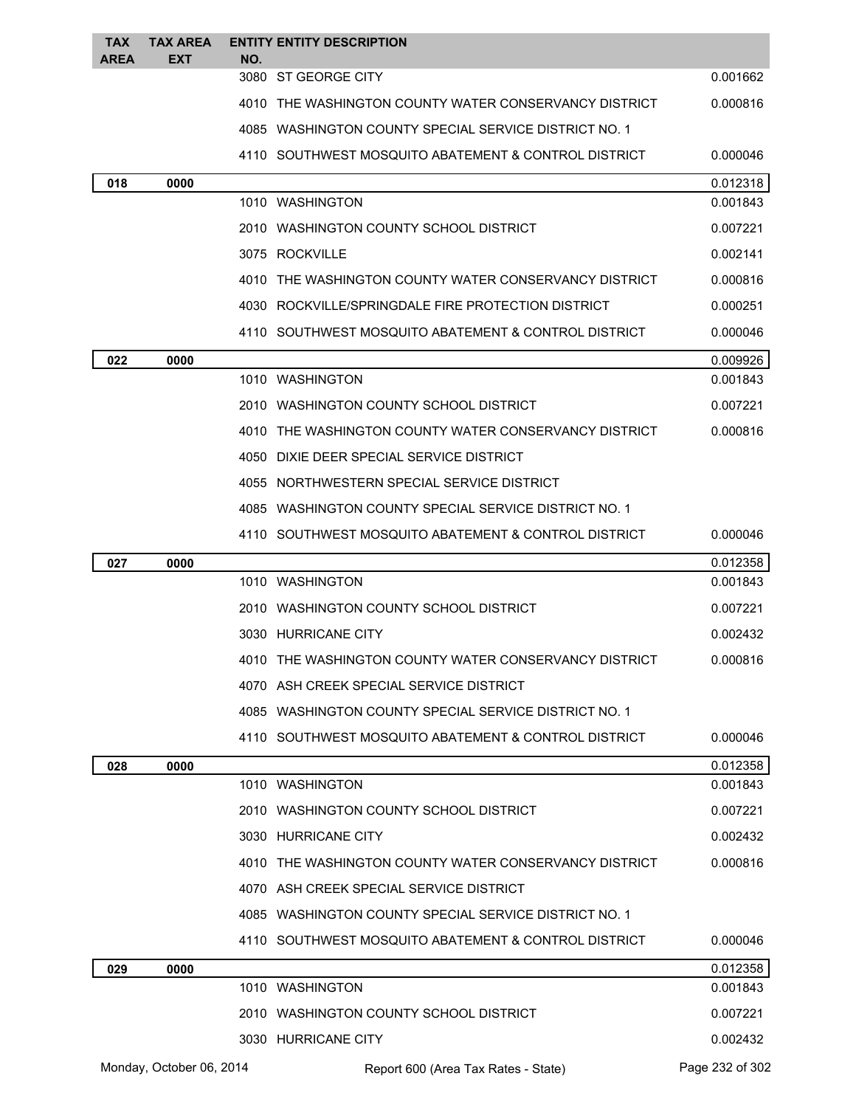| TAX         | <b>TAX AREA</b> | <b>ENTITY ENTITY DESCRIPTION</b>                      |          |
|-------------|-----------------|-------------------------------------------------------|----------|
| <b>AREA</b> | EXT             | NO.<br>3080 ST GEORGE CITY                            | 0.001662 |
|             |                 | 4010 THE WASHINGTON COUNTY WATER CONSERVANCY DISTRICT | 0.000816 |
|             |                 | 4085 WASHINGTON COUNTY SPECIAL SERVICE DISTRICT NO. 1 |          |
|             |                 | 4110 SOUTHWEST MOSQUITO ABATEMENT & CONTROL DISTRICT  | 0.000046 |
| 018         | 0000            |                                                       | 0.012318 |
|             |                 | 1010 WASHINGTON                                       | 0.001843 |
|             |                 | 2010 WASHINGTON COUNTY SCHOOL DISTRICT                | 0.007221 |
|             |                 | 3075 ROCKVILLE                                        | 0.002141 |
|             |                 | 4010 THE WASHINGTON COUNTY WATER CONSERVANCY DISTRICT | 0.000816 |
|             |                 | 4030 ROCKVILLE/SPRINGDALE FIRE PROTECTION DISTRICT    | 0.000251 |
|             |                 | 4110 SOUTHWEST MOSQUITO ABATEMENT & CONTROL DISTRICT  | 0.000046 |
| 022         | 0000            |                                                       | 0.009926 |
|             |                 | 1010 WASHINGTON                                       | 0.001843 |
|             |                 | 2010 WASHINGTON COUNTY SCHOOL DISTRICT                | 0.007221 |
|             |                 | 4010 THE WASHINGTON COUNTY WATER CONSERVANCY DISTRICT | 0.000816 |
|             |                 | 4050 DIXIE DEER SPECIAL SERVICE DISTRICT              |          |
|             |                 | 4055 NORTHWESTERN SPECIAL SERVICE DISTRICT            |          |
|             |                 | 4085 WASHINGTON COUNTY SPECIAL SERVICE DISTRICT NO. 1 |          |
|             |                 | 4110 SOUTHWEST MOSQUITO ABATEMENT & CONTROL DISTRICT  | 0.000046 |
| 027         | 0000            |                                                       | 0.012358 |
|             |                 | 1010 WASHINGTON                                       | 0.001843 |
|             |                 | 2010 WASHINGTON COUNTY SCHOOL DISTRICT                | 0.007221 |
|             |                 | 3030 HURRICANE CITY                                   | 0.002432 |
|             |                 | 4010 THE WASHINGTON COUNTY WATER CONSERVANCY DISTRICT | 0.000816 |
|             |                 | 4070 ASH CREEK SPECIAL SERVICE DISTRICT               |          |
|             |                 | 4085 WASHINGTON COUNTY SPECIAL SERVICE DISTRICT NO. 1 |          |
|             |                 | 4110 SOUTHWEST MOSQUITO ABATEMENT & CONTROL DISTRICT  | 0.000046 |
| 028         | 0000            |                                                       | 0.012358 |
|             |                 | 1010 WASHINGTON                                       | 0.001843 |
|             |                 | 2010 WASHINGTON COUNTY SCHOOL DISTRICT                | 0.007221 |
|             |                 | 3030 HURRICANE CITY                                   | 0.002432 |
|             |                 | 4010 THE WASHINGTON COUNTY WATER CONSERVANCY DISTRICT | 0.000816 |
|             |                 | 4070 ASH CREEK SPECIAL SERVICE DISTRICT               |          |
|             |                 | 4085 WASHINGTON COUNTY SPECIAL SERVICE DISTRICT NO. 1 |          |
|             |                 | 4110 SOUTHWEST MOSQUITO ABATEMENT & CONTROL DISTRICT  | 0.000046 |
| 029         | 0000            |                                                       | 0.012358 |
|             |                 | 1010 WASHINGTON                                       | 0.001843 |
|             |                 | 2010 WASHINGTON COUNTY SCHOOL DISTRICT                | 0.007221 |
|             |                 | 3030 HURRICANE CITY                                   | 0.002432 |

Monday, October 06, 2014 Report 600 (Area Tax Rates - State) Rage 232 of 302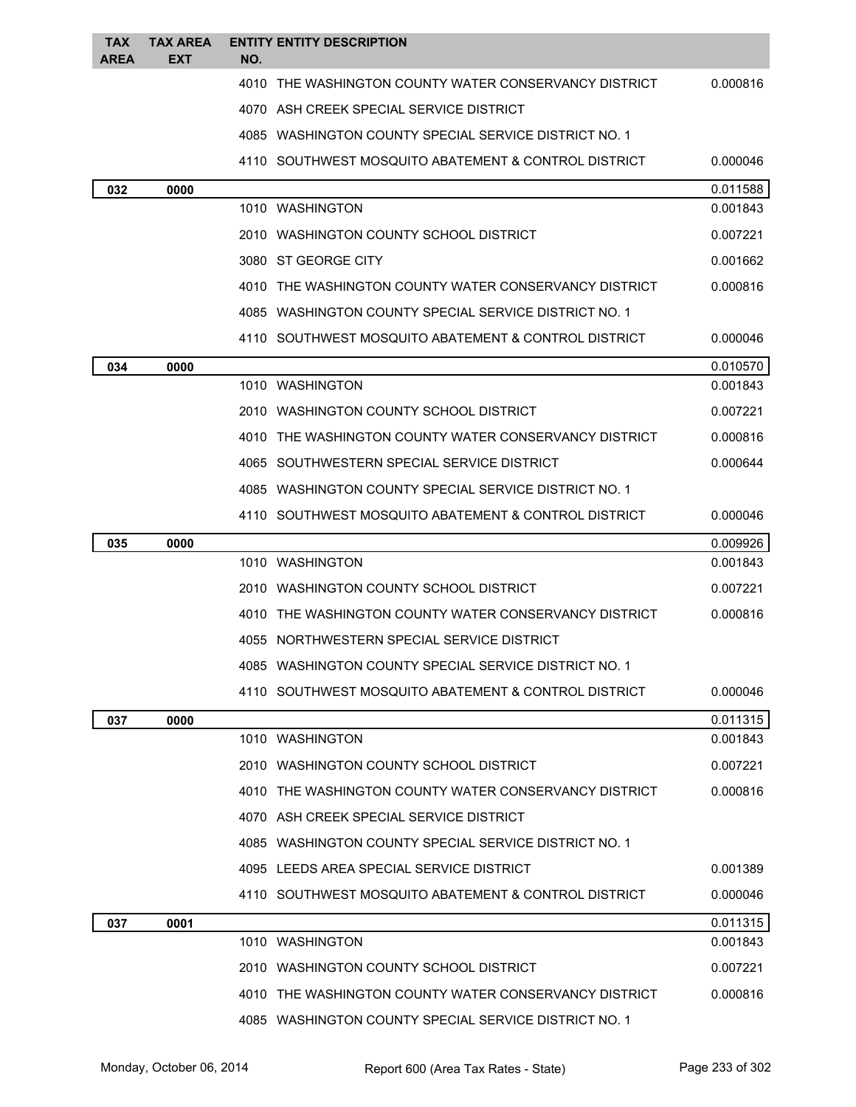| TAX<br><b>AREA</b> | <b>TAX AREA</b><br><b>EXT</b> | NO. | <b>ENTITY ENTITY DESCRIPTION</b>                       |                      |
|--------------------|-------------------------------|-----|--------------------------------------------------------|----------------------|
|                    |                               |     | 4010 THE WASHINGTON COUNTY WATER CONSERVANCY DISTRICT  | 0.000816             |
|                    |                               |     | 4070 ASH CREEK SPECIAL SERVICE DISTRICT                |                      |
|                    |                               |     | 4085 WASHINGTON COUNTY SPECIAL SERVICE DISTRICT NO. 1  |                      |
|                    |                               |     | 4110 SOUTHWEST MOSQUITO ABATEMENT & CONTROL DISTRICT   | 0.000046             |
| 032                | 0000                          |     |                                                        | 0.011588             |
|                    |                               |     | 1010 WASHINGTON                                        | 0.001843             |
|                    |                               |     | 2010 WASHINGTON COUNTY SCHOOL DISTRICT                 | 0.007221             |
|                    |                               |     | 3080 ST GEORGE CITY                                    | 0.001662             |
|                    |                               |     | 4010 THE WASHINGTON COUNTY WATER CONSERVANCY DISTRICT  | 0.000816             |
|                    |                               |     | 4085 WASHINGTON COUNTY SPECIAL SERVICE DISTRICT NO. 1  |                      |
|                    |                               |     | 4110 SOUTHWEST MOSQUITO ABATEMENT & CONTROL DISTRICT   | 0.000046             |
| 034                | 0000                          |     |                                                        | 0.010570             |
|                    |                               |     | 1010 WASHINGTON                                        | 0.001843             |
|                    |                               |     | 2010 WASHINGTON COUNTY SCHOOL DISTRICT                 | 0.007221             |
|                    |                               |     | 4010 THE WASHINGTON COUNTY WATER CONSERVANCY DISTRICT  | 0.000816             |
|                    |                               |     | 4065 SOUTHWESTERN SPECIAL SERVICE DISTRICT             | 0.000644             |
|                    |                               |     | 4085 WASHINGTON COUNTY SPECIAL SERVICE DISTRICT NO. 1  |                      |
|                    |                               |     | 4110   SOUTHWEST MOSQUITO ABATEMENT & CONTROL DISTRICT | 0.000046             |
| 035                | 0000                          |     |                                                        | 0.009926             |
|                    |                               |     | 1010 WASHINGTON                                        | 0.001843             |
|                    |                               |     | 2010 WASHINGTON COUNTY SCHOOL DISTRICT                 | 0.007221             |
|                    |                               |     | 4010 THE WASHINGTON COUNTY WATER CONSERVANCY DISTRICT  | 0.000816             |
|                    |                               |     | 4055 NORTHWESTERN SPECIAL SERVICE DISTRICT             |                      |
|                    |                               |     | 4085 WASHINGTON COUNTY SPECIAL SERVICE DISTRICT NO. 1  |                      |
|                    |                               |     | 4110 SOUTHWEST MOSQUITO ABATEMENT & CONTROL DISTRICT   | 0.000046             |
| 037                | 0000                          |     |                                                        | 0.011315<br>0.001843 |
|                    |                               |     | 1010 WASHINGTON                                        |                      |
|                    |                               |     | 2010 WASHINGTON COUNTY SCHOOL DISTRICT                 | 0.007221             |
|                    |                               |     | 4010 THE WASHINGTON COUNTY WATER CONSERVANCY DISTRICT  | 0.000816             |
|                    |                               |     | 4070 ASH CREEK SPECIAL SERVICE DISTRICT                |                      |
|                    |                               |     | 4085 WASHINGTON COUNTY SPECIAL SERVICE DISTRICT NO. 1  |                      |
|                    |                               |     | 4095 LEEDS AREA SPECIAL SERVICE DISTRICT               | 0.001389             |
|                    |                               |     | 4110 SOUTHWEST MOSQUITO ABATEMENT & CONTROL DISTRICT   | 0.000046             |
| 037                | 0001                          |     | 1010 WASHINGTON                                        | 0.011315<br>0.001843 |
|                    |                               |     |                                                        |                      |
|                    |                               |     | 2010 WASHINGTON COUNTY SCHOOL DISTRICT                 | 0.007221             |
|                    |                               |     | 4010 THE WASHINGTON COUNTY WATER CONSERVANCY DISTRICT  | 0.000816             |
|                    |                               |     | 4085 WASHINGTON COUNTY SPECIAL SERVICE DISTRICT NO. 1  |                      |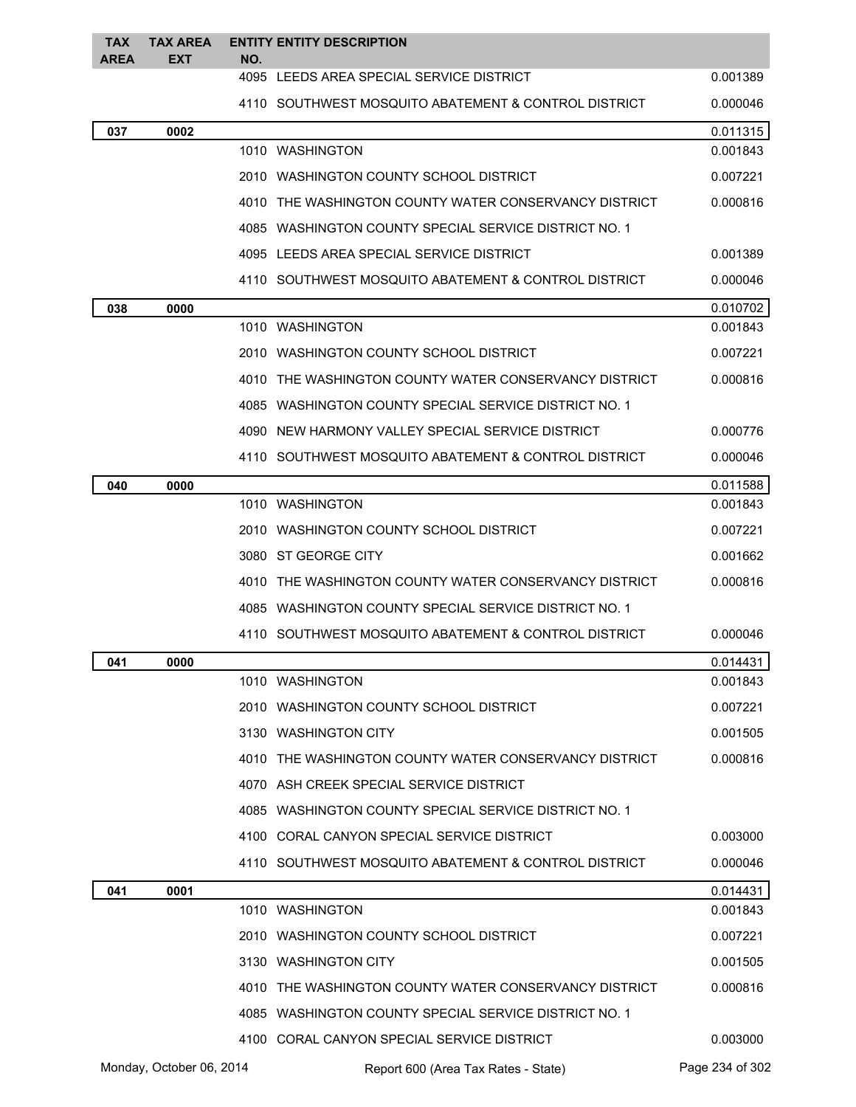| <b>TAX</b><br><b>AREA</b> | <b>TAX AREA</b><br><b>EXT</b> | NO. | <b>ENTITY ENTITY DESCRIPTION</b>                       |                 |
|---------------------------|-------------------------------|-----|--------------------------------------------------------|-----------------|
|                           |                               |     | 4095 LEEDS AREA SPECIAL SERVICE DISTRICT               | 0.001389        |
|                           |                               |     | 4110 SOUTHWEST MOSQUITO ABATEMENT & CONTROL DISTRICT   | 0.000046        |
| 037                       | 0002                          |     |                                                        | 0.011315        |
|                           |                               |     | 1010 WASHINGTON                                        | 0.001843        |
|                           |                               |     | 2010 WASHINGTON COUNTY SCHOOL DISTRICT                 | 0.007221        |
|                           |                               |     | 4010 THE WASHINGTON COUNTY WATER CONSERVANCY DISTRICT  | 0.000816        |
|                           |                               |     | 4085 WASHINGTON COUNTY SPECIAL SERVICE DISTRICT NO. 1  |                 |
|                           |                               |     | 4095 LEEDS AREA SPECIAL SERVICE DISTRICT               | 0.001389        |
|                           |                               |     | 4110 SOUTHWEST MOSQUITO ABATEMENT & CONTROL DISTRICT   | 0.000046        |
| 038                       | 0000                          |     |                                                        | 0.010702        |
|                           |                               |     | 1010 WASHINGTON                                        | 0.001843        |
|                           |                               |     | 2010 WASHINGTON COUNTY SCHOOL DISTRICT                 | 0.007221        |
|                           |                               |     | 4010 THE WASHINGTON COUNTY WATER CONSERVANCY DISTRICT  | 0.000816        |
|                           |                               |     | 4085 WASHINGTON COUNTY SPECIAL SERVICE DISTRICT NO. 1  |                 |
|                           |                               |     | 4090 NEW HARMONY VALLEY SPECIAL SERVICE DISTRICT       | 0.000776        |
|                           |                               |     | 4110 SOUTHWEST MOSQUITO ABATEMENT & CONTROL DISTRICT   | 0.000046        |
| 040                       | 0000                          |     |                                                        | 0.011588        |
|                           |                               |     | 1010 WASHINGTON                                        | 0.001843        |
|                           |                               |     | 2010 WASHINGTON COUNTY SCHOOL DISTRICT                 | 0.007221        |
|                           |                               |     | 3080 ST GEORGE CITY                                    | 0.001662        |
|                           |                               |     | 4010 THE WASHINGTON COUNTY WATER CONSERVANCY DISTRICT  | 0.000816        |
|                           |                               |     | 4085 WASHINGTON COUNTY SPECIAL SERVICE DISTRICT NO. 1  |                 |
|                           |                               |     | 4110   SOUTHWEST MOSQUITO ABATEMENT & CONTROL DISTRICT | 0.000046        |
| 041                       | 0000                          |     |                                                        | 0.014431        |
|                           |                               |     | 1010 WASHINGTON                                        | 0.001843        |
|                           |                               |     | 2010 WASHINGTON COUNTY SCHOOL DISTRICT                 | 0.007221        |
|                           |                               |     | 3130 WASHINGTON CITY                                   | 0.001505        |
|                           |                               |     | 4010 THE WASHINGTON COUNTY WATER CONSERVANCY DISTRICT  | 0.000816        |
|                           |                               |     | 4070 ASH CREEK SPECIAL SERVICE DISTRICT                |                 |
|                           |                               |     | 4085 WASHINGTON COUNTY SPECIAL SERVICE DISTRICT NO. 1  |                 |
|                           |                               |     | 4100 CORAL CANYON SPECIAL SERVICE DISTRICT             | 0.003000        |
|                           |                               |     | 4110 SOUTHWEST MOSQUITO ABATEMENT & CONTROL DISTRICT   | 0.000046        |
| 041                       | 0001                          |     |                                                        | 0.014431        |
|                           |                               |     | 1010 WASHINGTON                                        | 0.001843        |
|                           |                               |     | 2010 WASHINGTON COUNTY SCHOOL DISTRICT                 | 0.007221        |
|                           |                               |     | 3130 WASHINGTON CITY                                   | 0.001505        |
|                           |                               |     | 4010 THE WASHINGTON COUNTY WATER CONSERVANCY DISTRICT  | 0.000816        |
|                           |                               |     | 4085 WASHINGTON COUNTY SPECIAL SERVICE DISTRICT NO. 1  |                 |
|                           |                               |     | 4100 CORAL CANYON SPECIAL SERVICE DISTRICT             | 0.003000        |
|                           | Monday, October 06, 2014      |     | Report 600 (Area Tax Rates - State)                    | Page 234 of 302 |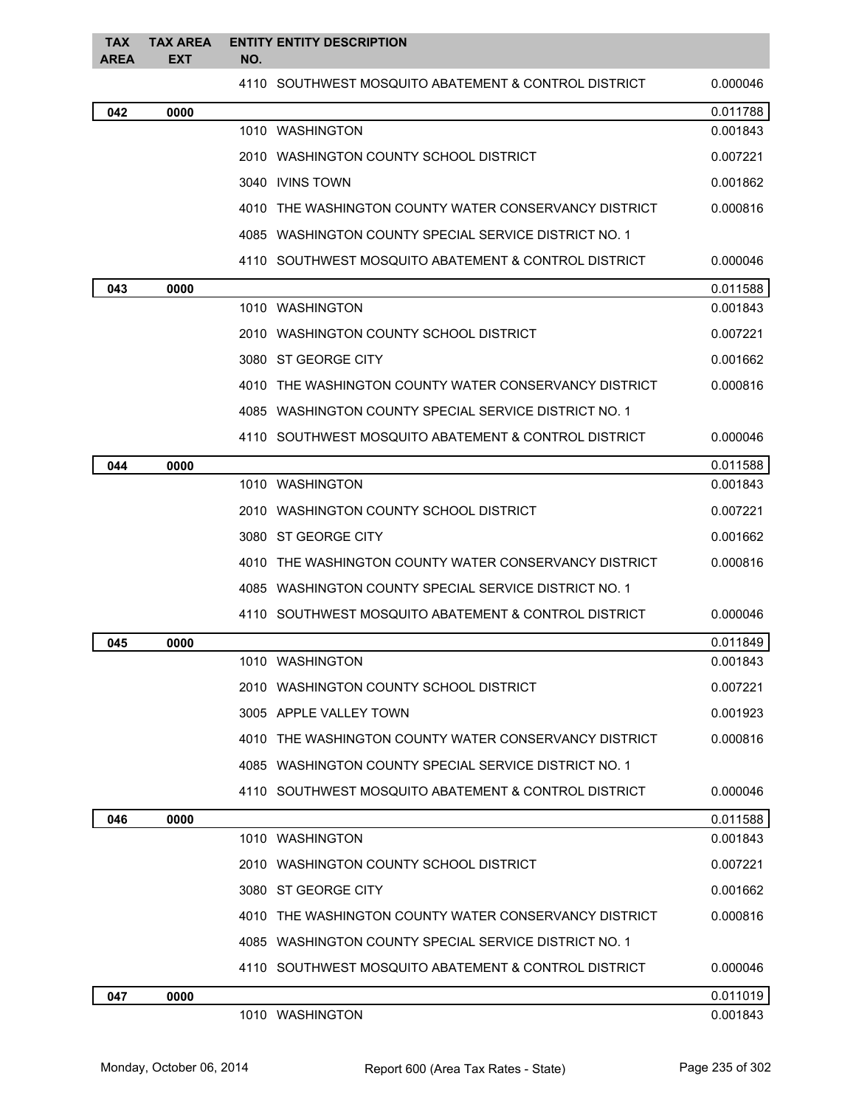| <b>TAX</b><br>AREA | <b>TAX AREA</b><br><b>EXT</b> | <b>ENTITY ENTITY DESCRIPTION</b><br>NO.               |          |
|--------------------|-------------------------------|-------------------------------------------------------|----------|
|                    |                               | 4110 SOUTHWEST MOSQUITO ABATEMENT & CONTROL DISTRICT  | 0.000046 |
| 042                | 0000                          |                                                       | 0.011788 |
|                    |                               | 1010 WASHINGTON                                       | 0.001843 |
|                    |                               | 2010 WASHINGTON COUNTY SCHOOL DISTRICT                | 0.007221 |
|                    |                               | 3040 IVINS TOWN                                       | 0.001862 |
|                    |                               | 4010 THE WASHINGTON COUNTY WATER CONSERVANCY DISTRICT | 0.000816 |
|                    |                               | 4085 WASHINGTON COUNTY SPECIAL SERVICE DISTRICT NO. 1 |          |
|                    |                               | 4110 SOUTHWEST MOSQUITO ABATEMENT & CONTROL DISTRICT  | 0.000046 |
| 043                | 0000                          |                                                       | 0.011588 |
|                    |                               | 1010 WASHINGTON                                       | 0.001843 |
|                    |                               | 2010 WASHINGTON COUNTY SCHOOL DISTRICT                | 0.007221 |
|                    |                               | 3080 ST GEORGE CITY                                   | 0.001662 |
|                    |                               | 4010 THE WASHINGTON COUNTY WATER CONSERVANCY DISTRICT | 0.000816 |
|                    |                               | 4085 WASHINGTON COUNTY SPECIAL SERVICE DISTRICT NO. 1 |          |
|                    |                               | 4110 SOUTHWEST MOSQUITO ABATEMENT & CONTROL DISTRICT  | 0.000046 |
| 044                | 0000                          |                                                       | 0.011588 |
|                    |                               | 1010 WASHINGTON                                       | 0.001843 |
|                    |                               | 2010 WASHINGTON COUNTY SCHOOL DISTRICT                | 0.007221 |
|                    |                               | 3080 ST GEORGE CITY                                   | 0.001662 |
|                    |                               | 4010 THE WASHINGTON COUNTY WATER CONSERVANCY DISTRICT | 0.000816 |
|                    |                               | 4085 WASHINGTON COUNTY SPECIAL SERVICE DISTRICT NO. 1 |          |
|                    |                               | 4110 SOUTHWEST MOSQUITO ABATEMENT & CONTROL DISTRICT  | 0.000046 |
| 045                | 0000                          |                                                       | 0.011849 |
|                    |                               | 1010 WASHINGTON                                       | 0.001843 |
|                    |                               | 2010 WASHINGTON COUNTY SCHOOL DISTRICT                | 0.007221 |
|                    |                               | 3005 APPLE VALLEY TOWN                                | 0.001923 |
|                    |                               | 4010 THE WASHINGTON COUNTY WATER CONSERVANCY DISTRICT | 0.000816 |
|                    |                               | 4085 WASHINGTON COUNTY SPECIAL SERVICE DISTRICT NO. 1 |          |
|                    |                               | 4110 SOUTHWEST MOSQUITO ABATEMENT & CONTROL DISTRICT  | 0.000046 |
| 046                | 0000                          |                                                       | 0.011588 |
|                    |                               | 1010 WASHINGTON                                       | 0.001843 |
|                    |                               | 2010 WASHINGTON COUNTY SCHOOL DISTRICT                | 0.007221 |
|                    |                               | 3080 ST GEORGE CITY                                   | 0.001662 |
|                    |                               | 4010 THE WASHINGTON COUNTY WATER CONSERVANCY DISTRICT | 0.000816 |
|                    |                               | 4085 WASHINGTON COUNTY SPECIAL SERVICE DISTRICT NO. 1 |          |
|                    |                               | 4110 SOUTHWEST MOSQUITO ABATEMENT & CONTROL DISTRICT  | 0.000046 |
| 047                | 0000                          |                                                       | 0.011019 |
|                    |                               | 1010 WASHINGTON                                       | 0.001843 |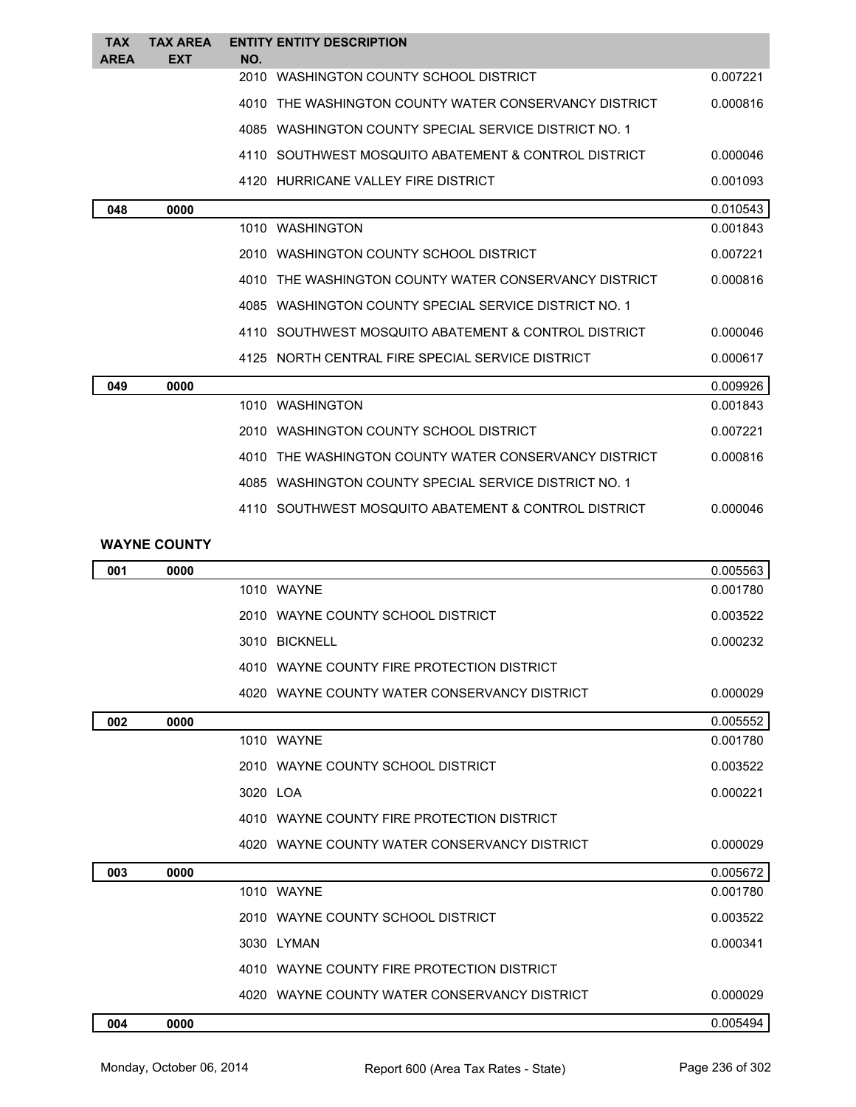| <b>TAX</b>  | <b>TAX AREA</b>     | <b>ENTITY ENTITY DESCRIPTION</b>                      |          |
|-------------|---------------------|-------------------------------------------------------|----------|
| <b>AREA</b> | <b>EXT</b>          | NO.<br>2010 WASHINGTON COUNTY SCHOOL DISTRICT         | 0.007221 |
|             |                     |                                                       |          |
|             |                     | 4010 THE WASHINGTON COUNTY WATER CONSERVANCY DISTRICT | 0.000816 |
|             |                     | 4085 WASHINGTON COUNTY SPECIAL SERVICE DISTRICT NO. 1 |          |
|             |                     | 4110 SOUTHWEST MOSQUITO ABATEMENT & CONTROL DISTRICT  | 0.000046 |
|             |                     | 4120 HURRICANE VALLEY FIRE DISTRICT                   | 0.001093 |
| 048         | 0000                |                                                       | 0.010543 |
|             |                     | 1010 WASHINGTON                                       | 0.001843 |
|             |                     | 2010 WASHINGTON COUNTY SCHOOL DISTRICT                | 0.007221 |
|             |                     | 4010 THE WASHINGTON COUNTY WATER CONSERVANCY DISTRICT | 0.000816 |
|             |                     | 4085 WASHINGTON COUNTY SPECIAL SERVICE DISTRICT NO. 1 |          |
|             |                     | 4110 SOUTHWEST MOSQUITO ABATEMENT & CONTROL DISTRICT  | 0.000046 |
|             |                     | 4125 NORTH CENTRAL FIRE SPECIAL SERVICE DISTRICT      | 0.000617 |
| 049         | 0000                |                                                       | 0.009926 |
|             |                     | 1010 WASHINGTON                                       | 0.001843 |
|             |                     | 2010 WASHINGTON COUNTY SCHOOL DISTRICT                | 0.007221 |
|             |                     | 4010 THE WASHINGTON COUNTY WATER CONSERVANCY DISTRICT | 0.000816 |
|             |                     | 4085 WASHINGTON COUNTY SPECIAL SERVICE DISTRICT NO. 1 |          |
|             |                     | 4110 SOUTHWEST MOSQUITO ABATEMENT & CONTROL DISTRICT  | 0.000046 |
|             | <b>WAYNE COUNTY</b> |                                                       |          |
| 001         | 0000                |                                                       | 0.005563 |
|             |                     |                                                       |          |

| UV I | uuu  |               |                                              | <u>u.uujuu </u> |
|------|------|---------------|----------------------------------------------|-----------------|
|      |      | 1010 WAYNE    |                                              | 0.001780        |
|      |      |               | 2010 WAYNE COUNTY SCHOOL DISTRICT            | 0.003522        |
|      |      | 3010 BICKNELL |                                              | 0.000232        |
|      |      |               | 4010 WAYNE COUNTY FIRE PROTECTION DISTRICT   |                 |
|      |      |               | 4020 WAYNE COUNTY WATER CONSERVANCY DISTRICT | 0.000029        |
| 002  | 0000 |               |                                              | 0.005552        |
|      |      | 1010 WAYNE    |                                              | 0.001780        |
|      |      |               | 2010 WAYNE COUNTY SCHOOL DISTRICT            | 0.003522        |
|      |      | 3020 LOA      |                                              | 0.000221        |
|      |      |               | 4010 WAYNE COUNTY FIRE PROTECTION DISTRICT   |                 |
|      |      |               | 4020 WAYNE COUNTY WATER CONSERVANCY DISTRICT | 0.000029        |
| 003  | 0000 |               |                                              | 0.005672        |
|      |      | 1010 WAYNE    |                                              | 0.001780        |
|      |      |               | 2010 WAYNE COUNTY SCHOOL DISTRICT            | 0.003522        |
|      |      | 3030 LYMAN    |                                              | 0.000341        |
|      |      |               | 4010 WAYNE COUNTY FIRE PROTECTION DISTRICT   |                 |
|      |      |               | 4020 WAYNE COUNTY WATER CONSERVANCY DISTRICT | 0.000029        |
| 004  | 0000 |               |                                              | 0.005494        |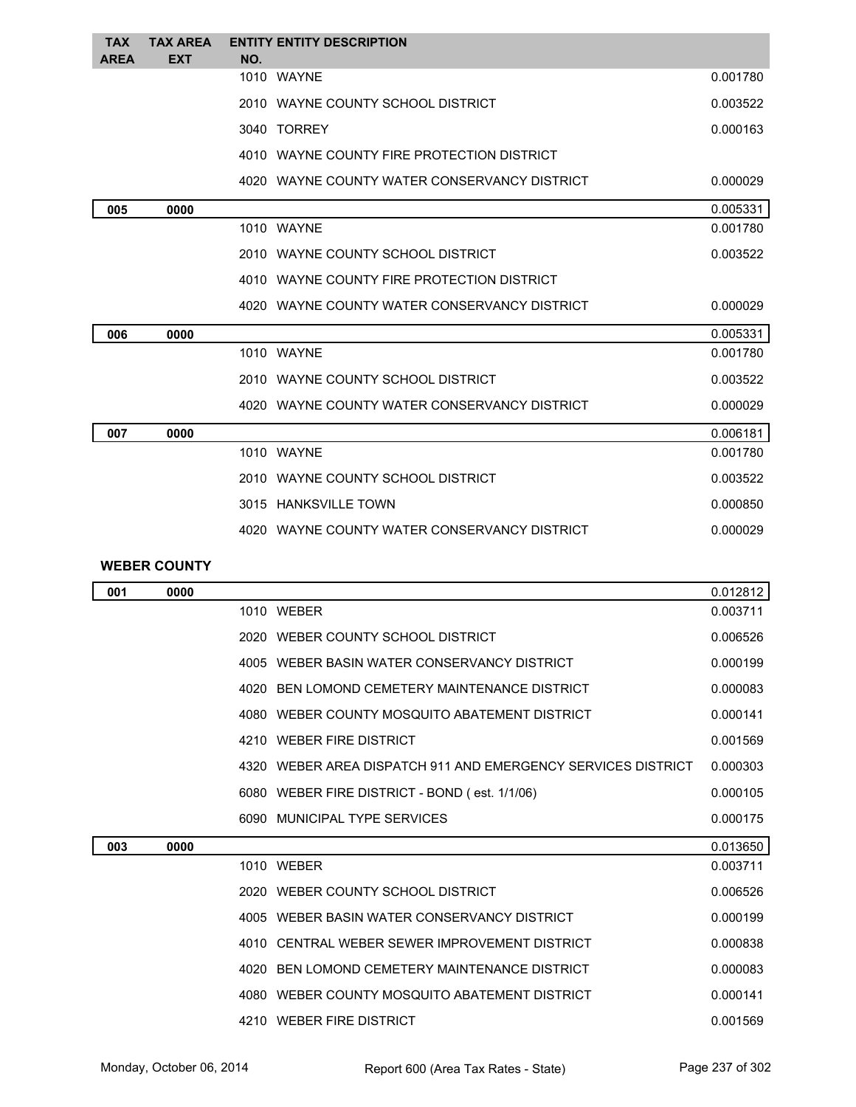| <b>TAX</b><br><b>AREA</b> | <b>TAX AREA</b><br><b>EXT</b> | <b>ENTITY ENTITY DESCRIPTION</b><br>NO.      |          |
|---------------------------|-------------------------------|----------------------------------------------|----------|
|                           |                               | 1010 WAYNE                                   | 0.001780 |
|                           |                               | 2010 WAYNE COUNTY SCHOOL DISTRICT            | 0.003522 |
|                           |                               | 3040 TORREY                                  | 0.000163 |
|                           |                               | 4010 WAYNE COUNTY FIRE PROTECTION DISTRICT   |          |
|                           |                               | 4020 WAYNE COUNTY WATER CONSERVANCY DISTRICT | 0.000029 |
| 005                       | 0000                          |                                              | 0.005331 |
|                           |                               | 1010 WAYNE                                   | 0.001780 |
|                           |                               | 2010 WAYNE COUNTY SCHOOL DISTRICT            | 0.003522 |
|                           |                               | 4010 WAYNE COUNTY FIRE PROTECTION DISTRICT   |          |
|                           |                               | 4020 WAYNE COUNTY WATER CONSERVANCY DISTRICT | 0.000029 |
| 006                       | 0000                          |                                              | 0.005331 |
|                           |                               | 1010 WAYNE                                   | 0.001780 |
|                           |                               | 2010 WAYNE COUNTY SCHOOL DISTRICT            | 0.003522 |
|                           |                               | 4020 WAYNE COUNTY WATER CONSERVANCY DISTRICT | 0.000029 |
| 007                       | 0000                          |                                              | 0.006181 |
|                           |                               | 1010 WAYNE                                   | 0.001780 |
|                           |                               | 2010 WAYNE COUNTY SCHOOL DISTRICT            | 0.003522 |
|                           |                               | 3015 HANKSVILLE TOWN                         | 0.000850 |
|                           |                               | 4020 WAYNE COUNTY WATER CONSERVANCY DISTRICT | 0.000029 |

## **WEBER COUNTY**

| 001 | 0000 |      |                                                              | 0.012812 |
|-----|------|------|--------------------------------------------------------------|----------|
|     |      |      | 1010 WEBER                                                   | 0.003711 |
|     |      |      | 2020 WEBER COUNTY SCHOOL DISTRICT                            | 0.006526 |
|     |      |      | 4005 WEBER BASIN WATER CONSERVANCY DISTRICT                  | 0.000199 |
|     |      |      | 4020 BEN LOMOND CEMETERY MAINTENANCE DISTRICT                | 0.000083 |
|     |      |      | 4080 WEBER COUNTY MOSQUITO ABATEMENT DISTRICT                | 0.000141 |
|     |      | 4210 | <b>WEBER FIRE DISTRICT</b>                                   | 0.001569 |
|     |      |      | 4320 WEBER AREA DISPATCH 911 AND EMERGENCY SERVICES DISTRICT | 0.000303 |
|     |      |      | 6080 WEBER FIRE DISTRICT - BOND (est. 1/1/06)                | 0.000105 |
|     |      |      | 6090 MUNICIPAL TYPE SERVICES                                 | 0.000175 |
| 003 | 0000 |      |                                                              | 0.013650 |
|     |      |      | 1010 WEBER                                                   | 0.003711 |
|     |      |      | 2020 WEBER COUNTY SCHOOL DISTRICT                            | 0.006526 |
|     |      |      | 4005 WEBER BASIN WATER CONSERVANCY DISTRICT                  | 0.000199 |
|     |      |      | 4010 CENTRAL WEBER SEWER IMPROVEMENT DISTRICT                | 0.000838 |
|     |      |      | 4020 BEN LOMOND CEMETERY MAINTENANCE DISTRICT                | 0.000083 |
|     |      |      | 4080 WEBER COUNTY MOSQUITO ABATEMENT DISTRICT                | 0.000141 |
|     |      |      | 4210 WEBER FIRE DISTRICT                                     | 0.001569 |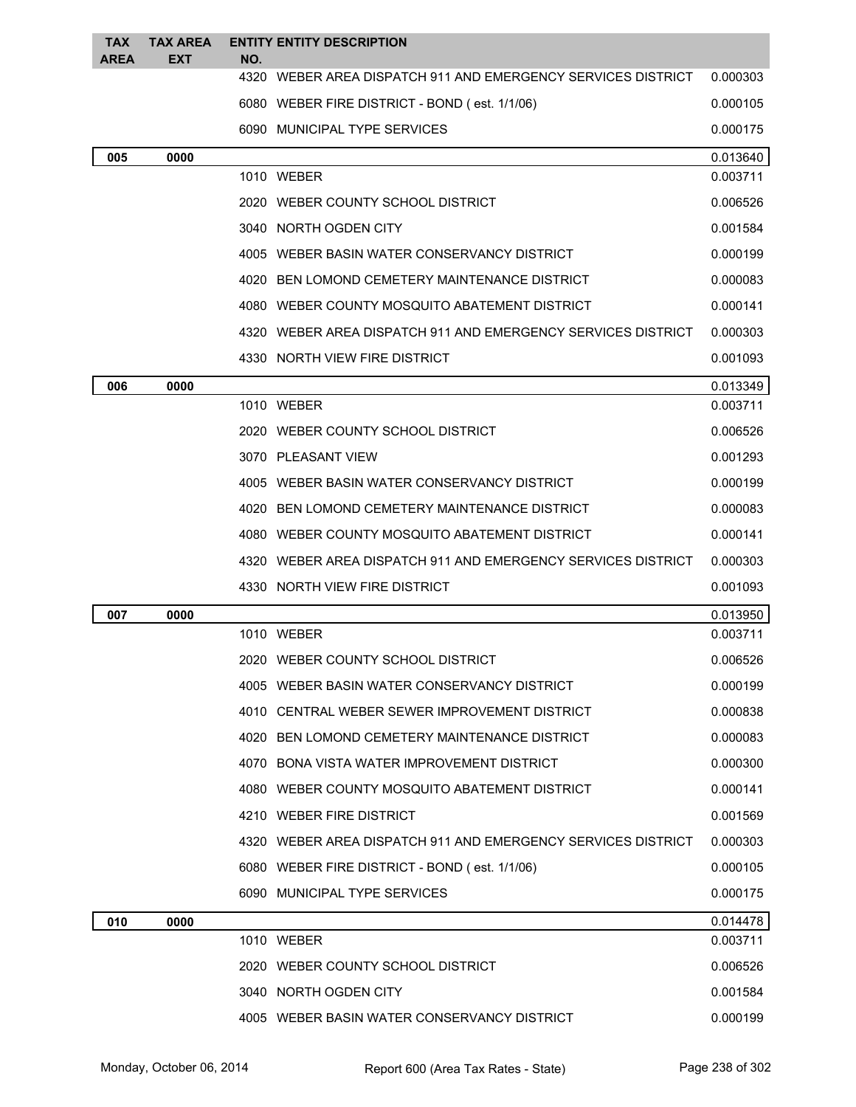| <b>TAX</b><br><b>AREA</b> | <b>TAX AREA</b><br>EXT | NO. | <b>ENTITY ENTITY DESCRIPTION</b>                             |          |
|---------------------------|------------------------|-----|--------------------------------------------------------------|----------|
|                           |                        |     | 4320 WEBER AREA DISPATCH 911 AND EMERGENCY SERVICES DISTRICT | 0.000303 |
|                           |                        |     | 6080 WEBER FIRE DISTRICT - BOND (est. 1/1/06)                | 0.000105 |
|                           |                        |     | 6090 MUNICIPAL TYPE SERVICES                                 | 0.000175 |
| 005                       | 0000                   |     |                                                              | 0.013640 |
|                           |                        |     | 1010 WEBER                                                   | 0.003711 |
|                           |                        |     | 2020 WEBER COUNTY SCHOOL DISTRICT                            | 0.006526 |
|                           |                        |     | 3040 NORTH OGDEN CITY                                        | 0.001584 |
|                           |                        |     | 4005 WEBER BASIN WATER CONSERVANCY DISTRICT                  | 0.000199 |
|                           |                        |     | 4020 BEN LOMOND CEMETERY MAINTENANCE DISTRICT                | 0.000083 |
|                           |                        |     | 4080 WEBER COUNTY MOSQUITO ABATEMENT DISTRICT                | 0.000141 |
|                           |                        |     | 4320 WEBER AREA DISPATCH 911 AND EMERGENCY SERVICES DISTRICT | 0.000303 |
|                           |                        |     | 4330 NORTH VIEW FIRE DISTRICT                                | 0.001093 |
| 006                       | 0000                   |     |                                                              | 0.013349 |
|                           |                        |     | 1010 WEBER                                                   | 0.003711 |
|                           |                        |     | 2020 WEBER COUNTY SCHOOL DISTRICT                            | 0.006526 |
|                           |                        |     | 3070 PLEASANT VIEW                                           | 0.001293 |
|                           |                        |     | 4005 WEBER BASIN WATER CONSERVANCY DISTRICT                  | 0.000199 |
|                           |                        |     | 4020 BEN LOMOND CEMETERY MAINTENANCE DISTRICT                | 0.000083 |
|                           |                        |     | 4080 WEBER COUNTY MOSQUITO ABATEMENT DISTRICT                | 0.000141 |
|                           |                        |     | 4320 WEBER AREA DISPATCH 911 AND EMERGENCY SERVICES DISTRICT | 0.000303 |
|                           |                        |     | 4330 NORTH VIEW FIRE DISTRICT                                | 0.001093 |
| 007                       | 0000                   |     |                                                              | 0.013950 |
|                           |                        |     | 1010 WEBER                                                   | 0.003711 |
|                           |                        |     | 2020 WEBER COUNTY SCHOOL DISTRICT                            | 0.006526 |
|                           |                        |     | 4005 WEBER BASIN WATER CONSERVANCY DISTRICT                  | 0.000199 |
|                           |                        |     | 4010 CENTRAL WEBER SEWER IMPROVEMENT DISTRICT                | 0.000838 |
|                           |                        |     | 4020 BEN LOMOND CEMETERY MAINTENANCE DISTRICT                | 0.000083 |
|                           |                        |     | 4070 BONA VISTA WATER IMPROVEMENT DISTRICT                   | 0.000300 |
|                           |                        |     | 4080 WEBER COUNTY MOSQUITO ABATEMENT DISTRICT                | 0.000141 |
|                           |                        |     | 4210 WEBER FIRE DISTRICT                                     | 0.001569 |
|                           |                        |     | 4320 WEBER AREA DISPATCH 911 AND EMERGENCY SERVICES DISTRICT | 0.000303 |
|                           |                        |     | 6080 WEBER FIRE DISTRICT - BOND (est. 1/1/06)                | 0.000105 |
|                           |                        |     | 6090 MUNICIPAL TYPE SERVICES                                 | 0.000175 |
| 010                       | 0000                   |     |                                                              | 0.014478 |
|                           |                        |     | 1010 WEBER                                                   | 0.003711 |
|                           |                        |     | 2020 WEBER COUNTY SCHOOL DISTRICT                            | 0.006526 |
|                           |                        |     | 3040 NORTH OGDEN CITY                                        | 0.001584 |
|                           |                        |     | 4005 WEBER BASIN WATER CONSERVANCY DISTRICT                  | 0.000199 |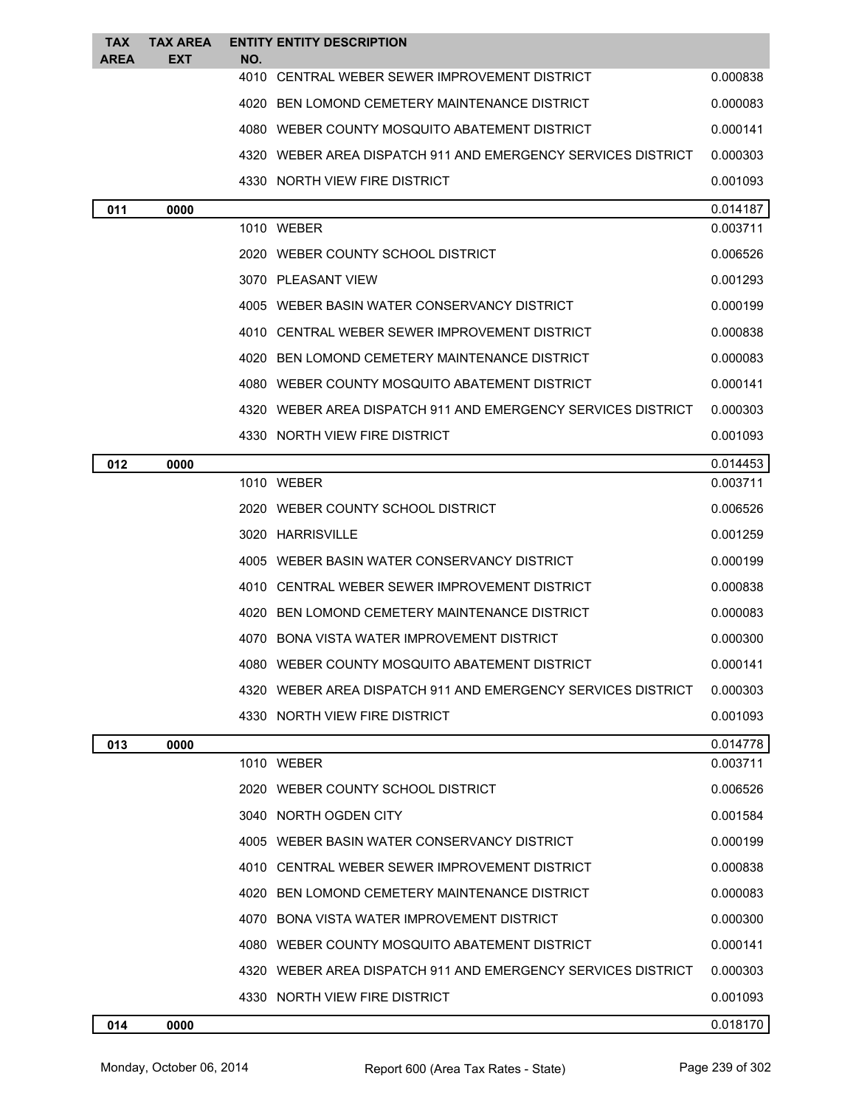| TAX<br>AREA | <b>TAX AREA</b><br>EXT | NO. | <b>ENTITY ENTITY DESCRIPTION</b>                               |          |
|-------------|------------------------|-----|----------------------------------------------------------------|----------|
|             |                        |     | 4010 CENTRAL WEBER SEWER IMPROVEMENT DISTRICT                  | 0.000838 |
|             |                        |     | 4020 BEN LOMOND CEMETERY MAINTENANCE DISTRICT                  | 0.000083 |
|             |                        |     | 4080 WEBER COUNTY MOSQUITO ABATEMENT DISTRICT                  | 0.000141 |
|             |                        |     | 4320   WEBER AREA DISPATCH 911 AND EMERGENCY SERVICES DISTRICT | 0.000303 |
|             |                        |     | 4330 NORTH VIEW FIRE DISTRICT                                  | 0.001093 |
| 011         | 0000                   |     |                                                                | 0.014187 |
|             |                        |     | 1010 WEBER                                                     | 0.003711 |
|             |                        |     | 2020 WEBER COUNTY SCHOOL DISTRICT                              | 0.006526 |
|             |                        |     | 3070 PLEASANT VIEW                                             | 0.001293 |
|             |                        |     | 4005 WEBER BASIN WATER CONSERVANCY DISTRICT                    | 0.000199 |
|             |                        |     | 4010 CENTRAL WEBER SEWER IMPROVEMENT DISTRICT                  | 0.000838 |
|             |                        |     | 4020 BEN LOMOND CEMETERY MAINTENANCE DISTRICT                  | 0.000083 |
|             |                        |     | 4080 WEBER COUNTY MOSQUITO ABATEMENT DISTRICT                  | 0.000141 |
|             |                        |     | 4320   WEBER AREA DISPATCH 911 AND EMERGENCY SERVICES DISTRICT | 0.000303 |
|             |                        |     | 4330 NORTH VIEW FIRE DISTRICT                                  | 0.001093 |
| 012         | 0000                   |     |                                                                | 0.014453 |
|             |                        |     | 1010 WEBER                                                     | 0.003711 |
|             |                        |     | 2020 WEBER COUNTY SCHOOL DISTRICT                              | 0.006526 |
|             |                        |     | 3020 HARRISVILLE                                               | 0.001259 |
|             |                        |     | 4005 WEBER BASIN WATER CONSERVANCY DISTRICT                    | 0.000199 |
|             |                        |     | 4010 CENTRAL WEBER SEWER IMPROVEMENT DISTRICT                  | 0.000838 |
|             |                        |     | 4020 BEN LOMOND CEMETERY MAINTENANCE DISTRICT                  | 0.000083 |
|             |                        |     | 4070 BONA VISTA WATER IMPROVEMENT DISTRICT                     | 0.000300 |
|             |                        |     | 4080 WEBER COUNTY MOSQUITO ABATEMENT DISTRICT                  | 0.000141 |
|             |                        |     | 4320   WEBER AREA DISPATCH 911 AND EMERGENCY SERVICES DISTRICT | 0.000303 |
|             |                        |     | 4330 NORTH VIEW FIRE DISTRICT                                  | 0.001093 |
| 013         | 0000                   |     |                                                                | 0.014778 |
|             |                        |     | 1010 WEBER                                                     | 0.003711 |
|             |                        |     | 2020 WEBER COUNTY SCHOOL DISTRICT                              | 0.006526 |
|             |                        |     | 3040 NORTH OGDEN CITY                                          | 0.001584 |
|             |                        |     | 4005 WEBER BASIN WATER CONSERVANCY DISTRICT                    | 0.000199 |
|             |                        |     | 4010 CENTRAL WEBER SEWER IMPROVEMENT DISTRICT                  | 0.000838 |
|             |                        |     | 4020 BEN LOMOND CEMETERY MAINTENANCE DISTRICT                  | 0.000083 |
|             |                        |     | 4070 BONA VISTA WATER IMPROVEMENT DISTRICT                     | 0.000300 |
|             |                        |     | 4080 WEBER COUNTY MOSQUITO ABATEMENT DISTRICT                  | 0.000141 |
|             |                        |     | 4320   WEBER AREA DISPATCH 911 AND EMERGENCY SERVICES DISTRICT | 0.000303 |
|             |                        |     | 4330 NORTH VIEW FIRE DISTRICT                                  | 0.001093 |
| 014         | 0000                   |     |                                                                | 0.018170 |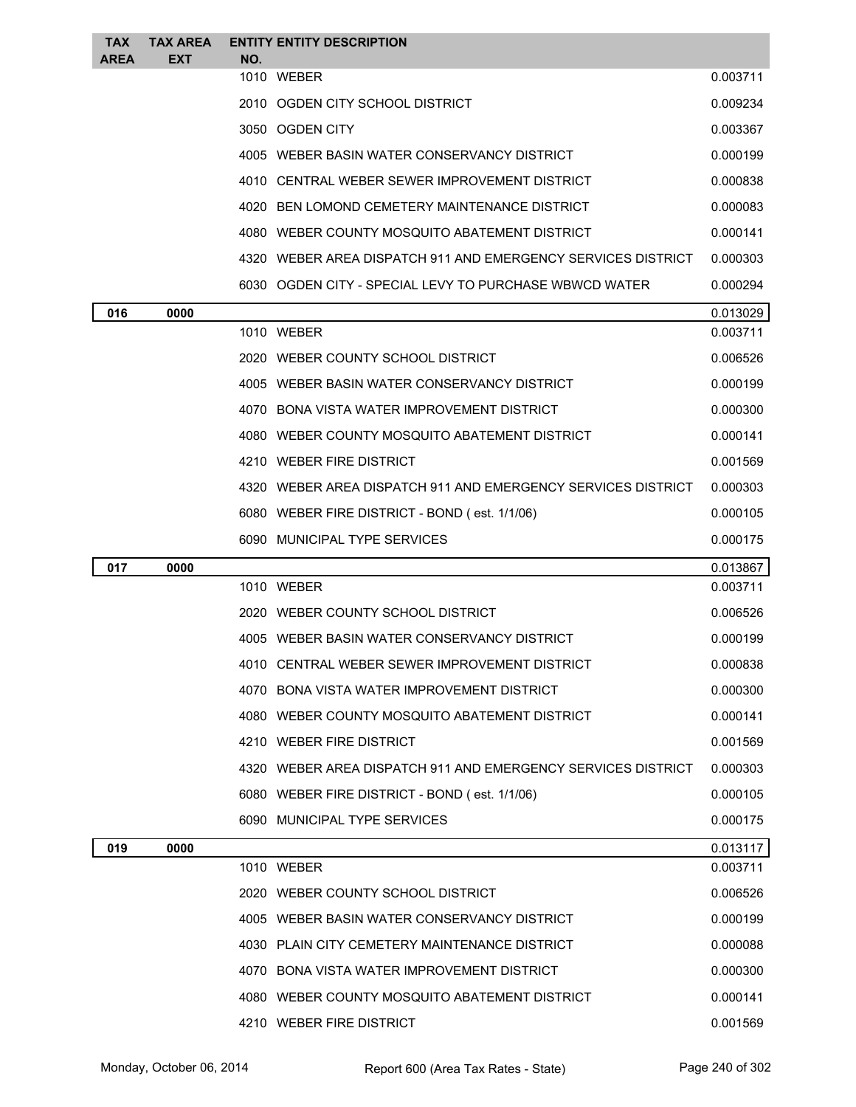| <b>TAX</b><br><b>AREA</b> | <b>TAX AREA</b><br><b>EXT</b> | NO. | <b>ENTITY ENTITY DESCRIPTION</b>                             |          |
|---------------------------|-------------------------------|-----|--------------------------------------------------------------|----------|
|                           |                               |     | 1010 WEBER                                                   | 0.003711 |
|                           |                               |     | 2010 OGDEN CITY SCHOOL DISTRICT                              | 0.009234 |
|                           |                               |     | 3050 OGDEN CITY                                              | 0.003367 |
|                           |                               |     | 4005 WEBER BASIN WATER CONSERVANCY DISTRICT                  | 0.000199 |
|                           |                               |     | 4010 CENTRAL WEBER SEWER IMPROVEMENT DISTRICT                | 0.000838 |
|                           |                               |     | 4020 BEN LOMOND CEMETERY MAINTENANCE DISTRICT                | 0.000083 |
|                           |                               |     | 4080 WEBER COUNTY MOSQUITO ABATEMENT DISTRICT                | 0.000141 |
|                           |                               |     | 4320 WEBER AREA DISPATCH 911 AND EMERGENCY SERVICES DISTRICT | 0.000303 |
|                           |                               |     | 6030 OGDEN CITY - SPECIAL LEVY TO PURCHASE WBWCD WATER       | 0.000294 |
| 016                       | 0000                          |     |                                                              | 0.013029 |
|                           |                               |     | 1010 WEBER                                                   | 0.003711 |
|                           |                               |     | 2020 WEBER COUNTY SCHOOL DISTRICT                            | 0.006526 |
|                           |                               |     | 4005 WEBER BASIN WATER CONSERVANCY DISTRICT                  | 0.000199 |
|                           |                               |     | 4070 BONA VISTA WATER IMPROVEMENT DISTRICT                   | 0.000300 |
|                           |                               |     | 4080 WEBER COUNTY MOSQUITO ABATEMENT DISTRICT                | 0.000141 |
|                           |                               |     | 4210 WEBER FIRE DISTRICT                                     | 0.001569 |
|                           |                               |     | 4320 WEBER AREA DISPATCH 911 AND EMERGENCY SERVICES DISTRICT | 0.000303 |
|                           |                               |     | 6080 WEBER FIRE DISTRICT - BOND (est. 1/1/06)                | 0.000105 |
|                           |                               |     | 6090 MUNICIPAL TYPE SERVICES                                 | 0.000175 |
| 017                       | 0000                          |     |                                                              | 0.013867 |
|                           |                               |     | 1010 WEBER                                                   | 0.003711 |
|                           |                               |     | 2020 WEBER COUNTY SCHOOL DISTRICT                            | 0.006526 |
|                           |                               |     | 4005 WEBER BASIN WATER CONSERVANCY DISTRICT                  | 0.000199 |
|                           |                               |     | 4010 CENTRAL WEBER SEWER IMPROVEMENT DISTRICT                | 0.000838 |
|                           |                               |     | 4070 BONA VISTA WATER IMPROVEMENT DISTRICT                   | 0.000300 |
|                           |                               |     | 4080 WEBER COUNTY MOSQUITO ABATEMENT DISTRICT                | 0.000141 |
|                           |                               |     | 4210 WEBER FIRE DISTRICT                                     | 0.001569 |
|                           |                               |     | 4320 WEBER AREA DISPATCH 911 AND EMERGENCY SERVICES DISTRICT | 0.000303 |
|                           |                               |     | 6080 WEBER FIRE DISTRICT - BOND (est. 1/1/06)                | 0.000105 |
|                           |                               |     | 6090 MUNICIPAL TYPE SERVICES                                 | 0.000175 |
| 019                       | 0000                          |     |                                                              | 0.013117 |
|                           |                               |     | 1010 WEBER                                                   | 0.003711 |
|                           |                               |     | 2020 WEBER COUNTY SCHOOL DISTRICT                            | 0.006526 |
|                           |                               |     | 4005 WEBER BASIN WATER CONSERVANCY DISTRICT                  | 0.000199 |
|                           |                               |     | 4030 PLAIN CITY CEMETERY MAINTENANCE DISTRICT                | 0.000088 |
|                           |                               |     | 4070 BONA VISTA WATER IMPROVEMENT DISTRICT                   | 0.000300 |
|                           |                               |     | 4080 WEBER COUNTY MOSQUITO ABATEMENT DISTRICT                | 0.000141 |
|                           |                               |     | 4210 WEBER FIRE DISTRICT                                     | 0.001569 |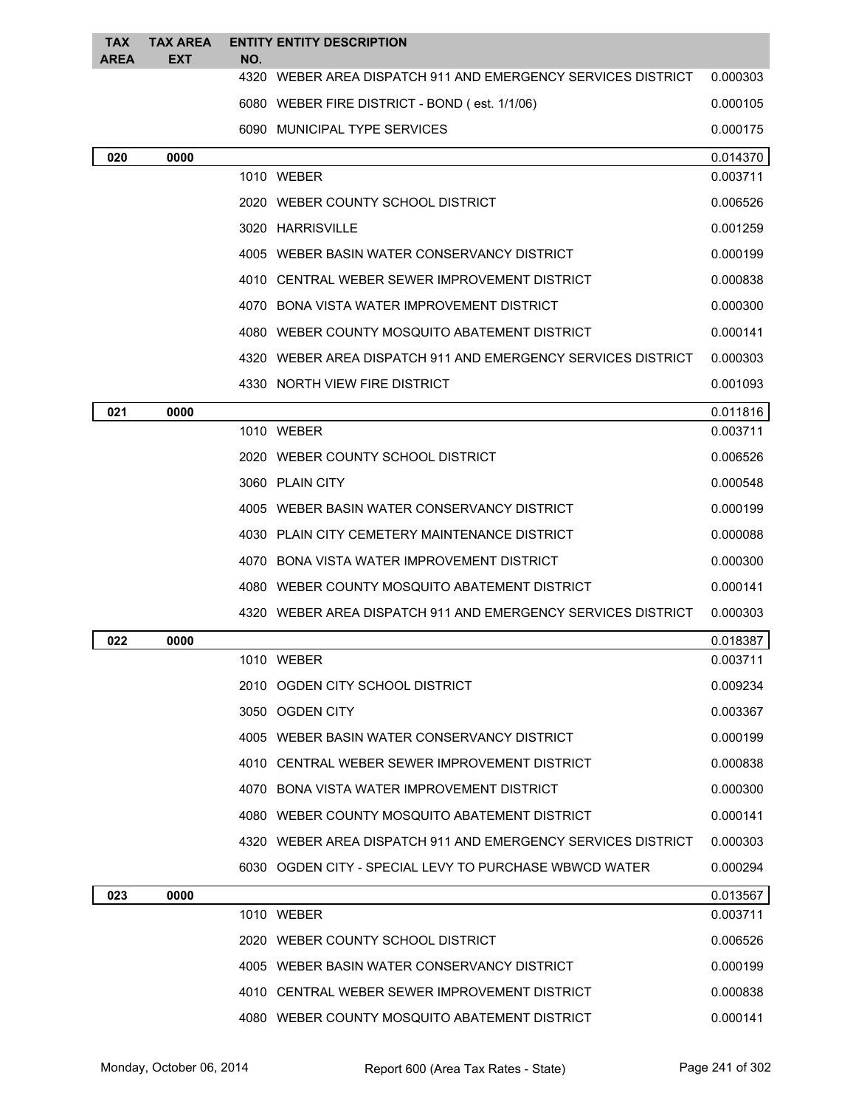| <b>TAX</b><br><b>AREA</b> | <b>TAX AREA</b> |     | <b>ENTITY ENTITY DESCRIPTION</b>                             |          |
|---------------------------|-----------------|-----|--------------------------------------------------------------|----------|
|                           | EXT             | NO. | 4320 WEBER AREA DISPATCH 911 AND EMERGENCY SERVICES DISTRICT | 0.000303 |
|                           |                 |     | 6080 WEBER FIRE DISTRICT - BOND (est. 1/1/06)                | 0.000105 |
|                           |                 |     | 6090 MUNICIPAL TYPE SERVICES                                 | 0.000175 |
| 020                       | 0000            |     |                                                              | 0.014370 |
|                           |                 |     | 1010 WEBER                                                   | 0.003711 |
|                           |                 |     | 2020 WEBER COUNTY SCHOOL DISTRICT                            | 0.006526 |
|                           |                 |     | 3020 HARRISVILLE                                             | 0.001259 |
|                           |                 |     | 4005 WEBER BASIN WATER CONSERVANCY DISTRICT                  | 0.000199 |
|                           |                 |     | 4010 CENTRAL WEBER SEWER IMPROVEMENT DISTRICT                | 0.000838 |
|                           |                 |     | 4070 BONA VISTA WATER IMPROVEMENT DISTRICT                   | 0.000300 |
|                           |                 |     | 4080 WEBER COUNTY MOSQUITO ABATEMENT DISTRICT                | 0.000141 |
|                           |                 |     | 4320 WEBER AREA DISPATCH 911 AND EMERGENCY SERVICES DISTRICT | 0.000303 |
|                           |                 |     | 4330 NORTH VIEW FIRE DISTRICT                                | 0.001093 |
| 021                       | 0000            |     |                                                              | 0.011816 |
|                           |                 |     | 1010 WEBER                                                   | 0.003711 |
|                           |                 |     | 2020 WEBER COUNTY SCHOOL DISTRICT                            | 0.006526 |
|                           |                 |     | 3060 PLAIN CITY                                              | 0.000548 |
|                           |                 |     | 4005 WEBER BASIN WATER CONSERVANCY DISTRICT                  | 0.000199 |
|                           |                 |     | 4030 PLAIN CITY CEMETERY MAINTENANCE DISTRICT                | 0.000088 |
|                           |                 |     | 4070 BONA VISTA WATER IMPROVEMENT DISTRICT                   | 0.000300 |
|                           |                 |     | 4080 WEBER COUNTY MOSQUITO ABATEMENT DISTRICT                | 0.000141 |
|                           |                 |     | 4320 WEBER AREA DISPATCH 911 AND EMERGENCY SERVICES DISTRICT | 0.000303 |
| 022                       | 0000            |     |                                                              | 0.018387 |
|                           |                 |     | 1010 WEBER                                                   | 0.003711 |
|                           |                 |     | 2010 OGDEN CITY SCHOOL DISTRICT                              | 0.009234 |
|                           |                 |     | 3050 OGDEN CITY                                              | 0.003367 |
|                           |                 |     | 4005 WEBER BASIN WATER CONSERVANCY DISTRICT                  | 0.000199 |
|                           |                 |     | 4010 CENTRAL WEBER SEWER IMPROVEMENT DISTRICT                | 0.000838 |
|                           |                 |     | 4070 BONA VISTA WATER IMPROVEMENT DISTRICT                   | 0.000300 |
|                           |                 |     | 4080 WEBER COUNTY MOSQUITO ABATEMENT DISTRICT                | 0.000141 |
|                           |                 |     | 4320 WEBER AREA DISPATCH 911 AND EMERGENCY SERVICES DISTRICT | 0.000303 |
|                           |                 |     | 6030 OGDEN CITY - SPECIAL LEVY TO PURCHASE WBWCD WATER       | 0.000294 |
| 023                       | 0000            |     |                                                              | 0.013567 |
|                           |                 |     | 1010 WEBER                                                   | 0.003711 |
|                           |                 |     | 2020 WEBER COUNTY SCHOOL DISTRICT                            | 0.006526 |
|                           |                 |     | 4005 WEBER BASIN WATER CONSERVANCY DISTRICT                  | 0.000199 |
|                           |                 |     | 4010 CENTRAL WEBER SEWER IMPROVEMENT DISTRICT                | 0.000838 |
|                           |                 |     | 4080 WEBER COUNTY MOSQUITO ABATEMENT DISTRICT                | 0.000141 |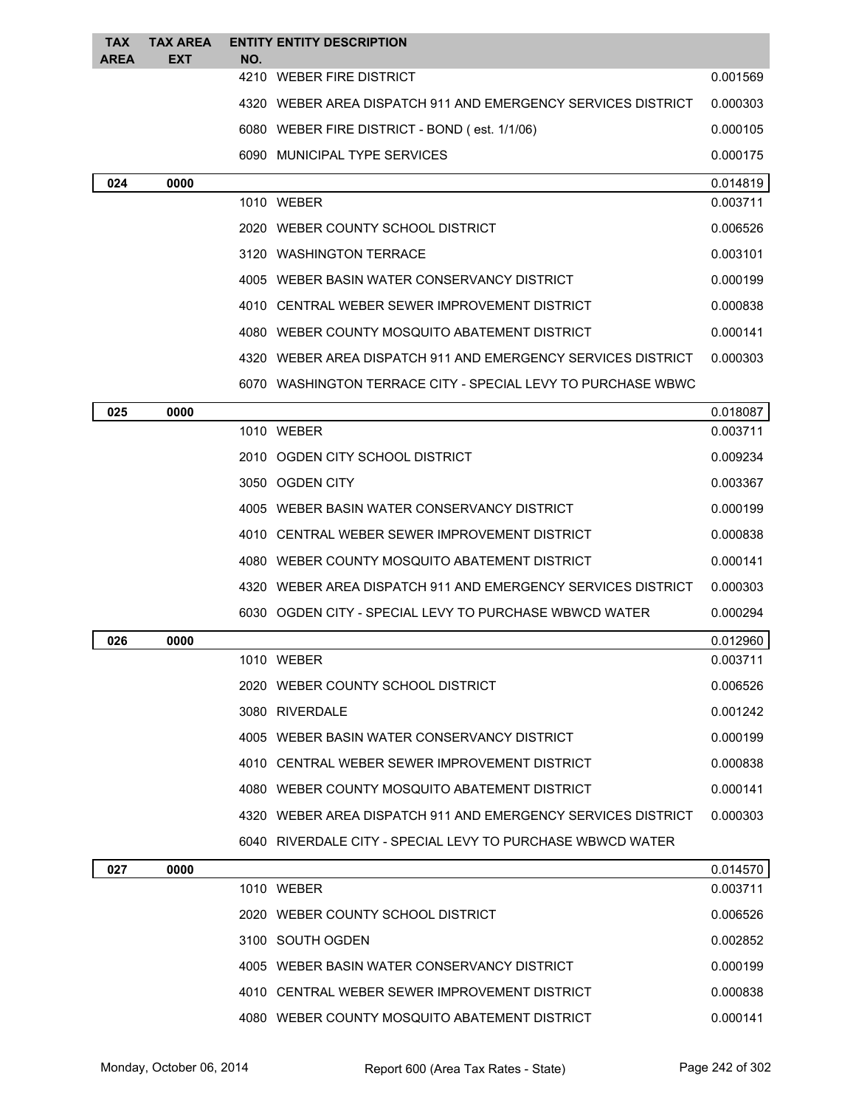| <b>TAX</b>  | <b>TAX AREA</b> |     | <b>ENTITY ENTITY DESCRIPTION</b>                             |          |
|-------------|-----------------|-----|--------------------------------------------------------------|----------|
| <b>AREA</b> | <b>EXT</b>      | NO. | 4210 WEBER FIRE DISTRICT                                     | 0.001569 |
|             |                 |     | 4320 WEBER AREA DISPATCH 911 AND EMERGENCY SERVICES DISTRICT | 0.000303 |
|             |                 |     | 6080 WEBER FIRE DISTRICT - BOND (est. 1/1/06)                | 0.000105 |
|             |                 |     | 6090 MUNICIPAL TYPE SERVICES                                 | 0.000175 |
| 024         | 0000            |     |                                                              | 0.014819 |
|             |                 |     | 1010 WEBER                                                   | 0.003711 |
|             |                 |     | 2020 WEBER COUNTY SCHOOL DISTRICT                            | 0.006526 |
|             |                 |     | 3120 WASHINGTON TERRACE                                      | 0.003101 |
|             |                 |     | 4005 WEBER BASIN WATER CONSERVANCY DISTRICT                  | 0.000199 |
|             |                 |     | 4010 CENTRAL WEBER SEWER IMPROVEMENT DISTRICT                | 0.000838 |
|             |                 |     | 4080 WEBER COUNTY MOSQUITO ABATEMENT DISTRICT                | 0.000141 |
|             |                 |     | 4320 WEBER AREA DISPATCH 911 AND EMERGENCY SERVICES DISTRICT | 0.000303 |
|             |                 |     | 6070 WASHINGTON TERRACE CITY - SPECIAL LEVY TO PURCHASE WBWC |          |
| 025         | 0000            |     |                                                              | 0.018087 |
|             |                 |     | 1010 WEBER                                                   | 0.003711 |
|             |                 |     | 2010 OGDEN CITY SCHOOL DISTRICT                              | 0.009234 |
|             |                 |     | 3050 OGDEN CITY                                              | 0.003367 |
|             |                 |     | 4005 WEBER BASIN WATER CONSERVANCY DISTRICT                  | 0.000199 |
|             |                 |     | 4010 CENTRAL WEBER SEWER IMPROVEMENT DISTRICT                | 0.000838 |
|             |                 |     | 4080 WEBER COUNTY MOSQUITO ABATEMENT DISTRICT                | 0.000141 |
|             |                 |     | 4320 WEBER AREA DISPATCH 911 AND EMERGENCY SERVICES DISTRICT | 0.000303 |
|             |                 |     | 6030 OGDEN CITY - SPECIAL LEVY TO PURCHASE WBWCD WATER       | 0.000294 |
| 026         | 0000            |     |                                                              | 0.012960 |
|             |                 |     | 1010 WEBER                                                   | 0.003711 |
|             |                 |     | 2020 WEBER COUNTY SCHOOL DISTRICT                            | 0.006526 |
|             |                 |     | 3080 RIVERDALE                                               | 0.001242 |
|             |                 |     | 4005 WEBER BASIN WATER CONSERVANCY DISTRICT                  | 0.000199 |
|             |                 |     | 4010 CENTRAL WEBER SEWER IMPROVEMENT DISTRICT                | 0.000838 |
|             |                 |     | 4080 WEBER COUNTY MOSQUITO ABATEMENT DISTRICT                | 0.000141 |
|             |                 |     | 4320 WEBER AREA DISPATCH 911 AND EMERGENCY SERVICES DISTRICT | 0.000303 |
|             |                 |     | 6040 RIVERDALE CITY - SPECIAL LEVY TO PURCHASE WBWCD WATER   |          |
| 027         | 0000            |     |                                                              | 0.014570 |
|             |                 |     | 1010 WEBER                                                   | 0.003711 |
|             |                 |     | 2020 WEBER COUNTY SCHOOL DISTRICT                            | 0.006526 |
|             |                 |     | 3100 SOUTH OGDEN                                             | 0.002852 |
|             |                 |     | 4005 WEBER BASIN WATER CONSERVANCY DISTRICT                  | 0.000199 |
|             |                 |     | 4010 CENTRAL WEBER SEWER IMPROVEMENT DISTRICT                | 0.000838 |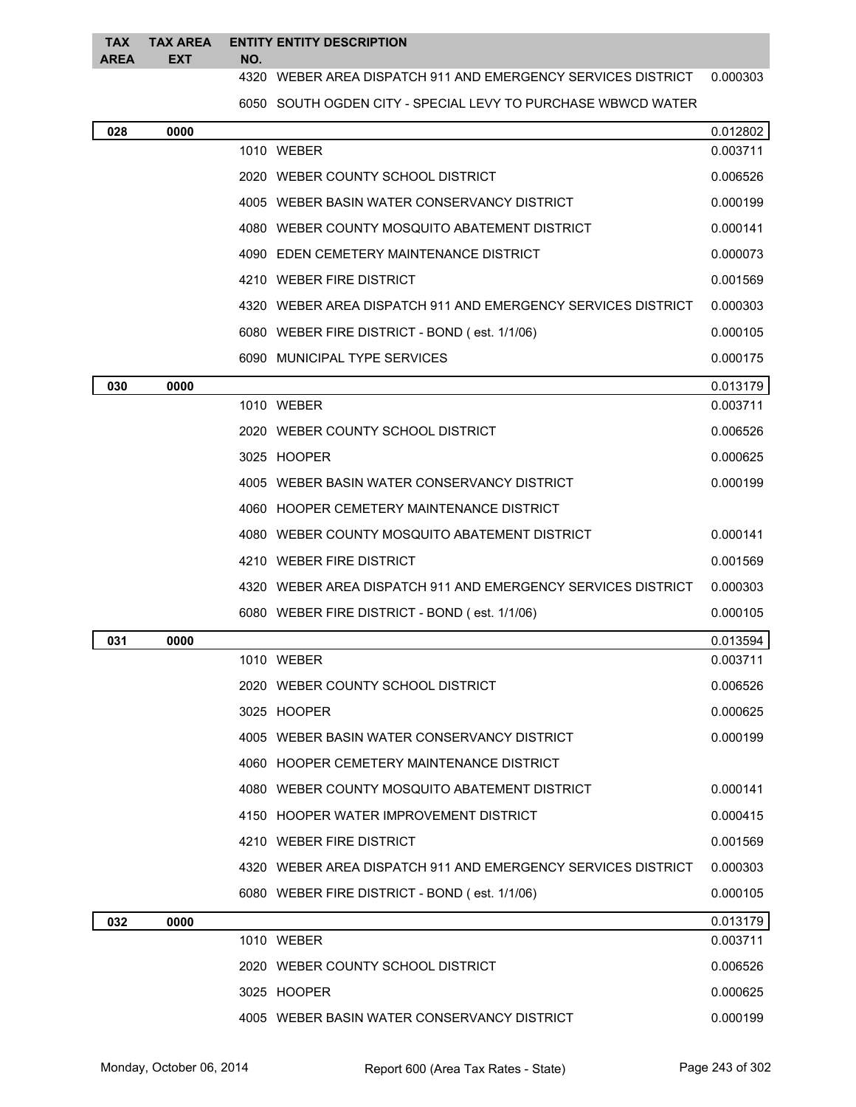### **TAX AREA TAX AREA ENTITY ENTITY DESCRIPTION EXT NO.**

WEBER AREA DISPATCH 911 AND EMERGENCY SERVICES DISTRICT 0.000303

SOUTH OGDEN CITY - SPECIAL LEVY TO PURCHASE WBWCD WATER

| 028 | 0000 |                                                                | 0.012802 |
|-----|------|----------------------------------------------------------------|----------|
|     |      | 1010 WEBER                                                     | 0.003711 |
|     |      | 2020 WEBER COUNTY SCHOOL DISTRICT                              | 0.006526 |
|     |      | 4005 WEBER BASIN WATER CONSERVANCY DISTRICT                    | 0.000199 |
|     |      | 4080 WEBER COUNTY MOSQUITO ABATEMENT DISTRICT                  | 0.000141 |
|     |      | 4090 EDEN CEMETERY MAINTENANCE DISTRICT                        | 0.000073 |
|     |      | 4210 WEBER FIRE DISTRICT                                       | 0.001569 |
|     |      | 4320 WEBER AREA DISPATCH 911 AND EMERGENCY SERVICES DISTRICT   | 0.000303 |
|     |      | 6080 WEBER FIRE DISTRICT - BOND (est. 1/1/06)                  | 0.000105 |
|     |      | 6090 MUNICIPAL TYPE SERVICES                                   | 0.000175 |
| 030 | 0000 |                                                                | 0.013179 |
|     |      | 1010 WEBER                                                     | 0.003711 |
|     |      | 2020 WEBER COUNTY SCHOOL DISTRICT                              | 0.006526 |
|     |      | 3025 HOOPER                                                    | 0.000625 |
|     |      | 4005 WEBER BASIN WATER CONSERVANCY DISTRICT                    | 0.000199 |
|     |      | 4060 HOOPER CEMETERY MAINTENANCE DISTRICT                      |          |
|     |      | 4080 WEBER COUNTY MOSQUITO ABATEMENT DISTRICT                  | 0.000141 |
|     |      | 4210 WEBER FIRE DISTRICT                                       | 0.001569 |
|     |      | 4320   WEBER AREA DISPATCH 911 AND EMERGENCY SERVICES DISTRICT | 0.000303 |
|     |      | 6080 WEBER FIRE DISTRICT - BOND (est. 1/1/06)                  | 0.000105 |
| 031 | 0000 |                                                                | 0.013594 |
|     |      | 1010 WEBER                                                     | 0.003711 |
|     |      | 2020 WEBER COUNTY SCHOOL DISTRICT                              | 0.006526 |
|     |      | 3025 HOOPER                                                    | 0.000625 |
|     |      | 4005 WEBER BASIN WATER CONSERVANCY DISTRICT                    | 0.000199 |
|     |      | 4060 HOOPER CEMETERY MAINTENANCE DISTRICT                      |          |
|     |      | 4080 WEBER COUNTY MOSQUITO ABATEMENT DISTRICT                  | 0.000141 |
|     |      | 4150 HOOPER WATER IMPROVEMENT DISTRICT                         | 0.000415 |
|     |      | 4210 WEBER FIRE DISTRICT                                       | 0.001569 |
|     |      | 4320 WEBER AREA DISPATCH 911 AND EMERGENCY SERVICES DISTRICT   | 0.000303 |
|     |      | 6080 WEBER FIRE DISTRICT - BOND (est. 1/1/06)                  | 0.000105 |
| 032 | 0000 |                                                                | 0.013179 |
|     |      | 1010 WEBER                                                     | 0.003711 |
|     |      | 2020 WEBER COUNTY SCHOOL DISTRICT                              | 0.006526 |
|     |      | 3025 HOOPER                                                    | 0.000625 |
|     |      | 4005 WEBER BASIN WATER CONSERVANCY DISTRICT                    | 0.000199 |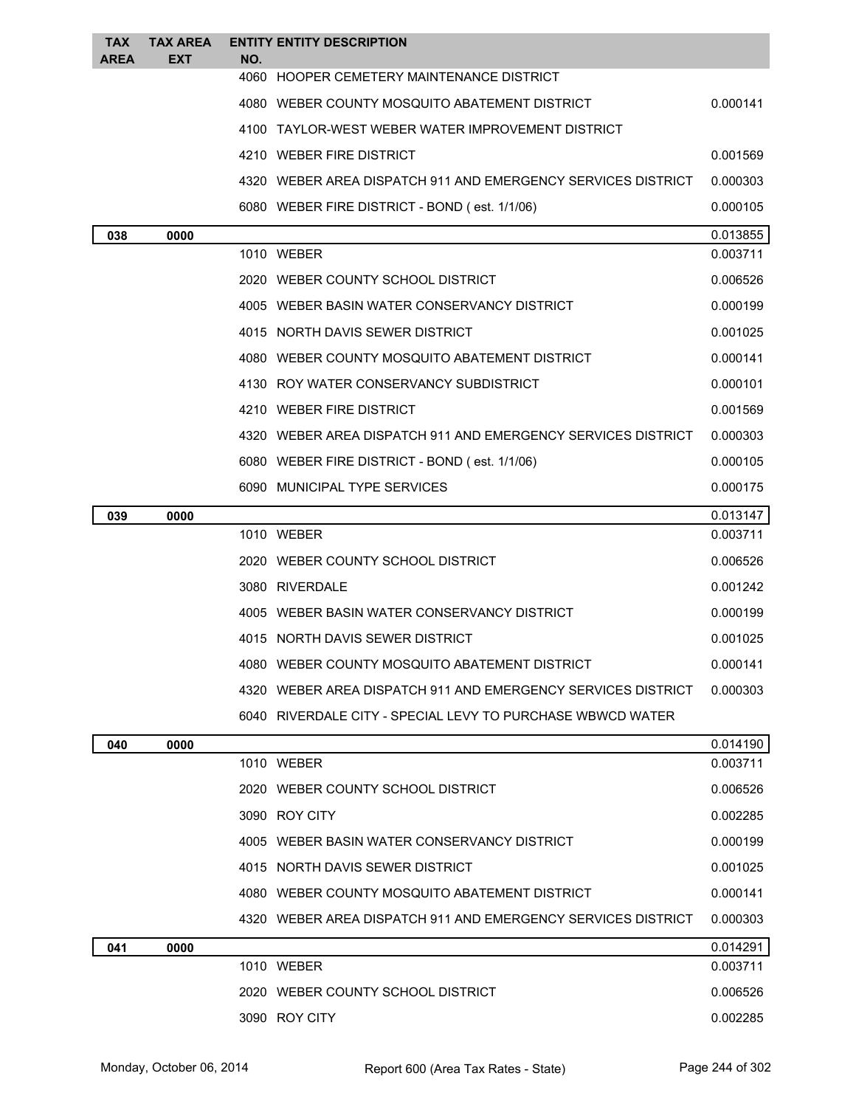| <b>TAX</b>  | <b>TAX AREA</b> |     | <b>ENTITY ENTITY DESCRIPTION</b>                             |          |
|-------------|-----------------|-----|--------------------------------------------------------------|----------|
| <b>AREA</b> | <b>EXT</b>      | NO. | 4060 HOOPER CEMETERY MAINTENANCE DISTRICT                    |          |
|             |                 |     | 4080 WEBER COUNTY MOSQUITO ABATEMENT DISTRICT                | 0.000141 |
|             |                 |     | 4100 TAYLOR-WEST WEBER WATER IMPROVEMENT DISTRICT            |          |
|             |                 |     | 4210 WEBER FIRE DISTRICT                                     | 0.001569 |
|             |                 |     | 4320 WEBER AREA DISPATCH 911 AND EMERGENCY SERVICES DISTRICT | 0.000303 |
|             |                 |     | 6080 WEBER FIRE DISTRICT - BOND (est. 1/1/06)                | 0.000105 |
|             | 0000            |     |                                                              | 0.013855 |
| 038         |                 |     | 1010 WEBER                                                   | 0.003711 |
|             |                 |     | 2020 WEBER COUNTY SCHOOL DISTRICT                            | 0.006526 |
|             |                 |     | 4005 WEBER BASIN WATER CONSERVANCY DISTRICT                  | 0.000199 |
|             |                 |     | 4015 NORTH DAVIS SEWER DISTRICT                              | 0.001025 |
|             |                 |     | 4080 WEBER COUNTY MOSQUITO ABATEMENT DISTRICT                | 0.000141 |
|             |                 |     | 4130 ROY WATER CONSERVANCY SUBDISTRICT                       | 0.000101 |
|             |                 |     | 4210 WEBER FIRE DISTRICT                                     | 0.001569 |
|             |                 |     | 4320 WEBER AREA DISPATCH 911 AND EMERGENCY SERVICES DISTRICT | 0.000303 |
|             |                 |     | 6080 WEBER FIRE DISTRICT - BOND (est. 1/1/06)                | 0.000105 |
|             |                 |     | 6090 MUNICIPAL TYPE SERVICES                                 | 0.000175 |
| 039         | 0000            |     |                                                              | 0.013147 |
|             |                 |     | 1010 WEBER                                                   | 0.003711 |
|             |                 |     | 2020 WEBER COUNTY SCHOOL DISTRICT                            | 0.006526 |
|             |                 |     | 3080 RIVERDALE                                               | 0.001242 |
|             |                 |     | 4005 WEBER BASIN WATER CONSERVANCY DISTRICT                  | 0.000199 |
|             |                 |     | 4015 NORTH DAVIS SEWER DISTRICT                              | 0.001025 |
|             |                 |     | 4080 WEBER COUNTY MOSQUITO ABATEMENT DISTRICT                | 0.000141 |
|             |                 |     | 4320 WEBER AREA DISPATCH 911 AND EMERGENCY SERVICES DISTRICT | 0.000303 |
|             |                 |     | 6040 RIVERDALE CITY - SPECIAL LEVY TO PURCHASE WBWCD WATER   |          |
| 040         | 0000            |     |                                                              | 0.014190 |
|             |                 |     | 1010 WEBER                                                   | 0.003711 |
|             |                 |     | 2020 WEBER COUNTY SCHOOL DISTRICT                            | 0.006526 |
|             |                 |     | 3090 ROY CITY                                                | 0.002285 |
|             |                 |     | 4005 WEBER BASIN WATER CONSERVANCY DISTRICT                  | 0.000199 |
|             |                 |     | 4015 NORTH DAVIS SEWER DISTRICT                              | 0.001025 |
|             |                 |     | 4080 WEBER COUNTY MOSQUITO ABATEMENT DISTRICT                | 0.000141 |
|             |                 |     | 4320 WEBER AREA DISPATCH 911 AND EMERGENCY SERVICES DISTRICT | 0.000303 |
| 041         | 0000            |     |                                                              | 0.014291 |
|             |                 |     | 1010 WEBER                                                   | 0.003711 |
|             |                 |     | 2020 WEBER COUNTY SCHOOL DISTRICT                            | 0.006526 |
|             |                 |     | 3090 ROY CITY                                                | 0.002285 |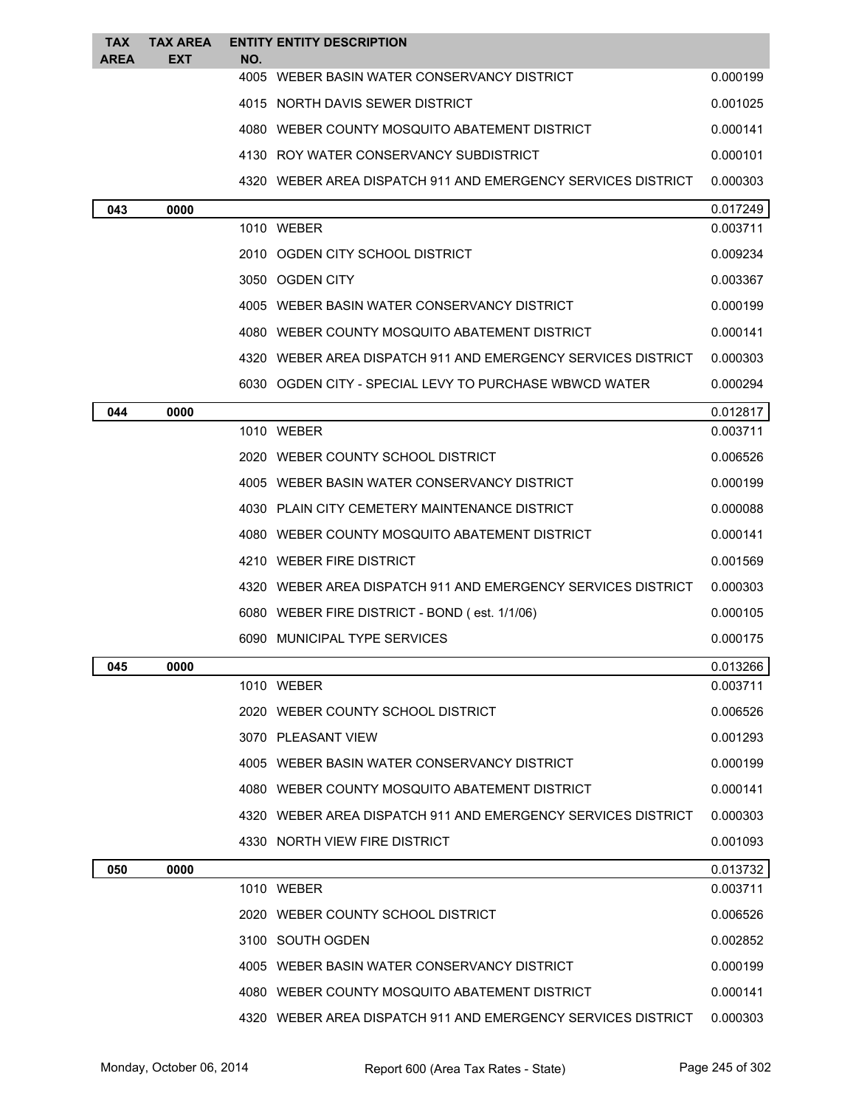| TAX<br>AREA | <b>TAX AREA</b><br><b>EXT</b> | NO. | <b>ENTITY ENTITY DESCRIPTION</b>                             |          |
|-------------|-------------------------------|-----|--------------------------------------------------------------|----------|
|             |                               |     | 4005 WEBER BASIN WATER CONSERVANCY DISTRICT                  | 0.000199 |
|             |                               |     | 4015 NORTH DAVIS SEWER DISTRICT                              | 0.001025 |
|             |                               |     | 4080 WEBER COUNTY MOSQUITO ABATEMENT DISTRICT                | 0.000141 |
|             |                               |     | 4130 ROY WATER CONSERVANCY SUBDISTRICT                       | 0.000101 |
|             |                               |     | 4320 WEBER AREA DISPATCH 911 AND EMERGENCY SERVICES DISTRICT | 0.000303 |
| 043         | 0000                          |     |                                                              | 0.017249 |
|             |                               |     | 1010 WEBER                                                   | 0.003711 |
|             |                               |     | 2010 OGDEN CITY SCHOOL DISTRICT                              | 0.009234 |
|             |                               |     | 3050 OGDEN CITY                                              | 0.003367 |
|             |                               |     | 4005 WEBER BASIN WATER CONSERVANCY DISTRICT                  | 0.000199 |
|             |                               |     | 4080 WEBER COUNTY MOSQUITO ABATEMENT DISTRICT                | 0.000141 |
|             |                               |     | 4320 WEBER AREA DISPATCH 911 AND EMERGENCY SERVICES DISTRICT | 0.000303 |
|             |                               |     | 6030 OGDEN CITY - SPECIAL LEVY TO PURCHASE WBWCD WATER       | 0.000294 |
| 044         | 0000                          |     |                                                              | 0.012817 |
|             |                               |     | 1010 WEBER                                                   | 0.003711 |
|             |                               |     | 2020 WEBER COUNTY SCHOOL DISTRICT                            | 0.006526 |
|             |                               |     | 4005 WEBER BASIN WATER CONSERVANCY DISTRICT                  | 0.000199 |
|             |                               |     | 4030 PLAIN CITY CEMETERY MAINTENANCE DISTRICT                | 0.000088 |
|             |                               |     | 4080 WEBER COUNTY MOSQUITO ABATEMENT DISTRICT                | 0.000141 |
|             |                               |     | 4210 WEBER FIRE DISTRICT                                     | 0.001569 |
|             |                               |     | 4320 WEBER AREA DISPATCH 911 AND EMERGENCY SERVICES DISTRICT | 0.000303 |
|             |                               |     | 6080 WEBER FIRE DISTRICT - BOND (est. 1/1/06)                | 0.000105 |
|             |                               |     | 6090 MUNICIPAL TYPE SERVICES                                 | 0.000175 |
| 045         | 0000                          |     |                                                              | 0.013266 |
|             |                               |     | 1010 WEBER                                                   | 0.003711 |
|             |                               |     | 2020 WEBER COUNTY SCHOOL DISTRICT                            | 0.006526 |
|             |                               |     | 3070 PLEASANT VIEW                                           | 0.001293 |
|             |                               |     | 4005 WEBER BASIN WATER CONSERVANCY DISTRICT                  | 0.000199 |
|             |                               |     | 4080 WEBER COUNTY MOSQUITO ABATEMENT DISTRICT                | 0.000141 |
|             |                               |     | 4320 WEBER AREA DISPATCH 911 AND EMERGENCY SERVICES DISTRICT | 0.000303 |
|             |                               |     | 4330 NORTH VIEW FIRE DISTRICT                                | 0.001093 |
| 050         | 0000                          |     |                                                              | 0.013732 |
|             |                               |     | 1010 WEBER                                                   | 0.003711 |
|             |                               |     | 2020 WEBER COUNTY SCHOOL DISTRICT                            | 0.006526 |
|             |                               |     | 3100 SOUTH OGDEN                                             | 0.002852 |
|             |                               |     | 4005 WEBER BASIN WATER CONSERVANCY DISTRICT                  | 0.000199 |
|             |                               |     | 4080 WEBER COUNTY MOSQUITO ABATEMENT DISTRICT                | 0.000141 |
|             |                               |     | 4320 WEBER AREA DISPATCH 911 AND EMERGENCY SERVICES DISTRICT | 0.000303 |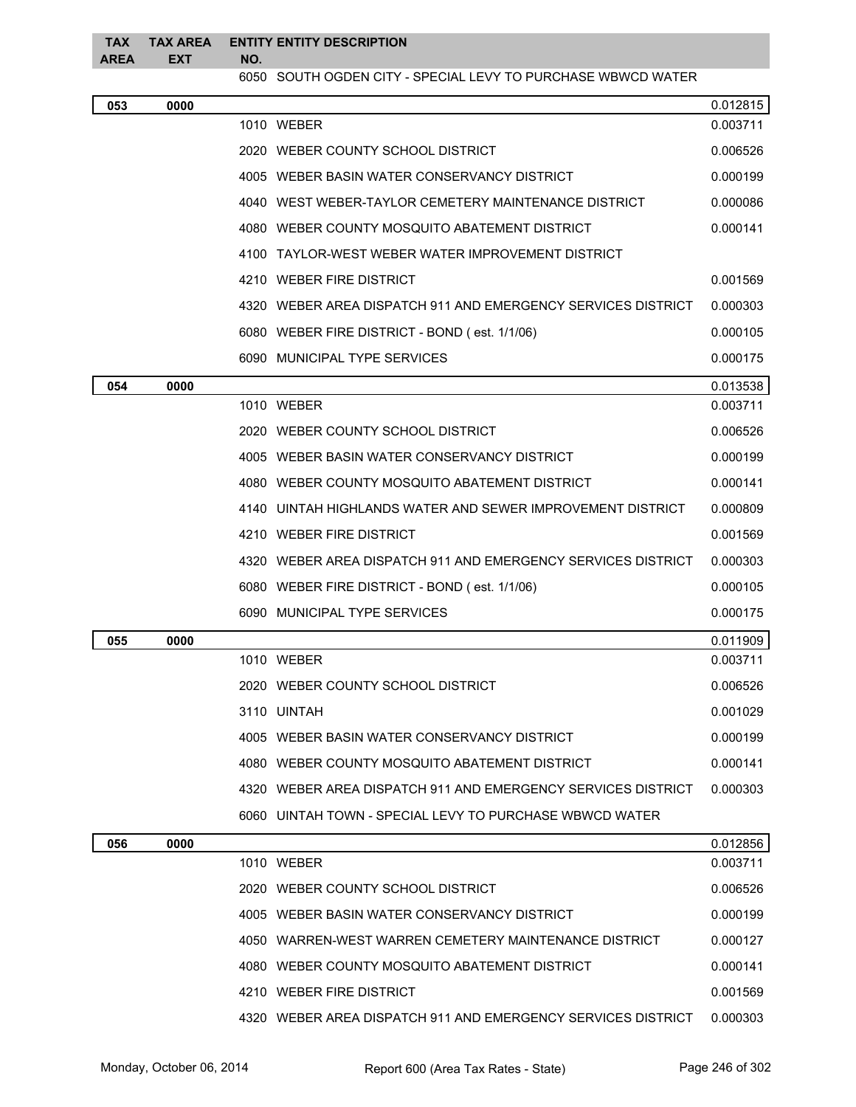| <b>TAX</b><br><b>AREA</b> | <b>TAX AREA</b><br><b>EXT</b> | NO. | <b>ENTITY ENTITY DESCRIPTION</b>                             |          |
|---------------------------|-------------------------------|-----|--------------------------------------------------------------|----------|
|                           |                               |     | 6050 SOUTH OGDEN CITY - SPECIAL LEVY TO PURCHASE WBWCD WATER |          |
| 053                       | 0000                          |     |                                                              | 0.012815 |
|                           |                               |     | 1010 WEBER                                                   | 0.003711 |
|                           |                               |     | 2020 WEBER COUNTY SCHOOL DISTRICT                            | 0.006526 |
|                           |                               |     | 4005 WEBER BASIN WATER CONSERVANCY DISTRICT                  | 0.000199 |
|                           |                               |     | 4040 WEST WEBER-TAYLOR CEMETERY MAINTENANCE DISTRICT         | 0.000086 |
|                           |                               |     | 4080 WEBER COUNTY MOSQUITO ABATEMENT DISTRICT                | 0.000141 |
|                           |                               |     | 4100 TAYLOR-WEST WEBER WATER IMPROVEMENT DISTRICT            |          |
|                           |                               |     | 4210 WEBER FIRE DISTRICT                                     | 0.001569 |
|                           |                               |     | 4320 WEBER AREA DISPATCH 911 AND EMERGENCY SERVICES DISTRICT | 0.000303 |
|                           |                               |     | 6080 WEBER FIRE DISTRICT - BOND (est. 1/1/06)                | 0.000105 |
|                           |                               |     | 6090 MUNICIPAL TYPE SERVICES                                 | 0.000175 |
| 054                       | 0000                          |     |                                                              | 0.013538 |
|                           |                               |     | 1010 WEBER                                                   | 0.003711 |
|                           |                               |     | 2020 WEBER COUNTY SCHOOL DISTRICT                            | 0.006526 |
|                           |                               |     | 4005 WEBER BASIN WATER CONSERVANCY DISTRICT                  | 0.000199 |
|                           |                               |     | 4080 WEBER COUNTY MOSQUITO ABATEMENT DISTRICT                | 0.000141 |
|                           |                               |     | 4140 UINTAH HIGHLANDS WATER AND SEWER IMPROVEMENT DISTRICT   | 0.000809 |
|                           |                               |     | 4210 WEBER FIRE DISTRICT                                     | 0.001569 |
|                           |                               |     | 4320 WEBER AREA DISPATCH 911 AND EMERGENCY SERVICES DISTRICT | 0.000303 |
|                           |                               |     | 6080 WEBER FIRE DISTRICT - BOND (est. 1/1/06)                | 0.000105 |
|                           |                               |     | 6090 MUNICIPAL TYPE SERVICES                                 | 0.000175 |
| 055                       | 0000                          |     |                                                              | 0.011909 |
|                           |                               |     | 1010 WEBER                                                   | 0.003711 |
|                           |                               |     | 2020 WEBER COUNTY SCHOOL DISTRICT                            | 0.006526 |
|                           |                               |     | 3110 UINTAH                                                  | 0.001029 |
|                           |                               |     | 4005 WEBER BASIN WATER CONSERVANCY DISTRICT                  | 0.000199 |
|                           |                               |     | 4080 WEBER COUNTY MOSQUITO ABATEMENT DISTRICT                | 0.000141 |
|                           |                               |     | 4320 WEBER AREA DISPATCH 911 AND EMERGENCY SERVICES DISTRICT | 0.000303 |
|                           |                               |     | 6060 UINTAH TOWN - SPECIAL LEVY TO PURCHASE WBWCD WATER      |          |
| 056                       | 0000                          |     |                                                              | 0.012856 |
|                           |                               |     | 1010 WEBER                                                   | 0.003711 |
|                           |                               |     | 2020 WEBER COUNTY SCHOOL DISTRICT                            | 0.006526 |
|                           |                               |     | 4005 WEBER BASIN WATER CONSERVANCY DISTRICT                  | 0.000199 |
|                           |                               |     | 4050 WARREN-WEST WARREN CEMETERY MAINTENANCE DISTRICT        | 0.000127 |
|                           |                               |     | 4080 WEBER COUNTY MOSQUITO ABATEMENT DISTRICT                | 0.000141 |
|                           |                               |     | 4210 WEBER FIRE DISTRICT                                     | 0.001569 |
|                           |                               |     | 4320 WEBER AREA DISPATCH 911 AND EMERGENCY SERVICES DISTRICT | 0.000303 |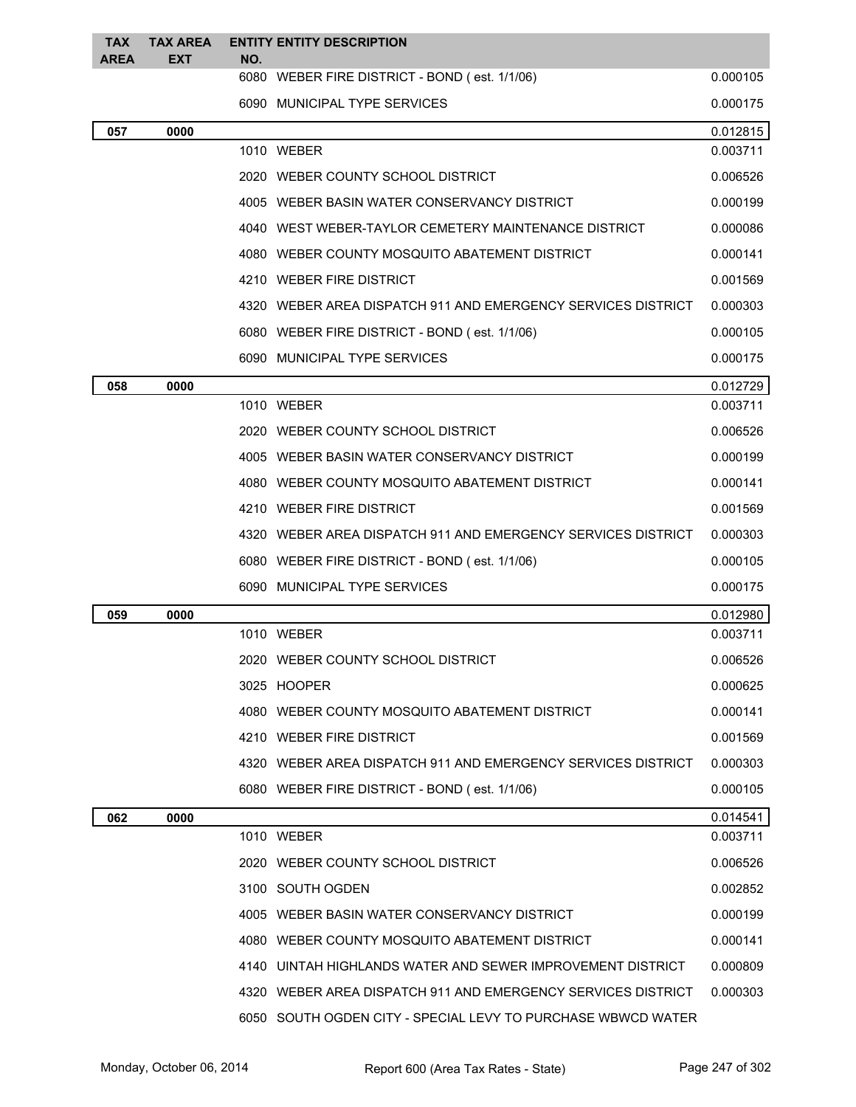| <b>TAX</b><br><b>AREA</b> | <b>TAX AREA</b><br><b>EXT</b> | NO. | <b>ENTITY ENTITY DESCRIPTION</b>                             |          |
|---------------------------|-------------------------------|-----|--------------------------------------------------------------|----------|
|                           |                               |     | 6080 WEBER FIRE DISTRICT - BOND (est. 1/1/06)                | 0.000105 |
|                           |                               |     | 6090 MUNICIPAL TYPE SERVICES                                 | 0.000175 |
| 057                       | 0000                          |     |                                                              | 0.012815 |
|                           |                               |     | 1010 WEBER                                                   | 0.003711 |
|                           |                               |     | 2020 WEBER COUNTY SCHOOL DISTRICT                            | 0.006526 |
|                           |                               |     | 4005 WEBER BASIN WATER CONSERVANCY DISTRICT                  | 0.000199 |
|                           |                               |     | 4040 WEST WEBER-TAYLOR CEMETERY MAINTENANCE DISTRICT         | 0.000086 |
|                           |                               |     | 4080 WEBER COUNTY MOSQUITO ABATEMENT DISTRICT                | 0.000141 |
|                           |                               |     | 4210 WEBER FIRE DISTRICT                                     | 0.001569 |
|                           |                               |     | 4320 WEBER AREA DISPATCH 911 AND EMERGENCY SERVICES DISTRICT | 0.000303 |
|                           |                               |     | 6080 WEBER FIRE DISTRICT - BOND (est. 1/1/06)                | 0.000105 |
|                           |                               |     | 6090 MUNICIPAL TYPE SERVICES                                 | 0.000175 |
| 058                       | 0000                          |     |                                                              | 0.012729 |
|                           |                               |     | 1010 WEBER                                                   | 0.003711 |
|                           |                               |     | 2020 WEBER COUNTY SCHOOL DISTRICT                            | 0.006526 |
|                           |                               |     | 4005 WEBER BASIN WATER CONSERVANCY DISTRICT                  | 0.000199 |
|                           |                               |     | 4080 WEBER COUNTY MOSQUITO ABATEMENT DISTRICT                | 0.000141 |
|                           |                               |     | 4210 WEBER FIRE DISTRICT                                     | 0.001569 |
|                           |                               |     | 4320 WEBER AREA DISPATCH 911 AND EMERGENCY SERVICES DISTRICT | 0.000303 |
|                           |                               |     | 6080 WEBER FIRE DISTRICT - BOND (est. 1/1/06)                | 0.000105 |
|                           |                               |     | 6090 MUNICIPAL TYPE SERVICES                                 | 0.000175 |
| 059                       | 0000                          |     |                                                              | 0.012980 |
|                           |                               |     | 1010 WEBER                                                   | 0.003711 |
|                           |                               |     | 2020 WEBER COUNTY SCHOOL DISTRICT                            | 0.006526 |
|                           |                               |     | 3025 HOOPER                                                  | 0.000625 |
|                           |                               |     | 4080 WEBER COUNTY MOSQUITO ABATEMENT DISTRICT                | 0.000141 |
|                           |                               |     | 4210 WEBER FIRE DISTRICT                                     | 0.001569 |
|                           |                               |     | 4320 WEBER AREA DISPATCH 911 AND EMERGENCY SERVICES DISTRICT | 0.000303 |
|                           |                               |     | 6080 WEBER FIRE DISTRICT - BOND (est. 1/1/06)                | 0.000105 |
| 062                       | 0000                          |     |                                                              | 0.014541 |
|                           |                               |     | 1010 WEBER                                                   | 0.003711 |
|                           |                               |     | 2020 WEBER COUNTY SCHOOL DISTRICT                            | 0.006526 |
|                           |                               |     | 3100 SOUTH OGDEN                                             | 0.002852 |
|                           |                               |     | 4005 WEBER BASIN WATER CONSERVANCY DISTRICT                  | 0.000199 |
|                           |                               |     | 4080 WEBER COUNTY MOSQUITO ABATEMENT DISTRICT                | 0.000141 |
|                           |                               |     | 4140 UINTAH HIGHLANDS WATER AND SEWER IMPROVEMENT DISTRICT   | 0.000809 |
|                           |                               |     | 4320 WEBER AREA DISPATCH 911 AND EMERGENCY SERVICES DISTRICT | 0.000303 |
|                           |                               |     | 6050 SOUTH OGDEN CITY - SPECIAL LEVY TO PURCHASE WBWCD WATER |          |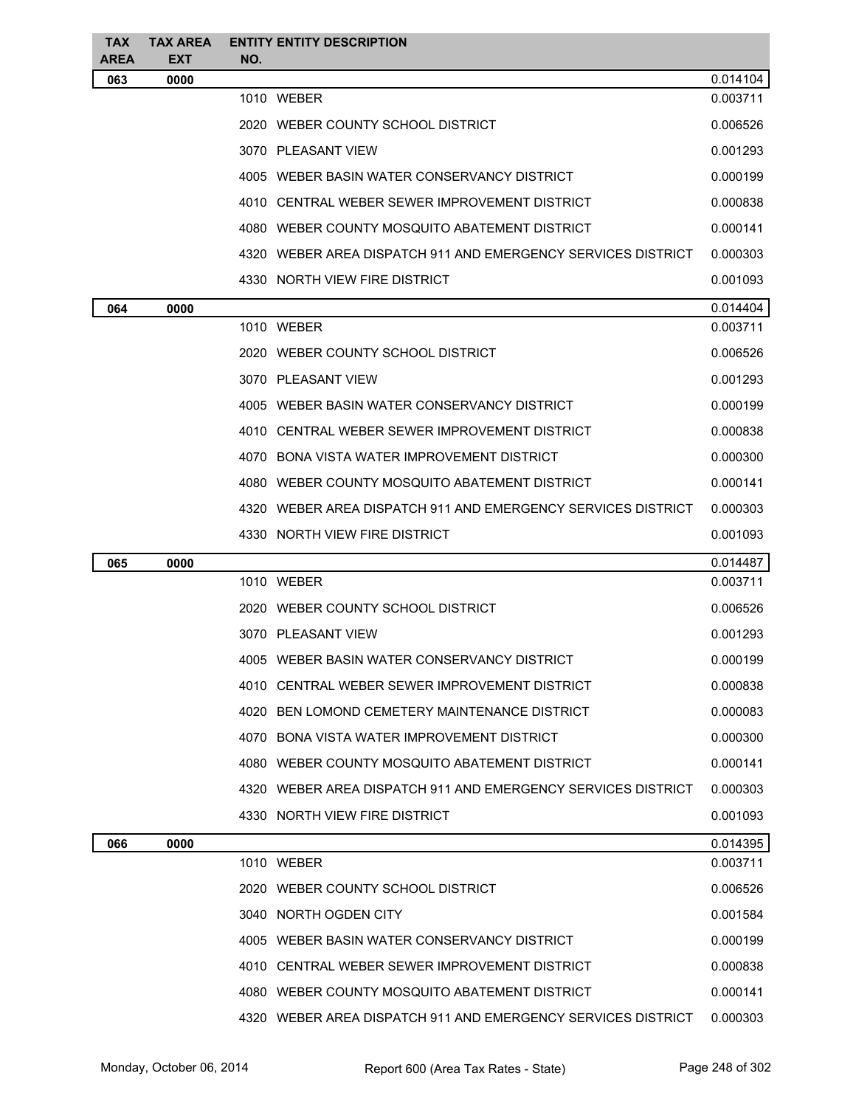| <b>TAX</b><br>AREA | <b>TAX AREA</b><br><b>EXT</b> | NO. | <b>ENTITY ENTITY DESCRIPTION</b>                             |          |
|--------------------|-------------------------------|-----|--------------------------------------------------------------|----------|
| 063                | 0000                          |     |                                                              | 0.014104 |
|                    |                               |     | 1010 WEBER                                                   | 0.003711 |
|                    |                               |     | 2020 WEBER COUNTY SCHOOL DISTRICT                            | 0.006526 |
|                    |                               |     | 3070 PLEASANT VIEW                                           | 0.001293 |
|                    |                               |     | 4005 WEBER BASIN WATER CONSERVANCY DISTRICT                  | 0.000199 |
|                    |                               |     | 4010 CENTRAL WEBER SEWER IMPROVEMENT DISTRICT                | 0.000838 |
|                    |                               |     | 4080 WEBER COUNTY MOSQUITO ABATEMENT DISTRICT                | 0.000141 |
|                    |                               |     | 4320 WEBER AREA DISPATCH 911 AND EMERGENCY SERVICES DISTRICT | 0.000303 |
|                    |                               |     | 4330 NORTH VIEW FIRE DISTRICT                                | 0.001093 |
| 064                | 0000                          |     |                                                              | 0.014404 |
|                    |                               |     | 1010 WEBER                                                   | 0.003711 |
|                    |                               |     | 2020 WEBER COUNTY SCHOOL DISTRICT                            | 0.006526 |
|                    |                               |     | 3070 PLEASANT VIEW                                           | 0.001293 |
|                    |                               |     | 4005 WEBER BASIN WATER CONSERVANCY DISTRICT                  | 0.000199 |
|                    |                               |     | 4010 CENTRAL WEBER SEWER IMPROVEMENT DISTRICT                | 0.000838 |
|                    |                               |     | 4070 BONA VISTA WATER IMPROVEMENT DISTRICT                   | 0.000300 |
|                    |                               |     | 4080 WEBER COUNTY MOSQUITO ABATEMENT DISTRICT                | 0.000141 |
|                    |                               |     | 4320 WEBER AREA DISPATCH 911 AND EMERGENCY SERVICES DISTRICT | 0.000303 |
|                    |                               |     | 4330 NORTH VIEW FIRE DISTRICT                                | 0.001093 |
| 065                | 0000                          |     |                                                              | 0.014487 |
|                    |                               |     | 1010 WEBER                                                   | 0.003711 |
|                    |                               |     | 2020 WEBER COUNTY SCHOOL DISTRICT                            | 0.006526 |
|                    |                               |     | 3070 PLEASANT VIEW                                           | 0.001293 |
|                    |                               |     | 4005 WEBER BASIN WATER CONSERVANCY DISTRICT                  | 0.000199 |
|                    |                               |     | 4010 CENTRAL WEBER SEWER IMPROVEMENT DISTRICT                | 0.000838 |
|                    |                               |     | 4020 BEN LOMOND CEMETERY MAINTENANCE DISTRICT                | 0.000083 |
|                    |                               |     | 4070 BONA VISTA WATER IMPROVEMENT DISTRICT                   | 0.000300 |
|                    |                               |     | 4080 WEBER COUNTY MOSQUITO ABATEMENT DISTRICT                | 0.000141 |
|                    |                               |     | 4320 WEBER AREA DISPATCH 911 AND EMERGENCY SERVICES DISTRICT | 0.000303 |
|                    |                               |     | 4330 NORTH VIEW FIRE DISTRICT                                | 0.001093 |
| 066                | 0000                          |     |                                                              | 0.014395 |
|                    |                               |     | 1010 WEBER                                                   | 0.003711 |
|                    |                               |     | 2020 WEBER COUNTY SCHOOL DISTRICT                            | 0.006526 |
|                    |                               |     | 3040 NORTH OGDEN CITY                                        | 0.001584 |
|                    |                               |     | 4005 WEBER BASIN WATER CONSERVANCY DISTRICT                  | 0.000199 |
|                    |                               |     | 4010 CENTRAL WEBER SEWER IMPROVEMENT DISTRICT                | 0.000838 |
|                    |                               |     | 4080 WEBER COUNTY MOSQUITO ABATEMENT DISTRICT                | 0.000141 |
|                    |                               |     | 4320 WEBER AREA DISPATCH 911 AND EMERGENCY SERVICES DISTRICT | 0.000303 |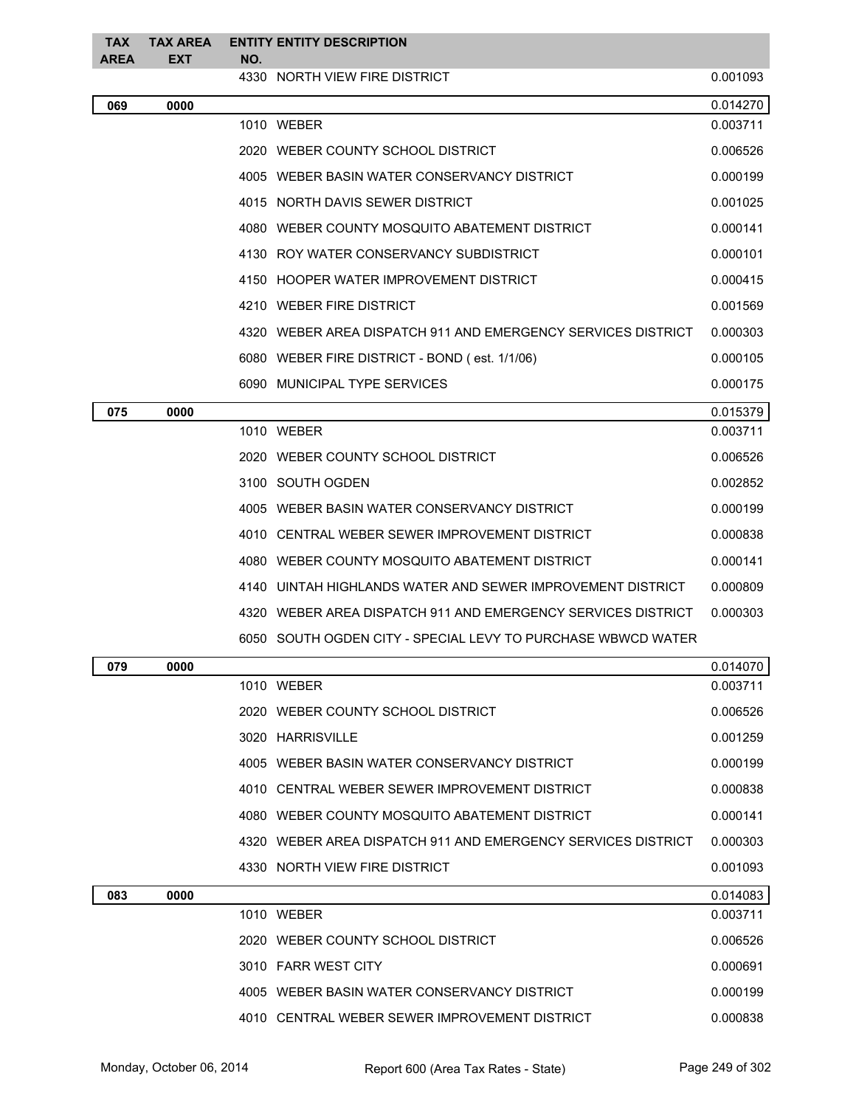| TAX<br><b>AREA</b> | <b>TAX AREA</b><br><b>EXT</b> | NO. | <b>ENTITY ENTITY DESCRIPTION</b>                             |          |
|--------------------|-------------------------------|-----|--------------------------------------------------------------|----------|
|                    |                               |     | 4330 NORTH VIEW FIRE DISTRICT                                | 0.001093 |
| 069                | 0000                          |     |                                                              | 0.014270 |
|                    |                               |     | 1010 WEBER                                                   | 0.003711 |
|                    |                               |     | 2020 WEBER COUNTY SCHOOL DISTRICT                            | 0.006526 |
|                    |                               |     | 4005 WEBER BASIN WATER CONSERVANCY DISTRICT                  | 0.000199 |
|                    |                               |     | 4015 NORTH DAVIS SEWER DISTRICT                              | 0.001025 |
|                    |                               |     | 4080 WEBER COUNTY MOSQUITO ABATEMENT DISTRICT                | 0.000141 |
|                    |                               |     | 4130 ROY WATER CONSERVANCY SUBDISTRICT                       | 0.000101 |
|                    |                               |     | 4150 HOOPER WATER IMPROVEMENT DISTRICT                       | 0.000415 |
|                    |                               |     | 4210 WEBER FIRE DISTRICT                                     | 0.001569 |
|                    |                               |     | 4320 WEBER AREA DISPATCH 911 AND EMERGENCY SERVICES DISTRICT | 0.000303 |
|                    |                               |     | 6080 WEBER FIRE DISTRICT - BOND (est. 1/1/06)                | 0.000105 |
|                    |                               |     | 6090 MUNICIPAL TYPE SERVICES                                 | 0.000175 |
| 075                | 0000                          |     |                                                              | 0.015379 |
|                    |                               |     | 1010 WEBER                                                   | 0.003711 |
|                    |                               |     | 2020 WEBER COUNTY SCHOOL DISTRICT                            | 0.006526 |
|                    |                               |     | 3100 SOUTH OGDEN                                             | 0.002852 |
|                    |                               |     | 4005 WEBER BASIN WATER CONSERVANCY DISTRICT                  | 0.000199 |
|                    |                               |     | 4010 CENTRAL WEBER SEWER IMPROVEMENT DISTRICT                | 0.000838 |
|                    |                               |     | 4080 WEBER COUNTY MOSQUITO ABATEMENT DISTRICT                | 0.000141 |
|                    |                               |     | 4140 UINTAH HIGHLANDS WATER AND SEWER IMPROVEMENT DISTRICT   | 0.000809 |
|                    |                               |     | 4320 WEBER AREA DISPATCH 911 AND EMERGENCY SERVICES DISTRICT | 0.000303 |
|                    |                               |     | 6050 SOUTH OGDEN CITY - SPECIAL LEVY TO PURCHASE WBWCD WATER |          |
| 079                | 0000                          |     |                                                              | 0.014070 |
|                    |                               |     | 1010 WEBER                                                   | 0.003711 |
|                    |                               |     | 2020 WEBER COUNTY SCHOOL DISTRICT                            | 0.006526 |
|                    |                               |     | 3020 HARRISVILLE                                             | 0.001259 |
|                    |                               |     | 4005 WEBER BASIN WATER CONSERVANCY DISTRICT                  | 0.000199 |
|                    |                               |     | 4010 CENTRAL WEBER SEWER IMPROVEMENT DISTRICT                | 0.000838 |
|                    |                               |     | 4080 WEBER COUNTY MOSQUITO ABATEMENT DISTRICT                | 0.000141 |
|                    |                               |     | 4320 WEBER AREA DISPATCH 911 AND EMERGENCY SERVICES DISTRICT | 0.000303 |
|                    |                               |     | 4330 NORTH VIEW FIRE DISTRICT                                | 0.001093 |
| 083                | 0000                          |     |                                                              | 0.014083 |
|                    |                               |     | 1010 WEBER                                                   | 0.003711 |
|                    |                               |     | 2020 WEBER COUNTY SCHOOL DISTRICT                            | 0.006526 |
|                    |                               |     | 3010 FARR WEST CITY                                          | 0.000691 |
|                    |                               |     | 4005 WEBER BASIN WATER CONSERVANCY DISTRICT                  | 0.000199 |
|                    |                               |     | 4010 CENTRAL WEBER SEWER IMPROVEMENT DISTRICT                | 0.000838 |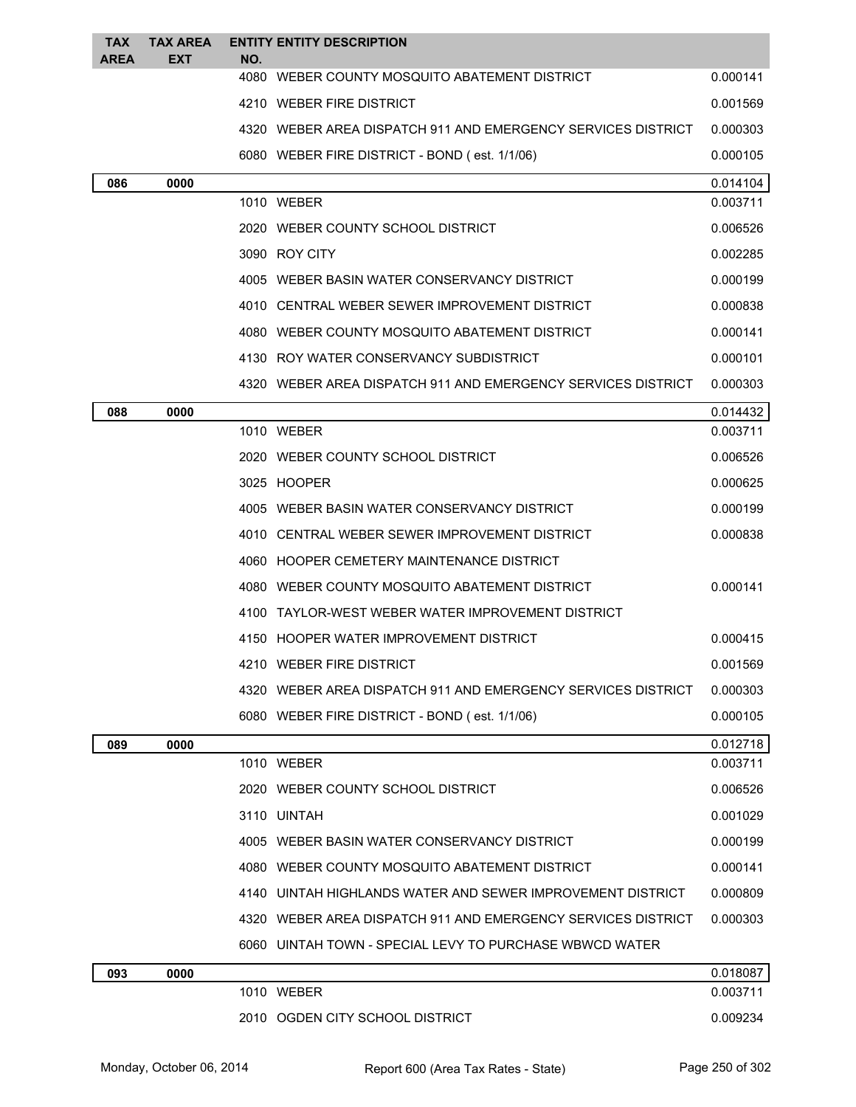| <b>TAX</b>  | <b>TAX AREA</b> |     | <b>ENTITY ENTITY DESCRIPTION</b>                             |          |
|-------------|-----------------|-----|--------------------------------------------------------------|----------|
| <b>AREA</b> | <b>EXT</b>      | NO. | 4080 WEBER COUNTY MOSQUITO ABATEMENT DISTRICT                | 0.000141 |
|             |                 |     | 4210 WEBER FIRE DISTRICT                                     | 0.001569 |
|             |                 |     | 4320 WEBER AREA DISPATCH 911 AND EMERGENCY SERVICES DISTRICT | 0.000303 |
|             |                 |     | 6080 WEBER FIRE DISTRICT - BOND (est. 1/1/06)                | 0.000105 |
| 086         | 0000            |     |                                                              | 0.014104 |
|             |                 |     | 1010 WEBER                                                   | 0.003711 |
|             |                 |     | 2020 WEBER COUNTY SCHOOL DISTRICT                            | 0.006526 |
|             |                 |     | 3090 ROY CITY                                                | 0.002285 |
|             |                 |     | 4005 WEBER BASIN WATER CONSERVANCY DISTRICT                  | 0.000199 |
|             |                 |     | 4010 CENTRAL WEBER SEWER IMPROVEMENT DISTRICT                | 0.000838 |
|             |                 |     | 4080 WEBER COUNTY MOSQUITO ABATEMENT DISTRICT                | 0.000141 |
|             |                 |     | 4130 ROY WATER CONSERVANCY SUBDISTRICT                       | 0.000101 |
|             |                 |     | 4320 WEBER AREA DISPATCH 911 AND EMERGENCY SERVICES DISTRICT | 0.000303 |
| 088         | 0000            |     |                                                              | 0.014432 |
|             |                 |     | 1010 WEBER                                                   | 0.003711 |
|             |                 |     | 2020 WEBER COUNTY SCHOOL DISTRICT                            | 0.006526 |
|             |                 |     | 3025 HOOPER                                                  | 0.000625 |
|             |                 |     | 4005 WEBER BASIN WATER CONSERVANCY DISTRICT                  | 0.000199 |
|             |                 |     | 4010 CENTRAL WEBER SEWER IMPROVEMENT DISTRICT                | 0.000838 |
|             |                 |     | 4060 HOOPER CEMETERY MAINTENANCE DISTRICT                    |          |
|             |                 |     | 4080 WEBER COUNTY MOSQUITO ABATEMENT DISTRICT                | 0.000141 |
|             |                 |     | 4100 TAYLOR-WEST WEBER WATER IMPROVEMENT DISTRICT            |          |
|             |                 |     | 4150 HOOPER WATER IMPROVEMENT DISTRICT                       | 0.000415 |
|             |                 |     | 4210 WEBER FIRE DISTRICT                                     | 0.001569 |
|             |                 |     | 4320 WEBER AREA DISPATCH 911 AND EMERGENCY SERVICES DISTRICT | 0.000303 |
|             |                 |     | 6080 WEBER FIRE DISTRICT - BOND (est. 1/1/06)                | 0.000105 |
| 089         | 0000            |     |                                                              | 0.012718 |
|             |                 |     | 1010 WEBER                                                   | 0.003711 |
|             |                 |     | 2020 WEBER COUNTY SCHOOL DISTRICT                            | 0.006526 |
|             |                 |     | 3110 UINTAH                                                  | 0.001029 |
|             |                 |     | 4005 WEBER BASIN WATER CONSERVANCY DISTRICT                  | 0.000199 |
|             |                 |     | 4080 WEBER COUNTY MOSQUITO ABATEMENT DISTRICT                | 0.000141 |
|             |                 |     | 4140 UINTAH HIGHLANDS WATER AND SEWER IMPROVEMENT DISTRICT   | 0.000809 |
|             |                 |     | 4320 WEBER AREA DISPATCH 911 AND EMERGENCY SERVICES DISTRICT | 0.000303 |
|             |                 |     | 6060 UINTAH TOWN - SPECIAL LEVY TO PURCHASE WBWCD WATER      |          |
| 093         | 0000            |     |                                                              | 0.018087 |
|             |                 |     | 1010 WEBER                                                   | 0.003711 |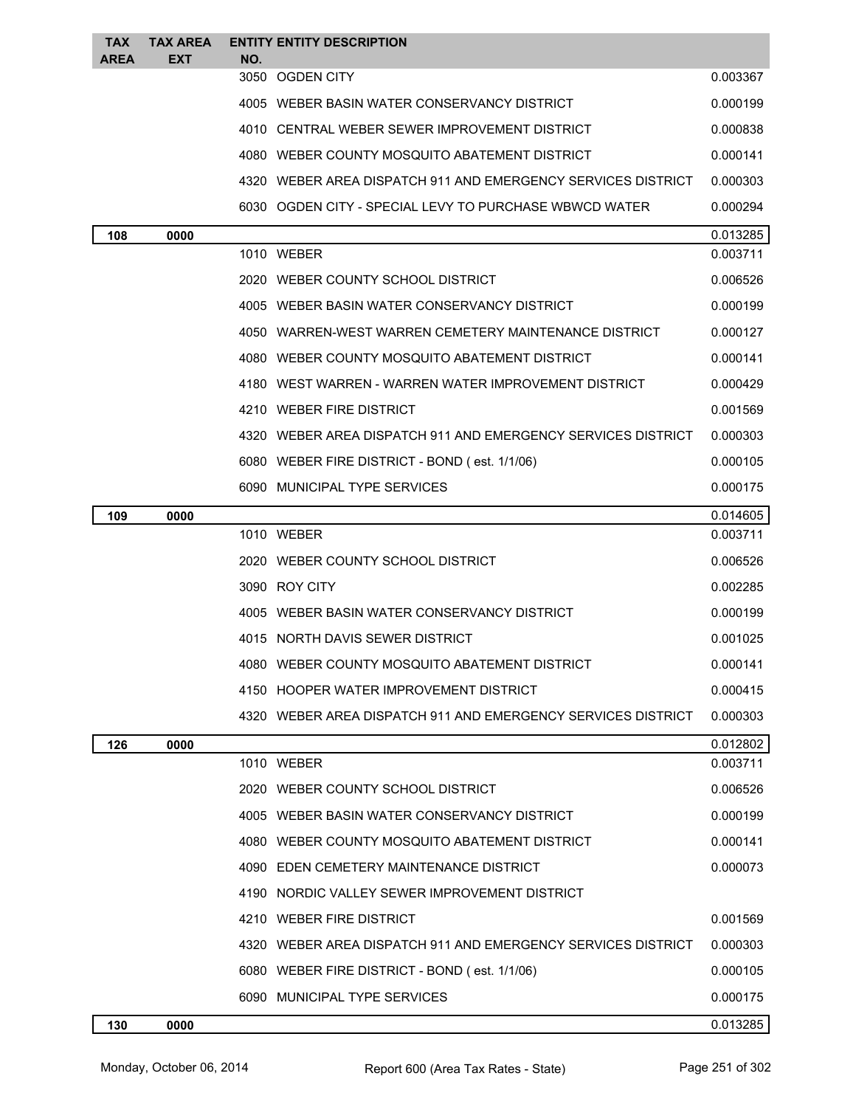| <b>TAX</b><br><b>AREA</b> | <b>TAX AREA</b><br>EXT | NO.  | <b>ENTITY ENTITY DESCRIPTION</b>                             |          |
|---------------------------|------------------------|------|--------------------------------------------------------------|----------|
|                           |                        |      | 3050 OGDEN CITY                                              | 0.003367 |
|                           |                        |      | 4005 WEBER BASIN WATER CONSERVANCY DISTRICT                  | 0.000199 |
|                           |                        |      | 4010 CENTRAL WEBER SEWER IMPROVEMENT DISTRICT                | 0.000838 |
|                           |                        |      | 4080 WEBER COUNTY MOSQUITO ABATEMENT DISTRICT                | 0.000141 |
|                           |                        |      | 4320 WEBER AREA DISPATCH 911 AND EMERGENCY SERVICES DISTRICT | 0.000303 |
|                           |                        |      | 6030 OGDEN CITY - SPECIAL LEVY TO PURCHASE WBWCD WATER       | 0.000294 |
| 108                       | 0000                   |      |                                                              | 0.013285 |
|                           |                        |      | 1010 WEBER                                                   | 0.003711 |
|                           |                        |      | 2020 WEBER COUNTY SCHOOL DISTRICT                            | 0.006526 |
|                           |                        |      | 4005 WEBER BASIN WATER CONSERVANCY DISTRICT                  | 0.000199 |
|                           |                        |      | 4050 WARREN-WEST WARREN CEMETERY MAINTENANCE DISTRICT        | 0.000127 |
|                           |                        |      | 4080 WEBER COUNTY MOSQUITO ABATEMENT DISTRICT                | 0.000141 |
|                           |                        |      | 4180 WEST WARREN - WARREN WATER IMPROVEMENT DISTRICT         | 0.000429 |
|                           |                        |      | 4210 WEBER FIRE DISTRICT                                     | 0.001569 |
|                           |                        |      | 4320 WEBER AREA DISPATCH 911 AND EMERGENCY SERVICES DISTRICT | 0.000303 |
|                           |                        |      | 6080 WEBER FIRE DISTRICT - BOND (est. 1/1/06)                | 0.000105 |
|                           |                        |      | 6090 MUNICIPAL TYPE SERVICES                                 | 0.000175 |
| 109                       | 0000                   |      |                                                              | 0.014605 |
|                           |                        |      | 1010 WEBER                                                   | 0.003711 |
|                           |                        |      | 2020 WEBER COUNTY SCHOOL DISTRICT                            | 0.006526 |
|                           |                        |      | 3090 ROY CITY                                                | 0.002285 |
|                           |                        |      | 4005 WEBER BASIN WATER CONSERVANCY DISTRICT                  | 0.000199 |
|                           |                        |      | 4015 NORTH DAVIS SEWER DISTRICT                              | 0.001025 |
|                           |                        | 4080 | WEBER COUNTY MOSQUITO ABATEMENT DISTRICT                     | 0.000141 |
|                           |                        |      | 4150 HOOPER WATER IMPROVEMENT DISTRICT                       | 0.000415 |
|                           |                        |      | 4320 WEBER AREA DISPATCH 911 AND EMERGENCY SERVICES DISTRICT | 0.000303 |
| 126                       | 0000                   |      |                                                              | 0.012802 |
|                           |                        |      | 1010 WEBER                                                   | 0.003711 |
|                           |                        |      | 2020 WEBER COUNTY SCHOOL DISTRICT                            | 0.006526 |
|                           |                        |      | 4005 WEBER BASIN WATER CONSERVANCY DISTRICT                  | 0.000199 |
|                           |                        |      | 4080 WEBER COUNTY MOSQUITO ABATEMENT DISTRICT                | 0.000141 |
|                           |                        |      | 4090 EDEN CEMETERY MAINTENANCE DISTRICT                      | 0.000073 |
|                           |                        |      | 4190 NORDIC VALLEY SEWER IMPROVEMENT DISTRICT                |          |
|                           |                        |      | 4210 WEBER FIRE DISTRICT                                     | 0.001569 |
|                           |                        |      | 4320 WEBER AREA DISPATCH 911 AND EMERGENCY SERVICES DISTRICT | 0.000303 |
|                           |                        |      | 6080 WEBER FIRE DISTRICT - BOND (est. 1/1/06)                | 0.000105 |
|                           |                        |      | 6090 MUNICIPAL TYPE SERVICES                                 | 0.000175 |
| 130                       | 0000                   |      |                                                              | 0.013285 |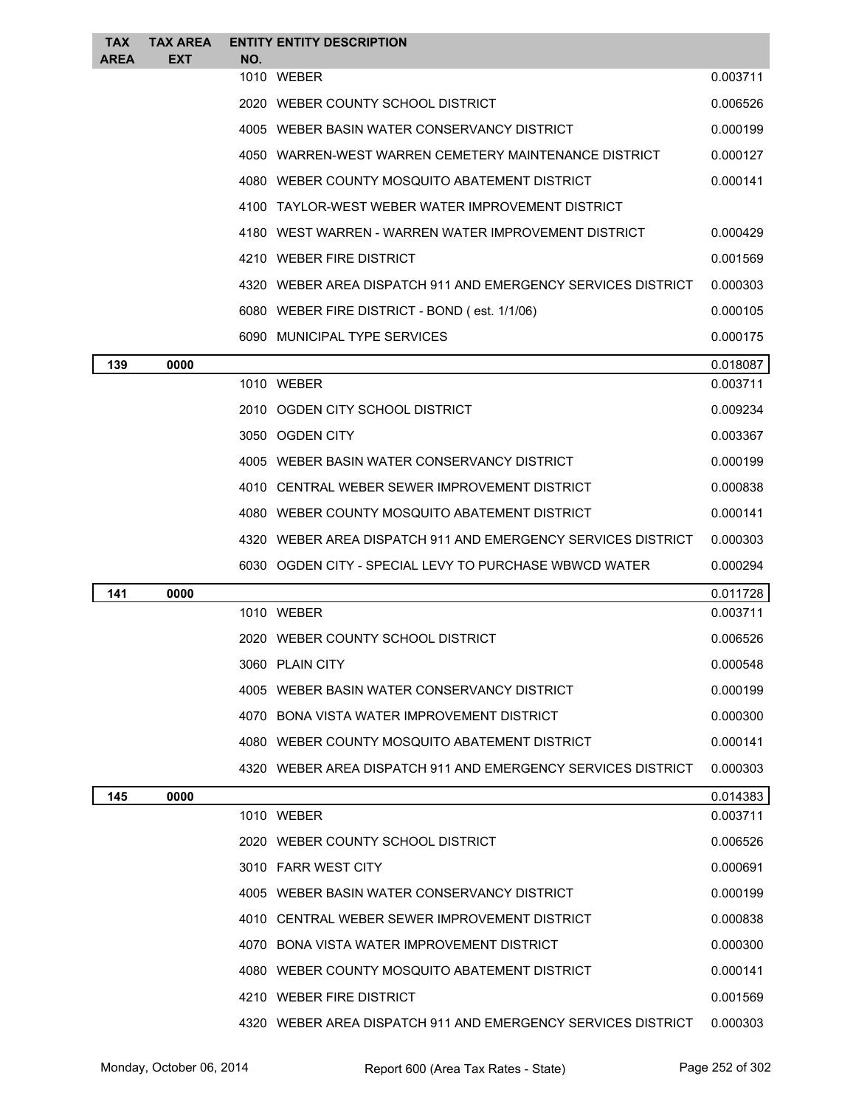| <b>TAX</b><br><b>AREA</b> | <b>TAX AREA</b><br><b>EXT</b> | NO. | <b>ENTITY ENTITY DESCRIPTION</b>                             |          |
|---------------------------|-------------------------------|-----|--------------------------------------------------------------|----------|
|                           |                               |     | 1010 WEBER                                                   | 0.003711 |
|                           |                               |     | 2020 WEBER COUNTY SCHOOL DISTRICT                            | 0.006526 |
|                           |                               |     | 4005 WEBER BASIN WATER CONSERVANCY DISTRICT                  | 0.000199 |
|                           |                               |     | 4050 WARREN-WEST WARREN CEMETERY MAINTENANCE DISTRICT        | 0.000127 |
|                           |                               |     | 4080 WEBER COUNTY MOSQUITO ABATEMENT DISTRICT                | 0.000141 |
|                           |                               |     | 4100 TAYLOR-WEST WEBER WATER IMPROVEMENT DISTRICT            |          |
|                           |                               |     | 4180 WEST WARREN - WARREN WATER IMPROVEMENT DISTRICT         | 0.000429 |
|                           |                               |     | 4210 WEBER FIRE DISTRICT                                     | 0.001569 |
|                           |                               |     | 4320 WEBER AREA DISPATCH 911 AND EMERGENCY SERVICES DISTRICT | 0.000303 |
|                           |                               |     | 6080 WEBER FIRE DISTRICT - BOND (est. 1/1/06)                | 0.000105 |
|                           |                               |     | 6090 MUNICIPAL TYPE SERVICES                                 | 0.000175 |
| 139                       | 0000                          |     |                                                              | 0.018087 |
|                           |                               |     | 1010 WEBER                                                   | 0.003711 |
|                           |                               |     | 2010 OGDEN CITY SCHOOL DISTRICT                              | 0.009234 |
|                           |                               |     | 3050 OGDEN CITY                                              | 0.003367 |
|                           |                               |     | 4005 WEBER BASIN WATER CONSERVANCY DISTRICT                  | 0.000199 |
|                           |                               |     | 4010 CENTRAL WEBER SEWER IMPROVEMENT DISTRICT                | 0.000838 |
|                           |                               |     | 4080 WEBER COUNTY MOSQUITO ABATEMENT DISTRICT                | 0.000141 |
|                           |                               |     | 4320 WEBER AREA DISPATCH 911 AND EMERGENCY SERVICES DISTRICT | 0.000303 |
|                           |                               |     | 6030 OGDEN CITY - SPECIAL LEVY TO PURCHASE WBWCD WATER       | 0.000294 |
| 141                       | 0000                          |     |                                                              | 0.011728 |
|                           |                               |     | 1010 WEBER                                                   | 0.003711 |
|                           |                               |     | 2020 WEBER COUNTY SCHOOL DISTRICT                            | 0.006526 |
|                           |                               |     | 3060 PLAIN CITY                                              | 0.000548 |
|                           |                               |     | 4005 WEBER BASIN WATER CONSERVANCY DISTRICT                  | 0.000199 |
|                           |                               |     | 4070 BONA VISTA WATER IMPROVEMENT DISTRICT                   | 0.000300 |
|                           |                               |     | 4080 WEBER COUNTY MOSQUITO ABATEMENT DISTRICT                | 0.000141 |
|                           |                               |     | 4320 WEBER AREA DISPATCH 911 AND EMERGENCY SERVICES DISTRICT | 0.000303 |
| 145                       | 0000                          |     |                                                              | 0.014383 |
|                           |                               |     | 1010 WEBER                                                   | 0.003711 |
|                           |                               |     | 2020 WEBER COUNTY SCHOOL DISTRICT                            | 0.006526 |
|                           |                               |     | 3010 FARR WEST CITY                                          | 0.000691 |
|                           |                               |     | 4005 WEBER BASIN WATER CONSERVANCY DISTRICT                  | 0.000199 |
|                           |                               |     | 4010 CENTRAL WEBER SEWER IMPROVEMENT DISTRICT                | 0.000838 |
|                           |                               |     | 4070 BONA VISTA WATER IMPROVEMENT DISTRICT                   | 0.000300 |
|                           |                               |     | 4080 WEBER COUNTY MOSQUITO ABATEMENT DISTRICT                | 0.000141 |
|                           |                               |     | 4210 WEBER FIRE DISTRICT                                     | 0.001569 |
|                           |                               |     | 4320 WEBER AREA DISPATCH 911 AND EMERGENCY SERVICES DISTRICT | 0.000303 |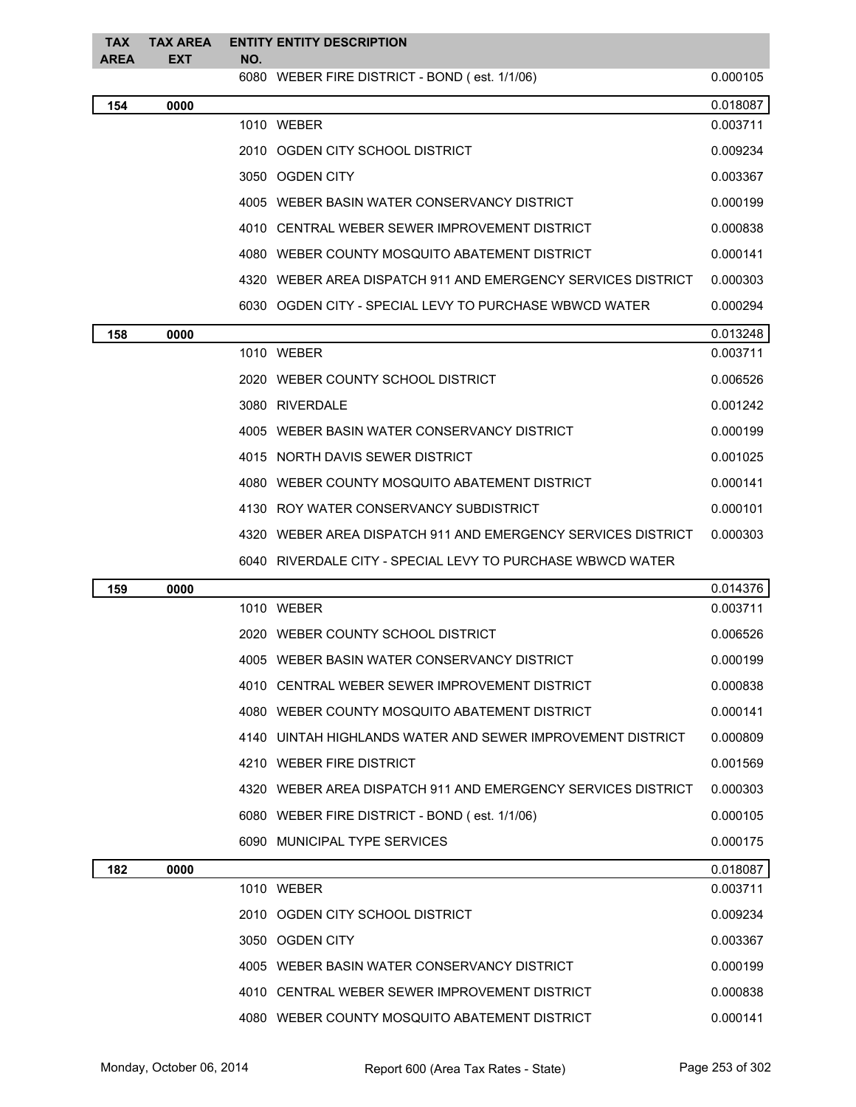| <b>TAX</b><br>AREA | <b>TAX AREA</b><br>EXT | NO. | <b>ENTITY ENTITY DESCRIPTION</b>                             |          |
|--------------------|------------------------|-----|--------------------------------------------------------------|----------|
|                    |                        |     | 6080 WEBER FIRE DISTRICT - BOND (est. 1/1/06)                | 0.000105 |
| 154                | 0000                   |     |                                                              | 0.018087 |
|                    |                        |     | 1010 WEBER                                                   | 0.003711 |
|                    |                        |     | 2010 OGDEN CITY SCHOOL DISTRICT                              | 0.009234 |
|                    |                        |     | 3050 OGDEN CITY                                              | 0.003367 |
|                    |                        |     | 4005 WEBER BASIN WATER CONSERVANCY DISTRICT                  | 0.000199 |
|                    |                        |     | 4010 CENTRAL WEBER SEWER IMPROVEMENT DISTRICT                | 0.000838 |
|                    |                        |     | 4080 WEBER COUNTY MOSQUITO ABATEMENT DISTRICT                | 0.000141 |
|                    |                        |     | 4320 WEBER AREA DISPATCH 911 AND EMERGENCY SERVICES DISTRICT | 0.000303 |
|                    |                        |     | 6030 OGDEN CITY - SPECIAL LEVY TO PURCHASE WBWCD WATER       | 0.000294 |
| 158                | 0000                   |     |                                                              | 0.013248 |
|                    |                        |     | 1010 WEBER                                                   | 0.003711 |
|                    |                        |     | 2020 WEBER COUNTY SCHOOL DISTRICT                            | 0.006526 |
|                    |                        |     | 3080 RIVERDALE                                               | 0.001242 |
|                    |                        |     | 4005 WEBER BASIN WATER CONSERVANCY DISTRICT                  | 0.000199 |
|                    |                        |     | 4015 NORTH DAVIS SEWER DISTRICT                              | 0.001025 |
|                    |                        |     | 4080 WEBER COUNTY MOSQUITO ABATEMENT DISTRICT                | 0.000141 |
|                    |                        |     | 4130 ROY WATER CONSERVANCY SUBDISTRICT                       | 0.000101 |
|                    |                        |     | 4320 WEBER AREA DISPATCH 911 AND EMERGENCY SERVICES DISTRICT | 0.000303 |
|                    |                        |     | 6040 RIVERDALE CITY - SPECIAL LEVY TO PURCHASE WBWCD WATER   |          |
| 159                | 0000                   |     |                                                              | 0.014376 |
|                    |                        |     | 1010 WEBER                                                   | 0.003711 |
|                    |                        |     | 2020 WEBER COUNTY SCHOOL DISTRICT                            | 0.006526 |
|                    |                        |     | 4005 WEBER BASIN WATER CONSERVANCY DISTRICT                  | 0.000199 |
|                    |                        |     | 4010 CENTRAL WEBER SEWER IMPROVEMENT DISTRICT                | 0.000838 |
|                    |                        |     | 4080 WEBER COUNTY MOSQUITO ABATEMENT DISTRICT                | 0.000141 |
|                    |                        |     | 4140 UINTAH HIGHLANDS WATER AND SEWER IMPROVEMENT DISTRICT   | 0.000809 |
|                    |                        |     | 4210 WEBER FIRE DISTRICT                                     | 0.001569 |
|                    |                        |     | 4320 WEBER AREA DISPATCH 911 AND EMERGENCY SERVICES DISTRICT | 0.000303 |
|                    |                        |     | 6080 WEBER FIRE DISTRICT - BOND (est. 1/1/06)                | 0.000105 |
|                    |                        |     | 6090 MUNICIPAL TYPE SERVICES                                 | 0.000175 |
| 182                | 0000                   |     |                                                              | 0.018087 |
|                    |                        |     | 1010 WEBER                                                   | 0.003711 |
|                    |                        |     | 2010 OGDEN CITY SCHOOL DISTRICT                              | 0.009234 |
|                    |                        |     | 3050 OGDEN CITY                                              | 0.003367 |
|                    |                        |     | 4005 WEBER BASIN WATER CONSERVANCY DISTRICT                  | 0.000199 |
|                    |                        |     | 4010 CENTRAL WEBER SEWER IMPROVEMENT DISTRICT                | 0.000838 |
|                    |                        |     | 4080 WEBER COUNTY MOSQUITO ABATEMENT DISTRICT                | 0.000141 |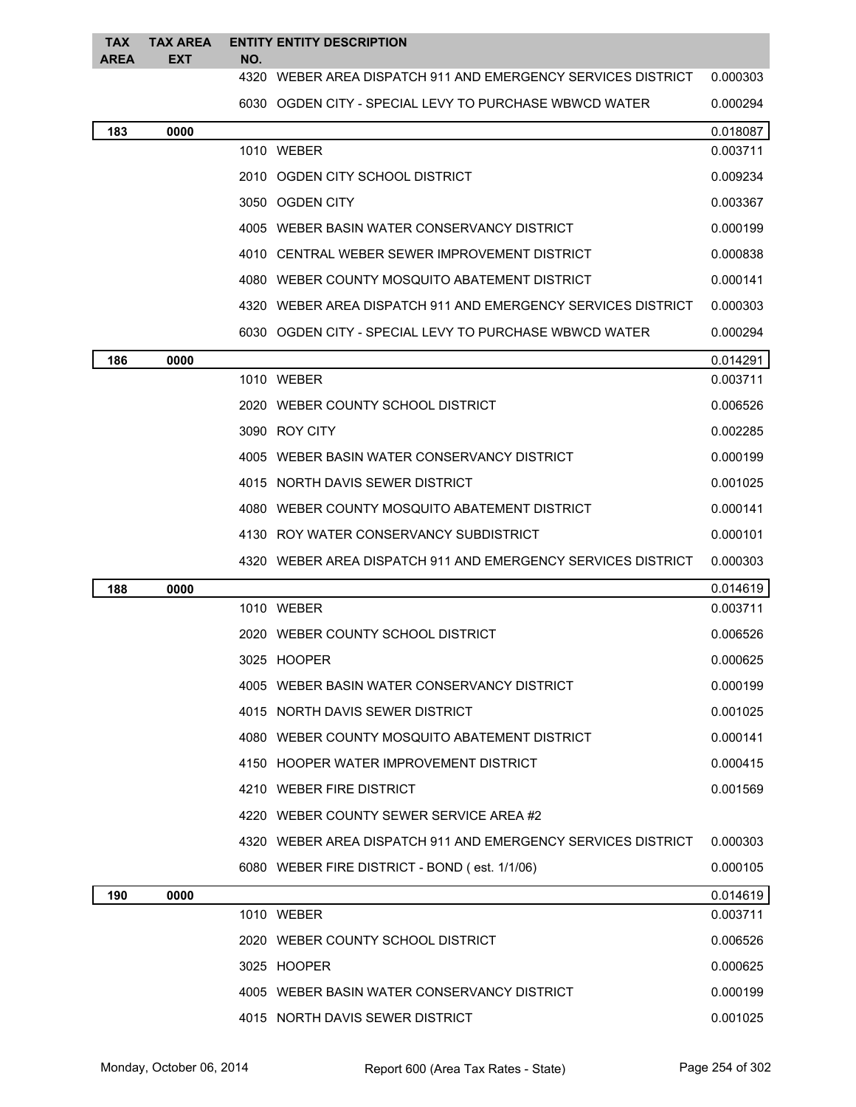| <b>TAX</b>  | <b>TAX AREA</b> |     | <b>ENTITY ENTITY DESCRIPTION</b>                               |          |
|-------------|-----------------|-----|----------------------------------------------------------------|----------|
| <b>AREA</b> | EXT             | NO. | 4320 WEBER AREA DISPATCH 911 AND EMERGENCY SERVICES DISTRICT   | 0.000303 |
|             |                 |     | 6030 OGDEN CITY - SPECIAL LEVY TO PURCHASE WBWCD WATER         | 0.000294 |
| 183         | 0000            |     |                                                                | 0.018087 |
|             |                 |     | 1010 WEBER                                                     | 0.003711 |
|             |                 |     | 2010 OGDEN CITY SCHOOL DISTRICT                                | 0.009234 |
|             |                 |     | 3050 OGDEN CITY                                                | 0.003367 |
|             |                 |     | 4005 WEBER BASIN WATER CONSERVANCY DISTRICT                    | 0.000199 |
|             |                 |     | 4010 CENTRAL WEBER SEWER IMPROVEMENT DISTRICT                  | 0.000838 |
|             |                 |     | 4080 WEBER COUNTY MOSQUITO ABATEMENT DISTRICT                  | 0.000141 |
|             |                 |     | 4320 WEBER AREA DISPATCH 911 AND EMERGENCY SERVICES DISTRICT   | 0.000303 |
|             |                 |     | 6030 OGDEN CITY - SPECIAL LEVY TO PURCHASE WBWCD WATER         | 0.000294 |
| 186         | 0000            |     |                                                                | 0.014291 |
|             |                 |     | 1010 WEBER                                                     | 0.003711 |
|             |                 |     | 2020 WEBER COUNTY SCHOOL DISTRICT                              | 0.006526 |
|             |                 |     | 3090 ROY CITY                                                  | 0.002285 |
|             |                 |     | 4005 WEBER BASIN WATER CONSERVANCY DISTRICT                    | 0.000199 |
|             |                 |     | 4015 NORTH DAVIS SEWER DISTRICT                                | 0.001025 |
|             |                 |     | 4080 WEBER COUNTY MOSQUITO ABATEMENT DISTRICT                  | 0.000141 |
|             |                 |     | 4130 ROY WATER CONSERVANCY SUBDISTRICT                         | 0.000101 |
|             |                 |     | 4320   WEBER AREA DISPATCH 911 AND EMERGENCY SERVICES DISTRICT | 0.000303 |
| 188         | 0000            |     |                                                                | 0.014619 |
|             |                 |     | 1010 WEBER                                                     | 0.003711 |
|             |                 |     | 2020 WEBER COUNTY SCHOOL DISTRICT                              | 0.006526 |
|             |                 |     | 3025 HOOPER                                                    | 0.000625 |
|             |                 |     | 4005 WEBER BASIN WATER CONSERVANCY DISTRICT                    | 0.000199 |
|             |                 |     | 4015 NORTH DAVIS SEWER DISTRICT                                | 0.001025 |
|             |                 |     | 4080 WEBER COUNTY MOSQUITO ABATEMENT DISTRICT                  | 0.000141 |
|             |                 |     | 4150 HOOPER WATER IMPROVEMENT DISTRICT                         | 0.000415 |
|             |                 |     | 4210 WEBER FIRE DISTRICT                                       | 0.001569 |
|             |                 |     | 4220 WEBER COUNTY SEWER SERVICE AREA #2                        |          |
|             |                 |     | 4320 WEBER AREA DISPATCH 911 AND EMERGENCY SERVICES DISTRICT   | 0.000303 |
|             |                 |     | 6080 WEBER FIRE DISTRICT - BOND (est. 1/1/06)                  | 0.000105 |
| 190         | 0000            |     |                                                                | 0.014619 |
|             |                 |     | 1010 WEBER                                                     | 0.003711 |
|             |                 |     | 2020 WEBER COUNTY SCHOOL DISTRICT                              | 0.006526 |
|             |                 |     | 3025 HOOPER                                                    | 0.000625 |
|             |                 |     | 4005 WEBER BASIN WATER CONSERVANCY DISTRICT                    | 0.000199 |
|             |                 |     | 4015 NORTH DAVIS SEWER DISTRICT                                | 0.001025 |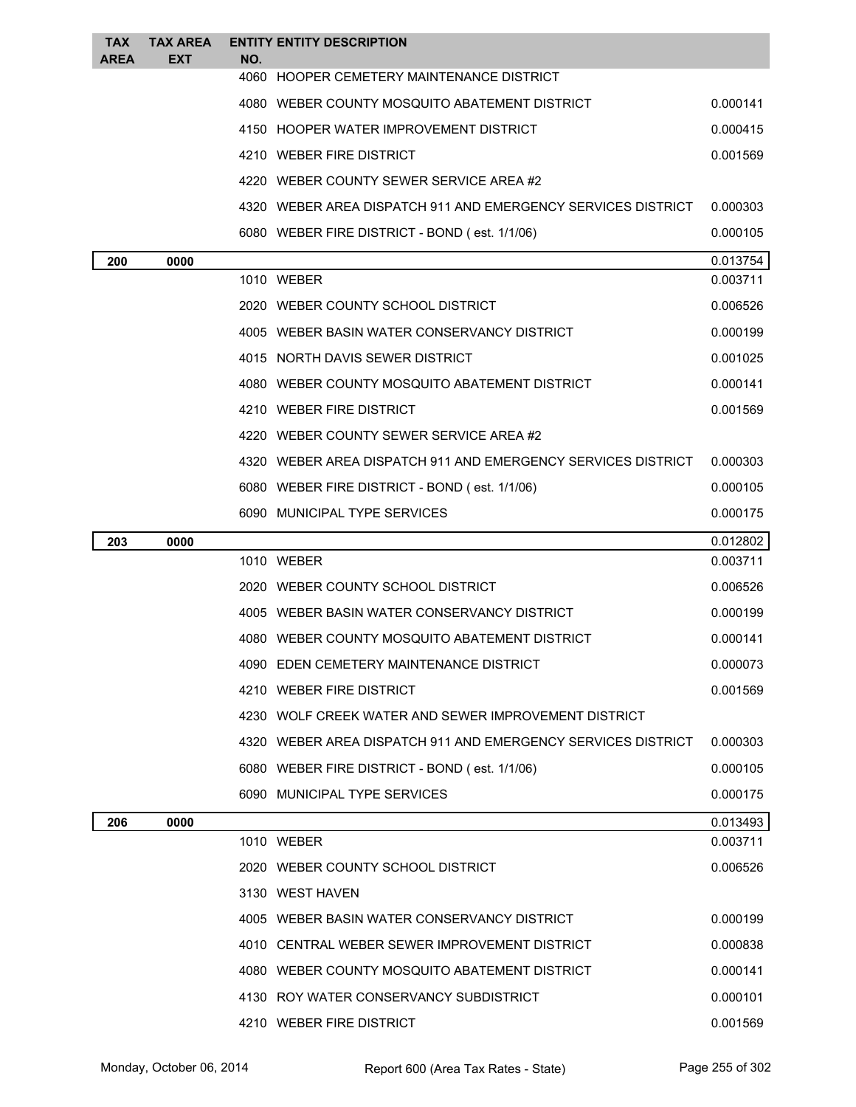| <b>TAX</b><br><b>AREA</b> | TAX AREA<br><b>EXT</b> | NO. | <b>ENTITY ENTITY DESCRIPTION</b>                             |          |
|---------------------------|------------------------|-----|--------------------------------------------------------------|----------|
|                           |                        |     | 4060 HOOPER CEMETERY MAINTENANCE DISTRICT                    |          |
|                           |                        |     | 4080 WEBER COUNTY MOSQUITO ABATEMENT DISTRICT                | 0.000141 |
|                           |                        |     | 4150 HOOPER WATER IMPROVEMENT DISTRICT                       | 0.000415 |
|                           |                        |     | 4210 WEBER FIRE DISTRICT                                     | 0.001569 |
|                           |                        |     | 4220 WEBER COUNTY SEWER SERVICE AREA #2                      |          |
|                           |                        |     | 4320 WEBER AREA DISPATCH 911 AND EMERGENCY SERVICES DISTRICT | 0.000303 |
|                           |                        |     | 6080 WEBER FIRE DISTRICT - BOND (est. 1/1/06)                | 0.000105 |
| 200                       | 0000                   |     |                                                              | 0.013754 |
|                           |                        |     | 1010 WEBER                                                   | 0.003711 |
|                           |                        |     | 2020 WEBER COUNTY SCHOOL DISTRICT                            | 0.006526 |
|                           |                        |     | 4005 WEBER BASIN WATER CONSERVANCY DISTRICT                  | 0.000199 |
|                           |                        |     | 4015 NORTH DAVIS SEWER DISTRICT                              | 0.001025 |
|                           |                        |     | 4080 WEBER COUNTY MOSQUITO ABATEMENT DISTRICT                | 0.000141 |
|                           |                        |     | 4210 WEBER FIRE DISTRICT                                     | 0.001569 |
|                           |                        |     | 4220 WEBER COUNTY SEWER SERVICE AREA #2                      |          |
|                           |                        |     | 4320 WEBER AREA DISPATCH 911 AND EMERGENCY SERVICES DISTRICT | 0.000303 |
|                           |                        |     | 6080 WEBER FIRE DISTRICT - BOND (est. 1/1/06)                | 0.000105 |
|                           |                        |     | 6090 MUNICIPAL TYPE SERVICES                                 | 0.000175 |
|                           |                        |     |                                                              |          |
| 203                       | 0000                   |     |                                                              | 0.012802 |
|                           |                        |     | 1010 WEBER                                                   | 0.003711 |
|                           |                        |     | 2020 WEBER COUNTY SCHOOL DISTRICT                            | 0.006526 |
|                           |                        |     | 4005 WEBER BASIN WATER CONSERVANCY DISTRICT                  | 0.000199 |
|                           |                        |     | 4080 WEBER COUNTY MOSQUITO ABATEMENT DISTRICT                | 0.000141 |
|                           |                        |     | 4090 EDEN CEMETERY MAINTENANCE DISTRICT                      | 0.000073 |
|                           |                        |     | 4210 WEBER FIRE DISTRICT                                     | 0.001569 |
|                           |                        |     | 4230 WOLF CREEK WATER AND SEWER IMPROVEMENT DISTRICT         |          |
|                           |                        |     | 4320 WEBER AREA DISPATCH 911 AND EMERGENCY SERVICES DISTRICT | 0.000303 |
|                           |                        |     | 6080 WEBER FIRE DISTRICT - BOND (est. 1/1/06)                | 0.000105 |
|                           |                        |     | 6090 MUNICIPAL TYPE SERVICES                                 | 0.000175 |
| 206                       | 0000                   |     |                                                              | 0.013493 |
|                           |                        |     | 1010 WEBER                                                   | 0.003711 |
|                           |                        |     | 2020 WEBER COUNTY SCHOOL DISTRICT                            | 0.006526 |
|                           |                        |     | 3130 WEST HAVEN                                              |          |
|                           |                        |     | 4005 WEBER BASIN WATER CONSERVANCY DISTRICT                  | 0.000199 |
|                           |                        |     | 4010 CENTRAL WEBER SEWER IMPROVEMENT DISTRICT                | 0.000838 |
|                           |                        |     | 4080 WEBER COUNTY MOSQUITO ABATEMENT DISTRICT                | 0.000141 |
|                           |                        |     | 4130 ROY WATER CONSERVANCY SUBDISTRICT                       | 0.000101 |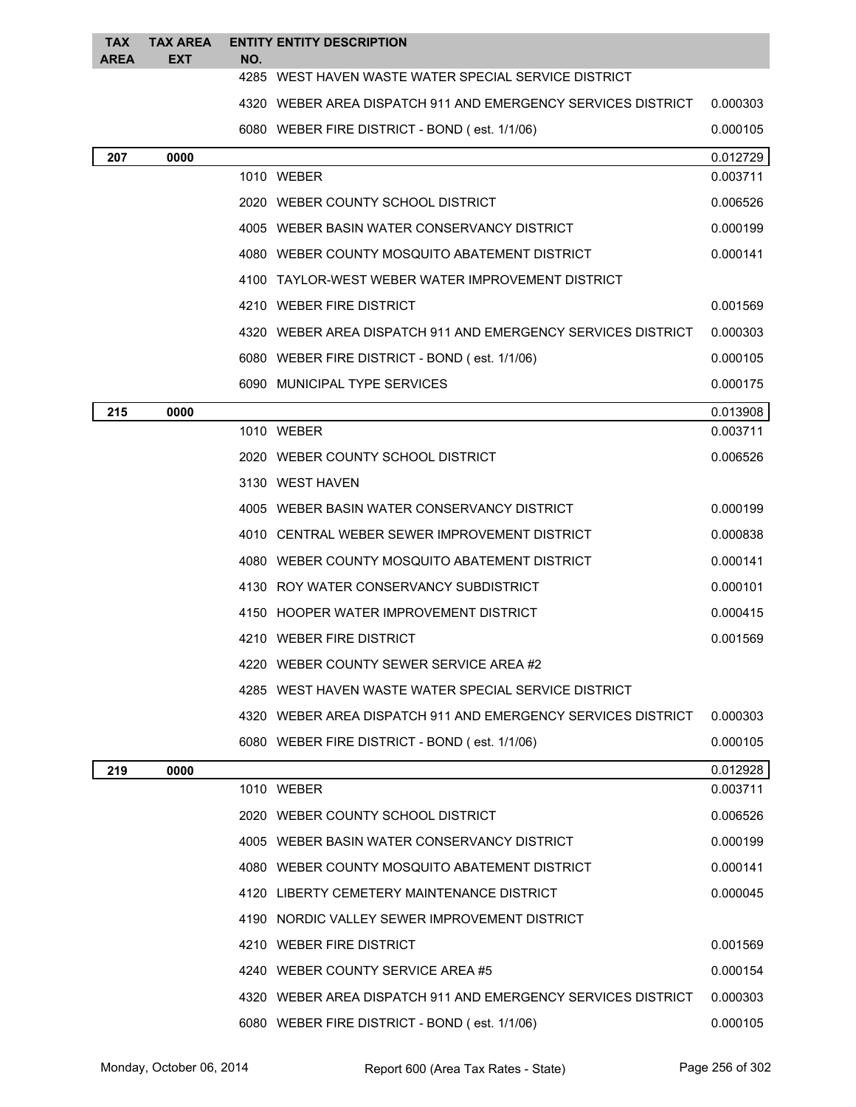| <b>TAX</b><br><b>AREA</b> | <b>TAX AREA</b><br><b>EXT</b> | NO. | <b>ENTITY ENTITY DESCRIPTION</b>                             |          |
|---------------------------|-------------------------------|-----|--------------------------------------------------------------|----------|
|                           |                               |     | 4285 WEST HAVEN WASTE WATER SPECIAL SERVICE DISTRICT         |          |
|                           |                               |     | 4320 WEBER AREA DISPATCH 911 AND EMERGENCY SERVICES DISTRICT | 0.000303 |
|                           |                               |     | 6080 WEBER FIRE DISTRICT - BOND (est. 1/1/06)                | 0.000105 |
| 207                       | 0000                          |     |                                                              | 0.012729 |
|                           |                               |     | 1010 WEBER                                                   | 0.003711 |
|                           |                               |     | 2020 WEBER COUNTY SCHOOL DISTRICT                            | 0.006526 |
|                           |                               |     | 4005 WEBER BASIN WATER CONSERVANCY DISTRICT                  | 0.000199 |
|                           |                               |     | 4080 WEBER COUNTY MOSQUITO ABATEMENT DISTRICT                | 0.000141 |
|                           |                               |     | 4100 TAYLOR-WEST WEBER WATER IMPROVEMENT DISTRICT            |          |
|                           |                               |     | 4210 WEBER FIRE DISTRICT                                     | 0.001569 |
|                           |                               |     | 4320 WEBER AREA DISPATCH 911 AND EMERGENCY SERVICES DISTRICT | 0.000303 |
|                           |                               |     | 6080 WEBER FIRE DISTRICT - BOND (est. 1/1/06)                | 0.000105 |
|                           |                               |     | 6090 MUNICIPAL TYPE SERVICES                                 | 0.000175 |
| 215                       | 0000                          |     |                                                              | 0.013908 |
|                           |                               |     | 1010 WEBER                                                   | 0.003711 |
|                           |                               |     | 2020 WEBER COUNTY SCHOOL DISTRICT                            | 0.006526 |
|                           |                               |     | 3130 WEST HAVEN                                              |          |
|                           |                               |     | 4005 WEBER BASIN WATER CONSERVANCY DISTRICT                  | 0.000199 |
|                           |                               |     | 4010 CENTRAL WEBER SEWER IMPROVEMENT DISTRICT                | 0.000838 |
|                           |                               |     | 4080 WEBER COUNTY MOSQUITO ABATEMENT DISTRICT                | 0.000141 |
|                           |                               |     | 4130 ROY WATER CONSERVANCY SUBDISTRICT                       | 0.000101 |
|                           |                               |     | 4150 HOOPER WATER IMPROVEMENT DISTRICT                       | 0.000415 |
|                           |                               |     | 4210 WEBER FIRE DISTRICT                                     | 0.001569 |
|                           |                               |     | 4220 WEBER COUNTY SEWER SERVICE AREA #2                      |          |
|                           |                               |     | 4285 WEST HAVEN WASTE WATER SPECIAL SERVICE DISTRICT         |          |
|                           |                               |     | 4320 WEBER AREA DISPATCH 911 AND EMERGENCY SERVICES DISTRICT | 0.000303 |
|                           |                               |     | 6080 WEBER FIRE DISTRICT - BOND (est. 1/1/06)                | 0.000105 |
| 219                       | 0000                          |     |                                                              | 0.012928 |
|                           |                               |     | 1010 WEBER                                                   | 0.003711 |
|                           |                               |     | 2020 WEBER COUNTY SCHOOL DISTRICT                            | 0.006526 |
|                           |                               |     | 4005 WEBER BASIN WATER CONSERVANCY DISTRICT                  | 0.000199 |
|                           |                               |     | 4080 WEBER COUNTY MOSQUITO ABATEMENT DISTRICT                | 0.000141 |
|                           |                               |     | 4120 LIBERTY CEMETERY MAINTENANCE DISTRICT                   | 0.000045 |
|                           |                               |     | 4190 NORDIC VALLEY SEWER IMPROVEMENT DISTRICT                |          |
|                           |                               |     | 4210 WEBER FIRE DISTRICT                                     | 0.001569 |
|                           |                               |     | 4240 WEBER COUNTY SERVICE AREA #5                            | 0.000154 |
|                           |                               |     | 4320 WEBER AREA DISPATCH 911 AND EMERGENCY SERVICES DISTRICT | 0.000303 |
|                           |                               |     | 6080 WEBER FIRE DISTRICT - BOND (est. 1/1/06)                | 0.000105 |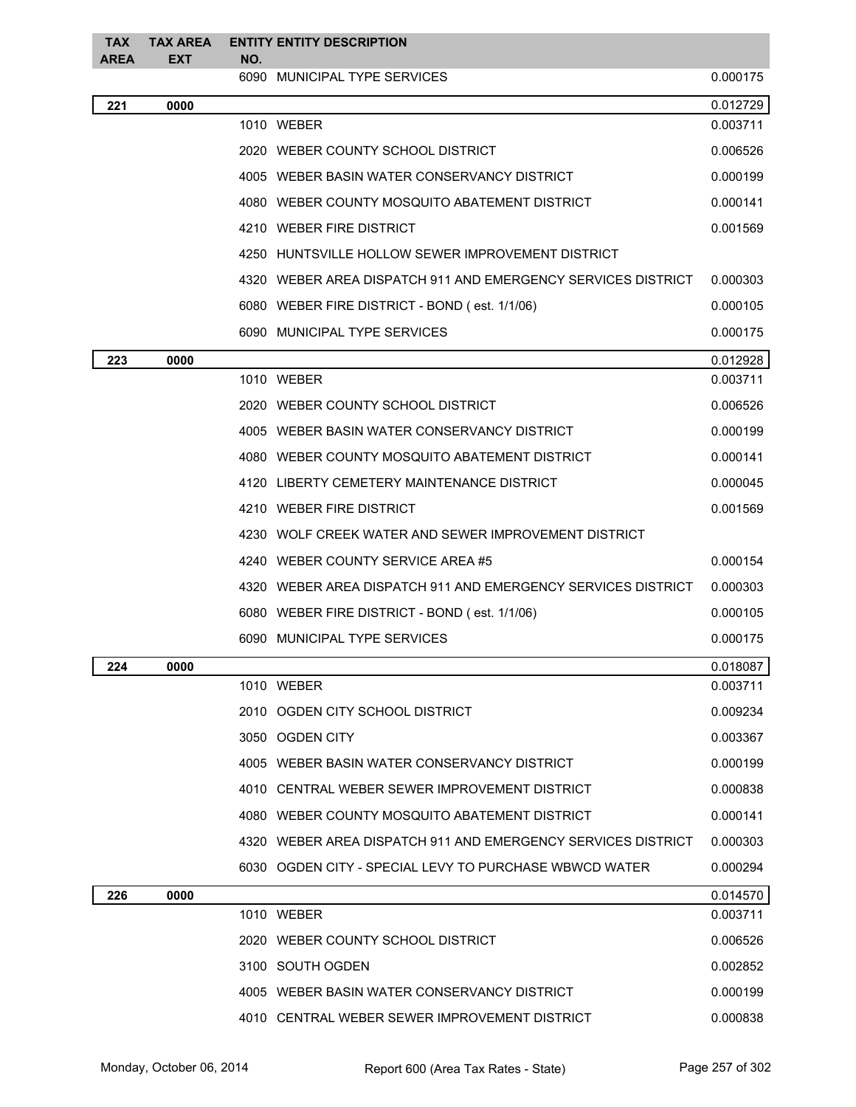| TAX         | <b>TAX AREA</b> |     | <b>ENTITY ENTITY DESCRIPTION</b>                             |          |
|-------------|-----------------|-----|--------------------------------------------------------------|----------|
| <b>AREA</b> | <b>EXT</b>      | NO. | 6090 MUNICIPAL TYPE SERVICES                                 | 0.000175 |
| 221         | 0000            |     |                                                              | 0.012729 |
|             |                 |     | 1010 WEBER                                                   | 0.003711 |
|             |                 |     | 2020 WEBER COUNTY SCHOOL DISTRICT                            | 0.006526 |
|             |                 |     | 4005 WEBER BASIN WATER CONSERVANCY DISTRICT                  | 0.000199 |
|             |                 |     | 4080 WEBER COUNTY MOSQUITO ABATEMENT DISTRICT                | 0.000141 |
|             |                 |     | 4210 WEBER FIRE DISTRICT                                     | 0.001569 |
|             |                 |     | 4250 HUNTSVILLE HOLLOW SEWER IMPROVEMENT DISTRICT            |          |
|             |                 |     | 4320 WEBER AREA DISPATCH 911 AND EMERGENCY SERVICES DISTRICT | 0.000303 |
|             |                 |     | 6080 WEBER FIRE DISTRICT - BOND (est. 1/1/06)                | 0.000105 |
|             |                 |     | 6090 MUNICIPAL TYPE SERVICES                                 | 0.000175 |
| 223         | 0000            |     |                                                              | 0.012928 |
|             |                 |     | 1010 WEBER                                                   | 0.003711 |
|             |                 |     | 2020 WEBER COUNTY SCHOOL DISTRICT                            | 0.006526 |
|             |                 |     | 4005 WEBER BASIN WATER CONSERVANCY DISTRICT                  | 0.000199 |
|             |                 |     | 4080 WEBER COUNTY MOSQUITO ABATEMENT DISTRICT                | 0.000141 |
|             |                 |     | 4120 LIBERTY CEMETERY MAINTENANCE DISTRICT                   | 0.000045 |
|             |                 |     | 4210 WEBER FIRE DISTRICT                                     | 0.001569 |
|             |                 |     | 4230 WOLF CREEK WATER AND SEWER IMPROVEMENT DISTRICT         |          |
|             |                 |     | 4240 WEBER COUNTY SERVICE AREA #5                            | 0.000154 |
|             |                 |     | 4320 WEBER AREA DISPATCH 911 AND EMERGENCY SERVICES DISTRICT | 0.000303 |
|             |                 |     | 6080 WEBER FIRE DISTRICT - BOND (est. 1/1/06)                | 0.000105 |
|             |                 |     | 6090 MUNICIPAL TYPE SERVICES                                 | 0.000175 |
| 224         | 0000            |     |                                                              | 0.018087 |
|             |                 |     | 1010 WEBER                                                   | 0.003711 |
|             |                 |     | 2010 OGDEN CITY SCHOOL DISTRICT                              | 0.009234 |
|             |                 |     | 3050 OGDEN CITY                                              | 0.003367 |
|             |                 |     | 4005 WEBER BASIN WATER CONSERVANCY DISTRICT                  | 0.000199 |
|             |                 |     | 4010 CENTRAL WEBER SEWER IMPROVEMENT DISTRICT                | 0.000838 |
|             |                 |     | 4080 WEBER COUNTY MOSQUITO ABATEMENT DISTRICT                | 0.000141 |
|             |                 |     | 4320 WEBER AREA DISPATCH 911 AND EMERGENCY SERVICES DISTRICT | 0.000303 |
|             |                 |     | 6030 OGDEN CITY - SPECIAL LEVY TO PURCHASE WBWCD WATER       | 0.000294 |
| 226         | 0000            |     |                                                              | 0.014570 |
|             |                 |     | 1010 WEBER                                                   | 0.003711 |
|             |                 |     | 2020 WEBER COUNTY SCHOOL DISTRICT                            | 0.006526 |
|             |                 |     | 3100 SOUTH OGDEN                                             | 0.002852 |
|             |                 |     | 4005 WEBER BASIN WATER CONSERVANCY DISTRICT                  | 0.000199 |
|             |                 |     | 4010 CENTRAL WEBER SEWER IMPROVEMENT DISTRICT                | 0.000838 |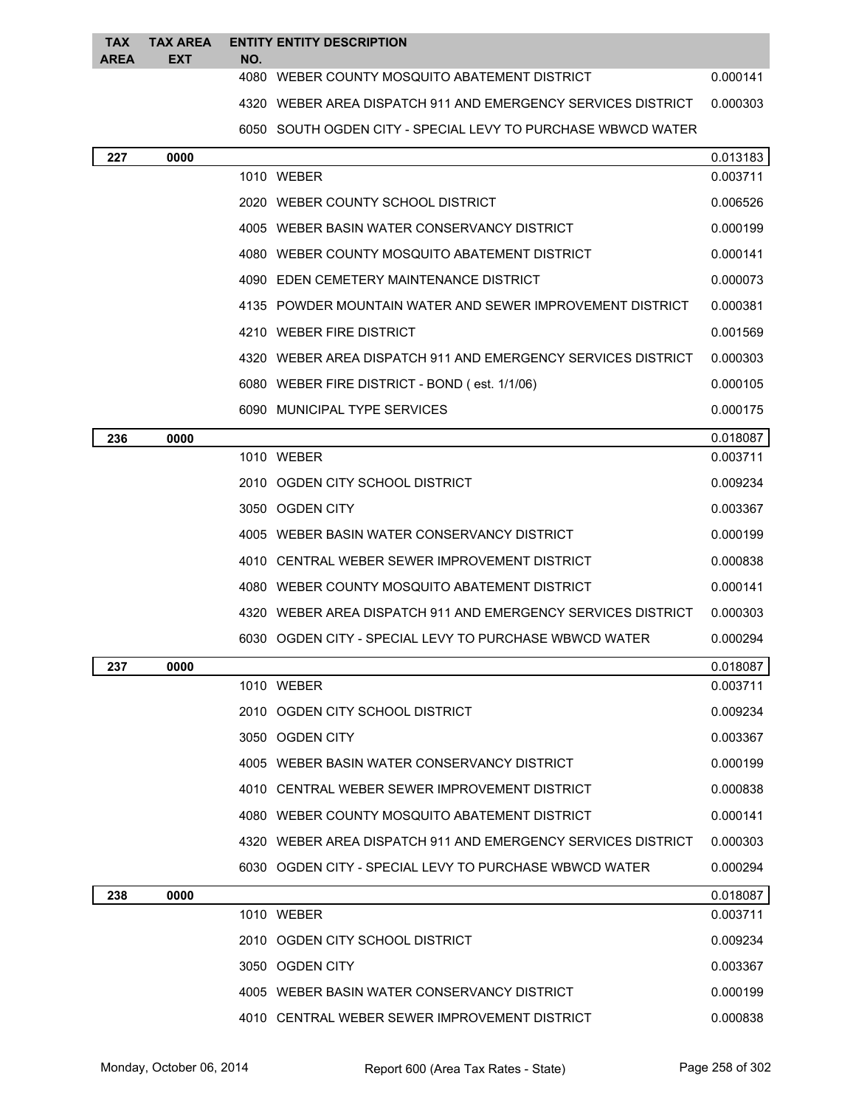| <b>TAX</b>  | <b>TAX AREA</b> |      | <b>ENTITY ENTITY DESCRIPTION</b>                             |          |
|-------------|-----------------|------|--------------------------------------------------------------|----------|
| <b>AREA</b> | <b>EXT</b>      | NO.  |                                                              |          |
|             |                 |      | 4080 WEBER COUNTY MOSQUITO ABATEMENT DISTRICT                | 0.000141 |
|             |                 |      | 4320 WEBER AREA DISPATCH 911 AND EMERGENCY SERVICES DISTRICT | 0.000303 |
|             |                 |      | 6050 SOUTH OGDEN CITY - SPECIAL LEVY TO PURCHASE WBWCD WATER |          |
| 227         | 0000            |      |                                                              | 0.013183 |
|             |                 |      | 1010 WEBER                                                   | 0.003711 |
|             |                 |      | 2020 WEBER COUNTY SCHOOL DISTRICT                            | 0.006526 |
|             |                 |      | 4005 WEBER BASIN WATER CONSERVANCY DISTRICT                  | 0.000199 |
|             |                 |      | 4080 WEBER COUNTY MOSQUITO ABATEMENT DISTRICT                | 0.000141 |
|             |                 |      | 4090 EDEN CEMETERY MAINTENANCE DISTRICT                      | 0.000073 |
|             |                 |      | 4135 POWDER MOUNTAIN WATER AND SEWER IMPROVEMENT DISTRICT    | 0.000381 |
|             |                 |      | 4210 WEBER FIRE DISTRICT                                     | 0.001569 |
|             |                 |      | 4320 WEBER AREA DISPATCH 911 AND EMERGENCY SERVICES DISTRICT | 0.000303 |
|             |                 |      | 6080 WEBER FIRE DISTRICT - BOND (est. 1/1/06)                | 0.000105 |
|             |                 |      | 6090 MUNICIPAL TYPE SERVICES                                 | 0.000175 |
| 236         | 0000            |      |                                                              | 0.018087 |
|             |                 |      | 1010 WEBER                                                   | 0.003711 |
|             |                 |      | 2010 OGDEN CITY SCHOOL DISTRICT                              | 0.009234 |
|             |                 |      | 3050 OGDEN CITY                                              | 0.003367 |
|             |                 |      | 4005 WEBER BASIN WATER CONSERVANCY DISTRICT                  | 0.000199 |
|             |                 | 4010 | CENTRAL WEBER SEWER IMPROVEMENT DISTRICT                     | 0.000838 |
|             |                 |      | 4080 WEBER COUNTY MOSQUITO ABATEMENT DISTRICT                | 0.000141 |
|             |                 |      | 4320 WEBER AREA DISPATCH 911 AND EMERGENCY SERVICES DISTRICT | 0.000303 |
|             |                 |      | 6030 OGDEN CITY - SPECIAL LEVY TO PURCHASE WBWCD WATER       | 0.000294 |
| 237         | 0000            |      |                                                              | 0.018087 |
|             |                 |      | 1010 WEBER                                                   | 0.003711 |
|             |                 |      | 2010 OGDEN CITY SCHOOL DISTRICT                              | 0.009234 |
|             |                 |      | 3050 OGDEN CITY                                              | 0.003367 |
|             |                 |      | 4005 WEBER BASIN WATER CONSERVANCY DISTRICT                  | 0.000199 |
|             |                 |      | 4010 CENTRAL WEBER SEWER IMPROVEMENT DISTRICT                | 0.000838 |
|             |                 |      | 4080 WEBER COUNTY MOSQUITO ABATEMENT DISTRICT                | 0.000141 |
|             |                 |      | 4320 WEBER AREA DISPATCH 911 AND EMERGENCY SERVICES DISTRICT | 0.000303 |
|             |                 |      | 6030 OGDEN CITY - SPECIAL LEVY TO PURCHASE WBWCD WATER       | 0.000294 |
| 238         | 0000            |      |                                                              | 0.018087 |
|             |                 |      | 1010 WEBER                                                   | 0.003711 |
|             |                 |      | 2010 OGDEN CITY SCHOOL DISTRICT                              | 0.009234 |
|             |                 |      | 3050 OGDEN CITY                                              | 0.003367 |
|             |                 |      | 4005 WEBER BASIN WATER CONSERVANCY DISTRICT                  | 0.000199 |

4010 CENTRAL WEBER SEWER IMPROVEMENT DISTRICT 0.000838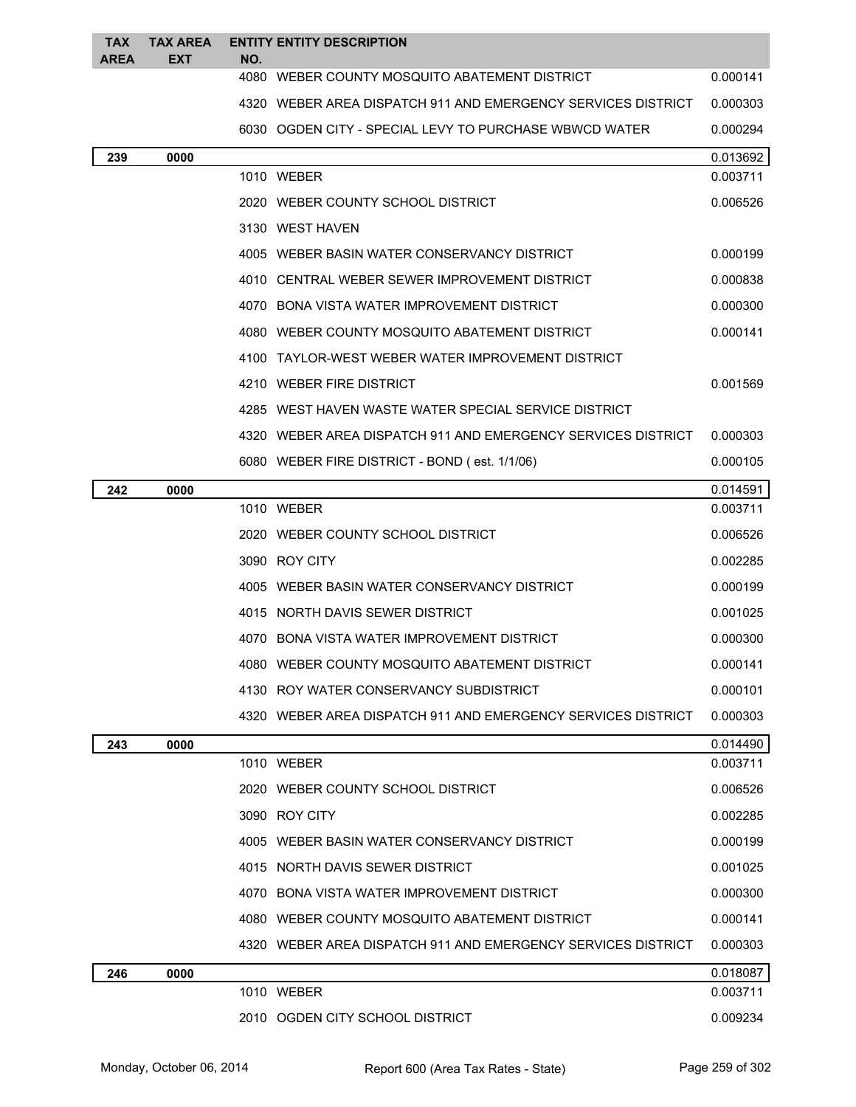| <b>TAX</b><br><b>AREA</b> | <b>TAX AREA</b><br><b>EXT</b> | NO. | <b>ENTITY ENTITY DESCRIPTION</b>                             |          |
|---------------------------|-------------------------------|-----|--------------------------------------------------------------|----------|
|                           |                               |     | 4080 WEBER COUNTY MOSQUITO ABATEMENT DISTRICT                | 0.000141 |
|                           |                               |     | 4320 WEBER AREA DISPATCH 911 AND EMERGENCY SERVICES DISTRICT | 0.000303 |
|                           |                               |     | 6030 OGDEN CITY - SPECIAL LEVY TO PURCHASE WBWCD WATER       | 0.000294 |
| 239                       | 0000                          |     |                                                              | 0.013692 |
|                           |                               |     | 1010 WEBER                                                   | 0.003711 |
|                           |                               |     | 2020 WEBER COUNTY SCHOOL DISTRICT                            | 0.006526 |
|                           |                               |     | 3130 WEST HAVEN                                              |          |
|                           |                               |     | 4005 WEBER BASIN WATER CONSERVANCY DISTRICT                  | 0.000199 |
|                           |                               |     | 4010 CENTRAL WEBER SEWER IMPROVEMENT DISTRICT                | 0.000838 |
|                           |                               |     | 4070 BONA VISTA WATER IMPROVEMENT DISTRICT                   | 0.000300 |
|                           |                               |     | 4080 WEBER COUNTY MOSQUITO ABATEMENT DISTRICT                | 0.000141 |
|                           |                               |     | 4100 TAYLOR-WEST WEBER WATER IMPROVEMENT DISTRICT            |          |
|                           |                               |     | 4210 WEBER FIRE DISTRICT                                     | 0.001569 |
|                           |                               |     | 4285 WEST HAVEN WASTE WATER SPECIAL SERVICE DISTRICT         |          |
|                           |                               |     | 4320 WEBER AREA DISPATCH 911 AND EMERGENCY SERVICES DISTRICT | 0.000303 |
|                           |                               |     | 6080 WEBER FIRE DISTRICT - BOND (est. 1/1/06)                | 0.000105 |
| 242                       | 0000                          |     |                                                              | 0.014591 |
|                           |                               |     | 1010 WEBER                                                   | 0.003711 |
|                           |                               |     | 2020 WEBER COUNTY SCHOOL DISTRICT                            | 0.006526 |
|                           |                               |     | 3090 ROY CITY                                                | 0.002285 |
|                           |                               |     | 4005 WEBER BASIN WATER CONSERVANCY DISTRICT                  | 0.000199 |
|                           |                               |     | 4015 NORTH DAVIS SEWER DISTRICT                              | 0.001025 |
|                           |                               |     | 4070 BONA VISTA WATER IMPROVEMENT DISTRICT                   | 0.000300 |
|                           |                               |     | 4080 WEBER COUNTY MOSQUITO ABATEMENT DISTRICT                | 0.000141 |
|                           |                               |     | 4130 ROY WATER CONSERVANCY SUBDISTRICT                       | 0.000101 |
|                           |                               |     | 4320 WEBER AREA DISPATCH 911 AND EMERGENCY SERVICES DISTRICT | 0.000303 |
| 243                       | 0000                          |     |                                                              | 0.014490 |
|                           |                               |     | 1010 WEBER                                                   | 0.003711 |
|                           |                               |     | 2020 WEBER COUNTY SCHOOL DISTRICT                            | 0.006526 |
|                           |                               |     | 3090 ROY CITY                                                | 0.002285 |
|                           |                               |     | 4005 WEBER BASIN WATER CONSERVANCY DISTRICT                  | 0.000199 |
|                           |                               |     | 4015 NORTH DAVIS SEWER DISTRICT                              | 0.001025 |
|                           |                               |     | 4070 BONA VISTA WATER IMPROVEMENT DISTRICT                   | 0.000300 |
|                           |                               |     | 4080 WEBER COUNTY MOSQUITO ABATEMENT DISTRICT                | 0.000141 |
|                           |                               |     | 4320 WEBER AREA DISPATCH 911 AND EMERGENCY SERVICES DISTRICT | 0.000303 |
| 246                       | 0000                          |     |                                                              | 0.018087 |
|                           |                               |     | 1010 WEBER                                                   | 0.003711 |
|                           |                               |     | 2010 OGDEN CITY SCHOOL DISTRICT                              | 0.009234 |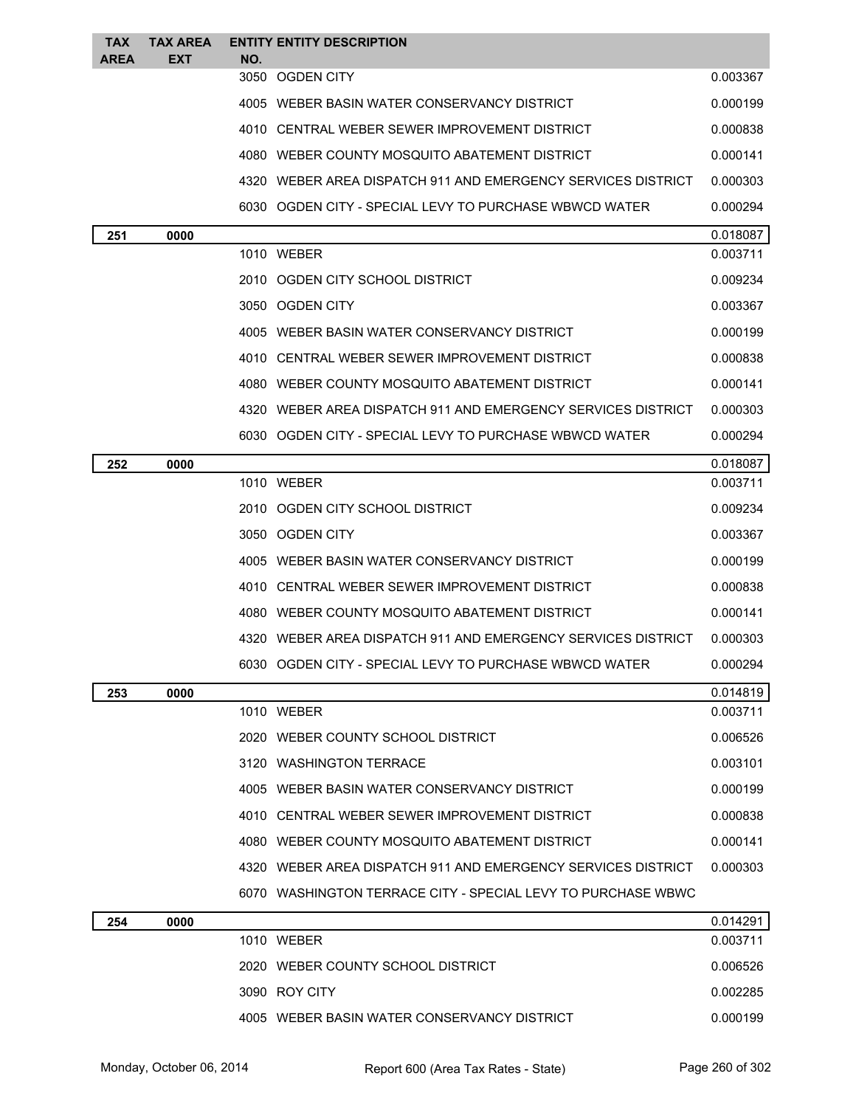| <b>TAX</b><br><b>AREA</b> | <b>TAX AREA</b><br><b>EXT</b> | NO. | <b>ENTITY ENTITY DESCRIPTION</b>                             |          |
|---------------------------|-------------------------------|-----|--------------------------------------------------------------|----------|
|                           |                               |     | 3050 OGDEN CITY                                              | 0.003367 |
|                           |                               |     | 4005 WEBER BASIN WATER CONSERVANCY DISTRICT                  | 0.000199 |
|                           |                               |     | 4010 CENTRAL WEBER SEWER IMPROVEMENT DISTRICT                | 0.000838 |
|                           |                               |     | 4080 WEBER COUNTY MOSQUITO ABATEMENT DISTRICT                | 0.000141 |
|                           |                               |     | 4320 WEBER AREA DISPATCH 911 AND EMERGENCY SERVICES DISTRICT | 0.000303 |
|                           |                               |     | 6030 OGDEN CITY - SPECIAL LEVY TO PURCHASE WBWCD WATER       | 0.000294 |
| 251                       | 0000                          |     |                                                              | 0.018087 |
|                           |                               |     | 1010 WEBER                                                   | 0.003711 |
|                           |                               |     | 2010 OGDEN CITY SCHOOL DISTRICT                              | 0.009234 |
|                           |                               |     | 3050 OGDEN CITY                                              | 0.003367 |
|                           |                               |     | 4005 WEBER BASIN WATER CONSERVANCY DISTRICT                  | 0.000199 |
|                           |                               |     | 4010 CENTRAL WEBER SEWER IMPROVEMENT DISTRICT                | 0.000838 |
|                           |                               |     | 4080 WEBER COUNTY MOSQUITO ABATEMENT DISTRICT                | 0.000141 |
|                           |                               |     | 4320 WEBER AREA DISPATCH 911 AND EMERGENCY SERVICES DISTRICT | 0.000303 |
|                           |                               |     | 6030 OGDEN CITY - SPECIAL LEVY TO PURCHASE WBWCD WATER       | 0.000294 |
| 252                       | 0000                          |     |                                                              | 0.018087 |
|                           |                               |     | 1010 WEBER                                                   | 0.003711 |
|                           |                               |     | 2010 OGDEN CITY SCHOOL DISTRICT                              | 0.009234 |
|                           |                               |     | 3050 OGDEN CITY                                              | 0.003367 |
|                           |                               |     | 4005 WEBER BASIN WATER CONSERVANCY DISTRICT                  | 0.000199 |
|                           |                               |     | 4010 CENTRAL WEBER SEWER IMPROVEMENT DISTRICT                | 0.000838 |
|                           |                               |     | 4080 WEBER COUNTY MOSQUITO ABATEMENT DISTRICT                | 0.000141 |
|                           |                               |     | 4320 WEBER AREA DISPATCH 911 AND EMERGENCY SERVICES DISTRICT | 0.000303 |
|                           |                               |     | 6030 OGDEN CITY - SPECIAL LEVY TO PURCHASE WBWCD WATER       | 0.000294 |
| 253                       | 0000                          |     |                                                              | 0.014819 |
|                           |                               |     | 1010 WEBER                                                   | 0.003711 |
|                           |                               |     | 2020 WEBER COUNTY SCHOOL DISTRICT                            | 0.006526 |
|                           |                               |     | 3120 WASHINGTON TERRACE                                      | 0.003101 |
|                           |                               |     | 4005 WEBER BASIN WATER CONSERVANCY DISTRICT                  | 0.000199 |
|                           |                               |     | 4010 CENTRAL WEBER SEWER IMPROVEMENT DISTRICT                | 0.000838 |
|                           |                               |     | 4080 WEBER COUNTY MOSQUITO ABATEMENT DISTRICT                | 0.000141 |
|                           |                               |     | 4320 WEBER AREA DISPATCH 911 AND EMERGENCY SERVICES DISTRICT | 0.000303 |
|                           |                               |     | 6070 WASHINGTON TERRACE CITY - SPECIAL LEVY TO PURCHASE WBWC |          |
| 254                       | 0000                          |     |                                                              | 0.014291 |
|                           |                               |     | 1010 WEBER                                                   | 0.003711 |
|                           |                               |     | 2020 WEBER COUNTY SCHOOL DISTRICT                            | 0.006526 |
|                           |                               |     | 3090 ROY CITY                                                | 0.002285 |
|                           |                               |     | 4005 WEBER BASIN WATER CONSERVANCY DISTRICT                  | 0.000199 |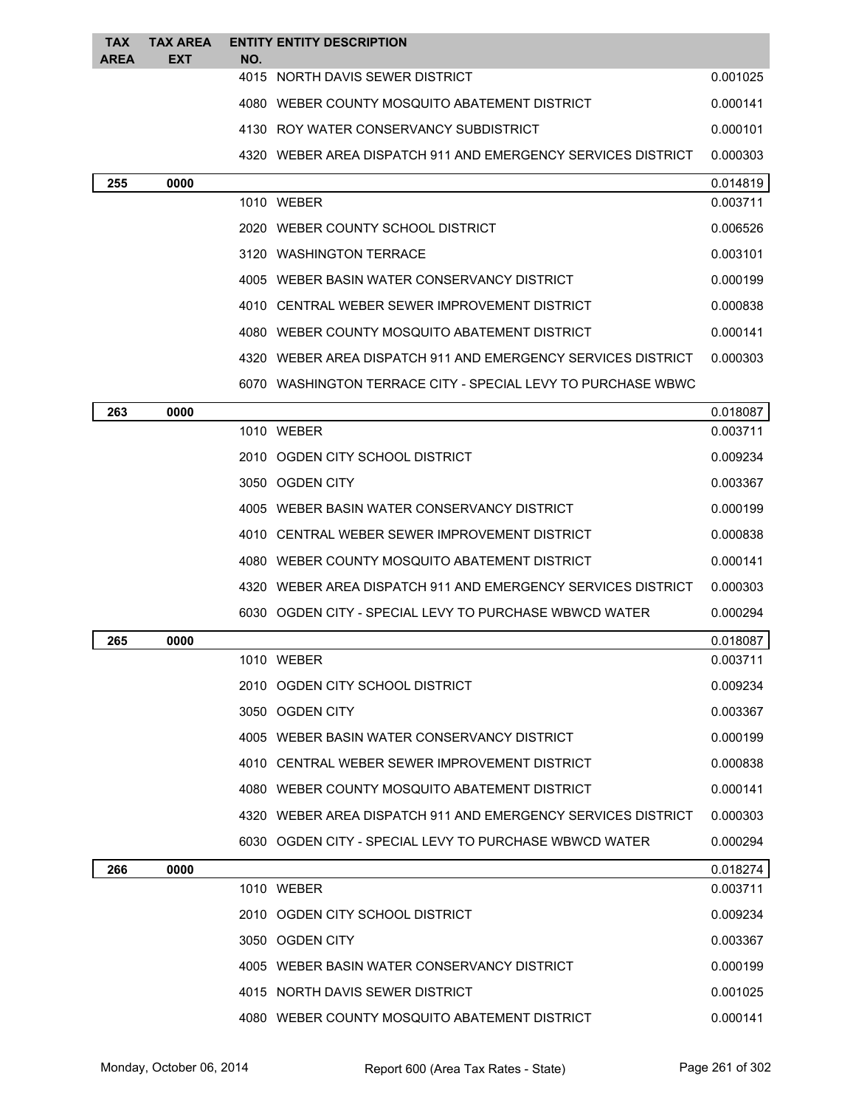| <b>TAX</b><br>AREA | <b>TAX AREA</b><br><b>EXT</b> | NO. | <b>ENTITY ENTITY DESCRIPTION</b>                             |          |
|--------------------|-------------------------------|-----|--------------------------------------------------------------|----------|
|                    |                               |     | 4015 NORTH DAVIS SEWER DISTRICT                              | 0.001025 |
|                    |                               |     | 4080 WEBER COUNTY MOSQUITO ABATEMENT DISTRICT                | 0.000141 |
|                    |                               |     | 4130 ROY WATER CONSERVANCY SUBDISTRICT                       | 0.000101 |
|                    |                               |     | 4320 WEBER AREA DISPATCH 911 AND EMERGENCY SERVICES DISTRICT | 0.000303 |
| 255                | 0000                          |     |                                                              | 0.014819 |
|                    |                               |     | 1010 WEBER                                                   | 0.003711 |
|                    |                               |     | 2020 WEBER COUNTY SCHOOL DISTRICT                            | 0.006526 |
|                    |                               |     | 3120 WASHINGTON TERRACE                                      | 0.003101 |
|                    |                               |     | 4005 WEBER BASIN WATER CONSERVANCY DISTRICT                  | 0.000199 |
|                    |                               |     | 4010 CENTRAL WEBER SEWER IMPROVEMENT DISTRICT                | 0.000838 |
|                    |                               |     | 4080 WEBER COUNTY MOSQUITO ABATEMENT DISTRICT                | 0.000141 |
|                    |                               |     | 4320 WEBER AREA DISPATCH 911 AND EMERGENCY SERVICES DISTRICT | 0.000303 |
|                    |                               |     | 6070 WASHINGTON TERRACE CITY - SPECIAL LEVY TO PURCHASE WBWC |          |
| 263                | 0000                          |     |                                                              | 0.018087 |
|                    |                               |     | 1010 WEBER                                                   | 0.003711 |
|                    |                               |     | 2010 OGDEN CITY SCHOOL DISTRICT                              | 0.009234 |
|                    |                               |     | 3050 OGDEN CITY                                              | 0.003367 |
|                    |                               |     | 4005 WEBER BASIN WATER CONSERVANCY DISTRICT                  | 0.000199 |
|                    |                               |     | 4010 CENTRAL WEBER SEWER IMPROVEMENT DISTRICT                | 0.000838 |
|                    |                               |     | 4080 WEBER COUNTY MOSQUITO ABATEMENT DISTRICT                | 0.000141 |
|                    |                               |     | 4320 WEBER AREA DISPATCH 911 AND EMERGENCY SERVICES DISTRICT | 0.000303 |
|                    |                               |     | 6030 OGDEN CITY - SPECIAL LEVY TO PURCHASE WBWCD WATER       | 0.000294 |
| 265                | 0000                          |     |                                                              | 0.018087 |
|                    |                               |     | 1010 WEBER                                                   | 0.003711 |
|                    |                               |     | 2010 OGDEN CITY SCHOOL DISTRICT                              | 0.009234 |
|                    |                               |     | 3050 OGDEN CITY                                              | 0.003367 |
|                    |                               |     | 4005 WEBER BASIN WATER CONSERVANCY DISTRICT                  | 0.000199 |
|                    |                               |     | 4010 CENTRAL WEBER SEWER IMPROVEMENT DISTRICT                | 0.000838 |
|                    |                               |     | 4080 WEBER COUNTY MOSQUITO ABATEMENT DISTRICT                | 0.000141 |
|                    |                               |     | 4320 WEBER AREA DISPATCH 911 AND EMERGENCY SERVICES DISTRICT | 0.000303 |
|                    |                               |     | 6030 OGDEN CITY - SPECIAL LEVY TO PURCHASE WBWCD WATER       | 0.000294 |
| 266                | 0000                          |     |                                                              | 0.018274 |
|                    |                               |     | 1010 WEBER                                                   | 0.003711 |
|                    |                               |     | 2010 OGDEN CITY SCHOOL DISTRICT                              | 0.009234 |
|                    |                               |     | 3050 OGDEN CITY                                              | 0.003367 |
|                    |                               |     | 4005 WEBER BASIN WATER CONSERVANCY DISTRICT                  | 0.000199 |
|                    |                               |     | 4015 NORTH DAVIS SEWER DISTRICT                              | 0.001025 |
|                    |                               |     | 4080 WEBER COUNTY MOSQUITO ABATEMENT DISTRICT                | 0.000141 |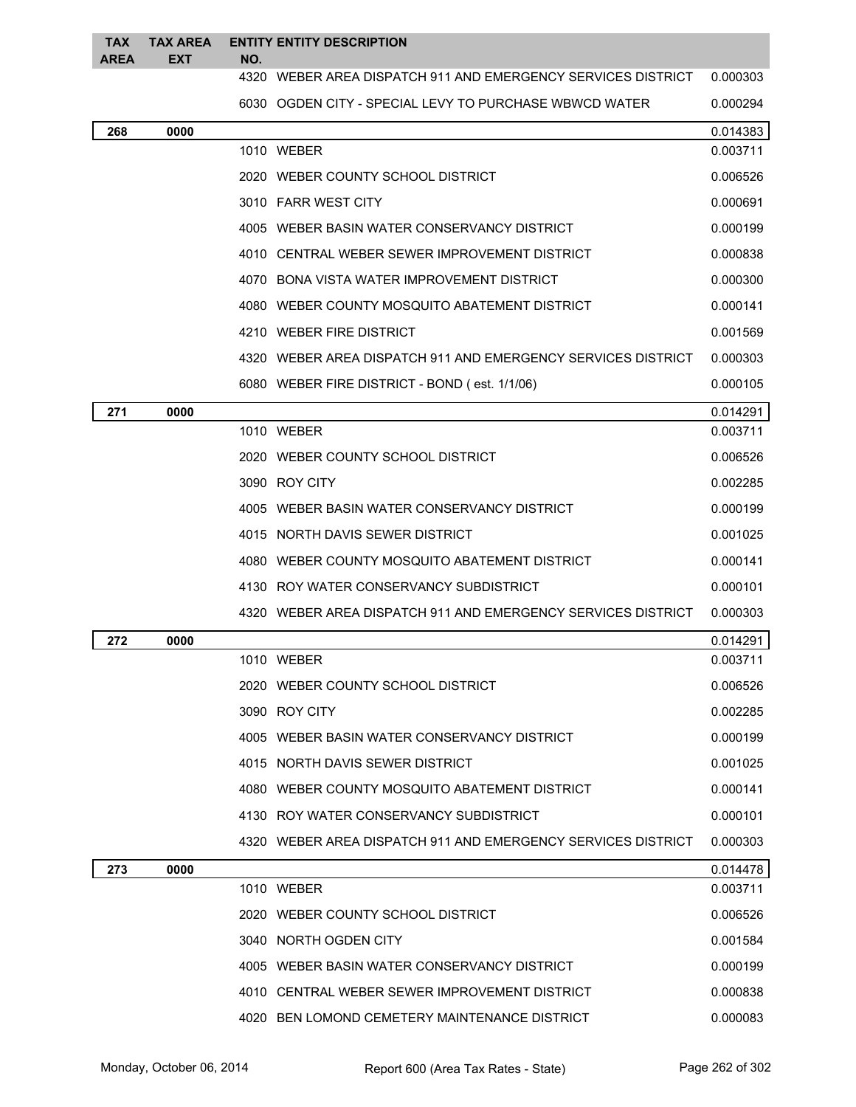| <b>TAX</b><br><b>AREA</b> | <b>TAX AREA</b><br><b>EXT</b> | NO. | <b>ENTITY ENTITY DESCRIPTION</b>                             |          |
|---------------------------|-------------------------------|-----|--------------------------------------------------------------|----------|
|                           |                               |     | 4320 WEBER AREA DISPATCH 911 AND EMERGENCY SERVICES DISTRICT | 0.000303 |
|                           |                               |     | 6030 OGDEN CITY - SPECIAL LEVY TO PURCHASE WBWCD WATER       | 0.000294 |
| 268                       | 0000                          |     |                                                              | 0.014383 |
|                           |                               |     | 1010 WEBER                                                   | 0.003711 |
|                           |                               |     | 2020 WEBER COUNTY SCHOOL DISTRICT                            | 0.006526 |
|                           |                               |     | 3010 FARR WEST CITY                                          | 0.000691 |
|                           |                               |     | 4005 WEBER BASIN WATER CONSERVANCY DISTRICT                  | 0.000199 |
|                           |                               |     | 4010 CENTRAL WEBER SEWER IMPROVEMENT DISTRICT                | 0.000838 |
|                           |                               |     | 4070 BONA VISTA WATER IMPROVEMENT DISTRICT                   | 0.000300 |
|                           |                               |     | 4080 WEBER COUNTY MOSQUITO ABATEMENT DISTRICT                | 0.000141 |
|                           |                               |     | 4210 WEBER FIRE DISTRICT                                     | 0.001569 |
|                           |                               |     | 4320 WEBER AREA DISPATCH 911 AND EMERGENCY SERVICES DISTRICT | 0.000303 |
|                           |                               |     | 6080 WEBER FIRE DISTRICT - BOND (est. 1/1/06)                | 0.000105 |
| 271                       | 0000                          |     |                                                              | 0.014291 |
|                           |                               |     | 1010 WEBER                                                   | 0.003711 |
|                           |                               |     | 2020 WEBER COUNTY SCHOOL DISTRICT                            | 0.006526 |
|                           |                               |     | 3090 ROY CITY                                                | 0.002285 |
|                           |                               |     | 4005 WEBER BASIN WATER CONSERVANCY DISTRICT                  | 0.000199 |
|                           |                               |     | 4015 NORTH DAVIS SEWER DISTRICT                              | 0.001025 |
|                           |                               |     | 4080 WEBER COUNTY MOSQUITO ABATEMENT DISTRICT                | 0.000141 |
|                           |                               |     | 4130 ROY WATER CONSERVANCY SUBDISTRICT                       | 0.000101 |
|                           |                               |     | 4320 WEBER AREA DISPATCH 911 AND EMERGENCY SERVICES DISTRICT | 0.000303 |
| 272                       | 0000                          |     |                                                              | 0.014291 |
|                           |                               |     | 1010 WEBER                                                   | 0.003711 |
|                           |                               |     | 2020 WEBER COUNTY SCHOOL DISTRICT                            | 0.006526 |
|                           |                               |     | 3090 ROY CITY                                                | 0.002285 |
|                           |                               |     | 4005 WEBER BASIN WATER CONSERVANCY DISTRICT                  | 0.000199 |
|                           |                               |     | 4015 NORTH DAVIS SEWER DISTRICT                              | 0.001025 |
|                           |                               |     | 4080 WEBER COUNTY MOSQUITO ABATEMENT DISTRICT                | 0.000141 |
|                           |                               |     | 4130 ROY WATER CONSERVANCY SUBDISTRICT                       | 0.000101 |
|                           |                               |     | 4320 WEBER AREA DISPATCH 911 AND EMERGENCY SERVICES DISTRICT | 0.000303 |
| 273                       | 0000                          |     |                                                              | 0.014478 |
|                           |                               |     | 1010 WEBER                                                   | 0.003711 |
|                           |                               |     | 2020 WEBER COUNTY SCHOOL DISTRICT                            | 0.006526 |
|                           |                               |     | 3040 NORTH OGDEN CITY                                        | 0.001584 |
|                           |                               |     | 4005 WEBER BASIN WATER CONSERVANCY DISTRICT                  | 0.000199 |
|                           |                               |     | 4010 CENTRAL WEBER SEWER IMPROVEMENT DISTRICT                | 0.000838 |
|                           |                               |     | 4020 BEN LOMOND CEMETERY MAINTENANCE DISTRICT                | 0.000083 |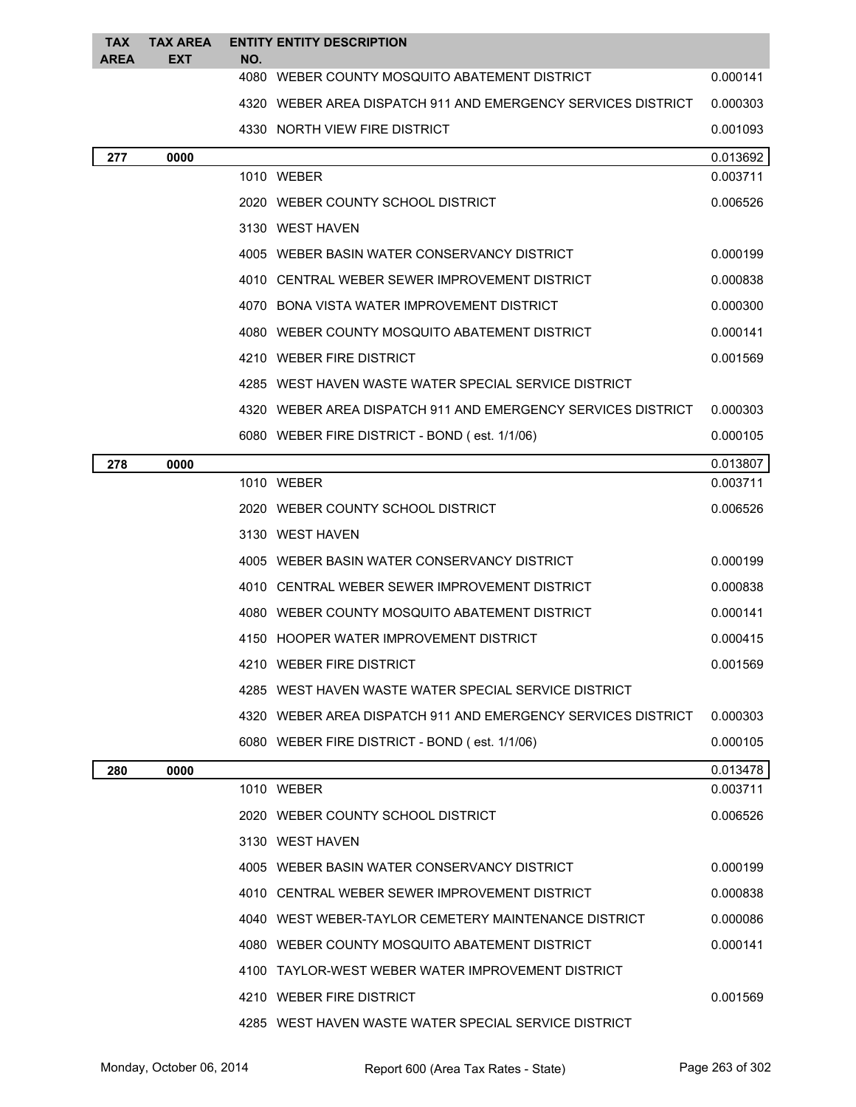| TAX<br>AREA | <b>TAX AREA</b><br><b>EXT</b> | NO. | <b>ENTITY ENTITY DESCRIPTION</b>                             |          |
|-------------|-------------------------------|-----|--------------------------------------------------------------|----------|
|             |                               |     | 4080 WEBER COUNTY MOSQUITO ABATEMENT DISTRICT                | 0.000141 |
|             |                               |     | 4320 WEBER AREA DISPATCH 911 AND EMERGENCY SERVICES DISTRICT | 0.000303 |
|             |                               |     | 4330 NORTH VIEW FIRE DISTRICT                                | 0.001093 |
| 277         | 0000                          |     |                                                              | 0.013692 |
|             |                               |     | 1010 WEBER                                                   | 0.003711 |
|             |                               |     | 2020 WEBER COUNTY SCHOOL DISTRICT                            | 0.006526 |
|             |                               |     | 3130 WEST HAVEN                                              |          |
|             |                               |     | 4005 WEBER BASIN WATER CONSERVANCY DISTRICT                  | 0.000199 |
|             |                               |     | 4010 CENTRAL WEBER SEWER IMPROVEMENT DISTRICT                | 0.000838 |
|             |                               |     | 4070 BONA VISTA WATER IMPROVEMENT DISTRICT                   | 0.000300 |
|             |                               |     | 4080 WEBER COUNTY MOSQUITO ABATEMENT DISTRICT                | 0.000141 |
|             |                               |     | 4210 WEBER FIRE DISTRICT                                     | 0.001569 |
|             |                               |     | 4285 WEST HAVEN WASTE WATER SPECIAL SERVICE DISTRICT         |          |
|             |                               |     | 4320 WEBER AREA DISPATCH 911 AND EMERGENCY SERVICES DISTRICT | 0.000303 |
|             |                               |     | 6080 WEBER FIRE DISTRICT - BOND (est. 1/1/06)                | 0.000105 |
| 278         | 0000                          |     |                                                              | 0.013807 |
|             |                               |     | 1010 WEBER                                                   | 0.003711 |
|             |                               |     | 2020 WEBER COUNTY SCHOOL DISTRICT                            | 0.006526 |
|             |                               |     | 3130 WEST HAVEN                                              |          |
|             |                               |     | 4005 WEBER BASIN WATER CONSERVANCY DISTRICT                  | 0.000199 |
|             |                               |     | 4010 CENTRAL WEBER SEWER IMPROVEMENT DISTRICT                | 0.000838 |
|             |                               |     | 4080 WEBER COUNTY MOSQUITO ABATEMENT DISTRICT                | 0.000141 |
|             |                               |     | 4150 HOOPER WATER IMPROVEMENT DISTRICT                       | 0.000415 |
|             |                               |     | 4210 WEBER FIRE DISTRICT                                     | 0.001569 |
|             |                               |     | 4285 WEST HAVEN WASTE WATER SPECIAL SERVICE DISTRICT         |          |
|             |                               |     | 4320 WEBER AREA DISPATCH 911 AND EMERGENCY SERVICES DISTRICT | 0.000303 |
|             |                               |     | 6080 WEBER FIRE DISTRICT - BOND (est. 1/1/06)                | 0.000105 |
| 280         | 0000                          |     |                                                              | 0.013478 |
|             |                               |     | 1010 WEBER                                                   | 0.003711 |
|             |                               |     | 2020 WEBER COUNTY SCHOOL DISTRICT                            | 0.006526 |
|             |                               |     | 3130 WEST HAVEN                                              |          |
|             |                               |     | 4005 WEBER BASIN WATER CONSERVANCY DISTRICT                  | 0.000199 |
|             |                               |     | 4010 CENTRAL WEBER SEWER IMPROVEMENT DISTRICT                | 0.000838 |
|             |                               |     | 4040 WEST WEBER-TAYLOR CEMETERY MAINTENANCE DISTRICT         | 0.000086 |
|             |                               |     | 4080 WEBER COUNTY MOSQUITO ABATEMENT DISTRICT                | 0.000141 |
|             |                               |     | 4100 TAYLOR-WEST WEBER WATER IMPROVEMENT DISTRICT            |          |
|             |                               |     | 4210 WEBER FIRE DISTRICT                                     | 0.001569 |
|             |                               |     | 4285 WEST HAVEN WASTE WATER SPECIAL SERVICE DISTRICT         |          |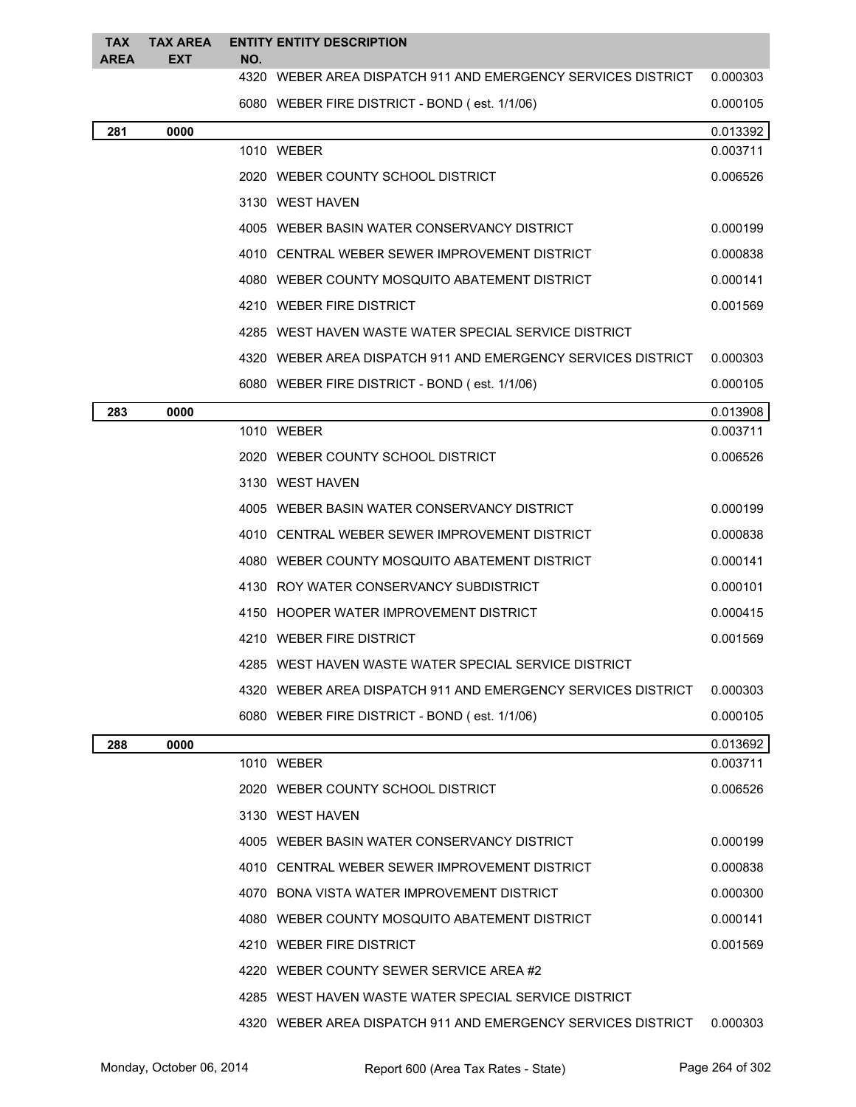| <b>TAX</b> | <b>TAX AREA</b> |     | <b>ENTITY ENTITY DESCRIPTION</b>                             |          |
|------------|-----------------|-----|--------------------------------------------------------------|----------|
| AREA       | EXT             | NO. | 4320 WEBER AREA DISPATCH 911 AND EMERGENCY SERVICES DISTRICT | 0.000303 |
|            |                 |     | 6080 WEBER FIRE DISTRICT - BOND (est. 1/1/06)                | 0.000105 |
| 281        | 0000            |     |                                                              | 0.013392 |
|            |                 |     | 1010 WEBER                                                   | 0.003711 |
|            |                 |     | 2020 WEBER COUNTY SCHOOL DISTRICT                            | 0.006526 |
|            |                 |     | 3130 WEST HAVEN                                              |          |
|            |                 |     | 4005 WEBER BASIN WATER CONSERVANCY DISTRICT                  | 0.000199 |
|            |                 |     | 4010 CENTRAL WEBER SEWER IMPROVEMENT DISTRICT                | 0.000838 |
|            |                 |     | 4080 WEBER COUNTY MOSQUITO ABATEMENT DISTRICT                | 0.000141 |
|            |                 |     | 4210 WEBER FIRE DISTRICT                                     | 0.001569 |
|            |                 |     | 4285 WEST HAVEN WASTE WATER SPECIAL SERVICE DISTRICT         |          |
|            |                 |     | 4320 WEBER AREA DISPATCH 911 AND EMERGENCY SERVICES DISTRICT | 0.000303 |
|            |                 |     | 6080 WEBER FIRE DISTRICT - BOND (est. 1/1/06)                | 0.000105 |
| 283        | 0000            |     |                                                              | 0.013908 |
|            |                 |     | 1010 WEBER                                                   | 0.003711 |
|            |                 |     | 2020 WEBER COUNTY SCHOOL DISTRICT                            | 0.006526 |
|            |                 |     | 3130 WEST HAVEN                                              |          |
|            |                 |     | 4005 WEBER BASIN WATER CONSERVANCY DISTRICT                  | 0.000199 |
|            |                 |     | 4010 CENTRAL WEBER SEWER IMPROVEMENT DISTRICT                | 0.000838 |
|            |                 |     | 4080 WEBER COUNTY MOSQUITO ABATEMENT DISTRICT                | 0.000141 |
|            |                 |     | 4130 ROY WATER CONSERVANCY SUBDISTRICT                       | 0.000101 |
|            |                 |     | 4150 HOOPER WATER IMPROVEMENT DISTRICT                       | 0.000415 |
|            |                 |     | 4210 WEBER FIRE DISTRICT                                     | 0.001569 |
|            |                 |     | 4285 WEST HAVEN WASTE WATER SPECIAL SERVICE DISTRICT         |          |
|            |                 |     | 4320 WEBER AREA DISPATCH 911 AND EMERGENCY SERVICES DISTRICT | 0.000303 |
|            |                 |     | 6080 WEBER FIRE DISTRICT - BOND (est. 1/1/06)                | 0.000105 |
| 288        | 0000            |     |                                                              | 0.013692 |
|            |                 |     | 1010 WEBER                                                   | 0.003711 |
|            |                 |     | 2020 WEBER COUNTY SCHOOL DISTRICT                            | 0.006526 |
|            |                 |     | 3130 WEST HAVEN                                              |          |
|            |                 |     | 4005 WEBER BASIN WATER CONSERVANCY DISTRICT                  | 0.000199 |
|            |                 |     | 4010 CENTRAL WEBER SEWER IMPROVEMENT DISTRICT                | 0.000838 |
|            |                 |     | 4070 BONA VISTA WATER IMPROVEMENT DISTRICT                   | 0.000300 |
|            |                 |     | 4080 WEBER COUNTY MOSQUITO ABATEMENT DISTRICT                | 0.000141 |
|            |                 |     | 4210 WEBER FIRE DISTRICT                                     | 0.001569 |
|            |                 |     | 4220 WEBER COUNTY SEWER SERVICE AREA #2                      |          |
|            |                 |     | 4285 WEST HAVEN WASTE WATER SPECIAL SERVICE DISTRICT         |          |
|            |                 |     | 4320 WEBER AREA DISPATCH 911 AND EMERGENCY SERVICES DISTRICT | 0.000303 |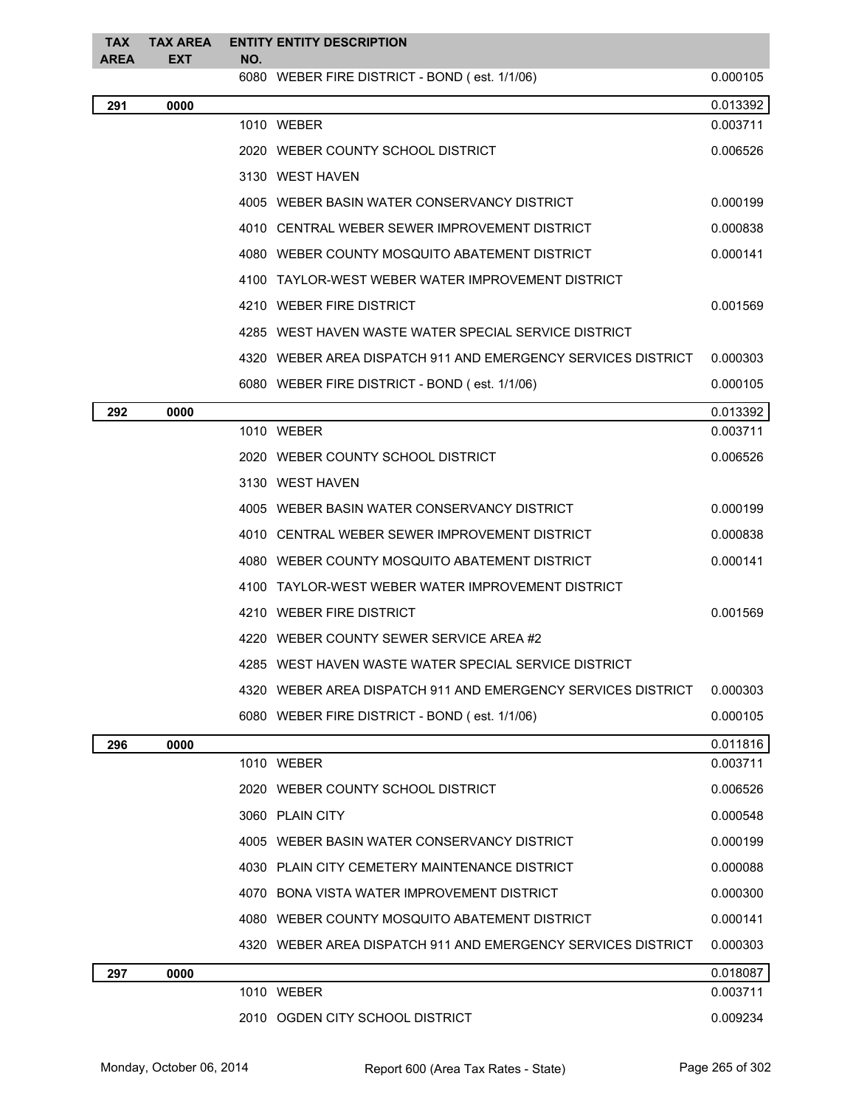| <b>TAX</b><br>AREA | <b>TAX AREA</b><br>EXT | NO. | <b>ENTITY ENTITY DESCRIPTION</b>                               |          |
|--------------------|------------------------|-----|----------------------------------------------------------------|----------|
|                    |                        |     | 6080 WEBER FIRE DISTRICT - BOND (est. 1/1/06)                  | 0.000105 |
| 291                | 0000                   |     |                                                                | 0.013392 |
|                    |                        |     | 1010 WEBER                                                     | 0.003711 |
|                    |                        |     | 2020 WEBER COUNTY SCHOOL DISTRICT                              | 0.006526 |
|                    |                        |     | 3130 WEST HAVEN                                                |          |
|                    |                        |     | 4005 WEBER BASIN WATER CONSERVANCY DISTRICT                    | 0.000199 |
|                    |                        |     | 4010 CENTRAL WEBER SEWER IMPROVEMENT DISTRICT                  | 0.000838 |
|                    |                        |     | 4080 WEBER COUNTY MOSQUITO ABATEMENT DISTRICT                  | 0.000141 |
|                    |                        |     | 4100 TAYLOR-WEST WEBER WATER IMPROVEMENT DISTRICT              |          |
|                    |                        |     | 4210 WEBER FIRE DISTRICT                                       | 0.001569 |
|                    |                        |     | 4285 WEST HAVEN WASTE WATER SPECIAL SERVICE DISTRICT           |          |
|                    |                        |     | 4320   WEBER AREA DISPATCH 911 AND EMERGENCY SERVICES DISTRICT | 0.000303 |
|                    |                        |     | 6080 WEBER FIRE DISTRICT - BOND (est. 1/1/06)                  | 0.000105 |
| 292                | 0000                   |     |                                                                | 0.013392 |
|                    |                        |     | 1010 WEBER                                                     | 0.003711 |
|                    |                        |     | 2020 WEBER COUNTY SCHOOL DISTRICT                              | 0.006526 |
|                    |                        |     | 3130 WEST HAVEN                                                |          |
|                    |                        |     | 4005 WEBER BASIN WATER CONSERVANCY DISTRICT                    | 0.000199 |
|                    |                        |     | 4010 CENTRAL WEBER SEWER IMPROVEMENT DISTRICT                  | 0.000838 |
|                    |                        |     | 4080 WEBER COUNTY MOSQUITO ABATEMENT DISTRICT                  | 0.000141 |
|                    |                        |     | 4100 TAYLOR-WEST WEBER WATER IMPROVEMENT DISTRICT              |          |
|                    |                        |     | 4210 WEBER FIRE DISTRICT                                       | 0.001569 |
|                    |                        |     | 4220 WEBER COUNTY SEWER SERVICE AREA #2                        |          |
|                    |                        |     | 4285 WEST HAVEN WASTE WATER SPECIAL SERVICE DISTRICT           |          |
|                    |                        |     | 4320   WEBER AREA DISPATCH 911 AND EMERGENCY SERVICES DISTRICT | 0.000303 |
|                    |                        |     | 6080 WEBER FIRE DISTRICT - BOND (est. 1/1/06)                  | 0.000105 |
| 296                | 0000                   |     |                                                                | 0.011816 |
|                    |                        |     | 1010 WEBER                                                     | 0.003711 |
|                    |                        |     | 2020 WEBER COUNTY SCHOOL DISTRICT                              | 0.006526 |
|                    |                        |     | 3060 PLAIN CITY                                                | 0.000548 |
|                    |                        |     | 4005 WEBER BASIN WATER CONSERVANCY DISTRICT                    | 0.000199 |
|                    |                        |     | 4030 PLAIN CITY CEMETERY MAINTENANCE DISTRICT                  | 0.000088 |
|                    |                        |     | 4070 BONA VISTA WATER IMPROVEMENT DISTRICT                     | 0.000300 |
|                    |                        |     | 4080 WEBER COUNTY MOSQUITO ABATEMENT DISTRICT                  | 0.000141 |
|                    |                        |     | 4320   WEBER AREA DISPATCH 911 AND EMERGENCY SERVICES DISTRICT | 0.000303 |
| 297                | 0000                   |     |                                                                | 0.018087 |
|                    |                        |     | 1010 WEBER                                                     | 0.003711 |
|                    |                        |     | 2010 OGDEN CITY SCHOOL DISTRICT                                | 0.009234 |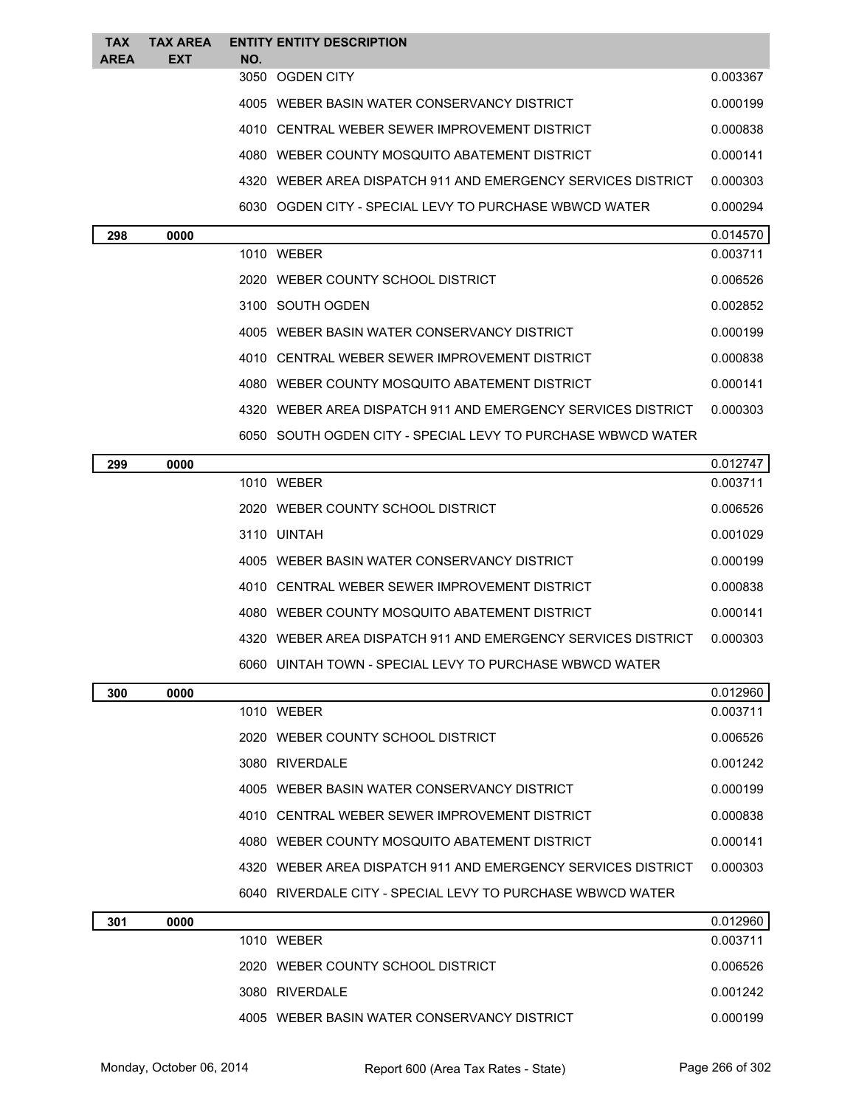| TAX<br>AREA | TAX AREA<br><b>EXT</b> | NO. | <b>ENTITY ENTITY DESCRIPTION</b>                               |          |
|-------------|------------------------|-----|----------------------------------------------------------------|----------|
|             |                        |     | 3050 OGDEN CITY                                                | 0.003367 |
|             |                        |     | 4005 WEBER BASIN WATER CONSERVANCY DISTRICT                    | 0.000199 |
|             |                        |     | 4010 CENTRAL WEBER SEWER IMPROVEMENT DISTRICT                  | 0.000838 |
|             |                        |     | 4080 WEBER COUNTY MOSQUITO ABATEMENT DISTRICT                  | 0.000141 |
|             |                        |     | 4320   WEBER AREA DISPATCH 911 AND EMERGENCY SERVICES DISTRICT | 0.000303 |
|             |                        |     | 6030 OGDEN CITY - SPECIAL LEVY TO PURCHASE WBWCD WATER         | 0.000294 |
| 298         | 0000                   |     |                                                                | 0.014570 |
|             |                        |     | 1010 WEBER                                                     | 0.003711 |
|             |                        |     | 2020 WEBER COUNTY SCHOOL DISTRICT                              | 0.006526 |
|             |                        |     | 3100 SOUTH OGDEN                                               | 0.002852 |
|             |                        |     | 4005 WEBER BASIN WATER CONSERVANCY DISTRICT                    | 0.000199 |
|             |                        |     | 4010 CENTRAL WEBER SEWER IMPROVEMENT DISTRICT                  | 0.000838 |
|             |                        |     | 4080 WEBER COUNTY MOSQUITO ABATEMENT DISTRICT                  | 0.000141 |
|             |                        |     | 4320   WEBER AREA DISPATCH 911 AND EMERGENCY SERVICES DISTRICT | 0.000303 |
|             |                        |     | 6050 SOUTH OGDEN CITY - SPECIAL LEVY TO PURCHASE WBWCD WATER   |          |
| 299         | 0000                   |     |                                                                | 0.012747 |
|             |                        |     | 1010 WEBER                                                     | 0.003711 |
|             |                        |     | 2020 WEBER COUNTY SCHOOL DISTRICT                              | 0.006526 |
|             |                        |     | 3110 UINTAH                                                    | 0.001029 |
|             |                        |     | 4005 WEBER BASIN WATER CONSERVANCY DISTRICT                    | 0.000199 |
|             |                        |     | 4010 CENTRAL WEBER SEWER IMPROVEMENT DISTRICT                  | 0.000838 |
|             |                        |     | 4080 WEBER COUNTY MOSQUITO ABATEMENT DISTRICT                  | 0.000141 |
|             |                        |     | 4320 WEBER AREA DISPATCH 911 AND EMERGENCY SERVICES DISTRICT   | 0.000303 |
|             |                        |     | 6060 UINTAH TOWN - SPECIAL LEVY TO PURCHASE WBWCD WATER        |          |
| 300         | 0000                   |     |                                                                | 0.012960 |
|             |                        |     | 1010 WEBER                                                     | 0.003711 |
|             |                        |     | 2020 WEBER COUNTY SCHOOL DISTRICT                              | 0.006526 |
|             |                        |     | 3080 RIVERDALE                                                 | 0.001242 |
|             |                        |     | 4005 WEBER BASIN WATER CONSERVANCY DISTRICT                    | 0.000199 |
|             |                        |     | 4010 CENTRAL WEBER SEWER IMPROVEMENT DISTRICT                  | 0.000838 |
|             |                        |     | 4080 WEBER COUNTY MOSQUITO ABATEMENT DISTRICT                  | 0.000141 |
|             |                        |     | 4320 WEBER AREA DISPATCH 911 AND EMERGENCY SERVICES DISTRICT   | 0.000303 |
|             |                        |     | 6040 RIVERDALE CITY - SPECIAL LEVY TO PURCHASE WBWCD WATER     |          |
| 301         | 0000                   |     |                                                                | 0.012960 |
|             |                        |     | 1010 WEBER                                                     | 0.003711 |
|             |                        |     | 2020 WEBER COUNTY SCHOOL DISTRICT                              | 0.006526 |
|             |                        |     | 3080 RIVERDALE                                                 | 0.001242 |

4005 WEBER BASIN WATER CONSERVANCY DISTRICT 0.000199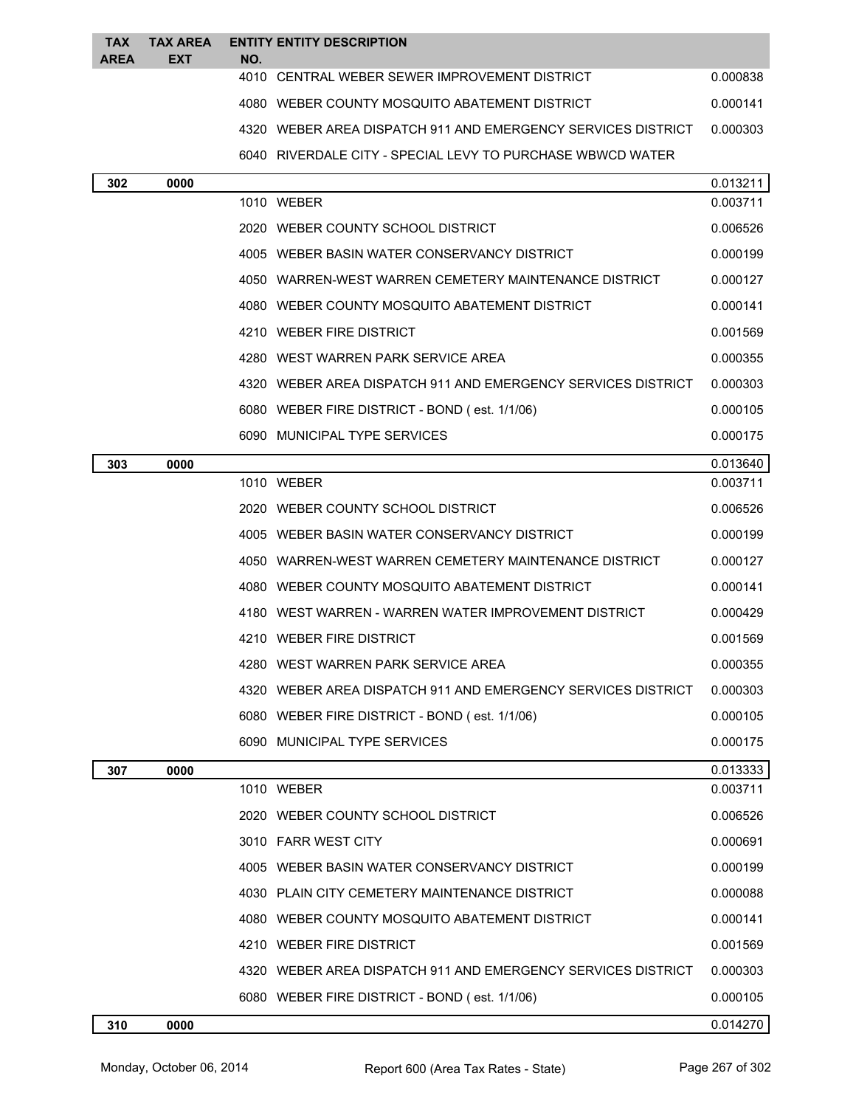| <b>TAX</b><br><b>AREA</b> | <b>TAX AREA</b><br>EXT | NO. | <b>ENTITY ENTITY DESCRIPTION</b>                             |          |
|---------------------------|------------------------|-----|--------------------------------------------------------------|----------|
|                           |                        |     | 4010 CENTRAL WEBER SEWER IMPROVEMENT DISTRICT                | 0.000838 |
|                           |                        |     | 4080 WEBER COUNTY MOSQUITO ABATEMENT DISTRICT                | 0.000141 |
|                           |                        |     | 4320 WEBER AREA DISPATCH 911 AND EMERGENCY SERVICES DISTRICT | 0.000303 |
|                           |                        |     | 6040 RIVERDALE CITY - SPECIAL LEVY TO PURCHASE WBWCD WATER   |          |
| 302                       | 0000                   |     |                                                              | 0.013211 |
|                           |                        |     | 1010 WEBER                                                   | 0.003711 |
|                           |                        |     | 2020 WEBER COUNTY SCHOOL DISTRICT                            | 0.006526 |
|                           |                        |     | 4005 WEBER BASIN WATER CONSERVANCY DISTRICT                  | 0.000199 |
|                           |                        |     | 4050   WARREN-WEST WARREN CEMETERY MAINTENANCE DISTRICT      | 0.000127 |
|                           |                        |     | 4080 WEBER COUNTY MOSQUITO ABATEMENT DISTRICT                | 0.000141 |
|                           |                        |     | 4210 WEBER FIRE DISTRICT                                     | 0.001569 |
|                           |                        |     | 4280 WEST WARREN PARK SERVICE AREA                           | 0.000355 |
|                           |                        |     | 4320 WEBER AREA DISPATCH 911 AND EMERGENCY SERVICES DISTRICT | 0.000303 |
|                           |                        |     | 6080 WEBER FIRE DISTRICT - BOND (est. 1/1/06)                | 0.000105 |
|                           |                        |     | 6090 MUNICIPAL TYPE SERVICES                                 | 0.000175 |
| 303                       | 0000                   |     |                                                              | 0.013640 |
|                           |                        |     | 1010 WEBER                                                   | 0.003711 |
|                           |                        |     | 2020 WEBER COUNTY SCHOOL DISTRICT                            | 0.006526 |
|                           |                        |     | 4005   WEBER BASIN WATER CONSERVANCY DISTRICT                | 0.000199 |
|                           |                        |     | 4050 WARREN-WEST WARREN CEMETERY MAINTENANCE DISTRICT        | 0.000127 |
|                           |                        |     | 4080 WEBER COUNTY MOSQUITO ABATEMENT DISTRICT                | 0.000141 |
|                           |                        |     | 4180 WEST WARREN - WARREN WATER IMPROVEMENT DISTRICT         | 0.000429 |
|                           |                        |     | 4210 WEBER FIRE DISTRICT                                     | 0.001569 |
|                           |                        |     | WEST WARREN PARK SERVICE AREA                                | 0.000355 |
|                           |                        |     | 4320 WEBER AREA DISPATCH 911 AND EMERGENCY SERVICES DISTRICT | 0.000303 |
|                           |                        |     | 6080 WEBER FIRE DISTRICT - BOND (est. 1/1/06)                | 0.000105 |
|                           |                        |     | 6090 MUNICIPAL TYPE SERVICES                                 | 0.000175 |
| 307                       | 0000                   |     |                                                              | 0.013333 |
|                           |                        |     | 1010 WEBER                                                   | 0.003711 |
|                           |                        |     | 2020 WEBER COUNTY SCHOOL DISTRICT                            | 0.006526 |
|                           |                        |     | 3010 FARR WEST CITY                                          | 0.000691 |
|                           |                        |     | 4005 WEBER BASIN WATER CONSERVANCY DISTRICT                  | 0.000199 |
|                           |                        |     | 4030 PLAIN CITY CEMETERY MAINTENANCE DISTRICT                | 0.000088 |
|                           |                        |     | 4080 WEBER COUNTY MOSQUITO ABATEMENT DISTRICT                | 0.000141 |
|                           |                        |     | 4210 WEBER FIRE DISTRICT                                     | 0.001569 |
|                           |                        |     | 4320 WEBER AREA DISPATCH 911 AND EMERGENCY SERVICES DISTRICT | 0.000303 |
|                           |                        |     | 6080 WEBER FIRE DISTRICT - BOND (est. 1/1/06)                | 0.000105 |
| 310                       | 0000                   |     |                                                              | 0.014270 |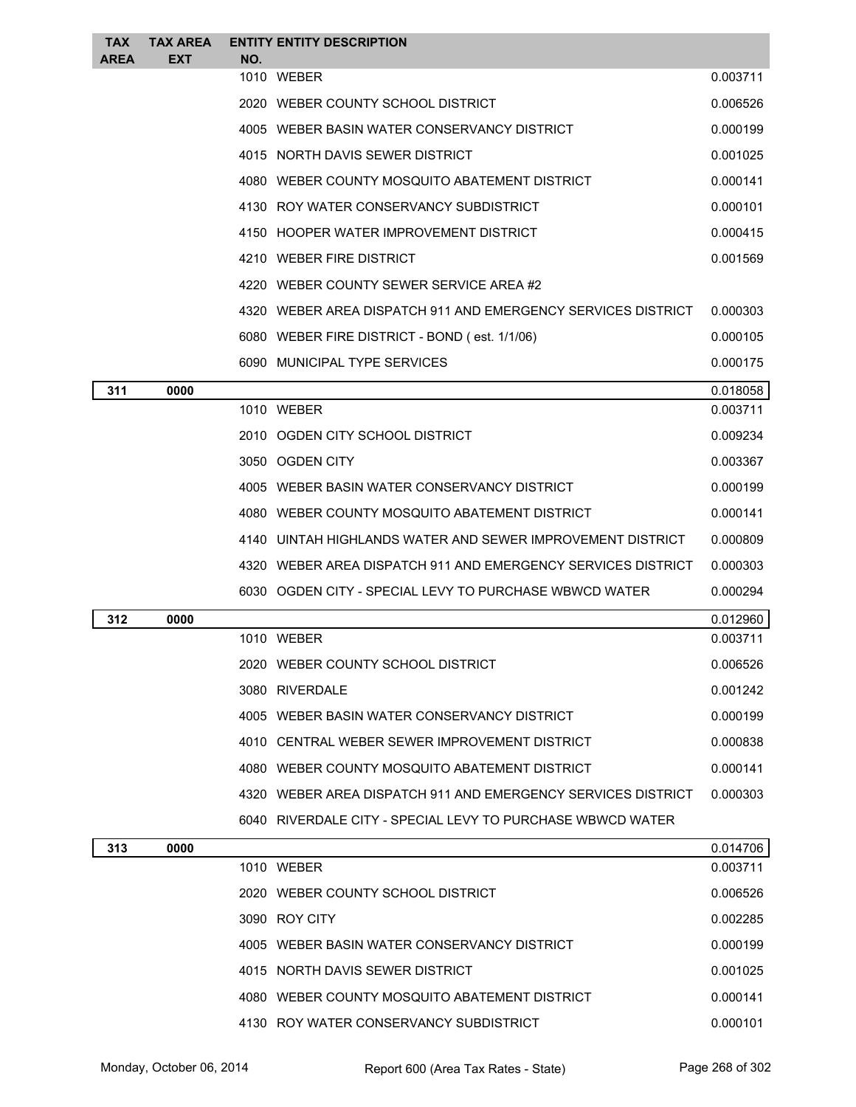| <b>TAX</b><br><b>AREA</b> | <b>TAX AREA</b><br><b>EXT</b> | NO. | <b>ENTITY ENTITY DESCRIPTION</b>                             |          |
|---------------------------|-------------------------------|-----|--------------------------------------------------------------|----------|
|                           |                               |     | 1010 WEBER                                                   | 0.003711 |
|                           |                               |     | 2020 WEBER COUNTY SCHOOL DISTRICT                            | 0.006526 |
|                           |                               |     | 4005 WEBER BASIN WATER CONSERVANCY DISTRICT                  | 0.000199 |
|                           |                               |     | 4015 NORTH DAVIS SEWER DISTRICT                              | 0.001025 |
|                           |                               |     | 4080 WEBER COUNTY MOSQUITO ABATEMENT DISTRICT                | 0.000141 |
|                           |                               |     | 4130 ROY WATER CONSERVANCY SUBDISTRICT                       | 0.000101 |
|                           |                               |     | 4150 HOOPER WATER IMPROVEMENT DISTRICT                       | 0.000415 |
|                           |                               |     | 4210 WEBER FIRE DISTRICT                                     | 0.001569 |
|                           |                               |     | 4220 WEBER COUNTY SEWER SERVICE AREA #2                      |          |
|                           |                               |     | 4320 WEBER AREA DISPATCH 911 AND EMERGENCY SERVICES DISTRICT | 0.000303 |
|                           |                               |     | 6080 WEBER FIRE DISTRICT - BOND (est. 1/1/06)                | 0.000105 |
|                           |                               |     | 6090 MUNICIPAL TYPE SERVICES                                 | 0.000175 |
| 311                       | 0000                          |     |                                                              | 0.018058 |
|                           |                               |     | 1010 WEBER                                                   | 0.003711 |
|                           |                               |     | 2010 OGDEN CITY SCHOOL DISTRICT                              | 0.009234 |
|                           |                               |     | 3050 OGDEN CITY                                              | 0.003367 |
|                           |                               |     | 4005 WEBER BASIN WATER CONSERVANCY DISTRICT                  | 0.000199 |
|                           |                               |     | 4080 WEBER COUNTY MOSQUITO ABATEMENT DISTRICT                | 0.000141 |
|                           |                               |     | 4140 UINTAH HIGHLANDS WATER AND SEWER IMPROVEMENT DISTRICT   | 0.000809 |
|                           |                               |     | 4320 WEBER AREA DISPATCH 911 AND EMERGENCY SERVICES DISTRICT | 0.000303 |
|                           |                               |     | 6030 OGDEN CITY - SPECIAL LEVY TO PURCHASE WBWCD WATER       | 0.000294 |
| 312                       | 0000                          |     |                                                              | 0.012960 |
|                           |                               |     | 1010 WEBER                                                   | 0.003711 |
|                           |                               |     | 2020 WEBER COUNTY SCHOOL DISTRICT                            | 0.006526 |
|                           |                               |     | 3080 RIVERDALE                                               | 0.001242 |
|                           |                               |     | 4005 WEBER BASIN WATER CONSERVANCY DISTRICT                  | 0.000199 |
|                           |                               |     | 4010 CENTRAL WEBER SEWER IMPROVEMENT DISTRICT                | 0.000838 |
|                           |                               |     | 4080 WEBER COUNTY MOSQUITO ABATEMENT DISTRICT                | 0.000141 |
|                           |                               |     | 4320 WEBER AREA DISPATCH 911 AND EMERGENCY SERVICES DISTRICT | 0.000303 |
|                           |                               |     | 6040 RIVERDALE CITY - SPECIAL LEVY TO PURCHASE WBWCD WATER   |          |
| 313                       | 0000                          |     |                                                              | 0.014706 |
|                           |                               |     | 1010 WEBER                                                   | 0.003711 |
|                           |                               |     | 2020 WEBER COUNTY SCHOOL DISTRICT                            | 0.006526 |
|                           |                               |     | 3090 ROY CITY                                                | 0.002285 |
|                           |                               |     | 4005 WEBER BASIN WATER CONSERVANCY DISTRICT                  | 0.000199 |
|                           |                               |     | 4015 NORTH DAVIS SEWER DISTRICT                              | 0.001025 |
|                           |                               |     | 4080 WEBER COUNTY MOSQUITO ABATEMENT DISTRICT                | 0.000141 |
|                           |                               |     | 4130 ROY WATER CONSERVANCY SUBDISTRICT                       | 0.000101 |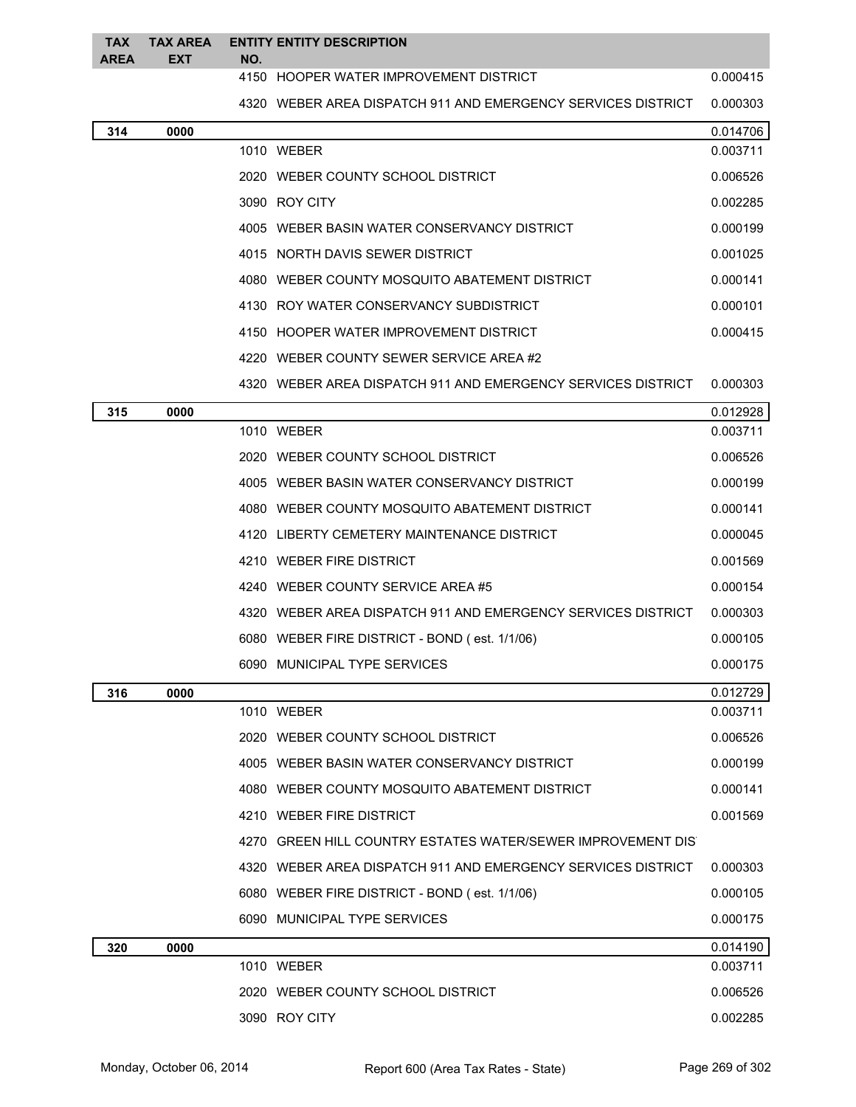| <b>TAX</b><br><b>AREA</b> | <b>TAX AREA</b><br><b>EXT</b> | NO. | <b>ENTITY ENTITY DESCRIPTION</b>                               |          |
|---------------------------|-------------------------------|-----|----------------------------------------------------------------|----------|
|                           |                               |     | 4150 HOOPER WATER IMPROVEMENT DISTRICT                         | 0.000415 |
|                           |                               |     | 4320 WEBER AREA DISPATCH 911 AND EMERGENCY SERVICES DISTRICT   | 0.000303 |
| 314                       | 0000                          |     |                                                                | 0.014706 |
|                           |                               |     | 1010 WEBER                                                     | 0.003711 |
|                           |                               |     | 2020 WEBER COUNTY SCHOOL DISTRICT                              | 0.006526 |
|                           |                               |     | 3090 ROY CITY                                                  | 0.002285 |
|                           |                               |     | 4005 WEBER BASIN WATER CONSERVANCY DISTRICT                    | 0.000199 |
|                           |                               |     | 4015 NORTH DAVIS SEWER DISTRICT                                | 0.001025 |
|                           |                               |     | 4080 WEBER COUNTY MOSQUITO ABATEMENT DISTRICT                  | 0.000141 |
|                           |                               |     | 4130 ROY WATER CONSERVANCY SUBDISTRICT                         | 0.000101 |
|                           |                               |     | 4150 HOOPER WATER IMPROVEMENT DISTRICT                         | 0.000415 |
|                           |                               |     | 4220 WEBER COUNTY SEWER SERVICE AREA #2                        |          |
|                           |                               |     | 4320   WEBER AREA DISPATCH 911 AND EMERGENCY SERVICES DISTRICT | 0.000303 |
| 315                       | 0000                          |     |                                                                | 0.012928 |
|                           |                               |     | 1010 WEBER                                                     | 0.003711 |
|                           |                               |     | 2020 WEBER COUNTY SCHOOL DISTRICT                              | 0.006526 |
|                           |                               |     | 4005 WEBER BASIN WATER CONSERVANCY DISTRICT                    | 0.000199 |
|                           |                               |     | 4080 WEBER COUNTY MOSQUITO ABATEMENT DISTRICT                  | 0.000141 |
|                           |                               |     | 4120 LIBERTY CEMETERY MAINTENANCE DISTRICT                     | 0.000045 |
|                           |                               |     | 4210 WEBER FIRE DISTRICT                                       | 0.001569 |
|                           |                               |     | 4240 WEBER COUNTY SERVICE AREA #5                              | 0.000154 |
|                           |                               |     | 4320 WEBER AREA DISPATCH 911 AND EMERGENCY SERVICES DISTRICT   | 0.000303 |
|                           |                               |     | 6080 WEBER FIRE DISTRICT - BOND (est. 1/1/06)                  | 0.000105 |
|                           |                               |     | 6090 MUNICIPAL TYPE SERVICES                                   | 0.000175 |
| 316                       | 0000                          |     |                                                                | 0.012729 |
|                           |                               |     | 1010 WEBER                                                     | 0.003711 |
|                           |                               |     | 2020 WEBER COUNTY SCHOOL DISTRICT                              | 0.006526 |
|                           |                               |     | 4005 WEBER BASIN WATER CONSERVANCY DISTRICT                    | 0.000199 |
|                           |                               |     | 4080 WEBER COUNTY MOSQUITO ABATEMENT DISTRICT                  | 0.000141 |
|                           |                               |     | 4210 WEBER FIRE DISTRICT                                       | 0.001569 |
|                           |                               |     | 4270 GREEN HILL COUNTRY ESTATES WATER/SEWER IMPROVEMENT DIS    |          |
|                           |                               |     | 4320   WEBER AREA DISPATCH 911 AND EMERGENCY SERVICES DISTRICT | 0.000303 |
|                           |                               |     | 6080 WEBER FIRE DISTRICT - BOND (est. 1/1/06)                  | 0.000105 |
|                           |                               |     | 6090 MUNICIPAL TYPE SERVICES                                   | 0.000175 |
| 320                       | 0000                          |     |                                                                | 0.014190 |
|                           |                               |     | 1010 WEBER                                                     | 0.003711 |
|                           |                               |     | 2020 WEBER COUNTY SCHOOL DISTRICT                              | 0.006526 |
|                           |                               |     | 3090 ROY CITY                                                  | 0.002285 |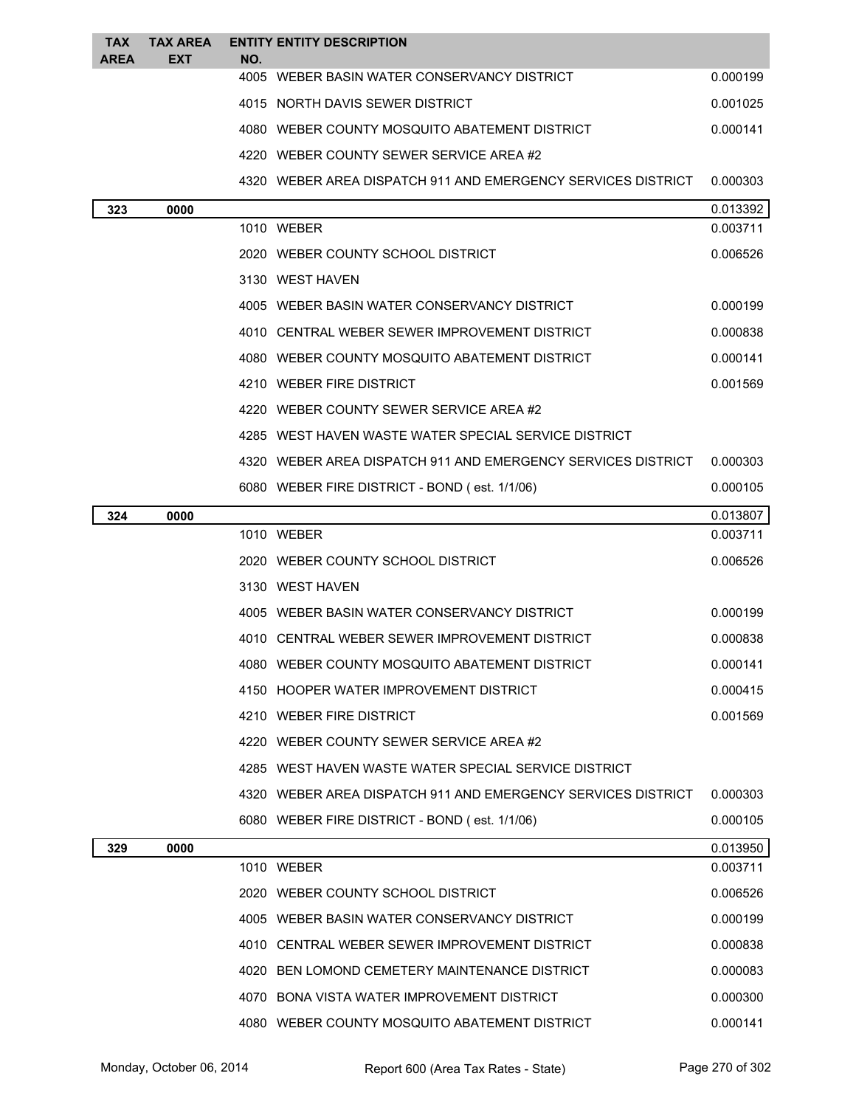| <b>TAX</b><br><b>AREA</b> | TAX AREA<br><b>EXT</b> | NO. | <b>ENTITY ENTITY DESCRIPTION</b>                             |          |
|---------------------------|------------------------|-----|--------------------------------------------------------------|----------|
|                           |                        |     | 4005 WEBER BASIN WATER CONSERVANCY DISTRICT                  | 0.000199 |
|                           |                        |     | 4015 NORTH DAVIS SEWER DISTRICT                              | 0.001025 |
|                           |                        |     | 4080 WEBER COUNTY MOSQUITO ABATEMENT DISTRICT                | 0.000141 |
|                           |                        |     | 4220 WEBER COUNTY SEWER SERVICE AREA #2                      |          |
|                           |                        |     | 4320 WEBER AREA DISPATCH 911 AND EMERGENCY SERVICES DISTRICT | 0.000303 |
| 323                       | 0000                   |     |                                                              | 0.013392 |
|                           |                        |     | 1010 WEBER                                                   | 0.003711 |
|                           |                        |     | 2020 WEBER COUNTY SCHOOL DISTRICT                            | 0.006526 |
|                           |                        |     | 3130 WEST HAVEN                                              |          |
|                           |                        |     | 4005 WEBER BASIN WATER CONSERVANCY DISTRICT                  | 0.000199 |
|                           |                        |     | 4010 CENTRAL WEBER SEWER IMPROVEMENT DISTRICT                | 0.000838 |
|                           |                        |     | 4080 WEBER COUNTY MOSQUITO ABATEMENT DISTRICT                | 0.000141 |
|                           |                        |     | 4210 WEBER FIRE DISTRICT                                     | 0.001569 |
|                           |                        |     | 4220 WEBER COUNTY SEWER SERVICE AREA #2                      |          |
|                           |                        |     | 4285 WEST HAVEN WASTE WATER SPECIAL SERVICE DISTRICT         |          |
|                           |                        |     | 4320 WEBER AREA DISPATCH 911 AND EMERGENCY SERVICES DISTRICT | 0.000303 |
|                           |                        |     | 6080 WEBER FIRE DISTRICT - BOND (est. 1/1/06)                | 0.000105 |
| 324                       | 0000                   |     |                                                              | 0.013807 |
|                           |                        |     | 1010 WEBER                                                   | 0.003711 |
|                           |                        |     | 2020 WEBER COUNTY SCHOOL DISTRICT                            | 0.006526 |
|                           |                        |     | 3130 WEST HAVEN                                              |          |
|                           |                        |     | 4005 WEBER BASIN WATER CONSERVANCY DISTRICT                  | 0.000199 |
|                           |                        |     | 4010 CENTRAL WEBER SEWER IMPROVEMENT DISTRICT                | 0.000838 |
|                           |                        |     | 4080 WEBER COUNTY MOSQUITO ABATEMENT DISTRICT                | 0.000141 |
|                           |                        |     | 4150 HOOPER WATER IMPROVEMENT DISTRICT                       | 0.000415 |
|                           |                        |     | 4210 WEBER FIRE DISTRICT                                     | 0.001569 |
|                           |                        |     | 4220 WEBER COUNTY SEWER SERVICE AREA #2                      |          |
|                           |                        |     | 4285 WEST HAVEN WASTE WATER SPECIAL SERVICE DISTRICT         |          |
|                           |                        |     | 4320 WEBER AREA DISPATCH 911 AND EMERGENCY SERVICES DISTRICT | 0.000303 |
|                           |                        |     | 6080 WEBER FIRE DISTRICT - BOND (est. 1/1/06)                | 0.000105 |
| 329                       | 0000                   |     |                                                              | 0.013950 |
|                           |                        |     | 1010 WEBER                                                   | 0.003711 |
|                           |                        |     | 2020 WEBER COUNTY SCHOOL DISTRICT                            | 0.006526 |
|                           |                        |     | 4005 WEBER BASIN WATER CONSERVANCY DISTRICT                  | 0.000199 |
|                           |                        |     | 4010 CENTRAL WEBER SEWER IMPROVEMENT DISTRICT                | 0.000838 |
|                           |                        |     | 4020 BEN LOMOND CEMETERY MAINTENANCE DISTRICT                | 0.000083 |
|                           |                        |     | 4070 BONA VISTA WATER IMPROVEMENT DISTRICT                   | 0.000300 |
|                           |                        |     | 4080 WEBER COUNTY MOSQUITO ABATEMENT DISTRICT                | 0.000141 |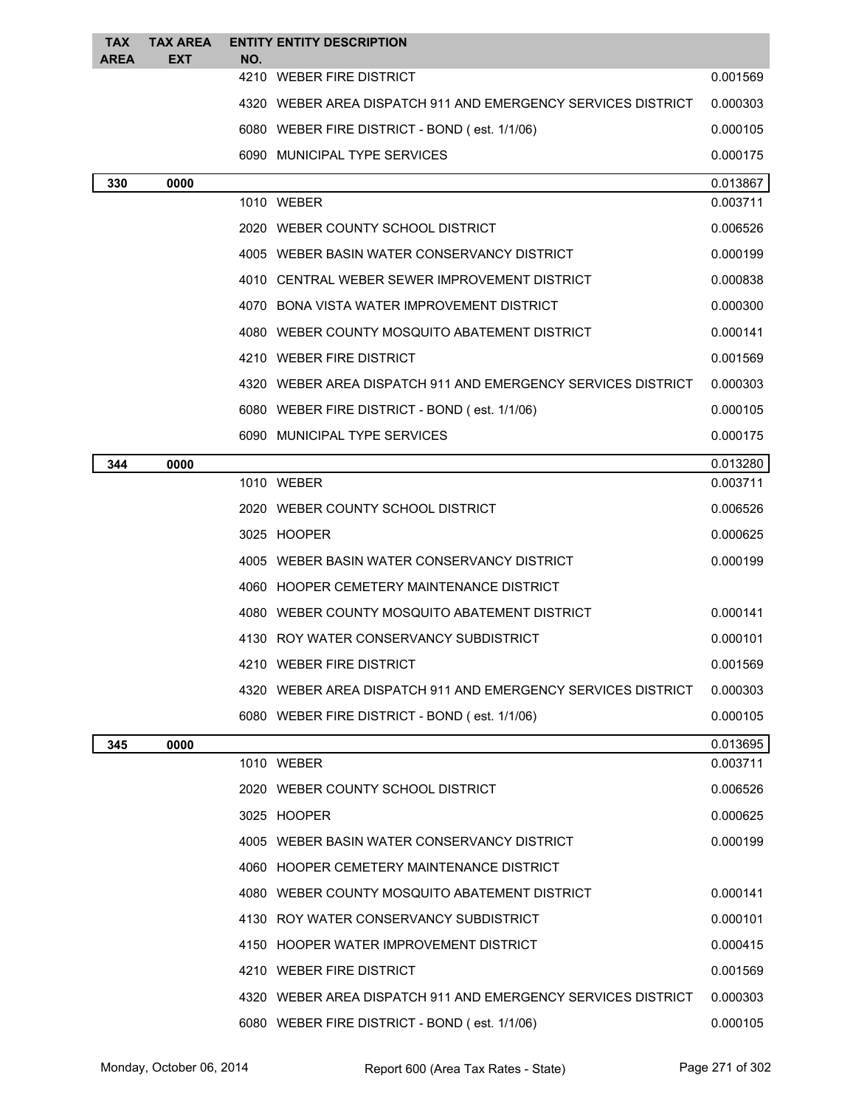| <b>TAX</b><br><b>AREA</b> | <b>TAX AREA</b><br><b>EXT</b> | NO. | <b>ENTITY ENTITY DESCRIPTION</b>                             |          |
|---------------------------|-------------------------------|-----|--------------------------------------------------------------|----------|
|                           |                               |     | 4210 WEBER FIRE DISTRICT                                     | 0.001569 |
|                           |                               |     | 4320 WEBER AREA DISPATCH 911 AND EMERGENCY SERVICES DISTRICT | 0.000303 |
|                           |                               |     | 6080 WEBER FIRE DISTRICT - BOND (est. 1/1/06)                | 0.000105 |
|                           |                               |     | 6090 MUNICIPAL TYPE SERVICES                                 | 0.000175 |
| 330                       | 0000                          |     |                                                              | 0.013867 |
|                           |                               |     | 1010 WEBER                                                   | 0.003711 |
|                           |                               |     | 2020 WEBER COUNTY SCHOOL DISTRICT                            | 0.006526 |
|                           |                               |     | 4005 WEBER BASIN WATER CONSERVANCY DISTRICT                  | 0.000199 |
|                           |                               |     | 4010 CENTRAL WEBER SEWER IMPROVEMENT DISTRICT                | 0.000838 |
|                           |                               |     | 4070 BONA VISTA WATER IMPROVEMENT DISTRICT                   | 0.000300 |
|                           |                               |     | 4080 WEBER COUNTY MOSQUITO ABATEMENT DISTRICT                | 0.000141 |
|                           |                               |     | 4210 WEBER FIRE DISTRICT                                     | 0.001569 |
|                           |                               |     | 4320 WEBER AREA DISPATCH 911 AND EMERGENCY SERVICES DISTRICT | 0.000303 |
|                           |                               |     | 6080 WEBER FIRE DISTRICT - BOND (est. 1/1/06)                | 0.000105 |
|                           |                               |     | 6090 MUNICIPAL TYPE SERVICES                                 | 0.000175 |
| 344                       | 0000                          |     |                                                              | 0.013280 |
|                           |                               |     | 1010 WEBER                                                   | 0.003711 |
|                           |                               |     | 2020 WEBER COUNTY SCHOOL DISTRICT                            | 0.006526 |
|                           |                               |     | 3025 HOOPER                                                  | 0.000625 |
|                           |                               |     | 4005 WEBER BASIN WATER CONSERVANCY DISTRICT                  | 0.000199 |
|                           |                               |     | 4060 HOOPER CEMETERY MAINTENANCE DISTRICT                    |          |
|                           |                               |     | 4080 WEBER COUNTY MOSQUITO ABATEMENT DISTRICT                | 0.000141 |
|                           |                               |     | 4130 ROY WATER CONSERVANCY SUBDISTRICT                       | 0.000101 |
|                           |                               |     | 4210 WEBER FIRE DISTRICT                                     | 0.001569 |
|                           |                               |     | 4320 WEBER AREA DISPATCH 911 AND EMERGENCY SERVICES DISTRICT | 0.000303 |
|                           |                               |     | 6080 WEBER FIRE DISTRICT - BOND (est. 1/1/06)                | 0.000105 |
| 345                       | 0000                          |     |                                                              | 0.013695 |
|                           |                               |     | 1010 WEBER                                                   | 0.003711 |
|                           |                               |     | 2020 WEBER COUNTY SCHOOL DISTRICT                            | 0.006526 |
|                           |                               |     | 3025 HOOPER                                                  | 0.000625 |
|                           |                               |     | 4005 WEBER BASIN WATER CONSERVANCY DISTRICT                  | 0.000199 |
|                           |                               |     | 4060 HOOPER CEMETERY MAINTENANCE DISTRICT                    |          |
|                           |                               |     | 4080 WEBER COUNTY MOSQUITO ABATEMENT DISTRICT                | 0.000141 |
|                           |                               |     | 4130 ROY WATER CONSERVANCY SUBDISTRICT                       | 0.000101 |
|                           |                               |     | 4150 HOOPER WATER IMPROVEMENT DISTRICT                       | 0.000415 |
|                           |                               |     | 4210 WEBER FIRE DISTRICT                                     | 0.001569 |
|                           |                               |     | 4320 WEBER AREA DISPATCH 911 AND EMERGENCY SERVICES DISTRICT | 0.000303 |
|                           |                               |     | 6080 WEBER FIRE DISTRICT - BOND (est. 1/1/06)                | 0.000105 |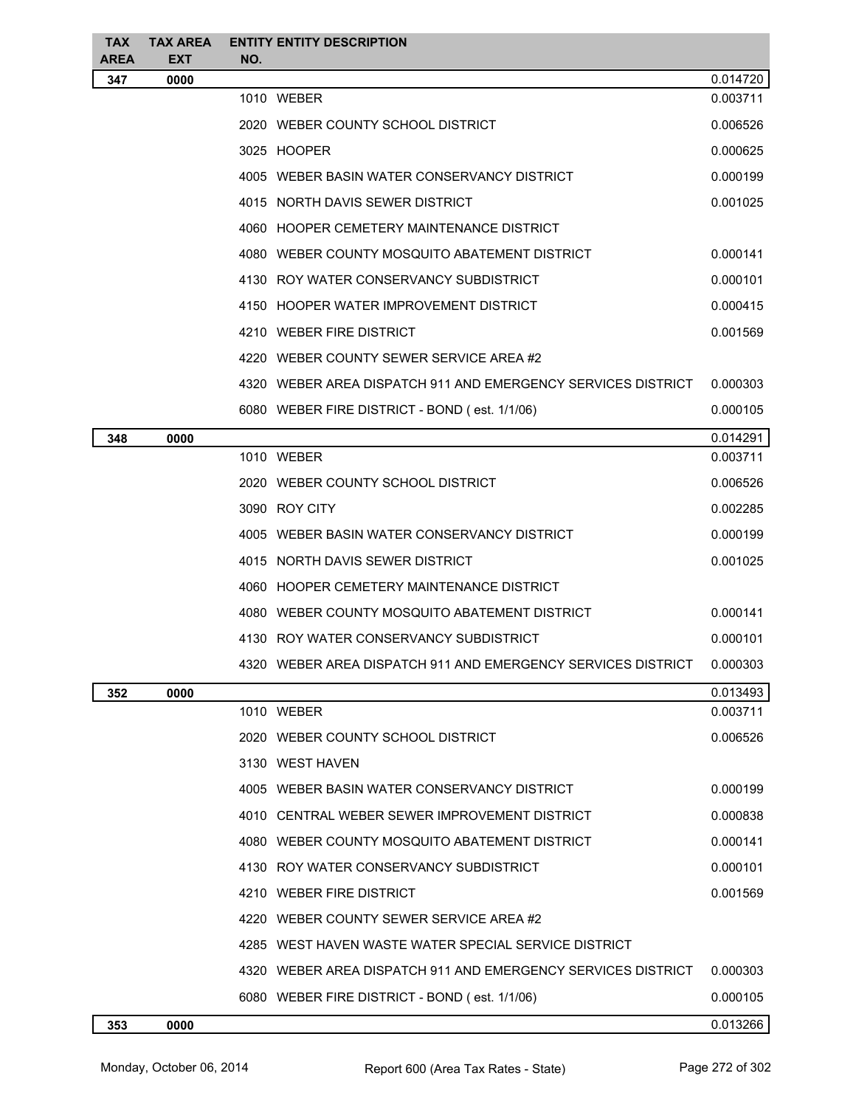| <b>TAX</b><br><b>AREA</b> | <b>TAX AREA</b><br><b>EXT</b> | <b>ENTITY ENTITY DESCRIPTION</b><br>NO. |                                                              |          |
|---------------------------|-------------------------------|-----------------------------------------|--------------------------------------------------------------|----------|
| 347                       | 0000                          |                                         |                                                              | 0.014720 |
|                           |                               | 1010 WEBER                              |                                                              | 0.003711 |
|                           |                               | 2020 WEBER COUNTY SCHOOL DISTRICT       |                                                              | 0.006526 |
|                           |                               | 3025 HOOPER                             |                                                              | 0.000625 |
|                           |                               |                                         | 4005 WEBER BASIN WATER CONSERVANCY DISTRICT                  | 0.000199 |
|                           |                               | 4015 NORTH DAVIS SEWER DISTRICT         |                                                              | 0.001025 |
|                           |                               |                                         | 4060 HOOPER CEMETERY MAINTENANCE DISTRICT                    |          |
|                           |                               |                                         | 4080 WEBER COUNTY MOSQUITO ABATEMENT DISTRICT                | 0.000141 |
|                           |                               |                                         | 4130 ROY WATER CONSERVANCY SUBDISTRICT                       | 0.000101 |
|                           |                               |                                         | 4150 HOOPER WATER IMPROVEMENT DISTRICT                       | 0.000415 |
|                           |                               | 4210 WEBER FIRE DISTRICT                |                                                              | 0.001569 |
|                           |                               |                                         | 4220 WEBER COUNTY SEWER SERVICE AREA #2                      |          |
|                           |                               |                                         | 4320 WEBER AREA DISPATCH 911 AND EMERGENCY SERVICES DISTRICT | 0.000303 |
|                           |                               |                                         | 6080 WEBER FIRE DISTRICT - BOND (est. 1/1/06)                | 0.000105 |
| 348                       | 0000                          |                                         |                                                              | 0.014291 |
|                           |                               | 1010 WEBER                              |                                                              | 0.003711 |
|                           |                               | 2020 WEBER COUNTY SCHOOL DISTRICT       |                                                              | 0.006526 |
|                           |                               | 3090 ROY CITY                           |                                                              | 0.002285 |
|                           |                               |                                         | 4005 WEBER BASIN WATER CONSERVANCY DISTRICT                  | 0.000199 |
|                           |                               | 4015 NORTH DAVIS SEWER DISTRICT         |                                                              | 0.001025 |
|                           |                               |                                         | 4060 HOOPER CEMETERY MAINTENANCE DISTRICT                    |          |
|                           |                               |                                         | 4080 WEBER COUNTY MOSQUITO ABATEMENT DISTRICT                | 0.000141 |
|                           |                               |                                         | 4130 ROY WATER CONSERVANCY SUBDISTRICT                       | 0.000101 |
|                           |                               |                                         | 4320 WEBER AREA DISPATCH 911 AND EMERGENCY SERVICES DISTRICT | 0.000303 |
| 352                       | 0000                          |                                         |                                                              | 0.013493 |
|                           |                               | 1010 WEBER                              |                                                              | 0.003711 |
|                           |                               | 2020 WEBER COUNTY SCHOOL DISTRICT       |                                                              | 0.006526 |
|                           |                               | 3130 WEST HAVEN                         |                                                              |          |
|                           |                               |                                         | 4005 WEBER BASIN WATER CONSERVANCY DISTRICT                  | 0.000199 |
|                           |                               |                                         | 4010 CENTRAL WEBER SEWER IMPROVEMENT DISTRICT                | 0.000838 |
|                           |                               |                                         | 4080 WEBER COUNTY MOSQUITO ABATEMENT DISTRICT                | 0.000141 |
|                           |                               |                                         | 4130 ROY WATER CONSERVANCY SUBDISTRICT                       | 0.000101 |
|                           |                               | 4210 WEBER FIRE DISTRICT                |                                                              | 0.001569 |
|                           |                               |                                         | 4220 WEBER COUNTY SEWER SERVICE AREA #2                      |          |
|                           |                               |                                         | 4285 WEST HAVEN WASTE WATER SPECIAL SERVICE DISTRICT         |          |
|                           |                               |                                         | 4320 WEBER AREA DISPATCH 911 AND EMERGENCY SERVICES DISTRICT | 0.000303 |
|                           |                               |                                         | 6080 WEBER FIRE DISTRICT - BOND (est. 1/1/06)                | 0.000105 |
| 353                       | 0000                          |                                         |                                                              | 0.013266 |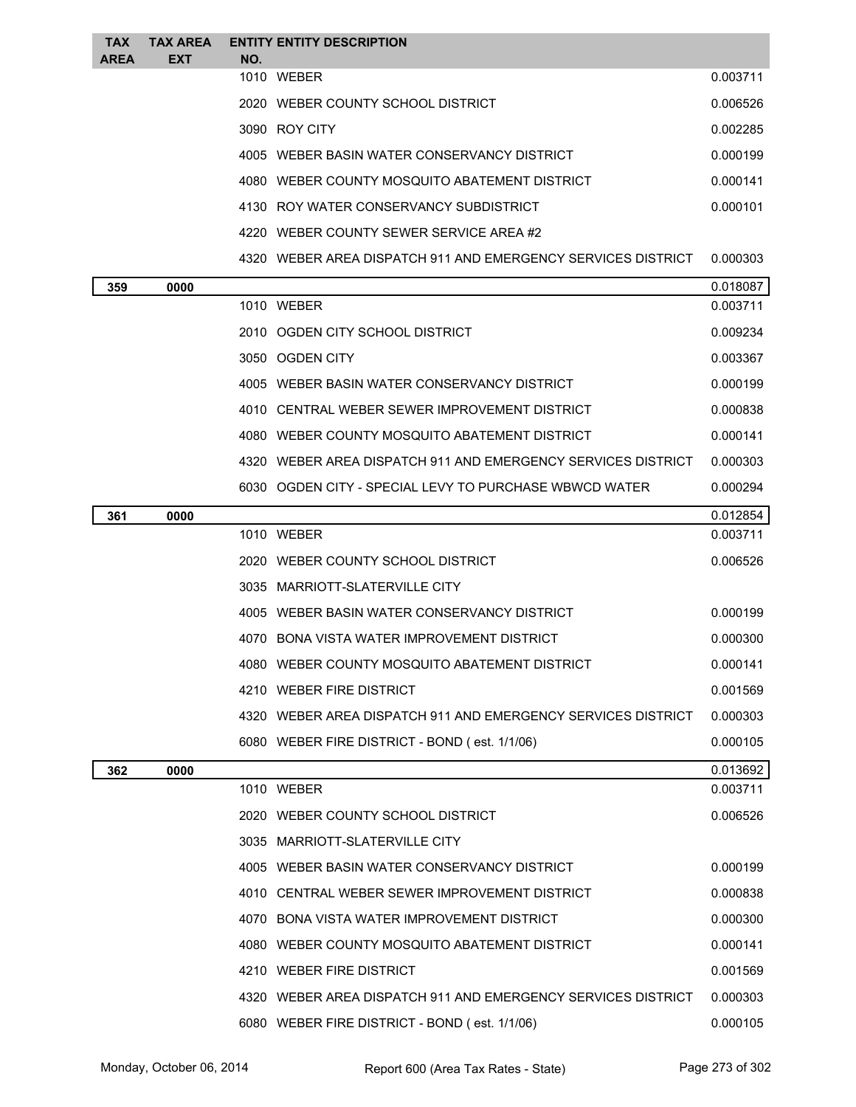| <b>TAX</b><br>AREA | <b>TAX AREA</b><br><b>EXT</b> | NO. | <b>ENTITY ENTITY DESCRIPTION</b>                               |          |
|--------------------|-------------------------------|-----|----------------------------------------------------------------|----------|
|                    |                               |     | 1010 WEBER                                                     | 0.003711 |
|                    |                               |     | 2020 WEBER COUNTY SCHOOL DISTRICT                              | 0.006526 |
|                    |                               |     | 3090 ROY CITY                                                  | 0.002285 |
|                    |                               |     | 4005 WEBER BASIN WATER CONSERVANCY DISTRICT                    | 0.000199 |
|                    |                               |     | 4080 WEBER COUNTY MOSQUITO ABATEMENT DISTRICT                  | 0.000141 |
|                    |                               |     | 4130 ROY WATER CONSERVANCY SUBDISTRICT                         | 0.000101 |
|                    |                               |     | 4220 WEBER COUNTY SEWER SERVICE AREA #2                        |          |
|                    |                               |     | 4320   WEBER AREA DISPATCH 911 AND EMERGENCY SERVICES DISTRICT | 0.000303 |
| 359                | 0000                          |     |                                                                | 0.018087 |
|                    |                               |     | 1010 WEBER                                                     | 0.003711 |
|                    |                               |     | 2010 OGDEN CITY SCHOOL DISTRICT                                | 0.009234 |
|                    |                               |     | 3050 OGDEN CITY                                                | 0.003367 |
|                    |                               |     | 4005 WEBER BASIN WATER CONSERVANCY DISTRICT                    | 0.000199 |
|                    |                               |     | 4010 CENTRAL WEBER SEWER IMPROVEMENT DISTRICT                  | 0.000838 |
|                    |                               |     | 4080 WEBER COUNTY MOSQUITO ABATEMENT DISTRICT                  | 0.000141 |
|                    |                               |     | 4320 WEBER AREA DISPATCH 911 AND EMERGENCY SERVICES DISTRICT   | 0.000303 |
|                    |                               |     | 6030 OGDEN CITY - SPECIAL LEVY TO PURCHASE WBWCD WATER         | 0.000294 |
| 361                | 0000                          |     |                                                                | 0.012854 |
|                    |                               |     | 1010 WEBER                                                     | 0.003711 |
|                    |                               |     | 2020 WEBER COUNTY SCHOOL DISTRICT                              | 0.006526 |
|                    |                               |     | 3035 MARRIOTT-SLATERVILLE CITY                                 |          |
|                    |                               |     | 4005 WEBER BASIN WATER CONSERVANCY DISTRICT                    | 0.000199 |
|                    |                               |     | 4070 BONA VISTA WATER IMPROVEMENT DISTRICT                     | 0.000300 |
|                    |                               |     | 4080 WEBER COUNTY MOSQUITO ABATEMENT DISTRICT                  | 0.000141 |
|                    |                               |     | 4210 WEBER FIRE DISTRICT                                       | 0.001569 |
|                    |                               |     | 4320 WEBER AREA DISPATCH 911 AND EMERGENCY SERVICES DISTRICT   | 0.000303 |
|                    |                               |     | 6080 WEBER FIRE DISTRICT - BOND (est. 1/1/06)                  | 0.000105 |
| 362                | 0000                          |     |                                                                | 0.013692 |
|                    |                               |     | 1010 WEBER                                                     | 0.003711 |
|                    |                               |     | 2020 WEBER COUNTY SCHOOL DISTRICT                              | 0.006526 |
|                    |                               |     | 3035 MARRIOTT-SLATERVILLE CITY                                 |          |
|                    |                               |     | 4005 WEBER BASIN WATER CONSERVANCY DISTRICT                    | 0.000199 |
|                    |                               |     | 4010 CENTRAL WEBER SEWER IMPROVEMENT DISTRICT                  | 0.000838 |
|                    |                               |     | 4070 BONA VISTA WATER IMPROVEMENT DISTRICT                     | 0.000300 |
|                    |                               |     | 4080 WEBER COUNTY MOSQUITO ABATEMENT DISTRICT                  | 0.000141 |
|                    |                               |     | 4210 WEBER FIRE DISTRICT                                       | 0.001569 |
|                    |                               |     | 4320 WEBER AREA DISPATCH 911 AND EMERGENCY SERVICES DISTRICT   | 0.000303 |
|                    |                               |     | 6080 WEBER FIRE DISTRICT - BOND (est. 1/1/06)                  | 0.000105 |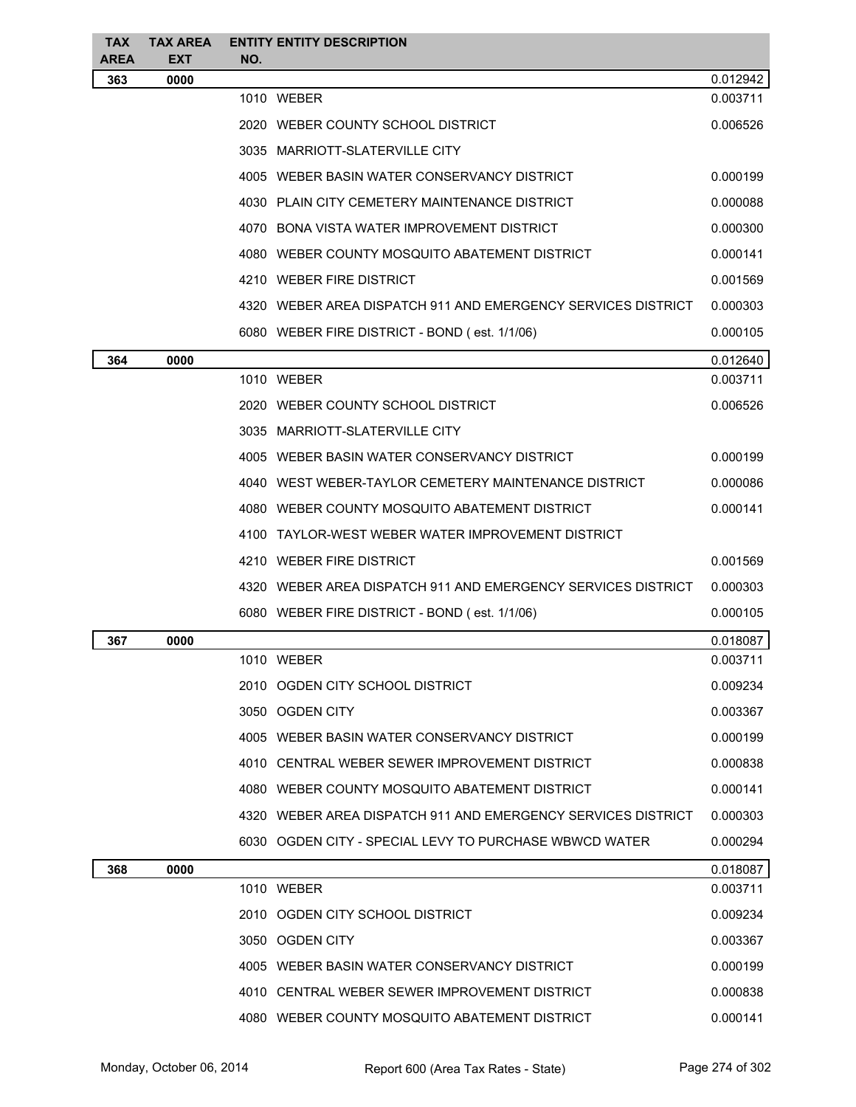| <b>TAX</b><br>AREA | <b>TAX AREA</b><br><b>EXT</b> | NO. | <b>ENTITY ENTITY DESCRIPTION</b>                             |          |
|--------------------|-------------------------------|-----|--------------------------------------------------------------|----------|
| 363                | 0000                          |     |                                                              | 0.012942 |
|                    |                               |     | 1010 WEBER                                                   | 0.003711 |
|                    |                               |     | 2020 WEBER COUNTY SCHOOL DISTRICT                            | 0.006526 |
|                    |                               |     | 3035 MARRIOTT-SLATERVILLE CITY                               |          |
|                    |                               |     | 4005 WEBER BASIN WATER CONSERVANCY DISTRICT                  | 0.000199 |
|                    |                               |     | 4030 PLAIN CITY CEMETERY MAINTENANCE DISTRICT                | 0.000088 |
|                    |                               |     | 4070 BONA VISTA WATER IMPROVEMENT DISTRICT                   | 0.000300 |
|                    |                               |     | 4080 WEBER COUNTY MOSQUITO ABATEMENT DISTRICT                | 0.000141 |
|                    |                               |     | 4210 WEBER FIRE DISTRICT                                     | 0.001569 |
|                    |                               |     | 4320 WEBER AREA DISPATCH 911 AND EMERGENCY SERVICES DISTRICT | 0.000303 |
|                    |                               |     | 6080 WEBER FIRE DISTRICT - BOND (est. 1/1/06)                | 0.000105 |
| 364                | 0000                          |     |                                                              | 0.012640 |
|                    |                               |     | 1010 WEBER                                                   | 0.003711 |
|                    |                               |     | 2020 WEBER COUNTY SCHOOL DISTRICT                            | 0.006526 |
|                    |                               |     | 3035 MARRIOTT-SLATERVILLE CITY                               |          |
|                    |                               |     | 4005 WEBER BASIN WATER CONSERVANCY DISTRICT                  | 0.000199 |
|                    |                               |     | 4040 WEST WEBER-TAYLOR CEMETERY MAINTENANCE DISTRICT         | 0.000086 |
|                    |                               |     | 4080 WEBER COUNTY MOSQUITO ABATEMENT DISTRICT                | 0.000141 |
|                    |                               |     | 4100 TAYLOR-WEST WEBER WATER IMPROVEMENT DISTRICT            |          |
|                    |                               |     | 4210 WEBER FIRE DISTRICT                                     | 0.001569 |
|                    |                               |     | 4320 WEBER AREA DISPATCH 911 AND EMERGENCY SERVICES DISTRICT | 0.000303 |
|                    |                               |     | 6080 WEBER FIRE DISTRICT - BOND (est. 1/1/06)                | 0.000105 |
| 367                | 0000                          |     |                                                              | 0.018087 |
|                    |                               |     | 1010 WEBER                                                   | 0.003711 |
|                    |                               |     | 2010 OGDEN CITY SCHOOL DISTRICT                              | 0.009234 |
|                    |                               |     | 3050 OGDEN CITY                                              | 0.003367 |
|                    |                               |     | 4005 WEBER BASIN WATER CONSERVANCY DISTRICT                  | 0.000199 |
|                    |                               |     | 4010 CENTRAL WEBER SEWER IMPROVEMENT DISTRICT                | 0.000838 |
|                    |                               |     | 4080 WEBER COUNTY MOSQUITO ABATEMENT DISTRICT                | 0.000141 |
|                    |                               |     | 4320 WEBER AREA DISPATCH 911 AND EMERGENCY SERVICES DISTRICT | 0.000303 |
|                    |                               |     | 6030 OGDEN CITY - SPECIAL LEVY TO PURCHASE WBWCD WATER       | 0.000294 |
| 368                | 0000                          |     |                                                              | 0.018087 |
|                    |                               |     | 1010 WEBER                                                   | 0.003711 |
|                    |                               |     | 2010 OGDEN CITY SCHOOL DISTRICT                              | 0.009234 |
|                    |                               |     | 3050 OGDEN CITY                                              | 0.003367 |
|                    |                               |     | 4005 WEBER BASIN WATER CONSERVANCY DISTRICT                  | 0.000199 |
|                    |                               |     | 4010 CENTRAL WEBER SEWER IMPROVEMENT DISTRICT                | 0.000838 |
|                    |                               |     | 4080 WEBER COUNTY MOSQUITO ABATEMENT DISTRICT                | 0.000141 |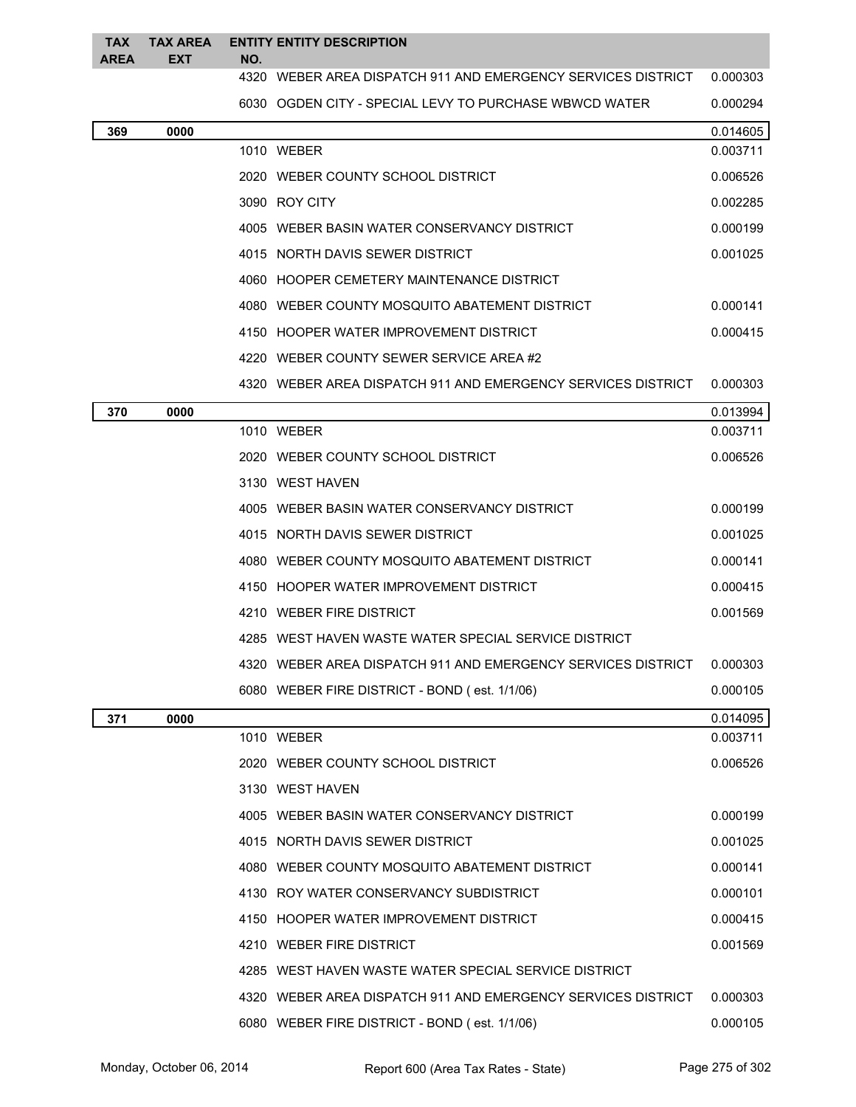| TAX<br><b>AREA</b> | <b>TAX AREA</b><br><b>EXT</b> | NO. | <b>ENTITY ENTITY DESCRIPTION</b>                             |          |
|--------------------|-------------------------------|-----|--------------------------------------------------------------|----------|
|                    |                               |     | 4320 WEBER AREA DISPATCH 911 AND EMERGENCY SERVICES DISTRICT | 0.000303 |
|                    |                               |     | 6030 OGDEN CITY - SPECIAL LEVY TO PURCHASE WBWCD WATER       | 0.000294 |
| 369                | 0000                          |     |                                                              | 0.014605 |
|                    |                               |     | 1010 WEBER                                                   | 0.003711 |
|                    |                               |     | 2020 WEBER COUNTY SCHOOL DISTRICT                            | 0.006526 |
|                    |                               |     | 3090 ROY CITY                                                | 0.002285 |
|                    |                               |     | 4005 WEBER BASIN WATER CONSERVANCY DISTRICT                  | 0.000199 |
|                    |                               |     | 4015 NORTH DAVIS SEWER DISTRICT                              | 0.001025 |
|                    |                               |     | 4060 HOOPER CEMETERY MAINTENANCE DISTRICT                    |          |
|                    |                               |     | 4080 WEBER COUNTY MOSQUITO ABATEMENT DISTRICT                | 0.000141 |
|                    |                               |     | 4150 HOOPER WATER IMPROVEMENT DISTRICT                       | 0.000415 |
|                    |                               |     | 4220 WEBER COUNTY SEWER SERVICE AREA #2                      |          |
|                    |                               |     | 4320 WEBER AREA DISPATCH 911 AND EMERGENCY SERVICES DISTRICT | 0.000303 |
| 370                | 0000                          |     |                                                              | 0.013994 |
|                    |                               |     | 1010 WEBER                                                   | 0.003711 |
|                    |                               |     | 2020 WEBER COUNTY SCHOOL DISTRICT                            | 0.006526 |
|                    |                               |     | 3130 WEST HAVEN                                              |          |
|                    |                               |     | 4005 WEBER BASIN WATER CONSERVANCY DISTRICT                  | 0.000199 |
|                    |                               |     | 4015 NORTH DAVIS SEWER DISTRICT                              | 0.001025 |
|                    |                               |     | 4080 WEBER COUNTY MOSQUITO ABATEMENT DISTRICT                | 0.000141 |
|                    |                               |     | 4150 HOOPER WATER IMPROVEMENT DISTRICT                       | 0.000415 |
|                    |                               |     | 4210 WEBER FIRE DISTRICT                                     | 0.001569 |
|                    |                               |     | 4285 WEST HAVEN WASTE WATER SPECIAL SERVICE DISTRICT         |          |
|                    |                               |     | 4320 WEBER AREA DISPATCH 911 AND EMERGENCY SERVICES DISTRICT | 0.000303 |
|                    |                               |     | 6080 WEBER FIRE DISTRICT - BOND (est. 1/1/06)                | 0.000105 |
| 371                | 0000                          |     |                                                              | 0.014095 |
|                    |                               |     | 1010 WEBER                                                   | 0.003711 |
|                    |                               |     | 2020 WEBER COUNTY SCHOOL DISTRICT                            | 0.006526 |
|                    |                               |     | 3130 WEST HAVEN                                              |          |
|                    |                               |     | 4005 WEBER BASIN WATER CONSERVANCY DISTRICT                  | 0.000199 |
|                    |                               |     | 4015 NORTH DAVIS SEWER DISTRICT                              | 0.001025 |
|                    |                               |     | 4080 WEBER COUNTY MOSQUITO ABATEMENT DISTRICT                | 0.000141 |
|                    |                               |     | 4130 ROY WATER CONSERVANCY SUBDISTRICT                       | 0.000101 |
|                    |                               |     | 4150 HOOPER WATER IMPROVEMENT DISTRICT                       | 0.000415 |
|                    |                               |     | 4210 WEBER FIRE DISTRICT                                     | 0.001569 |
|                    |                               |     | 4285 WEST HAVEN WASTE WATER SPECIAL SERVICE DISTRICT         |          |
|                    |                               |     | 4320 WEBER AREA DISPATCH 911 AND EMERGENCY SERVICES DISTRICT | 0.000303 |
|                    |                               |     | 6080 WEBER FIRE DISTRICT - BOND (est. 1/1/06)                | 0.000105 |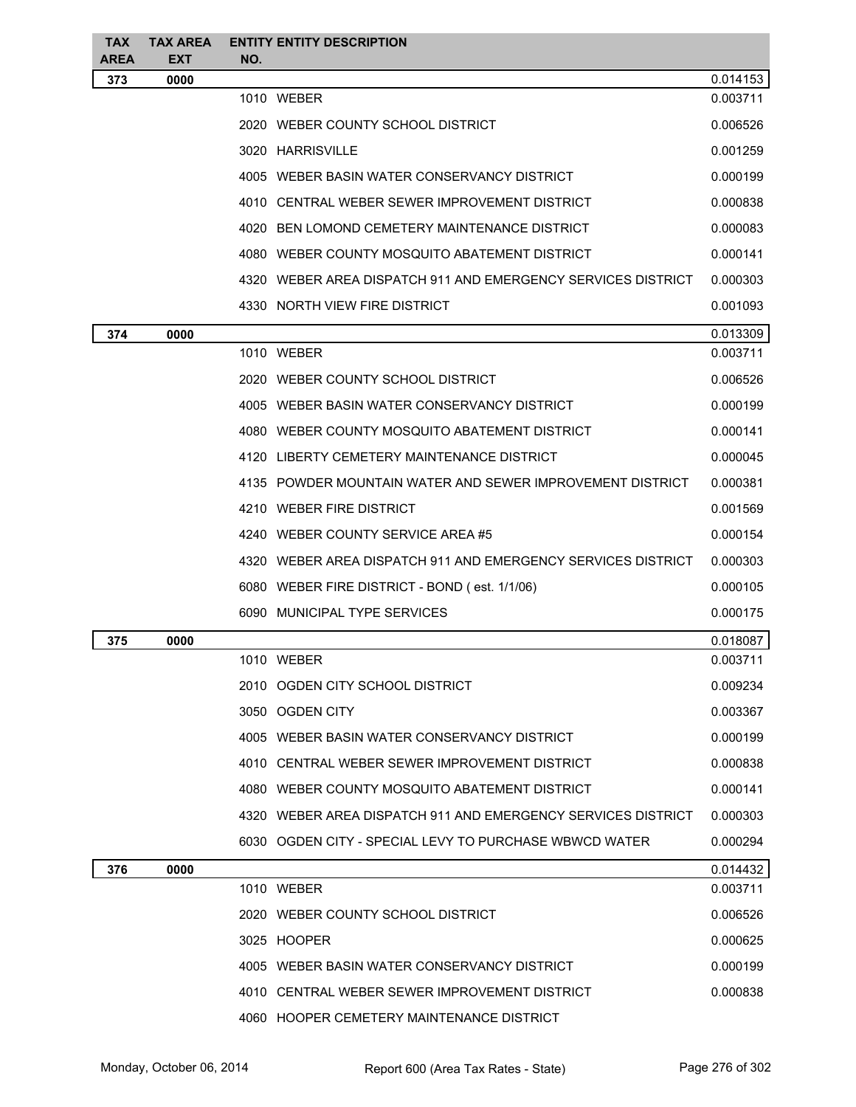| <b>TAX</b><br><b>AREA</b> | <b>TAX AREA</b><br><b>EXT</b> | NO. | <b>ENTITY ENTITY DESCRIPTION</b>                             |          |
|---------------------------|-------------------------------|-----|--------------------------------------------------------------|----------|
| 373                       | 0000                          |     |                                                              | 0.014153 |
|                           |                               |     | 1010 WEBER                                                   | 0.003711 |
|                           |                               |     | 2020 WEBER COUNTY SCHOOL DISTRICT                            | 0.006526 |
|                           |                               |     | 3020 HARRISVILLE                                             | 0.001259 |
|                           |                               |     | 4005 WEBER BASIN WATER CONSERVANCY DISTRICT                  | 0.000199 |
|                           |                               |     | 4010 CENTRAL WEBER SEWER IMPROVEMENT DISTRICT                | 0.000838 |
|                           |                               |     | 4020 BEN LOMOND CEMETERY MAINTENANCE DISTRICT                | 0.000083 |
|                           |                               |     | 4080 WEBER COUNTY MOSQUITO ABATEMENT DISTRICT                | 0.000141 |
|                           |                               |     | 4320 WEBER AREA DISPATCH 911 AND EMERGENCY SERVICES DISTRICT | 0.000303 |
|                           |                               |     | 4330 NORTH VIEW FIRE DISTRICT                                | 0.001093 |
| 374                       | 0000                          |     |                                                              | 0.013309 |
|                           |                               |     | 1010 WEBER                                                   | 0.003711 |
|                           |                               |     | 2020 WEBER COUNTY SCHOOL DISTRICT                            | 0.006526 |
|                           |                               |     | 4005 WEBER BASIN WATER CONSERVANCY DISTRICT                  | 0.000199 |
|                           |                               |     | 4080 WEBER COUNTY MOSQUITO ABATEMENT DISTRICT                | 0.000141 |
|                           |                               |     | 4120 LIBERTY CEMETERY MAINTENANCE DISTRICT                   | 0.000045 |
|                           |                               |     | 4135 POWDER MOUNTAIN WATER AND SEWER IMPROVEMENT DISTRICT    | 0.000381 |
|                           |                               |     | 4210 WEBER FIRE DISTRICT                                     | 0.001569 |
|                           |                               |     | 4240 WEBER COUNTY SERVICE AREA #5                            | 0.000154 |
|                           |                               |     | 4320 WEBER AREA DISPATCH 911 AND EMERGENCY SERVICES DISTRICT | 0.000303 |
|                           |                               |     | 6080 WEBER FIRE DISTRICT - BOND (est. 1/1/06)                | 0.000105 |
|                           |                               |     | 6090 MUNICIPAL TYPE SERVICES                                 | 0.000175 |
| 375                       | 0000                          |     |                                                              | 0.018087 |
|                           |                               |     | 1010 WEBER                                                   | 0.003711 |
|                           |                               |     | 2010 OGDEN CITY SCHOOL DISTRICT                              | 0.009234 |
|                           |                               |     | 3050 OGDEN CITY                                              | 0.003367 |
|                           |                               |     | 4005 WEBER BASIN WATER CONSERVANCY DISTRICT                  | 0.000199 |
|                           |                               |     | 4010 CENTRAL WEBER SEWER IMPROVEMENT DISTRICT                | 0.000838 |
|                           |                               |     | 4080 WEBER COUNTY MOSQUITO ABATEMENT DISTRICT                | 0.000141 |
|                           |                               |     | 4320 WEBER AREA DISPATCH 911 AND EMERGENCY SERVICES DISTRICT | 0.000303 |
|                           |                               |     | 6030 OGDEN CITY - SPECIAL LEVY TO PURCHASE WBWCD WATER       | 0.000294 |
| 376                       | 0000                          |     |                                                              | 0.014432 |
|                           |                               |     | 1010 WEBER                                                   | 0.003711 |
|                           |                               |     | 2020 WEBER COUNTY SCHOOL DISTRICT                            | 0.006526 |
|                           |                               |     | 3025 HOOPER                                                  | 0.000625 |
|                           |                               |     | 4005 WEBER BASIN WATER CONSERVANCY DISTRICT                  | 0.000199 |
|                           |                               |     | 4010 CENTRAL WEBER SEWER IMPROVEMENT DISTRICT                | 0.000838 |
|                           |                               |     | 4060 HOOPER CEMETERY MAINTENANCE DISTRICT                    |          |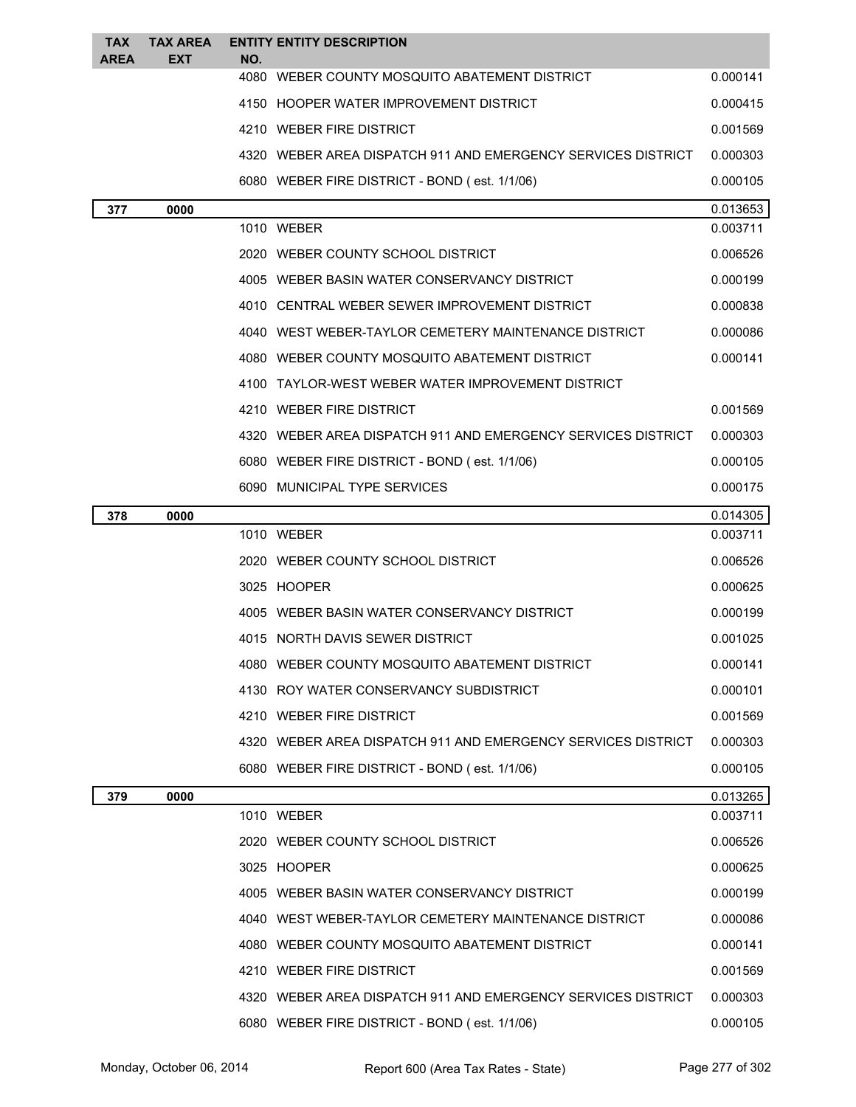| <b>TAX</b> | <b>TAX AREA</b> |             | <b>ENTITY ENTITY DESCRIPTION</b>                             |          |
|------------|-----------------|-------------|--------------------------------------------------------------|----------|
| AREA       | EXT             | NO.<br>4080 | WEBER COUNTY MOSQUITO ABATEMENT DISTRICT                     | 0.000141 |
|            |                 |             | 4150 HOOPER WATER IMPROVEMENT DISTRICT                       | 0.000415 |
|            |                 |             | 4210 WEBER FIRE DISTRICT                                     | 0.001569 |
|            |                 |             | 4320 WEBER AREA DISPATCH 911 AND EMERGENCY SERVICES DISTRICT | 0.000303 |
|            |                 |             | 6080 WEBER FIRE DISTRICT - BOND (est. 1/1/06)                | 0.000105 |
| 377        | 0000            |             |                                                              | 0.013653 |
|            |                 |             | 1010 WEBER                                                   | 0.003711 |
|            |                 |             | 2020 WEBER COUNTY SCHOOL DISTRICT                            | 0.006526 |
|            |                 |             | 4005 WEBER BASIN WATER CONSERVANCY DISTRICT                  | 0.000199 |
|            |                 |             | 4010 CENTRAL WEBER SEWER IMPROVEMENT DISTRICT                | 0.000838 |
|            |                 |             | 4040 WEST WEBER-TAYLOR CEMETERY MAINTENANCE DISTRICT         | 0.000086 |
|            |                 |             | 4080 WEBER COUNTY MOSQUITO ABATEMENT DISTRICT                | 0.000141 |
|            |                 |             | 4100 TAYLOR-WEST WEBER WATER IMPROVEMENT DISTRICT            |          |
|            |                 |             | 4210 WEBER FIRE DISTRICT                                     | 0.001569 |
|            |                 |             | 4320 WEBER AREA DISPATCH 911 AND EMERGENCY SERVICES DISTRICT | 0.000303 |
|            |                 |             | 6080 WEBER FIRE DISTRICT - BOND (est. 1/1/06)                | 0.000105 |
|            |                 |             | 6090 MUNICIPAL TYPE SERVICES                                 | 0.000175 |
| 378        | 0000            |             |                                                              | 0.014305 |
|            |                 |             | 1010 WEBER                                                   | 0.003711 |
|            |                 |             | 2020 WEBER COUNTY SCHOOL DISTRICT                            | 0.006526 |
|            |                 |             | 3025 HOOPER                                                  | 0.000625 |
|            |                 |             | 4005 WEBER BASIN WATER CONSERVANCY DISTRICT                  | 0.000199 |
|            |                 |             | 4015 NORTH DAVIS SEWER DISTRICT                              | 0.001025 |
|            |                 |             | 4080 WEBER COUNTY MOSQUITO ABATEMENT DISTRICT                | 0.000141 |
|            |                 |             | 4130 ROY WATER CONSERVANCY SUBDISTRICT                       | 0.000101 |
|            |                 |             | 4210 WEBER FIRE DISTRICT                                     | 0.001569 |
|            |                 |             | 4320 WEBER AREA DISPATCH 911 AND EMERGENCY SERVICES DISTRICT | 0.000303 |
|            |                 |             | 6080 WEBER FIRE DISTRICT - BOND (est. 1/1/06)                | 0.000105 |
| 379        | 0000            |             |                                                              | 0.013265 |
|            |                 |             | 1010 WEBER                                                   | 0.003711 |
|            |                 |             | 2020 WEBER COUNTY SCHOOL DISTRICT                            | 0.006526 |
|            |                 |             | 3025 HOOPER                                                  | 0.000625 |
|            |                 |             | 4005 WEBER BASIN WATER CONSERVANCY DISTRICT                  | 0.000199 |
|            |                 |             | 4040 WEST WEBER-TAYLOR CEMETERY MAINTENANCE DISTRICT         | 0.000086 |
|            |                 |             | 4080 WEBER COUNTY MOSQUITO ABATEMENT DISTRICT                | 0.000141 |
|            |                 |             | 4210 WEBER FIRE DISTRICT                                     | 0.001569 |
|            |                 |             | 4320 WEBER AREA DISPATCH 911 AND EMERGENCY SERVICES DISTRICT | 0.000303 |
|            |                 |             | 6080 WEBER FIRE DISTRICT - BOND (est. 1/1/06)                | 0.000105 |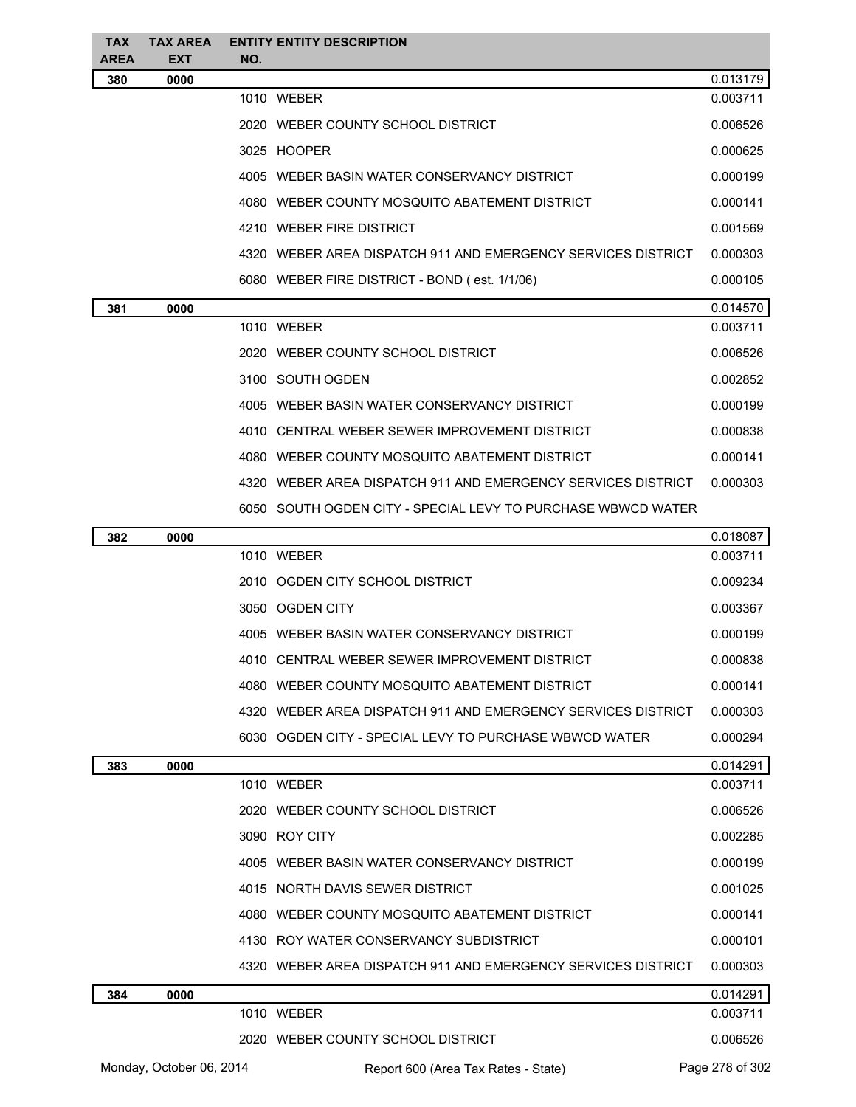| <b>TAX</b><br>AREA | <b>TAX AREA</b><br><b>EXT</b> | NO. | <b>ENTITY ENTITY DESCRIPTION</b>                             |          |
|--------------------|-------------------------------|-----|--------------------------------------------------------------|----------|
| 380                | 0000                          |     |                                                              | 0.013179 |
|                    |                               |     | 1010 WEBER                                                   | 0.003711 |
|                    |                               |     | 2020 WEBER COUNTY SCHOOL DISTRICT                            | 0.006526 |
|                    |                               |     | 3025 HOOPER                                                  | 0.000625 |
|                    |                               |     | 4005 WEBER BASIN WATER CONSERVANCY DISTRICT                  | 0.000199 |
|                    |                               |     | 4080 WEBER COUNTY MOSQUITO ABATEMENT DISTRICT                | 0.000141 |
|                    |                               |     | 4210 WEBER FIRE DISTRICT                                     | 0.001569 |
|                    |                               |     | 4320 WEBER AREA DISPATCH 911 AND EMERGENCY SERVICES DISTRICT | 0.000303 |
|                    |                               |     | 6080 WEBER FIRE DISTRICT - BOND (est. 1/1/06)                | 0.000105 |
| 381                | 0000                          |     |                                                              | 0.014570 |
|                    |                               |     | 1010 WEBER                                                   | 0.003711 |
|                    |                               |     | 2020 WEBER COUNTY SCHOOL DISTRICT                            | 0.006526 |
|                    |                               |     | 3100 SOUTH OGDEN                                             | 0.002852 |
|                    |                               |     | 4005 WEBER BASIN WATER CONSERVANCY DISTRICT                  | 0.000199 |
|                    |                               |     | 4010 CENTRAL WEBER SEWER IMPROVEMENT DISTRICT                | 0.000838 |
|                    |                               |     | 4080 WEBER COUNTY MOSQUITO ABATEMENT DISTRICT                | 0.000141 |
|                    |                               |     | 4320 WEBER AREA DISPATCH 911 AND EMERGENCY SERVICES DISTRICT | 0.000303 |
|                    |                               |     | 6050 SOUTH OGDEN CITY - SPECIAL LEVY TO PURCHASE WBWCD WATER |          |
| 382                | 0000                          |     |                                                              | 0.018087 |
|                    |                               |     | 1010 WEBER                                                   | 0.003711 |
|                    |                               |     | 2010 OGDEN CITY SCHOOL DISTRICT                              | 0.009234 |
|                    |                               |     | 3050 OGDEN CITY                                              | 0.003367 |
|                    |                               |     | 4005 WEBER BASIN WATER CONSERVANCY DISTRICT                  | 0.000199 |
|                    |                               |     | 4010 CENTRAL WEBER SEWER IMPROVEMENT DISTRICT                | 0.000838 |
|                    |                               |     | 4080 WEBER COUNTY MOSQUITO ABATEMENT DISTRICT                | 0.000141 |
|                    |                               |     | 4320 WEBER AREA DISPATCH 911 AND EMERGENCY SERVICES DISTRICT | 0.000303 |
|                    |                               |     | 6030 OGDEN CITY - SPECIAL LEVY TO PURCHASE WBWCD WATER       | 0.000294 |
| 383                | 0000                          |     |                                                              | 0.014291 |
|                    |                               |     | 1010 WEBER                                                   | 0.003711 |
|                    |                               |     | 2020 WEBER COUNTY SCHOOL DISTRICT                            | 0.006526 |
|                    |                               |     | 3090 ROY CITY                                                | 0.002285 |
|                    |                               |     | 4005 WEBER BASIN WATER CONSERVANCY DISTRICT                  | 0.000199 |
|                    |                               |     | 4015 NORTH DAVIS SEWER DISTRICT                              | 0.001025 |
|                    |                               |     | 4080 WEBER COUNTY MOSQUITO ABATEMENT DISTRICT                | 0.000141 |
|                    |                               |     | 4130 ROY WATER CONSERVANCY SUBDISTRICT                       | 0.000101 |
|                    |                               |     | 4320 WEBER AREA DISPATCH 911 AND EMERGENCY SERVICES DISTRICT | 0.000303 |
| 384                | 0000                          |     |                                                              | 0.014291 |
|                    |                               |     | 1010 WEBER                                                   | 0.003711 |
|                    |                               |     | 2020 WEBER COUNTY SCHOOL DISTRICT                            | 0.006526 |

Monday, October 06, 2014 Report 600 (Area Tax Rates - State) Rage 278 of 302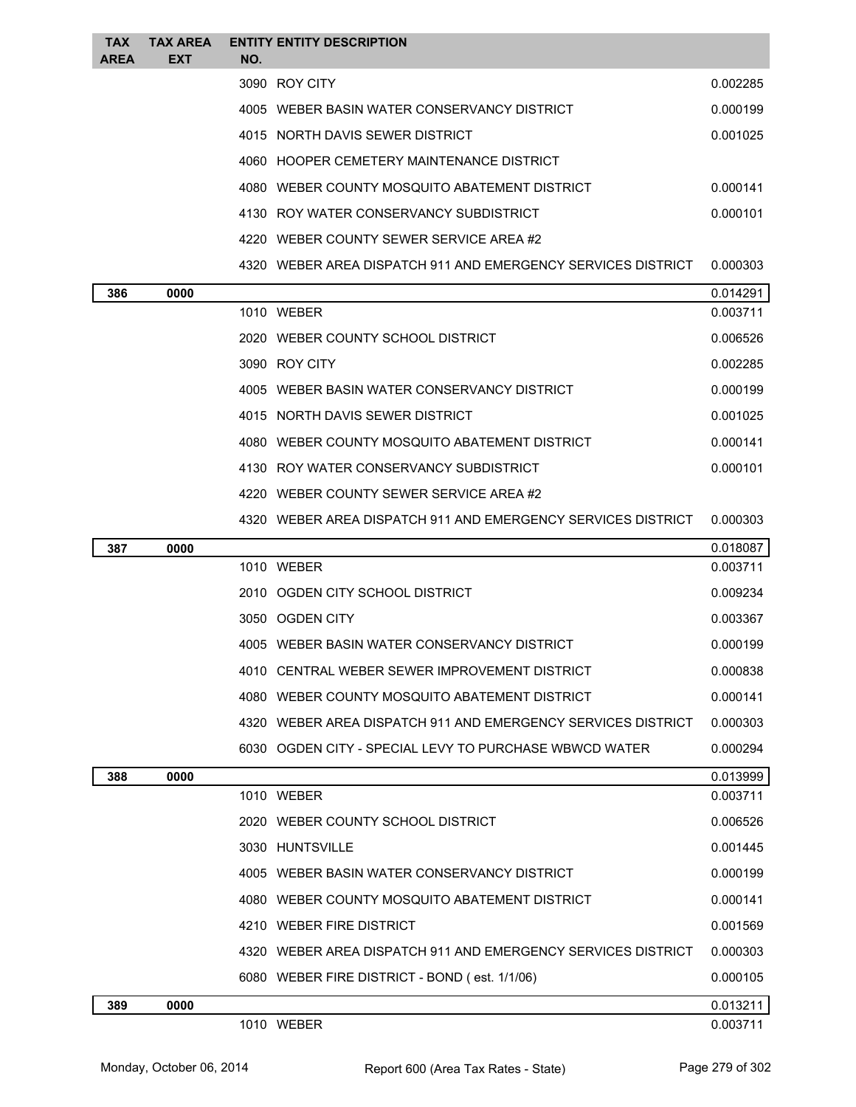| <b>TAX</b><br><b>AREA</b> | <b>TAX AREA</b><br>EXT | NO. | <b>ENTITY ENTITY DESCRIPTION</b>                               |                      |
|---------------------------|------------------------|-----|----------------------------------------------------------------|----------------------|
|                           |                        |     | 3090 ROY CITY                                                  | 0.002285             |
|                           |                        |     | 4005 WEBER BASIN WATER CONSERVANCY DISTRICT                    | 0.000199             |
|                           |                        |     | 4015 NORTH DAVIS SEWER DISTRICT                                | 0.001025             |
|                           |                        |     | 4060 HOOPER CEMETERY MAINTENANCE DISTRICT                      |                      |
|                           |                        |     | 4080 WEBER COUNTY MOSQUITO ABATEMENT DISTRICT                  | 0.000141             |
|                           |                        |     | 4130 ROY WATER CONSERVANCY SUBDISTRICT                         | 0.000101             |
|                           |                        |     | 4220 WEBER COUNTY SEWER SERVICE AREA #2                        |                      |
|                           |                        |     | 4320   WEBER AREA DISPATCH 911 AND EMERGENCY SERVICES DISTRICT | 0.000303             |
|                           |                        |     |                                                                |                      |
| 386                       | 0000                   |     | 1010 WEBER                                                     | 0.014291<br>0.003711 |
|                           |                        |     | 2020 WEBER COUNTY SCHOOL DISTRICT                              | 0.006526             |
|                           |                        |     | 3090 ROY CITY                                                  | 0.002285             |
|                           |                        |     | 4005 WEBER BASIN WATER CONSERVANCY DISTRICT                    | 0.000199             |
|                           |                        |     | 4015 NORTH DAVIS SEWER DISTRICT                                | 0.001025             |
|                           |                        |     | 4080 WEBER COUNTY MOSQUITO ABATEMENT DISTRICT                  | 0.000141             |
|                           |                        |     | 4130 ROY WATER CONSERVANCY SUBDISTRICT                         | 0.000101             |
|                           |                        |     | 4220 WEBER COUNTY SEWER SERVICE AREA #2                        |                      |
|                           |                        |     | 4320 WEBER AREA DISPATCH 911 AND EMERGENCY SERVICES DISTRICT   | 0.000303             |
| 387                       | 0000                   |     |                                                                | 0.018087             |
|                           |                        |     | 1010 WEBER                                                     | 0.003711             |
|                           |                        |     | 2010 OGDEN CITY SCHOOL DISTRICT                                | 0.009234             |
|                           |                        |     | 3050 OGDEN CITY                                                | 0.003367             |
|                           |                        |     | 4005 WEBER BASIN WATER CONSERVANCY DISTRICT                    | 0.000199             |
|                           |                        |     | 4010 CENTRAL WEBER SEWER IMPROVEMENT DISTRICT                  | 0.000838             |
|                           |                        |     | 4080 WEBER COUNTY MOSQUITO ABATEMENT DISTRICT                  | 0.000141             |
|                           |                        |     | 4320 WEBER AREA DISPATCH 911 AND EMERGENCY SERVICES DISTRICT   | 0.000303             |
|                           |                        |     | 6030 OGDEN CITY - SPECIAL LEVY TO PURCHASE WBWCD WATER         | 0.000294             |
| 388                       | 0000                   |     |                                                                | 0.013999             |
|                           |                        |     | 1010 WEBER                                                     | 0.003711             |
|                           |                        |     | 2020 WEBER COUNTY SCHOOL DISTRICT                              | 0.006526             |
|                           |                        |     | 3030 HUNTSVILLE                                                | 0.001445             |
|                           |                        |     | 4005 WEBER BASIN WATER CONSERVANCY DISTRICT                    | 0.000199             |
|                           |                        |     | 4080 WEBER COUNTY MOSQUITO ABATEMENT DISTRICT                  | 0.000141             |
|                           |                        |     | 4210 WEBER FIRE DISTRICT                                       | 0.001569             |
|                           |                        |     | 4320 WEBER AREA DISPATCH 911 AND EMERGENCY SERVICES DISTRICT   | 0.000303             |
|                           |                        |     | 6080 WEBER FIRE DISTRICT - BOND (est. 1/1/06)                  | 0.000105             |
| 389                       | 0000                   |     |                                                                | 0.013211             |
|                           |                        |     |                                                                |                      |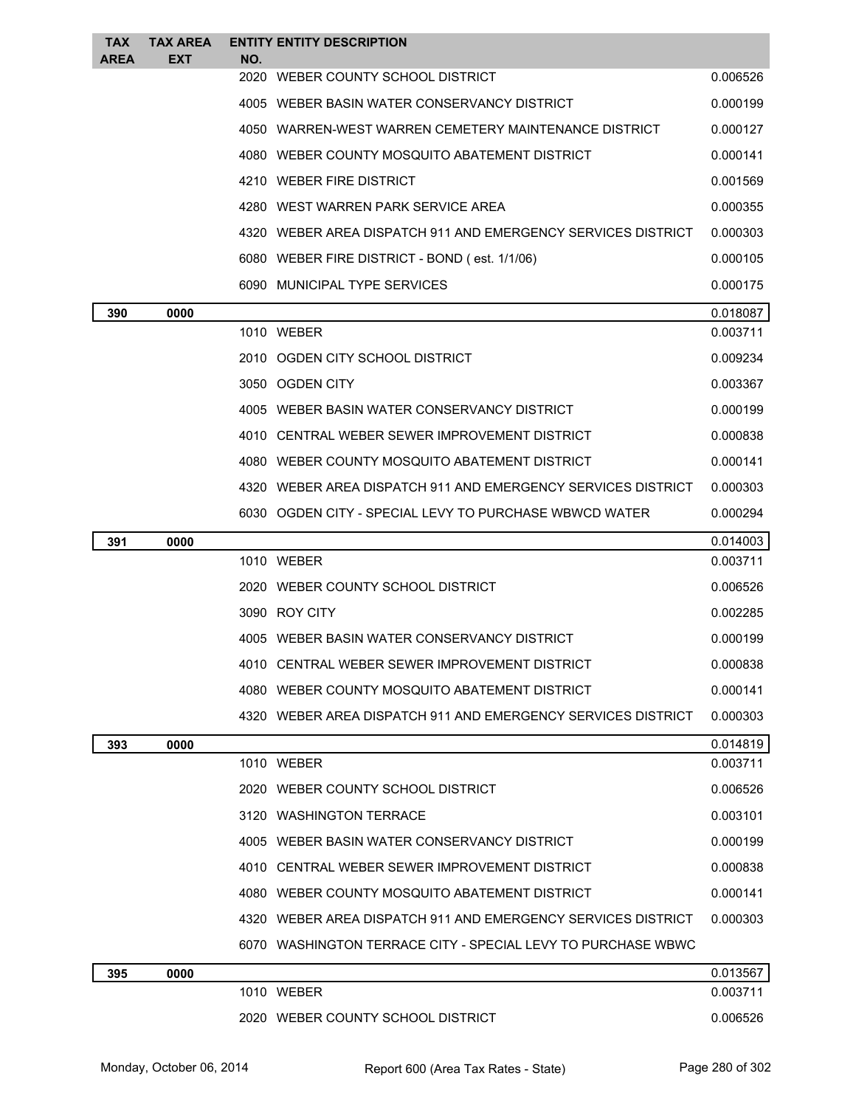| <b>TAX</b><br><b>AREA</b> | <b>TAX AREA</b><br><b>EXT</b> | NO. | <b>ENTITY ENTITY DESCRIPTION</b>                             |                      |
|---------------------------|-------------------------------|-----|--------------------------------------------------------------|----------------------|
|                           |                               |     | 2020 WEBER COUNTY SCHOOL DISTRICT                            | 0.006526             |
|                           |                               |     | 4005 WEBER BASIN WATER CONSERVANCY DISTRICT                  | 0.000199             |
|                           |                               |     | 4050 WARREN-WEST WARREN CEMETERY MAINTENANCE DISTRICT        | 0.000127             |
|                           |                               |     | 4080 WEBER COUNTY MOSQUITO ABATEMENT DISTRICT                | 0.000141             |
|                           |                               |     | 4210 WEBER FIRE DISTRICT                                     | 0.001569             |
|                           |                               |     | 4280 WEST WARREN PARK SERVICE AREA                           | 0.000355             |
|                           |                               |     | 4320 WEBER AREA DISPATCH 911 AND EMERGENCY SERVICES DISTRICT | 0.000303             |
|                           |                               |     | 6080 WEBER FIRE DISTRICT - BOND (est. 1/1/06)                | 0.000105             |
|                           |                               |     | 6090 MUNICIPAL TYPE SERVICES                                 | 0.000175             |
| 390                       | 0000                          |     |                                                              | 0.018087             |
|                           |                               |     | 1010 WEBER                                                   | 0.003711             |
|                           |                               |     | 2010 OGDEN CITY SCHOOL DISTRICT                              | 0.009234             |
|                           |                               |     | 3050 OGDEN CITY                                              | 0.003367             |
|                           |                               |     | 4005 WEBER BASIN WATER CONSERVANCY DISTRICT                  | 0.000199             |
|                           |                               |     | 4010 CENTRAL WEBER SEWER IMPROVEMENT DISTRICT                | 0.000838             |
|                           |                               |     | 4080 WEBER COUNTY MOSQUITO ABATEMENT DISTRICT                | 0.000141             |
|                           |                               |     | 4320 WEBER AREA DISPATCH 911 AND EMERGENCY SERVICES DISTRICT | 0.000303             |
|                           |                               |     | 6030 OGDEN CITY - SPECIAL LEVY TO PURCHASE WBWCD WATER       | 0.000294             |
|                           | 0000                          |     |                                                              | 0.014003             |
| 391                       |                               |     |                                                              |                      |
|                           |                               |     | 1010 WEBER                                                   | 0.003711             |
|                           |                               |     | 2020 WEBER COUNTY SCHOOL DISTRICT                            | 0.006526             |
|                           |                               |     | 3090 ROY CITY                                                | 0.002285             |
|                           |                               |     | 4005 WEBER BASIN WATER CONSERVANCY DISTRICT                  | 0.000199             |
|                           |                               |     | 4010 CENTRAL WEBER SEWER IMPROVEMENT DISTRICT                | 0.000838             |
|                           |                               |     | 4080 WEBER COUNTY MOSQUITO ABATEMENT DISTRICT                | 0.000141             |
|                           |                               |     | 4320 WEBER AREA DISPATCH 911 AND EMERGENCY SERVICES DISTRICT | 0.000303             |
| 393                       | 0000                          |     |                                                              | 0.014819             |
|                           |                               |     | 1010 WEBER                                                   | 0.003711             |
|                           |                               |     | 2020 WEBER COUNTY SCHOOL DISTRICT                            | 0.006526             |
|                           |                               |     | 3120 WASHINGTON TERRACE                                      | 0.003101             |
|                           |                               |     | 4005 WEBER BASIN WATER CONSERVANCY DISTRICT                  | 0.000199             |
|                           |                               |     | 4010 CENTRAL WEBER SEWER IMPROVEMENT DISTRICT                | 0.000838             |
|                           |                               |     | 4080 WEBER COUNTY MOSQUITO ABATEMENT DISTRICT                | 0.000141             |
|                           |                               |     | 4320 WEBER AREA DISPATCH 911 AND EMERGENCY SERVICES DISTRICT | 0.000303             |
|                           |                               |     | 6070 WASHINGTON TERRACE CITY - SPECIAL LEVY TO PURCHASE WBWC |                      |
| 395                       | 0000                          |     |                                                              | 0.013567             |
|                           |                               |     | 1010 WEBER<br>2020 WEBER COUNTY SCHOOL DISTRICT              | 0.003711<br>0.006526 |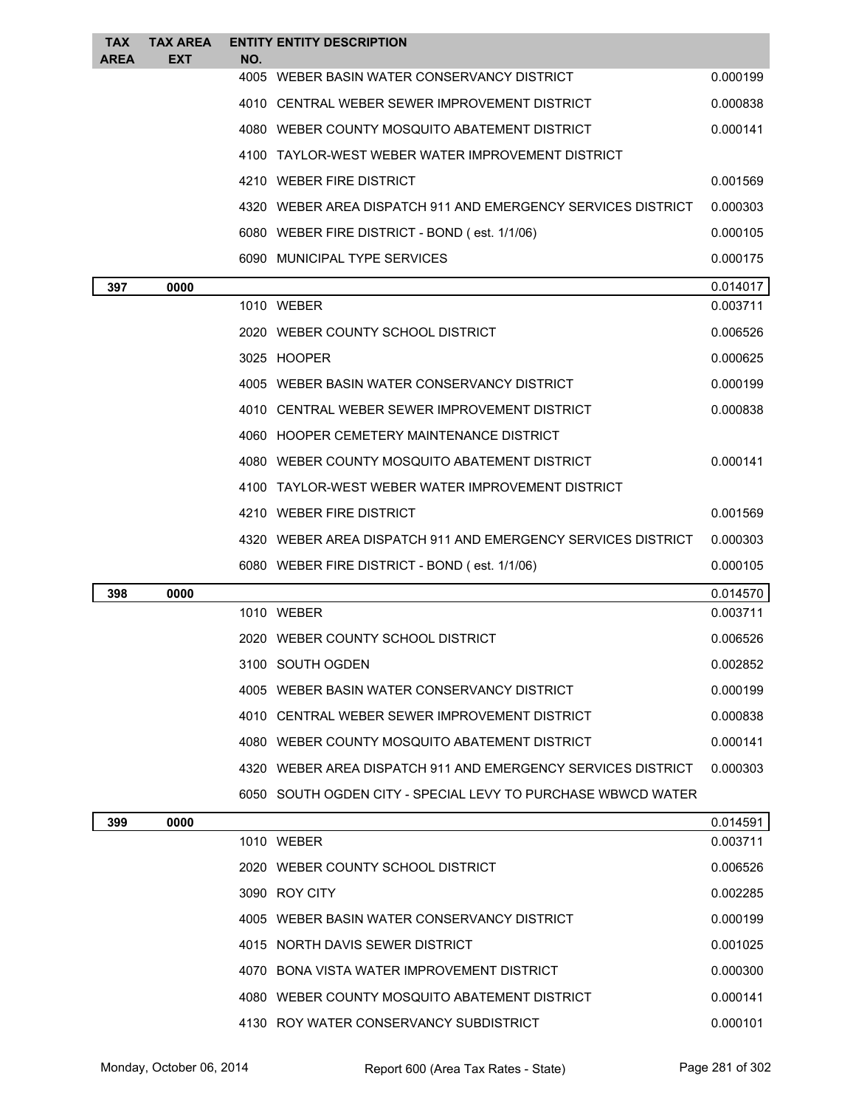| <b>TAX</b><br>AREA | <b>TAX AREA</b><br><b>EXT</b> | NO.  | <b>ENTITY ENTITY DESCRIPTION</b>                             |          |
|--------------------|-------------------------------|------|--------------------------------------------------------------|----------|
|                    |                               | 4005 | WEBER BASIN WATER CONSERVANCY DISTRICT                       | 0.000199 |
|                    |                               |      | 4010 CENTRAL WEBER SEWER IMPROVEMENT DISTRICT                | 0.000838 |
|                    |                               |      | 4080 WEBER COUNTY MOSQUITO ABATEMENT DISTRICT                | 0.000141 |
|                    |                               |      | 4100 TAYLOR-WEST WEBER WATER IMPROVEMENT DISTRICT            |          |
|                    |                               |      | 4210 WEBER FIRE DISTRICT                                     | 0.001569 |
|                    |                               |      | 4320 WEBER AREA DISPATCH 911 AND EMERGENCY SERVICES DISTRICT | 0.000303 |
|                    |                               |      | 6080 WEBER FIRE DISTRICT - BOND (est. 1/1/06)                | 0.000105 |
|                    |                               |      | 6090 MUNICIPAL TYPE SERVICES                                 | 0.000175 |
| 397                | 0000                          |      |                                                              | 0.014017 |
|                    |                               |      | 1010 WEBER                                                   | 0.003711 |
|                    |                               |      | 2020 WEBER COUNTY SCHOOL DISTRICT                            | 0.006526 |
|                    |                               |      | 3025 HOOPER                                                  | 0.000625 |
|                    |                               |      | 4005 WEBER BASIN WATER CONSERVANCY DISTRICT                  | 0.000199 |
|                    |                               |      | 4010 CENTRAL WEBER SEWER IMPROVEMENT DISTRICT                | 0.000838 |
|                    |                               |      | 4060 HOOPER CEMETERY MAINTENANCE DISTRICT                    |          |
|                    |                               |      | 4080 WEBER COUNTY MOSQUITO ABATEMENT DISTRICT                | 0.000141 |
|                    |                               |      | 4100 TAYLOR-WEST WEBER WATER IMPROVEMENT DISTRICT            |          |
|                    |                               |      | 4210 WEBER FIRE DISTRICT                                     | 0.001569 |
|                    |                               |      | 4320 WEBER AREA DISPATCH 911 AND EMERGENCY SERVICES DISTRICT | 0.000303 |
|                    |                               |      | 6080 WEBER FIRE DISTRICT - BOND (est. 1/1/06)                | 0.000105 |
| 398                | 0000                          |      |                                                              | 0.014570 |
|                    |                               |      | 1010 WEBER                                                   | 0.003711 |
|                    |                               |      | 2020 WEBER COUNTY SCHOOL DISTRICT                            | 0.006526 |
|                    |                               |      | 3100 SOUTH OGDEN                                             | 0.002852 |
|                    |                               |      | 4005 WEBER BASIN WATER CONSERVANCY DISTRICT                  | 0.000199 |
|                    |                               |      | 4010 CENTRAL WEBER SEWER IMPROVEMENT DISTRICT                | 0.000838 |
|                    |                               |      | 4080 WEBER COUNTY MOSQUITO ABATEMENT DISTRICT                | 0.000141 |
|                    |                               |      | 4320 WEBER AREA DISPATCH 911 AND EMERGENCY SERVICES DISTRICT | 0.000303 |
|                    |                               |      | 6050 SOUTH OGDEN CITY - SPECIAL LEVY TO PURCHASE WBWCD WATER |          |
| 399                | 0000                          |      |                                                              | 0.014591 |
|                    |                               |      | 1010 WEBER                                                   | 0.003711 |
|                    |                               |      | 2020 WEBER COUNTY SCHOOL DISTRICT                            | 0.006526 |
|                    |                               |      | 3090 ROY CITY                                                | 0.002285 |
|                    |                               |      | 4005 WEBER BASIN WATER CONSERVANCY DISTRICT                  | 0.000199 |
|                    |                               |      |                                                              |          |
|                    |                               |      | 4015 NORTH DAVIS SEWER DISTRICT                              | 0.001025 |
|                    |                               |      | 4070 BONA VISTA WATER IMPROVEMENT DISTRICT                   | 0.000300 |
|                    |                               |      | 4080 WEBER COUNTY MOSQUITO ABATEMENT DISTRICT                | 0.000141 |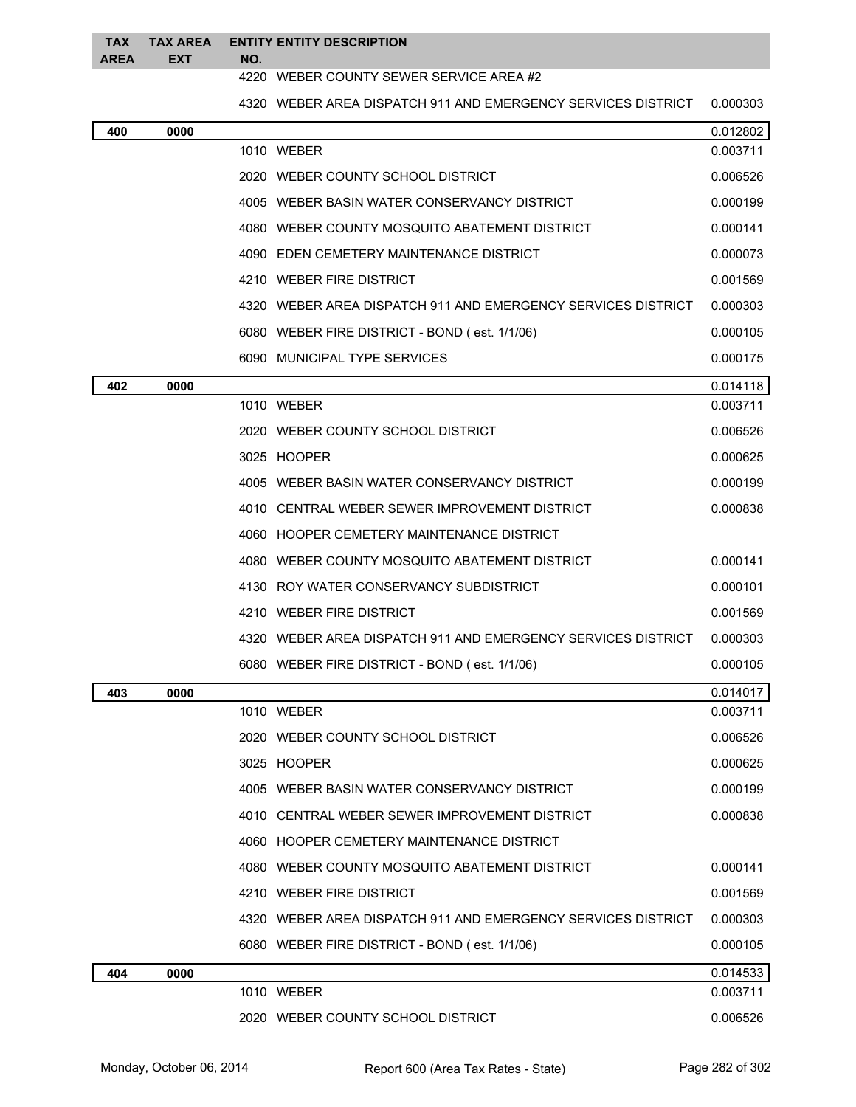|          | TAX TAX AREA ENTITY ENTITY DESCRIPTION |
|----------|----------------------------------------|
| AREA EXT | NO.                                    |

## WEBER COUNTY SEWER SERVICE AREA #2

WEBER AREA DISPATCH 911 AND EMERGENCY SERVICES DISTRICT 0.000303

| 400 | 0000 |                                                              | 0.012802 |
|-----|------|--------------------------------------------------------------|----------|
|     |      | 1010 WEBER                                                   | 0.003711 |
|     |      | 2020 WEBER COUNTY SCHOOL DISTRICT                            | 0.006526 |
|     |      | 4005 WEBER BASIN WATER CONSERVANCY DISTRICT                  | 0.000199 |
|     |      | 4080 WEBER COUNTY MOSQUITO ABATEMENT DISTRICT                | 0.000141 |
|     |      | 4090 EDEN CEMETERY MAINTENANCE DISTRICT                      | 0.000073 |
|     |      | 4210 WEBER FIRE DISTRICT                                     | 0.001569 |
|     |      | 4320 WEBER AREA DISPATCH 911 AND EMERGENCY SERVICES DISTRICT | 0.000303 |
|     |      | 6080 WEBER FIRE DISTRICT - BOND (est. 1/1/06)                | 0.000105 |
|     |      | 6090 MUNICIPAL TYPE SERVICES                                 | 0.000175 |
| 402 | 0000 |                                                              | 0.014118 |
|     |      | 1010 WEBER                                                   | 0.003711 |
|     |      | 2020 WEBER COUNTY SCHOOL DISTRICT                            | 0.006526 |
|     |      | 3025 HOOPER                                                  | 0.000625 |
|     |      | 4005 WEBER BASIN WATER CONSERVANCY DISTRICT                  | 0.000199 |
|     |      | 4010 CENTRAL WEBER SEWER IMPROVEMENT DISTRICT                | 0.000838 |
|     |      | 4060 HOOPER CEMETERY MAINTENANCE DISTRICT                    |          |
|     |      | 4080 WEBER COUNTY MOSQUITO ABATEMENT DISTRICT                | 0.000141 |
|     |      | 4130 ROY WATER CONSERVANCY SUBDISTRICT                       | 0.000101 |
|     |      | 4210 WEBER FIRE DISTRICT                                     | 0.001569 |
|     |      | 4320 WEBER AREA DISPATCH 911 AND EMERGENCY SERVICES DISTRICT | 0.000303 |
|     |      | 6080 WEBER FIRE DISTRICT - BOND (est. 1/1/06)                | 0.000105 |
| 403 | 0000 |                                                              | 0.014017 |
|     |      | 1010 WEBER                                                   | 0.003711 |
|     |      | 2020 WEBER COUNTY SCHOOL DISTRICT                            | 0.006526 |
|     |      | 3025 HOOPER                                                  | 0.000625 |
|     |      | 4005 WEBER BASIN WATER CONSERVANCY DISTRICT                  | 0.000199 |
|     |      | 4010 CENTRAL WEBER SEWER IMPROVEMENT DISTRICT                | 0.000838 |
|     |      | 4060 HOOPER CEMETERY MAINTENANCE DISTRICT                    |          |
|     |      | 4080 WEBER COUNTY MOSQUITO ABATEMENT DISTRICT                | 0.000141 |
|     |      | 4210 WEBER FIRE DISTRICT                                     | 0.001569 |
|     |      | 4320 WEBER AREA DISPATCH 911 AND EMERGENCY SERVICES DISTRICT | 0.000303 |
|     |      | 6080 WEBER FIRE DISTRICT - BOND (est. 1/1/06)                | 0.000105 |
| 404 | 0000 |                                                              | 0.014533 |
|     |      | 1010 WEBER                                                   | 0.003711 |
|     |      | 2020 WEBER COUNTY SCHOOL DISTRICT                            | 0.006526 |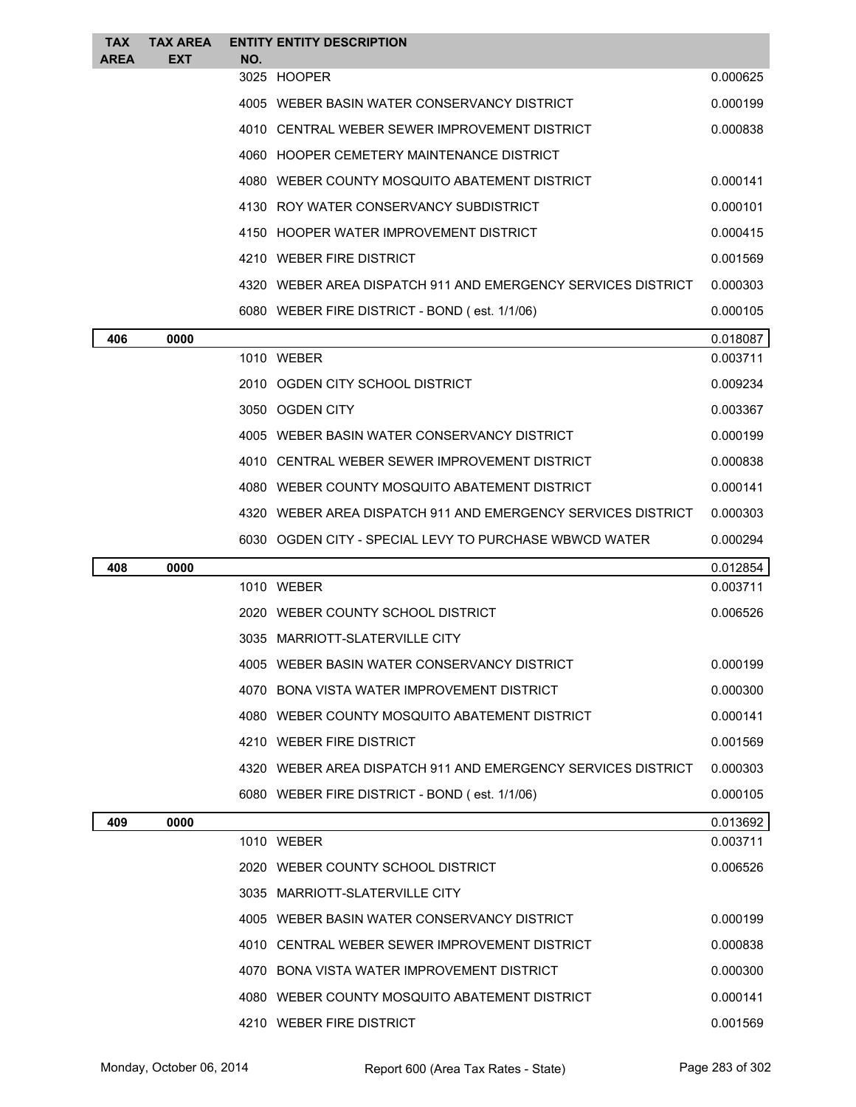| <b>TAX</b><br><b>AREA</b> | <b>TAX AREA</b><br><b>EXT</b> | NO. | <b>ENTITY ENTITY DESCRIPTION</b>                             |          |
|---------------------------|-------------------------------|-----|--------------------------------------------------------------|----------|
|                           |                               |     | 3025 HOOPER                                                  | 0.000625 |
|                           |                               |     | 4005 WEBER BASIN WATER CONSERVANCY DISTRICT                  | 0.000199 |
|                           |                               |     | 4010 CENTRAL WEBER SEWER IMPROVEMENT DISTRICT                | 0.000838 |
|                           |                               |     | 4060 HOOPER CEMETERY MAINTENANCE DISTRICT                    |          |
|                           |                               |     | 4080 WEBER COUNTY MOSQUITO ABATEMENT DISTRICT                | 0.000141 |
|                           |                               |     | 4130 ROY WATER CONSERVANCY SUBDISTRICT                       | 0.000101 |
|                           |                               |     | 4150 HOOPER WATER IMPROVEMENT DISTRICT                       | 0.000415 |
|                           |                               |     | 4210 WEBER FIRE DISTRICT                                     | 0.001569 |
|                           |                               |     | 4320 WEBER AREA DISPATCH 911 AND EMERGENCY SERVICES DISTRICT | 0.000303 |
|                           |                               |     | 6080 WEBER FIRE DISTRICT - BOND (est. 1/1/06)                | 0.000105 |
| 406                       | 0000                          |     |                                                              | 0.018087 |
|                           |                               |     | 1010 WEBER                                                   | 0.003711 |
|                           |                               |     | 2010 OGDEN CITY SCHOOL DISTRICT                              | 0.009234 |
|                           |                               |     | 3050 OGDEN CITY                                              | 0.003367 |
|                           |                               |     | 4005 WEBER BASIN WATER CONSERVANCY DISTRICT                  | 0.000199 |
|                           |                               |     | 4010 CENTRAL WEBER SEWER IMPROVEMENT DISTRICT                | 0.000838 |
|                           |                               |     | 4080 WEBER COUNTY MOSQUITO ABATEMENT DISTRICT                | 0.000141 |
|                           |                               |     | 4320 WEBER AREA DISPATCH 911 AND EMERGENCY SERVICES DISTRICT | 0.000303 |
|                           |                               |     | 6030 OGDEN CITY - SPECIAL LEVY TO PURCHASE WBWCD WATER       | 0.000294 |
| 408                       | 0000                          |     |                                                              | 0.012854 |
|                           |                               |     | 1010 WEBER                                                   | 0.003711 |
|                           |                               |     | 2020 WEBER COUNTY SCHOOL DISTRICT                            | 0.006526 |
|                           |                               |     | 3035 MARRIOTT-SLATERVILLE CITY                               |          |
|                           |                               |     | 4005 WEBER BASIN WATER CONSERVANCY DISTRICT                  | 0.000199 |
|                           |                               |     | 4070 BONA VISTA WATER IMPROVEMENT DISTRICT                   | 0.000300 |
|                           |                               |     | 4080 WEBER COUNTY MOSQUITO ABATEMENT DISTRICT                | 0.000141 |
|                           |                               |     | 4210 WEBER FIRE DISTRICT                                     | 0.001569 |
|                           |                               |     | 4320 WEBER AREA DISPATCH 911 AND EMERGENCY SERVICES DISTRICT | 0.000303 |
|                           |                               |     | 6080 WEBER FIRE DISTRICT - BOND (est. 1/1/06)                | 0.000105 |
| 409                       | 0000                          |     |                                                              | 0.013692 |
|                           |                               |     | 1010 WEBER                                                   | 0.003711 |
|                           |                               |     | 2020 WEBER COUNTY SCHOOL DISTRICT                            | 0.006526 |
|                           |                               |     | 3035 MARRIOTT-SLATERVILLE CITY                               |          |
|                           |                               |     | 4005 WEBER BASIN WATER CONSERVANCY DISTRICT                  | 0.000199 |
|                           |                               |     | 4010 CENTRAL WEBER SEWER IMPROVEMENT DISTRICT                | 0.000838 |
|                           |                               |     | 4070 BONA VISTA WATER IMPROVEMENT DISTRICT                   | 0.000300 |
|                           |                               |     | 4080 WEBER COUNTY MOSQUITO ABATEMENT DISTRICT                | 0.000141 |
|                           |                               |     | 4210 WEBER FIRE DISTRICT                                     | 0.001569 |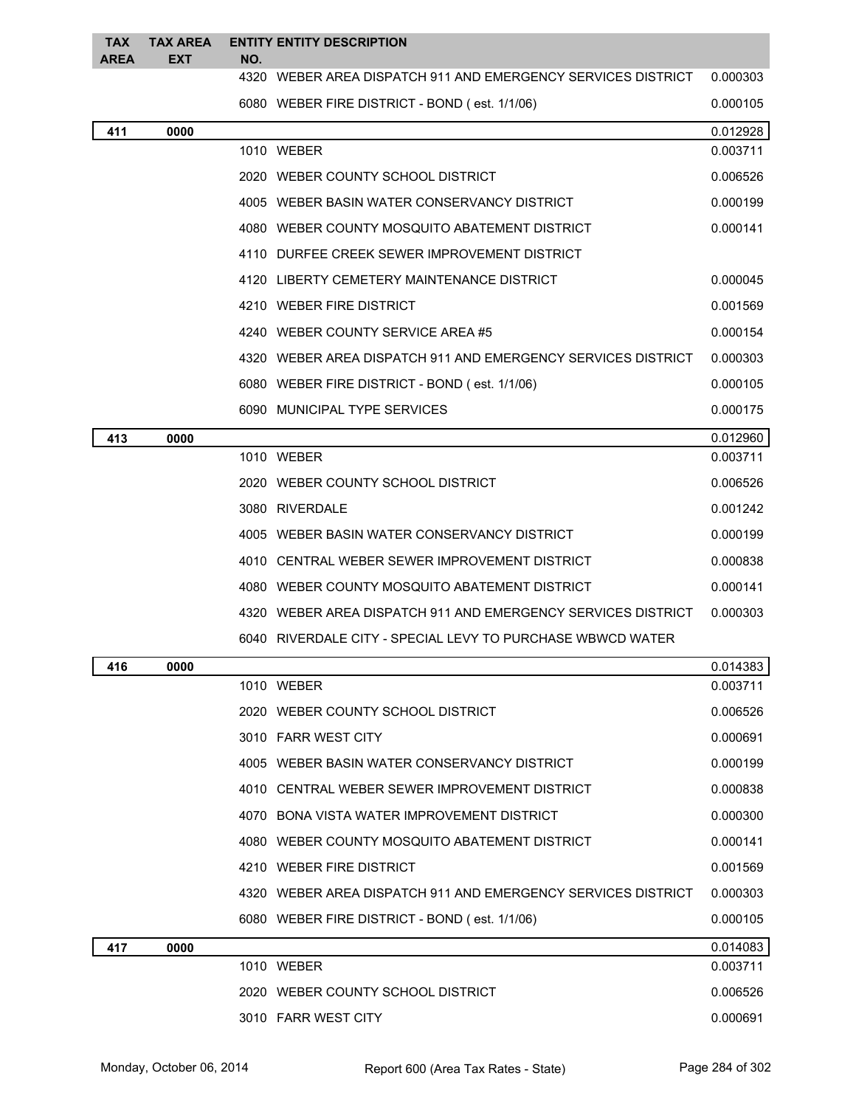| <b>TAX</b><br><b>AREA</b> | <b>TAX AREA</b><br>EXT | NO. | <b>ENTITY ENTITY DESCRIPTION</b>                             |          |
|---------------------------|------------------------|-----|--------------------------------------------------------------|----------|
|                           |                        |     | 4320 WEBER AREA DISPATCH 911 AND EMERGENCY SERVICES DISTRICT | 0.000303 |
|                           |                        |     | 6080 WEBER FIRE DISTRICT - BOND (est. 1/1/06)                | 0.000105 |
| 411                       | 0000                   |     |                                                              | 0.012928 |
|                           |                        |     | 1010 WEBER                                                   | 0.003711 |
|                           |                        |     | 2020 WEBER COUNTY SCHOOL DISTRICT                            | 0.006526 |
|                           |                        |     | 4005 WEBER BASIN WATER CONSERVANCY DISTRICT                  | 0.000199 |
|                           |                        |     | 4080 WEBER COUNTY MOSQUITO ABATEMENT DISTRICT                | 0.000141 |
|                           |                        |     | 4110 DURFEE CREEK SEWER IMPROVEMENT DISTRICT                 |          |
|                           |                        |     | 4120 LIBERTY CEMETERY MAINTENANCE DISTRICT                   | 0.000045 |
|                           |                        |     | 4210 WEBER FIRE DISTRICT                                     | 0.001569 |
|                           |                        |     | 4240 WEBER COUNTY SERVICE AREA #5                            | 0.000154 |
|                           |                        |     | 4320 WEBER AREA DISPATCH 911 AND EMERGENCY SERVICES DISTRICT | 0.000303 |
|                           |                        |     | 6080 WEBER FIRE DISTRICT - BOND (est. 1/1/06)                | 0.000105 |
|                           |                        |     | 6090 MUNICIPAL TYPE SERVICES                                 | 0.000175 |
| 413                       | 0000                   |     |                                                              | 0.012960 |
|                           |                        |     | 1010 WEBER                                                   | 0.003711 |
|                           |                        |     | 2020 WEBER COUNTY SCHOOL DISTRICT                            | 0.006526 |
|                           |                        |     | 3080 RIVERDALE                                               | 0.001242 |
|                           |                        |     | 4005 WEBER BASIN WATER CONSERVANCY DISTRICT                  | 0.000199 |
|                           |                        |     | 4010 CENTRAL WEBER SEWER IMPROVEMENT DISTRICT                | 0.000838 |
|                           |                        |     | 4080 WEBER COUNTY MOSQUITO ABATEMENT DISTRICT                | 0.000141 |
|                           |                        |     | 4320 WEBER AREA DISPATCH 911 AND EMERGENCY SERVICES DISTRICT | 0.000303 |
|                           |                        |     | 6040 RIVERDALE CITY - SPECIAL LEVY TO PURCHASE WBWCD WATER   |          |
| 416                       | 0000                   |     |                                                              | 0.014383 |
|                           |                        |     | 1010 WEBER                                                   | 0.003711 |
|                           |                        |     | 2020 WEBER COUNTY SCHOOL DISTRICT                            | 0.006526 |
|                           |                        |     | 3010 FARR WEST CITY                                          | 0.000691 |
|                           |                        |     | 4005 WEBER BASIN WATER CONSERVANCY DISTRICT                  | 0.000199 |
|                           |                        |     | 4010 CENTRAL WEBER SEWER IMPROVEMENT DISTRICT                | 0.000838 |
|                           |                        |     | 4070 BONA VISTA WATER IMPROVEMENT DISTRICT                   | 0.000300 |
|                           |                        |     | 4080 WEBER COUNTY MOSQUITO ABATEMENT DISTRICT                | 0.000141 |
|                           |                        |     | 4210 WEBER FIRE DISTRICT                                     | 0.001569 |
|                           |                        |     | 4320 WEBER AREA DISPATCH 911 AND EMERGENCY SERVICES DISTRICT | 0.000303 |
|                           |                        |     | 6080 WEBER FIRE DISTRICT - BOND (est. 1/1/06)                | 0.000105 |
| 417                       | 0000                   |     |                                                              | 0.014083 |
|                           |                        |     | 1010 WEBER                                                   | 0.003711 |
|                           |                        |     | 2020 WEBER COUNTY SCHOOL DISTRICT                            | 0.006526 |
|                           |                        |     | 3010 FARR WEST CITY                                          | 0.000691 |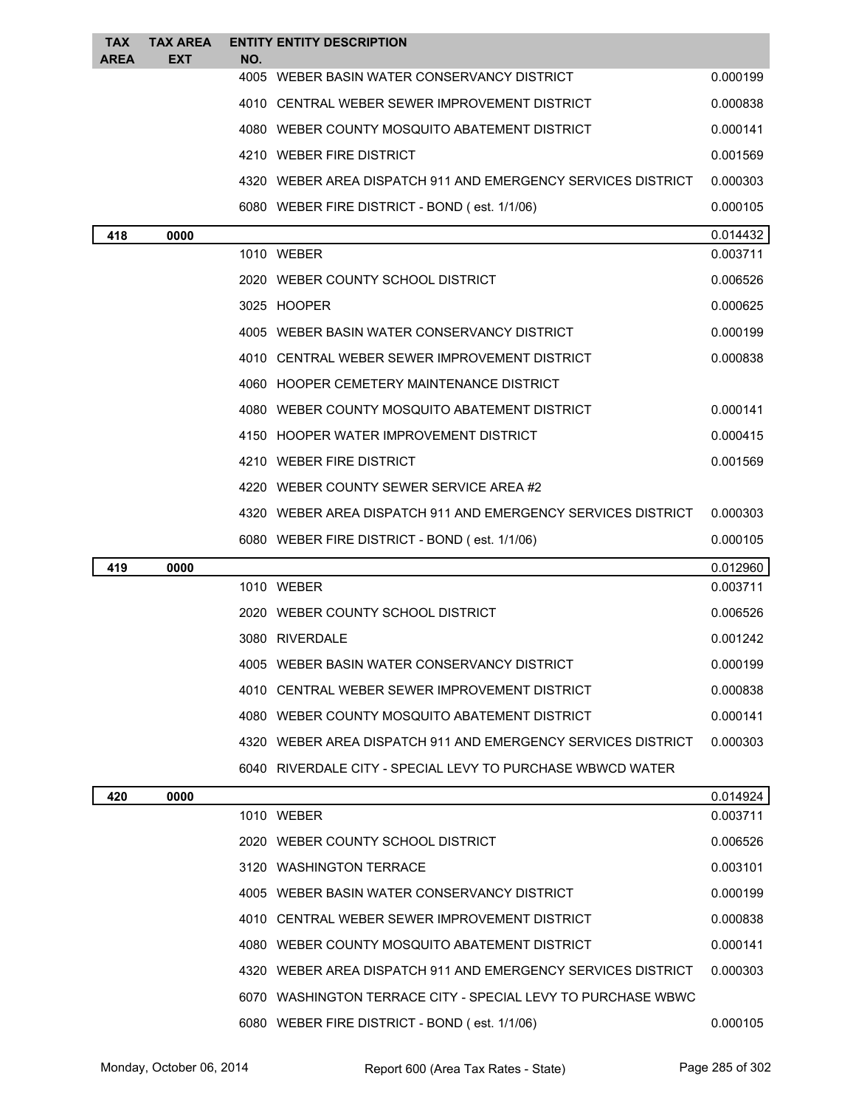| <b>TAX</b><br>AREA | <b>TAX AREA</b><br>EXT | NO. | <b>ENTITY ENTITY DESCRIPTION</b>                             |          |
|--------------------|------------------------|-----|--------------------------------------------------------------|----------|
|                    |                        |     | 4005 WEBER BASIN WATER CONSERVANCY DISTRICT                  | 0.000199 |
|                    |                        |     | 4010 CENTRAL WEBER SEWER IMPROVEMENT DISTRICT                | 0.000838 |
|                    |                        |     | 4080 WEBER COUNTY MOSQUITO ABATEMENT DISTRICT                | 0.000141 |
|                    |                        |     | 4210 WEBER FIRE DISTRICT                                     | 0.001569 |
|                    |                        |     | 4320 WEBER AREA DISPATCH 911 AND EMERGENCY SERVICES DISTRICT | 0.000303 |
|                    |                        |     | 6080 WEBER FIRE DISTRICT - BOND (est. 1/1/06)                | 0.000105 |
| 418                | 0000                   |     |                                                              | 0.014432 |
|                    |                        |     | 1010 WEBER                                                   | 0.003711 |
|                    |                        |     | 2020 WEBER COUNTY SCHOOL DISTRICT                            | 0.006526 |
|                    |                        |     | 3025 HOOPER                                                  | 0.000625 |
|                    |                        |     | 4005 WEBER BASIN WATER CONSERVANCY DISTRICT                  | 0.000199 |
|                    |                        |     | 4010 CENTRAL WEBER SEWER IMPROVEMENT DISTRICT                | 0.000838 |
|                    |                        |     | 4060 HOOPER CEMETERY MAINTENANCE DISTRICT                    |          |
|                    |                        |     | 4080 WEBER COUNTY MOSQUITO ABATEMENT DISTRICT                | 0.000141 |
|                    |                        |     | 4150 HOOPER WATER IMPROVEMENT DISTRICT                       | 0.000415 |
|                    |                        |     | 4210 WEBER FIRE DISTRICT                                     | 0.001569 |
|                    |                        |     | 4220 WEBER COUNTY SEWER SERVICE AREA #2                      |          |
|                    |                        |     | 4320 WEBER AREA DISPATCH 911 AND EMERGENCY SERVICES DISTRICT | 0.000303 |
|                    |                        |     | 6080 WEBER FIRE DISTRICT - BOND (est. 1/1/06)                | 0.000105 |
| 419                | 0000                   |     |                                                              | 0.012960 |
|                    |                        |     | 1010 WEBER                                                   | 0.003711 |
|                    |                        |     | 2020 WEBER COUNTY SCHOOL DISTRICT                            | 0.006526 |
|                    |                        |     | 3080 RIVERDALE                                               | 0.001242 |
|                    |                        |     | WEBER BASIN WATER CONSERVANCY DISTRICT                       | 0.000199 |
|                    |                        |     | 4010 CENTRAL WEBER SEWER IMPROVEMENT DISTRICT                | 0.000838 |
|                    |                        |     | 4080 WEBER COUNTY MOSQUITO ABATEMENT DISTRICT                | 0.000141 |
|                    |                        |     | 4320 WEBER AREA DISPATCH 911 AND EMERGENCY SERVICES DISTRICT | 0.000303 |
|                    |                        |     | 6040 RIVERDALE CITY - SPECIAL LEVY TO PURCHASE WBWCD WATER   |          |
| 420                | 0000                   |     |                                                              | 0.014924 |
|                    |                        |     | 1010 WEBER                                                   | 0.003711 |
|                    |                        |     | 2020 WEBER COUNTY SCHOOL DISTRICT                            | 0.006526 |
|                    |                        |     | 3120 WASHINGTON TERRACE                                      | 0.003101 |
|                    |                        |     | 4005 WEBER BASIN WATER CONSERVANCY DISTRICT                  | 0.000199 |
|                    |                        |     | 4010 CENTRAL WEBER SEWER IMPROVEMENT DISTRICT                | 0.000838 |
|                    |                        |     | 4080 WEBER COUNTY MOSQUITO ABATEMENT DISTRICT                | 0.000141 |
|                    |                        |     | 4320 WEBER AREA DISPATCH 911 AND EMERGENCY SERVICES DISTRICT | 0.000303 |
|                    |                        |     | 6070 WASHINGTON TERRACE CITY - SPECIAL LEVY TO PURCHASE WBWC |          |
|                    |                        |     | 6080 WEBER FIRE DISTRICT - BOND (est. 1/1/06)                | 0.000105 |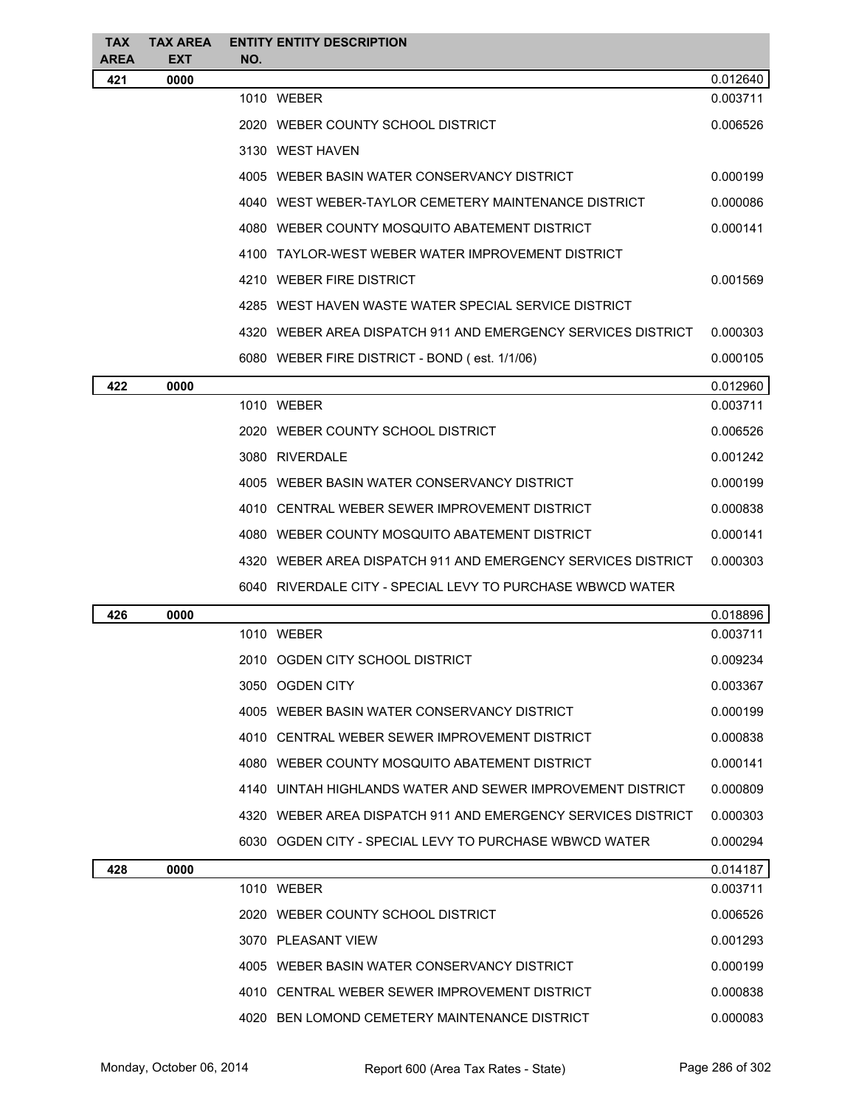| TAX<br>AREA | <b>TAX AREA</b><br><b>EXT</b> | NO. | <b>ENTITY ENTITY DESCRIPTION</b>                             |          |
|-------------|-------------------------------|-----|--------------------------------------------------------------|----------|
| 421         | 0000                          |     |                                                              | 0.012640 |
|             |                               |     | 1010 WEBER                                                   | 0.003711 |
|             |                               |     | 2020 WEBER COUNTY SCHOOL DISTRICT                            | 0.006526 |
|             |                               |     | 3130 WEST HAVEN                                              |          |
|             |                               |     | 4005 WEBER BASIN WATER CONSERVANCY DISTRICT                  | 0.000199 |
|             |                               |     | 4040 WEST WEBER-TAYLOR CEMETERY MAINTENANCE DISTRICT         | 0.000086 |
|             |                               |     | 4080 WEBER COUNTY MOSQUITO ABATEMENT DISTRICT                | 0.000141 |
|             |                               |     | 4100 TAYLOR-WEST WEBER WATER IMPROVEMENT DISTRICT            |          |
|             |                               |     | 4210 WEBER FIRE DISTRICT                                     | 0.001569 |
|             |                               |     | 4285 WEST HAVEN WASTE WATER SPECIAL SERVICE DISTRICT         |          |
|             |                               |     | 4320 WEBER AREA DISPATCH 911 AND EMERGENCY SERVICES DISTRICT | 0.000303 |
|             |                               |     | 6080 WEBER FIRE DISTRICT - BOND (est. 1/1/06)                | 0.000105 |
| 422         | 0000                          |     |                                                              | 0.012960 |
|             |                               |     | 1010 WEBER                                                   | 0.003711 |
|             |                               |     | 2020 WEBER COUNTY SCHOOL DISTRICT                            | 0.006526 |
|             |                               |     | 3080 RIVERDALE                                               | 0.001242 |
|             |                               |     | 4005 WEBER BASIN WATER CONSERVANCY DISTRICT                  | 0.000199 |
|             |                               |     | 4010 CENTRAL WEBER SEWER IMPROVEMENT DISTRICT                | 0.000838 |
|             |                               |     | 4080 WEBER COUNTY MOSQUITO ABATEMENT DISTRICT                | 0.000141 |
|             |                               |     | 4320 WEBER AREA DISPATCH 911 AND EMERGENCY SERVICES DISTRICT | 0.000303 |
|             |                               |     | 6040 RIVERDALE CITY - SPECIAL LEVY TO PURCHASE WBWCD WATER   |          |
| 426         | 0000                          |     |                                                              | 0.018896 |
|             |                               |     | 1010 WEBER                                                   | 0.003711 |
|             |                               |     | 2010 OGDEN CITY SCHOOL DISTRICT                              | 0.009234 |
|             |                               |     | 3050 OGDEN CITY                                              | 0.003367 |
|             |                               |     | 4005 WEBER BASIN WATER CONSERVANCY DISTRICT                  | 0.000199 |
|             |                               |     | 4010 CENTRAL WEBER SEWER IMPROVEMENT DISTRICT                | 0.000838 |
|             |                               |     | 4080 WEBER COUNTY MOSQUITO ABATEMENT DISTRICT                | 0.000141 |
|             |                               |     | 4140 UINTAH HIGHLANDS WATER AND SEWER IMPROVEMENT DISTRICT   | 0.000809 |
|             |                               |     | 4320 WEBER AREA DISPATCH 911 AND EMERGENCY SERVICES DISTRICT | 0.000303 |
|             |                               |     | 6030 OGDEN CITY - SPECIAL LEVY TO PURCHASE WBWCD WATER       | 0.000294 |
| 428         | 0000                          |     |                                                              | 0.014187 |
|             |                               |     | 1010 WEBER                                                   | 0.003711 |
|             |                               |     | 2020 WEBER COUNTY SCHOOL DISTRICT                            | 0.006526 |
|             |                               |     | 3070 PLEASANT VIEW                                           | 0.001293 |
|             |                               |     | 4005 WEBER BASIN WATER CONSERVANCY DISTRICT                  | 0.000199 |
|             |                               |     | 4010 CENTRAL WEBER SEWER IMPROVEMENT DISTRICT                | 0.000838 |
|             |                               |     | 4020 BEN LOMOND CEMETERY MAINTENANCE DISTRICT                | 0.000083 |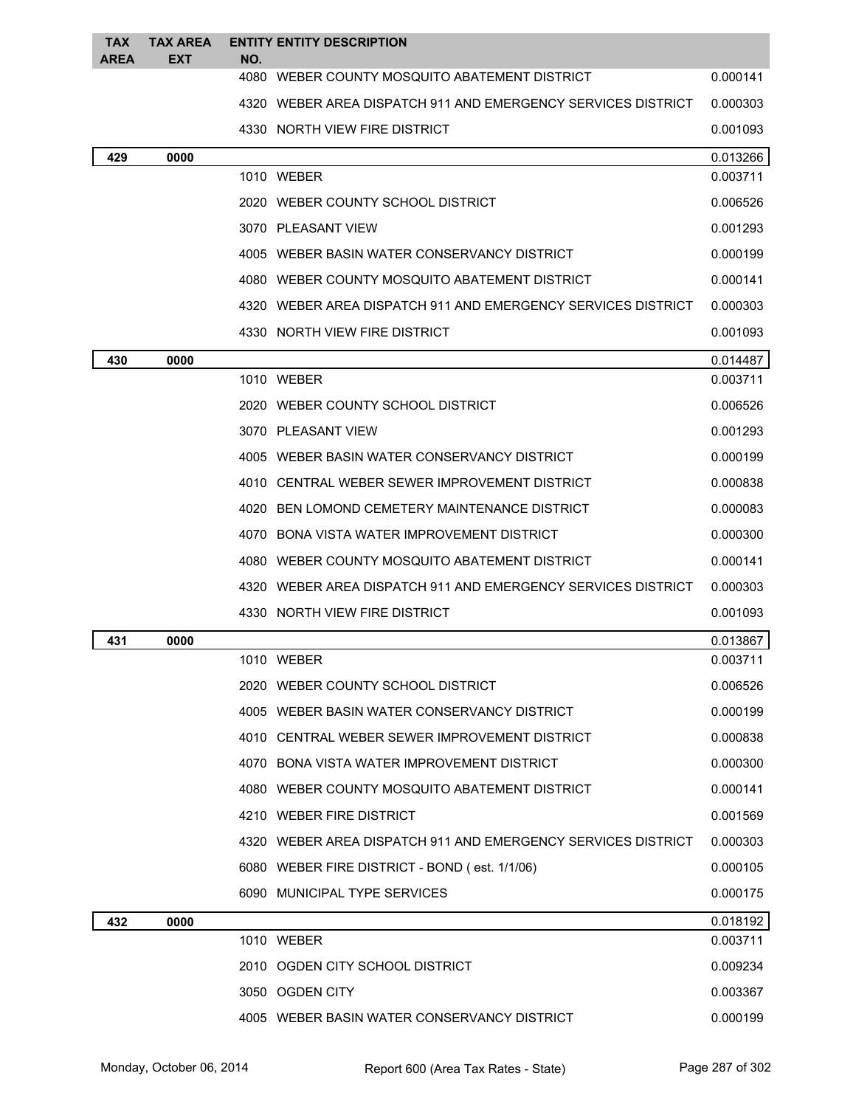| <b>TAX</b><br><b>AREA</b> | TAX AREA<br><b>EXT</b> | NO. | <b>ENTITY ENTITY DESCRIPTION</b>                             |          |
|---------------------------|------------------------|-----|--------------------------------------------------------------|----------|
|                           |                        |     | 4080 WEBER COUNTY MOSQUITO ABATEMENT DISTRICT                | 0.000141 |
|                           |                        |     | 4320 WEBER AREA DISPATCH 911 AND EMERGENCY SERVICES DISTRICT | 0.000303 |
|                           |                        |     | 4330 NORTH VIEW FIRE DISTRICT                                | 0.001093 |
| 429                       | 0000                   |     |                                                              | 0.013266 |
|                           |                        |     | 1010 WEBER                                                   | 0.003711 |
|                           |                        |     | 2020 WEBER COUNTY SCHOOL DISTRICT                            | 0.006526 |
|                           |                        |     | 3070 PLEASANT VIEW                                           | 0.001293 |
|                           |                        |     | 4005 WEBER BASIN WATER CONSERVANCY DISTRICT                  | 0.000199 |
|                           |                        |     | 4080 WEBER COUNTY MOSQUITO ABATEMENT DISTRICT                | 0.000141 |
|                           |                        |     | 4320 WEBER AREA DISPATCH 911 AND EMERGENCY SERVICES DISTRICT | 0.000303 |
|                           |                        |     | 4330 NORTH VIEW FIRE DISTRICT                                | 0.001093 |
| 430                       | 0000                   |     |                                                              | 0.014487 |
|                           |                        |     | 1010 WEBER                                                   | 0.003711 |
|                           |                        |     | 2020 WEBER COUNTY SCHOOL DISTRICT                            | 0.006526 |
|                           |                        |     | 3070 PLEASANT VIEW                                           | 0.001293 |
|                           |                        |     | 4005 WEBER BASIN WATER CONSERVANCY DISTRICT                  | 0.000199 |
|                           |                        |     | 4010 CENTRAL WEBER SEWER IMPROVEMENT DISTRICT                | 0.000838 |
|                           |                        |     | 4020 BEN LOMOND CEMETERY MAINTENANCE DISTRICT                | 0.000083 |
|                           |                        |     | 4070 BONA VISTA WATER IMPROVEMENT DISTRICT                   | 0.000300 |
|                           |                        |     | 4080 WEBER COUNTY MOSQUITO ABATEMENT DISTRICT                | 0.000141 |
|                           |                        |     | 4320 WEBER AREA DISPATCH 911 AND EMERGENCY SERVICES DISTRICT | 0.000303 |
|                           |                        |     | 4330 NORTH VIEW FIRE DISTRICT                                | 0.001093 |
| 431                       | 0000                   |     |                                                              | 0.013867 |
|                           |                        |     | 1010 WEBER                                                   | 0.003711 |
|                           |                        |     | 2020 WEBER COUNTY SCHOOL DISTRICT                            | 0.006526 |
|                           |                        |     | 4005 WEBER BASIN WATER CONSERVANCY DISTRICT                  | 0.000199 |
|                           |                        |     | 4010 CENTRAL WEBER SEWER IMPROVEMENT DISTRICT                | 0.000838 |
|                           |                        |     | 4070 BONA VISTA WATER IMPROVEMENT DISTRICT                   | 0.000300 |
|                           |                        |     | 4080 WEBER COUNTY MOSQUITO ABATEMENT DISTRICT                | 0.000141 |
|                           |                        |     | 4210 WEBER FIRE DISTRICT                                     | 0.001569 |
|                           |                        |     | 4320 WEBER AREA DISPATCH 911 AND EMERGENCY SERVICES DISTRICT | 0.000303 |
|                           |                        |     | 6080 WEBER FIRE DISTRICT - BOND (est. 1/1/06)                | 0.000105 |
|                           |                        |     | 6090 MUNICIPAL TYPE SERVICES                                 | 0.000175 |
| 432                       | 0000                   |     |                                                              | 0.018192 |
|                           |                        |     | 1010 WEBER                                                   | 0.003711 |
|                           |                        |     | 2010 OGDEN CITY SCHOOL DISTRICT                              | 0.009234 |
|                           |                        |     | 3050 OGDEN CITY                                              | 0.003367 |
|                           |                        |     | 4005 WEBER BASIN WATER CONSERVANCY DISTRICT                  | 0.000199 |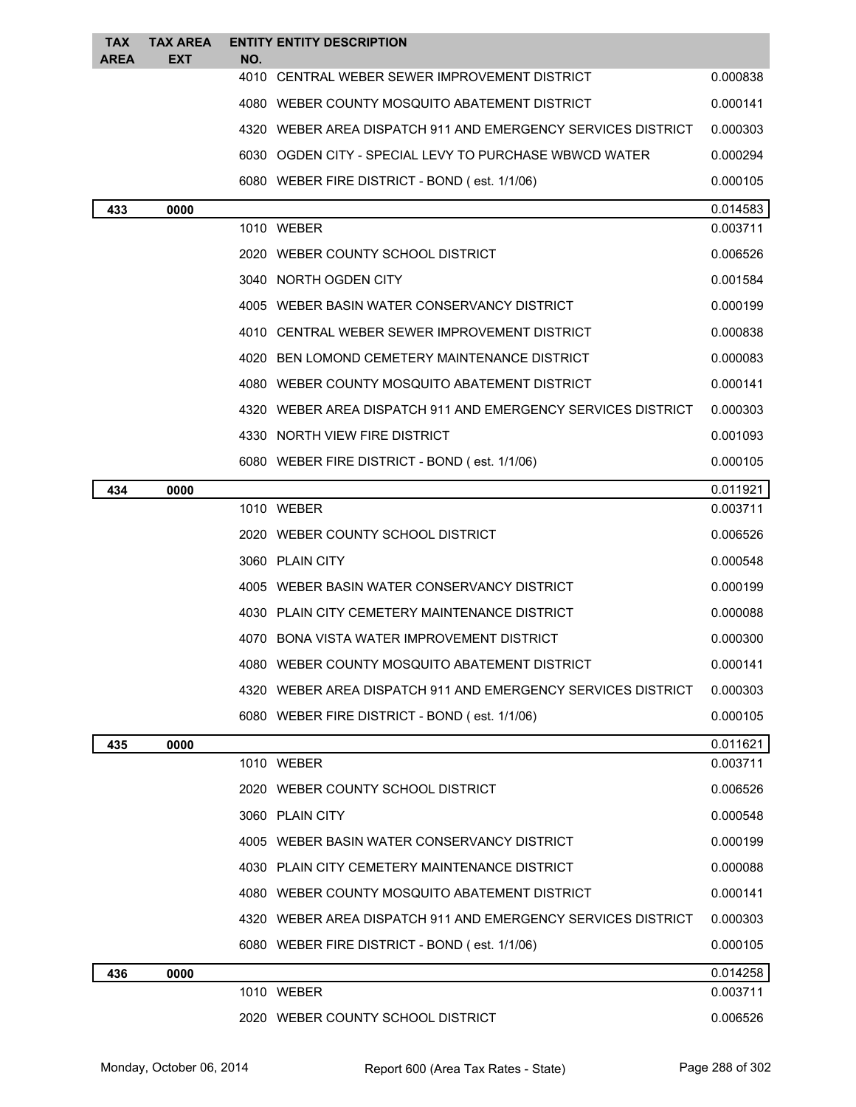| <b>TAX</b>  | <b>TAX AREA</b> |     | <b>ENTITY ENTITY DESCRIPTION</b>                             |          |
|-------------|-----------------|-----|--------------------------------------------------------------|----------|
| <b>AREA</b> | EXT             | NO. | 4010 CENTRAL WEBER SEWER IMPROVEMENT DISTRICT                | 0.000838 |
|             |                 |     | 4080 WEBER COUNTY MOSQUITO ABATEMENT DISTRICT                | 0.000141 |
|             |                 |     | 4320 WEBER AREA DISPATCH 911 AND EMERGENCY SERVICES DISTRICT | 0.000303 |
|             |                 |     | 6030 OGDEN CITY - SPECIAL LEVY TO PURCHASE WBWCD WATER       | 0.000294 |
|             |                 |     | 6080 WEBER FIRE DISTRICT - BOND (est. 1/1/06)                | 0.000105 |
| 433         | 0000            |     |                                                              | 0.014583 |
|             |                 |     | 1010 WEBER                                                   | 0.003711 |
|             |                 |     | 2020 WEBER COUNTY SCHOOL DISTRICT                            | 0.006526 |
|             |                 |     | 3040 NORTH OGDEN CITY                                        | 0.001584 |
|             |                 |     | 4005 WEBER BASIN WATER CONSERVANCY DISTRICT                  | 0.000199 |
|             |                 |     | 4010 CENTRAL WEBER SEWER IMPROVEMENT DISTRICT                | 0.000838 |
|             |                 |     | 4020 BEN LOMOND CEMETERY MAINTENANCE DISTRICT                | 0.000083 |
|             |                 |     | 4080 WEBER COUNTY MOSQUITO ABATEMENT DISTRICT                | 0.000141 |
|             |                 |     | 4320 WEBER AREA DISPATCH 911 AND EMERGENCY SERVICES DISTRICT | 0.000303 |
|             |                 |     | 4330 NORTH VIEW FIRE DISTRICT                                | 0.001093 |
|             |                 |     | 6080 WEBER FIRE DISTRICT - BOND (est. 1/1/06)                | 0.000105 |
| 434         | 0000            |     |                                                              | 0.011921 |
|             |                 |     | 1010 WEBER                                                   | 0.003711 |
|             |                 |     | 2020 WEBER COUNTY SCHOOL DISTRICT                            | 0.006526 |
|             |                 |     | 3060 PLAIN CITY                                              | 0.000548 |
|             |                 |     | 4005 WEBER BASIN WATER CONSERVANCY DISTRICT                  | 0.000199 |
|             |                 |     | 4030 PLAIN CITY CEMETERY MAINTENANCE DISTRICT                | 0.000088 |
|             |                 |     | 4070 BONA VISTA WATER IMPROVEMENT DISTRICT                   | 0.000300 |
|             |                 |     | 4080   WEBER COUNTY MOSQUITO ABATEMENT DISTRICT              | 0.000141 |
|             |                 |     | 4320 WEBER AREA DISPATCH 911 AND EMERGENCY SERVICES DISTRICT | 0.000303 |
|             |                 |     | 6080 WEBER FIRE DISTRICT - BOND (est. 1/1/06)                | 0.000105 |
| 435         | 0000            |     |                                                              | 0.011621 |
|             |                 |     | 1010 WEBER                                                   | 0.003711 |
|             |                 |     | 2020 WEBER COUNTY SCHOOL DISTRICT                            | 0.006526 |
|             |                 |     | 3060 PLAIN CITY                                              | 0.000548 |
|             |                 |     | 4005 WEBER BASIN WATER CONSERVANCY DISTRICT                  | 0.000199 |
|             |                 |     | 4030 PLAIN CITY CEMETERY MAINTENANCE DISTRICT                | 0.000088 |
|             |                 |     | 4080 WEBER COUNTY MOSQUITO ABATEMENT DISTRICT                | 0.000141 |
|             |                 |     | 4320 WEBER AREA DISPATCH 911 AND EMERGENCY SERVICES DISTRICT | 0.000303 |
|             |                 |     | 6080 WEBER FIRE DISTRICT - BOND (est. 1/1/06)                | 0.000105 |
| 436         | 0000            |     |                                                              | 0.014258 |
|             |                 |     | 1010 WEBER                                                   | 0.003711 |
|             |                 |     | 2020 WEBER COUNTY SCHOOL DISTRICT                            | 0.006526 |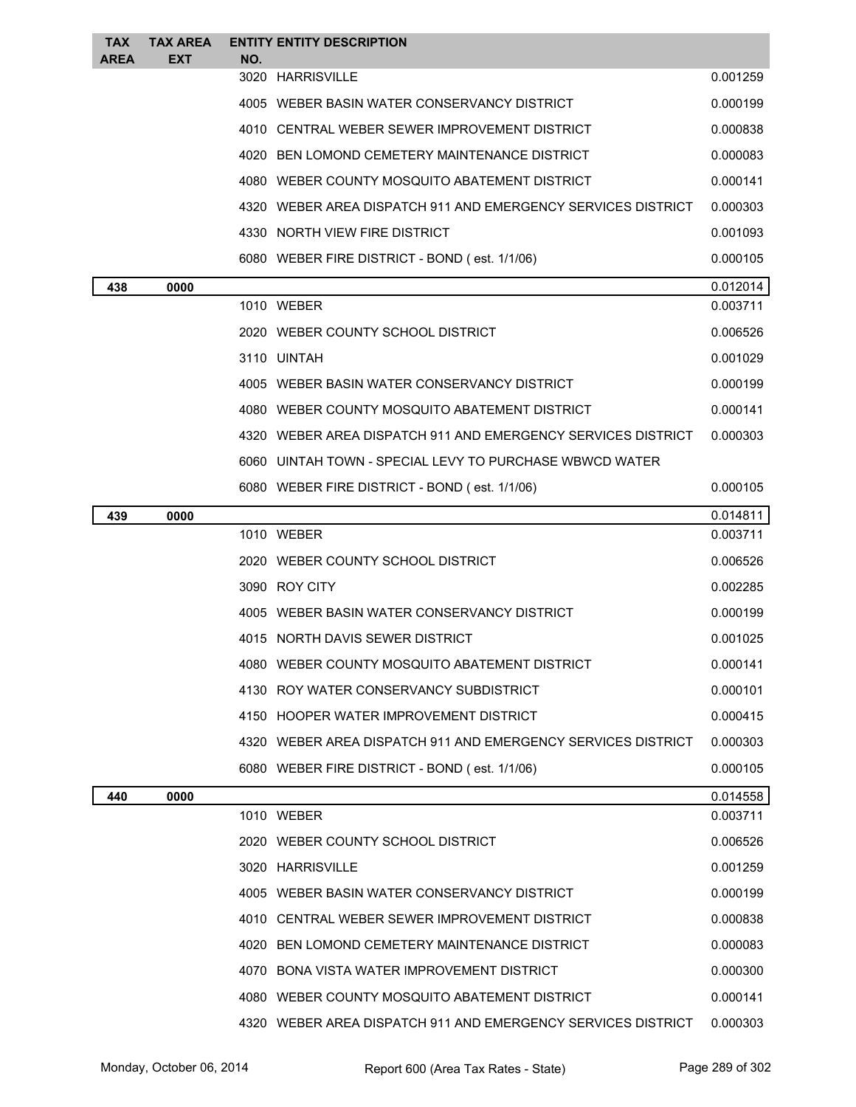| <b>TAX</b><br><b>AREA</b> | <b>TAX AREA</b><br><b>EXT</b> | NO. | <b>ENTITY ENTITY DESCRIPTION</b>                             |          |
|---------------------------|-------------------------------|-----|--------------------------------------------------------------|----------|
|                           |                               |     | 3020 HARRISVILLE                                             | 0.001259 |
|                           |                               |     | 4005 WEBER BASIN WATER CONSERVANCY DISTRICT                  | 0.000199 |
|                           |                               |     | 4010 CENTRAL WEBER SEWER IMPROVEMENT DISTRICT                | 0.000838 |
|                           |                               |     | 4020 BEN LOMOND CEMETERY MAINTENANCE DISTRICT                | 0.000083 |
|                           |                               |     | 4080 WEBER COUNTY MOSQUITO ABATEMENT DISTRICT                | 0.000141 |
|                           |                               |     | 4320 WEBER AREA DISPATCH 911 AND EMERGENCY SERVICES DISTRICT | 0.000303 |
|                           |                               |     | 4330 NORTH VIEW FIRE DISTRICT                                | 0.001093 |
|                           |                               |     | 6080 WEBER FIRE DISTRICT - BOND (est. 1/1/06)                | 0.000105 |
| 438                       | 0000                          |     |                                                              | 0.012014 |
|                           |                               |     | 1010 WEBER                                                   | 0.003711 |
|                           |                               |     | 2020 WEBER COUNTY SCHOOL DISTRICT                            | 0.006526 |
|                           |                               |     | 3110 UINTAH                                                  | 0.001029 |
|                           |                               |     | 4005 WEBER BASIN WATER CONSERVANCY DISTRICT                  | 0.000199 |
|                           |                               |     | 4080 WEBER COUNTY MOSQUITO ABATEMENT DISTRICT                | 0.000141 |
|                           |                               |     | 4320 WEBER AREA DISPATCH 911 AND EMERGENCY SERVICES DISTRICT | 0.000303 |
|                           |                               |     | 6060 UINTAH TOWN - SPECIAL LEVY TO PURCHASE WBWCD WATER      |          |
|                           |                               |     | 6080 WEBER FIRE DISTRICT - BOND (est. 1/1/06)                | 0.000105 |
| 439                       | 0000                          |     |                                                              | 0.014811 |
|                           |                               |     | 1010 WEBER                                                   | 0.003711 |
|                           |                               |     | 2020 WEBER COUNTY SCHOOL DISTRICT                            | 0.006526 |
|                           |                               |     | 3090 ROY CITY                                                | 0.002285 |
|                           |                               |     | 4005 WEBER BASIN WATER CONSERVANCY DISTRICT                  | 0.000199 |
|                           |                               |     | 4015 NORTH DAVIS SEWER DISTRICT                              | 0.001025 |
|                           |                               |     | 4080 WEBER COUNTY MOSQUITO ABATEMENT DISTRICT                | 0.000141 |
|                           |                               |     | 4130 ROY WATER CONSERVANCY SUBDISTRICT                       | 0.000101 |
|                           |                               |     | 4150 HOOPER WATER IMPROVEMENT DISTRICT                       | 0.000415 |
|                           |                               |     | 4320 WEBER AREA DISPATCH 911 AND EMERGENCY SERVICES DISTRICT | 0.000303 |
|                           |                               |     | 6080 WEBER FIRE DISTRICT - BOND (est. 1/1/06)                | 0.000105 |
| 440                       | 0000                          |     |                                                              | 0.014558 |
|                           |                               |     | 1010 WEBER                                                   | 0.003711 |
|                           |                               |     | 2020 WEBER COUNTY SCHOOL DISTRICT                            | 0.006526 |
|                           |                               |     | 3020 HARRISVILLE                                             | 0.001259 |
|                           |                               |     | 4005 WEBER BASIN WATER CONSERVANCY DISTRICT                  | 0.000199 |
|                           |                               |     | 4010 CENTRAL WEBER SEWER IMPROVEMENT DISTRICT                | 0.000838 |
|                           |                               |     | 4020 BEN LOMOND CEMETERY MAINTENANCE DISTRICT                | 0.000083 |
|                           |                               |     | 4070 BONA VISTA WATER IMPROVEMENT DISTRICT                   | 0.000300 |
|                           |                               |     | 4080 WEBER COUNTY MOSQUITO ABATEMENT DISTRICT                | 0.000141 |
|                           |                               |     | 4320 WEBER AREA DISPATCH 911 AND EMERGENCY SERVICES DISTRICT | 0.000303 |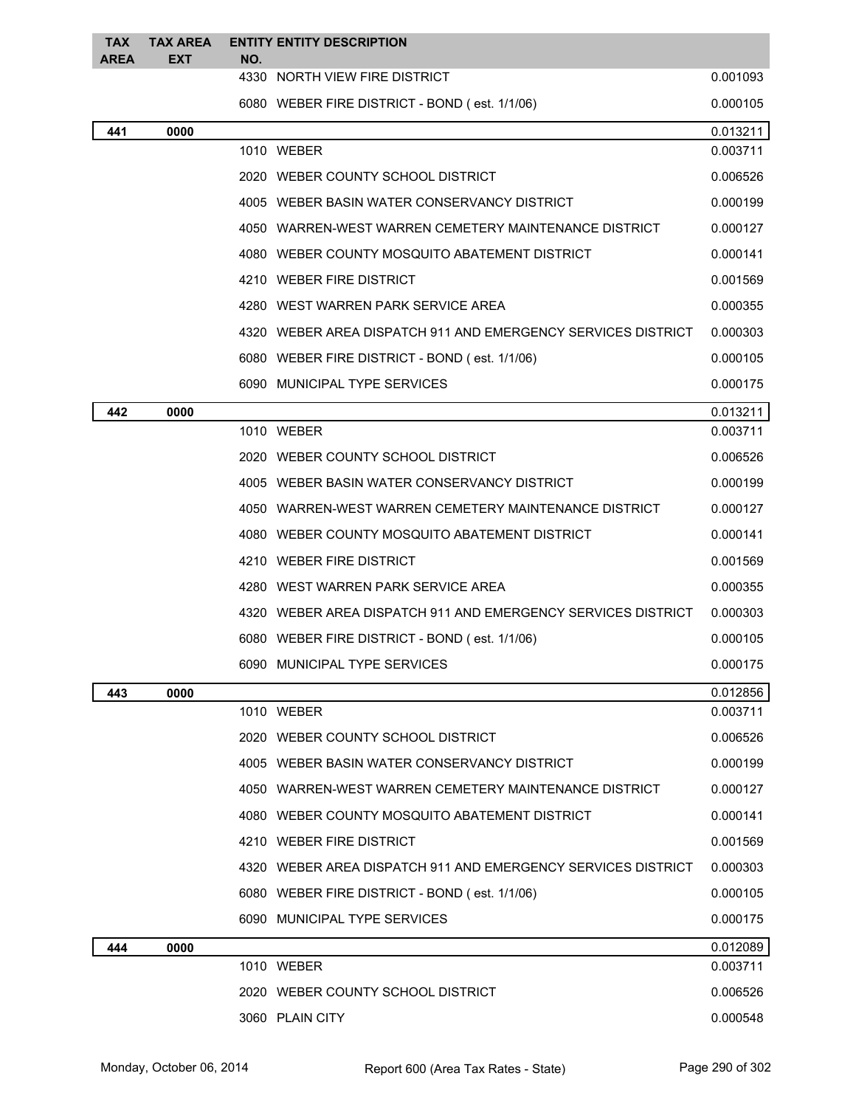| <b>TAX</b><br><b>AREA</b> | <b>TAX AREA</b><br><b>EXT</b>                                | NO. | <b>ENTITY ENTITY DESCRIPTION</b>                             |          |
|---------------------------|--------------------------------------------------------------|-----|--------------------------------------------------------------|----------|
|                           |                                                              |     | 4330 NORTH VIEW FIRE DISTRICT                                | 0.001093 |
|                           |                                                              |     | 6080 WEBER FIRE DISTRICT - BOND (est. 1/1/06)                | 0.000105 |
| 441                       | 0000                                                         |     |                                                              | 0.013211 |
|                           | 1010 WEBER                                                   |     | 0.003711                                                     |          |
|                           |                                                              |     | 2020 WEBER COUNTY SCHOOL DISTRICT                            | 0.006526 |
|                           |                                                              |     | 4005 WEBER BASIN WATER CONSERVANCY DISTRICT                  | 0.000199 |
|                           |                                                              |     | 4050 WARREN-WEST WARREN CEMETERY MAINTENANCE DISTRICT        | 0.000127 |
|                           |                                                              |     | 4080 WEBER COUNTY MOSQUITO ABATEMENT DISTRICT                | 0.000141 |
|                           |                                                              |     | 4210 WEBER FIRE DISTRICT                                     | 0.001569 |
|                           |                                                              |     | 4280 WEST WARREN PARK SERVICE AREA                           | 0.000355 |
|                           |                                                              |     | 4320 WEBER AREA DISPATCH 911 AND EMERGENCY SERVICES DISTRICT | 0.000303 |
|                           |                                                              |     | 6080 WEBER FIRE DISTRICT - BOND (est. 1/1/06)                | 0.000105 |
|                           |                                                              |     | 6090 MUNICIPAL TYPE SERVICES                                 | 0.000175 |
| 442                       | 0000                                                         |     |                                                              | 0.013211 |
|                           |                                                              |     | 1010 WEBER                                                   | 0.003711 |
|                           |                                                              |     | 2020 WEBER COUNTY SCHOOL DISTRICT                            | 0.006526 |
|                           |                                                              |     | 4005 WEBER BASIN WATER CONSERVANCY DISTRICT                  | 0.000199 |
|                           |                                                              |     | 4050 WARREN-WEST WARREN CEMETERY MAINTENANCE DISTRICT        | 0.000127 |
|                           |                                                              |     | 4080 WEBER COUNTY MOSQUITO ABATEMENT DISTRICT                | 0.000141 |
|                           | 4210 WEBER FIRE DISTRICT                                     |     | 0.001569                                                     |          |
|                           | 4280 WEST WARREN PARK SERVICE AREA                           |     | 0.000355                                                     |          |
|                           | 4320 WEBER AREA DISPATCH 911 AND EMERGENCY SERVICES DISTRICT |     |                                                              | 0.000303 |
|                           | 6080 WEBER FIRE DISTRICT - BOND (est. 1/1/06)                |     | 0.000105                                                     |          |
|                           |                                                              |     | 6090 MUNICIPAL TYPE SERVICES                                 | 0.000175 |
| 443                       | 0000                                                         |     |                                                              | 0.012856 |
|                           |                                                              |     | 1010 WEBER                                                   | 0.003711 |
|                           |                                                              |     | 2020 WEBER COUNTY SCHOOL DISTRICT                            | 0.006526 |
|                           |                                                              |     | 4005 WEBER BASIN WATER CONSERVANCY DISTRICT                  | 0.000199 |
|                           |                                                              |     | 4050 WARREN-WEST WARREN CEMETERY MAINTENANCE DISTRICT        | 0.000127 |
|                           |                                                              |     | 4080 WEBER COUNTY MOSQUITO ABATEMENT DISTRICT                | 0.000141 |
|                           |                                                              |     | 4210 WEBER FIRE DISTRICT                                     | 0.001569 |
|                           |                                                              |     | 4320 WEBER AREA DISPATCH 911 AND EMERGENCY SERVICES DISTRICT | 0.000303 |
|                           |                                                              |     | 6080 WEBER FIRE DISTRICT - BOND (est. 1/1/06)                | 0.000105 |
|                           |                                                              |     | 6090 MUNICIPAL TYPE SERVICES                                 | 0.000175 |
| 444                       | 0000                                                         |     |                                                              | 0.012089 |
|                           |                                                              |     | 1010 WEBER                                                   | 0.003711 |
|                           |                                                              |     | 2020 WEBER COUNTY SCHOOL DISTRICT                            | 0.006526 |
|                           |                                                              |     | 3060 PLAIN CITY                                              | 0.000548 |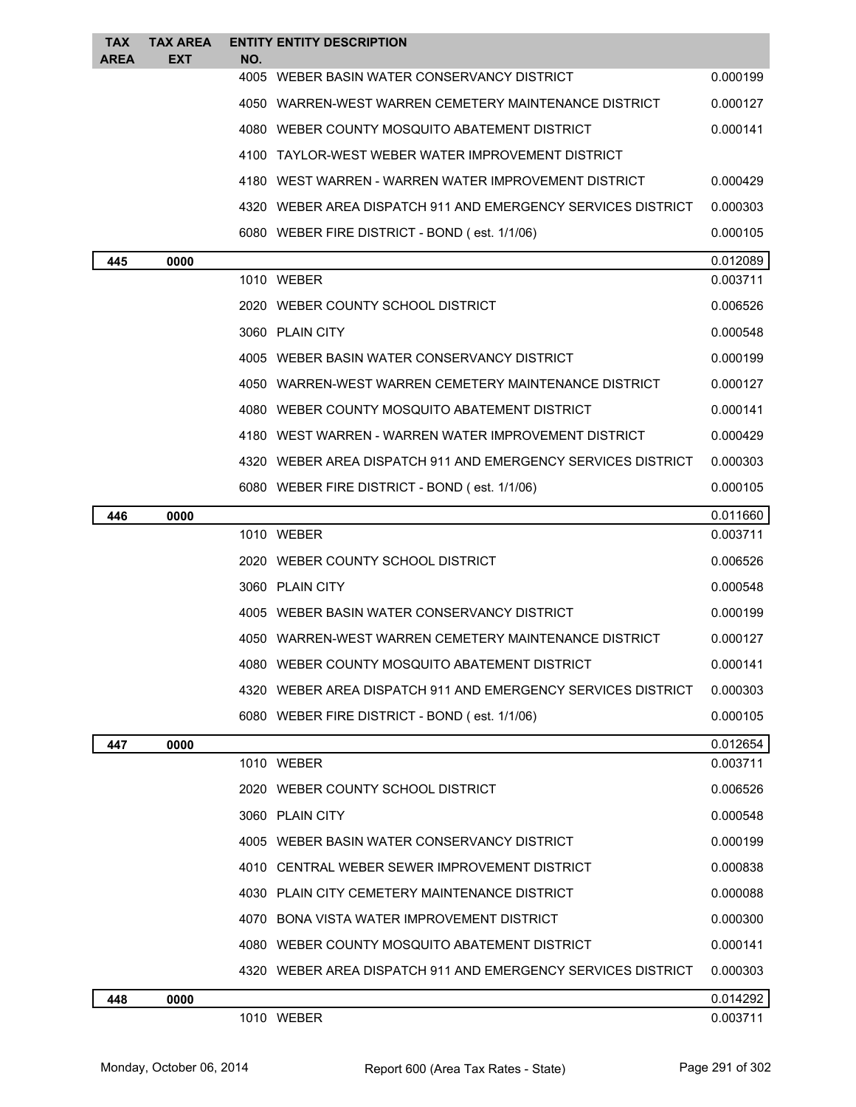| <b>TAX</b><br><b>AREA</b> | <b>TAX AREA</b><br>EXT | NO. | <b>ENTITY ENTITY DESCRIPTION</b>                               |          |
|---------------------------|------------------------|-----|----------------------------------------------------------------|----------|
|                           |                        |     | 4005 WEBER BASIN WATER CONSERVANCY DISTRICT                    | 0.000199 |
|                           |                        |     | 4050 WARREN-WEST WARREN CEMETERY MAINTENANCE DISTRICT          | 0.000127 |
|                           |                        |     | 4080 WEBER COUNTY MOSQUITO ABATEMENT DISTRICT                  | 0.000141 |
|                           |                        |     | 4100 TAYLOR-WEST WEBER WATER IMPROVEMENT DISTRICT              |          |
|                           |                        |     | 4180   WEST WARREN - WARREN WATER IMPROVEMENT DISTRICT         | 0.000429 |
|                           |                        |     | 4320   WEBER AREA DISPATCH 911 AND EMERGENCY SERVICES DISTRICT | 0.000303 |
|                           |                        |     | 6080 WEBER FIRE DISTRICT - BOND (est. 1/1/06)                  | 0.000105 |
| 445                       | 0000                   |     |                                                                | 0.012089 |
|                           |                        |     | 1010 WEBER                                                     | 0.003711 |
|                           |                        |     | 2020 WEBER COUNTY SCHOOL DISTRICT                              | 0.006526 |
|                           |                        |     | 3060 PLAIN CITY                                                | 0.000548 |
|                           |                        |     | 4005 WEBER BASIN WATER CONSERVANCY DISTRICT                    | 0.000199 |
|                           |                        |     | 4050 WARREN-WEST WARREN CEMETERY MAINTENANCE DISTRICT          | 0.000127 |
|                           |                        |     | 4080 WEBER COUNTY MOSQUITO ABATEMENT DISTRICT                  | 0.000141 |
|                           |                        |     | 4180 WEST WARREN - WARREN WATER IMPROVEMENT DISTRICT           | 0.000429 |
|                           |                        |     | 4320 WEBER AREA DISPATCH 911 AND EMERGENCY SERVICES DISTRICT   | 0.000303 |
|                           |                        |     | 6080 WEBER FIRE DISTRICT - BOND (est. 1/1/06)                  | 0.000105 |
| 446                       | 0000                   |     |                                                                | 0.011660 |
|                           |                        |     | 1010 WEBER                                                     | 0.003711 |
|                           |                        |     | 2020 WEBER COUNTY SCHOOL DISTRICT                              | 0.006526 |
|                           |                        |     | 3060 PLAIN CITY                                                | 0.000548 |
|                           |                        |     | 4005 WEBER BASIN WATER CONSERVANCY DISTRICT                    | 0.000199 |
|                           |                        |     | 4050 WARREN-WEST WARREN CEMETERY MAINTENANCE DISTRICT          | 0.000127 |
|                           |                        |     | WEBER COUNTY MOSQUITO ABATEMENT DISTRICT                       | 0.000141 |
|                           |                        |     | 4320 WEBER AREA DISPATCH 911 AND EMERGENCY SERVICES DISTRICT   | 0.000303 |
|                           |                        |     | 6080 WEBER FIRE DISTRICT - BOND (est. 1/1/06)                  | 0.000105 |
| 447                       | 0000                   |     |                                                                | 0.012654 |
|                           |                        |     | 1010 WEBER                                                     | 0.003711 |
|                           |                        |     | 2020 WEBER COUNTY SCHOOL DISTRICT                              | 0.006526 |
|                           |                        |     | 3060 PLAIN CITY                                                | 0.000548 |
|                           |                        |     | 4005 WEBER BASIN WATER CONSERVANCY DISTRICT                    | 0.000199 |
|                           |                        |     | 4010 CENTRAL WEBER SEWER IMPROVEMENT DISTRICT                  | 0.000838 |
|                           |                        |     | 4030 PLAIN CITY CEMETERY MAINTENANCE DISTRICT                  | 0.000088 |
|                           |                        |     | 4070 BONA VISTA WATER IMPROVEMENT DISTRICT                     | 0.000300 |
|                           |                        |     | 4080 WEBER COUNTY MOSQUITO ABATEMENT DISTRICT                  | 0.000141 |
|                           |                        |     | 4320   WEBER AREA DISPATCH 911 AND EMERGENCY SERVICES DISTRICT | 0.000303 |
| 448                       | 0000                   |     |                                                                | 0.014292 |
|                           |                        |     | 1010 WEBER                                                     | 0.003711 |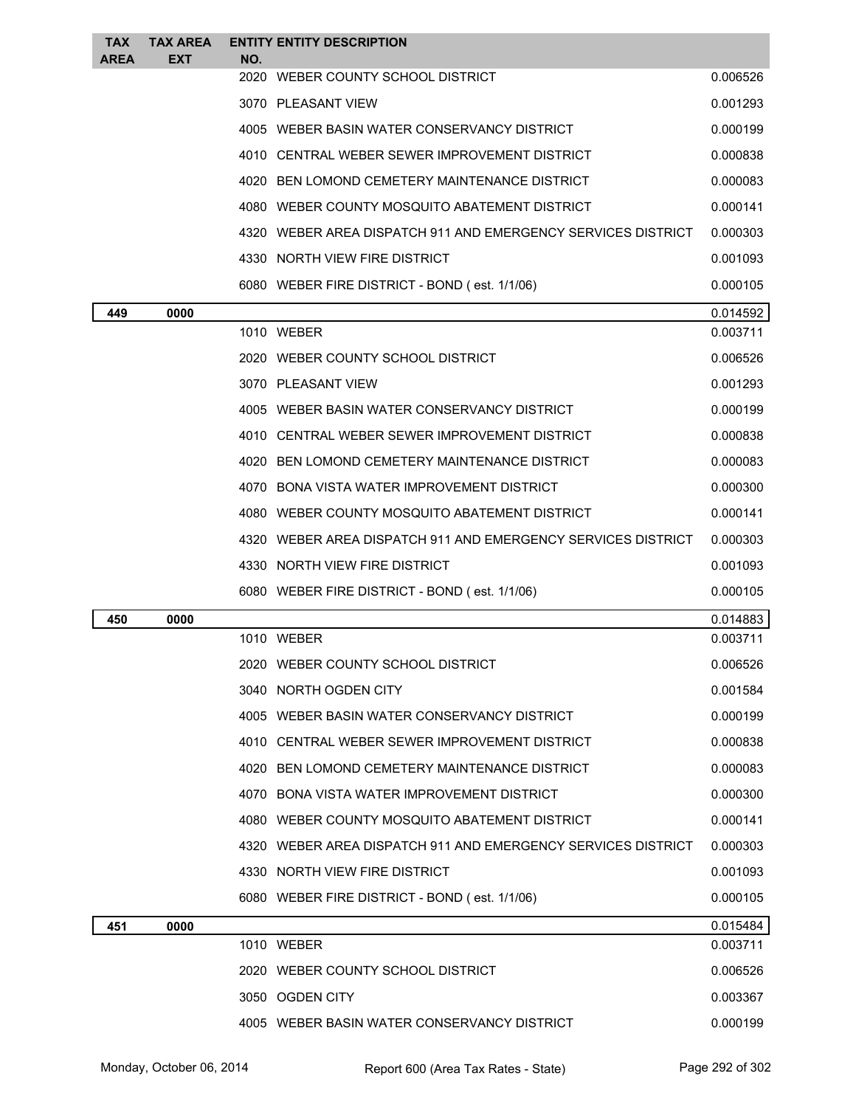| <b>TAX</b><br>AREA | <b>TAX AREA</b><br><b>EXT</b> | NO. | <b>ENTITY ENTITY DESCRIPTION</b>                             |          |
|--------------------|-------------------------------|-----|--------------------------------------------------------------|----------|
|                    |                               |     | 2020 WEBER COUNTY SCHOOL DISTRICT                            | 0.006526 |
|                    |                               |     | 3070 PLEASANT VIEW                                           | 0.001293 |
|                    |                               |     | 4005 WEBER BASIN WATER CONSERVANCY DISTRICT                  | 0.000199 |
|                    |                               |     | 4010 CENTRAL WEBER SEWER IMPROVEMENT DISTRICT                | 0.000838 |
|                    |                               |     | 4020 BEN LOMOND CEMETERY MAINTENANCE DISTRICT                | 0.000083 |
|                    |                               |     | 4080 WEBER COUNTY MOSQUITO ABATEMENT DISTRICT                | 0.000141 |
|                    |                               |     | 4320 WEBER AREA DISPATCH 911 AND EMERGENCY SERVICES DISTRICT | 0.000303 |
|                    |                               |     | 4330 NORTH VIEW FIRE DISTRICT                                | 0.001093 |
|                    |                               |     | 6080 WEBER FIRE DISTRICT - BOND (est. 1/1/06)                | 0.000105 |
| 449                | 0000                          |     |                                                              | 0.014592 |
|                    |                               |     | 1010 WEBER                                                   | 0.003711 |
|                    |                               |     | 2020 WEBER COUNTY SCHOOL DISTRICT                            | 0.006526 |
|                    |                               |     | 3070 PLEASANT VIEW                                           | 0.001293 |
|                    |                               |     | 4005 WEBER BASIN WATER CONSERVANCY DISTRICT                  | 0.000199 |
|                    |                               |     | 4010 CENTRAL WEBER SEWER IMPROVEMENT DISTRICT                | 0.000838 |
|                    |                               |     | 4020 BEN LOMOND CEMETERY MAINTENANCE DISTRICT                | 0.000083 |
|                    |                               |     | 4070 BONA VISTA WATER IMPROVEMENT DISTRICT                   | 0.000300 |
|                    |                               |     | 4080 WEBER COUNTY MOSQUITO ABATEMENT DISTRICT                | 0.000141 |
|                    |                               |     | 4320 WEBER AREA DISPATCH 911 AND EMERGENCY SERVICES DISTRICT | 0.000303 |
|                    |                               |     | 4330 NORTH VIEW FIRE DISTRICT                                | 0.001093 |
|                    |                               |     | 6080 WEBER FIRE DISTRICT - BOND (est. 1/1/06)                | 0.000105 |
| 450                | 0000                          |     |                                                              | 0.014883 |
|                    |                               |     | 1010 WEBER                                                   | 0.003711 |
|                    |                               |     | 2020 WEBER COUNTY SCHOOL DISTRICT                            | 0.006526 |
|                    |                               |     | 3040 NORTH OGDEN CITY                                        | 0.001584 |
|                    |                               |     | 4005 WEBER BASIN WATER CONSERVANCY DISTRICT                  | 0.000199 |
|                    |                               |     | 4010 CENTRAL WEBER SEWER IMPROVEMENT DISTRICT                | 0.000838 |
|                    |                               |     | 4020 BEN LOMOND CEMETERY MAINTENANCE DISTRICT                | 0.000083 |
|                    |                               |     | 4070 BONA VISTA WATER IMPROVEMENT DISTRICT                   | 0.000300 |
|                    |                               |     | 4080 WEBER COUNTY MOSQUITO ABATEMENT DISTRICT                | 0.000141 |
|                    |                               |     | 4320 WEBER AREA DISPATCH 911 AND EMERGENCY SERVICES DISTRICT | 0.000303 |
|                    |                               |     | 4330 NORTH VIEW FIRE DISTRICT                                | 0.001093 |
|                    |                               |     | 6080 WEBER FIRE DISTRICT - BOND (est. 1/1/06)                | 0.000105 |
| 451                | 0000                          |     |                                                              | 0.015484 |
|                    |                               |     | 1010 WEBER                                                   | 0.003711 |
|                    |                               |     | 2020 WEBER COUNTY SCHOOL DISTRICT                            | 0.006526 |
|                    |                               |     | 3050 OGDEN CITY                                              | 0.003367 |
|                    |                               |     | 4005 WEBER BASIN WATER CONSERVANCY DISTRICT                  | 0.000199 |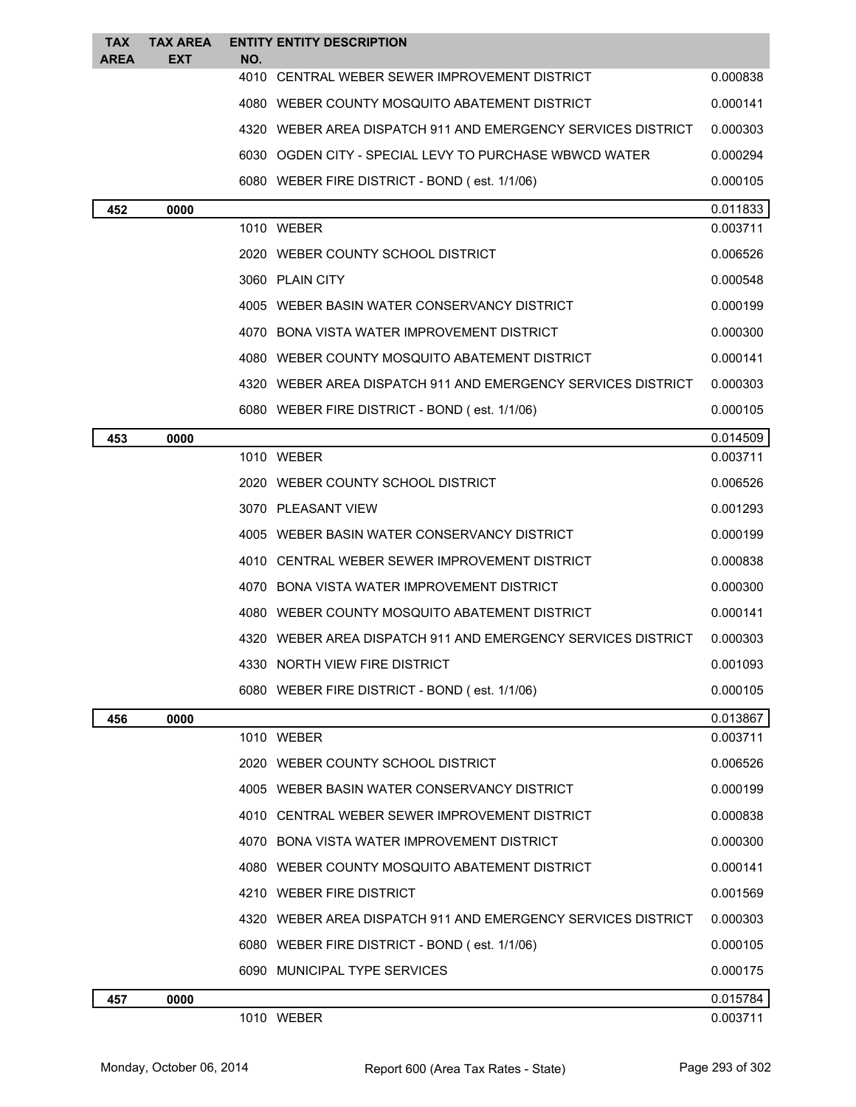| <b>TAX</b><br><b>AREA</b> | <b>TAX AREA</b><br><b>EXT</b> | NO.                                                          | <b>ENTITY ENTITY DESCRIPTION</b>                             |          |  |  |
|---------------------------|-------------------------------|--------------------------------------------------------------|--------------------------------------------------------------|----------|--|--|
|                           |                               | 4010                                                         | CENTRAL WEBER SEWER IMPROVEMENT DISTRICT                     | 0.000838 |  |  |
|                           |                               |                                                              | 4080 WEBER COUNTY MOSQUITO ABATEMENT DISTRICT                | 0.000141 |  |  |
|                           |                               |                                                              | 4320 WEBER AREA DISPATCH 911 AND EMERGENCY SERVICES DISTRICT | 0.000303 |  |  |
|                           |                               |                                                              | 6030 OGDEN CITY - SPECIAL LEVY TO PURCHASE WBWCD WATER       | 0.000294 |  |  |
|                           |                               |                                                              | 6080 WEBER FIRE DISTRICT - BOND (est. 1/1/06)                |          |  |  |
| 452                       | 0000                          |                                                              | 0.011833                                                     |          |  |  |
|                           |                               |                                                              | 1010 WEBER                                                   | 0.003711 |  |  |
|                           |                               |                                                              | 2020 WEBER COUNTY SCHOOL DISTRICT                            | 0.006526 |  |  |
|                           |                               |                                                              | 3060 PLAIN CITY                                              | 0.000548 |  |  |
|                           |                               |                                                              | 4005 WEBER BASIN WATER CONSERVANCY DISTRICT                  | 0.000199 |  |  |
|                           |                               |                                                              | 4070 BONA VISTA WATER IMPROVEMENT DISTRICT                   | 0.000300 |  |  |
|                           |                               |                                                              | 4080 WEBER COUNTY MOSQUITO ABATEMENT DISTRICT                | 0.000141 |  |  |
|                           |                               |                                                              | 4320 WEBER AREA DISPATCH 911 AND EMERGENCY SERVICES DISTRICT | 0.000303 |  |  |
|                           |                               |                                                              | 6080 WEBER FIRE DISTRICT - BOND (est. 1/1/06)                | 0.000105 |  |  |
| 453                       | 0000                          |                                                              |                                                              | 0.014509 |  |  |
|                           |                               |                                                              | 1010 WEBER                                                   | 0.003711 |  |  |
|                           |                               |                                                              | 2020 WEBER COUNTY SCHOOL DISTRICT                            | 0.006526 |  |  |
|                           |                               |                                                              | 3070 PLEASANT VIEW                                           | 0.001293 |  |  |
|                           |                               |                                                              | 4005 WEBER BASIN WATER CONSERVANCY DISTRICT                  | 0.000199 |  |  |
|                           |                               |                                                              | 4010 CENTRAL WEBER SEWER IMPROVEMENT DISTRICT                | 0.000838 |  |  |
|                           |                               |                                                              | 4070 BONA VISTA WATER IMPROVEMENT DISTRICT                   | 0.000300 |  |  |
|                           |                               |                                                              | 4080 WEBER COUNTY MOSQUITO ABATEMENT DISTRICT                | 0.000141 |  |  |
|                           |                               | 4320 WEBER AREA DISPATCH 911 AND EMERGENCY SERVICES DISTRICT | 0.000303                                                     |          |  |  |
|                           |                               |                                                              | 4330 NORTH VIEW FIRE DISTRICT                                | 0.001093 |  |  |
|                           |                               |                                                              | 6080 WEBER FIRE DISTRICT - BOND (est. 1/1/06)                | 0.000105 |  |  |
| 456                       | 0000                          |                                                              |                                                              | 0.013867 |  |  |
|                           |                               |                                                              | 1010 WEBER                                                   | 0.003711 |  |  |
|                           |                               |                                                              | 2020 WEBER COUNTY SCHOOL DISTRICT                            | 0.006526 |  |  |
|                           |                               |                                                              | 4005 WEBER BASIN WATER CONSERVANCY DISTRICT                  | 0.000199 |  |  |
|                           |                               |                                                              | 4010 CENTRAL WEBER SEWER IMPROVEMENT DISTRICT                | 0.000838 |  |  |
|                           |                               |                                                              | 4070 BONA VISTA WATER IMPROVEMENT DISTRICT                   | 0.000300 |  |  |
|                           |                               |                                                              | 4080 WEBER COUNTY MOSQUITO ABATEMENT DISTRICT                | 0.000141 |  |  |
|                           |                               |                                                              | 4210 WEBER FIRE DISTRICT                                     | 0.001569 |  |  |
|                           |                               |                                                              | 4320 WEBER AREA DISPATCH 911 AND EMERGENCY SERVICES DISTRICT | 0.000303 |  |  |
|                           |                               |                                                              | 6080 WEBER FIRE DISTRICT - BOND (est. 1/1/06)                | 0.000105 |  |  |
|                           |                               |                                                              | 6090 MUNICIPAL TYPE SERVICES                                 | 0.000175 |  |  |
| 457                       | 0000                          |                                                              |                                                              | 0.015784 |  |  |
|                           |                               |                                                              | 1010 WEBER                                                   | 0.003711 |  |  |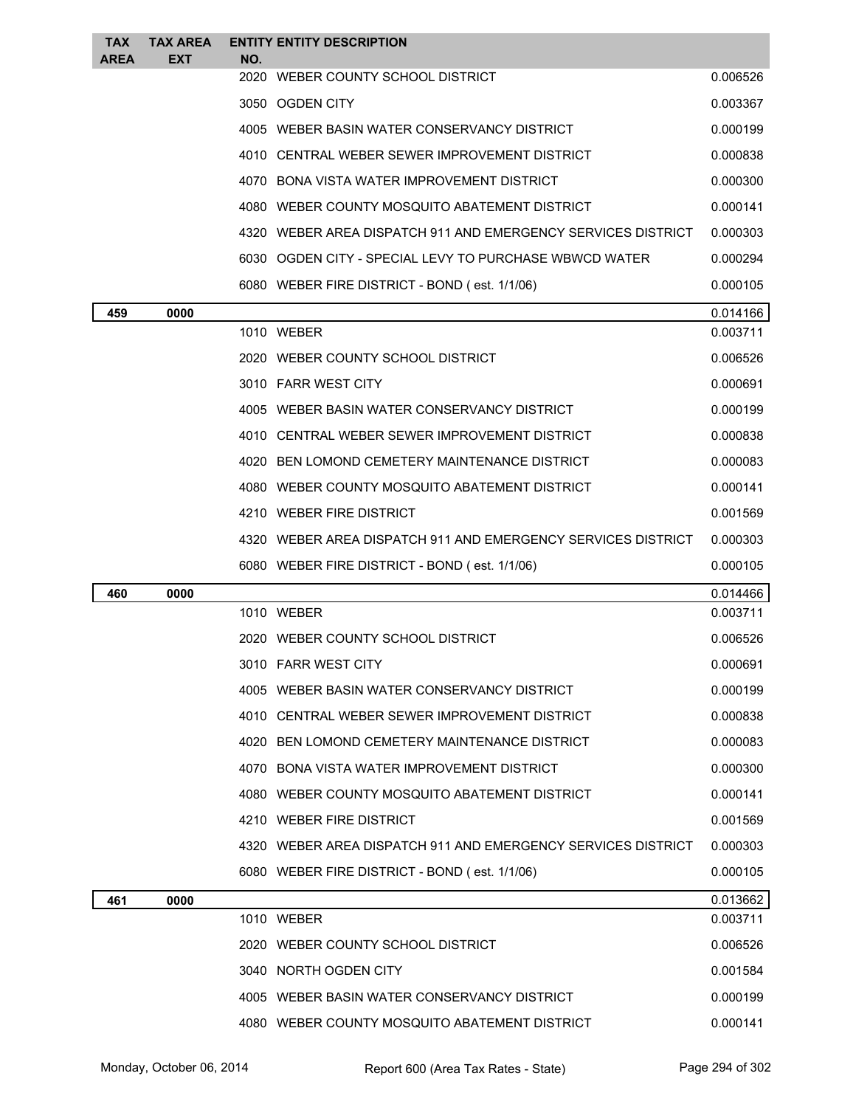| <b>TAX</b><br><b>AREA</b> | <b>TAX AREA</b><br><b>EXT</b> | NO. | <b>ENTITY ENTITY DESCRIPTION</b>                               |          |
|---------------------------|-------------------------------|-----|----------------------------------------------------------------|----------|
|                           |                               |     | 2020 WEBER COUNTY SCHOOL DISTRICT                              | 0.006526 |
|                           |                               |     | 3050 OGDEN CITY                                                | 0.003367 |
|                           |                               |     | 4005 WEBER BASIN WATER CONSERVANCY DISTRICT                    | 0.000199 |
|                           |                               |     | 4010 CENTRAL WEBER SEWER IMPROVEMENT DISTRICT                  | 0.000838 |
|                           |                               |     | 4070 BONA VISTA WATER IMPROVEMENT DISTRICT                     | 0.000300 |
|                           |                               |     | 4080 WEBER COUNTY MOSQUITO ABATEMENT DISTRICT                  | 0.000141 |
|                           |                               |     | 4320   WEBER AREA DISPATCH 911 AND EMERGENCY SERVICES DISTRICT | 0.000303 |
|                           |                               |     | 6030 OGDEN CITY - SPECIAL LEVY TO PURCHASE WBWCD WATER         | 0.000294 |
|                           |                               |     | 6080 WEBER FIRE DISTRICT - BOND (est. 1/1/06)                  | 0.000105 |
| 459                       | 0000                          |     |                                                                | 0.014166 |
|                           |                               |     | 1010 WEBER                                                     | 0.003711 |
|                           |                               |     | 2020 WEBER COUNTY SCHOOL DISTRICT                              | 0.006526 |
|                           |                               |     | 3010 FARR WEST CITY                                            | 0.000691 |
|                           |                               |     | 4005 WEBER BASIN WATER CONSERVANCY DISTRICT                    | 0.000199 |
|                           |                               |     | 4010 CENTRAL WEBER SEWER IMPROVEMENT DISTRICT                  | 0.000838 |
|                           |                               |     | 4020 BEN LOMOND CEMETERY MAINTENANCE DISTRICT                  | 0.000083 |
|                           |                               |     | 4080 WEBER COUNTY MOSQUITO ABATEMENT DISTRICT                  | 0.000141 |
|                           |                               |     | 4210 WEBER FIRE DISTRICT                                       | 0.001569 |
|                           |                               |     | 4320 WEBER AREA DISPATCH 911 AND EMERGENCY SERVICES DISTRICT   | 0.000303 |
|                           |                               |     |                                                                |          |
|                           |                               |     | 6080 WEBER FIRE DISTRICT - BOND (est. 1/1/06)                  | 0.000105 |
| 460                       | 0000                          |     |                                                                | 0.014466 |
|                           |                               |     | 1010 WEBER                                                     | 0.003711 |
|                           |                               |     | 2020 WEBER COUNTY SCHOOL DISTRICT                              | 0.006526 |
|                           |                               |     | 3010 FARR WEST CITY                                            | 0.000691 |
|                           |                               |     | 4005 WEBER BASIN WATER CONSERVANCY DISTRICT                    | 0.000199 |
|                           |                               |     | 4010 CENTRAL WEBER SEWER IMPROVEMENT DISTRICT                  | 0.000838 |
|                           |                               |     | 4020 BEN LOMOND CEMETERY MAINTENANCE DISTRICT                  | 0.000083 |
|                           |                               |     | 4070 BONA VISTA WATER IMPROVEMENT DISTRICT                     | 0.000300 |
|                           |                               |     | 4080 WEBER COUNTY MOSQUITO ABATEMENT DISTRICT                  | 0.000141 |
|                           |                               |     | 4210 WEBER FIRE DISTRICT                                       | 0.001569 |
|                           |                               |     | 4320   WEBER AREA DISPATCH 911 AND EMERGENCY SERVICES DISTRICT | 0.000303 |
|                           |                               |     | 6080 WEBER FIRE DISTRICT - BOND (est. 1/1/06)                  | 0.000105 |
| 461                       | 0000                          |     |                                                                | 0.013662 |
|                           |                               |     | 1010 WEBER                                                     | 0.003711 |
|                           |                               |     | 2020 WEBER COUNTY SCHOOL DISTRICT                              | 0.006526 |
|                           |                               |     | 3040 NORTH OGDEN CITY                                          | 0.001584 |
|                           |                               |     | 4005 WEBER BASIN WATER CONSERVANCY DISTRICT                    | 0.000199 |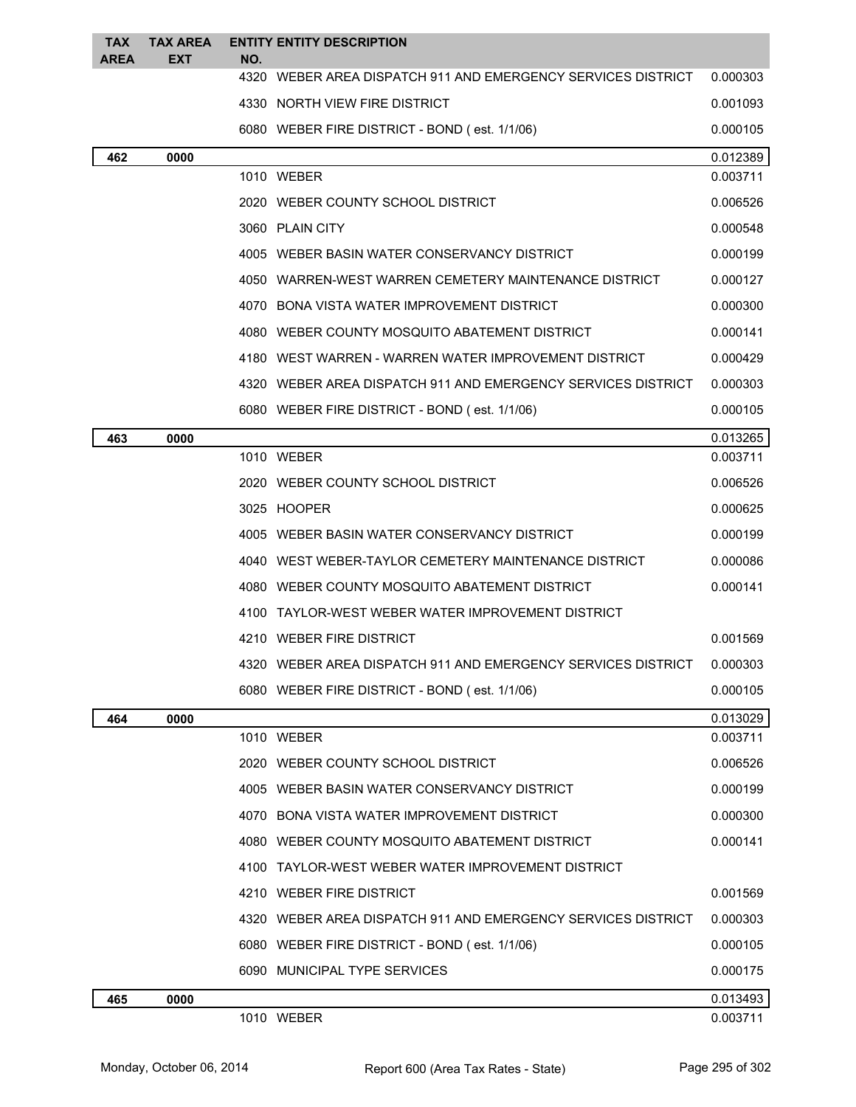| <b>TAX</b><br>AREA | <b>TAX AREA</b><br>EXT                                       | NO.  | <b>ENTITY ENTITY DESCRIPTION</b>                             |          |  |
|--------------------|--------------------------------------------------------------|------|--------------------------------------------------------------|----------|--|
|                    |                                                              | 4320 | WEBER AREA DISPATCH 911 AND EMERGENCY SERVICES DISTRICT      | 0.000303 |  |
|                    |                                                              |      | 4330 NORTH VIEW FIRE DISTRICT                                | 0.001093 |  |
|                    |                                                              |      | 6080 WEBER FIRE DISTRICT - BOND (est. 1/1/06)                | 0.000105 |  |
| 462                | 0000                                                         |      |                                                              | 0.012389 |  |
|                    |                                                              |      | 1010 WEBER                                                   | 0.003711 |  |
|                    |                                                              |      | 2020 WEBER COUNTY SCHOOL DISTRICT                            | 0.006526 |  |
|                    |                                                              |      | 3060 PLAIN CITY                                              | 0.000548 |  |
|                    |                                                              |      | 4005 WEBER BASIN WATER CONSERVANCY DISTRICT                  | 0.000199 |  |
|                    |                                                              |      | 4050 WARREN-WEST WARREN CEMETERY MAINTENANCE DISTRICT        | 0.000127 |  |
|                    |                                                              |      | 4070 BONA VISTA WATER IMPROVEMENT DISTRICT                   | 0.000300 |  |
|                    |                                                              |      | 4080 WEBER COUNTY MOSQUITO ABATEMENT DISTRICT                | 0.000141 |  |
|                    |                                                              |      | 4180 WEST WARREN - WARREN WATER IMPROVEMENT DISTRICT         | 0.000429 |  |
|                    |                                                              |      | 4320 WEBER AREA DISPATCH 911 AND EMERGENCY SERVICES DISTRICT | 0.000303 |  |
|                    |                                                              |      | 6080 WEBER FIRE DISTRICT - BOND (est. 1/1/06)                | 0.000105 |  |
| 463                | 0000                                                         |      |                                                              | 0.013265 |  |
|                    |                                                              |      | 1010 WEBER                                                   | 0.003711 |  |
|                    |                                                              |      | 2020 WEBER COUNTY SCHOOL DISTRICT                            | 0.006526 |  |
|                    |                                                              |      | 3025 HOOPER                                                  | 0.000625 |  |
|                    |                                                              |      | 4005 WEBER BASIN WATER CONSERVANCY DISTRICT                  | 0.000199 |  |
|                    |                                                              |      | 4040 WEST WEBER-TAYLOR CEMETERY MAINTENANCE DISTRICT         | 0.000086 |  |
|                    |                                                              |      | 4080 WEBER COUNTY MOSQUITO ABATEMENT DISTRICT                | 0.000141 |  |
|                    | 4100 TAYLOR-WEST WEBER WATER IMPROVEMENT DISTRICT            |      |                                                              |          |  |
|                    | 4210 WEBER FIRE DISTRICT                                     |      | 0.001569                                                     |          |  |
|                    | 4320 WEBER AREA DISPATCH 911 AND EMERGENCY SERVICES DISTRICT |      | 0.000303                                                     |          |  |
|                    | 6080 WEBER FIRE DISTRICT - BOND (est. 1/1/06)                |      | 0.000105                                                     |          |  |
| 464                | 0000                                                         |      |                                                              | 0.013029 |  |
|                    |                                                              |      | 1010 WEBER                                                   | 0.003711 |  |
|                    |                                                              |      | 2020 WEBER COUNTY SCHOOL DISTRICT                            | 0.006526 |  |
|                    |                                                              |      | 4005 WEBER BASIN WATER CONSERVANCY DISTRICT                  | 0.000199 |  |
|                    |                                                              |      | 4070 BONA VISTA WATER IMPROVEMENT DISTRICT                   | 0.000300 |  |
|                    |                                                              |      | 4080 WEBER COUNTY MOSQUITO ABATEMENT DISTRICT                | 0.000141 |  |
|                    |                                                              |      | 4100 TAYLOR-WEST WEBER WATER IMPROVEMENT DISTRICT            |          |  |
|                    |                                                              |      | 4210 WEBER FIRE DISTRICT                                     | 0.001569 |  |
|                    |                                                              |      | 4320 WEBER AREA DISPATCH 911 AND EMERGENCY SERVICES DISTRICT | 0.000303 |  |
|                    |                                                              |      | 6080 WEBER FIRE DISTRICT - BOND (est. 1/1/06)                | 0.000105 |  |
|                    |                                                              |      | 6090 MUNICIPAL TYPE SERVICES                                 | 0.000175 |  |
| 465                | 0000                                                         |      |                                                              | 0.013493 |  |
|                    |                                                              |      | 1010 WEBER                                                   | 0.003711 |  |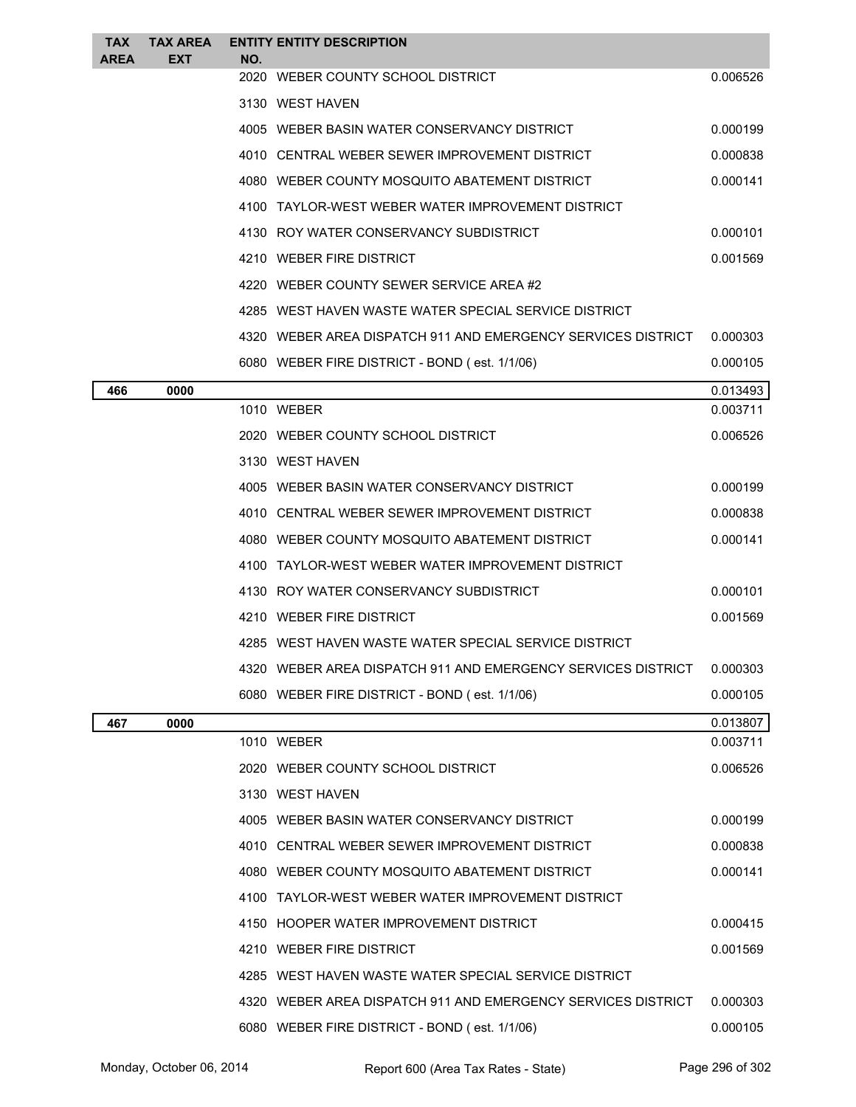| <b>TAX</b> | <b>TAX AREA</b> |     | <b>ENTITY ENTITY DESCRIPTION</b>                             |          |
|------------|-----------------|-----|--------------------------------------------------------------|----------|
| AREA       | EXT             | NO. | 2020 WEBER COUNTY SCHOOL DISTRICT                            | 0.006526 |
|            |                 |     | 3130 WEST HAVEN                                              |          |
|            |                 |     | 4005 WEBER BASIN WATER CONSERVANCY DISTRICT                  | 0.000199 |
|            |                 |     | 4010 CENTRAL WEBER SEWER IMPROVEMENT DISTRICT                | 0.000838 |
|            |                 |     | 4080 WEBER COUNTY MOSQUITO ABATEMENT DISTRICT                | 0.000141 |
|            |                 |     | 4100 TAYLOR-WEST WEBER WATER IMPROVEMENT DISTRICT            |          |
|            |                 |     | 4130 ROY WATER CONSERVANCY SUBDISTRICT                       | 0.000101 |
|            |                 |     | 4210 WEBER FIRE DISTRICT                                     | 0.001569 |
|            |                 |     | 4220 WEBER COUNTY SEWER SERVICE AREA #2                      |          |
|            |                 |     | 4285 WEST HAVEN WASTE WATER SPECIAL SERVICE DISTRICT         |          |
|            |                 |     | 4320 WEBER AREA DISPATCH 911 AND EMERGENCY SERVICES DISTRICT | 0.000303 |
|            |                 |     | 6080 WEBER FIRE DISTRICT - BOND (est. 1/1/06)                | 0.000105 |
| 466        | 0000            |     |                                                              | 0.013493 |
|            |                 |     | 1010 WEBER                                                   | 0.003711 |
|            |                 |     | 2020 WEBER COUNTY SCHOOL DISTRICT                            | 0.006526 |
|            |                 |     | 3130 WEST HAVEN                                              |          |
|            |                 |     | 4005 WEBER BASIN WATER CONSERVANCY DISTRICT                  | 0.000199 |
|            |                 |     | 4010 CENTRAL WEBER SEWER IMPROVEMENT DISTRICT                | 0.000838 |
|            |                 |     | 4080 WEBER COUNTY MOSQUITO ABATEMENT DISTRICT                | 0.000141 |
|            |                 |     | 4100 TAYLOR-WEST WEBER WATER IMPROVEMENT DISTRICT            |          |
|            |                 |     | 4130 ROY WATER CONSERVANCY SUBDISTRICT                       | 0.000101 |
|            |                 |     | 4210 WEBER FIRE DISTRICT                                     | 0.001569 |
|            |                 |     | 4285 WEST HAVEN WASTE WATER SPECIAL SERVICE DISTRICT         |          |
|            |                 |     | 4320 WEBER AREA DISPATCH 911 AND EMERGENCY SERVICES DISTRICT | 0.000303 |
|            |                 |     | 6080 WEBER FIRE DISTRICT - BOND (est. 1/1/06)                | 0.000105 |
| 467        | 0000            |     |                                                              | 0.013807 |
|            |                 |     | 1010 WEBER                                                   | 0.003711 |
|            |                 |     | 2020 WEBER COUNTY SCHOOL DISTRICT                            | 0.006526 |
|            |                 |     | 3130 WEST HAVEN                                              |          |
|            |                 |     | 4005 WEBER BASIN WATER CONSERVANCY DISTRICT                  | 0.000199 |
|            |                 |     | 4010 CENTRAL WEBER SEWER IMPROVEMENT DISTRICT                | 0.000838 |
|            |                 |     | 4080 WEBER COUNTY MOSQUITO ABATEMENT DISTRICT                | 0.000141 |
|            |                 |     | 4100 TAYLOR-WEST WEBER WATER IMPROVEMENT DISTRICT            |          |
|            |                 |     | 4150 HOOPER WATER IMPROVEMENT DISTRICT                       | 0.000415 |
|            |                 |     | 4210 WEBER FIRE DISTRICT                                     | 0.001569 |
|            |                 |     | 4285 WEST HAVEN WASTE WATER SPECIAL SERVICE DISTRICT         |          |
|            |                 |     | 4320 WEBER AREA DISPATCH 911 AND EMERGENCY SERVICES DISTRICT | 0.000303 |
|            |                 |     | 6080 WEBER FIRE DISTRICT - BOND (est. 1/1/06)                | 0.000105 |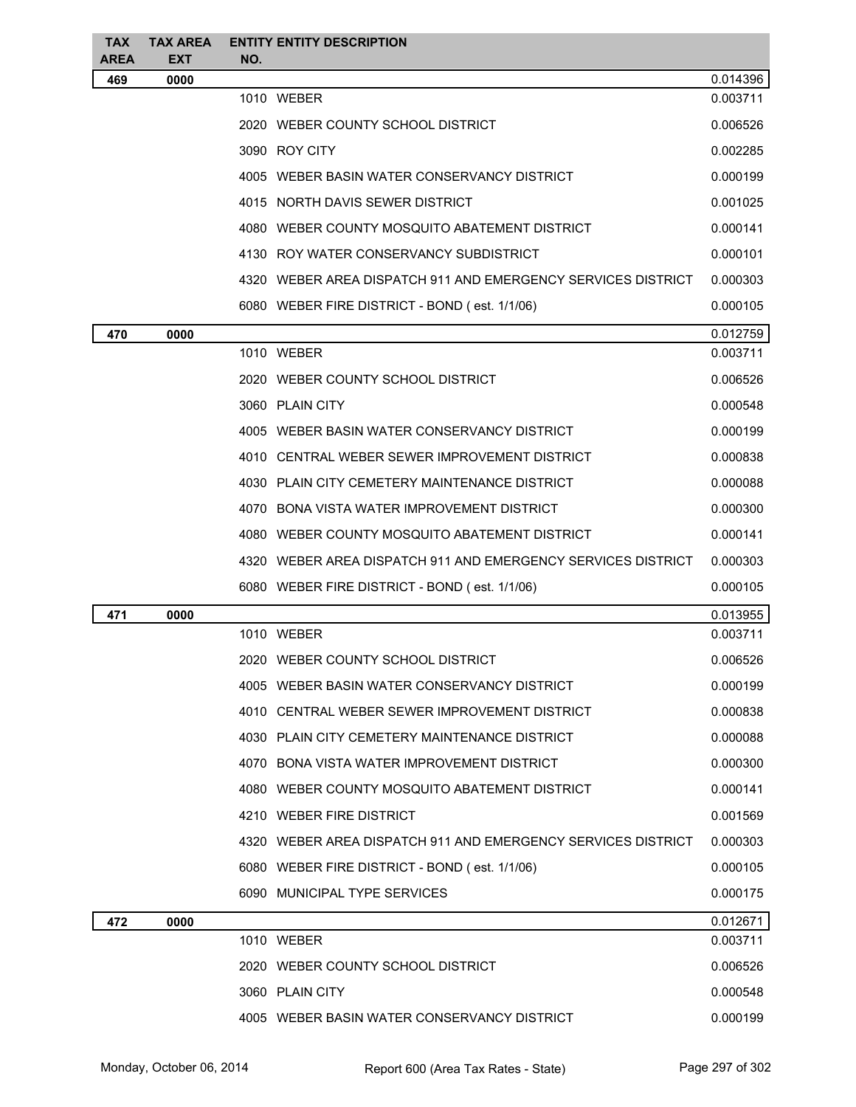| <b>TAX</b><br>AREA | <b>TAX AREA</b><br><b>EXT</b> | NO. | <b>ENTITY ENTITY DESCRIPTION</b>                             |          |
|--------------------|-------------------------------|-----|--------------------------------------------------------------|----------|
| 469                | 0000                          |     |                                                              | 0.014396 |
|                    |                               |     | 1010 WEBER                                                   | 0.003711 |
|                    |                               |     | 2020 WEBER COUNTY SCHOOL DISTRICT                            | 0.006526 |
|                    |                               |     | 3090 ROY CITY                                                | 0.002285 |
|                    |                               |     | 4005 WEBER BASIN WATER CONSERVANCY DISTRICT                  | 0.000199 |
|                    |                               |     | 4015 NORTH DAVIS SEWER DISTRICT                              | 0.001025 |
|                    |                               |     | 4080 WEBER COUNTY MOSQUITO ABATEMENT DISTRICT                | 0.000141 |
|                    |                               |     | 4130 ROY WATER CONSERVANCY SUBDISTRICT                       | 0.000101 |
|                    |                               |     | 4320 WEBER AREA DISPATCH 911 AND EMERGENCY SERVICES DISTRICT | 0.000303 |
|                    |                               |     | 6080 WEBER FIRE DISTRICT - BOND (est. 1/1/06)                | 0.000105 |
| 470                | 0000                          |     |                                                              | 0.012759 |
|                    |                               |     | 1010 WEBER                                                   | 0.003711 |
|                    |                               |     | 2020 WEBER COUNTY SCHOOL DISTRICT                            | 0.006526 |
|                    |                               |     | 3060 PLAIN CITY                                              | 0.000548 |
|                    |                               |     | 4005 WEBER BASIN WATER CONSERVANCY DISTRICT                  | 0.000199 |
|                    |                               |     | 4010 CENTRAL WEBER SEWER IMPROVEMENT DISTRICT                | 0.000838 |
|                    |                               |     | 4030 PLAIN CITY CEMETERY MAINTENANCE DISTRICT                | 0.000088 |
|                    |                               |     | 4070 BONA VISTA WATER IMPROVEMENT DISTRICT                   | 0.000300 |
|                    |                               |     | 4080 WEBER COUNTY MOSQUITO ABATEMENT DISTRICT                | 0.000141 |
|                    |                               |     | 4320 WEBER AREA DISPATCH 911 AND EMERGENCY SERVICES DISTRICT | 0.000303 |
|                    |                               |     | 6080 WEBER FIRE DISTRICT - BOND (est. 1/1/06)                | 0.000105 |
| 471                | 0000                          |     |                                                              | 0.013955 |
|                    |                               |     | 1010 WEBER                                                   | 0.003711 |
|                    |                               |     | 2020 WEBER COUNTY SCHOOL DISTRICT                            | 0.006526 |
|                    |                               |     | 4005 WEBER BASIN WATER CONSERVANCY DISTRICT                  | 0.000199 |
|                    |                               |     | 4010 CENTRAL WEBER SEWER IMPROVEMENT DISTRICT                | 0.000838 |
|                    |                               |     | 4030 PLAIN CITY CEMETERY MAINTENANCE DISTRICT                | 0.000088 |
|                    |                               |     | 4070 BONA VISTA WATER IMPROVEMENT DISTRICT                   | 0.000300 |
|                    |                               |     | 4080 WEBER COUNTY MOSQUITO ABATEMENT DISTRICT                | 0.000141 |
|                    |                               |     | 4210 WEBER FIRE DISTRICT                                     | 0.001569 |
|                    |                               |     | 4320 WEBER AREA DISPATCH 911 AND EMERGENCY SERVICES DISTRICT | 0.000303 |
|                    |                               |     | 6080 WEBER FIRE DISTRICT - BOND (est. 1/1/06)                | 0.000105 |
|                    |                               |     | 6090 MUNICIPAL TYPE SERVICES                                 | 0.000175 |
| 472                | 0000                          |     |                                                              | 0.012671 |
|                    |                               |     | 1010 WEBER                                                   | 0.003711 |
|                    |                               |     | 2020 WEBER COUNTY SCHOOL DISTRICT                            | 0.006526 |
|                    |                               |     | 3060 PLAIN CITY                                              | 0.000548 |
|                    |                               |     | 4005 WEBER BASIN WATER CONSERVANCY DISTRICT                  | 0.000199 |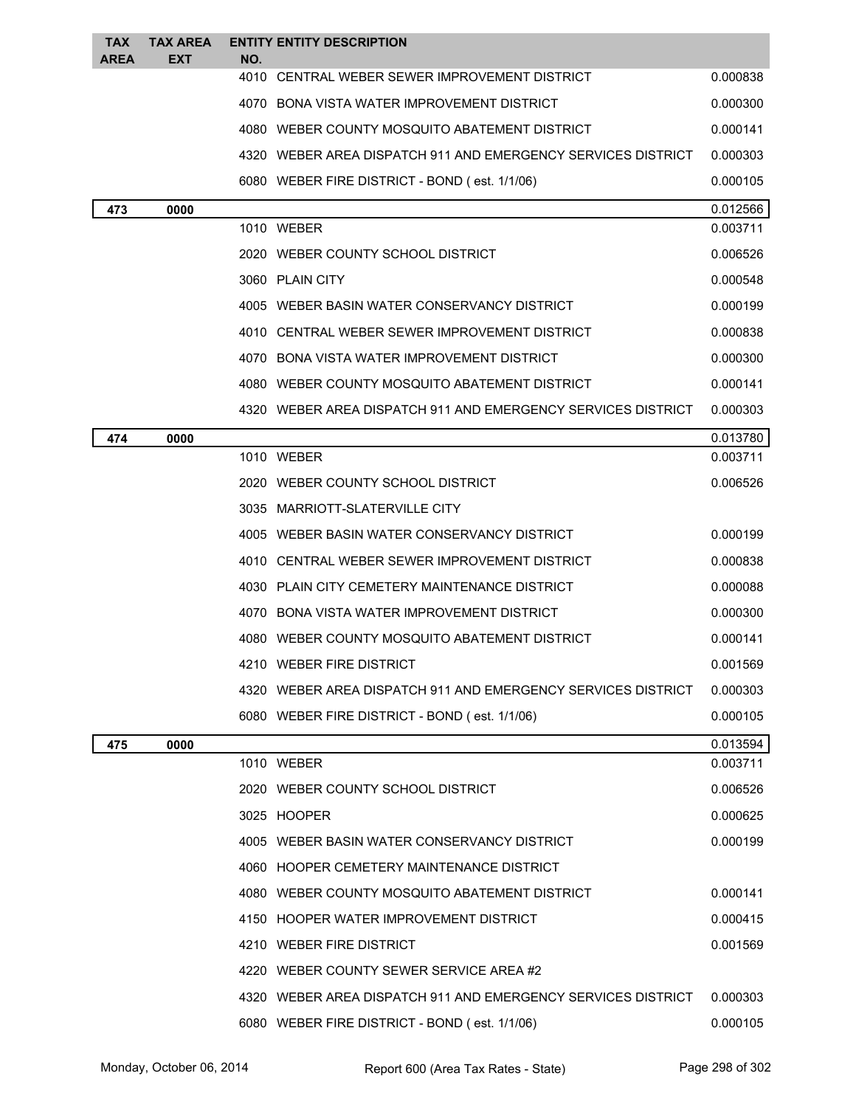| <b>TAX</b><br><b>AREA</b> | <b>TAX AREA</b><br>EXT | NO. | <b>ENTITY ENTITY DESCRIPTION</b>                               |          |
|---------------------------|------------------------|-----|----------------------------------------------------------------|----------|
|                           |                        |     | 4010 CENTRAL WEBER SEWER IMPROVEMENT DISTRICT                  | 0.000838 |
|                           |                        |     | 4070 BONA VISTA WATER IMPROVEMENT DISTRICT                     | 0.000300 |
|                           |                        |     | 4080 WEBER COUNTY MOSQUITO ABATEMENT DISTRICT                  | 0.000141 |
|                           |                        |     | 4320   WEBER AREA DISPATCH 911 AND EMERGENCY SERVICES DISTRICT | 0.000303 |
|                           |                        |     | 6080 WEBER FIRE DISTRICT - BOND (est. 1/1/06)                  | 0.000105 |
| 473                       | 0000                   |     |                                                                | 0.012566 |
|                           |                        |     | 1010 WEBER                                                     | 0.003711 |
|                           |                        |     | 2020 WEBER COUNTY SCHOOL DISTRICT                              | 0.006526 |
|                           |                        |     | 3060 PLAIN CITY                                                | 0.000548 |
|                           |                        |     | 4005 WEBER BASIN WATER CONSERVANCY DISTRICT                    | 0.000199 |
|                           |                        |     | 4010 CENTRAL WEBER SEWER IMPROVEMENT DISTRICT                  | 0.000838 |
|                           |                        |     | 4070 BONA VISTA WATER IMPROVEMENT DISTRICT                     | 0.000300 |
|                           |                        |     | 4080 WEBER COUNTY MOSQUITO ABATEMENT DISTRICT                  | 0.000141 |
|                           |                        |     | 4320 WEBER AREA DISPATCH 911 AND EMERGENCY SERVICES DISTRICT   | 0.000303 |
| 474                       | 0000                   |     |                                                                | 0.013780 |
|                           |                        |     | 1010 WEBER                                                     | 0.003711 |
|                           |                        |     | 2020 WEBER COUNTY SCHOOL DISTRICT                              | 0.006526 |
|                           |                        |     | 3035 MARRIOTT-SLATERVILLE CITY                                 |          |
|                           |                        |     | 4005 WEBER BASIN WATER CONSERVANCY DISTRICT                    | 0.000199 |
|                           |                        |     | 4010 CENTRAL WEBER SEWER IMPROVEMENT DISTRICT                  | 0.000838 |
|                           |                        |     | 4030 PLAIN CITY CEMETERY MAINTENANCE DISTRICT                  | 0.000088 |
|                           |                        |     | 4070 BONA VISTA WATER IMPROVEMENT DISTRICT                     | 0.000300 |
|                           |                        |     | 4080 WEBER COUNTY MOSQUITO ABATEMENT DISTRICT                  | 0.000141 |
|                           |                        |     | 4210 WEBER FIRE DISTRICT                                       | 0.001569 |
|                           |                        |     | 4320 WEBER AREA DISPATCH 911 AND EMERGENCY SERVICES DISTRICT   | 0.000303 |
|                           |                        |     | 6080 WEBER FIRE DISTRICT - BOND (est. 1/1/06)                  | 0.000105 |
| 475                       | 0000                   |     |                                                                | 0.013594 |
|                           |                        |     | 1010 WEBER                                                     | 0.003711 |
|                           |                        |     | 2020 WEBER COUNTY SCHOOL DISTRICT                              | 0.006526 |
|                           |                        |     | 3025 HOOPER                                                    | 0.000625 |
|                           |                        |     | 4005 WEBER BASIN WATER CONSERVANCY DISTRICT                    | 0.000199 |
|                           |                        |     | 4060 HOOPER CEMETERY MAINTENANCE DISTRICT                      |          |
|                           |                        |     | 4080 WEBER COUNTY MOSQUITO ABATEMENT DISTRICT                  | 0.000141 |
|                           |                        |     | 4150 HOOPER WATER IMPROVEMENT DISTRICT                         | 0.000415 |
|                           |                        |     | 4210 WEBER FIRE DISTRICT                                       | 0.001569 |
|                           |                        |     | 4220 WEBER COUNTY SEWER SERVICE AREA #2                        |          |
|                           |                        |     | 4320 WEBER AREA DISPATCH 911 AND EMERGENCY SERVICES DISTRICT   | 0.000303 |
|                           |                        |     | 6080 WEBER FIRE DISTRICT - BOND (est. 1/1/06)                  | 0.000105 |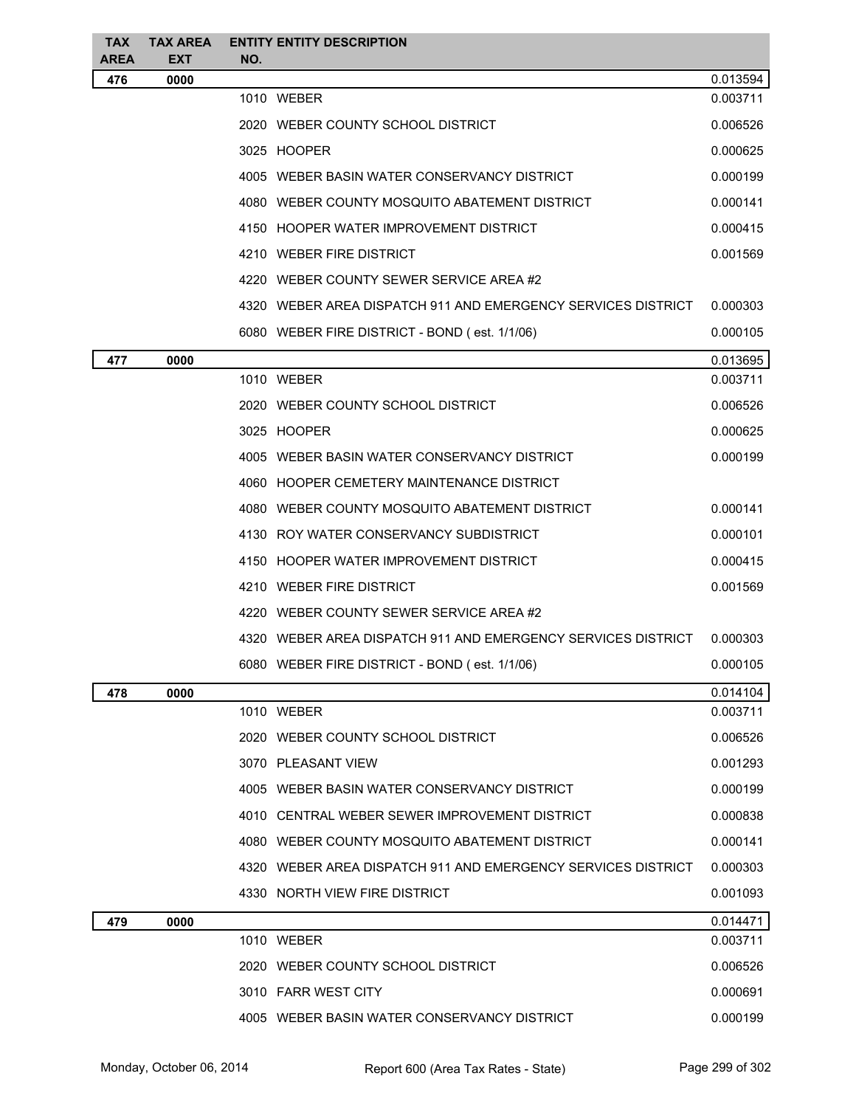| <b>TAX</b><br><b>AREA</b> | <b>TAX AREA</b><br><b>EXT</b> | <b>ENTITY ENTITY DESCRIPTION</b><br>NO. |                                                              |          |
|---------------------------|-------------------------------|-----------------------------------------|--------------------------------------------------------------|----------|
| 476                       | 0000                          |                                         |                                                              | 0.013594 |
|                           |                               | 1010 WEBER                              |                                                              | 0.003711 |
|                           |                               |                                         | 2020 WEBER COUNTY SCHOOL DISTRICT                            | 0.006526 |
|                           |                               | 3025 HOOPER                             |                                                              | 0.000625 |
|                           |                               |                                         | 4005 WEBER BASIN WATER CONSERVANCY DISTRICT                  | 0.000199 |
|                           |                               |                                         | 4080 WEBER COUNTY MOSQUITO ABATEMENT DISTRICT                | 0.000141 |
|                           |                               |                                         | 4150 HOOPER WATER IMPROVEMENT DISTRICT                       | 0.000415 |
|                           |                               | 4210 WEBER FIRE DISTRICT                |                                                              | 0.001569 |
|                           |                               |                                         | 4220 WEBER COUNTY SEWER SERVICE AREA #2                      |          |
|                           |                               |                                         | 4320 WEBER AREA DISPATCH 911 AND EMERGENCY SERVICES DISTRICT | 0.000303 |
|                           |                               |                                         | 6080 WEBER FIRE DISTRICT - BOND (est. 1/1/06)                | 0.000105 |
| 477                       | 0000                          |                                         |                                                              | 0.013695 |
|                           |                               | 1010 WEBER                              |                                                              | 0.003711 |
|                           |                               |                                         | 2020 WEBER COUNTY SCHOOL DISTRICT                            | 0.006526 |
|                           |                               | 3025 HOOPER                             |                                                              | 0.000625 |
|                           |                               |                                         | 4005 WEBER BASIN WATER CONSERVANCY DISTRICT                  | 0.000199 |
|                           |                               |                                         | 4060 HOOPER CEMETERY MAINTENANCE DISTRICT                    |          |
|                           |                               |                                         | 4080 WEBER COUNTY MOSQUITO ABATEMENT DISTRICT                | 0.000141 |
|                           |                               |                                         | 4130 ROY WATER CONSERVANCY SUBDISTRICT                       | 0.000101 |
|                           |                               |                                         | 4150 HOOPER WATER IMPROVEMENT DISTRICT                       | 0.000415 |
|                           |                               | 4210 WEBER FIRE DISTRICT                |                                                              | 0.001569 |
|                           |                               |                                         | 4220 WEBER COUNTY SEWER SERVICE AREA #2                      |          |
|                           |                               |                                         | 4320 WEBER AREA DISPATCH 911 AND EMERGENCY SERVICES DISTRICT | 0.000303 |
|                           |                               |                                         | 6080 WEBER FIRE DISTRICT - BOND (est. 1/1/06)                | 0.000105 |
| 478                       | 0000                          |                                         |                                                              | 0.014104 |
|                           |                               | 1010 WEBER                              |                                                              | 0.003711 |
|                           |                               |                                         | 2020 WEBER COUNTY SCHOOL DISTRICT                            | 0.006526 |
|                           |                               | 3070 PLEASANT VIEW                      |                                                              | 0.001293 |
|                           |                               |                                         | 4005 WEBER BASIN WATER CONSERVANCY DISTRICT                  | 0.000199 |
|                           |                               |                                         | 4010 CENTRAL WEBER SEWER IMPROVEMENT DISTRICT                | 0.000838 |
|                           |                               |                                         | 4080 WEBER COUNTY MOSQUITO ABATEMENT DISTRICT                | 0.000141 |
|                           |                               |                                         | 4320 WEBER AREA DISPATCH 911 AND EMERGENCY SERVICES DISTRICT | 0.000303 |
|                           |                               | 4330 NORTH VIEW FIRE DISTRICT           |                                                              | 0.001093 |
| 479                       | 0000                          |                                         |                                                              | 0.014471 |
|                           |                               | 1010 WEBER                              |                                                              | 0.003711 |
|                           |                               |                                         | 2020 WEBER COUNTY SCHOOL DISTRICT                            | 0.006526 |
|                           |                               | 3010 FARR WEST CITY                     |                                                              | 0.000691 |
|                           |                               |                                         | 4005 WEBER BASIN WATER CONSERVANCY DISTRICT                  | 0.000199 |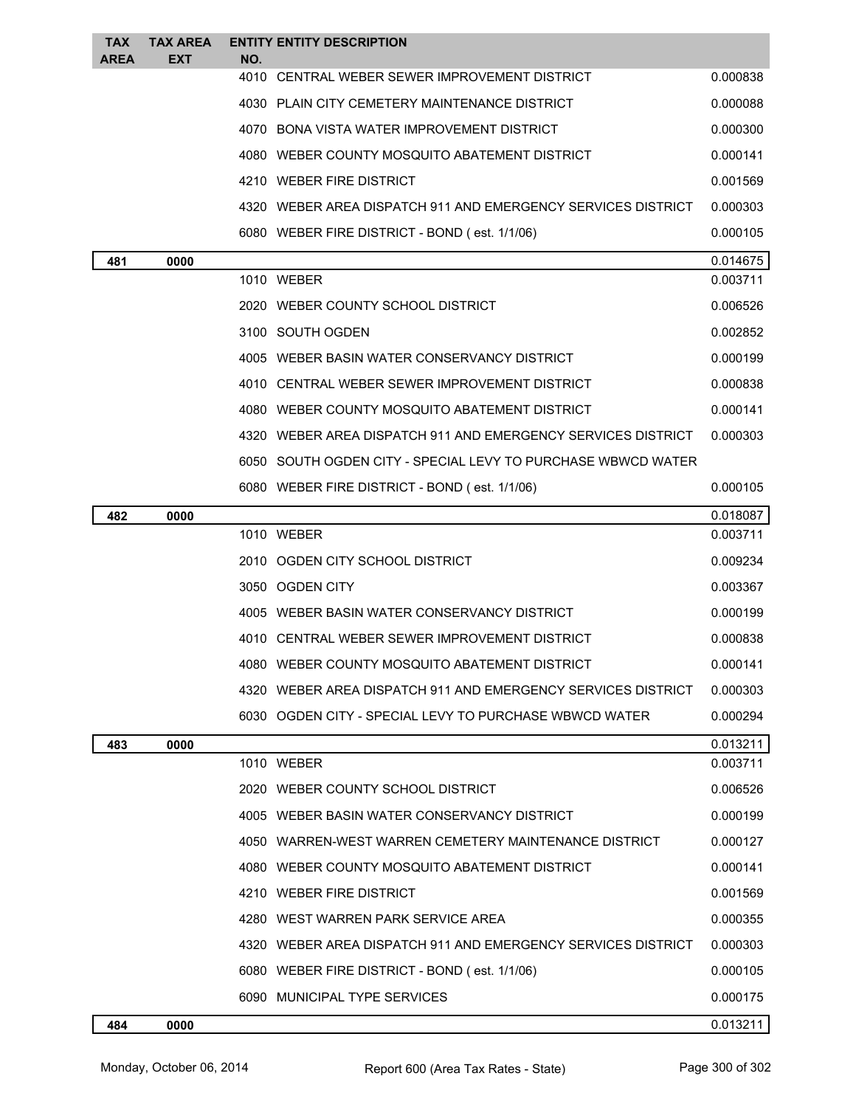| <b>TAX</b><br><b>AREA</b> | <b>TAX AREA</b><br>EXT | NO. | <b>ENTITY ENTITY DESCRIPTION</b>                             |          |
|---------------------------|------------------------|-----|--------------------------------------------------------------|----------|
|                           |                        |     | 4010 CENTRAL WEBER SEWER IMPROVEMENT DISTRICT                | 0.000838 |
|                           |                        |     | 4030 PLAIN CITY CEMETERY MAINTENANCE DISTRICT                | 0.000088 |
|                           |                        |     | 4070 BONA VISTA WATER IMPROVEMENT DISTRICT                   | 0.000300 |
|                           |                        |     | 4080 WEBER COUNTY MOSQUITO ABATEMENT DISTRICT                | 0.000141 |
|                           |                        |     | 4210 WEBER FIRE DISTRICT                                     | 0.001569 |
|                           |                        |     | 4320 WEBER AREA DISPATCH 911 AND EMERGENCY SERVICES DISTRICT | 0.000303 |
|                           |                        |     | 6080 WEBER FIRE DISTRICT - BOND (est. 1/1/06)                | 0.000105 |
| 481                       | 0000                   |     |                                                              | 0.014675 |
|                           |                        |     | 1010 WEBER                                                   | 0.003711 |
|                           |                        |     | 2020 WEBER COUNTY SCHOOL DISTRICT                            | 0.006526 |
|                           |                        |     | 3100 SOUTH OGDEN                                             | 0.002852 |
|                           |                        |     | 4005 WEBER BASIN WATER CONSERVANCY DISTRICT                  | 0.000199 |
|                           |                        |     | 4010 CENTRAL WEBER SEWER IMPROVEMENT DISTRICT                | 0.000838 |
|                           |                        |     | 4080 WEBER COUNTY MOSQUITO ABATEMENT DISTRICT                | 0.000141 |
|                           |                        |     | 4320 WEBER AREA DISPATCH 911 AND EMERGENCY SERVICES DISTRICT | 0.000303 |
|                           |                        |     | 6050 SOUTH OGDEN CITY - SPECIAL LEVY TO PURCHASE WBWCD WATER |          |
|                           |                        |     | 6080 WEBER FIRE DISTRICT - BOND (est. 1/1/06)                | 0.000105 |
| 482                       | 0000                   |     |                                                              | 0.018087 |
|                           |                        |     | 1010 WEBER                                                   | 0.003711 |
|                           |                        |     | 2010 OGDEN CITY SCHOOL DISTRICT                              | 0.009234 |
|                           |                        |     | 3050 OGDEN CITY                                              | 0.003367 |
|                           |                        |     | 4005 WEBER BASIN WATER CONSERVANCY DISTRICT                  | 0.000199 |
|                           |                        |     | 4010 CENTRAL WEBER SEWER IMPROVEMENT DISTRICT                | 0.000838 |
|                           |                        |     | 4080 WEBER COUNTY MOSQUITO ABATEMENT DISTRICT                | 0.000141 |
|                           |                        |     | 4320 WEBER AREA DISPATCH 911 AND EMERGENCY SERVICES DISTRICT | 0.000303 |
|                           |                        |     | 6030 OGDEN CITY - SPECIAL LEVY TO PURCHASE WBWCD WATER       | 0.000294 |
| 483                       | 0000                   |     |                                                              | 0.013211 |
|                           |                        |     | 1010 WEBER                                                   | 0.003711 |
|                           |                        |     | 2020 WEBER COUNTY SCHOOL DISTRICT                            | 0.006526 |
|                           |                        |     | 4005 WEBER BASIN WATER CONSERVANCY DISTRICT                  | 0.000199 |
|                           |                        |     | 4050 WARREN-WEST WARREN CEMETERY MAINTENANCE DISTRICT        | 0.000127 |
|                           |                        |     | 4080 WEBER COUNTY MOSQUITO ABATEMENT DISTRICT                | 0.000141 |
|                           |                        |     | 4210 WEBER FIRE DISTRICT                                     | 0.001569 |
|                           |                        |     | 4280 WEST WARREN PARK SERVICE AREA                           | 0.000355 |
|                           |                        |     | 4320 WEBER AREA DISPATCH 911 AND EMERGENCY SERVICES DISTRICT | 0.000303 |
|                           |                        |     | 6080 WEBER FIRE DISTRICT - BOND (est. 1/1/06)                | 0.000105 |
|                           |                        |     | 6090 MUNICIPAL TYPE SERVICES                                 | 0.000175 |
| 484                       | 0000                   |     |                                                              | 0.013211 |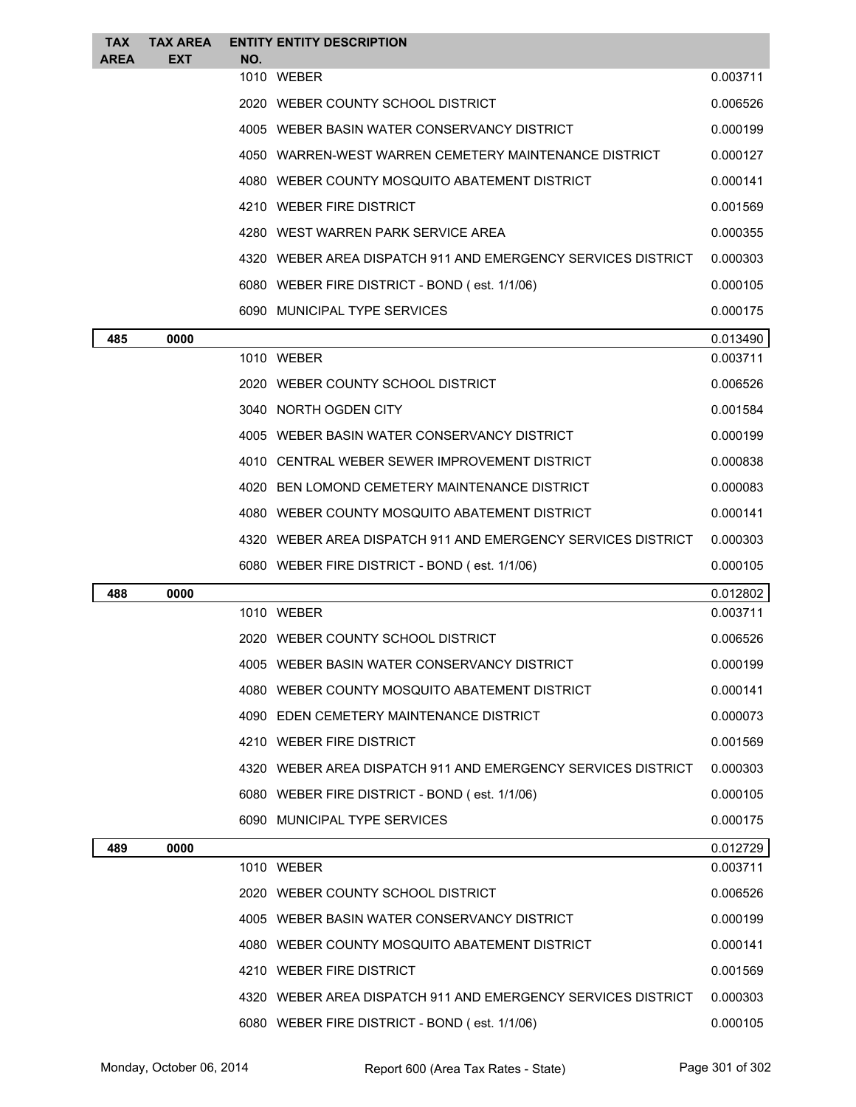| <b>TAX</b><br><b>AREA</b> | <b>TAX AREA</b><br><b>EXT</b> | NO. | <b>ENTITY ENTITY DESCRIPTION</b>                               |          |
|---------------------------|-------------------------------|-----|----------------------------------------------------------------|----------|
|                           |                               |     | 1010 WEBER                                                     | 0.003711 |
|                           |                               |     | 2020 WEBER COUNTY SCHOOL DISTRICT                              | 0.006526 |
|                           |                               |     | 4005 WEBER BASIN WATER CONSERVANCY DISTRICT                    | 0.000199 |
|                           |                               |     | 4050 WARREN-WEST WARREN CEMETERY MAINTENANCE DISTRICT          | 0.000127 |
|                           |                               |     | 4080 WEBER COUNTY MOSQUITO ABATEMENT DISTRICT                  | 0.000141 |
|                           |                               |     | 4210 WEBER FIRE DISTRICT                                       | 0.001569 |
|                           |                               |     | 4280 WEST WARREN PARK SERVICE AREA                             | 0.000355 |
|                           |                               |     | 4320   WEBER AREA DISPATCH 911 AND EMERGENCY SERVICES DISTRICT | 0.000303 |
|                           |                               |     | 6080 WEBER FIRE DISTRICT - BOND (est. 1/1/06)                  | 0.000105 |
|                           |                               |     | 6090 MUNICIPAL TYPE SERVICES                                   | 0.000175 |
| 485                       | 0000                          |     |                                                                | 0.013490 |
|                           |                               |     | 1010 WEBER                                                     | 0.003711 |
|                           |                               |     | 2020 WEBER COUNTY SCHOOL DISTRICT                              | 0.006526 |
|                           |                               |     | 3040 NORTH OGDEN CITY                                          | 0.001584 |
|                           |                               |     | 4005 WEBER BASIN WATER CONSERVANCY DISTRICT                    | 0.000199 |
|                           |                               |     | 4010 CENTRAL WEBER SEWER IMPROVEMENT DISTRICT                  | 0.000838 |
|                           |                               |     | 4020 BEN LOMOND CEMETERY MAINTENANCE DISTRICT                  | 0.000083 |
|                           |                               |     | 4080 WEBER COUNTY MOSQUITO ABATEMENT DISTRICT                  | 0.000141 |
|                           |                               |     | 4320   WEBER AREA DISPATCH 911 AND EMERGENCY SERVICES DISTRICT | 0.000303 |
|                           |                               |     | 6080 WEBER FIRE DISTRICT - BOND (est. 1/1/06)                  | 0.000105 |
| 488                       | 0000                          |     |                                                                | 0.012802 |
|                           |                               |     | 1010 WEBER                                                     | 0.003711 |
|                           |                               |     | 2020 WEBER COUNTY SCHOOL DISTRICT                              | 0.006526 |
|                           |                               |     |                                                                |          |
|                           |                               |     | 4005 WEBER BASIN WATER CONSERVANCY DISTRICT                    | 0.000199 |
|                           |                               |     | 4080 WEBER COUNTY MOSQUITO ABATEMENT DISTRICT                  | 0.000141 |
|                           |                               |     | 4090 EDEN CEMETERY MAINTENANCE DISTRICT                        | 0.000073 |
|                           |                               |     | 4210 WEBER FIRE DISTRICT                                       | 0.001569 |
|                           |                               |     | 4320 WEBER AREA DISPATCH 911 AND EMERGENCY SERVICES DISTRICT   | 0.000303 |
|                           |                               |     | 6080 WEBER FIRE DISTRICT - BOND (est. 1/1/06)                  | 0.000105 |
|                           |                               |     | 6090 MUNICIPAL TYPE SERVICES                                   | 0.000175 |
| 489                       | 0000                          |     |                                                                | 0.012729 |
|                           |                               |     | 1010 WEBER                                                     | 0.003711 |
|                           |                               |     | 2020 WEBER COUNTY SCHOOL DISTRICT                              | 0.006526 |
|                           |                               |     | 4005 WEBER BASIN WATER CONSERVANCY DISTRICT                    | 0.000199 |
|                           |                               |     | 4080 WEBER COUNTY MOSQUITO ABATEMENT DISTRICT                  | 0.000141 |
|                           |                               |     | 4210 WEBER FIRE DISTRICT                                       | 0.001569 |
|                           |                               |     | 4320 WEBER AREA DISPATCH 911 AND EMERGENCY SERVICES DISTRICT   | 0.000303 |